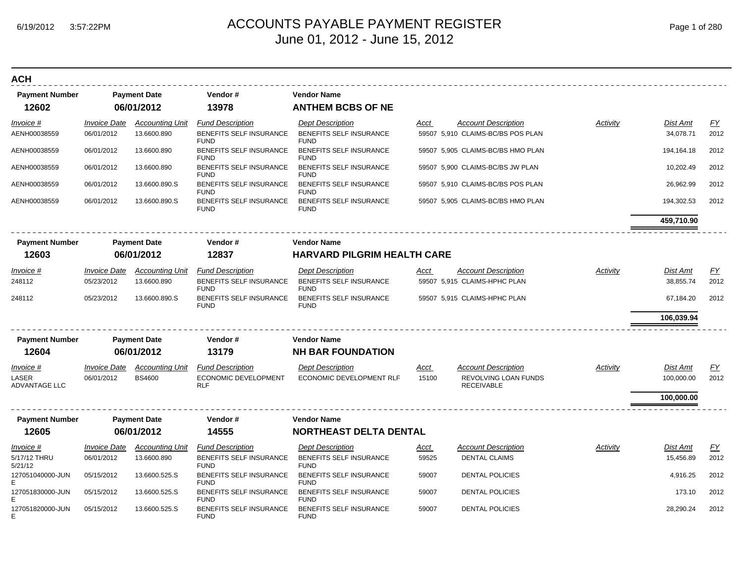| Page 1 of 280 |  |  |  |
|---------------|--|--|--|
|---------------|--|--|--|

| <b>ACH</b>                    |                     |                        |                                        |                                        |             |                                           |          |                 |           |
|-------------------------------|---------------------|------------------------|----------------------------------------|----------------------------------------|-------------|-------------------------------------------|----------|-----------------|-----------|
| <b>Payment Number</b>         |                     | <b>Payment Date</b>    | Vendor#                                | <b>Vendor Name</b>                     |             |                                           |          |                 |           |
| 12602                         |                     | 06/01/2012             | 13978                                  | <b>ANTHEM BCBS OF NE</b>               |             |                                           |          |                 |           |
| Invoice #                     | <b>Invoice Date</b> | <b>Accounting Unit</b> | <b>Fund Description</b>                | <b>Dept Description</b>                | Acct        | <b>Account Description</b>                | Activity | <b>Dist Amt</b> | <u>FY</u> |
| AENH00038559                  | 06/01/2012          | 13.6600.890            | BENEFITS SELF INSURANCE<br><b>FUND</b> | BENEFITS SELF INSURANCE<br><b>FUND</b> |             | 59507 5,910 CLAIMS-BC/BS POS PLAN         |          | 34,078.71       | 2012      |
| AENH00038559                  | 06/01/2012          | 13.6600.890            | BENEFITS SELF INSURANCE<br><b>FUND</b> | BENEFITS SELF INSURANCE<br><b>FUND</b> |             | 59507 5,905 CLAIMS-BC/BS HMO PLAN         |          | 194,164.18      | 2012      |
| AENH00038559                  | 06/01/2012          | 13.6600.890            | BENEFITS SELF INSURANCE<br><b>FUND</b> | BENEFITS SELF INSURANCE<br><b>FUND</b> |             | 59507 5,900 CLAIMS-BC/BS JW PLAN          |          | 10,202.49       | 2012      |
| AENH00038559                  | 06/01/2012          | 13.6600.890.S          | BENEFITS SELF INSURANCE<br><b>FUND</b> | BENEFITS SELF INSURANCE<br><b>FUND</b> |             | 59507 5,910 CLAIMS-BC/BS POS PLAN         |          | 26,962.99       | 2012      |
| AENH00038559                  | 06/01/2012          | 13.6600.890.S          | BENEFITS SELF INSURANCE<br><b>FUND</b> | BENEFITS SELF INSURANCE<br><b>FUND</b> |             | 59507 5,905 CLAIMS-BC/BS HMO PLAN         |          | 194,302.53      | 2012      |
|                               |                     |                        |                                        |                                        |             |                                           |          | 459,710.90      |           |
| <b>Payment Number</b>         |                     | <b>Payment Date</b>    | Vendor#                                | <b>Vendor Name</b>                     |             |                                           |          |                 |           |
| 12603                         |                     | 06/01/2012             | 12837                                  | <b>HARVARD PILGRIM HEALTH CARE</b>     |             |                                           |          |                 |           |
| Invoice #                     | <b>Invoice Date</b> | <b>Accounting Unit</b> | <b>Fund Description</b>                | <b>Dept Description</b>                | Acct        | <b>Account Description</b>                | Activity | <b>Dist Amt</b> | <u>FY</u> |
| 248112                        | 05/23/2012          | 13.6600.890            | BENEFITS SELF INSURANCE<br><b>FUND</b> | BENEFITS SELF INSURANCE<br><b>FUND</b> |             | 59507 5,915 CLAIMS-HPHC PLAN              |          | 38,855.74       | 2012      |
| 248112                        | 05/23/2012          | 13.6600.890.S          | BENEFITS SELF INSURANCE<br><b>FUND</b> | BENEFITS SELF INSURANCE<br><b>FUND</b> |             | 59507 5,915 CLAIMS-HPHC PLAN              |          | 67,184.20       | 2012      |
|                               |                     |                        |                                        |                                        |             |                                           |          | 106,039.94      |           |
| <b>Payment Number</b>         |                     | <b>Payment Date</b>    | Vendor#                                | <b>Vendor Name</b>                     |             |                                           |          |                 |           |
| 12604                         |                     | 06/01/2012             | 13179                                  | <b>NH BAR FOUNDATION</b>               |             |                                           |          |                 |           |
| Invoice #                     | <b>Invoice Date</b> | <b>Accounting Unit</b> | <b>Fund Description</b>                | <b>Dept Description</b>                | Acct        | <b>Account Description</b>                | Activity | <b>Dist Amt</b> | <u>FY</u> |
| LASER<br><b>ADVANTAGE LLC</b> | 06/01/2012          | <b>BS4600</b>          | ECONOMIC DEVELOPMENT<br><b>RLF</b>     | ECONOMIC DEVELOPMENT RLF               | 15100       | REVOLVING LOAN FUNDS<br><b>RECEIVABLE</b> |          | 100,000.00      | 2012      |
|                               |                     |                        |                                        |                                        |             |                                           |          | 100,000.00      |           |
| <b>Payment Number</b>         |                     | <b>Payment Date</b>    | Vendor#                                | <b>Vendor Name</b>                     |             |                                           |          |                 |           |
| 12605                         |                     | 06/01/2012             | 14555                                  | <b>NORTHEAST DELTA DENTAL</b>          |             |                                           |          |                 |           |
| <b>Invoice #</b>              | <b>Invoice Date</b> | <b>Accounting Unit</b> | <b>Fund Description</b>                | <b>Dept Description</b>                | <u>Acct</u> | <b>Account Description</b>                | Activity | Dist Amt        | EY        |
| 5/17/12 THRU<br>5/21/12       | 06/01/2012          | 13.6600.890            | BENEFITS SELF INSURANCE<br><b>FUND</b> | BENEFITS SELF INSURANCE<br><b>FUND</b> | 59525       | <b>DENTAL CLAIMS</b>                      |          | 15,456.89       | 2012      |
| 127051040000-JUN<br>E         | 05/15/2012          | 13.6600.525.S          | BENEFITS SELF INSURANCE<br><b>FUND</b> | BENEFITS SELF INSURANCE<br><b>FUND</b> | 59007       | <b>DENTAL POLICIES</b>                    |          | 4,916.25        | 2012      |
| 127051830000-JUN              | 05/15/2012          | 13.6600.525.S          | BENEFITS SELF INSURANCE<br><b>FUND</b> | BENEFITS SELF INSURANCE<br><b>FUND</b> | 59007       | <b>DENTAL POLICIES</b>                    |          | 173.10          | 2012      |
| 127051820000-JUN              | 05/15/2012          | 13.6600.525.S          | BENEFITS SELF INSURANCE<br><b>FUND</b> | BENEFITS SELF INSURANCE<br><b>FUND</b> | 59007       | <b>DENTAL POLICIES</b>                    |          | 28,290.24       | 2012      |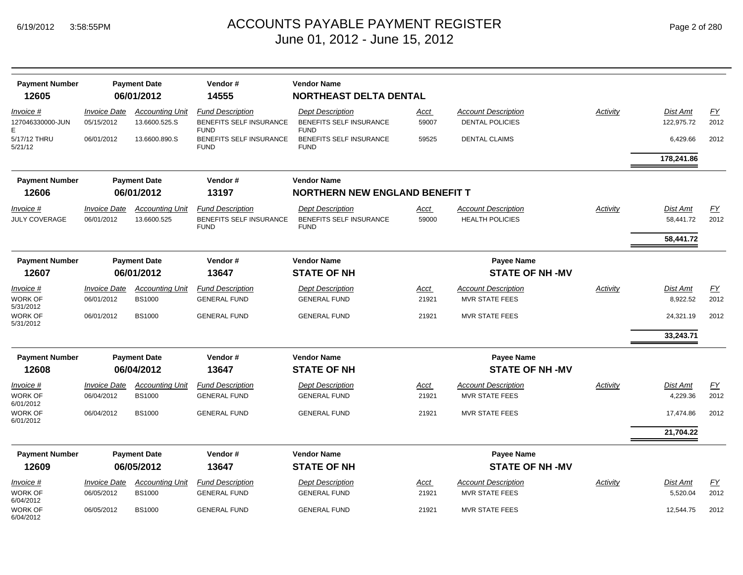6/04/2012

| <b>Payment Number</b>                    |                                   | <b>Payment Date</b>                     | Vendor#                                                                  | <b>Vendor Name</b>                                                       |               |                                                      |                 |                        |                   |
|------------------------------------------|-----------------------------------|-----------------------------------------|--------------------------------------------------------------------------|--------------------------------------------------------------------------|---------------|------------------------------------------------------|-----------------|------------------------|-------------------|
| 12605                                    |                                   | 06/01/2012                              | 14555                                                                    | <b>NORTHEAST DELTA DENTAL</b>                                            |               |                                                      |                 |                        |                   |
| Invoice #<br>127046330000-JUN            | <b>Invoice Date</b><br>05/15/2012 | <b>Accounting Unit</b><br>13.6600.525.S | <b>Fund Description</b><br>BENEFITS SELF INSURANCE                       | <b>Dept Description</b><br>BENEFITS SELF INSURANCE                       | Acct<br>59007 | <b>Account Description</b><br><b>DENTAL POLICIES</b> | Activity        | Dist Amt<br>122,975.72 | EY<br>2012        |
| Е<br>5/17/12 THRU<br>5/21/12             | 06/01/2012                        | 13.6600.890.S                           | <b>FUND</b><br>BENEFITS SELF INSURANCE<br><b>FUND</b>                    | <b>FUND</b><br>BENEFITS SELF INSURANCE<br><b>FUND</b>                    | 59525         | <b>DENTAL CLAIMS</b>                                 |                 | 6,429.66               | 2012              |
|                                          |                                   |                                         |                                                                          |                                                                          |               |                                                      |                 | 178,241.86             |                   |
| <b>Payment Number</b>                    |                                   | <b>Payment Date</b>                     | Vendor#                                                                  | <b>Vendor Name</b>                                                       |               |                                                      |                 |                        |                   |
| 12606                                    |                                   | 06/01/2012                              | 13197                                                                    | <b>NORTHERN NEW ENGLAND BENEFIT T</b>                                    |               |                                                      |                 |                        |                   |
| Invoice #<br><b>JULY COVERAGE</b>        | <b>Invoice Date</b><br>06/01/2012 | <b>Accounting Unit</b><br>13.6600.525   | <b>Fund Description</b><br><b>BENEFITS SELF INSURANCE</b><br><b>FUND</b> | <b>Dept Description</b><br><b>BENEFITS SELF INSURANCE</b><br><b>FUND</b> | Acct<br>59000 | <b>Account Description</b><br><b>HEALTH POLICIES</b> | <b>Activity</b> | Dist Amt<br>58,441.72  | EY<br>2012        |
|                                          |                                   |                                         |                                                                          |                                                                          |               |                                                      |                 | 58,441.72              |                   |
| <b>Payment Number</b>                    |                                   | <b>Payment Date</b>                     | Vendor#                                                                  | <b>Vendor Name</b>                                                       |               | <b>Payee Name</b>                                    |                 |                        |                   |
| 12607                                    |                                   | 06/01/2012                              | 13647                                                                    | <b>STATE OF NH</b>                                                       |               | <b>STATE OF NH-MV</b>                                |                 |                        |                   |
| Invoice #                                | <b>Invoice Date</b>               | <b>Accounting Unit</b>                  | <b>Fund Description</b>                                                  | <b>Dept Description</b>                                                  | <u>Acct</u>   | <b>Account Description</b>                           | Activity        | Dist Amt               | <b>FY</b>         |
| <b>WORK OF</b><br>5/31/2012              | 06/01/2012                        | <b>BS1000</b>                           | <b>GENERAL FUND</b>                                                      | <b>GENERAL FUND</b>                                                      | 21921         | <b>MVR STATE FEES</b>                                |                 | 8,922.52               | 2012              |
| <b>WORK OF</b><br>5/31/2012              | 06/01/2012                        | <b>BS1000</b>                           | <b>GENERAL FUND</b>                                                      | <b>GENERAL FUND</b>                                                      | 21921         | <b>MVR STATE FEES</b>                                |                 | 24,321.19              | 2012              |
|                                          |                                   |                                         |                                                                          |                                                                          |               |                                                      |                 | 33,243.71              |                   |
| <b>Payment Number</b>                    |                                   | <b>Payment Date</b>                     | Vendor#                                                                  | <b>Vendor Name</b>                                                       |               | <b>Payee Name</b>                                    |                 |                        |                   |
| 12608                                    |                                   | 06/04/2012                              | 13647                                                                    | <b>STATE OF NH</b>                                                       |               | <b>STATE OF NH-MV</b>                                |                 |                        |                   |
| Invoice #<br><b>WORK OF</b>              | <b>Invoice Date</b><br>06/04/2012 | <b>Accounting Unit</b><br><b>BS1000</b> | <b>Fund Description</b><br><b>GENERAL FUND</b>                           | <b>Dept Description</b><br><b>GENERAL FUND</b>                           | Acct<br>21921 | <b>Account Description</b><br><b>MVR STATE FEES</b>  | Activity        | Dist Amt<br>4,229.36   | <u>FY</u><br>2012 |
| 6/01/2012<br><b>WORK OF</b><br>6/01/2012 | 06/04/2012                        | <b>BS1000</b>                           | <b>GENERAL FUND</b>                                                      | <b>GENERAL FUND</b>                                                      | 21921         | <b>MVR STATE FEES</b>                                |                 | 17,474.86              | 2012              |
|                                          |                                   |                                         |                                                                          |                                                                          |               |                                                      |                 | 21,704.22              |                   |
| <b>Payment Number</b>                    |                                   | <b>Payment Date</b>                     | Vendor#                                                                  | <b>Vendor Name</b>                                                       |               | <b>Payee Name</b>                                    |                 |                        |                   |
| 12609                                    |                                   | 06/05/2012                              | 13647                                                                    | <b>STATE OF NH</b>                                                       |               | <b>STATE OF NH-MV</b>                                |                 |                        |                   |
| <i>Invoice</i> #                         | <i><b>Invoice Date</b></i>        | <b>Accounting Unit</b>                  | <b>Fund Description</b>                                                  | <b>Dept Description</b>                                                  | Acct          | <b>Account Description</b>                           | Activity        | Dist Amt               | <u>FY</u>         |
| <b>WORK OF</b><br>6/04/2012              | 06/05/2012                        | <b>BS1000</b>                           | <b>GENERAL FUND</b>                                                      | <b>GENERAL FUND</b>                                                      | 21921         | <b>MVR STATE FEES</b>                                |                 | 5,520.04               | 2012              |
| <b>WORK OF</b>                           | 06/05/2012                        | <b>BS1000</b>                           | <b>GENERAL FUND</b>                                                      | <b>GENERAL FUND</b>                                                      | 21921         | <b>MVR STATE FEES</b>                                |                 | 12.544.75              | 2012              |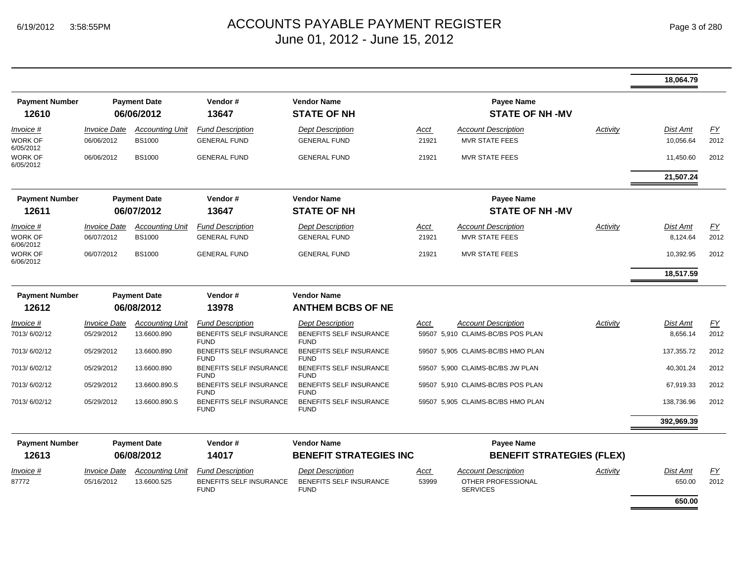|                                |                     |                                   |                                               |                                               |       |                                       |          | 18,064.79       |      |
|--------------------------------|---------------------|-----------------------------------|-----------------------------------------------|-----------------------------------------------|-------|---------------------------------------|----------|-----------------|------|
| <b>Payment Number</b><br>12610 |                     | <b>Payment Date</b><br>06/06/2012 | Vendor#<br>13647                              | <b>Vendor Name</b><br><b>STATE OF NH</b>      |       | Payee Name<br><b>STATE OF NH-MV</b>   |          |                 |      |
| Invoice #                      | <b>Invoice Date</b> | <b>Accounting Unit</b>            | <b>Fund Description</b>                       | <b>Dept Description</b>                       | Acct  | <b>Account Description</b>            | Activity | Dist Amt        | FY   |
| WORK OF<br>6/05/2012           | 06/06/2012          | <b>BS1000</b>                     | <b>GENERAL FUND</b>                           | <b>GENERAL FUND</b>                           | 21921 | <b>MVR STATE FEES</b>                 |          | 10,056.64       | 2012 |
| <b>WORK OF</b><br>6/05/2012    | 06/06/2012          | <b>BS1000</b>                     | <b>GENERAL FUND</b>                           | <b>GENERAL FUND</b>                           | 21921 | <b>MVR STATE FEES</b>                 |          | 11,450.60       | 2012 |
|                                |                     |                                   |                                               |                                               |       |                                       |          | 21,507.24       |      |
| <b>Payment Number</b>          |                     | <b>Payment Date</b>               | Vendor#                                       | <b>Vendor Name</b>                            |       | <b>Payee Name</b>                     |          |                 |      |
| 12611                          |                     | 06/07/2012                        | 13647                                         | <b>STATE OF NH</b>                            |       | <b>STATE OF NH-MV</b>                 |          |                 |      |
| Invoice #                      | <b>Invoice Date</b> | <b>Accounting Unit</b>            | <b>Fund Description</b>                       | <b>Dept Description</b>                       | Acct  | <b>Account Description</b>            | Activity | <b>Dist Amt</b> | EY   |
| <b>WORK OF</b><br>6/06/2012    | 06/07/2012          | <b>BS1000</b>                     | <b>GENERAL FUND</b>                           | <b>GENERAL FUND</b>                           | 21921 | <b>MVR STATE FEES</b>                 |          | 8,124.64        | 2012 |
| WORK OF<br>6/06/2012           | 06/07/2012          | <b>BS1000</b>                     | <b>GENERAL FUND</b>                           | <b>GENERAL FUND</b>                           | 21921 | MVR STATE FEES                        |          | 10,392.95       | 2012 |
|                                |                     |                                   |                                               |                                               |       |                                       |          | 18,517.59       |      |
| <b>Payment Number</b>          |                     | <b>Payment Date</b>               | Vendor#                                       | <b>Vendor Name</b>                            |       |                                       |          |                 |      |
| 12612                          |                     | 06/08/2012                        | 13978                                         | <b>ANTHEM BCBS OF NE</b>                      |       |                                       |          |                 |      |
| Invoice #                      | <b>Invoice Date</b> | <b>Accounting Unit</b>            | <b>Fund Description</b>                       | <b>Dept Description</b>                       | Acct  | <b>Account Description</b>            | Activity | Dist Amt        | EY   |
| 7013/6/02/12                   | 05/29/2012          | 13.6600.890                       | <b>BENEFITS SELF INSURANCE</b><br><b>FUND</b> | <b>BENEFITS SELF INSURANCE</b><br><b>FUND</b> |       | 59507 5,910 CLAIMS-BC/BS POS PLAN     |          | 8,656.14        | 2012 |
| 7013/6/02/12                   | 05/29/2012          | 13.6600.890                       | <b>BENEFITS SELF INSURANCE</b><br><b>FUND</b> | <b>BENEFITS SELF INSURANCE</b><br><b>FUND</b> |       | 59507 5,905 CLAIMS-BC/BS HMO PLAN     |          | 137,355.72      | 2012 |
| 7013/6/02/12                   | 05/29/2012          | 13.6600.890                       | BENEFITS SELF INSURANCE<br><b>FUND</b>        | BENEFITS SELF INSURANCE<br><b>FUND</b>        |       | 59507 5,900 CLAIMS-BC/BS JW PLAN      |          | 40,301.24       | 2012 |
| 7013/6/02/12                   | 05/29/2012          | 13.6600.890.S                     | BENEFITS SELF INSURANCE<br><b>FUND</b>        | <b>BENEFITS SELF INSURANCE</b><br><b>FUND</b> |       | 59507 5,910 CLAIMS-BC/BS POS PLAN     |          | 67,919.33       | 2012 |
| 7013/6/02/12                   | 05/29/2012          | 13.6600.890.S                     | BENEFITS SELF INSURANCE<br><b>FUND</b>        | <b>BENEFITS SELF INSURANCE</b><br><b>FUND</b> |       | 59507 5,905 CLAIMS-BC/BS HMO PLAN     |          | 138,736.96      | 2012 |
|                                |                     |                                   |                                               |                                               |       |                                       |          | 392,969.39      |      |
| <b>Payment Number</b>          |                     | <b>Payment Date</b>               | Vendor#                                       | <b>Vendor Name</b>                            |       | <b>Payee Name</b>                     |          |                 |      |
| 12613                          |                     | 06/08/2012                        | 14017                                         | <b>BENEFIT STRATEGIES INC</b>                 |       | <b>BENEFIT STRATEGIES (FLEX)</b>      |          |                 |      |
| Invoice #                      | <b>Invoice Date</b> | <b>Accounting Unit</b>            | <b>Fund Description</b>                       | <b>Dept Description</b>                       | Acct  | <b>Account Description</b>            | Activity | Dist Amt        | EY   |
| 87772                          | 05/16/2012          | 13.6600.525                       | <b>BENEFITS SELF INSURANCE</b><br><b>FUND</b> | <b>BENEFITS SELF INSURANCE</b><br><b>FUND</b> | 53999 | OTHER PROFESSIONAL<br><b>SERVICES</b> |          | 650.00          | 2012 |
|                                |                     |                                   |                                               |                                               |       |                                       |          | 650.00          |      |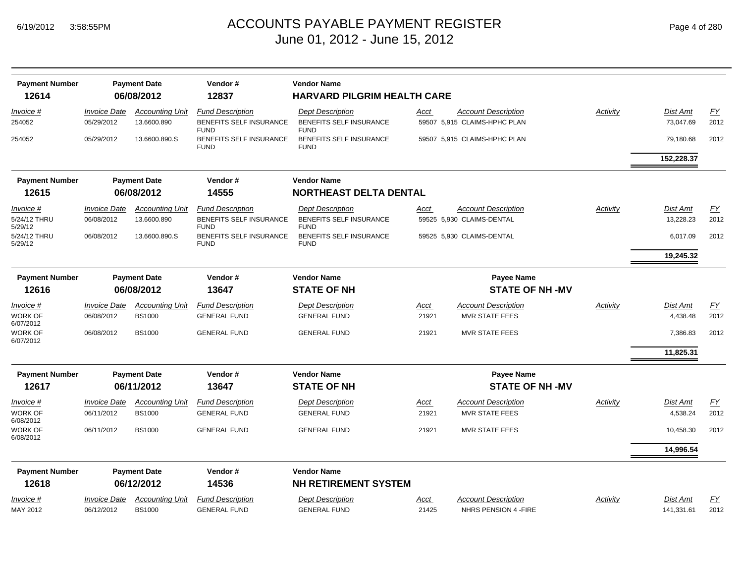|  | Page 4 of 280 |  |  |  |
|--|---------------|--|--|--|
|--|---------------|--|--|--|

| <b>Payment Number</b><br>12614       |                                          | <b>Payment Date</b><br>06/08/2012       | Vendor#<br>12837                                                  | <b>Vendor Name</b><br><b>HARVARD PILGRIM HEALTH CARE</b>          |               |                                                            |          |                               |                   |
|--------------------------------------|------------------------------------------|-----------------------------------------|-------------------------------------------------------------------|-------------------------------------------------------------------|---------------|------------------------------------------------------------|----------|-------------------------------|-------------------|
| Invoice #<br>254052                  | <b>Invoice Date</b><br>05/29/2012        | <b>Accounting Unit</b><br>13.6600.890   | <b>Fund Description</b><br>BENEFITS SELF INSURANCE<br><b>FUND</b> | <b>Dept Description</b><br>BENEFITS SELF INSURANCE<br><b>FUND</b> | Acct          | <b>Account Description</b><br>59507 5,915 CLAIMS-HPHC PLAN | Activity | <b>Dist Amt</b><br>73,047.69  | <b>FY</b><br>2012 |
| 254052                               | 05/29/2012                               | 13.6600.890.S                           | BENEFITS SELF INSURANCE<br><b>FUND</b>                            | BENEFITS SELF INSURANCE<br><b>FUND</b>                            |               | 59507 5,915 CLAIMS-HPHC PLAN                               |          | 79,180.68                     | 2012              |
|                                      |                                          |                                         |                                                                   |                                                                   |               |                                                            |          | 152,228.37                    |                   |
| <b>Payment Number</b>                |                                          | <b>Payment Date</b>                     | Vendor#                                                           | <b>Vendor Name</b>                                                |               |                                                            |          |                               |                   |
| 12615                                |                                          | 06/08/2012                              | 14555                                                             | <b>NORTHEAST DELTA DENTAL</b>                                     |               |                                                            |          |                               |                   |
| Invoice #<br>5/24/12 THRU<br>5/29/12 | <b>Invoice Date</b><br>06/08/2012        | <b>Accounting Unit</b><br>13.6600.890   | <b>Fund Description</b><br>BENEFITS SELF INSURANCE<br><b>FUND</b> | <b>Dept Description</b><br>BENEFITS SELF INSURANCE<br><b>FUND</b> | Acct          | <b>Account Description</b><br>59525 5,930 CLAIMS-DENTAL    | Activity | <b>Dist Amt</b><br>13,228.23  | <b>FY</b><br>2012 |
| 5/24/12 THRU<br>5/29/12              | 06/08/2012                               | 13.6600.890.S                           | BENEFITS SELF INSURANCE<br><b>FUND</b>                            | BENEFITS SELF INSURANCE<br><b>FUND</b>                            |               | 59525 5,930 CLAIMS-DENTAL                                  |          | 6,017.09                      | 2012              |
|                                      |                                          |                                         |                                                                   |                                                                   |               |                                                            |          | 19,245.32                     |                   |
| <b>Payment Number</b>                |                                          | <b>Payment Date</b>                     | Vendor#                                                           | <b>Vendor Name</b>                                                |               | <b>Payee Name</b>                                          |          |                               |                   |
| 12616                                |                                          | 06/08/2012                              | 13647                                                             | <b>STATE OF NH</b>                                                |               | <b>STATE OF NH-MV</b>                                      |          |                               |                   |
| Invoice #                            | <i><b>Invoice Date</b></i>               | <b>Accounting Unit</b>                  | <b>Fund Description</b>                                           | <b>Dept Description</b>                                           | Acct          | <b>Account Description</b>                                 | Activity | <b>Dist Amt</b>               | <b>FY</b>         |
| WORK OF<br>6/07/2012                 | 06/08/2012                               | <b>BS1000</b>                           | <b>GENERAL FUND</b>                                               | <b>GENERAL FUND</b>                                               | 21921         | <b>MVR STATE FEES</b>                                      |          | 4,438.48                      | 2012              |
| <b>WORK OF</b><br>6/07/2012          | 06/08/2012                               | <b>BS1000</b>                           | <b>GENERAL FUND</b>                                               | <b>GENERAL FUND</b>                                               | 21921         | <b>MVR STATE FEES</b>                                      |          | 7,386.83                      | 2012              |
|                                      |                                          |                                         |                                                                   |                                                                   |               |                                                            |          | 11,825.31                     |                   |
| <b>Payment Number</b>                |                                          | <b>Payment Date</b>                     | Vendor#                                                           | <b>Vendor Name</b>                                                |               | <b>Payee Name</b>                                          |          |                               |                   |
| 12617                                |                                          | 06/11/2012                              | 13647                                                             | <b>STATE OF NH</b>                                                |               | <b>STATE OF NH-MV</b>                                      |          |                               |                   |
| Invoice #<br>WORK OF<br>6/08/2012    | <i><b>Invoice Date</b></i><br>06/11/2012 | <b>Accounting Unit</b><br><b>BS1000</b> | <b>Fund Description</b><br><b>GENERAL FUND</b>                    | <b>Dept Description</b><br><b>GENERAL FUND</b>                    | Acct<br>21921 | <b>Account Description</b><br><b>MVR STATE FEES</b>        | Activity | <b>Dist Amt</b><br>4,538.24   | <b>FY</b><br>2012 |
| <b>WORK OF</b><br>6/08/2012          | 06/11/2012                               | <b>BS1000</b>                           | <b>GENERAL FUND</b>                                               | <b>GENERAL FUND</b>                                               | 21921         | <b>MVR STATE FEES</b>                                      |          | 10,458.30                     | 2012              |
|                                      |                                          |                                         |                                                                   |                                                                   |               |                                                            |          | 14,996.54                     |                   |
| <b>Payment Number</b><br>12618       |                                          | <b>Payment Date</b><br>06/12/2012       | Vendor#<br>14536                                                  | <b>Vendor Name</b><br><b>NH RETIREMENT SYSTEM</b>                 |               |                                                            |          |                               |                   |
| <i>Invoice</i> #<br>MAY 2012         | <b>Invoice Date</b><br>06/12/2012        | <b>Accounting Unit</b><br><b>BS1000</b> | <b>Fund Description</b><br><b>GENERAL FUND</b>                    | <b>Dept Description</b><br><b>GENERAL FUND</b>                    | Acct<br>21425 | <b>Account Description</b><br>NHRS PENSION 4 - FIRE        | Activity | <b>Dist Amt</b><br>141,331.61 | EY<br>2012        |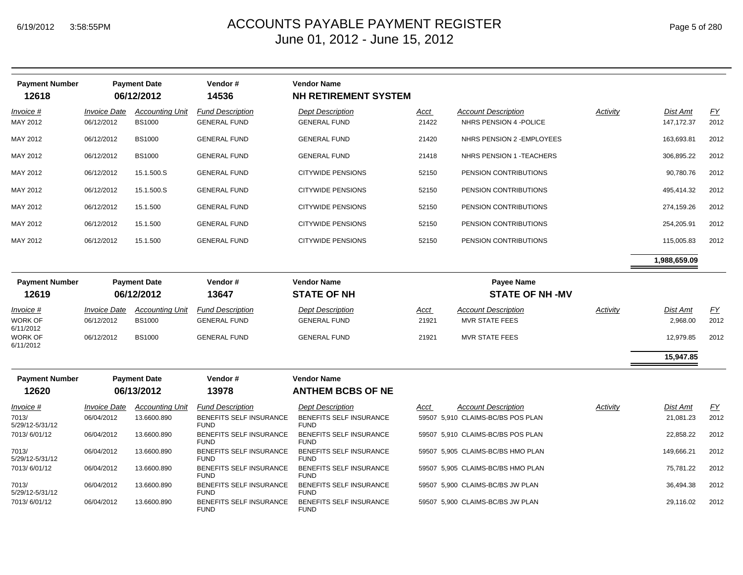| <b>Payment Number</b><br>12618 |                     | <b>Payment Date</b><br>06/12/2012 | Vendor #<br>14536                             | Vendor Name<br><b>NH RETIREMENT SYSTEM</b>    |             |                                   |          |              |      |
|--------------------------------|---------------------|-----------------------------------|-----------------------------------------------|-----------------------------------------------|-------------|-----------------------------------|----------|--------------|------|
| Invoice #                      | <b>Invoice Date</b> | <b>Accounting Unit</b>            | <b>Fund Description</b>                       | <b>Dept Description</b>                       | <u>Acct</u> | <b>Account Description</b>        | Activity | Dist Amt     | EY   |
| MAY 2012                       | 06/12/2012          | <b>BS1000</b>                     | <b>GENERAL FUND</b>                           | <b>GENERAL FUND</b>                           | 21422       | NHRS PENSION 4 - POLICE           |          | 147, 172. 37 | 2012 |
| MAY 2012                       | 06/12/2012          | <b>BS1000</b>                     | <b>GENERAL FUND</b>                           | <b>GENERAL FUND</b>                           | 21420       | NHRS PENSION 2 - EMPLOYEES        |          | 163,693.81   | 2012 |
| MAY 2012                       | 06/12/2012          | <b>BS1000</b>                     | <b>GENERAL FUND</b>                           | <b>GENERAL FUND</b>                           | 21418       | NHRS PENSION 1 - TEACHERS         |          | 306.895.22   | 2012 |
| MAY 2012                       | 06/12/2012          | 15.1.500.S                        | <b>GENERAL FUND</b>                           | <b>CITYWIDE PENSIONS</b>                      | 52150       | PENSION CONTRIBUTIONS             |          | 90.780.76    | 2012 |
| MAY 2012                       | 06/12/2012          | 15.1.500.S                        | <b>GENERAL FUND</b>                           | <b>CITYWIDE PENSIONS</b>                      | 52150       | PENSION CONTRIBUTIONS             |          | 495,414.32   | 2012 |
| MAY 2012                       | 06/12/2012          | 15.1.500                          | <b>GENERAL FUND</b>                           | <b>CITYWIDE PENSIONS</b>                      | 52150       | PENSION CONTRIBUTIONS             |          | 274,159.26   | 2012 |
| MAY 2012                       | 06/12/2012          | 15.1.500                          | <b>GENERAL FUND</b>                           | <b>CITYWIDE PENSIONS</b>                      | 52150       | PENSION CONTRIBUTIONS             |          | 254,205.91   | 2012 |
| MAY 2012                       | 06/12/2012          | 15.1.500                          | <b>GENERAL FUND</b>                           | <b>CITYWIDE PENSIONS</b>                      | 52150       | PENSION CONTRIBUTIONS             |          | 115,005.83   | 2012 |
|                                |                     |                                   |                                               |                                               |             |                                   |          | 1,988,659.09 |      |
| <b>Payment Number</b>          |                     | <b>Payment Date</b>               | Vendor#                                       | <b>Vendor Name</b>                            |             | Payee Name                        |          |              |      |
| 12619                          |                     | 06/12/2012                        | 13647                                         | <b>STATE OF NH</b>                            |             | <b>STATE OF NH-MV</b>             |          |              |      |
| Invoice #                      | <b>Invoice Date</b> | <b>Accounting Unit</b>            | <b>Fund Description</b>                       | <b>Dept Description</b>                       | Acct        | <b>Account Description</b>        | Activity | Dist Amt     | $FY$ |
| WORK OF<br>6/11/2012           | 06/12/2012          | <b>BS1000</b>                     | <b>GENERAL FUND</b>                           | <b>GENERAL FUND</b>                           | 21921       | <b>MVR STATE FEES</b>             |          | 2,968.00     | 2012 |
| <b>WORK OF</b><br>6/11/2012    | 06/12/2012          | <b>BS1000</b>                     | <b>GENERAL FUND</b>                           | <b>GENERAL FUND</b>                           | 21921       | MVR STATE FEES                    |          | 12,979.85    | 2012 |
|                                |                     |                                   |                                               |                                               |             |                                   |          | 15,947.85    |      |
| <b>Payment Number</b>          |                     | <b>Payment Date</b>               | Vendor#                                       | <b>Vendor Name</b>                            |             |                                   |          |              |      |
| 12620                          |                     | 06/13/2012                        | 13978                                         | <b>ANTHEM BCBS OF NE</b>                      |             |                                   |          |              |      |
| Invoice #                      | <b>Invoice Date</b> | <b>Accounting Unit</b>            | <b>Fund Description</b>                       | <b>Dept Description</b>                       | Acct        | <b>Account Description</b>        | Activity | Dist Amt     | EY   |
| 7013/<br>5/29/12-5/31/12       | 06/04/2012          | 13.6600.890                       | <b>BENEFITS SELF INSURANCE</b><br><b>FUND</b> | BENEFITS SELF INSURANCE<br><b>FUND</b>        |             | 59507 5,910 CLAIMS-BC/BS POS PLAN |          | 21,081.23    | 2012 |
| 7013/6/01/12                   | 06/04/2012          | 13.6600.890                       | BENEFITS SELF INSURANCE<br><b>FUND</b>        | BENEFITS SELF INSURANCE<br><b>FUND</b>        |             | 59507 5,910 CLAIMS-BC/BS POS PLAN |          | 22,858.22    | 2012 |
| 7013/<br>5/29/12-5/31/12       | 06/04/2012          | 13.6600.890                       | BENEFITS SELF INSURANCE<br><b>FUND</b>        | BENEFITS SELF INSURANCE<br><b>FUND</b>        |             | 59507 5,905 CLAIMS-BC/BS HMO PLAN |          | 149,666.21   | 2012 |
| 7013/6/01/12                   | 06/04/2012          | 13.6600.890                       | BENEFITS SELF INSURANCE<br><b>FUND</b>        | <b>BENEFITS SELF INSURANCE</b><br><b>FUND</b> |             | 59507 5,905 CLAIMS-BC/BS HMO PLAN |          | 75,781.22    | 2012 |
| 7013/<br>5/29/12-5/31/12       | 06/04/2012          | 13.6600.890                       | BENEFITS SELF INSURANCE<br><b>FUND</b>        | BENEFITS SELF INSURANCE<br><b>FUND</b>        |             | 59507 5,900 CLAIMS-BC/BS JW PLAN  |          | 36,494.38    | 2012 |
| 7013/6/01/12                   | 06/04/2012          | 13.6600.890                       | BENEFITS SELF INSURANCE<br><b>FUND</b>        | BENEFITS SELF INSURANCE<br><b>FUND</b>        |             | 59507 5,900 CLAIMS-BC/BS JW PLAN  |          | 29,116.02    | 2012 |
|                                |                     |                                   |                                               |                                               |             |                                   |          |              |      |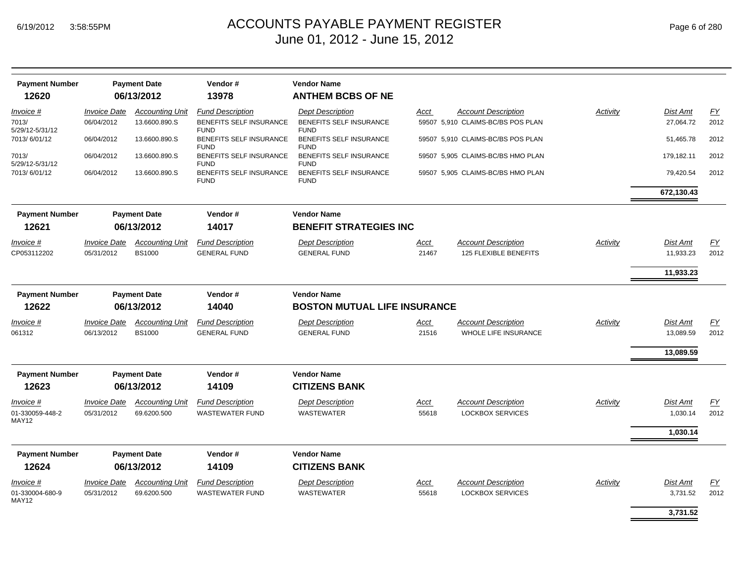| <b>Payment Number</b><br>12620 |                            | <b>Payment Date</b><br>06/13/2012 | Vendor#<br>13978                              | <b>Vendor Name</b><br><b>ANTHEM BCBS OF NE</b> |             |                                   |          |                 |           |
|--------------------------------|----------------------------|-----------------------------------|-----------------------------------------------|------------------------------------------------|-------------|-----------------------------------|----------|-----------------|-----------|
|                                |                            |                                   |                                               |                                                |             |                                   |          |                 |           |
| Invoice #                      | <i><b>Invoice Date</b></i> | <b>Accounting Unit</b>            | <b>Fund Description</b>                       | <b>Dept Description</b>                        | <u>Acct</u> | <b>Account Description</b>        | Activity | <b>Dist Amt</b> | EY        |
| 7013/<br>5/29/12-5/31/12       | 06/04/2012                 | 13.6600.890.S                     | <b>BENEFITS SELF INSURANCE</b><br><b>FUND</b> | <b>BENEFITS SELF INSURANCE</b><br><b>FUND</b>  |             | 59507 5,910 CLAIMS-BC/BS POS PLAN |          | 27.064.72       | 2012      |
| 7013/6/01/12                   | 06/04/2012                 | 13.6600.890.S                     | BENEFITS SELF INSURANCE<br><b>FUND</b>        | <b>BENEFITS SELF INSURANCE</b><br><b>FUND</b>  |             | 59507 5,910 CLAIMS-BC/BS POS PLAN |          | 51,465.78       | 2012      |
| 7013/<br>5/29/12-5/31/12       | 06/04/2012                 | 13.6600.890.S                     | BENEFITS SELF INSURANCE<br><b>FUND</b>        | BENEFITS SELF INSURANCE<br><b>FUND</b>         |             | 59507 5,905 CLAIMS-BC/BS HMO PLAN |          | 179,182.11      | 2012      |
| 7013/6/01/12                   | 06/04/2012                 | 13.6600.890.S                     | BENEFITS SELF INSURANCE<br><b>FUND</b>        | BENEFITS SELF INSURANCE<br><b>FUND</b>         |             | 59507 5,905 CLAIMS-BC/BS HMO PLAN |          | 79,420.54       | 2012      |
|                                |                            |                                   |                                               |                                                |             |                                   |          | 672,130.43      |           |
| <b>Payment Number</b>          |                            | <b>Payment Date</b>               | Vendor#                                       | <b>Vendor Name</b>                             |             |                                   |          |                 |           |
| 12621                          |                            | 06/13/2012                        | 14017                                         | <b>BENEFIT STRATEGIES INC</b>                  |             |                                   |          |                 |           |
| <i>Invoice</i> #               | <b>Invoice Date</b>        | <b>Accounting Unit</b>            | <b>Fund Description</b>                       | <b>Dept Description</b>                        | <u>Acct</u> | <b>Account Description</b>        | Activity | Dist Amt        | EY        |
| CP053112202                    | 05/31/2012                 | <b>BS1000</b>                     | <b>GENERAL FUND</b>                           | <b>GENERAL FUND</b>                            | 21467       | <b>125 FLEXIBLE BENEFITS</b>      |          | 11,933.23       | 2012      |
|                                |                            |                                   |                                               |                                                |             |                                   |          | 11,933.23       |           |
| <b>Payment Number</b>          |                            | <b>Payment Date</b>               | Vendor#                                       | <b>Vendor Name</b>                             |             |                                   |          |                 |           |
| 12622                          |                            | 06/13/2012                        | 14040                                         | <b>BOSTON MUTUAL LIFE INSURANCE</b>            |             |                                   |          |                 |           |
| <u>Invoice #</u>               | <b>Invoice Date</b>        | <b>Accounting Unit</b>            | <b>Fund Description</b>                       | <b>Dept Description</b>                        | <u>Acct</u> | <b>Account Description</b>        | Activity | <b>Dist Amt</b> | EY        |
| 061312                         | 06/13/2012                 | <b>BS1000</b>                     | <b>GENERAL FUND</b>                           | <b>GENERAL FUND</b>                            | 21516       | <b>WHOLE LIFE INSURANCE</b>       |          | 13,089.59       | 2012      |
|                                |                            |                                   |                                               |                                                |             |                                   |          | 13,089.59       |           |
|                                |                            |                                   |                                               |                                                |             |                                   |          |                 |           |
| <b>Payment Number</b><br>12623 |                            | <b>Payment Date</b><br>06/13/2012 | Vendor#<br>14109                              | <b>Vendor Name</b><br><b>CITIZENS BANK</b>     |             |                                   |          |                 |           |
| Invoice #                      | <b>Invoice Date</b>        | <b>Accounting Unit</b>            | <b>Fund Description</b>                       | <b>Dept Description</b>                        | Acct        | <b>Account Description</b>        | Activity | <b>Dist Amt</b> | <u>FY</u> |
| 01-330059-448-2<br>MAY12       | 05/31/2012                 | 69.6200.500                       | <b>WASTEWATER FUND</b>                        | WASTEWATER                                     | 55618       | <b>LOCKBOX SERVICES</b>           |          | 1,030.14        | 2012      |
|                                |                            |                                   |                                               |                                                |             |                                   |          | 1,030.14        |           |
| <b>Payment Number</b>          |                            | <b>Payment Date</b>               | Vendor#                                       | <b>Vendor Name</b>                             |             |                                   |          |                 |           |
| 12624                          |                            | 06/13/2012                        | 14109                                         | <b>CITIZENS BANK</b>                           |             |                                   |          |                 |           |
| Invoice #                      | <b>Invoice Date</b>        | <b>Accounting Unit</b>            | <b>Fund Description</b>                       | <b>Dept Description</b>                        | <u>Acct</u> | <b>Account Description</b>        | Activity | Dist Amt        | EY        |
| 01-330004-680-9<br>MAY12       | 05/31/2012                 | 69.6200.500                       | <b>WASTEWATER FUND</b>                        | <b>WASTEWATER</b>                              | 55618       | <b>LOCKBOX SERVICES</b>           |          | 3,731.52        | 2012      |
|                                |                            |                                   |                                               |                                                |             |                                   |          | 3,731.52        |           |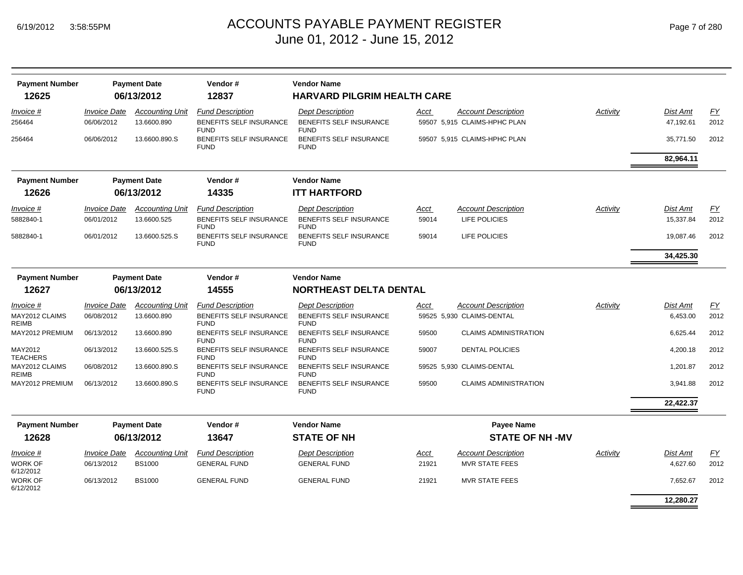| Page 7 of 280 |  |  |  |
|---------------|--|--|--|
|---------------|--|--|--|

| <b>Payment Number</b><br>12625 |                                          | <b>Payment Date</b><br>06/13/2012     | Vendor#<br>12837                                                  | <b>Vendor Name</b><br><b>HARVARD PILGRIM HEALTH CARE</b>          |               |                                                            |          |                              |            |
|--------------------------------|------------------------------------------|---------------------------------------|-------------------------------------------------------------------|-------------------------------------------------------------------|---------------|------------------------------------------------------------|----------|------------------------------|------------|
| Invoice #<br>256464            | <b>Invoice Date</b><br>06/06/2012        | <b>Accounting Unit</b><br>13.6600.890 | <b>Fund Description</b><br>BENEFITS SELF INSURANCE<br><b>FUND</b> | <b>Dept Description</b><br>BENEFITS SELF INSURANCE<br><b>FUND</b> | Acct          | <b>Account Description</b><br>59507 5.915 CLAIMS-HPHC PLAN | Activity | <b>Dist Amt</b><br>47,192.61 | EY<br>2012 |
| 256464                         | 06/06/2012                               | 13.6600.890.S                         | <b>BENEFITS SELF INSURANCE</b><br><b>FUND</b>                     | <b>BENEFITS SELF INSURANCE</b><br><b>FUND</b>                     |               | 59507 5,915 CLAIMS-HPHC PLAN                               |          | 35,771.50                    | 2012       |
|                                |                                          |                                       |                                                                   |                                                                   |               |                                                            |          | 82,964.11                    |            |
| <b>Payment Number</b>          |                                          | <b>Payment Date</b>                   | Vendor#                                                           | <b>Vendor Name</b>                                                |               |                                                            |          |                              |            |
| 12626                          |                                          | 06/13/2012                            | 14335                                                             | <b>ITT HARTFORD</b>                                               |               |                                                            |          |                              |            |
| Invoice #<br>5882840-1         | <i><b>Invoice Date</b></i><br>06/01/2012 | <b>Accounting Unit</b><br>13.6600.525 | <b>Fund Description</b><br><b>BENEFITS SELF INSURANCE</b>         | <b>Dept Description</b><br><b>BENEFITS SELF INSURANCE</b>         | Acct<br>59014 | <b>Account Description</b><br>LIFE POLICIES                | Activity | <b>Dist Amt</b><br>15,337.84 | EY<br>2012 |
| 5882840-1                      | 06/01/2012                               | 13.6600.525.S                         | <b>FUND</b><br><b>BENEFITS SELF INSURANCE</b>                     | <b>FUND</b><br><b>BENEFITS SELF INSURANCE</b>                     | 59014         | LIFE POLICIES                                              |          | 19,087.46                    | 2012       |
|                                |                                          |                                       | <b>FUND</b>                                                       | <b>FUND</b>                                                       |               |                                                            |          | 34,425.30                    |            |
|                                |                                          |                                       |                                                                   | <b>Vendor Name</b>                                                |               |                                                            |          |                              |            |
| <b>Payment Number</b><br>12627 |                                          | <b>Payment Date</b><br>06/13/2012     | Vendor#<br>14555                                                  | <b>NORTHEAST DELTA DENTAL</b>                                     |               |                                                            |          |                              |            |
| Invoice #                      | <b>Invoice Date</b>                      | <b>Accounting Unit</b>                | <b>Fund Description</b>                                           | <b>Dept Description</b>                                           | Acct          | <b>Account Description</b>                                 | Activity | <b>Dist Amt</b>              | EY         |
| MAY2012 CLAIMS<br><b>REIMB</b> | 06/08/2012                               | 13.6600.890                           | BENEFITS SELF INSURANCE<br><b>FUND</b>                            | BENEFITS SELF INSURANCE<br><b>FUND</b>                            |               | 59525 5,930 CLAIMS-DENTAL                                  |          | 6,453.00                     | 2012       |
| MAY2012 PREMIUM                | 06/13/2012                               | 13.6600.890                           | <b>BENEFITS SELF INSURANCE</b><br><b>FUND</b>                     | BENEFITS SELF INSURANCE<br><b>FUND</b>                            | 59500         | <b>CLAIMS ADMINISTRATION</b>                               |          | 6,625.44                     | 2012       |
| MAY2012<br>TEACHERS            | 06/13/2012                               | 13.6600.525.S                         | <b>BENEFITS SELF INSURANCE</b><br><b>FUND</b>                     | BENEFITS SELF INSURANCE<br><b>FUND</b>                            | 59007         | <b>DENTAL POLICIES</b>                                     |          | 4,200.18                     | 2012       |
| MAY2012 CLAIMS<br>REIMB        | 06/08/2012                               | 13.6600.890.S                         | <b>BENEFITS SELF INSURANCE</b><br><b>FUND</b>                     | <b>BENEFITS SELF INSURANCE</b><br><b>FUND</b>                     |               | 59525 5,930 CLAIMS-DENTAL                                  |          | 1,201.87                     | 2012       |
| MAY2012 PREMIUM                | 06/13/2012                               | 13.6600.890.S                         | <b>BENEFITS SELF INSURANCE</b><br><b>FUND</b>                     | <b>BENEFITS SELF INSURANCE</b><br><b>FUND</b>                     | 59500         | <b>CLAIMS ADMINISTRATION</b>                               |          | 3,941.88                     | 2012       |
|                                |                                          |                                       |                                                                   |                                                                   |               |                                                            |          | 22,422.37                    |            |
| <b>Payment Number</b><br>12628 |                                          | <b>Payment Date</b><br>06/13/2012     | Vendor#<br>13647                                                  | <b>Vendor Name</b><br><b>STATE OF NH</b>                          |               | Payee Name<br><b>STATE OF NH-MV</b>                        |          |                              |            |
| Invoice #                      | <b>Invoice Date</b>                      | <b>Accounting Unit</b>                | <b>Fund Description</b>                                           | <b>Dept Description</b>                                           | Acct          | <b>Account Description</b>                                 | Activity | <b>Dist Amt</b>              | EY         |
| <b>WORK OF</b><br>6/12/2012    | 06/13/2012                               | <b>BS1000</b>                         | <b>GENERAL FUND</b>                                               | <b>GENERAL FUND</b>                                               | 21921         | <b>MVR STATE FEES</b>                                      |          | 4,627.60                     | 2012       |
| WORK OF<br>6/12/2012           | 06/13/2012                               | <b>BS1000</b>                         | <b>GENERAL FUND</b>                                               | <b>GENERAL FUND</b>                                               | 21921         | <b>MVR STATE FEES</b>                                      |          | 7,652.67                     | 2012       |
|                                |                                          |                                       |                                                                   |                                                                   |               |                                                            |          | 12,280.27                    |            |
|                                |                                          |                                       |                                                                   |                                                                   |               |                                                            |          |                              |            |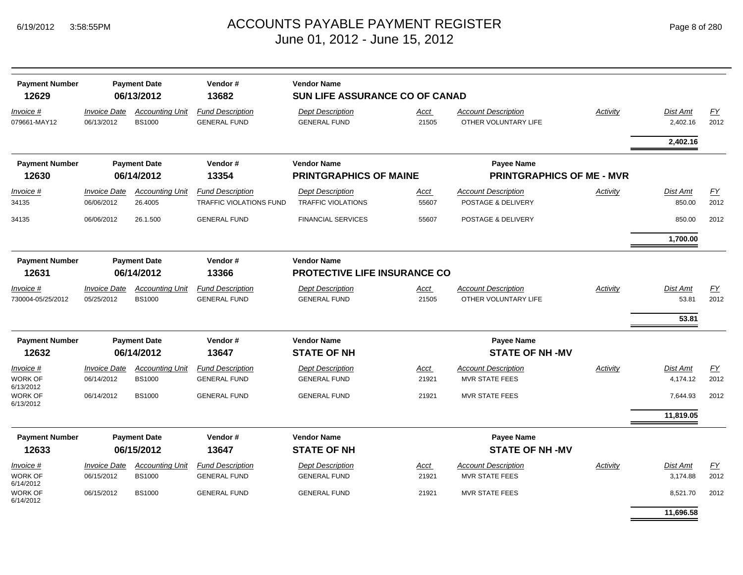| Page 8 of 280 |  |  |  |
|---------------|--|--|--|
|---------------|--|--|--|

| <b>Payment Number</b><br>12629    |                                   | <b>Payment Date</b><br>06/13/2012       | Vendor#<br>13682                                   | <b>Vendor Name</b><br>SUN LIFE ASSURANCE CO OF CANAD      |               |                                                     |                 |                           |                   |
|-----------------------------------|-----------------------------------|-----------------------------------------|----------------------------------------------------|-----------------------------------------------------------|---------------|-----------------------------------------------------|-----------------|---------------------------|-------------------|
| Invoice #<br>079661-MAY12         | <b>Invoice Date</b><br>06/13/2012 | <b>Accounting Unit</b><br><b>BS1000</b> | <b>Fund Description</b><br><b>GENERAL FUND</b>     | <b>Dept Description</b><br><b>GENERAL FUND</b>            | Acct<br>21505 | <b>Account Description</b><br>OTHER VOLUNTARY LIFE  | <b>Activity</b> | Dist Amt<br>2,402.16      | <b>FY</b><br>2012 |
|                                   |                                   |                                         |                                                    |                                                           |               |                                                     |                 | 2,402.16                  |                   |
| <b>Payment Number</b>             |                                   | <b>Payment Date</b>                     | Vendor#                                            | <b>Vendor Name</b>                                        |               | <b>Payee Name</b>                                   |                 |                           |                   |
| 12630                             |                                   | 06/14/2012                              | 13354                                              | <b>PRINTGRAPHICS OF MAINE</b>                             |               | <b>PRINTGRAPHICS OF ME - MVR</b>                    |                 |                           |                   |
| Invoice #<br>34135                | <b>Invoice Date</b><br>06/06/2012 | <b>Accounting Unit</b><br>26.4005       | <b>Fund Description</b><br>TRAFFIC VIOLATIONS FUND | <b>Dept Description</b><br><b>TRAFFIC VIOLATIONS</b>      | Acct<br>55607 | <b>Account Description</b><br>POSTAGE & DELIVERY    | Activity        | <b>Dist Amt</b><br>850.00 | <u>FY</u><br>2012 |
| 34135                             | 06/06/2012                        | 26.1.500                                | <b>GENERAL FUND</b>                                | <b>FINANCIAL SERVICES</b>                                 | 55607         | POSTAGE & DELIVERY                                  |                 | 850.00                    | 2012              |
|                                   |                                   |                                         |                                                    |                                                           |               |                                                     |                 | 1,700.00                  |                   |
| <b>Payment Number</b><br>12631    |                                   | <b>Payment Date</b><br>06/14/2012       | Vendor#<br>13366                                   | <b>Vendor Name</b><br><b>PROTECTIVE LIFE INSURANCE CO</b> |               |                                                     |                 |                           |                   |
| Invoice #<br>730004-05/25/2012    | <b>Invoice Date</b><br>05/25/2012 | <b>Accounting Unit</b><br><b>BS1000</b> | <b>Fund Description</b><br><b>GENERAL FUND</b>     | <b>Dept Description</b><br><b>GENERAL FUND</b>            | Acct<br>21505 | <b>Account Description</b><br>OTHER VOLUNTARY LIFE  | Activity        | <b>Dist Amt</b><br>53.81  | <u>FY</u><br>2012 |
|                                   |                                   |                                         |                                                    |                                                           |               |                                                     |                 | 53.81                     |                   |
| <b>Payment Number</b><br>12632    |                                   | <b>Payment Date</b><br>06/14/2012       | Vendor#<br>13647                                   | <b>Vendor Name</b><br><b>STATE OF NH</b>                  |               | <b>Payee Name</b><br><b>STATE OF NH-MV</b>          |                 |                           |                   |
| Invoice #                         | <b>Invoice Date</b>               | <b>Accounting Unit</b>                  | <b>Fund Description</b>                            | <b>Dept Description</b>                                   | Acct          | <b>Account Description</b>                          | Activity        | <b>Dist Amt</b>           | <b>FY</b>         |
| <b>WORK OF</b><br>6/13/2012       | 06/14/2012                        | <b>BS1000</b>                           | <b>GENERAL FUND</b>                                | <b>GENERAL FUND</b>                                       | 21921         | <b>MVR STATE FEES</b>                               |                 | 4,174.12                  | 2012              |
| WORK OF<br>6/13/2012              | 06/14/2012                        | <b>BS1000</b>                           | <b>GENERAL FUND</b>                                | <b>GENERAL FUND</b>                                       | 21921         | <b>MVR STATE FEES</b>                               |                 | 7,644.93                  | 2012              |
|                                   |                                   |                                         |                                                    |                                                           |               |                                                     |                 | 11,819.05                 |                   |
| <b>Payment Number</b>             |                                   | <b>Payment Date</b>                     | Vendor#                                            | <b>Vendor Name</b>                                        |               | Payee Name                                          |                 |                           |                   |
| 12633                             |                                   | 06/15/2012                              | 13647                                              | <b>STATE OF NH</b>                                        |               | <b>STATE OF NH-MV</b>                               |                 |                           |                   |
| Invoice #<br>WORK OF<br>6/14/2012 | <b>Invoice Date</b><br>06/15/2012 | <b>Accounting Unit</b><br><b>BS1000</b> | <b>Fund Description</b><br><b>GENERAL FUND</b>     | <b>Dept Description</b><br><b>GENERAL FUND</b>            | Acct<br>21921 | <b>Account Description</b><br><b>MVR STATE FEES</b> | <b>Activity</b> | Dist Amt<br>3,174.88      | <b>FY</b><br>2012 |
| WORK OF<br>6/14/2012              | 06/15/2012                        | <b>BS1000</b>                           | <b>GENERAL FUND</b>                                | <b>GENERAL FUND</b>                                       | 21921         | <b>MVR STATE FEES</b>                               |                 | 8,521.70                  | 2012              |
|                                   |                                   |                                         |                                                    |                                                           |               |                                                     |                 | 11,696.58                 |                   |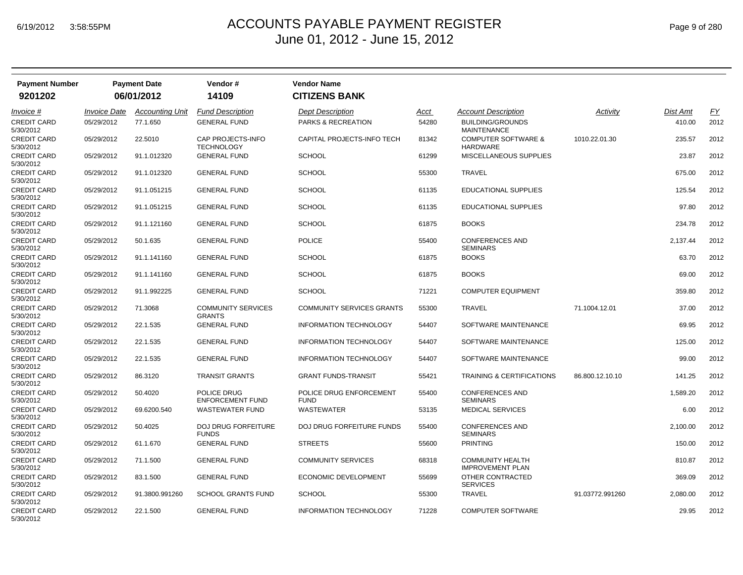| <b>Payment Number</b>           |                            | <b>Payment Date</b>    | Vendor#                                    | <b>Vendor Name</b>                     |       |                                                    |                 |          |           |
|---------------------------------|----------------------------|------------------------|--------------------------------------------|----------------------------------------|-------|----------------------------------------------------|-----------------|----------|-----------|
| 9201202                         |                            | 06/01/2012             | 14109                                      | <b>CITIZENS BANK</b>                   |       |                                                    |                 |          |           |
| <i>Invoice</i> #                | <i><b>Invoice Date</b></i> | <b>Accounting Unit</b> | <b>Fund Description</b>                    | <b>Dept Description</b>                | Acct  | <b>Account Description</b>                         | Activity        | Dist Amt | <u>FY</u> |
| <b>CREDIT CARD</b><br>5/30/2012 | 05/29/2012                 | 77.1.650               | <b>GENERAL FUND</b>                        | PARKS & RECREATION                     | 54280 | <b>BUILDING/GROUNDS</b><br><b>MAINTENANCE</b>      |                 | 410.00   | 2012      |
| <b>CREDIT CARD</b><br>5/30/2012 | 05/29/2012                 | 22.5010                | CAP PROJECTS-INFO<br><b>TECHNOLOGY</b>     | CAPITAL PROJECTS-INFO TECH             | 81342 | <b>COMPUTER SOFTWARE &amp;</b><br><b>HARDWARE</b>  | 1010.22.01.30   | 235.57   | 2012      |
| <b>CREDIT CARD</b><br>5/30/2012 | 05/29/2012                 | 91.1.012320            | <b>GENERAL FUND</b>                        | <b>SCHOOL</b>                          | 61299 | <b>MISCELLANEOUS SUPPLIES</b>                      |                 | 23.87    | 2012      |
| <b>CREDIT CARD</b><br>5/30/2012 | 05/29/2012                 | 91.1.012320            | <b>GENERAL FUND</b>                        | <b>SCHOOL</b>                          | 55300 | <b>TRAVEL</b>                                      |                 | 675.00   | 2012      |
| CREDIT CARD<br>5/30/2012        | 05/29/2012                 | 91.1.051215            | <b>GENERAL FUND</b>                        | <b>SCHOOL</b>                          | 61135 | EDUCATIONAL SUPPLIES                               |                 | 125.54   | 2012      |
| CREDIT CARD<br>5/30/2012        | 05/29/2012                 | 91.1.051215            | <b>GENERAL FUND</b>                        | <b>SCHOOL</b>                          | 61135 | EDUCATIONAL SUPPLIES                               |                 | 97.80    | 2012      |
| <b>CREDIT CARD</b><br>5/30/2012 | 05/29/2012                 | 91.1.121160            | <b>GENERAL FUND</b>                        | <b>SCHOOL</b>                          | 61875 | <b>BOOKS</b>                                       |                 | 234.78   | 2012      |
| <b>CREDIT CARD</b><br>5/30/2012 | 05/29/2012                 | 50.1.635               | <b>GENERAL FUND</b>                        | <b>POLICE</b>                          | 55400 | <b>CONFERENCES AND</b><br>SEMINARS                 |                 | 2,137.44 | 2012      |
| <b>CREDIT CARD</b><br>5/30/2012 | 05/29/2012                 | 91.1.141160            | <b>GENERAL FUND</b>                        | <b>SCHOOL</b>                          | 61875 | <b>BOOKS</b>                                       |                 | 63.70    | 2012      |
| <b>CREDIT CARD</b><br>5/30/2012 | 05/29/2012                 | 91.1.141160            | <b>GENERAL FUND</b>                        | <b>SCHOOL</b>                          | 61875 | <b>BOOKS</b>                                       |                 | 69.00    | 2012      |
| CREDIT CARD<br>5/30/2012        | 05/29/2012                 | 91.1.992225            | <b>GENERAL FUND</b>                        | <b>SCHOOL</b>                          | 71221 | <b>COMPUTER EQUIPMENT</b>                          |                 | 359.80   | 2012      |
| <b>CREDIT CARD</b><br>5/30/2012 | 05/29/2012                 | 71.3068                | <b>COMMUNITY SERVICES</b><br><b>GRANTS</b> | <b>COMMUNITY SERVICES GRANTS</b>       | 55300 | <b>TRAVEL</b>                                      | 71.1004.12.01   | 37.00    | 2012      |
| <b>CREDIT CARD</b><br>5/30/2012 | 05/29/2012                 | 22.1.535               | <b>GENERAL FUND</b>                        | INFORMATION TECHNOLOGY                 | 54407 | SOFTWARE MAINTENANCE                               |                 | 69.95    | 2012      |
| CREDIT CARD<br>5/30/2012        | 05/29/2012                 | 22.1.535               | <b>GENERAL FUND</b>                        | <b>INFORMATION TECHNOLOGY</b>          | 54407 | SOFTWARE MAINTENANCE                               |                 | 125.00   | 2012      |
| <b>CREDIT CARD</b><br>5/30/2012 | 05/29/2012                 | 22.1.535               | <b>GENERAL FUND</b>                        | <b>INFORMATION TECHNOLOGY</b>          | 54407 | SOFTWARE MAINTENANCE                               |                 | 99.00    | 2012      |
| <b>CREDIT CARD</b><br>5/30/2012 | 05/29/2012                 | 86.3120                | <b>TRANSIT GRANTS</b>                      | <b>GRANT FUNDS-TRANSIT</b>             | 55421 | <b>TRAINING &amp; CERTIFICATIONS</b>               | 86.800.12.10.10 | 141.25   | 2012      |
| <b>CREDIT CARD</b><br>5/30/2012 | 05/29/2012                 | 50.4020                | POLICE DRUG<br><b>ENFORCEMENT FUND</b>     | POLICE DRUG ENFORCEMENT<br><b>FUND</b> | 55400 | <b>CONFERENCES AND</b><br><b>SEMINARS</b>          |                 | 1,589.20 | 2012      |
| CREDIT CARD<br>5/30/2012        | 05/29/2012                 | 69.6200.540            | <b>WASTEWATER FUND</b>                     | <b>WASTEWATER</b>                      | 53135 | <b>MEDICAL SERVICES</b>                            |                 | 6.00     | 2012      |
| CREDIT CARD<br>5/30/2012        | 05/29/2012                 | 50.4025                | <b>DOJ DRUG FORFEITURE</b><br><b>FUNDS</b> | DOJ DRUG FORFEITURE FUNDS              | 55400 | <b>CONFERENCES AND</b><br><b>SEMINARS</b>          |                 | 2,100.00 | 2012      |
| CREDIT CARD<br>5/30/2012        | 05/29/2012                 | 61.1.670               | <b>GENERAL FUND</b>                        | <b>STREETS</b>                         | 55600 | <b>PRINTING</b>                                    |                 | 150.00   | 2012      |
| CREDIT CARD<br>5/30/2012        | 05/29/2012                 | 71.1.500               | <b>GENERAL FUND</b>                        | <b>COMMUNITY SERVICES</b>              | 68318 | <b>COMMUNITY HEALTH</b><br><b>IMPROVEMENT PLAN</b> |                 | 810.87   | 2012      |
| CREDIT CARD<br>5/30/2012        | 05/29/2012                 | 83.1.500               | <b>GENERAL FUND</b>                        | ECONOMIC DEVELOPMENT                   | 55699 | OTHER CONTRACTED<br><b>SERVICES</b>                |                 | 369.09   | 2012      |
| CREDIT CARD<br>5/30/2012        | 05/29/2012                 | 91.3800.991260         | <b>SCHOOL GRANTS FUND</b>                  | <b>SCHOOL</b>                          | 55300 | <b>TRAVEL</b>                                      | 91.03772.991260 | 2,080.00 | 2012      |
| CREDIT CARD<br>5/30/2012        | 05/29/2012                 | 22.1.500               | <b>GENERAL FUND</b>                        | <b>INFORMATION TECHNOLOGY</b>          | 71228 | <b>COMPUTER SOFTWARE</b>                           |                 | 29.95    | 2012      |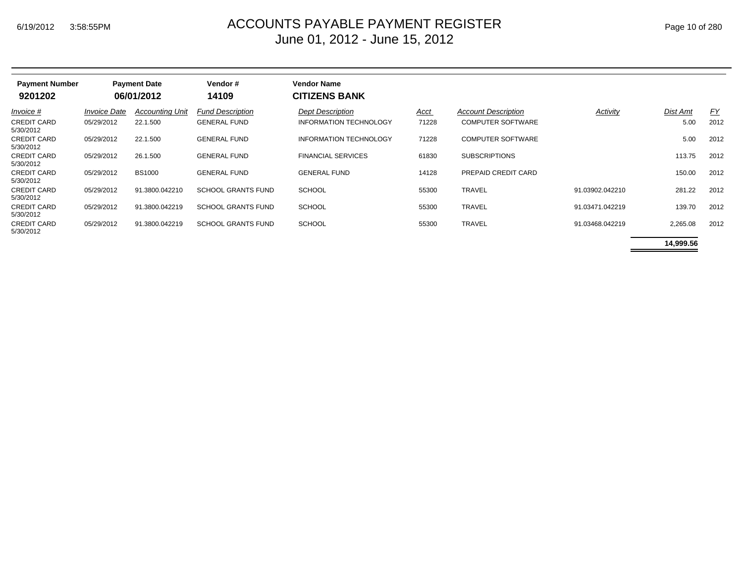| <b>Payment Number</b><br>9201202 |                     | <b>Payment Date</b><br>06/01/2012 | Vendor#<br>14109          | <b>Vendor Name</b><br><b>CITIZENS BANK</b> |       |                            |                 |          |           |
|----------------------------------|---------------------|-----------------------------------|---------------------------|--------------------------------------------|-------|----------------------------|-----------------|----------|-----------|
| Invoice #                        | <b>Invoice Date</b> | <b>Accounting Unit</b>            | <b>Fund Description</b>   | <b>Dept Description</b>                    | Acct  | <b>Account Description</b> | Activity        | Dist Amt | <u>FY</u> |
| CREDIT CARD<br>5/30/2012         | 05/29/2012          | 22.1.500                          | <b>GENERAL FUND</b>       | <b>INFORMATION TECHNOLOGY</b>              | 71228 | <b>COMPUTER SOFTWARE</b>   |                 | 5.00     | 2012      |
| CREDIT CARD<br>5/30/2012         | 05/29/2012          | 22.1.500                          | <b>GENERAL FUND</b>       | <b>INFORMATION TECHNOLOGY</b>              | 71228 | <b>COMPUTER SOFTWARE</b>   |                 | 5.00     | 2012      |
| CREDIT CARD<br>5/30/2012         | 05/29/2012          | 26.1.500                          | <b>GENERAL FUND</b>       | <b>FINANCIAL SERVICES</b>                  | 61830 | <b>SUBSCRIPTIONS</b>       |                 | 113.75   | 2012      |
| CREDIT CARD<br>5/30/2012         | 05/29/2012          | <b>BS1000</b>                     | <b>GENERAL FUND</b>       | <b>GENERAL FUND</b>                        | 14128 | PREPAID CREDIT CARD        |                 | 150.00   | 2012      |
| CREDIT CARD<br>5/30/2012         | 05/29/2012          | 91.3800.042210                    | <b>SCHOOL GRANTS FUND</b> | <b>SCHOOL</b>                              | 55300 | <b>TRAVEL</b>              | 91.03902.042210 | 281.22   | 2012      |
| CREDIT CARD<br>5/30/2012         | 05/29/2012          | 91.3800.042219                    | <b>SCHOOL GRANTS FUND</b> | <b>SCHOOL</b>                              | 55300 | <b>TRAVEL</b>              | 91.03471.042219 | 139.70   | 2012      |
| <b>CREDIT CARD</b><br>5/30/2012  | 05/29/2012          | 91.3800.042219                    | <b>SCHOOL GRANTS FUND</b> | <b>SCHOOL</b>                              | 55300 | <b>TRAVEL</b>              | 91.03468.042219 | 2,265.08 | 2012      |

**14,999.56**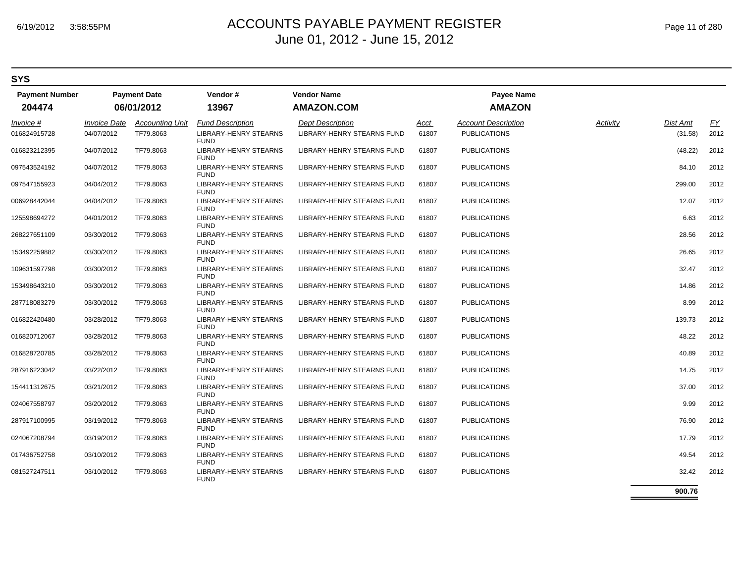#### **SYS**

| <b>Payment Number</b><br>204474 | <b>Payment Date</b><br>06/01/2012 |                        | Vendor#<br>13967                            | <b>Vendor Name</b><br><b>AMAZON.COM</b> |       | <b>Payee Name</b><br><b>AMAZON</b> |          |          |           |
|---------------------------------|-----------------------------------|------------------------|---------------------------------------------|-----------------------------------------|-------|------------------------------------|----------|----------|-----------|
| Invoice #                       | <b>Invoice Date</b>               | <b>Accounting Unit</b> | <b>Fund Description</b>                     | <b>Dept Description</b>                 | Acct  | <b>Account Description</b>         | Activity | Dist Amt | <u>FY</u> |
| 016824915728                    | 04/07/2012                        | TF79.8063              | <b>LIBRARY-HENRY STEARNS</b><br><b>FUND</b> | LIBRARY-HENRY STEARNS FUND              | 61807 | <b>PUBLICATIONS</b>                |          | (31.58)  | 2012      |
| 016823212395                    | 04/07/2012                        | TF79.8063              | <b>LIBRARY-HENRY STEARNS</b><br><b>FUND</b> | <b>LIBRARY-HENRY STEARNS FUND</b>       | 61807 | <b>PUBLICATIONS</b>                |          | (48.22)  | 2012      |
| 097543524192                    | 04/07/2012                        | TF79.8063              | LIBRARY-HENRY STEARNS<br><b>FUND</b>        | LIBRARY-HENRY STEARNS FUND              | 61807 | <b>PUBLICATIONS</b>                |          | 84.10    | 2012      |
| 097547155923                    | 04/04/2012                        | TF79.8063              | LIBRARY-HENRY STEARNS<br><b>FUND</b>        | LIBRARY-HENRY STEARNS FUND              | 61807 | <b>PUBLICATIONS</b>                |          | 299.00   | 2012      |
| 006928442044                    | 04/04/2012                        | TF79.8063              | LIBRARY-HENRY STEARNS<br><b>FUND</b>        | LIBRARY-HENRY STEARNS FUND              | 61807 | <b>PUBLICATIONS</b>                |          | 12.07    | 2012      |
| 125598694272                    | 04/01/2012                        | TF79.8063              | LIBRARY-HENRY STEARNS<br><b>FUND</b>        | LIBRARY-HENRY STEARNS FUND              | 61807 | <b>PUBLICATIONS</b>                |          | 6.63     | 2012      |
| 268227651109                    | 03/30/2012                        | TF79.8063              | LIBRARY-HENRY STEARNS<br><b>FUND</b>        | LIBRARY-HENRY STEARNS FUND              | 61807 | <b>PUBLICATIONS</b>                |          | 28.56    | 2012      |
| 153492259882                    | 03/30/2012                        | TF79.8063              | LIBRARY-HENRY STEARNS<br><b>FUND</b>        | LIBRARY-HENRY STEARNS FUND              | 61807 | <b>PUBLICATIONS</b>                |          | 26.65    | 2012      |
| 109631597798                    | 03/30/2012                        | TF79.8063              | LIBRARY-HENRY STEARNS<br><b>FUND</b>        | LIBRARY-HENRY STEARNS FUND              | 61807 | <b>PUBLICATIONS</b>                |          | 32.47    | 2012      |
| 153498643210                    | 03/30/2012                        | TF79.8063              | <b>LIBRARY-HENRY STEARNS</b><br><b>FUND</b> | LIBRARY-HENRY STEARNS FUND              | 61807 | <b>PUBLICATIONS</b>                |          | 14.86    | 2012      |
| 287718083279                    | 03/30/2012                        | TF79.8063              | <b>LIBRARY-HENRY STEARNS</b><br><b>FUND</b> | <b>LIBRARY-HENRY STEARNS FUND</b>       | 61807 | <b>PUBLICATIONS</b>                |          | 8.99     | 2012      |
| 016822420480                    | 03/28/2012                        | TF79.8063              | LIBRARY-HENRY STEARNS<br><b>FUND</b>        | LIBRARY-HENRY STEARNS FUND              | 61807 | <b>PUBLICATIONS</b>                |          | 139.73   | 2012      |
| 016820712067                    | 03/28/2012                        | TF79.8063              | LIBRARY-HENRY STEARNS<br><b>FUND</b>        | LIBRARY-HENRY STEARNS FUND              | 61807 | <b>PUBLICATIONS</b>                |          | 48.22    | 2012      |
| 016828720785                    | 03/28/2012                        | TF79.8063              | LIBRARY-HENRY STEARNS<br><b>FUND</b>        | LIBRARY-HENRY STEARNS FUND              | 61807 | <b>PUBLICATIONS</b>                |          | 40.89    | 2012      |
| 287916223042                    | 03/22/2012                        | TF79.8063              | LIBRARY-HENRY STEARNS<br><b>FUND</b>        | LIBRARY-HENRY STEARNS FUND              | 61807 | <b>PUBLICATIONS</b>                |          | 14.75    | 2012      |
| 154411312675                    | 03/21/2012                        | TF79.8063              | LIBRARY-HENRY STEARNS<br><b>FUND</b>        | LIBRARY-HENRY STEARNS FUND              | 61807 | <b>PUBLICATIONS</b>                |          | 37.00    | 2012      |
| 024067558797                    | 03/20/2012                        | TF79.8063              | LIBRARY-HENRY STEARNS<br><b>FUND</b>        | LIBRARY-HENRY STEARNS FUND              | 61807 | <b>PUBLICATIONS</b>                |          | 9.99     | 2012      |
| 287917100995                    | 03/19/2012                        | TF79.8063              | LIBRARY-HENRY STEARNS<br><b>FUND</b>        | LIBRARY-HENRY STEARNS FUND              | 61807 | <b>PUBLICATIONS</b>                |          | 76.90    | 2012      |
| 024067208794                    | 03/19/2012                        | TF79.8063              | LIBRARY-HENRY STEARNS<br><b>FUND</b>        | LIBRARY-HENRY STEARNS FUND              | 61807 | <b>PUBLICATIONS</b>                |          | 17.79    | 2012      |
| 017436752758                    | 03/10/2012                        | TF79.8063              | <b>LIBRARY-HENRY STEARNS</b><br><b>FUND</b> | LIBRARY-HENRY STEARNS FUND              | 61807 | <b>PUBLICATIONS</b>                |          | 49.54    | 2012      |
| 081527247511                    | 03/10/2012                        | TF79.8063              | LIBRARY-HENRY STEARNS<br><b>FUND</b>        | LIBRARY-HENRY STEARNS FUND              | 61807 | <b>PUBLICATIONS</b>                |          | 32.42    | 2012      |

**900.76**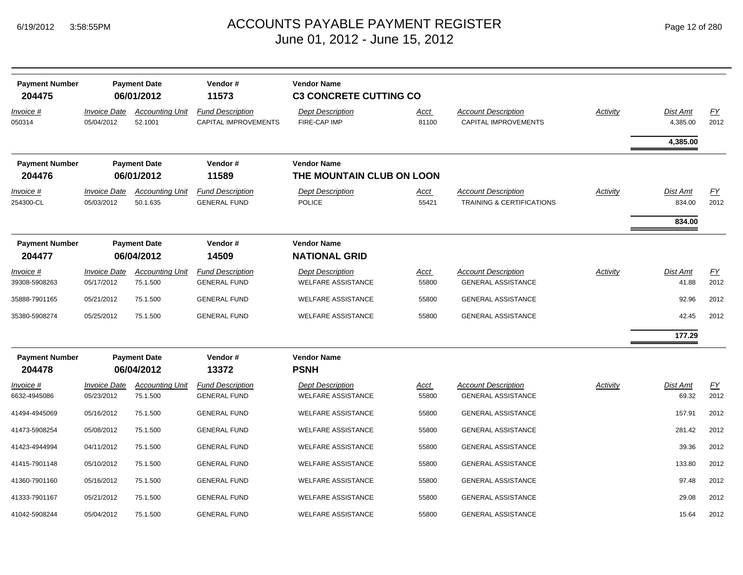| <b>Payment Number</b><br>204475 |                                          | <b>Payment Date</b><br>06/01/2012  | Vendor#<br>11573                                       | <b>Vendor Name</b><br><b>C3 CONCRETE CUTTING CO</b>  |                      |                                                                    |                 |                      |            |
|---------------------------------|------------------------------------------|------------------------------------|--------------------------------------------------------|------------------------------------------------------|----------------------|--------------------------------------------------------------------|-----------------|----------------------|------------|
| Invoice #<br>050314             | <i><b>Invoice Date</b></i><br>05/04/2012 | <b>Accounting Unit</b><br>52.1001  | <b>Fund Description</b><br><b>CAPITAL IMPROVEMENTS</b> | <b>Dept Description</b><br>FIRE-CAP IMP              | <u>Acct</u><br>81100 | <b>Account Description</b><br>CAPITAL IMPROVEMENTS                 | <b>Activity</b> | Dist Amt<br>4,385.00 | EY<br>2012 |
|                                 |                                          |                                    |                                                        |                                                      |                      |                                                                    |                 | 4,385.00             |            |
| <b>Payment Number</b><br>204476 |                                          | <b>Payment Date</b><br>06/01/2012  | Vendor#<br>11589                                       | <b>Vendor Name</b><br>THE MOUNTAIN CLUB ON LOON      |                      |                                                                    |                 |                      |            |
| Invoice #<br>254300-CL          | <b>Invoice Date</b><br>05/03/2012        | <b>Accounting Unit</b><br>50.1.635 | <b>Fund Description</b><br><b>GENERAL FUND</b>         | <b>Dept Description</b><br><b>POLICE</b>             | <u>Acct</u><br>55421 | <b>Account Description</b><br><b>TRAINING &amp; CERTIFICATIONS</b> | <b>Activity</b> | Dist Amt<br>834.00   | EY<br>2012 |
|                                 |                                          |                                    |                                                        |                                                      |                      |                                                                    |                 | 834.00               |            |
| <b>Payment Number</b><br>204477 |                                          | <b>Payment Date</b><br>06/04/2012  | Vendor#<br>14509                                       | <b>Vendor Name</b><br><b>NATIONAL GRID</b>           |                      |                                                                    |                 |                      |            |
| Invoice #<br>39308-5908263      | <b>Invoice Date</b><br>05/17/2012        | <b>Accounting Unit</b><br>75.1.500 | <b>Fund Description</b><br><b>GENERAL FUND</b>         | <b>Dept Description</b><br><b>WELFARE ASSISTANCE</b> | <u>Acct</u><br>55800 | <b>Account Description</b><br><b>GENERAL ASSISTANCE</b>            | Activity        | Dist Amt<br>41.88    | EY<br>2012 |
| 35888-7901165                   | 05/21/2012                               | 75.1.500                           | <b>GENERAL FUND</b>                                    | <b>WELFARE ASSISTANCE</b>                            | 55800                | <b>GENERAL ASSISTANCE</b>                                          |                 | 92.96                | 2012       |
| 35380-5908274                   | 05/25/2012                               | 75.1.500                           | <b>GENERAL FUND</b>                                    | <b>WELFARE ASSISTANCE</b>                            | 55800                | <b>GENERAL ASSISTANCE</b>                                          |                 | 42.45                | 2012       |
|                                 |                                          |                                    |                                                        |                                                      |                      |                                                                    |                 | 177.29               |            |
| <b>Payment Number</b><br>204478 |                                          | <b>Payment Date</b><br>06/04/2012  | Vendor#<br>13372                                       | <b>Vendor Name</b><br><b>PSNH</b>                    |                      |                                                                    |                 |                      |            |
| Invoice #<br>6632-4945086       | <b>Invoice Date</b><br>05/23/2012        | <b>Accounting Unit</b><br>75.1.500 | <b>Fund Description</b><br><b>GENERAL FUND</b>         | <b>Dept Description</b><br><b>WELFARE ASSISTANCE</b> | Acct<br>55800        | <b>Account Description</b><br><b>GENERAL ASSISTANCE</b>            | Activity        | Dist Amt<br>69.32    | EY<br>2012 |
| 41494-4945069                   | 05/16/2012                               | 75.1.500                           | <b>GENERAL FUND</b>                                    | <b>WELFARE ASSISTANCE</b>                            | 55800                | <b>GENERAL ASSISTANCE</b>                                          |                 | 157.91               | 2012       |
| 41473-5908254                   | 05/08/2012                               | 75.1.500                           | <b>GENERAL FUND</b>                                    | <b>WELFARE ASSISTANCE</b>                            | 55800                | <b>GENERAL ASSISTANCE</b>                                          |                 | 281.42               | 2012       |
| 41423-4944994                   | 04/11/2012                               | 75.1.500                           | <b>GENERAL FUND</b>                                    | <b>WELFARE ASSISTANCE</b>                            | 55800                | <b>GENERAL ASSISTANCE</b>                                          |                 | 39.36                | 2012       |
| 41415-7901148                   | 05/10/2012                               | 75.1.500                           | <b>GENERAL FUND</b>                                    | <b>WELFARE ASSISTANCE</b>                            | 55800                | <b>GENERAL ASSISTANCE</b>                                          |                 | 133.80               | 2012       |
| 41360-7901160                   | 05/16/2012                               | 75.1.500                           | <b>GENERAL FUND</b>                                    | <b>WELFARE ASSISTANCE</b>                            | 55800                | <b>GENERAL ASSISTANCE</b>                                          |                 | 97.48                | 2012       |
| 41333-7901167                   | 05/21/2012                               | 75.1.500                           | <b>GENERAL FUND</b>                                    | <b>WELFARE ASSISTANCE</b>                            | 55800                | <b>GENERAL ASSISTANCE</b>                                          |                 | 29.08                | 2012       |
| 41042-5908244                   | 05/04/2012                               | 75.1.500                           | <b>GENERAL FUND</b>                                    | <b>WELFARE ASSISTANCE</b>                            | 55800                | <b>GENERAL ASSISTANCE</b>                                          |                 | 15.64                | 2012       |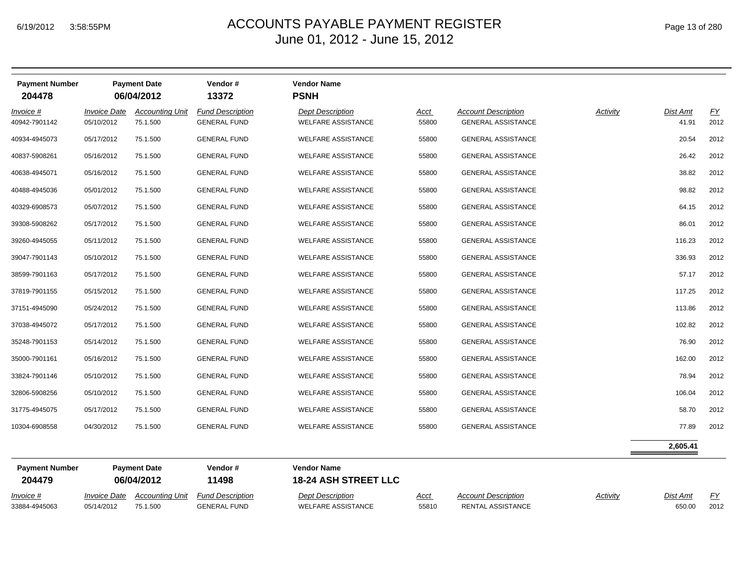33884-4945063 05/14/2012 75.1.500

#### $_{\mathsf{M}}$   $\blacksquare$   $\blacksquare$   $\blacksquare$   $\blacksquare$   $\blacksquare$   $\blacksquare$   $\blacksquare$   $\blacksquare$   $\blacksquare$   $\blacksquare$   $\blacksquare$   $\blacksquare$   $\blacksquare$   $\blacksquare$   $\blacksquare$   $\blacksquare$   $\blacksquare$   $\blacksquare$   $\blacksquare$   $\blacksquare$   $\blacksquare$   $\blacksquare$   $\blacksquare$   $\blacksquare$   $\blacksquare$   $\blacksquare$   $\blacksquare$   $\blacksquare$   $\blacksquare$   $\blacksquare$  June 01, 2012 - June 15, 2012

| <b>Payment Number</b><br>204478 |                     | <b>Payment Date</b><br>06/04/2012 | Vendor#<br>13372        | <b>Vendor Name</b><br><b>PSNH</b>                 |       |                            |          |          |           |
|---------------------------------|---------------------|-----------------------------------|-------------------------|---------------------------------------------------|-------|----------------------------|----------|----------|-----------|
| Invoice #                       | <b>Invoice Date</b> | <b>Accounting Unit</b>            | <b>Fund Description</b> | <b>Dept Description</b>                           | Acct  | <b>Account Description</b> | Activity | Dist Amt | EY        |
| 40942-7901142                   | 05/10/2012          | 75.1.500                          | <b>GENERAL FUND</b>     | <b>WELFARE ASSISTANCE</b>                         | 55800 | <b>GENERAL ASSISTANCE</b>  |          | 41.91    | 2012      |
| 40934-4945073                   | 05/17/2012          | 75.1.500                          | <b>GENERAL FUND</b>     | <b>WELFARE ASSISTANCE</b>                         | 55800 | <b>GENERAL ASSISTANCE</b>  |          | 20.54    | 2012      |
| 40837-5908261                   | 05/16/2012          | 75.1.500                          | <b>GENERAL FUND</b>     | <b>WELFARE ASSISTANCE</b>                         | 55800 | <b>GENERAL ASSISTANCE</b>  |          | 26.42    | 2012      |
| 40638-4945071                   | 05/16/2012          | 75.1.500                          | <b>GENERAL FUND</b>     | <b>WELFARE ASSISTANCE</b>                         | 55800 | <b>GENERAL ASSISTANCE</b>  |          | 38.82    | 2012      |
| 40488-4945036                   | 05/01/2012          | 75.1.500                          | <b>GENERAL FUND</b>     | <b>WELFARE ASSISTANCE</b>                         | 55800 | <b>GENERAL ASSISTANCE</b>  |          | 98.82    | 2012      |
| 40329-6908573                   | 05/07/2012          | 75.1.500                          | <b>GENERAL FUND</b>     | <b>WELFARE ASSISTANCE</b>                         | 55800 | <b>GENERAL ASSISTANCE</b>  |          | 64.15    | 2012      |
| 39308-5908262                   | 05/17/2012          | 75.1.500                          | <b>GENERAL FUND</b>     | <b>WELFARE ASSISTANCE</b>                         | 55800 | <b>GENERAL ASSISTANCE</b>  |          | 86.01    | 2012      |
| 39260-4945055                   | 05/11/2012          | 75.1.500                          | <b>GENERAL FUND</b>     | <b>WELFARE ASSISTANCE</b>                         | 55800 | <b>GENERAL ASSISTANCE</b>  |          | 116.23   | 2012      |
| 39047-7901143                   | 05/10/2012          | 75.1.500                          | <b>GENERAL FUND</b>     | <b>WELFARE ASSISTANCE</b>                         | 55800 | <b>GENERAL ASSISTANCE</b>  |          | 336.93   | 2012      |
| 38599-7901163                   | 05/17/2012          | 75.1.500                          | <b>GENERAL FUND</b>     | <b>WELFARE ASSISTANCE</b>                         | 55800 | <b>GENERAL ASSISTANCE</b>  |          | 57.17    | 2012      |
| 37819-7901155                   | 05/15/2012          | 75.1.500                          | <b>GENERAL FUND</b>     | <b>WELFARE ASSISTANCE</b>                         | 55800 | <b>GENERAL ASSISTANCE</b>  |          | 117.25   | 2012      |
| 37151-4945090                   | 05/24/2012          | 75.1.500                          | <b>GENERAL FUND</b>     | <b>WELFARE ASSISTANCE</b>                         | 55800 | <b>GENERAL ASSISTANCE</b>  |          | 113.86   | 2012      |
| 37038-4945072                   | 05/17/2012          | 75.1.500                          | <b>GENERAL FUND</b>     | <b>WELFARE ASSISTANCE</b>                         | 55800 | <b>GENERAL ASSISTANCE</b>  |          | 102.82   | 2012      |
| 35248-7901153                   | 05/14/2012          | 75.1.500                          | <b>GENERAL FUND</b>     | <b>WELFARE ASSISTANCE</b>                         | 55800 | <b>GENERAL ASSISTANCE</b>  |          | 76.90    | 2012      |
| 35000-7901161                   | 05/16/2012          | 75.1.500                          | <b>GENERAL FUND</b>     | <b>WELFARE ASSISTANCE</b>                         | 55800 | <b>GENERAL ASSISTANCE</b>  |          | 162.00   | 2012      |
| 33824-7901146                   | 05/10/2012          | 75.1.500                          | <b>GENERAL FUND</b>     | <b>WELFARE ASSISTANCE</b>                         | 55800 | <b>GENERAL ASSISTANCE</b>  |          | 78.94    | 2012      |
| 32806-5908256                   | 05/10/2012          | 75.1.500                          | <b>GENERAL FUND</b>     | <b>WELFARE ASSISTANCE</b>                         | 55800 | <b>GENERAL ASSISTANCE</b>  |          | 106.04   | 2012      |
| 31775-4945075                   | 05/17/2012          | 75.1.500                          | <b>GENERAL FUND</b>     | <b>WELFARE ASSISTANCE</b>                         | 55800 | <b>GENERAL ASSISTANCE</b>  |          | 58.70    | 2012      |
| 10304-6908558                   | 04/30/2012          | 75.1.500                          | <b>GENERAL FUND</b>     | <b>WELFARE ASSISTANCE</b>                         | 55800 | <b>GENERAL ASSISTANCE</b>  |          | 77.89    | 2012      |
|                                 |                     |                                   |                         |                                                   |       |                            |          | 2,605.41 |           |
| <b>Payment Number</b><br>204479 |                     | <b>Payment Date</b><br>06/04/2012 | Vendor#<br>11498        | <b>Vendor Name</b><br><b>18-24 ASH STREET LLC</b> |       |                            |          |          |           |
| Invoice #                       |                     | Invoice Date Accounting Unit      | <b>Fund Description</b> | <b>Dept Description</b>                           | Acct  | <b>Account Description</b> | Activity | Dist Amt | <u>FY</u> |

GENERAL FUND WELFARE ASSISTANCE 55810 RENTAL ASSISTANCE

650.00 2012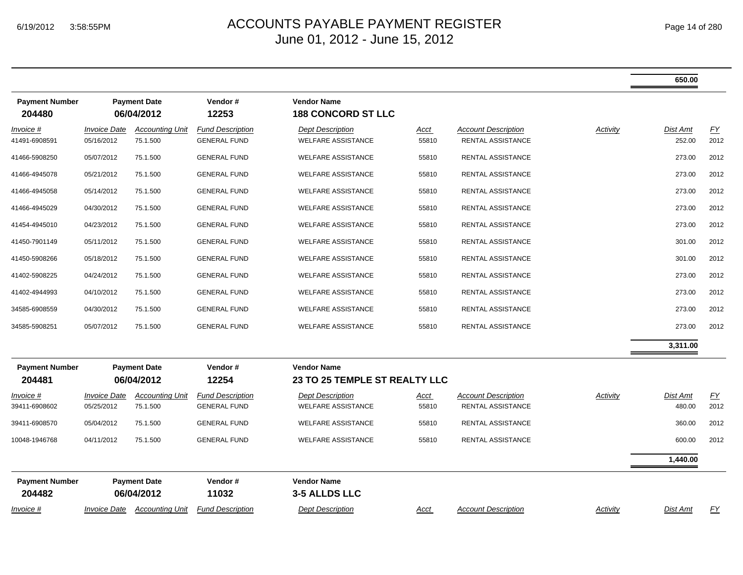|                                 |                                   |                                    |                                                |                                                      |               |                                                 |          | 650.00             |            |
|---------------------------------|-----------------------------------|------------------------------------|------------------------------------------------|------------------------------------------------------|---------------|-------------------------------------------------|----------|--------------------|------------|
| <b>Payment Number</b><br>204480 |                                   | <b>Payment Date</b><br>06/04/2012  | Vendor#<br>12253                               | <b>Vendor Name</b><br><b>188 CONCORD ST LLC</b>      |               |                                                 |          |                    |            |
| Invoice #<br>41491-6908591      | <b>Invoice Date</b><br>05/16/2012 | <b>Accounting Unit</b><br>75.1.500 | <b>Fund Description</b><br><b>GENERAL FUND</b> | <b>Dept Description</b><br><b>WELFARE ASSISTANCE</b> | Acct<br>55810 | <b>Account Description</b><br>RENTAL ASSISTANCE | Activity | Dist Amt<br>252.00 | EY<br>2012 |
| 41466-5908250                   | 05/07/2012                        | 75.1.500                           | <b>GENERAL FUND</b>                            | <b>WELFARE ASSISTANCE</b>                            | 55810         | RENTAL ASSISTANCE                               |          | 273.00             | 2012       |
| 41466-4945078                   | 05/21/2012                        | 75.1.500                           | <b>GENERAL FUND</b>                            | <b>WELFARE ASSISTANCE</b>                            | 55810         | RENTAL ASSISTANCE                               |          | 273.00             | 2012       |
| 41466-4945058                   | 05/14/2012                        | 75.1.500                           | <b>GENERAL FUND</b>                            | <b>WELFARE ASSISTANCE</b>                            | 55810         | RENTAL ASSISTANCE                               |          | 273.00             | 2012       |
| 41466-4945029                   | 04/30/2012                        | 75.1.500                           | <b>GENERAL FUND</b>                            | <b>WELFARE ASSISTANCE</b>                            | 55810         | RENTAL ASSISTANCE                               |          | 273.00             | 2012       |
| 41454-4945010                   | 04/23/2012                        | 75.1.500                           | <b>GENERAL FUND</b>                            | <b>WELFARE ASSISTANCE</b>                            | 55810         | RENTAL ASSISTANCE                               |          | 273.00             | 2012       |
| 41450-7901149                   | 05/11/2012                        | 75.1.500                           | <b>GENERAL FUND</b>                            | <b>WELFARE ASSISTANCE</b>                            | 55810         | RENTAL ASSISTANCE                               |          | 301.00             | 2012       |
| 41450-5908266                   | 05/18/2012                        | 75.1.500                           | <b>GENERAL FUND</b>                            | <b>WELFARE ASSISTANCE</b>                            | 55810         | RENTAL ASSISTANCE                               |          | 301.00             | 2012       |
| 41402-5908225                   | 04/24/2012                        | 75.1.500                           | <b>GENERAL FUND</b>                            | <b>WELFARE ASSISTANCE</b>                            | 55810         | RENTAL ASSISTANCE                               |          | 273.00             | 2012       |
| 41402-4944993                   | 04/10/2012                        | 75.1.500                           | <b>GENERAL FUND</b>                            | <b>WELFARE ASSISTANCE</b>                            | 55810         | RENTAL ASSISTANCE                               |          | 273.00             | 2012       |
| 34585-6908559                   | 04/30/2012                        | 75.1.500                           | <b>GENERAL FUND</b>                            | <b>WELFARE ASSISTANCE</b>                            | 55810         | <b>RENTAL ASSISTANCE</b>                        |          | 273.00             | 2012       |
| 34585-5908251                   | 05/07/2012                        | 75.1.500                           | <b>GENERAL FUND</b>                            | <b>WELFARE ASSISTANCE</b>                            | 55810         | RENTAL ASSISTANCE                               |          | 273.00             | 2012       |
|                                 |                                   |                                    |                                                |                                                      |               |                                                 |          | 3,311.00           |            |
| <b>Payment Number</b><br>204481 |                                   | <b>Payment Date</b><br>06/04/2012  | Vendor#<br>12254                               | <b>Vendor Name</b><br>23 TO 25 TEMPLE ST REALTY LLC  |               |                                                 |          |                    |            |
| Invoice #<br>39411-6908602      | <b>Invoice Date</b><br>05/25/2012 | <b>Accounting Unit</b><br>75.1.500 | <b>Fund Description</b><br><b>GENERAL FUND</b> | <b>Dept Description</b><br><b>WELFARE ASSISTANCE</b> | Acct<br>55810 | <b>Account Description</b><br>RENTAL ASSISTANCE | Activity | Dist Amt<br>480.00 | EY<br>2012 |
| 39411-6908570                   | 05/04/2012                        | 75.1.500                           | <b>GENERAL FUND</b>                            | <b>WELFARE ASSISTANCE</b>                            | 55810         | <b>RENTAL ASSISTANCE</b>                        |          | 360.00             | 2012       |
| 10048-1946768                   | 04/11/2012                        | 75.1.500                           | <b>GENERAL FUND</b>                            | <b>WELFARE ASSISTANCE</b>                            | 55810         | RENTAL ASSISTANCE                               |          | 600.00             | 2012       |
|                                 |                                   |                                    |                                                |                                                      |               |                                                 |          | 1,440.00           |            |
| <b>Payment Number</b><br>204482 |                                   | <b>Payment Date</b><br>06/04/2012  | Vendor#<br>11032                               | <b>Vendor Name</b><br>3-5 ALLDS LLC                  |               |                                                 |          |                    |            |
| Invoice #                       | <b>Invoice Date</b>               | <b>Accounting Unit</b>             | <b>Fund Description</b>                        | <b>Dept Description</b>                              | Acct          | <b>Account Description</b>                      | Activity | Dist Amt           | <u>FY</u>  |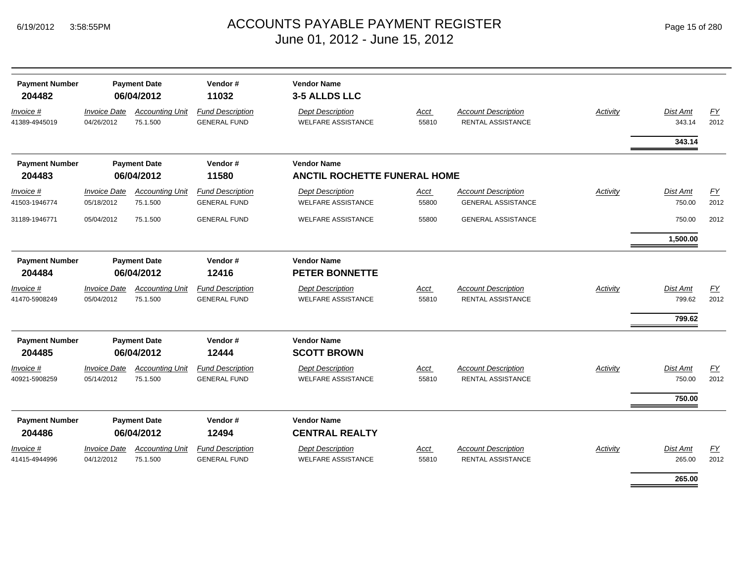|  | Page 15 of 280 |  |  |  |
|--|----------------|--|--|--|
|--|----------------|--|--|--|

| <b>Payment Number</b><br>204482 | <b>Payment Date</b><br>06/04/2012 | Vendor#<br>11032<br><b>Invoice Date</b> |                                                | <b>Vendor Name</b><br>3-5 ALLDS LLC                  |                      |                                                         |                 |                              |            |
|---------------------------------|-----------------------------------|-----------------------------------------|------------------------------------------------|------------------------------------------------------|----------------------|---------------------------------------------------------|-----------------|------------------------------|------------|
| Invoice #<br>41389-4945019      | 04/26/2012                        | <b>Accounting Unit</b><br>75.1.500      | <b>Fund Description</b><br><b>GENERAL FUND</b> | <b>Dept Description</b><br><b>WELFARE ASSISTANCE</b> | Acct<br>55810        | <b>Account Description</b><br><b>RENTAL ASSISTANCE</b>  | Activity        | <b>Dist Amt</b><br>343.14    | FY<br>2012 |
|                                 |                                   |                                         |                                                |                                                      |                      |                                                         |                 | 343.14                       |            |
| <b>Payment Number</b>           |                                   | <b>Payment Date</b>                     | Vendor#                                        | <b>Vendor Name</b>                                   |                      |                                                         |                 |                              |            |
| 204483                          |                                   | 06/04/2012                              | 11580                                          | <b>ANCTIL ROCHETTE FUNERAL HOME</b>                  |                      |                                                         |                 |                              |            |
| Invoice #<br>41503-1946774      | <b>Invoice Date</b><br>05/18/2012 | <b>Accounting Unit</b><br>75.1.500      | <b>Fund Description</b><br><b>GENERAL FUND</b> | <b>Dept Description</b><br><b>WELFARE ASSISTANCE</b> | Acct<br>55800        | <b>Account Description</b><br><b>GENERAL ASSISTANCE</b> | Activity        | <b>Dist Amt</b><br>750.00    | EY<br>2012 |
| 31189-1946771                   | 05/04/2012                        | 75.1.500                                | <b>GENERAL FUND</b>                            | <b>WELFARE ASSISTANCE</b>                            | 55800                | <b>GENERAL ASSISTANCE</b>                               |                 | 750.00                       | 2012       |
|                                 |                                   |                                         |                                                |                                                      |                      |                                                         |                 | 1,500.00                     |            |
| <b>Payment Number</b><br>204484 | <b>Payment Date</b><br>06/04/2012 |                                         | Vendor#<br>12416                               | <b>Vendor Name</b><br><b>PETER BONNETTE</b>          |                      |                                                         |                 |                              |            |
| Invoice #<br>41470-5908249      | <b>Invoice Date</b><br>05/04/2012 | <b>Accounting Unit</b><br>75.1.500      | <b>Fund Description</b><br><b>GENERAL FUND</b> | <b>Dept Description</b><br><b>WELFARE ASSISTANCE</b> | <b>Acct</b><br>55810 | <b>Account Description</b><br><b>RENTAL ASSISTANCE</b>  | <b>Activity</b> | Dist Amt<br>799.62<br>799.62 | EY<br>2012 |
| <b>Payment Number</b><br>204485 |                                   | <b>Payment Date</b><br>06/04/2012       | Vendor#<br>12444                               | <b>Vendor Name</b><br><b>SCOTT BROWN</b>             |                      |                                                         |                 |                              |            |
| Invoice #<br>40921-5908259      | <b>Invoice Date</b><br>05/14/2012 | <b>Accounting Unit</b><br>75.1.500      | <b>Fund Description</b><br><b>GENERAL FUND</b> | <b>Dept Description</b><br><b>WELFARE ASSISTANCE</b> | Acct<br>55810        | <b>Account Description</b><br>RENTAL ASSISTANCE         | Activity        | Dist Amt<br>750.00           | EY<br>2012 |
|                                 |                                   |                                         |                                                |                                                      |                      |                                                         |                 | 750.00                       |            |
| <b>Payment Number</b><br>204486 |                                   | <b>Payment Date</b><br>06/04/2012       | Vendor#<br>12494                               | <b>Vendor Name</b><br><b>CENTRAL REALTY</b>          |                      |                                                         |                 |                              |            |
| Invoice #<br>41415-4944996      | <b>Invoice Date</b><br>04/12/2012 | <b>Accounting Unit</b><br>75.1.500      | <b>Fund Description</b><br><b>GENERAL FUND</b> | <b>Dept Description</b><br><b>WELFARE ASSISTANCE</b> | <b>Acct</b><br>55810 | <b>Account Description</b><br><b>RENTAL ASSISTANCE</b>  | Activity        | <b>Dist Amt</b><br>265.00    | EY<br>2012 |
|                                 |                                   |                                         |                                                |                                                      |                      |                                                         |                 | 265.00                       |            |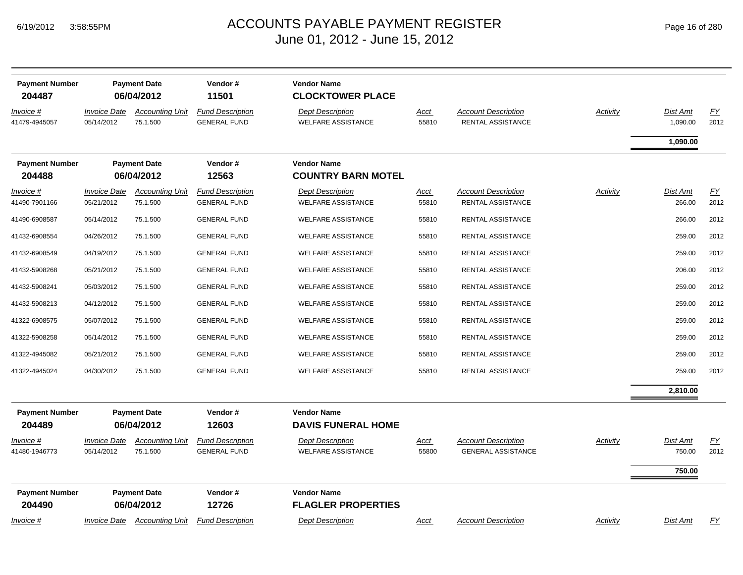| <b>Payment Number</b><br>204487   | <b>Payment Date</b><br>06/04/2012 |                                    | Vendor#<br>11501                               | <b>Vendor Name</b><br><b>CLOCKTOWER PLACE</b>        |                      |                                                         |                 |                           |            |
|-----------------------------------|-----------------------------------|------------------------------------|------------------------------------------------|------------------------------------------------------|----------------------|---------------------------------------------------------|-----------------|---------------------------|------------|
| Invoice #<br>41479-4945057        | <b>Invoice Date</b><br>05/14/2012 | <b>Accounting Unit</b><br>75.1.500 | <b>Fund Description</b><br><b>GENERAL FUND</b> | <b>Dept Description</b><br><b>WELFARE ASSISTANCE</b> | Acct<br>55810        | <b>Account Description</b><br>RENTAL ASSISTANCE         | Activity        | Dist Amt<br>1,090.00      | EY<br>2012 |
|                                   |                                   |                                    |                                                |                                                      |                      |                                                         |                 | 1,090.00                  |            |
| <b>Payment Number</b>             |                                   | <b>Payment Date</b>                | Vendor#                                        | <b>Vendor Name</b>                                   |                      |                                                         |                 |                           |            |
| 204488                            |                                   | 06/04/2012                         | 12563                                          | <b>COUNTRY BARN MOTEL</b>                            |                      |                                                         |                 |                           |            |
| <i>Invoice</i> #<br>41490-7901166 | <b>Invoice Date</b><br>05/21/2012 | <b>Accounting Unit</b><br>75.1.500 | <b>Fund Description</b><br><b>GENERAL FUND</b> | <b>Dept Description</b><br><b>WELFARE ASSISTANCE</b> | Acct<br>55810        | <b>Account Description</b><br>RENTAL ASSISTANCE         | Activity        | Dist Amt<br>266.00        | EY<br>2012 |
| 41490-6908587                     | 05/14/2012                        | 75.1.500                           | <b>GENERAL FUND</b>                            | <b>WELFARE ASSISTANCE</b>                            | 55810                | <b>RENTAL ASSISTANCE</b>                                |                 | 266.00                    | 2012       |
| 41432-6908554                     | 04/26/2012                        | 75.1.500                           | <b>GENERAL FUND</b>                            | <b>WELFARE ASSISTANCE</b>                            | 55810                | RENTAL ASSISTANCE                                       |                 | 259.00                    | 2012       |
| 41432-6908549                     | 04/19/2012                        | 75.1.500                           | <b>GENERAL FUND</b>                            | <b>WELFARE ASSISTANCE</b>                            | 55810                | <b>RENTAL ASSISTANCE</b>                                |                 | 259.00                    | 2012       |
| 41432-5908268                     | 05/21/2012                        | 75.1.500                           | <b>GENERAL FUND</b>                            | <b>WELFARE ASSISTANCE</b>                            | 55810                | <b>RENTAL ASSISTANCE</b>                                |                 | 206.00                    | 2012       |
| 41432-5908241                     | 05/03/2012                        | 75.1.500                           | <b>GENERAL FUND</b>                            | <b>WELFARE ASSISTANCE</b>                            | 55810                | RENTAL ASSISTANCE                                       |                 | 259.00                    | 2012       |
| 41432-5908213                     | 04/12/2012                        | 75.1.500                           | <b>GENERAL FUND</b>                            | <b>WELFARE ASSISTANCE</b>                            | 55810                | RENTAL ASSISTANCE                                       |                 | 259.00                    | 2012       |
| 41322-6908575                     | 05/07/2012                        | 75.1.500                           | <b>GENERAL FUND</b>                            | <b>WELFARE ASSISTANCE</b>                            | 55810                | RENTAL ASSISTANCE                                       |                 | 259.00                    | 2012       |
| 41322-5908258                     | 05/14/2012                        | 75.1.500                           | <b>GENERAL FUND</b>                            | <b>WELFARE ASSISTANCE</b>                            | 55810                | RENTAL ASSISTANCE                                       |                 | 259.00                    | 2012       |
| 41322-4945082                     | 05/21/2012                        | 75.1.500                           | <b>GENERAL FUND</b>                            | <b>WELFARE ASSISTANCE</b>                            | 55810                | RENTAL ASSISTANCE                                       |                 | 259.00                    | 2012       |
| 41322-4945024                     | 04/30/2012                        | 75.1.500                           | <b>GENERAL FUND</b>                            | <b>WELFARE ASSISTANCE</b>                            | 55810                | RENTAL ASSISTANCE                                       |                 | 259.00                    | 2012       |
|                                   |                                   |                                    |                                                |                                                      |                      |                                                         |                 | 2,810.00                  |            |
| <b>Payment Number</b>             |                                   | <b>Payment Date</b>                | Vendor#                                        | <b>Vendor Name</b>                                   |                      |                                                         |                 |                           |            |
| 204489                            |                                   | 06/04/2012                         | 12603                                          | <b>DAVIS FUNERAL HOME</b>                            |                      |                                                         |                 |                           |            |
| <u>Invoice #</u><br>41480-1946773 | <b>Invoice Date</b><br>05/14/2012 | <b>Accounting Unit</b><br>75.1.500 | <b>Fund Description</b><br><b>GENERAL FUND</b> | <b>Dept Description</b><br><b>WELFARE ASSISTANCE</b> | <u>Acct</u><br>55800 | <b>Account Description</b><br><b>GENERAL ASSISTANCE</b> | <b>Activity</b> | <u>Dist Amt</u><br>750.00 | EY<br>2012 |
|                                   |                                   |                                    |                                                |                                                      |                      |                                                         |                 | 750.00                    |            |
| <b>Payment Number</b><br>204490   | <b>Payment Date</b><br>06/04/2012 |                                    | Vendor#<br>12726                               | <b>Vendor Name</b><br><b>FLAGLER PROPERTIES</b>      |                      |                                                         |                 |                           |            |
| Invoice #                         |                                   | Invoice Date Accounting Unit       | <b>Fund Description</b>                        | <b>Dept Description</b>                              | Acct                 | <b>Account Description</b>                              | Activity        | Dist Amt                  | FΥ         |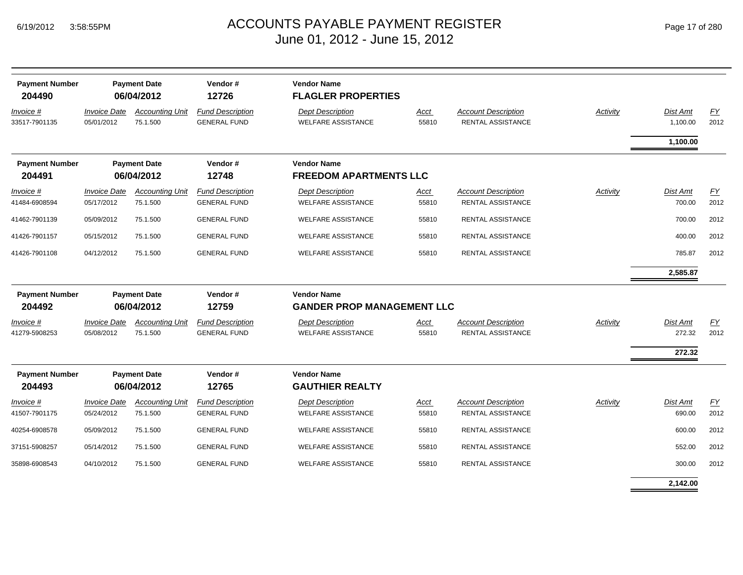| <b>Payment Number</b><br>204490 | <b>Payment Date</b><br>06/04/2012 |                                    | Vendor#<br>12726                               | <b>Vendor Name</b><br><b>FLAGLER PROPERTIES</b>         |                      |                                                        |          |                      |            |
|---------------------------------|-----------------------------------|------------------------------------|------------------------------------------------|---------------------------------------------------------|----------------------|--------------------------------------------------------|----------|----------------------|------------|
| Invoice #<br>33517-7901135      | <b>Invoice Date</b><br>05/01/2012 | <b>Accounting Unit</b><br>75.1.500 | <b>Fund Description</b><br><b>GENERAL FUND</b> | <b>Dept Description</b><br><b>WELFARE ASSISTANCE</b>    | Acct<br>55810        | <b>Account Description</b><br><b>RENTAL ASSISTANCE</b> | Activity | Dist Amt<br>1,100.00 | EY<br>2012 |
|                                 |                                   |                                    |                                                |                                                         |                      |                                                        |          | 1,100.00             |            |
| <b>Payment Number</b><br>204491 |                                   | <b>Payment Date</b><br>06/04/2012  | Vendor#<br>12748                               | <b>Vendor Name</b><br><b>FREEDOM APARTMENTS LLC</b>     |                      |                                                        |          |                      |            |
| Invoice #<br>41484-6908594      | <b>Invoice Date</b><br>05/17/2012 | <b>Accounting Unit</b><br>75.1.500 | <b>Fund Description</b><br><b>GENERAL FUND</b> | <b>Dept Description</b><br><b>WELFARE ASSISTANCE</b>    | Acct<br>55810        | <b>Account Description</b><br><b>RENTAL ASSISTANCE</b> | Activity | Dist Amt<br>700.00   | EY<br>2012 |
| 41462-7901139                   | 05/09/2012                        | 75.1.500                           | <b>GENERAL FUND</b>                            | <b>WELFARE ASSISTANCE</b>                               | 55810                | RENTAL ASSISTANCE                                      |          | 700.00               | 2012       |
| 41426-7901157                   | 05/15/2012                        | 75.1.500                           | <b>GENERAL FUND</b>                            | <b>WELFARE ASSISTANCE</b>                               | 55810                | RENTAL ASSISTANCE                                      |          | 400.00               | 2012       |
| 41426-7901108                   | 04/12/2012                        | 75.1.500                           | <b>GENERAL FUND</b>                            | <b>WELFARE ASSISTANCE</b>                               | 55810                | RENTAL ASSISTANCE                                      |          | 785.87               | 2012       |
|                                 |                                   |                                    |                                                |                                                         |                      |                                                        |          | 2,585.87             |            |
| <b>Payment Number</b><br>204492 | <b>Payment Date</b><br>06/04/2012 |                                    | Vendor#<br>12759                               | <b>Vendor Name</b><br><b>GANDER PROP MANAGEMENT LLC</b> |                      |                                                        |          |                      |            |
| Invoice #<br>41279-5908253      | <b>Invoice Date</b><br>05/08/2012 | <b>Accounting Unit</b><br>75.1.500 | <b>Fund Description</b><br><b>GENERAL FUND</b> | <b>Dept Description</b><br><b>WELFARE ASSISTANCE</b>    | Acct<br>55810        | <b>Account Description</b><br><b>RENTAL ASSISTANCE</b> | Activity | Dist Amt<br>272.32   | EY<br>2012 |
|                                 |                                   |                                    |                                                |                                                         |                      |                                                        |          | 272.32               |            |
| <b>Payment Number</b><br>204493 |                                   | <b>Payment Date</b><br>06/04/2012  | Vendor#<br>12765                               | <b>Vendor Name</b><br><b>GAUTHIER REALTY</b>            |                      |                                                        |          |                      |            |
| Invoice #<br>41507-7901175      | <b>Invoice Date</b><br>05/24/2012 | <b>Accounting Unit</b><br>75.1.500 | <b>Fund Description</b><br><b>GENERAL FUND</b> | <b>Dept Description</b><br><b>WELFARE ASSISTANCE</b>    | <b>Acct</b><br>55810 | <b>Account Description</b><br>RENTAL ASSISTANCE        | Activity | Dist Amt<br>690.00   | EY<br>2012 |
| 40254-6908578                   | 05/09/2012                        | 75.1.500                           | <b>GENERAL FUND</b>                            | <b>WELFARE ASSISTANCE</b>                               | 55810                | RENTAL ASSISTANCE                                      |          | 600.00               | 2012       |
| 37151-5908257                   | 05/14/2012                        | 75.1.500                           | <b>GENERAL FUND</b>                            | <b>WELFARE ASSISTANCE</b>                               | 55810                | RENTAL ASSISTANCE                                      |          | 552.00               | 2012       |
| 35898-6908543                   | 04/10/2012                        | 75.1.500                           | <b>GENERAL FUND</b>                            | <b>WELFARE ASSISTANCE</b>                               | 55810                | RENTAL ASSISTANCE                                      |          | 300.00               | 2012       |
|                                 |                                   |                                    |                                                |                                                         |                      |                                                        |          | 2,142.00             |            |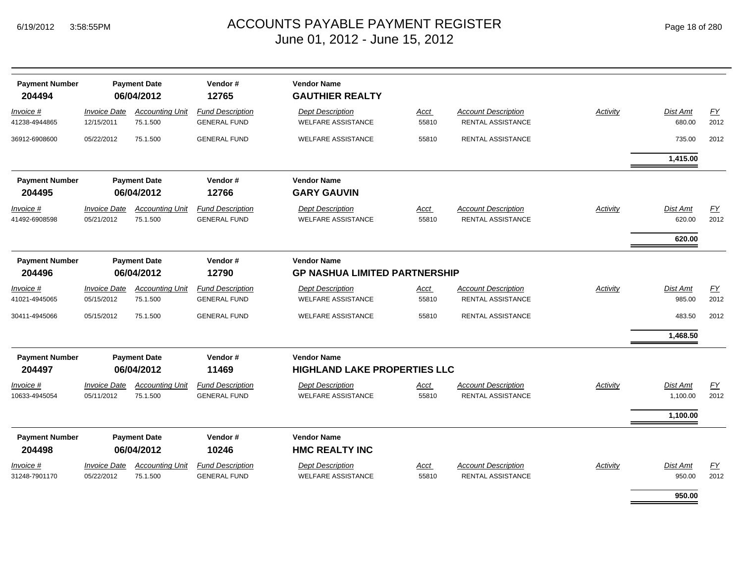*Invoice #*

*Invoice #*

*Invoice #*

*Invoice #*

 **204494 06/04/2012 12765 GAUTHIER REALTY**

 **204495 06/04/2012 12766 GARY GAUVIN**

 **204496 06/04/2012 12790 GP NASHUA LIMITED PARTNERSHIP**

**204497 06/04/2012 11469** 

**Payment Number Payment Date Vendor #** 

**Payment Number Payment Date Vendor #** 

**Payment Number Payment Date Vendor #** 

**Payment Number Payment Date Vendor #** 

*Invoice Date*

*Invoice Date*

*Invoice Date*

*Invoice Date*

41238-4944865 12/15/2011 75.1.500

36912-6908600 05/22/2012 75.1.500

41492-6908598 05/21/2012 75.1.500

41021-4945065 05/15/2012 75.1.500

30411-4945066 05/15/2012 75.1.500

10633-4945054 05/11/2012 75.1.500

#### $_{\mathsf{M}}$   $\blacksquare$   $\blacksquare$   $\blacksquare$   $\blacksquare$   $\blacksquare$   $\blacksquare$   $\blacksquare$   $\blacksquare$   $\blacksquare$   $\blacksquare$   $\blacksquare$   $\blacksquare$   $\blacksquare$   $\blacksquare$   $\blacksquare$   $\blacksquare$   $\blacksquare$   $\blacksquare$   $\blacksquare$   $\blacksquare$   $\blacksquare$   $\blacksquare$   $\blacksquare$   $\blacksquare$   $\blacksquare$   $\blacksquare$   $\blacksquare$   $\blacksquare$   $\blacksquare$   $\blacksquare$  June 01, 2012 - June 15, 2012

| ent Date<br>4/2012                 | Vendor#<br>12765                               | <b>Vendor Name</b><br><b>GAUTHIER REALTY</b>               |                      |                                                        |          |                             |                   |
|------------------------------------|------------------------------------------------|------------------------------------------------------------|----------------------|--------------------------------------------------------|----------|-----------------------------|-------------------|
| <b>Accounting Unit</b><br>75.1.500 | <b>Fund Description</b><br><b>GENERAL FUND</b> | <b>Dept Description</b><br><b>WELFARE ASSISTANCE</b>       | Acct<br>55810        | <b>Account Description</b><br><b>RENTAL ASSISTANCE</b> | Activity | <b>Dist Amt</b><br>680.00   | <u>FY</u><br>2012 |
| 75.1.500                           | <b>GENERAL FUND</b>                            | <b>WELFARE ASSISTANCE</b>                                  | 55810                | <b>RENTAL ASSISTANCE</b>                               |          | 735.00                      | 2012              |
|                                    |                                                |                                                            |                      |                                                        |          | 1,415.00                    |                   |
| ent Date<br>4/2012                 | Vendor#<br>12766                               | <b>Vendor Name</b><br><b>GARY GAUVIN</b>                   |                      |                                                        |          |                             |                   |
| <b>Accounting Unit</b><br>75.1.500 | <b>Fund Description</b><br><b>GENERAL FUND</b> | <b>Dept Description</b><br><b>WELFARE ASSISTANCE</b>       | Acct<br>55810        | <b>Account Description</b><br><b>RENTAL ASSISTANCE</b> | Activity | Dist Amt<br>620.00          | <u>FY</u><br>2012 |
|                                    |                                                |                                                            |                      |                                                        |          | 620.00                      |                   |
| ent Date<br>4/2012                 | Vendor#<br>12790                               | <b>Vendor Name</b><br><b>GP NASHUA LIMITED PARTNERSHIP</b> |                      |                                                        |          |                             |                   |
| <b>Accounting Unit</b><br>75.1.500 | <b>Fund Description</b><br><b>GENERAL FUND</b> | <b>Dept Description</b><br><b>WELFARE ASSISTANCE</b>       | <u>Acct</u><br>55810 | <b>Account Description</b><br><b>RENTAL ASSISTANCE</b> | Activity | Dist Amt<br>985.00          | <u>FY</u><br>2012 |
| 75.1.500                           | <b>GENERAL FUND</b>                            | <b>WELFARE ASSISTANCE</b>                                  | 55810                | <b>RENTAL ASSISTANCE</b>                               |          | 483.50                      | 2012              |
|                                    |                                                |                                                            |                      |                                                        |          | 1,468.50                    |                   |
| ent Date<br>4/2012                 | Vendor#<br>11469                               | <b>Vendor Name</b><br><b>HIGHLAND LAKE PROPERTIES LLC</b>  |                      |                                                        |          |                             |                   |
| <b>Accounting Unit</b><br>75.1.500 | <b>Fund Description</b><br><b>GENERAL FUND</b> | <b>Dept Description</b><br><b>WELFARE ASSISTANCE</b>       | Acct<br>55810        | <b>Account Description</b><br>RENTAL ASSISTANCE        | Activity | <b>Dist Amt</b><br>1,100.00 | EY<br>2012        |
|                                    |                                                |                                                            |                      |                                                        |          |                             |                   |

| <b>Payment Number</b><br>204498 |                                          | <b>Payment Date</b><br>06/04/2012  | Vendor#<br>10246                               | <b>Vendor Name</b><br><b>HMC REALTY INC</b>          |                      |                                                        |                 |                    |                   |
|---------------------------------|------------------------------------------|------------------------------------|------------------------------------------------|------------------------------------------------------|----------------------|--------------------------------------------------------|-----------------|--------------------|-------------------|
| Invoice #<br>31248-7901170      | <i><b>Invoice Date</b></i><br>05/22/2012 | <b>Accounting Unit</b><br>75.1.500 | <b>Fund Description</b><br><b>GENERAL FUND</b> | <b>Dept Description</b><br><b>WELFARE ASSISTANCE</b> | <u>Acct</u><br>55810 | <b>Account Description</b><br><b>RENTAL ASSISTANCE</b> | <b>Activity</b> | Dist Amt<br>950.00 | <b>FY</b><br>2012 |
|                                 |                                          |                                    |                                                |                                                      |                      |                                                        |                 |                    |                   |

**950.00**

**1,100.00**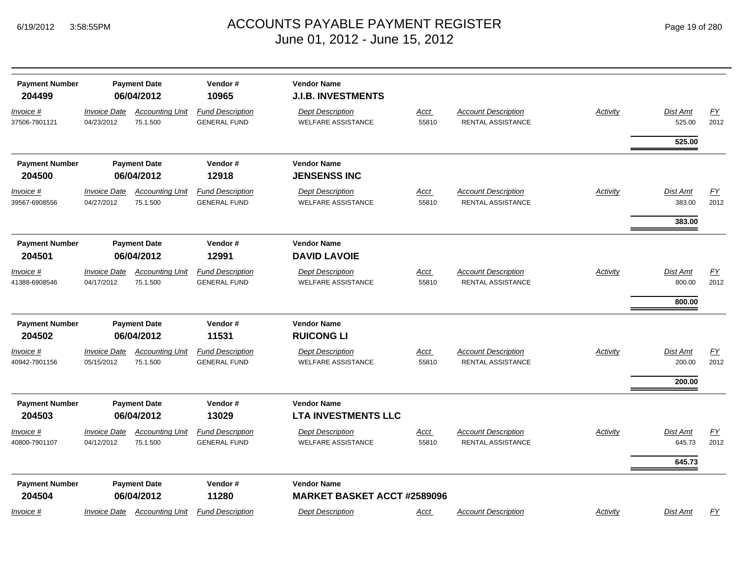| <b>Payment Number</b><br>204499      |                                          | <b>Payment Date</b><br>06/04/2012                | Vendor#<br>10965                                        | <b>Vendor Name</b><br><b>J.I.B. INVESTMENTS</b>                           |                      |                                                        |                 |                              |                          |
|--------------------------------------|------------------------------------------|--------------------------------------------------|---------------------------------------------------------|---------------------------------------------------------------------------|----------------------|--------------------------------------------------------|-----------------|------------------------------|--------------------------|
| <u>Invoice #</u><br>37506-7901121    | <u> Invoice Date</u><br>04/23/2012       | <b>Accounting Unit</b><br>75.1.500               | <b>Fund Description</b><br><b>GENERAL FUND</b>          | <b>Dept Description</b><br><b>WELFARE ASSISTANCE</b>                      | <b>Acct</b><br>55810 | <b>Account Description</b><br><b>RENTAL ASSISTANCE</b> | <b>Activity</b> | Dist Amt<br>525.00           | EY<br>2012               |
|                                      |                                          |                                                  |                                                         |                                                                           |                      |                                                        |                 | 525.00                       |                          |
| <b>Payment Number</b><br>204500      |                                          | <b>Payment Date</b><br>06/04/2012                | Vendor#<br>12918                                        | <b>Vendor Name</b><br><b>JENSENSS INC</b>                                 |                      |                                                        |                 |                              |                          |
| Invoice #<br>39567-6908556           | <b>Invoice Date</b><br>04/27/2012        | <b>Accounting Unit</b><br>75.1.500               | <b>Fund Description</b><br><b>GENERAL FUND</b>          | <b>Dept Description</b><br><b>WELFARE ASSISTANCE</b>                      | Acct<br>55810        | <b>Account Description</b><br>RENTAL ASSISTANCE        | <b>Activity</b> | <b>Dist Amt</b><br>383.00    | $\underline{FY}$<br>2012 |
|                                      |                                          |                                                  |                                                         |                                                                           |                      |                                                        |                 | 383.00                       |                          |
| <b>Payment Number</b><br>204501      |                                          | <b>Payment Date</b><br>06/04/2012                | Vendor#<br>12991                                        | <b>Vendor Name</b><br><b>DAVID LAVOIE</b>                                 |                      |                                                        |                 |                              |                          |
| <u>Invoice #</u><br>41388-6908546    | <i><b>Invoice Date</b></i><br>04/17/2012 | <b>Accounting Unit</b><br>75.1.500               | <b>Fund Description</b><br><b>GENERAL FUND</b>          | <b>Dept Description</b><br><b>WELFARE ASSISTANCE</b>                      | Acct<br>55810        | <b>Account Description</b><br>RENTAL ASSISTANCE        | <b>Activity</b> | <b>Dist Amt</b><br>800.00    | <u>FY</u><br>2012        |
|                                      |                                          |                                                  |                                                         |                                                                           |                      |                                                        |                 | 800.00                       |                          |
| <b>Payment Number</b>                |                                          | <b>Payment Date</b>                              | Vendor#                                                 | <b>Vendor Name</b>                                                        |                      |                                                        |                 |                              |                          |
| 204502<br>Invoice #<br>40942-7901156 | <b>Invoice Date</b><br>05/15/2012        | 06/04/2012<br><b>Accounting Unit</b><br>75.1.500 | 11531<br><b>Fund Description</b><br><b>GENERAL FUND</b> | <b>RUICONG LI</b><br><b>Dept Description</b><br><b>WELFARE ASSISTANCE</b> | Acct<br>55810        | <b>Account Description</b><br><b>RENTAL ASSISTANCE</b> | <b>Activity</b> | Dist Amt<br>200.00<br>200.00 | EY<br>2012               |
| <b>Payment Number</b><br>204503      |                                          | <b>Payment Date</b><br>06/04/2012                | Vendor#<br>13029                                        | <b>Vendor Name</b><br><b>LTA INVESTMENTS LLC</b>                          |                      |                                                        |                 |                              |                          |
| Invoice #<br>40800-7901107           | <b>Invoice Date</b><br>04/12/2012        | <b>Accounting Unit</b><br>75.1.500               | <b>Fund Description</b><br><b>GENERAL FUND</b>          | <b>Dept Description</b><br><b>WELFARE ASSISTANCE</b>                      | Acct<br>55810        | <b>Account Description</b><br><b>RENTAL ASSISTANCE</b> | <b>Activity</b> | Dist Amt<br>645.73           | $\underline{FY}$<br>2012 |
|                                      |                                          |                                                  |                                                         |                                                                           |                      |                                                        |                 | 645.73                       |                          |
| <b>Payment Number</b><br>204504      |                                          | <b>Payment Date</b><br>06/04/2012                | Vendor#<br>11280                                        | <b>Vendor Name</b><br><b>MARKET BASKET ACCT #2589096</b>                  |                      |                                                        |                 |                              |                          |
| Invoice #                            | Invoice Date                             | <b>Accounting Unit</b>                           | <b>Fund Description</b>                                 | <b>Dept Description</b>                                                   | <u>Acct</u>          | <b>Account Description</b>                             | Activity        | Dist Amt                     | <u>FY</u>                |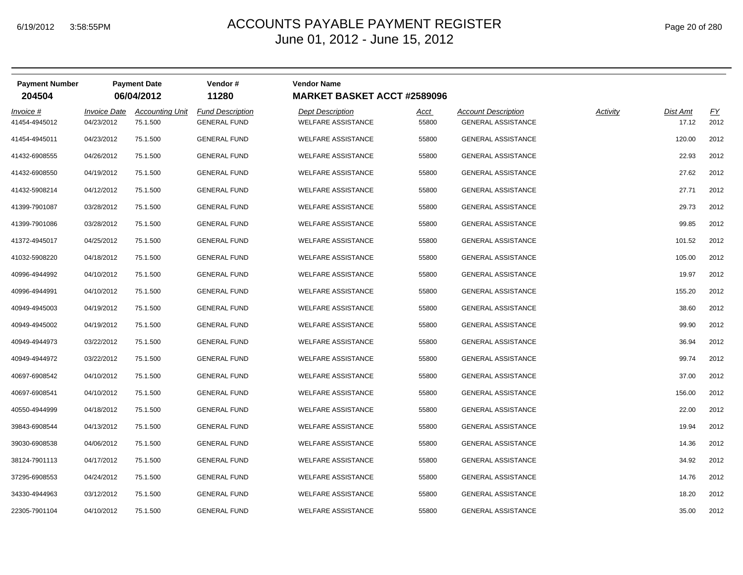## ACCOUNTS PAYABLE PAYMENT REGISTER Page 20 of 280 June 01, 2012 - June 15, 2012

| <b>Payment Number</b><br>204504 |                                   | <b>Payment Date</b><br>06/04/2012  | Vendor#<br>11280                               | <b>Vendor Name</b><br><b>MARKET BASKET ACCT #2589096</b> |               |                                                         |          |                   |            |
|---------------------------------|-----------------------------------|------------------------------------|------------------------------------------------|----------------------------------------------------------|---------------|---------------------------------------------------------|----------|-------------------|------------|
| Invoice #<br>41454-4945012      | <b>Invoice Date</b><br>04/23/2012 | <b>Accounting Unit</b><br>75.1.500 | <b>Fund Description</b><br><b>GENERAL FUND</b> | <b>Dept Description</b><br><b>WELFARE ASSISTANCE</b>     | Acct<br>55800 | <b>Account Description</b><br><b>GENERAL ASSISTANCE</b> | Activity | Dist Amt<br>17.12 | EY<br>2012 |
| 41454-4945011                   | 04/23/2012                        | 75.1.500                           | <b>GENERAL FUND</b>                            | <b>WELFARE ASSISTANCE</b>                                | 55800         | <b>GENERAL ASSISTANCE</b>                               |          | 120.00            | 2012       |
| 41432-6908555                   | 04/26/2012                        | 75.1.500                           | <b>GENERAL FUND</b>                            | <b>WELFARE ASSISTANCE</b>                                | 55800         | <b>GENERAL ASSISTANCE</b>                               |          | 22.93             | 2012       |
| 41432-6908550                   | 04/19/2012                        | 75.1.500                           | <b>GENERAL FUND</b>                            | <b>WELFARE ASSISTANCE</b>                                | 55800         | <b>GENERAL ASSISTANCE</b>                               |          | 27.62             | 2012       |
| 41432-5908214                   | 04/12/2012                        | 75.1.500                           | <b>GENERAL FUND</b>                            | <b>WELFARE ASSISTANCE</b>                                | 55800         | GENERAL ASSISTANCE                                      |          | 27.71             | 2012       |
| 41399-7901087                   | 03/28/2012                        | 75.1.500                           | <b>GENERAL FUND</b>                            | <b>WELFARE ASSISTANCE</b>                                | 55800         | <b>GENERAL ASSISTANCE</b>                               |          | 29.73             | 2012       |
| 41399-7901086                   | 03/28/2012                        | 75.1.500                           | <b>GENERAL FUND</b>                            | <b>WELFARE ASSISTANCE</b>                                | 55800         | <b>GENERAL ASSISTANCE</b>                               |          | 99.85             | 2012       |
| 41372-4945017                   | 04/25/2012                        | 75.1.500                           | <b>GENERAL FUND</b>                            | <b>WELFARE ASSISTANCE</b>                                | 55800         | <b>GENERAL ASSISTANCE</b>                               |          | 101.52            | 2012       |
| 41032-5908220                   | 04/18/2012                        | 75.1.500                           | <b>GENERAL FUND</b>                            | <b>WELFARE ASSISTANCE</b>                                | 55800         | <b>GENERAL ASSISTANCE</b>                               |          | 105.00            | 2012       |
| 40996-4944992                   | 04/10/2012                        | 75.1.500                           | <b>GENERAL FUND</b>                            | <b>WELFARE ASSISTANCE</b>                                | 55800         | GENERAL ASSISTANCE                                      |          | 19.97             | 2012       |
| 40996-4944991                   | 04/10/2012                        | 75.1.500                           | <b>GENERAL FUND</b>                            | <b>WELFARE ASSISTANCE</b>                                | 55800         | <b>GENERAL ASSISTANCE</b>                               |          | 155.20            | 2012       |
| 40949-4945003                   | 04/19/2012                        | 75.1.500                           | <b>GENERAL FUND</b>                            | <b>WELFARE ASSISTANCE</b>                                | 55800         | <b>GENERAL ASSISTANCE</b>                               |          | 38.60             | 2012       |
| 40949-4945002                   | 04/19/2012                        | 75.1.500                           | <b>GENERAL FUND</b>                            | <b>WELFARE ASSISTANCE</b>                                | 55800         | <b>GENERAL ASSISTANCE</b>                               |          | 99.90             | 2012       |
| 40949-4944973                   | 03/22/2012                        | 75.1.500                           | <b>GENERAL FUND</b>                            | <b>WELFARE ASSISTANCE</b>                                | 55800         | <b>GENERAL ASSISTANCE</b>                               |          | 36.94             | 2012       |
| 40949-4944972                   | 03/22/2012                        | 75.1.500                           | <b>GENERAL FUND</b>                            | <b>WELFARE ASSISTANCE</b>                                | 55800         | <b>GENERAL ASSISTANCE</b>                               |          | 99.74             | 2012       |
| 40697-6908542                   | 04/10/2012                        | 75.1.500                           | <b>GENERAL FUND</b>                            | <b>WELFARE ASSISTANCE</b>                                | 55800         | <b>GENERAL ASSISTANCE</b>                               |          | 37.00             | 2012       |
| 40697-6908541                   | 04/10/2012                        | 75.1.500                           | <b>GENERAL FUND</b>                            | <b>WELFARE ASSISTANCE</b>                                | 55800         | GENERAL ASSISTANCE                                      |          | 156.00            | 2012       |
| 40550-4944999                   | 04/18/2012                        | 75.1.500                           | <b>GENERAL FUND</b>                            | <b>WELFARE ASSISTANCE</b>                                | 55800         | <b>GENERAL ASSISTANCE</b>                               |          | 22.00             | 2012       |
| 39843-6908544                   | 04/13/2012                        | 75.1.500                           | <b>GENERAL FUND</b>                            | <b>WELFARE ASSISTANCE</b>                                | 55800         | <b>GENERAL ASSISTANCE</b>                               |          | 19.94             | 2012       |
| 39030-6908538                   | 04/06/2012                        | 75.1.500                           | <b>GENERAL FUND</b>                            | <b>WELFARE ASSISTANCE</b>                                | 55800         | <b>GENERAL ASSISTANCE</b>                               |          | 14.36             | 2012       |
| 38124-7901113                   | 04/17/2012                        | 75.1.500                           | <b>GENERAL FUND</b>                            | <b>WELFARE ASSISTANCE</b>                                | 55800         | <b>GENERAL ASSISTANCE</b>                               |          | 34.92             | 2012       |
| 37295-6908553                   | 04/24/2012                        | 75.1.500                           | <b>GENERAL FUND</b>                            | <b>WELFARE ASSISTANCE</b>                                | 55800         | <b>GENERAL ASSISTANCE</b>                               |          | 14.76             | 2012       |
| 34330-4944963                   | 03/12/2012                        | 75.1.500                           | <b>GENERAL FUND</b>                            | <b>WELFARE ASSISTANCE</b>                                | 55800         | <b>GENERAL ASSISTANCE</b>                               |          | 18.20             | 2012       |
| 22305-7901104                   | 04/10/2012                        | 75.1.500                           | <b>GENERAL FUND</b>                            | <b>WELFARE ASSISTANCE</b>                                | 55800         | <b>GENERAL ASSISTANCE</b>                               |          | 35.00             | 2012       |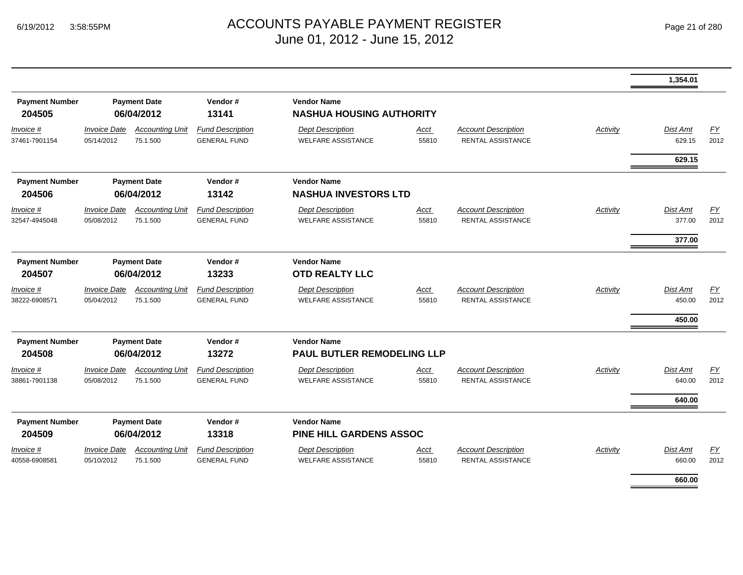|                                 |                                   |                                    |                                                |                                                       |               |                                                        |                 | 1,354.01                     |            |
|---------------------------------|-----------------------------------|------------------------------------|------------------------------------------------|-------------------------------------------------------|---------------|--------------------------------------------------------|-----------------|------------------------------|------------|
| <b>Payment Number</b><br>204505 |                                   | <b>Payment Date</b><br>06/04/2012  | Vendor#<br>13141                               | <b>Vendor Name</b><br><b>NASHUA HOUSING AUTHORITY</b> |               |                                                        |                 |                              |            |
| Invoice #<br>37461-7901154      | <b>Invoice Date</b><br>05/14/2012 | <b>Accounting Unit</b><br>75.1.500 | <b>Fund Description</b><br><b>GENERAL FUND</b> | <b>Dept Description</b><br><b>WELFARE ASSISTANCE</b>  | Acct<br>55810 | <b>Account Description</b><br><b>RENTAL ASSISTANCE</b> | Activity        | <b>Dist Amt</b><br>629.15    | EY<br>2012 |
|                                 |                                   |                                    |                                                |                                                       |               |                                                        |                 | 629.15                       |            |
| <b>Payment Number</b><br>204506 |                                   | <b>Payment Date</b><br>06/04/2012  | Vendor#<br>13142                               | <b>Vendor Name</b><br><b>NASHUA INVESTORS LTD</b>     |               |                                                        |                 |                              |            |
| Invoice #<br>32547-4945048      | <b>Invoice Date</b><br>05/08/2012 | <b>Accounting Unit</b><br>75.1.500 | <b>Fund Description</b><br><b>GENERAL FUND</b> | <b>Dept Description</b><br><b>WELFARE ASSISTANCE</b>  | Acct<br>55810 | <b>Account Description</b><br>RENTAL ASSISTANCE        | Activity        | <b>Dist Amt</b><br>377.00    | EY<br>2012 |
|                                 |                                   |                                    |                                                |                                                       |               |                                                        |                 | 377.00                       |            |
| <b>Payment Number</b><br>204507 |                                   | <b>Payment Date</b><br>06/04/2012  | Vendor#<br>13233                               | <b>Vendor Name</b><br><b>OTD REALTY LLC</b>           |               |                                                        |                 |                              |            |
| Invoice #<br>38222-6908571      | <b>Invoice Date</b><br>05/04/2012 | <b>Accounting Unit</b><br>75.1.500 | <b>Fund Description</b><br><b>GENERAL FUND</b> | <b>Dept Description</b><br><b>WELFARE ASSISTANCE</b>  | Acct<br>55810 | <b>Account Description</b><br><b>RENTAL ASSISTANCE</b> | <b>Activity</b> | Dist Amt<br>450.00<br>450.00 | EY<br>2012 |
| <b>Payment Number</b><br>204508 |                                   | <b>Payment Date</b><br>06/04/2012  | Vendor#<br>13272                               | <b>Vendor Name</b><br>PAUL BUTLER REMODELING LLP      |               |                                                        |                 |                              |            |
| Invoice #<br>38861-7901138      | <b>Invoice Date</b><br>05/08/2012 | <b>Accounting Unit</b><br>75.1.500 | <b>Fund Description</b><br><b>GENERAL FUND</b> | <b>Dept Description</b><br><b>WELFARE ASSISTANCE</b>  | Acct<br>55810 | <b>Account Description</b><br><b>RENTAL ASSISTANCE</b> | Activity        | Dist Amt<br>640.00           | EY<br>2012 |
|                                 |                                   |                                    |                                                |                                                       |               |                                                        |                 | 640.00                       |            |
| <b>Payment Number</b><br>204509 |                                   | <b>Payment Date</b><br>06/04/2012  | Vendor#<br>13318                               | <b>Vendor Name</b><br><b>PINE HILL GARDENS ASSOC</b>  |               |                                                        |                 |                              |            |
| $Invoice$ #<br>40558-6908581    | <b>Invoice Date</b><br>05/10/2012 | <b>Accounting Unit</b><br>75.1.500 | <b>Fund Description</b><br><b>GENERAL FUND</b> | <b>Dept Description</b><br><b>WELFARE ASSISTANCE</b>  | Acct<br>55810 | <b>Account Description</b><br><b>RENTAL ASSISTANCE</b> | <b>Activity</b> | <b>Dist Amt</b><br>660.00    | EY<br>2012 |
|                                 |                                   |                                    |                                                |                                                       |               |                                                        |                 | 660.00                       |            |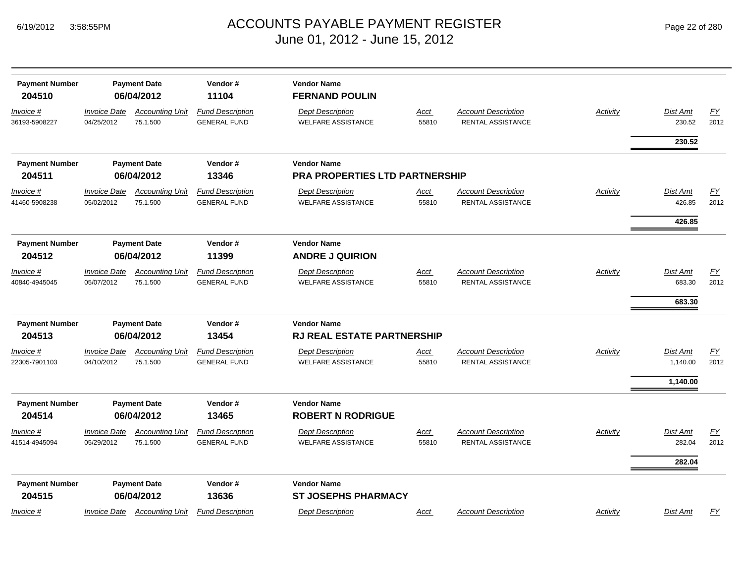| <b>Payment Number</b><br>204510   |                                   | <b>Payment Date</b><br>06/04/2012  | Vendor#<br>11104                               | <b>Vendor Name</b><br><b>FERNAND POULIN</b>          |                      |                                                 |                 |                           |                  |
|-----------------------------------|-----------------------------------|------------------------------------|------------------------------------------------|------------------------------------------------------|----------------------|-------------------------------------------------|-----------------|---------------------------|------------------|
| Invoice #<br>36193-5908227        | <b>Invoice Date</b><br>04/25/2012 | <b>Accounting Unit</b><br>75.1.500 | <b>Fund Description</b><br><b>GENERAL FUND</b> | <b>Dept Description</b><br><b>WELFARE ASSISTANCE</b> | <b>Acct</b><br>55810 | <b>Account Description</b><br>RENTAL ASSISTANCE | <b>Activity</b> | <b>Dist Amt</b><br>230.52 | EY<br>2012       |
|                                   |                                   |                                    |                                                |                                                      |                      |                                                 |                 | 230.52                    |                  |
| <b>Payment Number</b>             |                                   | <b>Payment Date</b>                | Vendor#                                        | <b>Vendor Name</b>                                   |                      |                                                 |                 |                           |                  |
| 204511                            |                                   | 06/04/2012                         | 13346                                          | PRA PROPERTIES LTD PARTNERSHIP                       |                      |                                                 |                 |                           |                  |
| <u>Invoice #</u><br>41460-5908238 | <b>Invoice Date</b><br>05/02/2012 | <b>Accounting Unit</b><br>75.1.500 | <b>Fund Description</b><br><b>GENERAL FUND</b> | <b>Dept Description</b><br><b>WELFARE ASSISTANCE</b> | <u>Acct</u><br>55810 | <b>Account Description</b><br>RENTAL ASSISTANCE | <b>Activity</b> | Dist Amt<br>426.85        | EY<br>2012       |
|                                   |                                   |                                    |                                                |                                                      |                      |                                                 |                 | 426.85                    |                  |
| <b>Payment Number</b><br>204512   |                                   | <b>Payment Date</b><br>06/04/2012  | Vendor#<br>11399                               | <b>Vendor Name</b><br><b>ANDRE J QUIRION</b>         |                      |                                                 |                 |                           |                  |
| Invoice #                         | <b>Invoice Date</b>               | <b>Accounting Unit</b>             | <b>Fund Description</b>                        | <b>Dept Description</b>                              | Acct                 | <b>Account Description</b>                      | Activity        | Dist Amt                  | <u>FY</u>        |
| 40840-4945045                     | 05/07/2012                        | 75.1.500                           | <b>GENERAL FUND</b>                            | <b>WELFARE ASSISTANCE</b>                            | 55810                | RENTAL ASSISTANCE                               |                 | 683.30                    | 2012             |
|                                   |                                   |                                    |                                                |                                                      |                      |                                                 |                 | 683.30                    |                  |
| <b>Payment Number</b>             |                                   | <b>Payment Date</b>                | Vendor#                                        | <b>Vendor Name</b>                                   |                      |                                                 |                 |                           |                  |
| 204513                            |                                   | 06/04/2012                         | 13454                                          | <b>RJ REAL ESTATE PARTNERSHIP</b>                    |                      |                                                 |                 |                           |                  |
| <u>Invoice #</u><br>22305-7901103 | <b>Invoice Date</b><br>04/10/2012 | <b>Accounting Unit</b><br>75.1.500 | <b>Fund Description</b><br><b>GENERAL FUND</b> | <b>Dept Description</b><br><b>WELFARE ASSISTANCE</b> | Acct<br>55810        | <b>Account Description</b><br>RENTAL ASSISTANCE | Activity        | Dist Amt<br>1,140.00      | EY<br>2012       |
|                                   |                                   |                                    |                                                |                                                      |                      |                                                 |                 |                           |                  |
|                                   |                                   |                                    |                                                |                                                      |                      |                                                 |                 | 1,140.00                  |                  |
| <b>Payment Number</b>             |                                   | <b>Payment Date</b>                | Vendor#                                        | <b>Vendor Name</b>                                   |                      |                                                 |                 |                           |                  |
| 204514                            |                                   | 06/04/2012                         | 13465                                          | <b>ROBERT N RODRIGUE</b>                             |                      |                                                 |                 |                           |                  |
| Invoice #                         | <b>Invoice Date</b>               | <b>Accounting Unit</b>             | <b>Fund Description</b>                        | <b>Dept Description</b>                              | <b>Acct</b>          | <b>Account Description</b>                      | Activity        | Dist Amt                  | $\underline{FY}$ |
| 41514-4945094                     | 05/29/2012                        | 75.1.500                           | <b>GENERAL FUND</b>                            | <b>WELFARE ASSISTANCE</b>                            | 55810                | RENTAL ASSISTANCE                               |                 | 282.04                    | 2012             |
|                                   |                                   |                                    |                                                |                                                      |                      |                                                 |                 | 282.04                    |                  |
| <b>Payment Number</b><br>204515   |                                   | <b>Payment Date</b><br>06/04/2012  | Vendor#<br>13636                               | <b>Vendor Name</b><br><b>ST JOSEPHS PHARMACY</b>     |                      |                                                 |                 |                           |                  |
| Invoice #                         | <b>Invoice Date</b>               | <b>Accounting Unit</b>             | <b>Fund Description</b>                        | <b>Dept Description</b>                              | Acct                 | <b>Account Description</b>                      | Activity        | Dist Amt                  | EY               |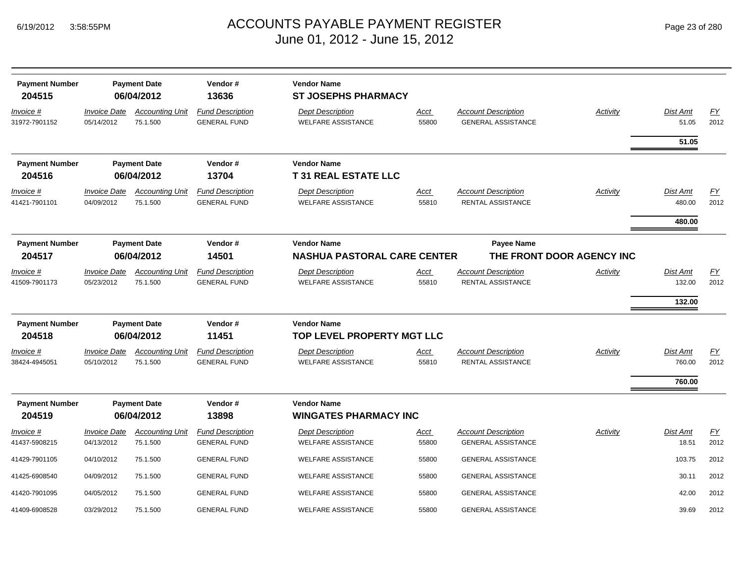| <b>Payment Number</b>      |                                          | <b>Payment Date</b>                | Vendor#                                        | <b>Vendor Name</b>                                   |                      |                                                         |          |                           |                   |
|----------------------------|------------------------------------------|------------------------------------|------------------------------------------------|------------------------------------------------------|----------------------|---------------------------------------------------------|----------|---------------------------|-------------------|
| 204515                     |                                          | 06/04/2012                         | 13636                                          | <b>ST JOSEPHS PHARMACY</b>                           |                      |                                                         |          |                           |                   |
| Invoice #<br>31972-7901152 | <i><b>Invoice Date</b></i><br>05/14/2012 | <b>Accounting Unit</b><br>75.1.500 | <b>Fund Description</b><br><b>GENERAL FUND</b> | <b>Dept Description</b><br><b>WELFARE ASSISTANCE</b> | <u>Acct</u><br>55800 | <b>Account Description</b><br><b>GENERAL ASSISTANCE</b> | Activity | <b>Dist Amt</b><br>51.05  | EY<br>2012        |
|                            |                                          |                                    |                                                |                                                      |                      |                                                         |          | 51.05                     |                   |
| <b>Payment Number</b>      |                                          | <b>Payment Date</b>                | Vendor#                                        | <b>Vendor Name</b>                                   |                      |                                                         |          |                           |                   |
| 204516                     |                                          | 06/04/2012                         | 13704                                          | <b>T31 REAL ESTATE LLC</b>                           |                      |                                                         |          |                           |                   |
| Invoice #<br>41421-7901101 | <b>Invoice Date</b><br>04/09/2012        | <b>Accounting Unit</b><br>75.1.500 | <b>Fund Description</b><br><b>GENERAL FUND</b> | <b>Dept Description</b><br><b>WELFARE ASSISTANCE</b> | Acct<br>55810        | <b>Account Description</b><br>RENTAL ASSISTANCE         | Activity | <b>Dist Amt</b><br>480.00 | EY<br>2012        |
|                            |                                          |                                    |                                                |                                                      |                      |                                                         |          | 480.00                    |                   |
| <b>Payment Number</b>      | <b>Payment Date</b>                      |                                    | Vendor#                                        | <b>Vendor Name</b>                                   |                      | Payee Name                                              |          |                           |                   |
| 204517                     |                                          | 06/04/2012                         | 14501                                          | <b>NASHUA PASTORAL CARE CENTER</b>                   |                      | THE FRONT DOOR AGENCY INC                               |          |                           |                   |
| Invoice #                  | <b>Invoice Date</b>                      | <b>Accounting Unit</b>             | <b>Fund Description</b>                        | <b>Dept Description</b>                              | Acct                 | <b>Account Description</b>                              | Activity | Dist Amt                  | <u>FY</u>         |
| 41509-7901173              | 05/23/2012                               | 75.1.500                           | <b>GENERAL FUND</b>                            | <b>WELFARE ASSISTANCE</b>                            | 55810                | <b>RENTAL ASSISTANCE</b>                                |          | 132.00                    | 2012              |
|                            |                                          |                                    |                                                |                                                      |                      |                                                         |          | 132.00                    |                   |
| <b>Payment Number</b>      |                                          | <b>Payment Date</b>                | Vendor#                                        | <b>Vendor Name</b>                                   |                      |                                                         |          |                           |                   |
| 204518                     |                                          | 06/04/2012                         | 11451                                          | TOP LEVEL PROPERTY MGT LLC                           |                      |                                                         |          |                           |                   |
| Invoice #<br>38424-4945051 | <b>Invoice Date</b><br>05/10/2012        | <b>Accounting Unit</b><br>75.1.500 | <b>Fund Description</b><br><b>GENERAL FUND</b> | <b>Dept Description</b><br><b>WELFARE ASSISTANCE</b> | Acct<br>55810        | <b>Account Description</b><br><b>RENTAL ASSISTANCE</b>  | Activity | Dist Amt<br>760.00        | <b>FY</b><br>2012 |
|                            |                                          |                                    |                                                |                                                      |                      |                                                         |          |                           |                   |
|                            |                                          |                                    |                                                |                                                      |                      |                                                         |          | 760.00                    |                   |
| <b>Payment Number</b>      |                                          | <b>Payment Date</b>                | Vendor#                                        | <b>Vendor Name</b>                                   |                      |                                                         |          |                           |                   |
| 204519                     |                                          | 06/04/2012                         | 13898                                          | <b>WINGATES PHARMACY INC</b>                         |                      |                                                         |          |                           |                   |
| Invoice #                  | <b>Invoice Date</b>                      | <b>Accounting Unit</b>             | <b>Fund Description</b>                        | <b>Dept Description</b>                              | Acct                 | <b>Account Description</b>                              | Activity | Dist Amt                  | EY                |
| 41437-5908215              | 04/13/2012                               | 75.1.500                           | <b>GENERAL FUND</b>                            | <b>WELFARE ASSISTANCE</b>                            | 55800                | <b>GENERAL ASSISTANCE</b>                               |          | 18.51                     | 2012              |
| 41429-7901105              | 04/10/2012                               | 75.1.500                           | <b>GENERAL FUND</b>                            | <b>WELFARE ASSISTANCE</b>                            | 55800                | <b>GENERAL ASSISTANCE</b>                               |          | 103.75                    | 2012              |
| 41425-6908540              | 04/09/2012                               | 75.1.500                           | <b>GENERAL FUND</b>                            | <b>WELFARE ASSISTANCE</b>                            | 55800                | <b>GENERAL ASSISTANCE</b>                               |          | 30.11                     | 2012              |
| 41420-7901095              | 04/05/2012                               | 75.1.500                           | <b>GENERAL FUND</b>                            | <b>WELFARE ASSISTANCE</b>                            | 55800                | <b>GENERAL ASSISTANCE</b>                               |          | 42.00                     | 2012              |
| 41409-6908528              | 03/29/2012                               | 75.1.500                           | <b>GENERAL FUND</b>                            | <b>WELFARE ASSISTANCE</b>                            | 55800                | <b>GENERAL ASSISTANCE</b>                               |          | 39.69                     | 2012              |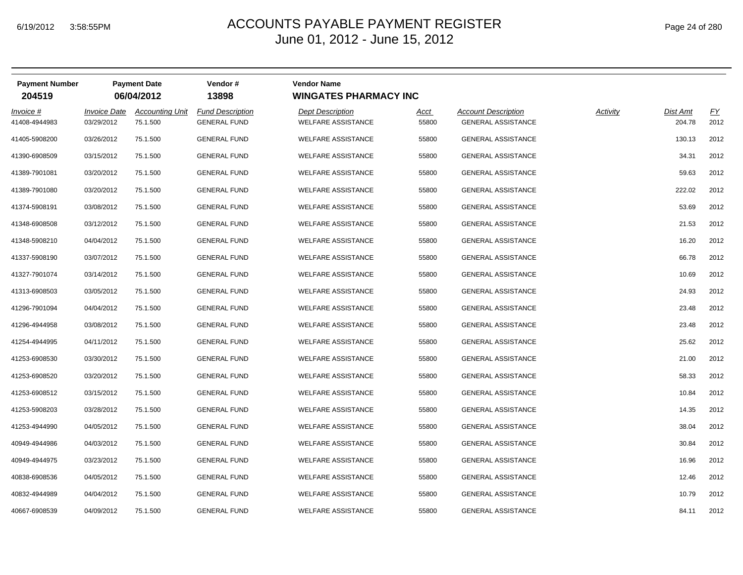| Page 24 of 280 |
|----------------|
|----------------|

| <b>Payment Number</b><br>204519 |                                   | <b>Payment Date</b><br>06/04/2012  | Vendor#<br>13898                               | <b>Vendor Name</b><br><b>WINGATES PHARMACY INC</b>   |               |                                                         |          |                    |            |
|---------------------------------|-----------------------------------|------------------------------------|------------------------------------------------|------------------------------------------------------|---------------|---------------------------------------------------------|----------|--------------------|------------|
| Invoice #<br>41408-4944983      | <b>Invoice Date</b><br>03/29/2012 | <b>Accounting Unit</b><br>75.1.500 | <b>Fund Description</b><br><b>GENERAL FUND</b> | <b>Dept Description</b><br><b>WELFARE ASSISTANCE</b> | Acct<br>55800 | <b>Account Description</b><br><b>GENERAL ASSISTANCE</b> | Activity | Dist Amt<br>204.78 | EY<br>2012 |
| 41405-5908200                   | 03/26/2012                        | 75.1.500                           | <b>GENERAL FUND</b>                            | <b>WELFARE ASSISTANCE</b>                            | 55800         | <b>GENERAL ASSISTANCE</b>                               |          | 130.13             | 2012       |
| 41390-6908509                   | 03/15/2012                        | 75.1.500                           | <b>GENERAL FUND</b>                            | <b>WELFARE ASSISTANCE</b>                            | 55800         | <b>GENERAL ASSISTANCE</b>                               |          | 34.31              | 2012       |
| 41389-7901081                   | 03/20/2012                        | 75.1.500                           | <b>GENERAL FUND</b>                            | <b>WELFARE ASSISTANCE</b>                            | 55800         | <b>GENERAL ASSISTANCE</b>                               |          | 59.63              | 2012       |
| 41389-7901080                   | 03/20/2012                        | 75.1.500                           | <b>GENERAL FUND</b>                            | <b>WELFARE ASSISTANCE</b>                            | 55800         | <b>GENERAL ASSISTANCE</b>                               |          | 222.02             | 2012       |
| 41374-5908191                   | 03/08/2012                        | 75.1.500                           | <b>GENERAL FUND</b>                            | <b>WELFARE ASSISTANCE</b>                            | 55800         | <b>GENERAL ASSISTANCE</b>                               |          | 53.69              | 2012       |
| 41348-6908508                   | 03/12/2012                        | 75.1.500                           | <b>GENERAL FUND</b>                            | <b>WELFARE ASSISTANCE</b>                            | 55800         | <b>GENERAL ASSISTANCE</b>                               |          | 21.53              | 2012       |
| 41348-5908210                   | 04/04/2012                        | 75.1.500                           | <b>GENERAL FUND</b>                            | <b>WELFARE ASSISTANCE</b>                            | 55800         | <b>GENERAL ASSISTANCE</b>                               |          | 16.20              | 2012       |
| 41337-5908190                   | 03/07/2012                        | 75.1.500                           | <b>GENERAL FUND</b>                            | <b>WELFARE ASSISTANCE</b>                            | 55800         | <b>GENERAL ASSISTANCE</b>                               |          | 66.78              | 2012       |
| 41327-7901074                   | 03/14/2012                        | 75.1.500                           | <b>GENERAL FUND</b>                            | <b>WELFARE ASSISTANCE</b>                            | 55800         | <b>GENERAL ASSISTANCE</b>                               |          | 10.69              | 2012       |
| 41313-6908503                   | 03/05/2012                        | 75.1.500                           | <b>GENERAL FUND</b>                            | <b>WELFARE ASSISTANCE</b>                            | 55800         | <b>GENERAL ASSISTANCE</b>                               |          | 24.93              | 2012       |
| 41296-7901094                   | 04/04/2012                        | 75.1.500                           | <b>GENERAL FUND</b>                            | <b>WELFARE ASSISTANCE</b>                            | 55800         | <b>GENERAL ASSISTANCE</b>                               |          | 23.48              | 2012       |
| 41296-4944958                   | 03/08/2012                        | 75.1.500                           | <b>GENERAL FUND</b>                            | <b>WELFARE ASSISTANCE</b>                            | 55800         | <b>GENERAL ASSISTANCE</b>                               |          | 23.48              | 2012       |
| 41254-4944995                   | 04/11/2012                        | 75.1.500                           | <b>GENERAL FUND</b>                            | <b>WELFARE ASSISTANCE</b>                            | 55800         | <b>GENERAL ASSISTANCE</b>                               |          | 25.62              | 2012       |
| 41253-6908530                   | 03/30/2012                        | 75.1.500                           | <b>GENERAL FUND</b>                            | <b>WELFARE ASSISTANCE</b>                            | 55800         | <b>GENERAL ASSISTANCE</b>                               |          | 21.00              | 2012       |
| 41253-6908520                   | 03/20/2012                        | 75.1.500                           | <b>GENERAL FUND</b>                            | <b>WELFARE ASSISTANCE</b>                            | 55800         | <b>GENERAL ASSISTANCE</b>                               |          | 58.33              | 2012       |
| 41253-6908512                   | 03/15/2012                        | 75.1.500                           | <b>GENERAL FUND</b>                            | <b>WELFARE ASSISTANCE</b>                            | 55800         | <b>GENERAL ASSISTANCE</b>                               |          | 10.84              | 2012       |
| 41253-5908203                   | 03/28/2012                        | 75.1.500                           | <b>GENERAL FUND</b>                            | <b>WELFARE ASSISTANCE</b>                            | 55800         | <b>GENERAL ASSISTANCE</b>                               |          | 14.35              | 2012       |
| 41253-4944990                   | 04/05/2012                        | 75.1.500                           | <b>GENERAL FUND</b>                            | <b>WELFARE ASSISTANCE</b>                            | 55800         | <b>GENERAL ASSISTANCE</b>                               |          | 38.04              | 2012       |
| 40949-4944986                   | 04/03/2012                        | 75.1.500                           | <b>GENERAL FUND</b>                            | <b>WELFARE ASSISTANCE</b>                            | 55800         | <b>GENERAL ASSISTANCE</b>                               |          | 30.84              | 2012       |
| 40949-4944975                   | 03/23/2012                        | 75.1.500                           | <b>GENERAL FUND</b>                            | <b>WELFARE ASSISTANCE</b>                            | 55800         | <b>GENERAL ASSISTANCE</b>                               |          | 16.96              | 2012       |
| 40838-6908536                   | 04/05/2012                        | 75.1.500                           | <b>GENERAL FUND</b>                            | <b>WELFARE ASSISTANCE</b>                            | 55800         | <b>GENERAL ASSISTANCE</b>                               |          | 12.46              | 2012       |
| 40832-4944989                   | 04/04/2012                        | 75.1.500                           | <b>GENERAL FUND</b>                            | <b>WELFARE ASSISTANCE</b>                            | 55800         | <b>GENERAL ASSISTANCE</b>                               |          | 10.79              | 2012       |
| 40667-6908539                   | 04/09/2012                        | 75.1.500                           | <b>GENERAL FUND</b>                            | <b>WELFARE ASSISTANCE</b>                            | 55800         | <b>GENERAL ASSISTANCE</b>                               |          | 84.11              | 2012       |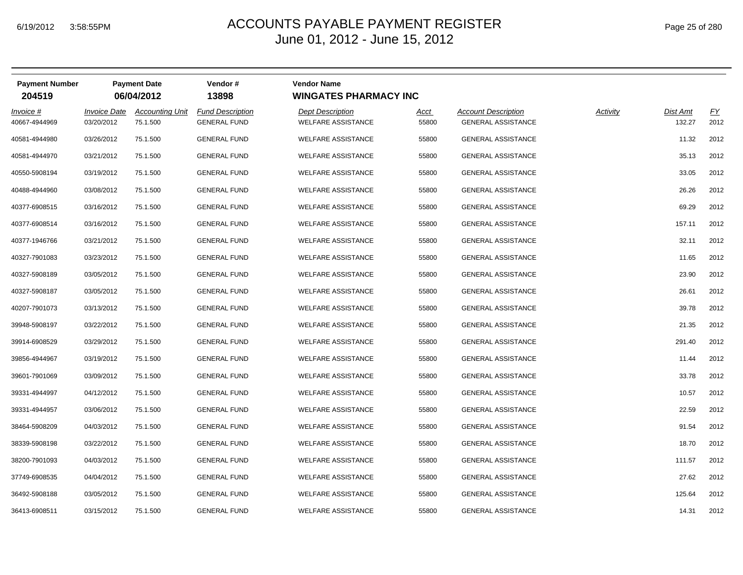| Page 25 of 280 |  |  |  |  |
|----------------|--|--|--|--|
|----------------|--|--|--|--|

| <b>Payment Number</b><br>204519 |                                   | <b>Payment Date</b><br>06/04/2012  | Vendor#<br>13898                               | <b>Vendor Name</b><br><b>WINGATES PHARMACY INC</b>   |                      |                                                         |          |                    |            |
|---------------------------------|-----------------------------------|------------------------------------|------------------------------------------------|------------------------------------------------------|----------------------|---------------------------------------------------------|----------|--------------------|------------|
| Invoice #<br>40667-4944969      | <b>Invoice Date</b><br>03/20/2012 | <b>Accounting Unit</b><br>75.1.500 | <b>Fund Description</b><br><b>GENERAL FUND</b> | <b>Dept Description</b><br><b>WELFARE ASSISTANCE</b> | <u>Acct</u><br>55800 | <b>Account Description</b><br><b>GENERAL ASSISTANCE</b> | Activity | Dist Amt<br>132.27 | EY<br>2012 |
| 40581-4944980                   | 03/26/2012                        | 75.1.500                           | <b>GENERAL FUND</b>                            | <b>WELFARE ASSISTANCE</b>                            | 55800                | <b>GENERAL ASSISTANCE</b>                               |          | 11.32              | 2012       |
| 40581-4944970                   | 03/21/2012                        | 75.1.500                           | <b>GENERAL FUND</b>                            | <b>WELFARE ASSISTANCE</b>                            | 55800                | <b>GENERAL ASSISTANCE</b>                               |          | 35.13              | 2012       |
| 40550-5908194                   | 03/19/2012                        | 75.1.500                           | <b>GENERAL FUND</b>                            | <b>WELFARE ASSISTANCE</b>                            | 55800                | <b>GENERAL ASSISTANCE</b>                               |          | 33.05              | 2012       |
| 40488-4944960                   | 03/08/2012                        | 75.1.500                           | <b>GENERAL FUND</b>                            | <b>WELFARE ASSISTANCE</b>                            | 55800                | <b>GENERAL ASSISTANCE</b>                               |          | 26.26              | 2012       |
| 40377-6908515                   | 03/16/2012                        | 75.1.500                           | <b>GENERAL FUND</b>                            | <b>WELFARE ASSISTANCE</b>                            | 55800                | <b>GENERAL ASSISTANCE</b>                               |          | 69.29              | 2012       |
| 40377-6908514                   | 03/16/2012                        | 75.1.500                           | <b>GENERAL FUND</b>                            | <b>WELFARE ASSISTANCE</b>                            | 55800                | <b>GENERAL ASSISTANCE</b>                               |          | 157.11             | 2012       |
| 40377-1946766                   | 03/21/2012                        | 75.1.500                           | <b>GENERAL FUND</b>                            | <b>WELFARE ASSISTANCE</b>                            | 55800                | <b>GENERAL ASSISTANCE</b>                               |          | 32.11              | 2012       |
| 40327-7901083                   | 03/23/2012                        | 75.1.500                           | <b>GENERAL FUND</b>                            | <b>WELFARE ASSISTANCE</b>                            | 55800                | <b>GENERAL ASSISTANCE</b>                               |          | 11.65              | 2012       |
| 40327-5908189                   | 03/05/2012                        | 75.1.500                           | <b>GENERAL FUND</b>                            | <b>WELFARE ASSISTANCE</b>                            | 55800                | <b>GENERAL ASSISTANCE</b>                               |          | 23.90              | 2012       |
| 40327-5908187                   | 03/05/2012                        | 75.1.500                           | <b>GENERAL FUND</b>                            | <b>WELFARE ASSISTANCE</b>                            | 55800                | <b>GENERAL ASSISTANCE</b>                               |          | 26.61              | 2012       |
| 40207-7901073                   | 03/13/2012                        | 75.1.500                           | <b>GENERAL FUND</b>                            | <b>WELFARE ASSISTANCE</b>                            | 55800                | <b>GENERAL ASSISTANCE</b>                               |          | 39.78              | 2012       |
| 39948-5908197                   | 03/22/2012                        | 75.1.500                           | <b>GENERAL FUND</b>                            | <b>WELFARE ASSISTANCE</b>                            | 55800                | <b>GENERAL ASSISTANCE</b>                               |          | 21.35              | 2012       |
| 39914-6908529                   | 03/29/2012                        | 75.1.500                           | <b>GENERAL FUND</b>                            | <b>WELFARE ASSISTANCE</b>                            | 55800                | <b>GENERAL ASSISTANCE</b>                               |          | 291.40             | 2012       |
| 39856-4944967                   | 03/19/2012                        | 75.1.500                           | <b>GENERAL FUND</b>                            | <b>WELFARE ASSISTANCE</b>                            | 55800                | <b>GENERAL ASSISTANCE</b>                               |          | 11.44              | 2012       |
| 39601-7901069                   | 03/09/2012                        | 75.1.500                           | <b>GENERAL FUND</b>                            | <b>WELFARE ASSISTANCE</b>                            | 55800                | <b>GENERAL ASSISTANCE</b>                               |          | 33.78              | 2012       |
| 39331-4944997                   | 04/12/2012                        | 75.1.500                           | <b>GENERAL FUND</b>                            | <b>WELFARE ASSISTANCE</b>                            | 55800                | <b>GENERAL ASSISTANCE</b>                               |          | 10.57              | 2012       |
| 39331-4944957                   | 03/06/2012                        | 75.1.500                           | <b>GENERAL FUND</b>                            | <b>WELFARE ASSISTANCE</b>                            | 55800                | <b>GENERAL ASSISTANCE</b>                               |          | 22.59              | 2012       |
| 38464-5908209                   | 04/03/2012                        | 75.1.500                           | <b>GENERAL FUND</b>                            | <b>WELFARE ASSISTANCE</b>                            | 55800                | <b>GENERAL ASSISTANCE</b>                               |          | 91.54              | 2012       |
| 38339-5908198                   | 03/22/2012                        | 75.1.500                           | <b>GENERAL FUND</b>                            | <b>WELFARE ASSISTANCE</b>                            | 55800                | <b>GENERAL ASSISTANCE</b>                               |          | 18.70              | 2012       |
| 38200-7901093                   | 04/03/2012                        | 75.1.500                           | <b>GENERAL FUND</b>                            | <b>WELFARE ASSISTANCE</b>                            | 55800                | <b>GENERAL ASSISTANCE</b>                               |          | 111.57             | 2012       |
| 37749-6908535                   | 04/04/2012                        | 75.1.500                           | <b>GENERAL FUND</b>                            | <b>WELFARE ASSISTANCE</b>                            | 55800                | <b>GENERAL ASSISTANCE</b>                               |          | 27.62              | 2012       |
| 36492-5908188                   | 03/05/2012                        | 75.1.500                           | <b>GENERAL FUND</b>                            | <b>WELFARE ASSISTANCE</b>                            | 55800                | <b>GENERAL ASSISTANCE</b>                               |          | 125.64             | 2012       |
| 36413-6908511                   | 03/15/2012                        | 75.1.500                           | <b>GENERAL FUND</b>                            | <b>WELFARE ASSISTANCE</b>                            | 55800                | <b>GENERAL ASSISTANCE</b>                               |          | 14.31              | 2012       |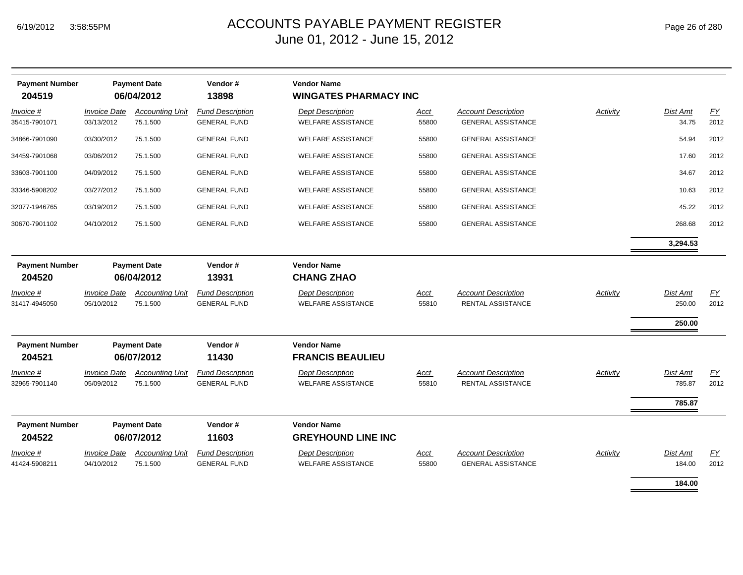| <b>Payment Number</b><br>204519 |                                   | <b>Payment Date</b><br>06/04/2012  | Vendor#<br>13898                               | <b>Vendor Name</b><br><b>WINGATES PHARMACY INC</b>   |               |                                                         |          |                                     |                          |
|---------------------------------|-----------------------------------|------------------------------------|------------------------------------------------|------------------------------------------------------|---------------|---------------------------------------------------------|----------|-------------------------------------|--------------------------|
| Invoice #<br>35415-7901071      | <b>Invoice Date</b><br>03/13/2012 | <b>Accounting Unit</b><br>75.1.500 | <b>Fund Description</b><br><b>GENERAL FUND</b> | <b>Dept Description</b><br><b>WELFARE ASSISTANCE</b> | Acct<br>55800 | <b>Account Description</b><br><b>GENERAL ASSISTANCE</b> | Activity | Dist Amt<br>34.75                   | EY<br>2012               |
| 34866-7901090                   | 03/30/2012                        | 75.1.500                           | <b>GENERAL FUND</b>                            | <b>WELFARE ASSISTANCE</b>                            | 55800         | <b>GENERAL ASSISTANCE</b>                               |          | 54.94                               | 2012                     |
| 34459-7901068                   | 03/06/2012                        | 75.1.500                           | <b>GENERAL FUND</b>                            | <b>WELFARE ASSISTANCE</b>                            | 55800         | <b>GENERAL ASSISTANCE</b>                               |          | 17.60                               | 2012                     |
| 33603-7901100                   | 04/09/2012                        | 75.1.500                           | <b>GENERAL FUND</b>                            | <b>WELFARE ASSISTANCE</b>                            | 55800         | <b>GENERAL ASSISTANCE</b>                               |          | 34.67                               | 2012                     |
| 33346-5908202                   | 03/27/2012                        | 75.1.500                           | <b>GENERAL FUND</b>                            | <b>WELFARE ASSISTANCE</b>                            | 55800         | <b>GENERAL ASSISTANCE</b>                               |          | 10.63                               | 2012                     |
| 32077-1946765                   | 03/19/2012                        | 75.1.500                           | <b>GENERAL FUND</b>                            | <b>WELFARE ASSISTANCE</b>                            | 55800         | <b>GENERAL ASSISTANCE</b>                               |          | 45.22                               | 2012                     |
| 30670-7901102                   | 04/10/2012                        | 75.1.500                           | <b>GENERAL FUND</b>                            | <b>WELFARE ASSISTANCE</b>                            | 55800         | <b>GENERAL ASSISTANCE</b>                               |          | 268.68                              | 2012                     |
|                                 |                                   |                                    |                                                |                                                      |               |                                                         |          | 3,294.53                            |                          |
| <b>Payment Number</b><br>204520 |                                   | <b>Payment Date</b><br>06/04/2012  | Vendor#<br>13931                               | <b>Vendor Name</b><br><b>CHANG ZHAO</b>              |               |                                                         |          |                                     |                          |
| Invoice #<br>31417-4945050      | <b>Invoice Date</b><br>05/10/2012 | <b>Accounting Unit</b><br>75.1.500 | <b>Fund Description</b><br><b>GENERAL FUND</b> | <b>Dept Description</b><br><b>WELFARE ASSISTANCE</b> | Acct<br>55810 | <b>Account Description</b><br>RENTAL ASSISTANCE         | Activity | <b>Dist Amt</b><br>250.00<br>250.00 | EY<br>2012               |
| <b>Payment Number</b><br>204521 |                                   | <b>Payment Date</b><br>06/07/2012  | Vendor#<br>11430                               | <b>Vendor Name</b><br><b>FRANCIS BEAULIEU</b>        |               |                                                         |          |                                     |                          |
| Invoice #<br>32965-7901140      | <b>Invoice Date</b><br>05/09/2012 | <b>Accounting Unit</b><br>75.1.500 | <b>Fund Description</b><br><b>GENERAL FUND</b> | <b>Dept Description</b><br><b>WELFARE ASSISTANCE</b> | Acct<br>55810 | <b>Account Description</b><br>RENTAL ASSISTANCE         | Activity | <b>Dist Amt</b><br>785.87           | $\underline{FY}$<br>2012 |
|                                 |                                   |                                    |                                                |                                                      |               |                                                         |          | 785.87                              |                          |
| <b>Payment Number</b><br>204522 |                                   | <b>Payment Date</b><br>06/07/2012  | Vendor#<br>11603                               | <b>Vendor Name</b><br><b>GREYHOUND LINE INC</b>      |               |                                                         |          |                                     |                          |
| Invoice #<br>41424-5908211      | <b>Invoice Date</b><br>04/10/2012 | <b>Accounting Unit</b><br>75.1.500 | <b>Fund Description</b><br><b>GENERAL FUND</b> | <b>Dept Description</b><br><b>WELFARE ASSISTANCE</b> | Acct<br>55800 | <b>Account Description</b><br><b>GENERAL ASSISTANCE</b> | Activity | Dist Amt<br>184.00                  | EY<br>2012               |
|                                 |                                   |                                    |                                                |                                                      |               |                                                         |          | 184.00                              |                          |

÷,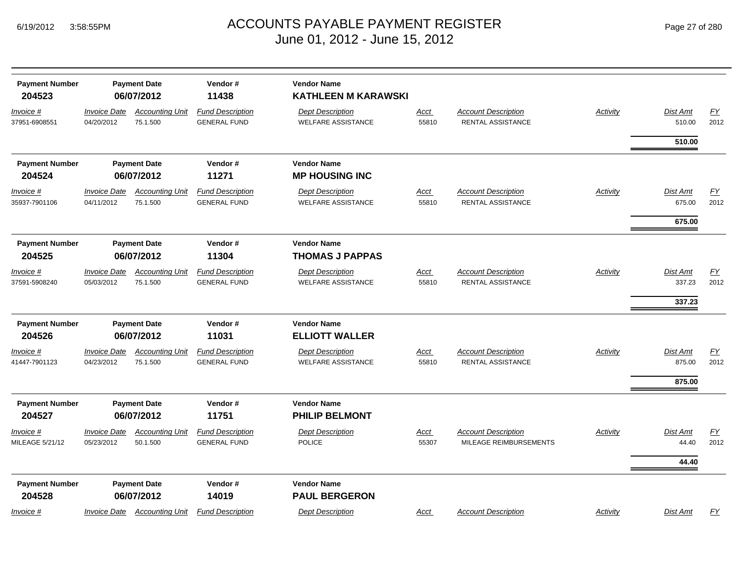| <b>Payment Number</b><br>204523      |                                   | <b>Payment Date</b><br>06/07/2012                | Vendor#<br>11438                                        | <b>Vendor Name</b><br><b>KATHLEEN M KARAWSKI</b>                              |                      |                                                        |          |                                   |                   |
|--------------------------------------|-----------------------------------|--------------------------------------------------|---------------------------------------------------------|-------------------------------------------------------------------------------|----------------------|--------------------------------------------------------|----------|-----------------------------------|-------------------|
| Invoice #<br>37951-6908551           | <b>Invoice Date</b><br>04/20/2012 | <b>Accounting Unit</b><br>75.1.500               | <b>Fund Description</b><br><b>GENERAL FUND</b>          | <b>Dept Description</b><br><b>WELFARE ASSISTANCE</b>                          | Acct<br>55810        | <b>Account Description</b><br><b>RENTAL ASSISTANCE</b> | Activity | Dist Amt<br>510.00                | EY<br>2012        |
|                                      |                                   |                                                  |                                                         |                                                                               |                      |                                                        |          | 510.00                            |                   |
| <b>Payment Number</b><br>204524      |                                   | <b>Payment Date</b><br>06/07/2012                | Vendor#<br>11271                                        | <b>Vendor Name</b><br><b>MP HOUSING INC</b>                                   |                      |                                                        |          |                                   |                   |
| <u>Invoice #</u><br>35937-7901106    | <b>Invoice Date</b><br>04/11/2012 | <b>Accounting Unit</b><br>75.1.500               | <b>Fund Description</b><br><b>GENERAL FUND</b>          | <b>Dept Description</b><br><b>WELFARE ASSISTANCE</b>                          | <u>Acct</u><br>55810 | <b>Account Description</b><br><b>RENTAL ASSISTANCE</b> | Activity | Dist Amt<br>675.00                | <u>FY</u><br>2012 |
|                                      |                                   |                                                  |                                                         |                                                                               |                      |                                                        |          | 675.00                            |                   |
| <b>Payment Number</b><br>204525      | <b>Payment Date</b><br>06/07/2012 |                                                  | Vendor#<br>11304                                        | <b>Vendor Name</b><br><b>THOMAS J PAPPAS</b>                                  |                      |                                                        |          |                                   |                   |
| Invoice #<br>37591-5908240           | <b>Invoice Date</b><br>05/03/2012 | <b>Accounting Unit</b><br>75.1.500               | <b>Fund Description</b><br><b>GENERAL FUND</b>          | <b>Dept Description</b><br><b>WELFARE ASSISTANCE</b>                          | <u>Acct</u><br>55810 | <b>Account Description</b><br>RENTAL ASSISTANCE        | Activity | Dist Amt<br>337.23                | EY<br>2012        |
|                                      |                                   |                                                  |                                                         |                                                                               |                      |                                                        |          | 337.23                            |                   |
| <b>Payment Number</b>                |                                   | <b>Payment Date</b>                              | Vendor#                                                 | <b>Vendor Name</b>                                                            |                      |                                                        |          |                                   |                   |
| 204526<br>Invoice #<br>41447-7901123 | <b>Invoice Date</b><br>04/23/2012 | 06/07/2012<br><b>Accounting Unit</b><br>75.1.500 | 11031<br><b>Fund Description</b><br><b>GENERAL FUND</b> | <b>ELLIOTT WALLER</b><br><b>Dept Description</b><br><b>WELFARE ASSISTANCE</b> | Acct<br>55810        | <b>Account Description</b><br>RENTAL ASSISTANCE        | Activity | Dist Amt<br>875.00                | EY<br>2012        |
|                                      |                                   |                                                  |                                                         |                                                                               |                      |                                                        |          | 875.00                            |                   |
| <b>Payment Number</b><br>204527      |                                   | <b>Payment Date</b><br>06/07/2012                | Vendor#<br>11751                                        | <b>Vendor Name</b><br><b>PHILIP BELMONT</b>                                   |                      |                                                        |          |                                   |                   |
| <u>Invoice #</u><br>MILEAGE 5/21/12  | <b>Invoice Date</b><br>05/23/2012 | <b>Accounting Unit</b><br>50.1.500               | <b>Fund Description</b><br><b>GENERAL FUND</b>          | <b>Dept Description</b><br><b>POLICE</b>                                      | <u>Acct</u><br>55307 | <b>Account Description</b><br>MILEAGE REIMBURSEMENTS   | Activity | <b>Dist Amt</b><br>44.40<br>44.40 | EY<br>2012        |
| <b>Payment Number</b><br>204528      |                                   | <b>Payment Date</b><br>06/07/2012                | Vendor#<br>14019                                        | <b>Vendor Name</b><br><b>PAUL BERGERON</b>                                    |                      |                                                        |          |                                   |                   |
| Invoice #                            | <b>Invoice Date</b>               | <b>Accounting Unit</b>                           | <b>Fund Description</b>                                 | <b>Dept Description</b>                                                       | <u>Acct</u>          | <b>Account Description</b>                             | Activity | Dist Amt                          | <u>FY</u>         |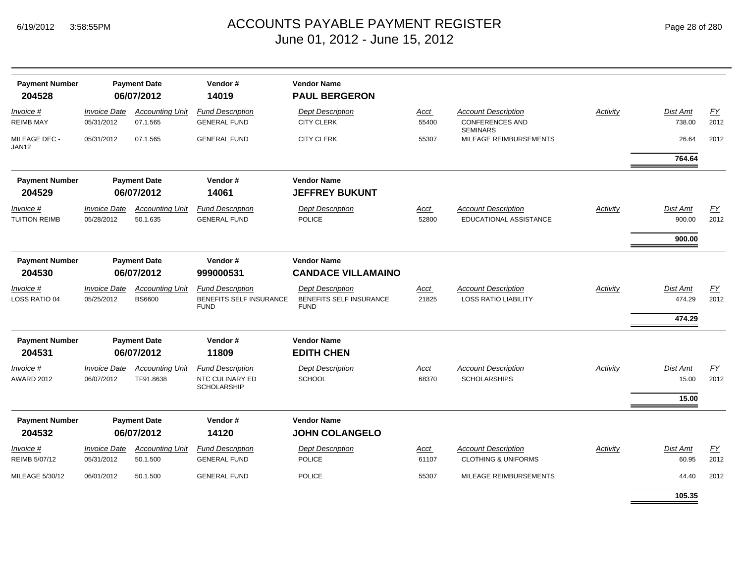| <b>Payment Number</b><br>204528   |                                   | <b>Payment Date</b><br>06/07/2012       | Vendor#<br>14019                                                         | <b>Vendor Name</b><br><b>PAUL BERGERON</b>                               |               |                                                                         |                 |                              |                          |
|-----------------------------------|-----------------------------------|-----------------------------------------|--------------------------------------------------------------------------|--------------------------------------------------------------------------|---------------|-------------------------------------------------------------------------|-----------------|------------------------------|--------------------------|
| Invoice #<br><b>REIMB MAY</b>     | <b>Invoice Date</b><br>05/31/2012 | <b>Accounting Unit</b><br>07.1.565      | <b>Fund Description</b><br><b>GENERAL FUND</b>                           | <b>Dept Description</b><br><b>CITY CLERK</b>                             | Acct<br>55400 | <b>Account Description</b><br><b>CONFERENCES AND</b><br><b>SEMINARS</b> | Activity        | Dist Amt<br>738.00           | EY<br>2012               |
| MILEAGE DEC -<br>JAN12            | 05/31/2012                        | 07.1.565                                | <b>GENERAL FUND</b>                                                      | <b>CITY CLERK</b>                                                        | 55307         | MILEAGE REIMBURSEMENTS                                                  |                 | 26.64                        | 2012                     |
|                                   |                                   |                                         |                                                                          |                                                                          |               |                                                                         |                 | 764.64                       |                          |
| <b>Payment Number</b><br>204529   |                                   | <b>Payment Date</b><br>06/07/2012       | Vendor#<br>14061                                                         | <b>Vendor Name</b><br><b>JEFFREY BUKUNT</b>                              |               |                                                                         |                 |                              |                          |
| Invoice #<br><b>TUITION REIMB</b> | <b>Invoice Date</b><br>05/28/2012 | <b>Accounting Unit</b><br>50.1.635      | <b>Fund Description</b><br><b>GENERAL FUND</b>                           | <b>Dept Description</b><br><b>POLICE</b>                                 | Acct<br>52800 | <b>Account Description</b><br>EDUCATIONAL ASSISTANCE                    | Activity        | Dist Amt<br>900.00           | <u>FY</u><br>2012        |
|                                   |                                   |                                         |                                                                          |                                                                          |               |                                                                         |                 | 900.00                       |                          |
| <b>Payment Number</b><br>204530   |                                   | <b>Payment Date</b><br>06/07/2012       | Vendor#<br>999000531                                                     | <b>Vendor Name</b><br><b>CANDACE VILLAMAINO</b>                          |               |                                                                         |                 |                              |                          |
| Invoice #<br>LOSS RATIO 04        | <b>Invoice Date</b><br>05/25/2012 | <b>Accounting Unit</b><br><b>BS6600</b> | <b>Fund Description</b><br><b>BENEFITS SELF INSURANCE</b><br><b>FUND</b> | <b>Dept Description</b><br><b>BENEFITS SELF INSURANCE</b><br><b>FUND</b> | Acct<br>21825 | <b>Account Description</b><br><b>LOSS RATIO LIABILITY</b>               | Activity        | Dist Amt<br>474.29<br>474.29 | EY<br>2012               |
| <b>Payment Number</b><br>204531   |                                   | <b>Payment Date</b><br>06/07/2012       | Vendor#<br>11809                                                         | <b>Vendor Name</b><br><b>EDITH CHEN</b>                                  |               |                                                                         |                 |                              |                          |
| Invoice #<br><b>AWARD 2012</b>    | <b>Invoice Date</b><br>06/07/2012 | <b>Accounting Unit</b><br>TF91.8638     | <b>Fund Description</b><br>NTC CULINARY ED<br><b>SCHOLARSHIP</b>         | <b>Dept Description</b><br><b>SCHOOL</b>                                 | Acct<br>68370 | <b>Account Description</b><br><b>SCHOLARSHIPS</b>                       | Activity        | Dist Amt<br>15.00<br>15.00   | EY<br>2012               |
| <b>Payment Number</b><br>204532   |                                   | <b>Payment Date</b><br>06/07/2012       | Vendor#<br>14120                                                         | <b>Vendor Name</b><br><b>JOHN COLANGELO</b>                              |               |                                                                         |                 |                              |                          |
| Invoice #<br>REIMB 5/07/12        | <b>Invoice Date</b><br>05/31/2012 | <b>Accounting Unit</b><br>50.1.500      | <b>Fund Description</b><br><b>GENERAL FUND</b>                           | <b>Dept Description</b><br><b>POLICE</b>                                 | Acct<br>61107 | <b>Account Description</b><br><b>CLOTHING &amp; UNIFORMS</b>            | <b>Activity</b> | Dist Amt<br>60.95            | $\underline{FY}$<br>2012 |
| MILEAGE 5/30/12                   | 06/01/2012                        | 50.1.500                                | <b>GENERAL FUND</b>                                                      | <b>POLICE</b>                                                            | 55307         | MILEAGE REIMBURSEMENTS                                                  |                 | 44.40                        | 2012                     |
|                                   |                                   |                                         |                                                                          |                                                                          |               |                                                                         |                 | 105.35                       |                          |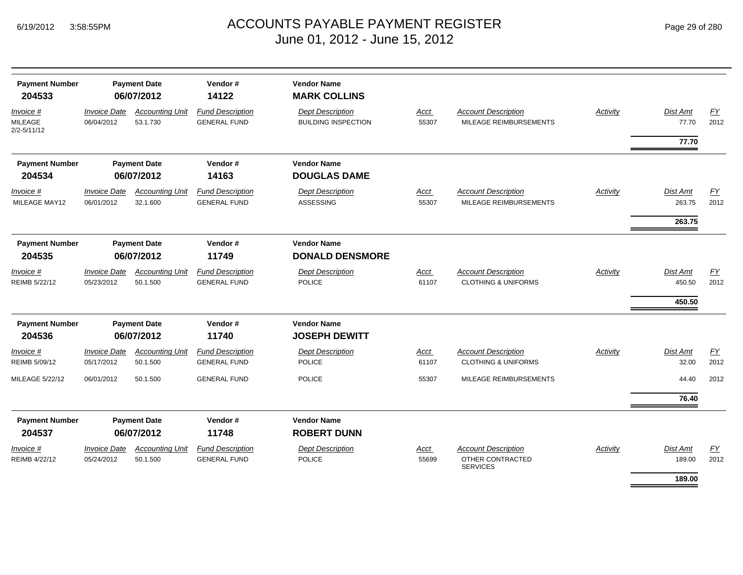| <b>Payment Number</b><br>204533                | <b>Payment Date</b><br>06/07/2012        |                                    | Vendor#<br>14122                               | <b>Vendor Name</b><br><b>MARK COLLINS</b>             |                      |                                                                   |          |                           |            |
|------------------------------------------------|------------------------------------------|------------------------------------|------------------------------------------------|-------------------------------------------------------|----------------------|-------------------------------------------------------------------|----------|---------------------------|------------|
| Invoice #<br><b>MILEAGE</b><br>$2/2 - 5/11/12$ | <b>Invoice Date</b><br>06/04/2012        | <b>Accounting Unit</b><br>53.1.730 | <b>Fund Description</b><br><b>GENERAL FUND</b> | <b>Dept Description</b><br><b>BUILDING INSPECTION</b> | Acct<br>55307        | <b>Account Description</b><br>MILEAGE REIMBURSEMENTS              | Activity | <b>Dist Amt</b><br>77.70  | EY<br>2012 |
|                                                |                                          |                                    |                                                |                                                       |                      |                                                                   |          | 77.70                     |            |
| <b>Payment Number</b><br>204534                |                                          | <b>Payment Date</b><br>06/07/2012  | Vendor#<br>14163                               | <b>Vendor Name</b><br><b>DOUGLAS DAME</b>             |                      |                                                                   |          |                           |            |
| Invoice #<br>MILEAGE MAY12                     | <b>Invoice Date</b><br>06/01/2012        | <b>Accounting Unit</b><br>32.1.600 | <b>Fund Description</b><br><b>GENERAL FUND</b> | <b>Dept Description</b><br><b>ASSESSING</b>           | Acct<br>55307        | <b>Account Description</b><br>MILEAGE REIMBURSEMENTS              | Activity | <b>Dist Amt</b><br>263.75 | FY<br>2012 |
|                                                |                                          |                                    |                                                |                                                       |                      |                                                                   |          | 263.75                    |            |
| <b>Payment Number</b><br>204535                | <b>Payment Date</b><br>06/07/2012        |                                    | Vendor#<br>11749                               | <b>Vendor Name</b><br><b>DONALD DENSMORE</b>          |                      |                                                                   |          |                           |            |
| Invoice #<br>REIMB 5/22/12                     | <b>Invoice Date</b><br>05/23/2012        | <b>Accounting Unit</b><br>50.1.500 | <b>Fund Description</b><br><b>GENERAL FUND</b> | <b>Dept Description</b><br><b>POLICE</b>              | Acct<br>61107        | <b>Account Description</b><br><b>CLOTHING &amp; UNIFORMS</b>      | Activity | <b>Dist Amt</b><br>450.50 | EY<br>2012 |
|                                                |                                          |                                    |                                                |                                                       |                      |                                                                   |          | 450.50                    |            |
| <b>Payment Number</b><br>204536                |                                          | <b>Payment Date</b><br>06/07/2012  | Vendor#<br>11740                               | <b>Vendor Name</b><br><b>JOSEPH DEWITT</b>            |                      |                                                                   |          |                           |            |
| Invoice #<br>REIMB 5/09/12                     | <b>Invoice Date</b><br>05/17/2012        | <b>Accounting Unit</b><br>50.1.500 | <b>Fund Description</b><br><b>GENERAL FUND</b> | <b>Dept Description</b><br><b>POLICE</b>              | <b>Acct</b><br>61107 | <b>Account Description</b><br><b>CLOTHING &amp; UNIFORMS</b>      | Activity | <b>Dist Amt</b><br>32.00  | EY<br>2012 |
| MILEAGE 5/22/12                                | 06/01/2012                               | 50.1.500                           | <b>GENERAL FUND</b>                            | <b>POLICE</b>                                         | 55307                | MILEAGE REIMBURSEMENTS                                            |          | 44.40                     | 2012       |
|                                                |                                          |                                    |                                                |                                                       |                      |                                                                   |          | 76.40                     |            |
| <b>Payment Number</b><br>204537                |                                          | <b>Payment Date</b><br>06/07/2012  | Vendor#<br>11748                               | <b>Vendor Name</b><br><b>ROBERT DUNN</b>              |                      |                                                                   |          |                           |            |
| Invoice #<br>REIMB 4/22/12                     | <i><b>Invoice Date</b></i><br>05/24/2012 | <b>Accounting Unit</b><br>50.1.500 | <b>Fund Description</b><br><b>GENERAL FUND</b> | <b>Dept Description</b><br><b>POLICE</b>              | Acct<br>55699        | <b>Account Description</b><br>OTHER CONTRACTED<br><b>SERVICES</b> | Activity | <b>Dist Amt</b><br>189.00 | EY<br>2012 |
|                                                |                                          |                                    |                                                |                                                       |                      |                                                                   |          | 189.00                    |            |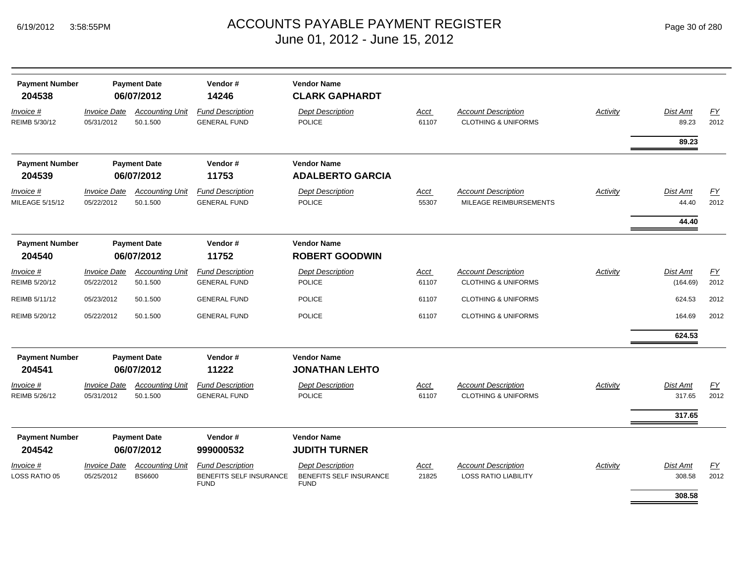## ACCOUNTS PAYABLE PAYMENT REGISTER Page 30 of 280 June 01, 2012 - June 15, 2012

| <b>Payment Number</b><br>204538     | <b>Payment Date</b><br>06/07/2012 |                                    | Vendor#<br>14246                               | <b>Vendor Name</b><br><b>CLARK GAPHARDT</b> |                      |                                                              |          |                             |            |
|-------------------------------------|-----------------------------------|------------------------------------|------------------------------------------------|---------------------------------------------|----------------------|--------------------------------------------------------------|----------|-----------------------------|------------|
| Invoice #<br>REIMB 5/30/12          | <b>Invoice Date</b><br>05/31/2012 | <b>Accounting Unit</b><br>50.1.500 | <b>Fund Description</b><br><b>GENERAL FUND</b> | <b>Dept Description</b><br><b>POLICE</b>    | Acct<br>61107        | <b>Account Description</b><br><b>CLOTHING &amp; UNIFORMS</b> | Activity | Dist Amt<br>89.23           | EY<br>2012 |
|                                     |                                   |                                    |                                                |                                             |                      |                                                              |          | 89.23                       |            |
| <b>Payment Number</b>               |                                   | <b>Payment Date</b>                | Vendor#                                        | <b>Vendor Name</b>                          |                      |                                                              |          |                             |            |
| 204539                              |                                   | 06/07/2012                         | 11753                                          | <b>ADALBERTO GARCIA</b>                     |                      |                                                              |          |                             |            |
| Invoice #<br><b>MILEAGE 5/15/12</b> | <b>Invoice Date</b><br>05/22/2012 | <b>Accounting Unit</b><br>50.1.500 | <b>Fund Description</b><br><b>GENERAL FUND</b> | <b>Dept Description</b><br><b>POLICE</b>    | Acct<br>55307        | <b>Account Description</b><br>MILEAGE REIMBURSEMENTS         | Activity | <b>Dist Amt</b><br>44.40    | EY<br>2012 |
|                                     |                                   |                                    |                                                |                                             |                      |                                                              |          | 44.40                       |            |
| <b>Payment Number</b>               |                                   | <b>Payment Date</b>                | Vendor#                                        | <b>Vendor Name</b>                          |                      |                                                              |          |                             |            |
| 204540                              |                                   | 06/07/2012                         | 11752                                          | <b>ROBERT GOODWIN</b>                       |                      |                                                              |          |                             |            |
| Invoice #<br>REIMB 5/20/12          | <b>Invoice Date</b><br>05/22/2012 | <b>Accounting Unit</b><br>50.1.500 | <b>Fund Description</b><br><b>GENERAL FUND</b> | <b>Dept Description</b><br><b>POLICE</b>    | Acct<br>61107        | <b>Account Description</b><br><b>CLOTHING &amp; UNIFORMS</b> | Activity | <b>Dist Amt</b><br>(164.69) | EY<br>2012 |
| REIMB 5/11/12                       | 05/23/2012                        | 50.1.500                           | <b>GENERAL FUND</b>                            | <b>POLICE</b>                               | 61107                | <b>CLOTHING &amp; UNIFORMS</b>                               |          | 624.53                      | 2012       |
| REIMB 5/20/12                       | 05/22/2012                        | 50.1.500                           | <b>GENERAL FUND</b>                            | <b>POLICE</b>                               | 61107                | <b>CLOTHING &amp; UNIFORMS</b>                               |          | 164.69                      | 2012       |
|                                     |                                   |                                    |                                                |                                             |                      |                                                              |          | 624.53                      |            |
| <b>Payment Number</b><br>204541     |                                   | <b>Payment Date</b><br>06/07/2012  | Vendor#<br>11222                               | <b>Vendor Name</b><br><b>JONATHAN LEHTO</b> |                      |                                                              |          |                             |            |
| Invoice #<br>REIMB 5/26/12          | <b>Invoice Date</b><br>05/31/2012 | <b>Accounting Unit</b><br>50.1.500 | <b>Fund Description</b><br><b>GENERAL FUND</b> | <b>Dept Description</b><br><b>POLICE</b>    | <b>Acct</b><br>61107 | <b>Account Description</b><br><b>CLOTHING &amp; UNIFORMS</b> | Activity | <b>Dist Amt</b><br>317.65   | EY<br>2012 |
|                                     |                                   |                                    |                                                |                                             |                      |                                                              |          | 317.65                      |            |
| <b>Payment Number</b><br>204542     |                                   | <b>Payment Date</b><br>06/07/2012  | Vendor#<br>999000532                           | <b>Vendor Name</b><br><b>JUDITH TURNER</b>  |                      |                                                              |          |                             |            |
| Invoice #                           | <b>Invoice Date</b>               | <b>Accounting Unit</b>             | <b>Fund Description</b>                        | <b>Dept Description</b>                     | Acct                 | <b>Account Description</b>                                   | Activity | Dist Amt                    | EY         |
| <b>LOSS RATIO 05</b>                | 05/25/2012                        | <b>BS6600</b>                      | BENEFITS SELF INSURANCE<br><b>FUND</b>         | BENEFITS SELF INSURANCE<br><b>FUND</b>      | 21825                | <b>LOSS RATIO LIABILITY</b>                                  |          | 308.58<br>308.58            | 2012       |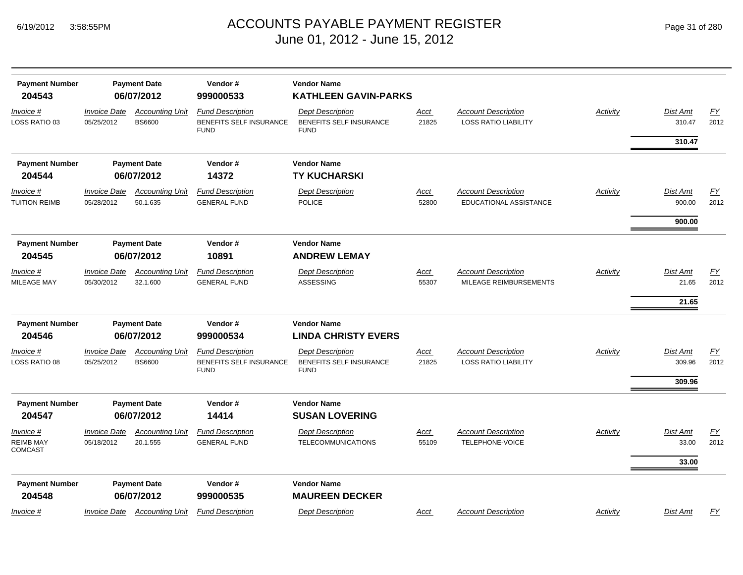| <b>Payment Number</b><br>204543          | <b>Payment Date</b><br>06/07/2012        |                                         | Vendor#<br><b>Vendor Name</b><br>999000533<br><b>KATHLEEN GAVIN-PARKS</b> |                                                                   |                      |                                                             |                 |                              |                   |
|------------------------------------------|------------------------------------------|-----------------------------------------|---------------------------------------------------------------------------|-------------------------------------------------------------------|----------------------|-------------------------------------------------------------|-----------------|------------------------------|-------------------|
| Invoice #<br>LOSS RATIO 03               | <b>Invoice Date</b><br>05/25/2012        | <b>Accounting Unit</b><br><b>BS6600</b> | <b>Fund Description</b><br>BENEFITS SELF INSURANCE<br><b>FUND</b>         | <b>Dept Description</b><br>BENEFITS SELF INSURANCE<br><b>FUND</b> | <b>Acct</b><br>21825 | <b>Account Description</b><br><b>LOSS RATIO LIABILITY</b>   | Activity        | Dist Amt<br>310.47<br>310.47 | EY<br>2012        |
| <b>Payment Number</b><br>204544          |                                          | <b>Payment Date</b><br>06/07/2012       | Vendor#<br>14372                                                          | <b>Vendor Name</b><br><b>TY KUCHARSKI</b>                         |                      |                                                             |                 |                              |                   |
| Invoice #<br>TUITION REIMB               | <i><b>Invoice Date</b></i><br>05/28/2012 | <b>Accounting Unit</b><br>50.1.635      | <b>Fund Description</b><br><b>GENERAL FUND</b>                            | <b>Dept Description</b><br><b>POLICE</b>                          | Acct<br>52800        | <b>Account Description</b><br><b>EDUCATIONAL ASSISTANCE</b> | Activity        | <b>Dist Amt</b><br>900.00    | <u>FY</u><br>2012 |
|                                          |                                          |                                         |                                                                           |                                                                   |                      |                                                             |                 | 900.00                       |                   |
| <b>Payment Number</b><br>204545          |                                          | <b>Payment Date</b><br>06/07/2012       | Vendor#<br>10891                                                          | <b>Vendor Name</b><br><b>ANDREW LEMAY</b>                         |                      |                                                             |                 |                              |                   |
| Invoice #<br>MILEAGE MAY                 | <b>Invoice Date</b><br>05/30/2012        | <b>Accounting Unit</b><br>32.1.600      | <b>Fund Description</b><br><b>GENERAL FUND</b>                            | <b>Dept Description</b><br>ASSESSING                              | <u>Acct</u><br>55307 | <b>Account Description</b><br>MILEAGE REIMBURSEMENTS        | <b>Activity</b> | <b>Dist Amt</b><br>21.65     | <u>FY</u><br>2012 |
|                                          |                                          |                                         |                                                                           |                                                                   |                      |                                                             |                 | 21.65                        |                   |
| <b>Payment Number</b><br>204546          |                                          | <b>Payment Date</b><br>06/07/2012       | Vendor#<br>999000534                                                      | <b>Vendor Name</b><br><b>LINDA CHRISTY EVERS</b>                  |                      |                                                             |                 |                              |                   |
| Invoice #<br>LOSS RATIO 08               | <b>Invoice Date</b><br>05/25/2012        | <b>Accounting Unit</b><br><b>BS6600</b> | <b>Fund Description</b><br>BENEFITS SELF INSURANCE<br><b>FUND</b>         | <b>Dept Description</b><br>BENEFITS SELF INSURANCE<br><b>FUND</b> | Acct<br>21825        | <b>Account Description</b><br><b>LOSS RATIO LIABILITY</b>   | Activity        | <b>Dist Amt</b><br>309.96    | EY<br>2012        |
|                                          |                                          |                                         |                                                                           |                                                                   |                      |                                                             |                 | 309.96                       |                   |
| <b>Payment Number</b><br>204547          |                                          | <b>Payment Date</b><br>06/07/2012       | Vendor#<br>14414                                                          | <b>Vendor Name</b><br><b>SUSAN LOVERING</b>                       |                      |                                                             |                 |                              |                   |
| Invoice #<br><b>REIMB MAY</b><br>COMCAST | <b>Invoice Date</b><br>05/18/2012        | <b>Accounting Unit</b><br>20.1.555      | <b>Fund Description</b><br><b>GENERAL FUND</b>                            | <b>Dept Description</b><br><b>TELECOMMUNICATIONS</b>              | Acct<br>55109        | <b>Account Description</b><br>TELEPHONE-VOICE               | Activity        | Dist Amt<br>33.00<br>33.00   | <u>FY</u><br>2012 |
| <b>Payment Number</b><br>204548          |                                          | <b>Payment Date</b><br>06/07/2012       | Vendor#<br>999000535                                                      | <b>Vendor Name</b><br><b>MAUREEN DECKER</b>                       |                      |                                                             |                 |                              |                   |
| <u>Invoice #</u>                         |                                          | <b>Invoice Date</b> Accounting Unit     | <b>Fund Description</b>                                                   | <b>Dept Description</b>                                           | <u>Acct</u>          | <b>Account Description</b>                                  | <u>Activity</u> | <b>Dist Amt</b>              | <u>FY</u>         |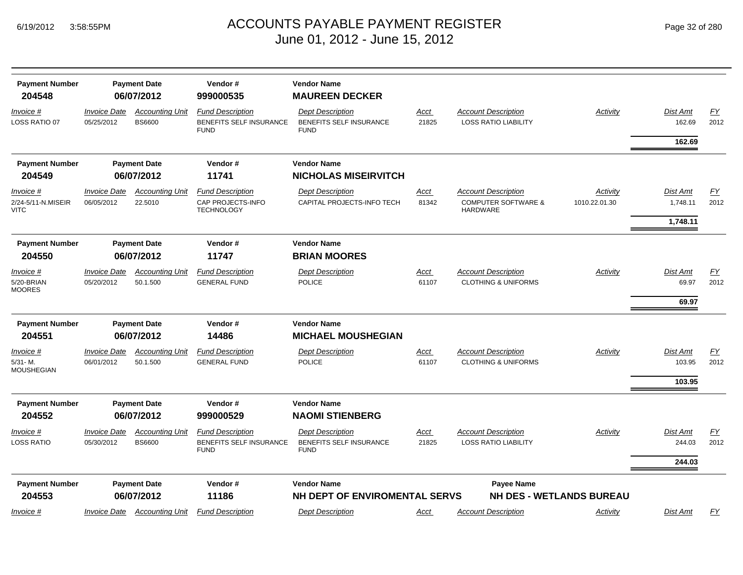## ACCOUNTS PAYABLE PAYMENT REGISTER Page 32 of 280 June 01, 2012 - June 15, 2012

| Page 32 of 280 |  |  |
|----------------|--|--|
|----------------|--|--|

| <b>Payment Number</b><br>204548           |                                          | <b>Payment Date</b><br>06/07/2012       | Vendor#<br>999000535                                              | <b>Vendor Name</b><br><b>MAUREEN DECKER</b>                       |                      |                                                                                 |                           |                      |                          |
|-------------------------------------------|------------------------------------------|-----------------------------------------|-------------------------------------------------------------------|-------------------------------------------------------------------|----------------------|---------------------------------------------------------------------------------|---------------------------|----------------------|--------------------------|
| Invoice #<br>LOSS RATIO 07                | <i><b>Invoice Date</b></i><br>05/25/2012 | <b>Accounting Unit</b><br><b>BS6600</b> | <b>Fund Description</b><br>BENEFITS SELF INSURANCE<br><b>FUND</b> | <b>Dept Description</b><br>BENEFITS SELF INSURANCE<br><b>FUND</b> | <u>Acct</u><br>21825 | <b>Account Description</b><br><b>LOSS RATIO LIABILITY</b>                       | Activity                  | Dist Amt<br>162.69   | $\underline{FY}$<br>2012 |
|                                           |                                          |                                         |                                                                   |                                                                   |                      |                                                                                 |                           | 162.69               |                          |
| <b>Payment Number</b>                     |                                          | <b>Payment Date</b>                     | Vendor#                                                           | <b>Vendor Name</b>                                                |                      |                                                                                 |                           |                      |                          |
| 204549                                    |                                          | 06/07/2012                              | 11741                                                             | <b>NICHOLAS MISEIRVITCH</b>                                       |                      |                                                                                 |                           |                      |                          |
| Invoice #<br>2/24-5/11-N.MISEIR<br>VITC   | <b>Invoice Date</b><br>06/05/2012        | <b>Accounting Unit</b><br>22.5010       | <b>Fund Description</b><br>CAP PROJECTS-INFO<br><b>TECHNOLOGY</b> | <b>Dept Description</b><br>CAPITAL PROJECTS-INFO TECH             | <b>Acct</b><br>81342 | <b>Account Description</b><br><b>COMPUTER SOFTWARE &amp;</b><br><b>HARDWARE</b> | Activity<br>1010.22.01.30 | Dist Amt<br>1,748.11 | EY<br>2012               |
|                                           |                                          |                                         |                                                                   |                                                                   |                      |                                                                                 |                           | 1,748.11             |                          |
| <b>Payment Number</b><br>204550           |                                          | <b>Payment Date</b><br>06/07/2012       | Vendor#<br>11747                                                  | <b>Vendor Name</b><br><b>BRIAN MOORES</b>                         |                      |                                                                                 |                           |                      |                          |
| Invoice #                                 | <b>Invoice Date</b>                      | <b>Accounting Unit</b>                  | <b>Fund Description</b>                                           | <b>Dept Description</b>                                           | <u>Acct</u>          | <b>Account Description</b>                                                      | Activity                  | Dist Amt             | EY                       |
| 5/20-BRIAN<br><b>MOORES</b>               | 05/20/2012                               | 50.1.500                                | <b>GENERAL FUND</b>                                               | <b>POLICE</b>                                                     | 61107                | <b>CLOTHING &amp; UNIFORMS</b>                                                  |                           | 69.97                | 2012                     |
|                                           |                                          |                                         |                                                                   |                                                                   |                      |                                                                                 |                           | 69.97                |                          |
| <b>Payment Number</b>                     |                                          | <b>Payment Date</b>                     | Vendor#                                                           | <b>Vendor Name</b>                                                |                      |                                                                                 |                           |                      |                          |
| 204551                                    |                                          | 06/07/2012                              | 14486                                                             | <b>MICHAEL MOUSHEGIAN</b>                                         |                      |                                                                                 |                           |                      |                          |
| <u>Invoice #</u><br>5/31-M.<br>MOUSHEGIAN | <b>Invoice Date</b><br>06/01/2012        | <b>Accounting Unit</b><br>50.1.500      | <b>Fund Description</b><br><b>GENERAL FUND</b>                    | <b>Dept Description</b><br><b>POLICE</b>                          | <u>Acct</u><br>61107 | <b>Account Description</b><br><b>CLOTHING &amp; UNIFORMS</b>                    | Activity                  | Dist Amt<br>103.95   | $\underline{FY}$<br>2012 |
|                                           |                                          |                                         |                                                                   |                                                                   |                      |                                                                                 |                           | 103.95               |                          |
| <b>Payment Number</b><br>204552           |                                          | <b>Payment Date</b><br>06/07/2012       | Vendor#<br>999000529                                              | <b>Vendor Name</b><br><b>NAOMI STIENBERG</b>                      |                      |                                                                                 |                           |                      |                          |
| Invoice #                                 | <b>Invoice Date</b>                      | <b>Accounting Unit</b>                  | <b>Fund Description</b>                                           | <b>Dept Description</b>                                           | <u>Acct</u>          | <b>Account Description</b>                                                      | Activity                  | Dist Amt             | $\underline{FY}$         |
| LOSS RATIO                                | 05/30/2012                               | <b>BS6600</b>                           | BENEFITS SELF INSURANCE<br><b>FUND</b>                            | BENEFITS SELF INSURANCE<br><b>FUND</b>                            | 21825                | <b>LOSS RATIO LIABILITY</b>                                                     |                           | 244.03               | 2012                     |
|                                           |                                          |                                         |                                                                   |                                                                   |                      |                                                                                 |                           | 244.03               |                          |
| <b>Payment Number</b>                     |                                          | <b>Payment Date</b>                     | Vendor#                                                           | <b>Vendor Name</b>                                                |                      | <b>Payee Name</b>                                                               |                           |                      |                          |
| 204553                                    |                                          | 06/07/2012                              | 11186                                                             | NH DEPT OF ENVIROMENTAL SERVS                                     |                      | <b>NH DES - WETLANDS BUREAU</b>                                                 |                           |                      |                          |
| Invoice #                                 | <i><b>Invoice Date</b></i>               | <b>Accounting Unit</b>                  | <b>Fund Description</b>                                           | <b>Dept Description</b>                                           | <u>Acct</u>          | <b>Account Description</b>                                                      | Activity                  | Dist Amt             | EY                       |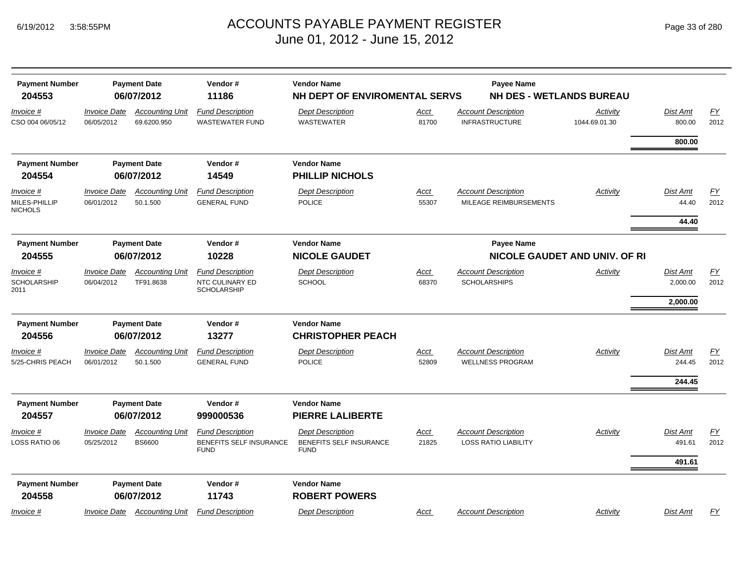| <b>Payment Number</b><br>204553              |                                   | <b>Payment Date</b><br>06/07/2012                     | Vendor#<br>11186                                                         | <b>Vendor Name</b><br>NH DEPT OF ENVIROMENTAL SERVS                      |                      | Payee Name<br><b>NH DES - WETLANDS BUREAU</b>             |                               |                           |                          |
|----------------------------------------------|-----------------------------------|-------------------------------------------------------|--------------------------------------------------------------------------|--------------------------------------------------------------------------|----------------------|-----------------------------------------------------------|-------------------------------|---------------------------|--------------------------|
| Invoice #<br>CSO 004 06/05/12                | <b>Invoice Date</b><br>06/05/2012 | <b>Accounting Unit</b><br>69.6200.950                 | <b>Fund Description</b><br><b>WASTEWATER FUND</b>                        | <b>Dept Description</b><br><b>WASTEWATER</b>                             | <u>Acct</u><br>81700 | <b>Account Description</b><br><b>INFRASTRUCTURE</b>       | Activity<br>1044.69.01.30     | Dist Amt<br>800.00        | $\underline{FY}$<br>2012 |
|                                              |                                   |                                                       |                                                                          |                                                                          |                      |                                                           |                               | 800.00                    |                          |
| <b>Payment Number</b>                        |                                   | <b>Payment Date</b>                                   | Vendor#                                                                  | <b>Vendor Name</b>                                                       |                      |                                                           |                               |                           |                          |
| 204554                                       |                                   | 06/07/2012                                            | 14549                                                                    | <b>PHILLIP NICHOLS</b>                                                   |                      |                                                           |                               |                           |                          |
| Invoice #<br>MILES-PHILLIP<br><b>NICHOLS</b> | <b>Invoice Date</b><br>06/01/2012 | <b>Accounting Unit</b><br>50.1.500                    | <b>Fund Description</b><br><b>GENERAL FUND</b>                           | <b>Dept Description</b><br><b>POLICE</b>                                 | <u>Acct</u><br>55307 | <b>Account Description</b><br>MILEAGE REIMBURSEMENTS      | Activity                      | Dist Amt<br>44.40         | EY<br>2012               |
|                                              |                                   |                                                       |                                                                          |                                                                          |                      |                                                           |                               | 44.40                     |                          |
| <b>Payment Number</b><br>204555              |                                   | <b>Payment Date</b><br>Vendor#<br>10228<br>06/07/2012 |                                                                          | <b>Vendor Name</b><br><b>NICOLE GAUDET</b>                               |                      | <b>Payee Name</b>                                         | NICOLE GAUDET AND UNIV. OF RI |                           |                          |
| Invoice #                                    | <b>Invoice Date</b>               | <b>Accounting Unit</b>                                | <b>Fund Description</b>                                                  | <b>Dept Description</b>                                                  | Acct                 | <b>Account Description</b>                                | Activity                      | <b>Dist Amt</b>           | EY                       |
| <b>SCHOLARSHIP</b><br>2011                   | 06/04/2012                        | TF91.8638                                             | NTC CULINARY ED<br><b>SCHOLARSHIP</b>                                    | <b>SCHOOL</b>                                                            | 68370                | <b>SCHOLARSHIPS</b>                                       |                               | 2,000.00                  | 2012                     |
|                                              |                                   |                                                       |                                                                          |                                                                          |                      |                                                           |                               | 2,000.00                  |                          |
| <b>Payment Number</b>                        |                                   | <b>Payment Date</b>                                   | Vendor#                                                                  | <b>Vendor Name</b>                                                       |                      |                                                           |                               |                           |                          |
| 204556                                       |                                   | 06/07/2012                                            | 13277                                                                    | <b>CHRISTOPHER PEACH</b>                                                 |                      |                                                           |                               |                           |                          |
| Invoice #<br>5/25-CHRIS PEACH                | <b>Invoice Date</b><br>06/01/2012 | <b>Accounting Unit</b><br>50.1.500                    | <b>Fund Description</b><br><b>GENERAL FUND</b>                           | <b>Dept Description</b><br><b>POLICE</b>                                 | <u>Acct</u><br>52809 | <b>Account Description</b><br><b>WELLNESS PROGRAM</b>     | Activity                      | <b>Dist Amt</b><br>244.45 | EY<br>2012               |
|                                              |                                   |                                                       |                                                                          |                                                                          |                      |                                                           |                               | 244.45                    |                          |
| <b>Payment Number</b><br>204557              |                                   | <b>Payment Date</b><br>06/07/2012                     | Vendor#<br>999000536                                                     | <b>Vendor Name</b><br><b>PIERRE LALIBERTE</b>                            |                      |                                                           |                               |                           |                          |
| Invoice #<br>LOSS RATIO 06                   | <b>Invoice Date</b><br>05/25/2012 | <b>Accounting Unit</b><br><b>BS6600</b>               | <b>Fund Description</b><br><b>BENEFITS SELF INSURANCE</b><br><b>FUND</b> | <b>Dept Description</b><br><b>BENEFITS SELF INSURANCE</b><br><b>FUND</b> | Acct<br>21825        | <b>Account Description</b><br><b>LOSS RATIO LIABILITY</b> | Activity                      | <b>Dist Amt</b><br>491.61 | <u>FY</u><br>2012        |
|                                              |                                   |                                                       |                                                                          |                                                                          |                      |                                                           |                               | 491.61                    |                          |
| <b>Payment Number</b><br>204558              |                                   | <b>Payment Date</b><br>06/07/2012                     | Vendor#<br>11743                                                         | <b>Vendor Name</b><br><b>ROBERT POWERS</b>                               |                      |                                                           |                               |                           |                          |
| Invoice #                                    | <b>Invoice Date</b>               | <b>Accounting Unit</b>                                | <b>Fund Description</b>                                                  | <b>Dept Description</b>                                                  | <u>Acct</u>          | <b>Account Description</b>                                | Activity                      | Dist Amt                  | EY                       |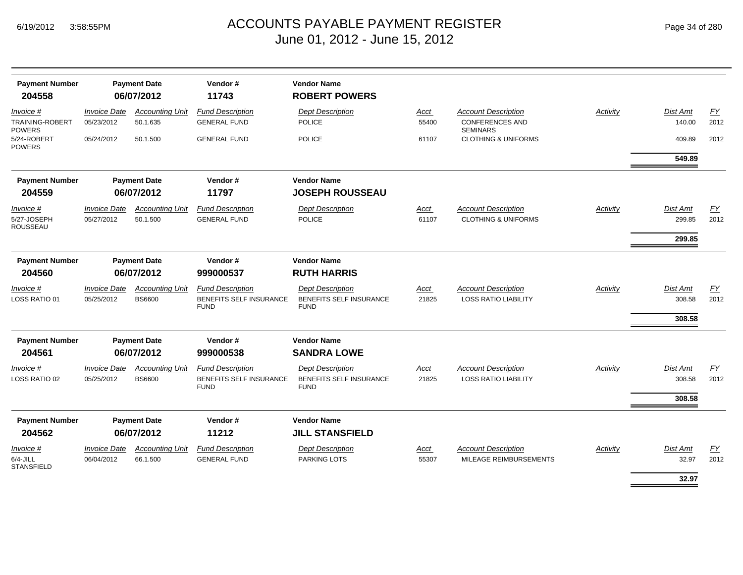| <b>Payment Number</b><br>204558               |                                   | <b>Payment Date</b><br>06/07/2012       | Vendor#<br>11743                                                         | <b>Vendor Name</b><br><b>ROBERT POWERS</b>                        |                      |                                                              |                 |                              |                          |
|-----------------------------------------------|-----------------------------------|-----------------------------------------|--------------------------------------------------------------------------|-------------------------------------------------------------------|----------------------|--------------------------------------------------------------|-----------------|------------------------------|--------------------------|
| Invoice #<br>TRAINING-ROBERT                  | <b>Invoice Date</b><br>05/23/2012 | <b>Accounting Unit</b><br>50.1.635      | <b>Fund Description</b><br><b>GENERAL FUND</b>                           | <b>Dept Description</b><br><b>POLICE</b>                          | Acct<br>55400        | <b>Account Description</b><br><b>CONFERENCES AND</b>         | <b>Activity</b> | Dist Amt<br>140.00           | $\underline{FY}$<br>2012 |
| <b>POWERS</b><br>5/24-ROBERT<br><b>POWERS</b> | 05/24/2012                        | 50.1.500                                | <b>GENERAL FUND</b>                                                      | <b>POLICE</b>                                                     | 61107                | <b>SEMINARS</b><br><b>CLOTHING &amp; UNIFORMS</b>            |                 | 409.89                       | 2012                     |
|                                               |                                   |                                         |                                                                          |                                                                   |                      |                                                              |                 | 549.89                       |                          |
| <b>Payment Number</b><br>204559               |                                   | <b>Payment Date</b><br>06/07/2012       | Vendor#<br>11797                                                         | <b>Vendor Name</b><br><b>JOSEPH ROUSSEAU</b>                      |                      |                                                              |                 |                              |                          |
| Invoice #<br>5/27-JOSEPH<br><b>ROUSSEAU</b>   | <b>Invoice Date</b><br>05/27/2012 | <b>Accounting Unit</b><br>50.1.500      | <b>Fund Description</b><br><b>GENERAL FUND</b>                           | <b>Dept Description</b><br><b>POLICE</b>                          | <b>Acct</b><br>61107 | <b>Account Description</b><br><b>CLOTHING &amp; UNIFORMS</b> | <b>Activity</b> | Dist Amt<br>299.85<br>299.85 | $\underline{FY}$<br>2012 |
| <b>Payment Number</b><br>204560               | <b>Payment Date</b><br>06/07/2012 |                                         | Vendor#<br>999000537                                                     | <b>Vendor Name</b><br><b>RUTH HARRIS</b>                          |                      |                                                              |                 |                              |                          |
| Invoice #<br>LOSS RATIO 01                    | <b>Invoice Date</b><br>05/25/2012 | <b>Accounting Unit</b><br><b>BS6600</b> | <b>Fund Description</b><br><b>BENEFITS SELF INSURANCE</b><br><b>FUND</b> | <b>Dept Description</b><br>BENEFITS SELF INSURANCE<br><b>FUND</b> | <b>Acct</b><br>21825 | <b>Account Description</b><br><b>LOSS RATIO LIABILITY</b>    | Activity        | Dist Amt<br>308.58<br>308.58 | EY<br>2012               |
| <b>Payment Number</b>                         |                                   | <b>Payment Date</b>                     | Vendor#                                                                  | <b>Vendor Name</b>                                                |                      |                                                              |                 |                              |                          |
| 204561                                        |                                   | 06/07/2012                              | 999000538                                                                | <b>SANDRA LOWE</b>                                                |                      |                                                              |                 |                              |                          |
| Invoice #<br>LOSS RATIO 02                    | <b>Invoice Date</b><br>05/25/2012 | <b>Accounting Unit</b><br><b>BS6600</b> | <b>Fund Description</b><br>BENEFITS SELF INSURANCE<br><b>FUND</b>        | <b>Dept Description</b><br>BENEFITS SELF INSURANCE<br><b>FUND</b> | Acct<br>21825        | <b>Account Description</b><br><b>LOSS RATIO LIABILITY</b>    | Activity        | Dist Amt<br>308.58           | EY<br>2012               |
|                                               |                                   |                                         |                                                                          |                                                                   |                      |                                                              |                 | 308.58                       |                          |
| <b>Payment Number</b><br>204562               |                                   | <b>Payment Date</b><br>06/07/2012       | Vendor#<br>11212                                                         | <b>Vendor Name</b><br><b>JILL STANSFIELD</b>                      |                      |                                                              |                 |                              |                          |
| Invoice #<br>$6/4$ -JILL<br><b>STANSFIELD</b> | <b>Invoice Date</b><br>06/04/2012 | <b>Accounting Unit</b><br>66.1.500      | <b>Fund Description</b><br><b>GENERAL FUND</b>                           | <b>Dept Description</b><br>PARKING LOTS                           | Acct<br>55307        | <b>Account Description</b><br>MILEAGE REIMBURSEMENTS         | Activity        | Dist Amt<br>32.97            | $\underline{FY}$<br>2012 |
|                                               |                                   |                                         |                                                                          |                                                                   |                      |                                                              |                 | 32.97                        |                          |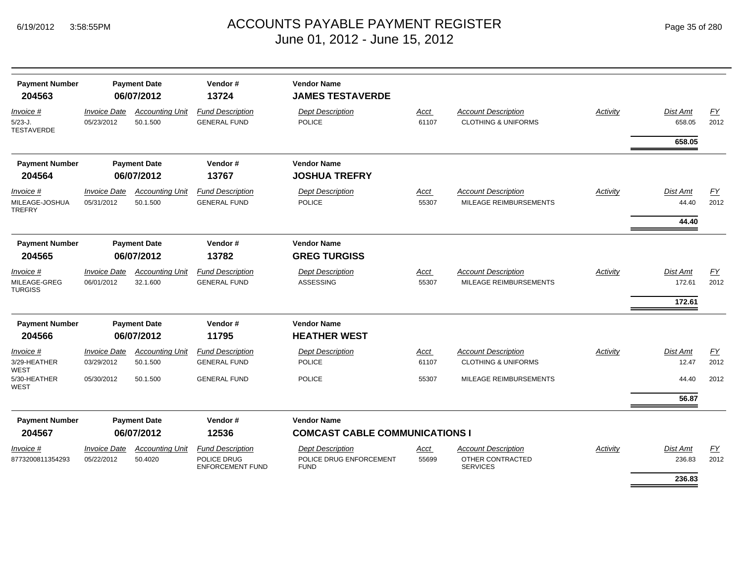| <b>Payment Number</b><br>204563                           | <b>Payment Date</b><br>06/07/2012               |                                                 | Vendor#<br>13724                                                           |                                                                                                            |                        |                                                                                        |          |                                     |                          |
|-----------------------------------------------------------|-------------------------------------------------|-------------------------------------------------|----------------------------------------------------------------------------|------------------------------------------------------------------------------------------------------------|------------------------|----------------------------------------------------------------------------------------|----------|-------------------------------------|--------------------------|
| Invoice #<br>$5/23 - J.$<br><b>TESTAVERDE</b>             | <b>Invoice Date</b><br>05/23/2012               | <b>Accounting Unit</b><br>50.1.500              | <b>Fund Description</b><br><b>GENERAL FUND</b>                             | <b>Dept Description</b><br><b>POLICE</b>                                                                   | Acct<br>61107          | <b>Account Description</b><br><b>CLOTHING &amp; UNIFORMS</b>                           | Activity | Dist Amt<br>658.05                  | <u>FY</u><br>2012        |
|                                                           |                                                 |                                                 |                                                                            |                                                                                                            |                        |                                                                                        |          | 658.05                              |                          |
| <b>Payment Number</b><br>204564                           |                                                 | <b>Payment Date</b><br>06/07/2012               | Vendor#<br>13767                                                           | <b>Vendor Name</b><br><b>JOSHUA TREFRY</b>                                                                 |                        |                                                                                        |          |                                     |                          |
| Invoice #<br>MILEAGE-JOSHUA<br><b>TREFRY</b>              | <b>Invoice Date</b><br>05/31/2012               | <b>Accounting Unit</b><br>50.1.500              | <b>Fund Description</b><br><b>GENERAL FUND</b>                             | <b>Dept Description</b><br><b>POLICE</b>                                                                   | Acct<br>55307          | <b>Account Description</b><br>MILEAGE REIMBURSEMENTS                                   | Activity | Dist Amt<br>44.40<br>44.40          | EY<br>2012               |
| <b>Payment Number</b><br>204565                           | <b>Payment Date</b><br>06/07/2012               |                                                 | Vendor#<br>13782                                                           | <b>Vendor Name</b><br><b>GREG TURGISS</b>                                                                  |                        |                                                                                        |          |                                     |                          |
| Invoice #<br>MILEAGE-GREG<br><b>TURGISS</b>               | <b>Invoice Date</b><br>06/01/2012               | <b>Accounting Unit</b><br>32.1.600              | <b>Fund Description</b><br><b>GENERAL FUND</b>                             | <b>Dept Description</b><br><b>ASSESSING</b>                                                                | Acct<br>55307          | <b>Account Description</b><br>MILEAGE REIMBURSEMENTS                                   | Activity | <b>Dist Amt</b><br>172.61<br>172.61 | EY<br>2012               |
| <b>Payment Number</b><br>204566                           |                                                 | <b>Payment Date</b><br>06/07/2012               | Vendor#<br>11795                                                           | <b>Vendor Name</b><br><b>HEATHER WEST</b>                                                                  |                        |                                                                                        |          |                                     |                          |
| Invoice #<br>3/29-HEATHER<br>WEST<br>5/30-HEATHER<br>WEST | <b>Invoice Date</b><br>03/29/2012<br>05/30/2012 | <b>Accounting Unit</b><br>50.1.500<br>50.1.500  | <b>Fund Description</b><br><b>GENERAL FUND</b><br><b>GENERAL FUND</b>      | <b>Dept Description</b><br>POLICE<br><b>POLICE</b>                                                         | Acct<br>61107<br>55307 | <b>Account Description</b><br><b>CLOTHING &amp; UNIFORMS</b><br>MILEAGE REIMBURSEMENTS | Activity | Dist Amt<br>12.47<br>44.40          | EY<br>2012<br>2012       |
| <b>Payment Number</b>                                     |                                                 | <b>Payment Date</b>                             | Vendor#                                                                    | <b>Vendor Name</b>                                                                                         |                        |                                                                                        |          | 56.87                               |                          |
| 204567<br>Invoice #<br>8773200811354293                   | <b>Invoice Date</b><br>05/22/2012               | 06/07/2012<br><b>Accounting Unit</b><br>50.4020 | 12536<br><b>Fund Description</b><br>POLICE DRUG<br><b>ENFORCEMENT FUND</b> | <b>COMCAST CABLE COMMUNICATIONS I</b><br><b>Dept Description</b><br>POLICE DRUG ENFORCEMENT<br><b>FUND</b> | Acct<br>55699          | <b>Account Description</b><br>OTHER CONTRACTED<br><b>SERVICES</b>                      | Activity | <b>Dist Amt</b><br>236.83<br>236.83 | $\underline{FY}$<br>2012 |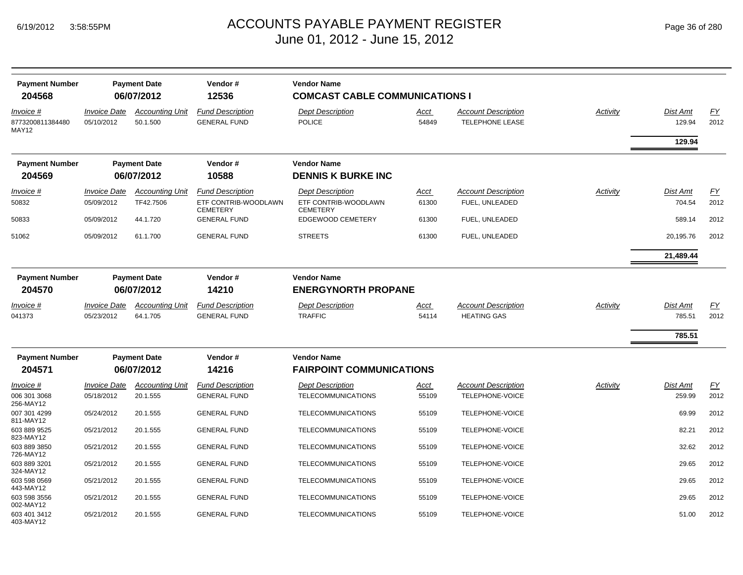| <b>Payment Number</b><br>204568               | <b>Payment Date</b><br>06/07/2012 |                                    | Vendor#<br>12536                               | <b>Vendor Name</b><br><b>COMCAST CABLE COMMUNICATIONS I</b> |                      |                                                      |                 |                    |            |
|-----------------------------------------------|-----------------------------------|------------------------------------|------------------------------------------------|-------------------------------------------------------------|----------------------|------------------------------------------------------|-----------------|--------------------|------------|
| Invoice #<br>8773200811384480<br><b>MAY12</b> | <b>Invoice Date</b><br>05/10/2012 | <b>Accounting Unit</b><br>50.1.500 | <b>Fund Description</b><br><b>GENERAL FUND</b> | <b>Dept Description</b><br><b>POLICE</b>                    | Acct<br>54849        | <b>Account Description</b><br><b>TELEPHONE LEASE</b> | Activity        | Dist Amt<br>129.94 | FY<br>2012 |
|                                               |                                   |                                    |                                                |                                                             |                      |                                                      |                 | 129.94             |            |
| <b>Payment Number</b>                         | <b>Payment Date</b>               |                                    | Vendor#                                        | <b>Vendor Name</b>                                          |                      |                                                      |                 |                    |            |
| 204569                                        | 06/07/2012                        |                                    | 10588                                          | <b>DENNIS K BURKE INC</b>                                   |                      |                                                      |                 |                    |            |
| Invoice #                                     | <b>Invoice Date</b>               | <b>Accounting Unit</b>             | <b>Fund Description</b>                        | <b>Dept Description</b>                                     | Acct                 | <b>Account Description</b>                           | <b>Activity</b> | <b>Dist Amt</b>    | <b>FY</b>  |
| 50832                                         | 05/09/2012                        | TF42.7506                          | ETF CONTRIB-WOODLAWN<br><b>CEMETERY</b>        | ETF CONTRIB-WOODLAWN<br><b>CEMETERY</b>                     | 61300                | FUEL, UNLEADED                                       |                 | 704.54             | 2012       |
| 50833                                         | 05/09/2012                        | 44.1.720                           | <b>GENERAL FUND</b>                            | EDGEWOOD CEMETERY                                           | 61300                | FUEL, UNLEADED                                       |                 | 589.14             | 2012       |
| 51062                                         | 05/09/2012                        | 61.1.700                           | <b>GENERAL FUND</b>                            | <b>STREETS</b>                                              | 61300                | FUEL, UNLEADED                                       |                 | 20,195.76          | 2012       |
|                                               |                                   |                                    |                                                |                                                             |                      |                                                      |                 | 21,489.44          |            |
| <b>Payment Number</b>                         | <b>Payment Date</b>               |                                    | Vendor#                                        | <b>Vendor Name</b>                                          |                      |                                                      |                 |                    |            |
| 204570                                        |                                   | 06/07/2012                         | 14210                                          | <b>ENERGYNORTH PROPANE</b>                                  |                      |                                                      |                 |                    |            |
| Invoice #                                     | <b>Invoice Date</b>               | <b>Accounting Unit</b>             | <b>Fund Description</b>                        | <b>Dept Description</b>                                     | Acct                 | <b>Account Description</b>                           | Activity        | Dist Amt           | EY         |
| 041373                                        | 05/23/2012                        | 64.1.705                           | <b>GENERAL FUND</b>                            | <b>TRAFFIC</b>                                              | 54114                | <b>HEATING GAS</b>                                   |                 | 785.51             | 2012       |
|                                               |                                   |                                    |                                                |                                                             |                      |                                                      |                 | 785.51             |            |
| <b>Payment Number</b>                         | <b>Payment Date</b>               |                                    | Vendor#                                        | <b>Vendor Name</b>                                          |                      |                                                      |                 |                    |            |
| 204571                                        | 06/07/2012                        |                                    | 14216                                          | <b>FAIRPOINT COMMUNICATIONS</b>                             |                      |                                                      |                 |                    |            |
| Invoice #<br>006 301 3068                     | <b>Invoice Date</b><br>05/18/2012 | <b>Accounting Unit</b><br>20.1.555 | <b>Fund Description</b><br><b>GENERAL FUND</b> | <b>Dept Description</b><br><b>TELECOMMUNICATIONS</b>        | <u>Acct</u><br>55109 | <b>Account Description</b><br>TELEPHONE-VOICE        | Activity        | Dist Amt<br>259.99 | EY<br>2012 |
| 256-MAY12                                     |                                   |                                    |                                                |                                                             |                      |                                                      |                 |                    |            |
| 007 301 4299<br>811-MAY12                     | 05/24/2012                        | 20.1.555                           | <b>GENERAL FUND</b>                            | <b>TELECOMMUNICATIONS</b>                                   | 55109                | TELEPHONE-VOICE                                      |                 | 69.99              | 2012       |
| 603 889 9525<br>823-MAY12                     | 05/21/2012                        | 20.1.555                           | <b>GENERAL FUND</b>                            | <b>TELECOMMUNICATIONS</b>                                   | 55109                | TELEPHONE-VOICE                                      |                 | 82.21              | 2012       |
| 603 889 3850                                  | 05/21/2012                        | 20.1.555                           | <b>GENERAL FUND</b>                            | <b>TELECOMMUNICATIONS</b>                                   | 55109                | TELEPHONE-VOICE                                      |                 | 32.62              | 2012       |
| 726-MAY12<br>603 889 3201<br>324-MAY12        | 05/21/2012                        | 20.1.555                           | <b>GENERAL FUND</b>                            | <b>TELECOMMUNICATIONS</b>                                   | 55109                | TELEPHONE-VOICE                                      |                 | 29.65              | 2012       |
| 603 598 0569<br>443-MAY12                     | 05/21/2012                        | 20.1.555                           | <b>GENERAL FUND</b>                            | <b>TELECOMMUNICATIONS</b>                                   | 55109                | TELEPHONE-VOICE                                      |                 | 29.65              | 2012       |
| 603 598 3556<br>002-MAY12                     | 05/21/2012                        | 20.1.555                           | <b>GENERAL FUND</b>                            | <b>TELECOMMUNICATIONS</b>                                   | 55109                | TELEPHONE-VOICE                                      |                 | 29.65              | 2012       |
| 603 401 3412<br>403-MAY12                     | 05/21/2012                        | 20.1.555                           | <b>GENERAL FUND</b>                            | <b>TELECOMMUNICATIONS</b>                                   | 55109                | TELEPHONE-VOICE                                      |                 | 51.00              | 2012       |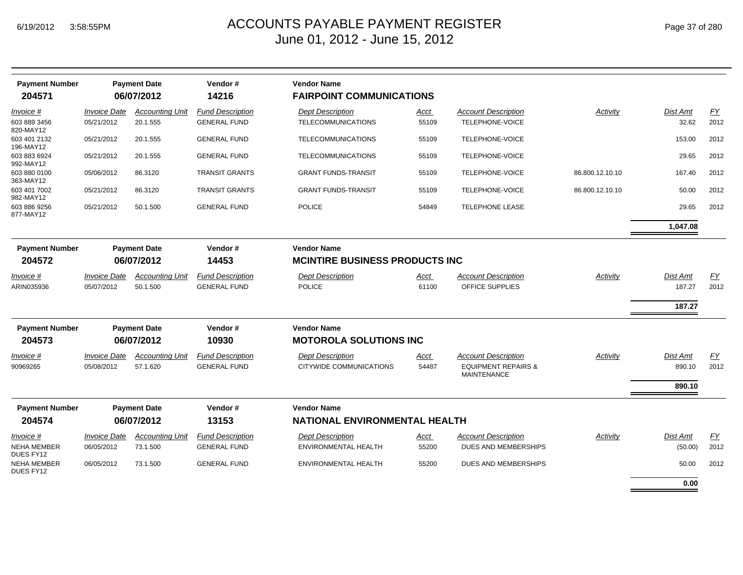| <b>Payment Number</b><br>204571       |                                          | <b>Payment Date</b><br>06/07/2012  | Vendor#<br>14216                               | <b>Vendor Name</b><br><b>FAIRPOINT COMMUNICATIONS</b>       |               |                                                                                    |                 |                     |                  |
|---------------------------------------|------------------------------------------|------------------------------------|------------------------------------------------|-------------------------------------------------------------|---------------|------------------------------------------------------------------------------------|-----------------|---------------------|------------------|
| Invoice #                             | <b>Invoice Date</b>                      | <b>Accounting Unit</b>             | <b>Fund Description</b>                        | <b>Dept Description</b>                                     | Acct          | <b>Account Description</b>                                                         | Activity        | Dist Amt            | $\underline{FY}$ |
| 603 889 3456<br>820-MAY12             | 05/21/2012                               | 20.1.555                           | <b>GENERAL FUND</b>                            | <b>TELECOMMUNICATIONS</b>                                   | 55109         | TELEPHONE-VOICE                                                                    |                 | 32.62               | 2012             |
| 603 401 2132<br>196-MAY12             | 05/21/2012                               | 20.1.555                           | <b>GENERAL FUND</b>                            | <b>TELECOMMUNICATIONS</b>                                   | 55109         | TELEPHONE-VOICE                                                                    |                 | 153.00              | 2012             |
| 603 883 6924<br>992-MAY12             | 05/21/2012                               | 20.1.555                           | <b>GENERAL FUND</b>                            | <b>TELECOMMUNICATIONS</b>                                   | 55109         | TELEPHONE-VOICE                                                                    |                 | 29.65               | 2012             |
| 603 880 0100<br>363-MAY12             | 05/06/2012                               | 86.3120                            | <b>TRANSIT GRANTS</b>                          | <b>GRANT FUNDS-TRANSIT</b>                                  | 55109         | TELEPHONE-VOICE                                                                    | 86.800.12.10.10 | 167.40              | 2012             |
| 603 401 7002<br>982-MAY12             | 05/21/2012                               | 86.3120                            | <b>TRANSIT GRANTS</b>                          | <b>GRANT FUNDS-TRANSIT</b>                                  | 55109         | TELEPHONE-VOICE                                                                    | 86.800.12.10.10 | 50.00               | 2012             |
| 603 886 9256<br>877-MAY12             | 05/21/2012                               | 50.1.500                           | <b>GENERAL FUND</b>                            | <b>POLICE</b>                                               | 54849         | <b>TELEPHONE LEASE</b>                                                             |                 | 29.65               | 2012             |
|                                       |                                          |                                    |                                                |                                                             |               |                                                                                    |                 | 1,047.08            |                  |
| <b>Payment Number</b><br>204572       |                                          | <b>Payment Date</b><br>06/07/2012  | Vendor#<br>14453                               | <b>Vendor Name</b><br><b>MCINTIRE BUSINESS PRODUCTS INC</b> |               |                                                                                    |                 |                     |                  |
| <i>Invoice</i> #                      | <b>Invoice Date</b>                      | <b>Accounting Unit</b>             | <b>Fund Description</b>                        | <b>Dept Description</b>                                     | Acct          | <b>Account Description</b>                                                         | Activity        | Dist Amt            | EY               |
| ARIN035936                            | 05/07/2012                               | 50.1.500                           | <b>GENERAL FUND</b>                            | <b>POLICE</b>                                               | 61100         | OFFICE SUPPLIES                                                                    |                 | 187.27              | 2012             |
|                                       |                                          |                                    |                                                |                                                             |               |                                                                                    |                 | 187.27              |                  |
| <b>Payment Number</b>                 |                                          | <b>Payment Date</b>                | Vendor#                                        | <b>Vendor Name</b>                                          |               |                                                                                    |                 |                     |                  |
| 204573                                |                                          | 06/07/2012                         | 10930                                          | <b>MOTOROLA SOLUTIONS INC</b>                               |               |                                                                                    |                 |                     |                  |
| Invoice #<br>90969265                 | <i><b>Invoice Date</b></i><br>05/08/2012 | <b>Accounting Unit</b><br>57.1.620 | <b>Fund Description</b><br><b>GENERAL FUND</b> | <b>Dept Description</b><br>CITYWIDE COMMUNICATIONS          | Acct<br>54487 | <b>Account Description</b><br><b>EQUIPMENT REPAIRS &amp;</b><br><b>MAINTENANCE</b> | Activity        | Dist Amt<br>890.10  | EY<br>2012       |
|                                       |                                          |                                    |                                                |                                                             |               |                                                                                    |                 | 890.10              |                  |
| <b>Payment Number</b>                 |                                          | <b>Payment Date</b>                | Vendor#                                        | <b>Vendor Name</b>                                          |               |                                                                                    |                 |                     |                  |
| 204574                                |                                          | 06/07/2012                         | 13153                                          | <b>NATIONAL ENVIRONMENTAL HEALTH</b>                        |               |                                                                                    |                 |                     |                  |
| Invoice #<br>NEHA MEMBER<br>DUES FY12 | <b>Invoice Date</b><br>06/05/2012        | <b>Accounting Unit</b><br>73.1.500 | <b>Fund Description</b><br><b>GENERAL FUND</b> | <b>Dept Description</b><br>ENVIRONMENTAL HEALTH             | Acct<br>55200 | <b>Account Description</b><br>DUES AND MEMBERSHIPS                                 | Activity        | Dist Amt<br>(50.00) | EY<br>2012       |
| <b>NEHA MEMBER</b><br>DUES FY12       | 06/05/2012                               | 73.1.500                           | <b>GENERAL FUND</b>                            | <b>ENVIRONMENTAL HEALTH</b>                                 | 55200         | <b>DUES AND MEMBERSHIPS</b>                                                        |                 | 50.00               | 2012             |
|                                       |                                          |                                    |                                                |                                                             |               |                                                                                    |                 | 0.00                |                  |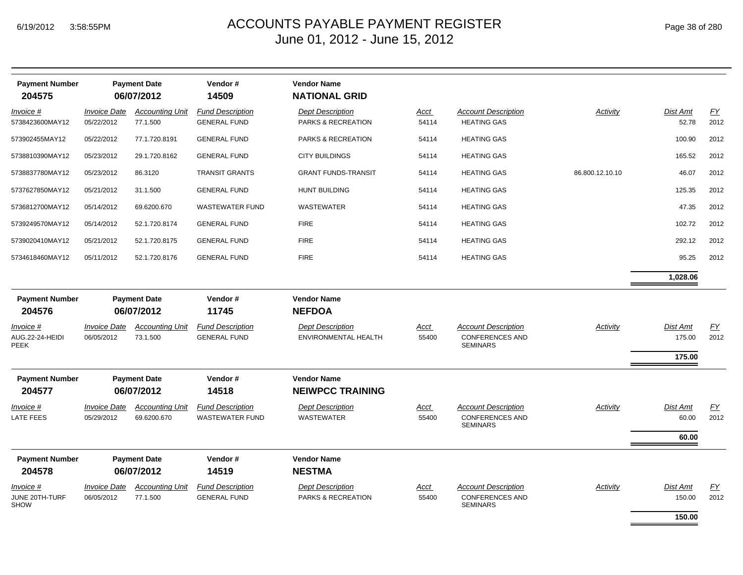| <b>Payment Number</b><br>204575             |                                   | <b>Payment Date</b><br>06/07/2012     | Vendor#<br>14509                               | <b>Vendor Name</b><br><b>NATIONAL GRID</b>      |                      |                                                                         |                 |                              |            |
|---------------------------------------------|-----------------------------------|---------------------------------------|------------------------------------------------|-------------------------------------------------|----------------------|-------------------------------------------------------------------------|-----------------|------------------------------|------------|
| Invoice #<br>5738423600MAY12                | <b>Invoice Date</b><br>05/22/2012 | <b>Accounting Unit</b><br>77.1.500    | <b>Fund Description</b><br><b>GENERAL FUND</b> | <b>Dept Description</b><br>PARKS & RECREATION   | Acct<br>54114        | <b>Account Description</b><br><b>HEATING GAS</b>                        | Activity        | Dist Amt<br>52.78            | EY<br>2012 |
| 573902455MAY12                              | 05/22/2012                        | 77.1.720.8191                         | <b>GENERAL FUND</b>                            | PARKS & RECREATION                              | 54114                | <b>HEATING GAS</b>                                                      |                 | 100.90                       | 2012       |
| 5738810390MAY12                             | 05/23/2012                        | 29.1.720.8162                         | <b>GENERAL FUND</b>                            | <b>CITY BUILDINGS</b>                           | 54114                | <b>HEATING GAS</b>                                                      |                 | 165.52                       | 2012       |
| 5738837780MAY12                             | 05/23/2012                        | 86.3120                               | <b>TRANSIT GRANTS</b>                          | <b>GRANT FUNDS-TRANSIT</b>                      | 54114                | <b>HEATING GAS</b>                                                      | 86.800.12.10.10 | 46.07                        | 2012       |
| 5737627850MAY12                             | 05/21/2012                        | 31.1.500                              | <b>GENERAL FUND</b>                            | <b>HUNT BUILDING</b>                            | 54114                | <b>HEATING GAS</b>                                                      |                 | 125.35                       | 2012       |
| 5736812700MAY12                             | 05/14/2012                        | 69.6200.670                           | <b>WASTEWATER FUND</b>                         | <b>WASTEWATER</b>                               | 54114                | <b>HEATING GAS</b>                                                      |                 | 47.35                        | 2012       |
| 5739249570MAY12                             | 05/14/2012                        | 52.1.720.8174                         | <b>GENERAL FUND</b>                            | <b>FIRE</b>                                     | 54114                | <b>HEATING GAS</b>                                                      |                 | 102.72                       | 2012       |
| 5739020410MAY12                             | 05/21/2012                        | 52.1.720.8175                         | <b>GENERAL FUND</b>                            | <b>FIRE</b>                                     | 54114                | <b>HEATING GAS</b>                                                      |                 | 292.12                       | 2012       |
| 5734618460MAY12                             | 05/11/2012                        | 52.1.720.8176                         | <b>GENERAL FUND</b>                            | <b>FIRE</b>                                     | 54114                | <b>HEATING GAS</b>                                                      |                 | 95.25                        | 2012       |
|                                             |                                   |                                       |                                                |                                                 |                      |                                                                         |                 | 1,028.06                     |            |
| <b>Payment Number</b><br>204576             |                                   | <b>Payment Date</b><br>06/07/2012     | Vendor#<br>11745                               | <b>Vendor Name</b><br><b>NEFDOA</b>             |                      |                                                                         |                 |                              |            |
| <u>Invoice #</u><br>AUG.22-24-HEIDI<br>PEEK | <b>Invoice Date</b><br>06/05/2012 | <b>Accounting Unit</b><br>73.1.500    | <b>Fund Description</b><br><b>GENERAL FUND</b> | <b>Dept Description</b><br>ENVIRONMENTAL HEALTH | <u>Acct</u><br>55400 | <b>Account Description</b><br><b>CONFERENCES AND</b><br><b>SEMINARS</b> | Activity        | Dist Amt<br>175.00           | EY<br>2012 |
|                                             |                                   |                                       |                                                |                                                 |                      |                                                                         |                 | 175.00                       |            |
| <b>Payment Number</b><br>204577             |                                   | <b>Payment Date</b><br>06/07/2012     | Vendor#<br>14518                               | <b>Vendor Name</b><br><b>NEIWPCC TRAINING</b>   |                      |                                                                         |                 |                              |            |
| Invoice #<br>LATE FEES                      | <b>Invoice Date</b><br>05/29/2012 | <b>Accounting Unit</b><br>69.6200.670 | <b>Fund Description</b><br>WASTEWATER FUND     | <b>Dept Description</b><br>WASTEWATER           | Acct<br>55400        | <b>Account Description</b><br><b>CONFERENCES AND</b><br><b>SEMINARS</b> | Activity        | Dist Amt<br>60.00<br>60.00   | EY<br>2012 |
|                                             |                                   |                                       |                                                |                                                 |                      |                                                                         |                 |                              |            |
| <b>Payment Number</b><br>204578             |                                   | <b>Payment Date</b><br>06/07/2012     | Vendor#<br>14519                               | <b>Vendor Name</b><br><b>NESTMA</b>             |                      |                                                                         |                 |                              |            |
| Invoice #<br>JUNE 20TH-TURF<br>SHOW         | <b>Invoice Date</b><br>06/05/2012 | <b>Accounting Unit</b><br>77.1.500    | <b>Fund Description</b><br><b>GENERAL FUND</b> | <b>Dept Description</b><br>PARKS & RECREATION   | <u>Acct</u><br>55400 | <b>Account Description</b><br><b>CONFERENCES AND</b><br><b>SEMINARS</b> | Activity        | Dist Amt<br>150.00<br>150.00 | EY<br>2012 |
|                                             |                                   |                                       |                                                |                                                 |                      |                                                                         |                 |                              |            |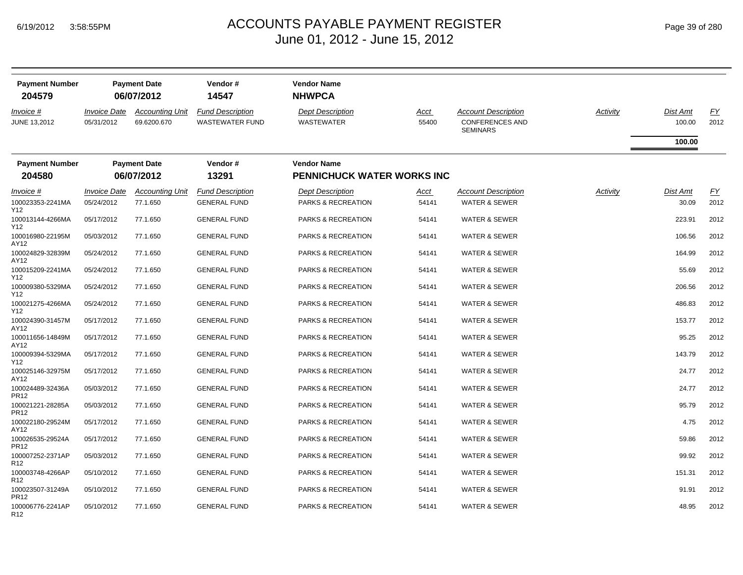| <b>Payment Number</b><br>204579      |                                          | <b>Payment Date</b><br>06/07/2012     | Vendor#<br>14547                                  | <b>Vendor Name</b><br><b>NHWPCA</b>           |               |                                                                         |          |                    |                   |
|--------------------------------------|------------------------------------------|---------------------------------------|---------------------------------------------------|-----------------------------------------------|---------------|-------------------------------------------------------------------------|----------|--------------------|-------------------|
| Invoice #<br><b>JUNE 13,2012</b>     | <i><b>Invoice Date</b></i><br>05/31/2012 | <b>Accounting Unit</b><br>69.6200.670 | <b>Fund Description</b><br><b>WASTEWATER FUND</b> | <b>Dept Description</b><br><b>WASTEWATER</b>  | Acct<br>55400 | <b>Account Description</b><br><b>CONFERENCES AND</b><br><b>SEMINARS</b> | Activity | Dist Amt<br>100.00 | <u>FY</u><br>2012 |
|                                      |                                          |                                       |                                                   |                                               |               |                                                                         |          | 100.00             |                   |
| <b>Payment Number</b>                |                                          | <b>Payment Date</b>                   | Vendor#                                           | <b>Vendor Name</b>                            |               |                                                                         |          |                    |                   |
| 204580                               |                                          | 06/07/2012                            | 13291                                             | <b>PENNICHUCK WATER WORKS INC</b>             |               |                                                                         |          |                    |                   |
| Invoice #<br>100023353-2241MA        | <i><b>Invoice Date</b></i><br>05/24/2012 | <b>Accounting Unit</b><br>77.1.650    | <b>Fund Description</b><br><b>GENERAL FUND</b>    | <b>Dept Description</b><br>PARKS & RECREATION | Acct<br>54141 | <b>Account Description</b><br><b>WATER &amp; SEWER</b>                  | Activity | Dist Amt<br>30.09  | EY<br>2012        |
| Y12<br>100013144-4266MA<br>Y12       | 05/17/2012                               | 77.1.650                              | <b>GENERAL FUND</b>                               | PARKS & RECREATION                            | 54141         | <b>WATER &amp; SEWER</b>                                                |          | 223.91             | 2012              |
| 100016980-22195M<br>AY12             | 05/03/2012                               | 77.1.650                              | <b>GENERAL FUND</b>                               | <b>PARKS &amp; RECREATION</b>                 | 54141         | <b>WATER &amp; SEWER</b>                                                |          | 106.56             | 2012              |
| 100024829-32839M<br>AY12             | 05/24/2012                               | 77.1.650                              | <b>GENERAL FUND</b>                               | PARKS & RECREATION                            | 54141         | WATER & SEWER                                                           |          | 164.99             | 2012              |
| 100015209-2241MA<br>Y12              | 05/24/2012                               | 77.1.650                              | <b>GENERAL FUND</b>                               | PARKS & RECREATION                            | 54141         | WATER & SEWER                                                           |          | 55.69              | 2012              |
| 100009380-5329MA<br>Y12              | 05/24/2012                               | 77.1.650                              | <b>GENERAL FUND</b>                               | PARKS & RECREATION                            | 54141         | <b>WATER &amp; SEWER</b>                                                |          | 206.56             | 2012              |
| 100021275-4266MA<br>Y12              | 05/24/2012                               | 77.1.650                              | <b>GENERAL FUND</b>                               | PARKS & RECREATION                            | 54141         | <b>WATER &amp; SEWER</b>                                                |          | 486.83             | 2012              |
| 100024390-31457M<br>AY12             | 05/17/2012                               | 77.1.650                              | <b>GENERAL FUND</b>                               | PARKS & RECREATION                            | 54141         | WATER & SEWER                                                           |          | 153.77             | 2012              |
| 100011656-14849M<br>AY12             | 05/17/2012                               | 77.1.650                              | <b>GENERAL FUND</b>                               | PARKS & RECREATION                            | 54141         | WATER & SEWER                                                           |          | 95.25              | 2012              |
| 100009394-5329MA<br>Y12              | 05/17/2012                               | 77.1.650                              | <b>GENERAL FUND</b>                               | PARKS & RECREATION                            | 54141         | WATER & SEWER                                                           |          | 143.79             | 2012              |
| 100025146-32975M<br>AY12             | 05/17/2012                               | 77.1.650                              | <b>GENERAL FUND</b>                               | PARKS & RECREATION                            | 54141         | <b>WATER &amp; SEWER</b>                                                |          | 24.77              | 2012              |
| 100024489-32436A<br>PR <sub>12</sub> | 05/03/2012                               | 77.1.650                              | <b>GENERAL FUND</b>                               | PARKS & RECREATION                            | 54141         | <b>WATER &amp; SEWER</b>                                                |          | 24.77              | 2012              |
| 100021221-28285A<br>PR <sub>12</sub> | 05/03/2012                               | 77.1.650                              | <b>GENERAL FUND</b>                               | PARKS & RECREATION                            | 54141         | <b>WATER &amp; SEWER</b>                                                |          | 95.79              | 2012              |
| 100022180-29524M<br>AY12             | 05/17/2012                               | 77.1.650                              | <b>GENERAL FUND</b>                               | PARKS & RECREATION                            | 54141         | <b>WATER &amp; SEWER</b>                                                |          | 4.75               | 2012              |
| 100026535-29524A<br>PR12             | 05/17/2012                               | 77.1.650                              | <b>GENERAL FUND</b>                               | PARKS & RECREATION                            | 54141         | <b>WATER &amp; SEWER</b>                                                |          | 59.86              | 2012              |
| 100007252-2371AP<br>R <sub>12</sub>  | 05/03/2012                               | 77.1.650                              | <b>GENERAL FUND</b>                               | PARKS & RECREATION                            | 54141         | <b>WATER &amp; SEWER</b>                                                |          | 99.92              | 2012              |
| 100003748-4266AP<br>R <sub>12</sub>  | 05/10/2012                               | 77.1.650                              | <b>GENERAL FUND</b>                               | PARKS & RECREATION                            | 54141         | <b>WATER &amp; SEWER</b>                                                |          | 151.31             | 2012              |
| 100023507-31249A<br><b>PR12</b>      | 05/10/2012                               | 77.1.650                              | <b>GENERAL FUND</b>                               | PARKS & RECREATION                            | 54141         | <b>WATER &amp; SEWER</b>                                                |          | 91.91              | 2012              |
| 100006776-2241AP<br>R <sub>12</sub>  | 05/10/2012                               | 77.1.650                              | <b>GENERAL FUND</b>                               | <b>PARKS &amp; RECREATION</b>                 | 54141         | <b>WATER &amp; SEWER</b>                                                |          | 48.95              | 2012              |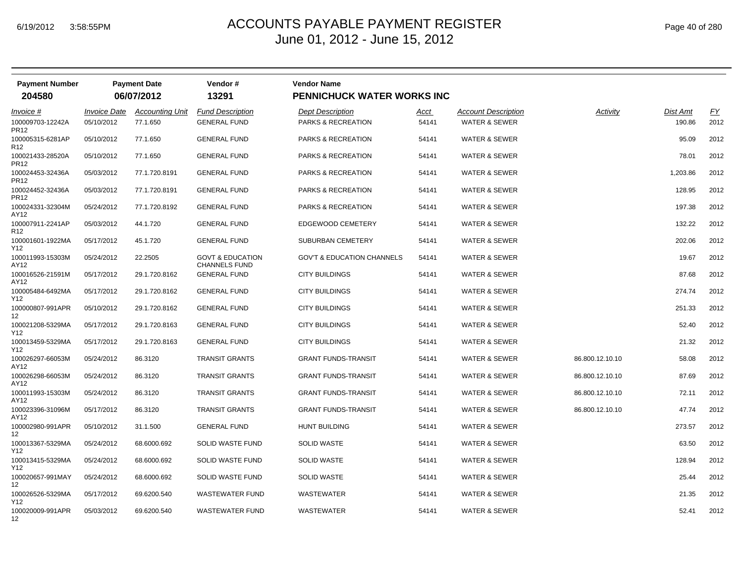| Page 40 of 280 |  |  |  |  |
|----------------|--|--|--|--|
|----------------|--|--|--|--|

| <b>Payment Number</b><br>204580                         |                                   | <b>Payment Date</b><br>06/07/2012  | Vendor#<br>13291                                    | <b>Vendor Name</b><br><b>PENNICHUCK WATER WORKS INC</b> |               |                                                        |                 |                    |            |
|---------------------------------------------------------|-----------------------------------|------------------------------------|-----------------------------------------------------|---------------------------------------------------------|---------------|--------------------------------------------------------|-----------------|--------------------|------------|
| Invoice #<br>100009703-12242A                           | <b>Invoice Date</b><br>05/10/2012 | <b>Accounting Unit</b><br>77.1.650 | <b>Fund Description</b><br><b>GENERAL FUND</b>      | <b>Dept Description</b><br>PARKS & RECREATION           | Acct<br>54141 | <b>Account Description</b><br><b>WATER &amp; SEWER</b> | Activity        | Dist Amt<br>190.86 | EY<br>2012 |
| PR <sub>12</sub><br>100005315-6281AP<br>R <sub>12</sub> | 05/10/2012                        | 77.1.650                           | <b>GENERAL FUND</b>                                 | PARKS & RECREATION                                      | 54141         | WATER & SEWER                                          |                 | 95.09              | 2012       |
| 100021433-28520A<br><b>PR12</b>                         | 05/10/2012                        | 77.1.650                           | <b>GENERAL FUND</b>                                 | PARKS & RECREATION                                      | 54141         | <b>WATER &amp; SEWER</b>                               |                 | 78.01              | 2012       |
| 100024453-32436A<br><b>PR12</b>                         | 05/03/2012                        | 77.1.720.8191                      | <b>GENERAL FUND</b>                                 | PARKS & RECREATION                                      | 54141         | <b>WATER &amp; SEWER</b>                               |                 | 1,203.86           | 2012       |
| 100024452-32436A<br>PR <sub>12</sub>                    | 05/03/2012                        | 77.1.720.8191                      | <b>GENERAL FUND</b>                                 | PARKS & RECREATION                                      | 54141         | <b>WATER &amp; SEWER</b>                               |                 | 128.95             | 2012       |
| 100024331-32304M<br>AY12                                | 05/24/2012                        | 77.1.720.8192                      | <b>GENERAL FUND</b>                                 | <b>PARKS &amp; RECREATION</b>                           | 54141         | <b>WATER &amp; SEWER</b>                               |                 | 197.38             | 2012       |
| 100007911-2241AP<br>R <sub>12</sub>                     | 05/03/2012                        | 44.1.720                           | <b>GENERAL FUND</b>                                 | EDGEWOOD CEMETERY                                       | 54141         | WATER & SEWER                                          |                 | 132.22             | 2012       |
| 100001601-1922MA<br>Y12                                 | 05/17/2012                        | 45.1.720                           | <b>GENERAL FUND</b>                                 | SUBURBAN CEMETERY                                       | 54141         | WATER & SEWER                                          |                 | 202.06             | 2012       |
| 100011993-15303M<br>AY12                                | 05/24/2012                        | 22.2505                            | <b>GOVT &amp; EDUCATION</b><br><b>CHANNELS FUND</b> | <b>GOV'T &amp; EDUCATION CHANNELS</b>                   | 54141         | WATER & SEWER                                          |                 | 19.67              | 2012       |
| 100016526-21591M<br>AY12                                | 05/17/2012                        | 29.1.720.8162                      | <b>GENERAL FUND</b>                                 | <b>CITY BUILDINGS</b>                                   | 54141         | WATER & SEWER                                          |                 | 87.68              | 2012       |
| 100005484-6492MA<br>Y12                                 | 05/17/2012                        | 29.1.720.8162                      | <b>GENERAL FUND</b>                                 | <b>CITY BUILDINGS</b>                                   | 54141         | WATER & SEWER                                          |                 | 274.74             | 2012       |
| 100000807-991APR<br>12                                  | 05/10/2012                        | 29.1.720.8162                      | <b>GENERAL FUND</b>                                 | <b>CITY BUILDINGS</b>                                   | 54141         | WATER & SEWER                                          |                 | 251.33             | 2012       |
| 100021208-5329MA<br>Y12                                 | 05/17/2012                        | 29.1.720.8163                      | <b>GENERAL FUND</b>                                 | <b>CITY BUILDINGS</b>                                   | 54141         | <b>WATER &amp; SEWER</b>                               |                 | 52.40              | 2012       |
| 100013459-5329MA<br>Y12                                 | 05/17/2012                        | 29.1.720.8163                      | <b>GENERAL FUND</b>                                 | <b>CITY BUILDINGS</b>                                   | 54141         | <b>WATER &amp; SEWER</b>                               |                 | 21.32              | 2012       |
| 100026297-66053M<br>AY12                                | 05/24/2012                        | 86.3120                            | <b>TRANSIT GRANTS</b>                               | <b>GRANT FUNDS-TRANSIT</b>                              | 54141         | <b>WATER &amp; SEWER</b>                               | 86.800.12.10.10 | 58.08              | 2012       |
| 100026298-66053M<br>AY12                                | 05/24/2012                        | 86.3120                            | <b>TRANSIT GRANTS</b>                               | <b>GRANT FUNDS-TRANSIT</b>                              | 54141         | <b>WATER &amp; SEWER</b>                               | 86.800.12.10.10 | 87.69              | 2012       |
| 100011993-15303M<br>AY12                                | 05/24/2012                        | 86.3120                            | <b>TRANSIT GRANTS</b>                               | <b>GRANT FUNDS-TRANSIT</b>                              | 54141         | <b>WATER &amp; SEWER</b>                               | 86.800.12.10.10 | 72.11              | 2012       |
| 100023396-31096M<br>AY12                                | 05/17/2012                        | 86.3120                            | <b>TRANSIT GRANTS</b>                               | <b>GRANT FUNDS-TRANSIT</b>                              | 54141         | WATER & SEWER                                          | 86.800.12.10.10 | 47.74              | 2012       |
| 100002980-991APR<br>12                                  | 05/10/2012                        | 31.1.500                           | <b>GENERAL FUND</b>                                 | <b>HUNT BUILDING</b>                                    | 54141         | WATER & SEWER                                          |                 | 273.57             | 2012       |
| 100013367-5329MA<br>Y12                                 | 05/24/2012                        | 68.6000.692                        | SOLID WASTE FUND                                    | <b>SOLID WASTE</b>                                      | 54141         | <b>WATER &amp; SEWER</b>                               |                 | 63.50              | 2012       |
| 100013415-5329MA<br>Y12                                 | 05/24/2012                        | 68.6000.692                        | SOLID WASTE FUND                                    | <b>SOLID WASTE</b>                                      | 54141         | <b>WATER &amp; SEWER</b>                               |                 | 128.94             | 2012       |
| 100020657-991MAY<br>12                                  | 05/24/2012                        | 68.6000.692                        | SOLID WASTE FUND                                    | <b>SOLID WASTE</b>                                      | 54141         | <b>WATER &amp; SEWER</b>                               |                 | 25.44              | 2012       |
| 100026526-5329MA<br>Y12                                 | 05/17/2012                        | 69.6200.540                        | <b>WASTEWATER FUND</b>                              | <b>WASTEWATER</b>                                       | 54141         | <b>WATER &amp; SEWER</b>                               |                 | 21.35              | 2012       |
| 100020009-991APR<br>12                                  | 05/03/2012                        | 69.6200.540                        | <b>WASTEWATER FUND</b>                              | WASTEWATER                                              | 54141         | WATER & SEWER                                          |                 | 52.41              | 2012       |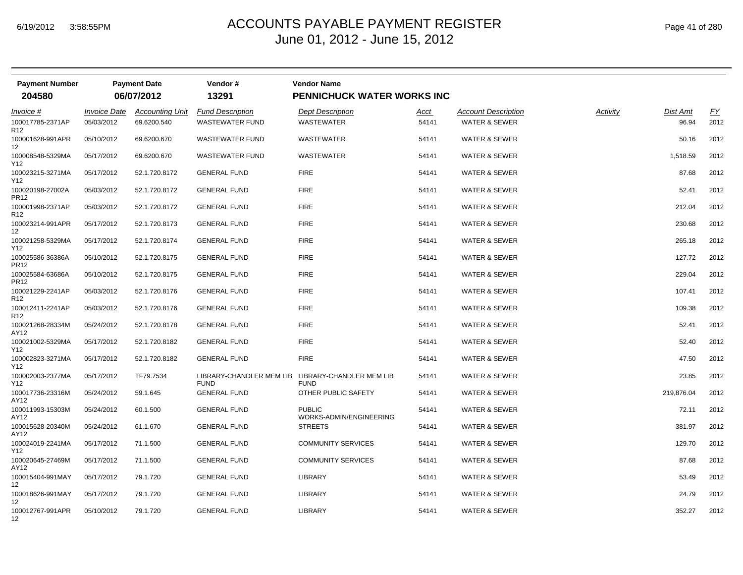| <b>Payment Number</b><br>204580 |                            | <b>Payment Date</b><br>06/07/2012 | Vendor#<br>13291                        | <b>Vendor Name</b><br>PENNICHUCK WATER WORKS INC |       |                            |          |                 |                  |
|---------------------------------|----------------------------|-----------------------------------|-----------------------------------------|--------------------------------------------------|-------|----------------------------|----------|-----------------|------------------|
| Invoice #                       | <i><b>Invoice Date</b></i> | <b>Accounting Unit</b>            | <b>Fund Description</b>                 | <b>Dept Description</b>                          | Acct  | <b>Account Description</b> | Activity | <b>Dist Amt</b> | $\underline{FY}$ |
| 100017785-2371AP<br>R12         | 05/03/2012                 | 69.6200.540                       | <b>WASTEWATER FUND</b>                  | WASTEWATER                                       | 54141 | <b>WATER &amp; SEWER</b>   |          | 96.94           | 2012             |
| 100001628-991APR<br>12          | 05/10/2012                 | 69.6200.670                       | <b>WASTEWATER FUND</b>                  | WASTEWATER                                       | 54141 | <b>WATER &amp; SEWER</b>   |          | 50.16           | 2012             |
| 100008548-5329MA<br>Y12         | 05/17/2012                 | 69.6200.670                       | <b>WASTEWATER FUND</b>                  | <b>WASTEWATER</b>                                | 54141 | <b>WATER &amp; SEWER</b>   |          | 1,518.59        | 2012             |
| 100023215-3271MA<br>Y12         | 05/17/2012                 | 52.1.720.8172                     | <b>GENERAL FUND</b>                     | <b>FIRE</b>                                      | 54141 | <b>WATER &amp; SEWER</b>   |          | 87.68           | 2012             |
| 100020198-27002A<br>PR12        | 05/03/2012                 | 52.1.720.8172                     | <b>GENERAL FUND</b>                     | <b>FIRE</b>                                      | 54141 | <b>WATER &amp; SEWER</b>   |          | 52.41           | 2012             |
| 100001998-2371AP<br>R12         | 05/03/2012                 | 52.1.720.8172                     | <b>GENERAL FUND</b>                     | <b>FIRE</b>                                      | 54141 | <b>WATER &amp; SEWER</b>   |          | 212.04          | 2012             |
| 100023214-991APR<br>12          | 05/17/2012                 | 52.1.720.8173                     | <b>GENERAL FUND</b>                     | <b>FIRE</b>                                      | 54141 | <b>WATER &amp; SEWER</b>   |          | 230.68          | 2012             |
| 100021258-5329MA<br>Y12         | 05/17/2012                 | 52.1.720.8174                     | <b>GENERAL FUND</b>                     | <b>FIRE</b>                                      | 54141 | <b>WATER &amp; SEWER</b>   |          | 265.18          | 2012             |
| 100025586-36386A<br>PR12        | 05/10/2012                 | 52.1.720.8175                     | <b>GENERAL FUND</b>                     | <b>FIRE</b>                                      | 54141 | <b>WATER &amp; SEWER</b>   |          | 127.72          | 2012             |
| 100025584-63686A<br>PR12        | 05/10/2012                 | 52.1.720.8175                     | <b>GENERAL FUND</b>                     | <b>FIRE</b>                                      | 54141 | <b>WATER &amp; SEWER</b>   |          | 229.04          | 2012             |
| 100021229-2241AP<br>R12         | 05/03/2012                 | 52.1.720.8176                     | <b>GENERAL FUND</b>                     | <b>FIRE</b>                                      | 54141 | <b>WATER &amp; SEWER</b>   |          | 107.41          | 2012             |
| 100012411-2241AP<br>R12         | 05/03/2012                 | 52.1.720.8176                     | <b>GENERAL FUND</b>                     | <b>FIRE</b>                                      | 54141 | <b>WATER &amp; SEWER</b>   |          | 109.38          | 2012             |
| 100021268-28334M<br>AY12        | 05/24/2012                 | 52.1.720.8178                     | <b>GENERAL FUND</b>                     | <b>FIRE</b>                                      | 54141 | <b>WATER &amp; SEWER</b>   |          | 52.41           | 2012             |
| 100021002-5329MA<br>Y12         | 05/17/2012                 | 52.1.720.8182                     | <b>GENERAL FUND</b>                     | <b>FIRE</b>                                      | 54141 | <b>WATER &amp; SEWER</b>   |          | 52.40           | 2012             |
| 100002823-3271MA<br>Y12         | 05/17/2012                 | 52.1.720.8182                     | <b>GENERAL FUND</b>                     | <b>FIRE</b>                                      | 54141 | <b>WATER &amp; SEWER</b>   |          | 47.50           | 2012             |
| 100002003-2377MA<br>Y12 I       | 05/17/2012                 | TF79.7534                         | LIBRARY-CHANDLER MEM LIB<br><b>FUND</b> | LIBRARY-CHANDLER MEM LIB<br><b>FUND</b>          | 54141 | <b>WATER &amp; SEWER</b>   |          | 23.85           | 2012             |
| 100017736-23316M<br>AY12        | 05/24/2012                 | 59.1.645                          | <b>GENERAL FUND</b>                     | OTHER PUBLIC SAFETY                              | 54141 | <b>WATER &amp; SEWER</b>   |          | 219,876.04      | 2012             |
| 100011993-15303M<br>AY12        | 05/24/2012                 | 60.1.500                          | <b>GENERAL FUND</b>                     | <b>PUBLIC</b><br>WORKS-ADMIN/ENGINEERING         | 54141 | <b>WATER &amp; SEWER</b>   |          | 72.11           | 2012             |
| 100015628-20340M<br>AY12        | 05/24/2012                 | 61.1.670                          | <b>GENERAL FUND</b>                     | <b>STREETS</b>                                   | 54141 | <b>WATER &amp; SEWER</b>   |          | 381.97          | 2012             |
| 100024019-2241MA<br>Y12         | 05/17/2012                 | 71.1.500                          | <b>GENERAL FUND</b>                     | <b>COMMUNITY SERVICES</b>                        | 54141 | <b>WATER &amp; SEWER</b>   |          | 129.70          | 2012             |
| 100020645-27469M<br>AY12        | 05/17/2012                 | 71.1.500                          | <b>GENERAL FUND</b>                     | <b>COMMUNITY SERVICES</b>                        | 54141 | <b>WATER &amp; SEWER</b>   |          | 87.68           | 2012             |
| 100015404-991MAY<br>12          | 05/17/2012                 | 79.1.720                          | <b>GENERAL FUND</b>                     | <b>LIBRARY</b>                                   | 54141 | <b>WATER &amp; SEWER</b>   |          | 53.49           | 2012             |
| 100018626-991MAY<br>12          | 05/17/2012                 | 79.1.720                          | <b>GENERAL FUND</b>                     | <b>LIBRARY</b>                                   | 54141 | <b>WATER &amp; SEWER</b>   |          | 24.79           | 2012             |
| 100012767-991APR<br>12          | 05/10/2012                 | 79.1.720                          | <b>GENERAL FUND</b>                     | <b>LIBRARY</b>                                   | 54141 | <b>WATER &amp; SEWER</b>   |          | 352.27          | 2012             |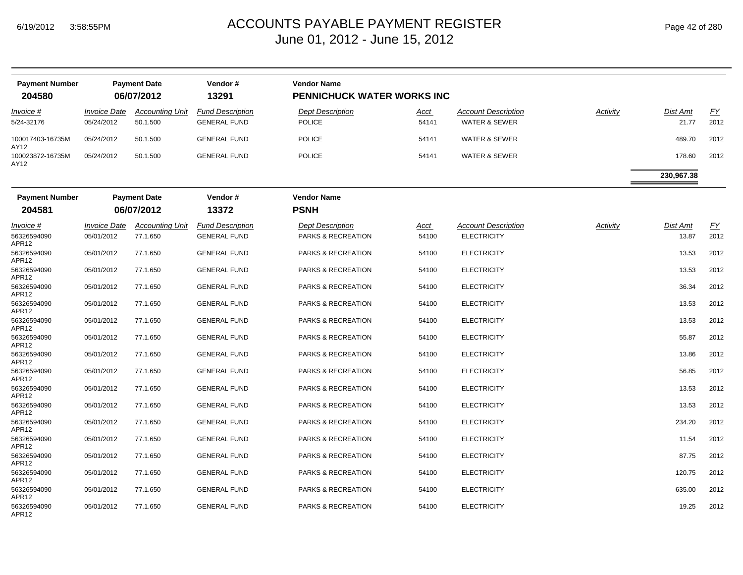APR12

| <b>Payment Number</b><br>204580 |                                          | <b>Payment Date</b><br>06/07/2012  | Vendor#<br>13291                               | <b>Vendor Name</b><br>PENNICHUCK WATER WORKS INC |               |                                                        |          |                   |                   |
|---------------------------------|------------------------------------------|------------------------------------|------------------------------------------------|--------------------------------------------------|---------------|--------------------------------------------------------|----------|-------------------|-------------------|
| <i>Invoice</i> #<br>5/24-32176  | <i><b>Invoice Date</b></i><br>05/24/2012 | <b>Accounting Unit</b><br>50.1.500 | <b>Fund Description</b><br><b>GENERAL FUND</b> | <b>Dept Description</b><br><b>POLICE</b>         | Acct<br>54141 | <b>Account Description</b><br><b>WATER &amp; SEWER</b> | Activity | Dist Amt<br>21.77 | <u>FY</u><br>2012 |
| 100017403-16735M<br>AY12        | 05/24/2012                               | 50.1.500                           | <b>GENERAL FUND</b>                            | <b>POLICE</b>                                    | 54141         | <b>WATER &amp; SEWER</b>                               |          | 489.70            | 2012              |
| 100023872-16735M<br>AY12        | 05/24/2012                               | 50.1.500                           | <b>GENERAL FUND</b>                            | <b>POLICE</b>                                    | 54141         | <b>WATER &amp; SEWER</b>                               |          | 178.60            | 2012              |
|                                 |                                          |                                    |                                                |                                                  |               |                                                        |          | 230,967.38        |                   |
| <b>Payment Number</b>           |                                          | <b>Payment Date</b>                | Vendor#                                        | <b>Vendor Name</b>                               |               |                                                        |          |                   |                   |
| 204581                          |                                          | 06/07/2012                         | 13372                                          | <b>PSNH</b>                                      |               |                                                        |          |                   |                   |
| Invoice #                       | <b>Invoice Date</b>                      | <b>Accounting Unit</b>             | <b>Fund Description</b>                        | Dept Description                                 | <u>Acct</u>   | <b>Account Description</b>                             | Activity | Dist Amt          | <u>FY</u>         |
| 56326594090<br>APR12            | 05/01/2012                               | 77.1.650                           | <b>GENERAL FUND</b>                            | PARKS & RECREATION                               | 54100         | <b>ELECTRICITY</b>                                     |          | 13.87             | 2012              |
| 56326594090<br>APR12            | 05/01/2012                               | 77.1.650                           | <b>GENERAL FUND</b>                            | PARKS & RECREATION                               | 54100         | <b>ELECTRICITY</b>                                     |          | 13.53             | 2012              |
| 56326594090<br>APR12            | 05/01/2012                               | 77.1.650                           | <b>GENERAL FUND</b>                            | PARKS & RECREATION                               | 54100         | <b>ELECTRICITY</b>                                     |          | 13.53             | 2012              |
| 56326594090<br>APR12            | 05/01/2012                               | 77.1.650                           | <b>GENERAL FUND</b>                            | PARKS & RECREATION                               | 54100         | <b>ELECTRICITY</b>                                     |          | 36.34             | 2012              |
| 56326594090<br>APR12            | 05/01/2012                               | 77.1.650                           | <b>GENERAL FUND</b>                            | PARKS & RECREATION                               | 54100         | <b>ELECTRICITY</b>                                     |          | 13.53             | 2012              |
| 56326594090<br>APR12            | 05/01/2012                               | 77.1.650                           | <b>GENERAL FUND</b>                            | PARKS & RECREATION                               | 54100         | <b>ELECTRICITY</b>                                     |          | 13.53             | 2012              |
| 56326594090<br>APR12            | 05/01/2012                               | 77.1.650                           | <b>GENERAL FUND</b>                            | PARKS & RECREATION                               | 54100         | <b>ELECTRICITY</b>                                     |          | 55.87             | 2012              |
| 56326594090<br>APR12            | 05/01/2012                               | 77.1.650                           | <b>GENERAL FUND</b>                            | PARKS & RECREATION                               | 54100         | <b>ELECTRICITY</b>                                     |          | 13.86             | 2012              |
| 56326594090<br>APR12            | 05/01/2012                               | 77.1.650                           | <b>GENERAL FUND</b>                            | PARKS & RECREATION                               | 54100         | <b>ELECTRICITY</b>                                     |          | 56.85             | 2012              |
| 56326594090<br>APR12            | 05/01/2012                               | 77.1.650                           | <b>GENERAL FUND</b>                            | PARKS & RECREATION                               | 54100         | <b>ELECTRICITY</b>                                     |          | 13.53             | 2012              |
| 56326594090<br>APR12            | 05/01/2012                               | 77.1.650                           | <b>GENERAL FUND</b>                            | PARKS & RECREATION                               | 54100         | <b>ELECTRICITY</b>                                     |          | 13.53             | 2012              |
| 56326594090<br>APR12            | 05/01/2012                               | 77.1.650                           | <b>GENERAL FUND</b>                            | PARKS & RECREATION                               | 54100         | <b>ELECTRICITY</b>                                     |          | 234.20            | 2012              |
| 56326594090<br>APR12            | 05/01/2012                               | 77.1.650                           | <b>GENERAL FUND</b>                            | PARKS & RECREATION                               | 54100         | <b>ELECTRICITY</b>                                     |          | 11.54             | 2012              |
| 56326594090<br>APR12            | 05/01/2012                               | 77.1.650                           | <b>GENERAL FUND</b>                            | PARKS & RECREATION                               | 54100         | <b>ELECTRICITY</b>                                     |          | 87.75             | 2012              |
| 56326594090<br>APR12            | 05/01/2012                               | 77.1.650                           | <b>GENERAL FUND</b>                            | PARKS & RECREATION                               | 54100         | <b>ELECTRICITY</b>                                     |          | 120.75            | 2012              |
| 56326594090<br>APR12            | 05/01/2012                               | 77.1.650                           | <b>GENERAL FUND</b>                            | PARKS & RECREATION                               | 54100         | <b>ELECTRICITY</b>                                     |          | 635.00            | 2012              |
| 56326594090                     | 05/01/2012                               | 77.1.650                           | <b>GENERAL FUND</b>                            | <b>PARKS &amp; RECREATION</b>                    | 54100         | <b>ELECTRICITY</b>                                     |          | 19.25             | 2012              |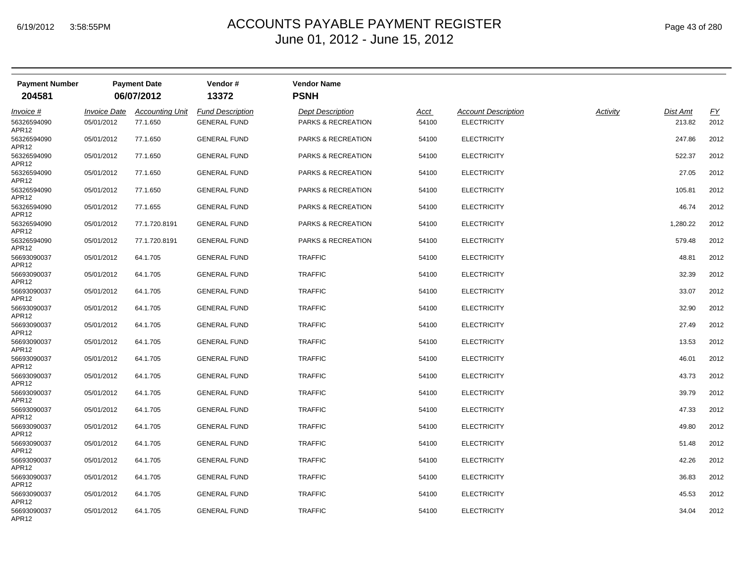| <b>Payment Number</b><br>204581          |                                          | <b>Payment Date</b><br>06/07/2012  | Vendor#<br>13372                               | <b>Vendor Name</b><br><b>PSNH</b>                        |               |                                                  |          |                           |                   |
|------------------------------------------|------------------------------------------|------------------------------------|------------------------------------------------|----------------------------------------------------------|---------------|--------------------------------------------------|----------|---------------------------|-------------------|
|                                          |                                          |                                    |                                                |                                                          |               |                                                  |          |                           |                   |
| <i>Invoice</i> #<br>56326594090<br>APR12 | <i><b>Invoice Date</b></i><br>05/01/2012 | <b>Accounting Unit</b><br>77.1.650 | <b>Fund Description</b><br><b>GENERAL FUND</b> | <b>Dept Description</b><br><b>PARKS &amp; RECREATION</b> | Acct<br>54100 | <b>Account Description</b><br><b>ELECTRICITY</b> | Activity | <b>Dist Amt</b><br>213.82 | <u>FY</u><br>2012 |
| 56326594090<br>APR12                     | 05/01/2012                               | 77.1.650                           | <b>GENERAL FUND</b>                            | <b>PARKS &amp; RECREATION</b>                            | 54100         | <b>ELECTRICITY</b>                               |          | 247.86                    | 2012              |
| 56326594090<br>APR12                     | 05/01/2012                               | 77.1.650                           | <b>GENERAL FUND</b>                            | PARKS & RECREATION                                       | 54100         | <b>ELECTRICITY</b>                               |          | 522.37                    | 2012              |
| 56326594090<br>APR12                     | 05/01/2012                               | 77.1.650                           | <b>GENERAL FUND</b>                            | PARKS & RECREATION                                       | 54100         | <b>ELECTRICITY</b>                               |          | 27.05                     | 2012              |
| 56326594090<br>APR12                     | 05/01/2012                               | 77.1.650                           | <b>GENERAL FUND</b>                            | <b>PARKS &amp; RECREATION</b>                            | 54100         | <b>ELECTRICITY</b>                               |          | 105.81                    | 2012              |
| 56326594090<br>APR12                     | 05/01/2012                               | 77.1.655                           | <b>GENERAL FUND</b>                            | PARKS & RECREATION                                       | 54100         | <b>ELECTRICITY</b>                               |          | 46.74                     | 2012              |
| 56326594090<br>APR12                     | 05/01/2012                               | 77.1.720.8191                      | <b>GENERAL FUND</b>                            | PARKS & RECREATION                                       | 54100         | <b>ELECTRICITY</b>                               |          | 1,280.22                  | 2012              |
| 56326594090<br>APR12                     | 05/01/2012                               | 77.1.720.8191                      | <b>GENERAL FUND</b>                            | PARKS & RECREATION                                       | 54100         | <b>ELECTRICITY</b>                               |          | 579.48                    | 2012              |
| 56693090037<br>APR12                     | 05/01/2012                               | 64.1.705                           | <b>GENERAL FUND</b>                            | <b>TRAFFIC</b>                                           | 54100         | <b>ELECTRICITY</b>                               |          | 48.81                     | 2012              |
| 56693090037<br>APR12                     | 05/01/2012                               | 64.1.705                           | <b>GENERAL FUND</b>                            | <b>TRAFFIC</b>                                           | 54100         | <b>ELECTRICITY</b>                               |          | 32.39                     | 2012              |
| 56693090037<br>APR12                     | 05/01/2012                               | 64.1.705                           | <b>GENERAL FUND</b>                            | <b>TRAFFIC</b>                                           | 54100         | <b>ELECTRICITY</b>                               |          | 33.07                     | 2012              |
| 56693090037<br>APR12                     | 05/01/2012                               | 64.1.705                           | <b>GENERAL FUND</b>                            | <b>TRAFFIC</b>                                           | 54100         | <b>ELECTRICITY</b>                               |          | 32.90                     | 2012              |
| 56693090037<br>APR12                     | 05/01/2012                               | 64.1.705                           | <b>GENERAL FUND</b>                            | <b>TRAFFIC</b>                                           | 54100         | <b>ELECTRICITY</b>                               |          | 27.49                     | 2012              |
| 56693090037<br>APR12                     | 05/01/2012                               | 64.1.705                           | <b>GENERAL FUND</b>                            | <b>TRAFFIC</b>                                           | 54100         | <b>ELECTRICITY</b>                               |          | 13.53                     | 2012              |
| 56693090037<br>APR12                     | 05/01/2012                               | 64.1.705                           | <b>GENERAL FUND</b>                            | <b>TRAFFIC</b>                                           | 54100         | <b>ELECTRICITY</b>                               |          | 46.01                     | 2012              |
| 56693090037<br>APR12                     | 05/01/2012                               | 64.1.705                           | <b>GENERAL FUND</b>                            | <b>TRAFFIC</b>                                           | 54100         | <b>ELECTRICITY</b>                               |          | 43.73                     | 2012              |
| 56693090037<br>APR12                     | 05/01/2012                               | 64.1.705                           | <b>GENERAL FUND</b>                            | <b>TRAFFIC</b>                                           | 54100         | <b>ELECTRICITY</b>                               |          | 39.79                     | 2012              |
| 56693090037<br>APR12                     | 05/01/2012                               | 64.1.705                           | <b>GENERAL FUND</b>                            | <b>TRAFFIC</b>                                           | 54100         | <b>ELECTRICITY</b>                               |          | 47.33                     | 2012              |
| 56693090037<br>APR12                     | 05/01/2012                               | 64.1.705                           | <b>GENERAL FUND</b>                            | <b>TRAFFIC</b>                                           | 54100         | <b>ELECTRICITY</b>                               |          | 49.80                     | 2012              |
| 56693090037<br>APR12                     | 05/01/2012                               | 64.1.705                           | <b>GENERAL FUND</b>                            | <b>TRAFFIC</b>                                           | 54100         | <b>ELECTRICITY</b>                               |          | 51.48                     | 2012              |
| 56693090037<br>APR12                     | 05/01/2012                               | 64.1.705                           | <b>GENERAL FUND</b>                            | <b>TRAFFIC</b>                                           | 54100         | <b>ELECTRICITY</b>                               |          | 42.26                     | 2012              |
| 56693090037<br>APR12                     | 05/01/2012                               | 64.1.705                           | <b>GENERAL FUND</b>                            | <b>TRAFFIC</b>                                           | 54100         | <b>ELECTRICITY</b>                               |          | 36.83                     | 2012              |
| 56693090037<br>APR12                     | 05/01/2012                               | 64.1.705                           | <b>GENERAL FUND</b>                            | <b>TRAFFIC</b>                                           | 54100         | <b>ELECTRICITY</b>                               |          | 45.53                     | 2012              |
| 56693090037<br>APR12                     | 05/01/2012                               | 64.1.705                           | <b>GENERAL FUND</b>                            | <b>TRAFFIC</b>                                           | 54100         | <b>ELECTRICITY</b>                               |          | 34.04                     | 2012              |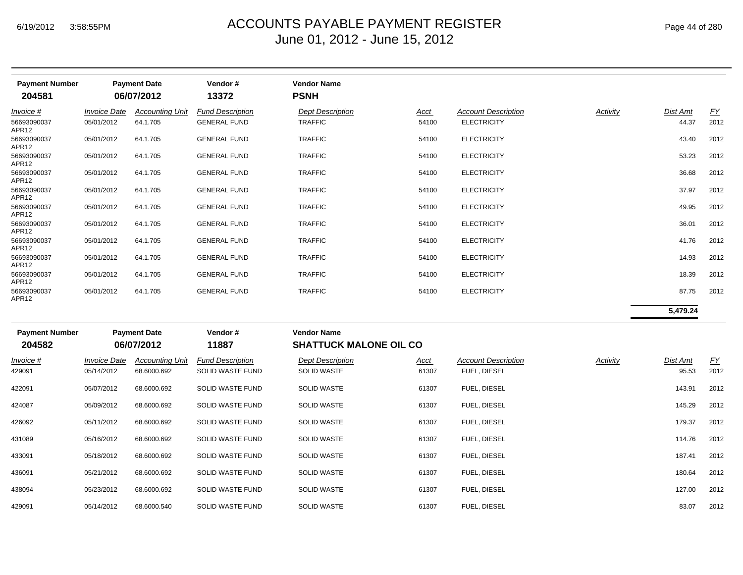| <b>Payment Number</b><br>204581   |                                          | <b>Payment Date</b><br>06/07/2012     | Vendor#<br>13372                               | <b>Vendor Name</b><br><b>PSNH</b>             |                      |                                                  |          |                   |                   |
|-----------------------------------|------------------------------------------|---------------------------------------|------------------------------------------------|-----------------------------------------------|----------------------|--------------------------------------------------|----------|-------------------|-------------------|
| Invoice #<br>56693090037<br>APR12 | <i><b>Invoice Date</b></i><br>05/01/2012 | <b>Accounting Unit</b><br>64.1.705    | <b>Fund Description</b><br><b>GENERAL FUND</b> | <b>Dept Description</b><br><b>TRAFFIC</b>     | Acct<br>54100        | <b>Account Description</b><br><b>ELECTRICITY</b> | Activity | Dist Amt<br>44.37 | <b>FY</b><br>2012 |
| 56693090037<br>APR12              | 05/01/2012                               | 64.1.705                              | <b>GENERAL FUND</b>                            | <b>TRAFFIC</b>                                | 54100                | <b>ELECTRICITY</b>                               |          | 43.40             | 2012              |
| 56693090037<br>APR12              | 05/01/2012                               | 64.1.705                              | <b>GENERAL FUND</b>                            | <b>TRAFFIC</b>                                | 54100                | <b>ELECTRICITY</b>                               |          | 53.23             | 2012              |
| 56693090037<br>APR12              | 05/01/2012                               | 64.1.705                              | <b>GENERAL FUND</b>                            | <b>TRAFFIC</b>                                | 54100                | <b>ELECTRICITY</b>                               |          | 36.68             | 2012              |
| 56693090037<br>APR <sub>12</sub>  | 05/01/2012                               | 64.1.705                              | <b>GENERAL FUND</b>                            | <b>TRAFFIC</b>                                | 54100                | <b>ELECTRICITY</b>                               |          | 37.97             | 2012              |
| 56693090037<br>APR <sub>12</sub>  | 05/01/2012                               | 64.1.705                              | <b>GENERAL FUND</b>                            | <b>TRAFFIC</b>                                | 54100                | <b>ELECTRICITY</b>                               |          | 49.95             | 2012              |
| 56693090037<br>APR12              | 05/01/2012                               | 64.1.705                              | <b>GENERAL FUND</b>                            | <b>TRAFFIC</b>                                | 54100                | <b>ELECTRICITY</b>                               |          | 36.01             | 2012              |
| 56693090037<br>APR12              | 05/01/2012                               | 64.1.705                              | <b>GENERAL FUND</b>                            | <b>TRAFFIC</b>                                | 54100                | <b>ELECTRICITY</b>                               |          | 41.76             | 2012              |
| 56693090037<br>APR <sub>12</sub>  | 05/01/2012                               | 64.1.705                              | <b>GENERAL FUND</b>                            | <b>TRAFFIC</b>                                | 54100                | <b>ELECTRICITY</b>                               |          | 14.93             | 2012              |
| 56693090037<br>APR <sub>12</sub>  | 05/01/2012                               | 64.1.705                              | <b>GENERAL FUND</b>                            | <b>TRAFFIC</b>                                | 54100                | <b>ELECTRICITY</b>                               |          | 18.39             | 2012              |
| 56693090037<br>APR <sub>12</sub>  | 05/01/2012                               | 64.1.705                              | <b>GENERAL FUND</b>                            | <b>TRAFFIC</b>                                | 54100                | <b>ELECTRICITY</b>                               |          | 87.75             | 2012              |
|                                   |                                          |                                       |                                                |                                               |                      |                                                  |          | 5,479.24          |                   |
| <b>Payment Number</b>             |                                          | <b>Payment Date</b>                   | Vendor#                                        | <b>Vendor Name</b>                            |                      |                                                  |          |                   |                   |
| 204582                            |                                          | 06/07/2012                            | 11887                                          | <b>SHATTUCK MALONE OIL CO</b>                 |                      |                                                  |          |                   |                   |
| Invoice #<br>429091               | <b>Invoice Date</b><br>05/14/2012        | <b>Accounting Unit</b><br>68.6000.692 | <b>Fund Description</b><br>SOLID WASTE FUND    | <b>Dept Description</b><br><b>SOLID WASTE</b> | <u>Acct</u><br>61307 | <b>Account Description</b><br>FUEL, DIESEL       | Activity | Dist Amt<br>95.53 | EY<br>2012        |
| 422091                            | 05/07/2012                               | 68.6000.692                           | SOLID WASTE FUND                               | <b>SOLID WASTE</b>                            | 61307                | FUEL, DIESEL                                     |          | 143.91            | 2012              |
| 424087                            | 05/09/2012                               | 68.6000.692                           | <b>SOLID WASTE FUND</b>                        | <b>SOLID WASTE</b>                            | 61307                | FUEL, DIESEL                                     |          | 145.29            | 2012              |

| Invoice #<br>429091 | <b>Invoice Date</b><br>05/14/2012 | <b>Accounting Unit</b><br>68.6000.692 | <b>Fund Description</b><br>SOLID WASTE FUND | <b>Dept Description</b><br><b>SOLID WASTE</b> | <u>Acct</u><br>61307 | <b>Account Description</b><br>FUEL, DIESEL | Activity | Dist Amt<br>95.53 | <u>FY</u><br>2012 |
|---------------------|-----------------------------------|---------------------------------------|---------------------------------------------|-----------------------------------------------|----------------------|--------------------------------------------|----------|-------------------|-------------------|
| 422091              | 05/07/2012                        | 68.6000.692                           | SOLID WASTE FUND                            | <b>SOLID WASTE</b>                            | 61307                | FUEL, DIESEL                               |          | 143.91            | 2012              |
| 424087              | 05/09/2012                        | 68.6000.692                           | <b>SOLID WASTE FUND</b>                     | <b>SOLID WASTE</b>                            | 61307                | FUEL, DIESEL                               |          | 145.29            | 2012              |
| 426092              | 05/11/2012                        | 68.6000.692                           | <b>SOLID WASTE FUND</b>                     | <b>SOLID WASTE</b>                            | 61307                | FUEL, DIESEL                               |          | 179.37            | 2012              |
| 431089              | 05/16/2012                        | 68.6000.692                           | <b>SOLID WASTE FUND</b>                     | <b>SOLID WASTE</b>                            | 61307                | FUEL, DIESEL                               |          | 114.76            | 2012              |
| 433091              | 05/18/2012                        | 68.6000.692                           | <b>SOLID WASTE FUND</b>                     | <b>SOLID WASTE</b>                            | 61307                | FUEL, DIESEL                               |          | 187.41            | 2012              |
| 436091              | 05/21/2012                        | 68.6000.692                           | <b>SOLID WASTE FUND</b>                     | <b>SOLID WASTE</b>                            | 61307                | FUEL, DIESEL                               |          | 180.64            | 2012              |
| 438094              | 05/23/2012                        | 68.6000.692                           | <b>SOLID WASTE FUND</b>                     | <b>SOLID WASTE</b>                            | 61307                | FUEL, DIESEL                               |          | 127.00            | 2012              |
| 429091              | 05/14/2012                        | 68.6000.540                           | <b>SOLID WASTE FUND</b>                     | <b>SOLID WASTE</b>                            | 61307                | FUEL, DIESEL                               |          | 83.07             | 2012              |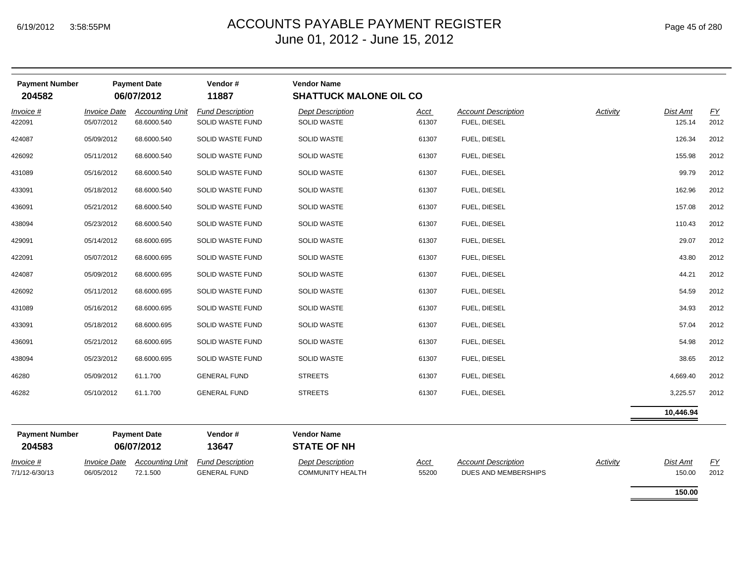| <b>Payment Number</b><br>204582 |                                   | <b>Payment Date</b><br>06/07/2012     | Vendor#<br>11887                               | <b>Vendor Name</b><br><b>SHATTUCK MALONE OIL CO</b> |                      |                                                    |          |                    |                   |
|---------------------------------|-----------------------------------|---------------------------------------|------------------------------------------------|-----------------------------------------------------|----------------------|----------------------------------------------------|----------|--------------------|-------------------|
| Invoice #<br>422091             | <b>Invoice Date</b><br>05/07/2012 | <b>Accounting Unit</b><br>68.6000.540 | <b>Fund Description</b><br>SOLID WASTE FUND    | <b>Dept Description</b><br><b>SOLID WASTE</b>       | Acct<br>61307        | <b>Account Description</b><br>FUEL, DIESEL         | Activity | Dist Amt<br>125.14 | EY<br>2012        |
| 424087                          | 05/09/2012                        | 68.6000.540                           | SOLID WASTE FUND                               | <b>SOLID WASTE</b>                                  | 61307                | FUEL, DIESEL                                       |          | 126.34             | 2012              |
| 426092                          | 05/11/2012                        | 68.6000.540                           | SOLID WASTE FUND                               | <b>SOLID WASTE</b>                                  | 61307                | FUEL, DIESEL                                       |          | 155.98             | 2012              |
| 431089                          | 05/16/2012                        | 68.6000.540                           | SOLID WASTE FUND                               | <b>SOLID WASTE</b>                                  | 61307                | FUEL, DIESEL                                       |          | 99.79              | 2012              |
| 433091                          | 05/18/2012                        | 68.6000.540                           | SOLID WASTE FUND                               | <b>SOLID WASTE</b>                                  | 61307                | FUEL, DIESEL                                       |          | 162.96             | 2012              |
| 436091                          | 05/21/2012                        | 68.6000.540                           | SOLID WASTE FUND                               | <b>SOLID WASTE</b>                                  | 61307                | FUEL, DIESEL                                       |          | 157.08             | 2012              |
| 438094                          | 05/23/2012                        | 68.6000.540                           | SOLID WASTE FUND                               | <b>SOLID WASTE</b>                                  | 61307                | FUEL, DIESEL                                       |          | 110.43             | 2012              |
| 429091                          | 05/14/2012                        | 68.6000.695                           | SOLID WASTE FUND                               | <b>SOLID WASTE</b>                                  | 61307                | FUEL, DIESEL                                       |          | 29.07              | 2012              |
| 422091                          | 05/07/2012                        | 68.6000.695                           | SOLID WASTE FUND                               | <b>SOLID WASTE</b>                                  | 61307                | FUEL, DIESEL                                       |          | 43.80              | 2012              |
| 424087                          | 05/09/2012                        | 68.6000.695                           | SOLID WASTE FUND                               | <b>SOLID WASTE</b>                                  | 61307                | FUEL, DIESEL                                       |          | 44.21              | 2012              |
| 426092                          | 05/11/2012                        | 68.6000.695                           | SOLID WASTE FUND                               | <b>SOLID WASTE</b>                                  | 61307                | FUEL, DIESEL                                       |          | 54.59              | 2012              |
| 431089                          | 05/16/2012                        | 68.6000.695                           | SOLID WASTE FUND                               | <b>SOLID WASTE</b>                                  | 61307                | FUEL, DIESEL                                       |          | 34.93              | 2012              |
| 433091                          | 05/18/2012                        | 68.6000.695                           | SOLID WASTE FUND                               | <b>SOLID WASTE</b>                                  | 61307                | FUEL, DIESEL                                       |          | 57.04              | 2012              |
| 436091                          | 05/21/2012                        | 68.6000.695                           | SOLID WASTE FUND                               | <b>SOLID WASTE</b>                                  | 61307                | FUEL, DIESEL                                       |          | 54.98              | 2012              |
| 438094                          | 05/23/2012                        | 68.6000.695                           | SOLID WASTE FUND                               | <b>SOLID WASTE</b>                                  | 61307                | FUEL, DIESEL                                       |          | 38.65              | 2012              |
| 46280                           | 05/09/2012                        | 61.1.700                              | <b>GENERAL FUND</b>                            | <b>STREETS</b>                                      | 61307                | FUEL, DIESEL                                       |          | 4,669.40           | 2012              |
| 46282                           | 05/10/2012                        | 61.1.700                              | <b>GENERAL FUND</b>                            | <b>STREETS</b>                                      | 61307                | FUEL, DIESEL                                       |          | 3,225.57           | 2012              |
|                                 |                                   |                                       |                                                |                                                     |                      |                                                    |          | 10,446.94          |                   |
| <b>Payment Number</b><br>204583 |                                   | <b>Payment Date</b><br>06/07/2012     | Vendor#<br>13647                               | <b>Vendor Name</b><br><b>STATE OF NH</b>            |                      |                                                    |          |                    |                   |
| Invoice #<br>7/1/12-6/30/13     | <b>Invoice Date</b><br>06/05/2012 | <b>Accounting Unit</b><br>72.1.500    | <b>Fund Description</b><br><b>GENERAL FUND</b> | <b>Dept Description</b><br><b>COMMUNITY HEALTH</b>  | <u>Acct</u><br>55200 | <b>Account Description</b><br>DUES AND MEMBERSHIPS | Activity | Dist Amt<br>150.00 | <u>FY</u><br>2012 |
|                                 |                                   |                                       |                                                |                                                     |                      |                                                    |          | 150.00             |                   |

÷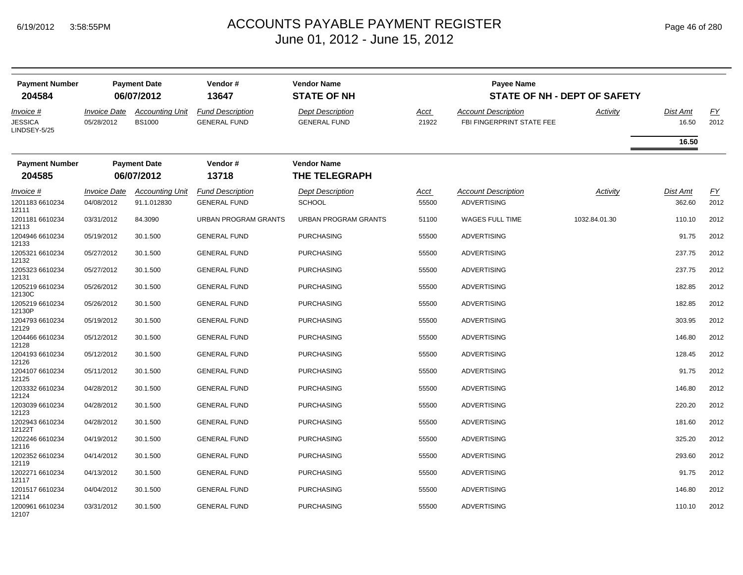| <b>Payment Number</b><br>204584             |                                   | <b>Payment Date</b><br>06/07/2012       | Vendor#<br>13647                               | <b>Vendor Name</b><br><b>STATE OF NH</b>       |                      | <b>Payee Name</b><br><b>STATE OF NH - DEPT OF SAFETY</b> |               |                          |            |
|---------------------------------------------|-----------------------------------|-----------------------------------------|------------------------------------------------|------------------------------------------------|----------------------|----------------------------------------------------------|---------------|--------------------------|------------|
| Invoice #<br><b>JESSICA</b><br>LINDSEY-5/25 | <b>Invoice Date</b><br>05/28/2012 | <b>Accounting Unit</b><br><b>BS1000</b> | <b>Fund Description</b><br><b>GENERAL FUND</b> | <b>Dept Description</b><br><b>GENERAL FUND</b> | <u>Acct</u><br>21922 | <b>Account Description</b><br>FBI FINGERPRINT STATE FEE  | Activity      | <b>Dist Amt</b><br>16.50 | EY<br>2012 |
|                                             |                                   |                                         |                                                |                                                |                      |                                                          |               | 16.50                    |            |
| <b>Payment Number</b>                       |                                   | <b>Payment Date</b>                     | Vendor#                                        | <b>Vendor Name</b>                             |                      |                                                          |               |                          |            |
| 204585                                      |                                   | 06/07/2012                              | 13718                                          | <b>THE TELEGRAPH</b>                           |                      |                                                          |               |                          |            |
| Invoice #                                   | <b>Invoice Date</b>               | <b>Accounting Unit</b>                  | <b>Fund Description</b>                        | <b>Dept Description</b>                        | <u>Acct</u>          | <b>Account Description</b>                               | Activity      | Dist Amt                 | EY         |
| 1201183 6610234<br>12111                    | 04/08/2012                        | 91.1.012830                             | <b>GENERAL FUND</b>                            | <b>SCHOOL</b>                                  | 55500                | <b>ADVERTISING</b>                                       |               | 362.60                   | 2012       |
| 1201181 6610234<br>12113                    | 03/31/2012                        | 84.3090                                 | <b>URBAN PROGRAM GRANTS</b>                    | <b>URBAN PROGRAM GRANTS</b>                    | 51100                | WAGES FULL TIME                                          | 1032.84.01.30 | 110.10                   | 2012       |
| 1204946 6610234<br>12133                    | 05/19/2012                        | 30.1.500                                | <b>GENERAL FUND</b>                            | <b>PURCHASING</b>                              | 55500                | <b>ADVERTISING</b>                                       |               | 91.75                    | 2012       |
| 1205321 6610234<br>12132                    | 05/27/2012                        | 30.1.500                                | <b>GENERAL FUND</b>                            | <b>PURCHASING</b>                              | 55500                | <b>ADVERTISING</b>                                       |               | 237.75                   | 2012       |
| 1205323 6610234<br>12131                    | 05/27/2012                        | 30.1.500                                | <b>GENERAL FUND</b>                            | <b>PURCHASING</b>                              | 55500                | <b>ADVERTISING</b>                                       |               | 237.75                   | 2012       |
| 1205219 6610234<br>12130C                   | 05/26/2012                        | 30.1.500                                | <b>GENERAL FUND</b>                            | PURCHASING                                     | 55500                | <b>ADVERTISING</b>                                       |               | 182.85                   | 2012       |
| 1205219 6610234<br>12130P                   | 05/26/2012                        | 30.1.500                                | <b>GENERAL FUND</b>                            | <b>PURCHASING</b>                              | 55500                | <b>ADVERTISING</b>                                       |               | 182.85                   | 2012       |
| 1204793 6610234<br>12129                    | 05/19/2012                        | 30.1.500                                | <b>GENERAL FUND</b>                            | <b>PURCHASING</b>                              | 55500                | <b>ADVERTISING</b>                                       |               | 303.95                   | 2012       |
| 1204466 6610234<br>12128                    | 05/12/2012                        | 30.1.500                                | <b>GENERAL FUND</b>                            | <b>PURCHASING</b>                              | 55500                | <b>ADVERTISING</b>                                       |               | 146.80                   | 2012       |
| 1204193 6610234<br>12126                    | 05/12/2012                        | 30.1.500                                | <b>GENERAL FUND</b>                            | PURCHASING                                     | 55500                | <b>ADVERTISING</b>                                       |               | 128.45                   | 2012       |
| 1204107 6610234<br>12125                    | 05/11/2012                        | 30.1.500                                | <b>GENERAL FUND</b>                            | PURCHASING                                     | 55500                | <b>ADVERTISING</b>                                       |               | 91.75                    | 2012       |
| 1203332 6610234<br>12124                    | 04/28/2012                        | 30.1.500                                | <b>GENERAL FUND</b>                            | <b>PURCHASING</b>                              | 55500                | <b>ADVERTISING</b>                                       |               | 146.80                   | 2012       |
| 1203039 6610234<br>12123                    | 04/28/2012                        | 30.1.500                                | <b>GENERAL FUND</b>                            | <b>PURCHASING</b>                              | 55500                | <b>ADVERTISING</b>                                       |               | 220.20                   | 2012       |
| 1202943 6610234<br>12122T                   | 04/28/2012                        | 30.1.500                                | <b>GENERAL FUND</b>                            | PURCHASING                                     | 55500                | ADVERTISING                                              |               | 181.60                   | 2012       |
| 1202246 6610234<br>12116                    | 04/19/2012                        | 30.1.500                                | <b>GENERAL FUND</b>                            | <b>PURCHASING</b>                              | 55500                | <b>ADVERTISING</b>                                       |               | 325.20                   | 2012       |
| 1202352 6610234<br>12119                    | 04/14/2012                        | 30.1.500                                | <b>GENERAL FUND</b>                            | <b>PURCHASING</b>                              | 55500                | <b>ADVERTISING</b>                                       |               | 293.60                   | 2012       |
| 1202271 6610234<br>12117                    | 04/13/2012                        | 30.1.500                                | <b>GENERAL FUND</b>                            | <b>PURCHASING</b>                              | 55500                | <b>ADVERTISING</b>                                       |               | 91.75                    | 2012       |
| 1201517 6610234<br>12114                    | 04/04/2012                        | 30.1.500                                | <b>GENERAL FUND</b>                            | PURCHASING                                     | 55500                | <b>ADVERTISING</b>                                       |               | 146.80                   | 2012       |
| 1200961 6610234<br>12107                    | 03/31/2012                        | 30.1.500                                | <b>GENERAL FUND</b>                            | <b>PURCHASING</b>                              | 55500                | <b>ADVERTISING</b>                                       |               | 110.10                   | 2012       |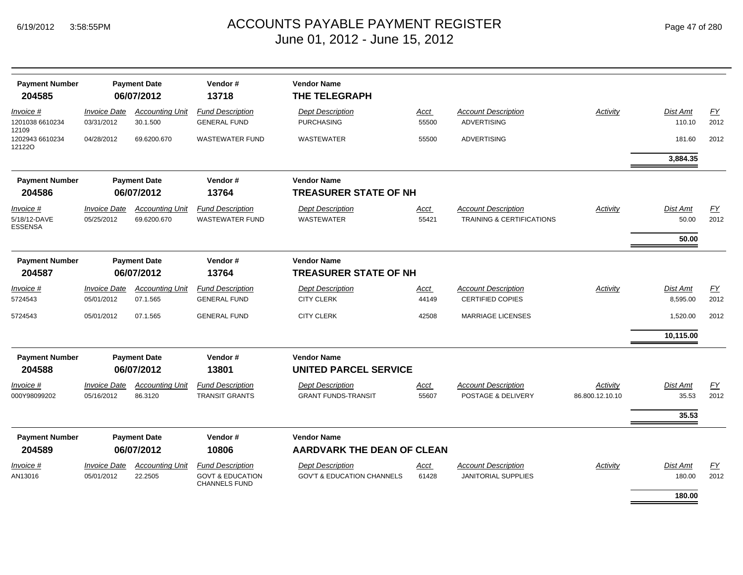| <b>Payment Number</b><br>204585             |                                   | <b>Payment Date</b><br>06/07/2012     | Vendor#<br>13718                                    | <b>Vendor Name</b><br><b>THE TELEGRAPH</b>              |                      |                                                                    |                             |                             |                          |
|---------------------------------------------|-----------------------------------|---------------------------------------|-----------------------------------------------------|---------------------------------------------------------|----------------------|--------------------------------------------------------------------|-----------------------------|-----------------------------|--------------------------|
| Invoice #<br>1201038 6610234                | <b>Invoice Date</b><br>03/31/2012 | <b>Accounting Unit</b><br>30.1.500    | <b>Fund Description</b><br><b>GENERAL FUND</b>      | <b>Dept Description</b><br><b>PURCHASING</b>            | Acct<br>55500        | <b>Account Description</b><br><b>ADVERTISING</b>                   | Activity                    | Dist Amt<br>110.10          | EY<br>2012               |
| 12109<br>1202943 6610234<br>121220          | 04/28/2012                        | 69.6200.670                           | <b>WASTEWATER FUND</b>                              | <b>WASTEWATER</b>                                       | 55500                | <b>ADVERTISING</b>                                                 |                             | 181.60                      | 2012                     |
|                                             |                                   |                                       |                                                     |                                                         |                      |                                                                    |                             | 3,884.35                    |                          |
| <b>Payment Number</b><br>204586             |                                   | <b>Payment Date</b><br>06/07/2012     | Vendor#<br>13764                                    | <b>Vendor Name</b><br><b>TREASURER STATE OF NH</b>      |                      |                                                                    |                             |                             |                          |
| Invoice #<br>5/18/12-DAVE<br><b>ESSENSA</b> | <b>Invoice Date</b><br>05/25/2012 | <b>Accounting Unit</b><br>69.6200.670 | <b>Fund Description</b><br><b>WASTEWATER FUND</b>   | <b>Dept Description</b><br><b>WASTEWATER</b>            | Acct<br>55421        | <b>Account Description</b><br><b>TRAINING &amp; CERTIFICATIONS</b> | Activity                    | <b>Dist Amt</b><br>50.00    | $\underline{FY}$<br>2012 |
|                                             |                                   |                                       |                                                     |                                                         |                      |                                                                    |                             | 50.00                       |                          |
| <b>Payment Number</b><br>204587             |                                   | <b>Payment Date</b><br>06/07/2012     | Vendor#<br>13764                                    | <b>Vendor Name</b><br><b>TREASURER STATE OF NH</b>      |                      |                                                                    |                             |                             |                          |
| Invoice #<br>5724543                        | <b>Invoice Date</b><br>05/01/2012 | <b>Accounting Unit</b><br>07.1.565    | <b>Fund Description</b><br><b>GENERAL FUND</b>      | <b>Dept Description</b><br><b>CITY CLERK</b>            | Acct<br>44149        | <b>Account Description</b><br><b>CERTIFIED COPIES</b>              | Activity                    | <b>Dist Amt</b><br>8,595.00 | EY<br>2012               |
| 5724543                                     | 05/01/2012                        | 07.1.565                              | <b>GENERAL FUND</b>                                 | <b>CITY CLERK</b>                                       | 42508                | <b>MARRIAGE LICENSES</b>                                           |                             | 1,520.00                    | 2012                     |
|                                             |                                   |                                       |                                                     |                                                         |                      |                                                                    |                             | 10,115.00                   |                          |
| <b>Payment Number</b><br>204588             |                                   | <b>Payment Date</b><br>06/07/2012     | Vendor#<br>13801                                    | <b>Vendor Name</b><br><b>UNITED PARCEL SERVICE</b>      |                      |                                                                    |                             |                             |                          |
| Invoice #<br>000Y98099202                   | <b>Invoice Date</b><br>05/16/2012 | <b>Accounting Unit</b><br>86.3120     | <b>Fund Description</b><br><b>TRANSIT GRANTS</b>    | <b>Dept Description</b><br><b>GRANT FUNDS-TRANSIT</b>   | <b>Acct</b><br>55607 | <b>Account Description</b><br>POSTAGE & DELIVERY                   | Activity<br>86.800.12.10.10 | Dist Amt<br>35.53           | EY<br>2012               |
|                                             |                                   |                                       |                                                     |                                                         |                      |                                                                    |                             | 35.53                       |                          |
| <b>Payment Number</b><br>204589             |                                   | <b>Payment Date</b><br>06/07/2012     | Vendor#<br>10806                                    | <b>Vendor Name</b><br><b>AARDVARK THE DEAN OF CLEAN</b> |                      |                                                                    |                             |                             |                          |
| Invoice #                                   | <b>Invoice Date</b>               | <b>Accounting Unit</b>                | <b>Fund Description</b>                             | <b>Dept Description</b>                                 | Acct                 | <b>Account Description</b>                                         | Activity                    | Dist Amt                    | EY                       |
| AN13016                                     | 05/01/2012                        | 22.2505                               | <b>GOVT &amp; EDUCATION</b><br><b>CHANNELS FUND</b> | <b>GOV'T &amp; EDUCATION CHANNELS</b>                   | 61428                | <b>JANITORIAL SUPPLIES</b>                                         |                             | 180.00                      | 2012                     |
|                                             |                                   |                                       |                                                     |                                                         |                      |                                                                    |                             | 180.00                      |                          |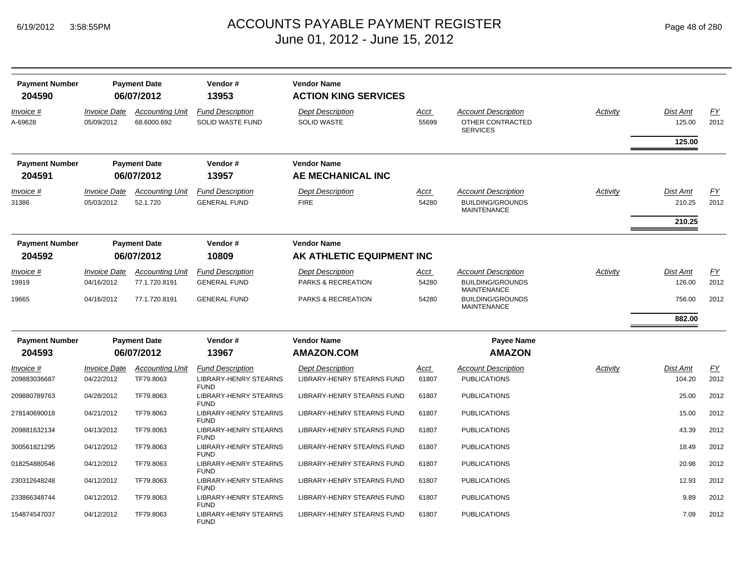| <b>Payment Number</b>     |                                   | <b>Payment Date</b>                   | Vendor#                                        | <b>Vendor Name</b>                            |                      |                                                                             |          |                           |            |
|---------------------------|-----------------------------------|---------------------------------------|------------------------------------------------|-----------------------------------------------|----------------------|-----------------------------------------------------------------------------|----------|---------------------------|------------|
| 204590                    |                                   | 06/07/2012                            | 13953                                          | <b>ACTION KING SERVICES</b>                   |                      |                                                                             |          |                           |            |
| Invoice #<br>A-69628      | <b>Invoice Date</b><br>05/09/2012 | <b>Accounting Unit</b><br>68.6000.692 | <b>Fund Description</b><br>SOLID WASTE FUND    | <b>Dept Description</b><br><b>SOLID WASTE</b> | <u>Acct</u><br>55699 | <b>Account Description</b><br>OTHER CONTRACTED<br><b>SERVICES</b>           | Activity | <b>Dist Amt</b><br>125.00 | EY<br>2012 |
|                           |                                   |                                       |                                                |                                               |                      |                                                                             |          | 125.00                    |            |
| <b>Payment Number</b>     |                                   | <b>Payment Date</b>                   | Vendor#                                        | <b>Vendor Name</b>                            |                      |                                                                             |          |                           |            |
| 204591                    |                                   | 06/07/2012                            | 13957                                          | AE MECHANICAL INC                             |                      |                                                                             |          |                           |            |
| <u>Invoice #</u><br>31386 | <b>Invoice Date</b><br>05/03/2012 | <b>Accounting Unit</b><br>52.1.720    | <b>Fund Description</b><br><b>GENERAL FUND</b> | <b>Dept Description</b><br><b>FIRE</b>        | <u>Acct</u><br>54280 | <b>Account Description</b><br><b>BUILDING/GROUNDS</b><br><b>MAINTENANCE</b> | Activity | <b>Dist Amt</b><br>210.25 | EY<br>2012 |
|                           |                                   |                                       |                                                |                                               |                      |                                                                             |          | 210.25                    |            |
| <b>Payment Number</b>     |                                   | <b>Payment Date</b>                   | Vendor#                                        | <b>Vendor Name</b>                            |                      |                                                                             |          |                           |            |
| 204592                    |                                   | 06/07/2012                            | 10809                                          | AK ATHLETIC EQUIPMENT INC                     |                      |                                                                             |          |                           |            |
| Invoice #                 | <b>Invoice Date</b>               | <b>Accounting Unit</b>                | <b>Fund Description</b>                        | <b>Dept Description</b>                       | <u>Acct</u>          | <b>Account Description</b>                                                  | Activity | Dist Amt                  | EY         |
| 19919                     | 04/16/2012                        | 77.1.720.8191                         | <b>GENERAL FUND</b>                            | PARKS & RECREATION                            | 54280                | <b>BUILDING/GROUNDS</b><br><b>MAINTENANCE</b>                               |          | 126.00                    | 2012       |
| 19665                     | 04/16/2012                        | 77.1.720.8191                         | <b>GENERAL FUND</b>                            | PARKS & RECREATION                            | 54280                | <b>BUILDING/GROUNDS</b><br><b>MAINTENANCE</b>                               |          | 756.00                    | 2012       |
|                           |                                   |                                       |                                                |                                               |                      |                                                                             |          | 882.00                    |            |
| <b>Payment Number</b>     |                                   | <b>Payment Date</b>                   | Vendor#                                        | <b>Vendor Name</b>                            |                      | <b>Payee Name</b>                                                           |          |                           |            |
| 204593                    |                                   | 06/07/2012                            | 13967                                          | <b>AMAZON.COM</b>                             |                      | <b>AMAZON</b>                                                               |          |                           |            |
| <u>Invoice #</u>          | <b>Invoice Date</b>               | <b>Accounting Unit</b>                | <b>Fund Description</b>                        | <b>Dept Description</b>                       | <u>Acct</u>          | <b>Account Description</b>                                                  | Activity | Dist Amt                  | EY         |
| 209883036687              | 04/22/2012                        | TF79.8063                             | <b>LIBRARY-HENRY STEARNS</b><br><b>FUND</b>    | LIBRARY-HENRY STEARNS FUND                    | 61807                | <b>PUBLICATIONS</b>                                                         |          | 104.20                    | 2012       |
| 209880789763              | 04/28/2012                        | TF79.8063                             | LIBRARY-HENRY STEARNS<br><b>FUND</b>           | LIBRARY-HENRY STEARNS FUND                    | 61807                | <b>PUBLICATIONS</b>                                                         |          | 25.00                     | 2012       |
| 278140690018              | 04/21/2012                        | TF79.8063                             | LIBRARY-HENRY STEARNS<br><b>FUND</b>           | LIBRARY-HENRY STEARNS FUND                    | 61807                | <b>PUBLICATIONS</b>                                                         |          | 15.00                     | 2012       |
| 209881632134              | 04/13/2012                        | TF79.8063                             | LIBRARY-HENRY STEARNS<br><b>FUND</b>           | LIBRARY-HENRY STEARNS FUND                    | 61807                | <b>PUBLICATIONS</b>                                                         |          | 43.39                     | 2012       |
| 300561821295              | 04/12/2012                        | TF79.8063                             | LIBRARY-HENRY STEARNS<br><b>FUND</b>           | LIBRARY-HENRY STEARNS FUND                    | 61807                | <b>PUBLICATIONS</b>                                                         |          | 18.49                     | 2012       |
| 018254880546              | 04/12/2012                        | TF79.8063                             | LIBRARY-HENRY STEARNS<br><b>FUND</b>           | LIBRARY-HENRY STEARNS FUND                    | 61807                | <b>PUBLICATIONS</b>                                                         |          | 20.98                     | 2012       |
| 230312648248              | 04/12/2012                        | TF79.8063                             | LIBRARY-HENRY STEARNS<br><b>FUND</b>           | LIBRARY-HENRY STEARNS FUND                    | 61807                | <b>PUBLICATIONS</b>                                                         |          | 12.93                     | 2012       |
| 233866348744              | 04/12/2012                        | TF79.8063                             | LIBRARY-HENRY STEARNS<br><b>FUND</b>           | LIBRARY-HENRY STEARNS FUND                    | 61807                | <b>PUBLICATIONS</b>                                                         |          | 9.89                      | 2012       |
| 154874547037              | 04/12/2012                        | TF79.8063                             | LIBRARY-HENRY STEARNS<br><b>FUND</b>           | LIBRARY-HENRY STEARNS FUND                    | 61807                | <b>PUBLICATIONS</b>                                                         |          | 7.09                      | 2012       |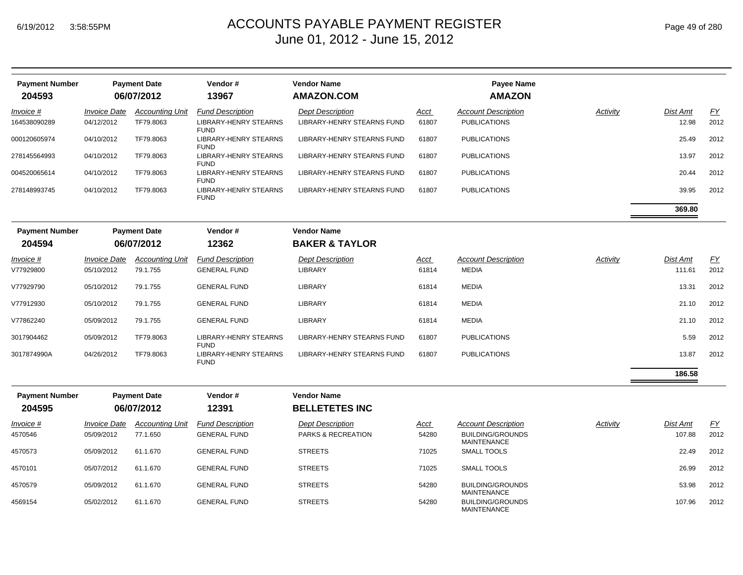| <b>Payment Number</b><br>204593 |                                   | <b>Payment Date</b><br>06/07/2012   | Vendor#<br>13967                                           | <b>Vendor Name</b><br><b>AMAZON.COM</b>               |               | <b>Payee Name</b><br><b>AMAZON</b>                |          |                          |            |
|---------------------------------|-----------------------------------|-------------------------------------|------------------------------------------------------------|-------------------------------------------------------|---------------|---------------------------------------------------|----------|--------------------------|------------|
| Invoice #<br>164538090289       | <b>Invoice Date</b><br>04/12/2012 | <b>Accounting Unit</b><br>TF79.8063 | <b>Fund Description</b><br><b>LIBRARY-HENRY STEARNS</b>    | <b>Dept Description</b><br>LIBRARY-HENRY STEARNS FUND | Acct<br>61807 | <b>Account Description</b><br><b>PUBLICATIONS</b> | Activity | <b>Dist Amt</b><br>12.98 | EY<br>2012 |
| 000120605974                    | 04/10/2012                        | TF79.8063                           | <b>FUND</b><br><b>LIBRARY-HENRY STEARNS</b><br><b>FUND</b> | LIBRARY-HENRY STEARNS FUND                            | 61807         | <b>PUBLICATIONS</b>                               |          | 25.49                    | 2012       |
| 278145564993                    | 04/10/2012                        | TF79.8063                           | <b>LIBRARY-HENRY STEARNS</b><br><b>FUND</b>                | LIBRARY-HENRY STEARNS FUND                            | 61807         | <b>PUBLICATIONS</b>                               |          | 13.97                    | 2012       |
| 004520065614                    | 04/10/2012                        | TF79.8063                           | <b>LIBRARY-HENRY STEARNS</b><br><b>FUND</b>                | LIBRARY-HENRY STEARNS FUND                            | 61807         | <b>PUBLICATIONS</b>                               |          | 20.44                    | 2012       |
| 278148993745                    | 04/10/2012                        | TF79.8063                           | <b>LIBRARY-HENRY STEARNS</b><br><b>FUND</b>                | LIBRARY-HENRY STEARNS FUND                            | 61807         | <b>PUBLICATIONS</b>                               |          | 39.95                    | 2012       |
|                                 |                                   |                                     |                                                            |                                                       |               |                                                   |          | 369.80                   |            |
| <b>Payment Number</b><br>204594 |                                   | <b>Payment Date</b><br>06/07/2012   | Vendor#<br>12362                                           | <b>Vendor Name</b><br><b>BAKER &amp; TAYLOR</b>       |               |                                                   |          |                          |            |
| Invoice #                       | <i><b>Invoice Date</b></i>        | <b>Accounting Unit</b>              | <b>Fund Description</b>                                    | <b>Dept Description</b>                               | <u>Acct</u>   | <b>Account Description</b>                        | Activity | <b>Dist Amt</b>          | <u>FY</u>  |
| V77929800                       | 05/10/2012                        | 79.1.755                            | <b>GENERAL FUND</b>                                        | <b>LIBRARY</b>                                        | 61814         | <b>MEDIA</b>                                      |          | 111.61                   | 2012       |
| V77929790                       | 05/10/2012                        | 79.1.755                            | <b>GENERAL FUND</b>                                        | <b>LIBRARY</b>                                        | 61814         | <b>MEDIA</b>                                      |          | 13.31                    | 2012       |
| V77912930                       | 05/10/2012                        | 79.1.755                            | <b>GENERAL FUND</b>                                        | <b>LIBRARY</b>                                        | 61814         | <b>MEDIA</b>                                      |          | 21.10                    | 2012       |
| V77862240                       | 05/09/2012                        | 79.1.755                            | <b>GENERAL FUND</b>                                        | <b>LIBRARY</b>                                        | 61814         | <b>MEDIA</b>                                      |          | 21.10                    | 2012       |
| 3017904462                      | 05/09/2012                        | TF79.8063                           | LIBRARY-HENRY STEARNS<br><b>FUND</b>                       | <b>LIBRARY-HENRY STEARNS FUND</b>                     | 61807         | <b>PUBLICATIONS</b>                               |          | 5.59                     | 2012       |
| 3017874990A                     | 04/26/2012                        | TF79.8063                           | LIBRARY-HENRY STEARNS<br><b>FUND</b>                       | LIBRARY-HENRY STEARNS FUND                            | 61807         | <b>PUBLICATIONS</b>                               |          | 13.87                    | 2012       |
|                                 |                                   |                                     |                                                            |                                                       |               |                                                   |          | 186.58                   |            |
| <b>Payment Number</b>           |                                   | <b>Payment Date</b>                 | Vendor#                                                    | <b>Vendor Name</b>                                    |               |                                                   |          |                          |            |
| 204595                          |                                   | 06/07/2012                          | 12391                                                      | <b>BELLETETES INC</b>                                 |               |                                                   |          |                          |            |
| Invoice #                       | Invoice Date                      | <b>Accounting Unit</b>              | <b>Fund Description</b>                                    | <b>Dept Description</b>                               | <u>Acct</u>   | <b>Account Description</b>                        | Activity | <b>Dist Amt</b>          | EY         |
| 4570546                         | 05/09/2012                        | 77.1.650                            | <b>GENERAL FUND</b>                                        | PARKS & RECREATION                                    | 54280         | <b>BUILDING/GROUNDS</b><br><b>MAINTENANCE</b>     |          | 107.88                   | 2012       |
| 4570573                         | 05/09/2012                        | 61.1.670                            | <b>GENERAL FUND</b>                                        | <b>STREETS</b>                                        | 71025         | <b>SMALL TOOLS</b>                                |          | 22.49                    | 2012       |
| 4570101                         | 05/07/2012                        | 61.1.670                            | <b>GENERAL FUND</b>                                        | <b>STREETS</b>                                        | 71025         | SMALL TOOLS                                       |          | 26.99                    | 2012       |
| 4570579                         | 05/09/2012                        | 61.1.670                            | <b>GENERAL FUND</b>                                        | <b>STREETS</b>                                        | 54280         | <b>BUILDING/GROUNDS</b><br><b>MAINTENANCE</b>     |          | 53.98                    | 2012       |
| 4569154                         | 05/02/2012                        | 61.1.670                            | <b>GENERAL FUND</b>                                        | <b>STREETS</b>                                        | 54280         | <b>BUILDING/GROUNDS</b><br><b>MAINTENANCE</b>     |          | 107.96                   | 2012       |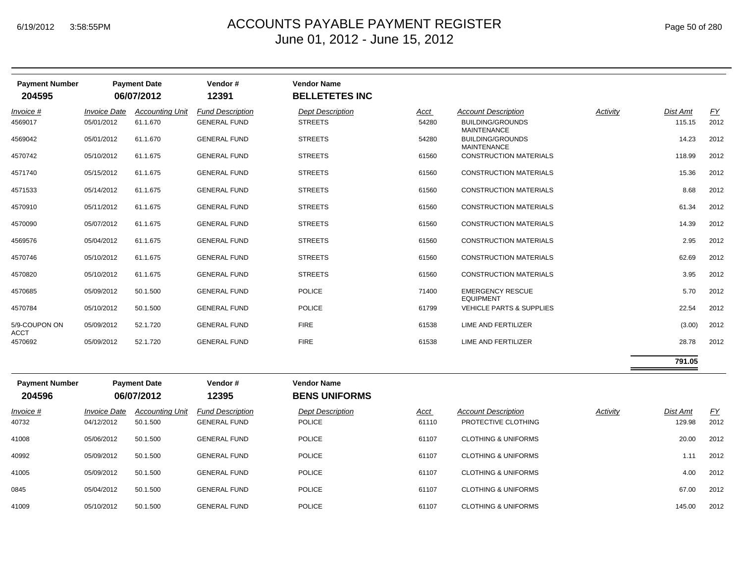| <b>Payment Number</b><br>204595 |                            | <b>Payment Date</b><br>06/07/2012 | Vendor#<br>12391        | <b>Vendor Name</b><br><b>BELLETETES INC</b> |       |                                               |          |          |           |
|---------------------------------|----------------------------|-----------------------------------|-------------------------|---------------------------------------------|-------|-----------------------------------------------|----------|----------|-----------|
| Invoice #                       | <i><b>Invoice Date</b></i> | <b>Accounting Unit</b>            | <b>Fund Description</b> | <b>Dept Description</b>                     | Acct  | <b>Account Description</b>                    | Activity | Dist Amt | <u>FY</u> |
| 4569017                         | 05/01/2012                 | 61.1.670                          | <b>GENERAL FUND</b>     | <b>STREETS</b>                              | 54280 | <b>BUILDING/GROUNDS</b><br><b>MAINTENANCE</b> |          | 115.15   | 2012      |
| 4569042                         | 05/01/2012                 | 61.1.670                          | <b>GENERAL FUND</b>     | <b>STREETS</b>                              | 54280 | <b>BUILDING/GROUNDS</b><br><b>MAINTENANCE</b> |          | 14.23    | 2012      |
| 4570742                         | 05/10/2012                 | 61.1.675                          | <b>GENERAL FUND</b>     | <b>STREETS</b>                              | 61560 | <b>CONSTRUCTION MATERIALS</b>                 |          | 118.99   | 2012      |
| 4571740                         | 05/15/2012                 | 61.1.675                          | <b>GENERAL FUND</b>     | <b>STREETS</b>                              | 61560 | <b>CONSTRUCTION MATERIALS</b>                 |          | 15.36    | 2012      |
| 4571533                         | 05/14/2012                 | 61.1.675                          | <b>GENERAL FUND</b>     | <b>STREETS</b>                              | 61560 | <b>CONSTRUCTION MATERIALS</b>                 |          | 8.68     | 2012      |
| 4570910                         | 05/11/2012                 | 61.1.675                          | <b>GENERAL FUND</b>     | <b>STREETS</b>                              | 61560 | <b>CONSTRUCTION MATERIALS</b>                 |          | 61.34    | 2012      |
| 4570090                         | 05/07/2012                 | 61.1.675                          | <b>GENERAL FUND</b>     | <b>STREETS</b>                              | 61560 | <b>CONSTRUCTION MATERIALS</b>                 |          | 14.39    | 2012      |
| 4569576                         | 05/04/2012                 | 61.1.675                          | <b>GENERAL FUND</b>     | <b>STREETS</b>                              | 61560 | <b>CONSTRUCTION MATERIALS</b>                 |          | 2.95     | 2012      |
| 4570746                         | 05/10/2012                 | 61.1.675                          | <b>GENERAL FUND</b>     | <b>STREETS</b>                              | 61560 | <b>CONSTRUCTION MATERIALS</b>                 |          | 62.69    | 2012      |
| 4570820                         | 05/10/2012                 | 61.1.675                          | <b>GENERAL FUND</b>     | <b>STREETS</b>                              | 61560 | <b>CONSTRUCTION MATERIALS</b>                 |          | 3.95     | 2012      |
| 4570685                         | 05/09/2012                 | 50.1.500                          | <b>GENERAL FUND</b>     | <b>POLICE</b>                               | 71400 | <b>EMERGENCY RESCUE</b><br><b>EQUIPMENT</b>   |          | 5.70     | 2012      |
| 4570784                         | 05/10/2012                 | 50.1.500                          | <b>GENERAL FUND</b>     | <b>POLICE</b>                               | 61799 | <b>VEHICLE PARTS &amp; SUPPLIES</b>           |          | 22.54    | 2012      |
| 5/9-COUPON ON<br><b>ACCT</b>    | 05/09/2012                 | 52.1.720                          | <b>GENERAL FUND</b>     | <b>FIRE</b>                                 | 61538 | LIME AND FERTILIZER                           |          | (3.00)   | 2012      |
| 4570692                         | 05/09/2012                 | 52.1.720                          | <b>GENERAL FUND</b>     | <b>FIRE</b>                                 | 61538 | LIME AND FERTILIZER                           |          | 28.78    | 2012      |
|                                 |                            |                                   |                         |                                             |       |                                               |          |          |           |

| <b>Payment Number</b><br>204596 |                                          | <b>Payment Date</b><br>06/07/2012  | Vendor#<br>12395                               | <b>Vendor Name</b><br><b>BENS UNIFORMS</b> |               |                                                   |          |                    |                   |
|---------------------------------|------------------------------------------|------------------------------------|------------------------------------------------|--------------------------------------------|---------------|---------------------------------------------------|----------|--------------------|-------------------|
| $Invoice$ #<br>40732            | <i><b>Invoice Date</b></i><br>04/12/2012 | <b>Accounting Unit</b><br>50.1.500 | <b>Fund Description</b><br><b>GENERAL FUND</b> | <b>Dept Description</b><br><b>POLICE</b>   | Acct<br>61110 | <b>Account Description</b><br>PROTECTIVE CLOTHING | Activity | Dist Amt<br>129.98 | <u>FY</u><br>2012 |
| 41008                           | 05/06/2012                               | 50.1.500                           | <b>GENERAL FUND</b>                            | <b>POLICE</b>                              | 61107         | <b>CLOTHING &amp; UNIFORMS</b>                    |          | 20.00              | 2012              |
| 40992                           | 05/09/2012                               | 50.1.500                           | <b>GENERAL FUND</b>                            | <b>POLICE</b>                              | 61107         | <b>CLOTHING &amp; UNIFORMS</b>                    |          | 1.11               | 2012              |
| 41005                           | 05/09/2012                               | 50.1.500                           | <b>GENERAL FUND</b>                            | <b>POLICE</b>                              | 61107         | <b>CLOTHING &amp; UNIFORMS</b>                    |          | 4.00               | 2012              |
| 0845                            | 05/04/2012                               | 50.1.500                           | <b>GENERAL FUND</b>                            | <b>POLICE</b>                              | 61107         | <b>CLOTHING &amp; UNIFORMS</b>                    |          | 67.00              | 2012              |
| 41009                           | 05/10/2012                               | 50.1.500                           | <b>GENERAL FUND</b>                            | <b>POLICE</b>                              | 61107         | <b>CLOTHING &amp; UNIFORMS</b>                    |          | 145.00             | 2012              |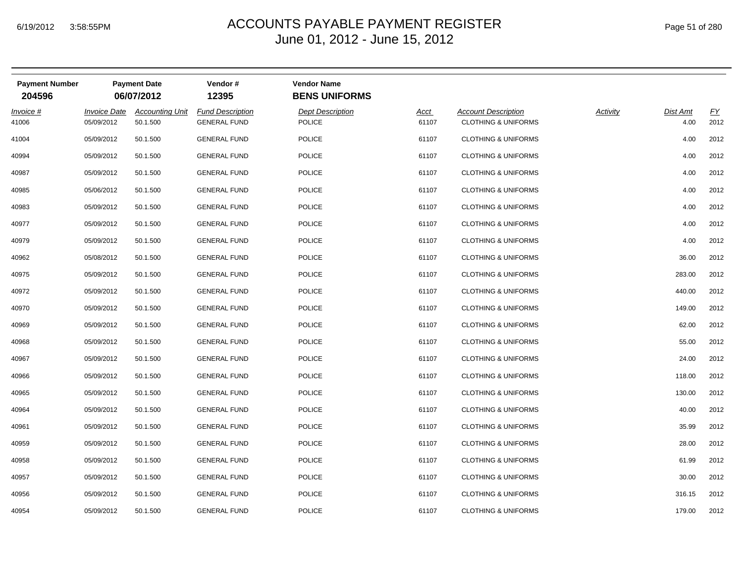| <b>Payment Number</b><br>204596 |                                   | <b>Payment Date</b><br>06/07/2012  | Vendor#<br>12395                               | <b>Vendor Name</b><br><b>BENS UNIFORMS</b> |                      |                                                              |          |                  |            |
|---------------------------------|-----------------------------------|------------------------------------|------------------------------------------------|--------------------------------------------|----------------------|--------------------------------------------------------------|----------|------------------|------------|
| Invoice #<br>41006              | <b>Invoice Date</b><br>05/09/2012 | <b>Accounting Unit</b><br>50.1.500 | <b>Fund Description</b><br><b>GENERAL FUND</b> | <b>Dept Description</b><br><b>POLICE</b>   | <b>Acct</b><br>61107 | <b>Account Description</b><br><b>CLOTHING &amp; UNIFORMS</b> | Activity | Dist Amt<br>4.00 | EY<br>2012 |
| 41004                           | 05/09/2012                        | 50.1.500                           | <b>GENERAL FUND</b>                            | <b>POLICE</b>                              | 61107                | <b>CLOTHING &amp; UNIFORMS</b>                               |          | 4.00             | 2012       |
| 40994                           | 05/09/2012                        | 50.1.500                           | <b>GENERAL FUND</b>                            | <b>POLICE</b>                              | 61107                | <b>CLOTHING &amp; UNIFORMS</b>                               |          | 4.00             | 2012       |
| 40987                           | 05/09/2012                        | 50.1.500                           | <b>GENERAL FUND</b>                            | <b>POLICE</b>                              | 61107                | <b>CLOTHING &amp; UNIFORMS</b>                               |          | 4.00             | 2012       |
| 40985                           | 05/06/2012                        | 50.1.500                           | <b>GENERAL FUND</b>                            | <b>POLICE</b>                              | 61107                | <b>CLOTHING &amp; UNIFORMS</b>                               |          | 4.00             | 2012       |
| 40983                           | 05/09/2012                        | 50.1.500                           | <b>GENERAL FUND</b>                            | <b>POLICE</b>                              | 61107                | <b>CLOTHING &amp; UNIFORMS</b>                               |          | 4.00             | 2012       |
| 40977                           | 05/09/2012                        | 50.1.500                           | <b>GENERAL FUND</b>                            | <b>POLICE</b>                              | 61107                | <b>CLOTHING &amp; UNIFORMS</b>                               |          | 4.00             | 2012       |
| 40979                           | 05/09/2012                        | 50.1.500                           | <b>GENERAL FUND</b>                            | <b>POLICE</b>                              | 61107                | <b>CLOTHING &amp; UNIFORMS</b>                               |          | 4.00             | 2012       |
| 40962                           | 05/08/2012                        | 50.1.500                           | <b>GENERAL FUND</b>                            | <b>POLICE</b>                              | 61107                | <b>CLOTHING &amp; UNIFORMS</b>                               |          | 36.00            | 2012       |
| 40975                           | 05/09/2012                        | 50.1.500                           | <b>GENERAL FUND</b>                            | <b>POLICE</b>                              | 61107                | <b>CLOTHING &amp; UNIFORMS</b>                               |          | 283.00           | 2012       |
| 40972                           | 05/09/2012                        | 50.1.500                           | <b>GENERAL FUND</b>                            | <b>POLICE</b>                              | 61107                | <b>CLOTHING &amp; UNIFORMS</b>                               |          | 440.00           | 2012       |
| 40970                           | 05/09/2012                        | 50.1.500                           | <b>GENERAL FUND</b>                            | <b>POLICE</b>                              | 61107                | <b>CLOTHING &amp; UNIFORMS</b>                               |          | 149.00           | 2012       |
| 40969                           | 05/09/2012                        | 50.1.500                           | <b>GENERAL FUND</b>                            | <b>POLICE</b>                              | 61107                | <b>CLOTHING &amp; UNIFORMS</b>                               |          | 62.00            | 2012       |
| 40968                           | 05/09/2012                        | 50.1.500                           | <b>GENERAL FUND</b>                            | <b>POLICE</b>                              | 61107                | <b>CLOTHING &amp; UNIFORMS</b>                               |          | 55.00            | 2012       |
| 40967                           | 05/09/2012                        | 50.1.500                           | <b>GENERAL FUND</b>                            | <b>POLICE</b>                              | 61107                | <b>CLOTHING &amp; UNIFORMS</b>                               |          | 24.00            | 2012       |
| 40966                           | 05/09/2012                        | 50.1.500                           | <b>GENERAL FUND</b>                            | <b>POLICE</b>                              | 61107                | <b>CLOTHING &amp; UNIFORMS</b>                               |          | 118.00           | 2012       |
| 40965                           | 05/09/2012                        | 50.1.500                           | <b>GENERAL FUND</b>                            | <b>POLICE</b>                              | 61107                | <b>CLOTHING &amp; UNIFORMS</b>                               |          | 130.00           | 2012       |
| 40964                           | 05/09/2012                        | 50.1.500                           | <b>GENERAL FUND</b>                            | <b>POLICE</b>                              | 61107                | <b>CLOTHING &amp; UNIFORMS</b>                               |          | 40.00            | 2012       |
| 40961                           | 05/09/2012                        | 50.1.500                           | <b>GENERAL FUND</b>                            | <b>POLICE</b>                              | 61107                | <b>CLOTHING &amp; UNIFORMS</b>                               |          | 35.99            | 2012       |
| 40959                           | 05/09/2012                        | 50.1.500                           | <b>GENERAL FUND</b>                            | <b>POLICE</b>                              | 61107                | <b>CLOTHING &amp; UNIFORMS</b>                               |          | 28.00            | 2012       |
| 40958                           | 05/09/2012                        | 50.1.500                           | <b>GENERAL FUND</b>                            | <b>POLICE</b>                              | 61107                | <b>CLOTHING &amp; UNIFORMS</b>                               |          | 61.99            | 2012       |
| 40957                           | 05/09/2012                        | 50.1.500                           | <b>GENERAL FUND</b>                            | <b>POLICE</b>                              | 61107                | <b>CLOTHING &amp; UNIFORMS</b>                               |          | 30.00            | 2012       |
| 40956                           | 05/09/2012                        | 50.1.500                           | <b>GENERAL FUND</b>                            | <b>POLICE</b>                              | 61107                | <b>CLOTHING &amp; UNIFORMS</b>                               |          | 316.15           | 2012       |
| 40954                           | 05/09/2012                        | 50.1.500                           | <b>GENERAL FUND</b>                            | <b>POLICE</b>                              | 61107                | <b>CLOTHING &amp; UNIFORMS</b>                               |          | 179.00           | 2012       |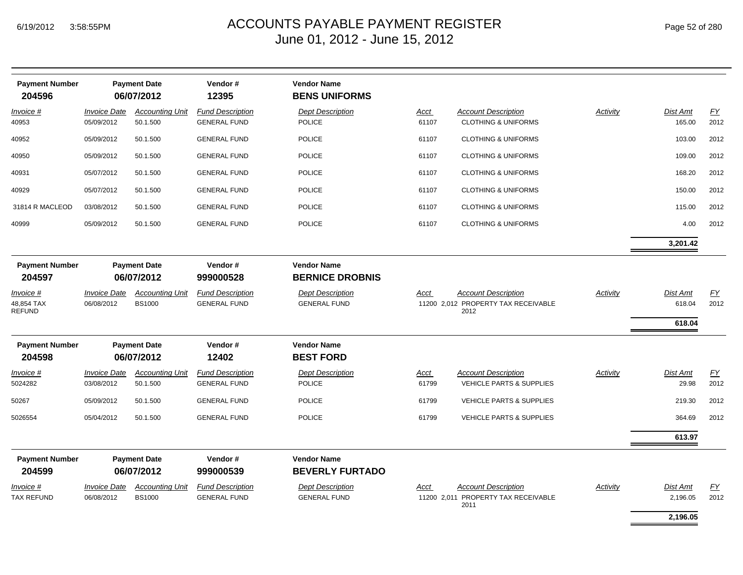| <b>Payment Number</b>                    |                                   | <b>Payment Date</b>                     | Vendor#                                        | <b>Vendor Name</b>                             |                      |                                                                           |          |                              |            |
|------------------------------------------|-----------------------------------|-----------------------------------------|------------------------------------------------|------------------------------------------------|----------------------|---------------------------------------------------------------------------|----------|------------------------------|------------|
| 204596                                   |                                   | 06/07/2012                              | 12395                                          | <b>BENS UNIFORMS</b>                           |                      |                                                                           |          |                              |            |
| Invoice #<br>40953                       | <b>Invoice Date</b><br>05/09/2012 | <b>Accounting Unit</b><br>50.1.500      | <b>Fund Description</b><br><b>GENERAL FUND</b> | <b>Dept Description</b><br><b>POLICE</b>       | Acct<br>61107        | <b>Account Description</b><br><b>CLOTHING &amp; UNIFORMS</b>              | Activity | Dist Amt<br>165.00           | EY<br>2012 |
| 40952                                    | 05/09/2012                        | 50.1.500                                | <b>GENERAL FUND</b>                            | <b>POLICE</b>                                  | 61107                | <b>CLOTHING &amp; UNIFORMS</b>                                            |          | 103.00                       | 2012       |
| 40950                                    | 05/09/2012                        | 50.1.500                                | <b>GENERAL FUND</b>                            | <b>POLICE</b>                                  | 61107                | <b>CLOTHING &amp; UNIFORMS</b>                                            |          | 109.00                       | 2012       |
| 40931                                    | 05/07/2012                        | 50.1.500                                | <b>GENERAL FUND</b>                            | <b>POLICE</b>                                  | 61107                | <b>CLOTHING &amp; UNIFORMS</b>                                            |          | 168.20                       | 2012       |
| 40929                                    | 05/07/2012                        | 50.1.500                                | <b>GENERAL FUND</b>                            | <b>POLICE</b>                                  | 61107                | <b>CLOTHING &amp; UNIFORMS</b>                                            |          | 150.00                       | 2012       |
| 31814 R MACLEOD                          | 03/08/2012                        | 50.1.500                                | <b>GENERAL FUND</b>                            | <b>POLICE</b>                                  | 61107                | <b>CLOTHING &amp; UNIFORMS</b>                                            |          | 115.00                       | 2012       |
| 40999                                    | 05/09/2012                        | 50.1.500                                | <b>GENERAL FUND</b>                            | <b>POLICE</b>                                  | 61107                | <b>CLOTHING &amp; UNIFORMS</b>                                            |          | 4.00                         | 2012       |
|                                          |                                   |                                         |                                                |                                                |                      |                                                                           |          | 3,201.42                     |            |
| <b>Payment Number</b><br>204597          |                                   | <b>Payment Date</b><br>06/07/2012       | Vendor#<br>999000528                           | <b>Vendor Name</b><br><b>BERNICE DROBNIS</b>   |                      |                                                                           |          |                              |            |
| Invoice #<br>48,854 TAX<br><b>REFUND</b> | <b>Invoice Date</b><br>06/08/2012 | <b>Accounting Unit</b><br><b>BS1000</b> | <b>Fund Description</b><br><b>GENERAL FUND</b> | <b>Dept Description</b><br><b>GENERAL FUND</b> | Acct                 | <b>Account Description</b><br>11200 2,012 PROPERTY TAX RECEIVABLE<br>2012 | Activity | Dist Amt<br>618.04<br>618.04 | EY<br>2012 |
| <b>Payment Number</b>                    |                                   | <b>Payment Date</b>                     | Vendor#                                        | <b>Vendor Name</b>                             |                      |                                                                           |          |                              |            |
| 204598                                   |                                   | 06/07/2012                              | 12402                                          | <b>BEST FORD</b>                               |                      |                                                                           |          |                              |            |
| <u>Invoice #</u><br>5024282              | <b>Invoice Date</b><br>03/08/2012 | <b>Accounting Unit</b><br>50.1.500      | <b>Fund Description</b><br><b>GENERAL FUND</b> | <b>Dept Description</b><br>POLICE              | <u>Acct</u><br>61799 | <b>Account Description</b><br><b>VEHICLE PARTS &amp; SUPPLIES</b>         | Activity | Dist Amt<br>29.98            | EY<br>2012 |
| 50267                                    | 05/09/2012                        | 50.1.500                                | <b>GENERAL FUND</b>                            | <b>POLICE</b>                                  | 61799                | <b>VEHICLE PARTS &amp; SUPPLIES</b>                                       |          | 219.30                       | 2012       |
| 5026554                                  | 05/04/2012                        | 50.1.500                                | <b>GENERAL FUND</b>                            | <b>POLICE</b>                                  | 61799                | <b>VEHICLE PARTS &amp; SUPPLIES</b>                                       |          | 364.69                       | 2012       |
|                                          |                                   |                                         |                                                |                                                |                      |                                                                           |          | 613.97                       |            |
| <b>Payment Number</b>                    |                                   | <b>Payment Date</b>                     | Vendor#                                        | <b>Vendor Name</b>                             |                      |                                                                           |          |                              |            |
| 204599                                   |                                   | 06/07/2012                              | 999000539                                      | <b>BEVERLY FURTADO</b>                         |                      |                                                                           |          |                              |            |
| Invoice #<br>TAX REFUND                  | <b>Invoice Date</b><br>06/08/2012 | <b>Accounting Unit</b><br><b>BS1000</b> | <b>Fund Description</b><br><b>GENERAL FUND</b> | <b>Dept Description</b><br><b>GENERAL FUND</b> | Acct                 | <b>Account Description</b><br>11200 2,011 PROPERTY TAX RECEIVABLE<br>2011 | Activity | Dist Amt<br>2,196.05         | EY<br>2012 |
|                                          |                                   |                                         |                                                |                                                |                      |                                                                           |          | 2,196.05                     |            |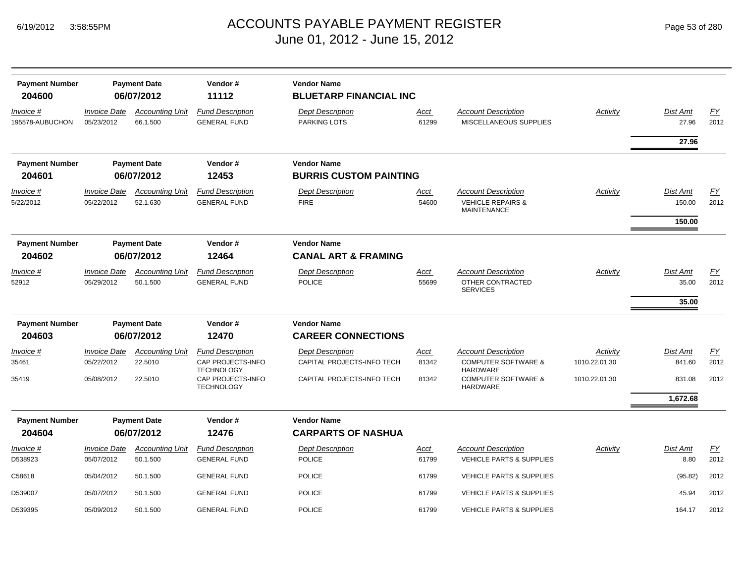| <b>Payment Number</b>           |                                   | <b>Payment Date</b>                | Vendor#                                        | <b>Vendor Name</b>                                   |               |                                                                                  |               |                           |            |
|---------------------------------|-----------------------------------|------------------------------------|------------------------------------------------|------------------------------------------------------|---------------|----------------------------------------------------------------------------------|---------------|---------------------------|------------|
| 204600                          |                                   | 06/07/2012                         | 11112                                          | <b>BLUETARP FINANCIAL INC</b>                        |               |                                                                                  |               |                           |            |
| Invoice #<br>195578-AUBUCHON    | <b>Invoice Date</b><br>05/23/2012 | <b>Accounting Unit</b><br>66.1.500 | <b>Fund Description</b><br><b>GENERAL FUND</b> | <b>Dept Description</b><br>PARKING LOTS              | Acct<br>61299 | <b>Account Description</b><br>MISCELLANEOUS SUPPLIES                             | Activity      | <b>Dist Amt</b><br>27.96  | EY<br>2012 |
|                                 |                                   |                                    |                                                |                                                      |               |                                                                                  |               | 27.96                     |            |
| <b>Payment Number</b>           |                                   | <b>Payment Date</b>                | Vendor#                                        | <b>Vendor Name</b>                                   |               |                                                                                  |               |                           |            |
| 204601                          |                                   | 06/07/2012                         | 12453                                          | <b>BURRIS CUSTOM PAINTING</b>                        |               |                                                                                  |               |                           |            |
| Invoice #<br>5/22/2012          | <b>Invoice Date</b><br>05/22/2012 | <b>Accounting Unit</b><br>52.1.630 | <b>Fund Description</b><br><b>GENERAL FUND</b> | <b>Dept Description</b><br><b>FIRE</b>               | Acct<br>54600 | <b>Account Description</b><br><b>VEHICLE REPAIRS &amp;</b><br><b>MAINTENANCE</b> | Activity      | <b>Dist Amt</b><br>150.00 | EY<br>2012 |
|                                 |                                   |                                    |                                                |                                                      |               |                                                                                  |               | 150.00                    |            |
| <b>Payment Number</b><br>204602 |                                   | <b>Payment Date</b><br>06/07/2012  | Vendor#<br>12464                               | <b>Vendor Name</b><br><b>CANAL ART &amp; FRAMING</b> |               |                                                                                  |               |                           |            |
| Invoice #<br>52912              | <b>Invoice Date</b><br>05/29/2012 | <b>Accounting Unit</b><br>50.1.500 | <b>Fund Description</b><br><b>GENERAL FUND</b> | <b>Dept Description</b><br><b>POLICE</b>             | Acct<br>55699 | <b>Account Description</b><br>OTHER CONTRACTED<br><b>SERVICES</b>                | Activity      | <b>Dist Amt</b><br>35.00  | EY<br>2012 |
|                                 |                                   |                                    |                                                |                                                      |               |                                                                                  |               | 35.00                     |            |
| <b>Payment Number</b>           |                                   | <b>Payment Date</b>                | Vendor#                                        | <b>Vendor Name</b>                                   |               |                                                                                  |               |                           |            |
| 204603                          |                                   | 06/07/2012                         | 12470                                          | <b>CAREER CONNECTIONS</b>                            |               |                                                                                  |               |                           |            |
| Invoice #                       | <b>Invoice Date</b>               | <b>Accounting Unit</b>             | <b>Fund Description</b>                        | <b>Dept Description</b>                              | <u>Acct</u>   | <b>Account Description</b>                                                       | Activity      | <b>Dist Amt</b>           | EY         |
| 35461                           | 05/22/2012                        | 22.5010                            | CAP PROJECTS-INFO<br><b>TECHNOLOGY</b>         | CAPITAL PROJECTS-INFO TECH                           | 81342         | <b>COMPUTER SOFTWARE &amp;</b><br><b>HARDWARE</b>                                | 1010.22.01.30 | 841.60                    | 2012       |
| 35419                           | 05/08/2012                        | 22.5010                            | CAP PROJECTS-INFO<br><b>TECHNOLOGY</b>         | CAPITAL PROJECTS-INFO TECH                           | 81342         | <b>COMPUTER SOFTWARE &amp;</b><br><b>HARDWARE</b>                                | 1010.22.01.30 | 831.08                    | 2012       |
|                                 |                                   |                                    |                                                |                                                      |               |                                                                                  |               | 1,672.68                  |            |
| <b>Payment Number</b>           |                                   | <b>Payment Date</b><br>06/07/2012  | Vendor#<br>12476                               | <b>Vendor Name</b>                                   |               |                                                                                  |               |                           |            |
| 204604                          |                                   |                                    |                                                | <b>CARPARTS OF NASHUA</b>                            |               |                                                                                  |               |                           |            |
| Invoice #<br>D538923            | <b>Invoice Date</b><br>05/07/2012 | <b>Accounting Unit</b><br>50.1.500 | <b>Fund Description</b><br><b>GENERAL FUND</b> | <b>Dept Description</b><br><b>POLICE</b>             | Acct<br>61799 | <b>Account Description</b><br><b>VEHICLE PARTS &amp; SUPPLIES</b>                | Activity      | <b>Dist Amt</b><br>8.80   | EY<br>2012 |
| C58618                          | 05/04/2012                        | 50.1.500                           | <b>GENERAL FUND</b>                            | <b>POLICE</b>                                        | 61799         | <b>VEHICLE PARTS &amp; SUPPLIES</b>                                              |               | (95.82)                   | 2012       |
| D539007                         | 05/07/2012                        | 50.1.500                           | <b>GENERAL FUND</b>                            | <b>POLICE</b>                                        | 61799         | <b>VEHICLE PARTS &amp; SUPPLIES</b>                                              |               | 45.94                     | 2012       |
| D539395                         | 05/09/2012                        | 50.1.500                           | <b>GENERAL FUND</b>                            | <b>POLICE</b>                                        | 61799         | <b>VEHICLE PARTS &amp; SUPPLIES</b>                                              |               | 164.17                    | 2012       |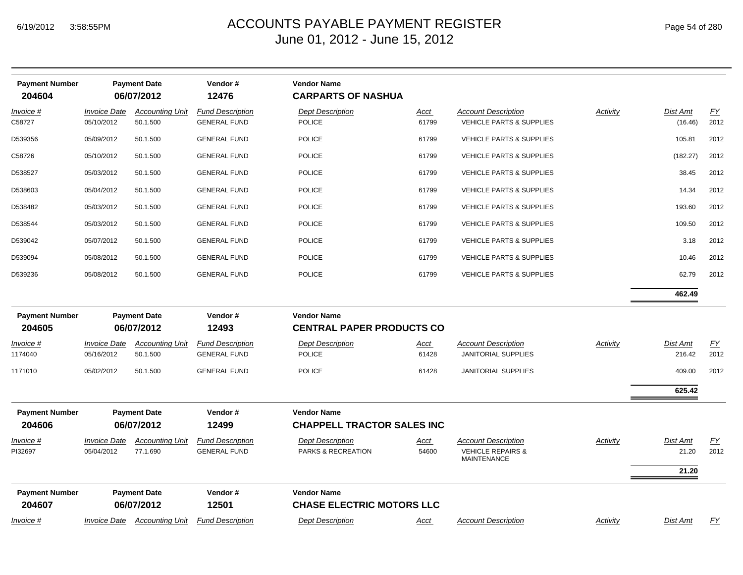| Page 54 of 280 |  |
|----------------|--|
|----------------|--|

| <b>Payment Number</b><br>204604 |                                                                                                                 | <b>Payment Date</b><br>06/07/2012  | Vendor#<br>12476                               | <b>Vendor Name</b><br><b>CARPARTS OF NASHUA</b>         |                      |                                                                                  |          |                           |                          |
|---------------------------------|-----------------------------------------------------------------------------------------------------------------|------------------------------------|------------------------------------------------|---------------------------------------------------------|----------------------|----------------------------------------------------------------------------------|----------|---------------------------|--------------------------|
| Invoice #<br>C58727             | <b>Invoice Date</b><br>05/10/2012                                                                               | <b>Accounting Unit</b><br>50.1.500 | <b>Fund Description</b><br><b>GENERAL FUND</b> | <b>Dept Description</b><br><b>POLICE</b>                | <u>Acct</u><br>61799 | <b>Account Description</b><br><b>VEHICLE PARTS &amp; SUPPLIES</b>                | Activity | Dist Amt<br>(16.46)       | EY<br>2012               |
| D539356                         | 05/09/2012                                                                                                      | 50.1.500                           | <b>GENERAL FUND</b>                            | <b>POLICE</b>                                           | 61799                | <b>VEHICLE PARTS &amp; SUPPLIES</b>                                              |          | 105.81                    | 2012                     |
| C58726                          | 05/10/2012                                                                                                      | 50.1.500                           | <b>GENERAL FUND</b>                            | <b>POLICE</b>                                           | 61799                | <b>VEHICLE PARTS &amp; SUPPLIES</b>                                              |          | (182.27)                  | 2012                     |
| D538527                         | 05/03/2012                                                                                                      | 50.1.500                           | <b>GENERAL FUND</b>                            | <b>POLICE</b>                                           | 61799                | <b>VEHICLE PARTS &amp; SUPPLIES</b>                                              |          | 38.45                     | 2012                     |
| D538603                         | 05/04/2012                                                                                                      | 50.1.500                           | <b>GENERAL FUND</b>                            | <b>POLICE</b>                                           | 61799                | <b>VEHICLE PARTS &amp; SUPPLIES</b>                                              |          | 14.34                     | 2012                     |
| D538482                         | 05/03/2012                                                                                                      | 50.1.500                           | <b>GENERAL FUND</b>                            | <b>POLICE</b>                                           | 61799                | <b>VEHICLE PARTS &amp; SUPPLIES</b>                                              |          | 193.60                    | 2012                     |
| D538544                         | 05/03/2012                                                                                                      | 50.1.500                           | <b>GENERAL FUND</b>                            | <b>POLICE</b>                                           | 61799                | <b>VEHICLE PARTS &amp; SUPPLIES</b>                                              |          | 109.50                    | 2012                     |
| D539042                         | 05/07/2012                                                                                                      | 50.1.500                           | <b>GENERAL FUND</b>                            | <b>POLICE</b>                                           | 61799                | <b>VEHICLE PARTS &amp; SUPPLIES</b>                                              |          | 3.18                      | 2012                     |
| D539094                         | 05/08/2012                                                                                                      | 50.1.500                           | <b>GENERAL FUND</b>                            | <b>POLICE</b>                                           | 61799                | <b>VEHICLE PARTS &amp; SUPPLIES</b>                                              |          | 10.46                     | 2012                     |
| D539236                         | 05/08/2012                                                                                                      | 50.1.500                           | <b>GENERAL FUND</b>                            | <b>POLICE</b>                                           | 61799                | <b>VEHICLE PARTS &amp; SUPPLIES</b>                                              |          | 62.79                     | 2012                     |
|                                 |                                                                                                                 |                                    |                                                |                                                         |                      |                                                                                  |          | 462.49                    |                          |
| <b>Payment Number</b><br>204605 | Vendor#<br><b>Vendor Name</b><br><b>Payment Date</b><br>06/07/2012<br>12493<br><b>CENTRAL PAPER PRODUCTS CO</b> |                                    |                                                |                                                         |                      |                                                                                  |          |                           |                          |
| Invoice #<br>1174040            | <b>Invoice Date</b><br>05/16/2012                                                                               | <b>Accounting Unit</b><br>50.1.500 | <b>Fund Description</b><br><b>GENERAL FUND</b> | <b>Dept Description</b><br><b>POLICE</b>                | <u>Acct</u><br>61428 | <b>Account Description</b><br><b>JANITORIAL SUPPLIES</b>                         | Activity | <b>Dist Amt</b><br>216.42 | $\underline{FY}$<br>2012 |
| 1171010                         | 05/02/2012                                                                                                      | 50.1.500                           | <b>GENERAL FUND</b>                            | <b>POLICE</b>                                           | 61428                | <b>JANITORIAL SUPPLIES</b>                                                       |          | 409.00                    | 2012                     |
|                                 |                                                                                                                 |                                    |                                                |                                                         |                      |                                                                                  |          | 625.42                    |                          |
| <b>Payment Number</b><br>204606 |                                                                                                                 | <b>Payment Date</b><br>06/07/2012  | Vendor#<br>12499                               | <b>Vendor Name</b><br><b>CHAPPELL TRACTOR SALES INC</b> |                      |                                                                                  |          |                           |                          |
| Invoice #<br>PI32697            | <b>Invoice Date</b><br>05/04/2012                                                                               | <b>Accounting Unit</b><br>77.1.690 | <b>Fund Description</b><br><b>GENERAL FUND</b> | <b>Dept Description</b><br>PARKS & RECREATION           | Acct<br>54600        | <b>Account Description</b><br><b>VEHICLE REPAIRS &amp;</b><br><b>MAINTENANCE</b> | Activity | Dist Amt<br>21.20         | EY<br>2012               |
|                                 |                                                                                                                 |                                    |                                                |                                                         |                      |                                                                                  |          | 21.20                     |                          |
| <b>Payment Number</b><br>204607 |                                                                                                                 | <b>Payment Date</b><br>06/07/2012  | Vendor#<br>12501                               | <b>Vendor Name</b><br><b>CHASE ELECTRIC MOTORS LLC</b>  |                      |                                                                                  |          |                           |                          |
| Invoice #                       |                                                                                                                 | Invoice Date Accounting Unit       | <b>Fund Description</b>                        | <b>Dept Description</b>                                 | Acct                 | <b>Account Description</b>                                                       | Activity | Dist Amt                  | EY                       |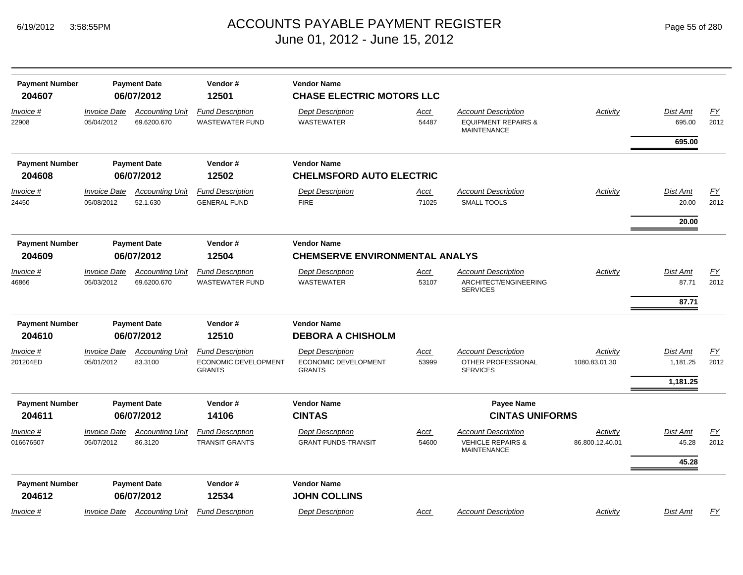| <b>Payment Number</b><br>204607 |                            | <b>Payment Date</b><br>06/07/2012     | Vendor#<br>12501                                  | <b>Vendor Name</b><br><b>CHASE ELECTRIC MOTORS LLC</b> |                      |                                                                                    |                 |                    |            |
|---------------------------------|----------------------------|---------------------------------------|---------------------------------------------------|--------------------------------------------------------|----------------------|------------------------------------------------------------------------------------|-----------------|--------------------|------------|
| <u>Invoice #</u><br>22908       | Invoice Date<br>05/04/2012 | <b>Accounting Unit</b><br>69.6200.670 | <b>Fund Description</b><br><b>WASTEWATER FUND</b> | <b>Dept Description</b><br><b>WASTEWATER</b>           | <u>Acct</u><br>54487 | <b>Account Description</b><br><b>EQUIPMENT REPAIRS &amp;</b><br><b>MAINTENANCE</b> | <b>Activity</b> | Dist Amt<br>695.00 | EY<br>2012 |
|                                 |                            |                                       |                                                   |                                                        |                      |                                                                                    |                 | 695.00             |            |
| <b>Payment Number</b>           |                            | <b>Payment Date</b>                   | Vendor#                                           | <b>Vendor Name</b>                                     |                      |                                                                                    |                 |                    |            |
| 204608                          |                            | 06/07/2012                            | 12502                                             | <b>CHELMSFORD AUTO ELECTRIC</b>                        |                      |                                                                                    |                 |                    |            |
| Invoice #                       | <b>Invoice Date</b>        | <b>Accounting Unit</b>                | <b>Fund Description</b>                           | <b>Dept Description</b>                                | Acct                 | <b>Account Description</b>                                                         | Activity        | Dist Amt           | EY         |
| 24450                           | 05/08/2012                 | 52.1.630                              | <b>GENERAL FUND</b>                               | <b>FIRE</b>                                            | 71025                | <b>SMALL TOOLS</b>                                                                 |                 | 20.00              | 2012       |
|                                 |                            |                                       |                                                   |                                                        |                      |                                                                                    |                 | 20.00              |            |
| <b>Payment Number</b>           |                            | <b>Payment Date</b>                   | Vendor#                                           | <b>Vendor Name</b>                                     |                      |                                                                                    |                 |                    |            |
| 204609                          |                            | 06/07/2012                            | 12504                                             | <b>CHEMSERVE ENVIRONMENTAL ANALYS</b>                  |                      |                                                                                    |                 |                    |            |
| <u>Invoice #</u>                | <b>Invoice Date</b>        | <b>Accounting Unit</b>                | <b>Fund Description</b>                           | <b>Dept Description</b>                                | <u>Acct</u>          | <b>Account Description</b>                                                         | Activity        | Dist Amt           | EY         |
| 46866                           | 05/03/2012                 | 69.6200.670                           | <b>WASTEWATER FUND</b>                            | <b>WASTEWATER</b>                                      | 53107                | ARCHITECT/ENGINEERING<br><b>SERVICES</b>                                           |                 | 87.71              | 2012       |
|                                 |                            |                                       |                                                   |                                                        |                      |                                                                                    |                 | 87.71              |            |
| <b>Payment Number</b>           |                            | <b>Payment Date</b>                   | Vendor#                                           | <b>Vendor Name</b>                                     |                      |                                                                                    |                 |                    |            |
| 204610                          |                            | 06/07/2012                            | 12510                                             | <b>DEBORA A CHISHOLM</b>                               |                      |                                                                                    |                 |                    |            |
| Invoice #                       | <b>Invoice Date</b>        | <b>Accounting Unit</b>                | <b>Fund Description</b>                           | <b>Dept Description</b>                                | <u>Acct</u>          | <b>Account Description</b>                                                         | Activity        | Dist Amt           | EY         |
| 201204ED                        | 05/01/2012                 | 83.3100                               | ECONOMIC DEVELOPMENT<br><b>GRANTS</b>             | ECONOMIC DEVELOPMENT<br><b>GRANTS</b>                  | 53999                | OTHER PROFESSIONAL<br><b>SERVICES</b>                                              | 1080.83.01.30   | 1,181.25           | 2012       |
|                                 |                            |                                       |                                                   |                                                        |                      |                                                                                    |                 | 1,181.25           |            |
| <b>Payment Number</b>           |                            | <b>Payment Date</b>                   | Vendor#                                           | <b>Vendor Name</b>                                     |                      | <b>Payee Name</b>                                                                  |                 |                    |            |
| 204611                          |                            | 06/07/2012                            | 14106                                             | <b>CINTAS</b>                                          |                      | <b>CINTAS UNIFORMS</b>                                                             |                 |                    |            |
| <u>Invoice #</u>                | <b>Invoice Date</b>        | <b>Accounting Unit</b>                | <b>Fund Description</b>                           | <b>Dept Description</b>                                | <u>Acct</u>          | <b>Account Description</b>                                                         | Activity        | Dist Amt           | EY         |
| 016676507                       | 05/07/2012                 | 86.3120                               | <b>TRANSIT GRANTS</b>                             | <b>GRANT FUNDS-TRANSIT</b>                             | 54600                | <b>VEHICLE REPAIRS &amp;</b><br><b>MAINTENANCE</b>                                 | 86.800.12.40.01 | 45.28              | 2012       |
|                                 |                            |                                       |                                                   |                                                        |                      |                                                                                    |                 | 45.28              |            |
| <b>Payment Number</b>           |                            | <b>Payment Date</b>                   | Vendor#                                           | <b>Vendor Name</b>                                     |                      |                                                                                    |                 |                    |            |
| 204612                          |                            | 06/07/2012                            | 12534                                             | <b>JOHN COLLINS</b>                                    |                      |                                                                                    |                 |                    |            |
| <u>Invoice</u> #                | Invoice Date               | <b>Accounting Unit</b>                | <b>Fund Description</b>                           | <b>Dept Description</b>                                | Acct                 | <b>Account Description</b>                                                         | Activity        | Dist Amt           | FY         |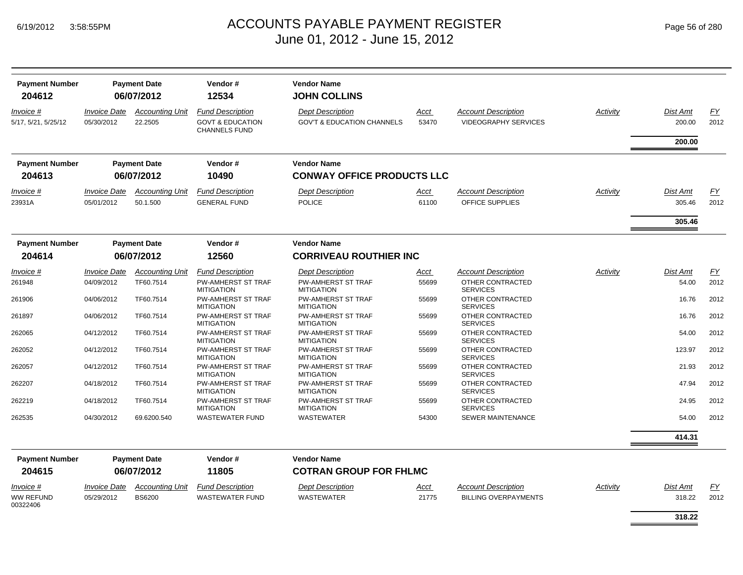| <b>Payment Number</b><br>204612  |                                          | <b>Payment Date</b><br>06/07/2012  | Vendor#<br>12534                                                               | <b>Vendor Name</b><br><b>JOHN COLLINS</b>                        |               |                                                           |          |                    |            |
|----------------------------------|------------------------------------------|------------------------------------|--------------------------------------------------------------------------------|------------------------------------------------------------------|---------------|-----------------------------------------------------------|----------|--------------------|------------|
| Invoice #<br>5/17, 5/21, 5/25/12 | <i><b>Invoice Date</b></i><br>05/30/2012 | <b>Accounting Unit</b><br>22.2505  | <b>Fund Description</b><br><b>GOVT &amp; EDUCATION</b><br><b>CHANNELS FUND</b> | <b>Dept Description</b><br><b>GOV'T &amp; EDUCATION CHANNELS</b> | Acct<br>53470 | <b>Account Description</b><br><b>VIDEOGRAPHY SERVICES</b> | Activity | Dist Amt<br>200.00 | FY<br>2012 |
|                                  |                                          |                                    |                                                                                |                                                                  |               |                                                           |          | 200.00             |            |
| <b>Payment Number</b>            |                                          | <b>Payment Date</b>                | Vendor#                                                                        | <b>Vendor Name</b>                                               |               |                                                           |          |                    |            |
| 204613                           |                                          | 06/07/2012                         | 10490                                                                          | <b>CONWAY OFFICE PRODUCTS LLC</b>                                |               |                                                           |          |                    |            |
| <i>Invoice</i> #<br>23931A       | <i><b>Invoice Date</b></i><br>05/01/2012 | <b>Accounting Unit</b><br>50.1.500 | <b>Fund Description</b><br><b>GENERAL FUND</b>                                 | <b>Dept Description</b><br><b>POLICE</b>                         | Acct<br>61100 | <b>Account Description</b><br>OFFICE SUPPLIES             | Activity | Dist Amt<br>305.46 | FY<br>2012 |
|                                  |                                          |                                    |                                                                                |                                                                  |               |                                                           |          | 305.46             |            |
| <b>Payment Number</b>            |                                          | <b>Payment Date</b>                | Vendor#                                                                        | <b>Vendor Name</b>                                               |               |                                                           |          |                    |            |
| 204614                           |                                          | 06/07/2012                         | 12560                                                                          | <b>CORRIVEAU ROUTHIER INC</b>                                    |               |                                                           |          |                    |            |
| Invoice #                        | <b>Invoice Date</b>                      | <b>Accounting Unit</b>             | <b>Fund Description</b>                                                        | <b>Dept Description</b>                                          | <u>Acct</u>   | <b>Account Description</b>                                | Activity | Dist Amt           | EY         |
| 261948                           | 04/09/2012                               | TF60.7514                          | <b>PW-AMHERST ST TRAF</b><br><b>MITIGATION</b>                                 | <b>PW-AMHERST ST TRAF</b><br><b>MITIGATION</b>                   | 55699         | OTHER CONTRACTED<br><b>SERVICES</b>                       |          | 54.00              | 2012       |
| 261906                           | 04/06/2012                               | TF60.7514                          | PW-AMHERST ST TRAF<br><b>MITIGATION</b>                                        | <b>PW-AMHERST ST TRAF</b><br><b>MITIGATION</b>                   | 55699         | OTHER CONTRACTED<br><b>SERVICES</b>                       |          | 16.76              | 2012       |
| 261897                           | 04/06/2012                               | TF60.7514                          | <b>PW-AMHERST ST TRAF</b><br><b>MITIGATION</b>                                 | <b>PW-AMHERST ST TRAF</b><br><b>MITIGATION</b>                   | 55699         | OTHER CONTRACTED<br><b>SERVICES</b>                       |          | 16.76              | 2012       |
| 262065                           | 04/12/2012                               | TF60.7514                          | <b>PW-AMHERST ST TRAF</b><br><b>MITIGATION</b>                                 | <b>PW-AMHERST ST TRAF</b><br><b>MITIGATION</b>                   | 55699         | OTHER CONTRACTED<br><b>SERVICES</b>                       |          | 54.00              | 2012       |
| 262052                           | 04/12/2012                               | TF60.7514                          | <b>PW-AMHERST ST TRAF</b><br><b>MITIGATION</b>                                 | PW-AMHERST ST TRAF<br><b>MITIGATION</b>                          | 55699         | OTHER CONTRACTED<br><b>SERVICES</b>                       |          | 123.97             | 2012       |
| 262057                           | 04/12/2012                               | TF60.7514                          | <b>PW-AMHERST ST TRAF</b><br><b>MITIGATION</b>                                 | <b>PW-AMHERST ST TRAF</b><br><b>MITIGATION</b>                   | 55699         | OTHER CONTRACTED<br><b>SERVICES</b>                       |          | 21.93              | 2012       |
| 262207                           | 04/18/2012                               | TF60.7514                          | PW-AMHERST ST TRAF<br><b>MITIGATION</b>                                        | PW-AMHERST ST TRAF<br><b>MITIGATION</b>                          | 55699         | OTHER CONTRACTED<br><b>SERVICES</b>                       |          | 47.94              | 2012       |
| 262219                           | 04/18/2012                               | TF60.7514                          | PW-AMHERST ST TRAF<br><b>MITIGATION</b>                                        | PW-AMHERST ST TRAF<br><b>MITIGATION</b>                          | 55699         | OTHER CONTRACTED<br><b>SERVICES</b>                       |          | 24.95              | 2012       |
| 262535                           | 04/30/2012                               | 69.6200.540                        | <b>WASTEWATER FUND</b>                                                         | <b>WASTEWATER</b>                                                | 54300         | SEWER MAINTENANCE                                         |          | 54.00              | 2012       |
|                                  |                                          |                                    |                                                                                |                                                                  |               |                                                           |          | 414.31             |            |
| <b>Payment Number</b>            |                                          | <b>Payment Date</b>                | Vendor#                                                                        | <b>Vendor Name</b>                                               |               |                                                           |          |                    |            |
| 204615                           |                                          | 06/07/2012                         | 11805                                                                          | <b>COTRAN GROUP FOR FHLMC</b>                                    |               |                                                           |          |                    |            |
| <i>Invoice</i> #                 | <i><b>Invoice Date</b></i>               | <b>Accounting Unit</b>             | <b>Fund Description</b>                                                        | <b>Dept Description</b>                                          | Acct          | <b>Account Description</b>                                | Activity | Dist Amt           | EY         |
| <b>WW REFUND</b><br>00322406     | 05/29/2012                               | <b>BS6200</b>                      | <b>WASTEWATER FUND</b>                                                         | <b>WASTEWATER</b>                                                | 21775         | <b>BILLING OVERPAYMENTS</b>                               |          | 318.22             | 2012       |
|                                  |                                          |                                    |                                                                                |                                                                  |               |                                                           |          | 318.22             |            |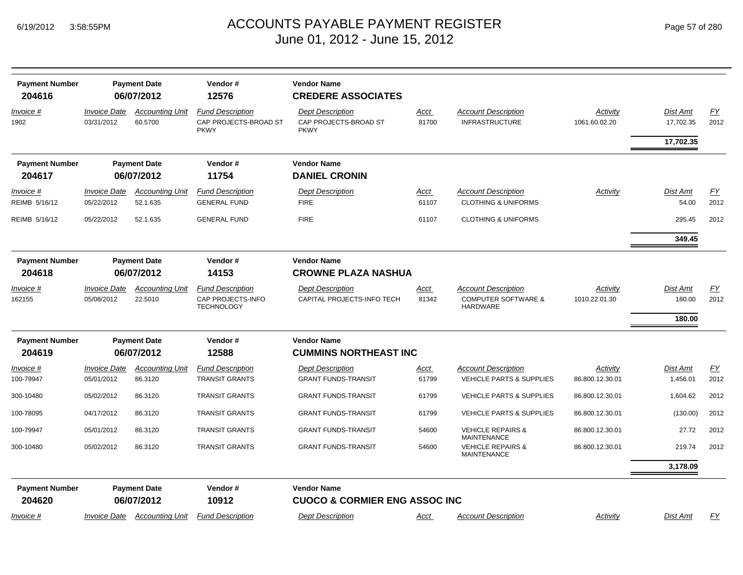| <b>Payment Number</b><br>204616 |                                                       | <b>Payment Date</b><br>06/07/2012 | Vendor#<br>12576                                                  | <b>Vendor Name</b><br><b>CREDERE ASSOCIATES</b>                 |                      |                                                                                 |                           |                           |                   |
|---------------------------------|-------------------------------------------------------|-----------------------------------|-------------------------------------------------------------------|-----------------------------------------------------------------|----------------------|---------------------------------------------------------------------------------|---------------------------|---------------------------|-------------------|
| Invoice #<br>1902               | <b>Invoice Date</b><br>03/31/2012                     | <b>Accounting Unit</b><br>60.5700 | <b>Fund Description</b><br>CAP PROJECTS-BROAD ST<br><b>PKWY</b>   | <b>Dept Description</b><br>CAP PROJECTS-BROAD ST<br><b>PKWY</b> | <u>Acct</u><br>81700 | <b>Account Description</b><br><b>INFRASTRUCTURE</b>                             | Activity<br>1061.60.02.20 | Dist Amt<br>17,702.35     | EY<br>2012        |
|                                 |                                                       |                                   |                                                                   |                                                                 |                      |                                                                                 |                           | 17,702.35                 |                   |
| <b>Payment Number</b>           |                                                       | <b>Payment Date</b>               | Vendor#                                                           | <b>Vendor Name</b>                                              |                      |                                                                                 |                           |                           |                   |
| 204617                          |                                                       | 06/07/2012                        | 11754                                                             | <b>DANIEL CRONIN</b>                                            |                      |                                                                                 |                           |                           |                   |
| Invoice #<br>REIMB 5/16/12      | <b>Invoice Date</b><br>05/22/2012                     | Accountina Unit<br>52.1.635       | <b>Fund Description</b><br><b>GENERAL FUND</b>                    | <b>Dept Description</b><br><b>FIRE</b>                          | Acct<br>61107        | <b>Account Description</b><br><b>CLOTHING &amp; UNIFORMS</b>                    | Activity                  | Dist Amt<br>54.00         | <u>FY</u><br>2012 |
| REIMB 5/16/12                   | 05/22/2012                                            | 52.1.635                          | <b>GENERAL FUND</b>                                               | <b>FIRE</b>                                                     | 61107                | <b>CLOTHING &amp; UNIFORMS</b>                                                  |                           | 295.45                    | 2012              |
|                                 |                                                       |                                   |                                                                   |                                                                 |                      |                                                                                 |                           | 349.45                    |                   |
| <b>Payment Number</b>           |                                                       | <b>Payment Date</b>               | Vendor#                                                           | <b>Vendor Name</b>                                              |                      |                                                                                 |                           |                           |                   |
| 204618                          |                                                       | 06/07/2012                        | 14153                                                             | <b>CROWNE PLAZA NASHUA</b>                                      |                      |                                                                                 |                           |                           |                   |
| Invoice #<br>162155             | <b>Invoice Date</b><br>05/08/2012                     | <b>Accounting Unit</b><br>22.5010 | <b>Fund Description</b><br>CAP PROJECTS-INFO<br><b>TECHNOLOGY</b> | <b>Dept Description</b><br>CAPITAL PROJECTS-INFO TECH           | <u>Acct</u><br>81342 | <b>Account Description</b><br><b>COMPUTER SOFTWARE &amp;</b><br><b>HARDWARE</b> | Activity<br>1010.22.01.30 | <b>Dist Amt</b><br>180.00 | EY<br>2012        |
|                                 |                                                       |                                   |                                                                   |                                                                 |                      |                                                                                 |                           | 180.00                    |                   |
| <b>Payment Number</b>           |                                                       | <b>Payment Date</b>               | Vendor#                                                           | <b>Vendor Name</b>                                              |                      |                                                                                 |                           |                           |                   |
| 204619                          |                                                       | 06/07/2012                        | 12588                                                             | <b>CUMMINS NORTHEAST INC</b>                                    |                      |                                                                                 |                           |                           |                   |
| Invoice #                       | <b>Invoice Date</b>                                   | <b>Accounting Unit</b>            | <b>Fund Description</b>                                           | <b>Dept Description</b>                                         | Acct                 | <b>Account Description</b>                                                      | Activity                  | Dist Amt                  | EY                |
| 100-79947                       | 05/01/2012                                            | 86.3120                           | <b>TRANSIT GRANTS</b>                                             | <b>GRANT FUNDS-TRANSIT</b>                                      | 61799                | <b>VEHICLE PARTS &amp; SUPPLIES</b>                                             | 86.800.12.30.01           | 1,456.01                  | 2012              |
| 300-10480                       | 05/02/2012                                            | 86.3120                           | <b>TRANSIT GRANTS</b>                                             | <b>GRANT FUNDS-TRANSIT</b>                                      | 61799                | <b>VEHICLE PARTS &amp; SUPPLIES</b>                                             | 86.800.12.30.01           | 1,604.62                  | 2012              |
| 100-78095                       | 04/17/2012                                            | 86.3120                           | <b>TRANSIT GRANTS</b>                                             | <b>GRANT FUNDS-TRANSIT</b>                                      | 61799                | <b>VEHICLE PARTS &amp; SUPPLIES</b>                                             | 86.800.12.30.01           | (130.00)                  | 2012              |
| 100-79947                       | 05/01/2012                                            | 86.3120                           | <b>TRANSIT GRANTS</b>                                             | <b>GRANT FUNDS-TRANSIT</b>                                      | 54600                | <b>VEHICLE REPAIRS &amp;</b><br><b>MAINTENANCE</b>                              | 86.800.12.30.01           | 27.72                     | 2012              |
| 300-10480                       | 05/02/2012                                            | 86.3120                           | <b>TRANSIT GRANTS</b>                                             | <b>GRANT FUNDS-TRANSIT</b>                                      | 54600                | <b>VEHICLE REPAIRS &amp;</b><br><b>MAINTENANCE</b>                              | 86.800.12.30.01           | 219.74                    | 2012              |
|                                 |                                                       |                                   |                                                                   |                                                                 |                      |                                                                                 |                           | 3,178.09                  |                   |
| <b>Payment Number</b><br>204620 | <b>Payment Date</b><br>Vendor#<br>06/07/2012<br>10912 |                                   | <b>Vendor Name</b><br><b>CUOCO &amp; CORMIER ENG ASSOC INC</b>    |                                                                 |                      |                                                                                 |                           |                           |                   |
| <i>Invoice</i> #                | <i><b>Invoice Date</b></i>                            | <b>Accounting Unit</b>            | <b>Fund Description</b>                                           | <b>Dept Description</b>                                         | Acct                 | <b>Account Description</b>                                                      | Activity                  | <b>Dist Amt</b>           | EY                |
|                                 |                                                       |                                   |                                                                   |                                                                 |                      |                                                                                 |                           |                           |                   |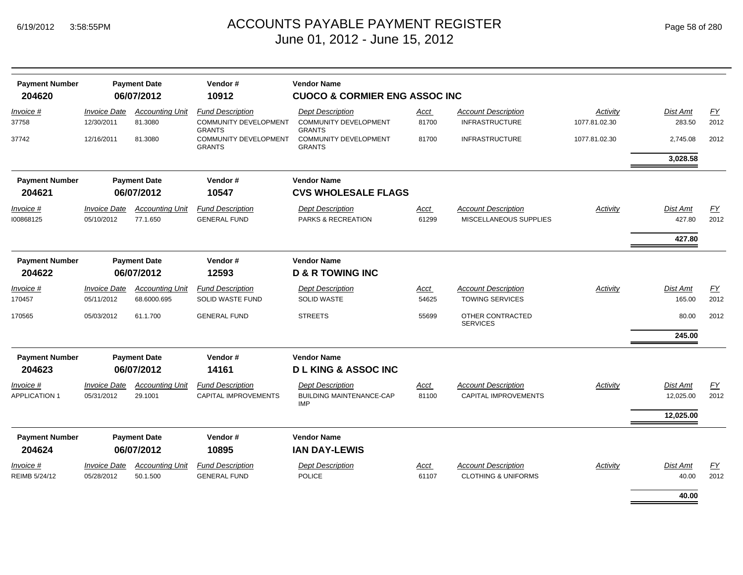| <b>Payment Number</b><br><b>Payment Date</b> |                                   |                                    | Vendor#                                                                  | <b>Vendor Name</b>                                                       |               |                                                              |                           |                    |            |
|----------------------------------------------|-----------------------------------|------------------------------------|--------------------------------------------------------------------------|--------------------------------------------------------------------------|---------------|--------------------------------------------------------------|---------------------------|--------------------|------------|
| 204620                                       |                                   | 06/07/2012                         | 10912                                                                    | <b>CUOCO &amp; CORMIER ENG ASSOC INC</b>                                 |               |                                                              |                           |                    |            |
| Invoice #<br>37758                           | <b>Invoice Date</b><br>12/30/2011 | <b>Accounting Unit</b><br>81.3080  | <b>Fund Description</b><br><b>COMMUNITY DEVELOPMENT</b><br><b>GRANTS</b> | <b>Dept Description</b><br><b>COMMUNITY DEVELOPMENT</b><br><b>GRANTS</b> | Acct<br>81700 | <b>Account Description</b><br><b>INFRASTRUCTURE</b>          | Activity<br>1077.81.02.30 | Dist Amt<br>283.50 | EY<br>2012 |
| 37742                                        | 12/16/2011                        | 81.3080                            | <b>COMMUNITY DEVELOPMENT</b><br><b>GRANTS</b>                            | <b>COMMUNITY DEVELOPMENT</b><br><b>GRANTS</b>                            | 81700         | <b>INFRASTRUCTURE</b>                                        | 1077.81.02.30             | 2,745.08           | 2012       |
|                                              |                                   |                                    |                                                                          |                                                                          |               |                                                              |                           | 3,028.58           |            |
| <b>Payment Number</b>                        |                                   | <b>Payment Date</b>                | Vendor#                                                                  | <b>Vendor Name</b>                                                       |               |                                                              |                           |                    |            |
| 204621                                       |                                   | 06/07/2012                         | 10547                                                                    | <b>CVS WHOLESALE FLAGS</b>                                               |               |                                                              |                           |                    |            |
| Invoice #                                    | <b>Invoice Date</b>               | <b>Accounting Unit</b>             | <b>Fund Description</b>                                                  | <b>Dept Description</b>                                                  | Acct          | <b>Account Description</b>                                   | Activity                  | Dist Amt           | EY         |
| 100868125                                    | 05/10/2012                        | 77.1.650                           | <b>GENERAL FUND</b>                                                      | PARKS & RECREATION                                                       | 61299         | MISCELLANEOUS SUPPLIES                                       |                           | 427.80             | 2012       |
|                                              |                                   |                                    |                                                                          |                                                                          |               |                                                              |                           | 427.80             |            |
| <b>Payment Number</b>                        |                                   | <b>Payment Date</b>                | Vendor#                                                                  | <b>Vendor Name</b>                                                       |               |                                                              |                           |                    |            |
| 204622                                       |                                   | 06/07/2012                         | 12593                                                                    | <b>D &amp; R TOWING INC</b>                                              |               |                                                              |                           |                    |            |
| Invoice #                                    | <b>Invoice Date</b>               | <b>Accounting Unit</b>             | <b>Fund Description</b>                                                  | <b>Dept Description</b>                                                  | Acct          | <b>Account Description</b>                                   | Activity                  | <b>Dist Amt</b>    | EY         |
| 170457                                       | 05/11/2012                        | 68.6000.695                        | SOLID WASTE FUND                                                         | SOLID WASTE                                                              | 54625         | <b>TOWING SERVICES</b>                                       |                           | 165.00             | 2012       |
| 170565                                       | 05/03/2012                        | 61.1.700                           | <b>GENERAL FUND</b>                                                      | <b>STREETS</b>                                                           | 55699         | OTHER CONTRACTED<br><b>SERVICES</b>                          |                           | 80.00              | 2012       |
|                                              |                                   |                                    |                                                                          |                                                                          |               |                                                              |                           | 245.00             |            |
| <b>Payment Number</b>                        |                                   | <b>Payment Date</b>                | Vendor#                                                                  | <b>Vendor Name</b>                                                       |               |                                                              |                           |                    |            |
| 204623                                       |                                   | 06/07/2012                         | 14161                                                                    | <b>DLKING &amp; ASSOCINC</b>                                             |               |                                                              |                           |                    |            |
| <i>Invoice</i> #                             | <b>Invoice Date</b>               | <b>Accounting Unit</b>             | <b>Fund Description</b>                                                  | <b>Dept Description</b>                                                  | Acct          | <b>Account Description</b><br><b>CAPITAL IMPROVEMENTS</b>    | Activity                  | Dist Amt           | EY<br>2012 |
| <b>APPLICATION 1</b>                         | 05/31/2012                        | 29.1001                            | CAPITAL IMPROVEMENTS                                                     | <b>BUILDING MAINTENANCE-CAP</b><br><b>IMP</b>                            | 81100         |                                                              |                           | 12,025.00          |            |
|                                              |                                   |                                    |                                                                          |                                                                          |               |                                                              |                           | 12,025.00          |            |
| <b>Payment Number</b>                        |                                   | <b>Payment Date</b>                | Vendor#                                                                  | <b>Vendor Name</b>                                                       |               |                                                              |                           |                    |            |
| 204624                                       |                                   | 06/07/2012                         | 10895                                                                    | <b>IAN DAY-LEWIS</b>                                                     |               |                                                              |                           |                    |            |
| Invoice #<br>REIMB 5/24/12                   | <b>Invoice Date</b><br>05/28/2012 | <b>Accounting Unit</b><br>50.1.500 | <b>Fund Description</b><br><b>GENERAL FUND</b>                           | <b>Dept Description</b><br>POLICE                                        | Acct<br>61107 | <b>Account Description</b><br><b>CLOTHING &amp; UNIFORMS</b> | Activity                  | Dist Amt<br>40.00  | EY<br>2012 |
|                                              |                                   |                                    |                                                                          |                                                                          |               |                                                              |                           |                    |            |
|                                              |                                   |                                    |                                                                          |                                                                          |               |                                                              |                           | 40.00              |            |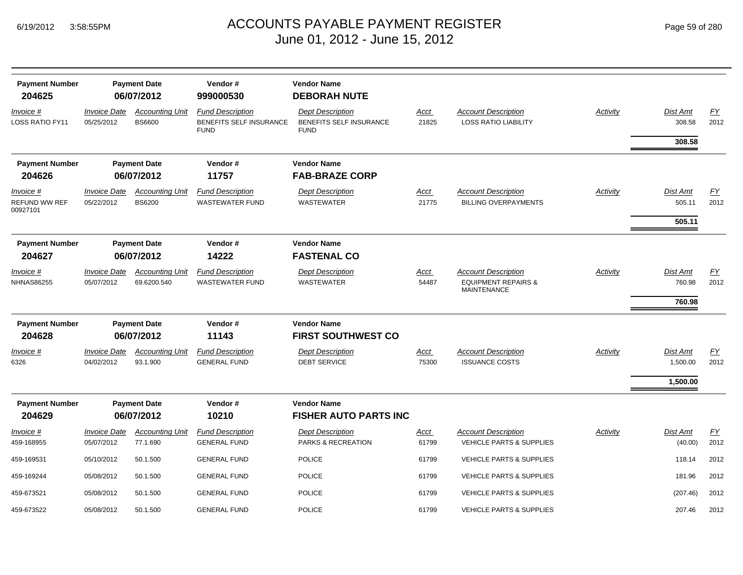|  | Page 59 of 280 |  |  |  |
|--|----------------|--|--|--|
|--|----------------|--|--|--|

| <b>Payment Number</b>                         | <b>Payment Date</b>               |                                         | Vendor#                                                           | <b>Vendor Name</b>                                                |                      |                                                                                    |          |                              |            |
|-----------------------------------------------|-----------------------------------|-----------------------------------------|-------------------------------------------------------------------|-------------------------------------------------------------------|----------------------|------------------------------------------------------------------------------------|----------|------------------------------|------------|
| 204625                                        |                                   | 06/07/2012                              | 999000530                                                         | <b>DEBORAH NUTE</b>                                               |                      |                                                                                    |          |                              |            |
| Invoice #<br><b>LOSS RATIO FY11</b>           | <b>Invoice Date</b><br>05/25/2012 | <b>Accounting Unit</b><br><b>BS6600</b> | <b>Fund Description</b><br>BENEFITS SELF INSURANCE<br><b>FUND</b> | <b>Dept Description</b><br>BENEFITS SELF INSURANCE<br><b>FUND</b> | <u>Acct</u><br>21825 | <b>Account Description</b><br><b>LOSS RATIO LIABILITY</b>                          | Activity | Dist Amt<br>308.58<br>308.58 | EY<br>2012 |
| <b>Payment Number</b>                         |                                   | <b>Payment Date</b>                     | Vendor#                                                           | <b>Vendor Name</b>                                                |                      |                                                                                    |          |                              |            |
| 204626                                        |                                   | 06/07/2012                              | 11757                                                             | <b>FAB-BRAZE CORP</b>                                             |                      |                                                                                    |          |                              |            |
| Invoice #<br><b>REFUND WW REF</b><br>00927101 | <b>Invoice Date</b><br>05/22/2012 | <b>Accounting Unit</b><br><b>BS6200</b> | <b>Fund Description</b><br><b>WASTEWATER FUND</b>                 | <b>Dept Description</b><br><b>WASTEWATER</b>                      | <u>Acct</u><br>21775 | <b>Account Description</b><br><b>BILLING OVERPAYMENTS</b>                          | Activity | <b>Dist Amt</b><br>505.11    | EY<br>2012 |
|                                               |                                   |                                         |                                                                   |                                                                   |                      |                                                                                    |          | 505.11                       |            |
| <b>Payment Number</b><br>204627               |                                   | <b>Payment Date</b><br>06/07/2012       | Vendor#<br>14222                                                  | <b>Vendor Name</b><br><b>FASTENAL CO</b>                          |                      |                                                                                    |          |                              |            |
| $Invoice$ #<br><b>NHNAS86255</b>              | <b>Invoice Date</b><br>05/07/2012 | <b>Accounting Unit</b><br>69.6200.540   | <b>Fund Description</b><br><b>WASTEWATER FUND</b>                 | <b>Dept Description</b><br><b>WASTEWATER</b>                      | <u>Acct</u><br>54487 | <b>Account Description</b><br><b>EQUIPMENT REPAIRS &amp;</b><br><b>MAINTENANCE</b> | Activity | Dist Amt<br>760.98<br>760.98 | EY<br>2012 |
|                                               |                                   |                                         |                                                                   |                                                                   |                      |                                                                                    |          |                              |            |
| <b>Payment Number</b>                         |                                   | <b>Payment Date</b>                     | Vendor#                                                           | <b>Vendor Name</b>                                                |                      |                                                                                    |          |                              |            |
| 204628                                        |                                   | 06/07/2012                              | 11143                                                             | <b>FIRST SOUTHWEST CO</b>                                         |                      |                                                                                    |          |                              |            |
| Invoice #<br>6326                             | <b>Invoice Date</b><br>04/02/2012 | <b>Accounting Unit</b><br>93.1.900      | <b>Fund Description</b><br><b>GENERAL FUND</b>                    | <b>Dept Description</b><br><b>DEBT SERVICE</b>                    | Acct<br>75300        | <b>Account Description</b><br><b>ISSUANCE COSTS</b>                                | Activity | <b>Dist Amt</b><br>1,500.00  | EY<br>2012 |
|                                               |                                   |                                         |                                                                   |                                                                   |                      |                                                                                    |          | 1,500.00                     |            |
| <b>Payment Number</b><br>204629               |                                   | <b>Payment Date</b><br>06/07/2012       | Vendor#<br>10210                                                  | <b>Vendor Name</b><br><b>FISHER AUTO PARTS INC</b>                |                      |                                                                                    |          |                              |            |
| Invoice #                                     | <b>Invoice Date</b>               | <b>Accounting Unit</b>                  | <b>Fund Description</b>                                           | <b>Dept Description</b>                                           | Acct                 | <b>Account Description</b>                                                         | Activity | <b>Dist Amt</b>              | EY         |
| 459-168955                                    | 05/07/2012                        | 77.1.690                                | <b>GENERAL FUND</b>                                               | <b>PARKS &amp; RECREATION</b>                                     | 61799                | <b>VEHICLE PARTS &amp; SUPPLIES</b>                                                |          | (40.00)                      | 2012       |
| 459-169531                                    | 05/10/2012                        | 50.1.500                                | <b>GENERAL FUND</b>                                               | <b>POLICE</b>                                                     | 61799                | <b>VEHICLE PARTS &amp; SUPPLIES</b>                                                |          | 118.14                       | 2012       |
| 459-169244                                    | 05/08/2012                        | 50.1.500                                | <b>GENERAL FUND</b>                                               | <b>POLICE</b>                                                     | 61799                | VEHICLE PARTS & SUPPLIES                                                           |          | 181.96                       | 2012       |
| 459-673521                                    | 05/08/2012                        | 50.1.500                                | <b>GENERAL FUND</b>                                               | <b>POLICE</b>                                                     | 61799                | <b>VEHICLE PARTS &amp; SUPPLIES</b>                                                |          | (207.46)                     | 2012       |
| 459-673522                                    | 05/08/2012                        | 50.1.500                                | <b>GENERAL FUND</b>                                               | <b>POLICE</b>                                                     | 61799                | <b>VEHICLE PARTS &amp; SUPPLIES</b>                                                |          | 207.46                       | 2012       |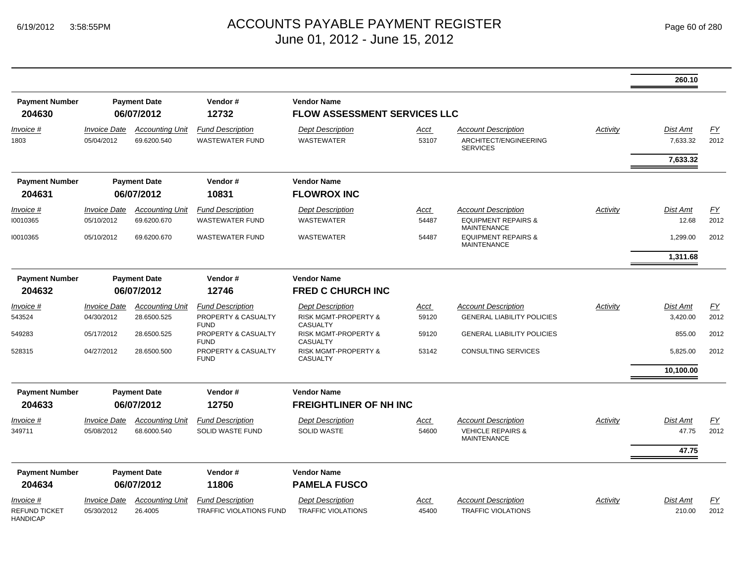|                                         |                                   |                                       |                                                    |                                                    |                      |                                                                                    |                 | 260.10                      |                          |
|-----------------------------------------|-----------------------------------|---------------------------------------|----------------------------------------------------|----------------------------------------------------|----------------------|------------------------------------------------------------------------------------|-----------------|-----------------------------|--------------------------|
| <b>Payment Number</b><br>204630         |                                   | <b>Payment Date</b><br>06/07/2012     | Vendor#<br>12732                                   | <b>Vendor Name</b><br>FLOW ASSESSMENT SERVICES LLC |                      |                                                                                    |                 |                             |                          |
| Invoice #<br>1803                       | <b>Invoice Date</b><br>05/04/2012 | <b>Accounting Unit</b><br>69.6200.540 | <b>Fund Description</b><br><b>WASTEWATER FUND</b>  | <b>Dept Description</b><br><b>WASTEWATER</b>       | Acct<br>53107        | <b>Account Description</b><br>ARCHITECT/ENGINEERING<br><b>SERVICES</b>             | Activity        | <b>Dist Amt</b><br>7,633.32 | $\underline{FY}$<br>2012 |
|                                         |                                   |                                       |                                                    |                                                    |                      |                                                                                    |                 | 7,633.32                    |                          |
| <b>Payment Number</b><br>204631         |                                   | <b>Payment Date</b><br>06/07/2012     | Vendor#<br>10831                                   | <b>Vendor Name</b><br><b>FLOWROX INC</b>           |                      |                                                                                    |                 |                             |                          |
| Invoice #<br>10010365                   | <b>Invoice Date</b><br>05/10/2012 | <b>Accounting Unit</b><br>69.6200.670 | <b>Fund Description</b><br><b>WASTEWATER FUND</b>  | <b>Dept Description</b><br><b>WASTEWATER</b>       | <b>Acct</b><br>54487 | <b>Account Description</b><br><b>EQUIPMENT REPAIRS &amp;</b><br><b>MAINTENANCE</b> | Activity        | Dist Amt<br>12.68           | EY<br>2012               |
| 10010365                                | 05/10/2012                        | 69.6200.670                           | <b>WASTEWATER FUND</b>                             | <b>WASTEWATER</b>                                  | 54487                | <b>EQUIPMENT REPAIRS &amp;</b><br><b>MAINTENANCE</b>                               |                 | 1,299.00                    | 2012                     |
|                                         |                                   |                                       |                                                    |                                                    |                      |                                                                                    |                 | 1,311.68                    |                          |
| <b>Payment Number</b>                   |                                   | <b>Payment Date</b>                   | Vendor#                                            | <b>Vendor Name</b>                                 |                      |                                                                                    |                 |                             |                          |
| 204632                                  |                                   | 06/07/2012                            | 12746                                              | <b>FRED C CHURCH INC</b>                           |                      |                                                                                    |                 |                             |                          |
| $Invoice$ #                             | <b>Invoice Date</b>               | <b>Accounting Unit</b>                | <b>Fund Description</b>                            | <b>Dept Description</b>                            | <b>Acct</b>          | <b>Account Description</b>                                                         | <b>Activity</b> | <b>Dist Amt</b>             | EY                       |
| 543524                                  | 04/30/2012                        | 28.6500.525                           | PROPERTY & CASUALTY<br><b>FUND</b>                 | RISK MGMT-PROPERTY &<br><b>CASUALTY</b>            | 59120                | <b>GENERAL LIABILITY POLICIES</b>                                                  |                 | 3,420.00                    | 2012                     |
| 549283                                  | 05/17/2012                        | 28.6500.525                           | PROPERTY & CASUALTY<br><b>FUND</b>                 | <b>RISK MGMT-PROPERTY &amp;</b><br><b>CASUALTY</b> | 59120                | <b>GENERAL LIABILITY POLICIES</b>                                                  |                 | 855.00                      | 2012                     |
| 528315                                  | 04/27/2012                        | 28.6500.500                           | PROPERTY & CASUALTY<br><b>FUND</b>                 | <b>RISK MGMT-PROPERTY &amp;</b><br><b>CASUALTY</b> | 53142                | <b>CONSULTING SERVICES</b>                                                         |                 | 5,825.00                    | 2012                     |
|                                         |                                   |                                       |                                                    |                                                    |                      |                                                                                    |                 | 10,100.00                   |                          |
| <b>Payment Number</b>                   |                                   | <b>Payment Date</b>                   | Vendor#                                            | <b>Vendor Name</b>                                 |                      |                                                                                    |                 |                             |                          |
| 204633                                  |                                   | 06/07/2012                            | 12750                                              | <b>FREIGHTLINER OF NH INC</b>                      |                      |                                                                                    |                 |                             |                          |
| Invoice #<br>349711                     | <b>Invoice Date</b><br>05/08/2012 | <b>Accounting Unit</b><br>68.6000.540 | <b>Fund Description</b><br><b>SOLID WASTE FUND</b> | <b>Dept Description</b><br><b>SOLID WASTE</b>      | Acct<br>54600        | <b>Account Description</b><br><b>VEHICLE REPAIRS &amp;</b><br><b>MAINTENANCE</b>   | Activity        | <b>Dist Amt</b><br>47.75    | EY<br>2012               |
|                                         |                                   |                                       |                                                    |                                                    |                      |                                                                                    |                 | 47.75                       |                          |
| <b>Payment Number</b><br>204634         |                                   | <b>Payment Date</b><br>06/07/2012     | Vendor#<br>11806                                   | <b>Vendor Name</b><br><b>PAMELA FUSCO</b>          |                      |                                                                                    |                 |                             |                          |
| Invoice #                               | <b>Invoice Date</b>               | <b>Accounting Unit</b>                | <b>Fund Description</b>                            | <b>Dept Description</b>                            | Acct                 | <b>Account Description</b>                                                         | Activity        | Dist Amt                    | <u>FY</u>                |
| <b>REFUND TICKET</b><br><b>HANDICAP</b> | 05/30/2012                        | 26.4005                               | TRAFFIC VIOLATIONS FUND                            | <b>TRAFFIC VIOLATIONS</b>                          | 45400                | <b>TRAFFIC VIOLATIONS</b>                                                          |                 | 210.00                      | 2012                     |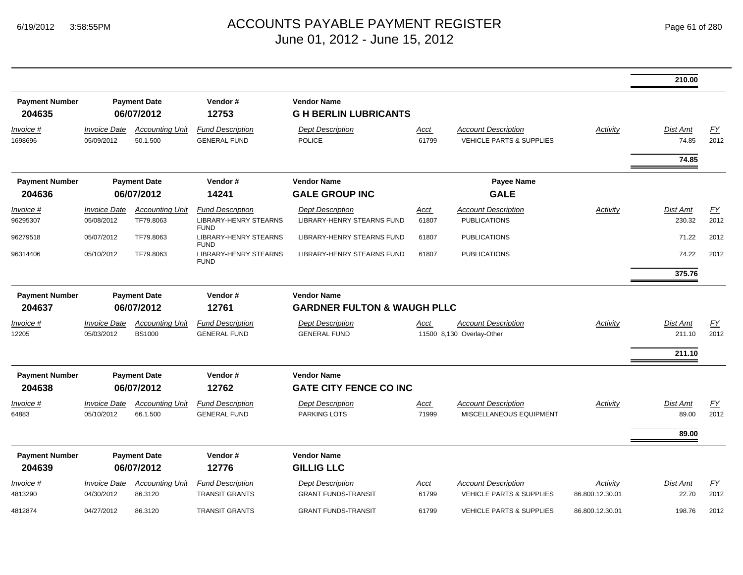|                                 |                                   |                                     |                                                                        |                                                       |                      |                                                                   |                             | 210.00                     |                   |
|---------------------------------|-----------------------------------|-------------------------------------|------------------------------------------------------------------------|-------------------------------------------------------|----------------------|-------------------------------------------------------------------|-----------------------------|----------------------------|-------------------|
| <b>Payment Number</b><br>204635 |                                   | <b>Payment Date</b><br>06/07/2012   | Vendor#<br>12753                                                       | <b>Vendor Name</b><br><b>G H BERLIN LUBRICANTS</b>    |                      |                                                                   |                             |                            |                   |
| <u>Invoice #</u><br>1698696     | <b>Invoice Date</b><br>05/09/2012 | <b>Accounting Unit</b><br>50.1.500  | <b>Fund Description</b><br><b>GENERAL FUND</b>                         | <b>Dept Description</b><br>POLICE                     | Acct<br>61799        | <b>Account Description</b><br><b>VEHICLE PARTS &amp; SUPPLIES</b> | <b>Activity</b>             | Dist Amt<br>74.85<br>74.85 | EY<br>2012        |
| <b>Payment Number</b><br>204636 |                                   | <b>Payment Date</b><br>06/07/2012   | Vendor#<br>14241                                                       | <b>Vendor Name</b><br><b>GALE GROUP INC</b>           |                      | <b>Payee Name</b><br><b>GALE</b>                                  |                             |                            |                   |
|                                 |                                   |                                     |                                                                        |                                                       |                      |                                                                   |                             |                            |                   |
| Invoice #<br>96295307           | Invoice Date<br>05/08/2012        | <b>Accounting Unit</b><br>TF79.8063 | <b>Fund Description</b><br><b>LIBRARY-HENRY STEARNS</b><br><b>FUND</b> | <b>Dept Description</b><br>LIBRARY-HENRY STEARNS FUND | Acct<br>61807        | <b>Account Description</b><br><b>PUBLICATIONS</b>                 | Activity                    | Dist Amt<br>230.32         | <u>FY</u><br>2012 |
| 96279518                        | 05/07/2012                        | TF79.8063                           | <b>LIBRARY-HENRY STEARNS</b><br><b>FUND</b>                            | LIBRARY-HENRY STEARNS FUND                            | 61807                | <b>PUBLICATIONS</b>                                               |                             | 71.22                      | 2012              |
| 96314406                        | 05/10/2012                        | TF79.8063                           | <b>LIBRARY-HENRY STEARNS</b><br><b>FUND</b>                            | LIBRARY-HENRY STEARNS FUND                            | 61807                | <b>PUBLICATIONS</b>                                               |                             | 74.22                      | 2012              |
|                                 |                                   |                                     |                                                                        |                                                       |                      |                                                                   |                             | 375.76                     |                   |
| <b>Payment Number</b>           |                                   | <b>Payment Date</b>                 | Vendor#                                                                | <b>Vendor Name</b>                                    |                      |                                                                   |                             |                            |                   |
| 204637                          |                                   | 06/07/2012                          | 12761                                                                  | <b>GARDNER FULTON &amp; WAUGH PLLC</b>                |                      |                                                                   |                             |                            |                   |
| Invoice #                       | <b>Invoice Date</b>               | <b>Accounting Unit</b>              | <b>Fund Description</b>                                                | <b>Dept Description</b>                               | Acct                 | <b>Account Description</b>                                        | Activity                    | <b>Dist Amt</b>            | EY                |
| 12205                           | 05/03/2012                        | <b>BS1000</b>                       | <b>GENERAL FUND</b>                                                    | <b>GENERAL FUND</b>                                   |                      | 11500 8,130 Overlay-Other                                         |                             | 211.10                     | 2012              |
|                                 |                                   |                                     |                                                                        |                                                       |                      |                                                                   |                             | 211.10                     |                   |
| <b>Payment Number</b><br>204638 |                                   | <b>Payment Date</b><br>06/07/2012   | Vendor#<br>12762                                                       | <b>Vendor Name</b><br><b>GATE CITY FENCE CO INC</b>   |                      |                                                                   |                             |                            |                   |
| Invoice #                       | <b>Invoice Date</b>               | <b>Accounting Unit</b>              | <b>Fund Description</b>                                                | <b>Dept Description</b>                               | Acct                 | <b>Account Description</b>                                        | Activity                    | Dist Amt                   | <u>FY</u>         |
| 64883                           | 05/10/2012                        | 66.1.500                            | <b>GENERAL FUND</b>                                                    | <b>PARKING LOTS</b>                                   | 71999                | MISCELLANEOUS EQUIPMENT                                           |                             | 89.00                      | 2012              |
|                                 |                                   |                                     |                                                                        |                                                       |                      |                                                                   |                             | 89.00                      |                   |
| <b>Payment Number</b>           |                                   | <b>Payment Date</b>                 | Vendor#                                                                | <b>Vendor Name</b>                                    |                      |                                                                   |                             |                            |                   |
| 204639                          |                                   | 06/07/2012                          | 12776                                                                  | <b>GILLIG LLC</b>                                     |                      |                                                                   |                             |                            |                   |
| <u>Invoice #</u><br>4813290     | <b>Invoice Date</b><br>04/30/2012 | <b>Accounting Unit</b><br>86.3120   | <b>Fund Description</b><br><b>TRANSIT GRANTS</b>                       | <b>Dept Description</b><br><b>GRANT FUNDS-TRANSIT</b> | <u>Acct</u><br>61799 | <b>Account Description</b><br>VEHICLE PARTS & SUPPLIES            | Activity<br>86.800.12.30.01 | <b>Dist Amt</b><br>22.70   | EY<br>2012        |
| 4812874                         | 04/27/2012                        | 86.3120                             | <b>TRANSIT GRANTS</b>                                                  | <b>GRANT FUNDS-TRANSIT</b>                            | 61799                | VEHICLE PARTS & SUPPLIES                                          | 86.800.12.30.01             | 198.76                     | 2012              |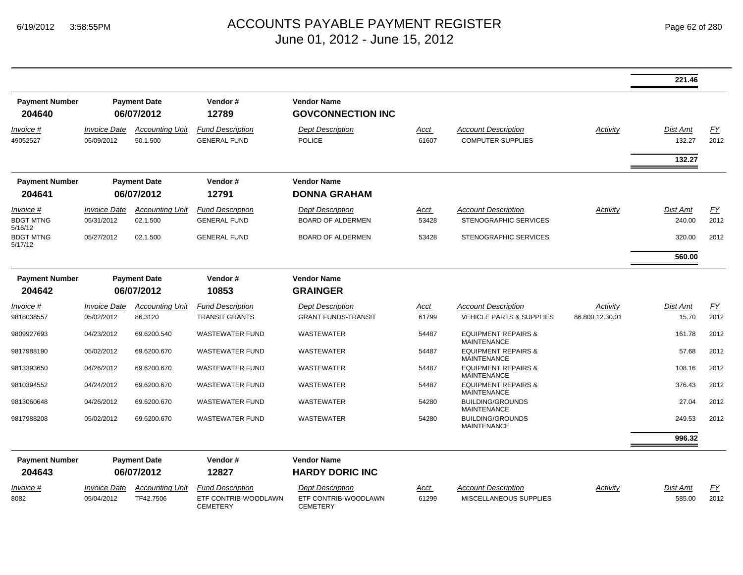#### ACCOUNTS PAYABLE PAYMENT REGISTER Page 62 of 280 June 01, 2012 - June 15, 2012

|                                          |                                   |                                    |                                                |                                                     |                      |                                                            |                 | 221.46                              |            |
|------------------------------------------|-----------------------------------|------------------------------------|------------------------------------------------|-----------------------------------------------------|----------------------|------------------------------------------------------------|-----------------|-------------------------------------|------------|
| <b>Payment Number</b><br>204640          |                                   | <b>Payment Date</b><br>06/07/2012  | Vendor#<br>12789                               | <b>Vendor Name</b><br><b>GOVCONNECTION INC</b>      |                      |                                                            |                 |                                     |            |
| Invoice #<br>49052527                    | <b>Invoice Date</b><br>05/09/2012 | <b>Accounting Unit</b><br>50.1.500 | <b>Fund Description</b><br><b>GENERAL FUND</b> | <b>Dept Description</b><br><b>POLICE</b>            | <u>Acct</u><br>61607 | <b>Account Description</b><br><b>COMPUTER SUPPLIES</b>     | Activity        | <b>Dist Amt</b><br>132.27<br>132.27 | EY<br>2012 |
| <b>Payment Number</b><br>204641          |                                   | <b>Payment Date</b><br>06/07/2012  | Vendor#<br>12791                               | <b>Vendor Name</b><br><b>DONNA GRAHAM</b>           |                      |                                                            |                 |                                     |            |
| Invoice #<br><b>BDGT MTNG</b><br>5/16/12 | <b>Invoice Date</b><br>05/31/2012 | <b>Accounting Unit</b><br>02.1.500 | <b>Fund Description</b><br><b>GENERAL FUND</b> | <b>Dept Description</b><br><b>BOARD OF ALDERMEN</b> | <u>Acct</u><br>53428 | <b>Account Description</b><br><b>STENOGRAPHIC SERVICES</b> | Activity        | Dist Amt<br>240.00                  | EY<br>2012 |
| <b>BDGT MTNG</b><br>5/17/12              | 05/27/2012                        | 02.1.500                           | <b>GENERAL FUND</b>                            | <b>BOARD OF ALDERMEN</b>                            | 53428                | STENOGRAPHIC SERVICES                                      |                 | 320.00<br>560.00                    | 2012       |
| <b>Payment Number</b><br>204642          |                                   | <b>Payment Date</b><br>06/07/2012  | Vendor#<br>10853                               | <b>Vendor Name</b><br><b>GRAINGER</b>               |                      |                                                            |                 |                                     |            |
| Invoice #                                | <b>Invoice Date</b>               | <b>Accounting Unit</b>             | <b>Fund Description</b>                        | <b>Dept Description</b>                             | <u>Acct</u>          | <b>Account Description</b>                                 | Activity        | <b>Dist Amt</b>                     | <u>FY</u>  |
| 9818038557                               | 05/02/2012                        | 86.3120                            | <b>TRANSIT GRANTS</b>                          | <b>GRANT FUNDS-TRANSIT</b>                          | 61799                | <b>VEHICLE PARTS &amp; SUPPLIES</b>                        | 86.800.12.30.01 | 15.70                               | 2012       |
| 9809927693                               | 04/23/2012                        | 69.6200.540                        | <b>WASTEWATER FUND</b>                         | WASTEWATER                                          | 54487                | <b>EQUIPMENT REPAIRS &amp;</b><br><b>MAINTENANCE</b>       |                 | 161.78                              | 2012       |
| 9817988190                               | 05/02/2012                        | 69.6200.670                        | <b>WASTEWATER FUND</b>                         | <b>WASTEWATER</b>                                   | 54487                | <b>EQUIPMENT REPAIRS &amp;</b><br><b>MAINTENANCE</b>       |                 | 57.68                               | 2012       |
| 9813393650                               | 04/26/2012                        | 69.6200.670                        | <b>WASTEWATER FUND</b>                         | WASTEWATER                                          | 54487                | <b>EQUIPMENT REPAIRS &amp;</b><br><b>MAINTENANCE</b>       |                 | 108.16                              | 2012       |
| 9810394552                               | 04/24/2012                        | 69.6200.670                        | <b>WASTEWATER FUND</b>                         | <b>WASTEWATER</b>                                   | 54487                | <b>EQUIPMENT REPAIRS &amp;</b><br><b>MAINTENANCE</b>       |                 | 376.43                              | 2012       |
| 9813060648                               | 04/26/2012                        | 69.6200.670                        | <b>WASTEWATER FUND</b>                         | WASTEWATER                                          | 54280                | <b>BUILDING/GROUNDS</b><br><b>MAINTENANCE</b>              |                 | 27.04                               | 2012       |
| 9817988208                               | 05/02/2012                        | 69.6200.670                        | <b>WASTEWATER FUND</b>                         | WASTEWATER                                          | 54280                | <b>BUILDING/GROUNDS</b><br><b>MAINTENANCE</b>              |                 | 249.53                              | 2012       |
|                                          |                                   |                                    |                                                |                                                     |                      |                                                            |                 | 996.32                              |            |
| <b>Payment Number</b>                    |                                   | <b>Payment Date</b>                | Vendor#                                        | <b>Vendor Name</b>                                  |                      |                                                            |                 |                                     |            |
| 204643                                   |                                   | 06/07/2012                         | 12827                                          | <b>HARDY DORIC INC</b>                              |                      |                                                            |                 |                                     |            |
| Invoice #                                | <i><b>Invoice Date</b></i>        | <b>Accounting Unit</b>             | <b>Fund Description</b>                        | <b>Dept Description</b>                             | Acct                 | <b>Account Description</b>                                 | Activity        | Dist Amt                            | <u>FY</u>  |
| 8082                                     | 05/04/2012                        | TF42.7506                          | ETF CONTRIB-WOODLAWN<br>CEMETERY               | ETF CONTRIB-WOODLAWN<br><b>CEMETERY</b>             | 61299                | MISCELLANEOUS SUPPLIES                                     |                 | 585.00                              | 2012       |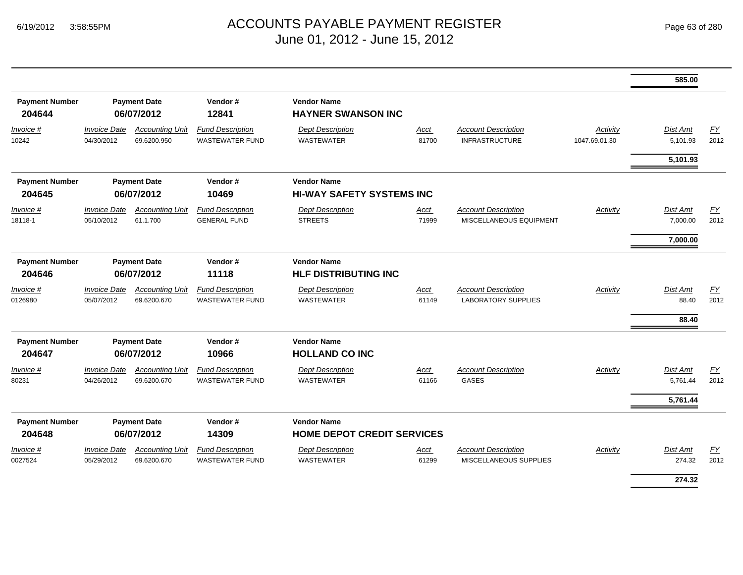|                                 |                                   |                                       |                                                   |                                                         |                      |                                                          |                           | 585.00                     |            |
|---------------------------------|-----------------------------------|---------------------------------------|---------------------------------------------------|---------------------------------------------------------|----------------------|----------------------------------------------------------|---------------------------|----------------------------|------------|
| <b>Payment Number</b><br>204644 |                                   | <b>Payment Date</b><br>06/07/2012     | Vendor#<br>12841                                  | <b>Vendor Name</b><br><b>HAYNER SWANSON INC</b>         |                      |                                                          |                           |                            |            |
| Invoice #<br>10242              | <b>Invoice Date</b><br>04/30/2012 | <b>Accounting Unit</b><br>69.6200.950 | <b>Fund Description</b><br><b>WASTEWATER FUND</b> | <b>Dept Description</b><br><b>WASTEWATER</b>            | Acct<br>81700        | <b>Account Description</b><br><b>INFRASTRUCTURE</b>      | Activity<br>1047.69.01.30 | Dist Amt<br>5,101.93       | EY<br>2012 |
|                                 |                                   |                                       |                                                   |                                                         |                      |                                                          |                           | 5,101.93                   |            |
| <b>Payment Number</b><br>204645 | <b>Payment Date</b><br>06/07/2012 |                                       | Vendor#<br>10469                                  | <b>Vendor Name</b><br><b>HI-WAY SAFETY SYSTEMS INC</b>  |                      |                                                          |                           |                            |            |
| Invoice #<br>18118-1            | <b>Invoice Date</b><br>05/10/2012 | <b>Accounting Unit</b><br>61.1.700    | <b>Fund Description</b><br><b>GENERAL FUND</b>    | <b>Dept Description</b><br><b>STREETS</b>               | Acct<br>71999        | <b>Account Description</b><br>MISCELLANEOUS EQUIPMENT    | Activity                  | Dist Amt<br>7,000.00       | EY<br>2012 |
|                                 |                                   |                                       |                                                   |                                                         |                      |                                                          |                           | 7,000.00                   |            |
| <b>Payment Number</b><br>204646 | <b>Payment Date</b><br>06/07/2012 |                                       | Vendor#<br>11118                                  | <b>Vendor Name</b><br><b>HLF DISTRIBUTING INC</b>       |                      |                                                          |                           |                            |            |
| Invoice #<br>0126980            | <b>Invoice Date</b><br>05/07/2012 | <b>Accounting Unit</b><br>69.6200.670 | <b>Fund Description</b><br><b>WASTEWATER FUND</b> | <b>Dept Description</b><br><b>WASTEWATER</b>            | Acct<br>61149        | <b>Account Description</b><br><b>LABORATORY SUPPLIES</b> | Activity                  | Dist Amt<br>88.40<br>88.40 | EY<br>2012 |
| <b>Payment Number</b><br>204647 |                                   | <b>Payment Date</b><br>06/07/2012     | Vendor#<br>10966                                  | <b>Vendor Name</b><br><b>HOLLAND CO INC</b>             |                      |                                                          |                           |                            |            |
| Invoice #<br>80231              | <b>Invoice Date</b><br>04/26/2012 | <b>Accounting Unit</b><br>69.6200.670 | <b>Fund Description</b><br><b>WASTEWATER FUND</b> | <b>Dept Description</b><br><b>WASTEWATER</b>            | Acct<br>61166        | <b>Account Description</b><br>GASES                      | Activity                  | Dist Amt<br>5,761.44       | EY<br>2012 |
|                                 |                                   |                                       |                                                   |                                                         |                      |                                                          |                           | 5,761.44                   |            |
| <b>Payment Number</b><br>204648 |                                   | <b>Payment Date</b><br>06/07/2012     | Vendor#<br>14309                                  | <b>Vendor Name</b><br><b>HOME DEPOT CREDIT SERVICES</b> |                      |                                                          |                           |                            |            |
| <i>Invoice</i> #<br>0027524     | <b>Invoice Date</b><br>05/29/2012 | <b>Accounting Unit</b><br>69.6200.670 | <b>Fund Description</b><br><b>WASTEWATER FUND</b> | <b>Dept Description</b><br><b>WASTEWATER</b>            | <u>Acct</u><br>61299 | <b>Account Description</b><br>MISCELLANEOUS SUPPLIES     | Activity                  | Dist Amt<br>274.32         | EY<br>2012 |
|                                 |                                   |                                       |                                                   |                                                         |                      |                                                          |                           | 274.32                     |            |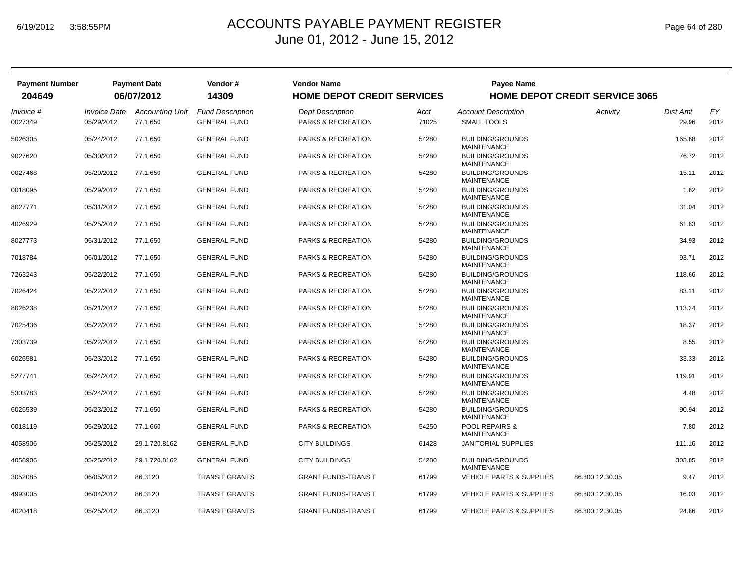| <b>Payment Number</b><br>204649 |                     | <b>Payment Date</b><br>06/07/2012 | Vendor #<br>14309       | <b>Vendor Name</b><br><b>HOME DEPOT CREDIT SERVICES</b> |             | <b>Payee Name</b>                             | <b>HOME DEPOT CREDIT SERVICE 3065</b> |          |      |
|---------------------------------|---------------------|-----------------------------------|-------------------------|---------------------------------------------------------|-------------|-----------------------------------------------|---------------------------------------|----------|------|
| Invoice #                       | <b>Invoice Date</b> | <b>Accounting Unit</b>            | <b>Fund Description</b> | <b>Dept Description</b>                                 | <u>Acct</u> | <b>Account Description</b>                    | Activity                              | Dist Amt | EY   |
| 0027349                         | 05/29/2012          | 77.1.650                          | <b>GENERAL FUND</b>     | <b>PARKS &amp; RECREATION</b>                           | 71025       | <b>SMALL TOOLS</b>                            |                                       | 29.96    | 2012 |
| 5026305                         | 05/24/2012          | 77.1.650                          | <b>GENERAL FUND</b>     | PARKS & RECREATION                                      | 54280       | <b>BUILDING/GROUNDS</b><br><b>MAINTENANCE</b> |                                       | 165.88   | 2012 |
| 9027620                         | 05/30/2012          | 77.1.650                          | <b>GENERAL FUND</b>     | PARKS & RECREATION                                      | 54280       | <b>BUILDING/GROUNDS</b><br><b>MAINTENANCE</b> |                                       | 76.72    | 2012 |
| 0027468                         | 05/29/2012          | 77.1.650                          | <b>GENERAL FUND</b>     | <b>PARKS &amp; RECREATION</b>                           | 54280       | <b>BUILDING/GROUNDS</b><br><b>MAINTENANCE</b> |                                       | 15.11    | 2012 |
| 0018095                         | 05/29/2012          | 77.1.650                          | <b>GENERAL FUND</b>     | PARKS & RECREATION                                      | 54280       | <b>BUILDING/GROUNDS</b><br><b>MAINTENANCE</b> |                                       | 1.62     | 2012 |
| 8027771                         | 05/31/2012          | 77.1.650                          | <b>GENERAL FUND</b>     | PARKS & RECREATION                                      | 54280       | <b>BUILDING/GROUNDS</b><br><b>MAINTENANCE</b> |                                       | 31.04    | 2012 |
| 4026929                         | 05/25/2012          | 77.1.650                          | <b>GENERAL FUND</b>     | <b>PARKS &amp; RECREATION</b>                           | 54280       | <b>BUILDING/GROUNDS</b><br><b>MAINTENANCE</b> |                                       | 61.83    | 2012 |
| 8027773                         | 05/31/2012          | 77.1.650                          | <b>GENERAL FUND</b>     | PARKS & RECREATION                                      | 54280       | <b>BUILDING/GROUNDS</b><br><b>MAINTENANCE</b> |                                       | 34.93    | 2012 |
| 7018784                         | 06/01/2012          | 77.1.650                          | <b>GENERAL FUND</b>     | PARKS & RECREATION                                      | 54280       | <b>BUILDING/GROUNDS</b><br><b>MAINTENANCE</b> |                                       | 93.71    | 2012 |
| 7263243                         | 05/22/2012          | 77.1.650                          | <b>GENERAL FUND</b>     | <b>PARKS &amp; RECREATION</b>                           | 54280       | <b>BUILDING/GROUNDS</b><br><b>MAINTENANCE</b> |                                       | 118.66   | 2012 |
| 7026424                         | 05/22/2012          | 77.1.650                          | <b>GENERAL FUND</b>     | PARKS & RECREATION                                      | 54280       | <b>BUILDING/GROUNDS</b><br><b>MAINTENANCE</b> |                                       | 83.11    | 2012 |
| 8026238                         | 05/21/2012          | 77.1.650                          | <b>GENERAL FUND</b>     | PARKS & RECREATION                                      | 54280       | <b>BUILDING/GROUNDS</b><br><b>MAINTENANCE</b> |                                       | 113.24   | 2012 |
| 7025436                         | 05/22/2012          | 77.1.650                          | <b>GENERAL FUND</b>     | <b>PARKS &amp; RECREATION</b>                           | 54280       | <b>BUILDING/GROUNDS</b><br><b>MAINTENANCE</b> |                                       | 18.37    | 2012 |
| 7303739                         | 05/22/2012          | 77.1.650                          | <b>GENERAL FUND</b>     | PARKS & RECREATION                                      | 54280       | <b>BUILDING/GROUNDS</b><br><b>MAINTENANCE</b> |                                       | 8.55     | 2012 |
| 6026581                         | 05/23/2012          | 77.1.650                          | <b>GENERAL FUND</b>     | PARKS & RECREATION                                      | 54280       | <b>BUILDING/GROUNDS</b><br><b>MAINTENANCE</b> |                                       | 33.33    | 2012 |
| 5277741                         | 05/24/2012          | 77.1.650                          | <b>GENERAL FUND</b>     | <b>PARKS &amp; RECREATION</b>                           | 54280       | <b>BUILDING/GROUNDS</b><br><b>MAINTENANCE</b> |                                       | 119.91   | 2012 |
| 5303783                         | 05/24/2012          | 77.1.650                          | <b>GENERAL FUND</b>     | <b>PARKS &amp; RECREATION</b>                           | 54280       | <b>BUILDING/GROUNDS</b><br><b>MAINTENANCE</b> |                                       | 4.48     | 2012 |
| 6026539                         | 05/23/2012          | 77.1.650                          | <b>GENERAL FUND</b>     | PARKS & RECREATION                                      | 54280       | <b>BUILDING/GROUNDS</b><br><b>MAINTENANCE</b> |                                       | 90.94    | 2012 |
| 0018119                         | 05/29/2012          | 77.1.660                          | <b>GENERAL FUND</b>     | PARKS & RECREATION                                      | 54250       | POOL REPAIRS &<br><b>MAINTENANCE</b>          |                                       | 7.80     | 2012 |
| 4058906                         | 05/25/2012          | 29.1.720.8162                     | <b>GENERAL FUND</b>     | <b>CITY BUILDINGS</b>                                   | 61428       | <b>JANITORIAL SUPPLIES</b>                    |                                       | 111.16   | 2012 |
| 4058906                         | 05/25/2012          | 29.1.720.8162                     | <b>GENERAL FUND</b>     | <b>CITY BUILDINGS</b>                                   | 54280       | <b>BUILDING/GROUNDS</b><br><b>MAINTENANCE</b> |                                       | 303.85   | 2012 |
| 3052085                         | 06/05/2012          | 86.3120                           | <b>TRANSIT GRANTS</b>   | <b>GRANT FUNDS-TRANSIT</b>                              | 61799       | <b>VEHICLE PARTS &amp; SUPPLIES</b>           | 86.800.12.30.05                       | 9.47     | 2012 |
| 4993005                         | 06/04/2012          | 86.3120                           | <b>TRANSIT GRANTS</b>   | <b>GRANT FUNDS-TRANSIT</b>                              | 61799       | <b>VEHICLE PARTS &amp; SUPPLIES</b>           | 86.800.12.30.05                       | 16.03    | 2012 |
| 4020418                         | 05/25/2012          | 86.3120                           | <b>TRANSIT GRANTS</b>   | <b>GRANT FUNDS-TRANSIT</b>                              | 61799       | <b>VEHICLE PARTS &amp; SUPPLIES</b>           | 86.800.12.30.05                       | 24.86    | 2012 |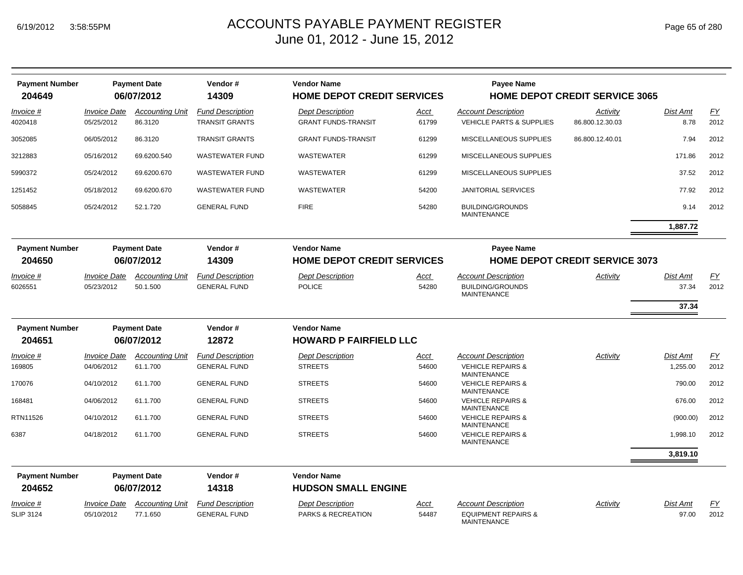| <b>Payment Number</b><br>204649 | <b>Payment Date</b><br>06/07/2012 |                                   | Vendor#<br>14309                                 | <b>Vendor Name</b><br><b>HOME DEPOT CREDIT SERVICES</b> |                                   | <b>Payee Name</b><br><b>HOME DEPOT CREDIT SERVICE 3065</b>        |                                       |                  |                   |
|---------------------------------|-----------------------------------|-----------------------------------|--------------------------------------------------|---------------------------------------------------------|-----------------------------------|-------------------------------------------------------------------|---------------------------------------|------------------|-------------------|
| <i>Invoice</i> #<br>4020418     | <b>Invoice Date</b><br>05/25/2012 | <b>Accounting Unit</b><br>86.3120 | <b>Fund Description</b><br><b>TRANSIT GRANTS</b> | <b>Dept Description</b><br><b>GRANT FUNDS-TRANSIT</b>   | Acct<br>61799                     | <b>Account Description</b><br><b>VEHICLE PARTS &amp; SUPPLIES</b> | Activity<br>86.800.12.30.03           | Dist Amt<br>8.78 | <u>FY</u><br>2012 |
| 3052085                         | 06/05/2012                        | 86.3120                           | <b>TRANSIT GRANTS</b>                            | <b>GRANT FUNDS-TRANSIT</b>                              | 61299                             | MISCELLANEOUS SUPPLIES                                            | 86.800.12.40.01                       | 7.94             | 2012              |
| 3212883                         | 05/16/2012                        | 69.6200.540                       | <b>WASTEWATER FUND</b>                           | WASTEWATER                                              | 61299                             | MISCELLANEOUS SUPPLIES                                            |                                       | 171.86           | 2012              |
| 5990372                         | 05/24/2012                        | 69.6200.670                       | <b>WASTEWATER FUND</b>                           | <b>WASTEWATER</b>                                       | 61299                             | MISCELLANEOUS SUPPLIES                                            |                                       | 37.52            | 2012              |
| 1251452                         | 05/18/2012                        | 69.6200.670                       | <b>WASTEWATER FUND</b>                           | <b>WASTEWATER</b>                                       | 54200                             | <b>JANITORIAL SERVICES</b>                                        |                                       | 77.92            | 2012              |
| 5058845                         | 05/24/2012                        | 52.1.720                          | <b>GENERAL FUND</b>                              | <b>FIRE</b>                                             | 54280                             | <b>BUILDING/GROUNDS</b><br><b>MAINTENANCE</b>                     |                                       | 9.14             | 2012              |
|                                 |                                   |                                   |                                                  |                                                         |                                   |                                                                   |                                       | 1,887.72         |                   |
| <b>Payment Number</b>           | <b>Payment Date</b>               |                                   | Vendor#                                          | <b>Vendor Name</b>                                      |                                   | <b>Payee Name</b>                                                 |                                       |                  |                   |
| 204650                          |                                   | 06/07/2012                        | 14309                                            |                                                         | <b>HOME DEPOT CREDIT SERVICES</b> |                                                                   | <b>HOME DEPOT CREDIT SERVICE 3073</b> |                  |                   |
| Invoice #                       | <b>Invoice Date</b>               | <b>Accounting Unit</b>            | <b>Fund Description</b>                          | <b>Dept Description</b>                                 | <u>Acct</u>                       | <b>Account Description</b>                                        | Activity                              | Dist Amt         | <u>FY</u>         |
| 6026551                         | 05/23/2012                        | 50.1.500                          | <b>GENERAL FUND</b>                              | <b>POLICE</b>                                           | 54280                             | <b>BUILDING/GROUNDS</b><br><b>MAINTENANCE</b>                     |                                       | 37.34            | 2012              |
|                                 |                                   |                                   |                                                  |                                                         |                                   |                                                                   |                                       | 37.34            |                   |
| <b>Payment Number</b>           |                                   | <b>Payment Date</b>               | Vendor#                                          | <b>Vendor Name</b>                                      |                                   |                                                                   |                                       |                  |                   |
| 204651                          |                                   | 06/07/2012                        | 12872                                            | <b>HOWARD P FAIRFIELD LLC</b>                           |                                   |                                                                   |                                       |                  |                   |
| Invoice #                       | <b>Invoice Date</b>               | <b>Accounting Unit</b>            | <b>Fund Description</b>                          | <b>Dept Description</b>                                 | Acct                              | <b>Account Description</b>                                        | Activity                              | Dist Amt         | <u>FY</u>         |
| 169805                          | 04/06/2012                        | 61.1.700                          | <b>GENERAL FUND</b>                              | <b>STREETS</b>                                          | 54600                             | <b>VEHICLE REPAIRS &amp;</b><br><b>MAINTENANCE</b>                |                                       | 1,255.00         | 2012              |
| 170076                          | 04/10/2012                        | 61.1.700                          | <b>GENERAL FUND</b>                              | <b>STREETS</b>                                          | 54600                             | <b>VEHICLE REPAIRS &amp;</b><br><b>MAINTENANCE</b>                |                                       | 790.00           | 2012              |
| 168481                          | 04/06/2012                        | 61.1.700                          | <b>GENERAL FUND</b>                              | <b>STREETS</b>                                          | 54600                             | <b>VEHICLE REPAIRS &amp;</b><br><b>MAINTENANCE</b>                |                                       | 676.00           | 2012              |
| RTN11526                        | 04/10/2012                        | 61.1.700                          | <b>GENERAL FUND</b>                              | <b>STREETS</b>                                          | 54600                             | <b>VEHICLE REPAIRS &amp;</b><br><b>MAINTENANCE</b>                |                                       | (900.00)         | 2012              |
| 6387                            | 04/18/2012                        | 61.1.700                          | <b>GENERAL FUND</b>                              | <b>STREETS</b>                                          | 54600                             | <b>VEHICLE REPAIRS &amp;</b><br><b>MAINTENANCE</b>                |                                       | 1,998.10         | 2012              |
|                                 |                                   |                                   |                                                  |                                                         |                                   |                                                                   |                                       | 3,819.10         |                   |
| <b>Payment Number</b>           |                                   | <b>Payment Date</b>               | Vendor#                                          | <b>Vendor Name</b>                                      |                                   |                                                                   |                                       |                  |                   |
| 204652                          |                                   | 06/07/2012                        | 14318                                            | <b>HUDSON SMALL ENGINE</b>                              |                                   |                                                                   |                                       |                  |                   |
| Invoice #                       | <b>Invoice Date</b>               | <b>Accounting Unit</b>            | <b>Fund Description</b>                          | <b>Dept Description</b>                                 | <u>Acct</u>                       | <b>Account Description</b>                                        | Activity                              | <b>Dist Amt</b>  | <u>FY</u>         |
| <b>SLIP 3124</b>                | 05/10/2012                        | 77.1.650                          | <b>GENERAL FUND</b>                              | <b>PARKS &amp; RECREATION</b>                           | 54487                             | <b>EQUIPMENT REPAIRS &amp;</b><br><b>MAINTENANCE</b>              |                                       | 97.00            | 2012              |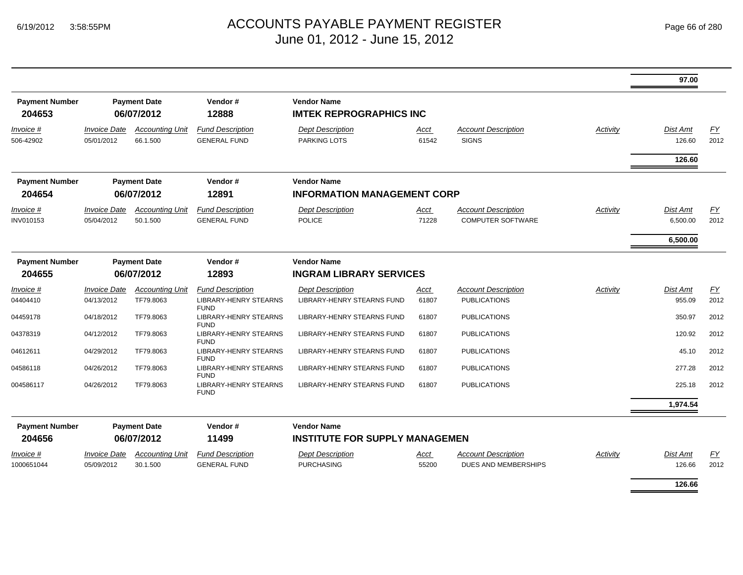|                                 |                                          |                                    |                                                |                                                             |                      |                                                        |          | 97.00                       |                   |
|---------------------------------|------------------------------------------|------------------------------------|------------------------------------------------|-------------------------------------------------------------|----------------------|--------------------------------------------------------|----------|-----------------------------|-------------------|
| <b>Payment Number</b><br>204653 |                                          | <b>Payment Date</b><br>06/07/2012  | Vendor#<br>12888                               | <b>Vendor Name</b><br><b>IMTEK REPROGRAPHICS INC</b>        |                      |                                                        |          |                             |                   |
| Invoice #<br>506-42902          | <i><b>Invoice Date</b></i><br>05/01/2012 | <b>Accounting Unit</b><br>66.1.500 | <b>Fund Description</b><br><b>GENERAL FUND</b> | <b>Dept Description</b><br><b>PARKING LOTS</b>              | Acct<br>61542        | <b>Account Description</b><br><b>SIGNS</b>             | Activity | <b>Dist Amt</b><br>126.60   | EY<br>2012        |
|                                 |                                          |                                    |                                                |                                                             |                      |                                                        |          | 126.60                      |                   |
| <b>Payment Number</b><br>204654 | <b>Payment Date</b><br>06/07/2012        |                                    | Vendor#<br>12891                               | <b>Vendor Name</b><br><b>INFORMATION MANAGEMENT CORP</b>    |                      |                                                        |          |                             |                   |
| <i>Invoice</i> #<br>INV010153   | <b>Invoice Date</b><br>05/04/2012        | <b>Accounting Unit</b><br>50.1.500 | <b>Fund Description</b><br><b>GENERAL FUND</b> | <b>Dept Description</b><br><b>POLICE</b>                    | Acct<br>71228        | <b>Account Description</b><br><b>COMPUTER SOFTWARE</b> | Activity | <b>Dist Amt</b><br>6,500.00 | <b>FY</b><br>2012 |
|                                 |                                          |                                    |                                                |                                                             |                      |                                                        |          | 6,500.00                    |                   |
| <b>Payment Number</b><br>204655 | <b>Payment Date</b><br>06/07/2012        |                                    | Vendor#<br>12893                               | <b>Vendor Name</b><br><b>INGRAM LIBRARY SERVICES</b>        |                      |                                                        |          |                             |                   |
| Invoice #                       | <b>Invoice Date</b>                      | <b>Accounting Unit</b>             | <b>Fund Description</b>                        | <b>Dept Description</b>                                     | Acct                 | <b>Account Description</b>                             | Activity | <b>Dist Amt</b>             | EY                |
| 04404410                        | 04/13/2012                               | TF79.8063                          | <b>LIBRARY-HENRY STEARNS</b><br><b>FUND</b>    | LIBRARY-HENRY STEARNS FUND                                  | 61807                | <b>PUBLICATIONS</b>                                    |          | 955.09                      | 2012              |
| 04459178                        | 04/18/2012                               | TF79.8063                          | <b>LIBRARY-HENRY STEARNS</b><br><b>FUND</b>    | <b>LIBRARY-HENRY STEARNS FUND</b>                           | 61807                | <b>PUBLICATIONS</b>                                    |          | 350.97                      | 2012              |
| 04378319                        | 04/12/2012                               | TF79.8063                          | LIBRARY-HENRY STEARNS<br><b>FUND</b>           | <b>LIBRARY-HENRY STEARNS FUND</b>                           | 61807                | <b>PUBLICATIONS</b>                                    |          | 120.92                      | 2012              |
| 04612611                        | 04/29/2012                               | TF79.8063                          | <b>LIBRARY-HENRY STEARNS</b><br><b>FUND</b>    | <b>LIBRARY-HENRY STEARNS FUND</b>                           | 61807                | <b>PUBLICATIONS</b>                                    |          | 45.10                       | 2012              |
| 04586118                        | 04/26/2012                               | TF79.8063                          | <b>LIBRARY-HENRY STEARNS</b><br><b>FUND</b>    | <b>LIBRARY-HENRY STEARNS FUND</b>                           | 61807                | <b>PUBLICATIONS</b>                                    |          | 277.28                      | 2012              |
| 004586117                       | 04/26/2012                               | TF79.8063                          | <b>LIBRARY-HENRY STEARNS</b><br><b>FUND</b>    | LIBRARY-HENRY STEARNS FUND                                  | 61807                | <b>PUBLICATIONS</b>                                    |          | 225.18                      | 2012              |
|                                 |                                          |                                    |                                                |                                                             |                      |                                                        |          | 1,974.54                    |                   |
| <b>Payment Number</b><br>204656 |                                          | <b>Payment Date</b><br>06/07/2012  | Vendor#<br>11499                               | <b>Vendor Name</b><br><b>INSTITUTE FOR SUPPLY MANAGEMEN</b> |                      |                                                        |          |                             |                   |
| <i>Invoice</i> #<br>1000651044  | <b>Invoice Date</b><br>05/09/2012        | <b>Accounting Unit</b><br>30.1.500 | <b>Fund Description</b><br><b>GENERAL FUND</b> | <b>Dept Description</b><br><b>PURCHASING</b>                | <u>Acct</u><br>55200 | <b>Account Description</b><br>DUES AND MEMBERSHIPS     | Activity | Dist Amt<br>126.66          | EY<br>2012        |
|                                 |                                          |                                    |                                                |                                                             |                      |                                                        |          | 126.66                      |                   |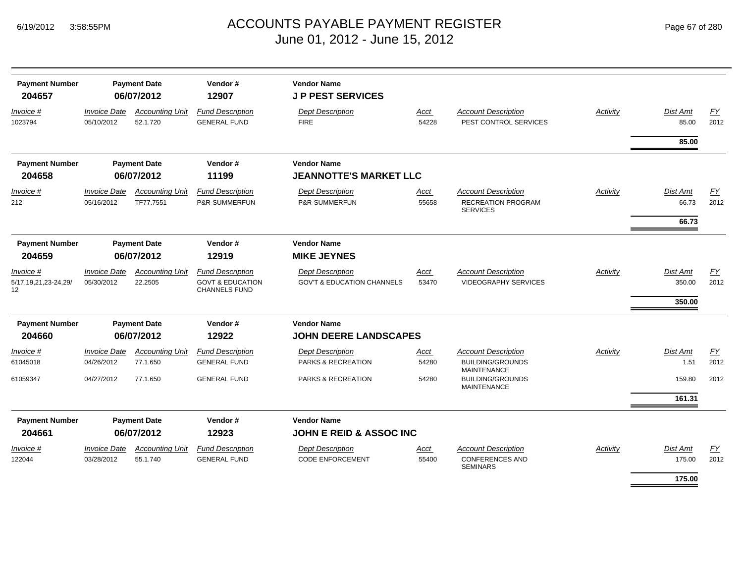| <b>Payment Number</b><br>204657 | <b>Payment Date</b><br>06/07/2012 |                                     | Vendor#<br>12907                                    | <b>Vendor Name</b><br><b>JP PEST SERVICES</b>            |                      |                                                                             |                 |                          |                          |
|---------------------------------|-----------------------------------|-------------------------------------|-----------------------------------------------------|----------------------------------------------------------|----------------------|-----------------------------------------------------------------------------|-----------------|--------------------------|--------------------------|
| Invoice #<br>1023794            | <b>Invoice Date</b><br>05/10/2012 | <b>Accounting Unit</b><br>52.1.720  | <b>Fund Description</b><br><b>GENERAL FUND</b>      | <b>Dept Description</b><br><b>FIRE</b>                   | <b>Acct</b><br>54228 | <b>Account Description</b><br>PEST CONTROL SERVICES                         | <b>Activity</b> | <b>Dist Amt</b><br>85.00 | $\underline{FY}$<br>2012 |
|                                 |                                   |                                     |                                                     |                                                          |                      |                                                                             |                 | 85.00                    |                          |
| <b>Payment Number</b>           |                                   | <b>Payment Date</b>                 | Vendor#                                             | <b>Vendor Name</b>                                       |                      |                                                                             |                 |                          |                          |
| 204658                          | 06/07/2012                        |                                     | 11199                                               | <b>JEANNOTTE'S MARKET LLC</b>                            |                      |                                                                             |                 |                          |                          |
| Invoice #<br>212                | <b>Invoice Date</b><br>05/16/2012 | <b>Accounting Unit</b><br>TF77.7551 | <b>Fund Description</b><br>P&R-SUMMERFUN            | <b>Dept Description</b><br>P&R-SUMMERFUN                 | Acct<br>55658        | <b>Account Description</b><br>RECREATION PROGRAM<br><b>SERVICES</b>         | Activity        | <b>Dist Amt</b><br>66.73 | <u>FY</u><br>2012        |
|                                 |                                   |                                     |                                                     |                                                          |                      |                                                                             |                 | 66.73                    |                          |
| <b>Payment Number</b>           |                                   | <b>Payment Date</b>                 | Vendor#                                             | <b>Vendor Name</b>                                       |                      |                                                                             |                 |                          |                          |
| 204659                          | 06/07/2012                        |                                     | 12919                                               | <b>MIKE JEYNES</b>                                       |                      |                                                                             |                 |                          |                          |
| Invoice #                       | <b>Invoice Date</b>               | <b>Accounting Unit</b>              | <b>Fund Description</b>                             | <b>Dept Description</b>                                  | Acct                 | <b>Account Description</b>                                                  | Activity        | <b>Dist Amt</b>          | EY                       |
| 5/17, 19, 21, 23-24, 29/<br>12  | 05/30/2012                        | 22.2505                             | <b>GOVT &amp; EDUCATION</b><br><b>CHANNELS FUND</b> | <b>GOV'T &amp; EDUCATION CHANNELS</b>                    | 53470                | <b>VIDEOGRAPHY SERVICES</b>                                                 |                 | 350.00<br>350.00         | 2012                     |
| <b>Payment Number</b>           |                                   |                                     | Vendor#                                             | <b>Vendor Name</b>                                       |                      |                                                                             |                 |                          |                          |
| 204660                          | <b>Payment Date</b><br>06/07/2012 |                                     | 12922                                               | <b>JOHN DEERE LANDSCAPES</b>                             |                      |                                                                             |                 |                          |                          |
|                                 |                                   |                                     |                                                     |                                                          |                      |                                                                             |                 |                          |                          |
| Invoice #<br>61045018           | <b>Invoice Date</b><br>04/26/2012 | <b>Accounting Unit</b><br>77.1.650  | <b>Fund Description</b><br><b>GENERAL FUND</b>      | <b>Dept Description</b><br><b>PARKS &amp; RECREATION</b> | <u>Acct</u><br>54280 | <b>Account Description</b><br><b>BUILDING/GROUNDS</b><br><b>MAINTENANCE</b> | Activity        | <b>Dist Amt</b><br>1.51  | EY<br>2012               |
| 61059347                        | 04/27/2012                        | 77.1.650                            | <b>GENERAL FUND</b>                                 | PARKS & RECREATION                                       | 54280                | <b>BUILDING/GROUNDS</b><br><b>MAINTENANCE</b>                               |                 | 159.80                   | 2012                     |
|                                 |                                   |                                     |                                                     |                                                          |                      |                                                                             |                 | 161.31                   |                          |
| <b>Payment Number</b><br>204661 |                                   | <b>Payment Date</b><br>06/07/2012   | Vendor#<br>12923                                    | <b>Vendor Name</b><br><b>JOHN E REID &amp; ASSOC INC</b> |                      |                                                                             |                 |                          |                          |
| Invoice #                       | <b>Invoice Date</b>               | <b>Accounting Unit</b>              | <b>Fund Description</b>                             | <b>Dept Description</b>                                  | Acct                 | <b>Account Description</b>                                                  | Activity        | Dist Amt                 | EY                       |
| 122044                          | 03/28/2012                        | 55.1.740                            | <b>GENERAL FUND</b>                                 | <b>CODE ENFORCEMENT</b>                                  | 55400                | <b>CONFERENCES AND</b><br><b>SEMINARS</b>                                   |                 | 175.00                   | 2012                     |
|                                 |                                   |                                     |                                                     |                                                          |                      |                                                                             |                 | 175.00                   |                          |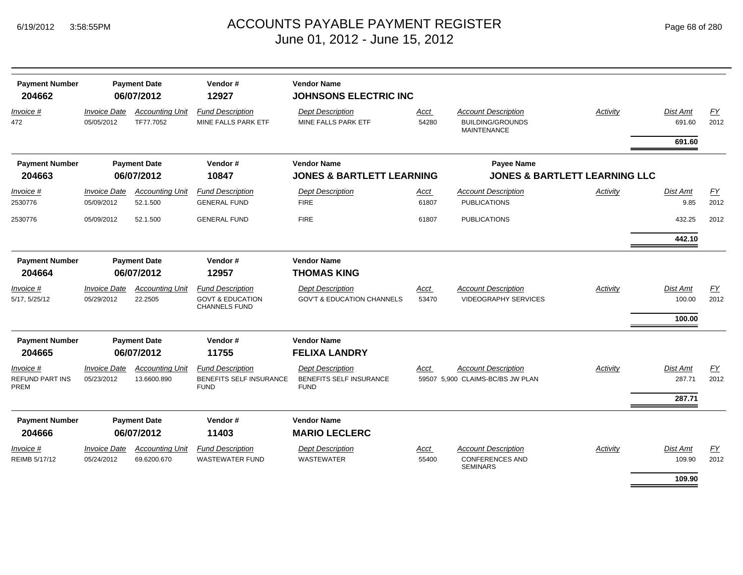| <b>Payment Number</b><br>204662      | <b>Payment Date</b><br>06/07/2012 |                                       | Vendor#<br>12927                                                               | <b>Vendor Name</b><br><b>JOHNSONS ELECTRIC INC</b>                |                      |                                                                             |                                          |                                     |                          |  |  |
|--------------------------------------|-----------------------------------|---------------------------------------|--------------------------------------------------------------------------------|-------------------------------------------------------------------|----------------------|-----------------------------------------------------------------------------|------------------------------------------|-------------------------------------|--------------------------|--|--|
| Invoice #<br>472                     | <b>Invoice Date</b><br>05/05/2012 | <b>Accounting Unit</b><br>TF77.7052   | <b>Fund Description</b><br>MINE FALLS PARK ETF                                 | <b>Dept Description</b><br>MINE FALLS PARK ETF                    | <u>Acct</u><br>54280 | <b>Account Description</b><br><b>BUILDING/GROUNDS</b><br><b>MAINTENANCE</b> | Activity                                 | <b>Dist Amt</b><br>691.60           | EY<br>2012               |  |  |
|                                      |                                   |                                       |                                                                                |                                                                   |                      |                                                                             |                                          | 691.60                              |                          |  |  |
| <b>Payment Number</b>                |                                   | <b>Payment Date</b>                   | Vendor#                                                                        | <b>Vendor Name</b>                                                |                      | Payee Name                                                                  |                                          |                                     |                          |  |  |
| 204663                               | 06/07/2012                        |                                       | 10847                                                                          | <b>JONES &amp; BARTLETT LEARNING</b>                              |                      |                                                                             | <b>JONES &amp; BARTLETT LEARNING LLC</b> |                                     |                          |  |  |
| Invoice #<br>2530776                 | <b>Invoice Date</b><br>05/09/2012 | <b>Accounting Unit</b><br>52.1.500    | <b>Fund Description</b><br><b>GENERAL FUND</b>                                 | <b>Dept Description</b><br><b>FIRE</b>                            | <u>Acct</u><br>61807 | <b>Account Description</b><br><b>PUBLICATIONS</b>                           | Activity                                 | <b>Dist Amt</b><br>9.85             | $\underline{FY}$<br>2012 |  |  |
| 2530776                              | 05/09/2012                        | 52.1.500                              | <b>GENERAL FUND</b>                                                            | <b>FIRE</b>                                                       | 61807                | <b>PUBLICATIONS</b>                                                         |                                          | 432.25                              | 2012                     |  |  |
|                                      |                                   |                                       |                                                                                |                                                                   |                      |                                                                             |                                          | 442.10                              |                          |  |  |
| <b>Payment Number</b><br>204664      | <b>Payment Date</b><br>06/07/2012 |                                       | Vendor#<br>12957                                                               | <b>Vendor Name</b><br><b>THOMAS KING</b>                          |                      |                                                                             |                                          |                                     |                          |  |  |
| Invoice #<br>5/17, 5/25/12           | <b>Invoice Date</b><br>05/29/2012 | <b>Accounting Unit</b><br>22.2505     | <b>Fund Description</b><br><b>GOVT &amp; EDUCATION</b><br><b>CHANNELS FUND</b> | <b>Dept Description</b><br><b>GOV'T &amp; EDUCATION CHANNELS</b>  | <u>Acct</u><br>53470 | <b>Account Description</b><br><b>VIDEOGRAPHY SERVICES</b>                   | <b>Activity</b>                          | <b>Dist Amt</b><br>100.00<br>100.00 | $\underline{FY}$<br>2012 |  |  |
| <b>Payment Number</b>                |                                   | <b>Payment Date</b>                   | Vendor#                                                                        | <b>Vendor Name</b>                                                |                      |                                                                             |                                          |                                     |                          |  |  |
| 204665                               |                                   | 06/07/2012                            | 11755                                                                          | <b>FELIXA LANDRY</b>                                              |                      |                                                                             |                                          |                                     |                          |  |  |
| Invoice #<br>REFUND PART INS<br>PREM | <b>Invoice Date</b><br>05/23/2012 | <b>Accounting Unit</b><br>13.6600.890 | <b>Fund Description</b><br>BENEFITS SELF INSURANCE<br><b>FUND</b>              | <b>Dept Description</b><br>BENEFITS SELF INSURANCE<br><b>FUND</b> | Acct                 | <b>Account Description</b><br>59507 5.900 CLAIMS-BC/BS JW PLAN              | Activity                                 | <b>Dist Amt</b><br>287.71           | EY<br>2012               |  |  |
|                                      |                                   |                                       |                                                                                |                                                                   |                      |                                                                             |                                          | 287.71                              |                          |  |  |
| <b>Payment Number</b><br>204666      |                                   | <b>Payment Date</b><br>06/07/2012     | Vendor#<br>11403                                                               | <b>Vendor Name</b><br><b>MARIO LECLERC</b>                        |                      |                                                                             |                                          |                                     |                          |  |  |
|                                      |                                   |                                       |                                                                                |                                                                   |                      |                                                                             |                                          |                                     |                          |  |  |
| <i>Invoice</i> #<br>REIMB 5/17/12    | <b>Invoice Date</b><br>05/24/2012 | <b>Accounting Unit</b><br>69.6200.670 | <b>Fund Description</b><br><b>WASTEWATER FUND</b>                              | <b>Dept Description</b><br><b>WASTEWATER</b>                      | Acct<br>55400        | <b>Account Description</b><br><b>CONFERENCES AND</b><br><b>SEMINARS</b>     | Activity                                 | <b>Dist Amt</b><br>109.90           | $\underline{FY}$<br>2012 |  |  |
|                                      |                                   |                                       |                                                                                |                                                                   |                      |                                                                             |                                          | 109.90                              |                          |  |  |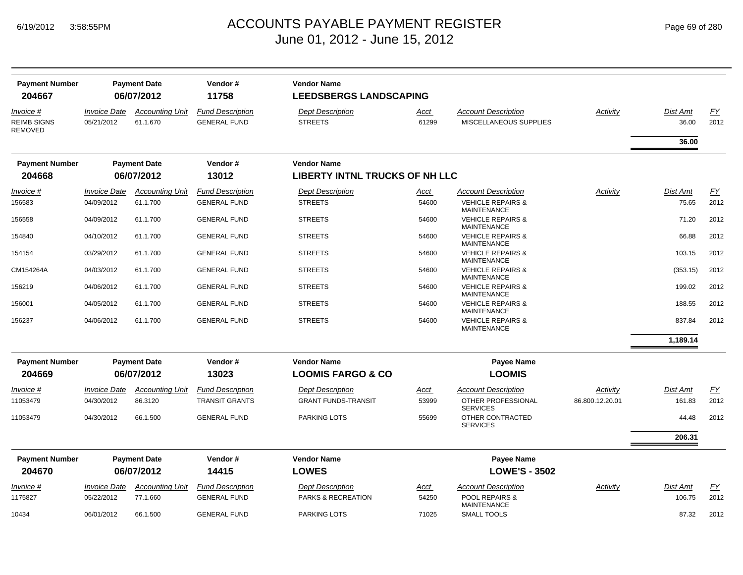# ACCOUNTS PAYABLE PAYMENT REGISTER Page 69 of 280 June 01, 2012 - June 15, 2012

| <b>Payment Number</b><br>204667                   | <b>Payment Date</b><br>06/07/2012        |                                    | Vendor#<br><b>Vendor Name</b><br>11758<br><b>LEEDSBERGS LANDSCAPING</b> |                                               |                      |                                                             |                 |                           |                   |
|---------------------------------------------------|------------------------------------------|------------------------------------|-------------------------------------------------------------------------|-----------------------------------------------|----------------------|-------------------------------------------------------------|-----------------|---------------------------|-------------------|
| Invoice #<br><b>REIMB SIGNS</b><br><b>REMOVED</b> | <i><b>Invoice Date</b></i><br>05/21/2012 | <b>Accounting Unit</b><br>61.1.670 | <b>Fund Description</b><br><b>GENERAL FUND</b>                          | <b>Dept Description</b><br><b>STREETS</b>     | Acct<br>61299        | <b>Account Description</b><br><b>MISCELLANEOUS SUPPLIES</b> | Activity        | <b>Dist Amt</b><br>36.00  | <u>FY</u><br>2012 |
|                                                   |                                          |                                    |                                                                         |                                               |                      |                                                             |                 | 36.00                     |                   |
| <b>Payment Number</b>                             |                                          | <b>Payment Date</b>                | Vendor#                                                                 | <b>Vendor Name</b>                            |                      |                                                             |                 |                           |                   |
| 204668                                            |                                          | 06/07/2012                         | 13012                                                                   | <b>LIBERTY INTNL TRUCKS OF NH LLC</b>         |                      |                                                             |                 |                           |                   |
| Invoice #                                         | <i><b>Invoice Date</b></i>               | <b>Accounting Unit</b>             | <b>Fund Description</b>                                                 | <b>Dept Description</b>                       | <u>Acct</u>          | <b>Account Description</b>                                  | Activity        | <b>Dist Amt</b>           | $\underline{FY}$  |
| 156583                                            | 04/09/2012                               | 61.1.700                           | <b>GENERAL FUND</b>                                                     | <b>STREETS</b>                                | 54600                | <b>VEHICLE REPAIRS &amp;</b><br><b>MAINTENANCE</b>          |                 | 75.65                     | 2012              |
| 156558                                            | 04/09/2012                               | 61.1.700                           | <b>GENERAL FUND</b>                                                     | <b>STREETS</b>                                | 54600                | <b>VEHICLE REPAIRS &amp;</b><br><b>MAINTENANCE</b>          |                 | 71.20                     | 2012              |
| 154840                                            | 04/10/2012                               | 61.1.700                           | <b>GENERAL FUND</b>                                                     | <b>STREETS</b>                                | 54600                | <b>VEHICLE REPAIRS &amp;</b><br><b>MAINTENANCE</b>          |                 | 66.88                     | 2012              |
| 154154                                            | 03/29/2012                               | 61.1.700                           | <b>GENERAL FUND</b>                                                     | <b>STREETS</b>                                | 54600                | <b>VEHICLE REPAIRS &amp;</b><br>MAINTENANCE                 |                 | 103.15                    | 2012              |
| CM154264A                                         | 04/03/2012                               | 61.1.700                           | <b>GENERAL FUND</b>                                                     | <b>STREETS</b>                                | 54600                | <b>VEHICLE REPAIRS &amp;</b><br>MAINTENANCE                 |                 | (353.15)                  | 2012              |
| 156219                                            | 04/06/2012                               | 61.1.700                           | <b>GENERAL FUND</b>                                                     | <b>STREETS</b>                                | 54600                | <b>VEHICLE REPAIRS &amp;</b><br><b>MAINTENANCE</b>          |                 | 199.02                    | 2012              |
| 156001                                            | 04/05/2012                               | 61.1.700                           | <b>GENERAL FUND</b>                                                     | <b>STREETS</b>                                | 54600                | <b>VEHICLE REPAIRS &amp;</b><br><b>MAINTENANCE</b>          |                 | 188.55                    | 2012              |
| 156237                                            | 04/06/2012                               | 61.1.700                           | <b>GENERAL FUND</b>                                                     | <b>STREETS</b>                                | 54600                | <b>VEHICLE REPAIRS &amp;</b><br><b>MAINTENANCE</b>          |                 | 837.84                    | 2012              |
|                                                   |                                          |                                    |                                                                         |                                               |                      |                                                             |                 | 1,189.14                  |                   |
| <b>Payment Number</b>                             |                                          | <b>Payment Date</b>                | Vendor#                                                                 | <b>Vendor Name</b>                            |                      | <b>Payee Name</b>                                           |                 |                           |                   |
| 204669                                            |                                          | 06/07/2012                         | 13023                                                                   | <b>LOOMIS FARGO &amp; CO</b>                  |                      | <b>LOOMIS</b>                                               |                 |                           |                   |
| Invoice #                                         | <b>Invoice Date</b>                      | <b>Accounting Unit</b>             | <b>Fund Description</b>                                                 | <b>Dept Description</b>                       | <u>Acct</u>          | <b>Account Description</b>                                  | Activity        | <b>Dist Amt</b>           | <u>FY</u>         |
| 11053479                                          | 04/30/2012                               | 86.3120                            | <b>TRANSIT GRANTS</b>                                                   | <b>GRANT FUNDS-TRANSIT</b>                    | 53999                | OTHER PROFESSIONAL<br><b>SERVICES</b>                       | 86.800.12.20.01 | 161.83                    | 2012              |
| 11053479                                          | 04/30/2012                               | 66.1.500                           | <b>GENERAL FUND</b>                                                     | <b>PARKING LOTS</b>                           | 55699                | OTHER CONTRACTED<br><b>SERVICES</b>                         |                 | 44.48                     | 2012              |
|                                                   |                                          |                                    |                                                                         |                                               |                      |                                                             |                 | 206.31                    |                   |
| <b>Payment Number</b>                             |                                          | <b>Payment Date</b>                | Vendor#                                                                 | <b>Vendor Name</b>                            |                      | <b>Payee Name</b>                                           |                 |                           |                   |
| 204670                                            |                                          | 06/07/2012                         | 14415                                                                   | <b>LOWES</b>                                  |                      | <b>LOWE'S - 3502</b>                                        |                 |                           |                   |
| <u>Invoice #</u><br>1175827                       | <b>Invoice Date</b><br>05/22/2012        | <b>Accounting Unit</b><br>77.1.660 | <b>Fund Description</b><br><b>GENERAL FUND</b>                          | <b>Dept Description</b><br>PARKS & RECREATION | <u>Acct</u><br>54250 | <b>Account Description</b><br>POOL REPAIRS &                | Activity        | <b>Dist Amt</b><br>106.75 | EY<br>2012        |
| 10434                                             | 06/01/2012                               | 66.1.500                           | <b>GENERAL FUND</b>                                                     | <b>PARKING LOTS</b>                           | 71025                | MAINTENANCE<br><b>SMALL TOOLS</b>                           |                 | 87.32                     | 2012              |
|                                                   |                                          |                                    |                                                                         |                                               |                      |                                                             |                 |                           |                   |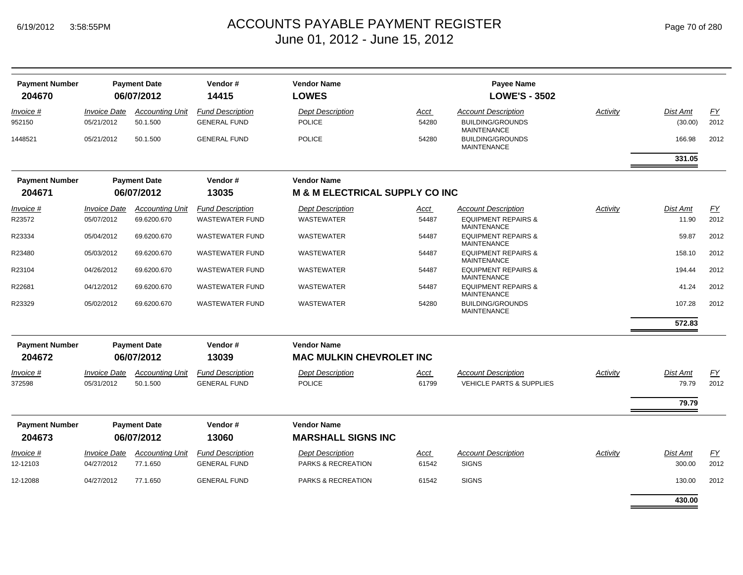| <b>Payment Number</b><br>204670 |                                   | <b>Payment Date</b><br>06/07/2012  | Vendor#<br>14415                               | <b>Vendor Name</b><br><b>LOWES</b>        |               | <b>Payee Name</b><br><b>LOWE'S - 3502</b>             |          |                     |            |
|---------------------------------|-----------------------------------|------------------------------------|------------------------------------------------|-------------------------------------------|---------------|-------------------------------------------------------|----------|---------------------|------------|
|                                 |                                   |                                    |                                                |                                           |               |                                                       |          |                     |            |
| Invoice #<br>952150             | <b>Invoice Date</b><br>05/21/2012 | <b>Accounting Unit</b><br>50.1.500 | <b>Fund Description</b><br><b>GENERAL FUND</b> | <b>Dept Description</b><br><b>POLICE</b>  | Acct<br>54280 | <b>Account Description</b><br><b>BUILDING/GROUNDS</b> | Activity | Dist Amt<br>(30.00) | EY<br>2012 |
|                                 |                                   |                                    |                                                |                                           |               | <b>MAINTENANCE</b>                                    |          |                     |            |
| 1448521                         | 05/21/2012                        | 50.1.500                           | <b>GENERAL FUND</b>                            | <b>POLICE</b>                             | 54280         | <b>BUILDING/GROUNDS</b><br><b>MAINTENANCE</b>         |          | 166.98              | 2012       |
|                                 |                                   |                                    |                                                |                                           |               |                                                       |          | 331.05              |            |
| <b>Payment Number</b>           |                                   | <b>Payment Date</b>                | Vendor#                                        | <b>Vendor Name</b>                        |               |                                                       |          |                     |            |
| 204671                          | 06/07/2012                        |                                    | 13035                                          | <b>M &amp; M ELECTRICAL SUPPLY CO INC</b> |               |                                                       |          |                     |            |
| Invoice #                       | <i><b>Invoice Date</b></i>        | <b>Accounting Unit</b>             | <b>Fund Description</b>                        | <b>Dept Description</b>                   | <u>Acct</u>   | <b>Account Description</b>                            | Activity | Dist Amt            | EY         |
| R23572                          | 05/07/2012                        | 69.6200.670                        | <b>WASTEWATER FUND</b>                         | <b>WASTEWATER</b>                         | 54487         | <b>EQUIPMENT REPAIRS &amp;</b><br><b>MAINTENANCE</b>  |          | 11.90               | 2012       |
| R23334                          | 05/04/2012                        | 69.6200.670                        | <b>WASTEWATER FUND</b>                         | WASTEWATER                                | 54487         | <b>EQUIPMENT REPAIRS &amp;</b><br>MAINTENANCE         |          | 59.87               | 2012       |
| R23480                          | 05/03/2012                        | 69.6200.670                        | <b>WASTEWATER FUND</b>                         | WASTEWATER                                | 54487         | <b>EQUIPMENT REPAIRS &amp;</b><br><b>MAINTENANCE</b>  |          | 158.10              | 2012       |
| R23104                          | 04/26/2012                        | 69.6200.670                        | <b>WASTEWATER FUND</b>                         | WASTEWATER                                | 54487         | <b>EQUIPMENT REPAIRS &amp;</b><br>MAINTENANCE         |          | 194.44              | 2012       |
| R22681                          | 04/12/2012                        | 69.6200.670                        | <b>WASTEWATER FUND</b>                         | WASTEWATER                                | 54487         | <b>EQUIPMENT REPAIRS &amp;</b><br><b>MAINTENANCE</b>  |          | 41.24               | 2012       |
| R23329                          | 05/02/2012                        | 69.6200.670                        | <b>WASTEWATER FUND</b>                         | <b>WASTEWATER</b>                         | 54280         | <b>BUILDING/GROUNDS</b><br><b>MAINTENANCE</b>         |          | 107.28              | 2012       |
|                                 |                                   |                                    |                                                |                                           |               |                                                       |          | 572.83              |            |
| <b>Payment Number</b>           |                                   | <b>Payment Date</b>                | Vendor#                                        | <b>Vendor Name</b>                        |               |                                                       |          |                     |            |
| 204672                          |                                   | 06/07/2012                         | 13039                                          | <b>MAC MULKIN CHEVROLET INC</b>           |               |                                                       |          |                     |            |
| <i>Invoice</i> #                | <i><b>Invoice Date</b></i>        | <b>Accounting Unit</b>             | <b>Fund Description</b>                        | <b>Dept Description</b>                   | Acct          | <b>Account Description</b>                            | Activity | Dist Amt            | <u>FY</u>  |
| 372598                          | 05/31/2012                        | 50.1.500                           | <b>GENERAL FUND</b>                            | <b>POLICE</b>                             | 61799         | <b>VEHICLE PARTS &amp; SUPPLIES</b>                   |          | 79.79               | 2012       |
|                                 |                                   |                                    |                                                |                                           |               |                                                       |          | 79.79               |            |
| <b>Payment Number</b>           |                                   | <b>Payment Date</b>                | Vendor#                                        | <b>Vendor Name</b>                        |               |                                                       |          |                     |            |
| 204673                          |                                   | 06/07/2012                         | 13060                                          | <b>MARSHALL SIGNS INC</b>                 |               |                                                       |          |                     |            |
| Invoice #                       | <b>Invoice Date</b>               | <b>Accounting Unit</b>             | <b>Fund Description</b>                        | <b>Dept Description</b>                   | <u>Acct</u>   | <b>Account Description</b>                            | Activity | Dist Amt            | EY         |
| 12-12103                        | 04/27/2012                        | 77.1.650                           | <b>GENERAL FUND</b>                            | PARKS & RECREATION                        | 61542         | <b>SIGNS</b>                                          |          | 300.00              | 2012       |
| 12-12088                        | 04/27/2012                        | 77.1.650                           | <b>GENERAL FUND</b>                            | PARKS & RECREATION                        | 61542         | <b>SIGNS</b>                                          |          | 130.00              | 2012       |
|                                 |                                   |                                    |                                                |                                           |               |                                                       |          | 430.00              |            |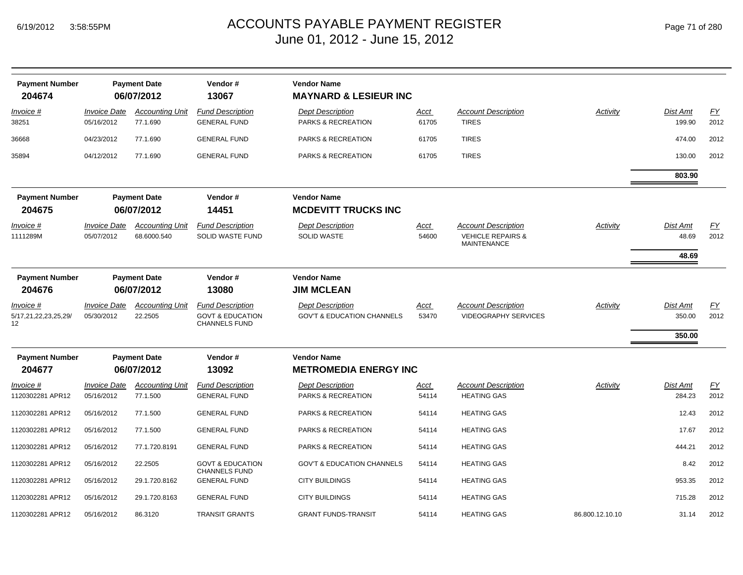| <b>Payment Number</b><br>204674         |                                          | <b>Payment Date</b><br>06/07/2012     | Vendor#<br>13067                                                               | <b>Vendor Name</b><br><b>MAYNARD &amp; LESIEUR INC</b>           |               |                                                                                  |                 |                            |                          |
|-----------------------------------------|------------------------------------------|---------------------------------------|--------------------------------------------------------------------------------|------------------------------------------------------------------|---------------|----------------------------------------------------------------------------------|-----------------|----------------------------|--------------------------|
| Invoice #<br>38251                      | <b>Invoice Date</b><br>05/16/2012        | <b>Accounting Unit</b><br>77.1.690    | <b>Fund Description</b><br><b>GENERAL FUND</b>                                 | <b>Dept Description</b><br>PARKS & RECREATION                    | Acct<br>61705 | <b>Account Description</b><br><b>TIRES</b>                                       | Activity        | Dist Amt<br>199.90         | EY<br>2012               |
| 36668                                   | 04/23/2012                               | 77.1.690                              | <b>GENERAL FUND</b>                                                            | <b>PARKS &amp; RECREATION</b>                                    | 61705         | <b>TIRES</b>                                                                     |                 | 474.00                     | 2012                     |
| 35894                                   | 04/12/2012                               | 77.1.690                              | <b>GENERAL FUND</b>                                                            | <b>PARKS &amp; RECREATION</b>                                    | 61705         | <b>TIRES</b>                                                                     |                 | 130.00                     | 2012                     |
|                                         |                                          |                                       |                                                                                |                                                                  |               |                                                                                  |                 | 803.90                     |                          |
| <b>Payment Number</b><br>204675         | <b>Payment Date</b><br>06/07/2012        |                                       | Vendor#<br>14451                                                               | <b>Vendor Name</b><br><b>MCDEVITT TRUCKS INC</b>                 |               |                                                                                  |                 |                            |                          |
| Invoice #<br>1111289M                   | <b>Invoice Date</b><br>05/07/2012        | <b>Accounting Unit</b><br>68.6000.540 | <b>Fund Description</b><br><b>SOLID WASTE FUND</b>                             | <b>Dept Description</b><br><b>SOLID WASTE</b>                    | Acct<br>54600 | <b>Account Description</b><br><b>VEHICLE REPAIRS &amp;</b><br><b>MAINTENANCE</b> | Activity        | Dist Amt<br>48.69<br>48.69 | <u>FY</u><br>2012        |
| <b>Payment Number</b><br>204676         | <b>Payment Date</b><br>06/07/2012        |                                       | Vendor#<br>13080                                                               | <b>Vendor Name</b><br><b>JIM MCLEAN</b>                          |               |                                                                                  |                 |                            |                          |
| Invoice #<br>5/17,21,22,23,25,29/<br>12 | <i><b>Invoice Date</b></i><br>05/30/2012 | <b>Accounting Unit</b><br>22.2505     | <b>Fund Description</b><br><b>GOVT &amp; EDUCATION</b><br><b>CHANNELS FUND</b> | <b>Dept Description</b><br><b>GOV'T &amp; EDUCATION CHANNELS</b> | Acct<br>53470 | <b>Account Description</b><br><b>VIDEOGRAPHY SERVICES</b>                        | Activity        | Dist Amt<br>350.00         | $\underline{FY}$<br>2012 |
|                                         |                                          |                                       |                                                                                |                                                                  |               |                                                                                  |                 | 350.00                     |                          |
| <b>Payment Number</b><br>204677         |                                          | <b>Payment Date</b><br>06/07/2012     | Vendor#<br>13092                                                               | <b>Vendor Name</b><br><b>METROMEDIA ENERGY INC</b>               |               |                                                                                  |                 |                            |                          |
| <i>Invoice</i> #<br>1120302281 APR12    | <b>Invoice Date</b><br>05/16/2012        | <b>Accounting Unit</b><br>77.1.500    | <b>Fund Description</b><br><b>GENERAL FUND</b>                                 | <b>Dept Description</b><br>PARKS & RECREATION                    | Acct<br>54114 | <b>Account Description</b><br><b>HEATING GAS</b>                                 | Activity        | Dist Amt<br>284.23         | $\underline{FY}$<br>2012 |
| 1120302281 APR12                        | 05/16/2012                               | 77.1.500                              | <b>GENERAL FUND</b>                                                            | PARKS & RECREATION                                               | 54114         | <b>HEATING GAS</b>                                                               |                 | 12.43                      | 2012                     |
| 1120302281 APR12                        | 05/16/2012                               | 77.1.500                              | <b>GENERAL FUND</b>                                                            | PARKS & RECREATION                                               | 54114         | <b>HEATING GAS</b>                                                               |                 | 17.67                      | 2012                     |
| 1120302281 APR12                        | 05/16/2012                               | 77.1.720.8191                         | <b>GENERAL FUND</b>                                                            | PARKS & RECREATION                                               | 54114         | <b>HEATING GAS</b>                                                               |                 | 444.21                     | 2012                     |
| 1120302281 APR12                        | 05/16/2012                               | 22.2505                               | <b>GOVT &amp; EDUCATION</b><br><b>CHANNELS FUND</b>                            | <b>GOV'T &amp; EDUCATION CHANNELS</b>                            | 54114         | <b>HEATING GAS</b>                                                               |                 | 8.42                       | 2012                     |
| 1120302281 APR12                        | 05/16/2012                               | 29.1.720.8162                         | <b>GENERAL FUND</b>                                                            | <b>CITY BUILDINGS</b>                                            | 54114         | <b>HEATING GAS</b>                                                               |                 | 953.35                     | 2012                     |
| 1120302281 APR12                        | 05/16/2012                               | 29.1.720.8163                         | <b>GENERAL FUND</b>                                                            | <b>CITY BUILDINGS</b>                                            | 54114         | <b>HEATING GAS</b>                                                               |                 | 715.28                     | 2012                     |
| 1120302281 APR12                        | 05/16/2012                               | 86.3120                               | <b>TRANSIT GRANTS</b>                                                          | <b>GRANT FUNDS-TRANSIT</b>                                       | 54114         | <b>HEATING GAS</b>                                                               | 86.800.12.10.10 | 31.14                      | 2012                     |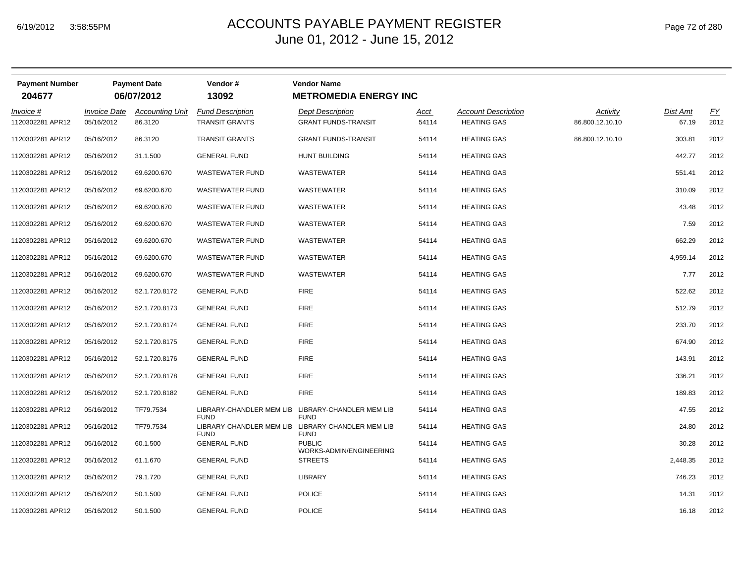# ACCOUNTS PAYABLE PAYMENT REGISTER Page 72 of 280 June 01, 2012 - June 15, 2012

| <b>Payment Number</b><br>204677 | <b>Payment Date</b><br>06/07/2012 |                                   | Vendor#<br>13092                                 | <b>Vendor Name</b><br><b>METROMEDIA ENERGY INC</b>    |               |                                                  |                             |                   |            |
|---------------------------------|-----------------------------------|-----------------------------------|--------------------------------------------------|-------------------------------------------------------|---------------|--------------------------------------------------|-----------------------------|-------------------|------------|
| Invoice #<br>1120302281 APR12   | <b>Invoice Date</b><br>05/16/2012 | <b>Accounting Unit</b><br>86.3120 | <b>Fund Description</b><br><b>TRANSIT GRANTS</b> | <b>Dept Description</b><br><b>GRANT FUNDS-TRANSIT</b> | Acct<br>54114 | <b>Account Description</b><br><b>HEATING GAS</b> | Activity<br>86.800.12.10.10 | Dist Amt<br>67.19 | EY<br>2012 |
| 1120302281 APR12                | 05/16/2012                        | 86.3120                           | <b>TRANSIT GRANTS</b>                            | <b>GRANT FUNDS-TRANSIT</b>                            | 54114         | <b>HEATING GAS</b>                               | 86.800.12.10.10             | 303.81            | 2012       |
| 1120302281 APR12                | 05/16/2012                        | 31.1.500                          | <b>GENERAL FUND</b>                              | <b>HUNT BUILDING</b>                                  | 54114         | <b>HEATING GAS</b>                               |                             | 442.77            | 2012       |
| 1120302281 APR12                | 05/16/2012                        | 69.6200.670                       | <b>WASTEWATER FUND</b>                           | WASTEWATER                                            | 54114         | <b>HEATING GAS</b>                               |                             | 551.41            | 2012       |
| 1120302281 APR12                | 05/16/2012                        | 69.6200.670                       | <b>WASTEWATER FUND</b>                           | WASTEWATER                                            | 54114         | <b>HEATING GAS</b>                               |                             | 310.09            | 2012       |
| 1120302281 APR12                | 05/16/2012                        | 69.6200.670                       | <b>WASTEWATER FUND</b>                           | WASTEWATER                                            | 54114         | <b>HEATING GAS</b>                               |                             | 43.48             | 2012       |
| 1120302281 APR12                | 05/16/2012                        | 69.6200.670                       | <b>WASTEWATER FUND</b>                           | <b>WASTEWATER</b>                                     | 54114         | <b>HEATING GAS</b>                               |                             | 7.59              | 2012       |
| 1120302281 APR12                | 05/16/2012                        | 69.6200.670                       | <b>WASTEWATER FUND</b>                           | WASTEWATER                                            | 54114         | <b>HEATING GAS</b>                               |                             | 662.29            | 2012       |
| 1120302281 APR12                | 05/16/2012                        | 69.6200.670                       | <b>WASTEWATER FUND</b>                           | WASTEWATER                                            | 54114         | <b>HEATING GAS</b>                               |                             | 4,959.14          | 2012       |
| 1120302281 APR12                | 05/16/2012                        | 69.6200.670                       | <b>WASTEWATER FUND</b>                           | WASTEWATER                                            | 54114         | <b>HEATING GAS</b>                               |                             | 7.77              | 2012       |
| 1120302281 APR12                | 05/16/2012                        | 52.1.720.8172                     | <b>GENERAL FUND</b>                              | <b>FIRE</b>                                           | 54114         | <b>HEATING GAS</b>                               |                             | 522.62            | 2012       |
| 1120302281 APR12                | 05/16/2012                        | 52.1.720.8173                     | <b>GENERAL FUND</b>                              | <b>FIRE</b>                                           | 54114         | <b>HEATING GAS</b>                               |                             | 512.79            | 2012       |
| 1120302281 APR12                | 05/16/2012                        | 52.1.720.8174                     | <b>GENERAL FUND</b>                              | <b>FIRE</b>                                           | 54114         | <b>HEATING GAS</b>                               |                             | 233.70            | 2012       |
| 1120302281 APR12                | 05/16/2012                        | 52.1.720.8175                     | <b>GENERAL FUND</b>                              | <b>FIRE</b>                                           | 54114         | <b>HEATING GAS</b>                               |                             | 674.90            | 2012       |
| 1120302281 APR12                | 05/16/2012                        | 52.1.720.8176                     | <b>GENERAL FUND</b>                              | <b>FIRE</b>                                           | 54114         | <b>HEATING GAS</b>                               |                             | 143.91            | 2012       |
| 1120302281 APR12                | 05/16/2012                        | 52.1.720.8178                     | <b>GENERAL FUND</b>                              | <b>FIRE</b>                                           | 54114         | <b>HEATING GAS</b>                               |                             | 336.21            | 2012       |
| 1120302281 APR12                | 05/16/2012                        | 52.1.720.8182                     | <b>GENERAL FUND</b>                              | <b>FIRE</b>                                           | 54114         | <b>HEATING GAS</b>                               |                             | 189.83            | 2012       |
| 1120302281 APR12                | 05/16/2012                        | TF79.7534                         |                                                  | LIBRARY-CHANDLER MEM LIB LIBRARY-CHANDLER MEM LIB     | 54114         | <b>HEATING GAS</b>                               |                             | 47.55             | 2012       |
| 1120302281 APR12                | 05/16/2012                        | TF79.7534                         | <b>FUND</b><br>LIBRARY-CHANDLER MEM LIB          | <b>FUND</b><br>LIBRARY-CHANDLER MEM LIB               | 54114         | <b>HEATING GAS</b>                               |                             | 24.80             | 2012       |
| 1120302281 APR12                | 05/16/2012                        | 60.1.500                          | <b>FUND</b><br><b>GENERAL FUND</b>               | <b>FUND</b><br><b>PUBLIC</b>                          | 54114         | <b>HEATING GAS</b>                               |                             | 30.28             | 2012       |
| 1120302281 APR12                | 05/16/2012                        | 61.1.670                          | <b>GENERAL FUND</b>                              | WORKS-ADMIN/ENGINEERING<br><b>STREETS</b>             | 54114         | <b>HEATING GAS</b>                               |                             | 2,448.35          | 2012       |
| 1120302281 APR12                | 05/16/2012                        | 79.1.720                          | <b>GENERAL FUND</b>                              | LIBRARY                                               | 54114         | <b>HEATING GAS</b>                               |                             | 746.23            | 2012       |
| 1120302281 APR12                | 05/16/2012                        | 50.1.500                          | <b>GENERAL FUND</b>                              | <b>POLICE</b>                                         | 54114         | <b>HEATING GAS</b>                               |                             | 14.31             | 2012       |
| 1120302281 APR12                | 05/16/2012                        | 50.1.500                          | <b>GENERAL FUND</b>                              | <b>POLICE</b>                                         | 54114         | <b>HEATING GAS</b>                               |                             | 16.18             | 2012       |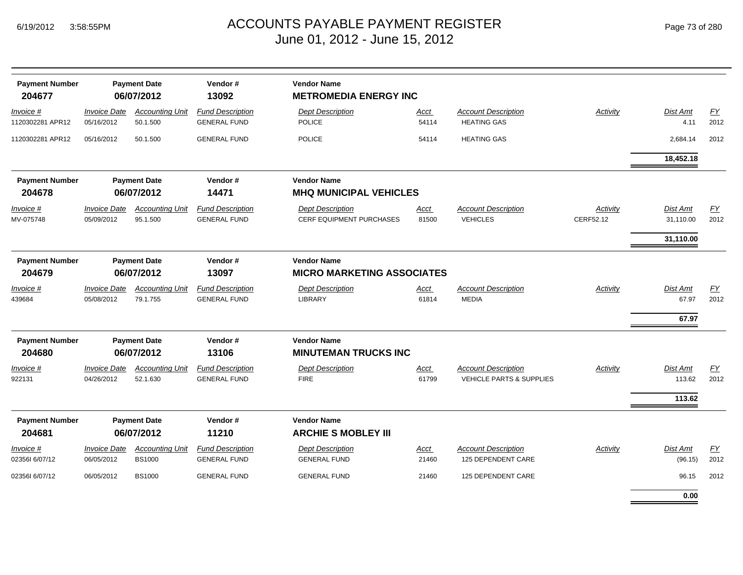|  | Page 73 of 280 |  |  |  |
|--|----------------|--|--|--|
|--|----------------|--|--|--|

| <b>Payment Number</b><br>204677 |                                   | <b>Payment Date</b><br>06/07/2012       | Vendor#<br>13092                               | <b>Vendor Name</b><br><b>METROMEDIA ENERGY INC</b>      |                      |                                                                   |                       |                              |                   |
|---------------------------------|-----------------------------------|-----------------------------------------|------------------------------------------------|---------------------------------------------------------|----------------------|-------------------------------------------------------------------|-----------------------|------------------------------|-------------------|
| Invoice #<br>1120302281 APR12   | <b>Invoice Date</b><br>05/16/2012 | <b>Accounting Unit</b><br>50.1.500      | <b>Fund Description</b><br><b>GENERAL FUND</b> | <b>Dept Description</b><br><b>POLICE</b>                | Acct<br>54114        | <b>Account Description</b><br><b>HEATING GAS</b>                  | <b>Activity</b>       | Dist Amt<br>4.11             | EY<br>2012        |
| 1120302281 APR12                | 05/16/2012                        | 50.1.500                                | <b>GENERAL FUND</b>                            | <b>POLICE</b>                                           | 54114                | <b>HEATING GAS</b>                                                |                       | 2,684.14                     | 2012              |
|                                 |                                   |                                         |                                                |                                                         |                      |                                                                   |                       | 18,452.18                    |                   |
| <b>Payment Number</b><br>204678 |                                   | <b>Payment Date</b><br>06/07/2012       | Vendor#<br>14471                               | <b>Vendor Name</b><br><b>MHQ MUNICIPAL VEHICLES</b>     |                      |                                                                   |                       |                              |                   |
| Invoice #<br>MV-075748          | <b>Invoice Date</b><br>05/09/2012 | <b>Accounting Unit</b><br>95.1.500      | <b>Fund Description</b><br><b>GENERAL FUND</b> | <b>Dept Description</b><br>CERF EQUIPMENT PURCHASES     | Acct<br>81500        | <b>Account Description</b><br><b>VEHICLES</b>                     | Activity<br>CERF52.12 | Dist Amt<br>31,110.00        | <u>FY</u><br>2012 |
|                                 |                                   |                                         |                                                |                                                         |                      |                                                                   |                       | 31,110.00                    |                   |
| <b>Payment Number</b><br>204679 |                                   | <b>Payment Date</b><br>06/07/2012       | Vendor#<br>13097                               | <b>Vendor Name</b><br><b>MICRO MARKETING ASSOCIATES</b> |                      |                                                                   |                       |                              |                   |
| $Invoice$ #<br>439684           | <b>Invoice Date</b><br>05/08/2012 | <b>Accounting Unit</b><br>79.1.755      | <b>Fund Description</b><br><b>GENERAL FUND</b> | <b>Dept Description</b><br>LIBRARY                      | <u>Acct</u><br>61814 | <b>Account Description</b><br><b>MEDIA</b>                        | Activity              | Dist Amt<br>67.97<br>67.97   | <u>FY</u><br>2012 |
| <b>Payment Number</b><br>204680 |                                   | <b>Payment Date</b><br>06/07/2012       | Vendor#<br>13106                               | <b>Vendor Name</b><br><b>MINUTEMAN TRUCKS INC</b>       |                      |                                                                   |                       |                              |                   |
| Invoice #<br>922131             | <b>Invoice Date</b><br>04/26/2012 | <b>Accounting Unit</b><br>52.1.630      | <b>Fund Description</b><br><b>GENERAL FUND</b> | <b>Dept Description</b><br><b>FIRE</b>                  | <b>Acct</b><br>61799 | <b>Account Description</b><br><b>VEHICLE PARTS &amp; SUPPLIES</b> | <b>Activity</b>       | Dist Amt<br>113.62<br>113.62 | EY<br>2012        |
| <b>Payment Number</b><br>204681 |                                   | <b>Payment Date</b><br>06/07/2012       | Vendor#<br>11210                               | <b>Vendor Name</b><br><b>ARCHIE S MOBLEY III</b>        |                      |                                                                   |                       |                              |                   |
| Invoice #<br>023561 6/07/12     | <b>Invoice Date</b><br>06/05/2012 | <b>Accounting Unit</b><br><b>BS1000</b> | <b>Fund Description</b><br><b>GENERAL FUND</b> | <b>Dept Description</b><br><b>GENERAL FUND</b>          | Acct<br>21460        | <b>Account Description</b><br>125 DEPENDENT CARE                  | Activity              | Dist Amt<br>(96.15)          | <u>FY</u><br>2012 |
| 023561 6/07/12                  | 06/05/2012                        | <b>BS1000</b>                           | <b>GENERAL FUND</b>                            | <b>GENERAL FUND</b>                                     | 21460                | 125 DEPENDENT CARE                                                |                       | 96.15                        | 2012              |
|                                 |                                   |                                         |                                                |                                                         |                      |                                                                   |                       | 0.00                         |                   |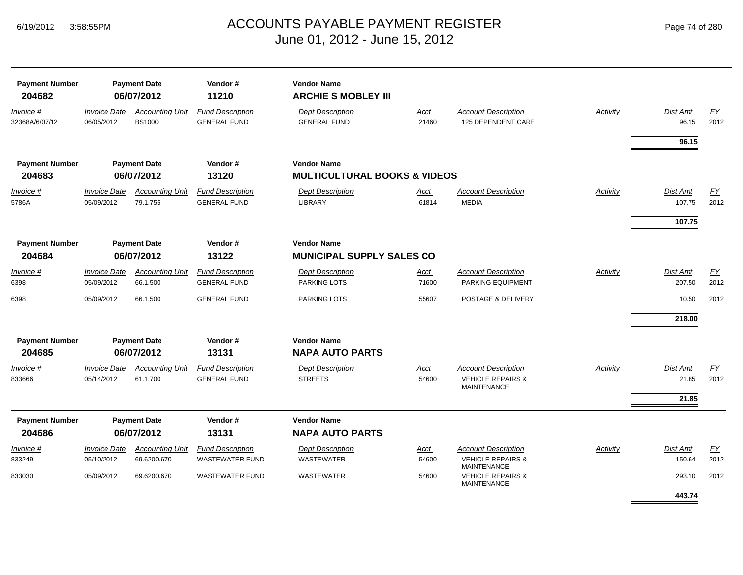| <b>Payment Number</b><br>204682 |                                   | <b>Payment Date</b><br>06/07/2012       | Vendor#<br>11210                               | <b>Vendor Name</b><br><b>ARCHIE S MOBLEY III</b> |                      |                                                                                  |                 |                          |                          |
|---------------------------------|-----------------------------------|-----------------------------------------|------------------------------------------------|--------------------------------------------------|----------------------|----------------------------------------------------------------------------------|-----------------|--------------------------|--------------------------|
| Invoice #<br>32368A/6/07/12     | <b>Invoice Date</b><br>06/05/2012 | <b>Accounting Unit</b><br><b>BS1000</b> | <b>Fund Description</b><br><b>GENERAL FUND</b> | <b>Dept Description</b><br><b>GENERAL FUND</b>   | <b>Acct</b><br>21460 | <b>Account Description</b><br>125 DEPENDENT CARE                                 | Activity        | <b>Dist Amt</b><br>96.15 | EY<br>2012               |
|                                 |                                   |                                         |                                                |                                                  |                      |                                                                                  |                 | 96.15                    |                          |
| <b>Payment Number</b>           |                                   | <b>Payment Date</b>                     | Vendor#                                        | <b>Vendor Name</b>                               |                      |                                                                                  |                 |                          |                          |
| 204683                          |                                   | 06/07/2012                              | 13120                                          | <b>MULTICULTURAL BOOKS &amp; VIDEOS</b>          |                      |                                                                                  |                 |                          |                          |
| Invoice #                       | <b>Invoice Date</b>               | <b>Accounting Unit</b>                  | <b>Fund Description</b>                        | <b>Dept Description</b>                          | Acct                 | <b>Account Description</b>                                                       | <b>Activity</b> | Dist Amt                 | EY                       |
| 5786A                           | 05/09/2012                        | 79.1.755                                | <b>GENERAL FUND</b>                            | <b>LIBRARY</b>                                   | 61814                | <b>MEDIA</b>                                                                     |                 | 107.75                   | 2012                     |
|                                 |                                   |                                         |                                                |                                                  |                      |                                                                                  |                 | 107.75                   |                          |
| <b>Payment Number</b>           |                                   | <b>Payment Date</b>                     | Vendor#                                        | <b>Vendor Name</b>                               |                      |                                                                                  |                 |                          |                          |
| 204684                          |                                   | 06/07/2012                              | 13122                                          | <b>MUNICIPAL SUPPLY SALES CO</b>                 |                      |                                                                                  |                 |                          |                          |
| Invoice #                       | <b>Invoice Date</b>               | <b>Accounting Unit</b>                  | <b>Fund Description</b>                        | <b>Dept Description</b>                          | Acct                 | <b>Account Description</b>                                                       | Activity        | <b>Dist Amt</b>          | FY                       |
| 6398                            | 05/09/2012                        | 66.1.500                                | <b>GENERAL FUND</b>                            | <b>PARKING LOTS</b>                              | 71600                | PARKING EQUIPMENT                                                                |                 | 207.50                   | 2012                     |
| 6398                            | 05/09/2012                        | 66.1.500                                | <b>GENERAL FUND</b>                            | <b>PARKING LOTS</b>                              | 55607                | POSTAGE & DELIVERY                                                               |                 | 10.50                    | 2012                     |
|                                 |                                   |                                         |                                                |                                                  |                      |                                                                                  |                 | 218.00                   |                          |
| <b>Payment Number</b>           |                                   | <b>Payment Date</b>                     | Vendor#                                        | <b>Vendor Name</b>                               |                      |                                                                                  |                 |                          |                          |
| 204685                          |                                   | 06/07/2012                              | 13131                                          | <b>NAPA AUTO PARTS</b>                           |                      |                                                                                  |                 |                          |                          |
| <u>Invoice #</u><br>833666      | <b>Invoice Date</b><br>05/14/2012 | <b>Accounting Unit</b><br>61.1.700      | <b>Fund Description</b><br><b>GENERAL FUND</b> | <b>Dept Description</b><br><b>STREETS</b>        | <b>Acct</b><br>54600 | <b>Account Description</b><br><b>VEHICLE REPAIRS &amp;</b><br><b>MAINTENANCE</b> | Activity        | Dist Amt<br>21.85        | $\underline{FY}$<br>2012 |
|                                 |                                   |                                         |                                                |                                                  |                      |                                                                                  |                 | 21.85                    |                          |
| <b>Payment Number</b><br>204686 |                                   | <b>Payment Date</b><br>06/07/2012       | Vendor#<br>13131                               | <b>Vendor Name</b><br><b>NAPA AUTO PARTS</b>     |                      |                                                                                  |                 |                          |                          |
| Invoice #                       | <i><b>Invoice Date</b></i>        | <b>Accounting Unit</b>                  | <b>Fund Description</b>                        | <b>Dept Description</b>                          | Acct                 | <b>Account Description</b>                                                       | Activity        | <b>Dist Amt</b>          | EY                       |
| 833249                          | 05/10/2012                        | 69.6200.670                             | <b>WASTEWATER FUND</b>                         | WASTEWATER                                       | 54600                | <b>VEHICLE REPAIRS &amp;</b><br><b>MAINTENANCE</b>                               |                 | 150.64                   | 2012                     |
| 833030                          | 05/09/2012                        | 69.6200.670                             | <b>WASTEWATER FUND</b>                         | <b>WASTEWATER</b>                                | 54600                | <b>VEHICLE REPAIRS &amp;</b><br><b>MAINTENANCE</b>                               |                 | 293.10                   | 2012                     |
|                                 |                                   |                                         |                                                |                                                  |                      |                                                                                  |                 | 443.74                   |                          |
|                                 |                                   |                                         |                                                |                                                  |                      |                                                                                  |                 |                          |                          |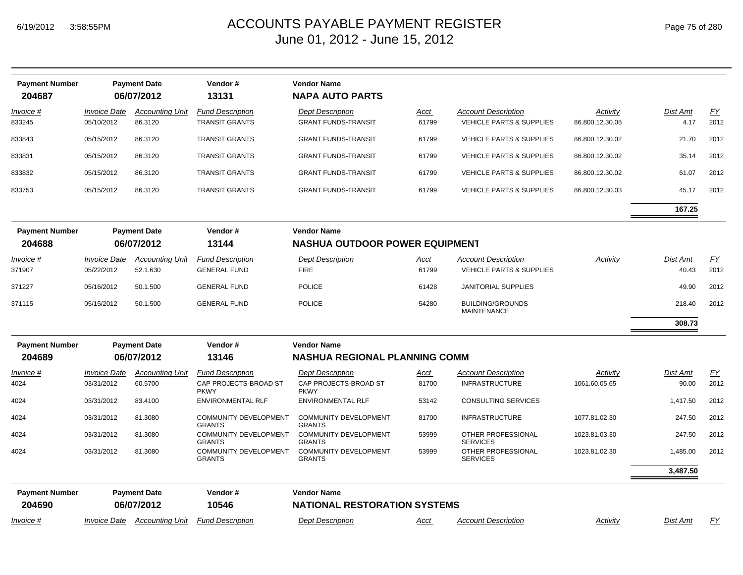| <b>Payment Number</b><br>204687 |                                          | <b>Payment Date</b><br>06/07/2012  | Vendor#<br>13131                                                | <b>Vendor Name</b><br><b>NAPA AUTO PARTS</b>                    |                      |                                                                   |                             |                          |                   |
|---------------------------------|------------------------------------------|------------------------------------|-----------------------------------------------------------------|-----------------------------------------------------------------|----------------------|-------------------------------------------------------------------|-----------------------------|--------------------------|-------------------|
| <i>Invoice</i> #<br>833245      | <i><b>Invoice Date</b></i><br>05/10/2012 | <b>Accounting Unit</b><br>86.3120  | <b>Fund Description</b><br><b>TRANSIT GRANTS</b>                | <b>Dept Description</b><br><b>GRANT FUNDS-TRANSIT</b>           | Acct<br>61799        | <b>Account Description</b><br>VEHICLE PARTS & SUPPLIES            | Activity<br>86.800.12.30.05 | Dist Amt<br>4.17         | EY<br>2012        |
| 833843                          | 05/15/2012                               | 86.3120                            | <b>TRANSIT GRANTS</b>                                           | <b>GRANT FUNDS-TRANSIT</b>                                      | 61799                | <b>VEHICLE PARTS &amp; SUPPLIES</b>                               | 86.800.12.30.02             | 21.70                    | 2012              |
| 833831                          | 05/15/2012                               | 86.3120                            | <b>TRANSIT GRANTS</b>                                           | <b>GRANT FUNDS-TRANSIT</b>                                      | 61799                | <b>VEHICLE PARTS &amp; SUPPLIES</b>                               | 86.800.12.30.02             | 35.14                    | 2012              |
| 833832                          | 05/15/2012                               | 86.3120                            | <b>TRANSIT GRANTS</b>                                           | <b>GRANT FUNDS-TRANSIT</b>                                      | 61799                | <b>VEHICLE PARTS &amp; SUPPLIES</b>                               | 86.800.12.30.02             | 61.07                    | 2012              |
| 833753                          | 05/15/2012                               | 86.3120                            | <b>TRANSIT GRANTS</b>                                           | <b>GRANT FUNDS-TRANSIT</b>                                      | 61799                | <b>VEHICLE PARTS &amp; SUPPLIES</b>                               | 86.800.12.30.03             | 45.17                    | 2012              |
|                                 |                                          |                                    |                                                                 |                                                                 |                      |                                                                   |                             | 167.25                   |                   |
| <b>Payment Number</b>           |                                          | <b>Payment Date</b>                | Vendor#                                                         | <b>Vendor Name</b>                                              |                      |                                                                   |                             |                          |                   |
| 204688                          |                                          | 06/07/2012                         | 13144                                                           | <b>NASHUA OUTDOOR POWER EQUIPMENT</b>                           |                      |                                                                   |                             |                          |                   |
| Invoice #<br>371907             | <i><b>Invoice Date</b></i><br>05/22/2012 | <b>Accounting Unit</b><br>52.1.630 | <b>Fund Description</b><br><b>GENERAL FUND</b>                  | <b>Dept Description</b><br><b>FIRE</b>                          | Acct<br>61799        | <b>Account Description</b><br><b>VEHICLE PARTS &amp; SUPPLIES</b> | Activity                    | Dist Amt<br>40.43        | <u>FY</u><br>2012 |
| 371227                          | 05/16/2012                               | 50.1.500                           | <b>GENERAL FUND</b>                                             | <b>POLICE</b>                                                   | 61428                | <b>JANITORIAL SUPPLIES</b>                                        |                             | 49.90                    | 2012              |
| 371115                          | 05/15/2012                               | 50.1.500                           | <b>GENERAL FUND</b>                                             | <b>POLICE</b>                                                   | 54280                | <b>BUILDING/GROUNDS</b><br><b>MAINTENANCE</b>                     |                             | 218.40                   | 2012              |
|                                 |                                          |                                    |                                                                 |                                                                 |                      |                                                                   |                             | 308.73                   |                   |
| <b>Payment Number</b>           |                                          | <b>Payment Date</b>                | Vendor#                                                         | <b>Vendor Name</b>                                              |                      |                                                                   |                             |                          |                   |
| 204689                          |                                          | 06/07/2012                         | 13146                                                           | <b>NASHUA REGIONAL PLANNING COMM</b>                            |                      |                                                                   |                             |                          |                   |
| <i>Invoice</i> #<br>4024        | <b>Invoice Date</b><br>03/31/2012        | <b>Accounting Unit</b><br>60.5700  | <b>Fund Description</b><br>CAP PROJECTS-BROAD ST<br><b>PKWY</b> | <b>Dept Description</b><br>CAP PROJECTS-BROAD ST<br><b>PKWY</b> | <u>Acct</u><br>81700 | Account Description<br><b>INFRASTRUCTURE</b>                      | Activity<br>1061.60.05.65   | <b>Dist Amt</b><br>90.00 | <u>FY</u><br>2012 |
| 4024                            | 03/31/2012                               | 83.4100                            | <b>ENVIRONMENTAL RLF</b>                                        | <b>ENVIRONMENTAL RLF</b>                                        | 53142                | <b>CONSULTING SERVICES</b>                                        |                             | 1,417.50                 | 2012              |
| 4024                            | 03/31/2012                               | 81.3080                            | <b>COMMUNITY DEVELOPMENT</b><br><b>GRANTS</b>                   | <b>COMMUNITY DEVELOPMENT</b><br><b>GRANTS</b>                   | 81700                | <b>INFRASTRUCTURE</b>                                             | 1077.81.02.30               | 247.50                   | 2012              |
| 4024                            | 03/31/2012                               | 81.3080                            | COMMUNITY DEVELOPMENT<br><b>GRANTS</b>                          | <b>COMMUNITY DEVELOPMENT</b><br><b>GRANTS</b>                   | 53999                | OTHER PROFESSIONAL<br><b>SERVICES</b>                             | 1023.81.03.30               | 247.50                   | 2012              |
| 4024                            | 03/31/2012                               | 81.3080                            | COMMUNITY DEVELOPMENT<br><b>GRANTS</b>                          | <b>COMMUNITY DEVELOPMENT</b><br><b>GRANTS</b>                   | 53999                | OTHER PROFESSIONAL<br><b>SERVICES</b>                             | 1023.81.02.30               | 1,485.00                 | 2012              |
|                                 |                                          |                                    |                                                                 |                                                                 |                      |                                                                   |                             | 3,487.50                 |                   |
| <b>Payment Number</b>           |                                          | <b>Payment Date</b>                | Vendor#                                                         | <b>Vendor Name</b>                                              |                      |                                                                   |                             |                          |                   |
| 204690                          |                                          | 06/07/2012                         | 10546                                                           | <b>NATIONAL RESTORATION SYSTEMS</b>                             |                      |                                                                   |                             |                          |                   |
| Invoice #                       | Invoice Date                             | <b>Accounting Unit</b>             | <b>Fund Description</b>                                         | <b>Dept Description</b>                                         | Acct                 | <b>Account Description</b>                                        | Activity                    | <b>Dist Amt</b>          | FΥ                |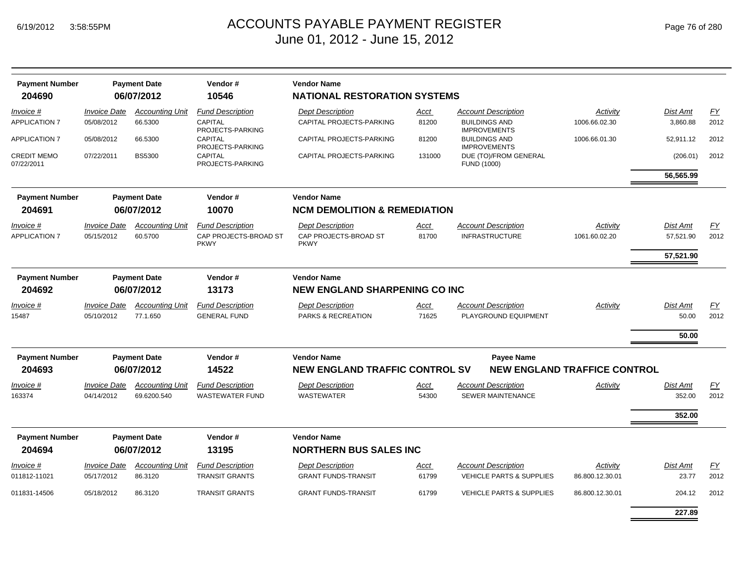| Page 76 of 280 |  |  |  |  |
|----------------|--|--|--|--|
|----------------|--|--|--|--|

| <b>Payment Number</b>            |                     | <b>Payment Date</b>    | Vendor#                              | <b>Vendor Name</b>                      |             |                                             |                 |                 |           |
|----------------------------------|---------------------|------------------------|--------------------------------------|-----------------------------------------|-------------|---------------------------------------------|-----------------|-----------------|-----------|
| 204690                           |                     | 06/07/2012             | 10546                                | <b>NATIONAL RESTORATION SYSTEMS</b>     |             |                                             |                 |                 |           |
| Invoice #                        | <b>Invoice Date</b> | <b>Accounting Unit</b> | <b>Fund Description</b>              | <b>Dept Description</b>                 | <u>Acct</u> | <b>Account Description</b>                  | Activity        | Dist Amt        | EY        |
| <b>APPLICATION 7</b>             | 05/08/2012          | 66.5300                | CAPITAL<br>PROJECTS-PARKING          | CAPITAL PROJECTS-PARKING                | 81200       | <b>BUILDINGS AND</b><br><b>IMPROVEMENTS</b> | 1006.66.02.30   | 3.860.88        | 2012      |
| <b>APPLICATION 7</b>             | 05/08/2012          | 66.5300                | CAPITAL<br>PROJECTS-PARKING          | CAPITAL PROJECTS-PARKING                | 81200       | <b>BUILDINGS AND</b><br><b>IMPROVEMENTS</b> | 1006.66.01.30   | 52,911.12       | 2012      |
| <b>CREDIT MEMO</b><br>07/22/2011 | 07/22/2011          | <b>BS5300</b>          | <b>CAPITAL</b><br>PROJECTS-PARKING   | CAPITAL PROJECTS-PARKING                | 131000      | DUE (TO)/FROM GENERAL<br>FUND (1000)        |                 | (206.01)        | 2012      |
|                                  |                     |                        |                                      |                                         |             |                                             |                 | 56,565.99       |           |
| <b>Payment Number</b>            |                     | <b>Payment Date</b>    | Vendor#                              | <b>Vendor Name</b>                      |             |                                             |                 |                 |           |
| 204691                           |                     | 06/07/2012             | 10070                                | <b>NCM DEMOLITION &amp; REMEDIATION</b> |             |                                             |                 |                 |           |
| Invoice #                        | <b>Invoice Date</b> | <b>Accounting Unit</b> | <b>Fund Description</b>              | <b>Dept Description</b>                 | <u>Acct</u> | <b>Account Description</b>                  | Activity        | <b>Dist Amt</b> | <u>FY</u> |
| <b>APPLICATION 7</b>             | 05/15/2012          | 60.5700                | CAP PROJECTS-BROAD ST<br><b>PKWY</b> | CAP PROJECTS-BROAD ST<br><b>PKWY</b>    | 81700       | <b>INFRASTRUCTURE</b>                       | 1061.60.02.20   | 57,521.90       | 2012      |
|                                  |                     |                        |                                      |                                         |             |                                             |                 | 57,521.90       |           |
| <b>Payment Number</b>            |                     | <b>Payment Date</b>    | Vendor#                              | <b>Vendor Name</b>                      |             |                                             |                 |                 |           |
| 204692                           |                     | 06/07/2012             | 13173                                | <b>NEW ENGLAND SHARPENING CO INC</b>    |             |                                             |                 |                 |           |
| <i>Invoice</i> #                 | <b>Invoice Date</b> | <b>Accounting Unit</b> | <b>Fund Description</b>              | <b>Dept Description</b>                 | <u>Acct</u> | <b>Account Description</b>                  | <b>Activity</b> | Dist Amt        | <u>FY</u> |
| 15487                            | 05/10/2012          | 77.1.650               | <b>GENERAL FUND</b>                  | <b>PARKS &amp; RECREATION</b>           | 71625       | PLAYGROUND EQUIPMENT                        |                 | 50.00           | 2012      |
|                                  |                     |                        |                                      |                                         |             |                                             |                 | 50.00           |           |
| <b>Payment Number</b>            |                     | <b>Payment Date</b>    | Vendor#                              | <b>Vendor Name</b>                      |             | <b>Payee Name</b>                           |                 |                 |           |
| 204693                           |                     | 06/07/2012             | 14522                                | <b>NEW ENGLAND TRAFFIC CONTROL SV</b>   |             | <b>NEW ENGLAND TRAFFICE CONTROL</b>         |                 |                 |           |
| Invoice #                        | <b>Invoice Date</b> | <b>Accounting Unit</b> | <b>Fund Description</b>              | <b>Dept Description</b>                 | Acct        | <b>Account Description</b>                  | Activity        | Dist Amt        | EY        |
| 163374                           | 04/14/2012          | 69.6200.540            | <b>WASTEWATER FUND</b>               | <b>WASTEWATER</b>                       | 54300       | <b>SEWER MAINTENANCE</b>                    |                 | 352.00          | 2012      |
|                                  |                     |                        |                                      |                                         |             |                                             |                 | 352.00          |           |
|                                  |                     |                        |                                      |                                         |             |                                             |                 |                 |           |
| <b>Payment Number</b>            |                     | <b>Payment Date</b>    | Vendor#                              | <b>Vendor Name</b>                      |             |                                             |                 |                 |           |
| 204694                           |                     | 06/07/2012             | 13195                                | <b>NORTHERN BUS SALES INC</b>           |             |                                             |                 |                 |           |
| <i>Invoice</i> #                 | <b>Invoice Date</b> | <b>Accounting Unit</b> | <b>Fund Description</b>              | <b>Dept Description</b>                 | Acct        | <b>Account Description</b>                  | Activity        | <b>Dist Amt</b> | <u>FY</u> |
| 011812-11021                     | 05/17/2012          | 86.3120                | <b>TRANSIT GRANTS</b>                | <b>GRANT FUNDS-TRANSIT</b>              | 61799       | <b>VEHICLE PARTS &amp; SUPPLIES</b>         | 86.800.12.30.01 | 23.77           | 2012      |
| 011831-14506                     | 05/18/2012          | 86.3120                | <b>TRANSIT GRANTS</b>                | <b>GRANT FUNDS-TRANSIT</b>              | 61799       | <b>VEHICLE PARTS &amp; SUPPLIES</b>         | 86.800.12.30.01 | 204.12          | 2012      |
|                                  |                     |                        |                                      |                                         |             |                                             |                 | 227.89          |           |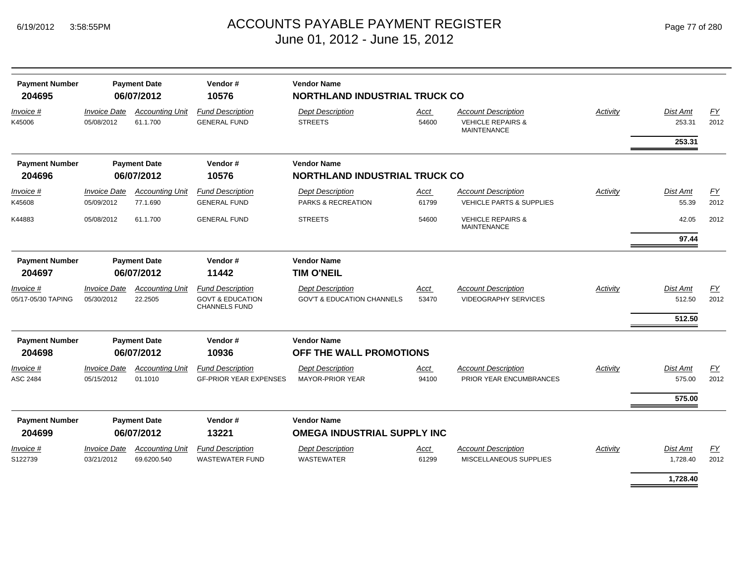# ACCOUNTS PAYABLE PAYMENT REGISTER Page 77 of 280 June 01, 2012 - June 15, 2012

| <b>Payment Number</b><br>204695 |                                   | <b>Payment Date</b><br>06/07/2012     | Vendor#<br>10576                                                               | <b>Vendor Name</b><br><b>NORTHLAND INDUSTRIAL TRUCK CO</b>       |                      |                                                                                  |          |                              |                   |
|---------------------------------|-----------------------------------|---------------------------------------|--------------------------------------------------------------------------------|------------------------------------------------------------------|----------------------|----------------------------------------------------------------------------------|----------|------------------------------|-------------------|
| Invoice #<br>K45006             | <b>Invoice Date</b><br>05/08/2012 | <b>Accounting Unit</b><br>61.1.700    | <b>Fund Description</b><br><b>GENERAL FUND</b>                                 | <b>Dept Description</b><br><b>STREETS</b>                        | Acct<br>54600        | <b>Account Description</b><br><b>VEHICLE REPAIRS &amp;</b><br><b>MAINTENANCE</b> | Activity | Dist Amt<br>253.31           | EY<br>2012        |
|                                 |                                   |                                       |                                                                                |                                                                  |                      |                                                                                  |          | 253.31                       |                   |
| <b>Payment Number</b><br>204696 |                                   | <b>Payment Date</b><br>06/07/2012     | Vendor#<br>10576                                                               | <b>Vendor Name</b><br><b>NORTHLAND INDUSTRIAL TRUCK CO</b>       |                      |                                                                                  |          |                              |                   |
| Invoice #<br>K45608             | <b>Invoice Date</b><br>05/09/2012 | <b>Accounting Unit</b><br>77.1.690    | <b>Fund Description</b><br><b>GENERAL FUND</b>                                 | <b>Dept Description</b><br>PARKS & RECREATION                    | <u>Acct</u><br>61799 | <b>Account Description</b><br><b>VEHICLE PARTS &amp; SUPPLIES</b>                | Activity | <b>Dist Amt</b><br>55.39     | <b>FY</b><br>2012 |
| K44883                          | 05/08/2012                        | 61.1.700                              | <b>GENERAL FUND</b>                                                            | <b>STREETS</b>                                                   | 54600                | <b>VEHICLE REPAIRS &amp;</b><br><b>MAINTENANCE</b>                               |          | 42.05                        | 2012              |
|                                 |                                   |                                       |                                                                                |                                                                  |                      |                                                                                  |          | 97.44                        |                   |
| <b>Payment Number</b><br>204697 |                                   | <b>Payment Date</b><br>06/07/2012     | Vendor#<br>11442                                                               | <b>Vendor Name</b><br><b>TIM O'NEIL</b>                          |                      |                                                                                  |          |                              |                   |
| Invoice #<br>05/17-05/30 TAPING | <b>Invoice Date</b><br>05/30/2012 | <b>Accounting Unit</b><br>22.2505     | <b>Fund Description</b><br><b>GOVT &amp; EDUCATION</b><br><b>CHANNELS FUND</b> | <b>Dept Description</b><br><b>GOV'T &amp; EDUCATION CHANNELS</b> | Acct<br>53470        | <b>Account Description</b><br><b>VIDEOGRAPHY SERVICES</b>                        | Activity | Dist Amt<br>512.50<br>512.50 | EY<br>2012        |
| <b>Payment Number</b><br>204698 |                                   | <b>Payment Date</b><br>06/07/2012     | Vendor#<br>10936                                                               | <b>Vendor Name</b><br>OFF THE WALL PROMOTIONS                    |                      |                                                                                  |          |                              |                   |
| Invoice #<br>ASC 2484           | <b>Invoice Date</b><br>05/15/2012 | <b>Accounting Unit</b><br>01.1010     | <b>Fund Description</b><br><b>GF-PRIOR YEAR EXPENSES</b>                       | <b>Dept Description</b><br><b>MAYOR-PRIOR YEAR</b>               | Acct<br>94100        | <b>Account Description</b><br>PRIOR YEAR ENCUMBRANCES                            | Activity | <b>Dist Amt</b><br>575.00    | <b>FY</b><br>2012 |
|                                 |                                   |                                       |                                                                                |                                                                  |                      |                                                                                  |          | 575.00                       |                   |
| <b>Payment Number</b><br>204699 |                                   | <b>Payment Date</b><br>06/07/2012     | Vendor#<br>13221                                                               | <b>Vendor Name</b><br><b>OMEGA INDUSTRIAL SUPPLY INC</b>         |                      |                                                                                  |          |                              |                   |
| <i>Invoice</i> #<br>S122739     | <b>Invoice Date</b><br>03/21/2012 | <b>Accounting Unit</b><br>69.6200.540 | <b>Fund Description</b><br><b>WASTEWATER FUND</b>                              | <b>Dept Description</b><br><b>WASTEWATER</b>                     | Acct<br>61299        | <b>Account Description</b><br>MISCELLANEOUS SUPPLIES                             | Activity | Dist Amt<br>1,728.40         | <b>FY</b><br>2012 |
|                                 |                                   |                                       |                                                                                |                                                                  |                      |                                                                                  |          | 1,728.40                     |                   |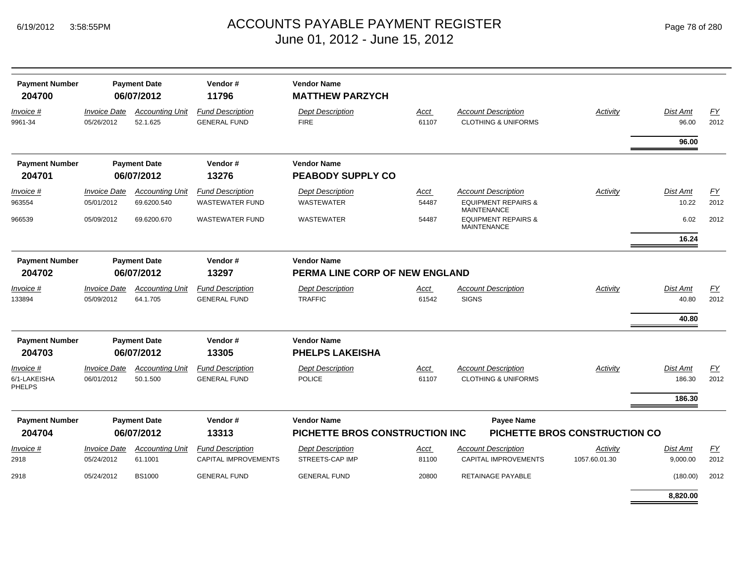|  | Page 78 of 280 |  |  |  |
|--|----------------|--|--|--|
|--|----------------|--|--|--|

| <b>Payment Number</b><br>204700 |                                   | <b>Payment Date</b><br>06/07/2012  | Vendor#<br>11796                               | <b>Vendor Name</b><br><b>MATTHEW PARZYCH</b>   |                      |                                                              |                                      |                          |            |
|---------------------------------|-----------------------------------|------------------------------------|------------------------------------------------|------------------------------------------------|----------------------|--------------------------------------------------------------|--------------------------------------|--------------------------|------------|
| Invoice #<br>9961-34            | <b>Invoice Date</b><br>05/26/2012 | <b>Accounting Unit</b><br>52.1.625 | <b>Fund Description</b><br><b>GENERAL FUND</b> | <b>Dept Description</b><br><b>FIRE</b>         | <b>Acct</b><br>61107 | <b>Account Description</b><br><b>CLOTHING &amp; UNIFORMS</b> | Activity                             | <b>Dist Amt</b><br>96.00 | EY<br>2012 |
|                                 |                                   |                                    |                                                |                                                |                      |                                                              |                                      | 96.00                    |            |
| <b>Payment Number</b><br>204701 |                                   | <b>Payment Date</b><br>06/07/2012  | Vendor#<br>13276                               | <b>Vendor Name</b><br><b>PEABODY SUPPLY CO</b> |                      |                                                              |                                      |                          |            |
| Invoice #                       | <b>Invoice Date</b>               | <b>Accounting Unit</b>             | <b>Fund Description</b>                        | <b>Dept Description</b>                        | Acct                 | <b>Account Description</b>                                   | Activity                             | Dist Amt                 | FY         |
| 963554                          | 05/01/2012                        | 69.6200.540                        | <b>WASTEWATER FUND</b>                         | <b>WASTEWATER</b>                              | 54487                | <b>EQUIPMENT REPAIRS &amp;</b><br><b>MAINTENANCE</b>         |                                      | 10.22                    | 2012       |
| 966539                          | 05/09/2012                        | 69.6200.670                        | <b>WASTEWATER FUND</b>                         | <b>WASTEWATER</b>                              | 54487                | <b>EQUIPMENT REPAIRS &amp;</b><br><b>MAINTENANCE</b>         |                                      | 6.02                     | 2012       |
|                                 |                                   |                                    |                                                |                                                |                      |                                                              |                                      | 16.24                    |            |
| <b>Payment Number</b>           |                                   | <b>Payment Date</b>                | Vendor#                                        | <b>Vendor Name</b>                             |                      |                                                              |                                      |                          |            |
| 204702                          |                                   | 06/07/2012                         | 13297                                          | PERMA LINE CORP OF NEW ENGLAND                 |                      |                                                              |                                      |                          |            |
| Invoice #                       | <b>Invoice Date</b>               | <b>Accounting Unit</b>             | <b>Fund Description</b>                        | <b>Dept Description</b>                        | Acct                 | <b>Account Description</b>                                   | <b>Activity</b>                      | Dist Amt                 | EY         |
| 133894                          | 05/09/2012                        | 64.1.705                           | <b>GENERAL FUND</b>                            | <b>TRAFFIC</b>                                 | 61542                | <b>SIGNS</b>                                                 |                                      | 40.80                    | 2012       |
|                                 |                                   |                                    |                                                |                                                |                      |                                                              |                                      | 40.80                    |            |
| <b>Payment Number</b>           |                                   | <b>Payment Date</b>                | Vendor#                                        | <b>Vendor Name</b>                             |                      |                                                              |                                      |                          |            |
| 204703                          |                                   | 06/07/2012                         | 13305                                          | <b>PHELPS LAKEISHA</b>                         |                      |                                                              |                                      |                          |            |
| <i>Invoice</i> #                | <b>Invoice Date</b>               | <b>Accounting Unit</b>             | <b>Fund Description</b>                        | <b>Dept Description</b>                        | Acct                 | <b>Account Description</b>                                   | <b>Activity</b>                      | <b>Dist Amt</b>          | EY         |
| 6/1-LAKEISHA<br><b>PHELPS</b>   | 06/01/2012                        | 50.1.500                           | <b>GENERAL FUND</b>                            | <b>POLICE</b>                                  | 61107                | <b>CLOTHING &amp; UNIFORMS</b>                               |                                      | 186.30                   | 2012       |
|                                 |                                   |                                    |                                                |                                                |                      |                                                              |                                      | 186.30                   |            |
| <b>Payment Number</b>           |                                   | <b>Payment Date</b>                | Vendor#                                        | <b>Vendor Name</b>                             |                      | <b>Payee Name</b>                                            |                                      |                          |            |
| 204704                          |                                   | 06/07/2012                         | 13313                                          | <b>PICHETTE BROS CONSTRUCTION INC</b>          |                      |                                                              | <b>PICHETTE BROS CONSTRUCTION CO</b> |                          |            |
| Invoice #                       | <b>Invoice Date</b>               | <b>Accounting Unit</b>             | <b>Fund Description</b>                        | <b>Dept Description</b>                        | Acct                 | <b>Account Description</b>                                   | Activity                             | Dist Amt                 | FY         |
| 2918                            | 05/24/2012                        | 61.1001                            | <b>CAPITAL IMPROVEMENTS</b>                    | STREETS-CAP IMP                                | 81100                | <b>CAPITAL IMPROVEMENTS</b>                                  | 1057.60.01.30                        | 9,000.00                 | 2012       |
| 2918                            | 05/24/2012                        | <b>BS1000</b>                      | <b>GENERAL FUND</b>                            | <b>GENERAL FUND</b>                            | 20800                | <b>RETAINAGE PAYABLE</b>                                     |                                      | (180.00)                 | 2012       |
|                                 |                                   |                                    |                                                |                                                |                      |                                                              |                                      | 8.820.00                 |            |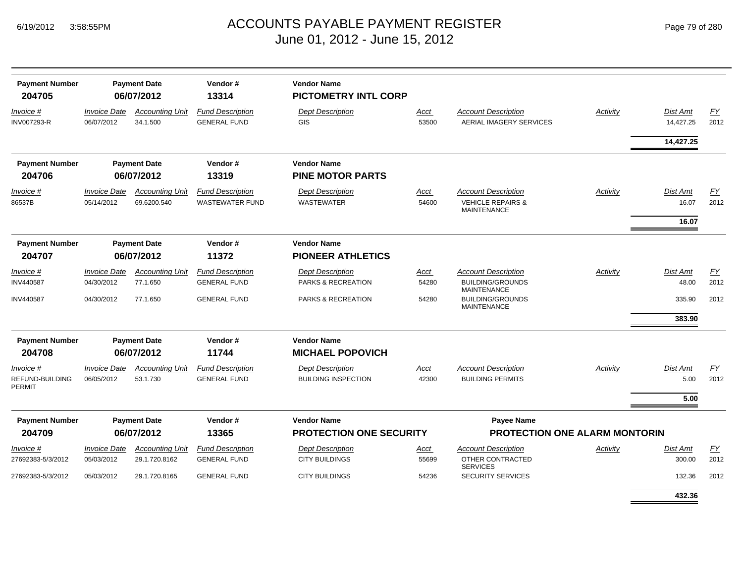| <b>Payment Number</b><br>204705        |                                   | <b>Payment Date</b><br>06/07/2012       | Vendor#<br>13314                                  | <b>Vendor Name</b><br><b>PICTOMETRY INTL CORP</b>     |                      |                                                                                  |                 |                                   |                   |
|----------------------------------------|-----------------------------------|-----------------------------------------|---------------------------------------------------|-------------------------------------------------------|----------------------|----------------------------------------------------------------------------------|-----------------|-----------------------------------|-------------------|
| Invoice #<br>INV007293-R               | <b>Invoice Date</b><br>06/07/2012 | <b>Accounting Unit</b><br>34.1.500      | <b>Fund Description</b><br><b>GENERAL FUND</b>    | <b>Dept Description</b><br>GIS                        | Acct<br>53500        | <b>Account Description</b><br>AERIAL IMAGERY SERVICES                            | Activity        | Dist Amt<br>14,427.25             | <u>FY</u><br>2012 |
|                                        |                                   |                                         |                                                   |                                                       |                      |                                                                                  |                 | 14,427.25                         |                   |
| <b>Payment Number</b>                  |                                   | <b>Payment Date</b>                     | Vendor#                                           | <b>Vendor Name</b>                                    |                      |                                                                                  |                 |                                   |                   |
| 204706                                 |                                   | 06/07/2012                              | 13319                                             | <b>PINE MOTOR PARTS</b>                               |                      |                                                                                  |                 |                                   |                   |
| <u>Invoice #</u><br>86537B             | <b>Invoice Date</b><br>05/14/2012 | <b>Accounting Unit</b><br>69.6200.540   | <b>Fund Description</b><br><b>WASTEWATER FUND</b> | <b>Dept Description</b><br><b>WASTEWATER</b>          | <u>Acct</u><br>54600 | <b>Account Description</b><br><b>VEHICLE REPAIRS &amp;</b><br><b>MAINTENANCE</b> | <b>Activity</b> | <b>Dist Amt</b><br>16.07<br>16.07 | EY<br>2012        |
| <b>Payment Number</b>                  |                                   | <b>Payment Date</b>                     | Vendor#                                           | <b>Vendor Name</b>                                    |                      |                                                                                  |                 |                                   |                   |
| 204707                                 |                                   | 06/07/2012                              | 11372                                             | <b>PIONEER ATHLETICS</b>                              |                      |                                                                                  |                 |                                   |                   |
| Invoice #                              | <b>Invoice Date</b>               | <b>Accounting Unit</b>                  | <b>Fund Description</b>                           | <b>Dept Description</b>                               | Acct                 | <b>Account Description</b>                                                       | Activity        | Dist Amt                          | EY                |
| INV440587                              | 04/30/2012                        | 77.1.650                                | <b>GENERAL FUND</b>                               | PARKS & RECREATION                                    | 54280                | <b>BUILDING/GROUNDS</b><br><b>MAINTENANCE</b>                                    |                 | 48.00                             | 2012              |
| INV440587                              | 04/30/2012                        | 77.1.650                                | <b>GENERAL FUND</b>                               | PARKS & RECREATION                                    | 54280                | <b>BUILDING/GROUNDS</b><br><b>MAINTENANCE</b>                                    |                 | 335.90<br>383.90                  | 2012              |
| <b>Payment Number</b>                  |                                   | <b>Payment Date</b>                     | Vendor#                                           | <b>Vendor Name</b>                                    |                      |                                                                                  |                 |                                   |                   |
| 204708                                 |                                   | 06/07/2012                              | 11744                                             | <b>MICHAEL POPOVICH</b>                               |                      |                                                                                  |                 |                                   |                   |
| Invoice #<br>REFUND-BUILDING<br>PERMIT | <b>Invoice Date</b><br>06/05/2012 | <b>Accounting Unit</b><br>53.1.730      | <b>Fund Description</b><br><b>GENERAL FUND</b>    | <b>Dept Description</b><br><b>BUILDING INSPECTION</b> | Acct<br>42300        | <b>Account Description</b><br><b>BUILDING PERMITS</b>                            | Activity        | <b>Dist Amt</b><br>5.00<br>5.00   | FY<br>2012        |
| <b>Payment Number</b>                  |                                   | <b>Payment Date</b>                     | Vendor#                                           | <b>Vendor Name</b>                                    |                      | <b>Payee Name</b>                                                                |                 |                                   |                   |
| 204709                                 |                                   | 06/07/2012                              | 13365                                             | <b>PROTECTION ONE SECURITY</b>                        |                      | <b>PROTECTION ONE ALARM MONTORIN</b>                                             |                 |                                   |                   |
| Invoice #<br>27692383-5/3/2012         | <b>Invoice Date</b><br>05/03/2012 | <b>Accounting Unit</b><br>29.1.720.8162 | <b>Fund Description</b><br><b>GENERAL FUND</b>    | <b>Dept Description</b><br><b>CITY BUILDINGS</b>      | Acct<br>55699        | <b>Account Description</b><br>OTHER CONTRACTED<br><b>SERVICES</b>                | Activity        | <b>Dist Amt</b><br>300.00         | EY<br>2012        |
| 27692383-5/3/2012                      | 05/03/2012                        | 29.1.720.8165                           | <b>GENERAL FUND</b>                               | <b>CITY BUILDINGS</b>                                 | 54236                | <b>SECURITY SERVICES</b>                                                         |                 | 132.36                            | 2012              |
|                                        |                                   |                                         |                                                   |                                                       |                      |                                                                                  |                 | 432.36                            |                   |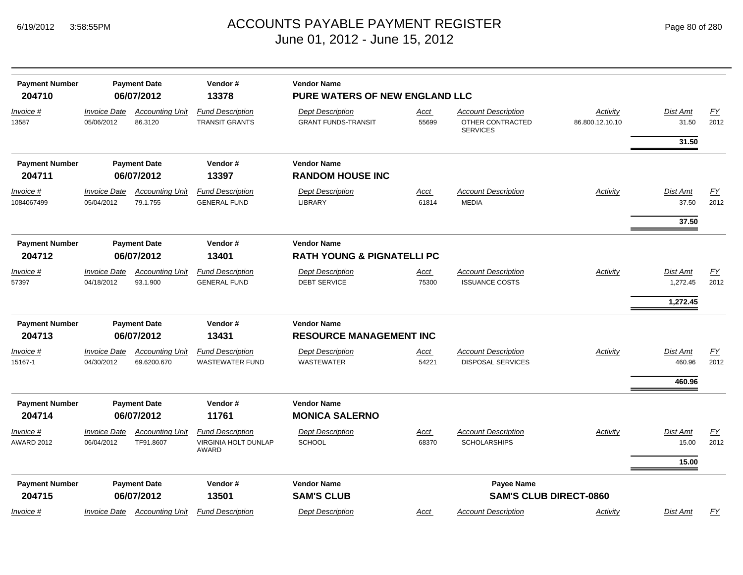| <b>Payment Number</b>           |                                          | <b>Payment Date</b>                   | Vendor#                                                  | <b>Vendor Name</b>                                          |               |                                                                   |                             |                          |                          |
|---------------------------------|------------------------------------------|---------------------------------------|----------------------------------------------------------|-------------------------------------------------------------|---------------|-------------------------------------------------------------------|-----------------------------|--------------------------|--------------------------|
| 204710                          |                                          | 06/07/2012                            | 13378                                                    | PURE WATERS OF NEW ENGLAND LLC                              |               |                                                                   |                             |                          |                          |
| Invoice #<br>13587              | <i><b>Invoice Date</b></i><br>05/06/2012 | <b>Accounting Unit</b><br>86.3120     | <b>Fund Description</b><br><b>TRANSIT GRANTS</b>         | <b>Dept Description</b><br><b>GRANT FUNDS-TRANSIT</b>       | Acct<br>55699 | <b>Account Description</b><br>OTHER CONTRACTED<br><b>SERVICES</b> | Activity<br>86.800.12.10.10 | Dist Amt<br>31.50        | EY<br>2012               |
|                                 |                                          |                                       |                                                          |                                                             |               |                                                                   |                             | 31.50                    |                          |
| <b>Payment Number</b>           |                                          | <b>Payment Date</b>                   | Vendor#                                                  | <b>Vendor Name</b>                                          |               |                                                                   |                             |                          |                          |
| 204711                          |                                          | 06/07/2012                            | 13397                                                    | <b>RANDOM HOUSE INC</b>                                     |               |                                                                   |                             |                          |                          |
| Invoice #<br>1084067499         | <b>Invoice Date</b><br>05/04/2012        | <b>Accounting Unit</b><br>79.1.755    | <b>Fund Description</b><br><b>GENERAL FUND</b>           | <b>Dept Description</b><br>LIBRARY                          | Acct<br>61814 | <b>Account Description</b><br><b>MEDIA</b>                        | Activity                    | <b>Dist Amt</b><br>37.50 | EY<br>2012               |
|                                 |                                          |                                       |                                                          |                                                             |               |                                                                   |                             | 37.50                    |                          |
| <b>Payment Number</b><br>204712 |                                          | <b>Payment Date</b><br>06/07/2012     | Vendor#<br>13401                                         | <b>Vendor Name</b><br><b>RATH YOUNG &amp; PIGNATELLI PC</b> |               |                                                                   |                             |                          |                          |
| <u>Invoice #</u>                | Invoice Date                             | <b>Accounting Unit</b>                | <b>Fund Description</b>                                  | <b>Dept Description</b>                                     | <u>Acct</u>   | <b>Account Description</b>                                        | <b>Activity</b>             | Dist Amt                 | EY                       |
| 57397                           | 04/18/2012                               | 93.1.900                              | <b>GENERAL FUND</b>                                      | <b>DEBT SERVICE</b>                                         | 75300         | <b>ISSUANCE COSTS</b>                                             |                             | 1,272.45                 | 2012                     |
|                                 |                                          |                                       |                                                          |                                                             |               |                                                                   |                             | 1,272.45                 |                          |
| <b>Payment Number</b>           |                                          | <b>Payment Date</b>                   | Vendor#                                                  | <b>Vendor Name</b>                                          |               |                                                                   |                             |                          |                          |
| 204713                          |                                          | 06/07/2012                            | 13431                                                    | <b>RESOURCE MANAGEMENT INC</b>                              |               |                                                                   |                             |                          |                          |
| Invoice #<br>15167-1            | <b>Invoice Date</b><br>04/30/2012        | <b>Accounting Unit</b><br>69.6200.670 | <b>Fund Description</b><br><b>WASTEWATER FUND</b>        | <b>Dept Description</b><br><b>WASTEWATER</b>                | Acct<br>54221 | <b>Account Description</b><br><b>DISPOSAL SERVICES</b>            | <b>Activity</b>             | Dist Amt<br>460.96       | EY<br>2012               |
|                                 |                                          |                                       |                                                          |                                                             |               |                                                                   |                             | 460.96                   |                          |
| <b>Payment Number</b>           |                                          | <b>Payment Date</b>                   | Vendor#                                                  | <b>Vendor Name</b>                                          |               |                                                                   |                             |                          |                          |
| 204714                          |                                          | 06/07/2012                            | 11761                                                    | <b>MONICA SALERNO</b>                                       |               |                                                                   |                             |                          |                          |
| Invoice #<br><b>AWARD 2012</b>  | <b>Invoice Date</b><br>06/04/2012        | <b>Accounting Unit</b><br>TF91.8607   | <b>Fund Description</b><br>VIRGINIA HOLT DUNLAP<br>AWARD | <b>Dept Description</b><br><b>SCHOOL</b>                    | Acct<br>68370 | <b>Account Description</b><br><b>SCHOLARSHIPS</b>                 | <b>Activity</b>             | <b>Dist Amt</b><br>15.00 | $\underline{FY}$<br>2012 |
|                                 |                                          |                                       |                                                          |                                                             |               |                                                                   |                             | 15.00                    |                          |
| <b>Payment Number</b>           |                                          | <b>Payment Date</b>                   | Vendor#                                                  | <b>Vendor Name</b>                                          |               | Payee Name                                                        |                             |                          |                          |
| 204715                          |                                          | 06/07/2012                            | 13501                                                    | <b>SAM'S CLUB</b>                                           |               | <b>SAM'S CLUB DIRECT-0860</b>                                     |                             |                          |                          |
| Invoice #                       | Invoice Date                             | <b>Accounting Unit</b>                | <b>Fund Description</b>                                  | <b>Dept Description</b>                                     | Acct          | <b>Account Description</b>                                        | Activity                    | Dist Amt                 | EY                       |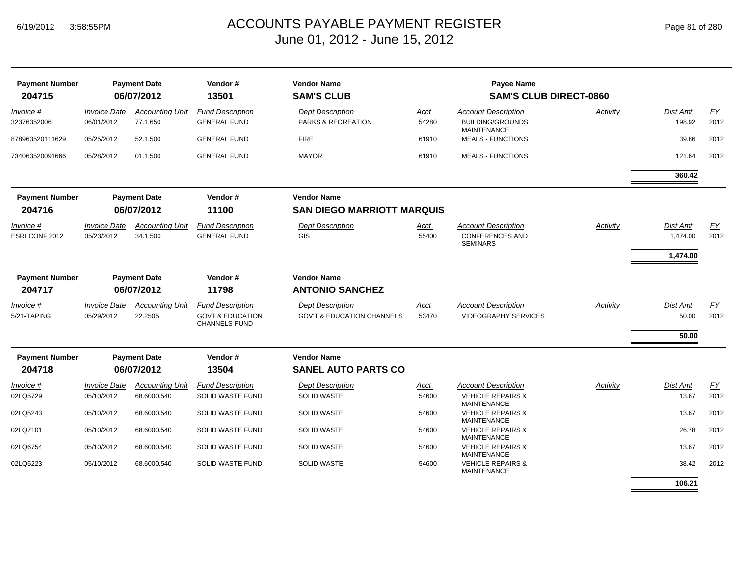| <b>Payment Number</b> |                     | <b>Payment Date</b>    | Vendor#                                             | <b>Vendor Name</b>                    |       | <b>Payee Name</b>                                  |          |                 |      |
|-----------------------|---------------------|------------------------|-----------------------------------------------------|---------------------------------------|-------|----------------------------------------------------|----------|-----------------|------|
| 204715                |                     | 06/07/2012             | 13501                                               | <b>SAM'S CLUB</b>                     |       | <b>SAM'S CLUB DIRECT-0860</b>                      |          |                 |      |
| Invoice #             | <b>Invoice Date</b> | <b>Accounting Unit</b> | <b>Fund Description</b>                             | <b>Dept Description</b>               | Acct  | <b>Account Description</b>                         | Activity | Dist Amt        | EY   |
| 32376352006           | 06/01/2012          | 77.1.650               | <b>GENERAL FUND</b>                                 | PARKS & RECREATION                    | 54280 | <b>BUILDING/GROUNDS</b><br><b>MAINTENANCE</b>      |          | 198.92          | 2012 |
| 878963520111629       | 05/25/2012          | 52.1.500               | <b>GENERAL FUND</b>                                 | <b>FIRE</b>                           | 61910 | <b>MEALS - FUNCTIONS</b>                           |          | 39.86           | 2012 |
| 734063520091666       | 05/28/2012          | 01.1.500               | <b>GENERAL FUND</b>                                 | <b>MAYOR</b>                          | 61910 | <b>MEALS - FUNCTIONS</b>                           |          | 121.64          | 2012 |
|                       |                     |                        |                                                     |                                       |       |                                                    |          | 360.42          |      |
| <b>Payment Number</b> |                     | <b>Payment Date</b>    | Vendor#                                             | <b>Vendor Name</b>                    |       |                                                    |          |                 |      |
| 204716                |                     | 06/07/2012             | 11100                                               | <b>SAN DIEGO MARRIOTT MARQUIS</b>     |       |                                                    |          |                 |      |
| <i>Invoice</i> #      | <b>Invoice Date</b> | <b>Accounting Unit</b> | <b>Fund Description</b>                             | <b>Dept Description</b>               | Acct  | <b>Account Description</b>                         | Activity | <b>Dist Amt</b> | EY   |
| ESRI CONF 2012        | 05/23/2012          | 34.1.500               | <b>GENERAL FUND</b>                                 | GIS                                   | 55400 | <b>CONFERENCES AND</b><br><b>SEMINARS</b>          |          | 1,474.00        | 2012 |
|                       |                     |                        |                                                     |                                       |       |                                                    |          | 1,474.00        |      |
| <b>Payment Number</b> |                     | <b>Payment Date</b>    | Vendor#                                             | <b>Vendor Name</b>                    |       |                                                    |          |                 |      |
| 204717                |                     | 06/07/2012             | 11798                                               | <b>ANTONIO SANCHEZ</b>                |       |                                                    |          |                 |      |
| Invoice #             | <b>Invoice Date</b> | <b>Accounting Unit</b> | <b>Fund Description</b>                             | <b>Dept Description</b>               | Acct  | <b>Account Description</b>                         | Activity | Dist Amt        | EY   |
| 5/21-TAPING           | 05/29/2012          | 22.2505                | <b>GOVT &amp; EDUCATION</b><br><b>CHANNELS FUND</b> | <b>GOV'T &amp; EDUCATION CHANNELS</b> | 53470 | <b>VIDEOGRAPHY SERVICES</b>                        |          | 50.00           | 2012 |
|                       |                     |                        |                                                     |                                       |       |                                                    |          | 50.00           |      |
| <b>Payment Number</b> |                     | <b>Payment Date</b>    | Vendor#                                             | <b>Vendor Name</b>                    |       |                                                    |          |                 |      |
| 204718                |                     | 06/07/2012             | 13504                                               | <b>SANEL AUTO PARTS CO</b>            |       |                                                    |          |                 |      |
| Invoice #             | <b>Invoice Date</b> | <b>Accounting Unit</b> | <b>Fund Description</b>                             | <b>Dept Description</b>               | Acct  | <b>Account Description</b>                         | Activity | <b>Dist Amt</b> | EY   |
| 02LQ5729              | 05/10/2012          | 68.6000.540            | <b>SOLID WASTE FUND</b>                             | <b>SOLID WASTE</b>                    | 54600 | <b>VEHICLE REPAIRS &amp;</b><br><b>MAINTENANCE</b> |          | 13.67           | 2012 |
| 02LQ5243              | 05/10/2012          | 68.6000.540            | <b>SOLID WASTE FUND</b>                             | <b>SOLID WASTE</b>                    | 54600 | <b>VEHICLE REPAIRS &amp;</b><br><b>MAINTENANCE</b> |          | 13.67           | 2012 |
| 02LQ7101              | 05/10/2012          | 68.6000.540            | <b>SOLID WASTE FUND</b>                             | <b>SOLID WASTE</b>                    | 54600 | <b>VEHICLE REPAIRS &amp;</b><br><b>MAINTENANCE</b> |          | 26.78           | 2012 |
| 02LQ6754              | 05/10/2012          | 68.6000.540            | <b>SOLID WASTE FUND</b>                             | <b>SOLID WASTE</b>                    | 54600 | <b>VEHICLE REPAIRS &amp;</b><br><b>MAINTENANCE</b> |          | 13.67           | 2012 |
| 02LQ5223              | 05/10/2012          | 68.6000.540            | <b>SOLID WASTE FUND</b>                             | <b>SOLID WASTE</b>                    | 54600 | <b>VEHICLE REPAIRS &amp;</b><br><b>MAINTENANCE</b> |          | 38.42           | 2012 |
|                       |                     |                        |                                                     |                                       |       |                                                    |          | 106.21          |      |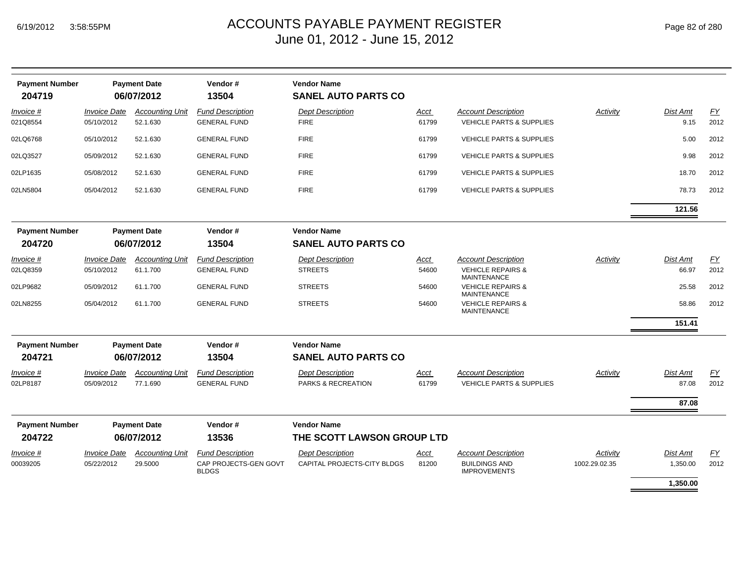# ACCOUNTS PAYABLE PAYMENT REGISTER Page 82 of 280 June 01, 2012 - June 15, 2012

| <b>Payment Number</b><br>204719 |                                          | <b>Payment Date</b><br>06/07/2012  | Vendor#<br>13504                               | <b>Vendor Name</b><br><b>SANEL AUTO PARTS CO</b> |               |                                                                   |               |                         |                   |
|---------------------------------|------------------------------------------|------------------------------------|------------------------------------------------|--------------------------------------------------|---------------|-------------------------------------------------------------------|---------------|-------------------------|-------------------|
| Invoice #<br>021Q8554           | <i><b>Invoice Date</b></i><br>05/10/2012 | <b>Accounting Unit</b><br>52.1.630 | <b>Fund Description</b><br><b>GENERAL FUND</b> | <b>Dept Description</b><br><b>FIRE</b>           | Acct<br>61799 | <b>Account Description</b><br><b>VEHICLE PARTS &amp; SUPPLIES</b> | Activity      | <b>Dist Amt</b><br>9.15 | <u>FY</u><br>2012 |
| 02LQ6768                        | 05/10/2012                               | 52.1.630                           | <b>GENERAL FUND</b>                            | <b>FIRE</b>                                      | 61799         | <b>VEHICLE PARTS &amp; SUPPLIES</b>                               |               | 5.00                    | 2012              |
| 02LQ3527                        | 05/09/2012                               | 52.1.630                           | <b>GENERAL FUND</b>                            | <b>FIRE</b>                                      | 61799         | <b>VEHICLE PARTS &amp; SUPPLIES</b>                               |               | 9.98                    | 2012              |
| 02LP1635                        | 05/08/2012                               | 52.1.630                           | <b>GENERAL FUND</b>                            | <b>FIRE</b>                                      | 61799         | VEHICLE PARTS & SUPPLIES                                          |               | 18.70                   | 2012              |
| 02LN5804                        | 05/04/2012                               | 52.1.630                           | <b>GENERAL FUND</b>                            | <b>FIRE</b>                                      | 61799         | <b>VEHICLE PARTS &amp; SUPPLIES</b>                               |               | 78.73                   | 2012              |
|                                 |                                          |                                    |                                                |                                                  |               |                                                                   |               | 121.56                  |                   |
| <b>Payment Number</b><br>204720 |                                          | <b>Payment Date</b><br>06/07/2012  | Vendor#<br>13504                               | <b>Vendor Name</b><br><b>SANEL AUTO PARTS CO</b> |               |                                                                   |               |                         |                   |
|                                 |                                          |                                    |                                                |                                                  |               |                                                                   |               |                         |                   |
| Invoice #                       | <b>Invoice Date</b>                      | <b>Accounting Unit</b>             | <b>Fund Description</b>                        | <b>Dept Description</b>                          | Acct          | <b>Account Description</b>                                        | Activity      | <b>Dist Amt</b>         | EY                |
| 02LQ8359                        | 05/10/2012                               | 61.1.700                           | <b>GENERAL FUND</b>                            | <b>STREETS</b>                                   | 54600         | <b>VEHICLE REPAIRS &amp;</b><br><b>MAINTENANCE</b>                |               | 66.97                   | 2012              |
| 02LP9682                        | 05/09/2012                               | 61.1.700                           | <b>GENERAL FUND</b>                            | <b>STREETS</b>                                   | 54600         | <b>VEHICLE REPAIRS &amp;</b><br><b>MAINTENANCE</b>                |               | 25.58                   | 2012              |
| 02LN8255                        | 05/04/2012                               | 61.1.700                           | <b>GENERAL FUND</b>                            | <b>STREETS</b>                                   | 54600         | <b>VEHICLE REPAIRS &amp;</b><br><b>MAINTENANCE</b>                |               | 58.86                   | 2012              |
|                                 |                                          |                                    |                                                |                                                  |               |                                                                   |               | 151.41                  |                   |
| <b>Payment Number</b>           |                                          | <b>Payment Date</b>                | Vendor#                                        | <b>Vendor Name</b>                               |               |                                                                   |               |                         |                   |
| 204721                          |                                          | 06/07/2012                         | 13504                                          | <b>SANEL AUTO PARTS CO</b>                       |               |                                                                   |               |                         |                   |
| Invoice #                       | <b>Invoice Date</b>                      | <b>Accounting Unit</b>             | <b>Fund Description</b>                        | <b>Dept Description</b>                          | Acct          | <b>Account Description</b>                                        | Activity      | <b>Dist Amt</b>         | EY                |
| 02LP8187                        | 05/09/2012                               | 77.1.690                           | <b>GENERAL FUND</b>                            | PARKS & RECREATION                               | 61799         | <b>VEHICLE PARTS &amp; SUPPLIES</b>                               |               | 87.08                   | 2012              |
|                                 |                                          |                                    |                                                |                                                  |               |                                                                   |               | 87.08                   |                   |
| <b>Payment Number</b>           |                                          | <b>Payment Date</b>                | Vendor#                                        | <b>Vendor Name</b>                               |               |                                                                   |               |                         |                   |
| 204722                          |                                          | 06/07/2012                         | 13536                                          | THE SCOTT LAWSON GROUP LTD                       |               |                                                                   |               |                         |                   |
| Invoice #                       | <b>Invoice Date</b>                      | <b>Accounting Unit</b>             | <b>Fund Description</b>                        | <b>Dept Description</b>                          | <u>Acct</u>   | <b>Account Description</b>                                        | Activity      | Dist Amt                | $\underline{FY}$  |
| 00039205                        | 05/22/2012                               | 29.5000                            | CAP PROJECTS-GEN GOVT<br><b>BLDGS</b>          | CAPITAL PROJECTS-CITY BLDGS                      | 81200         | <b>BUILDINGS AND</b><br><b>IMPROVEMENTS</b>                       | 1002.29.02.35 | 1,350.00                | 2012              |
|                                 |                                          |                                    |                                                |                                                  |               |                                                                   |               | 1.350.00                |                   |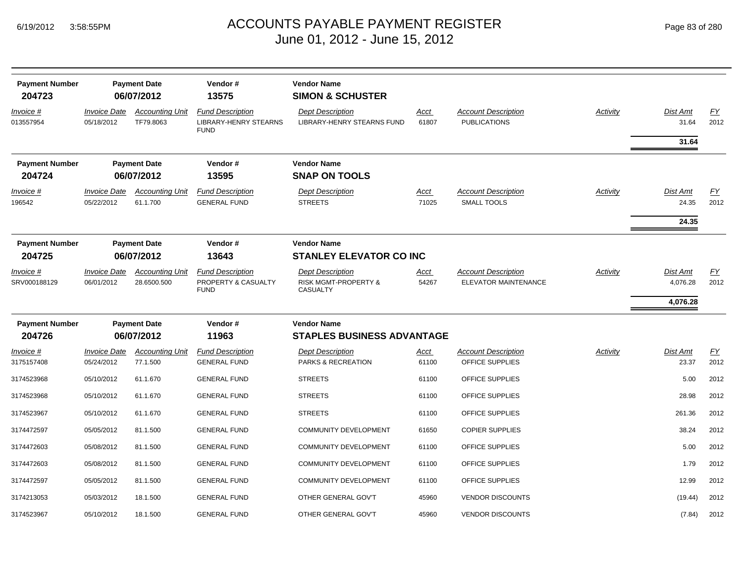| <b>Payment Number</b><br>204723 |                                   | <b>Payment Date</b><br>06/07/2012     | Vendor#<br>13575                                                       | <b>Vendor Name</b><br><b>SIMON &amp; SCHUSTER</b>                      |                      |                                                    |          |                                         |                          |
|---------------------------------|-----------------------------------|---------------------------------------|------------------------------------------------------------------------|------------------------------------------------------------------------|----------------------|----------------------------------------------------|----------|-----------------------------------------|--------------------------|
| Invoice #<br>013557954          | <b>Invoice Date</b><br>05/18/2012 | <b>Accounting Unit</b><br>TF79.8063   | <b>Fund Description</b><br><b>LIBRARY-HENRY STEARNS</b><br><b>FUND</b> | <b>Dept Description</b><br><b>LIBRARY-HENRY STEARNS FUND</b>           | <u>Acct</u><br>61807 | <b>Account Description</b><br><b>PUBLICATIONS</b>  | Activity | Dist Amt<br>31.64<br>31.64              | EY<br>2012               |
| <b>Payment Number</b><br>204724 |                                   | <b>Payment Date</b><br>06/07/2012     | Vendor#<br>13595                                                       | <b>Vendor Name</b><br><b>SNAP ON TOOLS</b>                             |                      |                                                    |          |                                         |                          |
| <u>Invoice #</u><br>196542      | <b>Invoice Date</b><br>05/22/2012 | <b>Accounting Unit</b><br>61.1.700    | <b>Fund Description</b><br><b>GENERAL FUND</b>                         | <b>Dept Description</b><br><b>STREETS</b>                              | <u>Acct</u><br>71025 | <b>Account Description</b><br><b>SMALL TOOLS</b>   | Activity | <b>Dist Amt</b><br>24.35<br>24.35       | EY<br>2012               |
| <b>Payment Number</b><br>204725 |                                   | <b>Payment Date</b><br>06/07/2012     | Vendor#<br>13643                                                       | <b>Vendor Name</b><br><b>STANLEY ELEVATOR CO INC</b>                   |                      |                                                    |          |                                         |                          |
| Invoice #<br>SRV000188129       | <b>Invoice Date</b><br>06/01/2012 | <b>Accounting Unit</b><br>28.6500.500 | <b>Fund Description</b><br>PROPERTY & CASUALTY<br><b>FUND</b>          | <b>Dept Description</b><br><b>RISK MGMT-PROPERTY &amp;</b><br>CASUALTY | Acct<br>54267        | <b>Account Description</b><br>ELEVATOR MAINTENANCE | Activity | <b>Dist Amt</b><br>4,076.28<br>4,076.28 | <u>FY</u><br>2012        |
| <b>Payment Number</b>           |                                   | <b>Payment Date</b>                   | Vendor#                                                                | <b>Vendor Name</b>                                                     |                      |                                                    |          |                                         |                          |
| 204726                          |                                   | 06/07/2012                            | 11963                                                                  | <b>STAPLES BUSINESS ADVANTAGE</b>                                      |                      |                                                    |          |                                         |                          |
| Invoice #<br>3175157408         | <b>Invoice Date</b><br>05/24/2012 | <b>Accounting Unit</b><br>77.1.500    | <b>Fund Description</b><br><b>GENERAL FUND</b>                         | <b>Dept Description</b><br>PARKS & RECREATION                          | <u>Acct</u><br>61100 | <b>Account Description</b><br>OFFICE SUPPLIES      | Activity | Dist Amt<br>23.37                       | $\underline{FY}$<br>2012 |
| 3174523968                      | 05/10/2012                        | 61.1.670                              | <b>GENERAL FUND</b>                                                    | <b>STREETS</b>                                                         | 61100                | OFFICE SUPPLIES                                    |          | 5.00                                    | 2012                     |
| 3174523968                      | 05/10/2012                        | 61.1.670                              | <b>GENERAL FUND</b>                                                    | <b>STREETS</b>                                                         | 61100                | OFFICE SUPPLIES                                    |          | 28.98                                   | 2012                     |
| 3174523967                      | 05/10/2012                        | 61.1.670                              | <b>GENERAL FUND</b>                                                    | <b>STREETS</b>                                                         | 61100                | OFFICE SUPPLIES                                    |          | 261.36                                  | 2012                     |
| 3174472597                      | 05/05/2012                        | 81.1.500                              | <b>GENERAL FUND</b>                                                    | <b>COMMUNITY DEVELOPMENT</b>                                           | 61650                | <b>COPIER SUPPLIES</b>                             |          | 38.24                                   | 2012                     |
| 3174472603                      | 05/08/2012                        | 81.1.500                              | <b>GENERAL FUND</b>                                                    | <b>COMMUNITY DEVELOPMENT</b>                                           | 61100                | OFFICE SUPPLIES                                    |          | 5.00                                    | 2012                     |
| 3174472603                      | 05/08/2012                        | 81.1.500                              | <b>GENERAL FUND</b>                                                    | COMMUNITY DEVELOPMENT                                                  | 61100                | OFFICE SUPPLIES                                    |          | 1.79                                    | 2012                     |
| 3174472597                      | 05/05/2012                        | 81.1.500                              | <b>GENERAL FUND</b>                                                    | COMMUNITY DEVELOPMENT                                                  | 61100                | OFFICE SUPPLIES                                    |          | 12.99                                   | 2012                     |
| 3174213053                      | 05/03/2012                        | 18.1.500                              | <b>GENERAL FUND</b>                                                    | OTHER GENERAL GOV'T                                                    | 45960                | <b>VENDOR DISCOUNTS</b>                            |          | (19.44)                                 | 2012                     |
| 3174523967                      | 05/10/2012                        | 18.1.500                              | <b>GENERAL FUND</b>                                                    | OTHER GENERAL GOV'T                                                    | 45960                | <b>VENDOR DISCOUNTS</b>                            |          | (7.84)                                  | 2012                     |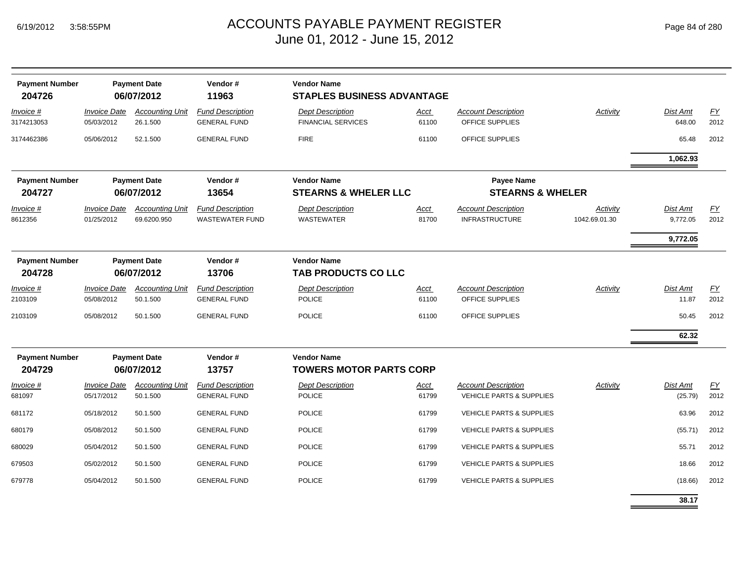-

| <b>Payment Number</b><br>204726 |                                   | <b>Payment Date</b><br>06/07/2012     | Vendor#<br>11963                                  | <b>Vendor Name</b><br><b>STAPLES BUSINESS ADVANTAGE</b> |                      |                                                                   |                           |                                         |            |
|---------------------------------|-----------------------------------|---------------------------------------|---------------------------------------------------|---------------------------------------------------------|----------------------|-------------------------------------------------------------------|---------------------------|-----------------------------------------|------------|
| <i>Invoice</i> #<br>3174213053  | <b>Invoice Date</b><br>05/03/2012 | <b>Accounting Unit</b><br>26.1.500    | <b>Fund Description</b><br><b>GENERAL FUND</b>    | <b>Dept Description</b><br><b>FINANCIAL SERVICES</b>    | <b>Acct</b><br>61100 | <b>Account Description</b><br>OFFICE SUPPLIES                     | Activity                  | Dist Amt<br>648.00                      | EY<br>2012 |
| 3174462386                      | 05/06/2012                        | 52.1.500                              | <b>GENERAL FUND</b>                               | <b>FIRE</b>                                             | 61100                | OFFICE SUPPLIES                                                   |                           | 65.48                                   | 2012       |
|                                 |                                   |                                       |                                                   |                                                         |                      |                                                                   |                           | 1,062.93                                |            |
| <b>Payment Number</b><br>204727 |                                   | <b>Payment Date</b><br>06/07/2012     | Vendor#<br>13654                                  | <b>Vendor Name</b><br><b>STEARNS &amp; WHELER LLC</b>   |                      | <b>Payee Name</b><br><b>STEARNS &amp; WHELER</b>                  |                           |                                         |            |
| Invoice #<br>8612356            | <b>Invoice Date</b><br>01/25/2012 | <b>Accounting Unit</b><br>69.6200.950 | <b>Fund Description</b><br><b>WASTEWATER FUND</b> | <b>Dept Description</b><br><b>WASTEWATER</b>            | Acct<br>81700        | <b>Account Description</b><br><b>INFRASTRUCTURE</b>               | Activity<br>1042.69.01.30 | <b>Dist Amt</b><br>9,772.05<br>9,772.05 | EY<br>2012 |
| <b>Payment Number</b><br>204728 |                                   | <b>Payment Date</b><br>06/07/2012     | Vendor#<br>13706                                  | <b>Vendor Name</b><br><b>TAB PRODUCTS CO LLC</b>        |                      |                                                                   |                           |                                         |            |
| Invoice #<br>2103109            | <b>Invoice Date</b><br>05/08/2012 | <b>Accounting Unit</b><br>50.1.500    | <b>Fund Description</b><br><b>GENERAL FUND</b>    | <b>Dept Description</b><br><b>POLICE</b>                | Acct<br>61100        | <b>Account Description</b><br>OFFICE SUPPLIES                     | Activity                  | Dist Amt<br>11.87                       | EY<br>2012 |
| 2103109                         | 05/08/2012                        | 50.1.500                              | <b>GENERAL FUND</b>                               | <b>POLICE</b>                                           | 61100                | OFFICE SUPPLIES                                                   |                           | 50.45                                   | 2012       |
|                                 |                                   |                                       |                                                   |                                                         |                      |                                                                   |                           | 62.32                                   |            |
| <b>Payment Number</b><br>204729 |                                   | <b>Payment Date</b><br>06/07/2012     | Vendor#<br>13757                                  | <b>Vendor Name</b><br><b>TOWERS MOTOR PARTS CORP</b>    |                      |                                                                   |                           |                                         |            |
| Invoice #<br>681097             | <b>Invoice Date</b><br>05/17/2012 | <b>Accounting Unit</b><br>50.1.500    | <b>Fund Description</b><br><b>GENERAL FUND</b>    | <b>Dept Description</b><br><b>POLICE</b>                | Acct<br>61799        | <b>Account Description</b><br><b>VEHICLE PARTS &amp; SUPPLIES</b> | Activity                  | Dist Amt<br>(25.79)                     | EY<br>2012 |
| 681172                          | 05/18/2012                        | 50.1.500                              | <b>GENERAL FUND</b>                               | <b>POLICE</b>                                           | 61799                | <b>VEHICLE PARTS &amp; SUPPLIES</b>                               |                           | 63.96                                   | 2012       |
| 680179                          | 05/08/2012                        | 50.1.500                              | <b>GENERAL FUND</b>                               | POLICE                                                  | 61799                | <b>VEHICLE PARTS &amp; SUPPLIES</b>                               |                           | (55.71)                                 | 2012       |
| 680029                          | 05/04/2012                        | 50.1.500                              | <b>GENERAL FUND</b>                               | <b>POLICE</b>                                           | 61799                | <b>VEHICLE PARTS &amp; SUPPLIES</b>                               |                           | 55.71                                   | 2012       |
| 679503                          | 05/02/2012                        | 50.1.500                              | <b>GENERAL FUND</b>                               | <b>POLICE</b>                                           | 61799                | <b>VEHICLE PARTS &amp; SUPPLIES</b>                               |                           | 18.66                                   | 2012       |
| 679778                          | 05/04/2012                        | 50.1.500                              | <b>GENERAL FUND</b>                               | <b>POLICE</b>                                           | 61799                | <b>VEHICLE PARTS &amp; SUPPLIES</b>                               |                           | (18.66)                                 | 2012       |
|                                 |                                   |                                       |                                                   |                                                         |                      |                                                                   |                           | 38.17                                   |            |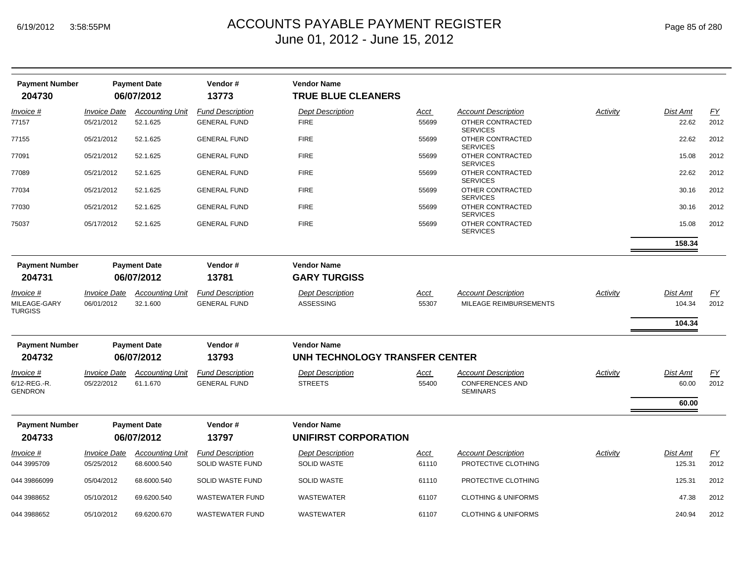| <b>Payment Number</b>          |                                   | <b>Payment Date</b>                   | Vendor#                                     | <b>Vendor Name</b>                            |                      |                                                   |                 |                    |                   |
|--------------------------------|-----------------------------------|---------------------------------------|---------------------------------------------|-----------------------------------------------|----------------------|---------------------------------------------------|-----------------|--------------------|-------------------|
| 204730                         |                                   | 06/07/2012                            | 13773                                       | <b>TRUE BLUE CLEANERS</b>                     |                      |                                                   |                 |                    |                   |
| Invoice #                      | <b>Invoice Date</b>               | <b>Accounting Unit</b>                | <b>Fund Description</b>                     | <b>Dept Description</b>                       | <u>Acct</u>          | <b>Account Description</b>                        | Activity        | Dist Amt           | EY                |
| 77157                          | 05/21/2012                        | 52.1.625                              | <b>GENERAL FUND</b>                         | <b>FIRE</b>                                   | 55699                | OTHER CONTRACTED<br><b>SERVICES</b>               |                 | 22.62              | 2012              |
| 77155                          | 05/21/2012                        | 52.1.625                              | <b>GENERAL FUND</b>                         | <b>FIRE</b>                                   | 55699                | OTHER CONTRACTED<br><b>SERVICES</b>               |                 | 22.62              | 2012              |
| 77091                          | 05/21/2012                        | 52.1.625                              | <b>GENERAL FUND</b>                         | <b>FIRE</b>                                   | 55699                | OTHER CONTRACTED<br><b>SERVICES</b>               |                 | 15.08              | 2012              |
| 77089                          | 05/21/2012                        | 52.1.625                              | <b>GENERAL FUND</b>                         | <b>FIRE</b>                                   | 55699                | OTHER CONTRACTED<br><b>SERVICES</b>               |                 | 22.62              | 2012              |
| 77034                          | 05/21/2012                        | 52.1.625                              | <b>GENERAL FUND</b>                         | <b>FIRE</b>                                   | 55699                | OTHER CONTRACTED<br><b>SERVICES</b>               |                 | 30.16              | 2012              |
| 77030                          | 05/21/2012                        | 52.1.625                              | <b>GENERAL FUND</b>                         | <b>FIRE</b>                                   | 55699                | OTHER CONTRACTED<br><b>SERVICES</b>               |                 | 30.16              | 2012              |
| 75037                          | 05/17/2012                        | 52.1.625                              | <b>GENERAL FUND</b>                         | <b>FIRE</b>                                   | 55699                | OTHER CONTRACTED<br><b>SERVICES</b>               |                 | 15.08              | 2012              |
|                                |                                   |                                       |                                             |                                               |                      |                                                   |                 | 158.34             |                   |
| <b>Payment Number</b>          |                                   | <b>Payment Date</b>                   | Vendor#                                     | <b>Vendor Name</b>                            |                      |                                                   |                 |                    |                   |
| 204731                         |                                   | 06/07/2012                            | 13781                                       | <b>GARY TURGISS</b>                           |                      |                                                   |                 |                    |                   |
| Invoice #                      | <b>Invoice Date</b>               | <b>Accounting Unit</b>                | <b>Fund Description</b>                     | <b>Dept Description</b>                       | <u>Acct</u>          | <b>Account Description</b>                        | <b>Activity</b> | Dist Amt           | EY                |
| MILEAGE-GARY<br><b>TURGISS</b> | 06/01/2012                        | 32.1.600                              | <b>GENERAL FUND</b>                         | <b>ASSESSING</b>                              | 55307                | MILEAGE REIMBURSEMENTS                            |                 | 104.34             | 2012              |
|                                |                                   |                                       |                                             |                                               |                      |                                                   |                 | 104.34             |                   |
| <b>Payment Number</b>          |                                   | <b>Payment Date</b>                   | Vendor#                                     | <b>Vendor Name</b>                            |                      |                                                   |                 |                    |                   |
| 204732                         |                                   | 06/07/2012                            | 13793                                       | UNH TECHNOLOGY TRANSFER CENTER                |                      |                                                   |                 |                    |                   |
| Invoice #                      | <i><b>Invoice Date</b></i>        | <b>Accounting Unit</b>                | <b>Fund Description</b>                     | <b>Dept Description</b>                       | Acct                 | <b>Account Description</b>                        | Activity        | Dist Amt           | $\underline{FY}$  |
| 6/12-REG.-R.<br>GENDRON        | 05/22/2012                        | 61.1.670                              | <b>GENERAL FUND</b>                         | <b>STREETS</b>                                | 55400                | <b>CONFERENCES AND</b><br><b>SEMINARS</b>         |                 | 60.00              | 2012              |
|                                |                                   |                                       |                                             |                                               |                      |                                                   |                 | 60.00              |                   |
| <b>Payment Number</b>          |                                   | <b>Payment Date</b>                   | Vendor#                                     | <b>Vendor Name</b>                            |                      |                                                   |                 |                    |                   |
| 204733                         |                                   | 06/07/2012                            | 13797                                       | UNIFIRST CORPORATION                          |                      |                                                   |                 |                    |                   |
| Invoice #<br>044 3995709       | <b>Invoice Date</b><br>05/25/2012 | <b>Accounting Unit</b><br>68.6000.540 | <b>Fund Description</b><br>SOLID WASTE FUND | <b>Dept Description</b><br><b>SOLID WASTE</b> | <u>Acct</u><br>61110 | <b>Account Description</b><br>PROTECTIVE CLOTHING | Activity        | Dist Amt<br>125.31 | <u>FY</u><br>2012 |
| 044 39866099                   | 05/04/2012                        | 68.6000.540                           | SOLID WASTE FUND                            | <b>SOLID WASTE</b>                            | 61110                | PROTECTIVE CLOTHING                               |                 | 125.31             | 2012              |
| 044 3988652                    | 05/10/2012                        | 69.6200.540                           | <b>WASTEWATER FUND</b>                      | <b>WASTEWATER</b>                             | 61107                | <b>CLOTHING &amp; UNIFORMS</b>                    |                 | 47.38              | 2012              |
| 044 3988652                    | 05/10/2012                        | 69.6200.670                           | <b>WASTEWATER FUND</b>                      | <b>WASTEWATER</b>                             | 61107                | <b>CLOTHING &amp; UNIFORMS</b>                    |                 | 240.94             | 2012              |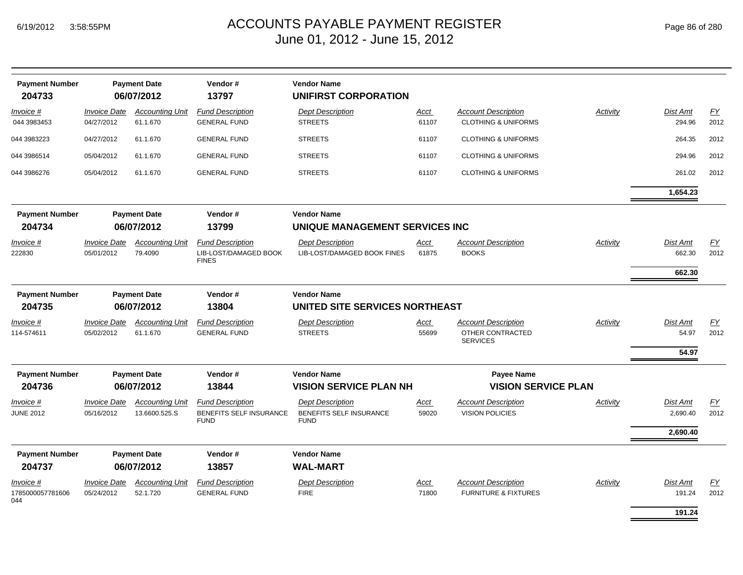| <b>Payment Number</b><br>204733      |                                   | <b>Payment Date</b><br>06/07/2012  | Vendor#<br>13797                                                 | <b>Vendor Name</b><br><b>UNIFIRST CORPORATION</b>      |               |                                                                   |          |                            |                          |
|--------------------------------------|-----------------------------------|------------------------------------|------------------------------------------------------------------|--------------------------------------------------------|---------------|-------------------------------------------------------------------|----------|----------------------------|--------------------------|
| Invoice #<br>044 3983453             | <b>Invoice Date</b><br>04/27/2012 | <b>Accounting Unit</b><br>61.1.670 | <b>Fund Description</b><br><b>GENERAL FUND</b>                   | <b>Dept Description</b><br><b>STREETS</b>              | Acct<br>61107 | <b>Account Description</b><br><b>CLOTHING &amp; UNIFORMS</b>      | Activity | Dist Amt<br>294.96         | EY<br>2012               |
| 044 3983223                          | 04/27/2012                        | 61.1.670                           | <b>GENERAL FUND</b>                                              | <b>STREETS</b>                                         | 61107         | <b>CLOTHING &amp; UNIFORMS</b>                                    |          | 264.35                     | 2012                     |
| 044 3986514                          | 05/04/2012                        | 61.1.670                           | <b>GENERAL FUND</b>                                              | <b>STREETS</b>                                         | 61107         | <b>CLOTHING &amp; UNIFORMS</b>                                    |          | 294.96                     | 2012                     |
| 044 3986276                          | 05/04/2012                        | 61.1.670                           | <b>GENERAL FUND</b>                                              | <b>STREETS</b>                                         | 61107         | <b>CLOTHING &amp; UNIFORMS</b>                                    |          | 261.02                     | 2012                     |
|                                      |                                   |                                    |                                                                  |                                                        |               |                                                                   |          | 1,654.23                   |                          |
| <b>Payment Number</b><br>204734      |                                   | <b>Payment Date</b><br>06/07/2012  | Vendor#<br>13799                                                 | <b>Vendor Name</b><br>UNIQUE MANAGEMENT SERVICES INC   |               |                                                                   |          |                            |                          |
| Invoice #<br>222830                  | <b>Invoice Date</b><br>05/01/2012 | <b>Accounting Unit</b><br>79.4090  | <b>Fund Description</b><br>LIB-LOST/DAMAGED BOOK<br><b>FINES</b> | <b>Dept Description</b><br>LIB-LOST/DAMAGED BOOK FINES | Acct<br>61875 | <b>Account Description</b><br><b>BOOKS</b>                        | Activity | Dist Amt<br>662.30         | $\underline{FY}$<br>2012 |
|                                      |                                   |                                    |                                                                  |                                                        |               |                                                                   |          | 662.30                     |                          |
| <b>Payment Number</b><br>204735      |                                   | <b>Payment Date</b><br>06/07/2012  | Vendor#<br>13804                                                 | <b>Vendor Name</b><br>UNITED SITE SERVICES NORTHEAST   |               |                                                                   |          |                            |                          |
| Invoice #<br>114-574611              | <b>Invoice Date</b><br>05/02/2012 | <b>Accounting Unit</b><br>61.1.670 | <b>Fund Description</b><br><b>GENERAL FUND</b>                   | <b>Dept Description</b><br><b>STREETS</b>              | Acct<br>55699 | <b>Account Description</b><br>OTHER CONTRACTED<br><b>SERVICES</b> | Activity | Dist Amt<br>54.97<br>54.97 | EY<br>2012               |
| <b>Payment Number</b><br>204736      |                                   | <b>Payment Date</b><br>06/07/2012  | Vendor#<br>13844                                                 | <b>Vendor Name</b><br><b>VISION SERVICE PLAN NH</b>    |               | <b>Payee Name</b><br><b>VISION SERVICE PLAN</b>                   |          |                            |                          |
| Invoice #                            | <b>Invoice Date</b>               | <b>Accounting Unit</b>             | <b>Fund Description</b>                                          | <b>Dept Description</b>                                | Acct          | <b>Account Description</b>                                        | Activity | Dist Amt                   | <u>FY</u>                |
| <b>JUNE 2012</b>                     | 05/16/2012                        | 13.6600.525.S                      | <b>BENEFITS SELF INSURANCE</b><br><b>FUND</b>                    | <b>BENEFITS SELF INSURANCE</b><br><b>FUND</b>          | 59020         | <b>VISION POLICIES</b>                                            |          | 2,690.40                   | 2012                     |
|                                      |                                   |                                    |                                                                  |                                                        |               |                                                                   |          | 2,690.40                   |                          |
| <b>Payment Number</b>                |                                   | <b>Payment Date</b>                | Vendor#                                                          | <b>Vendor Name</b>                                     |               |                                                                   |          |                            |                          |
| 204737                               |                                   | 06/07/2012                         | 13857                                                            | <b>WAL-MART</b>                                        |               |                                                                   |          |                            |                          |
| Invoice #<br>1785000057781606<br>044 | <b>Invoice Date</b><br>05/24/2012 | <b>Accounting Unit</b><br>52.1.720 | <b>Fund Description</b><br><b>GENERAL FUND</b>                   | <b>Dept Description</b><br><b>FIRE</b>                 | Acct<br>71800 | <b>Account Description</b><br><b>FURNITURE &amp; FIXTURES</b>     | Activity | Dist Amt<br>191.24         | EY<br>2012               |
|                                      |                                   |                                    |                                                                  |                                                        |               |                                                                   |          | 191.24                     |                          |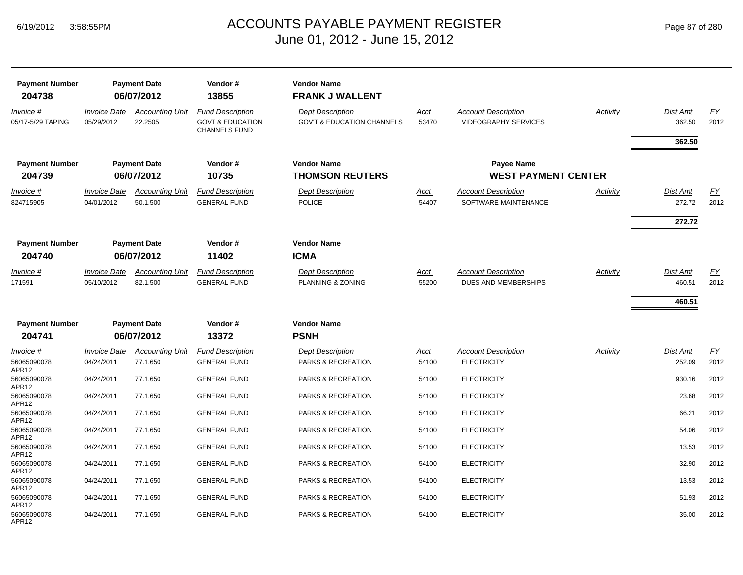## ACCOUNTS PAYABLE PAYMENT REGISTER Page 87 of 280 June 01, 2012 - June 15, 2012

| Page 87 of 280 |  |  |
|----------------|--|--|
|----------------|--|--|

| <b>Payment Number</b><br>204738<br>Invoice #<br>05/17-5/29 TAPING | <b>Invoice Date</b><br>05/29/2012 | <b>Payment Date</b><br>06/07/2012<br><b>Accounting Unit</b><br>22.2505 | Vendor#<br>13855<br><b>Fund Description</b><br><b>GOVT &amp; EDUCATION</b><br><b>CHANNELS FUND</b> | <b>Vendor Name</b><br><b>FRANK J WALLENT</b><br><b>Dept Description</b><br><b>GOV'T &amp; EDUCATION CHANNELS</b> | Acct<br>53470        | <b>Account Description</b><br><b>VIDEOGRAPHY SERVICES</b> | Activity | Dist Amt<br>362.50<br>362.50 | EY<br>2012 |
|-------------------------------------------------------------------|-----------------------------------|------------------------------------------------------------------------|----------------------------------------------------------------------------------------------------|------------------------------------------------------------------------------------------------------------------|----------------------|-----------------------------------------------------------|----------|------------------------------|------------|
| <b>Payment Number</b><br>204739                                   |                                   | <b>Payment Date</b><br>06/07/2012                                      | Vendor#<br>10735                                                                                   | <b>Vendor Name</b><br><b>THOMSON REUTERS</b>                                                                     |                      | <b>Payee Name</b><br><b>WEST PAYMENT CENTER</b>           |          |                              |            |
| Invoice #<br>824715905                                            | <b>Invoice Date</b><br>04/01/2012 | <b>Accounting Unit</b><br>50.1.500                                     | <b>Fund Description</b><br><b>GENERAL FUND</b>                                                     | <b>Dept Description</b><br>POLICE                                                                                | Acct<br>54407        | <b>Account Description</b><br>SOFTWARE MAINTENANCE        | Activity | Dist Amt<br>272.72<br>272.72 | EY<br>2012 |
| <b>Payment Number</b><br>204740                                   |                                   | <b>Payment Date</b><br>06/07/2012                                      | Vendor#<br>11402                                                                                   | <b>Vendor Name</b><br><b>ICMA</b>                                                                                |                      |                                                           |          |                              |            |
| Invoice #<br>171591                                               | <b>Invoice Date</b><br>05/10/2012 | <b>Accounting Unit</b><br>82.1.500                                     | <b>Fund Description</b><br><b>GENERAL FUND</b>                                                     | <b>Dept Description</b><br>PLANNING & ZONING                                                                     | <b>Acct</b><br>55200 | <b>Account Description</b><br>DUES AND MEMBERSHIPS        | Activity | Dist Amt<br>460.51           | EY<br>2012 |
|                                                                   |                                   |                                                                        |                                                                                                    |                                                                                                                  |                      |                                                           |          | 460.51                       |            |
| <b>Payment Number</b><br>204741                                   |                                   | <b>Payment Date</b><br>06/07/2012                                      | Vendor#<br>13372                                                                                   | <b>Vendor Name</b><br><b>PSNH</b>                                                                                |                      |                                                           |          |                              |            |
| Invoice #<br>56065090078                                          | <b>Invoice Date</b><br>04/24/2011 | <b>Accounting Unit</b><br>77.1.650                                     | <b>Fund Description</b><br><b>GENERAL FUND</b>                                                     | <b>Dept Description</b><br>PARKS & RECREATION                                                                    | <u>Acct</u><br>54100 | <b>Account Description</b><br><b>ELECTRICITY</b>          | Activity | Dist Amt<br>252.09           | EY<br>2012 |
| APR12<br>56065090078                                              | 04/24/2011                        | 77.1.650                                                               | <b>GENERAL FUND</b>                                                                                | PARKS & RECREATION                                                                                               | 54100                | <b>ELECTRICITY</b>                                        |          | 930.16                       | 2012       |
| APR12<br>56065090078                                              |                                   |                                                                        |                                                                                                    |                                                                                                                  |                      |                                                           |          |                              |            |
|                                                                   | 04/24/2011                        | 77.1.650                                                               | <b>GENERAL FUND</b>                                                                                | PARKS & RECREATION                                                                                               | 54100                | <b>ELECTRICITY</b>                                        |          | 23.68                        | 2012       |
| APR12<br>56065090078<br>APR12                                     | 04/24/2011                        | 77.1.650                                                               | <b>GENERAL FUND</b>                                                                                | PARKS & RECREATION                                                                                               | 54100                | <b>ELECTRICITY</b>                                        |          | 66.21                        | 2012       |
| 56065090078<br>APR12                                              | 04/24/2011                        | 77.1.650                                                               | <b>GENERAL FUND</b>                                                                                | PARKS & RECREATION                                                                                               | 54100                | <b>ELECTRICITY</b>                                        |          | 54.06                        | 2012       |
| 56065090078<br>APR12                                              | 04/24/2011                        | 77.1.650                                                               | <b>GENERAL FUND</b>                                                                                | <b>PARKS &amp; RECREATION</b>                                                                                    | 54100                | <b>ELECTRICITY</b>                                        |          | 13.53                        | 2012       |
| 56065090078<br>APR12                                              | 04/24/2011                        | 77.1.650                                                               | <b>GENERAL FUND</b>                                                                                | PARKS & RECREATION                                                                                               | 54100                | <b>ELECTRICITY</b>                                        |          | 32.90                        | 2012       |
| 56065090078<br>APR12                                              | 04/24/2011                        | 77.1.650                                                               | <b>GENERAL FUND</b>                                                                                | PARKS & RECREATION                                                                                               | 54100                | <b>ELECTRICITY</b>                                        |          | 13.53                        | 2012       |
| 56065090078<br>APR12                                              | 04/24/2011                        | 77.1.650                                                               | <b>GENERAL FUND</b>                                                                                | PARKS & RECREATION                                                                                               | 54100                | <b>ELECTRICITY</b>                                        |          | 51.93                        | 2012       |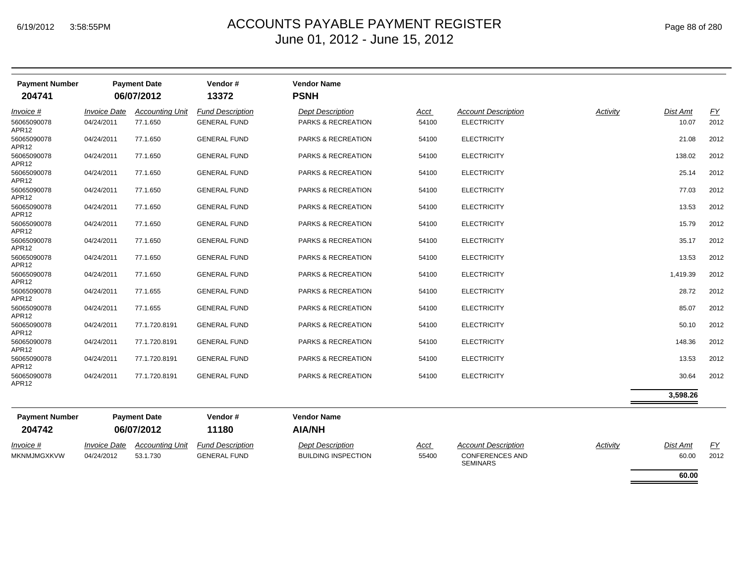| <b>Payment Number</b><br>204741  |                            | <b>Payment Date</b><br>06/07/2012 | Vendor#<br>13372        | <b>Vendor Name</b><br><b>PSNH</b> |             |                                           |          |                 |           |
|----------------------------------|----------------------------|-----------------------------------|-------------------------|-----------------------------------|-------------|-------------------------------------------|----------|-----------------|-----------|
| Invoice #                        | <i><b>Invoice Date</b></i> | <b>Accounting Unit</b>            | <b>Fund Description</b> | <b>Dept Description</b>           | <u>Acct</u> | <b>Account Description</b>                | Activity | Dist Amt        | EY        |
| 56065090078<br>APR <sub>12</sub> | 04/24/2011                 | 77.1.650                          | <b>GENERAL FUND</b>     | PARKS & RECREATION                | 54100       | <b>ELECTRICITY</b>                        |          | 10.07           | 2012      |
| 56065090078<br>APR12             | 04/24/2011                 | 77.1.650                          | <b>GENERAL FUND</b>     | <b>PARKS &amp; RECREATION</b>     | 54100       | <b>ELECTRICITY</b>                        |          | 21.08           | 2012      |
| 56065090078<br>APR <sub>12</sub> | 04/24/2011                 | 77.1.650                          | <b>GENERAL FUND</b>     | <b>PARKS &amp; RECREATION</b>     | 54100       | <b>ELECTRICITY</b>                        |          | 138.02          | 2012      |
| 56065090078<br>APR12             | 04/24/2011                 | 77.1.650                          | <b>GENERAL FUND</b>     | PARKS & RECREATION                | 54100       | <b>ELECTRICITY</b>                        |          | 25.14           | 2012      |
| 56065090078<br>APR12             | 04/24/2011                 | 77.1.650                          | <b>GENERAL FUND</b>     | <b>PARKS &amp; RECREATION</b>     | 54100       | <b>ELECTRICITY</b>                        |          | 77.03           | 2012      |
| 56065090078<br>APR <sub>12</sub> | 04/24/2011                 | 77.1.650                          | <b>GENERAL FUND</b>     | PARKS & RECREATION                | 54100       | <b>ELECTRICITY</b>                        |          | 13.53           | 2012      |
| 56065090078<br>APR12             | 04/24/2011                 | 77.1.650                          | <b>GENERAL FUND</b>     | PARKS & RECREATION                | 54100       | <b>ELECTRICITY</b>                        |          | 15.79           | 2012      |
| 56065090078<br>APR <sub>12</sub> | 04/24/2011                 | 77.1.650                          | <b>GENERAL FUND</b>     | <b>PARKS &amp; RECREATION</b>     | 54100       | <b>ELECTRICITY</b>                        |          | 35.17           | 2012      |
| 56065090078<br>APR12             | 04/24/2011                 | 77.1.650                          | <b>GENERAL FUND</b>     | PARKS & RECREATION                | 54100       | <b>ELECTRICITY</b>                        |          | 13.53           | 2012      |
| 56065090078<br>APR12             | 04/24/2011                 | 77.1.650                          | <b>GENERAL FUND</b>     | <b>PARKS &amp; RECREATION</b>     | 54100       | <b>ELECTRICITY</b>                        |          | 1,419.39        | 2012      |
| 56065090078<br>APR12             | 04/24/2011                 | 77.1.655                          | <b>GENERAL FUND</b>     | PARKS & RECREATION                | 54100       | <b>ELECTRICITY</b>                        |          | 28.72           | 2012      |
| 56065090078<br>APR12             | 04/24/2011                 | 77.1.655                          | <b>GENERAL FUND</b>     | <b>PARKS &amp; RECREATION</b>     | 54100       | <b>ELECTRICITY</b>                        |          | 85.07           | 2012      |
| 56065090078<br>APR <sub>12</sub> | 04/24/2011                 | 77.1.720.8191                     | <b>GENERAL FUND</b>     | <b>PARKS &amp; RECREATION</b>     | 54100       | <b>ELECTRICITY</b>                        |          | 50.10           | 2012      |
| 56065090078<br>APR <sub>12</sub> | 04/24/2011                 | 77.1.720.8191                     | <b>GENERAL FUND</b>     | PARKS & RECREATION                | 54100       | <b>ELECTRICITY</b>                        |          | 148.36          | 2012      |
| 56065090078<br>APR <sub>12</sub> | 04/24/2011                 | 77.1.720.8191                     | <b>GENERAL FUND</b>     | PARKS & RECREATION                | 54100       | <b>ELECTRICITY</b>                        |          | 13.53           | 2012      |
| 56065090078<br>APR12             | 04/24/2011                 | 77.1.720.8191                     | <b>GENERAL FUND</b>     | PARKS & RECREATION                | 54100       | <b>ELECTRICITY</b>                        |          | 30.64           | 2012      |
|                                  |                            |                                   |                         |                                   |             |                                           |          | 3,598.26        |           |
| <b>Payment Number</b>            |                            | <b>Payment Date</b>               | Vendor#                 | <b>Vendor Name</b>                |             |                                           |          |                 |           |
| 204742                           |                            | 06/07/2012                        | 11180                   | <b>AIA/NH</b>                     |             |                                           |          |                 |           |
| <i>Invoice</i> #                 | <b>Invoice Date</b>        | <b>Accounting Unit</b>            | <b>Fund Description</b> | <b>Dept Description</b>           | <u>Acct</u> | <b>Account Description</b>                | Activity | <b>Dist Amt</b> | <u>FY</u> |
| <b>MKNMJMGXKVW</b>               | 04/24/2012                 | 53.1.730                          | <b>GENERAL FUND</b>     | <b>BUILDING INSPECTION</b>        | 55400       | <b>CONFERENCES AND</b><br><b>SEMINARS</b> |          | 60.00           | 2012      |
|                                  |                            |                                   |                         |                                   |             |                                           |          | 60.00           |           |

÷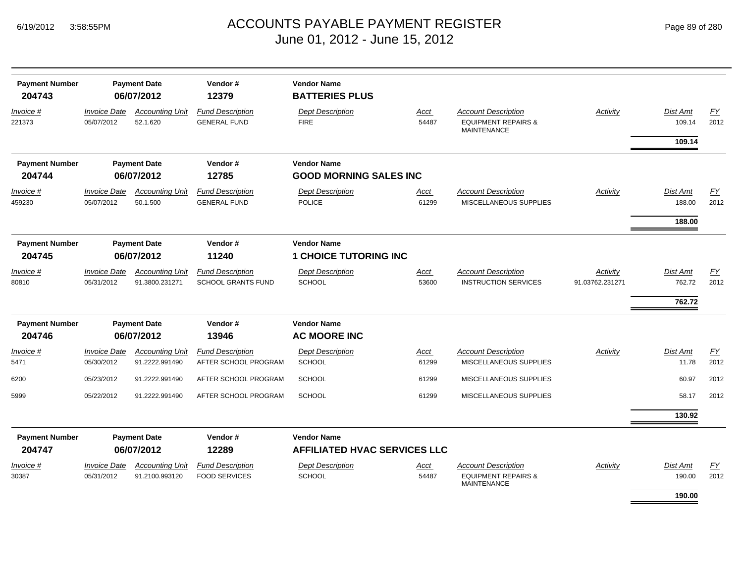| Page 89 of 280 |  |  |  |
|----------------|--|--|--|
|----------------|--|--|--|

| <b>Payment Number</b><br>204743 |                                   | <b>Payment Date</b><br>06/07/2012        | Vendor#<br>12379                                     | <b>Vendor Name</b><br><b>BATTERIES PLUS</b>               |                      |                                                                                    |                             |                                     |                          |
|---------------------------------|-----------------------------------|------------------------------------------|------------------------------------------------------|-----------------------------------------------------------|----------------------|------------------------------------------------------------------------------------|-----------------------------|-------------------------------------|--------------------------|
| Invoice #<br>221373             | <b>Invoice Date</b><br>05/07/2012 | <b>Accounting Unit</b><br>52.1.620       | <b>Fund Description</b><br><b>GENERAL FUND</b>       | <b>Dept Description</b><br><b>FIRE</b>                    | Acct<br>54487        | <b>Account Description</b><br><b>EQUIPMENT REPAIRS &amp;</b><br><b>MAINTENANCE</b> | <b>Activity</b>             | <b>Dist Amt</b><br>109.14           | EY<br>2012               |
| <b>Payment Number</b><br>204744 |                                   | <b>Payment Date</b><br>06/07/2012        | Vendor#<br>12785                                     | <b>Vendor Name</b><br><b>GOOD MORNING SALES INC</b>       |                      |                                                                                    |                             | 109.14                              |                          |
| Invoice #<br>459230             | <b>Invoice Date</b><br>05/07/2012 | <b>Accounting Unit</b><br>50.1.500       | <b>Fund Description</b><br><b>GENERAL FUND</b>       | <b>Dept Description</b><br><b>POLICE</b>                  | <u>Acct</u><br>61299 | <b>Account Description</b><br>MISCELLANEOUS SUPPLIES                               | <b>Activity</b>             | Dist Amt<br>188.00<br>188.00        | EY<br>2012               |
| <b>Payment Number</b><br>204745 | <b>Payment Date</b><br>06/07/2012 |                                          | Vendor#<br>11240                                     | <b>Vendor Name</b><br><b>1 CHOICE TUTORING INC</b>        |                      |                                                                                    |                             |                                     |                          |
| Invoice #<br>80810              | <b>Invoice Date</b><br>05/31/2012 | <b>Accounting Unit</b><br>91.3800.231271 | <b>Fund Description</b><br><b>SCHOOL GRANTS FUND</b> | <b>Dept Description</b><br><b>SCHOOL</b>                  | <b>Acct</b><br>53600 | <b>Account Description</b><br><b>INSTRUCTION SERVICES</b>                          | Activity<br>91.03762.231271 | <b>Dist Amt</b><br>762.72<br>762.72 | EY<br>2012               |
| <b>Payment Number</b><br>204746 |                                   | <b>Payment Date</b><br>06/07/2012        | Vendor#<br>13946                                     | <b>Vendor Name</b><br><b>AC MOORE INC</b>                 |                      |                                                                                    |                             |                                     |                          |
| Invoice #<br>5471               | <b>Invoice Date</b><br>05/30/2012 | <b>Accounting Unit</b><br>91.2222.991490 | <b>Fund Description</b><br>AFTER SCHOOL PROGRAM      | <b>Dept Description</b><br><b>SCHOOL</b>                  | <b>Acct</b><br>61299 | <b>Account Description</b><br>MISCELLANEOUS SUPPLIES                               | Activity                    | Dist Amt<br>11.78                   | $\underline{FY}$<br>2012 |
| 6200                            | 05/23/2012                        | 91.2222.991490                           | AFTER SCHOOL PROGRAM                                 | <b>SCHOOL</b>                                             | 61299                | MISCELLANEOUS SUPPLIES                                                             |                             | 60.97                               | 2012                     |
| 5999                            | 05/22/2012                        | 91.2222.991490                           | AFTER SCHOOL PROGRAM                                 | <b>SCHOOL</b>                                             | 61299                | MISCELLANEOUS SUPPLIES                                                             |                             | 58.17                               | 2012                     |
|                                 |                                   |                                          |                                                      |                                                           |                      |                                                                                    |                             | 130.92                              |                          |
| <b>Payment Number</b><br>204747 |                                   | <b>Payment Date</b><br>06/07/2012        | Vendor#<br>12289                                     | <b>Vendor Name</b><br><b>AFFILIATED HVAC SERVICES LLC</b> |                      |                                                                                    |                             |                                     |                          |
| <i>Invoice</i> #                | <b>Invoice Date</b>               | <b>Accounting Unit</b>                   | <b>Fund Description</b>                              | <b>Dept Description</b>                                   | Acct                 | <b>Account Description</b>                                                         | <b>Activity</b>             | Dist Amt                            | EY                       |
| 30387                           | 05/31/2012                        | 91.2100.993120                           | <b>FOOD SERVICES</b>                                 | <b>SCHOOL</b>                                             | 54487                | <b>EQUIPMENT REPAIRS &amp;</b><br><b>MAINTENANCE</b>                               |                             | 190.00<br>190.00                    | 2012                     |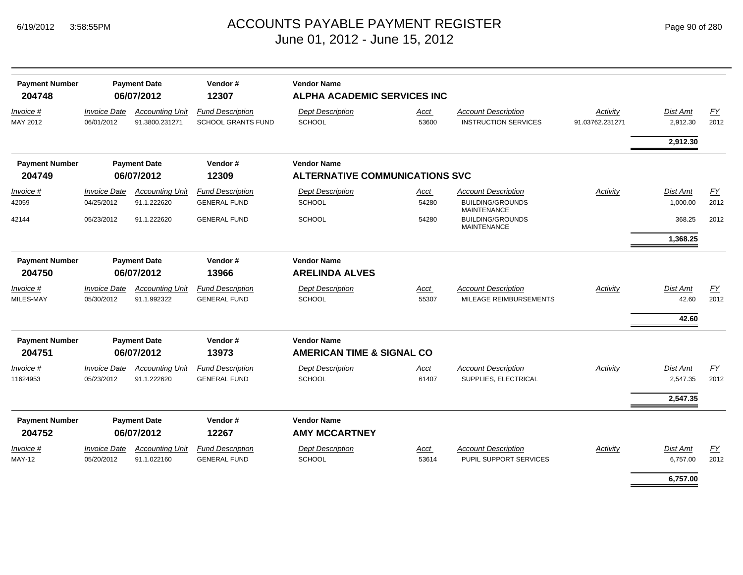| <b>Payment Number</b><br>204748 |                                   | <b>Payment Date</b><br>06/07/2012        | Vendor#<br>12307                                     | <b>Vendor Name</b><br><b>ALPHA ACADEMIC SERVICES INC</b> |               |                                                           |                             |                      |                   |  |  |
|---------------------------------|-----------------------------------|------------------------------------------|------------------------------------------------------|----------------------------------------------------------|---------------|-----------------------------------------------------------|-----------------------------|----------------------|-------------------|--|--|
| Invoice #<br>MAY 2012           | <b>Invoice Date</b><br>06/01/2012 | <b>Accounting Unit</b><br>91.3800.231271 | <b>Fund Description</b><br><b>SCHOOL GRANTS FUND</b> | <b>Dept Description</b><br><b>SCHOOL</b>                 | Acct<br>53600 | <b>Account Description</b><br><b>INSTRUCTION SERVICES</b> | Activity<br>91.03762.231271 | Dist Amt<br>2,912.30 | <b>FY</b><br>2012 |  |  |
|                                 |                                   |                                          |                                                      |                                                          |               |                                                           |                             | 2,912.30             |                   |  |  |
| <b>Payment Number</b>           |                                   | <b>Payment Date</b>                      | Vendor#                                              | <b>Vendor Name</b>                                       |               |                                                           |                             |                      |                   |  |  |
| 204749                          |                                   | 06/07/2012                               | 12309                                                | <b>ALTERNATIVE COMMUNICATIONS SVC</b>                    |               |                                                           |                             |                      |                   |  |  |
| Invoice #                       | <b>Invoice Date</b>               | <b>Accounting Unit</b>                   | <b>Fund Description</b>                              | <b>Dept Description</b>                                  | Acct          | <b>Account Description</b>                                | Activity                    | Dist Amt             | $\underline{FY}$  |  |  |
| 42059                           | 04/25/2012                        | 91.1.222620                              | <b>GENERAL FUND</b>                                  | <b>SCHOOL</b>                                            | 54280         | <b>BUILDING/GROUNDS</b><br><b>MAINTENANCE</b>             |                             | 1.000.00             | 2012              |  |  |
| 42144                           | 05/23/2012                        | 91.1.222620                              | <b>GENERAL FUND</b>                                  | <b>SCHOOL</b>                                            | 54280         | <b>BUILDING/GROUNDS</b><br><b>MAINTENANCE</b>             |                             | 368.25               | 2012              |  |  |
|                                 |                                   |                                          |                                                      |                                                          |               |                                                           |                             | 1,368.25             |                   |  |  |
| <b>Payment Number</b>           |                                   | <b>Payment Date</b>                      | Vendor#                                              | <b>Vendor Name</b>                                       |               |                                                           |                             |                      |                   |  |  |
| 204750                          |                                   | 06/07/2012                               | 13966                                                | <b>ARELINDA ALVES</b>                                    |               |                                                           |                             |                      |                   |  |  |
| Invoice #                       | <b>Invoice Date</b>               | <b>Accounting Unit</b>                   | <b>Fund Description</b>                              | <b>Dept Description</b>                                  | Acct          | <b>Account Description</b>                                | Activity                    | Dist Amt             | <b>FY</b>         |  |  |
| MILES-MAY                       | 05/30/2012                        | 91.1.992322                              | <b>GENERAL FUND</b>                                  | <b>SCHOOL</b>                                            | 55307         | MILEAGE REIMBURSEMENTS                                    |                             | 42.60                | 2012              |  |  |
|                                 |                                   |                                          |                                                      |                                                          |               |                                                           |                             | 42.60                |                   |  |  |
| <b>Payment Number</b>           |                                   | <b>Payment Date</b>                      | Vendor#                                              | <b>Vendor Name</b>                                       |               |                                                           |                             |                      |                   |  |  |
| 204751                          |                                   | 06/07/2012                               | 13973                                                | <b>AMERICAN TIME &amp; SIGNAL CO</b>                     |               |                                                           |                             |                      |                   |  |  |
| Invoice #                       | <b>Invoice Date</b>               | <b>Accounting Unit</b>                   | <b>Fund Description</b>                              | <b>Dept Description</b>                                  | Acct          | <b>Account Description</b>                                | Activity                    | Dist Amt             | <b>FY</b>         |  |  |
| 11624953                        | 05/23/2012                        | 91.1.222620                              | <b>GENERAL FUND</b>                                  | <b>SCHOOL</b>                                            | 61407         | SUPPLIES, ELECTRICAL                                      |                             | 2,547.35             | 2012              |  |  |
|                                 |                                   |                                          |                                                      |                                                          |               |                                                           |                             | 2,547.35             |                   |  |  |
| <b>Payment Number</b><br>204752 |                                   | <b>Payment Date</b><br>06/07/2012        | Vendor#<br>12267                                     | <b>Vendor Name</b><br><b>AMY MCCARTNEY</b>               |               |                                                           |                             |                      |                   |  |  |
| Invoice #                       | <b>Invoice Date</b>               | <b>Accounting Unit</b>                   | <b>Fund Description</b>                              | <b>Dept Description</b>                                  | Acct          | <b>Account Description</b>                                | Activity                    | Dist Amt             | EY                |  |  |
| <b>MAY-12</b>                   | 05/20/2012                        | 91.1.022160                              | <b>GENERAL FUND</b>                                  | <b>SCHOOL</b>                                            | 53614         | PUPIL SUPPORT SERVICES                                    |                             | 6,757.00             | 2012              |  |  |
|                                 |                                   |                                          |                                                      |                                                          |               |                                                           |                             | 6,757.00             |                   |  |  |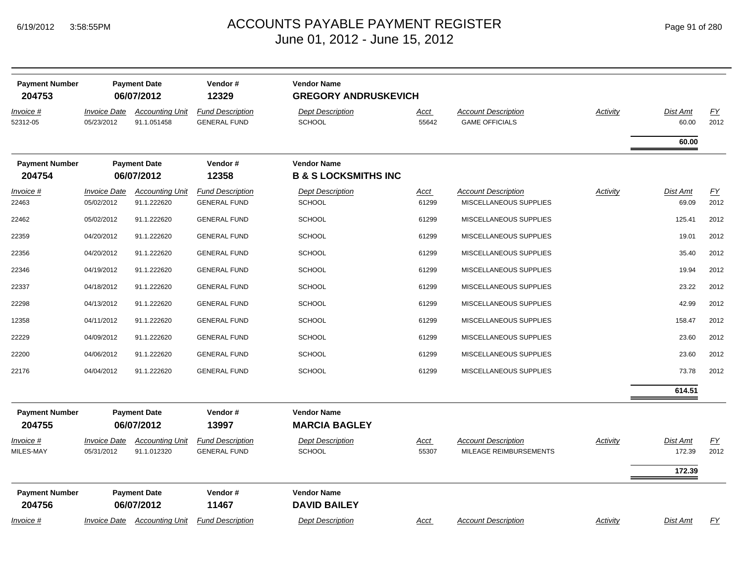| <b>Payment Number</b><br>204753 |                                   | <b>Payment Date</b><br>06/07/2012     | Vendor#<br>12329                               | <b>Vendor Name</b><br><b>GREGORY ANDRUSKEVICH</b>     |                      |                                                      |                 |                    |                          |
|---------------------------------|-----------------------------------|---------------------------------------|------------------------------------------------|-------------------------------------------------------|----------------------|------------------------------------------------------|-----------------|--------------------|--------------------------|
| Invoice #<br>52312-05           | <b>Invoice Date</b><br>05/23/2012 | <b>Accounting Unit</b><br>91.1.051458 | <b>Fund Description</b><br><b>GENERAL FUND</b> | <b>Dept Description</b><br><b>SCHOOL</b>              | Acct<br>55642        | <b>Account Description</b><br><b>GAME OFFICIALS</b>  | <b>Activity</b> | Dist Amt<br>60.00  | $\underline{FY}$<br>2012 |
|                                 |                                   |                                       |                                                |                                                       |                      |                                                      |                 | 60.00              |                          |
| <b>Payment Number</b><br>204754 |                                   | <b>Payment Date</b><br>06/07/2012     | Vendor#<br>12358                               | <b>Vendor Name</b><br><b>B &amp; S LOCKSMITHS INC</b> |                      |                                                      |                 |                    |                          |
| Invoice #<br>22463              | <b>Invoice Date</b><br>05/02/2012 | <b>Accounting Unit</b><br>91.1.222620 | <b>Fund Description</b><br><b>GENERAL FUND</b> | <b>Dept Description</b><br><b>SCHOOL</b>              | Acct<br>61299        | <b>Account Description</b><br>MISCELLANEOUS SUPPLIES | Activity        | Dist Amt<br>69.09  | $\underline{FY}$<br>2012 |
| 22462                           | 05/02/2012                        | 91.1.222620                           | <b>GENERAL FUND</b>                            | <b>SCHOOL</b>                                         | 61299                | MISCELLANEOUS SUPPLIES                               |                 | 125.41             | 2012                     |
| 22359                           | 04/20/2012                        | 91.1.222620                           | <b>GENERAL FUND</b>                            | <b>SCHOOL</b>                                         | 61299                | MISCELLANEOUS SUPPLIES                               |                 | 19.01              | 2012                     |
| 22356                           | 04/20/2012                        | 91.1.222620                           | <b>GENERAL FUND</b>                            | <b>SCHOOL</b>                                         | 61299                | MISCELLANEOUS SUPPLIES                               |                 | 35.40              | 2012                     |
| 22346                           | 04/19/2012                        | 91.1.222620                           | <b>GENERAL FUND</b>                            | <b>SCHOOL</b>                                         | 61299                | MISCELLANEOUS SUPPLIES                               |                 | 19.94              | 2012                     |
| 22337                           | 04/18/2012                        | 91.1.222620                           | <b>GENERAL FUND</b>                            | <b>SCHOOL</b>                                         | 61299                | MISCELLANEOUS SUPPLIES                               |                 | 23.22              | 2012                     |
| 22298                           | 04/13/2012                        | 91.1.222620                           | <b>GENERAL FUND</b>                            | <b>SCHOOL</b>                                         | 61299                | MISCELLANEOUS SUPPLIES                               |                 | 42.99              | 2012                     |
| 12358                           | 04/11/2012                        | 91.1.222620                           | <b>GENERAL FUND</b>                            | <b>SCHOOL</b>                                         | 61299                | MISCELLANEOUS SUPPLIES                               |                 | 158.47             | 2012                     |
| 22229                           | 04/09/2012                        | 91.1.222620                           | <b>GENERAL FUND</b>                            | <b>SCHOOL</b>                                         | 61299                | MISCELLANEOUS SUPPLIES                               |                 | 23.60              | 2012                     |
| 22200                           | 04/06/2012                        | 91.1.222620                           | <b>GENERAL FUND</b>                            | <b>SCHOOL</b>                                         | 61299                | MISCELLANEOUS SUPPLIES                               |                 | 23.60              | 2012                     |
| 22176                           | 04/04/2012                        | 91.1.222620                           | <b>GENERAL FUND</b>                            | <b>SCHOOL</b>                                         | 61299                | MISCELLANEOUS SUPPLIES                               |                 | 73.78              | 2012                     |
|                                 |                                   |                                       |                                                |                                                       |                      |                                                      |                 | 614.51             |                          |
| <b>Payment Number</b><br>204755 |                                   | <b>Payment Date</b><br>06/07/2012     | Vendor#<br>13997                               | <b>Vendor Name</b><br><b>MARCIA BAGLEY</b>            |                      |                                                      |                 |                    |                          |
| $Invoice$ #<br>MILES-MAY        | <b>Invoice Date</b><br>05/31/2012 | <b>Accounting Unit</b><br>91.1.012320 | <b>Fund Description</b><br><b>GENERAL FUND</b> | <b>Dept Description</b><br><b>SCHOOL</b>              | <u>Acct</u><br>55307 | <b>Account Description</b><br>MILEAGE REIMBURSEMENTS | Activity        | Dist Amt<br>172.39 | EY<br>2012               |
|                                 |                                   |                                       |                                                |                                                       |                      |                                                      |                 | 172.39             |                          |
| <b>Payment Number</b><br>204756 |                                   | <b>Payment Date</b><br>06/07/2012     | Vendor#<br>11467                               | <b>Vendor Name</b><br><b>DAVID BAILEY</b>             |                      |                                                      |                 |                    |                          |
| <i>Invoice</i> #                | <i><b>Invoice Date</b></i>        | <b>Accounting Unit</b>                | <b>Fund Description</b>                        | <b>Dept Description</b>                               | Acct                 | <b>Account Description</b>                           | Activity        | Dist Amt           | EY                       |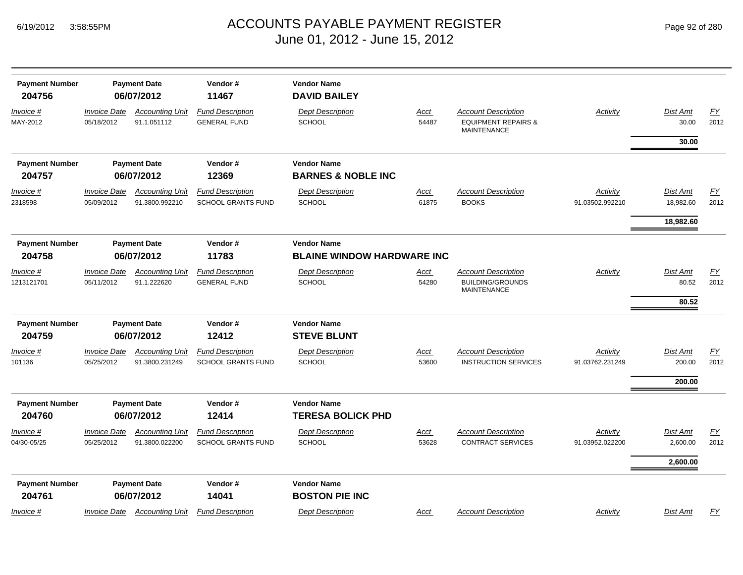*Invoice #*

MAY-2012

*Invoice #*

*Invoice #*

1213121701

*Invoice #*

*Invoice #*

04/30-05/25

101136

2318598

#### ACCOUNTS PAYABLE PAYMENT REGISTER Page 92 of 280 June 01, 2012 - June 15, 2012

| <b>Payment Number</b><br>204756 |                                          | <b>Payment Date</b><br>06/07/2012        | Vendor#<br>11467                                                            | <b>Vendor Name</b><br><b>DAVID BAILEY</b>           |                      |                                                                                    |                             |                              |            |
|---------------------------------|------------------------------------------|------------------------------------------|-----------------------------------------------------------------------------|-----------------------------------------------------|----------------------|------------------------------------------------------------------------------------|-----------------------------|------------------------------|------------|
| Invoice #<br>MAY-2012           | <i><b>Invoice Date</b></i><br>05/18/2012 | <b>Accounting Unit</b><br>91.1.051112    | <b>Fund Description</b><br><b>GENERAL FUND</b>                              | <b>Dept Description</b><br><b>SCHOOL</b>            | Acct<br>54487        | <b>Account Description</b><br><b>EQUIPMENT REPAIRS &amp;</b><br><b>MAINTENANCE</b> | Activity                    | Dist Amt<br>30.00            | EY<br>2012 |
|                                 |                                          |                                          |                                                                             |                                                     |                      |                                                                                    |                             | 30.00                        |            |
| <b>Payment Number</b><br>204757 |                                          | <b>Payment Date</b><br>06/07/2012        | Vendor#<br>12369                                                            | <b>Vendor Name</b><br><b>BARNES &amp; NOBLE INC</b> |                      |                                                                                    |                             |                              |            |
| <u>Invoice #</u><br>2318598     | <b>Invoice Date</b><br>05/09/2012        | <b>Accounting Unit</b><br>91.3800.992210 | <b>Fund Description</b><br><b>SCHOOL GRANTS FUND</b>                        | <b>Dept Description</b><br><b>SCHOOL</b>            | <u>Acct</u><br>61875 | <b>Account Description</b><br><b>BOOKS</b>                                         | Activity<br>91.03502.992210 | <b>Dist Amt</b><br>18,982.60 | EY<br>2012 |
|                                 |                                          |                                          |                                                                             |                                                     |                      |                                                                                    |                             | 18,982.60                    |            |
| <b>Payment Number</b><br>204758 | <b>Payment Date</b><br>06/07/2012        |                                          | Vendor#<br><b>Vendor Name</b><br>11783<br><b>BLAINE WINDOW HARDWARE INC</b> |                                                     |                      |                                                                                    |                             |                              |            |
| Invoice #<br>1213121701         | <i><b>Invoice Date</b></i><br>05/11/2012 | <b>Accounting Unit</b><br>91.1.222620    | <b>Fund Description</b><br><b>GENERAL FUND</b>                              | <b>Dept Description</b><br><b>SCHOOL</b>            | <u>Acct</u><br>54280 | <b>Account Description</b><br><b>BUILDING/GROUNDS</b><br><b>MAINTENANCE</b>        | Activity                    | Dist Amt<br>80.52            | EY<br>2012 |
|                                 |                                          |                                          |                                                                             |                                                     |                      |                                                                                    |                             | 80.52                        |            |
| <b>Payment Number</b><br>204759 |                                          | <b>Payment Date</b><br>06/07/2012        | Vendor#<br>12412                                                            | <b>Vendor Name</b><br><b>STEVE BLUNT</b>            |                      |                                                                                    |                             |                              |            |
| <u>Invoice #</u><br>101136      | <b>Invoice Date</b><br>05/25/2012        | <b>Accounting Unit</b><br>91.3800.231249 | <b>Fund Description</b><br><b>SCHOOL GRANTS FUND</b>                        | <b>Dept Description</b><br><b>SCHOOL</b>            | <u>Acct</u><br>53600 | <b>Account Description</b><br><b>INSTRUCTION SERVICES</b>                          | Activity<br>91.03762.231249 | <b>Dist Amt</b><br>200.00    | EY<br>2012 |
|                                 |                                          |                                          |                                                                             |                                                     |                      |                                                                                    |                             | 200.00                       |            |
| <b>Payment Number</b><br>204760 |                                          | <b>Payment Date</b><br>06/07/2012        | Vendor#<br>12414                                                            | <b>Vendor Name</b><br><b>TERESA BOLICK PHD</b>      |                      |                                                                                    |                             |                              |            |
| Invoice #<br>04/30-05/25        | <b>Invoice Date</b><br>05/25/2012        | <b>Accounting Unit</b><br>91.3800.022200 | <b>Fund Description</b><br><b>SCHOOL GRANTS FUND</b>                        | <b>Dept Description</b><br><b>SCHOOL</b>            | <u>Acct</u><br>53628 | <b>Account Description</b><br><b>CONTRACT SERVICES</b>                             | Activity<br>91.03952.022200 | Dist Amt<br>2,600.00         | EY<br>2012 |
|                                 |                                          |                                          |                                                                             |                                                     |                      |                                                                                    |                             | 2,600.00                     |            |
| <b>Payment Number</b><br>204761 |                                          | <b>Payment Date</b><br>06/07/2012        | Vendor#<br>14041                                                            | <b>Vendor Name</b><br><b>BOSTON PIE INC</b>         |                      |                                                                                    |                             |                              |            |
|                                 |                                          |                                          |                                                                             |                                                     |                      |                                                                                    |                             |                              |            |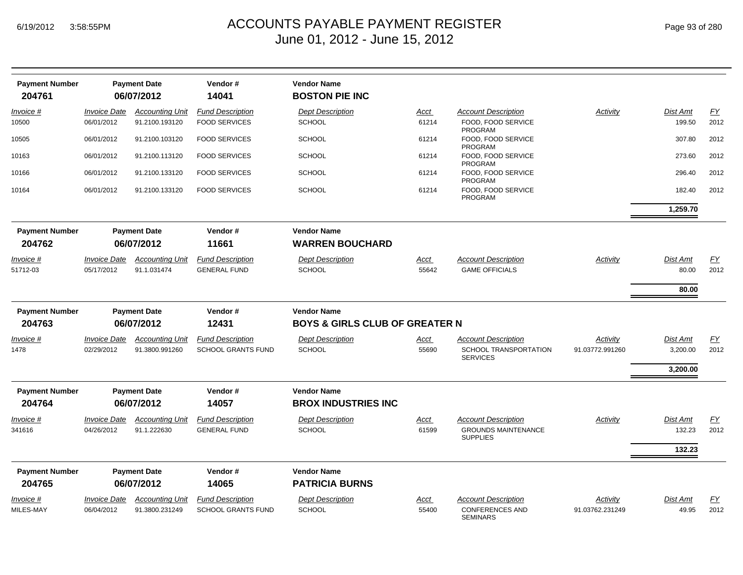| <b>Payment Number</b><br>204761 |                     | <b>Payment Date</b><br>06/07/2012 | Vendor#<br>14041          | <b>Vendor Name</b><br><b>BOSTON PIE INC</b> |             |                                               |                 |                 |                  |
|---------------------------------|---------------------|-----------------------------------|---------------------------|---------------------------------------------|-------------|-----------------------------------------------|-----------------|-----------------|------------------|
| Invoice #                       | <b>Invoice Date</b> | <b>Accounting Unit</b>            | <b>Fund Description</b>   | <b>Dept Description</b>                     | <u>Acct</u> | <b>Account Description</b>                    | Activity        | Dist Amt        | EY               |
| 10500                           | 06/01/2012          | 91.2100.193120                    | <b>FOOD SERVICES</b>      | <b>SCHOOL</b>                               | 61214       | FOOD. FOOD SERVICE<br>PROGRAM                 |                 | 199.50          | 2012             |
| 10505                           | 06/01/2012          | 91.2100.103120                    | <b>FOOD SERVICES</b>      | <b>SCHOOL</b>                               | 61214       | FOOD. FOOD SERVICE<br>PROGRAM                 |                 | 307.80          | 2012             |
| 10163                           | 06/01/2012          | 91.2100.113120                    | <b>FOOD SERVICES</b>      | <b>SCHOOL</b>                               | 61214       | FOOD, FOOD SERVICE<br><b>PROGRAM</b>          |                 | 273.60          | 2012             |
| 10166                           | 06/01/2012          | 91.2100.133120                    | <b>FOOD SERVICES</b>      | <b>SCHOOL</b>                               | 61214       | FOOD, FOOD SERVICE<br><b>PROGRAM</b>          |                 | 296.40          | 2012             |
| 10164                           | 06/01/2012          | 91.2100.133120                    | <b>FOOD SERVICES</b>      | <b>SCHOOL</b>                               | 61214       | FOOD, FOOD SERVICE<br>PROGRAM                 |                 | 182.40          | 2012             |
|                                 |                     |                                   |                           |                                             |             |                                               |                 | 1,259.70        |                  |
| <b>Payment Number</b>           |                     | <b>Payment Date</b>               | Vendor#                   | <b>Vendor Name</b>                          |             |                                               |                 |                 |                  |
| 204762                          |                     | 06/07/2012                        | 11661                     | <b>WARREN BOUCHARD</b>                      |             |                                               |                 |                 |                  |
| Invoice #                       | <b>Invoice Date</b> | <b>Accounting Unit</b>            | <b>Fund Description</b>   | <b>Dept Description</b>                     | Acct        | <b>Account Description</b>                    | Activity        | <b>Dist Amt</b> | <u>FY</u>        |
| 51712-03                        | 05/17/2012          | 91.1.031474                       | <b>GENERAL FUND</b>       | <b>SCHOOL</b>                               | 55642       | <b>GAME OFFICIALS</b>                         |                 | 80.00           | 2012             |
|                                 |                     |                                   |                           |                                             |             |                                               |                 | 80.00           |                  |
| <b>Payment Number</b>           |                     | <b>Payment Date</b>               | Vendor#                   | <b>Vendor Name</b>                          |             |                                               |                 |                 |                  |
| 204763                          |                     | 06/07/2012                        | 12431                     | <b>BOYS &amp; GIRLS CLUB OF GREATER N</b>   |             |                                               |                 |                 |                  |
| Invoice #                       | <b>Invoice Date</b> | <b>Accounting Unit</b>            | <b>Fund Description</b>   | <b>Dept Description</b>                     | Acct        | Account Description                           | Activity        | Dist Amt        | EY               |
| 1478                            | 02/29/2012          | 91.3800.991260                    | <b>SCHOOL GRANTS FUND</b> | <b>SCHOOL</b>                               | 55690       | SCHOOL TRANSPORTATION<br><b>SERVICES</b>      | 91.03772.991260 | 3,200.00        | 2012             |
|                                 |                     |                                   |                           |                                             |             |                                               |                 | 3,200.00        |                  |
| <b>Payment Number</b>           |                     | <b>Payment Date</b>               | Vendor#                   | <b>Vendor Name</b>                          |             |                                               |                 |                 |                  |
| 204764                          |                     | 06/07/2012                        | 14057                     | <b>BROX INDUSTRIES INC</b>                  |             |                                               |                 |                 |                  |
| Invoice #                       | <b>Invoice Date</b> | <b>Accounting Unit</b>            | <b>Fund Description</b>   | <b>Dept Description</b>                     | <u>Acct</u> | <b>Account Description</b>                    | Activity        | <b>Dist Amt</b> | $\underline{FY}$ |
| 341616                          | 04/26/2012          | 91.1.222630                       | <b>GENERAL FUND</b>       | <b>SCHOOL</b>                               | 61599       | <b>GROUNDS MAINTENANCE</b><br><b>SUPPLIES</b> |                 | 132.23          | 2012             |
|                                 |                     |                                   |                           |                                             |             |                                               |                 | 132.23          |                  |
| <b>Payment Number</b>           |                     | <b>Payment Date</b>               | Vendor#                   | <b>Vendor Name</b>                          |             |                                               |                 |                 |                  |
| 204765                          |                     | 06/07/2012                        | 14065                     | <b>PATRICIA BURNS</b>                       |             |                                               |                 |                 |                  |
| Invoice #                       | <b>Invoice Date</b> | <b>Accounting Unit</b>            | <b>Fund Description</b>   | <b>Dept Description</b>                     | Acct        | Account Description                           | Activity        | <b>Dist Amt</b> | <u>FY</u>        |
| MILES-MAY                       | 06/04/2012          | 91.3800.231249                    | <b>SCHOOL GRANTS FUND</b> | <b>SCHOOL</b>                               | 55400       | <b>CONFERENCES AND</b><br><b>SEMINARS</b>     | 91.03762.231249 | 49.95           | 2012             |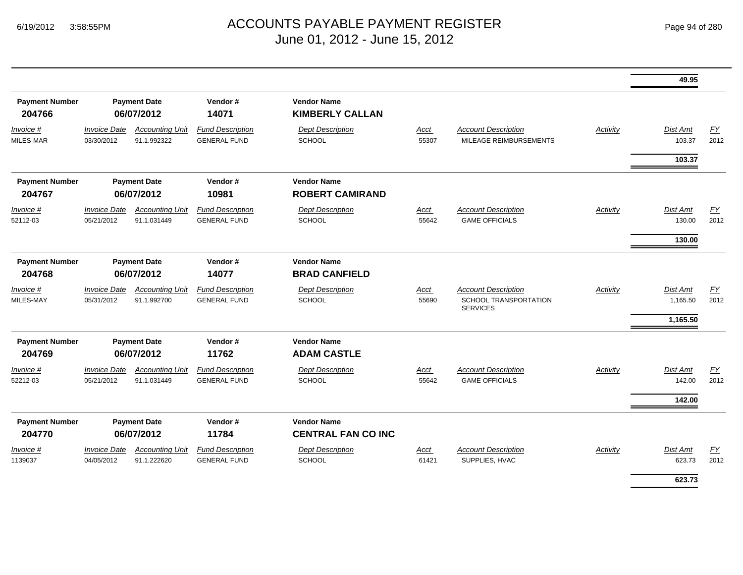|                                 |                                          |                                       |                                                |                                                 |               |                                                                        |                 | 49.95                            |            |
|---------------------------------|------------------------------------------|---------------------------------------|------------------------------------------------|-------------------------------------------------|---------------|------------------------------------------------------------------------|-----------------|----------------------------------|------------|
| <b>Payment Number</b><br>204766 |                                          | <b>Payment Date</b><br>06/07/2012     | Vendor#<br>14071                               | <b>Vendor Name</b><br><b>KIMBERLY CALLAN</b>    |               |                                                                        |                 |                                  |            |
| Invoice #<br>MILES-MAR          | <i><b>Invoice Date</b></i><br>03/30/2012 | <b>Accounting Unit</b><br>91.1.992322 | <b>Fund Description</b><br><b>GENERAL FUND</b> | <b>Dept Description</b><br><b>SCHOOL</b>        | Acct<br>55307 | <b>Account Description</b><br>MILEAGE REIMBURSEMENTS                   | Activity        | Dist Amt<br>103.37               | EY<br>2012 |
|                                 |                                          |                                       |                                                |                                                 |               |                                                                        |                 | 103.37                           |            |
| <b>Payment Number</b><br>204767 |                                          | <b>Payment Date</b><br>06/07/2012     | Vendor#<br>10981                               | <b>Vendor Name</b><br><b>ROBERT CAMIRAND</b>    |               |                                                                        |                 |                                  |            |
| Invoice #<br>52112-03           | <b>Invoice Date</b><br>05/21/2012        | <b>Accounting Unit</b><br>91.1.031449 | <b>Fund Description</b><br><b>GENERAL FUND</b> | <b>Dept Description</b><br><b>SCHOOL</b>        | Acct<br>55642 | <b>Account Description</b><br><b>GAME OFFICIALS</b>                    | <b>Activity</b> | Dist Amt<br>130.00               | EY<br>2012 |
|                                 |                                          |                                       |                                                |                                                 |               |                                                                        |                 | 130.00                           |            |
| <b>Payment Number</b><br>204768 |                                          | <b>Payment Date</b><br>06/07/2012     | Vendor#<br>14077                               | <b>Vendor Name</b><br><b>BRAD CANFIELD</b>      |               |                                                                        |                 |                                  |            |
| <i>Invoice</i> #<br>MILES-MAY   | <i><b>Invoice Date</b></i><br>05/31/2012 | <b>Accounting Unit</b><br>91.1.992700 | <b>Fund Description</b><br><b>GENERAL FUND</b> | <b>Dept Description</b><br><b>SCHOOL</b>        | Acct<br>55690 | <b>Account Description</b><br>SCHOOL TRANSPORTATION<br><b>SERVICES</b> | Activity        | Dist Amt<br>1,165.50<br>1,165.50 | EY<br>2012 |
| <b>Payment Number</b><br>204769 |                                          | <b>Payment Date</b><br>06/07/2012     | Vendor#<br>11762                               | <b>Vendor Name</b><br><b>ADAM CASTLE</b>        |               |                                                                        |                 |                                  |            |
| Invoice #<br>52212-03           | <b>Invoice Date</b><br>05/21/2012        | <b>Accounting Unit</b><br>91.1.031449 | <b>Fund Description</b><br><b>GENERAL FUND</b> | <b>Dept Description</b><br><b>SCHOOL</b>        | Acct<br>55642 | <b>Account Description</b><br><b>GAME OFFICIALS</b>                    | <b>Activity</b> | <b>Dist Amt</b><br>142.00        | EY<br>2012 |
|                                 |                                          |                                       |                                                |                                                 |               |                                                                        |                 | 142.00                           |            |
| <b>Payment Number</b><br>204770 |                                          | <b>Payment Date</b><br>06/07/2012     | Vendor#<br>11784                               | <b>Vendor Name</b><br><b>CENTRAL FAN CO INC</b> |               |                                                                        |                 |                                  |            |
| Invoice #<br>1139037            | <b>Invoice Date</b><br>04/05/2012        | <b>Accounting Unit</b><br>91.1.222620 | <b>Fund Description</b><br><b>GENERAL FUND</b> | <b>Dept Description</b><br><b>SCHOOL</b>        | Acct<br>61421 | <b>Account Description</b><br>SUPPLIES, HVAC                           | Activity        | Dist Amt<br>623.73               | EY<br>2012 |
|                                 |                                          |                                       |                                                |                                                 |               |                                                                        |                 | 623.73                           |            |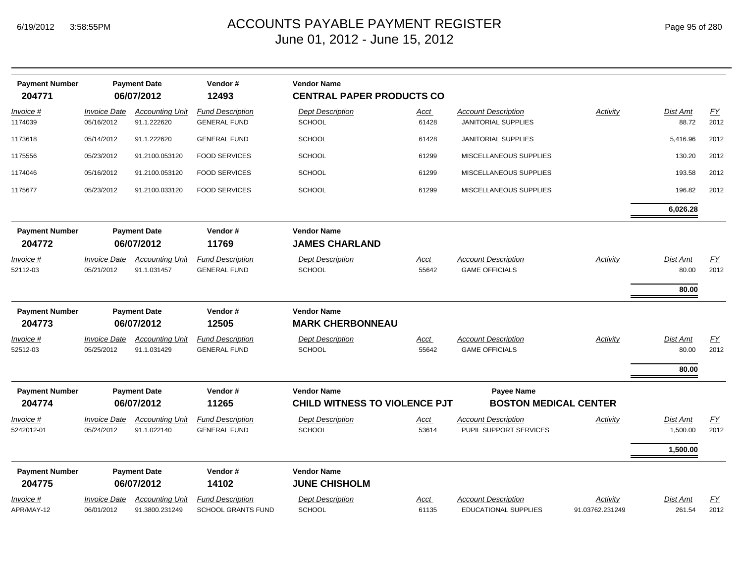| <b>Payment Number</b><br>204771 |                                   | <b>Payment Date</b><br>06/07/2012        | Vendor#<br>12493                                     | <b>Vendor Name</b><br><b>CENTRAL PAPER PRODUCTS CO</b>     |                      |                                                           |                             |                             |                          |
|---------------------------------|-----------------------------------|------------------------------------------|------------------------------------------------------|------------------------------------------------------------|----------------------|-----------------------------------------------------------|-----------------------------|-----------------------------|--------------------------|
| Invoice #<br>1174039            | <b>Invoice Date</b><br>05/16/2012 | <b>Accounting Unit</b><br>91.1.222620    | <b>Fund Description</b><br><b>GENERAL FUND</b>       | <b>Dept Description</b><br><b>SCHOOL</b>                   | <u>Acct</u><br>61428 | <b>Account Description</b><br><b>JANITORIAL SUPPLIES</b>  | Activity                    | Dist Amt<br>88.72           | EY<br>2012               |
| 1173618                         | 05/14/2012                        | 91.1.222620                              | <b>GENERAL FUND</b>                                  | <b>SCHOOL</b>                                              | 61428                | <b>JANITORIAL SUPPLIES</b>                                |                             | 5,416.96                    | 2012                     |
| 1175556                         | 05/23/2012                        | 91.2100.053120                           | <b>FOOD SERVICES</b>                                 | <b>SCHOOL</b>                                              | 61299                | MISCELLANEOUS SUPPLIES                                    |                             | 130.20                      | 2012                     |
| 1174046                         | 05/16/2012                        | 91.2100.053120                           | <b>FOOD SERVICES</b>                                 | <b>SCHOOL</b>                                              | 61299                | MISCELLANEOUS SUPPLIES                                    |                             | 193.58                      | 2012                     |
| 1175677                         | 05/23/2012                        | 91.2100.033120                           | <b>FOOD SERVICES</b>                                 | <b>SCHOOL</b>                                              | 61299                | MISCELLANEOUS SUPPLIES                                    |                             | 196.82                      | 2012                     |
|                                 |                                   |                                          |                                                      |                                                            |                      |                                                           |                             | 6,026.28                    |                          |
| <b>Payment Number</b><br>204772 | <b>Payment Date</b><br>06/07/2012 |                                          | Vendor#<br>11769                                     | <b>Vendor Name</b><br><b>JAMES CHARLAND</b>                |                      |                                                           |                             |                             |                          |
| <u>Invoice #</u><br>52112-03    | <b>Invoice Date</b><br>05/21/2012 | <b>Accounting Unit</b><br>91.1.031457    | <b>Fund Description</b><br><b>GENERAL FUND</b>       | <b>Dept Description</b><br><b>SCHOOL</b>                   | <u>Acct</u><br>55642 | <b>Account Description</b><br><b>GAME OFFICIALS</b>       | Activity                    | Dist Amt<br>80.00           | $\underline{FY}$<br>2012 |
| <b>Payment Number</b><br>204773 |                                   | <b>Payment Date</b><br>06/07/2012        | Vendor#<br>12505                                     | <b>Vendor Name</b><br><b>MARK CHERBONNEAU</b>              |                      |                                                           |                             | 80.00                       |                          |
| <u>Invoice #</u><br>52512-03    | <b>Invoice Date</b><br>05/25/2012 | <b>Accounting Unit</b><br>91.1.031429    | <b>Fund Description</b><br><b>GENERAL FUND</b>       | <b>Dept Description</b><br><b>SCHOOL</b>                   | <u>Acct</u><br>55642 | <b>Account Description</b><br><b>GAME OFFICIALS</b>       | Activity                    | Dist Amt<br>80.00           | EY<br>2012               |
|                                 |                                   |                                          |                                                      |                                                            |                      |                                                           |                             | 80.00                       |                          |
| <b>Payment Number</b><br>204774 |                                   | <b>Payment Date</b><br>06/07/2012        | Vendor#<br>11265                                     | <b>Vendor Name</b><br><b>CHILD WITNESS TO VIOLENCE PJT</b> |                      | <b>Payee Name</b><br><b>BOSTON MEDICAL CENTER</b>         |                             |                             |                          |
| Invoice #<br>5242012-01         | <b>Invoice Date</b><br>05/24/2012 | <b>Accounting Unit</b><br>91.1.022140    | <b>Fund Description</b><br><b>GENERAL FUND</b>       | <b>Dept Description</b><br><b>SCHOOL</b>                   | <u>Acct</u><br>53614 | <b>Account Description</b><br>PUPIL SUPPORT SERVICES      | Activity                    | <b>Dist Amt</b><br>1,500.00 | EY<br>2012               |
|                                 |                                   |                                          |                                                      |                                                            |                      |                                                           |                             | 1,500.00                    |                          |
| <b>Payment Number</b><br>204775 |                                   | <b>Payment Date</b><br>06/07/2012        | Vendor#<br>14102                                     | <b>Vendor Name</b><br><b>JUNE CHISHOLM</b>                 |                      |                                                           |                             |                             |                          |
| Invoice #<br>APR/MAY-12         | <b>Invoice Date</b><br>06/01/2012 | <b>Accounting Unit</b><br>91.3800.231249 | <b>Fund Description</b><br><b>SCHOOL GRANTS FUND</b> | <b>Dept Description</b><br><b>SCHOOL</b>                   | Acct<br>61135        | <b>Account Description</b><br><b>EDUCATIONAL SUPPLIES</b> | Activity<br>91.03762.231249 | Dist Amt<br>261.54          | EY<br>2012               |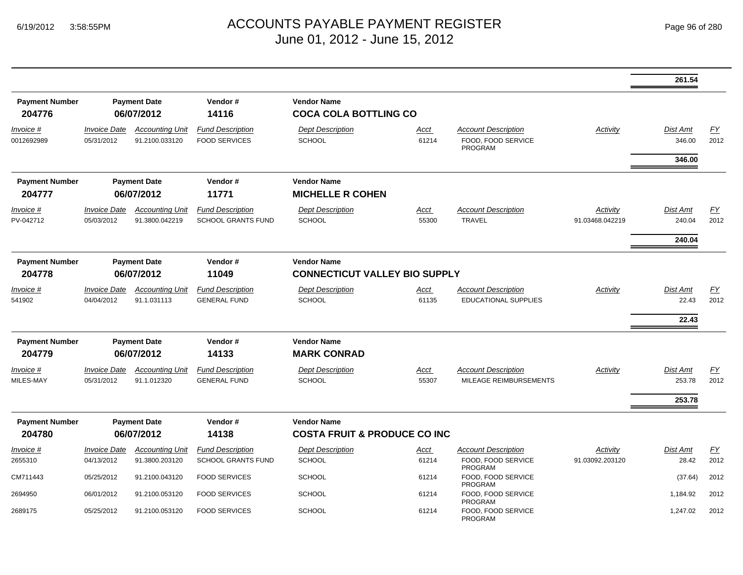|                                 |                                          |                                                       |                                                      |                                                               |                      |                                                                    |                             | 261.54                              |                   |
|---------------------------------|------------------------------------------|-------------------------------------------------------|------------------------------------------------------|---------------------------------------------------------------|----------------------|--------------------------------------------------------------------|-----------------------------|-------------------------------------|-------------------|
| <b>Payment Number</b><br>204776 |                                          | <b>Payment Date</b><br>06/07/2012                     | Vendor#<br>14116                                     | <b>Vendor Name</b><br><b>COCA COLA BOTTLING CO</b>            |                      |                                                                    |                             |                                     |                   |
| Invoice #<br>0012692989         | <b>Invoice Date</b><br>05/31/2012        | <b>Accounting Unit</b><br>91.2100.033120              | <b>Fund Description</b><br><b>FOOD SERVICES</b>      | <b>Dept Description</b><br><b>SCHOOL</b>                      | Acct<br>61214        | <b>Account Description</b><br>FOOD. FOOD SERVICE<br><b>PROGRAM</b> | Activity                    | <b>Dist Amt</b><br>346.00<br>346.00 | FΥ<br>2012        |
| <b>Payment Number</b><br>204777 |                                          | <b>Payment Date</b><br>06/07/2012                     | Vendor#<br>11771                                     | <b>Vendor Name</b><br><b>MICHELLE R COHEN</b>                 |                      |                                                                    |                             |                                     |                   |
| Invoice #<br>PV-042712          | <b>Invoice Date</b><br>05/03/2012        | <b>Accounting Unit</b><br>91.3800.042219              | <b>Fund Description</b><br><b>SCHOOL GRANTS FUND</b> | <b>Dept Description</b><br><b>SCHOOL</b>                      | Acct<br>55300        | <b>Account Description</b><br>TRAVEL                               | Activity<br>91.03468.042219 | <b>Dist Amt</b><br>240.04           | <u>FY</u><br>2012 |
|                                 |                                          |                                                       |                                                      |                                                               |                      |                                                                    |                             | 240.04                              |                   |
| <b>Payment Number</b><br>204778 |                                          | <b>Payment Date</b><br>Vendor#<br>06/07/2012<br>11049 |                                                      | <b>Vendor Name</b><br><b>CONNECTICUT VALLEY BIO SUPPLY</b>    |                      |                                                                    |                             |                                     |                   |
| <i>Invoice</i> #<br>541902      | <b>Invoice Date</b><br>04/04/2012        | <b>Accounting Unit</b><br>91.1.031113                 | <b>Fund Description</b><br><b>GENERAL FUND</b>       | <b>Dept Description</b><br><b>SCHOOL</b>                      | Acct<br>61135        | <b>Account Description</b><br><b>EDUCATIONAL SUPPLIES</b>          | Activity                    | <b>Dist Amt</b><br>22.43            | <u>FY</u><br>2012 |
|                                 |                                          |                                                       |                                                      |                                                               |                      |                                                                    |                             | 22.43                               |                   |
| <b>Payment Number</b><br>204779 |                                          | <b>Payment Date</b><br>06/07/2012                     | Vendor#<br>14133                                     | <b>Vendor Name</b><br><b>MARK CONRAD</b>                      |                      |                                                                    |                             |                                     |                   |
| Invoice #<br>MILES-MAY          | <i><b>Invoice Date</b></i><br>05/31/2012 | <b>Accounting Unit</b><br>91.1.012320                 | <b>Fund Description</b><br><b>GENERAL FUND</b>       | <b>Dept Description</b><br><b>SCHOOL</b>                      | <u>Acct</u><br>55307 | <b>Account Description</b><br>MILEAGE REIMBURSEMENTS               | <b>Activity</b>             | Dist Amt<br>253.78                  | <u>FY</u><br>2012 |
|                                 |                                          |                                                       |                                                      |                                                               |                      |                                                                    |                             | 253.78                              |                   |
| <b>Payment Number</b><br>204780 |                                          | <b>Payment Date</b><br>06/07/2012                     | Vendor#<br>14138                                     | <b>Vendor Name</b><br><b>COSTA FRUIT &amp; PRODUCE CO INC</b> |                      |                                                                    |                             |                                     |                   |
| Invoice #                       | <b>Invoice Date</b>                      | <b>Accounting Unit</b>                                | <b>Fund Description</b>                              | <b>Dept Description</b>                                       | <u>Acct</u>          | <b>Account Description</b>                                         | Activity                    | <b>Dist Amt</b>                     | <u>FY</u>         |
| 2655310                         | 04/13/2012                               | 91.3800.203120                                        | <b>SCHOOL GRANTS FUND</b>                            | <b>SCHOOL</b>                                                 | 61214                | FOOD, FOOD SERVICE<br><b>PROGRAM</b>                               | 91.03092.203120             | 28.42                               | 2012              |
| CM711443                        | 05/25/2012                               | 91.2100.043120                                        | <b>FOOD SERVICES</b>                                 | <b>SCHOOL</b>                                                 | 61214                | FOOD, FOOD SERVICE<br><b>PROGRAM</b>                               |                             | (37.64)                             | 2012              |
| 2694950                         | 06/01/2012                               | 91.2100.053120                                        | <b>FOOD SERVICES</b>                                 | <b>SCHOOL</b>                                                 | 61214                | FOOD, FOOD SERVICE<br><b>PROGRAM</b>                               |                             | 1,184.92                            | 2012              |
| 2689175                         | 05/25/2012                               | 91.2100.053120                                        | <b>FOOD SERVICES</b>                                 | <b>SCHOOL</b>                                                 | 61214                | FOOD, FOOD SERVICE<br>PROGRAM                                      |                             | 1,247.02                            | 2012              |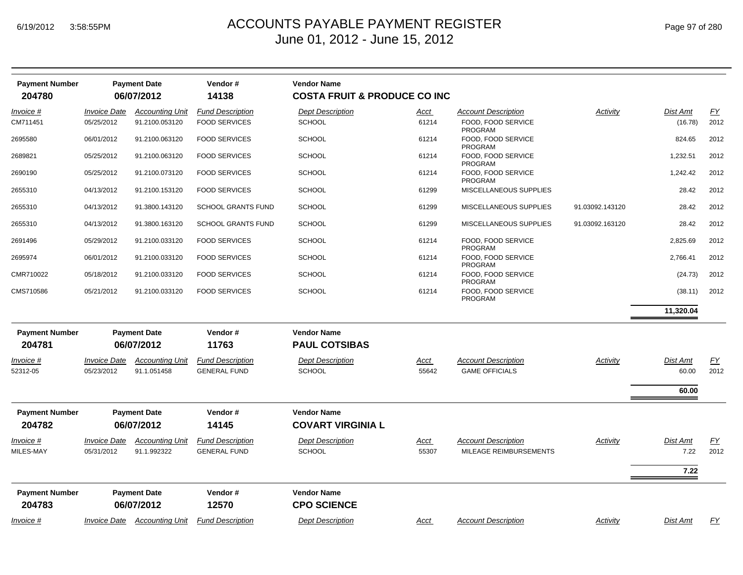## ACCOUNTS PAYABLE PAYMENT REGISTER Page 97 of 280 June 01, 2012 - June 15, 2012

| <b>Payment Number</b><br>204780 |                     | <b>Payment Date</b><br>06/07/2012 | Vendor#<br>14138          | <b>Vendor Name</b><br><b>COSTA FRUIT &amp; PRODUCE CO INC</b> |             |                                      |                 |           |                  |
|---------------------------------|---------------------|-----------------------------------|---------------------------|---------------------------------------------------------------|-------------|--------------------------------------|-----------------|-----------|------------------|
| Invoice #                       | <b>Invoice Date</b> | <b>Accounting Unit</b>            | <b>Fund Description</b>   | <b>Dept Description</b>                                       | <u>Acct</u> | <b>Account Description</b>           | Activity        | Dist Amt  | EY               |
| CM711451                        | 05/25/2012          | 91.2100.053120                    | <b>FOOD SERVICES</b>      | <b>SCHOOL</b>                                                 | 61214       | FOOD, FOOD SERVICE<br>PROGRAM        |                 | (16.78)   | 2012             |
| 2695580                         | 06/01/2012          | 91.2100.063120                    | <b>FOOD SERVICES</b>      | <b>SCHOOL</b>                                                 | 61214       | FOOD, FOOD SERVICE<br>PROGRAM        |                 | 824.65    | 2012             |
| 2689821                         | 05/25/2012          | 91.2100.063120                    | <b>FOOD SERVICES</b>      | <b>SCHOOL</b>                                                 | 61214       | FOOD, FOOD SERVICE<br><b>PROGRAM</b> |                 | 1,232.51  | 2012             |
| 2690190                         | 05/25/2012          | 91.2100.073120                    | <b>FOOD SERVICES</b>      | <b>SCHOOL</b>                                                 | 61214       | FOOD, FOOD SERVICE<br>PROGRAM        |                 | 1,242.42  | 2012             |
| 2655310                         | 04/13/2012          | 91.2100.153120                    | <b>FOOD SERVICES</b>      | <b>SCHOOL</b>                                                 | 61299       | MISCELLANEOUS SUPPLIES               |                 | 28.42     | 2012             |
| 2655310                         | 04/13/2012          | 91.3800.143120                    | <b>SCHOOL GRANTS FUND</b> | <b>SCHOOL</b>                                                 | 61299       | MISCELLANEOUS SUPPLIES               | 91.03092.143120 | 28.42     | 2012             |
| 2655310                         | 04/13/2012          | 91.3800.163120                    | <b>SCHOOL GRANTS FUND</b> | <b>SCHOOL</b>                                                 | 61299       | MISCELLANEOUS SUPPLIES               | 91.03092.163120 | 28.42     | 2012             |
| 2691496                         | 05/29/2012          | 91.2100.033120                    | <b>FOOD SERVICES</b>      | <b>SCHOOL</b>                                                 | 61214       | FOOD, FOOD SERVICE<br><b>PROGRAM</b> |                 | 2,825.69  | 2012             |
| 2695974                         | 06/01/2012          | 91.2100.033120                    | <b>FOOD SERVICES</b>      | <b>SCHOOL</b>                                                 | 61214       | FOOD, FOOD SERVICE<br><b>PROGRAM</b> |                 | 2,766.41  | 2012             |
| CMR710022                       | 05/18/2012          | 91.2100.033120                    | <b>FOOD SERVICES</b>      | <b>SCHOOL</b>                                                 | 61214       | FOOD, FOOD SERVICE<br>PROGRAM        |                 | (24.73)   | 2012             |
| CMS710586                       | 05/21/2012          | 91.2100.033120                    | <b>FOOD SERVICES</b>      | <b>SCHOOL</b>                                                 | 61214       | FOOD. FOOD SERVICE<br>PROGRAM        |                 | (38.11)   | 2012             |
|                                 |                     |                                   |                           |                                                               |             |                                      |                 | 11,320.04 |                  |
| <b>Payment Number</b>           |                     | <b>Payment Date</b>               | Vendor#                   | <b>Vendor Name</b>                                            |             |                                      |                 |           |                  |
| 204781                          |                     | 06/07/2012                        | 11763                     | <b>PAUL COTSIBAS</b>                                          |             |                                      |                 |           |                  |
| Invoice #                       | <b>Invoice Date</b> | <b>Accounting Unit</b>            | <b>Fund Description</b>   | <b>Dept Description</b>                                       | <u>Acct</u> | <b>Account Description</b>           | Activity        | Dist Amt  | EY               |
| 52312-05                        | 05/23/2012          | 91.1.051458                       | <b>GENERAL FUND</b>       | <b>SCHOOL</b>                                                 | 55642       | <b>GAME OFFICIALS</b>                |                 | 60.00     | 2012             |
|                                 |                     |                                   |                           |                                                               |             |                                      |                 | 60.00     |                  |
| <b>Payment Number</b>           |                     | <b>Payment Date</b>               | Vendor#                   | <b>Vendor Name</b>                                            |             |                                      |                 |           |                  |
| 204782                          |                     | 06/07/2012                        | 14145                     | <b>COVART VIRGINIA L</b>                                      |             |                                      |                 |           |                  |
| Invoice #                       | <b>Invoice Date</b> | <b>Accounting Unit</b>            | <b>Fund Description</b>   | <b>Dept Description</b>                                       | Acct        | <b>Account Description</b>           | Activity        | Dist Amt  | $\underline{FY}$ |
| MILES-MAY                       | 05/31/2012          | 91.1.992322                       | <b>GENERAL FUND</b>       | <b>SCHOOL</b>                                                 | 55307       | MILEAGE REIMBURSEMENTS               |                 | 7.22      | 2012             |
|                                 |                     |                                   |                           |                                                               |             |                                      |                 | 7.22      |                  |
| <b>Payment Number</b>           |                     | <b>Payment Date</b>               | Vendor#                   | <b>Vendor Name</b>                                            |             |                                      |                 |           |                  |
| 204783                          |                     | 06/07/2012                        | 12570                     | <b>CPO SCIENCE</b>                                            |             |                                      |                 |           |                  |
| Invoice #                       |                     | Invoice Date Accounting Unit      | <b>Fund Description</b>   | <b>Dept Description</b>                                       | Acct        | <b>Account Description</b>           | Activity        | Dist Amt  | EY               |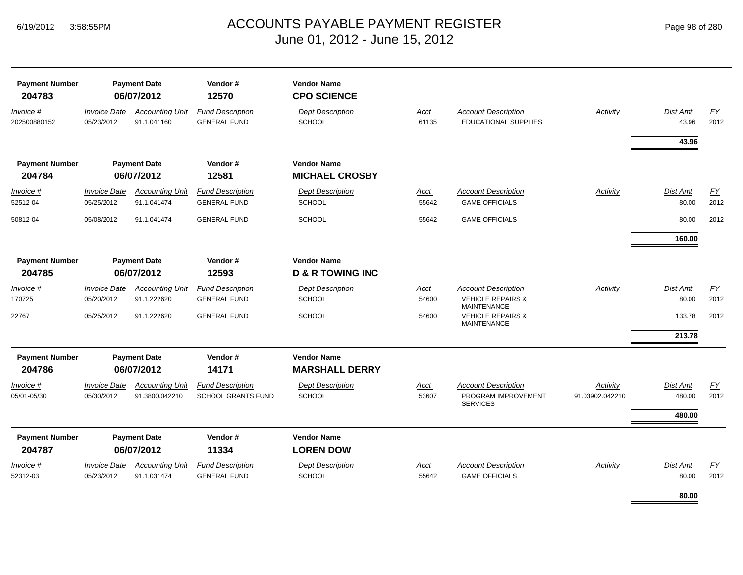| <b>Payment Number</b><br>204783 |                                          | <b>Payment Date</b><br>06/07/2012        | Vendor#<br>12570                                     | <b>Vendor Name</b><br><b>CPO SCIENCE</b>          |               |                                                                                  |                             |                    |            |
|---------------------------------|------------------------------------------|------------------------------------------|------------------------------------------------------|---------------------------------------------------|---------------|----------------------------------------------------------------------------------|-----------------------------|--------------------|------------|
| Invoice #<br>202500880152       | <i><b>Invoice Date</b></i><br>05/23/2012 | <b>Accounting Unit</b><br>91.1.041160    | <b>Fund Description</b><br><b>GENERAL FUND</b>       | <b>Dept Description</b><br><b>SCHOOL</b>          | Acct<br>61135 | <b>Account Description</b><br><b>EDUCATIONAL SUPPLIES</b>                        | Activity                    | Dist Amt<br>43.96  | EY<br>2012 |
|                                 |                                          |                                          |                                                      |                                                   |               |                                                                                  |                             | 43.96              |            |
| <b>Payment Number</b><br>204784 |                                          | <b>Payment Date</b><br>06/07/2012        | Vendor#<br>12581                                     | <b>Vendor Name</b><br><b>MICHAEL CROSBY</b>       |               |                                                                                  |                             |                    |            |
| Invoice #<br>52512-04           | <b>Invoice Date</b><br>05/25/2012        | <b>Accounting Unit</b><br>91.1.041474    | <b>Fund Description</b><br><b>GENERAL FUND</b>       | <b>Dept Description</b><br><b>SCHOOL</b>          | Acct<br>55642 | <b>Account Description</b><br><b>GAME OFFICIALS</b>                              | Activity                    | Dist Amt<br>80.00  | EY<br>2012 |
| 50812-04                        | 05/08/2012                               | 91.1.041474                              | <b>GENERAL FUND</b>                                  | <b>SCHOOL</b>                                     | 55642         | <b>GAME OFFICIALS</b>                                                            |                             | 80.00              | 2012       |
|                                 |                                          |                                          |                                                      |                                                   |               |                                                                                  |                             | 160.00             |            |
| <b>Payment Number</b><br>204785 |                                          | <b>Payment Date</b><br>06/07/2012        | Vendor#<br>12593                                     | <b>Vendor Name</b><br><b>D &amp; R TOWING INC</b> |               |                                                                                  |                             |                    |            |
| Invoice #<br>170725             | <b>Invoice Date</b><br>05/20/2012        | <b>Accounting Unit</b><br>91.1.222620    | <b>Fund Description</b><br><b>GENERAL FUND</b>       | <b>Dept Description</b><br><b>SCHOOL</b>          | Acct<br>54600 | <b>Account Description</b><br><b>VEHICLE REPAIRS &amp;</b><br><b>MAINTENANCE</b> | Activity                    | Dist Amt<br>80.00  | EY<br>2012 |
| 22767                           | 05/25/2012                               | 91.1.222620                              | <b>GENERAL FUND</b>                                  | <b>SCHOOL</b>                                     | 54600         | <b>VEHICLE REPAIRS &amp;</b><br><b>MAINTENANCE</b>                               |                             | 133.78             | 2012       |
|                                 |                                          |                                          |                                                      |                                                   |               |                                                                                  |                             | 213.78             |            |
| <b>Payment Number</b><br>204786 |                                          | <b>Payment Date</b><br>06/07/2012        | Vendor#<br>14171                                     | <b>Vendor Name</b><br><b>MARSHALL DERRY</b>       |               |                                                                                  |                             |                    |            |
| Invoice #<br>05/01-05/30        | <b>Invoice Date</b><br>05/30/2012        | <b>Accounting Unit</b><br>91.3800.042210 | <b>Fund Description</b><br><b>SCHOOL GRANTS FUND</b> | <b>Dept Description</b><br><b>SCHOOL</b>          | Acct<br>53607 | <b>Account Description</b><br>PROGRAM IMPROVEMENT<br><b>SERVICES</b>             | Activity<br>91.03902.042210 | Dist Amt<br>480.00 | EY<br>2012 |
|                                 |                                          |                                          |                                                      |                                                   |               |                                                                                  |                             | 480.00             |            |
| <b>Payment Number</b><br>204787 |                                          | <b>Payment Date</b><br>06/07/2012        | Vendor#<br>11334                                     | <b>Vendor Name</b><br><b>LOREN DOW</b>            |               |                                                                                  |                             |                    |            |
| Invoice #<br>52312-03           | <b>Invoice Date</b><br>05/23/2012        | <b>Accounting Unit</b><br>91.1.031474    | <b>Fund Description</b><br><b>GENERAL FUND</b>       | <b>Dept Description</b><br><b>SCHOOL</b>          | Acct<br>55642 | <b>Account Description</b><br><b>GAME OFFICIALS</b>                              | Activity                    | Dist Amt<br>80.00  | EY<br>2012 |
|                                 |                                          |                                          |                                                      |                                                   |               |                                                                                  |                             | 80.00              |            |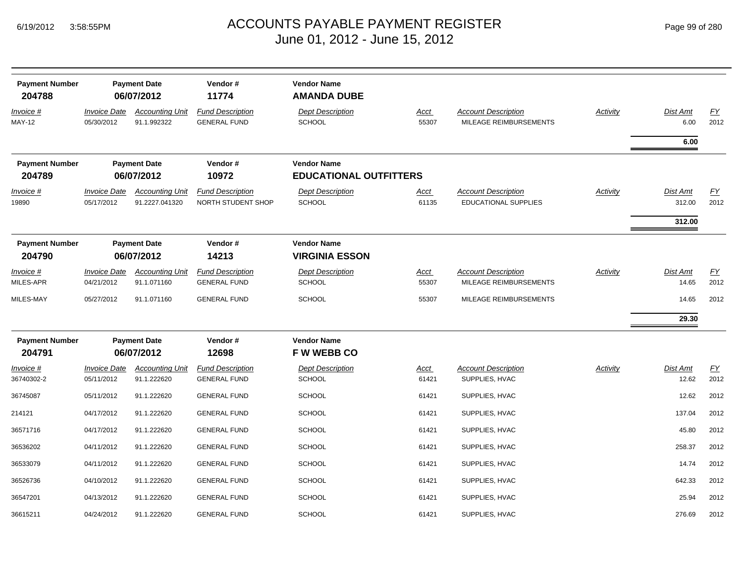| Page 99 of 280 |  |  |  |
|----------------|--|--|--|
|----------------|--|--|--|

| <b>Payment Number</b><br>204788   |                                          | <b>Payment Date</b><br>06/07/2012        | Vendor#<br>11774                               | <b>Vendor Name</b><br><b>AMANDA DUBE</b>            |                      |                                                           |                 |                              |                          |
|-----------------------------------|------------------------------------------|------------------------------------------|------------------------------------------------|-----------------------------------------------------|----------------------|-----------------------------------------------------------|-----------------|------------------------------|--------------------------|
| <u>Invoice #</u><br><b>MAY-12</b> | <i><b>Invoice Date</b></i><br>05/30/2012 | <b>Accounting Unit</b><br>91.1.992322    | <b>Fund Description</b><br><b>GENERAL FUND</b> | <b>Dept Description</b><br>SCHOOL                   | <b>Acct</b><br>55307 | <b>Account Description</b><br>MILEAGE REIMBURSEMENTS      | <b>Activity</b> | Dist Amt<br>6.00             | $\underline{FY}$<br>2012 |
| <b>Payment Number</b><br>204789   |                                          | <b>Payment Date</b><br>06/07/2012        | Vendor#<br>10972                               | <b>Vendor Name</b><br><b>EDUCATIONAL OUTFITTERS</b> |                      |                                                           |                 | 6.00                         |                          |
| Invoice #<br>19890                | <b>Invoice Date</b><br>05/17/2012        | <b>Accounting Unit</b><br>91.2227.041320 | <b>Fund Description</b><br>NORTH STUDENT SHOP  | <b>Dept Description</b><br>SCHOOL                   | Acct<br>61135        | <b>Account Description</b><br><b>EDUCATIONAL SUPPLIES</b> | Activity        | Dist Amt<br>312.00<br>312.00 | <u>FY</u><br>2012        |
| <b>Payment Number</b><br>204790   |                                          | <b>Payment Date</b><br>06/07/2012        | Vendor#<br>14213                               | <b>Vendor Name</b><br><b>VIRGINIA ESSON</b>         |                      |                                                           |                 |                              |                          |
| Invoice #<br>MILES-APR            | <i><b>Invoice Date</b></i><br>04/21/2012 | <b>Accounting Unit</b><br>91.1.071160    | <b>Fund Description</b><br><b>GENERAL FUND</b> | <b>Dept Description</b><br><b>SCHOOL</b>            | <u>Acct</u><br>55307 | <b>Account Description</b><br>MILEAGE REIMBURSEMENTS      | <b>Activity</b> | Dist Amt<br>14.65            | EY<br>2012               |
| MILES-MAY                         | 05/27/2012                               | 91.1.071160                              | <b>GENERAL FUND</b>                            | SCHOOL                                              | 55307                | MILEAGE REIMBURSEMENTS                                    |                 | 14.65                        | 2012                     |
|                                   |                                          |                                          |                                                |                                                     |                      |                                                           |                 | 29.30                        |                          |
| <b>Payment Number</b><br>204791   |                                          | <b>Payment Date</b><br>06/07/2012        | Vendor#<br>12698                               | <b>Vendor Name</b><br><b>FWWEBBCO</b>               |                      |                                                           |                 |                              |                          |
| Invoice #<br>36740302-2           | <b>Invoice Date</b><br>05/11/2012        | <b>Accounting Unit</b><br>91.1.222620    | <b>Fund Description</b><br><b>GENERAL FUND</b> | <b>Dept Description</b><br>SCHOOL                   | Acct<br>61421        | <b>Account Description</b><br>SUPPLIES, HVAC              | Activity        | Dist Amt<br>12.62            | EY<br>2012               |
| 36745087                          | 05/11/2012                               | 91.1.222620                              | <b>GENERAL FUND</b>                            | <b>SCHOOL</b>                                       | 61421                | SUPPLIES, HVAC                                            |                 | 12.62                        | 2012                     |
| 214121                            | 04/17/2012                               | 91.1.222620                              | <b>GENERAL FUND</b>                            | <b>SCHOOL</b>                                       | 61421                | SUPPLIES, HVAC                                            |                 | 137.04                       | 2012                     |
| 36571716                          | 04/17/2012                               | 91.1.222620                              | <b>GENERAL FUND</b>                            | <b>SCHOOL</b>                                       | 61421                | SUPPLIES, HVAC                                            |                 | 45.80                        | 2012                     |
| 36536202                          | 04/11/2012                               | 91.1.222620                              | <b>GENERAL FUND</b>                            | SCHOOL                                              | 61421                | SUPPLIES, HVAC                                            |                 | 258.37                       | 2012                     |
| 36533079                          | 04/11/2012                               | 91.1.222620                              | <b>GENERAL FUND</b>                            | <b>SCHOOL</b>                                       | 61421                | SUPPLIES, HVAC                                            |                 | 14.74                        | 2012                     |
| 36526736                          | 04/10/2012                               | 91.1.222620                              | <b>GENERAL FUND</b>                            | SCHOOL                                              | 61421                | SUPPLIES, HVAC                                            |                 | 642.33                       | 2012                     |
| 36547201                          | 04/13/2012                               | 91.1.222620                              | <b>GENERAL FUND</b>                            | SCHOOL                                              | 61421                | SUPPLIES, HVAC                                            |                 | 25.94                        | 2012                     |
| 36615211                          | 04/24/2012                               | 91.1.222620                              | <b>GENERAL FUND</b>                            | <b>SCHOOL</b>                                       | 61421                | SUPPLIES, HVAC                                            |                 | 276.69                       | 2012                     |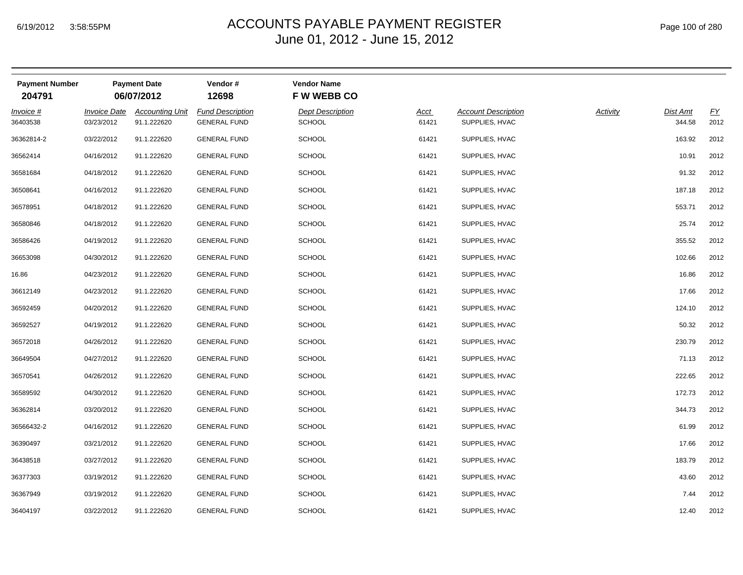| <b>Payment Number</b><br>204791 |                                          | <b>Payment Date</b><br>06/07/2012     | Vendor#<br>12698                               | <b>Vendor Name</b><br><b>FW WEBB CO</b>  |               |                                              |          |                    |            |
|---------------------------------|------------------------------------------|---------------------------------------|------------------------------------------------|------------------------------------------|---------------|----------------------------------------------|----------|--------------------|------------|
| Invoice #<br>36403538           | <i><b>Invoice Date</b></i><br>03/23/2012 | <b>Accounting Unit</b><br>91.1.222620 | <b>Fund Description</b><br><b>GENERAL FUND</b> | <b>Dept Description</b><br><b>SCHOOL</b> | Acct<br>61421 | <b>Account Description</b><br>SUPPLIES, HVAC | Activity | Dist Amt<br>344.58 | EY<br>2012 |
| 36362814-2                      | 03/22/2012                               | 91.1.222620                           | <b>GENERAL FUND</b>                            | <b>SCHOOL</b>                            | 61421         | SUPPLIES, HVAC                               |          | 163.92             | 2012       |
| 36562414                        | 04/16/2012                               | 91.1.222620                           | <b>GENERAL FUND</b>                            | <b>SCHOOL</b>                            | 61421         | SUPPLIES, HVAC                               |          | 10.91              | 2012       |
| 36581684                        | 04/18/2012                               | 91.1.222620                           | <b>GENERAL FUND</b>                            | <b>SCHOOL</b>                            | 61421         | SUPPLIES, HVAC                               |          | 91.32              | 2012       |
| 36508641                        | 04/16/2012                               | 91.1.222620                           | <b>GENERAL FUND</b>                            | <b>SCHOOL</b>                            | 61421         | SUPPLIES, HVAC                               |          | 187.18             | 2012       |
| 36578951                        | 04/18/2012                               | 91.1.222620                           | <b>GENERAL FUND</b>                            | <b>SCHOOL</b>                            | 61421         | SUPPLIES, HVAC                               |          | 553.71             | 2012       |
| 36580846                        | 04/18/2012                               | 91.1.222620                           | <b>GENERAL FUND</b>                            | <b>SCHOOL</b>                            | 61421         | SUPPLIES, HVAC                               |          | 25.74              | 2012       |
| 36586426                        | 04/19/2012                               | 91.1.222620                           | <b>GENERAL FUND</b>                            | <b>SCHOOL</b>                            | 61421         | SUPPLIES, HVAC                               |          | 355.52             | 2012       |
| 36653098                        | 04/30/2012                               | 91.1.222620                           | <b>GENERAL FUND</b>                            | <b>SCHOOL</b>                            | 61421         | SUPPLIES, HVAC                               |          | 102.66             | 2012       |
| 16.86                           | 04/23/2012                               | 91.1.222620                           | <b>GENERAL FUND</b>                            | <b>SCHOOL</b>                            | 61421         | SUPPLIES, HVAC                               |          | 16.86              | 2012       |
| 36612149                        | 04/23/2012                               | 91.1.222620                           | <b>GENERAL FUND</b>                            | <b>SCHOOL</b>                            | 61421         | SUPPLIES, HVAC                               |          | 17.66              | 2012       |
| 36592459                        | 04/20/2012                               | 91.1.222620                           | <b>GENERAL FUND</b>                            | <b>SCHOOL</b>                            | 61421         | SUPPLIES, HVAC                               |          | 124.10             | 2012       |
| 36592527                        | 04/19/2012                               | 91.1.222620                           | <b>GENERAL FUND</b>                            | <b>SCHOOL</b>                            | 61421         | SUPPLIES, HVAC                               |          | 50.32              | 2012       |
| 36572018                        | 04/26/2012                               | 91.1.222620                           | <b>GENERAL FUND</b>                            | <b>SCHOOL</b>                            | 61421         | SUPPLIES, HVAC                               |          | 230.79             | 2012       |
| 36649504                        | 04/27/2012                               | 91.1.222620                           | <b>GENERAL FUND</b>                            | <b>SCHOOL</b>                            | 61421         | SUPPLIES, HVAC                               |          | 71.13              | 2012       |
| 36570541                        | 04/26/2012                               | 91.1.222620                           | <b>GENERAL FUND</b>                            | <b>SCHOOL</b>                            | 61421         | SUPPLIES, HVAC                               |          | 222.65             | 2012       |
| 36589592                        | 04/30/2012                               | 91.1.222620                           | <b>GENERAL FUND</b>                            | <b>SCHOOL</b>                            | 61421         | SUPPLIES, HVAC                               |          | 172.73             | 2012       |
| 36362814                        | 03/20/2012                               | 91.1.222620                           | <b>GENERAL FUND</b>                            | <b>SCHOOL</b>                            | 61421         | SUPPLIES, HVAC                               |          | 344.73             | 2012       |
| 36566432-2                      | 04/16/2012                               | 91.1.222620                           | <b>GENERAL FUND</b>                            | <b>SCHOOL</b>                            | 61421         | SUPPLIES, HVAC                               |          | 61.99              | 2012       |
| 36390497                        | 03/21/2012                               | 91.1.222620                           | <b>GENERAL FUND</b>                            | <b>SCHOOL</b>                            | 61421         | SUPPLIES, HVAC                               |          | 17.66              | 2012       |
| 36438518                        | 03/27/2012                               | 91.1.222620                           | <b>GENERAL FUND</b>                            | <b>SCHOOL</b>                            | 61421         | SUPPLIES, HVAC                               |          | 183.79             | 2012       |
| 36377303                        | 03/19/2012                               | 91.1.222620                           | <b>GENERAL FUND</b>                            | <b>SCHOOL</b>                            | 61421         | SUPPLIES, HVAC                               |          | 43.60              | 2012       |
| 36367949                        | 03/19/2012                               | 91.1.222620                           | <b>GENERAL FUND</b>                            | <b>SCHOOL</b>                            | 61421         | SUPPLIES, HVAC                               |          | 7.44               | 2012       |
| 36404197                        | 03/22/2012                               | 91.1.222620                           | <b>GENERAL FUND</b>                            | <b>SCHOOL</b>                            | 61421         | SUPPLIES, HVAC                               |          | 12.40              | 2012       |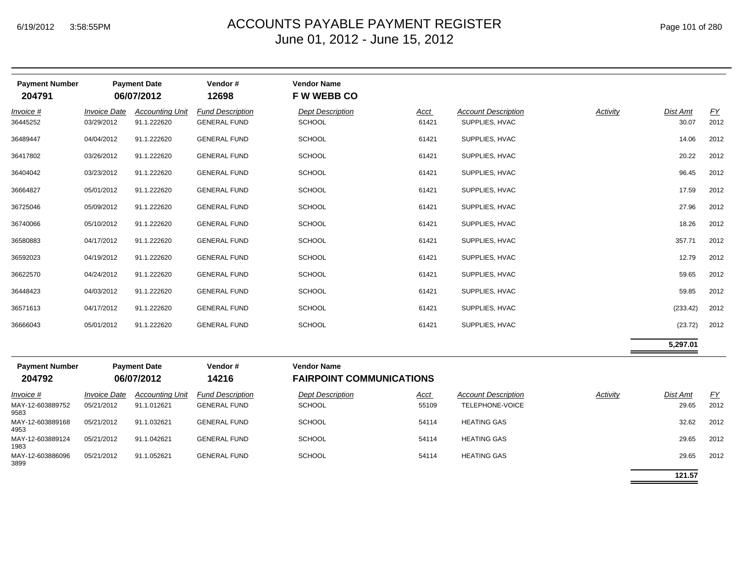| <b>Payment Number</b><br>204791 |                                   | <b>Payment Date</b><br>06/07/2012     | Vendor#<br>12698                               | <b>Vendor Name</b><br><b>FWWEBBCO</b>    |               |                                              |          |                   |                   |
|---------------------------------|-----------------------------------|---------------------------------------|------------------------------------------------|------------------------------------------|---------------|----------------------------------------------|----------|-------------------|-------------------|
| Invoice #<br>36445252           | <b>Invoice Date</b><br>03/29/2012 | <b>Accounting Unit</b><br>91.1.222620 | <b>Fund Description</b><br><b>GENERAL FUND</b> | <b>Dept Description</b><br><b>SCHOOL</b> | Acct<br>61421 | <b>Account Description</b><br>SUPPLIES, HVAC | Activity | Dist Amt<br>30.07 | <u>FY</u><br>2012 |
| 36489447                        | 04/04/2012                        | 91.1.222620                           | <b>GENERAL FUND</b>                            | <b>SCHOOL</b>                            | 61421         | SUPPLIES, HVAC                               |          | 14.06             | 2012              |
| 36417802                        | 03/26/2012                        | 91.1.222620                           | <b>GENERAL FUND</b>                            | SCHOOL                                   | 61421         | SUPPLIES, HVAC                               |          | 20.22             | 2012              |
| 36404042                        | 03/23/2012                        | 91.1.222620                           | <b>GENERAL FUND</b>                            | <b>SCHOOL</b>                            | 61421         | SUPPLIES, HVAC                               |          | 96.45             | 2012              |
| 36664827                        | 05/01/2012                        | 91.1.222620                           | <b>GENERAL FUND</b>                            | SCHOOL                                   | 61421         | SUPPLIES, HVAC                               |          | 17.59             | 2012              |
| 36725046                        | 05/09/2012                        | 91.1.222620                           | <b>GENERAL FUND</b>                            | SCHOOL                                   | 61421         | SUPPLIES, HVAC                               |          | 27.96             | 2012              |
| 36740066                        | 05/10/2012                        | 91.1.222620                           | <b>GENERAL FUND</b>                            | SCHOOL                                   | 61421         | SUPPLIES, HVAC                               |          | 18.26             | 2012              |
| 36580883                        | 04/17/2012                        | 91.1.222620                           | <b>GENERAL FUND</b>                            | <b>SCHOOL</b>                            | 61421         | SUPPLIES, HVAC                               |          | 357.71            | 2012              |
| 36592023                        | 04/19/2012                        | 91.1.222620                           | <b>GENERAL FUND</b>                            | <b>SCHOOL</b>                            | 61421         | SUPPLIES, HVAC                               |          | 12.79             | 2012              |
| 36622570                        | 04/24/2012                        | 91.1.222620                           | <b>GENERAL FUND</b>                            | <b>SCHOOL</b>                            | 61421         | SUPPLIES, HVAC                               |          | 59.65             | 2012              |
| 36448423                        | 04/03/2012                        | 91.1.222620                           | <b>GENERAL FUND</b>                            | <b>SCHOOL</b>                            | 61421         | SUPPLIES, HVAC                               |          | 59.85             | 2012              |
| 36571613                        | 04/17/2012                        | 91.1.222620                           | <b>GENERAL FUND</b>                            | <b>SCHOOL</b>                            | 61421         | SUPPLIES, HVAC                               |          | (233.42)          | 2012              |
| 36666043                        | 05/01/2012                        | 91.1.222620                           | <b>GENERAL FUND</b>                            | <b>SCHOOL</b>                            | 61421         | SUPPLIES, HVAC                               |          | (23.72)           | 2012              |
|                                 |                                   |                                       |                                                |                                          |               |                                              |          | 5,297.01          |                   |
| <b>Payment Number</b>           |                                   | <b>Payment Date</b>                   | Vendor#                                        | <b>Vendor Name</b>                       |               |                                              |          |                   |                   |

| <b>Payment Number</b><br>204792 |                            | <b>Payment Date</b><br>06/07/2012 | Vendor#<br>14216        | <b>Vendor Name</b><br><b>FAIRPOINT COMMUNICATIONS</b> |             |                            |          |          |      |
|---------------------------------|----------------------------|-----------------------------------|-------------------------|-------------------------------------------------------|-------------|----------------------------|----------|----------|------|
| $Invoice$ #                     | <i><b>Invoice Date</b></i> | <b>Accounting Unit</b>            | <b>Fund Description</b> | <b>Dept Description</b>                               | <u>Acct</u> | <b>Account Description</b> | Activity | Dist Amt | EY   |
| MAY-12-603889752<br>9583        | 05/21/2012                 | 91.1.012621                       | <b>GENERAL FUND</b>     | <b>SCHOOL</b>                                         | 55109       | TELEPHONE-VOICE            |          | 29.65    | 2012 |
| MAY-12-603889168<br>4953        | 05/21/2012                 | 91.1.032621                       | <b>GENERAL FUND</b>     | <b>SCHOOL</b>                                         | 54114       | <b>HEATING GAS</b>         |          | 32.62    | 2012 |
| MAY-12-603889124<br>1983        | 05/21/2012                 | 91.1.042621                       | <b>GENERAL FUND</b>     | <b>SCHOOL</b>                                         | 54114       | <b>HEATING GAS</b>         |          | 29.65    | 2012 |
| MAY-12-603886096<br>3899        | 05/21/2012                 | 91.1.052621                       | <b>GENERAL FUND</b>     | <b>SCHOOL</b>                                         | 54114       | <b>HEATING GAS</b>         |          | 29.65    | 2012 |

**121.57**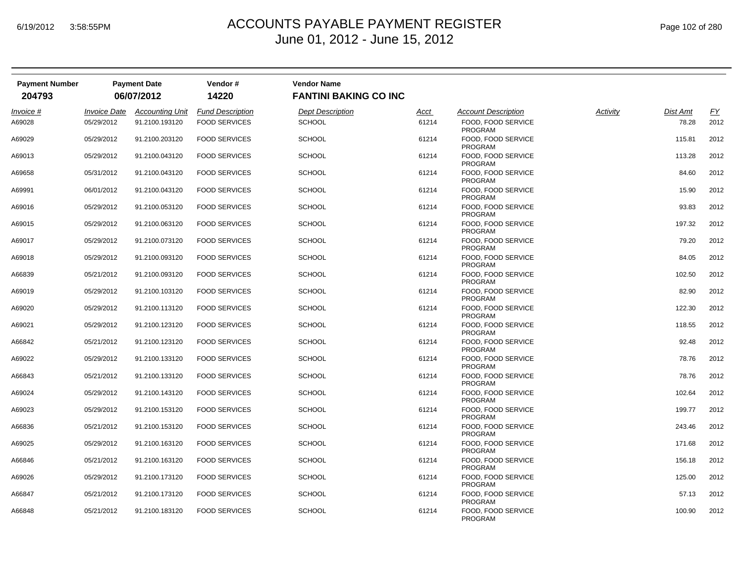| Page 102 of 280 |  |  |  |  |
|-----------------|--|--|--|--|
|-----------------|--|--|--|--|

| <b>Payment Number</b><br>204793 |                            | <b>Payment Date</b><br>06/07/2012 | Vendor#<br>14220        | <b>Vendor Name</b><br><b>FANTINI BAKING CO INC</b> |       |                                      |          |                 |           |
|---------------------------------|----------------------------|-----------------------------------|-------------------------|----------------------------------------------------|-------|--------------------------------------|----------|-----------------|-----------|
| Invoice #                       | <i><b>Invoice Date</b></i> | <b>Accounting Unit</b>            | <b>Fund Description</b> | <b>Dept Description</b>                            | Acct  | <b>Account Description</b>           | Activity | <b>Dist Amt</b> | <u>FY</u> |
| A69028                          | 05/29/2012                 | 91.2100.193120                    | <b>FOOD SERVICES</b>    | <b>SCHOOL</b>                                      | 61214 | FOOD. FOOD SERVICE<br>PROGRAM        |          | 78.28           | 2012      |
| A69029                          | 05/29/2012                 | 91.2100.203120                    | <b>FOOD SERVICES</b>    | <b>SCHOOL</b>                                      | 61214 | FOOD, FOOD SERVICE<br><b>PROGRAM</b> |          | 115.81          | 2012      |
| A69013                          | 05/29/2012                 | 91.2100.043120                    | <b>FOOD SERVICES</b>    | <b>SCHOOL</b>                                      | 61214 | FOOD, FOOD SERVICE<br><b>PROGRAM</b> |          | 113.28          | 2012      |
| A69658                          | 05/31/2012                 | 91.2100.043120                    | <b>FOOD SERVICES</b>    | <b>SCHOOL</b>                                      | 61214 | FOOD, FOOD SERVICE<br><b>PROGRAM</b> |          | 84.60           | 2012      |
| A69991                          | 06/01/2012                 | 91.2100.043120                    | <b>FOOD SERVICES</b>    | <b>SCHOOL</b>                                      | 61214 | FOOD, FOOD SERVICE<br><b>PROGRAM</b> |          | 15.90           | 2012      |
| A69016                          | 05/29/2012                 | 91.2100.053120                    | <b>FOOD SERVICES</b>    | <b>SCHOOL</b>                                      | 61214 | FOOD, FOOD SERVICE<br>PROGRAM        |          | 93.83           | 2012      |
| A69015                          | 05/29/2012                 | 91.2100.063120                    | <b>FOOD SERVICES</b>    | <b>SCHOOL</b>                                      | 61214 | FOOD, FOOD SERVICE<br><b>PROGRAM</b> |          | 197.32          | 2012      |
| A69017                          | 05/29/2012                 | 91.2100.073120                    | <b>FOOD SERVICES</b>    | <b>SCHOOL</b>                                      | 61214 | FOOD, FOOD SERVICE<br><b>PROGRAM</b> |          | 79.20           | 2012      |
| A69018                          | 05/29/2012                 | 91.2100.093120                    | <b>FOOD SERVICES</b>    | <b>SCHOOL</b>                                      | 61214 | FOOD, FOOD SERVICE<br><b>PROGRAM</b> |          | 84.05           | 2012      |
| A66839                          | 05/21/2012                 | 91.2100.093120                    | <b>FOOD SERVICES</b>    | <b>SCHOOL</b>                                      | 61214 | FOOD, FOOD SERVICE<br><b>PROGRAM</b> |          | 102.50          | 2012      |
| A69019                          | 05/29/2012                 | 91.2100.103120                    | <b>FOOD SERVICES</b>    | <b>SCHOOL</b>                                      | 61214 | FOOD, FOOD SERVICE<br><b>PROGRAM</b> |          | 82.90           | 2012      |
| A69020                          | 05/29/2012                 | 91.2100.113120                    | <b>FOOD SERVICES</b>    | <b>SCHOOL</b>                                      | 61214 | FOOD, FOOD SERVICE<br><b>PROGRAM</b> |          | 122.30          | 2012      |
| A69021                          | 05/29/2012                 | 91.2100.123120                    | <b>FOOD SERVICES</b>    | <b>SCHOOL</b>                                      | 61214 | FOOD, FOOD SERVICE<br>PROGRAM        |          | 118.55          | 2012      |
| A66842                          | 05/21/2012                 | 91.2100.123120                    | <b>FOOD SERVICES</b>    | <b>SCHOOL</b>                                      | 61214 | FOOD, FOOD SERVICE<br><b>PROGRAM</b> |          | 92.48           | 2012      |
| A69022                          | 05/29/2012                 | 91.2100.133120                    | <b>FOOD SERVICES</b>    | <b>SCHOOL</b>                                      | 61214 | FOOD, FOOD SERVICE<br><b>PROGRAM</b> |          | 78.76           | 2012      |
| A66843                          | 05/21/2012                 | 91.2100.133120                    | <b>FOOD SERVICES</b>    | <b>SCHOOL</b>                                      | 61214 | FOOD, FOOD SERVICE<br><b>PROGRAM</b> |          | 78.76           | 2012      |
| A69024                          | 05/29/2012                 | 91.2100.143120                    | <b>FOOD SERVICES</b>    | SCHOOL                                             | 61214 | FOOD, FOOD SERVICE<br><b>PROGRAM</b> |          | 102.64          | 2012      |
| A69023                          | 05/29/2012                 | 91.2100.153120                    | <b>FOOD SERVICES</b>    | <b>SCHOOL</b>                                      | 61214 | FOOD, FOOD SERVICE<br>PROGRAM        |          | 199.77          | 2012      |
| A66836                          | 05/21/2012                 | 91.2100.153120                    | <b>FOOD SERVICES</b>    | <b>SCHOOL</b>                                      | 61214 | FOOD, FOOD SERVICE<br>PROGRAM        |          | 243.46          | 2012      |
| A69025                          | 05/29/2012                 | 91.2100.163120                    | <b>FOOD SERVICES</b>    | <b>SCHOOL</b>                                      | 61214 | FOOD, FOOD SERVICE<br><b>PROGRAM</b> |          | 171.68          | 2012      |
| A66846                          | 05/21/2012                 | 91.2100.163120                    | <b>FOOD SERVICES</b>    | <b>SCHOOL</b>                                      | 61214 | FOOD, FOOD SERVICE<br><b>PROGRAM</b> |          | 156.18          | 2012      |
| A69026                          | 05/29/2012                 | 91.2100.173120                    | <b>FOOD SERVICES</b>    | <b>SCHOOL</b>                                      | 61214 | FOOD, FOOD SERVICE<br>PROGRAM        |          | 125.00          | 2012      |
| A66847                          | 05/21/2012                 | 91.2100.173120                    | <b>FOOD SERVICES</b>    | <b>SCHOOL</b>                                      | 61214 | FOOD, FOOD SERVICE<br><b>PROGRAM</b> |          | 57.13           | 2012      |
| A66848                          | 05/21/2012                 | 91.2100.183120                    | <b>FOOD SERVICES</b>    | <b>SCHOOL</b>                                      | 61214 | FOOD, FOOD SERVICE<br><b>PROGRAM</b> |          | 100.90          | 2012      |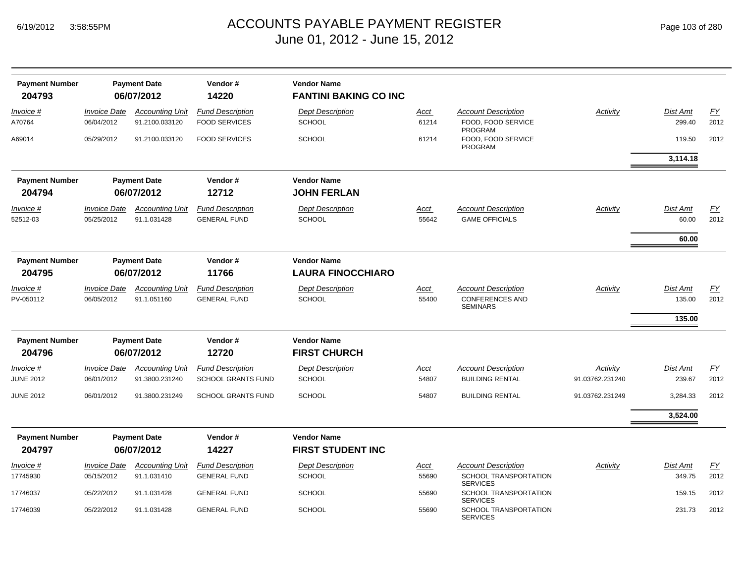| <b>Payment Number</b> |                            | <b>Payment Date</b>    | Vendor#                   | <b>Vendor Name</b>           |             |                                                 |                 |                 |           |
|-----------------------|----------------------------|------------------------|---------------------------|------------------------------|-------------|-------------------------------------------------|-----------------|-----------------|-----------|
| 204793                |                            | 06/07/2012             | 14220                     | <b>FANTINI BAKING CO INC</b> |             |                                                 |                 |                 |           |
| Invoice #             | <b>Invoice Date</b>        | <b>Accounting Unit</b> | <b>Fund Description</b>   | <b>Dept Description</b>      | Acct        | <b>Account Description</b>                      | Activity        | Dist Amt        | EY        |
| A70764                | 06/04/2012                 | 91.2100.033120         | <b>FOOD SERVICES</b>      | <b>SCHOOL</b>                | 61214       | FOOD, FOOD SERVICE<br><b>PROGRAM</b>            |                 | 299.40          | 2012      |
| A69014                | 05/29/2012                 | 91.2100.033120         | <b>FOOD SERVICES</b>      | <b>SCHOOL</b>                | 61214       | FOOD, FOOD SERVICE<br><b>PROGRAM</b>            |                 | 119.50          | 2012      |
|                       |                            |                        |                           |                              |             |                                                 |                 | 3,114.18        |           |
| <b>Payment Number</b> |                            | <b>Payment Date</b>    | Vendor#                   | <b>Vendor Name</b>           |             |                                                 |                 |                 |           |
| 204794                |                            | 06/07/2012             | 12712                     | <b>JOHN FERLAN</b>           |             |                                                 |                 |                 |           |
| Invoice #             | <i><b>Invoice Date</b></i> | <b>Accounting Unit</b> | <b>Fund Description</b>   | <b>Dept Description</b>      | <u>Acct</u> | <b>Account Description</b>                      | Activity        | Dist Amt        | <b>FY</b> |
| 52512-03              | 05/25/2012                 | 91.1.031428            | <b>GENERAL FUND</b>       | <b>SCHOOL</b>                | 55642       | <b>GAME OFFICIALS</b>                           |                 | 60.00           | 2012      |
|                       |                            |                        |                           |                              |             |                                                 |                 | 60.00           |           |
| <b>Payment Number</b> |                            | <b>Payment Date</b>    | Vendor#                   | <b>Vendor Name</b>           |             |                                                 |                 |                 |           |
| 204795                |                            | 06/07/2012             | 11766                     | <b>LAURA FINOCCHIARO</b>     |             |                                                 |                 |                 |           |
| Invoice #             | <b>Invoice Date</b>        | <b>Accounting Unit</b> | <b>Fund Description</b>   | <b>Dept Description</b>      | <u>Acct</u> | <b>Account Description</b>                      | Activity        | <b>Dist Amt</b> | <u>FY</u> |
| PV-050112             | 06/05/2012                 | 91.1.051160            | <b>GENERAL FUND</b>       | <b>SCHOOL</b>                | 55400       | <b>CONFERENCES AND</b><br><b>SEMINARS</b>       |                 | 135.00          | 2012      |
|                       |                            |                        |                           |                              |             |                                                 |                 | 135.00          |           |
| <b>Payment Number</b> |                            | <b>Payment Date</b>    | Vendor#                   | <b>Vendor Name</b>           |             |                                                 |                 |                 |           |
| 204796                |                            | 06/07/2012             | 12720                     | <b>FIRST CHURCH</b>          |             |                                                 |                 |                 |           |
| <i>Invoice</i> #      | <b>Invoice Date</b>        | <b>Accounting Unit</b> | <b>Fund Description</b>   | <b>Dept Description</b>      | <u>Acct</u> | <b>Account Description</b>                      | Activity        | <b>Dist Amt</b> | EY        |
| <b>JUNE 2012</b>      | 06/01/2012                 | 91.3800.231240         | SCHOOL GRANTS FUND        | <b>SCHOOL</b>                | 54807       | <b>BUILDING RENTAL</b>                          | 91.03762.231240 | 239.67          | 2012      |
| <b>JUNE 2012</b>      | 06/01/2012                 | 91.3800.231249         | <b>SCHOOL GRANTS FUND</b> | <b>SCHOOL</b>                | 54807       | <b>BUILDING RENTAL</b>                          | 91.03762.231249 | 3,284.33        | 2012      |
|                       |                            |                        |                           |                              |             |                                                 |                 | 3,524.00        |           |
| <b>Payment Number</b> |                            | <b>Payment Date</b>    | Vendor#                   | <b>Vendor Name</b>           |             |                                                 |                 |                 |           |
| 204797                |                            | 06/07/2012             | 14227                     | <b>FIRST STUDENT INC</b>     |             |                                                 |                 |                 |           |
| Invoice #             | <b>Invoice Date</b>        | <b>Accounting Unit</b> | <b>Fund Description</b>   | <b>Dept Description</b>      | <u>Acct</u> | <b>Account Description</b>                      | Activity        | Dist Amt        | <b>FY</b> |
| 17745930              | 05/15/2012                 | 91.1.031410            | <b>GENERAL FUND</b>       | <b>SCHOOL</b>                | 55690       | SCHOOL TRANSPORTATION<br><b>SERVICES</b>        |                 | 349.75          | 2012      |
| 17746037              | 05/22/2012                 | 91.1.031428            | <b>GENERAL FUND</b>       | <b>SCHOOL</b>                | 55690       | <b>SCHOOL TRANSPORTATION</b><br><b>SERVICES</b> |                 | 159.15          | 2012      |
| 17746039              | 05/22/2012                 | 91.1.031428            | <b>GENERAL FUND</b>       | <b>SCHOOL</b>                | 55690       | SCHOOL TRANSPORTATION<br><b>SERVICES</b>        |                 | 231.73          | 2012      |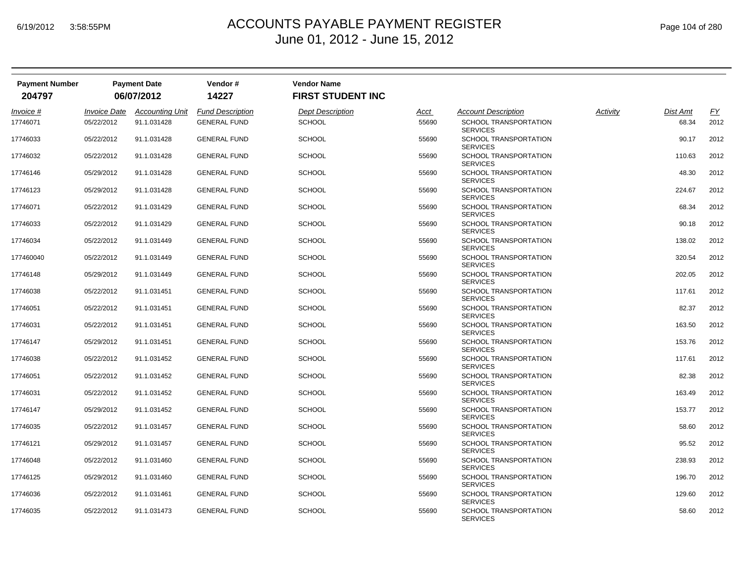| <b>Payment Number</b> |                     | <b>Payment Date</b>    | Vendor#                 | <b>Vendor Name</b>       |             |                                                 |          |                 |      |
|-----------------------|---------------------|------------------------|-------------------------|--------------------------|-------------|-------------------------------------------------|----------|-----------------|------|
| 204797                |                     | 06/07/2012             | 14227                   | <b>FIRST STUDENT INC</b> |             |                                                 |          |                 |      |
| Invoice #             | <b>Invoice Date</b> | <b>Accounting Unit</b> | <b>Fund Description</b> | <b>Dept Description</b>  | <u>Acct</u> | <b>Account Description</b>                      | Activity | <b>Dist Amt</b> | EY   |
| 17746071              | 05/22/2012          | 91.1.031428            | <b>GENERAL FUND</b>     | <b>SCHOOL</b>            | 55690       | <b>SCHOOL TRANSPORTATION</b><br><b>SERVICES</b> |          | 68.34           | 2012 |
| 17746033              | 05/22/2012          | 91.1.031428            | <b>GENERAL FUND</b>     | <b>SCHOOL</b>            | 55690       | SCHOOL TRANSPORTATION<br><b>SERVICES</b>        |          | 90.17           | 2012 |
| 17746032              | 05/22/2012          | 91.1.031428            | <b>GENERAL FUND</b>     | <b>SCHOOL</b>            | 55690       | <b>SCHOOL TRANSPORTATION</b><br><b>SERVICES</b> |          | 110.63          | 2012 |
| 17746146              | 05/29/2012          | 91.1.031428            | <b>GENERAL FUND</b>     | <b>SCHOOL</b>            | 55690       | <b>SCHOOL TRANSPORTATION</b><br><b>SERVICES</b> |          | 48.30           | 2012 |
| 17746123              | 05/29/2012          | 91.1.031428            | <b>GENERAL FUND</b>     | <b>SCHOOL</b>            | 55690       | SCHOOL TRANSPORTATION<br><b>SERVICES</b>        |          | 224.67          | 2012 |
| 17746071              | 05/22/2012          | 91.1.031429            | <b>GENERAL FUND</b>     | <b>SCHOOL</b>            | 55690       | SCHOOL TRANSPORTATION<br><b>SERVICES</b>        |          | 68.34           | 2012 |
| 17746033              | 05/22/2012          | 91.1.031429            | <b>GENERAL FUND</b>     | <b>SCHOOL</b>            | 55690       | <b>SCHOOL TRANSPORTATION</b><br><b>SERVICES</b> |          | 90.18           | 2012 |
| 17746034              | 05/22/2012          | 91.1.031449            | <b>GENERAL FUND</b>     | <b>SCHOOL</b>            | 55690       | <b>SCHOOL TRANSPORTATION</b><br><b>SERVICES</b> |          | 138.02          | 2012 |
| 177460040             | 05/22/2012          | 91.1.031449            | <b>GENERAL FUND</b>     | <b>SCHOOL</b>            | 55690       | SCHOOL TRANSPORTATION<br><b>SERVICES</b>        |          | 320.54          | 2012 |
| 17746148              | 05/29/2012          | 91.1.031449            | <b>GENERAL FUND</b>     | <b>SCHOOL</b>            | 55690       | SCHOOL TRANSPORTATION<br><b>SERVICES</b>        |          | 202.05          | 2012 |
| 17746038              | 05/22/2012          | 91.1.031451            | <b>GENERAL FUND</b>     | <b>SCHOOL</b>            | 55690       | SCHOOL TRANSPORTATION<br><b>SERVICES</b>        |          | 117.61          | 2012 |
| 17746051              | 05/22/2012          | 91.1.031451            | <b>GENERAL FUND</b>     | <b>SCHOOL</b>            | 55690       | SCHOOL TRANSPORTATION<br><b>SERVICES</b>        |          | 82.37           | 2012 |
| 17746031              | 05/22/2012          | 91.1.031451            | <b>GENERAL FUND</b>     | <b>SCHOOL</b>            | 55690       | SCHOOL TRANSPORTATION<br><b>SERVICES</b>        |          | 163.50          | 2012 |
| 17746147              | 05/29/2012          | 91.1.031451            | <b>GENERAL FUND</b>     | <b>SCHOOL</b>            | 55690       | SCHOOL TRANSPORTATION<br><b>SERVICES</b>        |          | 153.76          | 2012 |
| 17746038              | 05/22/2012          | 91.1.031452            | <b>GENERAL FUND</b>     | <b>SCHOOL</b>            | 55690       | SCHOOL TRANSPORTATION<br><b>SERVICES</b>        |          | 117.61          | 2012 |
| 17746051              | 05/22/2012          | 91.1.031452            | <b>GENERAL FUND</b>     | <b>SCHOOL</b>            | 55690       | SCHOOL TRANSPORTATION<br><b>SERVICES</b>        |          | 82.38           | 2012 |
| 17746031              | 05/22/2012          | 91.1.031452            | <b>GENERAL FUND</b>     | <b>SCHOOL</b>            | 55690       | SCHOOL TRANSPORTATION<br><b>SERVICES</b>        |          | 163.49          | 2012 |
| 17746147              | 05/29/2012          | 91.1.031452            | <b>GENERAL FUND</b>     | <b>SCHOOL</b>            | 55690       | SCHOOL TRANSPORTATION<br><b>SERVICES</b>        |          | 153.77          | 2012 |
| 17746035              | 05/22/2012          | 91.1.031457            | <b>GENERAL FUND</b>     | <b>SCHOOL</b>            | 55690       | SCHOOL TRANSPORTATION<br><b>SERVICES</b>        |          | 58.60           | 2012 |
| 17746121              | 05/29/2012          | 91.1.031457            | <b>GENERAL FUND</b>     | <b>SCHOOL</b>            | 55690       | SCHOOL TRANSPORTATION<br><b>SERVICES</b>        |          | 95.52           | 2012 |
| 17746048              | 05/22/2012          | 91.1.031460            | <b>GENERAL FUND</b>     | <b>SCHOOL</b>            | 55690       | SCHOOL TRANSPORTATION<br><b>SERVICES</b>        |          | 238.93          | 2012 |
| 17746125              | 05/29/2012          | 91.1.031460            | <b>GENERAL FUND</b>     | <b>SCHOOL</b>            | 55690       | SCHOOL TRANSPORTATION<br><b>SERVICES</b>        |          | 196.70          | 2012 |
| 17746036              | 05/22/2012          | 91.1.031461            | <b>GENERAL FUND</b>     | <b>SCHOOL</b>            | 55690       | SCHOOL TRANSPORTATION<br><b>SERVICES</b>        |          | 129.60          | 2012 |
| 17746035              | 05/22/2012          | 91.1.031473            | <b>GENERAL FUND</b>     | <b>SCHOOL</b>            | 55690       | <b>SCHOOL TRANSPORTATION</b><br><b>SERVICES</b> |          | 58.60           | 2012 |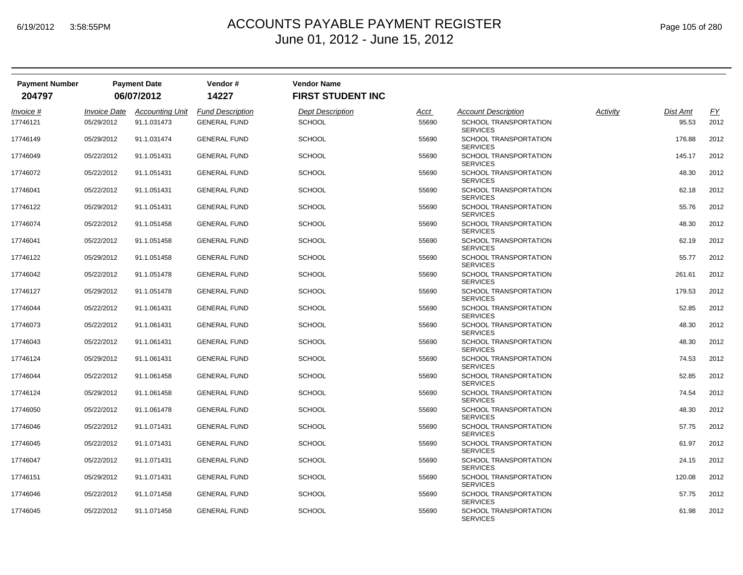| Page 105 of 280 |  |  |  |
|-----------------|--|--|--|
|-----------------|--|--|--|

| <b>Payment Number</b> |                            | <b>Payment Date</b>    | Vendor#                 | <b>Vendor Name</b>       |       |                                                 |          |                 |           |
|-----------------------|----------------------------|------------------------|-------------------------|--------------------------|-------|-------------------------------------------------|----------|-----------------|-----------|
| 204797                |                            | 06/07/2012             | 14227                   | <b>FIRST STUDENT INC</b> |       |                                                 |          |                 |           |
| Invoice #             | <i><b>Invoice Date</b></i> | <b>Accounting Unit</b> | <b>Fund Description</b> | <b>Dept Description</b>  | Acct  | <b>Account Description</b>                      | Activity | <b>Dist Amt</b> | <u>FY</u> |
| 17746121              | 05/29/2012                 | 91.1.031473            | <b>GENERAL FUND</b>     | <b>SCHOOL</b>            | 55690 | <b>SCHOOL TRANSPORTATION</b><br><b>SERVICES</b> |          | 95.53           | 2012      |
| 17746149              | 05/29/2012                 | 91.1.031474            | <b>GENERAL FUND</b>     | <b>SCHOOL</b>            | 55690 | SCHOOL TRANSPORTATION<br><b>SERVICES</b>        |          | 176.88          | 2012      |
| 17746049              | 05/22/2012                 | 91.1.051431            | <b>GENERAL FUND</b>     | <b>SCHOOL</b>            | 55690 | SCHOOL TRANSPORTATION<br><b>SERVICES</b>        |          | 145.17          | 2012      |
| 17746072              | 05/22/2012                 | 91.1.051431            | <b>GENERAL FUND</b>     | <b>SCHOOL</b>            | 55690 | SCHOOL TRANSPORTATION<br><b>SERVICES</b>        |          | 48.30           | 2012      |
| 17746041              | 05/22/2012                 | 91.1.051431            | <b>GENERAL FUND</b>     | <b>SCHOOL</b>            | 55690 | SCHOOL TRANSPORTATION<br><b>SERVICES</b>        |          | 62.18           | 2012      |
| 17746122              | 05/29/2012                 | 91.1.051431            | <b>GENERAL FUND</b>     | <b>SCHOOL</b>            | 55690 | SCHOOL TRANSPORTATION<br><b>SERVICES</b>        |          | 55.76           | 2012      |
| 17746074              | 05/22/2012                 | 91.1.051458            | <b>GENERAL FUND</b>     | <b>SCHOOL</b>            | 55690 | SCHOOL TRANSPORTATION<br><b>SERVICES</b>        |          | 48.30           | 2012      |
| 17746041              | 05/22/2012                 | 91.1.051458            | <b>GENERAL FUND</b>     | <b>SCHOOL</b>            | 55690 | SCHOOL TRANSPORTATION<br><b>SERVICES</b>        |          | 62.19           | 2012      |
| 17746122              | 05/29/2012                 | 91.1.051458            | <b>GENERAL FUND</b>     | <b>SCHOOL</b>            | 55690 | SCHOOL TRANSPORTATION<br><b>SERVICES</b>        |          | 55.77           | 2012      |
| 17746042              | 05/22/2012                 | 91.1.051478            | <b>GENERAL FUND</b>     | <b>SCHOOL</b>            | 55690 | SCHOOL TRANSPORTATION<br><b>SERVICES</b>        |          | 261.61          | 2012      |
| 17746127              | 05/29/2012                 | 91.1.051478            | <b>GENERAL FUND</b>     | <b>SCHOOL</b>            | 55690 | SCHOOL TRANSPORTATION<br><b>SERVICES</b>        |          | 179.53          | 2012      |
| 17746044              | 05/22/2012                 | 91.1.061431            | <b>GENERAL FUND</b>     | <b>SCHOOL</b>            | 55690 | SCHOOL TRANSPORTATION<br><b>SERVICES</b>        |          | 52.85           | 2012      |
| 17746073              | 05/22/2012                 | 91.1.061431            | <b>GENERAL FUND</b>     | <b>SCHOOL</b>            | 55690 | SCHOOL TRANSPORTATION<br><b>SERVICES</b>        |          | 48.30           | 2012      |
| 17746043              | 05/22/2012                 | 91.1.061431            | <b>GENERAL FUND</b>     | <b>SCHOOL</b>            | 55690 | SCHOOL TRANSPORTATION<br><b>SERVICES</b>        |          | 48.30           | 2012      |
| 17746124              | 05/29/2012                 | 91.1.061431            | <b>GENERAL FUND</b>     | <b>SCHOOL</b>            | 55690 | SCHOOL TRANSPORTATION<br><b>SERVICES</b>        |          | 74.53           | 2012      |
| 17746044              | 05/22/2012                 | 91.1.061458            | <b>GENERAL FUND</b>     | <b>SCHOOL</b>            | 55690 | SCHOOL TRANSPORTATION<br><b>SERVICES</b>        |          | 52.85           | 2012      |
| 17746124              | 05/29/2012                 | 91.1.061458            | <b>GENERAL FUND</b>     | <b>SCHOOL</b>            | 55690 | SCHOOL TRANSPORTATION<br><b>SERVICES</b>        |          | 74.54           | 2012      |
| 17746050              | 05/22/2012                 | 91.1.061478            | <b>GENERAL FUND</b>     | <b>SCHOOL</b>            | 55690 | SCHOOL TRANSPORTATION<br><b>SERVICES</b>        |          | 48.30           | 2012      |
| 17746046              | 05/22/2012                 | 91.1.071431            | <b>GENERAL FUND</b>     | <b>SCHOOL</b>            | 55690 | SCHOOL TRANSPORTATION<br><b>SERVICES</b>        |          | 57.75           | 2012      |
| 17746045              | 05/22/2012                 | 91.1.071431            | <b>GENERAL FUND</b>     | <b>SCHOOL</b>            | 55690 | SCHOOL TRANSPORTATION<br><b>SERVICES</b>        |          | 61.97           | 2012      |
| 17746047              | 05/22/2012                 | 91.1.071431            | <b>GENERAL FUND</b>     | <b>SCHOOL</b>            | 55690 | SCHOOL TRANSPORTATION<br><b>SERVICES</b>        |          | 24.15           | 2012      |
| 17746151              | 05/29/2012                 | 91.1.071431            | <b>GENERAL FUND</b>     | <b>SCHOOL</b>            | 55690 | SCHOOL TRANSPORTATION<br><b>SERVICES</b>        |          | 120.08          | 2012      |
| 17746046              | 05/22/2012                 | 91.1.071458            | <b>GENERAL FUND</b>     | <b>SCHOOL</b>            | 55690 | SCHOOL TRANSPORTATION<br><b>SERVICES</b>        |          | 57.75           | 2012      |
| 17746045              | 05/22/2012                 | 91.1.071458            | <b>GENERAL FUND</b>     | <b>SCHOOL</b>            | 55690 | <b>SCHOOL TRANSPORTATION</b><br><b>SERVICES</b> |          | 61.98           | 2012      |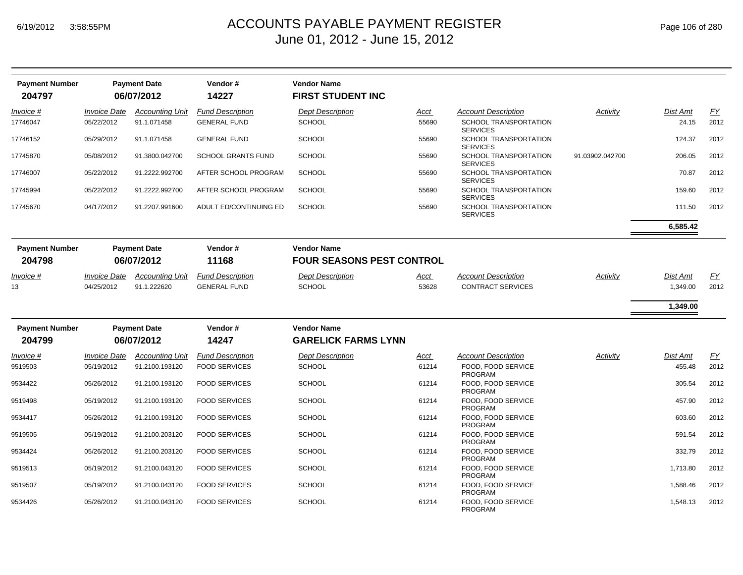| <b>Payment Number</b><br>204797 |                            | <b>Payment Date</b><br>06/07/2012 | Vendor#<br>14227          | <b>Vendor Name</b><br><b>FIRST STUDENT INC</b>         |             |                                                 |                 |          |           |
|---------------------------------|----------------------------|-----------------------------------|---------------------------|--------------------------------------------------------|-------------|-------------------------------------------------|-----------------|----------|-----------|
| Invoice #                       | <i><b>Invoice Date</b></i> | <b>Accounting Unit</b>            | <b>Fund Description</b>   | <b>Dept Description</b>                                | <u>Acct</u> | <b>Account Description</b>                      | Activity        | Dist Amt | EY        |
| 17746047                        | 05/22/2012                 | 91.1.071458                       | <b>GENERAL FUND</b>       | <b>SCHOOL</b>                                          | 55690       | <b>SCHOOL TRANSPORTATION</b><br><b>SERVICES</b> |                 | 24.15    | 2012      |
| 17746152                        | 05/29/2012                 | 91.1.071458                       | <b>GENERAL FUND</b>       | <b>SCHOOL</b>                                          | 55690       | SCHOOL TRANSPORTATION<br><b>SERVICES</b>        |                 | 124.37   | 2012      |
| 17745870                        | 05/08/2012                 | 91.3800.042700                    | <b>SCHOOL GRANTS FUND</b> | <b>SCHOOL</b>                                          | 55690       | SCHOOL TRANSPORTATION<br><b>SERVICES</b>        | 91.03902.042700 | 206.05   | 2012      |
| 17746007                        | 05/22/2012                 | 91.2222.992700                    | AFTER SCHOOL PROGRAM      | <b>SCHOOL</b>                                          | 55690       | SCHOOL TRANSPORTATION<br><b>SERVICES</b>        |                 | 70.87    | 2012      |
| 17745994                        | 05/22/2012                 | 91.2222.992700                    | AFTER SCHOOL PROGRAM      | <b>SCHOOL</b>                                          | 55690       | SCHOOL TRANSPORTATION<br><b>SERVICES</b>        |                 | 159.60   | 2012      |
| 17745670                        | 04/17/2012                 | 91.2207.991600                    | ADULT ED/CONTINUING ED    | <b>SCHOOL</b>                                          | 55690       | SCHOOL TRANSPORTATION<br><b>SERVICES</b>        |                 | 111.50   | 2012      |
|                                 |                            |                                   |                           |                                                        |             |                                                 |                 | 6,585.42 |           |
| <b>Payment Number</b><br>204798 |                            | <b>Payment Date</b><br>06/07/2012 | Vendor#<br>11168          | <b>Vendor Name</b><br><b>FOUR SEASONS PEST CONTROL</b> |             |                                                 |                 |          |           |
| Invoice #                       | <b>Invoice Date</b>        | <b>Accounting Unit</b>            | <b>Fund Description</b>   | <b>Dept Description</b>                                | Acct        | <b>Account Description</b>                      | Activity        | Dist Amt | <u>FY</u> |
| 13                              | 04/25/2012                 | 91.1.222620                       | <b>GENERAL FUND</b>       | <b>SCHOOL</b>                                          | 53628       | <b>CONTRACT SERVICES</b>                        |                 | 1,349.00 | 2012      |
|                                 |                            |                                   |                           |                                                        |             |                                                 |                 | 1,349.00 |           |
| <b>Payment Number</b>           |                            | <b>Payment Date</b>               | Vendor#                   | <b>Vendor Name</b>                                     |             |                                                 |                 |          |           |
| 204799                          |                            | 06/07/2012                        | 14247                     | <b>GARELICK FARMS LYNN</b>                             |             |                                                 |                 |          |           |
| Invoice #                       | <b>Invoice Date</b>        | <b>Accounting Unit</b>            | <b>Fund Description</b>   | <b>Dept Description</b>                                | <u>Acct</u> | <b>Account Description</b>                      | Activity        | Dist Amt | <u>FY</u> |
| 9519503                         | 05/19/2012                 | 91.2100.193120                    | <b>FOOD SERVICES</b>      | <b>SCHOOL</b>                                          | 61214       | FOOD. FOOD SERVICE<br>PROGRAM                   |                 | 455.48   | 2012      |
| 9534422                         | 05/26/2012                 | 91.2100.193120                    | <b>FOOD SERVICES</b>      | <b>SCHOOL</b>                                          | 61214       | FOOD, FOOD SERVICE<br><b>PROGRAM</b>            |                 | 305.54   | 2012      |
| 9519498                         | 05/19/2012                 | 91.2100.193120                    | <b>FOOD SERVICES</b>      | <b>SCHOOL</b>                                          | 61214       | FOOD, FOOD SERVICE<br><b>PROGRAM</b>            |                 | 457.90   | 2012      |
| 9534417                         | 05/26/2012                 | 91.2100.193120                    | <b>FOOD SERVICES</b>      | <b>SCHOOL</b>                                          | 61214       | FOOD. FOOD SERVICE<br><b>PROGRAM</b>            |                 | 603.60   | 2012      |
| 9519505                         | 05/19/2012                 | 91.2100.203120                    | <b>FOOD SERVICES</b>      | <b>SCHOOL</b>                                          | 61214       | FOOD, FOOD SERVICE<br><b>PROGRAM</b>            |                 | 591.54   | 2012      |
| 9534424                         | 05/26/2012                 | 91.2100.203120                    | <b>FOOD SERVICES</b>      | <b>SCHOOL</b>                                          | 61214       | FOOD, FOOD SERVICE<br><b>PROGRAM</b>            |                 | 332.79   | 2012      |
| 9519513                         | 05/19/2012                 | 91.2100.043120                    | <b>FOOD SERVICES</b>      | <b>SCHOOL</b>                                          | 61214       | FOOD, FOOD SERVICE<br><b>PROGRAM</b>            |                 | 1.713.80 | 2012      |
| 9519507                         | 05/19/2012                 | 91.2100.043120                    | <b>FOOD SERVICES</b>      | <b>SCHOOL</b>                                          | 61214       | FOOD, FOOD SERVICE<br><b>PROGRAM</b>            |                 | 1,588.46 | 2012      |
| 9534426                         | 05/26/2012                 | 91.2100.043120                    | <b>FOOD SERVICES</b>      | SCHOOL                                                 | 61214       | FOOD, FOOD SERVICE<br><b>PROGRAM</b>            |                 | 1,548.13 | 2012      |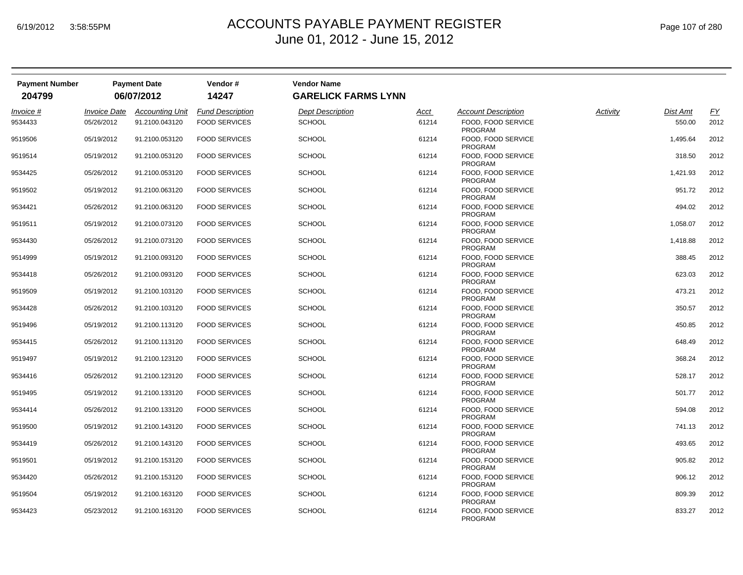| <b>Payment Number</b><br>204799 |                            | <b>Payment Date</b><br>06/07/2012 | Vendor#<br>14247        | <b>Vendor Name</b><br><b>GARELICK FARMS LYNN</b> |       |                                      |          |                 |           |
|---------------------------------|----------------------------|-----------------------------------|-------------------------|--------------------------------------------------|-------|--------------------------------------|----------|-----------------|-----------|
|                                 |                            |                                   |                         |                                                  |       |                                      |          |                 |           |
| Invoice #                       | <i><b>Invoice Date</b></i> | <b>Accounting Unit</b>            | <b>Fund Description</b> | <b>Dept Description</b>                          | Acct  | <b>Account Description</b>           | Activity | <b>Dist Amt</b> | <u>FY</u> |
| 9534433                         | 05/26/2012                 | 91.2100.043120                    | <b>FOOD SERVICES</b>    | <b>SCHOOL</b>                                    | 61214 | FOOD, FOOD SERVICE<br><b>PROGRAM</b> |          | 550.00          | 2012      |
| 9519506                         | 05/19/2012                 | 91.2100.053120                    | <b>FOOD SERVICES</b>    | <b>SCHOOL</b>                                    | 61214 | FOOD, FOOD SERVICE<br><b>PROGRAM</b> |          | 1,495.64        | 2012      |
| 9519514                         | 05/19/2012                 | 91.2100.053120                    | <b>FOOD SERVICES</b>    | <b>SCHOOL</b>                                    | 61214 | FOOD, FOOD SERVICE<br>PROGRAM        |          | 318.50          | 2012      |
| 9534425                         | 05/26/2012                 | 91.2100.053120                    | <b>FOOD SERVICES</b>    | <b>SCHOOL</b>                                    | 61214 | FOOD, FOOD SERVICE<br><b>PROGRAM</b> |          | 1,421.93        | 2012      |
| 9519502                         | 05/19/2012                 | 91.2100.063120                    | <b>FOOD SERVICES</b>    | <b>SCHOOL</b>                                    | 61214 | FOOD, FOOD SERVICE<br><b>PROGRAM</b> |          | 951.72          | 2012      |
| 9534421                         | 05/26/2012                 | 91.2100.063120                    | <b>FOOD SERVICES</b>    | <b>SCHOOL</b>                                    | 61214 | FOOD, FOOD SERVICE<br><b>PROGRAM</b> |          | 494.02          | 2012      |
| 9519511                         | 05/19/2012                 | 91.2100.073120                    | <b>FOOD SERVICES</b>    | <b>SCHOOL</b>                                    | 61214 | FOOD, FOOD SERVICE<br>PROGRAM        |          | 1,058.07        | 2012      |
| 9534430                         | 05/26/2012                 | 91.2100.073120                    | <b>FOOD SERVICES</b>    | <b>SCHOOL</b>                                    | 61214 | FOOD. FOOD SERVICE<br><b>PROGRAM</b> |          | 1,418.88        | 2012      |
| 9514999                         | 05/19/2012                 | 91.2100.093120                    | <b>FOOD SERVICES</b>    | <b>SCHOOL</b>                                    | 61214 | FOOD, FOOD SERVICE<br><b>PROGRAM</b> |          | 388.45          | 2012      |
| 9534418                         | 05/26/2012                 | 91.2100.093120                    | <b>FOOD SERVICES</b>    | <b>SCHOOL</b>                                    | 61214 | FOOD, FOOD SERVICE<br><b>PROGRAM</b> |          | 623.03          | 2012      |
| 9519509                         | 05/19/2012                 | 91.2100.103120                    | <b>FOOD SERVICES</b>    | <b>SCHOOL</b>                                    | 61214 | FOOD, FOOD SERVICE<br><b>PROGRAM</b> |          | 473.21          | 2012      |
| 9534428                         | 05/26/2012                 | 91.2100.103120                    | <b>FOOD SERVICES</b>    | <b>SCHOOL</b>                                    | 61214 | FOOD, FOOD SERVICE<br>PROGRAM        |          | 350.57          | 2012      |
| 9519496                         | 05/19/2012                 | 91.2100.113120                    | <b>FOOD SERVICES</b>    | <b>SCHOOL</b>                                    | 61214 | FOOD, FOOD SERVICE<br><b>PROGRAM</b> |          | 450.85          | 2012      |
| 9534415                         | 05/26/2012                 | 91.2100.113120                    | <b>FOOD SERVICES</b>    | <b>SCHOOL</b>                                    | 61214 | FOOD, FOOD SERVICE<br><b>PROGRAM</b> |          | 648.49          | 2012      |
| 9519497                         | 05/19/2012                 | 91.2100.123120                    | <b>FOOD SERVICES</b>    | <b>SCHOOL</b>                                    | 61214 | FOOD, FOOD SERVICE<br><b>PROGRAM</b> |          | 368.24          | 2012      |
| 9534416                         | 05/26/2012                 | 91.2100.123120                    | <b>FOOD SERVICES</b>    | <b>SCHOOL</b>                                    | 61214 | FOOD, FOOD SERVICE<br><b>PROGRAM</b> |          | 528.17          | 2012      |
| 9519495                         | 05/19/2012                 | 91.2100.133120                    | <b>FOOD SERVICES</b>    | <b>SCHOOL</b>                                    | 61214 | FOOD, FOOD SERVICE<br><b>PROGRAM</b> |          | 501.77          | 2012      |
| 9534414                         | 05/26/2012                 | 91.2100.133120                    | <b>FOOD SERVICES</b>    | <b>SCHOOL</b>                                    | 61214 | FOOD, FOOD SERVICE<br><b>PROGRAM</b> |          | 594.08          | 2012      |
| 9519500                         | 05/19/2012                 | 91.2100.143120                    | <b>FOOD SERVICES</b>    | <b>SCHOOL</b>                                    | 61214 | FOOD, FOOD SERVICE<br>PROGRAM        |          | 741.13          | 2012      |
| 9534419                         | 05/26/2012                 | 91.2100.143120                    | <b>FOOD SERVICES</b>    | <b>SCHOOL</b>                                    | 61214 | FOOD, FOOD SERVICE<br><b>PROGRAM</b> |          | 493.65          | 2012      |
| 9519501                         | 05/19/2012                 | 91.2100.153120                    | <b>FOOD SERVICES</b>    | <b>SCHOOL</b>                                    | 61214 | FOOD, FOOD SERVICE<br><b>PROGRAM</b> |          | 905.82          | 2012      |
| 9534420                         | 05/26/2012                 | 91.2100.153120                    | <b>FOOD SERVICES</b>    | <b>SCHOOL</b>                                    | 61214 | FOOD, FOOD SERVICE<br>PROGRAM        |          | 906.12          | 2012      |
| 9519504                         | 05/19/2012                 | 91.2100.163120                    | <b>FOOD SERVICES</b>    | <b>SCHOOL</b>                                    | 61214 | FOOD, FOOD SERVICE<br><b>PROGRAM</b> |          | 809.39          | 2012      |
| 9534423                         | 05/23/2012                 | 91.2100.163120                    | <b>FOOD SERVICES</b>    | <b>SCHOOL</b>                                    | 61214 | FOOD, FOOD SERVICE<br><b>PROGRAM</b> |          | 833.27          | 2012      |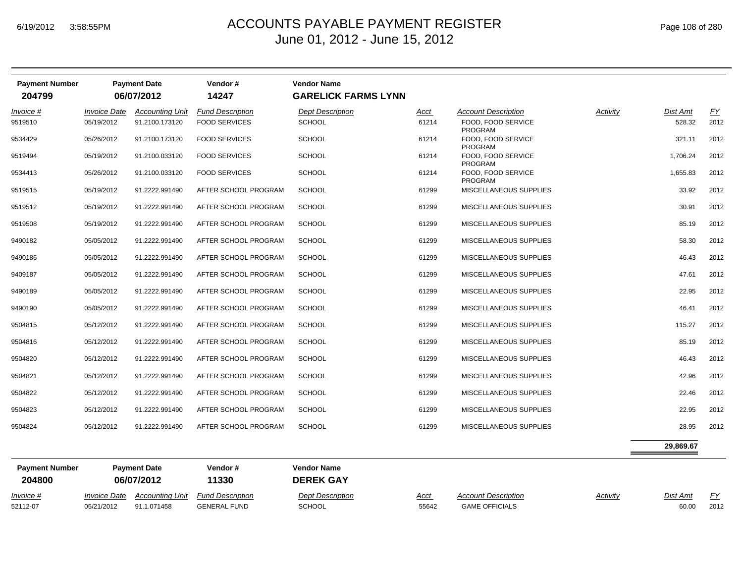| Page 108 of 280 |
|-----------------|
|-----------------|

| <b>Payment Number</b> | <b>Payment Date</b>        |                        | Vendor#                 | <b>Vendor Name</b>         |             |                                      |          |                 |           |
|-----------------------|----------------------------|------------------------|-------------------------|----------------------------|-------------|--------------------------------------|----------|-----------------|-----------|
| 204799                |                            | 06/07/2012             | 14247                   | <b>GARELICK FARMS LYNN</b> |             |                                      |          |                 |           |
| Invoice #             | <i><b>Invoice Date</b></i> | <b>Accounting Unit</b> | <b>Fund Description</b> | <b>Dept Description</b>    | <u>Acct</u> | <b>Account Description</b>           | Activity | <b>Dist Amt</b> | <u>FY</u> |
| 9519510               | 05/19/2012                 | 91.2100.173120         | <b>FOOD SERVICES</b>    | <b>SCHOOL</b>              | 61214       | FOOD, FOOD SERVICE<br>PROGRAM        |          | 528.32          | 2012      |
| 9534429               | 05/26/2012                 | 91.2100.173120         | <b>FOOD SERVICES</b>    | <b>SCHOOL</b>              | 61214       | FOOD, FOOD SERVICE<br>PROGRAM        |          | 321.11          | 2012      |
| 9519494               | 05/19/2012                 | 91.2100.033120         | <b>FOOD SERVICES</b>    | <b>SCHOOL</b>              | 61214       | FOOD, FOOD SERVICE<br><b>PROGRAM</b> |          | 1,706.24        | 2012      |
| 9534413               | 05/26/2012                 | 91.2100.033120         | <b>FOOD SERVICES</b>    | <b>SCHOOL</b>              | 61214       | FOOD, FOOD SERVICE<br><b>PROGRAM</b> |          | 1,655.83        | 2012      |
| 9519515               | 05/19/2012                 | 91.2222.991490         | AFTER SCHOOL PROGRAM    | <b>SCHOOL</b>              | 61299       | <b>MISCELLANEOUS SUPPLIES</b>        |          | 33.92           | 2012      |
| 9519512               | 05/19/2012                 | 91.2222.991490         | AFTER SCHOOL PROGRAM    | <b>SCHOOL</b>              | 61299       | MISCELLANEOUS SUPPLIES               |          | 30.91           | 2012      |
| 9519508               | 05/19/2012                 | 91.2222.991490         | AFTER SCHOOL PROGRAM    | <b>SCHOOL</b>              | 61299       | MISCELLANEOUS SUPPLIES               |          | 85.19           | 2012      |
| 9490182               | 05/05/2012                 | 91.2222.991490         | AFTER SCHOOL PROGRAM    | <b>SCHOOL</b>              | 61299       | MISCELLANEOUS SUPPLIES               |          | 58.30           | 2012      |
| 9490186               | 05/05/2012                 | 91.2222.991490         | AFTER SCHOOL PROGRAM    | <b>SCHOOL</b>              | 61299       | MISCELLANEOUS SUPPLIES               |          | 46.43           | 2012      |
| 9409187               | 05/05/2012                 | 91.2222.991490         | AFTER SCHOOL PROGRAM    | <b>SCHOOL</b>              | 61299       | MISCELLANEOUS SUPPLIES               |          | 47.61           | 2012      |
| 9490189               | 05/05/2012                 | 91.2222.991490         | AFTER SCHOOL PROGRAM    | <b>SCHOOL</b>              | 61299       | MISCELLANEOUS SUPPLIES               |          | 22.95           | 2012      |
| 9490190               | 05/05/2012                 | 91.2222.991490         | AFTER SCHOOL PROGRAM    | <b>SCHOOL</b>              | 61299       | MISCELLANEOUS SUPPLIES               |          | 46.41           | 2012      |
| 9504815               | 05/12/2012                 | 91.2222.991490         | AFTER SCHOOL PROGRAM    | <b>SCHOOL</b>              | 61299       | MISCELLANEOUS SUPPLIES               |          | 115.27          | 2012      |
| 9504816               | 05/12/2012                 | 91.2222.991490         | AFTER SCHOOL PROGRAM    | <b>SCHOOL</b>              | 61299       | MISCELLANEOUS SUPPLIES               |          | 85.19           | 2012      |
| 9504820               | 05/12/2012                 | 91.2222.991490         | AFTER SCHOOL PROGRAM    | <b>SCHOOL</b>              | 61299       | MISCELLANEOUS SUPPLIES               |          | 46.43           | 2012      |
| 9504821               | 05/12/2012                 | 91.2222.991490         | AFTER SCHOOL PROGRAM    | <b>SCHOOL</b>              | 61299       | MISCELLANEOUS SUPPLIES               |          | 42.96           | 2012      |
| 9504822               | 05/12/2012                 | 91.2222.991490         | AFTER SCHOOL PROGRAM    | <b>SCHOOL</b>              | 61299       | MISCELLANEOUS SUPPLIES               |          | 22.46           | 2012      |
| 9504823               | 05/12/2012                 | 91.2222.991490         | AFTER SCHOOL PROGRAM    | <b>SCHOOL</b>              | 61299       | MISCELLANEOUS SUPPLIES               |          | 22.95           | 2012      |
| 9504824               | 05/12/2012                 | 91.2222.991490         | AFTER SCHOOL PROGRAM    | <b>SCHOOL</b>              | 61299       | MISCELLANEOUS SUPPLIES               |          | 28.95           | 2012      |
|                       |                            |                        |                         |                            |             |                                      |          | 29,869.67       |           |
| <b>Payment Number</b> | <b>Payment Date</b>        |                        | Vendor#                 | <b>Vendor Name</b>         |             |                                      |          |                 |           |
| 204800                | 06/07/2012                 |                        | 11330                   | <b>DEREK GAY</b>           |             |                                      |          |                 |           |
| Invoice #             | <i><b>Invoice Date</b></i> | <b>Accounting Unit</b> | <b>Fund Description</b> | <b>Dept Description</b>    | Acct        | <b>Account Description</b>           | Activity | Dist Amt        | <u>FY</u> |
| 52112-07              | 05/21/2012                 | 91.1.071458            | <b>GENERAL FUND</b>     | <b>SCHOOL</b>              | 55642       | <b>GAME OFFICIALS</b>                |          | 60.00           | 2012      |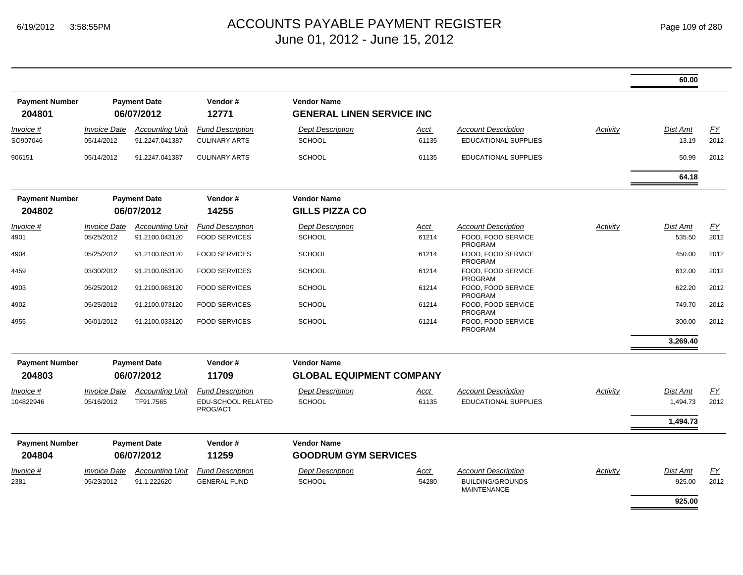|                                 |                                   |                                          |                                                 |                                                        |               |                                                                             |          | 60.00              |            |
|---------------------------------|-----------------------------------|------------------------------------------|-------------------------------------------------|--------------------------------------------------------|---------------|-----------------------------------------------------------------------------|----------|--------------------|------------|
| <b>Payment Number</b><br>204801 |                                   | <b>Payment Date</b><br>06/07/2012        | Vendor#<br>12771                                | <b>Vendor Name</b><br><b>GENERAL LINEN SERVICE INC</b> |               |                                                                             |          |                    |            |
| Invoice #<br>SO907046           | <b>Invoice Date</b><br>05/14/2012 | <b>Accounting Unit</b><br>91.2247.041387 | <b>Fund Description</b><br><b>CULINARY ARTS</b> | <b>Dept Description</b><br><b>SCHOOL</b>               | Acct<br>61135 | <b>Account Description</b><br><b>EDUCATIONAL SUPPLIES</b>                   | Activity | Dist Amt<br>13.19  | EY<br>2012 |
| 906151                          | 05/14/2012                        | 91.2247.041387                           | <b>CULINARY ARTS</b>                            | <b>SCHOOL</b>                                          | 61135         | <b>EDUCATIONAL SUPPLIES</b>                                                 |          | 50.99              | 2012       |
|                                 |                                   |                                          |                                                 |                                                        |               |                                                                             |          | 64.18              |            |
| <b>Payment Number</b><br>204802 |                                   | <b>Payment Date</b><br>06/07/2012        | Vendor#<br>14255                                | <b>Vendor Name</b><br><b>GILLS PIZZA CO</b>            |               |                                                                             |          |                    |            |
| Invoice #                       | <i><b>Invoice Date</b></i>        | <b>Accounting Unit</b>                   | <b>Fund Description</b>                         | <b>Dept Description</b>                                | Acct          | <b>Account Description</b>                                                  | Activity | Dist Amt           | EY         |
| 4901                            | 05/25/2012                        | 91.2100.043120                           | <b>FOOD SERVICES</b>                            | <b>SCHOOL</b>                                          | 61214         | FOOD, FOOD SERVICE<br><b>PROGRAM</b>                                        |          | 535.50             | 2012       |
| 4904                            | 05/25/2012                        | 91.2100.053120                           | <b>FOOD SERVICES</b>                            | <b>SCHOOL</b>                                          | 61214         | FOOD. FOOD SERVICE<br>PROGRAM                                               |          | 450.00             | 2012       |
| 4459                            | 03/30/2012                        | 91.2100.053120                           | <b>FOOD SERVICES</b>                            | <b>SCHOOL</b>                                          | 61214         | FOOD, FOOD SERVICE<br><b>PROGRAM</b>                                        |          | 612.00             | 2012       |
| 4903                            | 05/25/2012                        | 91.2100.063120                           | <b>FOOD SERVICES</b>                            | <b>SCHOOL</b>                                          | 61214         | FOOD. FOOD SERVICE<br><b>PROGRAM</b>                                        |          | 622.20             | 2012       |
| 4902                            | 05/25/2012                        | 91.2100.073120                           | <b>FOOD SERVICES</b>                            | <b>SCHOOL</b>                                          | 61214         | FOOD, FOOD SERVICE<br><b>PROGRAM</b>                                        |          | 749.70             | 2012       |
| 4955                            | 06/01/2012                        | 91.2100.033120                           | <b>FOOD SERVICES</b>                            | <b>SCHOOL</b>                                          | 61214         | FOOD. FOOD SERVICE<br>PROGRAM                                               |          | 300.00             | 2012       |
|                                 |                                   |                                          |                                                 |                                                        |               |                                                                             |          | 3,269.40           |            |
| <b>Payment Number</b>           |                                   | <b>Payment Date</b>                      | Vendor#                                         | <b>Vendor Name</b>                                     |               |                                                                             |          |                    |            |
| 204803                          |                                   | 06/07/2012                               | 11709                                           | <b>GLOBAL EQUIPMENT COMPANY</b>                        |               |                                                                             |          |                    |            |
| <i>Invoice</i> #                | <b>Invoice Date</b>               | <b>Accounting Unit</b>                   | <b>Fund Description</b>                         | <b>Dept Description</b>                                | <u>Acct</u>   | <b>Account Description</b>                                                  | Activity | Dist Amt           | <u>FY</u>  |
| 104822946                       | 05/16/2012                        | TF91.7565                                | EDU-SCHOOL RELATED<br>PROG/ACT                  | <b>SCHOOL</b>                                          | 61135         | <b>EDUCATIONAL SUPPLIES</b>                                                 |          | 1,494.73           | 2012       |
|                                 |                                   |                                          |                                                 |                                                        |               |                                                                             |          | 1,494.73           |            |
| <b>Payment Number</b>           |                                   | <b>Payment Date</b>                      | Vendor#                                         | <b>Vendor Name</b>                                     |               |                                                                             |          |                    |            |
| 204804                          |                                   | 06/07/2012                               | 11259                                           | <b>GOODRUM GYM SERVICES</b>                            |               |                                                                             |          |                    |            |
| Invoice #<br>2381               | <b>Invoice Date</b><br>05/23/2012 | <b>Accounting Unit</b><br>91.1.222620    | <b>Fund Description</b><br><b>GENERAL FUND</b>  | <b>Dept Description</b><br><b>SCHOOL</b>               | Acct<br>54280 | <b>Account Description</b><br><b>BUILDING/GROUNDS</b><br><b>MAINTENANCE</b> | Activity | Dist Amt<br>925.00 | EY<br>2012 |
|                                 |                                   |                                          |                                                 |                                                        |               |                                                                             |          | 925.00             |            |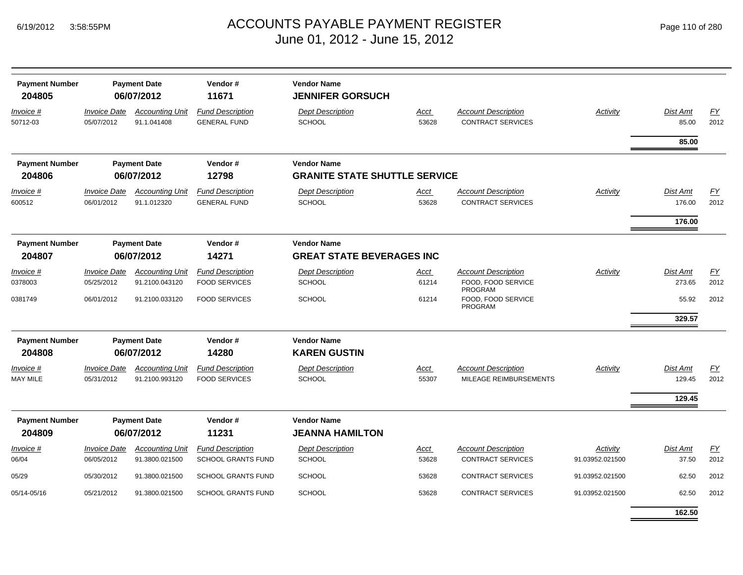| <b>Payment Number</b><br>204805 |                                   | <b>Payment Date</b><br>06/07/2012        | Vendor#<br>11671                                | <b>Vendor Name</b><br><b>JENNIFER GORSUCH</b>              |                      |                                                        |                 |                           |                   |
|---------------------------------|-----------------------------------|------------------------------------------|-------------------------------------------------|------------------------------------------------------------|----------------------|--------------------------------------------------------|-----------------|---------------------------|-------------------|
| Invoice #<br>50712-03           | <b>Invoice Date</b><br>05/07/2012 | <b>Accounting Unit</b><br>91.1.041408    | <b>Fund Description</b><br><b>GENERAL FUND</b>  | <b>Dept Description</b><br><b>SCHOOL</b>                   | Acct<br>53628        | <b>Account Description</b><br><b>CONTRACT SERVICES</b> | <b>Activity</b> | Dist Amt<br>85.00         | EY<br>2012        |
|                                 |                                   |                                          |                                                 |                                                            |                      |                                                        |                 | 85.00                     |                   |
| <b>Payment Number</b><br>204806 |                                   | <b>Payment Date</b><br>06/07/2012        | Vendor#<br>12798                                | <b>Vendor Name</b><br><b>GRANITE STATE SHUTTLE SERVICE</b> |                      |                                                        |                 |                           |                   |
| Invoice #                       | <b>Invoice Date</b>               | <b>Accounting Unit</b>                   | <b>Fund Description</b>                         | <b>Dept Description</b>                                    | Acct                 | <b>Account Description</b>                             | Activity        | <b>Dist Amt</b>           | <u>FY</u>         |
| 600512                          | 06/01/2012                        | 91.1.012320                              | <b>GENERAL FUND</b>                             | <b>SCHOOL</b>                                              | 53628                | <b>CONTRACT SERVICES</b>                               |                 | 176.00                    | 2012              |
|                                 |                                   |                                          |                                                 |                                                            |                      |                                                        |                 | 176.00                    |                   |
| <b>Payment Number</b>           |                                   | <b>Payment Date</b>                      | Vendor#                                         | <b>Vendor Name</b>                                         |                      |                                                        |                 |                           |                   |
| 204807                          |                                   | 06/07/2012                               | 14271                                           | <b>GREAT STATE BEVERAGES INC</b>                           |                      |                                                        |                 |                           |                   |
| Invoice #                       | <b>Invoice Date</b>               | <b>Accounting Unit</b>                   | <b>Fund Description</b>                         | <b>Dept Description</b>                                    | Acct                 | <b>Account Description</b>                             | Activity        | <b>Dist Amt</b>           | <b>FY</b>         |
| 0378003                         | 05/25/2012                        | 91.2100.043120                           | <b>FOOD SERVICES</b>                            | <b>SCHOOL</b>                                              | 61214                | FOOD, FOOD SERVICE<br><b>PROGRAM</b>                   |                 | 273.65                    | 2012              |
| 0381749                         | 06/01/2012                        | 91.2100.033120                           | <b>FOOD SERVICES</b>                            | <b>SCHOOL</b>                                              | 61214                | FOOD, FOOD SERVICE<br>PROGRAM                          |                 | 55.92                     | 2012              |
|                                 |                                   |                                          |                                                 |                                                            |                      |                                                        |                 | 329.57                    |                   |
| <b>Payment Number</b>           |                                   | <b>Payment Date</b>                      | Vendor#                                         | <b>Vendor Name</b>                                         |                      |                                                        |                 |                           |                   |
| 204808                          |                                   | 06/07/2012                               | 14280                                           | <b>KAREN GUSTIN</b>                                        |                      |                                                        |                 |                           |                   |
| Invoice #<br><b>MAY MILE</b>    | <b>Invoice Date</b><br>05/31/2012 | <b>Accounting Unit</b><br>91.2100.993120 | <b>Fund Description</b><br><b>FOOD SERVICES</b> | <b>Dept Description</b><br><b>SCHOOL</b>                   | <u>Acct</u><br>55307 | <b>Account Description</b><br>MILEAGE REIMBURSEMENTS   | Activity        | <b>Dist Amt</b><br>129.45 | <u>FY</u><br>2012 |
|                                 |                                   |                                          |                                                 |                                                            |                      |                                                        |                 | 129.45                    |                   |
| <b>Payment Number</b><br>204809 |                                   | <b>Payment Date</b><br>06/07/2012        | Vendor#<br>11231                                | <b>Vendor Name</b><br><b>JEANNA HAMILTON</b>               |                      |                                                        |                 |                           |                   |
| <u>Invoice</u> #                | <b>Invoice Date</b>               | <b>Accounting Unit</b>                   | <b>Fund Description</b>                         | <b>Dept Description</b>                                    | Acct                 | <b>Account Description</b>                             | Activity        | Dist Amt                  | EY                |
| 06/04                           | 06/05/2012                        | 91.3800.021500                           | <b>SCHOOL GRANTS FUND</b>                       | <b>SCHOOL</b>                                              | 53628                | <b>CONTRACT SERVICES</b>                               | 91.03952.021500 | 37.50                     | 2012              |
| 05/29                           | 05/30/2012                        | 91.3800.021500                           | <b>SCHOOL GRANTS FUND</b>                       | SCHOOL                                                     | 53628                | <b>CONTRACT SERVICES</b>                               | 91.03952.021500 | 62.50                     | 2012              |
| 05/14-05/16                     | 05/21/2012                        | 91.3800.021500                           | <b>SCHOOL GRANTS FUND</b>                       | <b>SCHOOL</b>                                              | 53628                | <b>CONTRACT SERVICES</b>                               | 91.03952.021500 | 62.50                     | 2012              |

**162.50**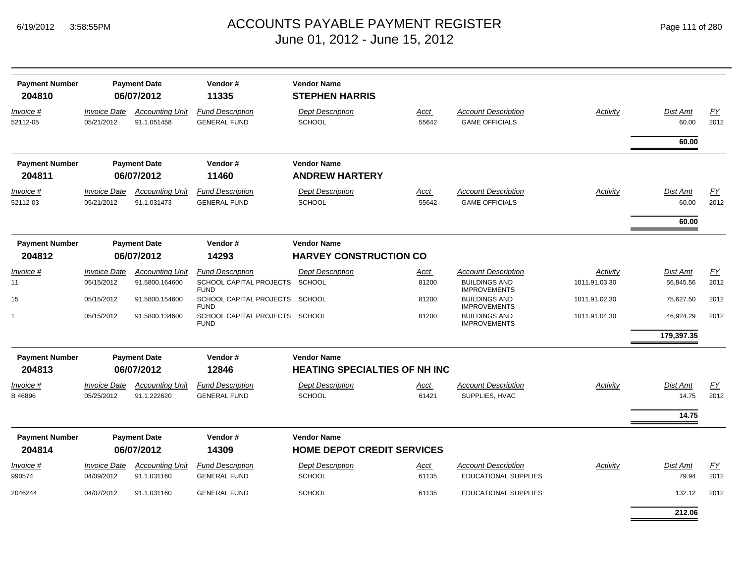| <b>Payment Number</b> |                     | <b>Payment Date</b>    | Vendor#                                       | <b>Vendor Name</b>                   |       |                                             |                 |                 |      |
|-----------------------|---------------------|------------------------|-----------------------------------------------|--------------------------------------|-------|---------------------------------------------|-----------------|-----------------|------|
| 204810                |                     | 06/07/2012             | 11335                                         | <b>STEPHEN HARRIS</b>                |       |                                             |                 |                 |      |
| Invoice #             | <b>Invoice Date</b> | <b>Accounting Unit</b> | <b>Fund Description</b>                       | <b>Dept Description</b>              | Acct  | <b>Account Description</b>                  | Activity        | Dist Amt        | EY   |
| 52112-05              | 05/21/2012          | 91.1.051458            | <b>GENERAL FUND</b>                           | <b>SCHOOL</b>                        | 55642 | <b>GAME OFFICIALS</b>                       |                 | 60.00           | 2012 |
|                       |                     |                        |                                               |                                      |       |                                             |                 | 60.00           |      |
| <b>Payment Number</b> |                     | <b>Payment Date</b>    | Vendor#                                       | <b>Vendor Name</b>                   |       |                                             |                 |                 |      |
| 204811                |                     | 06/07/2012             | 11460                                         | <b>ANDREW HARTERY</b>                |       |                                             |                 |                 |      |
| Invoice #             | <b>Invoice Date</b> | <b>Accounting Unit</b> | <b>Fund Description</b>                       | <b>Dept Description</b>              | Acct  | <b>Account Description</b>                  | Activity        | Dist Amt        | EY   |
| 52112-03              | 05/21/2012          | 91.1.031473            | <b>GENERAL FUND</b>                           | <b>SCHOOL</b>                        | 55642 | <b>GAME OFFICIALS</b>                       |                 | 60.00           | 2012 |
|                       |                     |                        |                                               |                                      |       |                                             |                 | 60.00           |      |
| <b>Payment Number</b> |                     | <b>Payment Date</b>    | Vendor#                                       | <b>Vendor Name</b>                   |       |                                             |                 |                 |      |
| 204812                |                     | 06/07/2012             | 14293                                         | <b>HARVEY CONSTRUCTION CO</b>        |       |                                             |                 |                 |      |
| Invoice #             | <b>Invoice Date</b> | <b>Accounting Unit</b> | <b>Fund Description</b>                       | <b>Dept Description</b>              | Acct  | <b>Account Description</b>                  | <b>Activity</b> | Dist Amt        | EY   |
| 11                    | 05/15/2012          | 91.5800.164600         | SCHOOL CAPITAL PROJECTS<br><b>FUND</b>        | <b>SCHOOL</b>                        | 81200 | <b>BUILDINGS AND</b><br><b>IMPROVEMENTS</b> | 1011.91.03.30   | 56,845.56       | 2012 |
| 15                    | 05/15/2012          | 91.5800.154600         | SCHOOL CAPITAL PROJECTS<br><b>FUND</b>        | SCHOOL                               | 81200 | <b>BUILDINGS AND</b><br><b>IMPROVEMENTS</b> | 1011.91.02.30   | 75,627.50       | 2012 |
|                       | 05/15/2012          | 91.5800.134600         | SCHOOL CAPITAL PROJECTS SCHOOL<br><b>FUND</b> |                                      | 81200 | <b>BUILDINGS AND</b><br><b>IMPROVEMENTS</b> | 1011.91.04.30   | 46,924.29       | 2012 |
|                       |                     |                        |                                               |                                      |       |                                             |                 | 179,397.35      |      |
| <b>Payment Number</b> |                     | <b>Payment Date</b>    | Vendor#                                       | <b>Vendor Name</b>                   |       |                                             |                 |                 |      |
| 204813                |                     | 06/07/2012             | 12846                                         | <b>HEATING SPECIALTIES OF NH INC</b> |       |                                             |                 |                 |      |
| Invoice #             | <b>Invoice Date</b> | <b>Accounting Unit</b> | <b>Fund Description</b>                       | <b>Dept Description</b>              | Acct  | <b>Account Description</b>                  | Activity        | <b>Dist Amt</b> | EY   |
| B46896                | 05/25/2012          | 91.1.222620            | <b>GENERAL FUND</b>                           | <b>SCHOOL</b>                        | 61421 | SUPPLIES, HVAC                              |                 | 14.75           | 2012 |
|                       |                     |                        |                                               |                                      |       |                                             |                 | 14.75           |      |
| <b>Payment Number</b> |                     | <b>Payment Date</b>    | Vendor#                                       | <b>Vendor Name</b>                   |       |                                             |                 |                 |      |
| 204814                |                     | 06/07/2012             | 14309                                         | <b>HOME DEPOT CREDIT SERVICES</b>    |       |                                             |                 |                 |      |
| Invoice #             | <b>Invoice Date</b> | <b>Accounting Unit</b> | <b>Fund Description</b>                       | <b>Dept Description</b>              | Acct  | Account Description                         | Activity        | Dist Amt        | FY   |
| 990574                | 04/09/2012          | 91.1.031160            | <b>GENERAL FUND</b>                           | <b>SCHOOL</b>                        | 61135 | EDUCATIONAL SUPPLIES                        |                 | 79.94           | 2012 |
| 2046244               | 04/07/2012          | 91.1.031160            | <b>GENERAL FUND</b>                           | SCHOOL                               | 61135 | <b>EDUCATIONAL SUPPLIES</b>                 |                 | 132.12          | 2012 |
|                       |                     |                        |                                               |                                      |       |                                             |                 | 212.06          |      |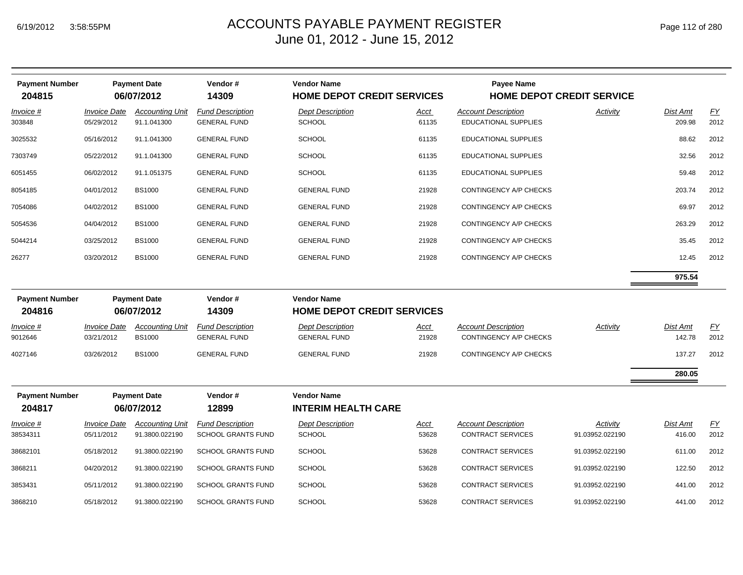| <b>Payment Number</b><br>204815 |                                   | <b>Payment Date</b><br>06/07/2012        | Vendor#<br>14309                                     | <b>Vendor Name</b><br><b>HOME DEPOT CREDIT SERVICES</b> |                      | <b>Payee Name</b><br><b>HOME DEPOT CREDIT SERVICE</b>     |                             |                    |                          |
|---------------------------------|-----------------------------------|------------------------------------------|------------------------------------------------------|---------------------------------------------------------|----------------------|-----------------------------------------------------------|-----------------------------|--------------------|--------------------------|
| Invoice #<br>303848             | <b>Invoice Date</b><br>05/29/2012 | <b>Accounting Unit</b><br>91.1.041300    | <b>Fund Description</b><br><b>GENERAL FUND</b>       | <b>Dept Description</b><br><b>SCHOOL</b>                | Acct<br>61135        | <b>Account Description</b><br><b>EDUCATIONAL SUPPLIES</b> | Activity                    | Dist Amt<br>209.98 | EY<br>2012               |
| 3025532                         | 05/16/2012                        | 91.1.041300                              | <b>GENERAL FUND</b>                                  | <b>SCHOOL</b>                                           | 61135                | EDUCATIONAL SUPPLIES                                      |                             | 88.62              | 2012                     |
| 7303749                         | 05/22/2012                        | 91.1.041300                              | <b>GENERAL FUND</b>                                  | SCHOOL                                                  | 61135                | <b>EDUCATIONAL SUPPLIES</b>                               |                             | 32.56              | 2012                     |
| 6051455                         | 06/02/2012                        | 91.1.051375                              | <b>GENERAL FUND</b>                                  | <b>SCHOOL</b>                                           | 61135                | EDUCATIONAL SUPPLIES                                      |                             | 59.48              | 2012                     |
| 8054185                         | 04/01/2012                        | <b>BS1000</b>                            | <b>GENERAL FUND</b>                                  | <b>GENERAL FUND</b>                                     | 21928                | CONTINGENCY A/P CHECKS                                    |                             | 203.74             | 2012                     |
| 7054086                         | 04/02/2012                        | <b>BS1000</b>                            | <b>GENERAL FUND</b>                                  | <b>GENERAL FUND</b>                                     | 21928                | CONTINGENCY A/P CHECKS                                    |                             | 69.97              | 2012                     |
| 5054536                         | 04/04/2012                        | <b>BS1000</b>                            | <b>GENERAL FUND</b>                                  | <b>GENERAL FUND</b>                                     | 21928                | CONTINGENCY A/P CHECKS                                    |                             | 263.29             | 2012                     |
| 5044214                         | 03/25/2012                        | <b>BS1000</b>                            | <b>GENERAL FUND</b>                                  | <b>GENERAL FUND</b>                                     | 21928                | CONTINGENCY A/P CHECKS                                    |                             | 35.45              | 2012                     |
| 26277                           | 03/20/2012                        | <b>BS1000</b>                            | <b>GENERAL FUND</b>                                  | <b>GENERAL FUND</b>                                     | 21928                | CONTINGENCY A/P CHECKS                                    |                             | 12.45              | 2012                     |
|                                 |                                   |                                          |                                                      |                                                         |                      |                                                           |                             | 975.54             |                          |
| <b>Payment Number</b><br>204816 |                                   | <b>Payment Date</b><br>06/07/2012        | Vendor#<br>14309                                     | <b>Vendor Name</b><br><b>HOME DEPOT CREDIT SERVICES</b> |                      |                                                           |                             |                    |                          |
| Invoice #<br>9012646            | <b>Invoice Date</b><br>03/21/2012 | <b>Accounting Unit</b><br><b>BS1000</b>  | <b>Fund Description</b><br><b>GENERAL FUND</b>       | <b>Dept Description</b><br><b>GENERAL FUND</b>          | Acct<br>21928        | <b>Account Description</b><br>CONTINGENCY A/P CHECKS      | Activity                    | Dist Amt<br>142.78 | $\underline{FY}$<br>2012 |
| 4027146                         | 03/26/2012                        | <b>BS1000</b>                            | <b>GENERAL FUND</b>                                  | <b>GENERAL FUND</b>                                     | 21928                | CONTINGENCY A/P CHECKS                                    |                             | 137.27             | 2012                     |
|                                 |                                   |                                          |                                                      |                                                         |                      |                                                           |                             | 280.05             |                          |
| <b>Payment Number</b><br>204817 |                                   | <b>Payment Date</b><br>06/07/2012        | Vendor#<br>12899                                     | <b>Vendor Name</b><br><b>INTERIM HEALTH CARE</b>        |                      |                                                           |                             |                    |                          |
| <u>Invoice #</u><br>38534311    | <b>Invoice Date</b><br>05/11/2012 | <b>Accounting Unit</b><br>91.3800.022190 | <b>Fund Description</b><br><b>SCHOOL GRANTS FUND</b> | <b>Dept Description</b><br><b>SCHOOL</b>                | <u>Acct</u><br>53628 | <b>Account Description</b><br><b>CONTRACT SERVICES</b>    | Activity<br>91.03952.022190 | Dist Amt<br>416.00 | $\underline{FY}$<br>2012 |
| 38682101                        | 05/18/2012                        | 91.3800.022190                           | <b>SCHOOL GRANTS FUND</b>                            | <b>SCHOOL</b>                                           | 53628                | <b>CONTRACT SERVICES</b>                                  | 91.03952.022190             | 611.00             | 2012                     |
| 3868211                         | 04/20/2012                        | 91.3800.022190                           | SCHOOL GRANTS FUND                                   | <b>SCHOOL</b>                                           | 53628                | CONTRACT SERVICES                                         | 91.03952.022190             | 122.50             | 2012                     |
| 3853431                         | 05/11/2012                        | 91.3800.022190                           | <b>SCHOOL GRANTS FUND</b>                            | <b>SCHOOL</b>                                           | 53628                | CONTRACT SERVICES                                         | 91.03952.022190             | 441.00             | 2012                     |
| 3868210                         | 05/18/2012                        | 91.3800.022190                           | <b>SCHOOL GRANTS FUND</b>                            | <b>SCHOOL</b>                                           | 53628                | <b>CONTRACT SERVICES</b>                                  | 91.03952.022190             | 441.00             | 2012                     |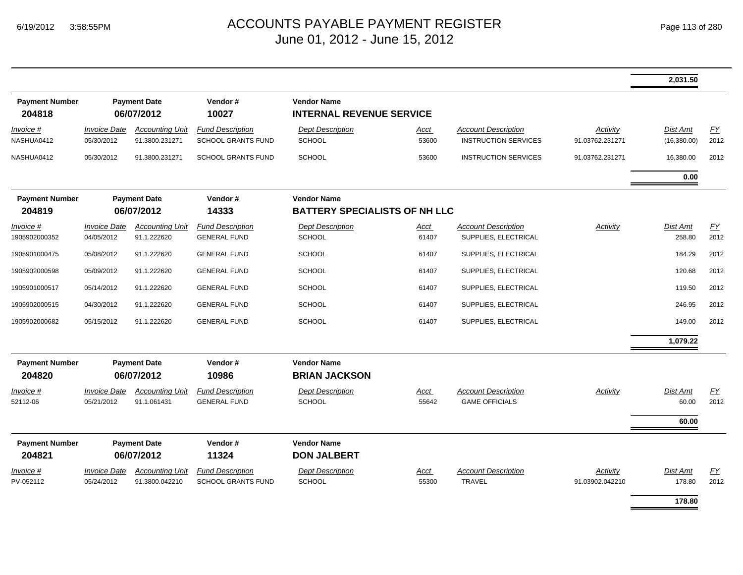|                                 |                                   |                                          |                                                      |                                                            |                      |                                                           |                             | 2,031.50                       |            |
|---------------------------------|-----------------------------------|------------------------------------------|------------------------------------------------------|------------------------------------------------------------|----------------------|-----------------------------------------------------------|-----------------------------|--------------------------------|------------|
| <b>Payment Number</b><br>204818 |                                   | <b>Payment Date</b><br>06/07/2012        | Vendor#<br>10027                                     | <b>Vendor Name</b><br><b>INTERNAL REVENUE SERVICE</b>      |                      |                                                           |                             |                                |            |
| Invoice #<br>NASHUA0412         | <b>Invoice Date</b><br>05/30/2012 | <b>Accounting Unit</b><br>91.3800.231271 | <b>Fund Description</b><br><b>SCHOOL GRANTS FUND</b> | <b>Dept Description</b><br><b>SCHOOL</b>                   | <u>Acct</u><br>53600 | <b>Account Description</b><br><b>INSTRUCTION SERVICES</b> | Activity<br>91.03762.231271 | <b>Dist Amt</b><br>(16,380.00) | EY<br>2012 |
| NASHUA0412                      | 05/30/2012                        | 91.3800.231271                           | <b>SCHOOL GRANTS FUND</b>                            | <b>SCHOOL</b>                                              | 53600                | <b>INSTRUCTION SERVICES</b>                               | 91.03762.231271             | 16,380.00                      | 2012       |
|                                 |                                   |                                          |                                                      |                                                            |                      |                                                           |                             | 0.00                           |            |
| <b>Payment Number</b><br>204819 |                                   | <b>Payment Date</b><br>06/07/2012        | Vendor#<br>14333                                     | <b>Vendor Name</b><br><b>BATTERY SPECIALISTS OF NH LLC</b> |                      |                                                           |                             |                                |            |
| Invoice #<br>1905902000352      | <b>Invoice Date</b><br>04/05/2012 | <b>Accounting Unit</b><br>91.1.222620    | <b>Fund Description</b><br><b>GENERAL FUND</b>       | <b>Dept Description</b><br><b>SCHOOL</b>                   | Acct<br>61407        | <b>Account Description</b><br>SUPPLIES, ELECTRICAL        | Activity                    | Dist Amt<br>258.80             | EY<br>2012 |
| 1905901000475                   | 05/08/2012                        | 91.1.222620                              | <b>GENERAL FUND</b>                                  | <b>SCHOOL</b>                                              | 61407                | SUPPLIES, ELECTRICAL                                      |                             | 184.29                         | 2012       |
| 1905902000598                   | 05/09/2012                        | 91.1.222620                              | <b>GENERAL FUND</b>                                  | <b>SCHOOL</b>                                              | 61407                | SUPPLIES, ELECTRICAL                                      |                             | 120.68                         | 2012       |
| 1905901000517                   | 05/14/2012                        | 91.1.222620                              | <b>GENERAL FUND</b>                                  | <b>SCHOOL</b>                                              | 61407                | SUPPLIES, ELECTRICAL                                      |                             | 119.50                         | 2012       |
| 1905902000515                   | 04/30/2012                        | 91.1.222620                              | <b>GENERAL FUND</b>                                  | <b>SCHOOL</b>                                              | 61407                | SUPPLIES, ELECTRICAL                                      |                             | 246.95                         | 2012       |
| 1905902000682                   | 05/15/2012                        | 91.1.222620                              | <b>GENERAL FUND</b>                                  | SCHOOL                                                     | 61407                | SUPPLIES, ELECTRICAL                                      |                             | 149.00                         | 2012       |
|                                 |                                   |                                          |                                                      |                                                            |                      |                                                           |                             | 1,079.22                       |            |
| <b>Payment Number</b><br>204820 |                                   | <b>Payment Date</b><br>06/07/2012        | Vendor#<br>10986                                     | <b>Vendor Name</b><br><b>BRIAN JACKSON</b>                 |                      |                                                           |                             |                                |            |
| <i>Invoice</i> #<br>52112-06    | <b>Invoice Date</b><br>05/21/2012 | <b>Accounting Unit</b><br>91.1.061431    | <b>Fund Description</b><br><b>GENERAL FUND</b>       | <b>Dept Description</b><br><b>SCHOOL</b>                   | Acct<br>55642        | <b>Account Description</b><br><b>GAME OFFICIALS</b>       | Activity                    | Dist Amt<br>60.00              | EY<br>2012 |
|                                 |                                   |                                          |                                                      |                                                            |                      |                                                           |                             | 60.00                          |            |
| <b>Payment Number</b><br>204821 |                                   | <b>Payment Date</b><br>06/07/2012        | Vendor#<br>11324                                     | <b>Vendor Name</b><br><b>DON JALBERT</b>                   |                      |                                                           |                             |                                |            |
| Invoice #<br>PV-052112          | <b>Invoice Date</b><br>05/24/2012 | <b>Accounting Unit</b><br>91.3800.042210 | <b>Fund Description</b><br><b>SCHOOL GRANTS FUND</b> | <b>Dept Description</b><br>SCHOOL                          | <u>Acct</u><br>55300 | <b>Account Description</b><br><b>TRAVEL</b>               | Activity<br>91.03902.042210 | Dist Amt<br>178.80             | EY<br>2012 |
|                                 |                                   |                                          |                                                      |                                                            |                      |                                                           |                             | 178.80                         |            |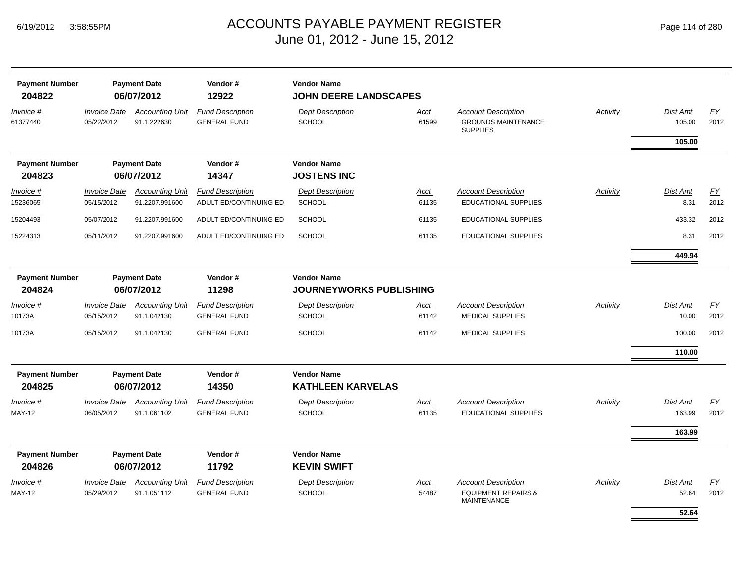| <b>Payment Number</b><br>204822   |                                   | <b>Payment Date</b><br>06/07/2012     | Vendor#<br>12922                               | <b>Vendor Name</b><br>JOHN DEERE LANDSCAPES          |                      |                                                                                    |          |                           |                          |
|-----------------------------------|-----------------------------------|---------------------------------------|------------------------------------------------|------------------------------------------------------|----------------------|------------------------------------------------------------------------------------|----------|---------------------------|--------------------------|
| Invoice #<br>61377440             | <b>Invoice Date</b><br>05/22/2012 | <b>Accounting Unit</b><br>91.1.222630 | <b>Fund Description</b><br><b>GENERAL FUND</b> | <b>Dept Description</b><br><b>SCHOOL</b>             | <u>Acct</u><br>61599 | <b>Account Description</b><br><b>GROUNDS MAINTENANCE</b><br><b>SUPPLIES</b>        | Activity | <b>Dist Amt</b><br>105.00 | $\underline{FY}$<br>2012 |
|                                   |                                   |                                       |                                                |                                                      |                      |                                                                                    |          | 105.00                    |                          |
| <b>Payment Number</b>             |                                   | <b>Payment Date</b>                   | Vendor#                                        | <b>Vendor Name</b>                                   |                      |                                                                                    |          |                           |                          |
| 204823                            |                                   | 06/07/2012                            | 14347                                          | <b>JOSTENS INC</b>                                   |                      |                                                                                    |          |                           |                          |
| Invoice #                         | <i><b>Invoice Date</b></i>        | <b>Accounting Unit</b>                | <b>Fund Description</b>                        | <b>Dept Description</b>                              | <u>Acct</u>          | <b>Account Description</b>                                                         | Activity | <b>Dist Amt</b>           | EY                       |
| 15236065                          | 05/15/2012                        | 91.2207.991600                        | ADULT ED/CONTINUING ED                         | <b>SCHOOL</b>                                        | 61135                | <b>EDUCATIONAL SUPPLIES</b>                                                        |          | 8.31                      | 2012                     |
| 15204493                          | 05/07/2012                        | 91.2207.991600                        | ADULT ED/CONTINUING ED                         | <b>SCHOOL</b>                                        | 61135                | <b>EDUCATIONAL SUPPLIES</b>                                                        |          | 433.32                    | 2012                     |
| 15224313                          | 05/11/2012                        | 91.2207.991600                        | ADULT ED/CONTINUING ED                         | <b>SCHOOL</b>                                        | 61135                | EDUCATIONAL SUPPLIES                                                               |          | 8.31                      | 2012                     |
|                                   |                                   |                                       |                                                |                                                      |                      |                                                                                    |          | 449.94                    |                          |
| <b>Payment Number</b><br>204824   |                                   | <b>Payment Date</b><br>06/07/2012     | Vendor#<br>11298                               | <b>Vendor Name</b><br><b>JOURNEYWORKS PUBLISHING</b> |                      |                                                                                    |          |                           |                          |
| Invoice #                         | <i><b>Invoice Date</b></i>        | <b>Accounting Unit</b>                | <b>Fund Description</b>                        | <b>Dept Description</b>                              | Acct                 | <b>Account Description</b>                                                         | Activity | <b>Dist Amt</b>           | EY                       |
| 10173A                            | 05/15/2012                        | 91.1.042130                           | <b>GENERAL FUND</b>                            | <b>SCHOOL</b>                                        | 61142                | <b>MEDICAL SUPPLIES</b>                                                            |          | 10.00                     | 2012                     |
| 10173A                            | 05/15/2012                        | 91.1.042130                           | <b>GENERAL FUND</b>                            | <b>SCHOOL</b>                                        | 61142                | <b>MEDICAL SUPPLIES</b>                                                            |          | 100.00                    | 2012                     |
|                                   |                                   |                                       |                                                |                                                      |                      |                                                                                    |          | 110.00                    |                          |
| <b>Payment Number</b><br>204825   |                                   | <b>Payment Date</b><br>06/07/2012     | Vendor#<br>14350                               | <b>Vendor Name</b><br><b>KATHLEEN KARVELAS</b>       |                      |                                                                                    |          |                           |                          |
| Invoice #                         | <b>Invoice Date</b>               | <b>Accounting Unit</b>                | <b>Fund Description</b>                        | <b>Dept Description</b>                              | <u>Acct</u>          | <b>Account Description</b>                                                         | Activity | <b>Dist Amt</b>           | EY                       |
| <b>MAY-12</b>                     | 06/05/2012                        | 91.1.061102                           | <b>GENERAL FUND</b>                            | <b>SCHOOL</b>                                        | 61135                | <b>EDUCATIONAL SUPPLIES</b>                                                        |          | 163.99                    | 2012                     |
|                                   |                                   |                                       |                                                |                                                      |                      |                                                                                    |          | 163.99                    |                          |
| <b>Payment Number</b>             |                                   | <b>Payment Date</b>                   | Vendor#                                        | <b>Vendor Name</b>                                   |                      |                                                                                    |          |                           |                          |
| 204826                            |                                   | 06/07/2012                            | 11792                                          | <b>KEVIN SWIFT</b>                                   |                      |                                                                                    |          |                           |                          |
| <u>Invoice #</u><br><b>MAY-12</b> | <b>Invoice Date</b><br>05/29/2012 | <b>Accounting Unit</b><br>91.1.051112 | <b>Fund Description</b><br><b>GENERAL FUND</b> | <b>Dept Description</b><br><b>SCHOOL</b>             | Acct<br>54487        | <b>Account Description</b><br><b>EQUIPMENT REPAIRS &amp;</b><br><b>MAINTENANCE</b> | Activity | <b>Dist Amt</b><br>52.64  | EY<br>2012               |
|                                   |                                   |                                       |                                                |                                                      |                      |                                                                                    |          | 52.64                     |                          |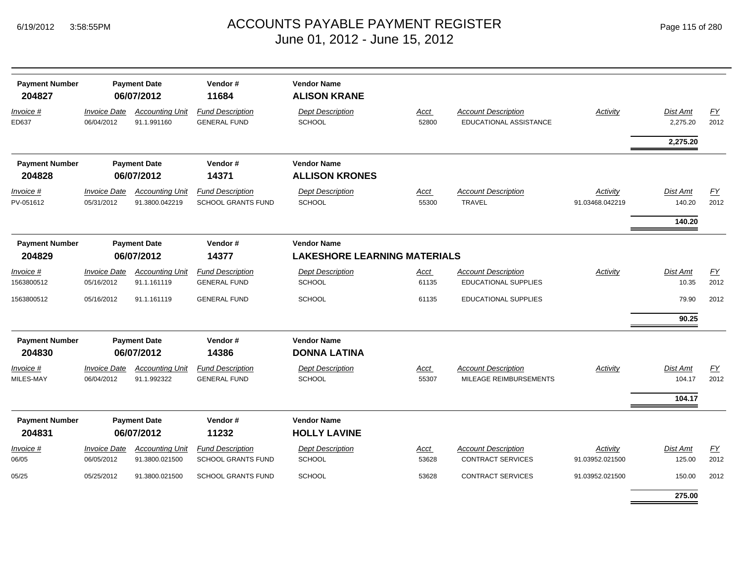|  | Page 115 of 280 |  |  |  |  |
|--|-----------------|--|--|--|--|
|--|-----------------|--|--|--|--|

| <b>Payment Number</b><br>204827 |                                   | <b>Payment Date</b><br>06/07/2012        | Vendor#<br>11684                                     | <b>Vendor Name</b><br><b>ALISON KRANE</b>                 |                      |                                                           |                             |                      |            |
|---------------------------------|-----------------------------------|------------------------------------------|------------------------------------------------------|-----------------------------------------------------------|----------------------|-----------------------------------------------------------|-----------------------------|----------------------|------------|
| $Invoice$ #<br>ED637            | <b>Invoice Date</b><br>06/04/2012 | <b>Accounting Unit</b><br>91.1.991160    | <b>Fund Description</b><br><b>GENERAL FUND</b>       | <b>Dept Description</b><br><b>SCHOOL</b>                  | <u>Acct</u><br>52800 | <b>Account Description</b><br>EDUCATIONAL ASSISTANCE      | <b>Activity</b>             | Dist Amt<br>2,275.20 | EY<br>2012 |
|                                 |                                   |                                          |                                                      |                                                           |                      |                                                           |                             | 2,275.20             |            |
| <b>Payment Number</b><br>204828 |                                   | <b>Payment Date</b><br>06/07/2012        | Vendor#<br>14371                                     | <b>Vendor Name</b><br><b>ALLISON KRONES</b>               |                      |                                                           |                             |                      |            |
| $Invoice$ #<br>PV-051612        | <b>Invoice Date</b><br>05/31/2012 | <b>Accounting Unit</b><br>91.3800.042219 | <b>Fund Description</b><br><b>SCHOOL GRANTS FUND</b> | <b>Dept Description</b><br><b>SCHOOL</b>                  | Acct<br>55300        | <b>Account Description</b><br><b>TRAVEL</b>               | Activity<br>91.03468.042219 | Dist Amt<br>140.20   | EY<br>2012 |
|                                 |                                   |                                          |                                                      |                                                           |                      |                                                           |                             | 140.20               |            |
| <b>Payment Number</b><br>204829 |                                   | <b>Payment Date</b><br>06/07/2012        | Vendor#<br>14377                                     | <b>Vendor Name</b><br><b>LAKESHORE LEARNING MATERIALS</b> |                      |                                                           |                             |                      |            |
| $Invoice$ #<br>1563800512       | <b>Invoice Date</b><br>05/16/2012 | <b>Accounting Unit</b><br>91.1.161119    | <b>Fund Description</b><br><b>GENERAL FUND</b>       | <b>Dept Description</b><br>SCHOOL                         | Acct<br>61135        | <b>Account Description</b><br><b>EDUCATIONAL SUPPLIES</b> | <b>Activity</b>             | Dist Amt<br>10.35    | EY<br>2012 |
| 1563800512                      | 05/16/2012                        | 91.1.161119                              | <b>GENERAL FUND</b>                                  | <b>SCHOOL</b>                                             | 61135                | <b>EDUCATIONAL SUPPLIES</b>                               |                             | 79.90                | 2012       |
|                                 |                                   |                                          |                                                      |                                                           |                      |                                                           |                             | 90.25                |            |
| <b>Payment Number</b><br>204830 |                                   | <b>Payment Date</b><br>06/07/2012        | Vendor#<br>14386                                     | <b>Vendor Name</b><br><b>DONNA LATINA</b>                 |                      |                                                           |                             |                      |            |
| Invoice #<br>MILES-MAY          | <b>Invoice Date</b><br>06/04/2012 | <b>Accounting Unit</b><br>91.1.992322    | <b>Fund Description</b><br><b>GENERAL FUND</b>       | <b>Dept Description</b><br><b>SCHOOL</b>                  | Acct<br>55307        | <b>Account Description</b><br>MILEAGE REIMBURSEMENTS      | Activity                    | Dist Amt<br>104.17   | EY<br>2012 |
|                                 |                                   |                                          |                                                      |                                                           |                      |                                                           |                             | 104.17               |            |
| <b>Payment Number</b>           |                                   | <b>Payment Date</b>                      | Vendor#                                              | <b>Vendor Name</b>                                        |                      |                                                           |                             |                      |            |
| 204831                          |                                   | 06/07/2012                               | 11232                                                | <b>HOLLY LAVINE</b>                                       |                      |                                                           |                             |                      |            |
| Invoice #<br>06/05              | <b>Invoice Date</b><br>06/05/2012 | <b>Accounting Unit</b><br>91.3800.021500 | <b>Fund Description</b><br>SCHOOL GRANTS FUND        | <b>Dept Description</b><br><b>SCHOOL</b>                  | <b>Acct</b><br>53628 | <b>Account Description</b><br><b>CONTRACT SERVICES</b>    | Activity<br>91.03952.021500 | Dist Amt<br>125.00   | EY<br>2012 |
| 05/25                           | 05/25/2012                        | 91.3800.021500                           | <b>SCHOOL GRANTS FUND</b>                            | <b>SCHOOL</b>                                             | 53628                | <b>CONTRACT SERVICES</b>                                  | 91.03952.021500             | 150.00               | 2012       |
|                                 |                                   |                                          |                                                      |                                                           |                      |                                                           |                             | 275.00               |            |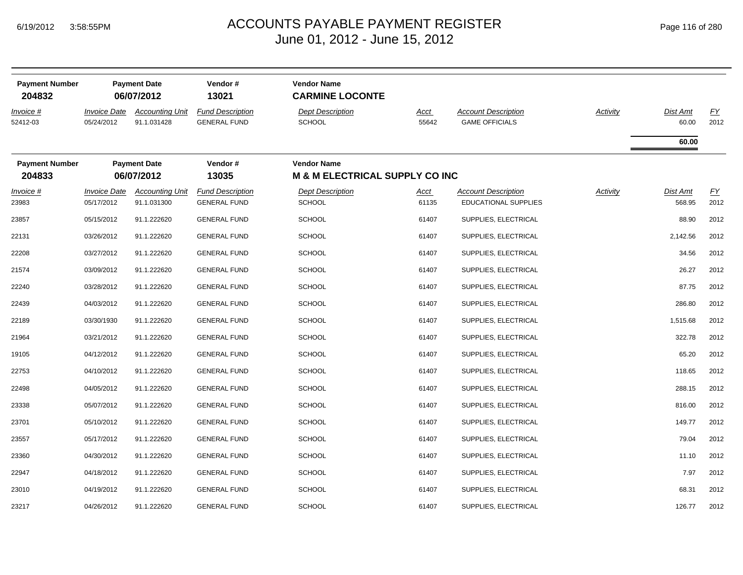| <b>Payment Number</b><br>204832 |                                   | <b>Payment Date</b><br>06/07/2012     | Vendor#<br>13021                               | <b>Vendor Name</b><br><b>CARMINE LOCONTE</b>                    |                      |                                                     |                 |                   |                   |
|---------------------------------|-----------------------------------|---------------------------------------|------------------------------------------------|-----------------------------------------------------------------|----------------------|-----------------------------------------------------|-----------------|-------------------|-------------------|
| Invoice #<br>52412-03           | <b>Invoice Date</b><br>05/24/2012 | <b>Accounting Unit</b><br>91.1.031428 | <b>Fund Description</b><br><b>GENERAL FUND</b> | <b>Dept Description</b><br><b>SCHOOL</b>                        | <u>Acct</u><br>55642 | <b>Account Description</b><br><b>GAME OFFICIALS</b> | <b>Activity</b> | Dist Amt<br>60.00 | <u>FY</u><br>2012 |
|                                 |                                   |                                       |                                                |                                                                 |                      |                                                     |                 | 60.00             |                   |
| <b>Payment Number</b><br>204833 |                                   | <b>Payment Date</b><br>06/07/2012     | Vendor#<br>13035                               | <b>Vendor Name</b><br><b>M &amp; M ELECTRICAL SUPPLY CO INC</b> |                      |                                                     |                 |                   |                   |
| Invoice #                       | <b>Invoice Date</b>               | <b>Accounting Unit</b>                | <b>Fund Description</b>                        | <b>Dept Description</b>                                         | Acct                 | <b>Account Description</b>                          | <b>Activity</b> | Dist Amt          | <u>FY</u>         |
| 23983                           | 05/17/2012                        | 91.1.031300                           | <b>GENERAL FUND</b>                            | <b>SCHOOL</b>                                                   | 61135                | <b>EDUCATIONAL SUPPLIES</b>                         |                 | 568.95            | 2012              |
| 23857                           | 05/15/2012                        | 91.1.222620                           | <b>GENERAL FUND</b>                            | <b>SCHOOL</b>                                                   | 61407                | SUPPLIES, ELECTRICAL                                |                 | 88.90             | 2012              |
| 22131                           | 03/26/2012                        | 91.1.222620                           | <b>GENERAL FUND</b>                            | <b>SCHOOL</b>                                                   | 61407                | SUPPLIES, ELECTRICAL                                |                 | 2,142.56          | 2012              |
| 22208                           | 03/27/2012                        | 91.1.222620                           | <b>GENERAL FUND</b>                            | <b>SCHOOL</b>                                                   | 61407                | SUPPLIES, ELECTRICAL                                |                 | 34.56             | 2012              |
| 21574                           | 03/09/2012                        | 91.1.222620                           | <b>GENERAL FUND</b>                            | <b>SCHOOL</b>                                                   | 61407                | SUPPLIES, ELECTRICAL                                |                 | 26.27             | 2012              |
| 22240                           | 03/28/2012                        | 91.1.222620                           | <b>GENERAL FUND</b>                            | <b>SCHOOL</b>                                                   | 61407                | SUPPLIES, ELECTRICAL                                |                 | 87.75             | 2012              |
| 22439                           | 04/03/2012                        | 91.1.222620                           | <b>GENERAL FUND</b>                            | <b>SCHOOL</b>                                                   | 61407                | SUPPLIES, ELECTRICAL                                |                 | 286.80            | 2012              |
| 22189                           | 03/30/1930                        | 91.1.222620                           | <b>GENERAL FUND</b>                            | <b>SCHOOL</b>                                                   | 61407                | SUPPLIES, ELECTRICAL                                |                 | 1,515.68          | 2012              |
| 21964                           | 03/21/2012                        | 91.1.222620                           | <b>GENERAL FUND</b>                            | <b>SCHOOL</b>                                                   | 61407                | SUPPLIES, ELECTRICAL                                |                 | 322.78            | 2012              |
| 19105                           | 04/12/2012                        | 91.1.222620                           | <b>GENERAL FUND</b>                            | <b>SCHOOL</b>                                                   | 61407                | SUPPLIES, ELECTRICAL                                |                 | 65.20             | 2012              |
| 22753                           | 04/10/2012                        | 91.1.222620                           | <b>GENERAL FUND</b>                            | <b>SCHOOL</b>                                                   | 61407                | SUPPLIES, ELECTRICAL                                |                 | 118.65            | 2012              |
| 22498                           | 04/05/2012                        | 91.1.222620                           | <b>GENERAL FUND</b>                            | <b>SCHOOL</b>                                                   | 61407                | SUPPLIES, ELECTRICAL                                |                 | 288.15            | 2012              |
| 23338                           | 05/07/2012                        | 91.1.222620                           | <b>GENERAL FUND</b>                            | <b>SCHOOL</b>                                                   | 61407                | SUPPLIES, ELECTRICAL                                |                 | 816.00            | 2012              |
| 23701                           | 05/10/2012                        | 91.1.222620                           | <b>GENERAL FUND</b>                            | <b>SCHOOL</b>                                                   | 61407                | SUPPLIES, ELECTRICAL                                |                 | 149.77            | 2012              |
| 23557                           | 05/17/2012                        | 91.1.222620                           | <b>GENERAL FUND</b>                            | <b>SCHOOL</b>                                                   | 61407                | SUPPLIES, ELECTRICAL                                |                 | 79.04             | 2012              |
| 23360                           | 04/30/2012                        | 91.1.222620                           | <b>GENERAL FUND</b>                            | <b>SCHOOL</b>                                                   | 61407                | SUPPLIES, ELECTRICAL                                |                 | 11.10             | 2012              |
| 22947                           | 04/18/2012                        | 91.1.222620                           | <b>GENERAL FUND</b>                            | <b>SCHOOL</b>                                                   | 61407                | SUPPLIES, ELECTRICAL                                |                 | 7.97              | 2012              |
| 23010                           | 04/19/2012                        | 91.1.222620                           | <b>GENERAL FUND</b>                            | <b>SCHOOL</b>                                                   | 61407                | SUPPLIES, ELECTRICAL                                |                 | 68.31             | 2012              |
| 23217                           | 04/26/2012                        | 91.1.222620                           | <b>GENERAL FUND</b>                            | <b>SCHOOL</b>                                                   | 61407                | SUPPLIES, ELECTRICAL                                |                 | 126.77            | 2012              |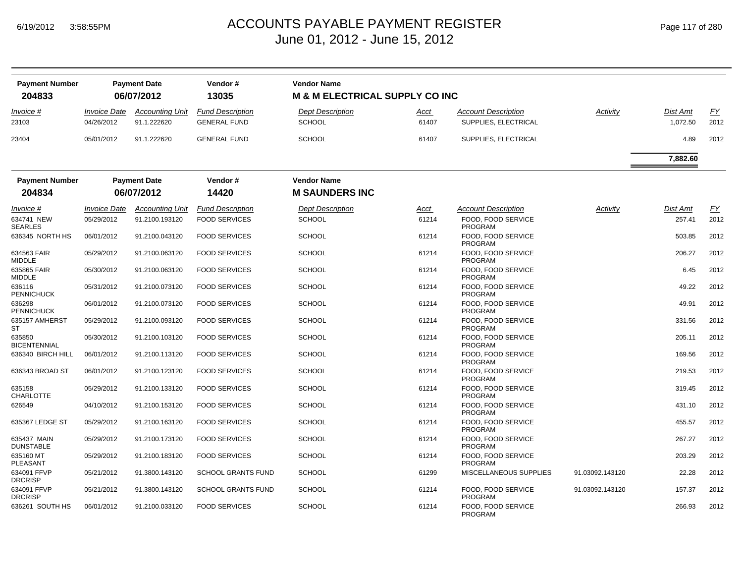| <b>Payment Number</b>    |                                   | <b>Payment Date</b>                   | Vendor #                                       | <b>Vendor Name</b>                        |               |                                             |                 |                      |            |
|--------------------------|-----------------------------------|---------------------------------------|------------------------------------------------|-------------------------------------------|---------------|---------------------------------------------|-----------------|----------------------|------------|
| 204833                   |                                   | 06/07/2012                            | 13035                                          | <b>M &amp; M ELECTRICAL SUPPLY CO INC</b> |               |                                             |                 |                      |            |
| Invoice #<br>23103       | <b>Invoice Date</b><br>04/26/2012 | <b>Accounting Unit</b><br>91.1.222620 | <b>Fund Description</b><br><b>GENERAL FUND</b> | <b>Dept Description</b><br><b>SCHOOL</b>  | Acct<br>61407 | Account Description<br>SUPPLIES, ELECTRICAL | Activity        | Dist Amt<br>1,072.50 | EY<br>2012 |
| 23404                    | 05/01/2012                        | 91.1.222620                           | <b>GENERAL FUND</b>                            | <b>SCHOOL</b>                             | 61407         | SUPPLIES, ELECTRICAL                        |                 | 4.89                 | 2012       |
|                          |                                   |                                       |                                                |                                           |               |                                             |                 | 7,882.60             |            |
| <b>Payment Number</b>    |                                   | <b>Payment Date</b>                   | Vendor#                                        | <b>Vendor Name</b>                        |               |                                             |                 |                      |            |
| 204834                   |                                   | 06/07/2012                            | 14420                                          | <b>M SAUNDERS INC</b>                     |               |                                             |                 |                      |            |
| <i>Invoice</i> #         | <i><b>Invoice Date</b></i>        | <b>Accounting Unit</b>                | <b>Fund Description</b>                        | <b>Dept Description</b>                   | <u>Acct</u>   | <b>Account Description</b>                  | Activity        | Dist Amt             | EY         |
| 634741 NEW<br>SEARLES    | 05/29/2012                        | 91.2100.193120                        | <b>FOOD SERVICES</b>                           | <b>SCHOOL</b>                             | 61214         | FOOD, FOOD SERVICE<br><b>PROGRAM</b>        |                 | 257.41               | 2012       |
| 636345 NORTH HS          | 06/01/2012                        | 91.2100.043120                        | <b>FOOD SERVICES</b>                           | <b>SCHOOL</b>                             | 61214         | FOOD, FOOD SERVICE<br><b>PROGRAM</b>        |                 | 503.85               | 2012       |
| 634563 FAIR<br>MIDDLE    | 05/29/2012                        | 91.2100.063120                        | <b>FOOD SERVICES</b>                           | <b>SCHOOL</b>                             | 61214         | FOOD, FOOD SERVICE<br><b>PROGRAM</b>        |                 | 206.27               | 2012       |
| 635865 FAIR<br>MIDDLE    | 05/30/2012                        | 91.2100.063120                        | <b>FOOD SERVICES</b>                           | <b>SCHOOL</b>                             | 61214         | FOOD, FOOD SERVICE<br>PROGRAM               |                 | 6.45                 | 2012       |
| 636116<br>PENNICHUCK     | 05/31/2012                        | 91.2100.073120                        | <b>FOOD SERVICES</b>                           | <b>SCHOOL</b>                             | 61214         | FOOD, FOOD SERVICE<br><b>PROGRAM</b>        |                 | 49.22                | 2012       |
| 636298<br>PENNICHUCK     | 06/01/2012                        | 91.2100.073120                        | <b>FOOD SERVICES</b>                           | <b>SCHOOL</b>                             | 61214         | FOOD, FOOD SERVICE<br><b>PROGRAM</b>        |                 | 49.91                | 2012       |
| 635157 AMHERST<br>ST     | 05/29/2012                        | 91.2100.093120                        | <b>FOOD SERVICES</b>                           | <b>SCHOOL</b>                             | 61214         | FOOD, FOOD SERVICE<br><b>PROGRAM</b>        |                 | 331.56               | 2012       |
| 635850<br>BICENTENNIAL   | 05/30/2012                        | 91.2100.103120                        | <b>FOOD SERVICES</b>                           | <b>SCHOOL</b>                             | 61214         | FOOD, FOOD SERVICE<br><b>PROGRAM</b>        |                 | 205.11               | 2012       |
| 636340 BIRCH HILL        | 06/01/2012                        | 91.2100.113120                        | <b>FOOD SERVICES</b>                           | <b>SCHOOL</b>                             | 61214         | FOOD, FOOD SERVICE<br><b>PROGRAM</b>        |                 | 169.56               | 2012       |
| 636343 BROAD ST          | 06/01/2012                        | 91.2100.123120                        | <b>FOOD SERVICES</b>                           | <b>SCHOOL</b>                             | 61214         | FOOD, FOOD SERVICE<br><b>PROGRAM</b>        |                 | 219.53               | 2012       |
| 635158<br>CHARLOTTE      | 05/29/2012                        | 91.2100.133120                        | <b>FOOD SERVICES</b>                           | <b>SCHOOL</b>                             | 61214         | FOOD. FOOD SERVICE<br>PROGRAM               |                 | 319.45               | 2012       |
| 626549                   | 04/10/2012                        | 91.2100.153120                        | <b>FOOD SERVICES</b>                           | <b>SCHOOL</b>                             | 61214         | FOOD, FOOD SERVICE<br><b>PROGRAM</b>        |                 | 431.10               | 2012       |
| 635367 LEDGE ST          | 05/29/2012                        | 91.2100.163120                        | <b>FOOD SERVICES</b>                           | <b>SCHOOL</b>                             | 61214         | FOOD, FOOD SERVICE<br><b>PROGRAM</b>        |                 | 455.57               | 2012       |
| 635437 MAIN<br>DUNSTABLE | 05/29/2012                        | 91.2100.173120                        | <b>FOOD SERVICES</b>                           | <b>SCHOOL</b>                             | 61214         | FOOD, FOOD SERVICE<br>PROGRAM               |                 | 267.27               | 2012       |
| 635160 MT<br>PLEASANT    | 05/29/2012                        | 91.2100.183120                        | <b>FOOD SERVICES</b>                           | <b>SCHOOL</b>                             | 61214         | FOOD, FOOD SERVICE<br><b>PROGRAM</b>        |                 | 203.29               | 2012       |
| 634091 FFVP<br>DRCRISP   | 05/21/2012                        | 91.3800.143120                        | <b>SCHOOL GRANTS FUND</b>                      | <b>SCHOOL</b>                             | 61299         | MISCELLANEOUS SUPPLIES                      | 91.03092.143120 | 22.28                | 2012       |
| 634091 FFVP<br>DRCRISP   | 05/21/2012                        | 91.3800.143120                        | <b>SCHOOL GRANTS FUND</b>                      | <b>SCHOOL</b>                             | 61214         | FOOD, FOOD SERVICE<br><b>PROGRAM</b>        | 91.03092.143120 | 157.37               | 2012       |
| 636261 SOUTH HS          | 06/01/2012                        | 91.2100.033120                        | <b>FOOD SERVICES</b>                           | <b>SCHOOL</b>                             | 61214         | FOOD, FOOD SERVICE<br><b>PROGRAM</b>        |                 | 266.93               | 2012       |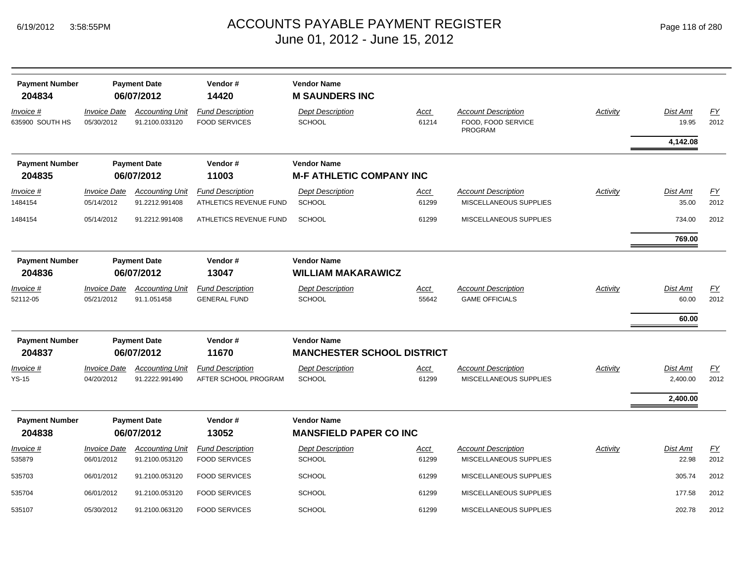| <b>Payment Number</b><br>204834 |                                   | <b>Payment Date</b><br>06/07/2012        | Vendor#<br>14420                                  | <b>Vendor Name</b><br><b>M SAUNDERS INC</b>         |                      |                                                             |          |                      |                   |
|---------------------------------|-----------------------------------|------------------------------------------|---------------------------------------------------|-----------------------------------------------------|----------------------|-------------------------------------------------------------|----------|----------------------|-------------------|
| Invoice #<br>635900 SOUTH HS    | <b>Invoice Date</b><br>05/30/2012 | <b>Accounting Unit</b><br>91.2100.033120 | <b>Fund Description</b><br><b>FOOD SERVICES</b>   | <b>Dept Description</b><br>SCHOOL                   | Acct<br>61214        | <b>Account Description</b><br>FOOD, FOOD SERVICE<br>PROGRAM | Activity | Dist Amt<br>19.95    | EY<br>2012        |
|                                 |                                   |                                          |                                                   |                                                     |                      |                                                             |          | 4,142.08             |                   |
| <b>Payment Number</b>           |                                   | <b>Payment Date</b>                      | Vendor#                                           | <b>Vendor Name</b>                                  |                      |                                                             |          |                      |                   |
| 204835                          |                                   | 06/07/2012                               | 11003                                             | <b>M-F ATHLETIC COMPANY INC</b>                     |                      |                                                             |          |                      |                   |
| Invoice #<br>1484154            | <b>Invoice Date</b><br>05/14/2012 | <b>Accounting Unit</b><br>91.2212.991408 | <b>Fund Description</b><br>ATHLETICS REVENUE FUND | <b>Dept Description</b><br><b>SCHOOL</b>            | Acct<br>61299        | <b>Account Description</b><br>MISCELLANEOUS SUPPLIES        | Activity | Dist Amt<br>35.00    | EY<br>2012        |
| 1484154                         | 05/14/2012                        | 91.2212.991408                           | ATHLETICS REVENUE FUND                            | <b>SCHOOL</b>                                       | 61299                | MISCELLANEOUS SUPPLIES                                      |          | 734.00               | 2012              |
|                                 |                                   |                                          |                                                   |                                                     |                      |                                                             |          | 769.00               |                   |
| <b>Payment Number</b><br>204836 |                                   | <b>Payment Date</b><br>06/07/2012        | Vendor#<br>13047                                  | <b>Vendor Name</b><br><b>WILLIAM MAKARAWICZ</b>     |                      |                                                             |          |                      |                   |
| Invoice #                       | <b>Invoice Date</b>               | <b>Accounting Unit</b>                   | <b>Fund Description</b>                           | <b>Dept Description</b>                             | <b>Acct</b>          | <b>Account Description</b>                                  | Activity | Dist Amt             | EY                |
| 52112-05                        | 05/21/2012                        | 91.1.051458                              | <b>GENERAL FUND</b>                               | <b>SCHOOL</b>                                       | 55642                | <b>GAME OFFICIALS</b>                                       |          | 60.00                | 2012              |
|                                 |                                   |                                          |                                                   |                                                     |                      |                                                             |          | 60.00                |                   |
| <b>Payment Number</b>           |                                   | <b>Payment Date</b>                      | Vendor#                                           | <b>Vendor Name</b>                                  |                      |                                                             |          |                      |                   |
| 204837                          |                                   | 06/07/2012                               | 11670                                             | <b>MANCHESTER SCHOOL DISTRICT</b>                   |                      |                                                             |          |                      |                   |
| <u>Invoice #</u><br>$YS-15$     | <b>Invoice Date</b><br>04/20/2012 | <b>Accounting Unit</b><br>91.2222.991490 | <b>Fund Description</b><br>AFTER SCHOOL PROGRAM   | <b>Dept Description</b><br>SCHOOL                   | <u>Acct</u><br>61299 | <b>Account Description</b><br>MISCELLANEOUS SUPPLIES        | Activity | Dist Amt<br>2,400.00 | EY<br>2012        |
|                                 |                                   |                                          |                                                   |                                                     |                      |                                                             |          | 2,400.00             |                   |
| <b>Payment Number</b><br>204838 |                                   | <b>Payment Date</b><br>06/07/2012        | Vendor#<br>13052                                  | <b>Vendor Name</b><br><b>MANSFIELD PAPER CO INC</b> |                      |                                                             |          |                      |                   |
| Invoice #<br>535879             | <b>Invoice Date</b><br>06/01/2012 | <b>Accounting Unit</b><br>91.2100.053120 | <b>Fund Description</b><br><b>FOOD SERVICES</b>   | <b>Dept Description</b><br><b>SCHOOL</b>            | Acct<br>61299        | <b>Account Description</b><br>MISCELLANEOUS SUPPLIES        | Activity | Dist Amt<br>22.98    | <u>FY</u><br>2012 |
| 535703                          | 06/01/2012                        | 91.2100.053120                           | <b>FOOD SERVICES</b>                              | <b>SCHOOL</b>                                       | 61299                | MISCELLANEOUS SUPPLIES                                      |          | 305.74               | 2012              |
| 535704                          | 06/01/2012                        | 91.2100.053120                           | <b>FOOD SERVICES</b>                              | <b>SCHOOL</b>                                       | 61299                | MISCELLANEOUS SUPPLIES                                      |          | 177.58               | 2012              |
| 535107                          | 05/30/2012                        | 91.2100.063120                           | <b>FOOD SERVICES</b>                              | <b>SCHOOL</b>                                       | 61299                | MISCELLANEOUS SUPPLIES                                      |          | 202.78               | 2012              |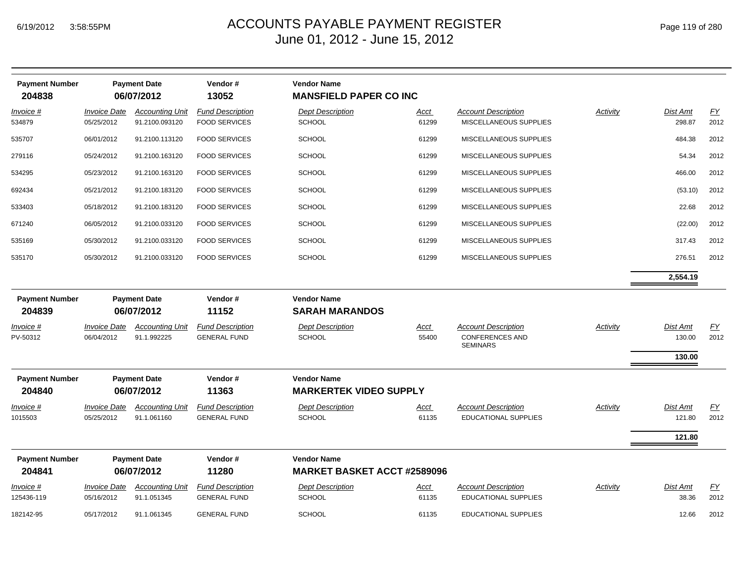| Page 119 of 280 |  |  |  |
|-----------------|--|--|--|
|-----------------|--|--|--|

| <b>Payment Number</b><br>204838 |                                   | <b>Payment Date</b><br>06/07/2012        | Vendor#<br>13052                                | <b>Vendor Name</b><br><b>MANSFIELD PAPER CO INC</b> |                      |                                                                         |          |                              |            |
|---------------------------------|-----------------------------------|------------------------------------------|-------------------------------------------------|-----------------------------------------------------|----------------------|-------------------------------------------------------------------------|----------|------------------------------|------------|
| Invoice #<br>534879             | <b>Invoice Date</b><br>05/25/2012 | <b>Accounting Unit</b><br>91.2100.093120 | <b>Fund Description</b><br><b>FOOD SERVICES</b> | <b>Dept Description</b><br><b>SCHOOL</b>            | <u>Acct</u><br>61299 | <b>Account Description</b><br>MISCELLANEOUS SUPPLIES                    | Activity | Dist Amt<br>298.87           | EY<br>2012 |
| 535707                          | 06/01/2012                        | 91.2100.113120                           | <b>FOOD SERVICES</b>                            | <b>SCHOOL</b>                                       | 61299                | MISCELLANEOUS SUPPLIES                                                  |          | 484.38                       | 2012       |
| 279116                          | 05/24/2012                        | 91.2100.163120                           | <b>FOOD SERVICES</b>                            | <b>SCHOOL</b>                                       | 61299                | MISCELLANEOUS SUPPLIES                                                  |          | 54.34                        | 2012       |
| 534295                          | 05/23/2012                        | 91.2100.163120                           | <b>FOOD SERVICES</b>                            | <b>SCHOOL</b>                                       | 61299                | MISCELLANEOUS SUPPLIES                                                  |          | 466.00                       | 2012       |
| 692434                          | 05/21/2012                        | 91.2100.183120                           | <b>FOOD SERVICES</b>                            | <b>SCHOOL</b>                                       | 61299                | MISCELLANEOUS SUPPLIES                                                  |          | (53.10)                      | 2012       |
| 533403                          | 05/18/2012                        | 91.2100.183120                           | <b>FOOD SERVICES</b>                            | <b>SCHOOL</b>                                       | 61299                | MISCELLANEOUS SUPPLIES                                                  |          | 22.68                        | 2012       |
| 671240                          | 06/05/2012                        | 91.2100.033120                           | <b>FOOD SERVICES</b>                            | <b>SCHOOL</b>                                       | 61299                | MISCELLANEOUS SUPPLIES                                                  |          | (22.00)                      | 2012       |
| 535169                          | 05/30/2012                        | 91.2100.033120                           | <b>FOOD SERVICES</b>                            | <b>SCHOOL</b>                                       | 61299                | MISCELLANEOUS SUPPLIES                                                  |          | 317.43                       | 2012       |
| 535170                          | 05/30/2012                        | 91.2100.033120                           | <b>FOOD SERVICES</b>                            | <b>SCHOOL</b>                                       | 61299                | MISCELLANEOUS SUPPLIES                                                  |          | 276.51                       | 2012       |
|                                 |                                   |                                          |                                                 |                                                     |                      |                                                                         |          | 2,554.19                     |            |
| <b>Payment Number</b><br>204839 | <b>Payment Date</b><br>06/07/2012 |                                          | Vendor#<br>11152                                | <b>Vendor Name</b><br><b>SARAH MARANDOS</b>         |                      |                                                                         |          |                              |            |
| Invoice #<br>PV-50312           | Invoice Date<br>06/04/2012        | <b>Accounting Unit</b><br>91.1.992225    | <b>Fund Description</b><br><b>GENERAL FUND</b>  | <b>Dept Description</b><br><b>SCHOOL</b>            | <u>Acct</u><br>55400 | <b>Account Description</b><br><b>CONFERENCES AND</b><br><b>SEMINARS</b> | Activity | Dist Amt<br>130.00<br>130.00 | EY<br>2012 |
| <b>Payment Number</b><br>204840 |                                   | <b>Payment Date</b><br>06/07/2012        | Vendor#<br>11363                                | <b>Vendor Name</b><br><b>MARKERTEK VIDEO SUPPLY</b> |                      |                                                                         |          |                              |            |
| Invoice #                       | <b>Invoice Date</b>               | <b>Accounting Unit</b>                   | <b>Fund Description</b>                         | <b>Dept Description</b>                             | Acct                 | <b>Account Description</b>                                              | Activity | Dist Amt                     | FY         |
| 1015503                         | 05/25/2012                        | 91.1.061160                              | <b>GENERAL FUND</b>                             | <b>SCHOOL</b>                                       | 61135                | <b>EDUCATIONAL SUPPLIES</b>                                             |          | 121.80                       | 2012       |
|                                 |                                   |                                          |                                                 |                                                     |                      |                                                                         |          | 121.80                       |            |
| <b>Payment Number</b>           |                                   | <b>Payment Date</b>                      | Vendor#                                         | <b>Vendor Name</b>                                  |                      |                                                                         |          |                              |            |
| 204841                          |                                   | 06/07/2012                               | 11280                                           | <b>MARKET BASKET ACCT #2589096</b>                  |                      |                                                                         |          |                              |            |
| Invoice #<br>125436-119         | <b>Invoice Date</b><br>05/16/2012 | <b>Accounting Unit</b><br>91.1.051345    | <b>Fund Description</b><br><b>GENERAL FUND</b>  | <b>Dept Description</b><br><b>SCHOOL</b>            | <u>Acct</u><br>61135 | <b>Account Description</b><br><b>EDUCATIONAL SUPPLIES</b>               | Activity | Dist Amt<br>38.36            | EY<br>2012 |
| 182142-95                       | 05/17/2012                        | 91.1.061345                              | <b>GENERAL FUND</b>                             | <b>SCHOOL</b>                                       | 61135                | <b>EDUCATIONAL SUPPLIES</b>                                             |          | 12.66                        | 2012       |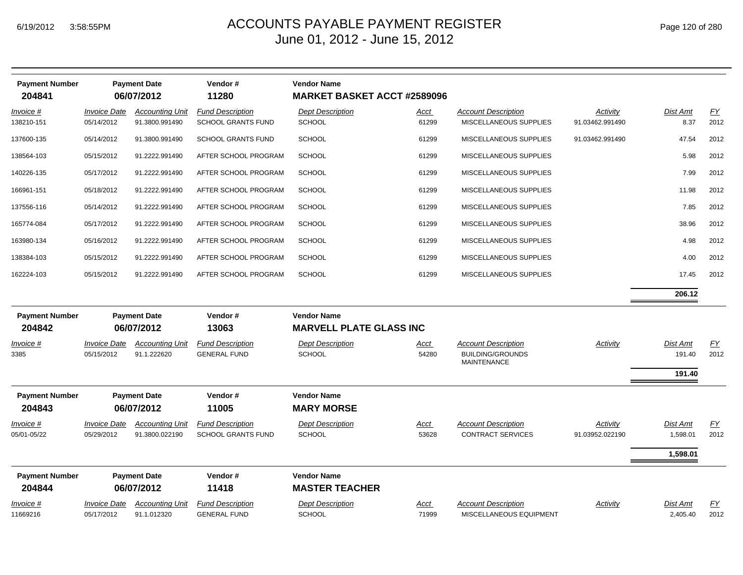| <b>Payment Number</b><br>204841 |                                          | <b>Payment Date</b><br>06/07/2012        | Vendor#<br>11280                                     | <b>Vendor Name</b><br><b>MARKET BASKET ACCT #2589096</b> |                      |                                                                             |                             |                              |                          |
|---------------------------------|------------------------------------------|------------------------------------------|------------------------------------------------------|----------------------------------------------------------|----------------------|-----------------------------------------------------------------------------|-----------------------------|------------------------------|--------------------------|
| Invoice #<br>138210-151         | <b>Invoice Date</b><br>05/14/2012        | <b>Accounting Unit</b><br>91.3800.991490 | <b>Fund Description</b><br><b>SCHOOL GRANTS FUND</b> | <b>Dept Description</b><br><b>SCHOOL</b>                 | Acct<br>61299        | <b>Account Description</b><br>MISCELLANEOUS SUPPLIES                        | Activity<br>91.03462.991490 | <b>Dist Amt</b><br>8.37      | EY<br>2012               |
| 137600-135                      | 05/14/2012                               | 91.3800.991490                           | <b>SCHOOL GRANTS FUND</b>                            | <b>SCHOOL</b>                                            | 61299                | MISCELLANEOUS SUPPLIES                                                      | 91.03462.991490             | 47.54                        | 2012                     |
| 138564-103                      | 05/15/2012                               | 91.2222.991490                           | AFTER SCHOOL PROGRAM                                 | <b>SCHOOL</b>                                            | 61299                | MISCELLANEOUS SUPPLIES                                                      |                             | 5.98                         | 2012                     |
| 140226-135                      | 05/17/2012                               | 91.2222.991490                           | AFTER SCHOOL PROGRAM                                 | <b>SCHOOL</b>                                            | 61299                | MISCELLANEOUS SUPPLIES                                                      |                             | 7.99                         | 2012                     |
| 166961-151                      | 05/18/2012                               | 91.2222.991490                           | AFTER SCHOOL PROGRAM                                 | <b>SCHOOL</b>                                            | 61299                | MISCELLANEOUS SUPPLIES                                                      |                             | 11.98                        | 2012                     |
| 137556-116                      | 05/14/2012                               | 91.2222.991490                           | AFTER SCHOOL PROGRAM                                 | <b>SCHOOL</b>                                            | 61299                | MISCELLANEOUS SUPPLIES                                                      |                             | 7.85                         | 2012                     |
| 165774-084                      | 05/17/2012                               | 91.2222.991490                           | AFTER SCHOOL PROGRAM                                 | <b>SCHOOL</b>                                            | 61299                | MISCELLANEOUS SUPPLIES                                                      |                             | 38.96                        | 2012                     |
| 163980-134                      | 05/16/2012                               | 91.2222.991490                           | AFTER SCHOOL PROGRAM                                 | <b>SCHOOL</b>                                            | 61299                | MISCELLANEOUS SUPPLIES                                                      |                             | 4.98                         | 2012                     |
| 138384-103                      | 05/15/2012                               | 91.2222.991490                           | AFTER SCHOOL PROGRAM                                 | <b>SCHOOL</b>                                            | 61299                | MISCELLANEOUS SUPPLIES                                                      |                             | 4.00                         | 2012                     |
| 162224-103                      | 05/15/2012                               | 91.2222.991490                           | AFTER SCHOOL PROGRAM                                 | <b>SCHOOL</b>                                            | 61299                | MISCELLANEOUS SUPPLIES                                                      |                             | 17.45                        | 2012                     |
|                                 |                                          |                                          |                                                      |                                                          |                      |                                                                             |                             | 206.12                       |                          |
| <b>Payment Number</b>           |                                          | <b>Payment Date</b>                      | Vendor#                                              | <b>Vendor Name</b>                                       |                      |                                                                             |                             |                              |                          |
| 204842                          |                                          | 06/07/2012                               | 13063                                                | <b>MARVELL PLATE GLASS INC</b>                           |                      |                                                                             |                             |                              |                          |
| <u>Invoice #</u><br>3385        | <b>Invoice Date</b><br>05/15/2012        | <b>Accounting Unit</b><br>91.1.222620    | <b>Fund Description</b><br><b>GENERAL FUND</b>       | <b>Dept Description</b><br><b>SCHOOL</b>                 | <u>Acct</u><br>54280 | <b>Account Description</b><br><b>BUILDING/GROUNDS</b><br><b>MAINTENANCE</b> | <b>Activity</b>             | Dist Amt<br>191.40<br>191.40 | $\underline{FY}$<br>2012 |
| <b>Payment Number</b><br>204843 |                                          | <b>Payment Date</b><br>06/07/2012        | Vendor#<br>11005                                     | <b>Vendor Name</b><br><b>MARY MORSE</b>                  |                      |                                                                             |                             |                              |                          |
| Invoice #                       | <b>Invoice Date</b>                      | <b>Accounting Unit</b>                   | <b>Fund Description</b>                              | <b>Dept Description</b>                                  | <u>Acct</u>          | <b>Account Description</b>                                                  | Activity                    | <b>Dist Amt</b>              | EY                       |
| 05/01-05/22                     | 05/29/2012                               | 91.3800.022190                           | <b>SCHOOL GRANTS FUND</b>                            | SCHOOL                                                   | 53628                | <b>CONTRACT SERVICES</b>                                                    | 91.03952.022190             | 1,598.01                     | 2012                     |
|                                 |                                          |                                          |                                                      |                                                          |                      |                                                                             |                             | 1,598.01                     |                          |
| <b>Payment Number</b>           |                                          | <b>Payment Date</b>                      | Vendor#                                              | <b>Vendor Name</b>                                       |                      |                                                                             |                             |                              |                          |
| 204844                          |                                          | 06/07/2012                               | 11418                                                | <b>MASTER TEACHER</b>                                    |                      |                                                                             |                             |                              |                          |
| Invoice #<br>11669216           | <i><b>Invoice Date</b></i><br>05/17/2012 | <b>Accounting Unit</b><br>91.1.012320    | <b>Fund Description</b><br><b>GENERAL FUND</b>       | <b>Dept Description</b><br><b>SCHOOL</b>                 | Acct<br>71999        | <b>Account Description</b><br>MISCELLANEOUS EQUIPMENT                       | Activity                    | <b>Dist Amt</b><br>2,405.40  | <u>FY</u><br>2012        |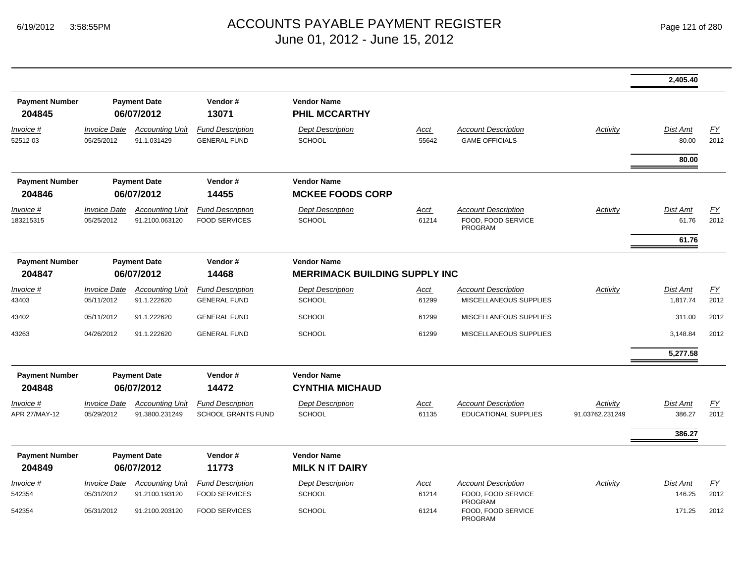|                                 |                                                       |                                          |                                                 |                                                            |                      |                                                                    |                 | 2,405.40          |            |
|---------------------------------|-------------------------------------------------------|------------------------------------------|-------------------------------------------------|------------------------------------------------------------|----------------------|--------------------------------------------------------------------|-----------------|-------------------|------------|
| <b>Payment Number</b><br>204845 |                                                       | <b>Payment Date</b><br>06/07/2012        | Vendor#<br>13071                                | <b>Vendor Name</b><br><b>PHIL MCCARTHY</b>                 |                      |                                                                    |                 |                   |            |
| Invoice #<br>52512-03           | <b>Invoice Date</b><br>05/25/2012                     | <b>Accounting Unit</b><br>91.1.031429    | <b>Fund Description</b><br><b>GENERAL FUND</b>  | <b>Dept Description</b><br><b>SCHOOL</b>                   | Acct<br>55642        | <b>Account Description</b><br><b>GAME OFFICIALS</b>                | Activity        | Dist Amt<br>80.00 | EY<br>2012 |
|                                 |                                                       |                                          |                                                 |                                                            |                      |                                                                    |                 | 80.00             |            |
| <b>Payment Number</b><br>204846 |                                                       | <b>Payment Date</b><br>06/07/2012        | Vendor#<br>14455                                | <b>Vendor Name</b><br><b>MCKEE FOODS CORP</b>              |                      |                                                                    |                 |                   |            |
| Invoice #<br>183215315          | <b>Invoice Date</b><br>05/25/2012                     | <b>Accounting Unit</b><br>91.2100.063120 | <b>Fund Description</b><br><b>FOOD SERVICES</b> | <b>Dept Description</b><br>SCHOOL                          | <u>Acct</u><br>61214 | <b>Account Description</b><br>FOOD, FOOD SERVICE<br><b>PROGRAM</b> | Activity        | Dist Amt<br>61.76 | EY<br>2012 |
|                                 |                                                       |                                          |                                                 |                                                            |                      |                                                                    |                 | 61.76             |            |
| <b>Payment Number</b><br>204847 | Vendor#<br><b>Payment Date</b><br>06/07/2012<br>14468 |                                          |                                                 | <b>Vendor Name</b><br><b>MERRIMACK BUILDING SUPPLY INC</b> |                      |                                                                    |                 |                   |            |
| Invoice #                       | <b>Invoice Date</b>                                   | <b>Accounting Unit</b>                   | <b>Fund Description</b>                         | <b>Dept Description</b>                                    | Acct                 | <b>Account Description</b>                                         | Activity        | Dist Amt          | EY         |
| 43403                           | 05/11/2012                                            | 91.1.222620                              | <b>GENERAL FUND</b>                             | <b>SCHOOL</b>                                              | 61299                | MISCELLANEOUS SUPPLIES                                             |                 | 1,817.74          | 2012       |
| 43402                           | 05/11/2012                                            | 91.1.222620                              | <b>GENERAL FUND</b>                             | <b>SCHOOL</b>                                              | 61299                | MISCELLANEOUS SUPPLIES                                             |                 | 311.00            | 2012       |
| 43263                           | 04/26/2012                                            | 91.1.222620                              | <b>GENERAL FUND</b>                             | <b>SCHOOL</b>                                              | 61299                | MISCELLANEOUS SUPPLIES                                             |                 | 3,148.84          | 2012       |
|                                 |                                                       |                                          |                                                 |                                                            |                      |                                                                    |                 | 5,277.58          |            |
| <b>Payment Number</b><br>204848 |                                                       | <b>Payment Date</b><br>06/07/2012        | Vendor#<br>14472                                | <b>Vendor Name</b><br><b>CYNTHIA MICHAUD</b>               |                      |                                                                    |                 |                   |            |
| Invoice #                       | <b>Invoice Date</b>                                   | <b>Accounting Unit</b>                   | <b>Fund Description</b>                         | <b>Dept Description</b>                                    | <u>Acct</u>          | <b>Account Description</b>                                         | Activity        | <b>Dist Amt</b>   | EY         |
| APR 27/MAY-12                   | 05/29/2012                                            | 91.3800.231249                           | <b>SCHOOL GRANTS FUND</b>                       | <b>SCHOOL</b>                                              | 61135                | <b>EDUCATIONAL SUPPLIES</b>                                        | 91.03762.231249 | 386.27            | 2012       |
|                                 |                                                       |                                          |                                                 |                                                            |                      |                                                                    |                 | 386.27            |            |
| <b>Payment Number</b><br>204849 |                                                       | <b>Payment Date</b><br>06/07/2012        | Vendor#<br>11773                                | <b>Vendor Name</b><br><b>MILK N IT DAIRY</b>               |                      |                                                                    |                 |                   |            |
| Invoice #                       | <b>Invoice Date</b>                                   | <b>Accounting Unit</b>                   | <b>Fund Description</b>                         | <b>Dept Description</b>                                    | <u>Acct</u>          | <b>Account Description</b>                                         | Activity        | <b>Dist Amt</b>   | EY         |
| 542354                          | 05/31/2012                                            | 91.2100.193120                           | <b>FOOD SERVICES</b>                            | <b>SCHOOL</b>                                              | 61214                | FOOD, FOOD SERVICE<br>PROGRAM                                      |                 | 146.25            | 2012       |
| 542354                          | 05/31/2012                                            | 91.2100.203120                           | <b>FOOD SERVICES</b>                            | <b>SCHOOL</b>                                              | 61214                | FOOD. FOOD SERVICE<br><b>PROGRAM</b>                               |                 | 171.25            | 2012       |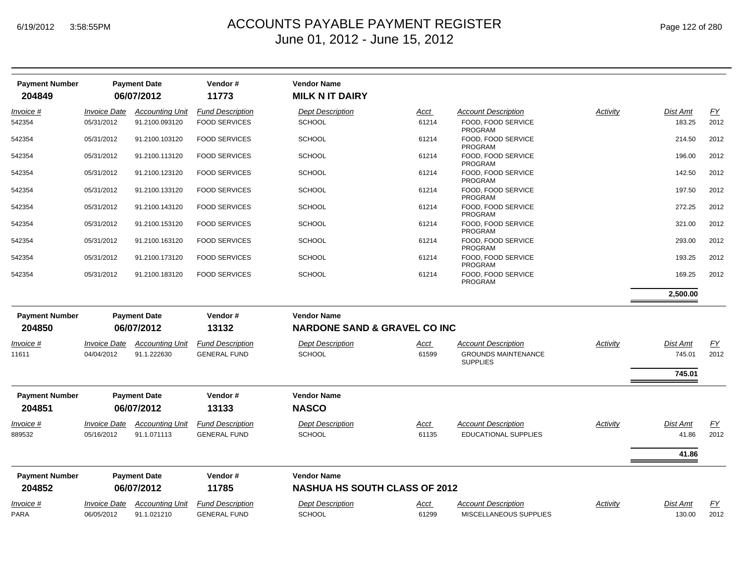| <b>Payment Number</b><br>204849 |                            | <b>Payment Date</b><br>06/07/2012 | Vendor#<br>11773        | <b>Vendor Name</b><br><b>MILK N IT DAIRY</b> |             |                                               |          |                 |           |
|---------------------------------|----------------------------|-----------------------------------|-------------------------|----------------------------------------------|-------------|-----------------------------------------------|----------|-----------------|-----------|
| Invoice #                       | <b>Invoice Date</b>        | <b>Accounting Unit</b>            | <b>Fund Description</b> | <b>Dept Description</b>                      | <u>Acct</u> | <b>Account Description</b>                    | Activity | Dist Amt        | EY        |
| 542354                          | 05/31/2012                 | 91.2100.093120                    | <b>FOOD SERVICES</b>    | <b>SCHOOL</b>                                | 61214       | FOOD, FOOD SERVICE<br><b>PROGRAM</b>          |          | 183.25          | 2012      |
| 542354                          | 05/31/2012                 | 91.2100.103120                    | <b>FOOD SERVICES</b>    | <b>SCHOOL</b>                                | 61214       | FOOD, FOOD SERVICE<br><b>PROGRAM</b>          |          | 214.50          | 2012      |
| 542354                          | 05/31/2012                 | 91.2100.113120                    | <b>FOOD SERVICES</b>    | <b>SCHOOL</b>                                | 61214       | FOOD, FOOD SERVICE<br>PROGRAM                 |          | 196.00          | 2012      |
| 542354                          | 05/31/2012                 | 91.2100.123120                    | <b>FOOD SERVICES</b>    | <b>SCHOOL</b>                                | 61214       | FOOD, FOOD SERVICE<br><b>PROGRAM</b>          |          | 142.50          | 2012      |
| 542354                          | 05/31/2012                 | 91.2100.133120                    | <b>FOOD SERVICES</b>    | <b>SCHOOL</b>                                | 61214       | FOOD. FOOD SERVICE<br>PROGRAM                 |          | 197.50          | 2012      |
| 542354                          | 05/31/2012                 | 91.2100.143120                    | <b>FOOD SERVICES</b>    | <b>SCHOOL</b>                                | 61214       | FOOD, FOOD SERVICE<br><b>PROGRAM</b>          |          | 272.25          | 2012      |
| 542354                          | 05/31/2012                 | 91.2100.153120                    | <b>FOOD SERVICES</b>    | <b>SCHOOL</b>                                | 61214       | FOOD. FOOD SERVICE<br><b>PROGRAM</b>          |          | 321.00          | 2012      |
| 542354                          | 05/31/2012                 | 91.2100.163120                    | <b>FOOD SERVICES</b>    | <b>SCHOOL</b>                                | 61214       | FOOD, FOOD SERVICE<br><b>PROGRAM</b>          |          | 293.00          | 2012      |
| 542354                          | 05/31/2012                 | 91.2100.173120                    | <b>FOOD SERVICES</b>    | <b>SCHOOL</b>                                | 61214       | FOOD, FOOD SERVICE<br><b>PROGRAM</b>          |          | 193.25          | 2012      |
| 542354                          | 05/31/2012                 | 91.2100.183120                    | <b>FOOD SERVICES</b>    | <b>SCHOOL</b>                                | 61214       | FOOD. FOOD SERVICE<br><b>PROGRAM</b>          |          | 169.25          | 2012      |
|                                 |                            |                                   |                         |                                              |             |                                               |          | 2.500.00        |           |
| <b>Payment Number</b>           |                            | <b>Payment Date</b>               | Vendor#                 | <b>Vendor Name</b>                           |             |                                               |          |                 |           |
| 204850                          |                            | 06/07/2012                        | 13132                   | <b>NARDONE SAND &amp; GRAVEL CO INC</b>      |             |                                               |          |                 |           |
| Invoice #                       | <b>Invoice Date</b>        | <b>Accounting Unit</b>            | <b>Fund Description</b> | <b>Dept Description</b>                      | <u>Acct</u> | <b>Account Description</b>                    | Activity | Dist Amt        | <u>FY</u> |
| 11611                           | 04/04/2012                 | 91.1.222630                       | <b>GENERAL FUND</b>     | <b>SCHOOL</b>                                | 61599       | <b>GROUNDS MAINTENANCE</b><br><b>SUPPLIES</b> |          | 745.01          | 2012      |
|                                 |                            |                                   |                         |                                              |             |                                               |          | 745.01          |           |
| <b>Payment Number</b>           |                            | <b>Payment Date</b>               | Vendor#                 | <b>Vendor Name</b>                           |             |                                               |          |                 |           |
| 204851                          |                            | 06/07/2012                        | 13133                   | <b>NASCO</b>                                 |             |                                               |          |                 |           |
| Invoice #                       | <i><b>Invoice Date</b></i> | <b>Accounting Unit</b>            | <b>Fund Description</b> | <b>Dept Description</b>                      | Acct        | <b>Account Description</b>                    | Activity | Dist Amt        | EY        |
| 889532                          | 05/16/2012                 | 91.1.071113                       | <b>GENERAL FUND</b>     | <b>SCHOOL</b>                                | 61135       | <b>EDUCATIONAL SUPPLIES</b>                   |          | 41.86           | 2012      |
|                                 |                            |                                   |                         |                                              |             |                                               |          | 41.86           |           |
| <b>Payment Number</b>           |                            | <b>Payment Date</b>               | Vendor#                 | <b>Vendor Name</b>                           |             |                                               |          |                 |           |
| 204852                          |                            | 06/07/2012                        | 11785                   | <b>NASHUA HS SOUTH CLASS OF 2012</b>         |             |                                               |          |                 |           |
| Invoice #                       | Invoice Date               | <b>Accounting Unit</b>            | <b>Fund Description</b> | <b>Dept Description</b>                      | <u>Acct</u> | <b>Account Description</b>                    | Activity | <b>Dist Amt</b> | <u>FY</u> |
| PARA                            | 06/05/2012                 | 91.1.021210                       | <b>GENERAL FUND</b>     | <b>SCHOOL</b>                                | 61299       | MISCELLANEOUS SUPPLIES                        |          | 130.00          | 2012      |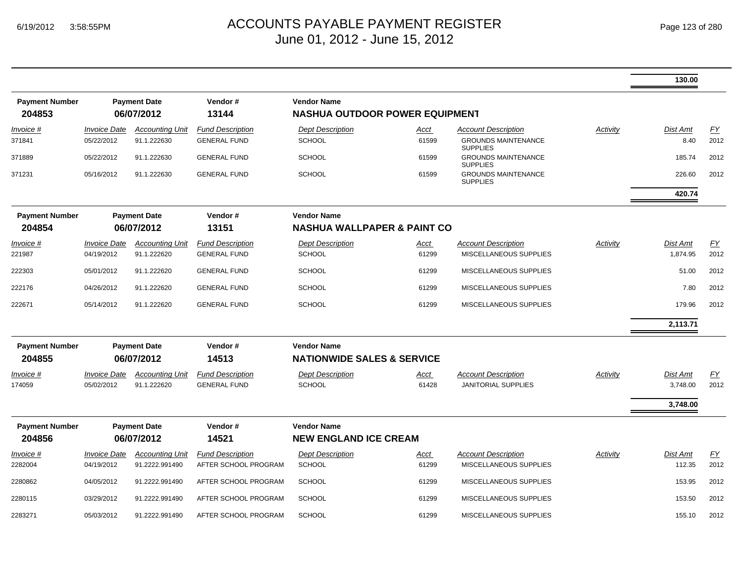|                                 |                                   |                                          |                                                 |                                                             |                                        |                                                                  |          | 130.00               |                   |
|---------------------------------|-----------------------------------|------------------------------------------|-------------------------------------------------|-------------------------------------------------------------|----------------------------------------|------------------------------------------------------------------|----------|----------------------|-------------------|
| <b>Payment Number</b><br>204853 |                                   | <b>Payment Date</b><br>06/07/2012        | Vendor#<br>13144                                | <b>Vendor Name</b><br><b>NASHUA OUTDOOR POWER EQUIPMENT</b> |                                        |                                                                  |          |                      |                   |
| Invoice #<br>371841             | <b>Invoice Date</b><br>05/22/2012 | <b>Accounting Unit</b><br>91.1.222630    | <b>Fund Description</b><br><b>GENERAL FUND</b>  | <b>Dept Description</b><br><b>SCHOOL</b>                    | Acct<br>61599                          | <b>Account Description</b><br><b>GROUNDS MAINTENANCE</b>         | Activity | Dist Amt<br>8.40     | EY<br>2012        |
| 371889                          | 05/22/2012                        | 91.1.222630                              | <b>GENERAL FUND</b>                             | <b>SCHOOL</b>                                               | 61599                                  | <b>SUPPLIES</b><br><b>GROUNDS MAINTENANCE</b><br><b>SUPPLIES</b> |          | 185.74               | 2012              |
| 371231                          | 05/16/2012                        | 91.1.222630                              | <b>GENERAL FUND</b>                             | <b>SCHOOL</b>                                               | 61599                                  | <b>GROUNDS MAINTENANCE</b><br><b>SUPPLIES</b>                    |          | 226.60               | 2012              |
|                                 |                                   |                                          |                                                 |                                                             |                                        |                                                                  |          | 420.74               |                   |
| <b>Payment Number</b><br>204854 |                                   | <b>Payment Date</b><br>06/07/2012        | Vendor#<br>13151                                | <b>Vendor Name</b>                                          | <b>NASHUA WALLPAPER &amp; PAINT CO</b> |                                                                  |          |                      |                   |
| Invoice #<br>221987             | <b>Invoice Date</b><br>04/19/2012 | <b>Accounting Unit</b><br>91.1.222620    | <b>Fund Description</b><br><b>GENERAL FUND</b>  | <b>Dept Description</b><br><b>SCHOOL</b>                    | Acct<br>61299                          | <b>Account Description</b><br>MISCELLANEOUS SUPPLIES             | Activity | Dist Amt<br>1,874.95 | <u>FY</u><br>2012 |
| 222303                          | 05/01/2012                        | 91.1.222620                              | <b>GENERAL FUND</b>                             | <b>SCHOOL</b>                                               | 61299                                  | MISCELLANEOUS SUPPLIES                                           |          | 51.00                | 2012              |
| 222176                          | 04/26/2012                        | 91.1.222620                              | <b>GENERAL FUND</b>                             | <b>SCHOOL</b>                                               | 61299                                  | MISCELLANEOUS SUPPLIES                                           |          | 7.80                 | 2012              |
| 222671                          | 05/14/2012                        | 91.1.222620                              | <b>GENERAL FUND</b>                             | <b>SCHOOL</b>                                               | 61299                                  | MISCELLANEOUS SUPPLIES                                           |          | 179.96               | 2012              |
|                                 |                                   |                                          |                                                 |                                                             |                                        |                                                                  |          | 2,113.71             |                   |
| <b>Payment Number</b><br>204855 |                                   | <b>Payment Date</b><br>06/07/2012        | Vendor#<br>14513                                | <b>Vendor Name</b><br><b>NATIONWIDE SALES &amp; SERVICE</b> |                                        |                                                                  |          |                      |                   |
| Invoice #<br>174059             | <b>Invoice Date</b><br>05/02/2012 | <b>Accounting Unit</b><br>91.1.222620    | <b>Fund Description</b><br><b>GENERAL FUND</b>  | <b>Dept Description</b><br><b>SCHOOL</b>                    | Acct<br>61428                          | <b>Account Description</b><br><b>JANITORIAL SUPPLIES</b>         | Activity | Dist Amt<br>3,748.00 | <u>FY</u><br>2012 |
|                                 |                                   |                                          |                                                 |                                                             |                                        |                                                                  |          | 3,748.00             |                   |
| <b>Payment Number</b><br>204856 |                                   | <b>Payment Date</b><br>06/07/2012        | Vendor#<br>14521                                | <b>Vendor Name</b><br><b>NEW ENGLAND ICE CREAM</b>          |                                        |                                                                  |          |                      |                   |
| <u>Invoice #</u><br>2282004     | <b>Invoice Date</b><br>04/19/2012 | <b>Accounting Unit</b><br>91.2222.991490 | <b>Fund Description</b><br>AFTER SCHOOL PROGRAM | <b>Dept Description</b><br>SCHOOL                           | <u>Acct</u><br>61299                   | <b>Account Description</b><br>MISCELLANEOUS SUPPLIES             | Activity | Dist Amt<br>112.35   | EY<br>2012        |
| 2280862                         | 04/05/2012                        | 91.2222.991490                           | AFTER SCHOOL PROGRAM                            | <b>SCHOOL</b>                                               | 61299                                  | MISCELLANEOUS SUPPLIES                                           |          | 153.95               | 2012              |
| 2280115                         | 03/29/2012                        | 91.2222.991490                           | AFTER SCHOOL PROGRAM                            | <b>SCHOOL</b>                                               | 61299                                  | MISCELLANEOUS SUPPLIES                                           |          | 153.50               | 2012              |
| 2283271                         | 05/03/2012                        | 91.2222.991490                           | AFTER SCHOOL PROGRAM                            | <b>SCHOOL</b>                                               | 61299                                  | <b>MISCELLANEOUS SUPPLIES</b>                                    |          | 155.10               | 2012              |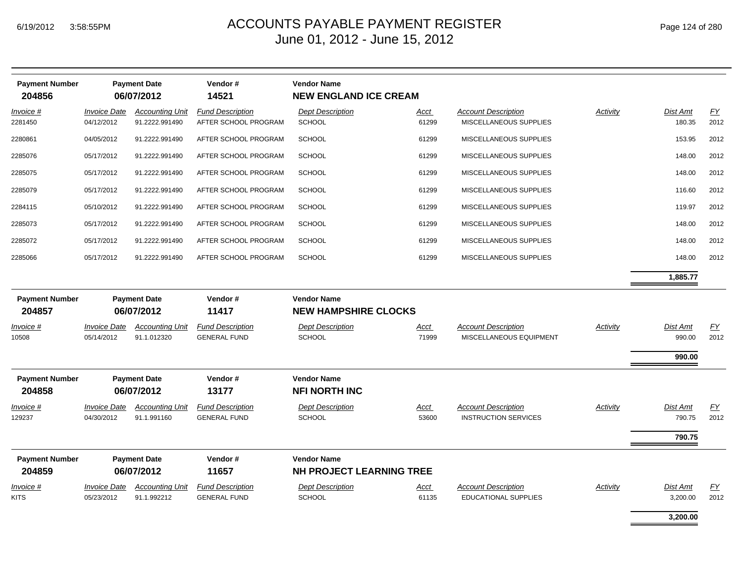| <b>Payment Number</b><br>204856 | <b>Payment Date</b><br>06/07/2012 |                                          | Vendor#<br>14521                                | <b>Vendor Name</b><br><b>NEW ENGLAND ICE CREAM</b> |                      |                                                           |          |                      |                          |  |
|---------------------------------|-----------------------------------|------------------------------------------|-------------------------------------------------|----------------------------------------------------|----------------------|-----------------------------------------------------------|----------|----------------------|--------------------------|--|
| Invoice #<br>2281450            | <b>Invoice Date</b><br>04/12/2012 | <b>Accounting Unit</b><br>91.2222.991490 | <b>Fund Description</b><br>AFTER SCHOOL PROGRAM | <b>Dept Description</b><br><b>SCHOOL</b>           | Acct<br>61299        | <b>Account Description</b><br>MISCELLANEOUS SUPPLIES      | Activity | Dist Amt<br>180.35   | EY<br>2012               |  |
| 2280861                         | 04/05/2012                        | 91.2222.991490                           | AFTER SCHOOL PROGRAM                            | <b>SCHOOL</b>                                      | 61299                | MISCELLANEOUS SUPPLIES                                    |          | 153.95               | 2012                     |  |
| 2285076                         | 05/17/2012                        | 91.2222.991490                           | AFTER SCHOOL PROGRAM                            | <b>SCHOOL</b>                                      | 61299                | MISCELLANEOUS SUPPLIES                                    |          | 148.00               | 2012                     |  |
| 2285075                         | 05/17/2012                        | 91.2222.991490                           | AFTER SCHOOL PROGRAM                            | <b>SCHOOL</b>                                      | 61299                | MISCELLANEOUS SUPPLIES                                    |          | 148.00               | 2012                     |  |
| 2285079                         | 05/17/2012                        | 91.2222.991490                           | AFTER SCHOOL PROGRAM                            | <b>SCHOOL</b>                                      | 61299                | MISCELLANEOUS SUPPLIES                                    |          | 116.60               | 2012                     |  |
| 2284115                         | 05/10/2012                        | 91.2222.991490                           | AFTER SCHOOL PROGRAM                            | <b>SCHOOL</b>                                      | 61299                | MISCELLANEOUS SUPPLIES                                    |          | 119.97               | 2012                     |  |
| 2285073                         | 05/17/2012                        | 91.2222.991490                           | AFTER SCHOOL PROGRAM                            | <b>SCHOOL</b>                                      | 61299                | MISCELLANEOUS SUPPLIES                                    |          | 148.00               | 2012                     |  |
| 2285072                         | 05/17/2012                        | 91.2222.991490                           | AFTER SCHOOL PROGRAM                            | <b>SCHOOL</b>                                      | 61299                | MISCELLANEOUS SUPPLIES                                    |          | 148.00               | 2012                     |  |
| 2285066                         | 05/17/2012                        | 91.2222.991490                           | AFTER SCHOOL PROGRAM                            | <b>SCHOOL</b>                                      | 61299                | MISCELLANEOUS SUPPLIES                                    |          | 148.00               | 2012                     |  |
|                                 |                                   |                                          |                                                 |                                                    |                      |                                                           |          | 1,885.77             |                          |  |
| <b>Payment Number</b><br>204857 | <b>Payment Date</b><br>06/07/2012 |                                          | Vendor#<br>11417                                | <b>Vendor Name</b><br><b>NEW HAMPSHIRE CLOCKS</b>  |                      |                                                           |          |                      |                          |  |
| Invoice #<br>10508              | <b>Invoice Date</b><br>05/14/2012 | <b>Accounting Unit</b><br>91.1.012320    | <b>Fund Description</b><br><b>GENERAL FUND</b>  | <b>Dept Description</b><br><b>SCHOOL</b>           | Acct<br>71999        | <b>Account Description</b><br>MISCELLANEOUS EQUIPMENT     | Activity | Dist Amt<br>990.00   | EY<br>2012               |  |
|                                 |                                   |                                          |                                                 |                                                    |                      |                                                           |          | 990.00               |                          |  |
| <b>Payment Number</b><br>204858 |                                   | <b>Payment Date</b><br>06/07/2012        | Vendor#<br>13177                                | <b>Vendor Name</b><br><b>NFI NORTH INC</b>         |                      |                                                           |          |                      |                          |  |
| Invoice #                       | <b>Invoice Date</b>               | <b>Accounting Unit</b>                   | <b>Fund Description</b>                         | <b>Dept Description</b>                            | Acct                 | <b>Account Description</b>                                | Activity | <b>Dist Amt</b>      | EY                       |  |
| 129237                          | 04/30/2012                        | 91.1.991160                              | <b>GENERAL FUND</b>                             | <b>SCHOOL</b>                                      | 53600                | <b>INSTRUCTION SERVICES</b>                               |          | 790.75               | 2012                     |  |
|                                 |                                   |                                          |                                                 |                                                    |                      |                                                           |          | 790.75               |                          |  |
| <b>Payment Number</b>           |                                   | <b>Payment Date</b>                      | Vendor#                                         | <b>Vendor Name</b>                                 |                      |                                                           |          |                      |                          |  |
| 204859                          |                                   | 06/07/2012                               | 11657                                           | NH PROJECT LEARNING TREE                           |                      |                                                           |          |                      |                          |  |
| $Invoice$ #<br><b>KITS</b>      | <b>Invoice Date</b><br>05/23/2012 | <b>Accounting Unit</b><br>91.1.992212    | <b>Fund Description</b><br><b>GENERAL FUND</b>  | <b>Dept Description</b><br><b>SCHOOL</b>           | <u>Acct</u><br>61135 | <b>Account Description</b><br><b>EDUCATIONAL SUPPLIES</b> | Activity | Dist Amt<br>3,200.00 | $\underline{FY}$<br>2012 |  |
|                                 |                                   |                                          |                                                 |                                                    |                      |                                                           |          | 3.200.00             |                          |  |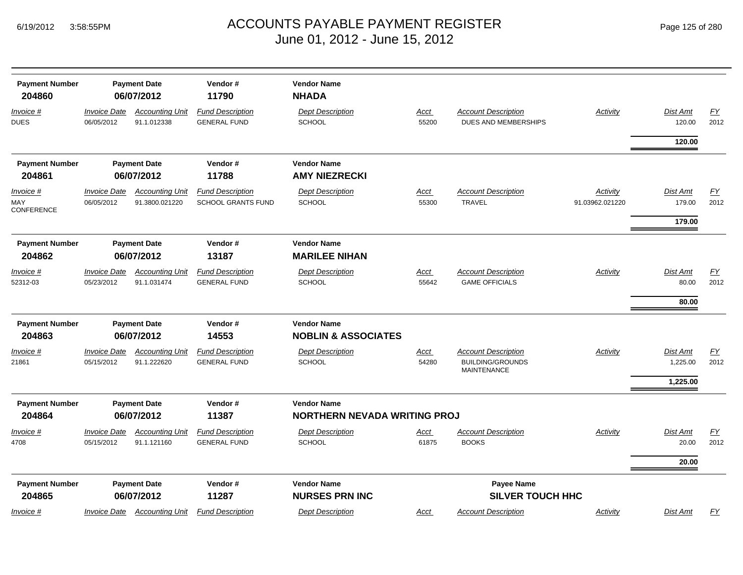*Invoice #*

*Invoice #*

*Invoice #*

*Invoice #*

MAY CONFERENCE

|                                 |                                   |                                          | June 01, 2012 - June 15, 2012                        |                                                      |               |                                                                                |                             |                                     |            |
|---------------------------------|-----------------------------------|------------------------------------------|------------------------------------------------------|------------------------------------------------------|---------------|--------------------------------------------------------------------------------|-----------------------------|-------------------------------------|------------|
| <b>Payment Number</b><br>204860 |                                   | <b>Payment Date</b><br>06/07/2012        | Vendor#<br>11790                                     | <b>Vendor Name</b><br><b>NHADA</b>                   |               |                                                                                |                             |                                     |            |
| <u> 1voice #</u><br>UES         | <b>Invoice Date</b><br>06/05/2012 | <b>Accounting Unit</b><br>91.1.012338    | <b>Fund Description</b><br><b>GENERAL FUND</b>       | <b>Dept Description</b><br><b>SCHOOL</b>             | Acct<br>55200 | <b>Account Description</b><br>DUES AND MEMBERSHIPS                             | Activity                    | <b>Dist Amt</b><br>120.00<br>120.00 | EY<br>2012 |
| <b>Payment Number</b><br>204861 |                                   | <b>Payment Date</b><br>06/07/2012        | Vendor#<br>11788                                     | <b>Vendor Name</b><br><b>AMY NIEZRECKI</b>           |               |                                                                                |                             |                                     |            |
| าvoice #<br>IAY<br>ONFERENCE    | <b>Invoice Date</b><br>06/05/2012 | <b>Accounting Unit</b><br>91.3800.021220 | <b>Fund Description</b><br><b>SCHOOL GRANTS FUND</b> | <b>Dept Description</b><br><b>SCHOOL</b>             | Acct<br>55300 | <b>Account Description</b><br><b>TRAVEL</b>                                    | Activity<br>91.03962.021220 | Dist Amt<br>179.00<br>179.00        | EY<br>2012 |
| <b>Payment Number</b><br>204862 |                                   | <b>Payment Date</b><br>06/07/2012        | Vendor#<br>13187                                     | <b>Vendor Name</b><br><b>MARILEE NIHAN</b>           |               |                                                                                |                             |                                     |            |
| <u> 1voice #</u><br>2312-03     | <b>Invoice Date</b><br>05/23/2012 | <b>Accounting Unit</b><br>91.1.031474    | <b>Fund Description</b><br><b>GENERAL FUND</b>       | <b>Dept Description</b><br><b>SCHOOL</b>             | Acct<br>55642 | <b>Account Description</b><br><b>GAME OFFICIALS</b>                            | Activity                    | Dist Amt<br>80.00                   | FY<br>2012 |
|                                 |                                   |                                          |                                                      |                                                      |               |                                                                                |                             | 80.00                               |            |
| <b>Payment Number</b><br>204863 |                                   | <b>Payment Date</b><br>06/07/2012        | Vendor#<br>14553                                     | <b>Vendor Name</b><br><b>NOBLIN &amp; ASSOCIATES</b> |               |                                                                                |                             |                                     |            |
| าvoice #<br>1861                | <b>Invoice Date</b><br>05/15/2012 | <b>Accounting Unit</b><br>91.1.222620    | <b>Fund Description</b><br><b>GENERAL FUND</b>       | <b>Dept Description</b><br><b>SCHOOL</b>             | Acct<br>54280 | <b>Account Description</b><br><b>BUILDING/GROUNDS</b><br><b>MAINITENIANIOE</b> | Activity                    | <b>Dist Amt</b><br>1,225.00         | EY<br>2012 |

|                                 |                                   |                                   |                         |                                                           |             | MAINTENANCE                           |          |          |           |
|---------------------------------|-----------------------------------|-----------------------------------|-------------------------|-----------------------------------------------------------|-------------|---------------------------------------|----------|----------|-----------|
|                                 |                                   |                                   |                         |                                                           |             |                                       |          | 1,225.00 |           |
| <b>Payment Number</b><br>204864 | <b>Payment Date</b><br>06/07/2012 |                                   | Vendor#<br>11387        | <b>Vendor Name</b><br><b>NORTHERN NEVADA WRITING PROJ</b> |             |                                       |          |          |           |
| $Invoice$ #                     | <i><b>Invoice Date</b></i>        | <b>Accounting Unit</b>            | <b>Fund Description</b> | <b>Dept Description</b>                                   | <u>Acct</u> | <b>Account Description</b>            | Activity | Dist Amt | <u>FY</u> |
| 4708                            | 05/15/2012                        | 91.1.121160                       | <b>GENERAL FUND</b>     | <b>SCHOOL</b>                                             | 61875       | <b>BOOKS</b>                          |          | 20.00    | 2012      |
|                                 |                                   |                                   |                         |                                                           |             |                                       |          | 20.00    |           |
| <b>Payment Number</b><br>204865 |                                   | <b>Payment Date</b><br>06/07/2012 | Vendor#<br>11287        | <b>Vendor Name</b><br><b>NURSES PRN INC</b>               |             | Payee Name<br><b>SILVER TOUCH HHC</b> |          |          |           |
| Invoice #                       | <i><b>Invoice Date</b></i>        | <b>Accounting Unit</b>            | <b>Fund Description</b> | <b>Dept Description</b>                                   | Acct        | <b>Account Description</b>            | Activity | Dist Amt | FY        |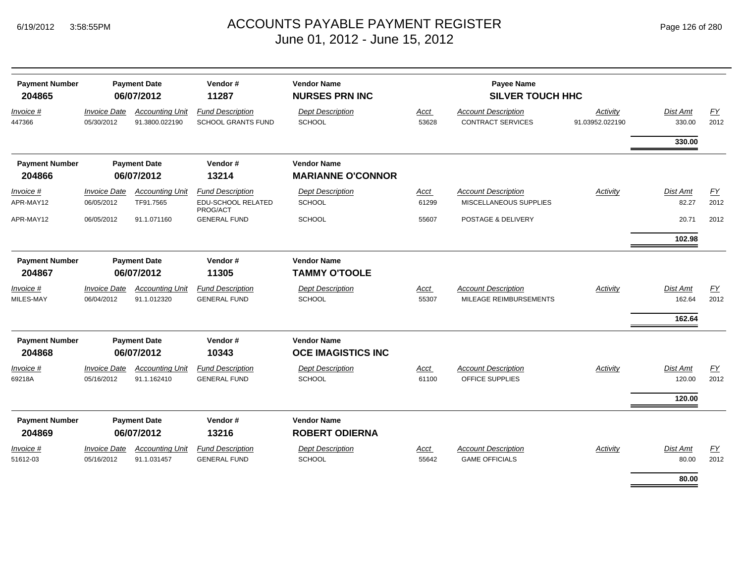| <b>Payment Number</b><br>204865 | <b>Payment Date</b><br>06/07/2012 |                                          | Vendor#<br>11287                                          | <b>Vendor Name</b><br><b>NURSES PRN INC</b> |                      | Payee Name<br><b>SILVER TOUCH HHC</b>                  |                             |                    |                   |
|---------------------------------|-----------------------------------|------------------------------------------|-----------------------------------------------------------|---------------------------------------------|----------------------|--------------------------------------------------------|-----------------------------|--------------------|-------------------|
| Invoice #<br>447366             | <b>Invoice Date</b><br>05/30/2012 | <b>Accounting Unit</b><br>91.3800.022190 | <b>Fund Description</b><br><b>SCHOOL GRANTS FUND</b>      | <b>Dept Description</b><br><b>SCHOOL</b>    | Acct<br>53628        | <b>Account Description</b><br><b>CONTRACT SERVICES</b> | Activity<br>91.03952.022190 | Dist Amt<br>330.00 | <b>FY</b><br>2012 |
|                                 |                                   |                                          |                                                           |                                             |                      |                                                        |                             | 330.00             |                   |
| <b>Payment Number</b>           |                                   | <b>Payment Date</b>                      | Vendor#                                                   | <b>Vendor Name</b>                          |                      |                                                        |                             |                    |                   |
| 204866                          |                                   | 06/07/2012                               | 13214                                                     | <b>MARIANNE O'CONNOR</b>                    |                      |                                                        |                             |                    |                   |
| Invoice #<br>APR-MAY12          | <b>Invoice Date</b><br>06/05/2012 | <b>Accounting Unit</b><br>TF91.7565      | <b>Fund Description</b><br>EDU-SCHOOL RELATED<br>PROG/ACT | <b>Dept Description</b><br>SCHOOL           | <b>Acct</b><br>61299 | <b>Account Description</b><br>MISCELLANEOUS SUPPLIES   | Activity                    | Dist Amt<br>82.27  | EY<br>2012        |
| APR-MAY12                       | 06/05/2012                        | 91.1.071160                              | <b>GENERAL FUND</b>                                       | <b>SCHOOL</b>                               | 55607                | POSTAGE & DELIVERY                                     |                             | 20.71              | 2012              |
|                                 |                                   |                                          |                                                           |                                             |                      |                                                        |                             | 102.98             |                   |
| <b>Payment Number</b>           |                                   | <b>Payment Date</b>                      | Vendor#                                                   | <b>Vendor Name</b>                          |                      |                                                        |                             |                    |                   |
| 204867                          |                                   | 06/07/2012                               | 11305                                                     | <b>TAMMY O'TOOLE</b>                        |                      |                                                        |                             |                    |                   |
| Invoice #                       | <b>Invoice Date</b>               | <b>Accounting Unit</b>                   | <b>Fund Description</b>                                   | <b>Dept Description</b>                     | <b>Acct</b>          | <b>Account Description</b>                             | Activity                    | Dist Amt           | EY                |
| MILES-MAY                       | 06/04/2012                        | 91.1.012320                              | <b>GENERAL FUND</b>                                       | SCHOOL                                      | 55307                | MILEAGE REIMBURSEMENTS                                 |                             | 162.64             | 2012              |
|                                 |                                   |                                          |                                                           |                                             |                      |                                                        |                             | 162.64             |                   |
| <b>Payment Number</b>           |                                   | <b>Payment Date</b>                      | Vendor#                                                   | <b>Vendor Name</b>                          |                      |                                                        |                             |                    |                   |
| 204868                          |                                   | 06/07/2012                               | 10343                                                     | <b>OCE IMAGISTICS INC</b>                   |                      |                                                        |                             |                    |                   |
| Invoice #                       | <b>Invoice Date</b>               | <b>Accounting Unit</b>                   | <b>Fund Description</b>                                   | <b>Dept Description</b>                     | Acct                 | <b>Account Description</b>                             | Activity                    | Dist Amt           | <u>FY</u>         |
| 69218A                          | 05/16/2012                        | 91.1.162410                              | <b>GENERAL FUND</b>                                       | SCHOOL                                      | 61100                | OFFICE SUPPLIES                                        |                             | 120.00             | 2012              |
|                                 |                                   |                                          |                                                           |                                             |                      |                                                        |                             | 120.00             |                   |
| <b>Payment Number</b><br>204869 |                                   | <b>Payment Date</b><br>06/07/2012        | Vendor#<br>13216                                          | <b>Vendor Name</b><br><b>ROBERT ODIERNA</b> |                      |                                                        |                             |                    |                   |
| Invoice #                       | <b>Invoice Date</b>               | <b>Accounting Unit</b>                   | <b>Fund Description</b>                                   | <b>Dept Description</b>                     | Acct                 | <b>Account Description</b>                             | Activity                    | Dist Amt           | EY                |
| 51612-03                        | 05/16/2012                        | 91.1.031457                              | <b>GENERAL FUND</b>                                       | <b>SCHOOL</b>                               | 55642                | <b>GAME OFFICIALS</b>                                  |                             | 80.00              | 2012              |
|                                 |                                   |                                          |                                                           |                                             |                      |                                                        |                             | 80.00              |                   |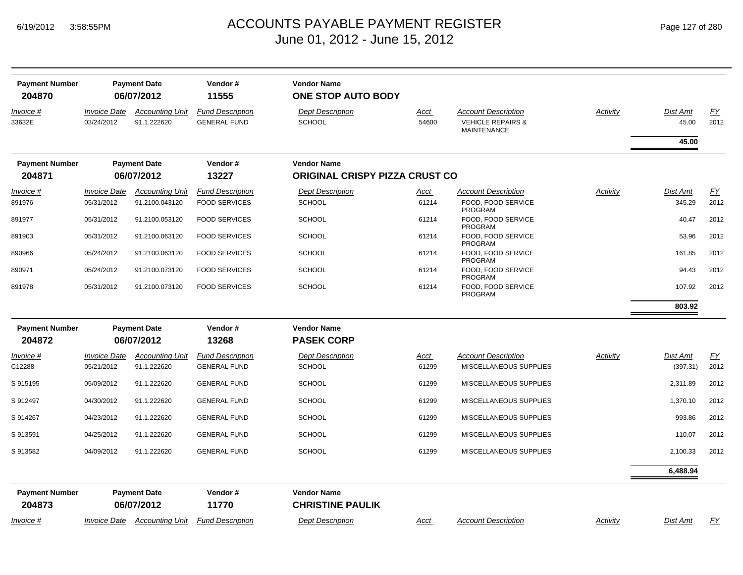| <b>Payment Number</b><br>204870 | <b>Payment Date</b><br>06/07/2012        |                                          | Vendor#<br>11555                                | <b>Vendor Name</b><br><b>ONE STOP AUTO BODY</b> |                      |                                                                                  |          |                      |                   |
|---------------------------------|------------------------------------------|------------------------------------------|-------------------------------------------------|-------------------------------------------------|----------------------|----------------------------------------------------------------------------------|----------|----------------------|-------------------|
| Invoice #<br>33632E             | <b>Invoice Date</b><br>03/24/2012        | <b>Accounting Unit</b><br>91.1.222620    | <b>Fund Description</b><br><b>GENERAL FUND</b>  | <b>Dept Description</b><br><b>SCHOOL</b>        | <b>Acct</b><br>54600 | <b>Account Description</b><br><b>VEHICLE REPAIRS &amp;</b><br><b>MAINTENANCE</b> | Activity | Dist Amt<br>45.00    | <u>FY</u><br>2012 |
|                                 |                                          |                                          |                                                 |                                                 |                      |                                                                                  |          | 45.00                |                   |
| <b>Payment Number</b>           |                                          | <b>Payment Date</b>                      | Vendor#                                         | <b>Vendor Name</b>                              |                      |                                                                                  |          |                      |                   |
| 204871                          |                                          | 06/07/2012                               | 13227                                           | <b>ORIGINAL CRISPY PIZZA CRUST CO</b>           |                      |                                                                                  |          |                      |                   |
| Invoice #<br>891976             | <b>Invoice Date</b><br>05/31/2012        | <b>Accounting Unit</b><br>91.2100.043120 | <b>Fund Description</b><br><b>FOOD SERVICES</b> | <b>Dept Description</b><br><b>SCHOOL</b>        | Acct<br>61214        | <b>Account Description</b><br>FOOD, FOOD SERVICE<br>PROGRAM                      | Activity | Dist Amt<br>345.29   | FY<br>2012        |
| 891977                          | 05/31/2012                               | 91.2100.053120                           | <b>FOOD SERVICES</b>                            | <b>SCHOOL</b>                                   | 61214                | FOOD, FOOD SERVICE<br>PROGRAM                                                    |          | 40.47                | 2012              |
| 891903                          | 05/31/2012                               | 91.2100.063120                           | <b>FOOD SERVICES</b>                            | <b>SCHOOL</b>                                   | 61214                | FOOD, FOOD SERVICE<br>PROGRAM                                                    |          | 53.96                | 2012              |
| 890966                          | 05/24/2012                               | 91.2100.063120                           | <b>FOOD SERVICES</b>                            | <b>SCHOOL</b>                                   | 61214                | FOOD, FOOD SERVICE<br>PROGRAM                                                    |          | 161.85               | 2012              |
| 890971                          | 05/24/2012                               | 91.2100.073120                           | <b>FOOD SERVICES</b>                            | <b>SCHOOL</b>                                   | 61214                | FOOD, FOOD SERVICE<br>PROGRAM                                                    |          | 94.43                | 2012              |
| 891978                          | 05/31/2012                               | 91.2100.073120                           | <b>FOOD SERVICES</b>                            | SCHOOL                                          | 61214                | FOOD, FOOD SERVICE<br>PROGRAM                                                    |          | 107.92               | 2012              |
|                                 |                                          |                                          |                                                 |                                                 |                      |                                                                                  |          | 803.92               |                   |
| <b>Payment Number</b>           |                                          | <b>Payment Date</b>                      | Vendor#                                         | <b>Vendor Name</b>                              |                      |                                                                                  |          |                      |                   |
| 204872                          |                                          | 06/07/2012                               | 13268                                           | <b>PASEK CORP</b>                               |                      |                                                                                  |          |                      |                   |
| Invoice #<br>C12288             | <i><b>Invoice Date</b></i><br>05/21/2012 | <b>Accounting Unit</b><br>91.1.222620    | <b>Fund Description</b><br><b>GENERAL FUND</b>  | <b>Dept Description</b><br><b>SCHOOL</b>        | <b>Acct</b><br>61299 | <b>Account Description</b><br>MISCELLANEOUS SUPPLIES                             | Activity | Dist Amt<br>(397.31) | <u>FY</u><br>2012 |
| S 915195                        | 05/09/2012                               | 91.1.222620                              | <b>GENERAL FUND</b>                             | <b>SCHOOL</b>                                   | 61299                | MISCELLANEOUS SUPPLIES                                                           |          | 2,311.89             | 2012              |
| S 912497                        | 04/30/2012                               | 91.1.222620                              | <b>GENERAL FUND</b>                             | <b>SCHOOL</b>                                   | 61299                | MISCELLANEOUS SUPPLIES                                                           |          | 1,370.10             | 2012              |
| S 914267                        | 04/23/2012                               | 91.1.222620                              | <b>GENERAL FUND</b>                             | <b>SCHOOL</b>                                   | 61299                | MISCELLANEOUS SUPPLIES                                                           |          | 993.86               | 2012              |
| S 913591                        | 04/25/2012                               | 91.1.222620                              | <b>GENERAL FUND</b>                             | <b>SCHOOL</b>                                   | 61299                | MISCELLANEOUS SUPPLIES                                                           |          | 110.07               | 2012              |
| S 913582                        | 04/09/2012                               | 91.1.222620                              | <b>GENERAL FUND</b>                             | <b>SCHOOL</b>                                   | 61299                | MISCELLANEOUS SUPPLIES                                                           |          | 2,100.33             | 2012              |
|                                 |                                          |                                          |                                                 |                                                 |                      |                                                                                  |          | 6,488.94             |                   |
| <b>Payment Number</b><br>204873 |                                          | <b>Payment Date</b><br>06/07/2012        | Vendor#<br>11770                                | <b>Vendor Name</b><br><b>CHRISTINE PAULIK</b>   |                      |                                                                                  |          |                      |                   |
| Invoice #                       | <i><b>Invoice Date</b></i>               | Accounting Unit                          | <b>Fund Description</b>                         | <b>Dept Description</b>                         | Acct                 | <b>Account Description</b>                                                       | Activity | Dist Amt             | FΥ                |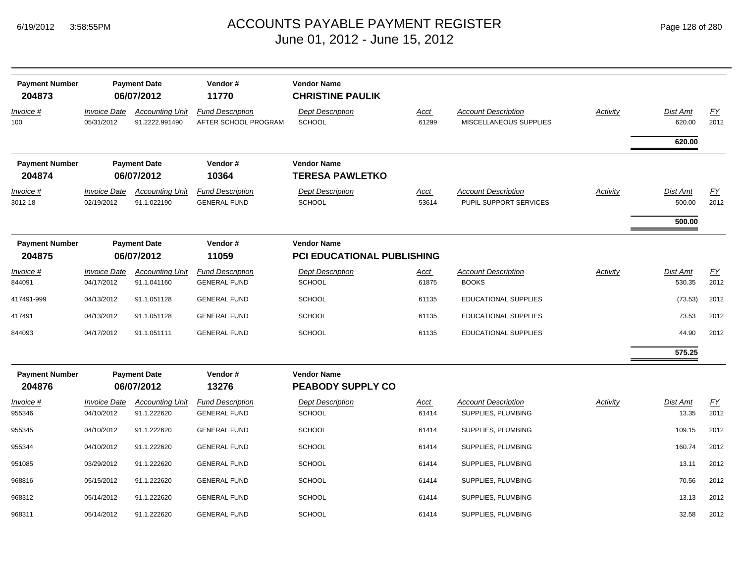| <b>Payment Number</b><br>204873 | <b>Payment Date</b><br>06/07/2012 |                                          | Vendor#<br>11770                                | <b>Vendor Name</b><br><b>CHRISTINE PAULIK</b>    |                      |                                                      |                 |                    |            |
|---------------------------------|-----------------------------------|------------------------------------------|-------------------------------------------------|--------------------------------------------------|----------------------|------------------------------------------------------|-----------------|--------------------|------------|
| <u>Invoice #</u><br>100         | <b>Invoice Date</b><br>05/31/2012 | <b>Accounting Unit</b><br>91.2222.991490 | <b>Fund Description</b><br>AFTER SCHOOL PROGRAM | <b>Dept Description</b><br><b>SCHOOL</b>         | <u>Acct</u><br>61299 | <b>Account Description</b><br>MISCELLANEOUS SUPPLIES | <b>Activity</b> | Dist Amt<br>620.00 | EY<br>2012 |
|                                 |                                   |                                          |                                                 |                                                  |                      |                                                      |                 | 620.00             |            |
| <b>Payment Number</b><br>204874 |                                   | <b>Payment Date</b><br>06/07/2012        | Vendor#<br>10364                                | <b>Vendor Name</b><br><b>TERESA PAWLETKO</b>     |                      |                                                      |                 |                    |            |
| Invoice #<br>3012-18            | <b>Invoice Date</b><br>02/19/2012 | <b>Accounting Unit</b><br>91.1.022190    | <b>Fund Description</b><br><b>GENERAL FUND</b>  | <b>Dept Description</b><br><b>SCHOOL</b>         | <u>Acct</u><br>53614 | <b>Account Description</b><br>PUPIL SUPPORT SERVICES | Activity        | Dist Amt<br>500.00 | EY<br>2012 |
|                                 |                                   |                                          |                                                 |                                                  |                      |                                                      |                 | 500.00             |            |
| <b>Payment Number</b><br>204875 |                                   | <b>Payment Date</b><br>06/07/2012        | Vendor#<br>11059                                | <b>Vendor Name</b><br>PCI EDUCATIONAL PUBLISHING |                      |                                                      |                 |                    |            |
| Invoice #<br>844091             | <b>Invoice Date</b><br>04/17/2012 | <b>Accounting Unit</b><br>91.1.041160    | <b>Fund Description</b><br><b>GENERAL FUND</b>  | <b>Dept Description</b><br><b>SCHOOL</b>         | <u>Acct</u><br>61875 | <b>Account Description</b><br><b>BOOKS</b>           | <b>Activity</b> | Dist Amt<br>530.35 | EY<br>2012 |
| 417491-999                      | 04/13/2012                        | 91.1.051128                              | <b>GENERAL FUND</b>                             | <b>SCHOOL</b>                                    | 61135                | <b>EDUCATIONAL SUPPLIES</b>                          |                 | (73.53)            | 2012       |
| 417491                          | 04/13/2012                        | 91.1.051128                              | <b>GENERAL FUND</b>                             | <b>SCHOOL</b>                                    | 61135                | <b>EDUCATIONAL SUPPLIES</b>                          |                 | 73.53              | 2012       |
| 844093                          | 04/17/2012                        | 91.1.051111                              | <b>GENERAL FUND</b>                             | <b>SCHOOL</b>                                    | 61135                | <b>EDUCATIONAL SUPPLIES</b>                          |                 | 44.90              | 2012       |
|                                 |                                   |                                          |                                                 |                                                  |                      |                                                      |                 | 575.25             |            |
| <b>Payment Number</b><br>204876 |                                   | <b>Payment Date</b><br>06/07/2012        | Vendor#<br>13276                                | <b>Vendor Name</b><br><b>PEABODY SUPPLY CO</b>   |                      |                                                      |                 |                    |            |
| Invoice #<br>955346             | <b>Invoice Date</b><br>04/10/2012 | <b>Accounting Unit</b><br>91.1.222620    | <b>Fund Description</b><br><b>GENERAL FUND</b>  | <b>Dept Description</b><br><b>SCHOOL</b>         | <u>Acct</u><br>61414 | <b>Account Description</b><br>SUPPLIES, PLUMBING     | <b>Activity</b> | Dist Amt<br>13.35  | EY<br>2012 |
| 955345                          | 04/10/2012                        | 91.1.222620                              | <b>GENERAL FUND</b>                             | <b>SCHOOL</b>                                    | 61414                | SUPPLIES, PLUMBING                                   |                 | 109.15             | 2012       |
| 955344                          | 04/10/2012                        | 91.1.222620                              | <b>GENERAL FUND</b>                             | <b>SCHOOL</b>                                    | 61414                | SUPPLIES, PLUMBING                                   |                 | 160.74             | 2012       |
| 951085                          | 03/29/2012                        | 91.1.222620                              | <b>GENERAL FUND</b>                             | <b>SCHOOL</b>                                    | 61414                | SUPPLIES, PLUMBING                                   |                 | 13.11              | 2012       |
| 968816                          | 05/15/2012                        | 91.1.222620                              | <b>GENERAL FUND</b>                             | <b>SCHOOL</b>                                    | 61414                | SUPPLIES, PLUMBING                                   |                 | 70.56              | 2012       |
| 968312                          | 05/14/2012                        | 91.1.222620                              | <b>GENERAL FUND</b>                             | <b>SCHOOL</b>                                    | 61414                | SUPPLIES, PLUMBING                                   |                 | 13.13              | 2012       |
| 968311                          | 05/14/2012                        | 91.1.222620                              | <b>GENERAL FUND</b>                             | SCHOOL                                           | 61414                | SUPPLIES, PLUMBING                                   |                 | 32.58              | 2012       |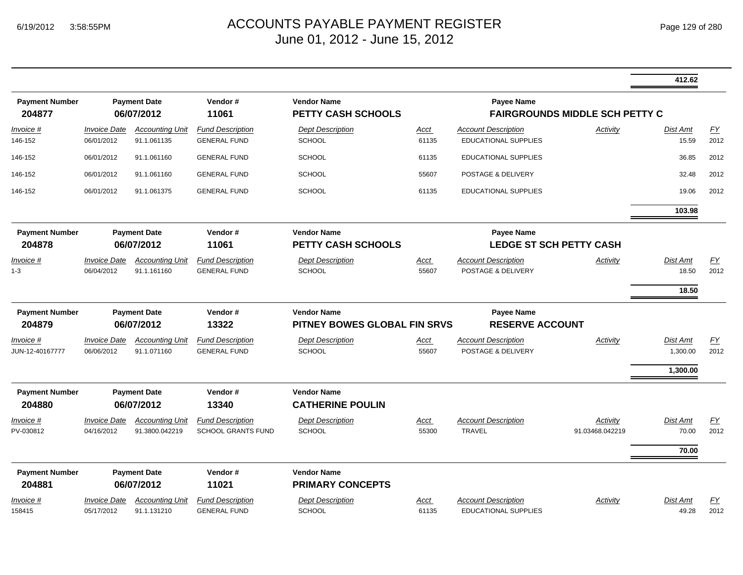|                                     |                                   |                                          |                                                      |                                                    |                      |                                                           |                                       | 412.62                            |                          |
|-------------------------------------|-----------------------------------|------------------------------------------|------------------------------------------------------|----------------------------------------------------|----------------------|-----------------------------------------------------------|---------------------------------------|-----------------------------------|--------------------------|
| <b>Payment Number</b><br>204877     |                                   | <b>Payment Date</b><br>06/07/2012        | Vendor#<br>11061                                     | <b>Vendor Name</b><br><b>PETTY CASH SCHOOLS</b>    |                      | <b>Payee Name</b>                                         | <b>FAIRGROUNDS MIDDLE SCH PETTY C</b> |                                   |                          |
| Invoice #<br>146-152                | <b>Invoice Date</b><br>06/01/2012 | <b>Accounting Unit</b><br>91.1.061135    | <b>Fund Description</b><br><b>GENERAL FUND</b>       | <b>Dept Description</b><br><b>SCHOOL</b>           | Acct<br>61135        | <b>Account Description</b><br><b>EDUCATIONAL SUPPLIES</b> | Activity                              | Dist Amt<br>15.59                 | EY<br>2012               |
| 146-152                             | 06/01/2012                        | 91.1.061160                              | <b>GENERAL FUND</b>                                  | SCHOOL                                             | 61135                | <b>EDUCATIONAL SUPPLIES</b>                               |                                       | 36.85                             | 2012                     |
| 146-152                             | 06/01/2012                        | 91.1.061160                              | <b>GENERAL FUND</b>                                  | <b>SCHOOL</b>                                      | 55607                | POSTAGE & DELIVERY                                        |                                       | 32.48                             | 2012                     |
| 146-152                             | 06/01/2012                        | 91.1.061375                              | <b>GENERAL FUND</b>                                  | <b>SCHOOL</b>                                      | 61135                | EDUCATIONAL SUPPLIES                                      |                                       | 19.06                             | 2012                     |
|                                     |                                   |                                          |                                                      |                                                    |                      |                                                           |                                       | 103.98                            |                          |
| <b>Payment Number</b><br>204878     |                                   | <b>Payment Date</b><br>06/07/2012        | Vendor#<br>11061                                     | <b>Vendor Name</b><br><b>PETTY CASH SCHOOLS</b>    |                      | <b>Payee Name</b><br><b>LEDGE ST SCH PETTY CASH</b>       |                                       |                                   |                          |
| Invoice #<br>$1 - 3$                | <b>Invoice Date</b><br>06/04/2012 | <b>Accounting Unit</b><br>91.1.161160    | <b>Fund Description</b><br><b>GENERAL FUND</b>       | <b>Dept Description</b><br><b>SCHOOL</b>           | Acct<br>55607        | <b>Account Description</b><br>POSTAGE & DELIVERY          | Activity                              | <b>Dist Amt</b><br>18.50<br>18.50 | EY<br>2012               |
| <b>Payment Number</b><br>204879     |                                   | <b>Payment Date</b><br>06/07/2012        | Vendor#<br>13322                                     | <b>Vendor Name</b><br>PITNEY BOWES GLOBAL FIN SRVS |                      | <b>Payee Name</b><br><b>RESERVE ACCOUNT</b>               |                                       |                                   |                          |
| <u>Invoice #</u><br>JUN-12-40167777 | <b>Invoice Date</b><br>06/06/2012 | <b>Accounting Unit</b><br>91.1.071160    | <b>Fund Description</b><br><b>GENERAL FUND</b>       | <b>Dept Description</b><br><b>SCHOOL</b>           | <u>Acct</u><br>55607 | <b>Account Description</b><br>POSTAGE & DELIVERY          | <b>Activity</b>                       | Dist Amt<br>1,300.00              | $\underline{FY}$<br>2012 |
| <b>Payment Number</b><br>204880     |                                   | <b>Payment Date</b><br>06/07/2012        | Vendor#<br>13340                                     | <b>Vendor Name</b><br><b>CATHERINE POULIN</b>      |                      |                                                           |                                       | 1,300.00                          |                          |
| Invoice #<br>PV-030812              | <b>Invoice Date</b><br>04/16/2012 | <b>Accounting Unit</b><br>91.3800.042219 | <b>Fund Description</b><br><b>SCHOOL GRANTS FUND</b> | <b>Dept Description</b><br><b>SCHOOL</b>           | Acct<br>55300        | <b>Account Description</b><br><b>TRAVEL</b>               | Activity<br>91.03468.042219           | Dist Amt<br>70.00<br>70.00        | EY<br>2012               |
| <b>Payment Number</b><br>204881     |                                   | <b>Payment Date</b><br>06/07/2012        | Vendor#<br>11021                                     | <b>Vendor Name</b><br><b>PRIMARY CONCEPTS</b>      |                      |                                                           |                                       |                                   |                          |
| <u>Invoice #</u><br>158415          | <b>Invoice Date</b><br>05/17/2012 | <b>Accounting Unit</b><br>91.1.131210    | <b>Fund Description</b><br><b>GENERAL FUND</b>       | <b>Dept Description</b><br><b>SCHOOL</b>           | Acct<br>61135        | <b>Account Description</b><br><b>EDUCATIONAL SUPPLIES</b> | Activity                              | <b>Dist Amt</b><br>49.28          | EY<br>2012               |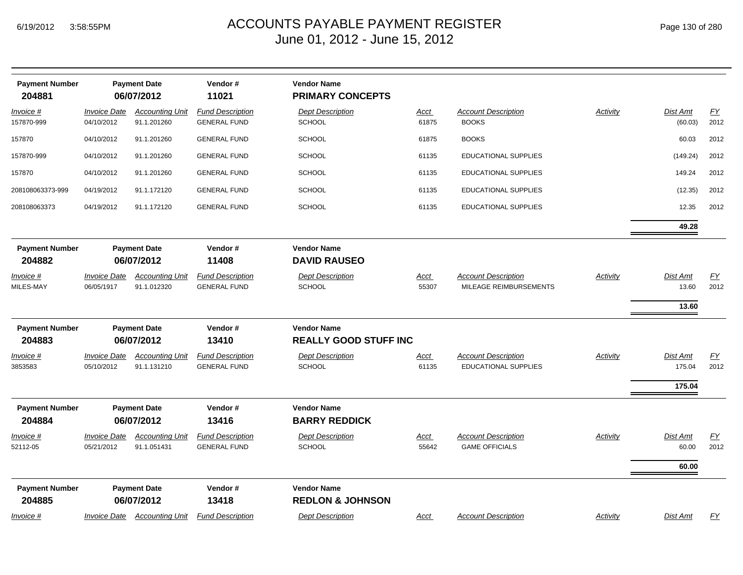| <b>Payment Number</b><br>204881 |                                   | <b>Payment Date</b><br>06/07/2012     | Vendor#<br>11021                               | <b>Vendor Name</b><br><b>PRIMARY CONCEPTS</b>      |                      |                                                           |          |                            |            |
|---------------------------------|-----------------------------------|---------------------------------------|------------------------------------------------|----------------------------------------------------|----------------------|-----------------------------------------------------------|----------|----------------------------|------------|
| Invoice #<br>157870-999         | <b>Invoice Date</b><br>04/10/2012 | <b>Accounting Unit</b><br>91.1.201260 | <b>Fund Description</b><br><b>GENERAL FUND</b> | <b>Dept Description</b><br><b>SCHOOL</b>           | Acct<br>61875        | <b>Account Description</b><br><b>BOOKS</b>                | Activity | Dist Amt<br>(60.03)        | EY<br>2012 |
| 157870                          | 04/10/2012                        | 91.1.201260                           | <b>GENERAL FUND</b>                            | <b>SCHOOL</b>                                      | 61875                | <b>BOOKS</b>                                              |          | 60.03                      | 2012       |
| 157870-999                      | 04/10/2012                        | 91.1.201260                           | <b>GENERAL FUND</b>                            | <b>SCHOOL</b>                                      | 61135                | <b>EDUCATIONAL SUPPLIES</b>                               |          | (149.24)                   | 2012       |
| 157870                          | 04/10/2012                        | 91.1.201260                           | <b>GENERAL FUND</b>                            | <b>SCHOOL</b>                                      | 61135                | <b>EDUCATIONAL SUPPLIES</b>                               |          | 149.24                     | 2012       |
| 208108063373-999                | 04/19/2012                        | 91.1.172120                           | <b>GENERAL FUND</b>                            | <b>SCHOOL</b>                                      | 61135                | <b>EDUCATIONAL SUPPLIES</b>                               |          | (12.35)                    | 2012       |
| 208108063373                    | 04/19/2012                        | 91.1.172120                           | <b>GENERAL FUND</b>                            | <b>SCHOOL</b>                                      | 61135                | <b>EDUCATIONAL SUPPLIES</b>                               |          | 12.35                      | 2012       |
|                                 |                                   |                                       |                                                |                                                    |                      |                                                           |          | 49.28                      |            |
| <b>Payment Number</b><br>204882 |                                   | <b>Payment Date</b><br>06/07/2012     | Vendor#<br>11408                               | <b>Vendor Name</b><br><b>DAVID RAUSEO</b>          |                      |                                                           |          |                            |            |
| Invoice #<br>MILES-MAY          | <b>Invoice Date</b><br>06/05/1917 | <b>Accounting Unit</b><br>91.1.012320 | <b>Fund Description</b><br><b>GENERAL FUND</b> | <b>Dept Description</b><br><b>SCHOOL</b>           | Acct<br>55307        | <b>Account Description</b><br>MILEAGE REIMBURSEMENTS      | Activity | Dist Amt<br>13.60          | EY<br>2012 |
|                                 |                                   |                                       |                                                |                                                    |                      |                                                           |          | 13.60                      |            |
| <b>Payment Number</b><br>204883 |                                   | <b>Payment Date</b><br>06/07/2012     | Vendor#<br>13410                               | <b>Vendor Name</b><br><b>REALLY GOOD STUFF INC</b> |                      |                                                           |          |                            |            |
| <u>Invoice #</u><br>3853583     | <b>Invoice Date</b><br>05/10/2012 | <b>Accounting Unit</b><br>91.1.131210 | <b>Fund Description</b><br><b>GENERAL FUND</b> | <b>Dept Description</b><br><b>SCHOOL</b>           | <u>Acct</u><br>61135 | <b>Account Description</b><br><b>EDUCATIONAL SUPPLIES</b> | Activity | Dist Amt<br>175.04         | EY<br>2012 |
|                                 |                                   |                                       |                                                |                                                    |                      |                                                           |          | 175.04                     |            |
| <b>Payment Number</b><br>204884 |                                   | <b>Payment Date</b><br>06/07/2012     | Vendor#<br>13416                               | <b>Vendor Name</b><br><b>BARRY REDDICK</b>         |                      |                                                           |          |                            |            |
| Invoice #<br>52112-05           | <b>Invoice Date</b><br>05/21/2012 | <b>Accounting Unit</b><br>91.1.051431 | <b>Fund Description</b><br><b>GENERAL FUND</b> | <b>Dept Description</b><br><b>SCHOOL</b>           | Acct<br>55642        | <b>Account Description</b><br><b>GAME OFFICIALS</b>       | Activity | Dist Amt<br>60.00<br>60.00 | EY<br>2012 |
| <b>Payment Number</b><br>204885 |                                   | <b>Payment Date</b><br>06/07/2012     | Vendor#<br>13418                               | <b>Vendor Name</b><br><b>REDLON &amp; JOHNSON</b>  |                      |                                                           |          |                            |            |
| Invoice #                       | <b>Invoice Date</b>               | <b>Accounting Unit</b>                | <b>Fund Description</b>                        | <b>Dept Description</b>                            | Acct                 | <b>Account Description</b>                                | Activity | Dist Amt                   | EY         |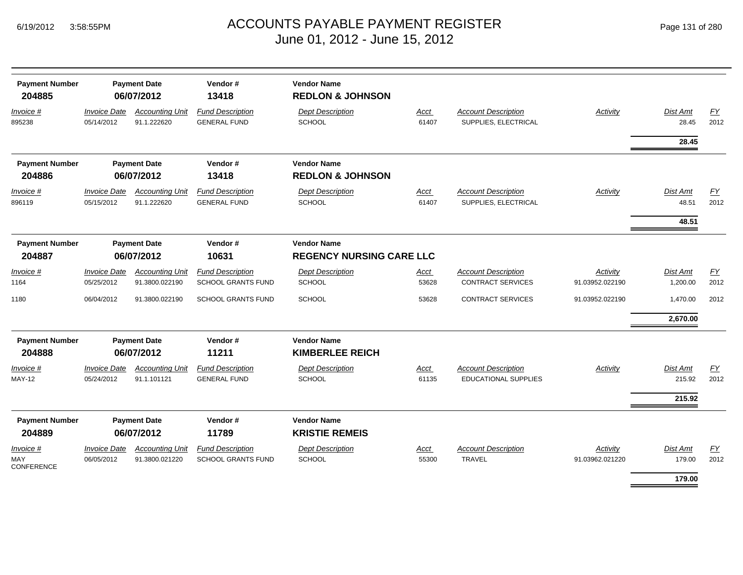| <b>Payment Number</b><br>204885       |                                   | <b>Payment Date</b><br>06/07/2012        | Vendor#<br>13418                                     | <b>Vendor Name</b><br><b>REDLON &amp; JOHNSON</b>     |               |                                                        |                             |                      |            |
|---------------------------------------|-----------------------------------|------------------------------------------|------------------------------------------------------|-------------------------------------------------------|---------------|--------------------------------------------------------|-----------------------------|----------------------|------------|
| Invoice #<br>895238                   | <b>Invoice Date</b><br>05/14/2012 | <b>Accounting Unit</b><br>91.1.222620    | <b>Fund Description</b><br><b>GENERAL FUND</b>       | <b>Dept Description</b><br>SCHOOL                     | Acct<br>61407 | <b>Account Description</b><br>SUPPLIES, ELECTRICAL     | Activity                    | Dist Amt<br>28.45    | FY<br>2012 |
|                                       |                                   |                                          |                                                      |                                                       |               |                                                        |                             | 28.45                |            |
| <b>Payment Number</b>                 |                                   | <b>Payment Date</b>                      | Vendor#                                              | <b>Vendor Name</b>                                    |               |                                                        |                             |                      |            |
| 204886                                |                                   | 06/07/2012                               | 13418                                                | <b>REDLON &amp; JOHNSON</b>                           |               |                                                        |                             |                      |            |
| Invoice #<br>896119                   | <b>Invoice Date</b><br>05/15/2012 | <b>Accounting Unit</b><br>91.1.222620    | <b>Fund Description</b><br><b>GENERAL FUND</b>       | <b>Dept Description</b><br>SCHOOL                     | Acct<br>61407 | <b>Account Description</b><br>SUPPLIES, ELECTRICAL     | Activity                    | Dist Amt<br>48.51    | EY<br>2012 |
|                                       |                                   |                                          |                                                      |                                                       |               |                                                        |                             | 48.51                |            |
| <b>Payment Number</b><br>204887       |                                   | <b>Payment Date</b><br>06/07/2012        | Vendor#<br>10631                                     | <b>Vendor Name</b><br><b>REGENCY NURSING CARE LLC</b> |               |                                                        |                             |                      |            |
| Invoice #<br>1164                     | <b>Invoice Date</b><br>05/25/2012 | <b>Accounting Unit</b><br>91.3800.022190 | <b>Fund Description</b><br><b>SCHOOL GRANTS FUND</b> | <b>Dept Description</b><br><b>SCHOOL</b>              | Acct<br>53628 | <b>Account Description</b><br><b>CONTRACT SERVICES</b> | Activity<br>91.03952.022190 | Dist Amt<br>1,200.00 | EY<br>2012 |
| 1180                                  | 06/04/2012                        | 91.3800.022190                           | <b>SCHOOL GRANTS FUND</b>                            | <b>SCHOOL</b>                                         | 53628         | <b>CONTRACT SERVICES</b>                               | 91.03952.022190             | 1,470.00             | 2012       |
|                                       |                                   |                                          |                                                      |                                                       |               |                                                        |                             | 2,670.00             |            |
| <b>Payment Number</b><br>204888       |                                   | <b>Payment Date</b><br>06/07/2012        | Vendor#<br>11211                                     | <b>Vendor Name</b><br><b>KIMBERLEE REICH</b>          |               |                                                        |                             |                      |            |
| Invoice #<br><b>MAY-12</b>            | <b>Invoice Date</b><br>05/24/2012 | <b>Accounting Unit</b><br>91.1.101121    | <b>Fund Description</b><br><b>GENERAL FUND</b>       | <b>Dept Description</b><br><b>SCHOOL</b>              | Acct<br>61135 | <b>Account Description</b><br>EDUCATIONAL SUPPLIES     | Activity                    | Dist Amt<br>215.92   | EY<br>2012 |
|                                       |                                   |                                          |                                                      |                                                       |               |                                                        |                             | 215.92               |            |
| <b>Payment Number</b><br>204889       |                                   | <b>Payment Date</b><br>06/07/2012        | Vendor#<br>11789                                     | <b>Vendor Name</b><br><b>KRISTIE REMEIS</b>           |               |                                                        |                             |                      |            |
| Invoice #<br>MAY<br><b>CONFERENCE</b> | <b>Invoice Date</b><br>06/05/2012 | <b>Accounting Unit</b><br>91.3800.021220 | <b>Fund Description</b><br><b>SCHOOL GRANTS FUND</b> | <b>Dept Description</b><br>SCHOOL                     | Acct<br>55300 | <b>Account Description</b><br><b>TRAVEL</b>            | Activity<br>91.03962.021220 | Dist Amt<br>179.00   | EY<br>2012 |
|                                       |                                   |                                          |                                                      |                                                       |               |                                                        |                             | 179.00               |            |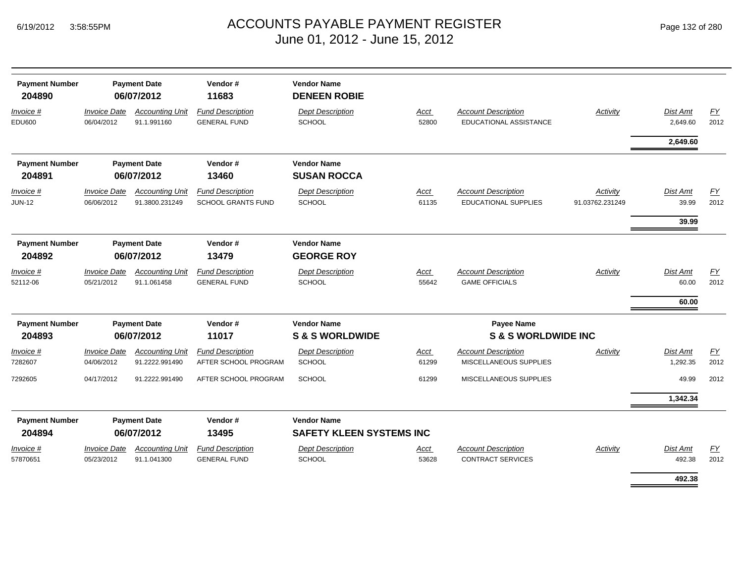| Page 132 of 280 |  |  |
|-----------------|--|--|
|                 |  |  |

| <b>Payment Number</b><br>204890 |                                          | <b>Payment Date</b><br>06/07/2012        | Vendor#<br>11683                                     | <b>Vendor Name</b><br><b>DENEEN ROBIE</b>             |               |                                                           |                             |                             |            |
|---------------------------------|------------------------------------------|------------------------------------------|------------------------------------------------------|-------------------------------------------------------|---------------|-----------------------------------------------------------|-----------------------------|-----------------------------|------------|
| Invoice #<br><b>EDU600</b>      | <b>Invoice Date</b><br>06/04/2012        | <b>Accounting Unit</b><br>91.1.991160    | <b>Fund Description</b><br><b>GENERAL FUND</b>       | <b>Dept Description</b><br><b>SCHOOL</b>              | Acct<br>52800 | <b>Account Description</b><br>EDUCATIONAL ASSISTANCE      | Activity                    | Dist Amt<br>2,649.60        | EY<br>2012 |
|                                 |                                          |                                          |                                                      |                                                       |               |                                                           |                             | 2,649.60                    |            |
| <b>Payment Number</b>           |                                          | <b>Payment Date</b>                      | Vendor#                                              | <b>Vendor Name</b>                                    |               |                                                           |                             |                             |            |
| 204891                          |                                          | 06/07/2012                               | 13460                                                | <b>SUSAN ROCCA</b>                                    |               |                                                           |                             |                             |            |
| Invoice #<br><b>JUN-12</b>      | <b>Invoice Date</b><br>06/06/2012        | <b>Accounting Unit</b><br>91.3800.231249 | <b>Fund Description</b><br><b>SCHOOL GRANTS FUND</b> | <b>Dept Description</b><br><b>SCHOOL</b>              | Acct<br>61135 | <b>Account Description</b><br><b>EDUCATIONAL SUPPLIES</b> | Activity<br>91.03762.231249 | <b>Dist Amt</b><br>39.99    | EY<br>2012 |
|                                 |                                          |                                          |                                                      |                                                       |               |                                                           |                             | 39.99                       |            |
| <b>Payment Number</b><br>204892 |                                          | <b>Payment Date</b><br>06/07/2012        | Vendor#<br>13479                                     | <b>Vendor Name</b><br><b>GEORGE ROY</b>               |               |                                                           |                             |                             |            |
| Invoice #<br>52112-06           | <i><b>Invoice Date</b></i><br>05/21/2012 | <b>Accounting Unit</b><br>91.1.061458    | <b>Fund Description</b><br><b>GENERAL FUND</b>       | <b>Dept Description</b><br><b>SCHOOL</b>              | Acct<br>55642 | <b>Account Description</b><br><b>GAME OFFICIALS</b>       | Activity                    | Dist Amt<br>60.00           | EY<br>2012 |
|                                 |                                          |                                          |                                                      |                                                       |               |                                                           |                             | 60.00                       |            |
| <b>Payment Number</b>           |                                          | <b>Payment Date</b>                      | Vendor#                                              | <b>Vendor Name</b>                                    |               | Payee Name                                                |                             |                             |            |
| 204893                          |                                          | 06/07/2012                               | 11017                                                | <b>S&amp;S WORLDWIDE</b>                              |               | <b>S &amp; S WORLDWIDE INC</b>                            |                             |                             |            |
| Invoice #<br>7282607            | <b>Invoice Date</b><br>04/06/2012        | <b>Accounting Unit</b><br>91.2222.991490 | <b>Fund Description</b><br>AFTER SCHOOL PROGRAM      | <b>Dept Description</b><br><b>SCHOOL</b>              | Acct<br>61299 | <b>Account Description</b><br>MISCELLANEOUS SUPPLIES      | Activity                    | <b>Dist Amt</b><br>1,292.35 | EY<br>2012 |
| 7292605                         | 04/17/2012                               | 91.2222.991490                           | AFTER SCHOOL PROGRAM                                 | <b>SCHOOL</b>                                         | 61299         | MISCELLANEOUS SUPPLIES                                    |                             | 49.99                       | 2012       |
|                                 |                                          |                                          |                                                      |                                                       |               |                                                           |                             | 1,342.34                    |            |
| <b>Payment Number</b><br>204894 |                                          | <b>Payment Date</b><br>06/07/2012        | Vendor#<br>13495                                     | <b>Vendor Name</b><br><b>SAFETY KLEEN SYSTEMS INC</b> |               |                                                           |                             |                             |            |
| $Invoice$ #                     | <b>Invoice Date</b>                      | <b>Accounting Unit</b>                   | <b>Fund Description</b>                              | <b>Dept Description</b>                               | Acct          | <b>Account Description</b>                                | Activity                    | Dist Amt                    | EY         |
| 57870651                        | 05/23/2012                               | 91.1.041300                              | <b>GENERAL FUND</b>                                  | <b>SCHOOL</b>                                         | 53628         | <b>CONTRACT SERVICES</b>                                  |                             | 492.38                      | 2012       |
|                                 |                                          |                                          |                                                      |                                                       |               |                                                           |                             | 492.38                      |            |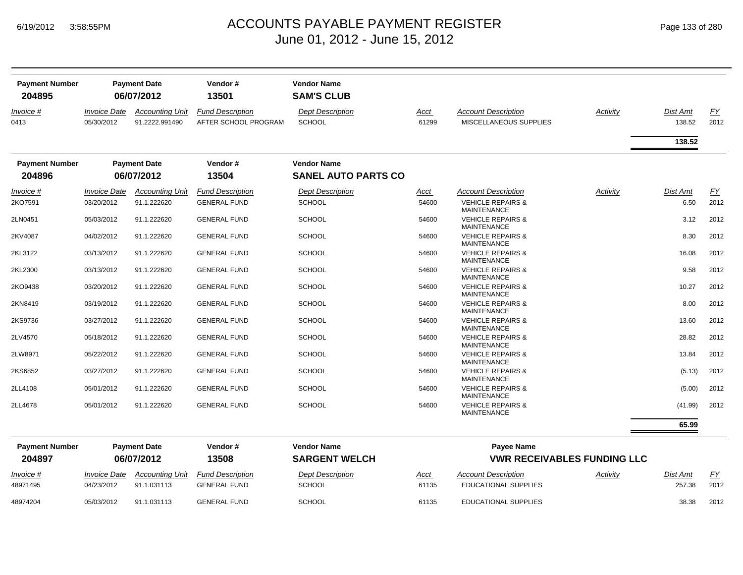| <b>Payment Number</b><br>204895 |                                          | <b>Payment Date</b><br>06/07/2012        | Vendor#<br>13501                                | <b>Vendor Name</b><br><b>SAM'S CLUB</b>  |               |                                                      |          |                    |                   |
|---------------------------------|------------------------------------------|------------------------------------------|-------------------------------------------------|------------------------------------------|---------------|------------------------------------------------------|----------|--------------------|-------------------|
| Invoice #<br>0413               | <i><b>Invoice Date</b></i><br>05/30/2012 | <b>Accounting Unit</b><br>91.2222.991490 | <b>Fund Description</b><br>AFTER SCHOOL PROGRAM | <b>Dept Description</b><br><b>SCHOOL</b> | Acct<br>61299 | <b>Account Description</b><br>MISCELLANEOUS SUPPLIES | Activity | Dist Amt<br>138.52 | <u>FY</u><br>2012 |
|                                 |                                          |                                          |                                                 |                                          |               |                                                      |          | 138.52             |                   |
| <b>Payment Number</b>           |                                          | <b>Payment Date</b>                      | Vendor#                                         | <b>Vendor Name</b>                       |               |                                                      |          |                    |                   |
| 204896                          |                                          | 06/07/2012                               | 13504                                           | <b>SANEL AUTO PARTS CO</b>               |               |                                                      |          |                    |                   |
| Invoice #                       | <b>Invoice Date</b>                      | <b>Accounting Unit</b>                   | <b>Fund Description</b>                         | <b>Dept Description</b>                  | Acct          | <b>Account Description</b>                           | Activity | <b>Dist Amt</b>    | EY                |
| 2KO7591                         | 03/20/2012                               | 91.1.222620                              | <b>GENERAL FUND</b>                             | <b>SCHOOL</b>                            | 54600         | <b>VEHICLE REPAIRS &amp;</b><br><b>MAINTENANCE</b>   |          | 6.50               | 2012              |
| 2LN0451                         | 05/03/2012                               | 91.1.222620                              | <b>GENERAL FUND</b>                             | <b>SCHOOL</b>                            | 54600         | <b>VEHICLE REPAIRS &amp;</b><br><b>MAINTENANCE</b>   |          | 3.12               | 2012              |
| 2KV4087                         | 04/02/2012                               | 91.1.222620                              | <b>GENERAL FUND</b>                             | <b>SCHOOL</b>                            | 54600         | <b>VEHICLE REPAIRS &amp;</b><br><b>MAINTENANCE</b>   |          | 8.30               | 2012              |
| 2KL3122                         | 03/13/2012                               | 91.1.222620                              | <b>GENERAL FUND</b>                             | <b>SCHOOL</b>                            | 54600         | <b>VEHICLE REPAIRS &amp;</b><br><b>MAINTENANCE</b>   |          | 16.08              | 2012              |
| 2KL2300                         | 03/13/2012                               | 91.1.222620                              | <b>GENERAL FUND</b>                             | <b>SCHOOL</b>                            | 54600         | <b>VEHICLE REPAIRS &amp;</b><br><b>MAINTENANCE</b>   |          | 9.58               | 2012              |
| 2KO9438                         | 03/20/2012                               | 91.1.222620                              | <b>GENERAL FUND</b>                             | <b>SCHOOL</b>                            | 54600         | <b>VEHICLE REPAIRS &amp;</b><br><b>MAINTENANCE</b>   |          | 10.27              | 2012              |
| 2KN8419                         | 03/19/2012                               | 91.1.222620                              | <b>GENERAL FUND</b>                             | <b>SCHOOL</b>                            | 54600         | <b>VEHICLE REPAIRS &amp;</b><br><b>MAINTENANCE</b>   |          | 8.00               | 2012              |
| 2KS9736                         | 03/27/2012                               | 91.1.222620                              | <b>GENERAL FUND</b>                             | <b>SCHOOL</b>                            | 54600         | <b>VEHICLE REPAIRS &amp;</b><br><b>MAINTENANCE</b>   |          | 13.60              | 2012              |
| 2LV4570                         | 05/18/2012                               | 91.1.222620                              | <b>GENERAL FUND</b>                             | <b>SCHOOL</b>                            | 54600         | <b>VEHICLE REPAIRS &amp;</b><br><b>MAINTENANCE</b>   |          | 28.82              | 2012              |
| 2LW8971                         | 05/22/2012                               | 91.1.222620                              | <b>GENERAL FUND</b>                             | <b>SCHOOL</b>                            | 54600         | <b>VEHICLE REPAIRS &amp;</b><br><b>MAINTENANCE</b>   |          | 13.84              | 2012              |
| 2KS6852                         | 03/27/2012                               | 91.1.222620                              | <b>GENERAL FUND</b>                             | <b>SCHOOL</b>                            | 54600         | <b>VEHICLE REPAIRS &amp;</b><br><b>MAINTENANCE</b>   |          | (5.13)             | 2012              |
| 2LL4108                         | 05/01/2012                               | 91.1.222620                              | <b>GENERAL FUND</b>                             | <b>SCHOOL</b>                            | 54600         | <b>VEHICLE REPAIRS &amp;</b><br><b>MAINTENANCE</b>   |          | (5.00)             | 2012              |
| 2LL4678                         | 05/01/2012                               | 91.1.222620                              | <b>GENERAL FUND</b>                             | <b>SCHOOL</b>                            | 54600         | <b>VEHICLE REPAIRS &amp;</b><br><b>MAINTENANCE</b>   |          | (41.99)            | 2012              |
|                                 |                                          |                                          |                                                 |                                          |               |                                                      |          | 65.99              |                   |
| <b>Payment Number</b>           |                                          | <b>Payment Date</b>                      | Vendor#                                         | <b>Vendor Name</b>                       |               | <b>Payee Name</b>                                    |          |                    |                   |
| 204897                          |                                          | 06/07/2012                               | 13508                                           | <b>SARGENT WELCH</b>                     |               | <b>VWR RECEIVABLES FUNDING LLC</b>                   |          |                    |                   |
| Invoice #                       | <b>Invoice Date</b>                      | <b>Accounting Unit</b>                   | <b>Fund Description</b>                         | <b>Dept Description</b>                  | Acct          | <b>Account Description</b>                           | Activity | <b>Dist Amt</b>    | <u>FY</u>         |
| 48971495                        | 04/23/2012                               | 91.1.031113                              | <b>GENERAL FUND</b>                             | <b>SCHOOL</b>                            | 61135         | EDUCATIONAL SUPPLIES                                 |          | 257.38             | 2012              |
| 48974204                        | 05/03/2012                               | 91.1.031113                              | <b>GENERAL FUND</b>                             | <b>SCHOOL</b>                            | 61135         | <b>EDUCATIONAL SUPPLIES</b>                          |          | 38.38              | 2012              |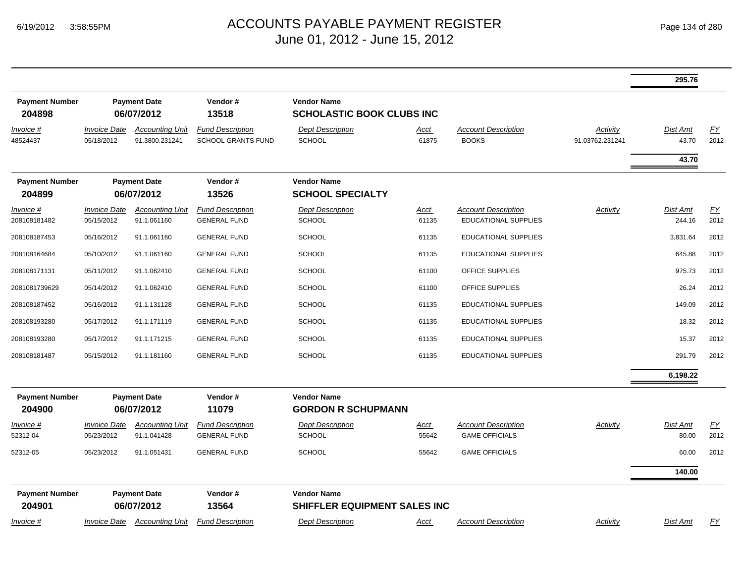|                                 |                                   |                                          |                                                |                                                        |                      |                                                           |                             | 295.76             |                          |
|---------------------------------|-----------------------------------|------------------------------------------|------------------------------------------------|--------------------------------------------------------|----------------------|-----------------------------------------------------------|-----------------------------|--------------------|--------------------------|
| <b>Payment Number</b><br>204898 |                                   | <b>Payment Date</b><br>06/07/2012        | Vendor#<br>13518                               | <b>Vendor Name</b><br><b>SCHOLASTIC BOOK CLUBS INC</b> |                      |                                                           |                             |                    |                          |
| Invoice #<br>48524437           | <b>Invoice Date</b><br>05/18/2012 | <b>Accounting Unit</b><br>91.3800.231241 | <b>Fund Description</b><br>SCHOOL GRANTS FUND  | <b>Dept Description</b><br>SCHOOL                      | Acct<br>61875        | <b>Account Description</b><br><b>BOOKS</b>                | Activity<br>91.03762.231241 | Dist Amt<br>43.70  | $\underline{FY}$<br>2012 |
|                                 |                                   |                                          |                                                |                                                        |                      |                                                           |                             | 43.70              |                          |
| <b>Payment Number</b><br>204899 |                                   | <b>Payment Date</b><br>06/07/2012        | Vendor#<br>13526                               | <b>Vendor Name</b><br><b>SCHOOL SPECIALTY</b>          |                      |                                                           |                             |                    |                          |
| Invoice #<br>208108181482       | <b>Invoice Date</b><br>05/15/2012 | <b>Accounting Unit</b><br>91.1.061160    | <b>Fund Description</b><br><b>GENERAL FUND</b> | <b>Dept Description</b><br><b>SCHOOL</b>               | <b>Acct</b><br>61135 | <b>Account Description</b><br><b>EDUCATIONAL SUPPLIES</b> | Activity                    | Dist Amt<br>244.16 | EY<br>2012               |
| 208108187453                    | 05/16/2012                        | 91.1.061160                              | <b>GENERAL FUND</b>                            | <b>SCHOOL</b>                                          | 61135                | <b>EDUCATIONAL SUPPLIES</b>                               |                             | 3,831.64           | 2012                     |
| 208108164684                    | 05/10/2012                        | 91.1.061160                              | <b>GENERAL FUND</b>                            | <b>SCHOOL</b>                                          | 61135                | <b>EDUCATIONAL SUPPLIES</b>                               |                             | 645.88             | 2012                     |
| 208108171131                    | 05/11/2012                        | 91.1.062410                              | <b>GENERAL FUND</b>                            | <b>SCHOOL</b>                                          | 61100                | OFFICE SUPPLIES                                           |                             | 975.73             | 2012                     |
| 2081081739629                   | 05/14/2012                        | 91.1.062410                              | <b>GENERAL FUND</b>                            | <b>SCHOOL</b>                                          | 61100                | OFFICE SUPPLIES                                           |                             | 26.24              | 2012                     |
| 208108187452                    | 05/16/2012                        | 91.1.131128                              | <b>GENERAL FUND</b>                            | <b>SCHOOL</b>                                          | 61135                | EDUCATIONAL SUPPLIES                                      |                             | 149.09             | 2012                     |
| 208108193280                    | 05/17/2012                        | 91.1.171119                              | <b>GENERAL FUND</b>                            | <b>SCHOOL</b>                                          | 61135                | EDUCATIONAL SUPPLIES                                      |                             | 18.32              | 2012                     |
| 208108193280                    | 05/17/2012                        | 91.1.171215                              | <b>GENERAL FUND</b>                            | SCHOOL                                                 | 61135                | EDUCATIONAL SUPPLIES                                      |                             | 15.37              | 2012                     |
| 208108181487                    | 05/15/2012                        | 91.1.181160                              | <b>GENERAL FUND</b>                            | <b>SCHOOL</b>                                          | 61135                | EDUCATIONAL SUPPLIES                                      |                             | 291.79             | 2012                     |
|                                 |                                   |                                          |                                                |                                                        |                      |                                                           |                             | 6,198.22           |                          |
| <b>Payment Number</b><br>204900 |                                   | <b>Payment Date</b><br>06/07/2012        | Vendor#<br>11079                               | <b>Vendor Name</b><br><b>GORDON R SCHUPMANN</b>        |                      |                                                           |                             |                    |                          |
| <u>Invoice #</u><br>52312-04    | <b>Invoice Date</b><br>05/23/2012 | <b>Accounting Unit</b><br>91.1.041428    | <b>Fund Description</b><br><b>GENERAL FUND</b> | <b>Dept Description</b><br><b>SCHOOL</b>               | <b>Acct</b><br>55642 | <b>Account Description</b><br><b>GAME OFFICIALS</b>       | Activity                    | Dist Amt<br>80.00  | $\underline{FY}$<br>2012 |
| 52312-05                        | 05/23/2012                        | 91.1.051431                              | <b>GENERAL FUND</b>                            | <b>SCHOOL</b>                                          | 55642                | <b>GAME OFFICIALS</b>                                     |                             | 60.00              | 2012                     |
|                                 |                                   |                                          |                                                |                                                        |                      |                                                           |                             | 140.00             |                          |
| <b>Payment Number</b><br>204901 |                                   | <b>Payment Date</b><br>06/07/2012        | Vendor#<br>13564                               | <b>Vendor Name</b><br>SHIFFLER EQUIPMENT SALES INC     |                      |                                                           |                             |                    |                          |
| Invoice #                       | <i><b>Invoice Date</b></i>        | <b>Accounting Unit</b>                   | <b>Fund Description</b>                        | <b>Dept Description</b>                                | Acct                 | <b>Account Description</b>                                | Activity                    | Dist Amt           | $\underline{FY}$         |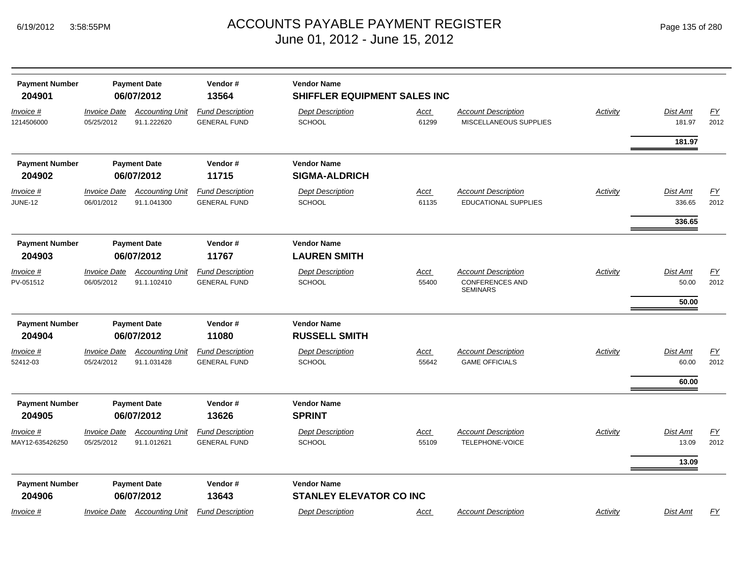| <b>Payment Number</b><br>204901     |                                   | <b>Payment Date</b><br>06/07/2012     | Vendor#<br>13564                               | <b>Vendor Name</b><br>SHIFFLER EQUIPMENT SALES INC   |                      |                                                                         |                 |                                   |                   |
|-------------------------------------|-----------------------------------|---------------------------------------|------------------------------------------------|------------------------------------------------------|----------------------|-------------------------------------------------------------------------|-----------------|-----------------------------------|-------------------|
| Invoice #<br>1214506000             | <b>Invoice Date</b><br>05/25/2012 | <b>Accounting Unit</b><br>91.1.222620 | <b>Fund Description</b><br><b>GENERAL FUND</b> | <b>Dept Description</b><br><b>SCHOOL</b>             | <u>Acct</u><br>61299 | <b>Account Description</b><br>MISCELLANEOUS SUPPLIES                    | <b>Activity</b> | Dist Amt<br>181.97                | EY<br>2012        |
|                                     |                                   |                                       |                                                |                                                      |                      |                                                                         |                 | 181.97                            |                   |
| <b>Payment Number</b><br>204902     |                                   | <b>Payment Date</b><br>06/07/2012     | Vendor#<br>11715                               | <b>Vendor Name</b><br><b>SIGMA-ALDRICH</b>           |                      |                                                                         |                 |                                   |                   |
| <u>Invoice #</u><br><b>JUNE-12</b>  | <b>Invoice Date</b><br>06/01/2012 | <b>Accounting Unit</b><br>91.1.041300 | <b>Fund Description</b><br><b>GENERAL FUND</b> | <b>Dept Description</b><br>SCHOOL                    | <b>Acct</b><br>61135 | <b>Account Description</b><br><b>EDUCATIONAL SUPPLIES</b>               | <b>Activity</b> | Dist Amt<br>336.65                | <u>FY</u><br>2012 |
| <b>Payment Number</b><br>204903     |                                   | <b>Payment Date</b><br>06/07/2012     | Vendor#<br>11767                               | <b>Vendor Name</b><br><b>LAUREN SMITH</b>            |                      |                                                                         |                 | 336.65                            |                   |
| Invoice #<br>PV-051512              | <b>Invoice Date</b><br>06/05/2012 | <b>Accounting Unit</b><br>91.1.102410 | <b>Fund Description</b><br><b>GENERAL FUND</b> | <b>Dept Description</b><br><b>SCHOOL</b>             | Acct<br>55400        | <b>Account Description</b><br><b>CONFERENCES AND</b><br><b>SEMINARS</b> | Activity        | Dist Amt<br>50.00                 | EY<br>2012        |
|                                     |                                   |                                       |                                                |                                                      |                      |                                                                         |                 | 50.00                             |                   |
| <b>Payment Number</b><br>204904     |                                   | <b>Payment Date</b><br>06/07/2012     | Vendor#<br>11080                               | <b>Vendor Name</b><br><b>RUSSELL SMITH</b>           |                      |                                                                         |                 |                                   |                   |
| Invoice #<br>52412-03               | <b>Invoice Date</b><br>05/24/2012 | <b>Accounting Unit</b><br>91.1.031428 | <b>Fund Description</b><br><b>GENERAL FUND</b> | <b>Dept Description</b><br><b>SCHOOL</b>             | <u>Acct</u><br>55642 | <b>Account Description</b><br><b>GAME OFFICIALS</b>                     | <b>Activity</b> | <b>Dist Amt</b><br>60.00<br>60.00 | EY<br>2012        |
| <b>Payment Number</b><br>204905     |                                   | <b>Payment Date</b><br>06/07/2012     | Vendor#<br>13626                               | <b>Vendor Name</b><br><b>SPRINT</b>                  |                      |                                                                         |                 |                                   |                   |
| <u>Invoice #</u><br>MAY12-635426250 | <b>Invoice Date</b><br>05/25/2012 | <b>Accounting Unit</b><br>91.1.012621 | <b>Fund Description</b><br><b>GENERAL FUND</b> | <b>Dept Description</b><br><b>SCHOOL</b>             | <u>Acct</u><br>55109 | <b>Account Description</b><br>TELEPHONE-VOICE                           | <b>Activity</b> | <b>Dist Amt</b><br>13.09          | EY<br>2012        |
|                                     |                                   |                                       |                                                |                                                      |                      |                                                                         |                 | 13.09                             |                   |
| <b>Payment Number</b><br>204906     |                                   | <b>Payment Date</b><br>06/07/2012     | Vendor#<br>13643                               | <b>Vendor Name</b><br><b>STANLEY ELEVATOR CO INC</b> |                      |                                                                         |                 |                                   |                   |
| Invoice #                           |                                   | Invoice Date Accounting Unit          | <b>Fund Description</b>                        | <b>Dept Description</b>                              | Acct                 | <b>Account Description</b>                                              | Activity        | <b>Dist Amt</b>                   | FY                |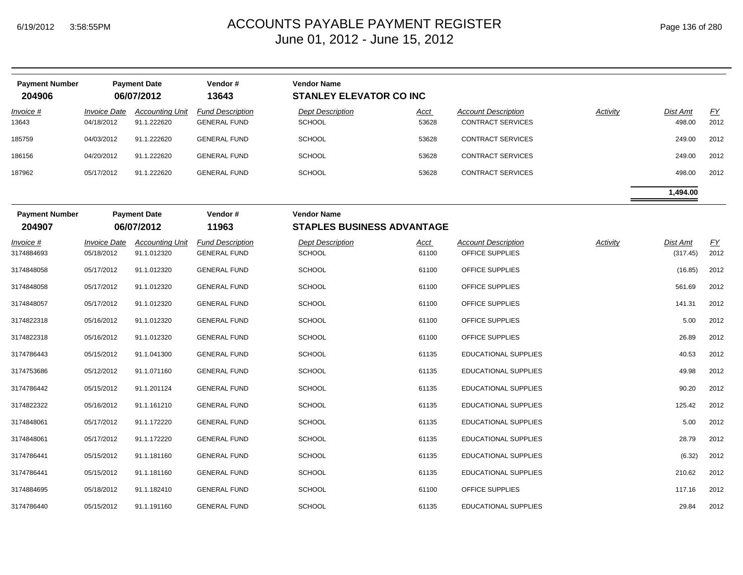| <b>Payment Number</b><br>204906 |                                   | <b>Payment Date</b><br>06/07/2012     | Vendor#<br>13643                               | <b>Vendor Name</b><br><b>STANLEY ELEVATOR CO INC</b>    |                      |                                                        |                 |                      |                          |
|---------------------------------|-----------------------------------|---------------------------------------|------------------------------------------------|---------------------------------------------------------|----------------------|--------------------------------------------------------|-----------------|----------------------|--------------------------|
| <u>Invoice #</u><br>13643       | <b>Invoice Date</b><br>04/18/2012 | <b>Accounting Unit</b><br>91.1.222620 | <b>Fund Description</b><br><b>GENERAL FUND</b> | <b>Dept Description</b><br><b>SCHOOL</b>                | <u>Acct</u><br>53628 | <b>Account Description</b><br><b>CONTRACT SERVICES</b> | <b>Activity</b> | Dist Amt<br>498.00   | EY<br>2012               |
| 185759                          | 04/03/2012                        | 91.1.222620                           | <b>GENERAL FUND</b>                            | <b>SCHOOL</b>                                           | 53628                | <b>CONTRACT SERVICES</b>                               |                 | 249.00               | 2012                     |
| 186156                          | 04/20/2012                        | 91.1.222620                           | <b>GENERAL FUND</b>                            | <b>SCHOOL</b>                                           | 53628                | CONTRACT SERVICES                                      |                 | 249.00               | 2012                     |
| 187962                          | 05/17/2012                        | 91.1.222620                           | <b>GENERAL FUND</b>                            | <b>SCHOOL</b>                                           | 53628                | <b>CONTRACT SERVICES</b>                               |                 | 498.00               | 2012                     |
|                                 |                                   |                                       |                                                |                                                         |                      |                                                        |                 | 1,494.00             |                          |
| <b>Payment Number</b><br>204907 |                                   | <b>Payment Date</b><br>06/07/2012     | Vendor#<br>11963                               | <b>Vendor Name</b><br><b>STAPLES BUSINESS ADVANTAGE</b> |                      |                                                        |                 |                      |                          |
| Invoice #<br>3174884693         | <b>Invoice Date</b><br>05/18/2012 | <b>Accounting Unit</b><br>91.1.012320 | <b>Fund Description</b><br><b>GENERAL FUND</b> | <b>Dept Description</b><br><b>SCHOOL</b>                | <b>Acct</b><br>61100 | <b>Account Description</b><br>OFFICE SUPPLIES          | Activity        | Dist Amt<br>(317.45) | $\underline{FY}$<br>2012 |
| 3174848058                      | 05/17/2012                        | 91.1.012320                           | <b>GENERAL FUND</b>                            | <b>SCHOOL</b>                                           | 61100                | OFFICE SUPPLIES                                        |                 | (16.85)              | 2012                     |
| 3174848058                      | 05/17/2012                        | 91.1.012320                           | <b>GENERAL FUND</b>                            | <b>SCHOOL</b>                                           | 61100                | OFFICE SUPPLIES                                        |                 | 561.69               | 2012                     |
| 3174848057                      | 05/17/2012                        | 91.1.012320                           | <b>GENERAL FUND</b>                            | <b>SCHOOL</b>                                           | 61100                | OFFICE SUPPLIES                                        |                 | 141.31               | 2012                     |
| 3174822318                      | 05/16/2012                        | 91.1.012320                           | <b>GENERAL FUND</b>                            | <b>SCHOOL</b>                                           | 61100                | OFFICE SUPPLIES                                        |                 | 5.00                 | 2012                     |
| 3174822318                      | 05/16/2012                        | 91.1.012320                           | <b>GENERAL FUND</b>                            | <b>SCHOOL</b>                                           | 61100                | OFFICE SUPPLIES                                        |                 | 26.89                | 2012                     |
| 3174786443                      | 05/15/2012                        | 91.1.041300                           | <b>GENERAL FUND</b>                            | <b>SCHOOL</b>                                           | 61135                | <b>EDUCATIONAL SUPPLIES</b>                            |                 | 40.53                | 2012                     |
| 3174753686                      | 05/12/2012                        | 91.1.071160                           | <b>GENERAL FUND</b>                            | <b>SCHOOL</b>                                           | 61135                | <b>EDUCATIONAL SUPPLIES</b>                            |                 | 49.98                | 2012                     |
| 3174786442                      | 05/15/2012                        | 91.1.201124                           | <b>GENERAL FUND</b>                            | <b>SCHOOL</b>                                           | 61135                | <b>EDUCATIONAL SUPPLIES</b>                            |                 | 90.20                | 2012                     |
| 3174822322                      | 05/16/2012                        | 91.1.161210                           | <b>GENERAL FUND</b>                            | <b>SCHOOL</b>                                           | 61135                | <b>EDUCATIONAL SUPPLIES</b>                            |                 | 125.42               | 2012                     |
| 3174848061                      | 05/17/2012                        | 91.1.172220                           | <b>GENERAL FUND</b>                            | <b>SCHOOL</b>                                           | 61135                | <b>EDUCATIONAL SUPPLIES</b>                            |                 | 5.00                 | 2012                     |
| 3174848061                      | 05/17/2012                        | 91.1.172220                           | <b>GENERAL FUND</b>                            | <b>SCHOOL</b>                                           | 61135                | <b>EDUCATIONAL SUPPLIES</b>                            |                 | 28.79                | 2012                     |
| 3174786441                      | 05/15/2012                        | 91.1.181160                           | <b>GENERAL FUND</b>                            | <b>SCHOOL</b>                                           | 61135                | <b>EDUCATIONAL SUPPLIES</b>                            |                 | (6.32)               | 2012                     |
| 3174786441                      | 05/15/2012                        | 91.1.181160                           | <b>GENERAL FUND</b>                            | <b>SCHOOL</b>                                           | 61135                | <b>EDUCATIONAL SUPPLIES</b>                            |                 | 210.62               | 2012                     |
| 3174884695                      | 05/18/2012                        | 91.1.182410                           | <b>GENERAL FUND</b>                            | <b>SCHOOL</b>                                           | 61100                | OFFICE SUPPLIES                                        |                 | 117.16               | 2012                     |
| 3174786440                      | 05/15/2012                        | 91.1.191160                           | <b>GENERAL FUND</b>                            | <b>SCHOOL</b>                                           | 61135                | EDUCATIONAL SUPPLIES                                   |                 | 29.84                | 2012                     |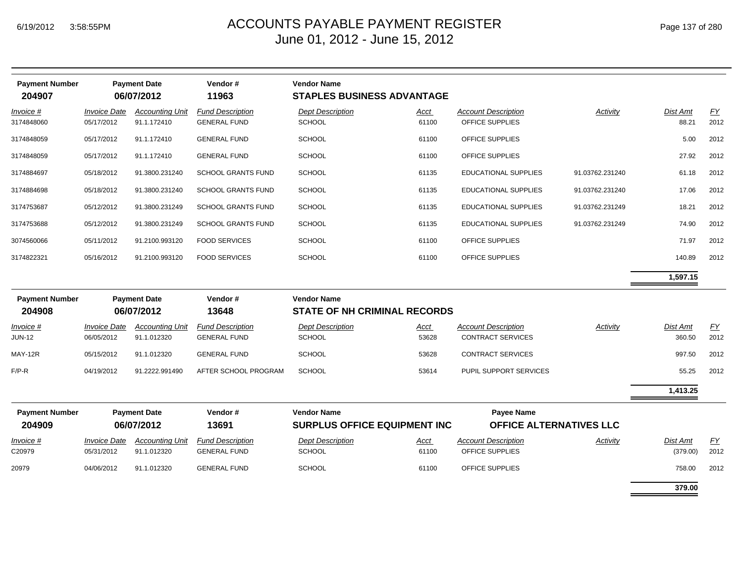| <b>Payment Number</b><br>204907 |                                   | <b>Payment Date</b><br>06/07/2012     | Vendor#<br>11963                               | <b>Vendor Name</b><br><b>STAPLES BUSINESS ADVANTAGE</b>   |                      |                                                        |                 |                             |            |
|---------------------------------|-----------------------------------|---------------------------------------|------------------------------------------------|-----------------------------------------------------------|----------------------|--------------------------------------------------------|-----------------|-----------------------------|------------|
| Invoice #<br>3174848060         | <b>Invoice Date</b><br>05/17/2012 | <b>Accounting Unit</b><br>91.1.172410 | <b>Fund Description</b><br><b>GENERAL FUND</b> | <b>Dept Description</b><br>SCHOOL                         | Acct<br>61100        | <b>Account Description</b><br>OFFICE SUPPLIES          | Activity        | <b>Dist Amt</b><br>88.21    | EY<br>2012 |
| 3174848059                      | 05/17/2012                        | 91.1.172410                           | <b>GENERAL FUND</b>                            | <b>SCHOOL</b>                                             | 61100                | OFFICE SUPPLIES                                        |                 | 5.00                        | 2012       |
| 3174848059                      | 05/17/2012                        | 91.1.172410                           | <b>GENERAL FUND</b>                            | <b>SCHOOL</b>                                             | 61100                | OFFICE SUPPLIES                                        |                 | 27.92                       | 2012       |
| 3174884697                      | 05/18/2012                        | 91.3800.231240                        | <b>SCHOOL GRANTS FUND</b>                      | SCHOOL                                                    | 61135                | EDUCATIONAL SUPPLIES                                   | 91.03762.231240 | 61.18                       | 2012       |
| 3174884698                      | 05/18/2012                        | 91.3800.231240                        | <b>SCHOOL GRANTS FUND</b>                      | SCHOOL                                                    | 61135                | <b>EDUCATIONAL SUPPLIES</b>                            | 91.03762.231240 | 17.06                       | 2012       |
| 3174753687                      | 05/12/2012                        | 91.3800.231249                        | <b>SCHOOL GRANTS FUND</b>                      | <b>SCHOOL</b>                                             | 61135                | EDUCATIONAL SUPPLIES                                   | 91.03762.231249 | 18.21                       | 2012       |
| 3174753688                      | 05/12/2012                        | 91.3800.231249                        | <b>SCHOOL GRANTS FUND</b>                      | <b>SCHOOL</b>                                             | 61135                | EDUCATIONAL SUPPLIES                                   | 91.03762.231249 | 74.90                       | 2012       |
| 3074560066                      | 05/11/2012                        | 91.2100.993120                        | <b>FOOD SERVICES</b>                           | SCHOOL                                                    | 61100                | OFFICE SUPPLIES                                        |                 | 71.97                       | 2012       |
| 3174822321                      | 05/16/2012                        | 91.2100.993120                        | <b>FOOD SERVICES</b>                           | SCHOOL                                                    | 61100                | OFFICE SUPPLIES                                        |                 | 140.89                      | 2012       |
|                                 |                                   |                                       |                                                |                                                           |                      |                                                        |                 | 1,597.15                    |            |
| <b>Payment Number</b><br>204908 |                                   | <b>Payment Date</b><br>06/07/2012     | Vendor#<br>13648                               | <b>Vendor Name</b><br><b>STATE OF NH CRIMINAL RECORDS</b> |                      |                                                        |                 |                             |            |
| Invoice #<br><b>JUN-12</b>      | <b>Invoice Date</b><br>06/05/2012 | <b>Accounting Unit</b><br>91.1.012320 | <b>Fund Description</b><br><b>GENERAL FUND</b> | <b>Dept Description</b><br>SCHOOL                         | Acct<br>53628        | <b>Account Description</b><br><b>CONTRACT SERVICES</b> | <b>Activity</b> | <b>Dist Amt</b><br>360.50   | EY<br>2012 |
| MAY-12R                         | 05/15/2012                        | 91.1.012320                           | <b>GENERAL FUND</b>                            | <b>SCHOOL</b>                                             | 53628                | <b>CONTRACT SERVICES</b>                               |                 | 997.50                      | 2012       |
| $F/P-R$                         | 04/19/2012                        | 91.2222.991490                        | AFTER SCHOOL PROGRAM                           | <b>SCHOOL</b>                                             | 53614                | PUPIL SUPPORT SERVICES                                 |                 | 55.25                       | 2012       |
|                                 |                                   |                                       |                                                |                                                           |                      |                                                        |                 | 1,413.25                    |            |
| <b>Payment Number</b><br>204909 |                                   | <b>Payment Date</b><br>06/07/2012     | Vendor#<br>13691                               | <b>Vendor Name</b><br><b>SURPLUS OFFICE EQUIPMENT INC</b> |                      | <b>Payee Name</b><br>OFFICE ALTERNATIVES LLC           |                 |                             |            |
| Invoice #<br>C20979             | <b>Invoice Date</b><br>05/31/2012 | <b>Accounting Unit</b><br>91.1.012320 | <b>Fund Description</b><br><b>GENERAL FUND</b> | <b>Dept Description</b><br>SCHOOL                         | <b>Acct</b><br>61100 | <b>Account Description</b><br>OFFICE SUPPLIES          | Activity        | <b>Dist Amt</b><br>(379.00) | EY<br>2012 |
| 20979                           | 04/06/2012                        | 91.1.012320                           | <b>GENERAL FUND</b>                            | <b>SCHOOL</b>                                             | 61100                | OFFICE SUPPLIES                                        |                 | 758.00                      | 2012       |
|                                 |                                   |                                       |                                                |                                                           |                      |                                                        |                 | 379.00                      |            |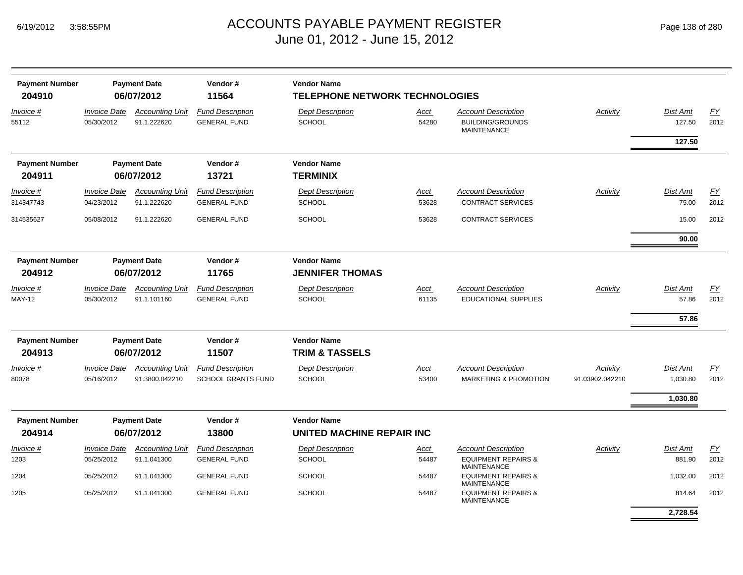| <b>Payment Number</b>           |                                   | <b>Payment Date</b>                      | Vendor#                                              | <b>Vendor Name</b>                                     |               |                                                                             |                             |                           |                   |
|---------------------------------|-----------------------------------|------------------------------------------|------------------------------------------------------|--------------------------------------------------------|---------------|-----------------------------------------------------------------------------|-----------------------------|---------------------------|-------------------|
| 204910                          |                                   | 06/07/2012                               | 11564                                                | <b>TELEPHONE NETWORK TECHNOLOGIES</b>                  |               |                                                                             |                             |                           |                   |
| Invoice #<br>55112              | <b>Invoice Date</b><br>05/30/2012 | <b>Accounting Unit</b><br>91.1.222620    | <b>Fund Description</b><br><b>GENERAL FUND</b>       | <b>Dept Description</b><br><b>SCHOOL</b>               | Acct<br>54280 | <b>Account Description</b><br><b>BUILDING/GROUNDS</b><br><b>MAINTENANCE</b> | Activity                    | <b>Dist Amt</b><br>127.50 | EY<br>2012        |
|                                 |                                   |                                          |                                                      |                                                        |               |                                                                             |                             | 127.50                    |                   |
| <b>Payment Number</b>           |                                   | <b>Payment Date</b>                      | Vendor#                                              | <b>Vendor Name</b>                                     |               |                                                                             |                             |                           |                   |
| 204911                          |                                   | 06/07/2012                               | 13721                                                | <b>TERMINIX</b>                                        |               |                                                                             |                             |                           |                   |
| <i>Invoice</i> #<br>314347743   | <b>Invoice Date</b><br>04/23/2012 | <b>Accounting Unit</b><br>91.1.222620    | <b>Fund Description</b><br><b>GENERAL FUND</b>       | <b>Dept Description</b><br><b>SCHOOL</b>               | Acct<br>53628 | <b>Account Description</b><br><b>CONTRACT SERVICES</b>                      | Activity                    | <b>Dist Amt</b><br>75.00  | <u>FY</u><br>2012 |
| 314535627                       | 05/08/2012                        | 91.1.222620                              | <b>GENERAL FUND</b>                                  | <b>SCHOOL</b>                                          | 53628         | <b>CONTRACT SERVICES</b>                                                    |                             | 15.00                     | 2012              |
|                                 |                                   |                                          |                                                      |                                                        |               |                                                                             |                             | 90.00                     |                   |
| <b>Payment Number</b><br>204912 |                                   | <b>Payment Date</b><br>06/07/2012        | Vendor#<br>11765                                     | <b>Vendor Name</b><br><b>JENNIFER THOMAS</b>           |               |                                                                             |                             |                           |                   |
| Invoice #                       | <b>Invoice Date</b>               | <b>Accounting Unit</b>                   | <b>Fund Description</b>                              | <b>Dept Description</b>                                | Acct          | <b>Account Description</b>                                                  | <b>Activity</b>             | Dist Amt                  | $\underline{FY}$  |
| <b>MAY-12</b>                   | 05/30/2012                        | 91.1.101160                              | <b>GENERAL FUND</b>                                  | <b>SCHOOL</b>                                          | 61135         | <b>EDUCATIONAL SUPPLIES</b>                                                 |                             | 57.86                     | 2012              |
|                                 |                                   |                                          |                                                      |                                                        |               |                                                                             |                             | 57.86                     |                   |
| <b>Payment Number</b>           |                                   | <b>Payment Date</b>                      | Vendor#                                              | <b>Vendor Name</b>                                     |               |                                                                             |                             |                           |                   |
| 204913                          |                                   | 06/07/2012                               | 11507                                                | <b>TRIM &amp; TASSELS</b>                              |               |                                                                             |                             |                           |                   |
| Invoice #<br>80078              | <b>Invoice Date</b><br>05/16/2012 | <b>Accounting Unit</b><br>91.3800.042210 | <b>Fund Description</b><br><b>SCHOOL GRANTS FUND</b> | <b>Dept Description</b><br><b>SCHOOL</b>               | Acct<br>53400 | <b>Account Description</b><br><b>MARKETING &amp; PROMOTION</b>              | Activity<br>91.03902.042210 | Dist Amt<br>1,030.80      | EY<br>2012        |
|                                 |                                   |                                          |                                                      |                                                        |               |                                                                             |                             | 1,030.80                  |                   |
|                                 |                                   |                                          |                                                      |                                                        |               |                                                                             |                             |                           |                   |
| <b>Payment Number</b><br>204914 |                                   | <b>Payment Date</b><br>06/07/2012        | Vendor#<br>13800                                     | <b>Vendor Name</b><br><b>UNITED MACHINE REPAIR INC</b> |               |                                                                             |                             |                           |                   |
| Invoice #                       | <b>Invoice Date</b>               | <b>Accounting Unit</b>                   | <b>Fund Description</b>                              | <b>Dept Description</b>                                | Acct          | <b>Account Description</b>                                                  | Activity                    | <b>Dist Amt</b>           | FY                |
| 1203                            | 05/25/2012                        | 91.1.041300                              | <b>GENERAL FUND</b>                                  | <b>SCHOOL</b>                                          | 54487         | <b>EQUIPMENT REPAIRS &amp;</b><br><b>MAINTENANCE</b>                        |                             | 881.90                    | 2012              |
| 1204                            | 05/25/2012                        | 91.1.041300                              | <b>GENERAL FUND</b>                                  | <b>SCHOOL</b>                                          | 54487         | <b>EQUIPMENT REPAIRS &amp;</b><br><b>MAINTENANCE</b>                        |                             | 1,032.00                  | 2012              |
| 1205                            | 05/25/2012                        | 91.1.041300                              | <b>GENERAL FUND</b>                                  | <b>SCHOOL</b>                                          | 54487         | <b>EQUIPMENT REPAIRS &amp;</b><br><b>MAINTENANCE</b>                        |                             | 814.64                    | 2012              |
|                                 |                                   |                                          |                                                      |                                                        |               |                                                                             |                             | 2,728.54                  |                   |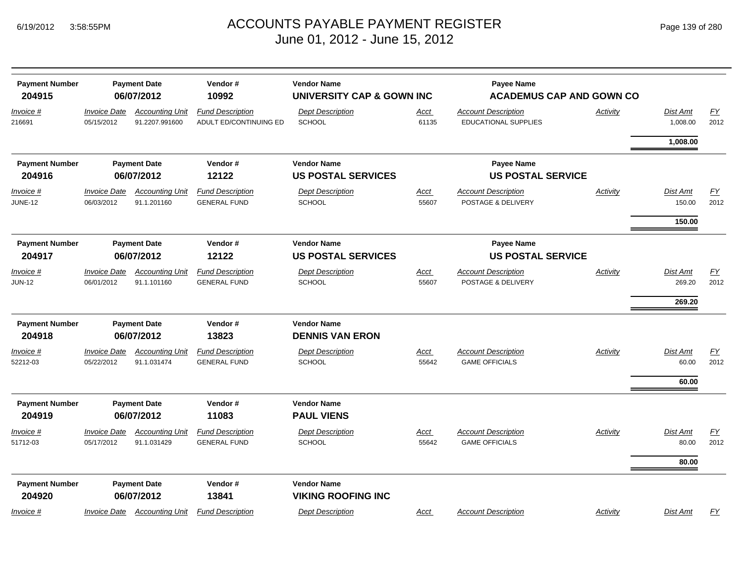| <b>Payment Number</b><br><b>Payment Date</b><br>06/07/2012<br>204915 |                                   |                                          | Vendor#<br>10992                                  | <b>Vendor Name</b><br>UNIVERSITY CAP & GOWN INC |               | <b>Payee Name</b><br><b>ACADEMUS CAP AND GOWN CO</b> |          |                      |            |
|----------------------------------------------------------------------|-----------------------------------|------------------------------------------|---------------------------------------------------|-------------------------------------------------|---------------|------------------------------------------------------|----------|----------------------|------------|
| Invoice #<br>216691                                                  | <b>Invoice Date</b><br>05/15/2012 | <b>Accounting Unit</b><br>91.2207.991600 | <b>Fund Description</b><br>ADULT ED/CONTINUING ED | <b>Dept Description</b><br><b>SCHOOL</b>        | Acct<br>61135 | <b>Account Description</b><br>EDUCATIONAL SUPPLIES   | Activity | Dist Amt<br>1,008.00 | EY<br>2012 |
|                                                                      |                                   |                                          |                                                   |                                                 |               |                                                      |          | 1,008.00             |            |
| <b>Payment Number</b>                                                |                                   | <b>Payment Date</b>                      | Vendor#                                           | <b>Vendor Name</b>                              |               | Payee Name                                           |          |                      |            |
| 204916                                                               |                                   | 06/07/2012                               | 12122                                             | <b>US POSTAL SERVICES</b>                       |               | <b>US POSTAL SERVICE</b>                             |          |                      |            |
| Invoice #                                                            | <b>Invoice Date</b>               | <b>Accounting Unit</b>                   | <b>Fund Description</b>                           | <b>Dept Description</b>                         | Acct          | <b>Account Description</b>                           | Activity | Dist Amt             | EY         |
| <b>JUNE-12</b>                                                       | 06/03/2012                        | 91.1.201160                              | <b>GENERAL FUND</b>                               | <b>SCHOOL</b>                                   | 55607         | POSTAGE & DELIVERY                                   |          | 150.00               | 2012       |
|                                                                      |                                   |                                          |                                                   |                                                 |               |                                                      |          | 150.00               |            |
| <b>Payment Number</b>                                                |                                   | <b>Payment Date</b>                      | Vendor#                                           | <b>Vendor Name</b>                              |               | <b>Payee Name</b>                                    |          |                      |            |
| 204917                                                               | 06/07/2012                        |                                          | 12122                                             | <b>US POSTAL SERVICES</b>                       |               | <b>US POSTAL SERVICE</b>                             |          |                      |            |
| Invoice #                                                            | <b>Invoice Date</b>               | <b>Accounting Unit</b>                   | <b>Fund Description</b>                           | <b>Dept Description</b>                         | <u>Acct</u>   | <b>Account Description</b>                           | Activity | Dist Amt             | EY         |
| <b>JUN-12</b>                                                        | 06/01/2012                        | 91.1.101160                              | <b>GENERAL FUND</b>                               | <b>SCHOOL</b>                                   | 55607         | POSTAGE & DELIVERY                                   |          | 269.20               | 2012       |
|                                                                      |                                   |                                          |                                                   |                                                 |               |                                                      |          | 269.20               |            |
| <b>Payment Number</b>                                                |                                   | <b>Payment Date</b>                      | Vendor#                                           | <b>Vendor Name</b>                              |               |                                                      |          |                      |            |
| 204918                                                               | 06/07/2012                        |                                          | 13823                                             | <b>DENNIS VAN ERON</b>                          |               |                                                      |          |                      |            |
| Invoice #                                                            | <b>Invoice Date</b>               | <b>Accounting Unit</b>                   | <b>Fund Description</b>                           | <b>Dept Description</b>                         | <u>Acct</u>   | <b>Account Description</b>                           | Activity | Dist Amt             | EY         |
| 52212-03                                                             | 05/22/2012                        | 91.1.031474                              | <b>GENERAL FUND</b>                               | <b>SCHOOL</b>                                   | 55642         | <b>GAME OFFICIALS</b>                                |          | 60.00                | 2012       |
|                                                                      |                                   |                                          |                                                   |                                                 |               |                                                      |          | 60.00                |            |
|                                                                      |                                   |                                          |                                                   |                                                 |               |                                                      |          |                      |            |
| <b>Payment Number</b>                                                |                                   | <b>Payment Date</b>                      | Vendor#                                           | <b>Vendor Name</b>                              |               |                                                      |          |                      |            |
| 204919                                                               |                                   | 06/07/2012                               | 11083                                             | <b>PAUL VIENS</b>                               |               |                                                      |          |                      |            |
| Invoice #                                                            | <b>Invoice Date</b>               | <b>Accounting Unit</b>                   | <b>Fund Description</b>                           | <b>Dept Description</b>                         | <u>Acct</u>   | <b>Account Description</b>                           | Activity | Dist Amt             | EY         |
| 51712-03                                                             | 05/17/2012                        | 91.1.031429                              | <b>GENERAL FUND</b>                               | <b>SCHOOL</b>                                   | 55642         | <b>GAME OFFICIALS</b>                                |          | 80.00                | 2012       |
|                                                                      |                                   |                                          |                                                   |                                                 |               |                                                      |          | 80.00                |            |
| <b>Payment Number</b>                                                |                                   | <b>Payment Date</b>                      | Vendor#                                           | <b>Vendor Name</b>                              |               |                                                      |          |                      |            |
| 204920                                                               |                                   | 06/07/2012                               | 13841                                             | <b>VIKING ROOFING INC</b>                       |               |                                                      |          |                      |            |
| Invoice #                                                            | <b>Invoice Date</b>               | <b>Accounting Unit</b>                   | <b>Fund Description</b>                           | <b>Dept Description</b>                         | Acct          | <b>Account Description</b>                           | Activity | Dist Amt             | FY         |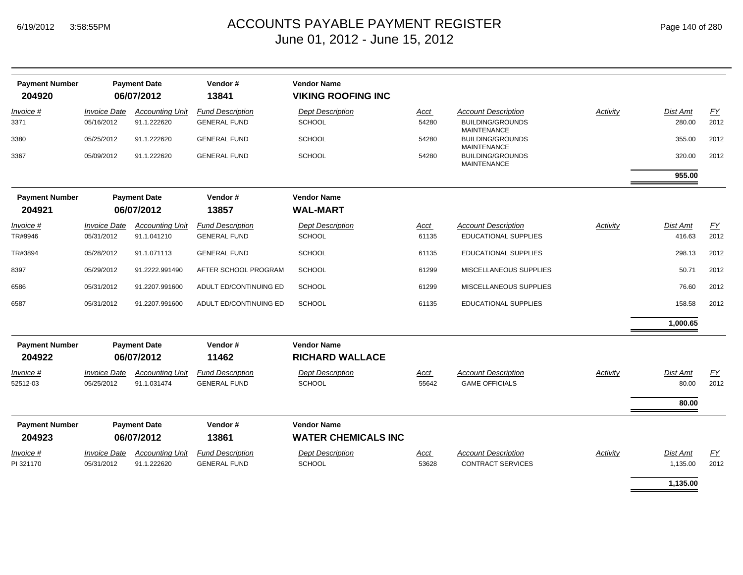| <b>Payment Number</b><br>204920 |                            | <b>Payment Date</b><br>06/07/2012 | Vendor#<br>13841        | <b>Vendor Name</b><br><b>VIKING ROOFING INC</b>  |       |                                               |          |                 |           |
|---------------------------------|----------------------------|-----------------------------------|-------------------------|--------------------------------------------------|-------|-----------------------------------------------|----------|-----------------|-----------|
| Invoice #                       | <b>Invoice Date</b>        | <b>Accounting Unit</b>            | <b>Fund Description</b> | <b>Dept Description</b>                          | Acct  | <b>Account Description</b>                    | Activity | <b>Dist Amt</b> | EY        |
| 3371                            | 05/16/2012                 | 91.1.222620                       | <b>GENERAL FUND</b>     | <b>SCHOOL</b>                                    | 54280 | <b>BUILDING/GROUNDS</b><br><b>MAINTENANCE</b> |          | 280.00          | 2012      |
| 3380                            | 05/25/2012                 | 91.1.222620                       | <b>GENERAL FUND</b>     | <b>SCHOOL</b>                                    | 54280 | <b>BUILDING/GROUNDS</b><br>MAINTENANCE        |          | 355.00          | 2012      |
| 3367                            | 05/09/2012                 | 91.1.222620                       | <b>GENERAL FUND</b>     | <b>SCHOOL</b>                                    | 54280 | <b>BUILDING/GROUNDS</b><br><b>MAINTENANCE</b> |          | 320.00          | 2012      |
|                                 |                            |                                   |                         |                                                  |       |                                               |          | 955.00          |           |
| <b>Payment Number</b>           |                            | <b>Payment Date</b>               | Vendor#                 | <b>Vendor Name</b>                               |       |                                               |          |                 |           |
| 204921                          |                            | 06/07/2012                        | 13857                   | <b>WAL-MART</b>                                  |       |                                               |          |                 |           |
| Invoice #                       | <b>Invoice Date</b>        | <b>Accounting Unit</b>            | <b>Fund Description</b> | <b>Dept Description</b>                          | Acct  | <b>Account Description</b>                    | Activity | Dist Amt        | EY        |
| TR#9946                         | 05/31/2012                 | 91.1.041210                       | <b>GENERAL FUND</b>     | <b>SCHOOL</b>                                    | 61135 | EDUCATIONAL SUPPLIES                          |          | 416.63          | 2012      |
| TR#3894                         | 05/28/2012                 | 91.1.071113                       | <b>GENERAL FUND</b>     | <b>SCHOOL</b>                                    | 61135 | EDUCATIONAL SUPPLIES                          |          | 298.13          | 2012      |
| 8397                            | 05/29/2012                 | 91.2222.991490                    | AFTER SCHOOL PROGRAM    | <b>SCHOOL</b>                                    | 61299 | MISCELLANEOUS SUPPLIES                        |          | 50.71           | 2012      |
| 6586                            | 05/31/2012                 | 91.2207.991600                    | ADULT ED/CONTINUING ED  | <b>SCHOOL</b>                                    | 61299 | MISCELLANEOUS SUPPLIES                        |          | 76.60           | 2012      |
| 6587                            | 05/31/2012                 | 91.2207.991600                    | ADULT ED/CONTINUING ED  | <b>SCHOOL</b>                                    | 61135 | <b>EDUCATIONAL SUPPLIES</b>                   |          | 158.58          | 2012      |
|                                 |                            |                                   |                         |                                                  |       |                                               |          | 1,000.65        |           |
| <b>Payment Number</b><br>204922 |                            | <b>Payment Date</b><br>06/07/2012 | Vendor#<br>11462        | <b>Vendor Name</b><br><b>RICHARD WALLACE</b>     |       |                                               |          |                 |           |
| <i>Invoice</i> #                | <i><b>Invoice Date</b></i> | <b>Accounting Unit</b>            | <b>Fund Description</b> | <b>Dept Description</b>                          | Acct  | <b>Account Description</b>                    | Activity | Dist Amt        | <u>FY</u> |
| 52512-03                        | 05/25/2012                 | 91.1.031474                       | <b>GENERAL FUND</b>     | <b>SCHOOL</b>                                    | 55642 | <b>GAME OFFICIALS</b>                         |          | 80.00           | 2012      |
|                                 |                            |                                   |                         |                                                  |       |                                               |          | 80.00           |           |
| <b>Payment Number</b><br>204923 |                            | <b>Payment Date</b><br>06/07/2012 | Vendor#<br>13861        | <b>Vendor Name</b><br><b>WATER CHEMICALS INC</b> |       |                                               |          |                 |           |
| <i>Invoice</i> #                | <b>Invoice Date</b>        | <b>Accounting Unit</b>            | <b>Fund Description</b> | <b>Dept Description</b>                          | Acct  | <b>Account Description</b>                    | Activity | Dist Amt        | EY        |
| PI 321170                       | 05/31/2012                 | 91.1.222620                       | <b>GENERAL FUND</b>     | SCHOOL                                           | 53628 | <b>CONTRACT SERVICES</b>                      |          | 1,135.00        | 2012      |
|                                 |                            |                                   |                         |                                                  |       |                                               |          | 1,135.00        |           |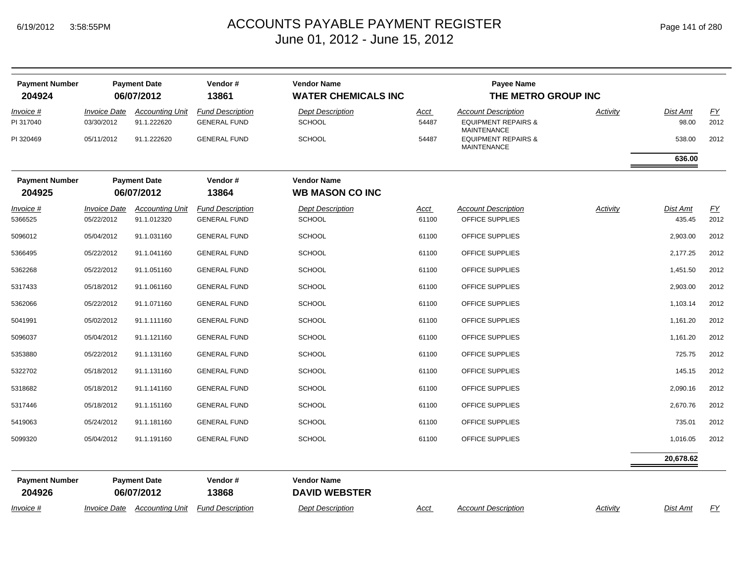| <b>Payment Number</b><br>204924 |                                          | <b>Payment Date</b><br>06/07/2012     | Vendor#<br>13861                               | <b>Vendor Name</b><br><b>WATER CHEMICALS INC</b> |                      | <b>Payee Name</b><br>THE METRO GROUP INC                                           |          |                    |                          |
|---------------------------------|------------------------------------------|---------------------------------------|------------------------------------------------|--------------------------------------------------|----------------------|------------------------------------------------------------------------------------|----------|--------------------|--------------------------|
| <i>Invoice</i> #<br>PI 317040   | <i><b>Invoice Date</b></i><br>03/30/2012 | <b>Accounting Unit</b><br>91.1.222620 | <b>Fund Description</b><br><b>GENERAL FUND</b> | <b>Dept Description</b><br><b>SCHOOL</b>         | <u>Acct</u><br>54487 | <b>Account Description</b><br><b>EQUIPMENT REPAIRS &amp;</b><br><b>MAINTENANCE</b> | Activity | Dist Amt<br>98.00  | EY<br>2012               |
| PI 320469                       | 05/11/2012                               | 91.1.222620                           | <b>GENERAL FUND</b>                            | <b>SCHOOL</b>                                    | 54487                | <b>EQUIPMENT REPAIRS &amp;</b><br><b>MAINTENANCE</b>                               |          | 538.00             | 2012                     |
|                                 |                                          |                                       |                                                |                                                  |                      |                                                                                    |          | 636.00             |                          |
| <b>Payment Number</b><br>204925 |                                          | <b>Payment Date</b><br>06/07/2012     | Vendor#<br>13864                               | <b>Vendor Name</b><br><b>WB MASON CO INC</b>     |                      |                                                                                    |          |                    |                          |
| Invoice #<br>5366525            | <b>Invoice Date</b><br>05/22/2012        | <b>Accounting Unit</b><br>91.1.012320 | <b>Fund Description</b><br><b>GENERAL FUND</b> | <b>Dept Description</b><br><b>SCHOOL</b>         | <u>Acct</u><br>61100 | <b>Account Description</b><br>OFFICE SUPPLIES                                      | Activity | Dist Amt<br>435.45 | $\underline{FY}$<br>2012 |
| 5096012                         | 05/04/2012                               | 91.1.031160                           | <b>GENERAL FUND</b>                            | <b>SCHOOL</b>                                    | 61100                | OFFICE SUPPLIES                                                                    |          | 2,903.00           | 2012                     |
| 5366495                         | 05/22/2012                               | 91.1.041160                           | <b>GENERAL FUND</b>                            | <b>SCHOOL</b>                                    | 61100                | OFFICE SUPPLIES                                                                    |          | 2,177.25           | 2012                     |
| 5362268                         | 05/22/2012                               | 91.1.051160                           | <b>GENERAL FUND</b>                            | <b>SCHOOL</b>                                    | 61100                | OFFICE SUPPLIES                                                                    |          | 1,451.50           | 2012                     |
| 5317433                         | 05/18/2012                               | 91.1.061160                           | <b>GENERAL FUND</b>                            | <b>SCHOOL</b>                                    | 61100                | OFFICE SUPPLIES                                                                    |          | 2,903.00           | 2012                     |
| 5362066                         | 05/22/2012                               | 91.1.071160                           | <b>GENERAL FUND</b>                            | <b>SCHOOL</b>                                    | 61100                | OFFICE SUPPLIES                                                                    |          | 1,103.14           | 2012                     |
| 5041991                         | 05/02/2012                               | 91.1.111160                           | <b>GENERAL FUND</b>                            | <b>SCHOOL</b>                                    | 61100                | OFFICE SUPPLIES                                                                    |          | 1,161.20           | 2012                     |
| 5096037                         | 05/04/2012                               | 91.1.121160                           | <b>GENERAL FUND</b>                            | <b>SCHOOL</b>                                    | 61100                | OFFICE SUPPLIES                                                                    |          | 1,161.20           | 2012                     |
| 5353880                         | 05/22/2012                               | 91.1.131160                           | <b>GENERAL FUND</b>                            | <b>SCHOOL</b>                                    | 61100                | OFFICE SUPPLIES                                                                    |          | 725.75             | 2012                     |
| 5322702                         | 05/18/2012                               | 91.1.131160                           | <b>GENERAL FUND</b>                            | <b>SCHOOL</b>                                    | 61100                | OFFICE SUPPLIES                                                                    |          | 145.15             | 2012                     |
| 5318682                         | 05/18/2012                               | 91.1.141160                           | <b>GENERAL FUND</b>                            | <b>SCHOOL</b>                                    | 61100                | OFFICE SUPPLIES                                                                    |          | 2,090.16           | 2012                     |
| 5317446                         | 05/18/2012                               | 91.1.151160                           | <b>GENERAL FUND</b>                            | <b>SCHOOL</b>                                    | 61100                | OFFICE SUPPLIES                                                                    |          | 2,670.76           | 2012                     |
| 5419063                         | 05/24/2012                               | 91.1.181160                           | <b>GENERAL FUND</b>                            | <b>SCHOOL</b>                                    | 61100                | OFFICE SUPPLIES                                                                    |          | 735.01             | 2012                     |
| 5099320                         | 05/04/2012                               | 91.1.191160                           | <b>GENERAL FUND</b>                            | <b>SCHOOL</b>                                    | 61100                | OFFICE SUPPLIES                                                                    |          | 1,016.05           | 2012                     |
|                                 |                                          |                                       |                                                |                                                  |                      |                                                                                    |          | 20,678.62          |                          |
| <b>Payment Number</b><br>204926 |                                          | <b>Payment Date</b><br>06/07/2012     | Vendor#<br>13868                               | <b>Vendor Name</b><br><b>DAVID WEBSTER</b>       |                      |                                                                                    |          |                    |                          |
| Invoice #                       |                                          | Invoice Date Accounting Unit          | <b>Fund Description</b>                        | <b>Dept Description</b>                          | Acct                 | <b>Account Description</b>                                                         | Activity | Dist Amt           | <u>FY</u>                |
|                                 |                                          |                                       |                                                |                                                  |                      |                                                                                    |          |                    |                          |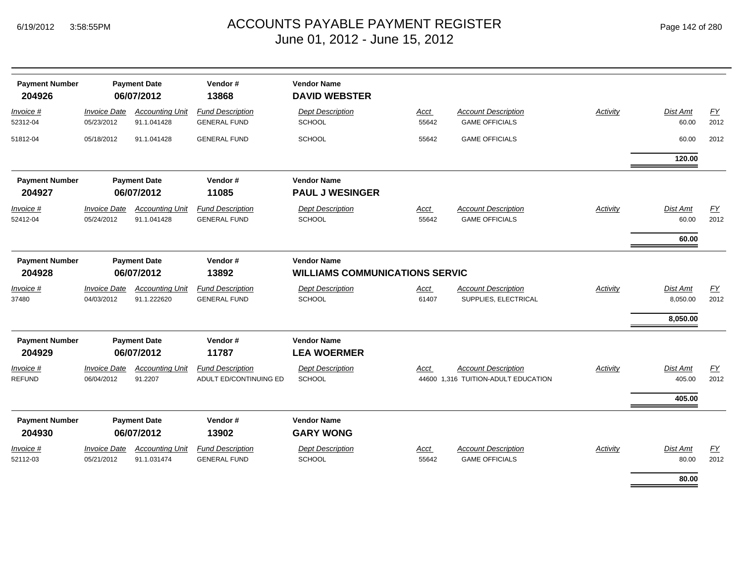| <b>Payment Number</b><br>204926 |                                                       | <b>Payment Date</b><br>06/07/2012     | Vendor#<br>13868                                  | <b>Vendor Name</b><br><b>DAVID WEBSTER</b>                  |                      |                                                                   |                 |                                  |            |
|---------------------------------|-------------------------------------------------------|---------------------------------------|---------------------------------------------------|-------------------------------------------------------------|----------------------|-------------------------------------------------------------------|-----------------|----------------------------------|------------|
| Invoice #<br>52312-04           | <b>Invoice Date</b><br>05/23/2012                     | <b>Accounting Unit</b><br>91.1.041428 | <b>Fund Description</b><br><b>GENERAL FUND</b>    | <b>Dept Description</b><br><b>SCHOOL</b>                    | Acct<br>55642        | <b>Account Description</b><br><b>GAME OFFICIALS</b>               | <b>Activity</b> | Dist Amt<br>60.00                | EY<br>2012 |
| 51812-04                        | 05/18/2012                                            | 91.1.041428                           | <b>GENERAL FUND</b>                               | <b>SCHOOL</b>                                               | 55642                | <b>GAME OFFICIALS</b>                                             |                 | 60.00                            | 2012       |
|                                 |                                                       |                                       |                                                   |                                                             |                      |                                                                   |                 | 120.00                           |            |
| <b>Payment Number</b><br>204927 | <b>Payment Date</b><br>06/07/2012                     |                                       | Vendor#<br>11085                                  | <b>Vendor Name</b><br><b>PAUL J WESINGER</b>                |                      |                                                                   |                 |                                  |            |
| Invoice #<br>52412-04           | <b>Invoice Date</b><br>05/24/2012                     | <b>Accounting Unit</b><br>91.1.041428 | <b>Fund Description</b><br><b>GENERAL FUND</b>    | <b>Dept Description</b><br><b>SCHOOL</b>                    | <b>Acct</b><br>55642 | <b>Account Description</b><br><b>GAME OFFICIALS</b>               | <b>Activity</b> | Dist Amt<br>60.00<br>60.00       | EY<br>2012 |
| <b>Payment Number</b><br>204928 | <b>Payment Date</b><br>Vendor#<br>06/07/2012<br>13892 |                                       |                                                   | <b>Vendor Name</b><br><b>WILLIAMS COMMUNICATIONS SERVIC</b> |                      |                                                                   |                 |                                  |            |
| Invoice #<br>37480              | <b>Invoice Date</b><br>04/03/2012                     | <b>Accounting Unit</b><br>91.1.222620 | <b>Fund Description</b><br><b>GENERAL FUND</b>    | <b>Dept Description</b><br>SCHOOL                           | Acct<br>61407        | <b>Account Description</b><br>SUPPLIES, ELECTRICAL                | <b>Activity</b> | Dist Amt<br>8,050.00<br>8,050.00 | EY<br>2012 |
| <b>Payment Number</b><br>204929 | <b>Payment Date</b><br>06/07/2012                     |                                       | Vendor#<br>11787                                  | <b>Vendor Name</b><br><b>LEA WOERMER</b>                    |                      |                                                                   |                 |                                  |            |
| Invoice #<br><b>REFUND</b>      | <b>Invoice Date</b><br>06/04/2012                     | <b>Accounting Unit</b><br>91.2207     | <b>Fund Description</b><br>ADULT ED/CONTINUING ED | <b>Dept Description</b><br><b>SCHOOL</b>                    | Acct                 | <b>Account Description</b><br>44600 1,316 TUITION-ADULT EDUCATION | Activity        | Dist Amt<br>405.00               | EY<br>2012 |
|                                 |                                                       |                                       |                                                   |                                                             |                      |                                                                   |                 | 405.00                           |            |
| <b>Payment Number</b><br>204930 | <b>Payment Date</b><br>Vendor#<br>06/07/2012<br>13902 |                                       |                                                   | <b>Vendor Name</b><br><b>GARY WONG</b>                      |                      |                                                                   |                 |                                  |            |
| Invoice #<br>52112-03           | <b>Invoice Date</b><br>05/21/2012                     | <b>Accounting Unit</b><br>91.1.031474 | <b>Fund Description</b><br><b>GENERAL FUND</b>    | <b>Dept Description</b><br><b>SCHOOL</b>                    | Acct<br>55642        | <b>Account Description</b><br><b>GAME OFFICIALS</b>               | Activity        | Dist Amt<br>80.00                | EY<br>2012 |
|                                 |                                                       |                                       |                                                   |                                                             |                      |                                                                   |                 | 80.00                            |            |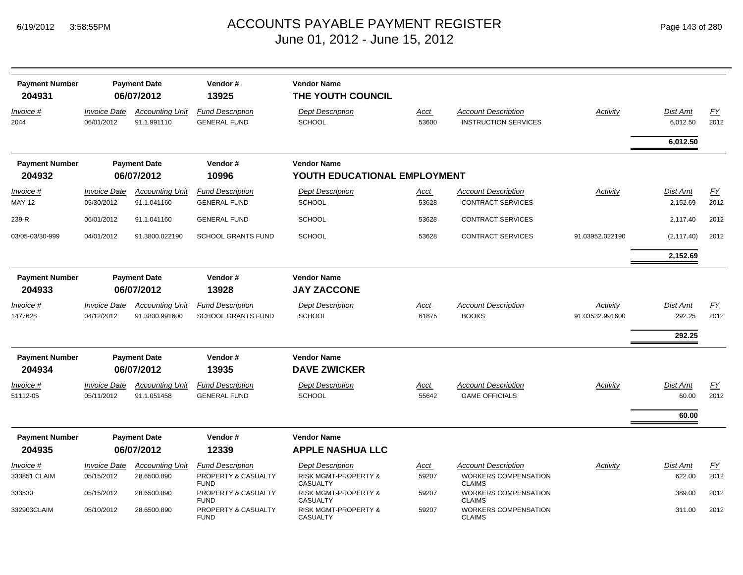| <b>Payment Number</b><br>204931 |                                            | <b>Payment Date</b><br>06/07/2012        | Vendor#<br>13925                                              | <b>Vendor Name</b><br>THE YOUTH COUNCIL                            |                      |                                                                            |                             |                                   |                   |
|---------------------------------|--------------------------------------------|------------------------------------------|---------------------------------------------------------------|--------------------------------------------------------------------|----------------------|----------------------------------------------------------------------------|-----------------------------|-----------------------------------|-------------------|
| Invoice #<br>2044               | <b>Invoice Date</b><br>06/01/2012          | <b>Accounting Unit</b><br>91.1.991110    | <b>Fund Description</b><br><b>GENERAL FUND</b>                | <b>Dept Description</b><br><b>SCHOOL</b>                           | <b>Acct</b><br>53600 | <b>Account Description</b><br><b>INSTRUCTION SERVICES</b>                  | Activity                    | <b>Dist Amt</b><br>6,012.50       | <u>FY</u><br>2012 |
|                                 |                                            |                                          |                                                               |                                                                    |                      |                                                                            |                             | 6,012.50                          |                   |
| <b>Payment Number</b>           |                                            | <b>Payment Date</b>                      | Vendor#                                                       | <b>Vendor Name</b>                                                 |                      |                                                                            |                             |                                   |                   |
| 204932                          |                                            | 06/07/2012                               | 10996                                                         | YOUTH EDUCATIONAL EMPLOYMENT                                       |                      |                                                                            |                             |                                   |                   |
| Invoice #<br><b>MAY-12</b>      | <b>Invoice Date</b><br>05/30/2012          | <b>Accounting Unit</b><br>91.1.041160    | <b>Fund Description</b><br><b>GENERAL FUND</b>                | <b>Dept Description</b><br><b>SCHOOL</b>                           | Acct<br>53628        | <b>Account Description</b><br><b>CONTRACT SERVICES</b>                     | Activity                    | Dist Amt<br>2,152.69              | <b>FY</b><br>2012 |
| 239-R                           | 06/01/2012                                 | 91.1.041160                              | <b>GENERAL FUND</b>                                           | <b>SCHOOL</b>                                                      | 53628                | <b>CONTRACT SERVICES</b>                                                   |                             | 2,117.40                          | 2012              |
| 03/05-03/30-999                 | 04/01/2012                                 | 91.3800.022190                           | <b>SCHOOL GRANTS FUND</b>                                     | <b>SCHOOL</b>                                                      | 53628                | CONTRACT SERVICES                                                          | 91.03952.022190             | (2, 117.40)                       | 2012              |
|                                 |                                            |                                          |                                                               |                                                                    |                      |                                                                            |                             | 2,152.69                          |                   |
| <b>Payment Number</b><br>204933 | <b>Payment Date</b><br>13928<br>06/07/2012 |                                          | Vendor#                                                       | <b>Vendor Name</b><br><b>JAY ZACCONE</b>                           |                      |                                                                            |                             |                                   |                   |
| <u>Invoice #</u><br>1477628     | <b>Invoice Date</b><br>04/12/2012          | <b>Accounting Unit</b><br>91.3800.991600 | <b>Fund Description</b><br><b>SCHOOL GRANTS FUND</b>          | <b>Dept Description</b><br><b>SCHOOL</b>                           | <b>Acct</b><br>61875 | <b>Account Description</b><br><b>BOOKS</b>                                 | Activity<br>91.03532.991600 | <b>Dist Amt</b><br>292.25         | EY<br>2012        |
|                                 |                                            |                                          |                                                               |                                                                    |                      |                                                                            |                             | 292.25                            |                   |
| <b>Payment Number</b><br>204934 |                                            | <b>Payment Date</b><br>06/07/2012        | Vendor#<br>13935                                              | <b>Vendor Name</b><br><b>DAVE ZWICKER</b>                          |                      |                                                                            |                             |                                   |                   |
| Invoice #<br>51112-05           | <b>Invoice Date</b><br>05/11/2012          | <b>Accounting Unit</b><br>91.1.051458    | <b>Fund Description</b><br><b>GENERAL FUND</b>                | <b>Dept Description</b><br><b>SCHOOL</b>                           | Acct<br>55642        | <b>Account Description</b><br><b>GAME OFFICIALS</b>                        | Activity                    | <b>Dist Amt</b><br>60.00<br>60.00 | <b>FY</b><br>2012 |
| <b>Payment Number</b>           |                                            | <b>Payment Date</b>                      | Vendor#                                                       | <b>Vendor Name</b>                                                 |                      |                                                                            |                             |                                   |                   |
| 204935                          |                                            | 06/07/2012                               | 12339                                                         | <b>APPLE NASHUA LLC</b>                                            |                      |                                                                            |                             |                                   |                   |
| Invoice #<br>333851 CLAIM       | <b>Invoice Date</b><br>05/15/2012          | <b>Accounting Unit</b><br>28.6500.890    | <b>Fund Description</b><br>PROPERTY & CASUALTY<br><b>FUND</b> | <b>Dept Description</b><br>RISK MGMT-PROPERTY &<br><b>CASUALTY</b> | Acct<br>59207        | <b>Account Description</b><br><b>WORKERS COMPENSATION</b><br><b>CLAIMS</b> | Activity                    | Dist Amt<br>622.00                | EY<br>2012        |
| 333530                          | 05/15/2012                                 | 28.6500.890                              | PROPERTY & CASUALTY<br><b>FUND</b>                            | <b>RISK MGMT-PROPERTY &amp;</b><br><b>CASUALTY</b>                 | 59207                | WORKERS COMPENSATION<br><b>CLAIMS</b>                                      |                             | 389.00                            | 2012              |
| 332903CLAIM                     | 05/10/2012                                 | 28.6500.890                              | PROPERTY & CASUALTY<br><b>FUND</b>                            | <b>RISK MGMT-PROPERTY &amp;</b><br><b>CASUALTY</b>                 | 59207                | <b>WORKERS COMPENSATION</b><br><b>CLAIMS</b>                               |                             | 311.00                            | 2012              |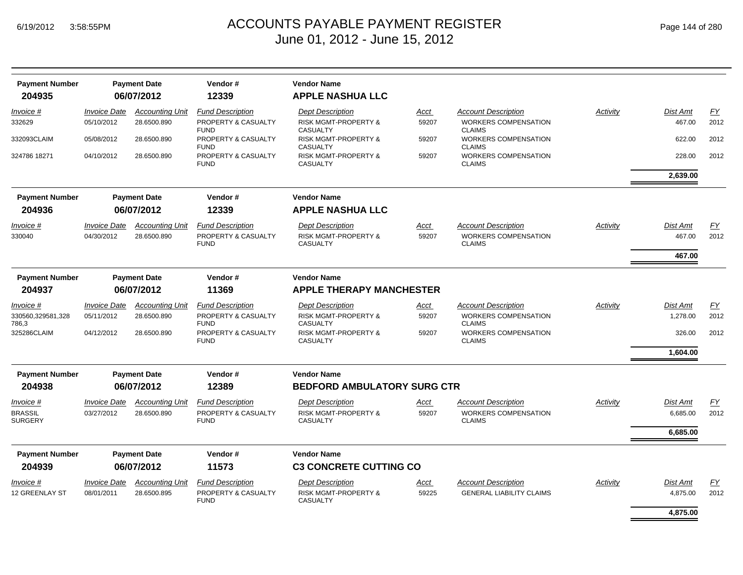| <b>Payment Number</b><br>204935                        |                                                      | <b>Payment Date</b><br>06/07/2012                    | Vendor#<br>12339                                                                                    | <b>Vendor Name</b><br><b>APPLE NASHUA LLC</b>                                                                            |                                 |                                                                                                                            |          |                                  |                    |
|--------------------------------------------------------|------------------------------------------------------|------------------------------------------------------|-----------------------------------------------------------------------------------------------------|--------------------------------------------------------------------------------------------------------------------------|---------------------------------|----------------------------------------------------------------------------------------------------------------------------|----------|----------------------------------|--------------------|
| Invoice #<br>332629                                    | <b>Invoice Date</b><br>05/10/2012                    | <b>Accounting Unit</b><br>28.6500.890                | <b>Fund Description</b><br>PROPERTY & CASUALTY                                                      | <b>Dept Description</b><br><b>RISK MGMT-PROPERTY &amp;</b>                                                               | Acct<br>59207                   | <b>Account Description</b><br><b>WORKERS COMPENSATION</b>                                                                  | Activity | Dist Amt<br>467.00               | FY<br>2012         |
| 332093CLAIM                                            | 05/08/2012                                           | 28.6500.890                                          | <b>FUND</b><br>PROPERTY & CASUALTY<br><b>FUND</b>                                                   | <b>CASUALTY</b><br><b>RISK MGMT-PROPERTY &amp;</b><br><b>CASUALTY</b>                                                    | 59207                           | <b>CLAIMS</b><br><b>WORKERS COMPENSATION</b><br><b>CLAIMS</b>                                                              |          | 622.00                           | 2012               |
| 324786 18271                                           | 04/10/2012                                           | 28.6500.890                                          | PROPERTY & CASUALTY<br><b>FUND</b>                                                                  | <b>RISK MGMT-PROPERTY &amp;</b><br><b>CASUALTY</b>                                                                       | 59207                           | WORKERS COMPENSATION<br><b>CLAIMS</b>                                                                                      |          | 228.00                           | 2012               |
|                                                        |                                                      |                                                      |                                                                                                     |                                                                                                                          |                                 |                                                                                                                            |          | 2,639.00                         |                    |
| <b>Payment Number</b>                                  | Vendor#<br><b>Vendor Name</b><br><b>Payment Date</b> |                                                      |                                                                                                     |                                                                                                                          |                                 |                                                                                                                            |          |                                  |                    |
| 204936                                                 |                                                      | 06/07/2012                                           | 12339                                                                                               | <b>APPLE NASHUA LLC</b>                                                                                                  |                                 |                                                                                                                            |          |                                  |                    |
| Invoice #<br>330040                                    | <b>Invoice Date</b><br>04/30/2012                    | <b>Accounting Unit</b><br>28.6500.890                | <b>Fund Description</b><br>PROPERTY & CASUALTY<br><b>FUND</b>                                       | <b>Dept Description</b><br><b>RISK MGMT-PROPERTY &amp;</b><br><b>CASUALTY</b>                                            | Acct<br>59207                   | <b>Account Description</b><br><b>WORKERS COMPENSATION</b><br><b>CLAIMS</b>                                                 | Activity | Dist Amt<br>467.00               | EY<br>2012         |
|                                                        |                                                      |                                                      |                                                                                                     |                                                                                                                          |                                 |                                                                                                                            |          | 467.00                           |                    |
| <b>Payment Number</b><br>204937                        |                                                      | <b>Payment Date</b><br>06/07/2012                    | Vendor#<br>11369                                                                                    | <b>Vendor Name</b>                                                                                                       | <b>APPLE THERAPY MANCHESTER</b> |                                                                                                                            |          |                                  |                    |
| Invoice #<br>330560,329581,328<br>786,3<br>325286CLAIM | <b>Invoice Date</b><br>05/11/2012<br>04/12/2012      | <b>Accounting Unit</b><br>28.6500.890<br>28.6500.890 | <b>Fund Description</b><br>PROPERTY & CASUALTY<br><b>FUND</b><br>PROPERTY & CASUALTY<br><b>FUND</b> | <b>Dept Description</b><br>RISK MGMT-PROPERTY &<br><b>CASUALTY</b><br><b>RISK MGMT-PROPERTY &amp;</b><br><b>CASUALTY</b> | Acct<br>59207<br>59207          | <b>Account Description</b><br><b>WORKERS COMPENSATION</b><br><b>CLAIMS</b><br><b>WORKERS COMPENSATION</b><br><b>CLAIMS</b> | Activity | Dist Amt<br>1,278.00<br>326.00   | FY<br>2012<br>2012 |
|                                                        |                                                      |                                                      |                                                                                                     |                                                                                                                          |                                 |                                                                                                                            |          | 1,604.00                         |                    |
| <b>Payment Number</b>                                  |                                                      | <b>Payment Date</b>                                  | Vendor#                                                                                             | <b>Vendor Name</b>                                                                                                       |                                 |                                                                                                                            |          |                                  |                    |
| 204938                                                 |                                                      | 06/07/2012                                           | 12389                                                                                               | <b>BEDFORD AMBULATORY SURG CTR</b>                                                                                       |                                 |                                                                                                                            |          |                                  |                    |
| Invoice #<br><b>BRASSIL</b><br><b>SURGERY</b>          | <b>Invoice Date</b><br>03/27/2012                    | <b>Accounting Unit</b><br>28.6500.890                | <b>Fund Description</b><br>PROPERTY & CASUALTY<br><b>FUND</b>                                       | <b>Dept Description</b><br><b>RISK MGMT-PROPERTY &amp;</b><br><b>CASUALTY</b>                                            | Acct<br>59207                   | <b>Account Description</b><br><b>WORKERS COMPENSATION</b><br><b>CLAIMS</b>                                                 | Activity | Dist Amt<br>6,685.00<br>6.685.00 | EY<br>2012         |
| <b>Payment Number</b>                                  |                                                      | <b>Payment Date</b>                                  | Vendor#                                                                                             | <b>Vendor Name</b>                                                                                                       |                                 |                                                                                                                            |          |                                  |                    |
| 204939                                                 |                                                      | 06/07/2012                                           | 11573                                                                                               | <b>C3 CONCRETE CUTTING CO</b>                                                                                            |                                 |                                                                                                                            |          |                                  |                    |
| <i>Invoice</i> #<br>12 GREENLAY ST                     | <i><b>Invoice Date</b></i><br>08/01/2011             | <b>Accounting Unit</b><br>28.6500.895                | <b>Fund Description</b><br>PROPERTY & CASUALTY<br><b>FUND</b>                                       | <b>Dept Description</b><br><b>RISK MGMT-PROPERTY &amp;</b><br><b>CASUALTY</b>                                            | <u>Acct</u><br>59225            | <b>Account Description</b><br><b>GENERAL LIABILITY CLAIMS</b>                                                              | Activity | Dist Amt<br>4,875.00             | EY<br>2012         |
|                                                        |                                                      |                                                      |                                                                                                     |                                                                                                                          |                                 |                                                                                                                            |          | 4.875.00                         |                    |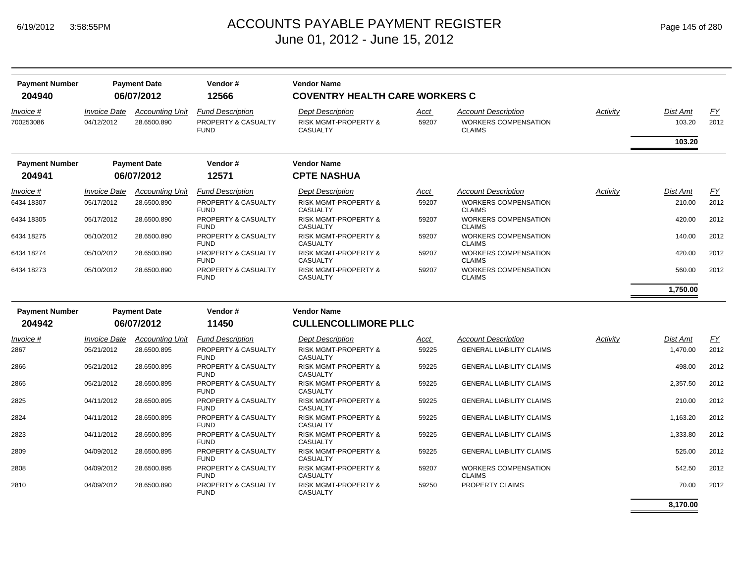| <b>Payment Number</b><br>204940 |                                          | <b>Payment Date</b><br>06/07/2012     | Vendor#<br>12566                                              | <b>Vendor Name</b><br><b>COVENTRY HEALTH CARE WORKERS C</b>                   |               |                                                                            |          |                    |            |
|---------------------------------|------------------------------------------|---------------------------------------|---------------------------------------------------------------|-------------------------------------------------------------------------------|---------------|----------------------------------------------------------------------------|----------|--------------------|------------|
| Invoice #<br>700253086          | <i><b>Invoice Date</b></i><br>04/12/2012 | <b>Accounting Unit</b><br>28.6500.890 | <b>Fund Description</b><br>PROPERTY & CASUALTY<br><b>FUND</b> | <b>Dept Description</b><br><b>RISK MGMT-PROPERTY &amp;</b><br><b>CASUALTY</b> | Acct<br>59207 | <b>Account Description</b><br><b>WORKERS COMPENSATION</b><br><b>CLAIMS</b> | Activity | Dist Amt<br>103.20 | EY<br>2012 |
|                                 |                                          |                                       |                                                               |                                                                               |               |                                                                            |          | 103.20             |            |
| <b>Payment Number</b>           |                                          | <b>Payment Date</b>                   | Vendor#                                                       | <b>Vendor Name</b>                                                            |               |                                                                            |          |                    |            |
| 204941                          |                                          | 06/07/2012                            | 12571                                                         | <b>CPTE NASHUA</b>                                                            |               |                                                                            |          |                    |            |
| Invoice #                       | <b>Invoice Date</b>                      | <b>Accounting Unit</b>                | <b>Fund Description</b>                                       | <b>Dept Description</b>                                                       | Acct          | <b>Account Description</b>                                                 | Activity | Dist Amt           | EY         |
| 6434 18307                      | 05/17/2012                               | 28.6500.890                           | PROPERTY & CASUALTY<br><b>FUND</b>                            | <b>RISK MGMT-PROPERTY &amp;</b><br><b>CASUALTY</b>                            | 59207         | <b>WORKERS COMPENSATION</b><br><b>CLAIMS</b>                               |          | 210.00             | 2012       |
| 6434 18305                      | 05/17/2012                               | 28.6500.890                           | PROPERTY & CASUALTY<br><b>FUND</b>                            | <b>RISK MGMT-PROPERTY &amp;</b><br><b>CASUALTY</b>                            | 59207         | <b>WORKERS COMPENSATION</b><br><b>CLAIMS</b>                               |          | 420.00             | 2012       |
| 6434 18275                      | 05/10/2012                               | 28.6500.890                           | PROPERTY & CASUALTY<br><b>FUND</b>                            | <b>RISK MGMT-PROPERTY &amp;</b><br><b>CASUALTY</b>                            | 59207         | <b>WORKERS COMPENSATION</b><br><b>CLAIMS</b>                               |          | 140.00             | 2012       |
| 6434 18274                      | 05/10/2012                               | 28.6500.890                           | PROPERTY & CASUALTY<br><b>FUND</b>                            | <b>RISK MGMT-PROPERTY &amp;</b><br><b>CASUALTY</b>                            | 59207         | <b>WORKERS COMPENSATION</b><br><b>CLAIMS</b>                               |          | 420.00             | 2012       |
| 6434 18273                      | 05/10/2012                               | 28.6500.890                           | PROPERTY & CASUALTY<br><b>FUND</b>                            | <b>RISK MGMT-PROPERTY &amp;</b><br><b>CASUALTY</b>                            | 59207         | <b>WORKERS COMPENSATION</b><br><b>CLAIMS</b>                               |          | 560.00             | 2012       |
|                                 |                                          |                                       |                                                               |                                                                               |               |                                                                            |          | 1,750.00           |            |
| <b>Payment Number</b>           |                                          | <b>Payment Date</b>                   | Vendor#                                                       | <b>Vendor Name</b>                                                            |               |                                                                            |          |                    |            |
| 204942                          |                                          | 06/07/2012                            | 11450                                                         | <b>CULLENCOLLIMORE PLLC</b>                                                   |               |                                                                            |          |                    |            |
| Invoice #                       | <b>Invoice Date</b>                      | <b>Accounting Unit</b>                | <b>Fund Description</b>                                       | <b>Dept Description</b>                                                       | Acct          | <b>Account Description</b>                                                 | Activity | Dist Amt           | EY         |
| 2867                            | 05/21/2012                               | 28.6500.895                           | PROPERTY & CASUALTY<br><b>FUND</b>                            | <b>RISK MGMT-PROPERTY &amp;</b><br><b>CASUALTY</b>                            | 59225         | <b>GENERAL LIABILITY CLAIMS</b>                                            |          | 1,470.00           | 2012       |
| 2866                            | 05/21/2012                               | 28.6500.895                           | PROPERTY & CASUALTY<br><b>FUND</b>                            | <b>RISK MGMT-PROPERTY &amp;</b><br><b>CASUALTY</b>                            | 59225         | <b>GENERAL LIABILITY CLAIMS</b>                                            |          | 498.00             | 2012       |
| 2865                            | 05/21/2012                               | 28.6500.895                           | PROPERTY & CASUALTY<br><b>FUND</b>                            | <b>RISK MGMT-PROPERTY &amp;</b><br><b>CASUALTY</b>                            | 59225         | <b>GENERAL LIABILITY CLAIMS</b>                                            |          | 2,357.50           | 2012       |
| 2825                            | 04/11/2012                               | 28.6500.895                           | PROPERTY & CASUALTY<br><b>FUND</b>                            | <b>RISK MGMT-PROPERTY &amp;</b><br><b>CASUALTY</b>                            | 59225         | <b>GENERAL LIABILITY CLAIMS</b>                                            |          | 210.00             | 2012       |
| 2824                            | 04/11/2012                               | 28.6500.895                           | <b>PROPERTY &amp; CASUALTY</b><br><b>FUND</b>                 | <b>RISK MGMT-PROPERTY &amp;</b><br>CASUALTY                                   | 59225         | <b>GENERAL LIABILITY CLAIMS</b>                                            |          | 1,163.20           | 2012       |
| 2823                            | 04/11/2012                               | 28.6500.895                           | PROPERTY & CASUALTY<br><b>FUND</b>                            | <b>RISK MGMT-PROPERTY &amp;</b><br><b>CASUALTY</b>                            | 59225         | <b>GENERAL LIABILITY CLAIMS</b>                                            |          | 1,333.80           | 2012       |
| 2809                            | 04/09/2012                               | 28.6500.895                           | PROPERTY & CASUALTY<br><b>FUND</b>                            | <b>RISK MGMT-PROPERTY &amp;</b><br><b>CASUALTY</b>                            | 59225         | <b>GENERAL LIABILITY CLAIMS</b>                                            |          | 525.00             | 2012       |
| 2808                            | 04/09/2012                               | 28.6500.895                           | PROPERTY & CASUALTY<br><b>FUND</b>                            | <b>RISK MGMT-PROPERTY &amp;</b><br><b>CASUALTY</b>                            | 59207         | <b>WORKERS COMPENSATION</b><br><b>CLAIMS</b>                               |          | 542.50             | 2012       |
| 2810                            | 04/09/2012                               | 28.6500.890                           | PROPERTY & CASUALTY<br><b>FUND</b>                            | <b>RISK MGMT-PROPERTY &amp;</b><br><b>CASUALTY</b>                            | 59250         | PROPERTY CLAIMS                                                            |          | 70.00              | 2012       |
|                                 |                                          |                                       |                                                               |                                                                               |               |                                                                            |          | 8,170.00           |            |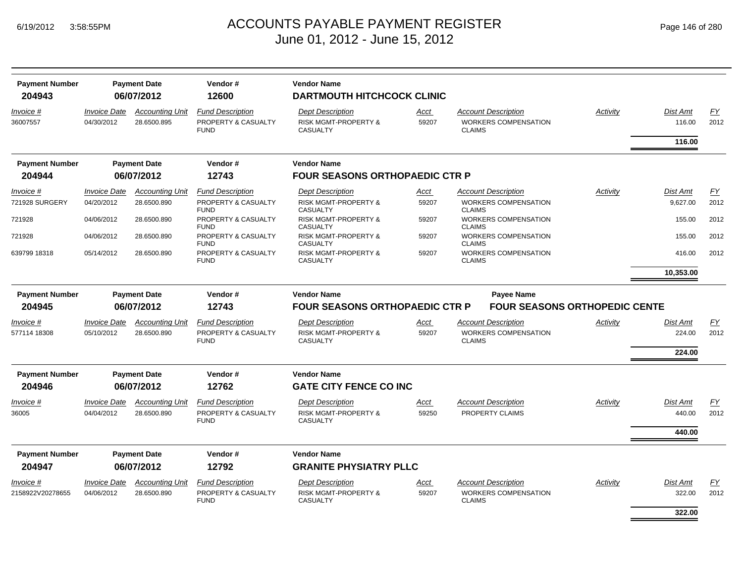| <b>Payment Number</b> |                            | <b>Payment Date</b>    | Vendor#                            | <b>Vendor Name</b>                                 |             |                                              |          |           |           |
|-----------------------|----------------------------|------------------------|------------------------------------|----------------------------------------------------|-------------|----------------------------------------------|----------|-----------|-----------|
| 204943                |                            | 06/07/2012             | 12600                              | <b>DARTMOUTH HITCHCOCK CLINIC</b>                  |             |                                              |          |           |           |
| Invoice #             | <b>Invoice Date</b>        | <b>Accounting Unit</b> | <b>Fund Description</b>            | <b>Dept Description</b>                            | Acct        | <b>Account Description</b>                   | Activity | Dist Amt  | EY        |
| 36007557              | 04/30/2012                 | 28.6500.895            | PROPERTY & CASUALTY<br><b>FUND</b> | <b>RISK MGMT-PROPERTY &amp;</b><br><b>CASUALTY</b> | 59207       | <b>WORKERS COMPENSATION</b><br><b>CLAIMS</b> |          | 116.00    | 2012      |
|                       |                            |                        |                                    |                                                    |             |                                              |          | 116.00    |           |
| <b>Payment Number</b> |                            | <b>Payment Date</b>    | Vendor#                            | <b>Vendor Name</b>                                 |             |                                              |          |           |           |
| 204944                |                            | 06/07/2012             | 12743                              | <b>FOUR SEASONS ORTHOPAEDIC CTR P</b>              |             |                                              |          |           |           |
| Invoice #             | <b>Invoice Date</b>        | <b>Accounting Unit</b> | <b>Fund Description</b>            | <b>Dept Description</b>                            | Acct        | <b>Account Description</b>                   | Activity | Dist Amt  | FY        |
| 721928 SURGERY        | 04/20/2012                 | 28.6500.890            | PROPERTY & CASUALTY<br><b>FUND</b> | <b>RISK MGMT-PROPERTY &amp;</b><br><b>CASUALTY</b> | 59207       | <b>WORKERS COMPENSATION</b><br><b>CLAIMS</b> |          | 9,627.00  | 2012      |
| 721928                | 04/06/2012                 | 28.6500.890            | PROPERTY & CASUALTY<br><b>FUND</b> | <b>RISK MGMT-PROPERTY &amp;</b><br><b>CASUALTY</b> | 59207       | WORKERS COMPENSATION<br><b>CLAIMS</b>        |          | 155.00    | 2012      |
| 721928                | 04/06/2012                 | 28.6500.890            | PROPERTY & CASUALTY<br><b>FUND</b> | <b>RISK MGMT-PROPERTY &amp;</b><br><b>CASUALTY</b> | 59207       | <b>WORKERS COMPENSATION</b><br><b>CLAIMS</b> |          | 155.00    | 2012      |
| 639799 18318          | 05/14/2012                 | 28.6500.890            | PROPERTY & CASUALTY<br><b>FUND</b> | <b>RISK MGMT-PROPERTY &amp;</b><br><b>CASUALTY</b> | 59207       | WORKERS COMPENSATION<br><b>CLAIMS</b>        |          | 416.00    | 2012      |
|                       |                            |                        |                                    |                                                    |             |                                              |          | 10,353.00 |           |
| <b>Payment Number</b> |                            | <b>Payment Date</b>    | Vendor#                            | <b>Vendor Name</b>                                 |             | <b>Payee Name</b>                            |          |           |           |
| 204945                |                            | 06/07/2012             | 12743                              | <b>FOUR SEASONS ORTHOPAEDIC CTR P</b>              |             | <b>FOUR SEASONS ORTHOPEDIC CENTE</b>         |          |           |           |
| Invoice #             | <b>Invoice Date</b>        | <b>Accounting Unit</b> | <b>Fund Description</b>            | <b>Dept Description</b>                            | Acct        | <b>Account Description</b>                   | Activity | Dist Amt  | EY        |
| 577114 18308          | 05/10/2012                 | 28.6500.890            | PROPERTY & CASUALTY<br><b>FUND</b> | RISK MGMT-PROPERTY &<br><b>CASUALTY</b>            | 59207       | <b>WORKERS COMPENSATION</b><br><b>CLAIMS</b> |          | 224.00    | 2012      |
|                       |                            |                        |                                    |                                                    |             |                                              |          | 224.00    |           |
| <b>Payment Number</b> |                            | <b>Payment Date</b>    | Vendor#                            | <b>Vendor Name</b>                                 |             |                                              |          |           |           |
| 204946                |                            | 06/07/2012             | 12762                              | <b>GATE CITY FENCE CO INC</b>                      |             |                                              |          |           |           |
| Invoice #             | <i><b>Invoice Date</b></i> | <b>Accounting Unit</b> | <b>Fund Description</b>            | <b>Dept Description</b>                            | Acct        | <b>Account Description</b>                   | Activity | Dist Amt  | <u>FY</u> |
| 36005                 | 04/04/2012                 | 28.6500.890            | PROPERTY & CASUALTY<br><b>FUND</b> | RISK MGMT-PROPERTY &<br><b>CASUALTY</b>            | 59250       | PROPERTY CLAIMS                              |          | 440.00    | 2012      |
|                       |                            |                        |                                    |                                                    |             |                                              |          | 440.00    |           |
| <b>Payment Number</b> |                            | <b>Payment Date</b>    | Vendor#                            | <b>Vendor Name</b>                                 |             |                                              |          |           |           |
| 204947                |                            | 06/07/2012             | 12792                              | <b>GRANITE PHYSIATRY PLLC</b>                      |             |                                              |          |           |           |
| Invoice #             | <i><b>Invoice Date</b></i> | <b>Accounting Unit</b> | <b>Fund Description</b>            | <b>Dept Description</b>                            | <u>Acct</u> | <b>Account Description</b>                   | Activity | Dist Amt  | <u>FY</u> |
| 2158922V20278655      | 04/06/2012                 | 28.6500.890            | PROPERTY & CASUALTY<br><b>FUND</b> | <b>RISK MGMT-PROPERTY &amp;</b><br><b>CASUALTY</b> | 59207       | <b>WORKERS COMPENSATION</b><br><b>CLAIMS</b> |          | 322.00    | 2012      |
|                       |                            |                        |                                    |                                                    |             |                                              |          | 322.00    |           |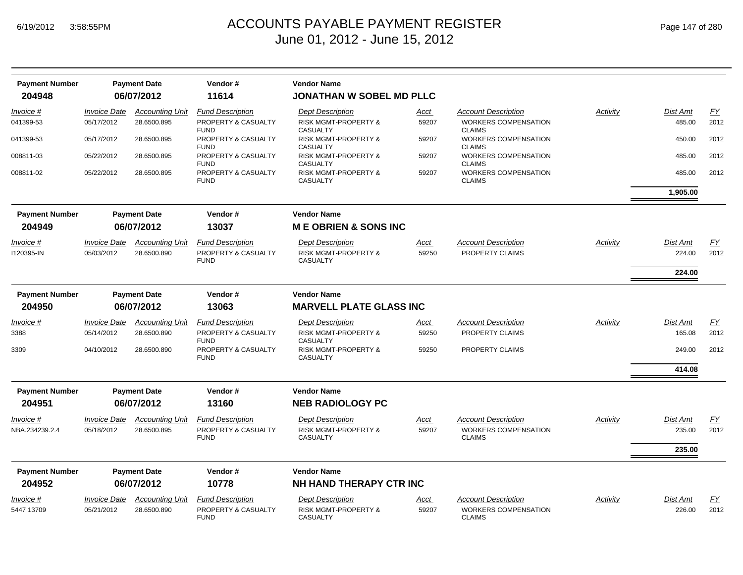| <b>Payment Number</b>           |                                   | <b>Payment Date</b>                   | Vendor#                                                       | <b>Vendor Name</b>                                                            |                      |                                                                            |                 |                    |                   |
|---------------------------------|-----------------------------------|---------------------------------------|---------------------------------------------------------------|-------------------------------------------------------------------------------|----------------------|----------------------------------------------------------------------------|-----------------|--------------------|-------------------|
| 204948                          |                                   | 06/07/2012                            | 11614                                                         | <b>JONATHAN W SOBEL MD PLLC</b>                                               |                      |                                                                            |                 |                    |                   |
| Invoice #                       | <b>Invoice Date</b>               | <b>Accounting Unit</b>                | <b>Fund Description</b>                                       | <b>Dept Description</b>                                                       | <u>Acct</u>          | <b>Account Description</b>                                                 | <b>Activity</b> | Dist Amt           | EY                |
| 041399-53                       | 05/17/2012                        | 28.6500.895                           | PROPERTY & CASUALTY<br><b>FUND</b>                            | <b>RISK MGMT-PROPERTY &amp;</b><br><b>CASUALTY</b>                            | 59207                | <b>WORKERS COMPENSATION</b><br><b>CLAIMS</b>                               |                 | 485.00             | 2012              |
| 041399-53                       | 05/17/2012                        | 28.6500.895                           | PROPERTY & CASUALTY<br><b>FUND</b>                            | <b>RISK MGMT-PROPERTY &amp;</b><br><b>CASUALTY</b>                            | 59207                | <b>WORKERS COMPENSATION</b><br><b>CLAIMS</b>                               |                 | 450.00             | 2012              |
| 008811-03                       | 05/22/2012                        | 28.6500.895                           | PROPERTY & CASUALTY<br><b>FUND</b>                            | <b>RISK MGMT-PROPERTY &amp;</b><br><b>CASUALTY</b>                            | 59207                | <b>WORKERS COMPENSATION</b><br><b>CLAIMS</b>                               |                 | 485.00             | 2012              |
| 008811-02                       | 05/22/2012                        | 28.6500.895                           | PROPERTY & CASUALTY<br><b>FUND</b>                            | <b>RISK MGMT-PROPERTY &amp;</b><br><b>CASUALTY</b>                            | 59207                | <b>WORKERS COMPENSATION</b><br><b>CLAIMS</b>                               |                 | 485.00             | 2012              |
|                                 |                                   |                                       |                                                               |                                                                               |                      |                                                                            |                 | 1,905.00           |                   |
| <b>Payment Number</b>           |                                   | <b>Payment Date</b>                   | Vendor#                                                       | <b>Vendor Name</b>                                                            |                      |                                                                            |                 |                    |                   |
| 204949                          |                                   | 06/07/2012                            | 13037                                                         | <b>ME OBRIEN &amp; SONS INC</b>                                               |                      |                                                                            |                 |                    |                   |
| Invoice #                       | <b>Invoice Date</b>               | <b>Accounting Unit</b>                | <b>Fund Description</b>                                       | <b>Dept Description</b>                                                       | <u>Acct</u>          | <b>Account Description</b>                                                 | Activity        | Dist Amt           | EY                |
| 1120395-IN                      | 05/03/2012                        | 28.6500.890                           | PROPERTY & CASUALTY<br><b>FUND</b>                            | RISK MGMT-PROPERTY &<br><b>CASUALTY</b>                                       | 59250                | PROPERTY CLAIMS                                                            |                 | 224.00             | 2012              |
|                                 |                                   |                                       |                                                               |                                                                               |                      |                                                                            |                 | 224.00             |                   |
| <b>Payment Number</b>           |                                   | <b>Payment Date</b>                   | Vendor#                                                       | <b>Vendor Name</b>                                                            |                      |                                                                            |                 |                    |                   |
| 204950                          |                                   | 06/07/2012                            | 13063                                                         | <b>MARVELL PLATE GLASS INC</b>                                                |                      |                                                                            |                 |                    |                   |
| Invoice #                       | <i><b>Invoice Date</b></i>        | <b>Accounting Unit</b>                | <b>Fund Description</b>                                       | <b>Dept Description</b>                                                       | <u>Acct</u>          | <b>Account Description</b>                                                 | Activity        | Dist Amt           | EY                |
| 3388                            | 05/14/2012                        | 28.6500.890                           | PROPERTY & CASUALTY<br><b>FUND</b>                            | <b>RISK MGMT-PROPERTY &amp;</b><br><b>CASUALTY</b>                            | 59250                | PROPERTY CLAIMS                                                            |                 | 165.08             | 2012              |
| 3309                            | 04/10/2012                        | 28.6500.890                           | PROPERTY & CASUALTY<br><b>FUND</b>                            | <b>RISK MGMT-PROPERTY &amp;</b><br><b>CASUALTY</b>                            | 59250                | PROPERTY CLAIMS                                                            |                 | 249.00             | 2012              |
|                                 |                                   |                                       |                                                               |                                                                               |                      |                                                                            |                 | 414.08             |                   |
| <b>Payment Number</b>           |                                   | <b>Payment Date</b>                   | Vendor#                                                       | <b>Vendor Name</b>                                                            |                      |                                                                            |                 |                    |                   |
| 204951                          |                                   | 06/07/2012                            | 13160                                                         | <b>NEB RADIOLOGY PC</b>                                                       |                      |                                                                            |                 |                    |                   |
| Invoice #<br>NBA.234239.2.4     | <b>Invoice Date</b><br>05/18/2012 | <b>Accounting Unit</b><br>28.6500.895 | <b>Fund Description</b><br>PROPERTY & CASUALTY<br><b>FUND</b> | <b>Dept Description</b><br><b>RISK MGMT-PROPERTY &amp;</b><br><b>CASUALTY</b> | <u>Acct</u><br>59207 | <b>Account Description</b><br><b>WORKERS COMPENSATION</b><br><b>CLAIMS</b> | Activity        | Dist Amt<br>235.00 | <u>FY</u><br>2012 |
|                                 |                                   |                                       |                                                               |                                                                               |                      |                                                                            |                 | 235.00             |                   |
|                                 |                                   |                                       | Vendor#                                                       | <b>Vendor Name</b>                                                            |                      |                                                                            |                 |                    |                   |
| <b>Payment Number</b><br>204952 |                                   | <b>Payment Date</b><br>06/07/2012     | 10778                                                         | NH HAND THERAPY CTR INC                                                       |                      |                                                                            |                 |                    |                   |
| Invoice #                       | <b>Invoice Date</b>               | <b>Accounting Unit</b>                | <b>Fund Description</b>                                       | <b>Dept Description</b>                                                       | <u>Acct</u>          | <b>Account Description</b>                                                 | Activity        | Dist Amt           | <u>FY</u>         |
| 5447 13709                      | 05/21/2012                        | 28.6500.890                           | PROPERTY & CASUALTY<br><b>FUND</b>                            | RISK MGMT-PROPERTY &<br><b>CASUALTY</b>                                       | 59207                | <b>WORKERS COMPENSATION</b><br><b>CLAIMS</b>                               |                 | 226.00             | 2012              |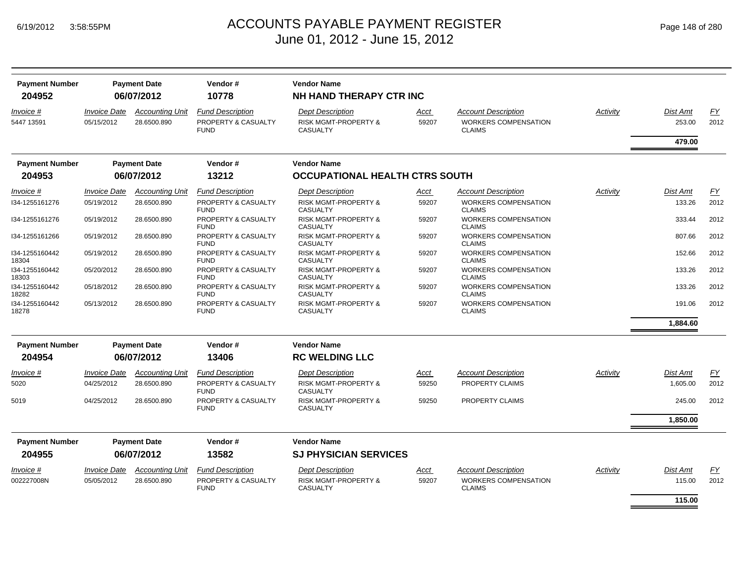| <b>Payment Number</b><br>204952 | <b>Payment Date</b><br>06/07/2012 |                                       | Vendor#<br>10778                                              | <b>Vendor Name</b><br>NH HAND THERAPY CTR INC                                 |               |                                                                            |                 |                    |            |  |
|---------------------------------|-----------------------------------|---------------------------------------|---------------------------------------------------------------|-------------------------------------------------------------------------------|---------------|----------------------------------------------------------------------------|-----------------|--------------------|------------|--|
| Invoice #<br>5447 13591         | <b>Invoice Date</b><br>05/15/2012 | <b>Accounting Unit</b><br>28.6500.890 | <b>Fund Description</b><br>PROPERTY & CASUALTY<br><b>FUND</b> | <b>Dept Description</b><br><b>RISK MGMT-PROPERTY &amp;</b><br><b>CASUALTY</b> | Acct<br>59207 | <b>Account Description</b><br><b>WORKERS COMPENSATION</b><br><b>CLAIMS</b> | Activity        | Dist Amt<br>253.00 | EY<br>2012 |  |
|                                 |                                   |                                       |                                                               |                                                                               |               |                                                                            |                 | 479.00             |            |  |
| <b>Payment Number</b>           |                                   | <b>Payment Date</b>                   | Vendor#                                                       | <b>Vendor Name</b>                                                            |               |                                                                            |                 |                    |            |  |
| 204953                          |                                   | 06/07/2012                            | 13212                                                         | <b>OCCUPATIONAL HEALTH CTRS SOUTH</b>                                         |               |                                                                            |                 |                    |            |  |
| Invoice #                       | <b>Invoice Date</b>               | <b>Accounting Unit</b>                | <b>Fund Description</b>                                       | <b>Dept Description</b>                                                       | <u>Acct</u>   | <b>Account Description</b>                                                 | Activity        | Dist Amt           | EY         |  |
| I34-1255161276                  | 05/19/2012                        | 28.6500.890                           | PROPERTY & CASUALTY<br><b>FUND</b>                            | <b>RISK MGMT-PROPERTY &amp;</b><br><b>CASUALTY</b>                            | 59207         | <b>WORKERS COMPENSATION</b><br><b>CLAIMS</b>                               |                 | 133.26             | 2012       |  |
| I34-1255161276                  | 05/19/2012                        | 28.6500.890                           | PROPERTY & CASUALTY<br><b>FUND</b>                            | <b>RISK MGMT-PROPERTY &amp;</b><br><b>CASUALTY</b>                            | 59207         | WORKERS COMPENSATION<br><b>CLAIMS</b>                                      |                 | 333.44             | 2012       |  |
| I34-1255161266                  | 05/19/2012                        | 28.6500.890                           | PROPERTY & CASUALTY<br><b>FUND</b>                            | <b>RISK MGMT-PROPERTY &amp;</b><br><b>CASUALTY</b>                            | 59207         | <b>WORKERS COMPENSATION</b><br><b>CLAIMS</b>                               |                 | 807.66             | 2012       |  |
| I34-1255160442<br>18304         | 05/19/2012                        | 28.6500.890                           | PROPERTY & CASUALTY<br><b>FUND</b>                            | <b>RISK MGMT-PROPERTY &amp;</b><br><b>CASUALTY</b>                            | 59207         | <b>WORKERS COMPENSATION</b><br><b>CLAIMS</b>                               |                 | 152.66             | 2012       |  |
| 134-1255160442<br>18303         | 05/20/2012                        | 28.6500.890                           | PROPERTY & CASUALTY<br><b>FUND</b>                            | <b>RISK MGMT-PROPERTY &amp;</b><br><b>CASUALTY</b>                            | 59207         | <b>WORKERS COMPENSATION</b><br><b>CLAIMS</b>                               |                 | 133.26             | 2012       |  |
| I34-1255160442<br>18282         | 05/18/2012                        | 28.6500.890                           | PROPERTY & CASUALTY<br><b>FUND</b>                            | <b>RISK MGMT-PROPERTY &amp;</b><br><b>CASUALTY</b>                            | 59207         | <b>WORKERS COMPENSATION</b><br><b>CLAIMS</b>                               |                 | 133.26             | 2012       |  |
| 134-1255160442<br>18278         | 05/13/2012                        | 28.6500.890                           | PROPERTY & CASUALTY<br><b>FUND</b>                            | <b>RISK MGMT-PROPERTY &amp;</b><br><b>CASUALTY</b>                            | 59207         | <b>WORKERS COMPENSATION</b><br><b>CLAIMS</b>                               |                 | 191.06             | 2012       |  |
|                                 |                                   |                                       |                                                               |                                                                               |               |                                                                            |                 | 1,884.60           |            |  |
| <b>Payment Number</b>           |                                   | <b>Payment Date</b>                   | Vendor#                                                       | <b>Vendor Name</b>                                                            |               |                                                                            |                 |                    |            |  |
| 204954                          |                                   | 06/07/2012                            | 13406                                                         | <b>RC WELDING LLC</b>                                                         |               |                                                                            |                 |                    |            |  |
| Invoice #                       | <i><b>Invoice Date</b></i>        | <b>Accounting Unit</b>                | <b>Fund Description</b>                                       | <b>Dept Description</b>                                                       | Acct          | <b>Account Description</b>                                                 | Activity        | Dist Amt           | <u>FY</u>  |  |
| 5020                            | 04/25/2012                        | 28.6500.890                           | PROPERTY & CASUALTY<br><b>FUND</b>                            | <b>RISK MGMT-PROPERTY &amp;</b><br><b>CASUALTY</b>                            | 59250         | PROPERTY CLAIMS                                                            |                 | 1,605.00           | 2012       |  |
| 5019                            | 04/25/2012                        | 28.6500.890                           | PROPERTY & CASUALTY<br><b>FUND</b>                            | <b>RISK MGMT-PROPERTY &amp;</b><br>CASUALTY                                   | 59250         | PROPERTY CLAIMS                                                            |                 | 245.00             | 2012       |  |
|                                 |                                   |                                       |                                                               |                                                                               |               |                                                                            |                 | 1,850.00           |            |  |
| <b>Payment Number</b>           |                                   | <b>Payment Date</b>                   | Vendor#                                                       | <b>Vendor Name</b>                                                            |               |                                                                            |                 |                    |            |  |
| 204955                          |                                   | 06/07/2012                            | 13582                                                         | <b>SJ PHYSICIAN SERVICES</b>                                                  |               |                                                                            |                 |                    |            |  |
| Invoice #                       | <b>Invoice Date</b>               | <b>Accounting Unit</b>                | <b>Fund Description</b>                                       | <b>Dept Description</b>                                                       | Acct          | <b>Account Description</b>                                                 | <b>Activity</b> | <b>Dist Amt</b>    | EY         |  |
| 002227008N                      | 05/05/2012                        | 28.6500.890                           | PROPERTY & CASUALTY<br><b>FUND</b>                            | <b>RISK MGMT-PROPERTY &amp;</b><br><b>CASUALTY</b>                            | 59207         | <b>WORKERS COMPENSATION</b><br><b>CLAIMS</b>                               |                 | 115.00             | 2012       |  |
|                                 |                                   |                                       |                                                               |                                                                               |               |                                                                            |                 | 115.00             |            |  |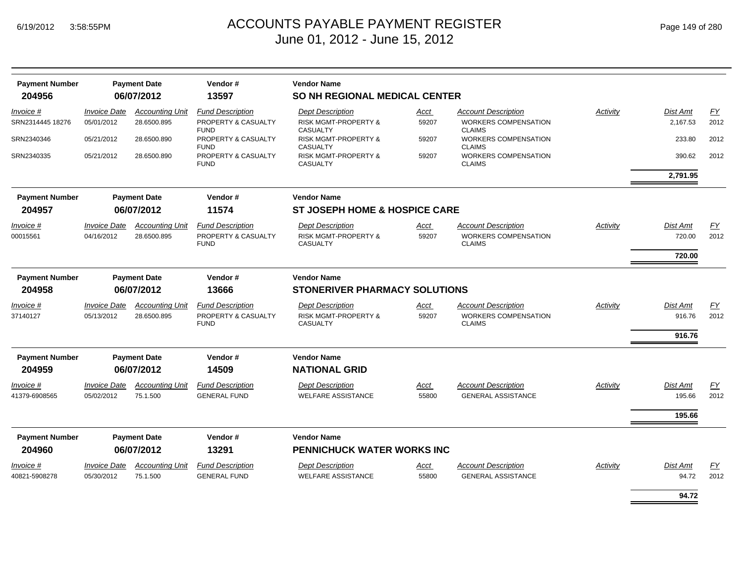| <b>Payment Number</b> |                     | <b>Payment Date</b>    | Vendor#                            | <b>Vendor Name</b>                                 |       |                                              |          |                 |           |
|-----------------------|---------------------|------------------------|------------------------------------|----------------------------------------------------|-------|----------------------------------------------|----------|-----------------|-----------|
| 204956                |                     | 06/07/2012             | 13597                              | <b>SO NH REGIONAL MEDICAL CENTER</b>               |       |                                              |          |                 |           |
| Invoice #             | <b>Invoice Date</b> | <b>Accounting Unit</b> | <b>Fund Description</b>            | <b>Dept Description</b>                            | Acct  | <b>Account Description</b>                   | Activity | <b>Dist Amt</b> | EY        |
| SRN2314445 18276      | 05/01/2012          | 28.6500.895            | PROPERTY & CASUALTY<br><b>FUND</b> | <b>RISK MGMT-PROPERTY &amp;</b><br><b>CASUALTY</b> | 59207 | <b>WORKERS COMPENSATION</b><br><b>CLAIMS</b> |          | 2,167.53        | 2012      |
| SRN2340346            | 05/21/2012          | 28.6500.890            | PROPERTY & CASUALTY<br><b>FUND</b> | <b>RISK MGMT-PROPERTY &amp;</b><br><b>CASUALTY</b> | 59207 | <b>WORKERS COMPENSATION</b><br><b>CLAIMS</b> |          | 233.80          | 2012      |
| SRN2340335            | 05/21/2012          | 28.6500.890            | PROPERTY & CASUALTY<br><b>FUND</b> | <b>RISK MGMT-PROPERTY &amp;</b><br><b>CASUALTY</b> | 59207 | <b>WORKERS COMPENSATION</b><br><b>CLAIMS</b> |          | 390.62          | 2012      |
|                       |                     |                        |                                    |                                                    |       |                                              |          | 2,791.95        |           |
| <b>Payment Number</b> |                     | <b>Payment Date</b>    | Vendor#                            | <b>Vendor Name</b>                                 |       |                                              |          |                 |           |
| 204957                |                     | 06/07/2012             | 11574                              | <b>ST JOSEPH HOME &amp; HOSPICE CARE</b>           |       |                                              |          |                 |           |
| Invoice #             | <b>Invoice Date</b> | <b>Accounting Unit</b> | <b>Fund Description</b>            | <b>Dept Description</b>                            | Acct  | <b>Account Description</b>                   | Activity | <b>Dist Amt</b> | <u>FY</u> |
| 00015561              | 04/16/2012          | 28.6500.895            | PROPERTY & CASUALTY<br><b>FUND</b> | <b>RISK MGMT-PROPERTY &amp;</b><br><b>CASUALTY</b> | 59207 | <b>WORKERS COMPENSATION</b><br><b>CLAIMS</b> |          | 720.00          | 2012      |
|                       |                     |                        |                                    |                                                    |       |                                              |          | 720.00          |           |
| <b>Payment Number</b> |                     | <b>Payment Date</b>    | Vendor#                            | <b>Vendor Name</b>                                 |       |                                              |          |                 |           |
| 204958                |                     | 06/07/2012             | 13666                              | <b>STONERIVER PHARMACY SOLUTIONS</b>               |       |                                              |          |                 |           |
| <i>Invoice</i> #      | <b>Invoice Date</b> | <b>Accounting Unit</b> | <b>Fund Description</b>            | <b>Dept Description</b>                            | Acct  | <b>Account Description</b>                   | Activity | Dist Amt        | EY        |
| 37140127              | 05/13/2012          | 28.6500.895            | PROPERTY & CASUALTY<br><b>FUND</b> | <b>RISK MGMT-PROPERTY &amp;</b><br><b>CASUALTY</b> | 59207 | <b>WORKERS COMPENSATION</b><br><b>CLAIMS</b> |          | 916.76          | 2012      |
|                       |                     |                        |                                    |                                                    |       |                                              |          | 916.76          |           |
| <b>Payment Number</b> |                     | <b>Payment Date</b>    | Vendor#                            | <b>Vendor Name</b>                                 |       |                                              |          |                 |           |
| 204959                |                     | 06/07/2012             | 14509                              | <b>NATIONAL GRID</b>                               |       |                                              |          |                 |           |
| Invoice #             | <b>Invoice Date</b> | <b>Accounting Unit</b> | <b>Fund Description</b>            | <b>Dept Description</b>                            | Acct  | <b>Account Description</b>                   | Activity | <b>Dist Amt</b> | EY        |
| 41379-6908565         | 05/02/2012          | 75.1.500               | <b>GENERAL FUND</b>                | <b>WELFARE ASSISTANCE</b>                          | 55800 | <b>GENERAL ASSISTANCE</b>                    |          | 195.66          | 2012      |
|                       |                     |                        |                                    |                                                    |       |                                              |          | 195.66          |           |
| <b>Payment Number</b> |                     | <b>Payment Date</b>    | Vendor#                            | <b>Vendor Name</b>                                 |       |                                              |          |                 |           |
| 204960                |                     | 06/07/2012             | 13291                              | <b>PENNICHUCK WATER WORKS INC</b>                  |       |                                              |          |                 |           |
| Invoice #             | <b>Invoice Date</b> | <b>Accounting Unit</b> | <b>Fund Description</b>            | <b>Dept Description</b>                            | Acct  | <b>Account Description</b>                   | Activity | <b>Dist Amt</b> | EY        |
| 40821-5908278         | 05/30/2012          | 75.1.500               | <b>GENERAL FUND</b>                | <b>WELFARE ASSISTANCE</b>                          | 55800 | <b>GENERAL ASSISTANCE</b>                    |          | 94.72           | 2012      |
|                       |                     |                        |                                    |                                                    |       |                                              |          | 94.72           |           |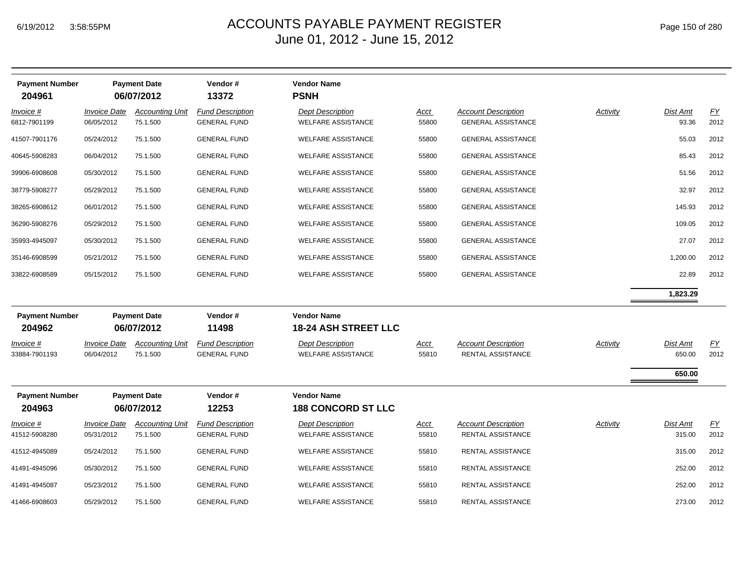| <b>Payment Number</b><br>204961   |                                   | <b>Payment Date</b><br>06/07/2012  | Vendor#<br>13372                               | <b>Vendor Name</b><br><b>PSNH</b>                    |                      |                                                         |                 |                    |                   |
|-----------------------------------|-----------------------------------|------------------------------------|------------------------------------------------|------------------------------------------------------|----------------------|---------------------------------------------------------|-----------------|--------------------|-------------------|
|                                   |                                   |                                    |                                                |                                                      |                      |                                                         |                 |                    |                   |
| Invoice #<br>6812-7901199         | <b>Invoice Date</b><br>06/05/2012 | <b>Accounting Unit</b><br>75.1.500 | <b>Fund Description</b><br><b>GENERAL FUND</b> | <b>Dept Description</b><br><b>WELFARE ASSISTANCE</b> | <u>Acct</u><br>55800 | <b>Account Description</b><br><b>GENERAL ASSISTANCE</b> | Activity        | Dist Amt<br>93.36  | EY<br>2012        |
| 41507-7901176                     | 05/24/2012                        | 75.1.500                           | <b>GENERAL FUND</b>                            | <b>WELFARE ASSISTANCE</b>                            | 55800                | <b>GENERAL ASSISTANCE</b>                               |                 | 55.03              | 2012              |
| 40645-5908283                     | 06/04/2012                        | 75.1.500                           | <b>GENERAL FUND</b>                            | <b>WELFARE ASSISTANCE</b>                            | 55800                | <b>GENERAL ASSISTANCE</b>                               |                 | 85.43              | 2012              |
| 39906-6908608                     | 05/30/2012                        | 75.1.500                           | <b>GENERAL FUND</b>                            | <b>WELFARE ASSISTANCE</b>                            | 55800                | GENERAL ASSISTANCE                                      |                 | 51.56              | 2012              |
| 38779-5908277                     | 05/29/2012                        | 75.1.500                           | <b>GENERAL FUND</b>                            | <b>WELFARE ASSISTANCE</b>                            | 55800                | GENERAL ASSISTANCE                                      |                 | 32.97              | 2012              |
| 38265-6908612                     | 06/01/2012                        | 75.1.500                           | <b>GENERAL FUND</b>                            | <b>WELFARE ASSISTANCE</b>                            | 55800                | <b>GENERAL ASSISTANCE</b>                               |                 | 145.93             | 2012              |
| 36290-5908276                     | 05/29/2012                        | 75.1.500                           | <b>GENERAL FUND</b>                            | <b>WELFARE ASSISTANCE</b>                            | 55800                | <b>GENERAL ASSISTANCE</b>                               |                 | 109.05             | 2012              |
| 35993-4945097                     | 05/30/2012                        | 75.1.500                           | <b>GENERAL FUND</b>                            | <b>WELFARE ASSISTANCE</b>                            | 55800                | <b>GENERAL ASSISTANCE</b>                               |                 | 27.07              | 2012              |
| 35146-6908599                     | 05/21/2012                        | 75.1.500                           | <b>GENERAL FUND</b>                            | <b>WELFARE ASSISTANCE</b>                            | 55800                | <b>GENERAL ASSISTANCE</b>                               |                 | 1,200.00           | 2012              |
| 33822-6908589                     | 05/15/2012                        | 75.1.500                           | <b>GENERAL FUND</b>                            | <b>WELFARE ASSISTANCE</b>                            | 55800                | <b>GENERAL ASSISTANCE</b>                               |                 | 22.89              | 2012              |
|                                   |                                   |                                    |                                                |                                                      |                      |                                                         |                 | 1,823.29           |                   |
| <b>Payment Number</b><br>204962   |                                   | <b>Payment Date</b><br>06/07/2012  | Vendor#<br>11498                               | <b>Vendor Name</b><br><b>18-24 ASH STREET LLC</b>    |                      |                                                         |                 |                    |                   |
| <u>Invoice #</u><br>33884-7901193 | <b>Invoice Date</b><br>06/04/2012 | <b>Accounting Unit</b><br>75.1.500 | <b>Fund Description</b><br><b>GENERAL FUND</b> | <b>Dept Description</b><br><b>WELFARE ASSISTANCE</b> | <u>Acct</u><br>55810 | <b>Account Description</b><br>RENTAL ASSISTANCE         | <b>Activity</b> | Dist Amt<br>650.00 | EY<br>2012        |
|                                   |                                   |                                    |                                                |                                                      |                      |                                                         |                 | 650.00             |                   |
| <b>Payment Number</b><br>204963   |                                   | <b>Payment Date</b><br>06/07/2012  | Vendor#<br>12253                               | <b>Vendor Name</b><br><b>188 CONCORD ST LLC</b>      |                      |                                                         |                 |                    |                   |
| Invoice #<br>41512-5908280        | <b>Invoice Date</b><br>05/31/2012 | <b>Accounting Unit</b><br>75.1.500 | <b>Fund Description</b><br><b>GENERAL FUND</b> | <b>Dept Description</b><br><b>WELFARE ASSISTANCE</b> | <u>Acct</u><br>55810 | <b>Account Description</b><br>RENTAL ASSISTANCE         | <b>Activity</b> | Dist Amt<br>315.00 | <u>FY</u><br>2012 |
| 41512-4945089                     | 05/24/2012                        | 75.1.500                           | <b>GENERAL FUND</b>                            | <b>WELFARE ASSISTANCE</b>                            | 55810                | RENTAL ASSISTANCE                                       |                 | 315.00             | 2012              |
| 41491-4945096                     | 05/30/2012                        | 75.1.500                           | <b>GENERAL FUND</b>                            | <b>WELFARE ASSISTANCE</b>                            | 55810                | RENTAL ASSISTANCE                                       |                 | 252.00             | 2012              |
| 41491-4945087                     | 05/23/2012                        | 75.1.500                           | <b>GENERAL FUND</b>                            | <b>WELFARE ASSISTANCE</b>                            | 55810                | RENTAL ASSISTANCE                                       |                 | 252.00             | 2012              |
| 41466-6908603                     | 05/29/2012                        | 75.1.500                           | <b>GENERAL FUND</b>                            | <b>WELFARE ASSISTANCE</b>                            | 55810                | RENTAL ASSISTANCE                                       |                 | 273.00             | 2012              |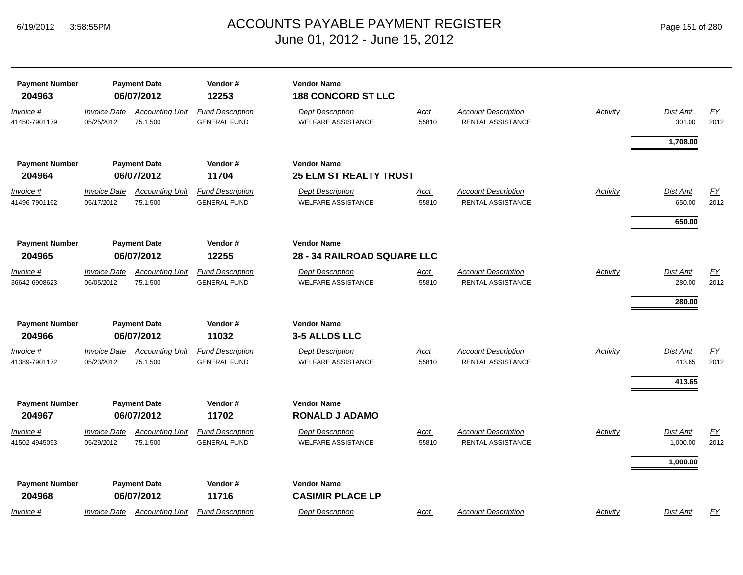| <b>Payment Number</b><br>204963 | <b>Payment Date</b><br>06/07/2012 |                                    | Vendor#<br>12253                               | <b>Vendor Name</b><br><b>188 CONCORD ST LLC</b>      |                      |                                                        |                 |                    |                          |
|---------------------------------|-----------------------------------|------------------------------------|------------------------------------------------|------------------------------------------------------|----------------------|--------------------------------------------------------|-----------------|--------------------|--------------------------|
| Invoice #<br>41450-7901179      | <b>Invoice Date</b><br>05/25/2012 | <b>Accounting Unit</b><br>75.1.500 | <b>Fund Description</b><br><b>GENERAL FUND</b> | <b>Dept Description</b><br><b>WELFARE ASSISTANCE</b> | <b>Acct</b><br>55810 | <b>Account Description</b><br>RENTAL ASSISTANCE        | <b>Activity</b> | Dist Amt<br>301.00 | EY<br>2012               |
|                                 |                                   |                                    |                                                |                                                      |                      |                                                        |                 | 1,708.00           |                          |
| <b>Payment Number</b>           |                                   | <b>Payment Date</b>                | Vendor#                                        | <b>Vendor Name</b>                                   |                      |                                                        |                 |                    |                          |
| 204964                          |                                   | 06/07/2012                         | 11704                                          | <b>25 ELM ST REALTY TRUST</b>                        |                      |                                                        |                 |                    |                          |
| Invoice #<br>41496-7901162      | <b>Invoice Date</b><br>05/17/2012 | <b>Accounting Unit</b><br>75.1.500 | <b>Fund Description</b><br><b>GENERAL FUND</b> | <b>Dept Description</b><br><b>WELFARE ASSISTANCE</b> | Acct<br>55810        | <b>Account Description</b><br><b>RENTAL ASSISTANCE</b> | <b>Activity</b> | Dist Amt<br>650.00 | $\underline{FY}$<br>2012 |
|                                 |                                   |                                    |                                                |                                                      |                      |                                                        |                 | 650.00             |                          |
| <b>Payment Number</b><br>204965 |                                   | <b>Payment Date</b><br>06/07/2012  | Vendor#<br>12255                               | <b>Vendor Name</b><br>28 - 34 RAILROAD SQUARE LLC    |                      |                                                        |                 |                    |                          |
| <u>Invoice #</u>                | <i><b>Invoice Date</b></i>        | <b>Accounting Unit</b>             | <b>Fund Description</b>                        | <b>Dept Description</b>                              | <u>Acct</u>          | <b>Account Description</b>                             | <b>Activity</b> | Dist Amt           | <b>FY</b>                |
| 36642-6908623                   | 06/05/2012                        | 75.1.500                           | <b>GENERAL FUND</b>                            | <b>WELFARE ASSISTANCE</b>                            | 55810                | <b>RENTAL ASSISTANCE</b>                               |                 | 280.00             | 2012                     |
|                                 |                                   |                                    |                                                |                                                      |                      |                                                        |                 | 280.00             |                          |
| <b>Payment Number</b>           |                                   | <b>Payment Date</b>                | Vendor#                                        | <b>Vendor Name</b>                                   |                      |                                                        |                 |                    |                          |
| 204966                          |                                   | 06/07/2012                         | 11032                                          | 3-5 ALLDS LLC                                        |                      |                                                        |                 |                    |                          |
| <u>Invoice #</u>                | <b>Invoice Date</b>               | <b>Accounting Unit</b>             | <b>Fund Description</b>                        | <b>Dept Description</b>                              | <u>Acct</u>          | <b>Account Description</b>                             | <b>Activity</b> | Dist Amt           | EY                       |
| 41389-7901172                   | 05/23/2012                        | 75.1.500                           | <b>GENERAL FUND</b>                            | <b>WELFARE ASSISTANCE</b>                            | 55810                | <b>RENTAL ASSISTANCE</b>                               |                 | 413.65             | 2012                     |
|                                 |                                   |                                    |                                                |                                                      |                      |                                                        |                 | 413.65             |                          |
| <b>Payment Number</b>           |                                   | <b>Payment Date</b>                | Vendor#                                        | <b>Vendor Name</b>                                   |                      |                                                        |                 |                    |                          |
| 204967                          |                                   | 06/07/2012                         | 11702                                          | <b>RONALD J ADAMO</b>                                |                      |                                                        |                 |                    |                          |
| Invoice #                       | <b>Invoice Date</b>               | <b>Accounting Unit</b>             | <b>Fund Description</b>                        | <b>Dept Description</b>                              | Acct                 | <b>Account Description</b>                             | Activity        | Dist Amt           | $\underline{FY}$         |
| 41502-4945093                   | 05/29/2012                        | 75.1.500                           | <b>GENERAL FUND</b>                            | <b>WELFARE ASSISTANCE</b>                            | 55810                | RENTAL ASSISTANCE                                      |                 | 1,000.00           | 2012                     |
|                                 |                                   |                                    |                                                |                                                      |                      |                                                        |                 | 1,000.00           |                          |
| <b>Payment Number</b>           |                                   | <b>Payment Date</b>                | Vendor#                                        | <b>Vendor Name</b>                                   |                      |                                                        |                 |                    |                          |
| 204968                          |                                   | 06/07/2012                         | 11716                                          | <b>CASIMIR PLACE LP</b>                              |                      |                                                        |                 |                    |                          |
| Invoice #                       | <i><b>Invoice Date</b></i>        | <b>Accounting Unit</b>             | <b>Fund Description</b>                        | <b>Dept Description</b>                              | Acct                 | <b>Account Description</b>                             | Activity        | Dist Amt           | <b>FY</b>                |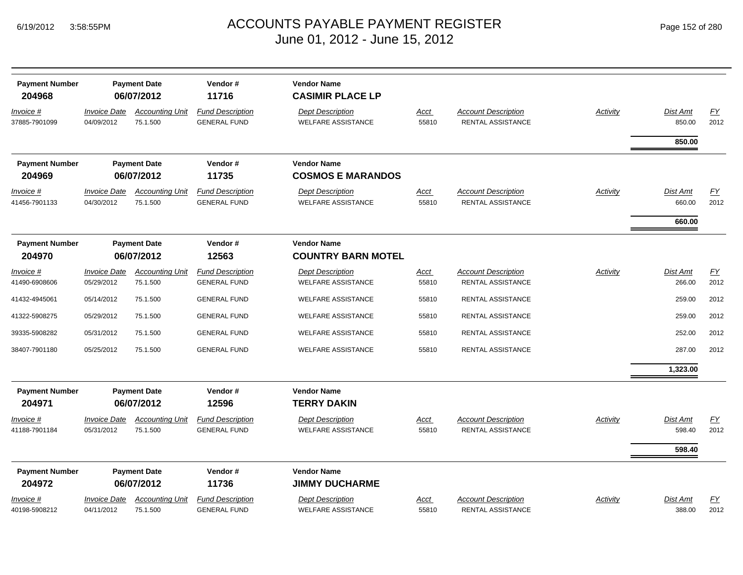| <b>Payment Number</b><br>204968   |                                   | <b>Payment Date</b><br>06/07/2012  | Vendor#<br>11716                               | <b>Vendor Name</b><br><b>CASIMIR PLACE LP</b>        |                      |                                                        |                 |                              |                          |
|-----------------------------------|-----------------------------------|------------------------------------|------------------------------------------------|------------------------------------------------------|----------------------|--------------------------------------------------------|-----------------|------------------------------|--------------------------|
| <u>Invoice #</u><br>37885-7901099 | <b>Invoice Date</b><br>04/09/2012 | <b>Accounting Unit</b><br>75.1.500 | <b>Fund Description</b><br><b>GENERAL FUND</b> | <b>Dept Description</b><br><b>WELFARE ASSISTANCE</b> | <u>Acct</u><br>55810 | <b>Account Description</b><br><b>RENTAL ASSISTANCE</b> | Activity        | Dist Amt<br>850.00           | $\underline{FY}$<br>2012 |
|                                   |                                   |                                    |                                                |                                                      |                      |                                                        |                 | 850.00                       |                          |
| <b>Payment Number</b><br>204969   |                                   | <b>Payment Date</b><br>06/07/2012  | Vendor#<br>11735                               | <b>Vendor Name</b><br><b>COSMOS E MARANDOS</b>       |                      |                                                        |                 |                              |                          |
| Invoice #<br>41456-7901133        | <b>Invoice Date</b><br>04/30/2012 | <b>Accounting Unit</b><br>75.1.500 | <b>Fund Description</b><br><b>GENERAL FUND</b> | <b>Dept Description</b><br><b>WELFARE ASSISTANCE</b> | <u>Acct</u><br>55810 | <b>Account Description</b><br><b>RENTAL ASSISTANCE</b> | <b>Activity</b> | Dist Amt<br>660.00<br>660.00 | EY<br>2012               |
| <b>Payment Number</b><br>204970   |                                   | <b>Payment Date</b><br>06/07/2012  | Vendor#<br>12563                               | <b>Vendor Name</b><br><b>COUNTRY BARN MOTEL</b>      |                      |                                                        |                 |                              |                          |
| <u>Invoice #</u><br>41490-6908606 | <b>Invoice Date</b><br>05/29/2012 | <b>Accounting Unit</b><br>75.1.500 | <b>Fund Description</b><br><b>GENERAL FUND</b> | <b>Dept Description</b><br><b>WELFARE ASSISTANCE</b> | <u>Acct</u><br>55810 | <b>Account Description</b><br>RENTAL ASSISTANCE        | <b>Activity</b> | Dist Amt<br>266.00           | EY<br>2012               |
| 41432-4945061                     | 05/14/2012                        | 75.1.500                           | <b>GENERAL FUND</b>                            | <b>WELFARE ASSISTANCE</b>                            | 55810                | RENTAL ASSISTANCE                                      |                 | 259.00                       | 2012                     |
| 41322-5908275                     | 05/29/2012                        | 75.1.500                           | <b>GENERAL FUND</b>                            | <b>WELFARE ASSISTANCE</b>                            | 55810                | RENTAL ASSISTANCE                                      |                 | 259.00                       | 2012                     |
| 39335-5908282                     | 05/31/2012                        | 75.1.500                           | <b>GENERAL FUND</b>                            | <b>WELFARE ASSISTANCE</b>                            | 55810                | RENTAL ASSISTANCE                                      |                 | 252.00                       | 2012                     |
| 38407-7901180                     | 05/25/2012                        | 75.1.500                           | <b>GENERAL FUND</b>                            | <b>WELFARE ASSISTANCE</b>                            | 55810                | RENTAL ASSISTANCE                                      |                 | 287.00                       | 2012                     |
|                                   |                                   |                                    |                                                |                                                      |                      |                                                        |                 | 1,323.00                     |                          |
| <b>Payment Number</b><br>204971   |                                   | <b>Payment Date</b><br>06/07/2012  | Vendor#<br>12596                               | <b>Vendor Name</b><br><b>TERRY DAKIN</b>             |                      |                                                        |                 |                              |                          |
| Invoice #<br>41188-7901184        | <b>Invoice Date</b><br>05/31/2012 | <b>Accounting Unit</b><br>75.1.500 | <b>Fund Description</b><br><b>GENERAL FUND</b> | <b>Dept Description</b><br><b>WELFARE ASSISTANCE</b> | <u>Acct</u><br>55810 | <b>Account Description</b><br><b>RENTAL ASSISTANCE</b> | Activity        | Dist Amt<br>598.40<br>598.40 | EY<br>2012               |
| <b>Payment Number</b><br>204972   |                                   | <b>Payment Date</b><br>06/07/2012  | Vendor#<br>11736                               | <b>Vendor Name</b><br><b>JIMMY DUCHARME</b>          |                      |                                                        |                 |                              |                          |
| <u>Invoice #</u><br>40198-5908212 | <b>Invoice Date</b><br>04/11/2012 | <b>Accounting Unit</b><br>75.1.500 | <b>Fund Description</b><br><b>GENERAL FUND</b> | <b>Dept Description</b><br><b>WELFARE ASSISTANCE</b> | <u>Acct</u><br>55810 | <b>Account Description</b><br>RENTAL ASSISTANCE        | Activity        | Dist Amt<br>388.00           | EY<br>2012               |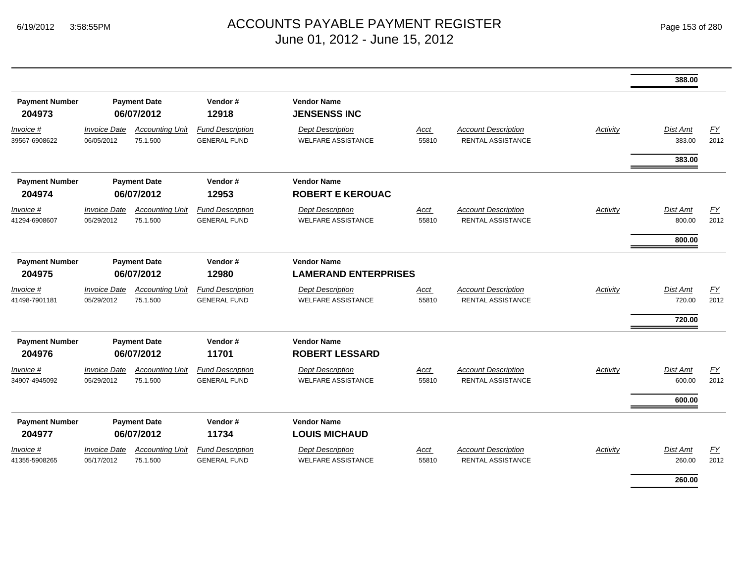|                                 |                                          |                                    |                                                |                                                      |                      |                                                        |                 | 388.00                              |                   |  |  |
|---------------------------------|------------------------------------------|------------------------------------|------------------------------------------------|------------------------------------------------------|----------------------|--------------------------------------------------------|-----------------|-------------------------------------|-------------------|--|--|
| <b>Payment Number</b><br>204973 |                                          | <b>Payment Date</b><br>06/07/2012  | Vendor#<br>12918                               | <b>Vendor Name</b><br><b>JENSENSS INC</b>            |                      |                                                        |                 |                                     |                   |  |  |
| Invoice #<br>39567-6908622      | <b>Invoice Date</b><br>06/05/2012        | <b>Accounting Unit</b><br>75.1.500 | <b>Fund Description</b><br><b>GENERAL FUND</b> | <b>Dept Description</b><br><b>WELFARE ASSISTANCE</b> | Acct<br>55810        | <b>Account Description</b><br>RENTAL ASSISTANCE        | Activity        | Dist Amt<br>383.00                  | EY<br>2012        |  |  |
|                                 |                                          |                                    |                                                |                                                      |                      |                                                        |                 | 383.00                              |                   |  |  |
| <b>Payment Number</b><br>204974 |                                          | <b>Payment Date</b><br>06/07/2012  | Vendor#<br>12953                               | <b>Vendor Name</b><br><b>ROBERT E KEROUAC</b>        |                      |                                                        |                 |                                     |                   |  |  |
| Invoice #<br>41294-6908607      | <b>Invoice Date</b><br>05/29/2012        | <b>Accounting Unit</b><br>75.1.500 | <b>Fund Description</b><br><b>GENERAL FUND</b> | <b>Dept Description</b><br><b>WELFARE ASSISTANCE</b> | <u>Acct</u><br>55810 | <b>Account Description</b><br>RENTAL ASSISTANCE        | <b>Activity</b> | <b>Dist Amt</b><br>800.00           | EY<br>2012        |  |  |
|                                 |                                          |                                    |                                                |                                                      |                      |                                                        |                 | 800.00                              |                   |  |  |
| <b>Payment Number</b><br>204975 | <b>Payment Date</b><br>06/07/2012        |                                    |                                                |                                                      | Vendor#<br>12980     | <b>Vendor Name</b><br><b>LAMERAND ENTERPRISES</b>      |                 |                                     |                   |  |  |
| Invoice #<br>41498-7901181      | <i><b>Invoice Date</b></i><br>05/29/2012 | <b>Accounting Unit</b><br>75.1.500 | <b>Fund Description</b><br><b>GENERAL FUND</b> | <b>Dept Description</b><br><b>WELFARE ASSISTANCE</b> | Acct<br>55810        | <b>Account Description</b><br>RENTAL ASSISTANCE        | Activity        | <b>Dist Amt</b><br>720.00<br>720.00 | <u>FY</u><br>2012 |  |  |
| <b>Payment Number</b><br>204976 |                                          | <b>Payment Date</b><br>06/07/2012  | Vendor#<br>11701                               | <b>Vendor Name</b><br><b>ROBERT LESSARD</b>          |                      |                                                        |                 |                                     |                   |  |  |
| Invoice #<br>34907-4945092      | <b>Invoice Date</b><br>05/29/2012        | <b>Accounting Unit</b><br>75.1.500 | <b>Fund Description</b><br><b>GENERAL FUND</b> | <b>Dept Description</b><br><b>WELFARE ASSISTANCE</b> | <b>Acct</b><br>55810 | <b>Account Description</b><br>RENTAL ASSISTANCE        | Activity        | <b>Dist Amt</b><br>600.00           | EY<br>2012        |  |  |
|                                 |                                          |                                    |                                                |                                                      |                      |                                                        |                 | 600.00                              |                   |  |  |
| <b>Payment Number</b><br>204977 |                                          | <b>Payment Date</b><br>06/07/2012  | Vendor#<br>11734                               | <b>Vendor Name</b><br><b>LOUIS MICHAUD</b>           |                      |                                                        |                 |                                     |                   |  |  |
| Invoice #<br>41355-5908265      | <b>Invoice Date</b><br>05/17/2012        | <b>Accounting Unit</b><br>75.1.500 | <b>Fund Description</b><br><b>GENERAL FUND</b> | <b>Dept Description</b><br><b>WELFARE ASSISTANCE</b> | <u>Acct</u><br>55810 | <b>Account Description</b><br><b>RENTAL ASSISTANCE</b> | <b>Activity</b> | <b>Dist Amt</b><br>260.00           | EY<br>2012        |  |  |
|                                 |                                          |                                    |                                                |                                                      |                      |                                                        |                 | 260.00                              |                   |  |  |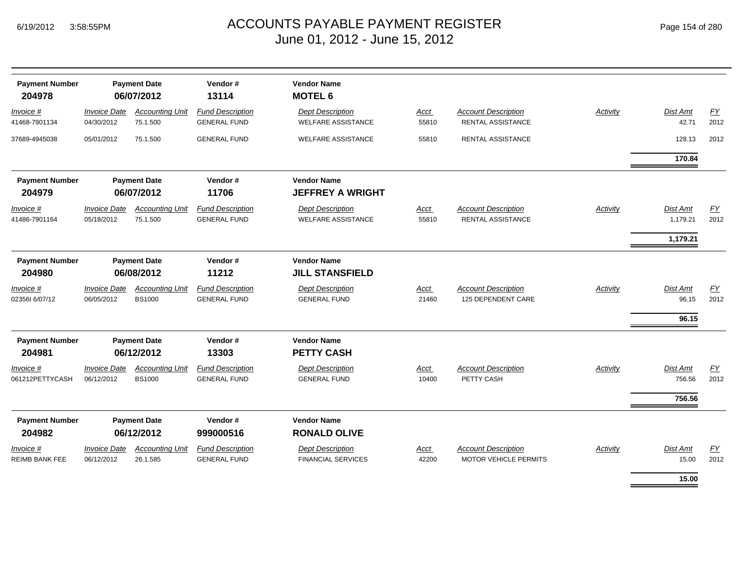|  | Page 154 of 280 |  |  |  |
|--|-----------------|--|--|--|
|--|-----------------|--|--|--|

| <b>Payment Number</b><br>204978    |                                          | <b>Payment Date</b><br>06/07/2012       | Vendor#<br>13114                               | <b>Vendor Name</b><br><b>MOTEL 6</b>                 |                      |                                                            |                 |                            |                   |
|------------------------------------|------------------------------------------|-----------------------------------------|------------------------------------------------|------------------------------------------------------|----------------------|------------------------------------------------------------|-----------------|----------------------------|-------------------|
| Invoice #<br>41468-7901134         | <b>Invoice Date</b><br>04/30/2012        | <b>Accounting Unit</b><br>75.1.500      | <b>Fund Description</b><br><b>GENERAL FUND</b> | <b>Dept Description</b><br><b>WELFARE ASSISTANCE</b> | <b>Acct</b><br>55810 | <b>Account Description</b><br><b>RENTAL ASSISTANCE</b>     | <b>Activity</b> | Dist Amt<br>42.71          | EY<br>2012        |
| 37689-4945038                      | 05/01/2012                               | 75.1.500                                | <b>GENERAL FUND</b>                            | <b>WELFARE ASSISTANCE</b>                            | 55810                | RENTAL ASSISTANCE                                          |                 | 128.13                     | 2012              |
|                                    |                                          |                                         |                                                |                                                      |                      |                                                            |                 | 170.84                     |                   |
| <b>Payment Number</b><br>204979    |                                          | <b>Payment Date</b><br>06/07/2012       | Vendor#<br>11706                               | <b>Vendor Name</b><br><b>JEFFREY A WRIGHT</b>        |                      |                                                            |                 |                            |                   |
| Invoice #<br>41486-7901164         | <i><b>Invoice Date</b></i><br>05/18/2012 | <b>Accounting Unit</b><br>75.1.500      | <b>Fund Description</b><br><b>GENERAL FUND</b> | <b>Dept Description</b><br><b>WELFARE ASSISTANCE</b> | Acct<br>55810        | <b>Account Description</b><br><b>RENTAL ASSISTANCE</b>     | Activity        | Dist Amt<br>1,179.21       | EY<br>2012        |
| <b>Payment Number</b><br>204980    |                                          | <b>Payment Date</b><br>06/08/2012       | Vendor#<br>11212                               | <b>Vendor Name</b><br><b>JILL STANSFIELD</b>         |                      |                                                            |                 | 1,179.21                   |                   |
| Invoice #<br>023561 6/07/12        | <b>Invoice Date</b><br>06/05/2012        | <b>Accounting Unit</b><br><b>BS1000</b> | <b>Fund Description</b><br><b>GENERAL FUND</b> | <b>Dept Description</b><br><b>GENERAL FUND</b>       | Acct<br>21460        | <b>Account Description</b><br>125 DEPENDENT CARE           | Activity        | Dist Amt<br>96.15<br>96.15 | EY<br>2012        |
| <b>Payment Number</b><br>204981    |                                          | <b>Payment Date</b><br>06/12/2012       | Vendor#<br>13303                               | <b>Vendor Name</b><br><b>PETTY CASH</b>              |                      |                                                            |                 |                            |                   |
| Invoice #<br>061212PETTYCASH       | <b>Invoice Date</b><br>06/12/2012        | <b>Accounting Unit</b><br><b>BS1000</b> | <b>Fund Description</b><br><b>GENERAL FUND</b> | <b>Dept Description</b><br><b>GENERAL FUND</b>       | <b>Acct</b><br>10400 | <b>Account Description</b><br>PETTY CASH                   | Activity        | Dist Amt<br>756.56         | <u>FY</u><br>2012 |
|                                    |                                          |                                         |                                                |                                                      |                      |                                                            |                 | 756.56                     |                   |
| <b>Payment Number</b><br>204982    |                                          | <b>Payment Date</b><br>06/12/2012       | Vendor#<br>999000516                           | <b>Vendor Name</b><br><b>RONALD OLIVE</b>            |                      |                                                            |                 |                            |                   |
| Invoice #<br><b>REIMB BANK FEE</b> | <b>Invoice Date</b><br>06/12/2012        | <b>Accounting Unit</b><br>26.1.585      | <b>Fund Description</b><br><b>GENERAL FUND</b> | <b>Dept Description</b><br><b>FINANCIAL SERVICES</b> | Acct<br>42200        | <b>Account Description</b><br><b>MOTOR VEHICLE PERMITS</b> | <b>Activity</b> | Dist Amt<br>15.00          | EY<br>2012        |
|                                    |                                          |                                         |                                                |                                                      |                      |                                                            |                 | 15.00                      |                   |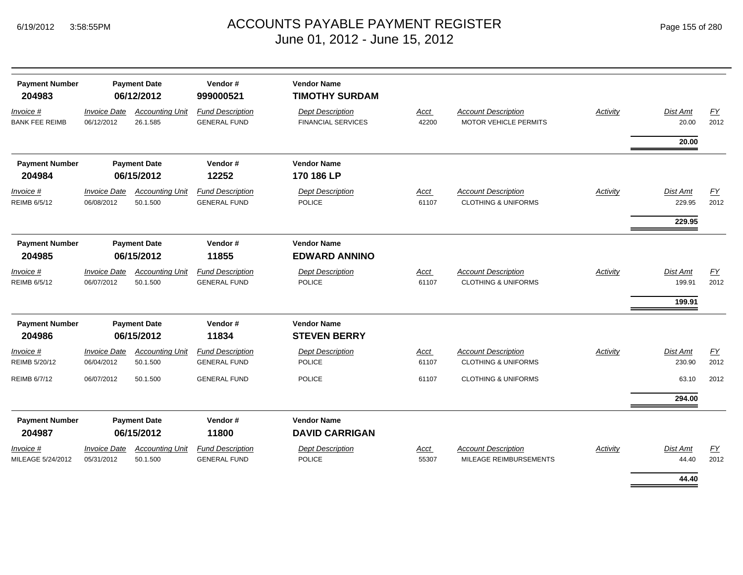| <b>Payment Number</b><br>204983    |                                   | <b>Payment Date</b><br>06/12/2012  | Vendor#<br>999000521                           | <b>Vendor Name</b><br><b>TIMOTHY SURDAM</b>          |                      |                                                              |                 |                              |                          |
|------------------------------------|-----------------------------------|------------------------------------|------------------------------------------------|------------------------------------------------------|----------------------|--------------------------------------------------------------|-----------------|------------------------------|--------------------------|
| Invoice #<br><b>BANK FEE REIMB</b> | <b>Invoice Date</b><br>06/12/2012 | <b>Accounting Unit</b><br>26.1.585 | <b>Fund Description</b><br><b>GENERAL FUND</b> | <b>Dept Description</b><br><b>FINANCIAL SERVICES</b> | Acct<br>42200        | <b>Account Description</b><br><b>MOTOR VEHICLE PERMITS</b>   | Activity        | <b>Dist Amt</b><br>20.00     | EY<br>2012               |
|                                    |                                   |                                    |                                                |                                                      |                      |                                                              |                 | 20.00                        |                          |
| <b>Payment Number</b><br>204984    |                                   | <b>Payment Date</b><br>06/15/2012  | Vendor#<br>12252                               | <b>Vendor Name</b><br>170 186 LP                     |                      |                                                              |                 |                              |                          |
| Invoice #<br>REIMB 6/5/12          | <b>Invoice Date</b><br>06/08/2012 | <b>Accounting Unit</b><br>50.1.500 | <b>Fund Description</b><br><b>GENERAL FUND</b> | <b>Dept Description</b><br><b>POLICE</b>             | <b>Acct</b><br>61107 | <b>Account Description</b><br><b>CLOTHING &amp; UNIFORMS</b> | Activity        | Dist Amt<br>229.95<br>229.95 | EY<br>2012               |
| <b>Payment Number</b><br>204985    | <b>Payment Date</b><br>06/15/2012 |                                    | Vendor#<br>11855                               | <b>Vendor Name</b><br><b>EDWARD ANNINO</b>           |                      |                                                              |                 |                              |                          |
| Invoice #<br><b>REIMB 6/5/12</b>   | <b>Invoice Date</b><br>06/07/2012 | <b>Accounting Unit</b><br>50.1.500 | <b>Fund Description</b><br><b>GENERAL FUND</b> | <b>Dept Description</b><br><b>POLICE</b>             | <b>Acct</b><br>61107 | <b>Account Description</b><br><b>CLOTHING &amp; UNIFORMS</b> | <b>Activity</b> | Dist Amt<br>199.91<br>199.91 | $\underline{FY}$<br>2012 |
| <b>Payment Number</b><br>204986    | <b>Payment Date</b><br>06/15/2012 |                                    | Vendor#<br>11834                               | <b>Vendor Name</b><br><b>STEVEN BERRY</b>            |                      |                                                              |                 |                              |                          |
| Invoice #<br>REIMB 5/20/12         | <b>Invoice Date</b><br>06/04/2012 | <b>Accounting Unit</b><br>50.1.500 | <b>Fund Description</b><br><b>GENERAL FUND</b> | <b>Dept Description</b><br><b>POLICE</b>             | Acct<br>61107        | <b>Account Description</b><br><b>CLOTHING &amp; UNIFORMS</b> | Activity        | Dist Amt<br>230.90           | <u>FY</u><br>2012        |
| <b>REIMB 6/7/12</b>                | 06/07/2012                        | 50.1.500                           | <b>GENERAL FUND</b>                            | <b>POLICE</b>                                        | 61107                | <b>CLOTHING &amp; UNIFORMS</b>                               |                 | 63.10                        | 2012                     |
|                                    |                                   |                                    |                                                |                                                      |                      |                                                              |                 | 294.00                       |                          |
| <b>Payment Number</b><br>204987    |                                   | <b>Payment Date</b><br>06/15/2012  | Vendor#<br>11800                               | <b>Vendor Name</b><br><b>DAVID CARRIGAN</b>          |                      |                                                              |                 |                              |                          |
| Invoice #<br>MILEAGE 5/24/2012     | <b>Invoice Date</b><br>05/31/2012 | <b>Accounting Unit</b><br>50.1.500 | <b>Fund Description</b><br><b>GENERAL FUND</b> | <b>Dept Description</b><br><b>POLICE</b>             | Acct<br>55307        | <b>Account Description</b><br>MILEAGE REIMBURSEMENTS         | Activity        | Dist Amt<br>44.40            | EY<br>2012               |
|                                    |                                   |                                    |                                                |                                                      |                      |                                                              |                 | 44.40                        |                          |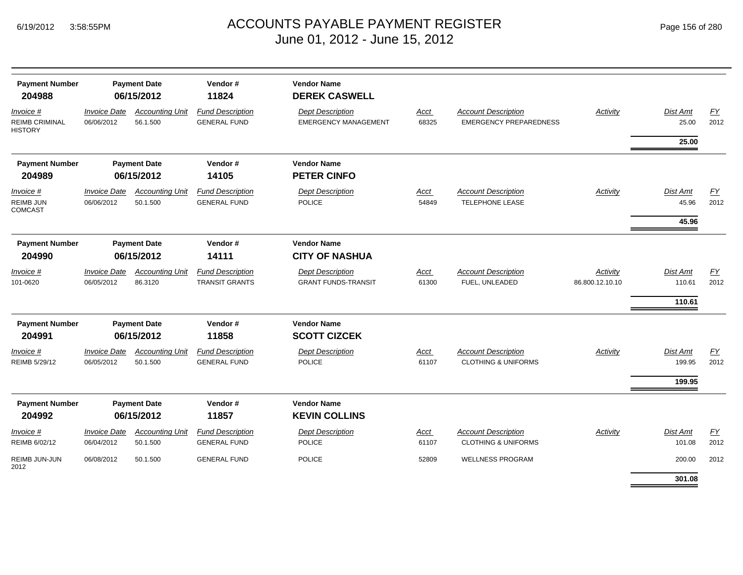|  | Page 156 of 280 |  |  |  |
|--|-----------------|--|--|--|
|--|-----------------|--|--|--|

| <b>Payment Number</b><br>204988                      |                                   | <b>Payment Date</b><br>06/15/2012  | Vendor#<br>11824                                 | <b>Vendor Name</b><br><b>DEREK CASWELL</b>             |                      |                                                              |                                    |                                   |                   |
|------------------------------------------------------|-----------------------------------|------------------------------------|--------------------------------------------------|--------------------------------------------------------|----------------------|--------------------------------------------------------------|------------------------------------|-----------------------------------|-------------------|
| Invoice #<br><b>REIMB CRIMINAL</b><br><b>HISTORY</b> | <b>Invoice Date</b><br>06/06/2012 | <b>Accounting Unit</b><br>56.1.500 | <b>Fund Description</b><br><b>GENERAL FUND</b>   | <b>Dept Description</b><br><b>EMERGENCY MANAGEMENT</b> | <b>Acct</b><br>68325 | <b>Account Description</b><br><b>EMERGENCY PREPAREDNESS</b>  | <b>Activity</b>                    | Dist Amt<br>25.00                 | EY<br>2012        |
|                                                      |                                   |                                    |                                                  |                                                        |                      |                                                              |                                    | 25.00                             |                   |
| <b>Payment Number</b><br>204989                      |                                   | <b>Payment Date</b><br>06/15/2012  | Vendor#<br>14105                                 | <b>Vendor Name</b><br><b>PETER CINFO</b>               |                      |                                                              |                                    |                                   |                   |
| $Invoice$ #<br><b>REIMB JUN</b><br><b>COMCAST</b>    | <b>Invoice Date</b><br>06/06/2012 | <b>Accounting Unit</b><br>50.1.500 | <b>Fund Description</b><br><b>GENERAL FUND</b>   | <b>Dept Description</b><br><b>POLICE</b>               | <b>Acct</b><br>54849 | <b>Account Description</b><br><b>TELEPHONE LEASE</b>         | Activity                           | <b>Dist Amt</b><br>45.96<br>45.96 | <u>FY</u><br>2012 |
| <b>Payment Number</b><br>204990                      |                                   | <b>Payment Date</b><br>06/15/2012  | Vendor#<br>14111                                 | <b>Vendor Name</b><br><b>CITY OF NASHUA</b>            |                      |                                                              |                                    |                                   |                   |
| $Invoice$ #<br>101-0620                              | <b>Invoice Date</b><br>06/05/2012 | <b>Accounting Unit</b><br>86.3120  | <b>Fund Description</b><br><b>TRANSIT GRANTS</b> | <b>Dept Description</b><br><b>GRANT FUNDS-TRANSIT</b>  | <b>Acct</b><br>61300 | <b>Account Description</b><br>FUEL, UNLEADED                 | <b>Activity</b><br>86.800.12.10.10 | Dist Amt<br>110.61<br>110.61      | EY<br>2012        |
| <b>Payment Number</b><br>204991                      |                                   | <b>Payment Date</b><br>06/15/2012  | Vendor#<br>11858                                 | <b>Vendor Name</b><br><b>SCOTT CIZCEK</b>              |                      |                                                              |                                    |                                   |                   |
| $Invoice$ #<br>REIMB 5/29/12                         | <b>Invoice Date</b><br>06/05/2012 | <b>Accounting Unit</b><br>50.1.500 | <b>Fund Description</b><br><b>GENERAL FUND</b>   | <b>Dept Description</b><br><b>POLICE</b>               | <b>Acct</b><br>61107 | <b>Account Description</b><br><b>CLOTHING &amp; UNIFORMS</b> | <b>Activity</b>                    | Dist Amt<br>199.95                | EY<br>2012        |
|                                                      |                                   |                                    |                                                  |                                                        |                      |                                                              |                                    | 199.95                            |                   |
| <b>Payment Number</b><br>204992                      |                                   | <b>Payment Date</b><br>06/15/2012  | Vendor#<br>11857                                 | <b>Vendor Name</b><br><b>KEVIN COLLINS</b>             |                      |                                                              |                                    |                                   |                   |
| <i>Invoice</i> #<br>REIMB 6/02/12                    | <b>Invoice Date</b><br>06/04/2012 | <b>Accounting Unit</b><br>50.1.500 | <b>Fund Description</b><br><b>GENERAL FUND</b>   | <b>Dept Description</b><br><b>POLICE</b>               | Acct<br>61107        | <b>Account Description</b><br><b>CLOTHING &amp; UNIFORMS</b> | Activity                           | Dist Amt<br>101.08                | EY<br>2012        |
| REIMB JUN-JUN<br>2012                                | 06/08/2012                        | 50.1.500                           | <b>GENERAL FUND</b>                              | <b>POLICE</b>                                          | 52809                | <b>WELLNESS PROGRAM</b>                                      |                                    | 200.00<br>301.08                  | 2012              |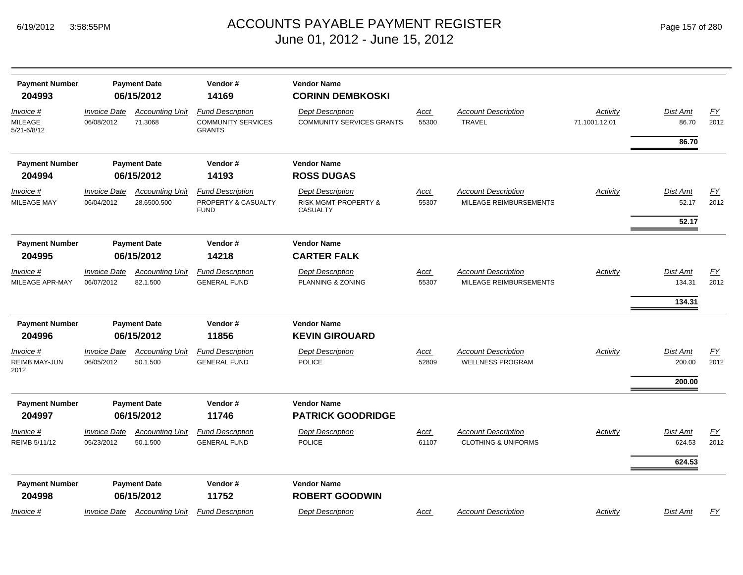| <b>Payment Number</b><br>204993            |                                   | <b>Payment Date</b><br>06/15/2012     | Vendor#<br>14169                                                      | <b>Vendor Name</b><br><b>CORINN DEMBKOSKI</b>                      |                      |                                                              |                           |                    |                   |
|--------------------------------------------|-----------------------------------|---------------------------------------|-----------------------------------------------------------------------|--------------------------------------------------------------------|----------------------|--------------------------------------------------------------|---------------------------|--------------------|-------------------|
| Invoice #<br><b>MILEAGE</b><br>5/21-6/8/12 | <b>Invoice Date</b><br>06/08/2012 | <b>Accounting Unit</b><br>71.3068     | <b>Fund Description</b><br><b>COMMUNITY SERVICES</b><br><b>GRANTS</b> | <b>Dept Description</b><br><b>COMMUNITY SERVICES GRANTS</b>        | Acct<br>55300        | <b>Account Description</b><br><b>TRAVEL</b>                  | Activity<br>71.1001.12.01 | Dist Amt<br>86.70  | EY<br>2012        |
|                                            |                                   |                                       |                                                                       |                                                                    |                      |                                                              |                           | 86.70              |                   |
| <b>Payment Number</b>                      |                                   | <b>Payment Date</b>                   | Vendor#                                                               | <b>Vendor Name</b>                                                 |                      |                                                              |                           |                    |                   |
| 204994                                     |                                   | 06/15/2012                            | 14193                                                                 | <b>ROSS DUGAS</b>                                                  |                      |                                                              |                           |                    |                   |
| Invoice #<br>MILEAGE MAY                   | <b>Invoice Date</b><br>06/04/2012 | <b>Accounting Unit</b><br>28.6500.500 | <b>Fund Description</b><br>PROPERTY & CASUALTY<br><b>FUND</b>         | <b>Dept Description</b><br>RISK MGMT-PROPERTY &<br><b>CASUALTY</b> | <u>Acct</u><br>55307 | <b>Account Description</b><br>MILEAGE REIMBURSEMENTS         | Activity                  | Dist Amt<br>52.17  | EY<br>2012        |
|                                            |                                   |                                       |                                                                       |                                                                    |                      |                                                              |                           | 52.17              |                   |
| <b>Payment Number</b><br>204995            |                                   | <b>Payment Date</b><br>06/15/2012     | Vendor#<br>14218                                                      | <b>Vendor Name</b><br><b>CARTER FALK</b>                           |                      |                                                              |                           |                    |                   |
| Invoice #<br>MILEAGE APR-MAY               | <b>Invoice Date</b><br>06/07/2012 | <b>Accounting Unit</b><br>82.1.500    | <b>Fund Description</b><br><b>GENERAL FUND</b>                        | <b>Dept Description</b><br>PLANNING & ZONING                       | Acct<br>55307        | <b>Account Description</b><br>MILEAGE REIMBURSEMENTS         | <b>Activity</b>           | Dist Amt<br>134.31 | EY<br>2012        |
|                                            |                                   |                                       |                                                                       |                                                                    |                      |                                                              |                           | 134.31             |                   |
| <b>Payment Number</b>                      |                                   | <b>Payment Date</b>                   | Vendor#                                                               | <b>Vendor Name</b>                                                 |                      |                                                              |                           |                    |                   |
| 204996                                     |                                   | 06/15/2012                            | 11856                                                                 | <b>KEVIN GIROUARD</b>                                              |                      |                                                              |                           |                    |                   |
| Invoice #<br>REIMB MAY-JUN<br>2012         | <b>Invoice Date</b><br>06/05/2012 | <b>Accounting Unit</b><br>50.1.500    | <b>Fund Description</b><br><b>GENERAL FUND</b>                        | <b>Dept Description</b><br><b>POLICE</b>                           | <u>Acct</u><br>52809 | <b>Account Description</b><br><b>WELLNESS PROGRAM</b>        | Activity                  | Dist Amt<br>200.00 | EY<br>2012        |
|                                            |                                   |                                       |                                                                       |                                                                    |                      |                                                              |                           | 200.00             |                   |
| <b>Payment Number</b><br>204997            |                                   | <b>Payment Date</b><br>06/15/2012     | Vendor#<br>11746                                                      | <b>Vendor Name</b><br><b>PATRICK GOODRIDGE</b>                     |                      |                                                              |                           |                    |                   |
| Invoice #<br>REIMB 5/11/12                 | <b>Invoice Date</b><br>05/23/2012 | <b>Accounting Unit</b><br>50.1.500    | <b>Fund Description</b><br><b>GENERAL FUND</b>                        | <b>Dept Description</b><br><b>POLICE</b>                           | Acct<br>61107        | <b>Account Description</b><br><b>CLOTHING &amp; UNIFORMS</b> | Activity                  | Dist Amt<br>624.53 | <u>FY</u><br>2012 |
|                                            |                                   |                                       |                                                                       |                                                                    |                      |                                                              |                           | 624.53             |                   |
| <b>Payment Number</b><br>204998            |                                   | <b>Payment Date</b><br>06/15/2012     | Vendor#<br>11752                                                      | <b>Vendor Name</b><br><b>ROBERT GOODWIN</b>                        |                      |                                                              |                           |                    |                   |
| <u>Invoice</u> #                           | <b>Invoice Date</b>               | <b>Accounting Unit</b>                | <b>Fund Description</b>                                               | <b>Dept Description</b>                                            | Acct                 | <b>Account Description</b>                                   | Activity                  | Dist Amt           | <u>FY</u>         |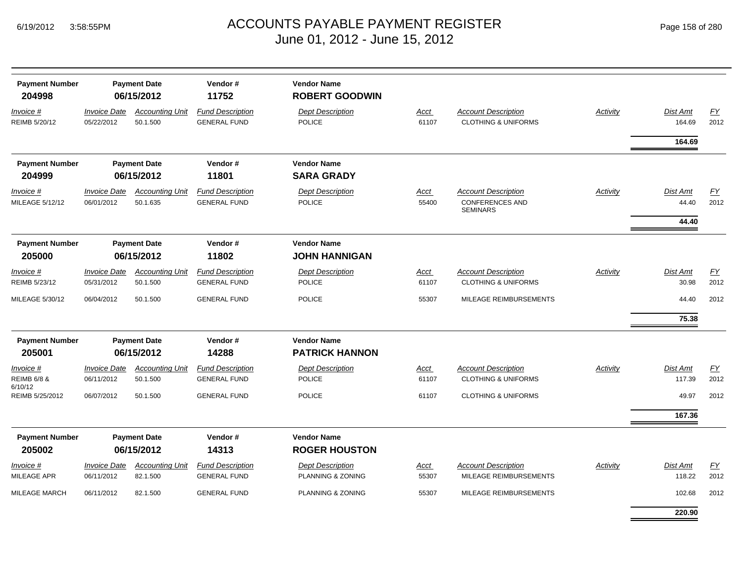| Page 158 of 280 |  |  |  |
|-----------------|--|--|--|
|-----------------|--|--|--|

| <b>Payment Number</b><br>204998                |                                          | <b>Payment Date</b><br>06/15/2012  | Vendor#<br>11752                               | <b>Vendor Name</b><br><b>ROBERT GOODWIN</b>  |                      |                                                                         |          |                    |                   |
|------------------------------------------------|------------------------------------------|------------------------------------|------------------------------------------------|----------------------------------------------|----------------------|-------------------------------------------------------------------------|----------|--------------------|-------------------|
| Invoice #<br>REIMB 5/20/12                     | <b>Invoice Date</b><br>05/22/2012        | <b>Accounting Unit</b><br>50.1.500 | <b>Fund Description</b><br><b>GENERAL FUND</b> | <b>Dept Description</b><br><b>POLICE</b>     | Acct<br>61107        | <b>Account Description</b><br><b>CLOTHING &amp; UNIFORMS</b>            | Activity | Dist Amt<br>164.69 | <u>FY</u><br>2012 |
|                                                |                                          |                                    |                                                |                                              |                      |                                                                         |          | 164.69             |                   |
| <b>Payment Number</b>                          |                                          | <b>Payment Date</b>                | Vendor#                                        | <b>Vendor Name</b>                           |                      |                                                                         |          |                    |                   |
| 204999                                         |                                          | 06/15/2012                         | 11801                                          | <b>SARA GRADY</b>                            |                      |                                                                         |          |                    |                   |
| Invoice #<br>MILEAGE 5/12/12                   | <i><b>Invoice Date</b></i><br>06/01/2012 | <b>Accounting Unit</b><br>50.1.635 | <b>Fund Description</b><br><b>GENERAL FUND</b> | <b>Dept Description</b><br><b>POLICE</b>     | Acct<br>55400        | <b>Account Description</b><br><b>CONFERENCES AND</b><br><b>SEMINARS</b> | Activity | Dist Amt<br>44.40  | EY<br>2012        |
|                                                |                                          |                                    |                                                |                                              |                      |                                                                         |          | 44.40              |                   |
| <b>Payment Number</b><br>205000                |                                          | <b>Payment Date</b><br>06/15/2012  | Vendor#<br>11802                               | <b>Vendor Name</b><br><b>JOHN HANNIGAN</b>   |                      |                                                                         |          |                    |                   |
| $Invoice$ #<br>REIMB 5/23/12                   | <b>Invoice Date</b><br>05/31/2012        | <b>Accounting Unit</b><br>50.1.500 | <b>Fund Description</b><br><b>GENERAL FUND</b> | <b>Dept Description</b><br>POLICE            | <u>Acct</u><br>61107 | <b>Account Description</b><br><b>CLOTHING &amp; UNIFORMS</b>            | Activity | Dist Amt<br>30.98  | EY<br>2012        |
| MILEAGE 5/30/12                                | 06/04/2012                               | 50.1.500                           | <b>GENERAL FUND</b>                            | <b>POLICE</b>                                | 55307                | MILEAGE REIMBURSEMENTS                                                  |          | 44.40              | 2012              |
|                                                |                                          |                                    |                                                |                                              |                      |                                                                         |          | 75.38              |                   |
| <b>Payment Number</b>                          |                                          | <b>Payment Date</b>                | Vendor#                                        | <b>Vendor Name</b>                           |                      |                                                                         |          |                    |                   |
| 205001                                         |                                          | 06/15/2012                         | 14288                                          | <b>PATRICK HANNON</b>                        |                      |                                                                         |          |                    |                   |
| Invoice #<br><b>REIMB 6/8 &amp;</b><br>6/10/12 | <b>Invoice Date</b><br>06/11/2012        | <b>Accounting Unit</b><br>50.1.500 | <b>Fund Description</b><br><b>GENERAL FUND</b> | <b>Dept Description</b><br><b>POLICE</b>     | Acct<br>61107        | <b>Account Description</b><br><b>CLOTHING &amp; UNIFORMS</b>            | Activity | Dist Amt<br>117.39 | EY<br>2012        |
| REIMB 5/25/2012                                | 06/07/2012                               | 50.1.500                           | <b>GENERAL FUND</b>                            | <b>POLICE</b>                                | 61107                | <b>CLOTHING &amp; UNIFORMS</b>                                          |          | 49.97              | 2012              |
|                                                |                                          |                                    |                                                |                                              |                      |                                                                         |          | 167.36             |                   |
| <b>Payment Number</b><br>205002                |                                          | <b>Payment Date</b><br>06/15/2012  | Vendor#<br>14313                               | <b>Vendor Name</b><br><b>ROGER HOUSTON</b>   |                      |                                                                         |          |                    |                   |
| Invoice #<br><b>MILEAGE APR</b>                | <b>Invoice Date</b><br>06/11/2012        | <b>Accounting Unit</b><br>82.1.500 | <b>Fund Description</b><br><b>GENERAL FUND</b> | <b>Dept Description</b><br>PLANNING & ZONING | Acct<br>55307        | <b>Account Description</b><br>MILEAGE REIMBURSEMENTS                    | Activity | Dist Amt<br>118.22 | <u>FY</u><br>2012 |
| <b>MILEAGE MARCH</b>                           | 06/11/2012                               | 82.1.500                           | <b>GENERAL FUND</b>                            | PLANNING & ZONING                            | 55307                | MILEAGE REIMBURSEMENTS                                                  |          | 102.68             | 2012              |
|                                                |                                          |                                    |                                                |                                              |                      |                                                                         |          | 220.90             |                   |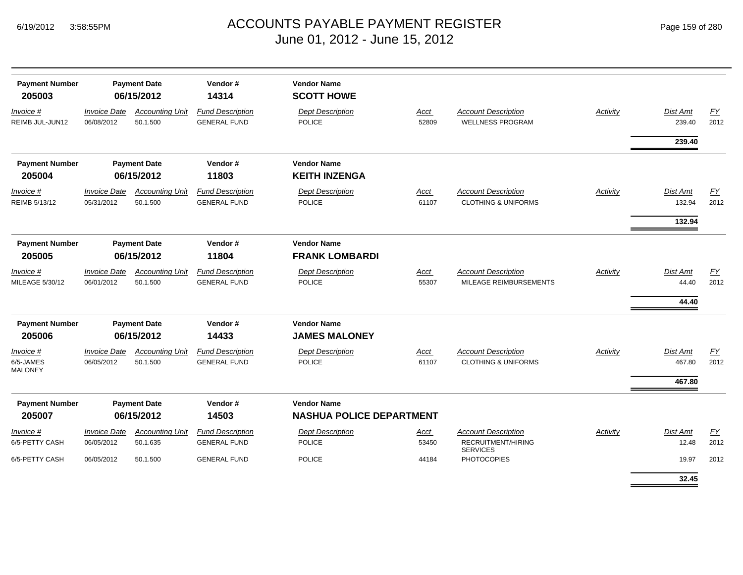| <b>Payment Number</b><br>205003          | <b>Payment Date</b><br>06/15/2012 |                                    | Vendor#<br>14314                               | <b>Vendor Name</b><br><b>SCOTT HOWE</b>               |               |                                                              |                 |                                   |            |
|------------------------------------------|-----------------------------------|------------------------------------|------------------------------------------------|-------------------------------------------------------|---------------|--------------------------------------------------------------|-----------------|-----------------------------------|------------|
| Invoice #<br>REIMB JUL-JUN12             | <b>Invoice Date</b><br>06/08/2012 | <b>Accounting Unit</b><br>50.1.500 | <b>Fund Description</b><br><b>GENERAL FUND</b> | <b>Dept Description</b><br>POLICE                     | Acct<br>52809 | <b>Account Description</b><br><b>WELLNESS PROGRAM</b>        | <b>Activity</b> | Dist Amt<br>239.40                | EY<br>2012 |
|                                          |                                   |                                    |                                                |                                                       |               |                                                              |                 | 239.40                            |            |
| <b>Payment Number</b><br>205004          |                                   | <b>Payment Date</b><br>06/15/2012  | Vendor#<br>11803                               | <b>Vendor Name</b><br><b>KEITH INZENGA</b>            |               |                                                              |                 |                                   |            |
| Invoice #<br>REIMB 5/13/12               | <b>Invoice Date</b><br>05/31/2012 | <b>Accounting Unit</b><br>50.1.500 | <b>Fund Description</b><br><b>GENERAL FUND</b> | <b>Dept Description</b><br>POLICE                     | Acct<br>61107 | <b>Account Description</b><br><b>CLOTHING &amp; UNIFORMS</b> | <b>Activity</b> | Dist Amt<br>132.94<br>132.94      | EY<br>2012 |
| <b>Payment Number</b><br>205005          | <b>Payment Date</b><br>06/15/2012 |                                    | Vendor#<br>11804                               | <b>Vendor Name</b><br><b>FRANK LOMBARDI</b>           |               |                                                              |                 |                                   |            |
| Invoice #<br>MILEAGE 5/30/12             | <b>Invoice Date</b><br>06/01/2012 | <b>Accounting Unit</b><br>50.1.500 | <b>Fund Description</b><br><b>GENERAL FUND</b> | <b>Dept Description</b><br><b>POLICE</b>              | Acct<br>55307 | <b>Account Description</b><br>MILEAGE REIMBURSEMENTS         | Activity        | <b>Dist Amt</b><br>44.40<br>44.40 | EY<br>2012 |
| <b>Payment Number</b><br>205006          | <b>Payment Date</b><br>06/15/2012 |                                    | Vendor#<br>14433                               | <b>Vendor Name</b><br><b>JAMES MALONEY</b>            |               |                                                              |                 |                                   |            |
| Invoice #<br>6/5-JAMES<br><b>MALONEY</b> | <b>Invoice Date</b><br>06/05/2012 | <b>Accounting Unit</b><br>50.1.500 | <b>Fund Description</b><br><b>GENERAL FUND</b> | <b>Dept Description</b><br>POLICE                     | Acct<br>61107 | <b>Account Description</b><br><b>CLOTHING &amp; UNIFORMS</b> | Activity        | Dist Amt<br>467.80<br>467.80      | EY<br>2012 |
| <b>Payment Number</b><br>205007          | <b>Payment Date</b><br>06/15/2012 |                                    | Vendor#<br>14503                               | <b>Vendor Name</b><br><b>NASHUA POLICE DEPARTMENT</b> |               |                                                              |                 |                                   |            |
| Invoice #                                | <b>Invoice Date</b>               | <b>Accounting Unit</b>             | <b>Fund Description</b>                        | <b>Dept Description</b>                               | <b>Acct</b>   | <b>Account Description</b>                                   | Activity        | <b>Dist Amt</b>                   | EY         |
| 6/5-PETTY CASH                           | 06/05/2012                        | 50.1.635                           | <b>GENERAL FUND</b>                            | POLICE                                                | 53450         | RECRUITMENT/HIRING<br><b>SERVICES</b>                        |                 | 12.48                             | 2012       |
| 6/5-PETTY CASH                           | 06/05/2012                        | 50.1.500                           | <b>GENERAL FUND</b>                            | <b>POLICE</b>                                         | 44184         | <b>PHOTOCOPIES</b>                                           |                 | 19.97<br>32.45                    | 2012       |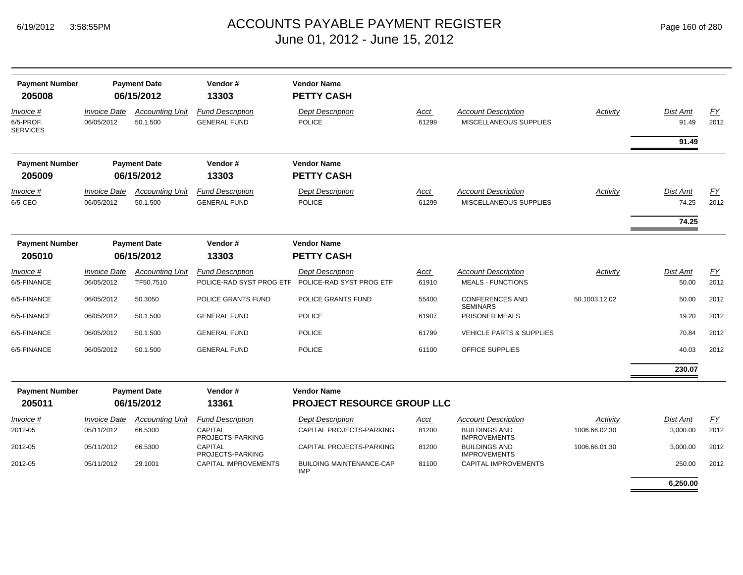|  | Page 160 of 280 |  |  |  |
|--|-----------------|--|--|--|
|--|-----------------|--|--|--|

| <b>Payment Number</b><br>205008           |                                          | <b>Payment Date</b><br>06/15/2012   | Vendor#<br>13303                                    | <b>Vendor Name</b><br><b>PETTY CASH</b>             |                      |                                                        |                 |                          |                   |
|-------------------------------------------|------------------------------------------|-------------------------------------|-----------------------------------------------------|-----------------------------------------------------|----------------------|--------------------------------------------------------|-----------------|--------------------------|-------------------|
| Invoice #<br>6/5-PROF.<br><b>SERVICES</b> | <b>Invoice Date</b><br>06/05/2012        | <b>Accounting Unit</b><br>50.1.500  | <b>Fund Description</b><br><b>GENERAL FUND</b>      | <b>Dept Description</b><br><b>POLICE</b>            | <u>Acct</u><br>61299 | <b>Account Description</b><br>MISCELLANEOUS SUPPLIES   | <b>Activity</b> | <b>Dist Amt</b><br>91.49 | <b>FY</b><br>2012 |
|                                           |                                          |                                     |                                                     |                                                     |                      |                                                        |                 | 91.49                    |                   |
| <b>Payment Number</b><br>205009           |                                          | <b>Payment Date</b><br>06/15/2012   | Vendor#<br>13303                                    | <b>Vendor Name</b><br><b>PETTY CASH</b>             |                      |                                                        |                 |                          |                   |
| Invoice #<br>6/5-CEO                      | <b>Invoice Date</b><br>06/05/2012        | <b>Accounting Unit</b><br>50.1.500  | <b>Fund Description</b><br><b>GENERAL FUND</b>      | <b>Dept Description</b><br><b>POLICE</b>            | Acct<br>61299        | <b>Account Description</b><br>MISCELLANEOUS SUPPLIES   | <b>Activity</b> | Dist Amt<br>74.25        | FY<br>2012        |
|                                           |                                          |                                     |                                                     |                                                     |                      |                                                        |                 | 74.25                    |                   |
| <b>Payment Number</b><br>205010           |                                          | <b>Payment Date</b><br>06/15/2012   | Vendor#<br>13303                                    | <b>Vendor Name</b><br><b>PETTY CASH</b>             |                      |                                                        |                 |                          |                   |
| Invoice #<br>6/5-FINANCE                  | <i><b>Invoice Date</b></i><br>06/05/2012 | <b>Accounting Unit</b><br>TF50.7510 | <b>Fund Description</b><br>POLICE-RAD SYST PROG ETF | <b>Dept Description</b><br>POLICE-RAD SYST PROG ETF | Acct<br>61910        | <b>Account Description</b><br><b>MEALS - FUNCTIONS</b> | Activity        | Dist Amt<br>50.00        | EY<br>2012        |
| 6/5-FINANCE                               | 06/05/2012                               | 50.3050                             | POLICE GRANTS FUND                                  | POLICE GRANTS FUND                                  | 55400                | <b>CONFERENCES AND</b><br><b>SEMINARS</b>              | 50.1003.12.02   | 50.00                    | 2012              |
| 6/5-FINANCE                               | 06/05/2012                               | 50.1.500                            | <b>GENERAL FUND</b>                                 | <b>POLICE</b>                                       | 61907                | PRISONER MEALS                                         |                 | 19.20                    | 2012              |
| 6/5-FINANCE                               | 06/05/2012                               | 50.1.500                            | <b>GENERAL FUND</b>                                 | <b>POLICE</b>                                       | 61799                | <b>VEHICLE PARTS &amp; SUPPLIES</b>                    |                 | 70.84                    | 2012              |
| 6/5-FINANCE                               | 06/05/2012                               | 50.1.500                            | <b>GENERAL FUND</b>                                 | <b>POLICE</b>                                       | 61100                | <b>OFFICE SUPPLIES</b>                                 |                 | 40.03                    | 2012              |
|                                           |                                          |                                     |                                                     |                                                     |                      |                                                        |                 | 230.07                   |                   |
| <b>Payment Number</b><br>205011           |                                          | <b>Payment Date</b><br>06/15/2012   | Vendor#<br>13361                                    | <b>Vendor Name</b><br>PROJECT RESOURCE GROUP LLC    |                      |                                                        |                 |                          |                   |
| Invoice #                                 | <b>Invoice Date</b>                      | <b>Accounting Unit</b>              | <b>Fund Description</b>                             | <b>Dept Description</b>                             | <u>Acct</u>          | <b>Account Description</b>                             | Activity        | <b>Dist Amt</b>          | <b>FY</b>         |
| 2012-05                                   | 05/11/2012                               | 66.5300                             | <b>CAPITAL</b><br>PROJECTS-PARKING                  | CAPITAL PROJECTS-PARKING                            | 81200                | <b>BUILDINGS AND</b><br><b>IMPROVEMENTS</b>            | 1006.66.02.30   | 3,000.00                 | 2012              |
| 2012-05                                   | 05/11/2012                               | 66.5300                             | <b>CAPITAL</b><br>PROJECTS-PARKING                  | CAPITAL PROJECTS-PARKING                            | 81200                | <b>BUILDINGS AND</b><br><b>IMPROVEMENTS</b>            | 1006.66.01.30   | 3,000.00                 | 2012              |
| 2012-05                                   | 05/11/2012                               | 29.1001                             | CAPITAL IMPROVEMENTS                                | <b>BUILDING MAINTENANCE-CAP</b><br><b>IMP</b>       | 81100                | <b>CAPITAL IMPROVEMENTS</b>                            |                 | 250.00                   | 2012              |
|                                           |                                          |                                     |                                                     |                                                     |                      |                                                        |                 | 6,250.00                 |                   |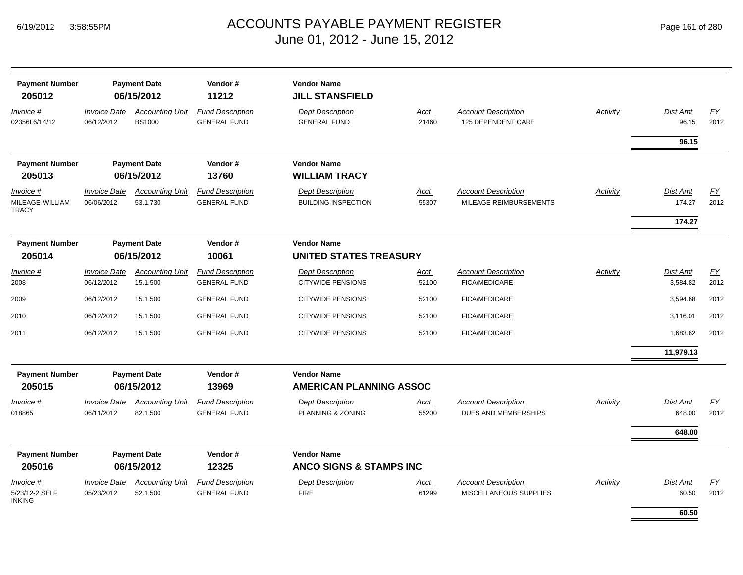| <b>Payment Number</b><br>205012              |                                          | <b>Payment Date</b><br>06/15/2012       | Vendor#<br>11212                               | <b>Vendor Name</b><br><b>JILL STANSFIELD</b>          |                      |                                                         |                 |                    |                   |
|----------------------------------------------|------------------------------------------|-----------------------------------------|------------------------------------------------|-------------------------------------------------------|----------------------|---------------------------------------------------------|-----------------|--------------------|-------------------|
| Invoice #<br>0235616/14/12                   | <b>Invoice Date</b><br>06/12/2012        | <b>Accounting Unit</b><br><b>BS1000</b> | <b>Fund Description</b><br><b>GENERAL FUND</b> | <b>Dept Description</b><br><b>GENERAL FUND</b>        | <u>Acct</u><br>21460 | <b>Account Description</b><br><b>125 DEPENDENT CARE</b> | <b>Activity</b> | Dist Amt<br>96.15  | EY<br>2012        |
|                                              |                                          |                                         |                                                |                                                       |                      |                                                         |                 | 96.15              |                   |
| <b>Payment Number</b><br>205013              |                                          | <b>Payment Date</b><br>06/15/2012       | Vendor#<br>13760                               | <b>Vendor Name</b><br><b>WILLIAM TRACY</b>            |                      |                                                         |                 |                    |                   |
| Invoice #<br>MILEAGE-WILLIAM<br>TRACY        | <i><b>Invoice Date</b></i><br>06/06/2012 | <b>Accounting Unit</b><br>53.1.730      | <b>Fund Description</b><br><b>GENERAL FUND</b> | <b>Dept Description</b><br><b>BUILDING INSPECTION</b> | <u>Acct</u><br>55307 | <b>Account Description</b><br>MILEAGE REIMBURSEMENTS    | Activity        | Dist Amt<br>174.27 | <u>FY</u><br>2012 |
|                                              |                                          |                                         |                                                |                                                       |                      |                                                         |                 | 174.27             |                   |
| <b>Payment Number</b><br>205014              |                                          | <b>Payment Date</b><br>06/15/2012       | Vendor#<br>10061                               | <b>Vendor Name</b><br><b>UNITED STATES TREASURY</b>   |                      |                                                         |                 |                    |                   |
| Invoice #                                    | <b>Invoice Date</b>                      | <b>Accounting Unit</b>                  | <b>Fund Description</b>                        | <b>Dept Description</b>                               | Acct                 | <b>Account Description</b>                              | Activity        | Dist Amt           | <u>FY</u>         |
| 2008                                         | 06/12/2012                               | 15.1.500                                | <b>GENERAL FUND</b>                            | <b>CITYWIDE PENSIONS</b>                              | 52100                | <b>FICA/MEDICARE</b>                                    |                 | 3,584.82           | 2012              |
| 2009                                         | 06/12/2012                               | 15.1.500                                | <b>GENERAL FUND</b>                            | <b>CITYWIDE PENSIONS</b>                              | 52100                | FICA/MEDICARE                                           |                 | 3,594.68           | 2012              |
| 2010                                         | 06/12/2012                               | 15.1.500                                | <b>GENERAL FUND</b>                            | <b>CITYWIDE PENSIONS</b>                              | 52100                | FICA/MEDICARE                                           |                 | 3,116.01           | 2012              |
| 2011                                         | 06/12/2012                               | 15.1.500                                | <b>GENERAL FUND</b>                            | <b>CITYWIDE PENSIONS</b>                              | 52100                | <b>FICA/MEDICARE</b>                                    |                 | 1,683.62           | 2012              |
|                                              |                                          |                                         |                                                |                                                       |                      |                                                         |                 | 11,979.13          |                   |
| <b>Payment Number</b><br>205015              |                                          | <b>Payment Date</b><br>06/15/2012       | Vendor#<br>13969                               | <b>Vendor Name</b><br><b>AMERICAN PLANNING ASSOC</b>  |                      |                                                         |                 |                    |                   |
| Invoice #                                    | <b>Invoice Date</b>                      | <b>Accounting Unit</b>                  | <b>Fund Description</b>                        | <b>Dept Description</b>                               | <u>Acct</u>          | <b>Account Description</b>                              | Activity        | Dist Amt           | <u>FY</u>         |
| 018865                                       | 06/11/2012                               | 82.1.500                                | <b>GENERAL FUND</b>                            | PLANNING & ZONING                                     | 55200                | DUES AND MEMBERSHIPS                                    |                 | 648.00             | 2012              |
|                                              |                                          |                                         |                                                |                                                       |                      |                                                         |                 | 648.00             |                   |
| <b>Payment Number</b>                        |                                          | <b>Payment Date</b>                     | Vendor#                                        | <b>Vendor Name</b>                                    |                      |                                                         |                 |                    |                   |
| 205016                                       |                                          | 06/15/2012                              | 12325                                          | <b>ANCO SIGNS &amp; STAMPS INC</b>                    |                      |                                                         |                 |                    |                   |
| Invoice #<br>5/23/12-2 SELF<br><b>INKING</b> | <b>Invoice Date</b><br>05/23/2012        | <b>Accounting Unit</b><br>52.1.500      | <b>Fund Description</b><br><b>GENERAL FUND</b> | <b>Dept Description</b><br><b>FIRE</b>                | <u>Acct</u><br>61299 | <b>Account Description</b><br>MISCELLANEOUS SUPPLIES    | <b>Activity</b> | Dist Amt<br>60.50  | <u>FY</u><br>2012 |
|                                              |                                          |                                         |                                                |                                                       |                      |                                                         |                 | 60.50              |                   |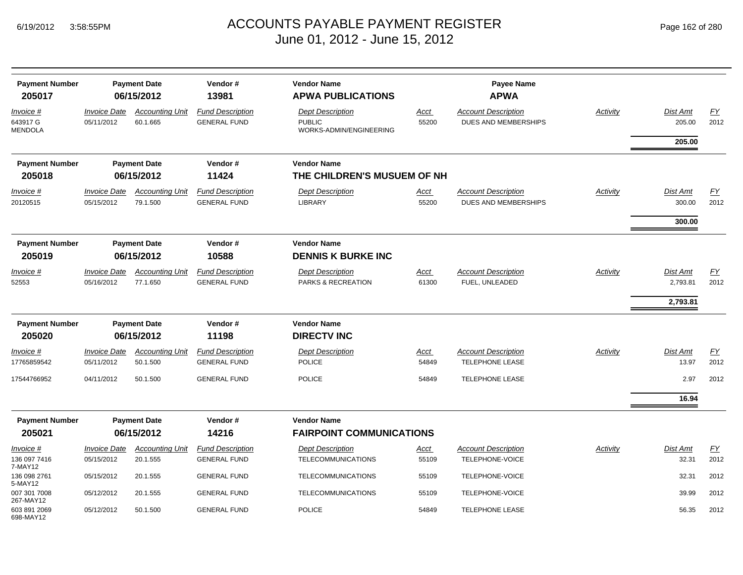| <b>Payment Number</b><br>205017         |                                   | <b>Payment Date</b><br>06/15/2012  | Vendor#<br>13981                               | <b>Vendor Name</b><br><b>APWA PUBLICATIONS</b>                      |                      | <b>Payee Name</b><br><b>APWA</b>                          |          |                           |                          |
|-----------------------------------------|-----------------------------------|------------------------------------|------------------------------------------------|---------------------------------------------------------------------|----------------------|-----------------------------------------------------------|----------|---------------------------|--------------------------|
| Invoice #<br>643917 G<br><b>MENDOLA</b> | <b>Invoice Date</b><br>05/11/2012 | <b>Accounting Unit</b><br>60.1.665 | <b>Fund Description</b><br><b>GENERAL FUND</b> | <b>Dept Description</b><br><b>PUBLIC</b><br>WORKS-ADMIN/ENGINEERING | Acct<br>55200        | <b>Account Description</b><br><b>DUES AND MEMBERSHIPS</b> | Activity | <b>Dist Amt</b><br>205.00 | EY<br>2012               |
|                                         |                                   |                                    |                                                |                                                                     |                      |                                                           |          | 205.00                    |                          |
| <b>Payment Number</b>                   |                                   | <b>Payment Date</b>                | Vendor#                                        | <b>Vendor Name</b>                                                  |                      |                                                           |          |                           |                          |
| 205018                                  |                                   | 06/15/2012                         | 11424                                          | THE CHILDREN'S MUSUEM OF NH                                         |                      |                                                           |          |                           |                          |
| Invoice #<br>20120515                   | <b>Invoice Date</b><br>05/15/2012 | <b>Accounting Unit</b><br>79.1.500 | <b>Fund Description</b><br><b>GENERAL FUND</b> | <b>Dept Description</b><br>LIBRARY                                  | Acct<br>55200        | <b>Account Description</b><br>DUES AND MEMBERSHIPS        | Activity | <b>Dist Amt</b><br>300.00 | EY<br>2012               |
|                                         |                                   |                                    |                                                |                                                                     |                      |                                                           |          | 300.00                    |                          |
| <b>Payment Number</b><br>205019         |                                   | <b>Payment Date</b><br>06/15/2012  | Vendor#<br>10588                               | <b>Vendor Name</b><br><b>DENNIS K BURKE INC</b>                     |                      |                                                           |          |                           |                          |
| Invoice #<br>52553                      | <b>Invoice Date</b><br>05/16/2012 | <b>Accounting Unit</b><br>77.1.650 | <b>Fund Description</b><br><b>GENERAL FUND</b> | <b>Dept Description</b><br>PARKS & RECREATION                       | <b>Acct</b><br>61300 | <b>Account Description</b><br>FUEL, UNLEADED              | Activity | Dist Amt<br>2,793.81      | $\underline{FY}$<br>2012 |
|                                         |                                   |                                    |                                                |                                                                     |                      |                                                           |          | 2,793.81                  |                          |
| <b>Payment Number</b>                   |                                   | <b>Payment Date</b>                | Vendor#                                        | <b>Vendor Name</b>                                                  |                      |                                                           |          |                           |                          |
| 205020                                  |                                   | 06/15/2012                         | 11198                                          | <b>DIRECTV INC</b>                                                  |                      |                                                           |          |                           |                          |
| <i>Invoice</i> #<br>17765859542         | <b>Invoice Date</b><br>05/11/2012 | <b>Accounting Unit</b><br>50.1.500 | <b>Fund Description</b><br><b>GENERAL FUND</b> | <b>Dept Description</b><br><b>POLICE</b>                            | Acct<br>54849        | <b>Account Description</b><br><b>TELEPHONE LEASE</b>      | Activity | Dist Amt<br>13.97         | EY<br>2012               |
| 17544766952                             | 04/11/2012                        | 50.1.500                           | <b>GENERAL FUND</b>                            | <b>POLICE</b>                                                       | 54849                | TELEPHONE LEASE                                           |          | 2.97                      | 2012                     |
|                                         |                                   |                                    |                                                |                                                                     |                      |                                                           |          | 16.94                     |                          |
| <b>Payment Number</b>                   |                                   | <b>Payment Date</b>                | Vendor#                                        | <b>Vendor Name</b>                                                  |                      |                                                           |          |                           |                          |
| 205021                                  | 06/15/2012<br>14216               |                                    |                                                | <b>FAIRPOINT COMMUNICATIONS</b>                                     |                      |                                                           |          |                           |                          |
| Invoice #                               | <b>Invoice Date</b>               | <b>Accounting Unit</b>             | <b>Fund Description</b>                        | <b>Dept Description</b>                                             | Acct                 | <b>Account Description</b>                                | Activity | <b>Dist Amt</b>           | EY                       |
| 136 097 7416<br>7-MAY12                 | 05/15/2012                        | 20.1.555                           | <b>GENERAL FUND</b>                            | <b>TELECOMMUNICATIONS</b>                                           | 55109                | TELEPHONE-VOICE                                           |          | 32.31                     | 2012                     |
| 136 098 2761<br>5-MAY12                 | 05/15/2012                        | 20.1.555                           | <b>GENERAL FUND</b>                            | TELECOMMUNICATIONS                                                  | 55109                | TELEPHONE-VOICE                                           |          | 32.31                     | 2012                     |
| 007 301 7008<br>267-MAY12               | 05/12/2012                        | 20.1.555                           | <b>GENERAL FUND</b>                            | <b>TELECOMMUNICATIONS</b>                                           | 55109                | TELEPHONE-VOICE                                           |          | 39.99                     | 2012                     |
| 603 891 2069<br>698-MAY12               | 05/12/2012                        | 50.1.500                           | <b>GENERAL FUND</b>                            | <b>POLICE</b>                                                       | 54849                | <b>TELEPHONE LEASE</b>                                    |          | 56.35                     | 2012                     |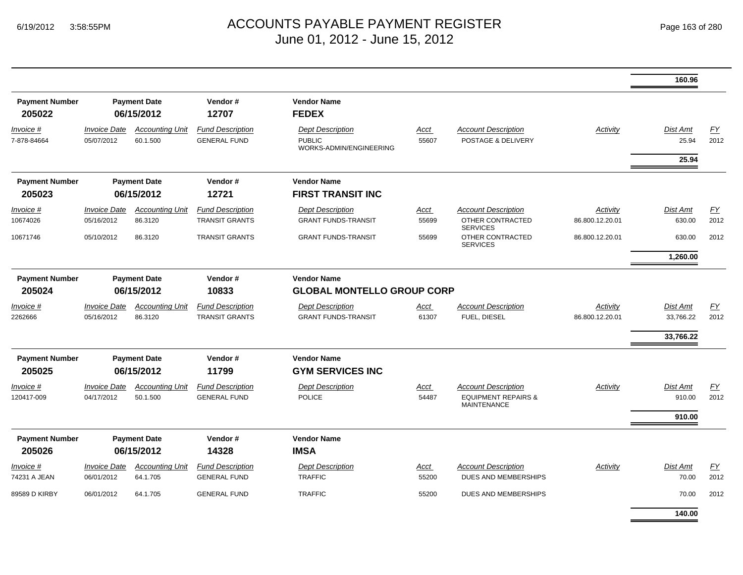|                                  |                                                       |                                    |                                                         |                                                                     |                      |                                                                                    |                             | 160.96                    |                          |
|----------------------------------|-------------------------------------------------------|------------------------------------|---------------------------------------------------------|---------------------------------------------------------------------|----------------------|------------------------------------------------------------------------------------|-----------------------------|---------------------------|--------------------------|
| <b>Payment Number</b><br>205022  |                                                       | <b>Payment Date</b><br>06/15/2012  | Vendor#<br>12707                                        | <b>Vendor Name</b><br><b>FEDEX</b>                                  |                      |                                                                                    |                             |                           |                          |
| Invoice #<br>7-878-84664         | <b>Invoice Date</b><br>05/07/2012                     | <b>Accounting Unit</b><br>60.1.500 | <b>Fund Description</b><br><b>GENERAL FUND</b>          | <b>Dept Description</b><br><b>PUBLIC</b><br>WORKS-ADMIN/ENGINEERING | <u>Acct</u><br>55607 | <b>Account Description</b><br>POSTAGE & DELIVERY                                   | <b>Activity</b>             | <b>Dist Amt</b><br>25.94  | $\underline{FY}$<br>2012 |
|                                  |                                                       |                                    |                                                         |                                                                     |                      |                                                                                    |                             | 25.94                     |                          |
| <b>Payment Number</b><br>205023  |                                                       | <b>Payment Date</b><br>06/15/2012  | Vendor#<br>12721                                        | <b>Vendor Name</b><br><b>FIRST TRANSIT INC</b>                      |                      |                                                                                    |                             |                           |                          |
| Invoice #<br>10674026            | <b>Invoice Date</b><br>05/16/2012                     | <b>Accounting Unit</b><br>86.3120  | <b>Fund Description</b><br><b>TRANSIT GRANTS</b>        | <b>Dept Description</b><br><b>GRANT FUNDS-TRANSIT</b>               | Acct<br>55699        | <b>Account Description</b><br>OTHER CONTRACTED<br><b>SERVICES</b>                  | Activity<br>86.800.12.20.01 | <b>Dist Amt</b><br>630.00 | EY<br>2012               |
| 10671746                         | 05/10/2012                                            | 86.3120                            | <b>TRANSIT GRANTS</b>                                   | <b>GRANT FUNDS-TRANSIT</b>                                          | 55699                | OTHER CONTRACTED<br><b>SERVICES</b>                                                | 86.800.12.20.01             | 630.00                    | 2012                     |
|                                  |                                                       |                                    |                                                         |                                                                     |                      |                                                                                    |                             | 1,260.00                  |                          |
| <b>Payment Number</b><br>205024  | Vendor#<br><b>Payment Date</b><br>06/15/2012<br>10833 |                                    | <b>Vendor Name</b><br><b>GLOBAL MONTELLO GROUP CORP</b> |                                                                     |                      |                                                                                    |                             |                           |                          |
| Invoice #<br>2262666             | <i><b>Invoice Date</b></i><br>05/16/2012              | <b>Accounting Unit</b><br>86.3120  | <b>Fund Description</b><br><b>TRANSIT GRANTS</b>        | <b>Dept Description</b><br><b>GRANT FUNDS-TRANSIT</b>               | Acct<br>61307        | <b>Account Description</b><br>FUEL, DIESEL                                         | Activity<br>86.800.12.20.01 | Dist Amt<br>33,766.22     | $\underline{FY}$<br>2012 |
|                                  |                                                       |                                    |                                                         |                                                                     |                      |                                                                                    |                             | 33,766.22                 |                          |
| <b>Payment Number</b><br>205025  |                                                       | <b>Payment Date</b><br>06/15/2012  | Vendor#<br>11799                                        | <b>Vendor Name</b><br><b>GYM SERVICES INC</b>                       |                      |                                                                                    |                             |                           |                          |
| Invoice #<br>120417-009          | <b>Invoice Date</b><br>04/17/2012                     | <b>Accounting Unit</b><br>50.1.500 | <b>Fund Description</b><br><b>GENERAL FUND</b>          | <b>Dept Description</b><br><b>POLICE</b>                            | Acct<br>54487        | <b>Account Description</b><br><b>EQUIPMENT REPAIRS &amp;</b><br><b>MAINTENANCE</b> | Activity                    | Dist Amt<br>910.00        | EY<br>2012               |
|                                  |                                                       |                                    |                                                         |                                                                     |                      |                                                                                    |                             | 910.00                    |                          |
| <b>Payment Number</b><br>205026  | <b>Payment Date</b><br>06/15/2012                     |                                    | Vendor#<br>14328                                        | <b>Vendor Name</b><br><b>IMSA</b>                                   |                      |                                                                                    |                             |                           |                          |
| <i>Invoice</i> #<br>74231 A JEAN | <b>Invoice Date</b><br>06/01/2012                     | <b>Accounting Unit</b><br>64.1.705 | <b>Fund Description</b><br><b>GENERAL FUND</b>          | <b>Dept Description</b><br><b>TRAFFIC</b>                           | <u>Acct</u><br>55200 | <b>Account Description</b><br>DUES AND MEMBERSHIPS                                 | Activity                    | Dist Amt<br>70.00         | EY<br>2012               |
| 89589 D KIRBY                    | 06/01/2012                                            | 64.1.705                           | <b>GENERAL FUND</b>                                     | <b>TRAFFIC</b>                                                      | 55200                | DUES AND MEMBERSHIPS                                                               |                             | 70.00                     | 2012                     |
|                                  |                                                       |                                    |                                                         |                                                                     |                      |                                                                                    |                             | 140.00                    |                          |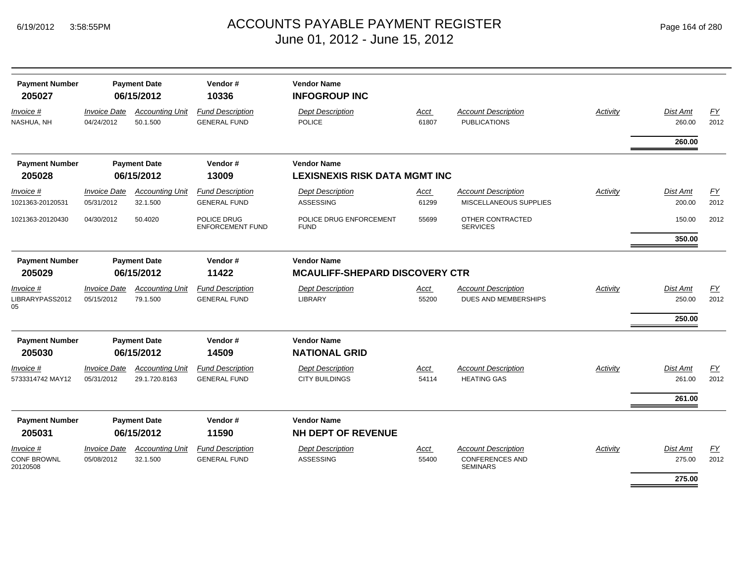| Page 164 of 280 |  |  |  |  |
|-----------------|--|--|--|--|
|-----------------|--|--|--|--|

| <b>Payment Number</b><br>205027                    |                                   | <b>Payment Date</b><br>06/15/2012       | Vendor#<br>10336                               | <b>Vendor Name</b><br><b>INFOGROUP INC</b>                  |               |                                                                         |          |                           |                   |
|----------------------------------------------------|-----------------------------------|-----------------------------------------|------------------------------------------------|-------------------------------------------------------------|---------------|-------------------------------------------------------------------------|----------|---------------------------|-------------------|
| Invoice #<br>NASHUA, NH                            | <b>Invoice Date</b><br>04/24/2012 | <b>Accounting Unit</b><br>50.1.500      | <b>Fund Description</b><br><b>GENERAL FUND</b> | <b>Dept Description</b><br><b>POLICE</b>                    | Acct<br>61807 | <b>Account Description</b><br><b>PUBLICATIONS</b>                       | Activity | <b>Dist Amt</b><br>260.00 | <u>FY</u><br>2012 |
|                                                    |                                   |                                         |                                                |                                                             |               |                                                                         |          | 260.00                    |                   |
| <b>Payment Number</b>                              |                                   | <b>Payment Date</b>                     | Vendor#                                        | <b>Vendor Name</b>                                          |               |                                                                         |          |                           |                   |
| 205028                                             |                                   | 06/15/2012                              | 13009                                          | <b>LEXISNEXIS RISK DATA MGMT INC</b>                        |               |                                                                         |          |                           |                   |
| Invoice #<br>1021363-20120531                      | <b>Invoice Date</b><br>05/31/2012 | <b>Accounting Unit</b><br>32.1.500      | <b>Fund Description</b><br><b>GENERAL FUND</b> | <b>Dept Description</b><br><b>ASSESSING</b>                 | Acct<br>61299 | <b>Account Description</b><br>MISCELLANEOUS SUPPLIES                    | Activity | Dist Amt<br>200.00        | EY<br>2012        |
| 1021363-20120430                                   | 04/30/2012                        | 50.4020                                 | POLICE DRUG<br><b>ENFORCEMENT FUND</b>         | POLICE DRUG ENFORCEMENT<br><b>FUND</b>                      | 55699         | OTHER CONTRACTED<br><b>SERVICES</b>                                     |          | 150.00                    | 2012              |
|                                                    |                                   |                                         |                                                |                                                             |               |                                                                         |          | 350.00                    |                   |
| <b>Payment Number</b><br>205029                    |                                   | <b>Payment Date</b><br>06/15/2012       | Vendor#<br>11422                               | <b>Vendor Name</b><br><b>MCAULIFF-SHEPARD DISCOVERY CTR</b> |               |                                                                         |          |                           |                   |
|                                                    | <b>Invoice Date</b>               | <b>Accounting Unit</b>                  | <b>Fund Description</b>                        | <b>Dept Description</b>                                     |               | <b>Account Description</b>                                              | Activity | Dist Amt                  |                   |
| Invoice #<br>LIBRARYPASS2012<br>05                 | 05/15/2012                        | 79.1.500                                | <b>GENERAL FUND</b>                            | <b>LIBRARY</b>                                              | Acct<br>55200 | DUES AND MEMBERSHIPS                                                    |          | 250.00                    | EY<br>2012        |
|                                                    |                                   |                                         |                                                |                                                             |               |                                                                         |          | 250.00                    |                   |
| <b>Payment Number</b><br>205030                    |                                   | <b>Payment Date</b><br>06/15/2012       | Vendor#<br>14509                               | <b>Vendor Name</b><br><b>NATIONAL GRID</b>                  |               |                                                                         |          |                           |                   |
| Invoice #<br>5733314742 MAY12                      | <b>Invoice Date</b><br>05/31/2012 | <b>Accounting Unit</b><br>29.1.720.8163 | <b>Fund Description</b><br><b>GENERAL FUND</b> | <b>Dept Description</b><br><b>CITY BUILDINGS</b>            | Acct<br>54114 | <b>Account Description</b><br><b>HEATING GAS</b>                        | Activity | <b>Dist Amt</b><br>261.00 | EY<br>2012        |
|                                                    |                                   |                                         |                                                |                                                             |               |                                                                         |          | 261.00                    |                   |
| <b>Payment Number</b>                              |                                   | <b>Payment Date</b>                     | Vendor#                                        | <b>Vendor Name</b>                                          |               |                                                                         |          |                           |                   |
| 205031                                             |                                   | 06/15/2012                              | 11590                                          | <b>NH DEPT OF REVENUE</b>                                   |               |                                                                         |          |                           |                   |
| <b>Invoice</b> #<br><b>CONF BROWNL</b><br>20120508 | <b>Invoice Date</b><br>05/08/2012 | <b>Accounting Unit</b><br>32.1.500      | <b>Fund Description</b><br><b>GENERAL FUND</b> | <b>Dept Description</b><br><b>ASSESSING</b>                 | Acct<br>55400 | <b>Account Description</b><br><b>CONFERENCES AND</b><br><b>SEMINARS</b> | Activity | Dist Amt<br>275.00        | EY<br>2012        |
|                                                    |                                   |                                         |                                                |                                                             |               |                                                                         |          | 275.00                    |                   |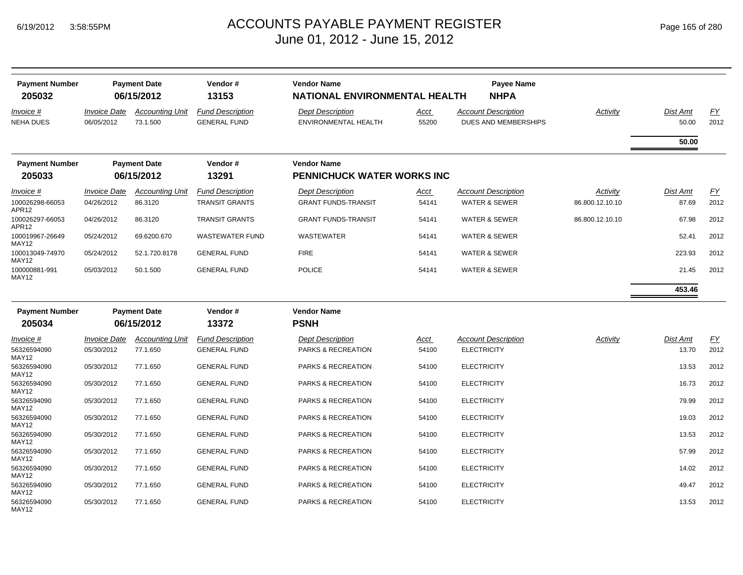| <b>Payment Number</b><br>205032      |                                   | <b>Payment Date</b><br>06/15/2012  | Vendor#<br>13153                                 | <b>Vendor Name</b><br><b>NATIONAL ENVIRONMENTAL HEALTH</b> |                      | Payee Name<br><b>NHPA</b>                              |                             |                   |            |
|--------------------------------------|-----------------------------------|------------------------------------|--------------------------------------------------|------------------------------------------------------------|----------------------|--------------------------------------------------------|-----------------------------|-------------------|------------|
| <i>Invoice</i> #<br><b>NEHA DUES</b> | <b>Invoice Date</b><br>06/05/2012 | <b>Accounting Unit</b><br>73.1.500 | <b>Fund Description</b><br><b>GENERAL FUND</b>   | <b>Dept Description</b><br>ENVIRONMENTAL HEALTH            | Acct<br>55200        | <b>Account Description</b><br>DUES AND MEMBERSHIPS     | Activity                    | Dist Amt<br>50.00 | EY<br>2012 |
|                                      |                                   |                                    |                                                  |                                                            |                      |                                                        |                             | 50.00             |            |
| <b>Payment Number</b>                |                                   | <b>Payment Date</b>                | Vendor#                                          | <b>Vendor Name</b>                                         |                      |                                                        |                             |                   |            |
| 205033                               |                                   | 06/15/2012                         | 13291                                            | <b>PENNICHUCK WATER WORKS INC</b>                          |                      |                                                        |                             |                   |            |
| Invoice #<br>100026298-66053         | <b>Invoice Date</b><br>04/26/2012 | <b>Accounting Unit</b><br>86.3120  | <b>Fund Description</b><br><b>TRANSIT GRANTS</b> | <b>Dept Description</b><br><b>GRANT FUNDS-TRANSIT</b>      | <u>Acct</u><br>54141 | <b>Account Description</b><br><b>WATER &amp; SEWER</b> | Activity<br>86.800.12.10.10 | Dist Amt<br>87.69 | EY<br>2012 |
| APR12<br>100026297-66053<br>APR12    | 04/26/2012                        | 86.3120                            | <b>TRANSIT GRANTS</b>                            | <b>GRANT FUNDS-TRANSIT</b>                                 | 54141                | <b>WATER &amp; SEWER</b>                               | 86.800.12.10.10             | 67.98             | 2012       |
| 100019967-26649<br>MAY12             | 05/24/2012                        | 69.6200.670                        | <b>WASTEWATER FUND</b>                           | <b>WASTEWATER</b>                                          | 54141                | <b>WATER &amp; SEWER</b>                               |                             | 52.41             | 2012       |
| 100013049-74970<br>MAY12             | 05/24/2012                        | 52.1.720.8178                      | <b>GENERAL FUND</b>                              | <b>FIRE</b>                                                | 54141                | <b>WATER &amp; SEWER</b>                               |                             | 223.93            | 2012       |
| 100000881-991<br>MAY12               | 05/03/2012                        | 50.1.500                           | <b>GENERAL FUND</b>                              | <b>POLICE</b>                                              | 54141                | <b>WATER &amp; SEWER</b>                               |                             | 21.45             | 2012       |
|                                      |                                   |                                    |                                                  |                                                            |                      |                                                        |                             | 453.46            |            |
| <b>Payment Number</b>                |                                   | <b>Payment Date</b>                | Vendor#                                          | <b>Vendor Name</b>                                         |                      |                                                        |                             |                   |            |
| 205034                               |                                   | 06/15/2012                         | 13372                                            | <b>PSNH</b>                                                |                      |                                                        |                             |                   |            |
| Invoice #                            | <b>Invoice Date</b>               | <b>Accounting Unit</b>             | <b>Fund Description</b>                          | <b>Dept Description</b>                                    | Acct                 | <b>Account Description</b>                             | Activity                    | Dist Amt          | EY         |
| 56326594090<br>MAY12                 | 05/30/2012                        | 77.1.650                           | <b>GENERAL FUND</b>                              | PARKS & RECREATION                                         | 54100                | <b>ELECTRICITY</b>                                     |                             | 13.70             | 2012       |
| 56326594090<br>MAY12                 | 05/30/2012                        | 77.1.650                           | <b>GENERAL FUND</b>                              | PARKS & RECREATION                                         | 54100                | <b>ELECTRICITY</b>                                     |                             | 13.53             | 2012       |
| 56326594090<br>MAY12                 | 05/30/2012                        | 77.1.650                           | <b>GENERAL FUND</b>                              | PARKS & RECREATION                                         | 54100                | <b>ELECTRICITY</b>                                     |                             | 16.73             | 2012       |
| 56326594090<br><b>MAY12</b>          | 05/30/2012                        | 77.1.650                           | <b>GENERAL FUND</b>                              | PARKS & RECREATION                                         | 54100                | <b>ELECTRICITY</b>                                     |                             | 79.99             | 2012       |
| 56326594090<br><b>MAY12</b>          | 05/30/2012                        | 77.1.650                           | <b>GENERAL FUND</b>                              | PARKS & RECREATION                                         | 54100                | <b>ELECTRICITY</b>                                     |                             | 19.03             | 2012       |
| 56326594090<br>MAY12                 | 05/30/2012                        | 77.1.650                           | <b>GENERAL FUND</b>                              | PARKS & RECREATION                                         | 54100                | <b>ELECTRICITY</b>                                     |                             | 13.53             | 2012       |
| 56326594090<br>MAY12                 | 05/30/2012                        | 77.1.650                           | <b>GENERAL FUND</b>                              | PARKS & RECREATION                                         | 54100                | <b>ELECTRICITY</b>                                     |                             | 57.99             | 2012       |
| 56326594090<br><b>MAY12</b>          | 05/30/2012                        | 77.1.650                           | <b>GENERAL FUND</b>                              | PARKS & RECREATION                                         | 54100                | <b>ELECTRICITY</b>                                     |                             | 14.02             | 2012       |
| 56326594090<br>MAY12                 | 05/30/2012                        | 77.1.650                           | <b>GENERAL FUND</b>                              | PARKS & RECREATION                                         | 54100                | <b>ELECTRICITY</b>                                     |                             | 49.47             | 2012       |
| 56326594090<br>MAY12                 | 05/30/2012                        | 77.1.650                           | <b>GENERAL FUND</b>                              | PARKS & RECREATION                                         | 54100                | <b>ELECTRICITY</b>                                     |                             | 13.53             | 2012       |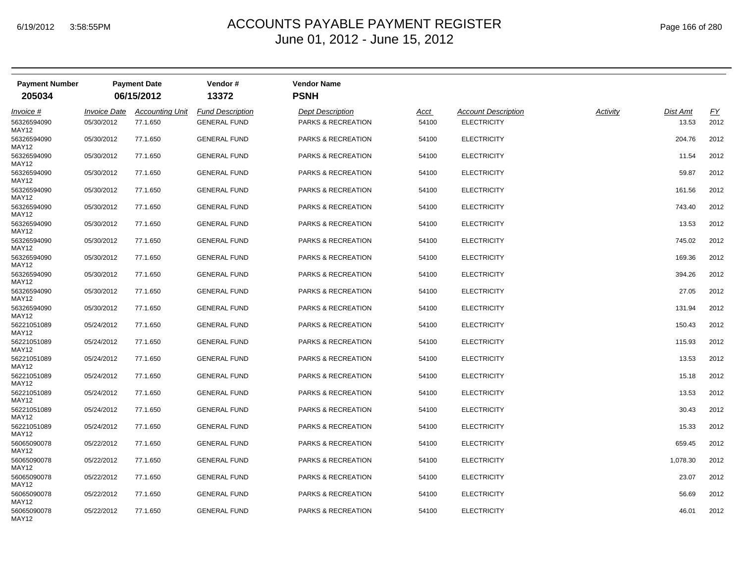| <b>Payment Number</b> |                            | <b>Payment Date</b>    | Vendor#                 | <b>Vendor Name</b>            |             |                            |          |                 |           |
|-----------------------|----------------------------|------------------------|-------------------------|-------------------------------|-------------|----------------------------|----------|-----------------|-----------|
| 205034                |                            | 06/15/2012             | 13372                   | <b>PSNH</b>                   |             |                            |          |                 |           |
| <i>Invoice</i> #      | <i><b>Invoice Date</b></i> | <b>Accounting Unit</b> | <b>Fund Description</b> | <b>Dept Description</b>       | <u>Acct</u> | <b>Account Description</b> | Activity | <b>Dist Amt</b> | <u>FY</u> |
| 56326594090<br>MAY12  | 05/30/2012                 | 77.1.650               | <b>GENERAL FUND</b>     | PARKS & RECREATION            | 54100       | <b>ELECTRICITY</b>         |          | 13.53           | 2012      |
| 56326594090<br>MAY12  | 05/30/2012                 | 77.1.650               | <b>GENERAL FUND</b>     | PARKS & RECREATION            | 54100       | <b>ELECTRICITY</b>         |          | 204.76          | 2012      |
| 56326594090<br>MAY12  | 05/30/2012                 | 77.1.650               | <b>GENERAL FUND</b>     | PARKS & RECREATION            | 54100       | <b>ELECTRICITY</b>         |          | 11.54           | 2012      |
| 56326594090<br>MAY12  | 05/30/2012                 | 77.1.650               | <b>GENERAL FUND</b>     | <b>PARKS &amp; RECREATION</b> | 54100       | <b>ELECTRICITY</b>         |          | 59.87           | 2012      |
| 56326594090<br>MAY12  | 05/30/2012                 | 77.1.650               | <b>GENERAL FUND</b>     | PARKS & RECREATION            | 54100       | <b>ELECTRICITY</b>         |          | 161.56          | 2012      |
| 56326594090<br>MAY12  | 05/30/2012                 | 77.1.650               | <b>GENERAL FUND</b>     | PARKS & RECREATION            | 54100       | <b>ELECTRICITY</b>         |          | 743.40          | 2012      |
| 56326594090<br>MAY12  | 05/30/2012                 | 77.1.650               | <b>GENERAL FUND</b>     | PARKS & RECREATION            | 54100       | <b>ELECTRICITY</b>         |          | 13.53           | 2012      |
| 56326594090<br>MAY12  | 05/30/2012                 | 77.1.650               | <b>GENERAL FUND</b>     | PARKS & RECREATION            | 54100       | <b>ELECTRICITY</b>         |          | 745.02          | 2012      |
| 56326594090<br>MAY12  | 05/30/2012                 | 77.1.650               | <b>GENERAL FUND</b>     | PARKS & RECREATION            | 54100       | <b>ELECTRICITY</b>         |          | 169.36          | 2012      |
| 56326594090<br>MAY12  | 05/30/2012                 | 77.1.650               | <b>GENERAL FUND</b>     | PARKS & RECREATION            | 54100       | <b>ELECTRICITY</b>         |          | 394.26          | 2012      |
| 56326594090<br>MAY12  | 05/30/2012                 | 77.1.650               | <b>GENERAL FUND</b>     | PARKS & RECREATION            | 54100       | <b>ELECTRICITY</b>         |          | 27.05           | 2012      |
| 56326594090<br>MAY12  | 05/30/2012                 | 77.1.650               | <b>GENERAL FUND</b>     | PARKS & RECREATION            | 54100       | <b>ELECTRICITY</b>         |          | 131.94          | 2012      |
| 56221051089<br>MAY12  | 05/24/2012                 | 77.1.650               | <b>GENERAL FUND</b>     | <b>PARKS &amp; RECREATION</b> | 54100       | <b>ELECTRICITY</b>         |          | 150.43          | 2012      |
| 56221051089<br>MAY12  | 05/24/2012                 | 77.1.650               | <b>GENERAL FUND</b>     | PARKS & RECREATION            | 54100       | <b>ELECTRICITY</b>         |          | 115.93          | 2012      |
| 56221051089<br>MAY12  | 05/24/2012                 | 77.1.650               | <b>GENERAL FUND</b>     | PARKS & RECREATION            | 54100       | <b>ELECTRICITY</b>         |          | 13.53           | 2012      |
| 56221051089<br>MAY12  | 05/24/2012                 | 77.1.650               | <b>GENERAL FUND</b>     | PARKS & RECREATION            | 54100       | <b>ELECTRICITY</b>         |          | 15.18           | 2012      |
| 56221051089<br>MAY12  | 05/24/2012                 | 77.1.650               | <b>GENERAL FUND</b>     | <b>PARKS &amp; RECREATION</b> | 54100       | <b>ELECTRICITY</b>         |          | 13.53           | 2012      |
| 56221051089<br>MAY12  | 05/24/2012                 | 77.1.650               | <b>GENERAL FUND</b>     | <b>PARKS &amp; RECREATION</b> | 54100       | <b>ELECTRICITY</b>         |          | 30.43           | 2012      |
| 56221051089<br>MAY12  | 05/24/2012                 | 77.1.650               | <b>GENERAL FUND</b>     | PARKS & RECREATION            | 54100       | <b>ELECTRICITY</b>         |          | 15.33           | 2012      |
| 56065090078<br>MAY12  | 05/22/2012                 | 77.1.650               | <b>GENERAL FUND</b>     | PARKS & RECREATION            | 54100       | <b>ELECTRICITY</b>         |          | 659.45          | 2012      |
| 56065090078<br>MAY12  | 05/22/2012                 | 77.1.650               | <b>GENERAL FUND</b>     | PARKS & RECREATION            | 54100       | <b>ELECTRICITY</b>         |          | 1,078.30        | 2012      |
| 56065090078<br>MAY12  | 05/22/2012                 | 77.1.650               | <b>GENERAL FUND</b>     | PARKS & RECREATION            | 54100       | <b>ELECTRICITY</b>         |          | 23.07           | 2012      |
| 56065090078<br>MAY12  | 05/22/2012                 | 77.1.650               | <b>GENERAL FUND</b>     | PARKS & RECREATION            | 54100       | <b>ELECTRICITY</b>         |          | 56.69           | 2012      |
| 56065090078<br>MAY12  | 05/22/2012                 | 77.1.650               | <b>GENERAL FUND</b>     | PARKS & RECREATION            | 54100       | <b>ELECTRICITY</b>         |          | 46.01           | 2012      |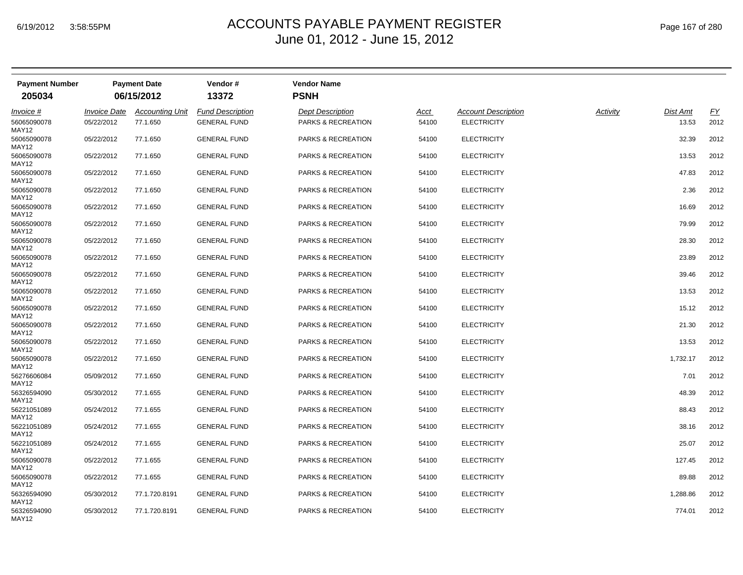| <b>Payment Number</b> |                            | <b>Payment Date</b>    | Vendor#                 | <b>Vendor Name</b>            |             |                            |          |                 |           |
|-----------------------|----------------------------|------------------------|-------------------------|-------------------------------|-------------|----------------------------|----------|-----------------|-----------|
| 205034                |                            | 06/15/2012             | 13372                   | <b>PSNH</b>                   |             |                            |          |                 |           |
| <i>Invoice</i> #      | <i><b>Invoice Date</b></i> | <b>Accounting Unit</b> | <b>Fund Description</b> | <b>Dept Description</b>       | <u>Acct</u> | <b>Account Description</b> | Activity | <b>Dist Amt</b> | <u>FY</u> |
| 56065090078<br>MAY12  | 05/22/2012                 | 77.1.650               | <b>GENERAL FUND</b>     | PARKS & RECREATION            | 54100       | <b>ELECTRICITY</b>         |          | 13.53           | 2012      |
| 56065090078<br>MAY12  | 05/22/2012                 | 77.1.650               | <b>GENERAL FUND</b>     | PARKS & RECREATION            | 54100       | <b>ELECTRICITY</b>         |          | 32.39           | 2012      |
| 56065090078<br>MAY12  | 05/22/2012                 | 77.1.650               | <b>GENERAL FUND</b>     | PARKS & RECREATION            | 54100       | <b>ELECTRICITY</b>         |          | 13.53           | 2012      |
| 56065090078<br>MAY12  | 05/22/2012                 | 77.1.650               | <b>GENERAL FUND</b>     | <b>PARKS &amp; RECREATION</b> | 54100       | <b>ELECTRICITY</b>         |          | 47.83           | 2012      |
| 56065090078<br>MAY12  | 05/22/2012                 | 77.1.650               | <b>GENERAL FUND</b>     | PARKS & RECREATION            | 54100       | <b>ELECTRICITY</b>         |          | 2.36            | 2012      |
| 56065090078<br>MAY12  | 05/22/2012                 | 77.1.650               | <b>GENERAL FUND</b>     | PARKS & RECREATION            | 54100       | <b>ELECTRICITY</b>         |          | 16.69           | 2012      |
| 56065090078<br>MAY12  | 05/22/2012                 | 77.1.650               | <b>GENERAL FUND</b>     | PARKS & RECREATION            | 54100       | <b>ELECTRICITY</b>         |          | 79.99           | 2012      |
| 56065090078<br>MAY12  | 05/22/2012                 | 77.1.650               | <b>GENERAL FUND</b>     | PARKS & RECREATION            | 54100       | <b>ELECTRICITY</b>         |          | 28.30           | 2012      |
| 56065090078<br>MAY12  | 05/22/2012                 | 77.1.650               | <b>GENERAL FUND</b>     | PARKS & RECREATION            | 54100       | <b>ELECTRICITY</b>         |          | 23.89           | 2012      |
| 56065090078<br>MAY12  | 05/22/2012                 | 77.1.650               | <b>GENERAL FUND</b>     | PARKS & RECREATION            | 54100       | <b>ELECTRICITY</b>         |          | 39.46           | 2012      |
| 56065090078<br>MAY12  | 05/22/2012                 | 77.1.650               | <b>GENERAL FUND</b>     | PARKS & RECREATION            | 54100       | <b>ELECTRICITY</b>         |          | 13.53           | 2012      |
| 56065090078<br>MAY12  | 05/22/2012                 | 77.1.650               | <b>GENERAL FUND</b>     | PARKS & RECREATION            | 54100       | <b>ELECTRICITY</b>         |          | 15.12           | 2012      |
| 56065090078<br>MAY12  | 05/22/2012                 | 77.1.650               | <b>GENERAL FUND</b>     | <b>PARKS &amp; RECREATION</b> | 54100       | <b>ELECTRICITY</b>         |          | 21.30           | 2012      |
| 56065090078<br>MAY12  | 05/22/2012                 | 77.1.650               | <b>GENERAL FUND</b>     | PARKS & RECREATION            | 54100       | <b>ELECTRICITY</b>         |          | 13.53           | 2012      |
| 56065090078<br>MAY12  | 05/22/2012                 | 77.1.650               | <b>GENERAL FUND</b>     | PARKS & RECREATION            | 54100       | <b>ELECTRICITY</b>         |          | 1,732.17        | 2012      |
| 56276606084<br>MAY12  | 05/09/2012                 | 77.1.650               | <b>GENERAL FUND</b>     | PARKS & RECREATION            | 54100       | <b>ELECTRICITY</b>         |          | 7.01            | 2012      |
| 56326594090<br>MAY12  | 05/30/2012                 | 77.1.655               | <b>GENERAL FUND</b>     | <b>PARKS &amp; RECREATION</b> | 54100       | <b>ELECTRICITY</b>         |          | 48.39           | 2012      |
| 56221051089<br>MAY12  | 05/24/2012                 | 77.1.655               | <b>GENERAL FUND</b>     | <b>PARKS &amp; RECREATION</b> | 54100       | <b>ELECTRICITY</b>         |          | 88.43           | 2012      |
| 56221051089<br>MAY12  | 05/24/2012                 | 77.1.655               | <b>GENERAL FUND</b>     | PARKS & RECREATION            | 54100       | <b>ELECTRICITY</b>         |          | 38.16           | 2012      |
| 56221051089<br>MAY12  | 05/24/2012                 | 77.1.655               | <b>GENERAL FUND</b>     | PARKS & RECREATION            | 54100       | <b>ELECTRICITY</b>         |          | 25.07           | 2012      |
| 56065090078<br>MAY12  | 05/22/2012                 | 77.1.655               | <b>GENERAL FUND</b>     | PARKS & RECREATION            | 54100       | <b>ELECTRICITY</b>         |          | 127.45          | 2012      |
| 56065090078<br>MAY12  | 05/22/2012                 | 77.1.655               | <b>GENERAL FUND</b>     | PARKS & RECREATION            | 54100       | <b>ELECTRICITY</b>         |          | 89.88           | 2012      |
| 56326594090<br>MAY12  | 05/30/2012                 | 77.1.720.8191          | <b>GENERAL FUND</b>     | PARKS & RECREATION            | 54100       | <b>ELECTRICITY</b>         |          | 1,288.86        | 2012      |
| 56326594090<br>MAY12  | 05/30/2012                 | 77.1.720.8191          | <b>GENERAL FUND</b>     | PARKS & RECREATION            | 54100       | <b>ELECTRICITY</b>         |          | 774.01          | 2012      |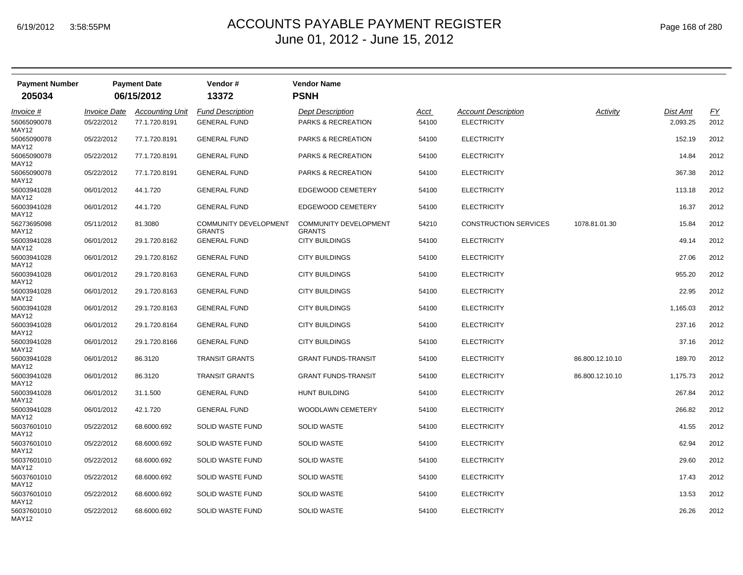| <b>Payment Number</b>       |                     | <b>Payment Date</b>    | Vendor #                               | <b>Vendor Name</b>                            |             |                              |                 |          |      |
|-----------------------------|---------------------|------------------------|----------------------------------------|-----------------------------------------------|-------------|------------------------------|-----------------|----------|------|
| 205034                      |                     | 06/15/2012             | 13372                                  | <b>PSNH</b>                                   |             |                              |                 |          |      |
| <i>Invoice</i> #            | <b>Invoice Date</b> | <b>Accounting Unit</b> | <b>Fund Description</b>                | <b>Dept Description</b>                       | <u>Acct</u> | <b>Account Description</b>   | Activity        | Dist Amt | EY   |
| 56065090078<br>MAY12        | 05/22/2012          | 77.1.720.8191          | <b>GENERAL FUND</b>                    | PARKS & RECREATION                            | 54100       | <b>ELECTRICITY</b>           |                 | 2,093.25 | 2012 |
| 56065090078<br>MAY12        | 05/22/2012          | 77.1.720.8191          | <b>GENERAL FUND</b>                    | PARKS & RECREATION                            | 54100       | <b>ELECTRICITY</b>           |                 | 152.19   | 2012 |
| 56065090078<br>MAY12        | 05/22/2012          | 77.1.720.8191          | <b>GENERAL FUND</b>                    | <b>PARKS &amp; RECREATION</b>                 | 54100       | <b>ELECTRICITY</b>           |                 | 14.84    | 2012 |
| 56065090078<br>MAY12        | 05/22/2012          | 77.1.720.8191          | <b>GENERAL FUND</b>                    | PARKS & RECREATION                            | 54100       | <b>ELECTRICITY</b>           |                 | 367.38   | 2012 |
| 56003941028<br>MAY12        | 06/01/2012          | 44.1.720               | <b>GENERAL FUND</b>                    | EDGEWOOD CEMETERY                             | 54100       | <b>ELECTRICITY</b>           |                 | 113.18   | 2012 |
| 56003941028<br>MAY12        | 06/01/2012          | 44.1.720               | <b>GENERAL FUND</b>                    | EDGEWOOD CEMETERY                             | 54100       | <b>ELECTRICITY</b>           |                 | 16.37    | 2012 |
| 56273695098<br>MAY12        | 05/11/2012          | 81.3080                | <b>COMMUNITY DEVELOPMENT</b><br>GRANTS | <b>COMMUNITY DEVELOPMENT</b><br><b>GRANTS</b> | 54210       | <b>CONSTRUCTION SERVICES</b> | 1078.81.01.30   | 15.84    | 2012 |
| 56003941028<br>MAY12        | 06/01/2012          | 29.1.720.8162          | <b>GENERAL FUND</b>                    | <b>CITY BUILDINGS</b>                         | 54100       | <b>ELECTRICITY</b>           |                 | 49.14    | 2012 |
| 56003941028<br>MAY12        | 06/01/2012          | 29.1.720.8162          | <b>GENERAL FUND</b>                    | <b>CITY BUILDINGS</b>                         | 54100       | <b>ELECTRICITY</b>           |                 | 27.06    | 2012 |
| 56003941028<br>MAY12        | 06/01/2012          | 29.1.720.8163          | <b>GENERAL FUND</b>                    | <b>CITY BUILDINGS</b>                         | 54100       | <b>ELECTRICITY</b>           |                 | 955.20   | 2012 |
| 56003941028<br>MAY12        | 06/01/2012          | 29.1.720.8163          | <b>GENERAL FUND</b>                    | <b>CITY BUILDINGS</b>                         | 54100       | <b>ELECTRICITY</b>           |                 | 22.95    | 2012 |
| 56003941028<br>MAY12        | 06/01/2012          | 29.1.720.8163          | <b>GENERAL FUND</b>                    | <b>CITY BUILDINGS</b>                         | 54100       | <b>ELECTRICITY</b>           |                 | 1,165.03 | 2012 |
| 56003941028<br>MAY12        | 06/01/2012          | 29.1.720.8164          | <b>GENERAL FUND</b>                    | <b>CITY BUILDINGS</b>                         | 54100       | <b>ELECTRICITY</b>           |                 | 237.16   | 2012 |
| 56003941028<br>MAY12        | 06/01/2012          | 29.1.720.8166          | <b>GENERAL FUND</b>                    | <b>CITY BUILDINGS</b>                         | 54100       | <b>ELECTRICITY</b>           |                 | 37.16    | 2012 |
| 56003941028<br>MAY12        | 06/01/2012          | 86.3120                | <b>TRANSIT GRANTS</b>                  | <b>GRANT FUNDS-TRANSIT</b>                    | 54100       | <b>ELECTRICITY</b>           | 86.800.12.10.10 | 189.70   | 2012 |
| 56003941028<br>MAY12        | 06/01/2012          | 86.3120                | <b>TRANSIT GRANTS</b>                  | <b>GRANT FUNDS-TRANSIT</b>                    | 54100       | <b>ELECTRICITY</b>           | 86.800.12.10.10 | 1,175.73 | 2012 |
| 56003941028<br>MAY12        | 06/01/2012          | 31.1.500               | <b>GENERAL FUND</b>                    | <b>HUNT BUILDING</b>                          | 54100       | <b>ELECTRICITY</b>           |                 | 267.84   | 2012 |
| 56003941028<br><b>MAY12</b> | 06/01/2012          | 42.1.720               | <b>GENERAL FUND</b>                    | <b>WOODLAWN CEMETERY</b>                      | 54100       | <b>ELECTRICITY</b>           |                 | 266.82   | 2012 |
| 56037601010<br>MAY12        | 05/22/2012          | 68.6000.692            | <b>SOLID WASTE FUND</b>                | <b>SOLID WASTE</b>                            | 54100       | <b>ELECTRICITY</b>           |                 | 41.55    | 2012 |
| 56037601010<br>MAY12        | 05/22/2012          | 68.6000.692            | <b>SOLID WASTE FUND</b>                | <b>SOLID WASTE</b>                            | 54100       | <b>ELECTRICITY</b>           |                 | 62.94    | 2012 |
| 56037601010<br>MAY12        | 05/22/2012          | 68.6000.692            | <b>SOLID WASTE FUND</b>                | <b>SOLID WASTE</b>                            | 54100       | <b>ELECTRICITY</b>           |                 | 29.60    | 2012 |
| 56037601010<br>MAY12        | 05/22/2012          | 68.6000.692            | SOLID WASTE FUND                       | <b>SOLID WASTE</b>                            | 54100       | <b>ELECTRICITY</b>           |                 | 17.43    | 2012 |
| 56037601010<br>MAY12        | 05/22/2012          | 68.6000.692            | <b>SOLID WASTE FUND</b>                | <b>SOLID WASTE</b>                            | 54100       | <b>ELECTRICITY</b>           |                 | 13.53    | 2012 |
| 56037601010<br>MAY12        | 05/22/2012          | 68.6000.692            | <b>SOLID WASTE FUND</b>                | <b>SOLID WASTE</b>                            | 54100       | <b>ELECTRICITY</b>           |                 | 26.26    | 2012 |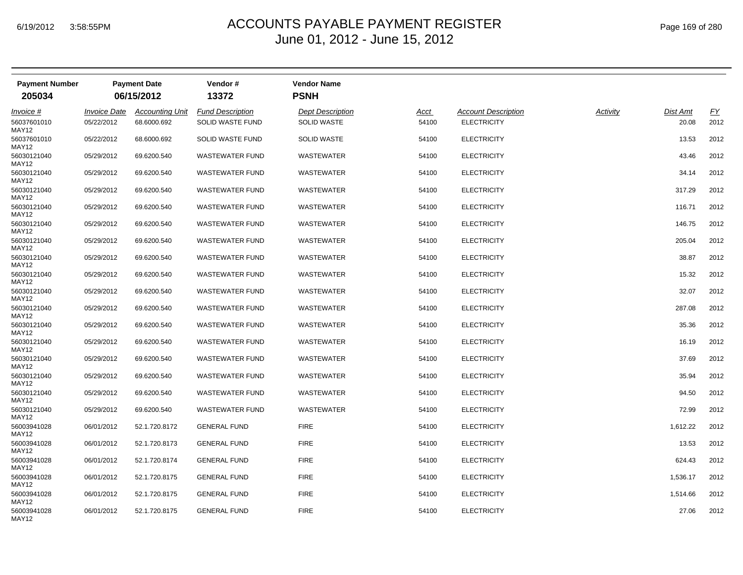| <b>Payment Number</b><br>205034          |                                          | <b>Payment Date</b><br>06/15/2012     | Vendor#<br>13372                            | <b>Vendor Name</b><br><b>PSNH</b>             |               |                                                  |          |                          |                   |
|------------------------------------------|------------------------------------------|---------------------------------------|---------------------------------------------|-----------------------------------------------|---------------|--------------------------------------------------|----------|--------------------------|-------------------|
|                                          |                                          |                                       |                                             |                                               |               |                                                  |          |                          |                   |
| <i>Invoice</i> #<br>56037601010<br>MAY12 | <i><b>Invoice Date</b></i><br>05/22/2012 | <b>Accounting Unit</b><br>68.6000.692 | <b>Fund Description</b><br>SOLID WASTE FUND | <b>Dept Description</b><br><b>SOLID WASTE</b> | Acct<br>54100 | <b>Account Description</b><br><b>ELECTRICITY</b> | Activity | <b>Dist Amt</b><br>20.08 | <u>FY</u><br>2012 |
| 56037601010<br>MAY12                     | 05/22/2012                               | 68.6000.692                           | SOLID WASTE FUND                            | <b>SOLID WASTE</b>                            | 54100         | <b>ELECTRICITY</b>                               |          | 13.53                    | 2012              |
| 56030121040<br>MAY12                     | 05/29/2012                               | 69.6200.540                           | <b>WASTEWATER FUND</b>                      | <b>WASTEWATER</b>                             | 54100         | <b>ELECTRICITY</b>                               |          | 43.46                    | 2012              |
| 56030121040<br>MAY12                     | 05/29/2012                               | 69.6200.540                           | <b>WASTEWATER FUND</b>                      | <b>WASTEWATER</b>                             | 54100         | <b>ELECTRICITY</b>                               |          | 34.14                    | 2012              |
| 56030121040<br>MAY12                     | 05/29/2012                               | 69.6200.540                           | <b>WASTEWATER FUND</b>                      | <b>WASTEWATER</b>                             | 54100         | <b>ELECTRICITY</b>                               |          | 317.29                   | 2012              |
| 56030121040<br>MAY12                     | 05/29/2012                               | 69.6200.540                           | <b>WASTEWATER FUND</b>                      | <b>WASTEWATER</b>                             | 54100         | <b>ELECTRICITY</b>                               |          | 116.71                   | 2012              |
| 56030121040<br>MAY12                     | 05/29/2012                               | 69.6200.540                           | <b>WASTEWATER FUND</b>                      | <b>WASTEWATER</b>                             | 54100         | <b>ELECTRICITY</b>                               |          | 146.75                   | 2012              |
| 56030121040<br>MAY12                     | 05/29/2012                               | 69.6200.540                           | <b>WASTEWATER FUND</b>                      | <b>WASTEWATER</b>                             | 54100         | <b>ELECTRICITY</b>                               |          | 205.04                   | 2012              |
| 56030121040<br>MAY12                     | 05/29/2012                               | 69.6200.540                           | <b>WASTEWATER FUND</b>                      | WASTEWATER                                    | 54100         | <b>ELECTRICITY</b>                               |          | 38.87                    | 2012              |
| 56030121040<br>MAY12                     | 05/29/2012                               | 69.6200.540                           | <b>WASTEWATER FUND</b>                      | <b>WASTEWATER</b>                             | 54100         | <b>ELECTRICITY</b>                               |          | 15.32                    | 2012              |
| 56030121040<br>MAY12                     | 05/29/2012                               | 69.6200.540                           | <b>WASTEWATER FUND</b>                      | <b>WASTEWATER</b>                             | 54100         | <b>ELECTRICITY</b>                               |          | 32.07                    | 2012              |
| 56030121040<br>MAY12                     | 05/29/2012                               | 69.6200.540                           | <b>WASTEWATER FUND</b>                      | <b>WASTEWATER</b>                             | 54100         | <b>ELECTRICITY</b>                               |          | 287.08                   | 2012              |
| 56030121040<br>MAY12                     | 05/29/2012                               | 69.6200.540                           | <b>WASTEWATER FUND</b>                      | <b>WASTEWATER</b>                             | 54100         | <b>ELECTRICITY</b>                               |          | 35.36                    | 2012              |
| 56030121040<br>MAY12                     | 05/29/2012                               | 69.6200.540                           | <b>WASTEWATER FUND</b>                      | <b>WASTEWATER</b>                             | 54100         | <b>ELECTRICITY</b>                               |          | 16.19                    | 2012              |
| 56030121040<br>MAY12                     | 05/29/2012                               | 69.6200.540                           | <b>WASTEWATER FUND</b>                      | <b>WASTEWATER</b>                             | 54100         | <b>ELECTRICITY</b>                               |          | 37.69                    | 2012              |
| 56030121040<br>MAY12                     | 05/29/2012                               | 69.6200.540                           | <b>WASTEWATER FUND</b>                      | <b>WASTEWATER</b>                             | 54100         | <b>ELECTRICITY</b>                               |          | 35.94                    | 2012              |
| 56030121040<br>MAY12                     | 05/29/2012                               | 69.6200.540                           | <b>WASTEWATER FUND</b>                      | <b>WASTEWATER</b>                             | 54100         | <b>ELECTRICITY</b>                               |          | 94.50                    | 2012              |
| 56030121040<br>MAY12                     | 05/29/2012                               | 69.6200.540                           | <b>WASTEWATER FUND</b>                      | <b>WASTEWATER</b>                             | 54100         | <b>ELECTRICITY</b>                               |          | 72.99                    | 2012              |
| 56003941028<br>MAY12                     | 06/01/2012                               | 52.1.720.8172                         | <b>GENERAL FUND</b>                         | <b>FIRE</b>                                   | 54100         | <b>ELECTRICITY</b>                               |          | 1,612.22                 | 2012              |
| 56003941028<br>MAY12                     | 06/01/2012                               | 52.1.720.8173                         | <b>GENERAL FUND</b>                         | <b>FIRE</b>                                   | 54100         | <b>ELECTRICITY</b>                               |          | 13.53                    | 2012              |
| 56003941028<br>MAY12                     | 06/01/2012                               | 52.1.720.8174                         | <b>GENERAL FUND</b>                         | <b>FIRE</b>                                   | 54100         | <b>ELECTRICITY</b>                               |          | 624.43                   | 2012              |
| 56003941028<br>MAY12                     | 06/01/2012                               | 52.1.720.8175                         | <b>GENERAL FUND</b>                         | <b>FIRE</b>                                   | 54100         | <b>ELECTRICITY</b>                               |          | 1,536.17                 | 2012              |
| 56003941028<br>MAY12                     | 06/01/2012                               | 52.1.720.8175                         | <b>GENERAL FUND</b>                         | <b>FIRE</b>                                   | 54100         | <b>ELECTRICITY</b>                               |          | 1,514.66                 | 2012              |
| 56003941028<br>MAY12                     | 06/01/2012                               | 52.1.720.8175                         | <b>GENERAL FUND</b>                         | <b>FIRE</b>                                   | 54100         | <b>ELECTRICITY</b>                               |          | 27.06                    | 2012              |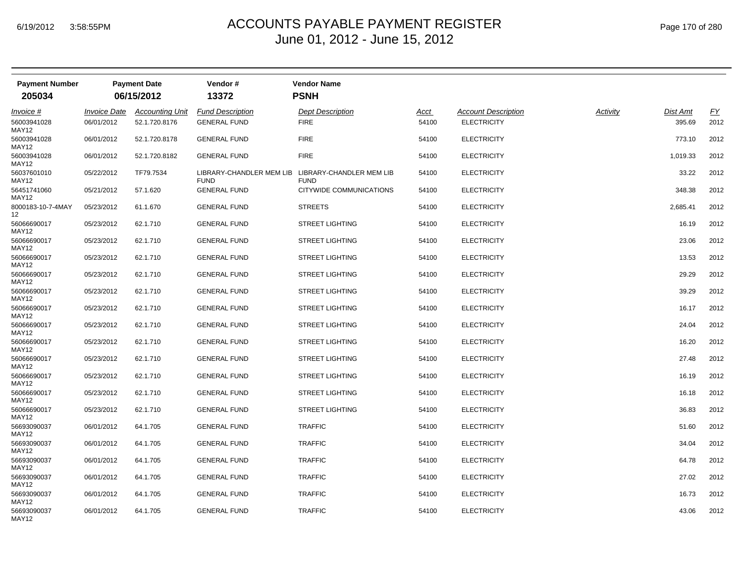| <b>Payment Number</b><br>205034 |                            | <b>Payment Date</b><br>06/15/2012 | Vendor#<br>13372                        | <b>Vendor Name</b><br><b>PSNH</b>       |       |                            |          |          |           |
|---------------------------------|----------------------------|-----------------------------------|-----------------------------------------|-----------------------------------------|-------|----------------------------|----------|----------|-----------|
| <i>Invoice</i> #                | <i><b>Invoice Date</b></i> | Accountina Unit                   | <b>Fund Description</b>                 | Dept Description                        | Acct  | <b>Account Description</b> | Activity | Dist Amt | <u>FY</u> |
| 56003941028<br>MAY12            | 06/01/2012                 | 52.1.720.8176                     | <b>GENERAL FUND</b>                     | <b>FIRE</b>                             | 54100 | <b>ELECTRICITY</b>         |          | 395.69   | 2012      |
| 56003941028<br>MAY12            | 06/01/2012                 | 52.1.720.8178                     | <b>GENERAL FUND</b>                     | <b>FIRE</b>                             | 54100 | <b>ELECTRICITY</b>         |          | 773.10   | 2012      |
| 56003941028<br>MAY12            | 06/01/2012                 | 52.1.720.8182                     | <b>GENERAL FUND</b>                     | <b>FIRE</b>                             | 54100 | <b>ELECTRICITY</b>         |          | 1,019.33 | 2012      |
| 56037601010<br>MAY12            | 05/22/2012                 | TF79.7534                         | LIBRARY-CHANDLER MEM LIB<br><b>FUND</b> | LIBRARY-CHANDLER MEM LIB<br><b>FUND</b> | 54100 | <b>ELECTRICITY</b>         |          | 33.22    | 2012      |
| 56451741060<br>MAY12            | 05/21/2012                 | 57.1.620                          | <b>GENERAL FUND</b>                     | CITYWIDE COMMUNICATIONS                 | 54100 | <b>ELECTRICITY</b>         |          | 348.38   | 2012      |
| 8000183-10-7-4MAY<br>12         | 05/23/2012                 | 61.1.670                          | <b>GENERAL FUND</b>                     | <b>STREETS</b>                          | 54100 | <b>ELECTRICITY</b>         |          | 2,685.41 | 2012      |
| 56066690017<br>MAY12            | 05/23/2012                 | 62.1.710                          | <b>GENERAL FUND</b>                     | <b>STREET LIGHTING</b>                  | 54100 | <b>ELECTRICITY</b>         |          | 16.19    | 2012      |
| 56066690017<br>MAY12            | 05/23/2012                 | 62.1.710                          | <b>GENERAL FUND</b>                     | <b>STREET LIGHTING</b>                  | 54100 | <b>ELECTRICITY</b>         |          | 23.06    | 2012      |
| 56066690017<br>MAY12            | 05/23/2012                 | 62.1.710                          | <b>GENERAL FUND</b>                     | <b>STREET LIGHTING</b>                  | 54100 | <b>ELECTRICITY</b>         |          | 13.53    | 2012      |
| 56066690017<br>MAY12            | 05/23/2012                 | 62.1.710                          | <b>GENERAL FUND</b>                     | <b>STREET LIGHTING</b>                  | 54100 | <b>ELECTRICITY</b>         |          | 29.29    | 2012      |
| 56066690017<br>MAY12            | 05/23/2012                 | 62.1.710                          | <b>GENERAL FUND</b>                     | <b>STREET LIGHTING</b>                  | 54100 | <b>ELECTRICITY</b>         |          | 39.29    | 2012      |
| 56066690017<br>MAY12            | 05/23/2012                 | 62.1.710                          | <b>GENERAL FUND</b>                     | <b>STREET LIGHTING</b>                  | 54100 | <b>ELECTRICITY</b>         |          | 16.17    | 2012      |
| 56066690017<br>MAY12            | 05/23/2012                 | 62.1.710                          | <b>GENERAL FUND</b>                     | <b>STREET LIGHTING</b>                  | 54100 | <b>ELECTRICITY</b>         |          | 24.04    | 2012      |
| 56066690017<br>MAY12            | 05/23/2012                 | 62.1.710                          | <b>GENERAL FUND</b>                     | <b>STREET LIGHTING</b>                  | 54100 | <b>ELECTRICITY</b>         |          | 16.20    | 2012      |
| 56066690017<br>MAY12            | 05/23/2012                 | 62.1.710                          | <b>GENERAL FUND</b>                     | <b>STREET LIGHTING</b>                  | 54100 | <b>ELECTRICITY</b>         |          | 27.48    | 2012      |
| 56066690017<br>MAY12            | 05/23/2012                 | 62.1.710                          | <b>GENERAL FUND</b>                     | <b>STREET LIGHTING</b>                  | 54100 | <b>ELECTRICITY</b>         |          | 16.19    | 2012      |
| 56066690017<br>MAY12            | 05/23/2012                 | 62.1.710                          | <b>GENERAL FUND</b>                     | <b>STREET LIGHTING</b>                  | 54100 | <b>ELECTRICITY</b>         |          | 16.18    | 2012      |
| 56066690017<br>MAY12            | 05/23/2012                 | 62.1.710                          | <b>GENERAL FUND</b>                     | <b>STREET LIGHTING</b>                  | 54100 | <b>ELECTRICITY</b>         |          | 36.83    | 2012      |
| 56693090037<br>MAY12            | 06/01/2012                 | 64.1.705                          | <b>GENERAL FUND</b>                     | <b>TRAFFIC</b>                          | 54100 | <b>ELECTRICITY</b>         |          | 51.60    | 2012      |
| 56693090037<br>MAY12            | 06/01/2012                 | 64.1.705                          | <b>GENERAL FUND</b>                     | <b>TRAFFIC</b>                          | 54100 | <b>ELECTRICITY</b>         |          | 34.04    | 2012      |
| 56693090037<br>MAY12            | 06/01/2012                 | 64.1.705                          | <b>GENERAL FUND</b>                     | <b>TRAFFIC</b>                          | 54100 | <b>ELECTRICITY</b>         |          | 64.78    | 2012      |
| 56693090037<br>MAY12            | 06/01/2012                 | 64.1.705                          | <b>GENERAL FUND</b>                     | <b>TRAFFIC</b>                          | 54100 | <b>ELECTRICITY</b>         |          | 27.02    | 2012      |
| 56693090037<br>MAY12            | 06/01/2012                 | 64.1.705                          | <b>GENERAL FUND</b>                     | <b>TRAFFIC</b>                          | 54100 | <b>ELECTRICITY</b>         |          | 16.73    | 2012      |
| 56693090037<br>MAY12            | 06/01/2012                 | 64.1.705                          | <b>GENERAL FUND</b>                     | <b>TRAFFIC</b>                          | 54100 | <b>ELECTRICITY</b>         |          | 43.06    | 2012      |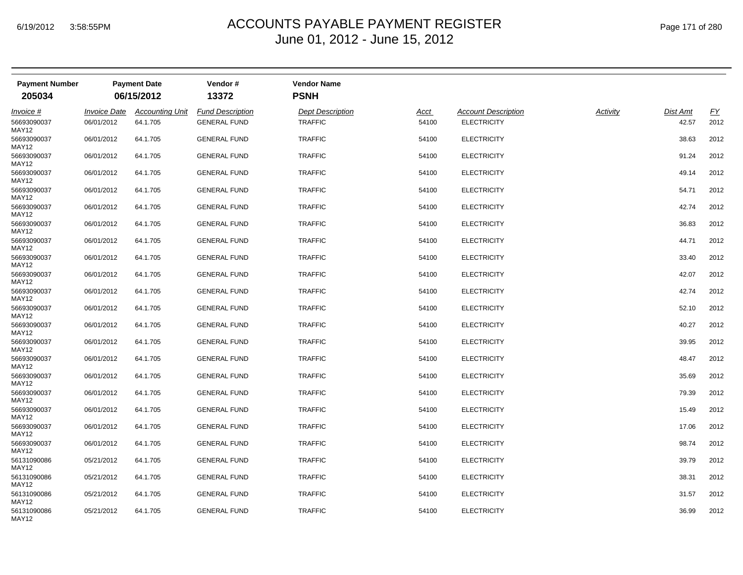| <b>Payment Number</b> |                            | <b>Payment Date</b>    | Vendor#                 | <b>Vendor Name</b>      |             |                            |          |                 |      |
|-----------------------|----------------------------|------------------------|-------------------------|-------------------------|-------------|----------------------------|----------|-----------------|------|
| 205034                |                            | 06/15/2012             | 13372                   | <b>PSNH</b>             |             |                            |          |                 |      |
| Invoice #             | <i><b>Invoice Date</b></i> | <b>Accounting Unit</b> | <b>Fund Description</b> | <b>Dept Description</b> | <u>Acct</u> | <b>Account Description</b> | Activity | <b>Dist Amt</b> | EY   |
| 56693090037<br>MAY12  | 06/01/2012                 | 64.1.705               | <b>GENERAL FUND</b>     | <b>TRAFFIC</b>          | 54100       | <b>ELECTRICITY</b>         |          | 42.57           | 2012 |
| 56693090037<br>MAY12  | 06/01/2012                 | 64.1.705               | <b>GENERAL FUND</b>     | <b>TRAFFIC</b>          | 54100       | <b>ELECTRICITY</b>         |          | 38.63           | 2012 |
| 56693090037<br>MAY12  | 06/01/2012                 | 64.1.705               | <b>GENERAL FUND</b>     | <b>TRAFFIC</b>          | 54100       | <b>ELECTRICITY</b>         |          | 91.24           | 2012 |
| 56693090037<br>MAY12  | 06/01/2012                 | 64.1.705               | <b>GENERAL FUND</b>     | <b>TRAFFIC</b>          | 54100       | <b>ELECTRICITY</b>         |          | 49.14           | 2012 |
| 56693090037<br>MAY12  | 06/01/2012                 | 64.1.705               | <b>GENERAL FUND</b>     | <b>TRAFFIC</b>          | 54100       | <b>ELECTRICITY</b>         |          | 54.71           | 2012 |
| 56693090037<br>MAY12  | 06/01/2012                 | 64.1.705               | <b>GENERAL FUND</b>     | <b>TRAFFIC</b>          | 54100       | <b>ELECTRICITY</b>         |          | 42.74           | 2012 |
| 56693090037<br>MAY12  | 06/01/2012                 | 64.1.705               | <b>GENERAL FUND</b>     | <b>TRAFFIC</b>          | 54100       | <b>ELECTRICITY</b>         |          | 36.83           | 2012 |
| 56693090037<br>MAY12  | 06/01/2012                 | 64.1.705               | <b>GENERAL FUND</b>     | <b>TRAFFIC</b>          | 54100       | <b>ELECTRICITY</b>         |          | 44.71           | 2012 |
| 56693090037<br>MAY12  | 06/01/2012                 | 64.1.705               | <b>GENERAL FUND</b>     | <b>TRAFFIC</b>          | 54100       | <b>ELECTRICITY</b>         |          | 33.40           | 2012 |
| 56693090037<br>MAY12  | 06/01/2012                 | 64.1.705               | <b>GENERAL FUND</b>     | <b>TRAFFIC</b>          | 54100       | <b>ELECTRICITY</b>         |          | 42.07           | 2012 |
| 56693090037<br>MAY12  | 06/01/2012                 | 64.1.705               | <b>GENERAL FUND</b>     | <b>TRAFFIC</b>          | 54100       | <b>ELECTRICITY</b>         |          | 42.74           | 2012 |
| 56693090037<br>MAY12  | 06/01/2012                 | 64.1.705               | <b>GENERAL FUND</b>     | <b>TRAFFIC</b>          | 54100       | <b>ELECTRICITY</b>         |          | 52.10           | 2012 |
| 56693090037<br>MAY12  | 06/01/2012                 | 64.1.705               | <b>GENERAL FUND</b>     | <b>TRAFFIC</b>          | 54100       | <b>ELECTRICITY</b>         |          | 40.27           | 2012 |
| 56693090037<br>MAY12  | 06/01/2012                 | 64.1.705               | <b>GENERAL FUND</b>     | <b>TRAFFIC</b>          | 54100       | <b>ELECTRICITY</b>         |          | 39.95           | 2012 |
| 56693090037<br>MAY12  | 06/01/2012                 | 64.1.705               | <b>GENERAL FUND</b>     | <b>TRAFFIC</b>          | 54100       | <b>ELECTRICITY</b>         |          | 48.47           | 2012 |
| 56693090037<br>MAY12  | 06/01/2012                 | 64.1.705               | <b>GENERAL FUND</b>     | <b>TRAFFIC</b>          | 54100       | <b>ELECTRICITY</b>         |          | 35.69           | 2012 |
| 56693090037<br>MAY12  | 06/01/2012                 | 64.1.705               | <b>GENERAL FUND</b>     | <b>TRAFFIC</b>          | 54100       | <b>ELECTRICITY</b>         |          | 79.39           | 2012 |
| 56693090037<br>MAY12  | 06/01/2012                 | 64.1.705               | <b>GENERAL FUND</b>     | <b>TRAFFIC</b>          | 54100       | <b>ELECTRICITY</b>         |          | 15.49           | 2012 |
| 56693090037<br>MAY12  | 06/01/2012                 | 64.1.705               | <b>GENERAL FUND</b>     | <b>TRAFFIC</b>          | 54100       | <b>ELECTRICITY</b>         |          | 17.06           | 2012 |
| 56693090037<br>MAY12  | 06/01/2012                 | 64.1.705               | <b>GENERAL FUND</b>     | <b>TRAFFIC</b>          | 54100       | <b>ELECTRICITY</b>         |          | 98.74           | 2012 |
| 56131090086<br>MAY12  | 05/21/2012                 | 64.1.705               | <b>GENERAL FUND</b>     | <b>TRAFFIC</b>          | 54100       | <b>ELECTRICITY</b>         |          | 39.79           | 2012 |
| 56131090086<br>MAY12  | 05/21/2012                 | 64.1.705               | <b>GENERAL FUND</b>     | <b>TRAFFIC</b>          | 54100       | <b>ELECTRICITY</b>         |          | 38.31           | 2012 |
| 56131090086<br>MAY12  | 05/21/2012                 | 64.1.705               | <b>GENERAL FUND</b>     | <b>TRAFFIC</b>          | 54100       | <b>ELECTRICITY</b>         |          | 31.57           | 2012 |
| 56131090086<br>MAY12  | 05/21/2012                 | 64.1.705               | <b>GENERAL FUND</b>     | <b>TRAFFIC</b>          | 54100       | <b>ELECTRICITY</b>         |          | 36.99           | 2012 |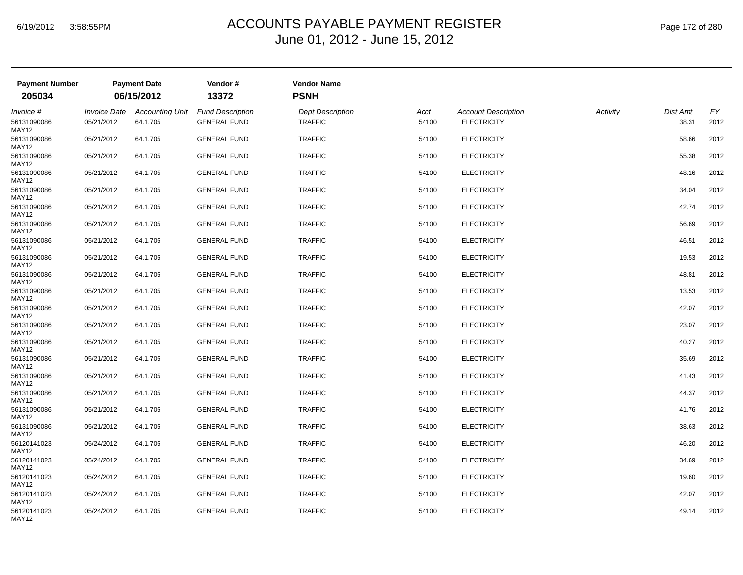| <b>Payment Number</b> |                            | <b>Payment Date</b>    | Vendor#                 | <b>Vendor Name</b>      |             |                            |          |          |      |
|-----------------------|----------------------------|------------------------|-------------------------|-------------------------|-------------|----------------------------|----------|----------|------|
| 205034                |                            | 06/15/2012             | 13372                   | <b>PSNH</b>             |             |                            |          |          |      |
| Invoice #             | <i><b>Invoice Date</b></i> | <b>Accounting Unit</b> | <b>Fund Description</b> | <b>Dept Description</b> | <u>Acct</u> | <b>Account Description</b> | Activity | Dist Amt | EY   |
| 56131090086<br>MAY12  | 05/21/2012                 | 64.1.705               | <b>GENERAL FUND</b>     | <b>TRAFFIC</b>          | 54100       | <b>ELECTRICITY</b>         |          | 38.31    | 2012 |
| 56131090086<br>MAY12  | 05/21/2012                 | 64.1.705               | <b>GENERAL FUND</b>     | <b>TRAFFIC</b>          | 54100       | <b>ELECTRICITY</b>         |          | 58.66    | 2012 |
| 56131090086<br>MAY12  | 05/21/2012                 | 64.1.705               | <b>GENERAL FUND</b>     | <b>TRAFFIC</b>          | 54100       | <b>ELECTRICITY</b>         |          | 55.38    | 2012 |
| 56131090086<br>MAY12  | 05/21/2012                 | 64.1.705               | <b>GENERAL FUND</b>     | <b>TRAFFIC</b>          | 54100       | <b>ELECTRICITY</b>         |          | 48.16    | 2012 |
| 56131090086<br>MAY12  | 05/21/2012                 | 64.1.705               | <b>GENERAL FUND</b>     | <b>TRAFFIC</b>          | 54100       | <b>ELECTRICITY</b>         |          | 34.04    | 2012 |
| 56131090086<br>MAY12  | 05/21/2012                 | 64.1.705               | <b>GENERAL FUND</b>     | <b>TRAFFIC</b>          | 54100       | <b>ELECTRICITY</b>         |          | 42.74    | 2012 |
| 56131090086<br>MAY12  | 05/21/2012                 | 64.1.705               | <b>GENERAL FUND</b>     | <b>TRAFFIC</b>          | 54100       | <b>ELECTRICITY</b>         |          | 56.69    | 2012 |
| 56131090086<br>MAY12  | 05/21/2012                 | 64.1.705               | <b>GENERAL FUND</b>     | <b>TRAFFIC</b>          | 54100       | <b>ELECTRICITY</b>         |          | 46.51    | 2012 |
| 56131090086<br>MAY12  | 05/21/2012                 | 64.1.705               | <b>GENERAL FUND</b>     | <b>TRAFFIC</b>          | 54100       | <b>ELECTRICITY</b>         |          | 19.53    | 2012 |
| 56131090086<br>MAY12  | 05/21/2012                 | 64.1.705               | <b>GENERAL FUND</b>     | <b>TRAFFIC</b>          | 54100       | <b>ELECTRICITY</b>         |          | 48.81    | 2012 |
| 56131090086<br>MAY12  | 05/21/2012                 | 64.1.705               | <b>GENERAL FUND</b>     | <b>TRAFFIC</b>          | 54100       | <b>ELECTRICITY</b>         |          | 13.53    | 2012 |
| 56131090086<br>MAY12  | 05/21/2012                 | 64.1.705               | <b>GENERAL FUND</b>     | <b>TRAFFIC</b>          | 54100       | <b>ELECTRICITY</b>         |          | 42.07    | 2012 |
| 56131090086<br>MAY12  | 05/21/2012                 | 64.1.705               | <b>GENERAL FUND</b>     | <b>TRAFFIC</b>          | 54100       | <b>ELECTRICITY</b>         |          | 23.07    | 2012 |
| 56131090086<br>MAY12  | 05/21/2012                 | 64.1.705               | <b>GENERAL FUND</b>     | <b>TRAFFIC</b>          | 54100       | <b>ELECTRICITY</b>         |          | 40.27    | 2012 |
| 56131090086<br>MAY12  | 05/21/2012                 | 64.1.705               | <b>GENERAL FUND</b>     | <b>TRAFFIC</b>          | 54100       | <b>ELECTRICITY</b>         |          | 35.69    | 2012 |
| 56131090086<br>MAY12  | 05/21/2012                 | 64.1.705               | <b>GENERAL FUND</b>     | <b>TRAFFIC</b>          | 54100       | <b>ELECTRICITY</b>         |          | 41.43    | 2012 |
| 56131090086<br>MAY12  | 05/21/2012                 | 64.1.705               | <b>GENERAL FUND</b>     | <b>TRAFFIC</b>          | 54100       | <b>ELECTRICITY</b>         |          | 44.37    | 2012 |
| 56131090086<br>MAY12  | 05/21/2012                 | 64.1.705               | <b>GENERAL FUND</b>     | <b>TRAFFIC</b>          | 54100       | <b>ELECTRICITY</b>         |          | 41.76    | 2012 |
| 56131090086<br>MAY12  | 05/21/2012                 | 64.1.705               | <b>GENERAL FUND</b>     | <b>TRAFFIC</b>          | 54100       | <b>ELECTRICITY</b>         |          | 38.63    | 2012 |
| 56120141023<br>MAY12  | 05/24/2012                 | 64.1.705               | <b>GENERAL FUND</b>     | <b>TRAFFIC</b>          | 54100       | <b>ELECTRICITY</b>         |          | 46.20    | 2012 |
| 56120141023<br>MAY12  | 05/24/2012                 | 64.1.705               | <b>GENERAL FUND</b>     | <b>TRAFFIC</b>          | 54100       | <b>ELECTRICITY</b>         |          | 34.69    | 2012 |
| 56120141023<br>MAY12  | 05/24/2012                 | 64.1.705               | <b>GENERAL FUND</b>     | <b>TRAFFIC</b>          | 54100       | <b>ELECTRICITY</b>         |          | 19.60    | 2012 |
| 56120141023<br>MAY12  | 05/24/2012                 | 64.1.705               | <b>GENERAL FUND</b>     | <b>TRAFFIC</b>          | 54100       | <b>ELECTRICITY</b>         |          | 42.07    | 2012 |
| 56120141023<br>MAY12  | 05/24/2012                 | 64.1.705               | <b>GENERAL FUND</b>     | <b>TRAFFIC</b>          | 54100       | <b>ELECTRICITY</b>         |          | 49.14    | 2012 |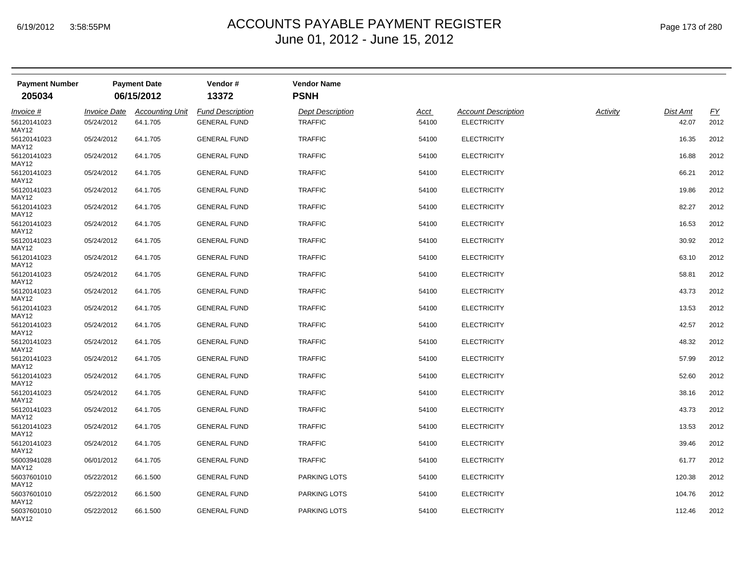| <b>Payment Number</b> |                            | <b>Payment Date</b>    | Vendor#                 | <b>Vendor Name</b>      |             |                            |          |          |      |
|-----------------------|----------------------------|------------------------|-------------------------|-------------------------|-------------|----------------------------|----------|----------|------|
| 205034                |                            | 06/15/2012             | 13372                   | <b>PSNH</b>             |             |                            |          |          |      |
| Invoice #             | <i><b>Invoice Date</b></i> | <b>Accounting Unit</b> | <b>Fund Description</b> | <b>Dept Description</b> | <u>Acct</u> | <b>Account Description</b> | Activity | Dist Amt | EY   |
| 56120141023<br>MAY12  | 05/24/2012                 | 64.1.705               | <b>GENERAL FUND</b>     | <b>TRAFFIC</b>          | 54100       | <b>ELECTRICITY</b>         |          | 42.07    | 2012 |
| 56120141023<br>MAY12  | 05/24/2012                 | 64.1.705               | <b>GENERAL FUND</b>     | <b>TRAFFIC</b>          | 54100       | <b>ELECTRICITY</b>         |          | 16.35    | 2012 |
| 56120141023<br>MAY12  | 05/24/2012                 | 64.1.705               | <b>GENERAL FUND</b>     | <b>TRAFFIC</b>          | 54100       | <b>ELECTRICITY</b>         |          | 16.88    | 2012 |
| 56120141023<br>MAY12  | 05/24/2012                 | 64.1.705               | <b>GENERAL FUND</b>     | <b>TRAFFIC</b>          | 54100       | <b>ELECTRICITY</b>         |          | 66.21    | 2012 |
| 56120141023<br>MAY12  | 05/24/2012                 | 64.1.705               | <b>GENERAL FUND</b>     | <b>TRAFFIC</b>          | 54100       | <b>ELECTRICITY</b>         |          | 19.86    | 2012 |
| 56120141023<br>MAY12  | 05/24/2012                 | 64.1.705               | <b>GENERAL FUND</b>     | <b>TRAFFIC</b>          | 54100       | <b>ELECTRICITY</b>         |          | 82.27    | 2012 |
| 56120141023<br>MAY12  | 05/24/2012                 | 64.1.705               | <b>GENERAL FUND</b>     | <b>TRAFFIC</b>          | 54100       | <b>ELECTRICITY</b>         |          | 16.53    | 2012 |
| 56120141023<br>MAY12  | 05/24/2012                 | 64.1.705               | <b>GENERAL FUND</b>     | <b>TRAFFIC</b>          | 54100       | <b>ELECTRICITY</b>         |          | 30.92    | 2012 |
| 56120141023<br>MAY12  | 05/24/2012                 | 64.1.705               | <b>GENERAL FUND</b>     | <b>TRAFFIC</b>          | 54100       | <b>ELECTRICITY</b>         |          | 63.10    | 2012 |
| 56120141023<br>MAY12  | 05/24/2012                 | 64.1.705               | <b>GENERAL FUND</b>     | <b>TRAFFIC</b>          | 54100       | <b>ELECTRICITY</b>         |          | 58.81    | 2012 |
| 56120141023<br>MAY12  | 05/24/2012                 | 64.1.705               | <b>GENERAL FUND</b>     | <b>TRAFFIC</b>          | 54100       | <b>ELECTRICITY</b>         |          | 43.73    | 2012 |
| 56120141023<br>MAY12  | 05/24/2012                 | 64.1.705               | <b>GENERAL FUND</b>     | <b>TRAFFIC</b>          | 54100       | <b>ELECTRICITY</b>         |          | 13.53    | 2012 |
| 56120141023<br>MAY12  | 05/24/2012                 | 64.1.705               | <b>GENERAL FUND</b>     | <b>TRAFFIC</b>          | 54100       | <b>ELECTRICITY</b>         |          | 42.57    | 2012 |
| 56120141023<br>MAY12  | 05/24/2012                 | 64.1.705               | <b>GENERAL FUND</b>     | <b>TRAFFIC</b>          | 54100       | <b>ELECTRICITY</b>         |          | 48.32    | 2012 |
| 56120141023<br>MAY12  | 05/24/2012                 | 64.1.705               | <b>GENERAL FUND</b>     | <b>TRAFFIC</b>          | 54100       | <b>ELECTRICITY</b>         |          | 57.99    | 2012 |
| 56120141023<br>MAY12  | 05/24/2012                 | 64.1.705               | <b>GENERAL FUND</b>     | <b>TRAFFIC</b>          | 54100       | <b>ELECTRICITY</b>         |          | 52.60    | 2012 |
| 56120141023<br>MAY12  | 05/24/2012                 | 64.1.705               | <b>GENERAL FUND</b>     | <b>TRAFFIC</b>          | 54100       | <b>ELECTRICITY</b>         |          | 38.16    | 2012 |
| 56120141023<br>MAY12  | 05/24/2012                 | 64.1.705               | <b>GENERAL FUND</b>     | <b>TRAFFIC</b>          | 54100       | <b>ELECTRICITY</b>         |          | 43.73    | 2012 |
| 56120141023<br>MAY12  | 05/24/2012                 | 64.1.705               | <b>GENERAL FUND</b>     | <b>TRAFFIC</b>          | 54100       | <b>ELECTRICITY</b>         |          | 13.53    | 2012 |
| 56120141023<br>MAY12  | 05/24/2012                 | 64.1.705               | <b>GENERAL FUND</b>     | <b>TRAFFIC</b>          | 54100       | <b>ELECTRICITY</b>         |          | 39.46    | 2012 |
| 56003941028<br>MAY12  | 06/01/2012                 | 64.1.705               | <b>GENERAL FUND</b>     | <b>TRAFFIC</b>          | 54100       | <b>ELECTRICITY</b>         |          | 61.77    | 2012 |
| 56037601010<br>MAY12  | 05/22/2012                 | 66.1.500               | <b>GENERAL FUND</b>     | <b>PARKING LOTS</b>     | 54100       | <b>ELECTRICITY</b>         |          | 120.38   | 2012 |
| 56037601010<br>MAY12  | 05/22/2012                 | 66.1.500               | <b>GENERAL FUND</b>     | PARKING LOTS            | 54100       | <b>ELECTRICITY</b>         |          | 104.76   | 2012 |
| 56037601010<br>MAY12  | 05/22/2012                 | 66.1.500               | <b>GENERAL FUND</b>     | <b>PARKING LOTS</b>     | 54100       | <b>ELECTRICITY</b>         |          | 112.46   | 2012 |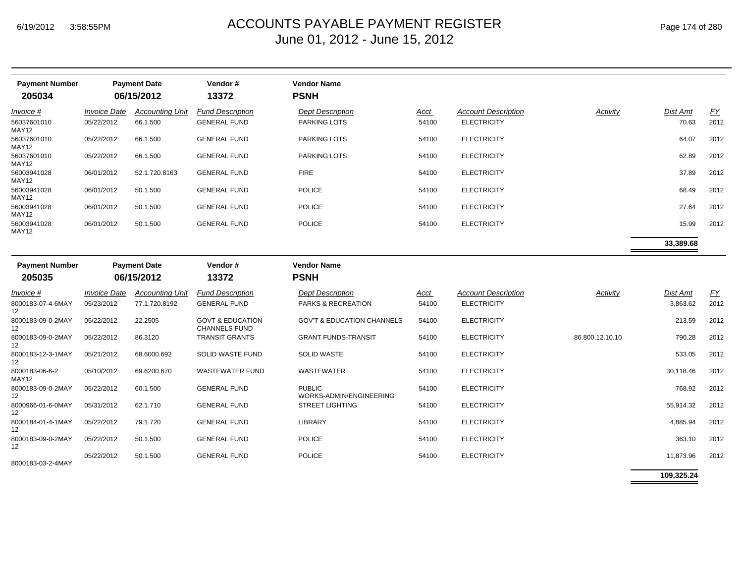| <b>Payment Number</b>                |                            | <b>Payment Date</b>    | Vendor#                                             | <b>Vendor Name</b>                       |       |                            |                 |                 |           |
|--------------------------------------|----------------------------|------------------------|-----------------------------------------------------|------------------------------------------|-------|----------------------------|-----------------|-----------------|-----------|
| 205034                               |                            | 06/15/2012             | 13372                                               | <b>PSNH</b>                              |       |                            |                 |                 |           |
| Invoice #                            | <i><b>Invoice Date</b></i> | <b>Accounting Unit</b> | <b>Fund Description</b>                             | <b>Dept Description</b>                  | Acct  | <b>Account Description</b> | Activity        | <b>Dist Amt</b> | EY        |
| 56037601010<br>MAY12                 | 05/22/2012                 | 66.1.500               | <b>GENERAL FUND</b>                                 | PARKING LOTS                             | 54100 | <b>ELECTRICITY</b>         |                 | 70.63           | 2012      |
| 56037601010<br>MAY12                 | 05/22/2012                 | 66.1.500               | <b>GENERAL FUND</b>                                 | <b>PARKING LOTS</b>                      | 54100 | <b>ELECTRICITY</b>         |                 | 64.07           | 2012      |
| 56037601010<br>MAY12                 | 05/22/2012                 | 66.1.500               | <b>GENERAL FUND</b>                                 | PARKING LOTS                             | 54100 | <b>ELECTRICITY</b>         |                 | 62.89           | 2012      |
| 56003941028<br>MAY12                 | 06/01/2012                 | 52.1.720.8163          | <b>GENERAL FUND</b>                                 | <b>FIRE</b>                              | 54100 | <b>ELECTRICITY</b>         |                 | 37.89           | 2012      |
| 56003941028<br>MAY12                 | 06/01/2012                 | 50.1.500               | <b>GENERAL FUND</b>                                 | <b>POLICE</b>                            | 54100 | <b>ELECTRICITY</b>         |                 | 68.49           | 2012      |
| 56003941028<br>MAY12                 | 06/01/2012                 | 50.1.500               | <b>GENERAL FUND</b>                                 | <b>POLICE</b>                            | 54100 | <b>ELECTRICITY</b>         |                 | 27.64           | 2012      |
| 56003941028<br>MAY12                 | 06/01/2012                 | 50.1.500               | <b>GENERAL FUND</b>                                 | <b>POLICE</b>                            | 54100 | <b>ELECTRICITY</b>         |                 | 15.99           | 2012      |
|                                      |                            |                        |                                                     |                                          |       |                            |                 | 33,389.68       |           |
| <b>Payment Number</b>                | <b>Payment Date</b>        |                        | Vendor#                                             | <b>Vendor Name</b>                       |       |                            |                 |                 |           |
| 205035                               |                            | 06/15/2012             | 13372                                               | <b>PSNH</b>                              |       |                            |                 |                 |           |
| $Invoice$ #                          | <b>Invoice Date</b>        | <b>Accounting Unit</b> | <b>Fund Description</b>                             | <b>Dept Description</b>                  | Acct  | <b>Account Description</b> | Activity        | <b>Dist Amt</b> | <u>FY</u> |
| 8000183-07-4-6MAY<br>12              | 05/23/2012                 | 77.1.720.8192          | <b>GENERAL FUND</b>                                 | PARKS & RECREATION                       | 54100 | <b>ELECTRICITY</b>         |                 | 3,863.62        | 2012      |
| 8000183-09-0-2MAY<br>12              | 05/22/2012                 | 22.2505                | <b>GOVT &amp; EDUCATION</b><br><b>CHANNELS FUND</b> | <b>GOV'T &amp; EDUCATION CHANNELS</b>    | 54100 | <b>ELECTRICITY</b>         |                 | 213.59          | 2012      |
| 8000183-09-0-2MAY<br>12 <sup>2</sup> | 05/22/2012                 | 86.3120                | <b>TRANSIT GRANTS</b>                               | <b>GRANT FUNDS-TRANSIT</b>               | 54100 | <b>ELECTRICITY</b>         | 86.800.12.10.10 | 790.28          | 2012      |
| 8000183-12-3-1MAY<br>12              | 05/21/2012                 | 68.6000.692            | SOLID WASTE FUND                                    | <b>SOLID WASTE</b>                       | 54100 | <b>ELECTRICITY</b>         |                 | 533.05          | 2012      |
| 8000183-06-6-2<br>MAY12              | 05/10/2012                 | 69.6200.670            | <b>WASTEWATER FUND</b>                              | <b>WASTEWATER</b>                        | 54100 | <b>ELECTRICITY</b>         |                 | 30,118.46       | 2012      |
| 8000183-09-0-2MAY<br>12              | 05/22/2012                 | 60.1.500               | <b>GENERAL FUND</b>                                 | <b>PUBLIC</b><br>WORKS-ADMIN/ENGINEERING | 54100 | <b>ELECTRICITY</b>         |                 | 768.92          | 2012      |
| 8000966-01-6-0MAY<br>12              | 05/31/2012                 | 62.1.710               | <b>GENERAL FUND</b>                                 | <b>STREET LIGHTING</b>                   | 54100 | <b>ELECTRICITY</b>         |                 | 55,914.32       | 2012      |
| 8000184-01-4-1MAY<br>12              | 05/22/2012                 | 79.1.720               | <b>GENERAL FUND</b>                                 | <b>LIBRARY</b>                           | 54100 | <b>ELECTRICITY</b>         |                 | 4,885.94        | 2012      |
| 8000183-09-0-2MAY<br>12 <sup>2</sup> | 05/22/2012                 | 50.1.500               | <b>GENERAL FUND</b>                                 | <b>POLICE</b>                            | 54100 | <b>ELECTRICITY</b>         |                 | 363.10          | 2012      |
| 8000183-03-2-4MAY                    | 05/22/2012                 | 50.1.500               | <b>GENERAL FUND</b>                                 | <b>POLICE</b>                            | 54100 | <b>ELECTRICITY</b>         |                 | 11,873.96       | 2012      |

**109,325.24**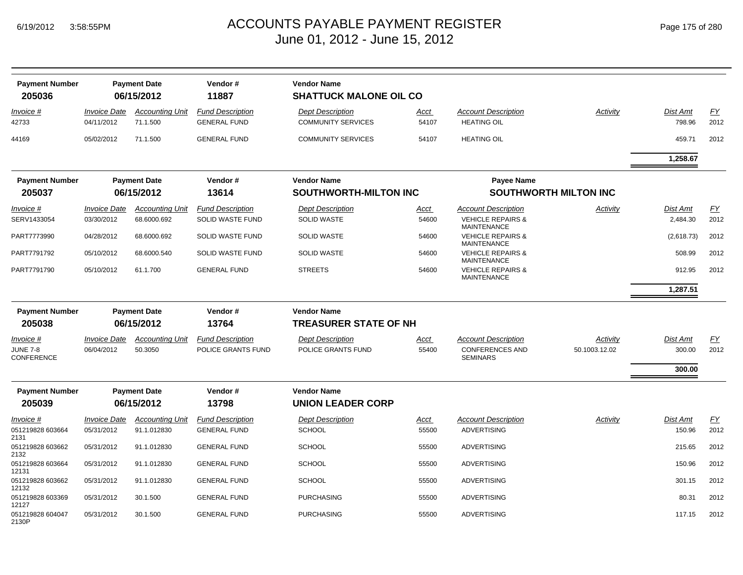| <b>Payment Number</b><br>205036      | <b>Payment Date</b><br>06/15/2012 |                                    | Vendor#<br>11887                               | <b>Vendor Name</b><br><b>SHATTUCK MALONE OIL CO</b>  |               |                                                    |                              |                           |            |  |
|--------------------------------------|-----------------------------------|------------------------------------|------------------------------------------------|------------------------------------------------------|---------------|----------------------------------------------------|------------------------------|---------------------------|------------|--|
| Invoice #<br>42733                   | <b>Invoice Date</b><br>04/11/2012 | <b>Accounting Unit</b><br>71.1.500 | <b>Fund Description</b><br><b>GENERAL FUND</b> | <b>Dept Description</b><br><b>COMMUNITY SERVICES</b> | Acct<br>54107 | <b>Account Description</b><br><b>HEATING OIL</b>   | Activity                     | <b>Dist Amt</b><br>798.96 | EY<br>2012 |  |
| 44169                                | 05/02/2012                        | 71.1.500                           | <b>GENERAL FUND</b>                            | <b>COMMUNITY SERVICES</b>                            | 54107         | <b>HEATING OIL</b>                                 |                              | 459.71                    | 2012       |  |
|                                      |                                   |                                    |                                                |                                                      |               |                                                    |                              | 1,258.67                  |            |  |
| <b>Payment Number</b>                |                                   | <b>Payment Date</b>                | Vendor#                                        | <b>Vendor Name</b>                                   |               | <b>Payee Name</b>                                  |                              |                           |            |  |
| 205037                               |                                   | 06/15/2012                         | 13614                                          | <b>SOUTHWORTH-MILTON INC</b>                         |               |                                                    | <b>SOUTHWORTH MILTON INC</b> |                           |            |  |
| <u>Invoice #</u>                     | <b>Invoice Date</b>               | <b>Accounting Unit</b>             | <b>Fund Description</b>                        | <b>Dept Description</b>                              | <u>Acct</u>   | <b>Account Description</b>                         | Activity                     | <b>Dist Amt</b>           | EY         |  |
| SERV1433054                          | 03/30/2012                        | 68.6000.692                        | SOLID WASTE FUND                               | <b>SOLID WASTE</b>                                   | 54600         | <b>VEHICLE REPAIRS &amp;</b><br><b>MAINTENANCE</b> |                              | 2,484.30                  | 2012       |  |
| PART7773990                          | 04/28/2012                        | 68.6000.692                        | SOLID WASTE FUND                               | <b>SOLID WASTE</b>                                   | 54600         | <b>VEHICLE REPAIRS &amp;</b><br><b>MAINTENANCE</b> |                              | (2,618.73)                | 2012       |  |
| PART7791792                          | 05/10/2012                        | 68.6000.540                        | SOLID WASTE FUND                               | <b>SOLID WASTE</b>                                   | 54600         | <b>VEHICLE REPAIRS &amp;</b><br><b>MAINTENANCE</b> |                              | 508.99                    | 2012       |  |
| PART7791790                          | 05/10/2012                        | 61.1.700                           | <b>GENERAL FUND</b>                            | <b>STREETS</b>                                       | 54600         | <b>VEHICLE REPAIRS &amp;</b><br><b>MAINTENANCE</b> |                              | 912.95                    | 2012       |  |
|                                      |                                   |                                    |                                                |                                                      |               |                                                    |                              | 1,287.51                  |            |  |
| <b>Payment Number</b>                |                                   | <b>Payment Date</b>                | Vendor#                                        | <b>Vendor Name</b>                                   |               |                                                    |                              |                           |            |  |
| 205038                               |                                   | 06/15/2012                         | 13764                                          | <b>TREASURER STATE OF NH</b>                         |               |                                                    |                              |                           |            |  |
| Invoice #                            | <b>Invoice Date</b>               | <b>Accounting Unit</b>             | <b>Fund Description</b>                        | <b>Dept Description</b>                              | Acct          | <b>Account Description</b>                         | Activity                     | <b>Dist Amt</b>           | EY         |  |
| <b>JUNE 7-8</b><br><b>CONFERENCE</b> | 06/04/2012                        | 50.3050                            | POLICE GRANTS FUND                             | POLICE GRANTS FUND                                   | 55400         | <b>CONFERENCES AND</b><br><b>SEMINARS</b>          | 50.1003.12.02                | 300.00                    | 2012       |  |
|                                      |                                   |                                    |                                                |                                                      |               |                                                    |                              | 300.00                    |            |  |
| <b>Payment Number</b>                |                                   | <b>Payment Date</b>                | Vendor#                                        | <b>Vendor Name</b>                                   |               |                                                    |                              |                           |            |  |
| 205039                               |                                   | 06/15/2012                         | 13798                                          | <b>UNION LEADER CORP</b>                             |               |                                                    |                              |                           |            |  |
| Invoice #                            | <b>Invoice Date</b>               | <b>Accounting Unit</b>             | <b>Fund Description</b>                        | <b>Dept Description</b>                              | Acct          | <b>Account Description</b>                         | Activity                     | <b>Dist Amt</b>           | <u>FY</u>  |  |
| 051219828 603664<br>2131             | 05/31/2012                        | 91.1.012830                        | <b>GENERAL FUND</b>                            | <b>SCHOOL</b>                                        | 55500         | <b>ADVERTISING</b>                                 |                              | 150.96                    | 2012       |  |
| 051219828 603662<br>2132             | 05/31/2012                        | 91.1.012830                        | <b>GENERAL FUND</b>                            | <b>SCHOOL</b>                                        | 55500         | <b>ADVERTISING</b>                                 |                              | 215.65                    | 2012       |  |
| 051219828 603664<br>12131            | 05/31/2012                        | 91.1.012830                        | <b>GENERAL FUND</b>                            | <b>SCHOOL</b>                                        | 55500         | <b>ADVERTISING</b>                                 |                              | 150.96                    | 2012       |  |
| 051219828 603662<br>12132            | 05/31/2012                        | 91.1.012830                        | <b>GENERAL FUND</b>                            | <b>SCHOOL</b>                                        | 55500         | <b>ADVERTISING</b>                                 |                              | 301.15                    | 2012       |  |
| 051219828 603369<br>12127            | 05/31/2012                        | 30.1.500                           | <b>GENERAL FUND</b>                            | <b>PURCHASING</b>                                    | 55500         | <b>ADVERTISING</b>                                 |                              | 80.31                     | 2012       |  |
| 051219828 604047<br>2130P            | 05/31/2012                        | 30.1.500                           | <b>GENERAL FUND</b>                            | <b>PURCHASING</b>                                    | 55500         | <b>ADVERTISING</b>                                 |                              | 117.15                    | 2012       |  |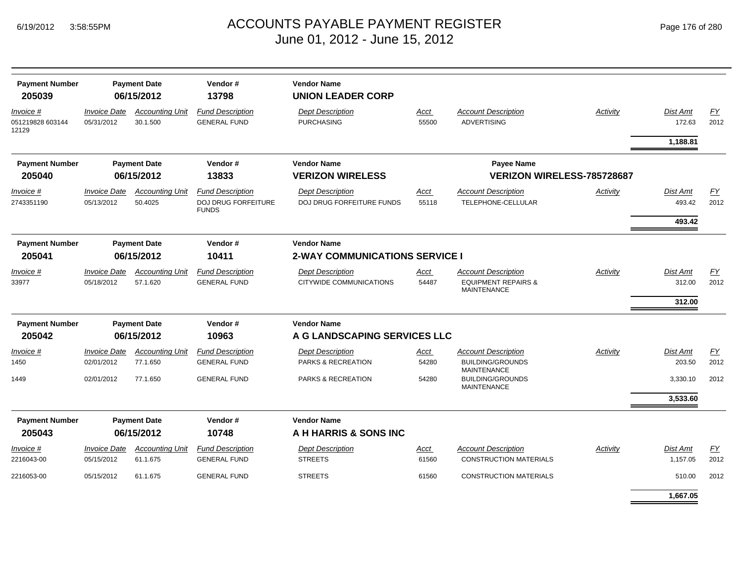| <b>Payment Number</b><br>205039        | <b>Payment Date</b><br>06/15/2012 |                                    | Vendor#<br>13798                               | <b>Vendor Name</b><br><b>UNION LEADER CORP</b> |               |                                                             |          |                           |            |
|----------------------------------------|-----------------------------------|------------------------------------|------------------------------------------------|------------------------------------------------|---------------|-------------------------------------------------------------|----------|---------------------------|------------|
| Invoice #<br>051219828 603144<br>12129 | <b>Invoice Date</b><br>05/31/2012 | <b>Accounting Unit</b><br>30.1.500 | <b>Fund Description</b><br><b>GENERAL FUND</b> | <b>Dept Description</b><br><b>PURCHASING</b>   | Acct<br>55500 | <b>Account Description</b><br><b>ADVERTISING</b>            | Activity | <b>Dist Amt</b><br>172.63 | EY<br>2012 |
|                                        |                                   |                                    |                                                |                                                |               |                                                             |          | 1,188.81                  |            |
| <b>Payment Number</b>                  |                                   | <b>Payment Date</b>                | Vendor#                                        | <b>Vendor Name</b>                             |               | <b>Payee Name</b>                                           |          |                           |            |
| 205040                                 |                                   | 06/15/2012                         | 13833                                          | <b>VERIZON WIRELESS</b>                        |               | VERIZON WIRELESS-785728687                                  |          |                           |            |
| Invoice #                              | <b>Invoice Date</b>               | <b>Accounting Unit</b>             | <b>Fund Description</b>                        | <b>Dept Description</b>                        | Acct          | <b>Account Description</b>                                  | Activity | <b>Dist Amt</b>           | EY         |
| 2743351190                             | 05/13/2012                        | 50.4025                            | DOJ DRUG FORFEITURE<br><b>FUNDS</b>            | DOJ DRUG FORFEITURE FUNDS                      | 55118         | TELEPHONE-CELLULAR                                          |          | 493.42                    | 2012       |
|                                        |                                   |                                    |                                                |                                                |               |                                                             |          | 493.42                    |            |
| <b>Payment Number</b>                  |                                   | <b>Payment Date</b>                | Vendor#                                        | <b>Vendor Name</b>                             |               |                                                             |          |                           |            |
| 205041                                 | 06/15/2012<br>10411               |                                    |                                                | <b>2-WAY COMMUNICATIONS SERVICE I</b>          |               |                                                             |          |                           |            |
| Invoice #                              | <b>Invoice Date</b>               | <b>Accounting Unit</b>             | <b>Fund Description</b>                        | <b>Dept Description</b>                        | Acct          | <b>Account Description</b>                                  | Activity | Dist Amt                  | EY         |
| 33977                                  | 05/18/2012                        | 57.1.620                           | <b>GENERAL FUND</b>                            | CITYWIDE COMMUNICATIONS                        | 54487         | <b>EQUIPMENT REPAIRS &amp;</b><br><b>MAINTENANCE</b>        |          | 312.00                    | 2012       |
|                                        |                                   |                                    |                                                |                                                |               |                                                             |          | 312.00                    |            |
| <b>Payment Number</b>                  | <b>Payment Date</b><br>Vendor#    |                                    | <b>Vendor Name</b>                             |                                                |               |                                                             |          |                           |            |
| 205042                                 |                                   | 06/15/2012                         | 10963                                          | A G LANDSCAPING SERVICES LLC                   |               |                                                             |          |                           |            |
| Invoice #                              | <i><b>Invoice Date</b></i>        | <b>Accounting Unit</b>             | <b>Fund Description</b>                        | <b>Dept Description</b>                        | Acct          | <b>Account Description</b>                                  | Activity | <b>Dist Amt</b>           | EY         |
| 1450                                   | 02/01/2012                        | 77.1.650                           | <b>GENERAL FUND</b>                            | PARKS & RECREATION                             | 54280         | <b>BUILDING/GROUNDS</b><br><b>MAINTENANCE</b>               |          | 203.50                    | 2012       |
| 1449                                   | 02/01/2012                        | 77.1.650                           | <b>GENERAL FUND</b>                            | PARKS & RECREATION                             | 54280         | <b>BUILDING/GROUNDS</b><br><b>MAINTENANCE</b>               |          | 3,330.10                  | 2012       |
|                                        |                                   |                                    |                                                |                                                |               |                                                             |          | 3,533.60                  |            |
| <b>Payment Number</b>                  | <b>Payment Date</b><br>Vendor#    |                                    |                                                | <b>Vendor Name</b>                             |               |                                                             |          |                           |            |
| 205043                                 |                                   | 06/15/2012                         | 10748                                          | A H HARRIS & SONS INC                          |               |                                                             |          |                           |            |
| Invoice #<br>2216043-00                | <b>Invoice Date</b><br>05/15/2012 | <b>Accounting Unit</b><br>61.1.675 | <b>Fund Description</b><br><b>GENERAL FUND</b> | <b>Dept Description</b><br><b>STREETS</b>      | Acct<br>61560 | <b>Account Description</b><br><b>CONSTRUCTION MATERIALS</b> | Activity | Dist Amt<br>1,157.05      | EY<br>2012 |
| 2216053-00                             | 05/15/2012                        | 61.1.675                           | <b>GENERAL FUND</b>                            | <b>STREETS</b>                                 | 61560         | <b>CONSTRUCTION MATERIALS</b>                               |          | 510.00                    | 2012       |
|                                        |                                   |                                    |                                                |                                                |               |                                                             |          | 1.667.05                  |            |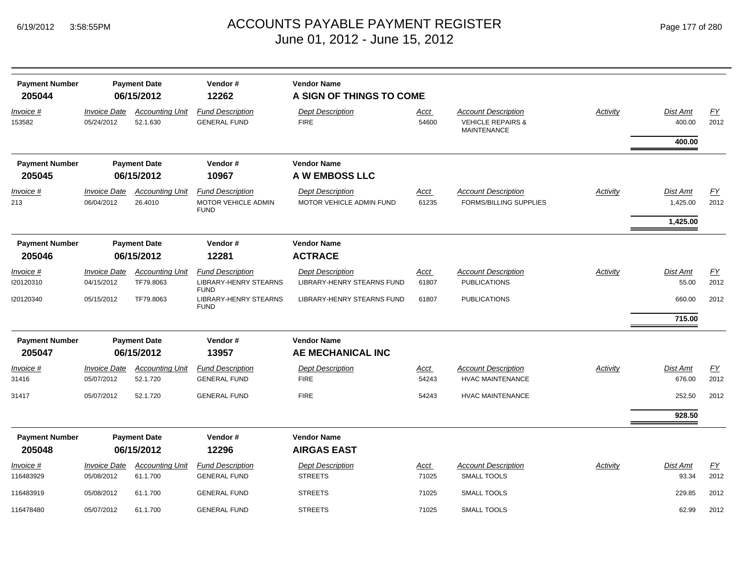| <b>Payment Number</b><br>205044 | <b>Payment Date</b><br>06/15/2012        |                                     | Vendor#<br>12262                                              | <b>Vendor Name</b><br>A SIGN OF THINGS TO COME        |               |                                                                                  |          |                                  |                   |  |  |
|---------------------------------|------------------------------------------|-------------------------------------|---------------------------------------------------------------|-------------------------------------------------------|---------------|----------------------------------------------------------------------------------|----------|----------------------------------|-------------------|--|--|
| Invoice #<br>153582             | Invoice Date<br>05/24/2012               | <b>Accounting Unit</b><br>52.1.630  | <b>Fund Description</b><br><b>GENERAL FUND</b>                | <b>Dept Description</b><br><b>FIRE</b>                | Acct<br>54600 | <b>Account Description</b><br><b>VEHICLE REPAIRS &amp;</b><br><b>MAINTENANCE</b> | Activity | Dist Amt<br>400.00               | <u>FY</u><br>2012 |  |  |
|                                 |                                          |                                     |                                                               |                                                       |               |                                                                                  |          | 400.00                           |                   |  |  |
| <b>Payment Number</b><br>205045 |                                          | <b>Payment Date</b><br>06/15/2012   | Vendor#<br>10967                                              | <b>Vendor Name</b><br>A W EMBOSS LLC                  |               |                                                                                  |          |                                  |                   |  |  |
| Invoice #<br>213                | <b>Invoice Date</b><br>06/04/2012        | <b>Accounting Unit</b><br>26.4010   | <b>Fund Description</b><br>MOTOR VEHICLE ADMIN<br><b>FUND</b> | <b>Dept Description</b><br>MOTOR VEHICLE ADMIN FUND   | Acct<br>61235 | <b>Account Description</b><br><b>FORMS/BILLING SUPPLIES</b>                      | Activity | Dist Amt<br>1,425.00<br>1,425.00 | <b>FY</b><br>2012 |  |  |
| <b>Payment Number</b>           |                                          | <b>Payment Date</b>                 | Vendor#                                                       | <b>Vendor Name</b>                                    |               |                                                                                  |          |                                  |                   |  |  |
| 205046                          |                                          | 06/15/2012                          | 12281                                                         | <b>ACTRACE</b>                                        |               |                                                                                  |          |                                  |                   |  |  |
| Invoice #<br>120120310          | <b>Invoice Date</b><br>04/15/2012        | <b>Accounting Unit</b><br>TF79.8063 | <b>Fund Description</b><br><b>LIBRARY-HENRY STEARNS</b>       | <b>Dept Description</b><br>LIBRARY-HENRY STEARNS FUND | Acct<br>61807 | <b>Account Description</b><br><b>PUBLICATIONS</b>                                | Activity | Dist Amt<br>55.00                | EY<br>2012        |  |  |
| 120120340                       | 05/15/2012                               | TF79.8063                           | <b>FUND</b><br><b>LIBRARY-HENRY STEARNS</b><br><b>FUND</b>    | LIBRARY-HENRY STEARNS FUND                            | 61807         | <b>PUBLICATIONS</b>                                                              |          | 660.00                           | 2012              |  |  |
|                                 |                                          |                                     |                                                               |                                                       |               |                                                                                  |          | 715.00                           |                   |  |  |
| <b>Payment Number</b>           | <b>Payment Date</b>                      |                                     | Vendor#                                                       | <b>Vendor Name</b>                                    |               |                                                                                  |          |                                  |                   |  |  |
| 205047                          |                                          | 06/15/2012                          | 13957                                                         | AE MECHANICAL INC                                     |               |                                                                                  |          |                                  |                   |  |  |
| Invoice #<br>31416              | <b>Invoice Date</b><br>05/07/2012        | <b>Accounting Unit</b><br>52.1.720  | <b>Fund Description</b><br><b>GENERAL FUND</b>                | <b>Dept Description</b><br><b>FIRE</b>                | Acct<br>54243 | <b>Account Description</b><br><b>HVAC MAINTENANCE</b>                            | Activity | Dist Amt<br>676.00               | EY<br>2012        |  |  |
| 31417                           | 05/07/2012                               | 52.1.720                            | <b>GENERAL FUND</b>                                           | <b>FIRE</b>                                           | 54243         | <b>HVAC MAINTENANCE</b>                                                          |          | 252.50                           | 2012              |  |  |
|                                 |                                          |                                     |                                                               |                                                       |               |                                                                                  |          | 928.50                           |                   |  |  |
| <b>Payment Number</b><br>205048 | <b>Payment Date</b><br>06/15/2012        |                                     | Vendor#<br>12296                                              | <b>Vendor Name</b><br><b>AIRGAS EAST</b>              |               |                                                                                  |          |                                  |                   |  |  |
| Invoice #<br>116483929          | <i><b>Invoice Date</b></i><br>05/08/2012 | <b>Accounting Unit</b><br>61.1.700  | <b>Fund Description</b><br><b>GENERAL FUND</b>                | <b>Dept Description</b><br><b>STREETS</b>             | Acct<br>71025 | <b>Account Description</b><br><b>SMALL TOOLS</b>                                 | Activity | Dist Amt<br>93.34                | <u>FY</u><br>2012 |  |  |
| 116483919                       | 05/08/2012                               | 61.1.700                            | <b>GENERAL FUND</b>                                           | <b>STREETS</b>                                        | 71025         | <b>SMALL TOOLS</b>                                                               |          | 229.85                           | 2012              |  |  |
| 116478480                       | 05/07/2012                               | 61.1.700                            | <b>GENERAL FUND</b>                                           | <b>STREETS</b>                                        | 71025         | <b>SMALL TOOLS</b>                                                               |          | 62.99                            | 2012              |  |  |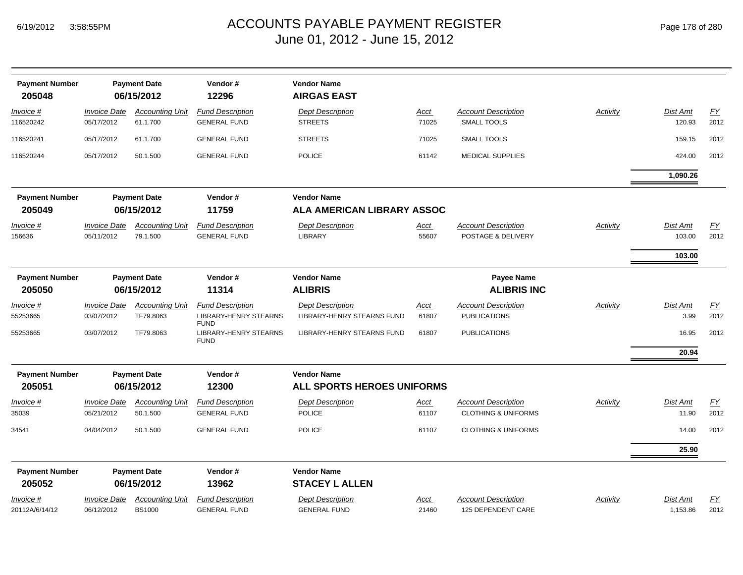| <b>Payment Number</b><br>205048 |                                                      | <b>Payment Date</b><br>06/15/2012       | Vendor#<br>12296                                                       | <b>Vendor Name</b><br><b>AIRGAS EAST</b>                |                      |                                                              |                 |                      |                   |
|---------------------------------|------------------------------------------------------|-----------------------------------------|------------------------------------------------------------------------|---------------------------------------------------------|----------------------|--------------------------------------------------------------|-----------------|----------------------|-------------------|
| Invoice #<br>116520242          | <b>Invoice Date</b><br>05/17/2012                    | <b>Accounting Unit</b><br>61.1.700      | <b>Fund Description</b><br><b>GENERAL FUND</b>                         | <b>Dept Description</b><br><b>STREETS</b>               | <u>Acct</u><br>71025 | <b>Account Description</b><br><b>SMALL TOOLS</b>             | <b>Activity</b> | Dist Amt<br>120.93   | EY<br>2012        |
| 116520241                       | 05/17/2012                                           | 61.1.700                                | <b>GENERAL FUND</b>                                                    | <b>STREETS</b>                                          | 71025                | SMALL TOOLS                                                  |                 | 159.15               | 2012              |
| 116520244                       | 05/17/2012                                           | 50.1.500                                | <b>GENERAL FUND</b>                                                    | <b>POLICE</b>                                           | 61142                | <b>MEDICAL SUPPLIES</b>                                      |                 | 424.00               | 2012              |
|                                 |                                                      |                                         |                                                                        |                                                         |                      |                                                              |                 | 1,090.26             |                   |
| <b>Payment Number</b>           | <b>Payment Date</b><br>Vendor#<br><b>Vendor Name</b> |                                         |                                                                        |                                                         |                      |                                                              |                 |                      |                   |
| 205049                          |                                                      | 06/15/2012                              | 11759                                                                  | <b>ALA AMERICAN LIBRARY ASSOC</b>                       |                      |                                                              |                 |                      |                   |
| Invoice #<br>156636             | <b>Invoice Date</b><br>05/11/2012                    | <b>Accounting Unit</b><br>79.1.500      | <b>Fund Description</b><br><b>GENERAL FUND</b>                         | <b>Dept Description</b><br>LIBRARY                      | <u>Acct</u><br>55607 | <b>Account Description</b><br>POSTAGE & DELIVERY             | Activity        | Dist Amt<br>103.00   | EY<br>2012        |
|                                 |                                                      |                                         |                                                                        |                                                         |                      |                                                              |                 | 103.00               |                   |
| <b>Payment Number</b><br>205050 | <b>Payment Date</b><br>06/15/2012                    |                                         | Vendor#<br>11314                                                       | <b>Vendor Name</b><br><b>ALIBRIS</b>                    |                      | Payee Name<br><b>ALIBRIS INC</b>                             |                 |                      |                   |
| Invoice #<br>55253665           | <b>Invoice Date</b><br>03/07/2012                    | <b>Accounting Unit</b><br>TF79.8063     | <b>Fund Description</b><br><b>LIBRARY-HENRY STEARNS</b><br><b>FUND</b> | <b>Dept Description</b><br>LIBRARY-HENRY STEARNS FUND   | Acct<br>61807        | <b>Account Description</b><br><b>PUBLICATIONS</b>            | Activity        | Dist Amt<br>3.99     | <u>FY</u><br>2012 |
| 55253665                        | 03/07/2012                                           | TF79.8063                               | <b>LIBRARY-HENRY STEARNS</b><br><b>FUND</b>                            | LIBRARY-HENRY STEARNS FUND                              | 61807                | <b>PUBLICATIONS</b>                                          |                 | 16.95                | 2012              |
|                                 |                                                      |                                         |                                                                        |                                                         |                      |                                                              |                 | 20.94                |                   |
| <b>Payment Number</b><br>205051 | <b>Payment Date</b><br>06/15/2012                    |                                         | Vendor#<br>12300                                                       | <b>Vendor Name</b><br><b>ALL SPORTS HEROES UNIFORMS</b> |                      |                                                              |                 |                      |                   |
| <u>Invoice #</u><br>35039       | <b>Invoice Date</b><br>05/21/2012                    | <b>Accounting Unit</b><br>50.1.500      | <b>Fund Description</b><br><b>GENERAL FUND</b>                         | <b>Dept Description</b><br><b>POLICE</b>                | <u>Acct</u><br>61107 | <b>Account Description</b><br><b>CLOTHING &amp; UNIFORMS</b> | Activity        | Dist Amt<br>11.90    | EY<br>2012        |
| 34541                           | 04/04/2012                                           | 50.1.500                                | <b>GENERAL FUND</b>                                                    | <b>POLICE</b>                                           | 61107                | <b>CLOTHING &amp; UNIFORMS</b>                               |                 | 14.00                | 2012              |
|                                 |                                                      |                                         |                                                                        |                                                         |                      |                                                              |                 | 25.90                |                   |
| <b>Payment Number</b>           |                                                      | <b>Payment Date</b>                     | Vendor#                                                                | <b>Vendor Name</b>                                      |                      |                                                              |                 |                      |                   |
| 205052                          |                                                      | 06/15/2012                              | 13962                                                                  | <b>STACEY L ALLEN</b>                                   |                      |                                                              |                 |                      |                   |
| Invoice #<br>20112A/6/14/12     | <b>Invoice Date</b><br>06/12/2012                    | <b>Accounting Unit</b><br><b>BS1000</b> | <b>Fund Description</b><br><b>GENERAL FUND</b>                         | <b>Dept Description</b><br><b>GENERAL FUND</b>          | <u>Acct</u><br>21460 | <b>Account Description</b><br>125 DEPENDENT CARE             | Activity        | Dist Amt<br>1,153.86 | EY<br>2012        |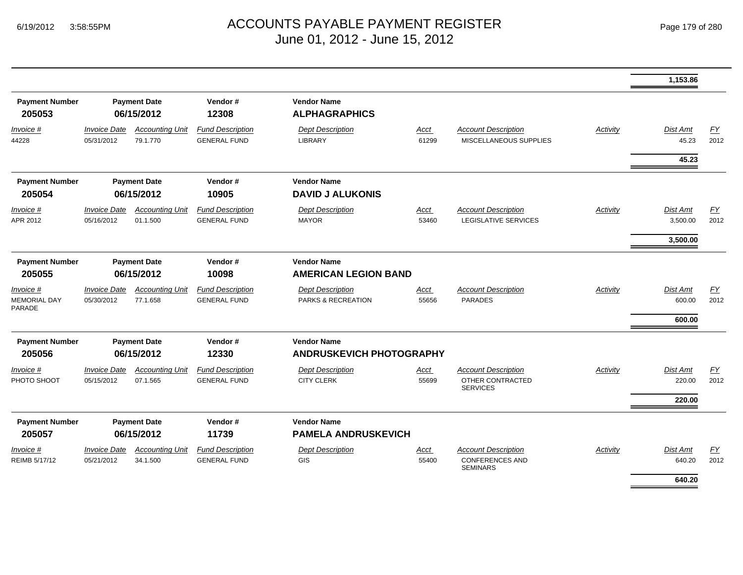|                                                            |                                    |                                                                        |                                                  |                      |                                                                         |                 | 1,153.86                            |            |
|------------------------------------------------------------|------------------------------------|------------------------------------------------------------------------|--------------------------------------------------|----------------------|-------------------------------------------------------------------------|-----------------|-------------------------------------|------------|
| <b>Payment Number</b><br><b>Payment Date</b><br>06/15/2012 |                                    | Vendor#<br>12308                                                       | <b>Vendor Name</b><br><b>ALPHAGRAPHICS</b>       |                      |                                                                         |                 |                                     |            |
| <b>Invoice Date</b><br>05/31/2012                          | <b>Accounting Unit</b><br>79.1.770 | <b>Fund Description</b><br><b>GENERAL FUND</b>                         | <b>Dept Description</b><br>LIBRARY               | <b>Acct</b><br>61299 | <b>Account Description</b><br>MISCELLANEOUS SUPPLIES                    | Activity        | Dist Amt<br>45.23                   | EY<br>2012 |
|                                                            |                                    |                                                                        |                                                  |                      |                                                                         |                 | 45.23                               |            |
| <b>Payment Number</b>                                      |                                    | Vendor#<br>10905                                                       | <b>Vendor Name</b><br><b>DAVID J ALUKONIS</b>    |                      |                                                                         |                 |                                     |            |
| <b>Invoice Date</b><br>05/16/2012                          | <b>Accounting Unit</b><br>01.1.500 | <b>Fund Description</b><br><b>GENERAL FUND</b>                         | <b>Dept Description</b><br><b>MAYOR</b>          | Acct<br>53460        | <b>Account Description</b><br><b>LEGISLATIVE SERVICES</b>               | Activity        | Dist Amt<br>3,500.00                | EY<br>2012 |
|                                                            |                                    |                                                                        |                                                  |                      |                                                                         |                 | 3,500.00                            |            |
| <b>Payment Number</b><br><b>Payment Date</b><br>06/15/2012 |                                    | Vendor#<br>10098                                                       | <b>Vendor Name</b>                               |                      |                                                                         |                 |                                     |            |
| <b>Invoice Date</b><br>05/30/2012                          | <b>Accounting Unit</b><br>77.1.658 | <b>Fund Description</b><br><b>GENERAL FUND</b>                         | <b>Dept Description</b><br>PARKS & RECREATION    | Acct<br>55656        | <b>Account Description</b><br><b>PARADES</b>                            | Activity        | <b>Dist Amt</b><br>600.00<br>600.00 | EY<br>2012 |
| <b>Payment Number</b><br><b>Payment Date</b><br>06/15/2012 |                                    | Vendor#<br>12330                                                       | <b>Vendor Name</b>                               |                      |                                                                         |                 |                                     |            |
| <b>Invoice Date</b><br>05/15/2012                          | <b>Accounting Unit</b><br>07.1.565 | <b>Fund Description</b><br><b>GENERAL FUND</b>                         | <b>Dept Description</b><br><b>CITY CLERK</b>     | <u>Acct</u><br>55699 | <b>Account Description</b><br>OTHER CONTRACTED<br><b>SERVICES</b>       | <b>Activity</b> | Dist Amt<br>220.00                  | EY<br>2012 |
|                                                            |                                    | Vendor#<br>11739                                                       | <b>Vendor Name</b><br><b>PAMELA ANDRUSKEVICH</b> |                      |                                                                         |                 |                                     |            |
| <b>Invoice Date</b><br>05/21/2012                          | <b>Accounting Unit</b><br>34.1.500 | <b>Fund Description</b><br><b>GENERAL FUND</b>                         | <b>Dept Description</b><br>GIS                   | Acct<br>55400        | <b>Account Description</b><br><b>CONFERENCES AND</b><br><b>SEMINARS</b> | Activity        | Dist Amt<br>640.20<br>640.20        | FY<br>2012 |
|                                                            |                                    | <b>Payment Date</b><br>06/15/2012<br><b>Payment Date</b><br>06/15/2012 |                                                  |                      | <b>AMERICAN LEGION BAND</b><br><b>ANDRUSKEVICH PHOTOGRAPHY</b>          |                 |                                     | 220.00     |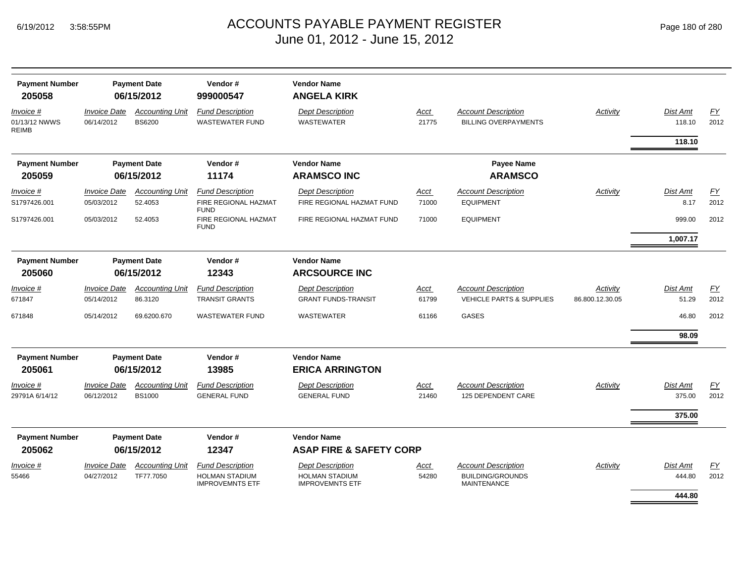|  | Page 180 of 280 |  |  |  |
|--|-----------------|--|--|--|
|--|-----------------|--|--|--|

| <b>Payment Number</b><br>205058            | <b>Payment Date</b><br>06/15/2012        |                                         | Vendor#<br>999000547                              | <b>Vendor Name</b><br><b>ANGELA KIRK</b>         |               |                                                           |                 |                           |            |
|--------------------------------------------|------------------------------------------|-----------------------------------------|---------------------------------------------------|--------------------------------------------------|---------------|-----------------------------------------------------------|-----------------|---------------------------|------------|
| Invoice #<br>01/13/12 NWWS<br><b>REIMB</b> | <b>Invoice Date</b><br>06/14/2012        | <b>Accounting Unit</b><br><b>BS6200</b> | <b>Fund Description</b><br><b>WASTEWATER FUND</b> | <b>Dept Description</b><br><b>WASTEWATER</b>     | Acct<br>21775 | <b>Account Description</b><br><b>BILLING OVERPAYMENTS</b> | Activity        | <b>Dist Amt</b><br>118.10 | EY<br>2012 |
|                                            |                                          |                                         |                                                   |                                                  |               |                                                           |                 | 118.10                    |            |
| <b>Payment Number</b>                      |                                          | <b>Payment Date</b>                     | Vendor#                                           | <b>Vendor Name</b>                               |               | Payee Name                                                |                 |                           |            |
| 205059                                     |                                          | 06/15/2012                              | 11174                                             | <b>ARAMSCO INC</b>                               |               | <b>ARAMSCO</b>                                            |                 |                           |            |
| Invoice #                                  | <b>Invoice Date</b>                      | <b>Accounting Unit</b>                  | <b>Fund Description</b>                           | <b>Dept Description</b>                          | Acct          | <b>Account Description</b>                                | Activity        | <b>Dist Amt</b>           | <u>FY</u>  |
| S1797426.001                               | 05/03/2012                               | 52.4053                                 | FIRE REGIONAL HAZMAT<br><b>FUND</b>               | FIRE REGIONAL HAZMAT FUND                        | 71000         | <b>EQUIPMENT</b>                                          |                 | 8.17                      | 2012       |
| S1797426.001                               | 05/03/2012                               | 52.4053                                 | FIRE REGIONAL HAZMAT<br><b>FUND</b>               | FIRE REGIONAL HAZMAT FUND                        | 71000         | <b>EQUIPMENT</b>                                          |                 | 999.00                    | 2012       |
|                                            |                                          |                                         |                                                   |                                                  |               |                                                           |                 | 1,007.17                  |            |
| <b>Payment Number</b>                      |                                          | <b>Payment Date</b>                     | Vendor#                                           | <b>Vendor Name</b>                               |               |                                                           |                 |                           |            |
| 205060                                     | 06/15/2012                               |                                         | 12343                                             | <b>ARCSOURCE INC</b>                             |               |                                                           |                 |                           |            |
| Invoice #                                  | <b>Invoice Date</b>                      | <b>Accounting Unit</b>                  | <b>Fund Description</b>                           | <b>Dept Description</b>                          | Acct          | <b>Account Description</b>                                | Activity        | Dist Amt                  | EY         |
| 671847                                     | 05/14/2012                               | 86.3120                                 | <b>TRANSIT GRANTS</b>                             | <b>GRANT FUNDS-TRANSIT</b>                       | 61799         | <b>VEHICLE PARTS &amp; SUPPLIES</b>                       | 86.800.12.30.05 | 51.29                     | 2012       |
| 671848                                     | 05/14/2012                               | 69.6200.670                             | <b>WASTEWATER FUND</b>                            | <b>WASTEWATER</b>                                | 61166         | <b>GASES</b>                                              |                 | 46.80                     | 2012       |
|                                            |                                          |                                         |                                                   |                                                  |               |                                                           |                 | 98.09                     |            |
| <b>Payment Number</b><br>205061            | <b>Payment Date</b><br>06/15/2012        |                                         | Vendor#<br>13985                                  | <b>Vendor Name</b><br><b>ERICA ARRINGTON</b>     |               |                                                           |                 |                           |            |
| Invoice #<br>29791A 6/14/12                | <b>Invoice Date</b><br>06/12/2012        | <b>Accounting Unit</b><br><b>BS1000</b> | <b>Fund Description</b><br><b>GENERAL FUND</b>    | <b>Dept Description</b><br><b>GENERAL FUND</b>   | Acct<br>21460 | <b>Account Description</b><br>125 DEPENDENT CARE          | Activity        | <b>Dist Amt</b><br>375.00 | EY<br>2012 |
|                                            |                                          |                                         |                                                   |                                                  |               |                                                           |                 |                           |            |
|                                            |                                          |                                         |                                                   |                                                  |               |                                                           |                 | 375.00                    |            |
| <b>Payment Number</b>                      |                                          | <b>Payment Date</b>                     | Vendor#                                           | <b>Vendor Name</b>                               |               |                                                           |                 |                           |            |
| 205062                                     |                                          | 06/15/2012                              | 12347                                             | <b>ASAP FIRE &amp; SAFETY CORP</b>               |               |                                                           |                 |                           |            |
| Invoice #<br>55466                         | <i><b>Invoice Date</b></i><br>04/27/2012 | <b>Accounting Unit</b><br>TF77.7050     | <b>Fund Description</b><br><b>HOLMAN STADIUM</b>  | <b>Dept Description</b><br><b>HOLMAN STADIUM</b> | Acct<br>54280 | <b>Account Description</b><br><b>BUILDING/GROUNDS</b>     | Activity        | Dist Amt<br>444.80        | EY<br>2012 |
|                                            |                                          |                                         | <b>IMPROVEMNTS ETF</b>                            | <b>IMPROVEMNTS ETF</b>                           |               | <b>MAINTENANCE</b>                                        |                 |                           |            |
|                                            |                                          |                                         |                                                   |                                                  |               |                                                           |                 | 444.80                    |            |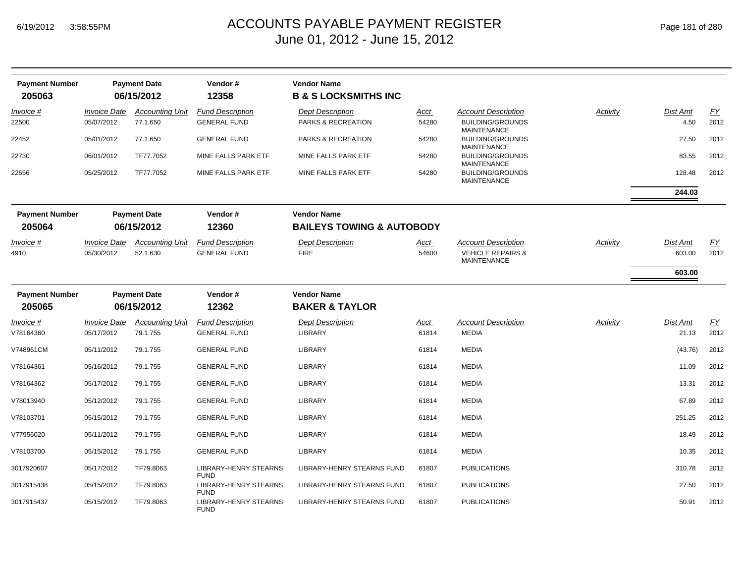| <b>Payment Number</b> |                     | <b>Payment Date</b>    | Vendor#                                     | <b>Vendor Name</b>                   |             |                                                    |          |          |      |
|-----------------------|---------------------|------------------------|---------------------------------------------|--------------------------------------|-------------|----------------------------------------------------|----------|----------|------|
| 205063                |                     | 06/15/2012             | 12358                                       | <b>B &amp; S LOCKSMITHS INC</b>      |             |                                                    |          |          |      |
| Invoice #             | <b>Invoice Date</b> | <b>Accounting Unit</b> | <b>Fund Description</b>                     | <b>Dept Description</b>              | <u>Acct</u> | <b>Account Description</b>                         | Activity | Dist Amt | EY   |
| 22500                 | 05/07/2012          | 77.1.650               | <b>GENERAL FUND</b>                         | PARKS & RECREATION                   | 54280       | <b>BUILDING/GROUNDS</b><br><b>MAINTENANCE</b>      |          | 4.50     | 2012 |
| 22452                 | 05/01/2012          | 77.1.650               | <b>GENERAL FUND</b>                         | PARKS & RECREATION                   | 54280       | <b>BUILDING/GROUNDS</b><br>MAINTENANCE             |          | 27.50    | 2012 |
| 22730                 | 06/01/2012          | TF77.7052              | MINE FALLS PARK ETF                         | MINE FALLS PARK ETF                  | 54280       | <b>BUILDING/GROUNDS</b><br><b>MAINTENANCE</b>      |          | 83.55    | 2012 |
| 22656                 | 05/25/2012          | TF77.7052              | MINE FALLS PARK ETF                         | MINE FALLS PARK ETF                  | 54280       | <b>BUILDING/GROUNDS</b><br><b>MAINTENANCE</b>      |          | 128.48   | 2012 |
|                       |                     |                        |                                             |                                      |             |                                                    |          | 244.03   |      |
| <b>Payment Number</b> |                     | <b>Payment Date</b>    | Vendor#                                     | <b>Vendor Name</b>                   |             |                                                    |          |          |      |
| 205064                |                     | 06/15/2012             | 12360                                       | <b>BAILEYS TOWING &amp; AUTOBODY</b> |             |                                                    |          |          |      |
| Invoice #             | <b>Invoice Date</b> | <b>Accounting Unit</b> | <b>Fund Description</b>                     | <b>Dept Description</b>              | <u>Acct</u> | <b>Account Description</b>                         | Activity | Dist Amt | EY   |
| 4910                  | 05/30/2012          | 52.1.630               | <b>GENERAL FUND</b>                         | <b>FIRE</b>                          | 54600       | <b>VEHICLE REPAIRS &amp;</b><br><b>MAINTENANCE</b> |          | 603.00   | 2012 |
|                       |                     |                        |                                             |                                      |             |                                                    |          | 603.00   |      |
| <b>Payment Number</b> |                     | <b>Payment Date</b>    | Vendor#                                     | <b>Vendor Name</b>                   |             |                                                    |          |          |      |
| 205065                |                     | 06/15/2012             | 12362                                       | <b>BAKER &amp; TAYLOR</b>            |             |                                                    |          |          |      |
| Invoice #             | <b>Invoice Date</b> | <b>Accounting Unit</b> | <b>Fund Description</b>                     | <b>Dept Description</b>              | <u>Acct</u> | <b>Account Description</b>                         | Activity | Dist Amt | EY   |
| V78164360             | 05/17/2012          | 79.1.755               | <b>GENERAL FUND</b>                         | <b>LIBRARY</b>                       | 61814       | <b>MEDIA</b>                                       |          | 21.13    | 2012 |
| V748961CM             | 05/11/2012          | 79.1.755               | <b>GENERAL FUND</b>                         | <b>LIBRARY</b>                       | 61814       | <b>MEDIA</b>                                       |          | (43.76)  | 2012 |
| V78164361             | 05/16/2012          | 79.1.755               | <b>GENERAL FUND</b>                         | <b>LIBRARY</b>                       | 61814       | <b>MEDIA</b>                                       |          | 11.09    | 2012 |
| V78164362             | 05/17/2012          | 79.1.755               | <b>GENERAL FUND</b>                         | <b>LIBRARY</b>                       | 61814       | <b>MEDIA</b>                                       |          | 13.31    | 2012 |
| V78013940             | 05/12/2012          | 79.1.755               | <b>GENERAL FUND</b>                         | <b>LIBRARY</b>                       | 61814       | <b>MEDIA</b>                                       |          | 67.89    | 2012 |
| V78103701             | 05/15/2012          | 79.1.755               | <b>GENERAL FUND</b>                         | <b>LIBRARY</b>                       | 61814       | <b>MEDIA</b>                                       |          | 251.25   | 2012 |
| V77956020             | 05/11/2012          | 79.1.755               | <b>GENERAL FUND</b>                         | <b>LIBRARY</b>                       | 61814       | <b>MEDIA</b>                                       |          | 18.49    | 2012 |
| V78103700             | 05/15/2012          | 79.1.755               | <b>GENERAL FUND</b>                         | <b>LIBRARY</b>                       | 61814       | <b>MEDIA</b>                                       |          | 10.35    | 2012 |
| 3017920607            | 05/17/2012          | TF79.8063              | LIBRARY-HENRY STEARNS<br><b>FUND</b>        | LIBRARY-HENRY STEARNS FUND           | 61807       | <b>PUBLICATIONS</b>                                |          | 310.78   | 2012 |
| 3017915438            | 05/15/2012          | TF79.8063              | <b>LIBRARY-HENRY STEARNS</b><br><b>FUND</b> | LIBRARY-HENRY STEARNS FUND           | 61807       | <b>PUBLICATIONS</b>                                |          | 27.50    | 2012 |
| 3017915437            | 05/15/2012          | TF79.8063              | LIBRARY-HENRY STEARNS<br><b>FUND</b>        | LIBRARY-HENRY STEARNS FUND           | 61807       | <b>PUBLICATIONS</b>                                |          | 50.91    | 2012 |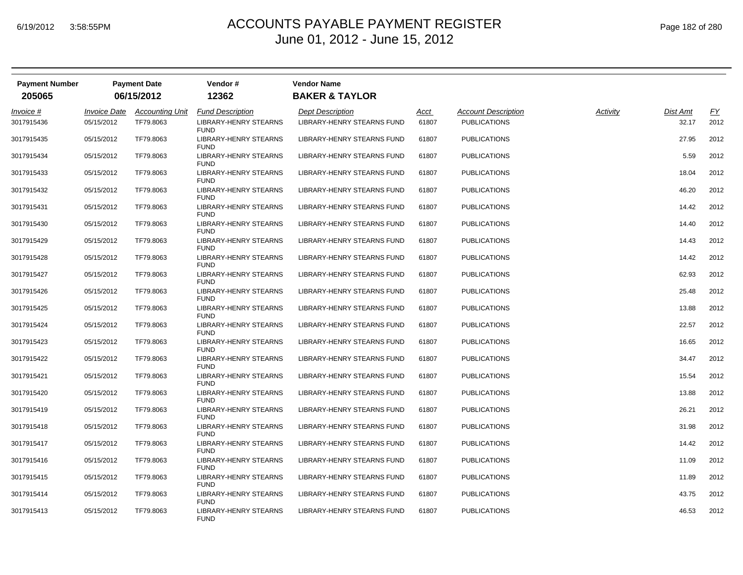| <b>Payment Number</b> |                     | <b>Payment Date</b>    | Vendor#                                     | <b>Vendor Name</b>                |       |                            |          |          |      |
|-----------------------|---------------------|------------------------|---------------------------------------------|-----------------------------------|-------|----------------------------|----------|----------|------|
| 205065                |                     | 06/15/2012             | 12362                                       | <b>BAKER &amp; TAYLOR</b>         |       |                            |          |          |      |
| Invoice #             | <b>Invoice Date</b> | <b>Accounting Unit</b> | <b>Fund Description</b>                     | <b>Dept Description</b>           | Acct  | <b>Account Description</b> | Activity | Dist Amt | EY   |
| 3017915436            | 05/15/2012          | TF79.8063              | <b>LIBRARY-HENRY STEARNS</b><br><b>FUND</b> | <b>LIBRARY-HENRY STEARNS FUND</b> | 61807 | <b>PUBLICATIONS</b>        |          | 32.17    | 2012 |
| 3017915435            | 05/15/2012          | TF79.8063              | LIBRARY-HENRY STEARNS<br><b>FUND</b>        | LIBRARY-HENRY STEARNS FUND        | 61807 | <b>PUBLICATIONS</b>        |          | 27.95    | 2012 |
| 3017915434            | 05/15/2012          | TF79.8063              | <b>LIBRARY-HENRY STEARNS</b><br><b>FUND</b> | LIBRARY-HENRY STEARNS FUND        | 61807 | <b>PUBLICATIONS</b>        |          | 5.59     | 2012 |
| 3017915433            | 05/15/2012          | TF79.8063              | LIBRARY-HENRY STEARNS<br><b>FUND</b>        | LIBRARY-HENRY STEARNS FUND        | 61807 | <b>PUBLICATIONS</b>        |          | 18.04    | 2012 |
| 3017915432            | 05/15/2012          | TF79.8063              | LIBRARY-HENRY STEARNS<br><b>FUND</b>        | LIBRARY-HENRY STEARNS FUND        | 61807 | <b>PUBLICATIONS</b>        |          | 46.20    | 2012 |
| 3017915431            | 05/15/2012          | TF79.8063              | LIBRARY-HENRY STEARNS<br><b>FUND</b>        | LIBRARY-HENRY STEARNS FUND        | 61807 | <b>PUBLICATIONS</b>        |          | 14.42    | 2012 |
| 3017915430            | 05/15/2012          | TF79.8063              | LIBRARY-HENRY STEARNS<br><b>FUND</b>        | LIBRARY-HENRY STEARNS FUND        | 61807 | <b>PUBLICATIONS</b>        |          | 14.40    | 2012 |
| 3017915429            | 05/15/2012          | TF79.8063              | <b>LIBRARY-HENRY STEARNS</b><br><b>FUND</b> | LIBRARY-HENRY STEARNS FUND        | 61807 | <b>PUBLICATIONS</b>        |          | 14.43    | 2012 |
| 3017915428            | 05/15/2012          | TF79.8063              | LIBRARY-HENRY STEARNS<br><b>FUND</b>        | LIBRARY-HENRY STEARNS FUND        | 61807 | <b>PUBLICATIONS</b>        |          | 14.42    | 2012 |
| 3017915427            | 05/15/2012          | TF79.8063              | LIBRARY-HENRY STEARNS<br><b>FUND</b>        | LIBRARY-HENRY STEARNS FUND        | 61807 | <b>PUBLICATIONS</b>        |          | 62.93    | 2012 |
| 3017915426            | 05/15/2012          | TF79.8063              | LIBRARY-HENRY STEARNS<br><b>FUND</b>        | LIBRARY-HENRY STEARNS FUND        | 61807 | <b>PUBLICATIONS</b>        |          | 25.48    | 2012 |
| 3017915425            | 05/15/2012          | TF79.8063              | <b>LIBRARY-HENRY STEARNS</b><br><b>FUND</b> | LIBRARY-HENRY STEARNS FUND        | 61807 | <b>PUBLICATIONS</b>        |          | 13.88    | 2012 |
| 3017915424            | 05/15/2012          | TF79.8063              | LIBRARY-HENRY STEARNS<br><b>FUND</b>        | LIBRARY-HENRY STEARNS FUND        | 61807 | <b>PUBLICATIONS</b>        |          | 22.57    | 2012 |
| 3017915423            | 05/15/2012          | TF79.8063              | LIBRARY-HENRY STEARNS<br><b>FUND</b>        | LIBRARY-HENRY STEARNS FUND        | 61807 | <b>PUBLICATIONS</b>        |          | 16.65    | 2012 |
| 3017915422            | 05/15/2012          | TF79.8063              | LIBRARY-HENRY STEARNS<br><b>FUND</b>        | LIBRARY-HENRY STEARNS FUND        | 61807 | <b>PUBLICATIONS</b>        |          | 34.47    | 2012 |
| 3017915421            | 05/15/2012          | TF79.8063              | LIBRARY-HENRY STEARNS<br><b>FUND</b>        | LIBRARY-HENRY STEARNS FUND        | 61807 | <b>PUBLICATIONS</b>        |          | 15.54    | 2012 |
| 3017915420            | 05/15/2012          | TF79.8063              | <b>LIBRARY-HENRY STEARNS</b><br><b>FUND</b> | LIBRARY-HENRY STEARNS FUND        | 61807 | <b>PUBLICATIONS</b>        |          | 13.88    | 2012 |
| 3017915419            | 05/15/2012          | TF79.8063              | LIBRARY-HENRY STEARNS<br><b>FUND</b>        | LIBRARY-HENRY STEARNS FUND        | 61807 | <b>PUBLICATIONS</b>        |          | 26.21    | 2012 |
| 3017915418            | 05/15/2012          | TF79.8063              | LIBRARY-HENRY STEARNS<br><b>FUND</b>        | LIBRARY-HENRY STEARNS FUND        | 61807 | <b>PUBLICATIONS</b>        |          | 31.98    | 2012 |
| 3017915417            | 05/15/2012          | TF79.8063              | LIBRARY-HENRY STEARNS<br><b>FUND</b>        | LIBRARY-HENRY STEARNS FUND        | 61807 | <b>PUBLICATIONS</b>        |          | 14.42    | 2012 |
| 3017915416            | 05/15/2012          | TF79.8063              | LIBRARY-HENRY STEARNS<br><b>FUND</b>        | LIBRARY-HENRY STEARNS FUND        | 61807 | <b>PUBLICATIONS</b>        |          | 11.09    | 2012 |
| 3017915415            | 05/15/2012          | TF79.8063              | LIBRARY-HENRY STEARNS<br><b>FUND</b>        | LIBRARY-HENRY STEARNS FUND        | 61807 | <b>PUBLICATIONS</b>        |          | 11.89    | 2012 |
| 3017915414            | 05/15/2012          | TF79.8063              | LIBRARY-HENRY STEARNS<br><b>FUND</b>        | LIBRARY-HENRY STEARNS FUND        | 61807 | <b>PUBLICATIONS</b>        |          | 43.75    | 2012 |
| 3017915413            | 05/15/2012          | TF79.8063              | <b>LIBRARY-HENRY STEARNS</b><br><b>FUND</b> | LIBRARY-HENRY STEARNS FUND        | 61807 | <b>PUBLICATIONS</b>        |          | 46.53    | 2012 |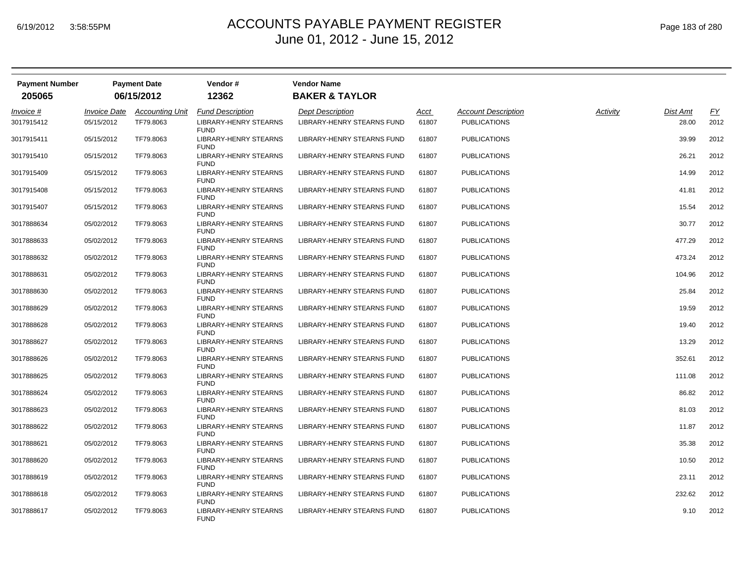| <b>Payment Number</b> |                     | <b>Payment Date</b>    | Vendor#                                     | <b>Vendor Name</b>                |       |                            |          |          |                  |
|-----------------------|---------------------|------------------------|---------------------------------------------|-----------------------------------|-------|----------------------------|----------|----------|------------------|
| 205065                |                     | 06/15/2012             | 12362                                       | <b>BAKER &amp; TAYLOR</b>         |       |                            |          |          |                  |
| Invoice #             | <b>Invoice Date</b> | <b>Accounting Unit</b> | <b>Fund Description</b>                     | <b>Dept Description</b>           | Acct  | <b>Account Description</b> | Activity | Dist Amt | $\underline{FY}$ |
| 3017915412            | 05/15/2012          | TF79.8063              | <b>LIBRARY-HENRY STEARNS</b><br><b>FUND</b> | <b>LIBRARY-HENRY STEARNS FUND</b> | 61807 | <b>PUBLICATIONS</b>        |          | 28.00    | 2012             |
| 3017915411            | 05/15/2012          | TF79.8063              | LIBRARY-HENRY STEARNS<br><b>FUND</b>        | LIBRARY-HENRY STEARNS FUND        | 61807 | <b>PUBLICATIONS</b>        |          | 39.99    | 2012             |
| 3017915410            | 05/15/2012          | TF79.8063              | <b>LIBRARY-HENRY STEARNS</b><br><b>FUND</b> | LIBRARY-HENRY STEARNS FUND        | 61807 | <b>PUBLICATIONS</b>        |          | 26.21    | 2012             |
| 3017915409            | 05/15/2012          | TF79.8063              | LIBRARY-HENRY STEARNS<br><b>FUND</b>        | LIBRARY-HENRY STEARNS FUND        | 61807 | <b>PUBLICATIONS</b>        |          | 14.99    | 2012             |
| 3017915408            | 05/15/2012          | TF79.8063              | LIBRARY-HENRY STEARNS<br><b>FUND</b>        | LIBRARY-HENRY STEARNS FUND        | 61807 | <b>PUBLICATIONS</b>        |          | 41.81    | 2012             |
| 3017915407            | 05/15/2012          | TF79.8063              | LIBRARY-HENRY STEARNS<br><b>FUND</b>        | LIBRARY-HENRY STEARNS FUND        | 61807 | <b>PUBLICATIONS</b>        |          | 15.54    | 2012             |
| 3017888634            | 05/02/2012          | TF79.8063              | LIBRARY-HENRY STEARNS<br><b>FUND</b>        | LIBRARY-HENRY STEARNS FUND        | 61807 | <b>PUBLICATIONS</b>        |          | 30.77    | 2012             |
| 3017888633            | 05/02/2012          | TF79.8063              | <b>LIBRARY-HENRY STEARNS</b><br><b>FUND</b> | LIBRARY-HENRY STEARNS FUND        | 61807 | <b>PUBLICATIONS</b>        |          | 477.29   | 2012             |
| 3017888632            | 05/02/2012          | TF79.8063              | LIBRARY-HENRY STEARNS<br><b>FUND</b>        | LIBRARY-HENRY STEARNS FUND        | 61807 | <b>PUBLICATIONS</b>        |          | 473.24   | 2012             |
| 3017888631            | 05/02/2012          | TF79.8063              | LIBRARY-HENRY STEARNS<br><b>FUND</b>        | LIBRARY-HENRY STEARNS FUND        | 61807 | <b>PUBLICATIONS</b>        |          | 104.96   | 2012             |
| 3017888630            | 05/02/2012          | TF79.8063              | LIBRARY-HENRY STEARNS<br><b>FUND</b>        | LIBRARY-HENRY STEARNS FUND        | 61807 | <b>PUBLICATIONS</b>        |          | 25.84    | 2012             |
| 3017888629            | 05/02/2012          | TF79.8063              | <b>LIBRARY-HENRY STEARNS</b><br><b>FUND</b> | LIBRARY-HENRY STEARNS FUND        | 61807 | <b>PUBLICATIONS</b>        |          | 19.59    | 2012             |
| 3017888628            | 05/02/2012          | TF79.8063              | LIBRARY-HENRY STEARNS<br><b>FUND</b>        | LIBRARY-HENRY STEARNS FUND        | 61807 | <b>PUBLICATIONS</b>        |          | 19.40    | 2012             |
| 3017888627            | 05/02/2012          | TF79.8063              | LIBRARY-HENRY STEARNS<br><b>FUND</b>        | LIBRARY-HENRY STEARNS FUND        | 61807 | <b>PUBLICATIONS</b>        |          | 13.29    | 2012             |
| 3017888626            | 05/02/2012          | TF79.8063              | LIBRARY-HENRY STEARNS<br><b>FUND</b>        | LIBRARY-HENRY STEARNS FUND        | 61807 | <b>PUBLICATIONS</b>        |          | 352.61   | 2012             |
| 3017888625            | 05/02/2012          | TF79.8063              | LIBRARY-HENRY STEARNS<br><b>FUND</b>        | LIBRARY-HENRY STEARNS FUND        | 61807 | <b>PUBLICATIONS</b>        |          | 111.08   | 2012             |
| 3017888624            | 05/02/2012          | TF79.8063              | <b>LIBRARY-HENRY STEARNS</b><br><b>FUND</b> | LIBRARY-HENRY STEARNS FUND        | 61807 | <b>PUBLICATIONS</b>        |          | 86.82    | 2012             |
| 3017888623            | 05/02/2012          | TF79.8063              | LIBRARY-HENRY STEARNS<br><b>FUND</b>        | LIBRARY-HENRY STEARNS FUND        | 61807 | <b>PUBLICATIONS</b>        |          | 81.03    | 2012             |
| 3017888622            | 05/02/2012          | TF79.8063              | LIBRARY-HENRY STEARNS<br><b>FUND</b>        | LIBRARY-HENRY STEARNS FUND        | 61807 | <b>PUBLICATIONS</b>        |          | 11.87    | 2012             |
| 3017888621            | 05/02/2012          | TF79.8063              | LIBRARY-HENRY STEARNS<br><b>FUND</b>        | LIBRARY-HENRY STEARNS FUND        | 61807 | <b>PUBLICATIONS</b>        |          | 35.38    | 2012             |
| 3017888620            | 05/02/2012          | TF79.8063              | LIBRARY-HENRY STEARNS<br><b>FUND</b>        | LIBRARY-HENRY STEARNS FUND        | 61807 | <b>PUBLICATIONS</b>        |          | 10.50    | 2012             |
| 3017888619            | 05/02/2012          | TF79.8063              | LIBRARY-HENRY STEARNS<br><b>FUND</b>        | LIBRARY-HENRY STEARNS FUND        | 61807 | <b>PUBLICATIONS</b>        |          | 23.11    | 2012             |
| 3017888618            | 05/02/2012          | TF79.8063              | LIBRARY-HENRY STEARNS<br><b>FUND</b>        | LIBRARY-HENRY STEARNS FUND        | 61807 | <b>PUBLICATIONS</b>        |          | 232.62   | 2012             |
| 3017888617            | 05/02/2012          | TF79.8063              | <b>LIBRARY-HENRY STEARNS</b><br><b>FUND</b> | LIBRARY-HENRY STEARNS FUND        | 61807 | <b>PUBLICATIONS</b>        |          | 9.10     | 2012             |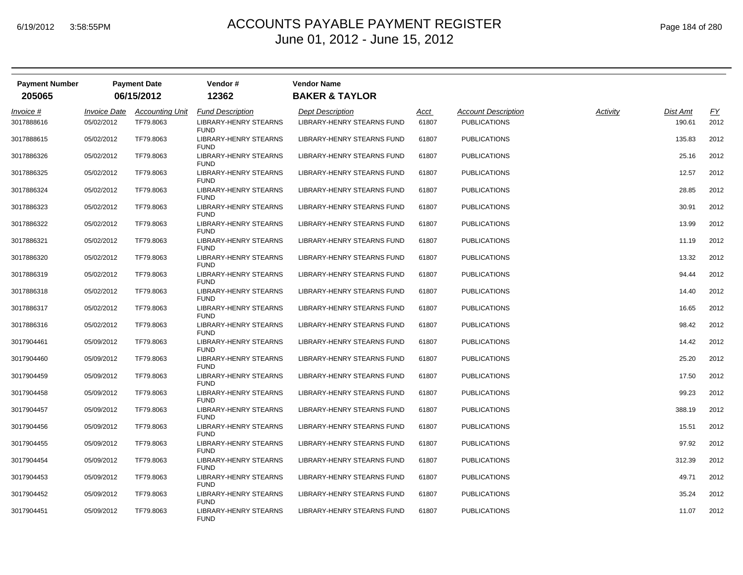| <b>Payment Number</b><br>205065 |                     | <b>Payment Date</b><br>06/15/2012 | Vendor#<br>12362                            | <b>Vendor Name</b><br><b>BAKER &amp; TAYLOR</b> |               |                            |          |          |                  |
|---------------------------------|---------------------|-----------------------------------|---------------------------------------------|-------------------------------------------------|---------------|----------------------------|----------|----------|------------------|
| Invoice #                       | <b>Invoice Date</b> | <b>Accounting Unit</b>            | <b>Fund Description</b>                     | <b>Dept Description</b>                         |               | <b>Account Description</b> | Activity | Dist Amt | $\underline{FY}$ |
| 3017888616                      | 05/02/2012          | TF79.8063                         | <b>LIBRARY-HENRY STEARNS</b><br><b>FUND</b> | <b>LIBRARY-HENRY STEARNS FUND</b>               | Acct<br>61807 | <b>PUBLICATIONS</b>        |          | 190.61   | 2012             |
| 3017888615                      | 05/02/2012          | TF79.8063                         | <b>LIBRARY-HENRY STEARNS</b><br><b>FUND</b> | LIBRARY-HENRY STEARNS FUND                      | 61807         | <b>PUBLICATIONS</b>        |          | 135.83   | 2012             |
| 3017886326                      | 05/02/2012          | TF79.8063                         | <b>LIBRARY-HENRY STEARNS</b><br><b>FUND</b> | LIBRARY-HENRY STEARNS FUND                      | 61807         | <b>PUBLICATIONS</b>        |          | 25.16    | 2012             |
| 3017886325                      | 05/02/2012          | TF79.8063                         | LIBRARY-HENRY STEARNS<br><b>FUND</b>        | LIBRARY-HENRY STEARNS FUND                      | 61807         | <b>PUBLICATIONS</b>        |          | 12.57    | 2012             |
| 3017886324                      | 05/02/2012          | TF79.8063                         | LIBRARY-HENRY STEARNS<br><b>FUND</b>        | LIBRARY-HENRY STEARNS FUND                      | 61807         | <b>PUBLICATIONS</b>        |          | 28.85    | 2012             |
| 3017886323                      | 05/02/2012          | TF79.8063                         | LIBRARY-HENRY STEARNS<br><b>FUND</b>        | LIBRARY-HENRY STEARNS FUND                      | 61807         | <b>PUBLICATIONS</b>        |          | 30.91    | 2012             |
| 3017886322                      | 05/02/2012          | TF79.8063                         | LIBRARY-HENRY STEARNS<br><b>FUND</b>        | LIBRARY-HENRY STEARNS FUND                      | 61807         | <b>PUBLICATIONS</b>        |          | 13.99    | 2012             |
| 3017886321                      | 05/02/2012          | TF79.8063                         | LIBRARY-HENRY STEARNS<br><b>FUND</b>        | LIBRARY-HENRY STEARNS FUND                      | 61807         | <b>PUBLICATIONS</b>        |          | 11.19    | 2012             |
| 3017886320                      | 05/02/2012          | TF79.8063                         | LIBRARY-HENRY STEARNS<br><b>FUND</b>        | LIBRARY-HENRY STEARNS FUND                      | 61807         | <b>PUBLICATIONS</b>        |          | 13.32    | 2012             |
| 3017886319                      | 05/02/2012          | TF79.8063                         | LIBRARY-HENRY STEARNS<br><b>FUND</b>        | LIBRARY-HENRY STEARNS FUND                      | 61807         | <b>PUBLICATIONS</b>        |          | 94.44    | 2012             |
| 3017886318                      | 05/02/2012          | TF79.8063                         | LIBRARY-HENRY STEARNS<br><b>FUND</b>        | LIBRARY-HENRY STEARNS FUND                      | 61807         | <b>PUBLICATIONS</b>        |          | 14.40    | 2012             |
| 3017886317                      | 05/02/2012          | TF79.8063                         | <b>LIBRARY-HENRY STEARNS</b><br><b>FUND</b> | LIBRARY-HENRY STEARNS FUND                      | 61807         | <b>PUBLICATIONS</b>        |          | 16.65    | 2012             |
| 3017886316                      | 05/02/2012          | TF79.8063                         | <b>LIBRARY-HENRY STEARNS</b><br><b>FUND</b> | LIBRARY-HENRY STEARNS FUND                      | 61807         | <b>PUBLICATIONS</b>        |          | 98.42    | 2012             |
| 3017904461                      | 05/09/2012          | TF79.8063                         | LIBRARY-HENRY STEARNS<br><b>FUND</b>        | LIBRARY-HENRY STEARNS FUND                      | 61807         | <b>PUBLICATIONS</b>        |          | 14.42    | 2012             |
| 3017904460                      | 05/09/2012          | TF79.8063                         | <b>LIBRARY-HENRY STEARNS</b><br><b>FUND</b> | LIBRARY-HENRY STEARNS FUND                      | 61807         | <b>PUBLICATIONS</b>        |          | 25.20    | 2012             |
| 3017904459                      | 05/09/2012          | TF79.8063                         | <b>LIBRARY-HENRY STEARNS</b><br><b>FUND</b> | LIBRARY-HENRY STEARNS FUND                      | 61807         | <b>PUBLICATIONS</b>        |          | 17.50    | 2012             |
| 3017904458                      | 05/09/2012          | TF79.8063                         | <b>LIBRARY-HENRY STEARNS</b><br><b>FUND</b> | LIBRARY-HENRY STEARNS FUND                      | 61807         | <b>PUBLICATIONS</b>        |          | 99.23    | 2012             |
| 3017904457                      | 05/09/2012          | TF79.8063                         | LIBRARY-HENRY STEARNS<br><b>FUND</b>        | LIBRARY-HENRY STEARNS FUND                      | 61807         | PUBLICATIONS               |          | 388.19   | 2012             |
| 3017904456                      | 05/09/2012          | TF79.8063                         | LIBRARY-HENRY STEARNS<br><b>FUND</b>        | LIBRARY-HENRY STEARNS FUND                      | 61807         | <b>PUBLICATIONS</b>        |          | 15.51    | 2012             |
| 3017904455                      | 05/09/2012          | TF79.8063                         | LIBRARY-HENRY STEARNS<br><b>FUND</b>        | LIBRARY-HENRY STEARNS FUND                      | 61807         | <b>PUBLICATIONS</b>        |          | 97.92    | 2012             |
| 3017904454                      | 05/09/2012          | TF79.8063                         | LIBRARY-HENRY STEARNS<br><b>FUND</b>        | LIBRARY-HENRY STEARNS FUND                      | 61807         | <b>PUBLICATIONS</b>        |          | 312.39   | 2012             |
| 3017904453                      | 05/09/2012          | TF79.8063                         | <b>LIBRARY-HENRY STEARNS</b><br><b>FUND</b> | LIBRARY-HENRY STEARNS FUND                      | 61807         | <b>PUBLICATIONS</b>        |          | 49.71    | 2012             |
| 3017904452                      | 05/09/2012          | TF79.8063                         | LIBRARY-HENRY STEARNS<br><b>FUND</b>        | LIBRARY-HENRY STEARNS FUND                      | 61807         | <b>PUBLICATIONS</b>        |          | 35.24    | 2012             |
| 3017904451                      | 05/09/2012          | TF79.8063                         | <b>LIBRARY-HENRY STEARNS</b><br><b>FUND</b> | LIBRARY-HENRY STEARNS FUND                      | 61807         | <b>PUBLICATIONS</b>        |          | 11.07    | 2012             |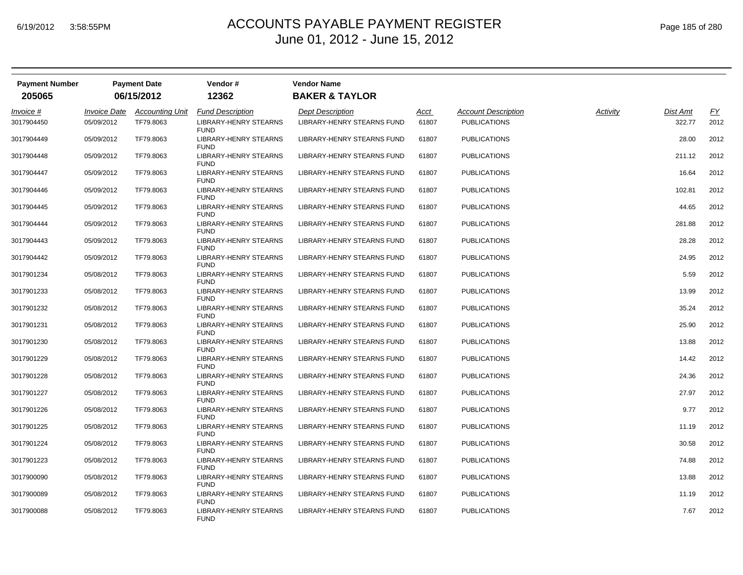| <b>Payment Number</b> |                     | <b>Payment Date</b>    | Vendor#                                     | <b>Vendor Name</b>                |       |                            |          |          |                  |
|-----------------------|---------------------|------------------------|---------------------------------------------|-----------------------------------|-------|----------------------------|----------|----------|------------------|
| 205065                |                     | 06/15/2012             | 12362                                       | <b>BAKER &amp; TAYLOR</b>         |       |                            |          |          |                  |
| Invoice #             | <b>Invoice Date</b> | <b>Accounting Unit</b> | <b>Fund Description</b>                     | <b>Dept Description</b>           | Acct  | <b>Account Description</b> | Activity | Dist Amt | $\underline{FY}$ |
| 3017904450            | 05/09/2012          | TF79.8063              | <b>LIBRARY-HENRY STEARNS</b><br><b>FUND</b> | <b>LIBRARY-HENRY STEARNS FUND</b> | 61807 | <b>PUBLICATIONS</b>        |          | 322.77   | 2012             |
| 3017904449            | 05/09/2012          | TF79.8063              | LIBRARY-HENRY STEARNS<br><b>FUND</b>        | LIBRARY-HENRY STEARNS FUND        | 61807 | <b>PUBLICATIONS</b>        |          | 28.00    | 2012             |
| 3017904448            | 05/09/2012          | TF79.8063              | <b>LIBRARY-HENRY STEARNS</b><br><b>FUND</b> | LIBRARY-HENRY STEARNS FUND        | 61807 | <b>PUBLICATIONS</b>        |          | 211.12   | 2012             |
| 3017904447            | 05/09/2012          | TF79.8063              | LIBRARY-HENRY STEARNS<br><b>FUND</b>        | LIBRARY-HENRY STEARNS FUND        | 61807 | <b>PUBLICATIONS</b>        |          | 16.64    | 2012             |
| 3017904446            | 05/09/2012          | TF79.8063              | LIBRARY-HENRY STEARNS<br><b>FUND</b>        | LIBRARY-HENRY STEARNS FUND        | 61807 | <b>PUBLICATIONS</b>        |          | 102.81   | 2012             |
| 3017904445            | 05/09/2012          | TF79.8063              | LIBRARY-HENRY STEARNS<br><b>FUND</b>        | LIBRARY-HENRY STEARNS FUND        | 61807 | <b>PUBLICATIONS</b>        |          | 44.65    | 2012             |
| 3017904444            | 05/09/2012          | TF79.8063              | LIBRARY-HENRY STEARNS<br><b>FUND</b>        | LIBRARY-HENRY STEARNS FUND        | 61807 | <b>PUBLICATIONS</b>        |          | 281.88   | 2012             |
| 3017904443            | 05/09/2012          | TF79.8063              | <b>LIBRARY-HENRY STEARNS</b><br><b>FUND</b> | LIBRARY-HENRY STEARNS FUND        | 61807 | <b>PUBLICATIONS</b>        |          | 28.28    | 2012             |
| 3017904442            | 05/09/2012          | TF79.8063              | LIBRARY-HENRY STEARNS<br><b>FUND</b>        | LIBRARY-HENRY STEARNS FUND        | 61807 | <b>PUBLICATIONS</b>        |          | 24.95    | 2012             |
| 3017901234            | 05/08/2012          | TF79.8063              | LIBRARY-HENRY STEARNS<br><b>FUND</b>        | LIBRARY-HENRY STEARNS FUND        | 61807 | <b>PUBLICATIONS</b>        |          | 5.59     | 2012             |
| 3017901233            | 05/08/2012          | TF79.8063              | LIBRARY-HENRY STEARNS<br><b>FUND</b>        | LIBRARY-HENRY STEARNS FUND        | 61807 | <b>PUBLICATIONS</b>        |          | 13.99    | 2012             |
| 3017901232            | 05/08/2012          | TF79.8063              | <b>LIBRARY-HENRY STEARNS</b><br><b>FUND</b> | LIBRARY-HENRY STEARNS FUND        | 61807 | <b>PUBLICATIONS</b>        |          | 35.24    | 2012             |
| 3017901231            | 05/08/2012          | TF79.8063              | LIBRARY-HENRY STEARNS<br><b>FUND</b>        | LIBRARY-HENRY STEARNS FUND        | 61807 | <b>PUBLICATIONS</b>        |          | 25.90    | 2012             |
| 3017901230            | 05/08/2012          | TF79.8063              | LIBRARY-HENRY STEARNS<br><b>FUND</b>        | LIBRARY-HENRY STEARNS FUND        | 61807 | <b>PUBLICATIONS</b>        |          | 13.88    | 2012             |
| 3017901229            | 05/08/2012          | TF79.8063              | LIBRARY-HENRY STEARNS<br><b>FUND</b>        | LIBRARY-HENRY STEARNS FUND        | 61807 | <b>PUBLICATIONS</b>        |          | 14.42    | 2012             |
| 3017901228            | 05/08/2012          | TF79.8063              | LIBRARY-HENRY STEARNS<br><b>FUND</b>        | LIBRARY-HENRY STEARNS FUND        | 61807 | <b>PUBLICATIONS</b>        |          | 24.36    | 2012             |
| 3017901227            | 05/08/2012          | TF79.8063              | <b>LIBRARY-HENRY STEARNS</b><br><b>FUND</b> | LIBRARY-HENRY STEARNS FUND        | 61807 | <b>PUBLICATIONS</b>        |          | 27.97    | 2012             |
| 3017901226            | 05/08/2012          | TF79.8063              | LIBRARY-HENRY STEARNS<br><b>FUND</b>        | LIBRARY-HENRY STEARNS FUND        | 61807 | <b>PUBLICATIONS</b>        |          | 9.77     | 2012             |
| 3017901225            | 05/08/2012          | TF79.8063              | LIBRARY-HENRY STEARNS<br><b>FUND</b>        | LIBRARY-HENRY STEARNS FUND        | 61807 | <b>PUBLICATIONS</b>        |          | 11.19    | 2012             |
| 3017901224            | 05/08/2012          | TF79.8063              | LIBRARY-HENRY STEARNS<br><b>FUND</b>        | LIBRARY-HENRY STEARNS FUND        | 61807 | <b>PUBLICATIONS</b>        |          | 30.58    | 2012             |
| 3017901223            | 05/08/2012          | TF79.8063              | LIBRARY-HENRY STEARNS<br><b>FUND</b>        | LIBRARY-HENRY STEARNS FUND        | 61807 | <b>PUBLICATIONS</b>        |          | 74.88    | 2012             |
| 3017900090            | 05/08/2012          | TF79.8063              | LIBRARY-HENRY STEARNS<br><b>FUND</b>        | LIBRARY-HENRY STEARNS FUND        | 61807 | <b>PUBLICATIONS</b>        |          | 13.88    | 2012             |
| 3017900089            | 05/08/2012          | TF79.8063              | LIBRARY-HENRY STEARNS<br><b>FUND</b>        | LIBRARY-HENRY STEARNS FUND        | 61807 | <b>PUBLICATIONS</b>        |          | 11.19    | 2012             |
| 3017900088            | 05/08/2012          | TF79.8063              | <b>LIBRARY-HENRY STEARNS</b><br><b>FUND</b> | LIBRARY-HENRY STEARNS FUND        | 61807 | <b>PUBLICATIONS</b>        |          | 7.67     | 2012             |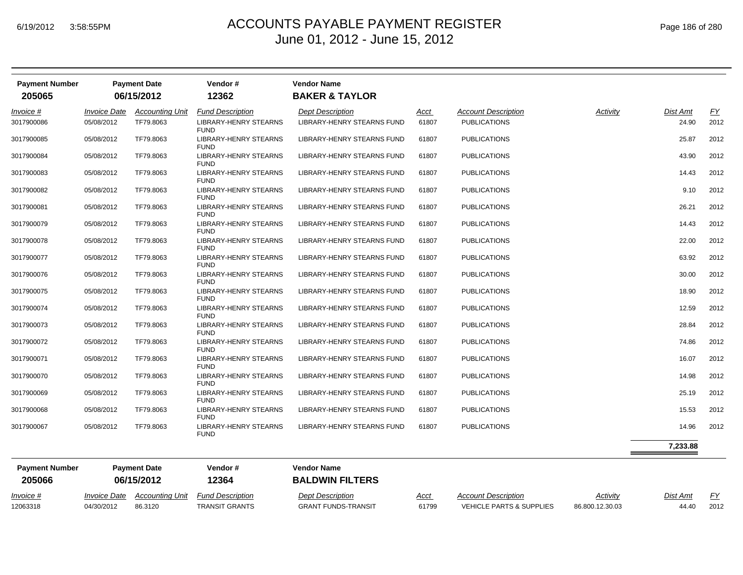12063318 04/30/2012 86.3120

## $_{\mathsf{M}}$   $\blacksquare$   $\blacksquare$   $\blacksquare$   $\blacksquare$   $\blacksquare$   $\blacksquare$   $\blacksquare$   $\blacksquare$   $\blacksquare$   $\blacksquare$   $\blacksquare$   $\blacksquare$   $\blacksquare$   $\blacksquare$   $\blacksquare$   $\blacksquare$   $\blacksquare$   $\blacksquare$   $\blacksquare$   $\blacksquare$   $\blacksquare$   $\blacksquare$   $\blacksquare$   $\blacksquare$   $\blacksquare$   $\blacksquare$   $\blacksquare$   $\blacksquare$   $\blacksquare$   $\blacksquare$  June 01, 2012 - June 15, 2012

| <b>Payment Number</b><br>205065 |                            | <b>Payment Date</b><br>06/15/2012 | Vendor#<br>12362                            | <b>Vendor Name</b><br><b>BAKER &amp; TAYLOR</b> |       |                            |          |          |      |
|---------------------------------|----------------------------|-----------------------------------|---------------------------------------------|-------------------------------------------------|-------|----------------------------|----------|----------|------|
| Invoice #                       | <i><b>Invoice Date</b></i> | <b>Accounting Unit</b>            | <b>Fund Description</b>                     | <b>Dept Description</b>                         | Acct  | <b>Account Description</b> | Activity | Dist Amt | EY   |
| 3017900086                      | 05/08/2012                 | TF79.8063                         | LIBRARY-HENRY STEARNS<br><b>FUND</b>        | LIBRARY-HENRY STEARNS FUND                      | 61807 | <b>PUBLICATIONS</b>        |          | 24.90    | 2012 |
| 3017900085                      | 05/08/2012                 | TF79.8063                         | LIBRARY-HENRY STEARNS<br><b>FUND</b>        | LIBRARY-HENRY STEARNS FUND                      | 61807 | <b>PUBLICATIONS</b>        |          | 25.87    | 2012 |
| 3017900084                      | 05/08/2012                 | TF79.8063                         | <b>LIBRARY-HENRY STEARNS</b><br><b>FUND</b> | LIBRARY-HENRY STEARNS FUND                      | 61807 | <b>PUBLICATIONS</b>        |          | 43.90    | 2012 |
| 3017900083                      | 05/08/2012                 | TF79.8063                         | LIBRARY-HENRY STEARNS<br><b>FUND</b>        | LIBRARY-HENRY STEARNS FUND                      | 61807 | <b>PUBLICATIONS</b>        |          | 14.43    | 2012 |
| 3017900082                      | 05/08/2012                 | TF79.8063                         | LIBRARY-HENRY STEARNS<br><b>FUND</b>        | LIBRARY-HENRY STEARNS FUND                      | 61807 | <b>PUBLICATIONS</b>        |          | 9.10     | 2012 |
| 3017900081                      | 05/08/2012                 | TF79.8063                         | LIBRARY-HENRY STEARNS<br><b>FUND</b>        | LIBRARY-HENRY STEARNS FUND                      | 61807 | <b>PUBLICATIONS</b>        |          | 26.21    | 2012 |
| 3017900079                      | 05/08/2012                 | TF79.8063                         | LIBRARY-HENRY STEARNS<br><b>FUND</b>        | LIBRARY-HENRY STEARNS FUND                      | 61807 | <b>PUBLICATIONS</b>        |          | 14.43    | 2012 |
| 3017900078                      | 05/08/2012                 | TF79.8063                         | LIBRARY-HENRY STEARNS<br><b>FUND</b>        | LIBRARY-HENRY STEARNS FUND                      | 61807 | <b>PUBLICATIONS</b>        |          | 22.00    | 2012 |
| 3017900077                      | 05/08/2012                 | TF79.8063                         | LIBRARY-HENRY STEARNS<br><b>FUND</b>        | LIBRARY-HENRY STEARNS FUND                      | 61807 | <b>PUBLICATIONS</b>        |          | 63.92    | 2012 |
| 3017900076                      | 05/08/2012                 | TF79.8063                         | LIBRARY-HENRY STEARNS<br><b>FUND</b>        | LIBRARY-HENRY STEARNS FUND                      | 61807 | <b>PUBLICATIONS</b>        |          | 30.00    | 2012 |
| 3017900075                      | 05/08/2012                 | TF79.8063                         | LIBRARY-HENRY STEARNS<br><b>FUND</b>        | LIBRARY-HENRY STEARNS FUND                      | 61807 | <b>PUBLICATIONS</b>        |          | 18.90    | 2012 |
| 3017900074                      | 05/08/2012                 | TF79.8063                         | <b>LIBRARY-HENRY STEARNS</b><br><b>FUND</b> | LIBRARY-HENRY STEARNS FUND                      | 61807 | <b>PUBLICATIONS</b>        |          | 12.59    | 2012 |
| 3017900073                      | 05/08/2012                 | TF79.8063                         | LIBRARY-HENRY STEARNS<br><b>FUND</b>        | LIBRARY-HENRY STEARNS FUND                      | 61807 | <b>PUBLICATIONS</b>        |          | 28.84    | 2012 |
| 3017900072                      | 05/08/2012                 | TF79.8063                         | LIBRARY-HENRY STEARNS<br><b>FUND</b>        | LIBRARY-HENRY STEARNS FUND                      | 61807 | <b>PUBLICATIONS</b>        |          | 74.86    | 2012 |
| 3017900071                      | 05/08/2012                 | TF79.8063                         | LIBRARY-HENRY STEARNS<br><b>FUND</b>        | LIBRARY-HENRY STEARNS FUND                      | 61807 | <b>PUBLICATIONS</b>        |          | 16.07    | 2012 |
| 3017900070                      | 05/08/2012                 | TF79.8063                         | LIBRARY-HENRY STEARNS<br><b>FUND</b>        | LIBRARY-HENRY STEARNS FUND                      | 61807 | <b>PUBLICATIONS</b>        |          | 14.98    | 2012 |
| 3017900069                      | 05/08/2012                 | TF79.8063                         | LIBRARY-HENRY STEARNS<br><b>FUND</b>        | LIBRARY-HENRY STEARNS FUND                      | 61807 | <b>PUBLICATIONS</b>        |          | 25.19    | 2012 |
| 3017900068                      | 05/08/2012                 | TF79.8063                         | LIBRARY-HENRY STEARNS<br><b>FUND</b>        | LIBRARY-HENRY STEARNS FUND                      | 61807 | <b>PUBLICATIONS</b>        |          | 15.53    | 2012 |
| 3017900067                      | 05/08/2012                 | TF79.8063                         | LIBRARY-HENRY STEARNS<br><b>FUND</b>        | LIBRARY-HENRY STEARNS FUND                      | 61807 | <b>PUBLICATIONS</b>        |          | 14.96    | 2012 |
|                                 |                            |                                   |                                             |                                                 |       |                            |          | 7,233.88 |      |
| <b>Payment Number</b>           |                            | <b>Payment Date</b>               | Vendor#                                     | <b>Vendor Name</b>                              |       |                            |          |          |      |
| 205066                          |                            | 06/15/2012                        | 12364                                       | <b>BALDWIN FILTERS</b>                          |       |                            |          |          |      |
| Invoice #                       | <i><b>Invoice Date</b></i> | Accounting Unit                   | <b>Fund Description</b>                     | <b>Dept Description</b>                         | Acct  | <b>Account Description</b> | Activitv | Dist Amt | FY   |

TRANSIT GRANTS GRANT FUNDS-TRANSIT 61799 VEHICLE PARTS & SUPPLIES 86.800.12.30.03 44.40 2012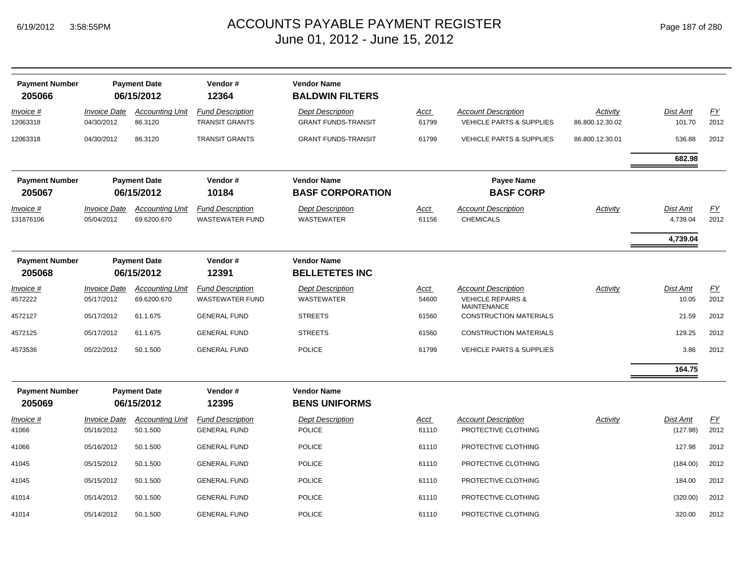|  | Page 187 of 280 |  |  |  |
|--|-----------------|--|--|--|
|--|-----------------|--|--|--|

| <b>Payment Number</b><br>205066 |                                   | <b>Payment Date</b><br>06/15/2012     | Vendor#<br>12364                                  | <b>Vendor Name</b><br><b>BALDWIN FILTERS</b>          |                      |                                                                   |                             |                      |            |
|---------------------------------|-----------------------------------|---------------------------------------|---------------------------------------------------|-------------------------------------------------------|----------------------|-------------------------------------------------------------------|-----------------------------|----------------------|------------|
| Invoice #<br>12063318           | <b>Invoice Date</b><br>04/30/2012 | <b>Accounting Unit</b><br>86.3120     | <b>Fund Description</b><br><b>TRANSIT GRANTS</b>  | <b>Dept Description</b><br><b>GRANT FUNDS-TRANSIT</b> | Acct<br>61799        | <b>Account Description</b><br><b>VEHICLE PARTS &amp; SUPPLIES</b> | Activity<br>86.800.12.30.02 | Dist Amt<br>101.70   | EY<br>2012 |
| 12063318                        | 04/30/2012                        | 86.3120                               | <b>TRANSIT GRANTS</b>                             | <b>GRANT FUNDS-TRANSIT</b>                            | 61799                | <b>VEHICLE PARTS &amp; SUPPLIES</b>                               | 86.800.12.30.01             | 536.88               | 2012       |
|                                 |                                   |                                       |                                                   |                                                       |                      |                                                                   |                             | 682.98               |            |
| <b>Payment Number</b><br>205067 |                                   | <b>Payment Date</b><br>06/15/2012     | Vendor#<br>10184                                  | <b>Vendor Name</b><br><b>BASF CORPORATION</b>         |                      | <b>Payee Name</b><br><b>BASF CORP</b>                             |                             |                      |            |
| Invoice #<br>131876106          | <b>Invoice Date</b><br>05/04/2012 | <b>Accounting Unit</b><br>69.6200.670 | <b>Fund Description</b><br><b>WASTEWATER FUND</b> | <b>Dept Description</b><br>WASTEWATER                 | <u>Acct</u><br>61156 | <b>Account Description</b><br><b>CHEMICALS</b>                    | Activity                    | Dist Amt<br>4,739.04 | EY<br>2012 |
|                                 |                                   |                                       |                                                   |                                                       |                      |                                                                   |                             | 4,739.04             |            |
| <b>Payment Number</b><br>205068 |                                   | <b>Payment Date</b><br>06/15/2012     | Vendor#<br>12391                                  | <b>Vendor Name</b><br><b>BELLETETES INC</b>           |                      |                                                                   |                             |                      |            |
| Invoice #                       | <b>Invoice Date</b>               | <b>Accounting Unit</b>                | <b>Fund Description</b>                           | <b>Dept Description</b>                               | Acct                 | <b>Account Description</b>                                        | Activity                    | Dist Amt             | EY         |
| 4572222                         | 05/17/2012                        | 69.6200.670                           | <b>WASTEWATER FUND</b>                            | <b>WASTEWATER</b>                                     | 54600                | <b>VEHICLE REPAIRS &amp;</b><br><b>MAINTENANCE</b>                |                             | 10.05                | 2012       |
| 4572127                         | 05/17/2012                        | 61.1.675                              | <b>GENERAL FUND</b>                               | <b>STREETS</b>                                        | 61560                | <b>CONSTRUCTION MATERIALS</b>                                     |                             | 21.59                | 2012       |
| 4572125                         | 05/17/2012                        | 61.1.675                              | <b>GENERAL FUND</b>                               | <b>STREETS</b>                                        | 61560                | <b>CONSTRUCTION MATERIALS</b>                                     |                             | 129.25               | 2012       |
| 4573536                         | 05/22/2012                        | 50.1.500                              | <b>GENERAL FUND</b>                               | <b>POLICE</b>                                         | 61799                | <b>VEHICLE PARTS &amp; SUPPLIES</b>                               |                             | 3.86                 | 2012       |
|                                 |                                   |                                       |                                                   |                                                       |                      |                                                                   |                             | 164.75               |            |
| <b>Payment Number</b><br>205069 |                                   | <b>Payment Date</b><br>06/15/2012     | Vendor#<br>12395                                  | <b>Vendor Name</b><br><b>BENS UNIFORMS</b>            |                      |                                                                   |                             |                      |            |
| $Invoice$ #                     | <b>Invoice Date</b>               | <b>Accounting Unit</b>                | <b>Fund Description</b>                           | <b>Dept Description</b>                               | <b>Acct</b>          | <b>Account Description</b>                                        | Activity                    | <b>Dist Amt</b>      | EY         |
| 41066                           | 05/16/2012                        | 50.1.500                              | <b>GENERAL FUND</b>                               | <b>POLICE</b>                                         | 61110                | PROTECTIVE CLOTHING                                               |                             | (127.98)             | 2012       |
| 41066                           | 05/16/2012                        | 50.1.500                              | <b>GENERAL FUND</b>                               | <b>POLICE</b>                                         | 61110                | PROTECTIVE CLOTHING                                               |                             | 127.98               | 2012       |
| 41045                           | 05/15/2012                        | 50.1.500                              | <b>GENERAL FUND</b>                               | <b>POLICE</b>                                         | 61110                | PROTECTIVE CLOTHING                                               |                             | (184.00)             | 2012       |
| 41045                           | 05/15/2012                        | 50.1.500                              | <b>GENERAL FUND</b>                               | <b>POLICE</b>                                         | 61110                | PROTECTIVE CLOTHING                                               |                             | 184.00               | 2012       |
| 41014                           | 05/14/2012                        | 50.1.500                              | <b>GENERAL FUND</b>                               | <b>POLICE</b>                                         | 61110                | PROTECTIVE CLOTHING                                               |                             | (320.00)             | 2012       |
| 41014                           | 05/14/2012                        | 50.1.500                              | <b>GENERAL FUND</b>                               | <b>POLICE</b>                                         | 61110                | PROTECTIVE CLOTHING                                               |                             | 320.00               | 2012       |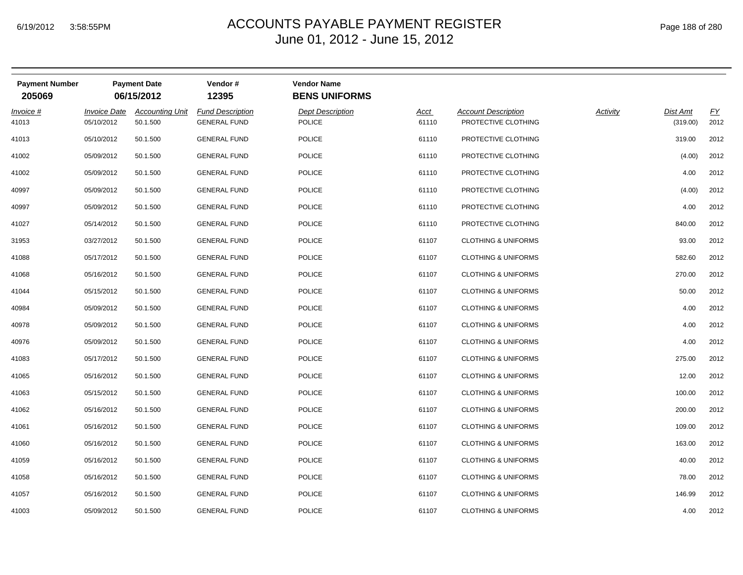| <b>Payment Number</b><br>205069 |                                   | <b>Payment Date</b><br>06/15/2012  | Vendor#<br>12395                               | <b>Vendor Name</b><br><b>BENS UNIFORMS</b> |                      |                                                   |                 |                             |            |
|---------------------------------|-----------------------------------|------------------------------------|------------------------------------------------|--------------------------------------------|----------------------|---------------------------------------------------|-----------------|-----------------------------|------------|
| Invoice #<br>41013              | <b>Invoice Date</b><br>05/10/2012 | <b>Accounting Unit</b><br>50.1.500 | <b>Fund Description</b><br><b>GENERAL FUND</b> | <b>Dept Description</b><br><b>POLICE</b>   | <b>Acct</b><br>61110 | <b>Account Description</b><br>PROTECTIVE CLOTHING | <b>Activity</b> | <b>Dist Amt</b><br>(319.00) | EY<br>2012 |
| 41013                           | 05/10/2012                        | 50.1.500                           | <b>GENERAL FUND</b>                            | POLICE                                     | 61110                | PROTECTIVE CLOTHING                               |                 | 319.00                      | 2012       |
| 41002                           | 05/09/2012                        | 50.1.500                           | <b>GENERAL FUND</b>                            | POLICE                                     | 61110                | PROTECTIVE CLOTHING                               |                 | (4.00)                      | 2012       |
| 41002                           | 05/09/2012                        | 50.1.500                           | <b>GENERAL FUND</b>                            | POLICE                                     | 61110                | PROTECTIVE CLOTHING                               |                 | 4.00                        | 2012       |
| 40997                           | 05/09/2012                        | 50.1.500                           | <b>GENERAL FUND</b>                            | <b>POLICE</b>                              | 61110                | PROTECTIVE CLOTHING                               |                 | (4.00)                      | 2012       |
| 40997                           | 05/09/2012                        | 50.1.500                           | <b>GENERAL FUND</b>                            | <b>POLICE</b>                              | 61110                | PROTECTIVE CLOTHING                               |                 | 4.00                        | 2012       |
| 41027                           | 05/14/2012                        | 50.1.500                           | <b>GENERAL FUND</b>                            | POLICE                                     | 61110                | PROTECTIVE CLOTHING                               |                 | 840.00                      | 2012       |
| 31953                           | 03/27/2012                        | 50.1.500                           | <b>GENERAL FUND</b>                            | POLICE                                     | 61107                | <b>CLOTHING &amp; UNIFORMS</b>                    |                 | 93.00                       | 2012       |
| 41088                           | 05/17/2012                        | 50.1.500                           | <b>GENERAL FUND</b>                            | POLICE                                     | 61107                | <b>CLOTHING &amp; UNIFORMS</b>                    |                 | 582.60                      | 2012       |
| 41068                           | 05/16/2012                        | 50.1.500                           | <b>GENERAL FUND</b>                            | POLICE                                     | 61107                | <b>CLOTHING &amp; UNIFORMS</b>                    |                 | 270.00                      | 2012       |
| 41044                           | 05/15/2012                        | 50.1.500                           | <b>GENERAL FUND</b>                            | <b>POLICE</b>                              | 61107                | <b>CLOTHING &amp; UNIFORMS</b>                    |                 | 50.00                       | 2012       |
| 40984                           | 05/09/2012                        | 50.1.500                           | <b>GENERAL FUND</b>                            | <b>POLICE</b>                              | 61107                | <b>CLOTHING &amp; UNIFORMS</b>                    |                 | 4.00                        | 2012       |
| 40978                           | 05/09/2012                        | 50.1.500                           | <b>GENERAL FUND</b>                            | <b>POLICE</b>                              | 61107                | <b>CLOTHING &amp; UNIFORMS</b>                    |                 | 4.00                        | 2012       |
| 40976                           | 05/09/2012                        | 50.1.500                           | <b>GENERAL FUND</b>                            | <b>POLICE</b>                              | 61107                | <b>CLOTHING &amp; UNIFORMS</b>                    |                 | 4.00                        | 2012       |
| 41083                           | 05/17/2012                        | 50.1.500                           | <b>GENERAL FUND</b>                            | <b>POLICE</b>                              | 61107                | <b>CLOTHING &amp; UNIFORMS</b>                    |                 | 275.00                      | 2012       |
| 41065                           | 05/16/2012                        | 50.1.500                           | <b>GENERAL FUND</b>                            | <b>POLICE</b>                              | 61107                | <b>CLOTHING &amp; UNIFORMS</b>                    |                 | 12.00                       | 2012       |
| 41063                           | 05/15/2012                        | 50.1.500                           | <b>GENERAL FUND</b>                            | <b>POLICE</b>                              | 61107                | <b>CLOTHING &amp; UNIFORMS</b>                    |                 | 100.00                      | 2012       |
| 41062                           | 05/16/2012                        | 50.1.500                           | <b>GENERAL FUND</b>                            | <b>POLICE</b>                              | 61107                | <b>CLOTHING &amp; UNIFORMS</b>                    |                 | 200.00                      | 2012       |
| 41061                           | 05/16/2012                        | 50.1.500                           | <b>GENERAL FUND</b>                            | <b>POLICE</b>                              | 61107                | <b>CLOTHING &amp; UNIFORMS</b>                    |                 | 109.00                      | 2012       |
| 41060                           | 05/16/2012                        | 50.1.500                           | <b>GENERAL FUND</b>                            | <b>POLICE</b>                              | 61107                | <b>CLOTHING &amp; UNIFORMS</b>                    |                 | 163.00                      | 2012       |
| 41059                           | 05/16/2012                        | 50.1.500                           | <b>GENERAL FUND</b>                            | <b>POLICE</b>                              | 61107                | <b>CLOTHING &amp; UNIFORMS</b>                    |                 | 40.00                       | 2012       |
| 41058                           | 05/16/2012                        | 50.1.500                           | <b>GENERAL FUND</b>                            | <b>POLICE</b>                              | 61107                | <b>CLOTHING &amp; UNIFORMS</b>                    |                 | 78.00                       | 2012       |
| 41057                           | 05/16/2012                        | 50.1.500                           | <b>GENERAL FUND</b>                            | <b>POLICE</b>                              | 61107                | <b>CLOTHING &amp; UNIFORMS</b>                    |                 | 146.99                      | 2012       |
| 41003                           | 05/09/2012                        | 50.1.500                           | <b>GENERAL FUND</b>                            | <b>POLICE</b>                              | 61107                | <b>CLOTHING &amp; UNIFORMS</b>                    |                 | 4.00                        | 2012       |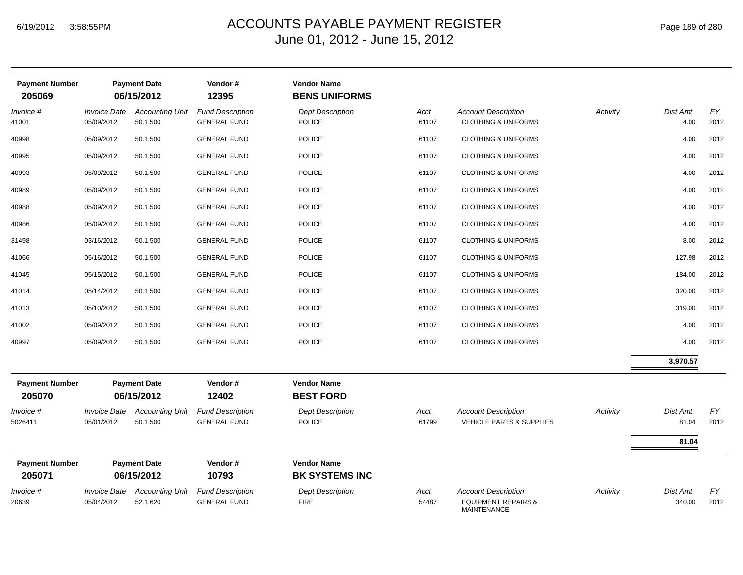| <b>Payment Number</b><br>205069 |                                   | <b>Payment Date</b><br>06/15/2012  | Vendor#<br>12395                               | <b>Vendor Name</b><br><b>BENS UNIFORMS</b>  |                      |                                                                                    |                 |                           |                          |
|---------------------------------|-----------------------------------|------------------------------------|------------------------------------------------|---------------------------------------------|----------------------|------------------------------------------------------------------------------------|-----------------|---------------------------|--------------------------|
| Invoice #<br>41001              | <b>Invoice Date</b><br>05/09/2012 | <b>Accounting Unit</b><br>50.1.500 | <b>Fund Description</b><br><b>GENERAL FUND</b> | <b>Dept Description</b><br><b>POLICE</b>    | <b>Acct</b><br>61107 | <b>Account Description</b><br><b>CLOTHING &amp; UNIFORMS</b>                       | <b>Activity</b> | Dist Amt<br>4.00          | EY<br>2012               |
| 40998                           | 05/09/2012                        | 50.1.500                           | <b>GENERAL FUND</b>                            | <b>POLICE</b>                               | 61107                | <b>CLOTHING &amp; UNIFORMS</b>                                                     |                 | 4.00                      | 2012                     |
| 40995                           | 05/09/2012                        | 50.1.500                           | <b>GENERAL FUND</b>                            | <b>POLICE</b>                               | 61107                | <b>CLOTHING &amp; UNIFORMS</b>                                                     |                 | 4.00                      | 2012                     |
| 40993                           | 05/09/2012                        | 50.1.500                           | <b>GENERAL FUND</b>                            | <b>POLICE</b>                               | 61107                | <b>CLOTHING &amp; UNIFORMS</b>                                                     |                 | 4.00                      | 2012                     |
| 40989                           | 05/09/2012                        | 50.1.500                           | <b>GENERAL FUND</b>                            | <b>POLICE</b>                               | 61107                | <b>CLOTHING &amp; UNIFORMS</b>                                                     |                 | 4.00                      | 2012                     |
| 40988                           | 05/09/2012                        | 50.1.500                           | <b>GENERAL FUND</b>                            | <b>POLICE</b>                               | 61107                | <b>CLOTHING &amp; UNIFORMS</b>                                                     |                 | 4.00                      | 2012                     |
| 40986                           | 05/09/2012                        | 50.1.500                           | <b>GENERAL FUND</b>                            | <b>POLICE</b>                               | 61107                | <b>CLOTHING &amp; UNIFORMS</b>                                                     |                 | 4.00                      | 2012                     |
| 31498                           | 03/16/2012                        | 50.1.500                           | <b>GENERAL FUND</b>                            | <b>POLICE</b>                               | 61107                | <b>CLOTHING &amp; UNIFORMS</b>                                                     |                 | 8.00                      | 2012                     |
| 41066                           | 05/16/2012                        | 50.1.500                           | <b>GENERAL FUND</b>                            | <b>POLICE</b>                               | 61107                | <b>CLOTHING &amp; UNIFORMS</b>                                                     |                 | 127.98                    | 2012                     |
| 41045                           | 05/15/2012                        | 50.1.500                           | <b>GENERAL FUND</b>                            | <b>POLICE</b>                               | 61107                | <b>CLOTHING &amp; UNIFORMS</b>                                                     |                 | 184.00                    | 2012                     |
| 41014                           | 05/14/2012                        | 50.1.500                           | <b>GENERAL FUND</b>                            | <b>POLICE</b>                               | 61107                | <b>CLOTHING &amp; UNIFORMS</b>                                                     |                 | 320.00                    | 2012                     |
| 41013                           | 05/10/2012                        | 50.1.500                           | <b>GENERAL FUND</b>                            | <b>POLICE</b>                               | 61107                | <b>CLOTHING &amp; UNIFORMS</b>                                                     |                 | 319.00                    | 2012                     |
| 41002                           | 05/09/2012                        | 50.1.500                           | <b>GENERAL FUND</b>                            | <b>POLICE</b>                               | 61107                | <b>CLOTHING &amp; UNIFORMS</b>                                                     |                 | 4.00                      | 2012                     |
| 40997                           | 05/09/2012                        | 50.1.500                           | <b>GENERAL FUND</b>                            | <b>POLICE</b>                               | 61107                | <b>CLOTHING &amp; UNIFORMS</b>                                                     |                 | 4.00                      | 2012                     |
|                                 |                                   |                                    |                                                |                                             |                      |                                                                                    |                 | 3,970.57                  |                          |
| <b>Payment Number</b><br>205070 |                                   | <b>Payment Date</b><br>06/15/2012  | Vendor#<br>12402                               | <b>Vendor Name</b><br><b>BEST FORD</b>      |                      |                                                                                    |                 |                           |                          |
| Invoice #<br>5026411            | <b>Invoice Date</b><br>05/01/2012 | <b>Accounting Unit</b><br>50.1.500 | <b>Fund Description</b><br><b>GENERAL FUND</b> | <b>Dept Description</b><br><b>POLICE</b>    | <u>Acct</u><br>61799 | <b>Account Description</b><br><b>VEHICLE PARTS &amp; SUPPLIES</b>                  | <b>Activity</b> | Dist Amt<br>81.04         | $\underline{FY}$<br>2012 |
|                                 |                                   |                                    |                                                |                                             |                      |                                                                                    |                 | 81.04                     |                          |
| <b>Payment Number</b><br>205071 |                                   | <b>Payment Date</b><br>06/15/2012  | Vendor#<br>10793                               | <b>Vendor Name</b><br><b>BK SYSTEMS INC</b> |                      |                                                                                    |                 |                           |                          |
| Invoice #<br>20639              | <b>Invoice Date</b><br>05/04/2012 | <b>Accounting Unit</b><br>52.1.620 | <b>Fund Description</b><br><b>GENERAL FUND</b> | <b>Dept Description</b><br><b>FIRE</b>      | Acct<br>54487        | <b>Account Description</b><br><b>EQUIPMENT REPAIRS &amp;</b><br><b>MAINTENANCE</b> | Activity        | <b>Dist Amt</b><br>340.00 | <u>FY</u><br>2012        |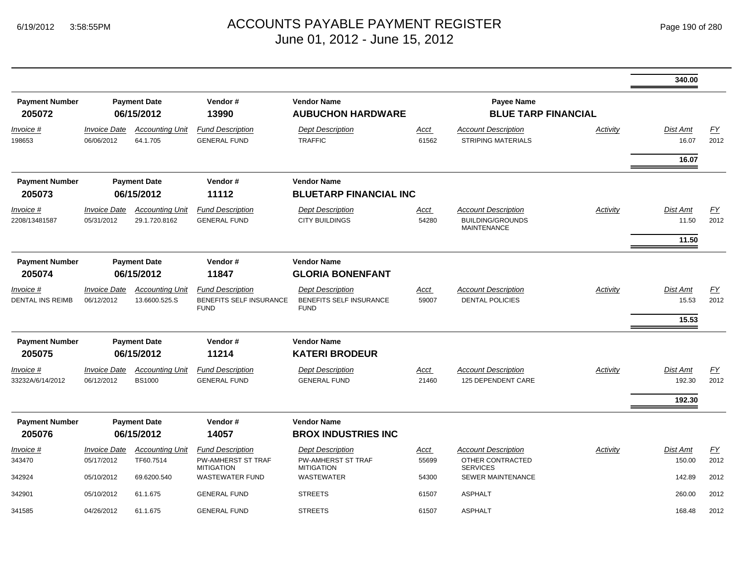|                                      |                                   |                                         |                                                                           |                                                                           |                      |                                                                             |          | 340.00                            |                          |
|--------------------------------------|-----------------------------------|-----------------------------------------|---------------------------------------------------------------------------|---------------------------------------------------------------------------|----------------------|-----------------------------------------------------------------------------|----------|-----------------------------------|--------------------------|
| <b>Payment Number</b><br>205072      |                                   | <b>Payment Date</b><br>06/15/2012       | Vendor#<br>13990                                                          | <b>Vendor Name</b><br><b>AUBUCHON HARDWARE</b>                            |                      | <b>Payee Name</b><br><b>BLUE TARP FINANCIAL</b>                             |          |                                   |                          |
| Invoice #<br>198653                  | <b>Invoice Date</b><br>06/06/2012 | <b>Accounting Unit</b><br>64.1.705      | <b>Fund Description</b><br><b>GENERAL FUND</b>                            | <b>Dept Description</b><br><b>TRAFFIC</b>                                 | Acct<br>61562        | <b>Account Description</b><br><b>STRIPING MATERIALS</b>                     | Activity | <b>Dist Amt</b><br>16.07<br>16.07 | $\underline{FY}$<br>2012 |
| <b>Payment Number</b><br>205073      |                                   | <b>Payment Date</b><br>06/15/2012       | Vendor#<br>11112                                                          | <b>Vendor Name</b><br><b>BLUETARP FINANCIAL INC</b>                       |                      |                                                                             |          |                                   |                          |
| Invoice #<br>2208/13481587           | <b>Invoice Date</b><br>05/31/2012 | <b>Accounting Unit</b><br>29.1.720.8162 | <b>Fund Description</b><br><b>GENERAL FUND</b>                            | <b>Dept Description</b><br><b>CITY BUILDINGS</b>                          | Acct<br>54280        | <b>Account Description</b><br><b>BUILDING/GROUNDS</b><br><b>MAINTENANCE</b> | Activity | <b>Dist Amt</b><br>11.50          | FY<br>2012               |
|                                      |                                   |                                         |                                                                           |                                                                           |                      |                                                                             |          | 11.50                             |                          |
| <b>Payment Number</b><br>205074      |                                   | <b>Payment Date</b><br>06/15/2012       | Vendor#<br>11847                                                          | <b>Vendor Name</b><br><b>GLORIA BONENFANT</b>                             |                      |                                                                             |          |                                   |                          |
| Invoice #<br><b>DENTAL INS REIMB</b> | <b>Invoice Date</b><br>06/12/2012 | <b>Accounting Unit</b><br>13.6600.525.S | <b>Fund Description</b><br>BENEFITS SELF INSURANCE<br><b>FUND</b>         | <b>Dept Description</b><br>BENEFITS SELF INSURANCE<br><b>FUND</b>         | <u>Acct</u><br>59007 | <b>Account Description</b><br><b>DENTAL POLICIES</b>                        | Activity | <b>Dist Amt</b><br>15.53<br>15.53 | EY<br>2012               |
| <b>Payment Number</b>                |                                   | <b>Payment Date</b>                     | Vendor#                                                                   | <b>Vendor Name</b>                                                        |                      |                                                                             |          |                                   |                          |
| 205075                               |                                   | 06/15/2012                              | 11214                                                                     | <b>KATERI BRODEUR</b>                                                     |                      |                                                                             |          |                                   |                          |
| Invoice #<br>33232A/6/14/2012        | <b>Invoice Date</b><br>06/12/2012 | <b>Accounting Unit</b><br><b>BS1000</b> | <b>Fund Description</b><br><b>GENERAL FUND</b>                            | <b>Dept Description</b><br><b>GENERAL FUND</b>                            | Acct<br>21460        | <b>Account Description</b><br>125 DEPENDENT CARE                            | Activity | <b>Dist Amt</b><br>192.30         | <u>FY</u><br>2012        |
|                                      |                                   |                                         |                                                                           |                                                                           |                      |                                                                             |          | 192.30                            |                          |
| <b>Payment Number</b><br>205076      |                                   | <b>Payment Date</b><br>06/15/2012       | Vendor#<br>14057                                                          | <b>Vendor Name</b><br><b>BROX INDUSTRIES INC</b>                          |                      |                                                                             |          |                                   |                          |
| Invoice #<br>343470                  | <b>Invoice Date</b><br>05/17/2012 | <b>Accounting Unit</b><br>TF60.7514     | <b>Fund Description</b><br><b>PW-AMHERST ST TRAF</b><br><b>MITIGATION</b> | <b>Dept Description</b><br><b>PW-AMHERST ST TRAF</b><br><b>MITIGATION</b> | <u>Acct</u><br>55699 | <b>Account Description</b><br>OTHER CONTRACTED<br><b>SERVICES</b>           | Activity | <b>Dist Amt</b><br>150.00         | $\underline{FY}$<br>2012 |
| 342924                               | 05/10/2012                        | 69.6200.540                             | <b>WASTEWATER FUND</b>                                                    | <b>WASTEWATER</b>                                                         | 54300                | <b>SEWER MAINTENANCE</b>                                                    |          | 142.89                            | 2012                     |
| 342901                               | 05/10/2012                        | 61.1.675                                | <b>GENERAL FUND</b>                                                       | <b>STREETS</b>                                                            | 61507                | <b>ASPHALT</b>                                                              |          | 260.00                            | 2012                     |
| 341585                               | 04/26/2012                        | 61.1.675                                | <b>GENERAL FUND</b>                                                       | <b>STREETS</b>                                                            | 61507                | <b>ASPHALT</b>                                                              |          | 168.48                            | 2012                     |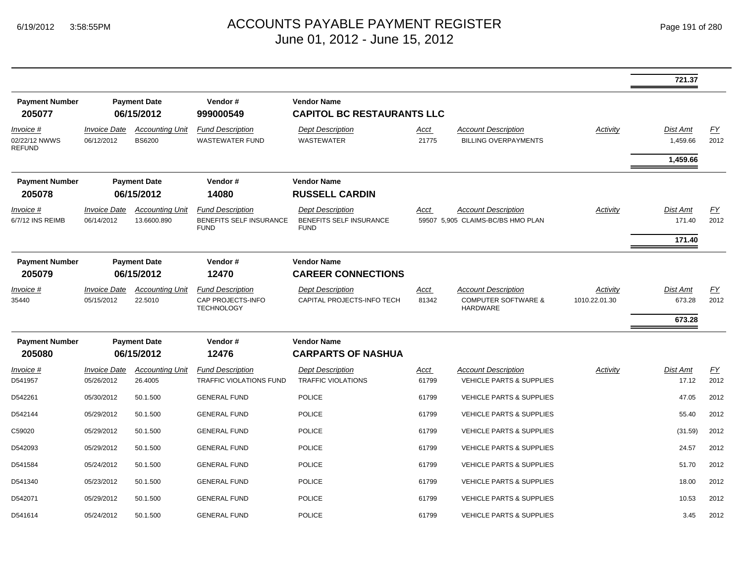|                                             |                                          |                                         |                                                                   |                                                                          |                      |                                                                                 |                           | 721.37                                  |                   |
|---------------------------------------------|------------------------------------------|-----------------------------------------|-------------------------------------------------------------------|--------------------------------------------------------------------------|----------------------|---------------------------------------------------------------------------------|---------------------------|-----------------------------------------|-------------------|
| <b>Payment Number</b><br>205077             |                                          | <b>Payment Date</b><br>06/15/2012       | Vendor#<br>999000549                                              | <b>Vendor Name</b><br><b>CAPITOL BC RESTAURANTS LLC</b>                  |                      |                                                                                 |                           |                                         |                   |
| Invoice #<br>02/22/12 NWWS<br><b>REFUND</b> | <b>Invoice Date</b><br>06/12/2012        | <b>Accounting Unit</b><br><b>BS6200</b> | <b>Fund Description</b><br><b>WASTEWATER FUND</b>                 | <b>Dept Description</b><br><b>WASTEWATER</b>                             | <u>Acct</u><br>21775 | <b>Account Description</b><br><b>BILLING OVERPAYMENTS</b>                       | Activity                  | <b>Dist Amt</b><br>1,459.66<br>1,459.66 | <u>FY</u><br>2012 |
| <b>Payment Number</b><br>205078             |                                          | <b>Payment Date</b><br>06/15/2012       | Vendor#<br>14080                                                  | <b>Vendor Name</b><br><b>RUSSELL CARDIN</b>                              |                      |                                                                                 |                           |                                         |                   |
| <i>Invoice</i> #<br>6/7/12 INS REIMB        | <b>Invoice Date</b><br>06/14/2012        | <b>Accounting Unit</b><br>13.6600.890   | <b>Fund Description</b><br>BENEFITS SELF INSURANCE<br><b>FUND</b> | <b>Dept Description</b><br><b>BENEFITS SELF INSURANCE</b><br><b>FUND</b> | Acct                 | <b>Account Description</b><br>59507 5,905 CLAIMS-BC/BS HMO PLAN                 | <b>Activity</b>           | Dist Amt<br>171.40                      | EY<br>2012        |
| <b>Payment Number</b>                       |                                          | <b>Payment Date</b>                     | Vendor#                                                           | <b>Vendor Name</b>                                                       |                      |                                                                                 |                           | 171.40                                  |                   |
| 205079                                      |                                          | 06/15/2012                              | 12470                                                             | <b>CAREER CONNECTIONS</b>                                                |                      |                                                                                 |                           |                                         |                   |
| Invoice #<br>35440                          | <i><b>Invoice Date</b></i><br>05/15/2012 | <b>Accounting Unit</b><br>22.5010       | <b>Fund Description</b><br>CAP PROJECTS-INFO<br><b>TECHNOLOGY</b> | <b>Dept Description</b><br>CAPITAL PROJECTS-INFO TECH                    | Acct<br>81342        | <b>Account Description</b><br><b>COMPUTER SOFTWARE &amp;</b><br><b>HARDWARE</b> | Activity<br>1010.22.01.30 | <b>Dist Amt</b><br>673.28<br>673.28     | EY<br>2012        |
| <b>Payment Number</b><br>205080             | <b>Payment Date</b><br>06/15/2012        |                                         | Vendor#<br>12476                                                  | <b>Vendor Name</b><br><b>CARPARTS OF NASHUA</b>                          |                      |                                                                                 |                           |                                         |                   |
| Invoice #<br>D541957                        | <b>Invoice Date</b><br>05/26/2012        | <b>Accounting Unit</b><br>26.4005       | <b>Fund Description</b><br><b>TRAFFIC VIOLATIONS FUND</b>         | <b>Dept Description</b><br><b>TRAFFIC VIOLATIONS</b>                     | Acct<br>61799        | <b>Account Description</b><br><b>VEHICLE PARTS &amp; SUPPLIES</b>               | Activity                  | <b>Dist Amt</b><br>17.12                | <u>FY</u><br>2012 |
| D542261                                     | 05/30/2012                               | 50.1.500                                | <b>GENERAL FUND</b>                                               | <b>POLICE</b>                                                            | 61799                | <b>VEHICLE PARTS &amp; SUPPLIES</b>                                             |                           | 47.05                                   | 2012              |
| D542144                                     | 05/29/2012                               | 50.1.500                                | <b>GENERAL FUND</b>                                               | <b>POLICE</b>                                                            | 61799                | <b>VEHICLE PARTS &amp; SUPPLIES</b>                                             |                           | 55.40                                   | 2012              |
| C59020                                      | 05/29/2012                               | 50.1.500                                | <b>GENERAL FUND</b>                                               | <b>POLICE</b>                                                            | 61799                | <b>VEHICLE PARTS &amp; SUPPLIES</b>                                             |                           | (31.59)                                 | 2012              |
| D542093                                     | 05/29/2012                               | 50.1.500                                | <b>GENERAL FUND</b>                                               | <b>POLICE</b>                                                            | 61799                | <b>VEHICLE PARTS &amp; SUPPLIES</b>                                             |                           | 24.57                                   | 2012              |
| D541584                                     | 05/24/2012                               | 50.1.500                                | <b>GENERAL FUND</b>                                               | <b>POLICE</b>                                                            | 61799                | <b>VEHICLE PARTS &amp; SUPPLIES</b>                                             |                           | 51.70                                   | 2012              |
| D541340                                     | 05/23/2012                               | 50.1.500                                | <b>GENERAL FUND</b>                                               | <b>POLICE</b>                                                            | 61799                | <b>VEHICLE PARTS &amp; SUPPLIES</b>                                             |                           | 18.00                                   | 2012              |
| D542071                                     | 05/29/2012                               | 50.1.500                                | <b>GENERAL FUND</b>                                               | <b>POLICE</b>                                                            | 61799                | <b>VEHICLE PARTS &amp; SUPPLIES</b>                                             |                           | 10.53                                   | 2012              |
| D541614                                     | 05/24/2012                               | 50.1.500                                | <b>GENERAL FUND</b>                                               | <b>POLICE</b>                                                            | 61799                | <b>VEHICLE PARTS &amp; SUPPLIES</b>                                             |                           | 3.45                                    | 2012              |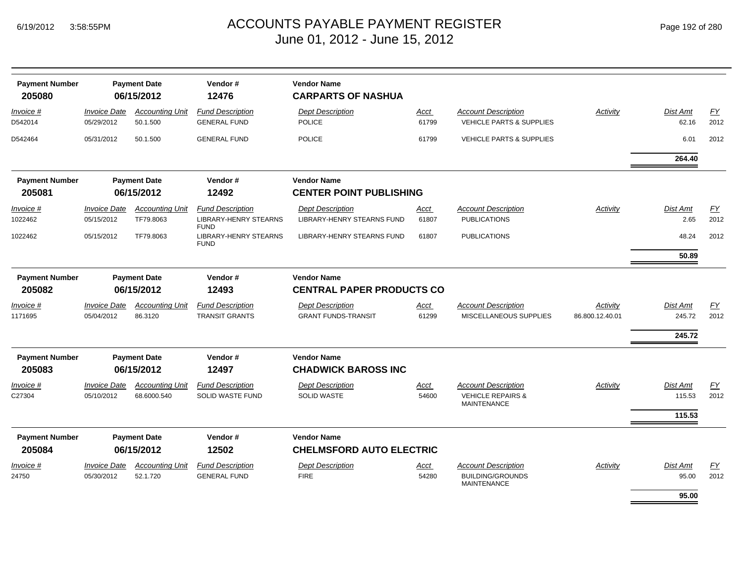| Page 192 of 280 |  |
|-----------------|--|
|-----------------|--|

| <b>Payment Number</b><br>205080 |                                          | <b>Payment Date</b><br>06/15/2012     | Vendor#<br>12476                                   | <b>Vendor Name</b><br><b>CARPARTS OF NASHUA</b>        |                      |                                                                                  |                             |                              |                   |
|---------------------------------|------------------------------------------|---------------------------------------|----------------------------------------------------|--------------------------------------------------------|----------------------|----------------------------------------------------------------------------------|-----------------------------|------------------------------|-------------------|
| Invoice #<br>D542014            | <i><b>Invoice Date</b></i><br>05/29/2012 | <b>Accounting Unit</b><br>50.1.500    | <b>Fund Description</b><br><b>GENERAL FUND</b>     | <b>Dept Description</b><br><b>POLICE</b>               | <u>Acct</u><br>61799 | <b>Account Description</b><br><b>VEHICLE PARTS &amp; SUPPLIES</b>                | Activity                    | Dist Amt<br>62.16            | <u>FY</u><br>2012 |
| D542464                         | 05/31/2012                               | 50.1.500                              | <b>GENERAL FUND</b>                                | <b>POLICE</b>                                          | 61799                | <b>VEHICLE PARTS &amp; SUPPLIES</b>                                              |                             | 6.01                         | 2012              |
|                                 |                                          |                                       |                                                    |                                                        |                      |                                                                                  |                             | 264.40                       |                   |
| <b>Payment Number</b><br>205081 |                                          | <b>Payment Date</b><br>06/15/2012     | Vendor#<br>12492                                   | <b>Vendor Name</b><br><b>CENTER POINT PUBLISHING</b>   |                      |                                                                                  |                             |                              |                   |
| Invoice #                       | <b>Invoice Date</b>                      | <b>Accounting Unit</b>                | <b>Fund Description</b>                            | <b>Dept Description</b>                                | Acct                 | <b>Account Description</b>                                                       | Activity                    | Dist Amt                     | EY                |
| 1022462                         | 05/15/2012                               | TF79.8063                             | <b>LIBRARY-HENRY STEARNS</b><br><b>FUND</b>        | LIBRARY-HENRY STEARNS FUND                             | 61807                | <b>PUBLICATIONS</b>                                                              |                             | 2.65                         | 2012              |
| 1022462                         | 05/15/2012                               | TF79.8063                             | <b>LIBRARY-HENRY STEARNS</b><br><b>FUND</b>        | <b>LIBRARY-HENRY STEARNS FUND</b>                      | 61807                | <b>PUBLICATIONS</b>                                                              |                             | 48.24<br>50.89               | 2012              |
| <b>Payment Number</b><br>205082 |                                          | <b>Payment Date</b><br>06/15/2012     | Vendor#<br>12493                                   | <b>Vendor Name</b><br><b>CENTRAL PAPER PRODUCTS CO</b> |                      |                                                                                  |                             |                              |                   |
| Invoice #<br>1171695            | <b>Invoice Date</b><br>05/04/2012        | <b>Accounting Unit</b><br>86.3120     | <b>Fund Description</b><br><b>TRANSIT GRANTS</b>   | <b>Dept Description</b><br><b>GRANT FUNDS-TRANSIT</b>  | Acct<br>61299        | <b>Account Description</b><br>MISCELLANEOUS SUPPLIES                             | Activity<br>86.800.12.40.01 | Dist Amt<br>245.72<br>245.72 | <u>FY</u><br>2012 |
| <b>Payment Number</b><br>205083 |                                          | <b>Payment Date</b><br>06/15/2012     | Vendor#<br>12497                                   | <b>Vendor Name</b><br><b>CHADWICK BAROSS INC</b>       |                      |                                                                                  |                             |                              |                   |
| Invoice #<br>C27304             | <b>Invoice Date</b><br>05/10/2012        | <b>Accounting Unit</b><br>68.6000.540 | <b>Fund Description</b><br><b>SOLID WASTE FUND</b> | <b>Dept Description</b><br><b>SOLID WASTE</b>          | <b>Acct</b><br>54600 | <b>Account Description</b><br><b>VEHICLE REPAIRS &amp;</b><br><b>MAINTENANCE</b> | Activity                    | Dist Amt<br>115.53<br>115.53 | EY<br>2012        |
| <b>Payment Number</b><br>205084 |                                          | <b>Payment Date</b><br>06/15/2012     | Vendor#<br>12502                                   | <b>Vendor Name</b><br><b>CHELMSFORD AUTO ELECTRIC</b>  |                      |                                                                                  |                             |                              |                   |
| Invoice #<br>24750              | <b>Invoice Date</b><br>05/30/2012        | <b>Accounting Unit</b><br>52.1.720    | <b>Fund Description</b><br><b>GENERAL FUND</b>     | <b>Dept Description</b><br><b>FIRE</b>                 | Acct<br>54280        | <b>Account Description</b><br><b>BUILDING/GROUNDS</b><br><b>MAINTENANCE</b>      | Activity                    | Dist Amt<br>95.00            | EY<br>2012        |
|                                 |                                          |                                       |                                                    |                                                        |                      |                                                                                  |                             | 95.00                        |                   |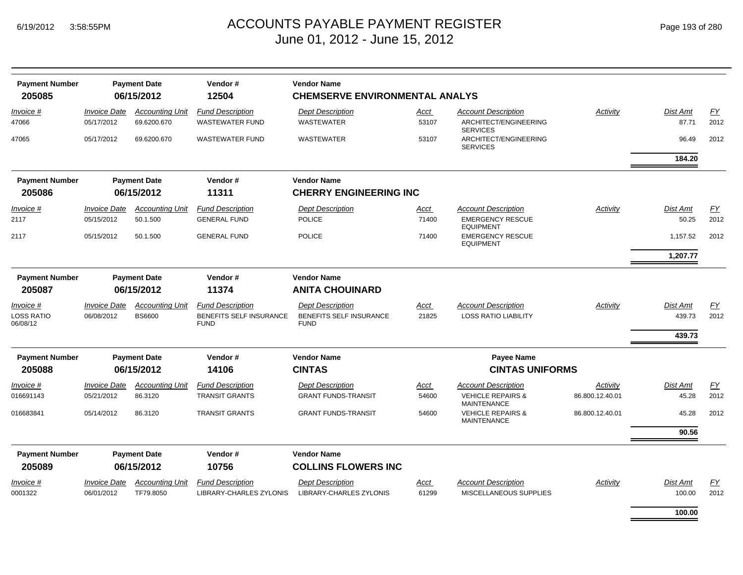| <b>Payment Number</b><br>205085 |                                          | <b>Payment Date</b><br>06/15/2012     | Vendor#<br>12504                                   | <b>Vendor Name</b><br><b>CHEMSERVE ENVIRONMENTAL ANALYS</b> |                      |                                                                        |                 |                           |            |
|---------------------------------|------------------------------------------|---------------------------------------|----------------------------------------------------|-------------------------------------------------------------|----------------------|------------------------------------------------------------------------|-----------------|---------------------------|------------|
| Invoice #<br>47066              | <b>Invoice Date</b><br>05/17/2012        | <b>Accounting Unit</b><br>69.6200.670 | <b>Fund Description</b><br><b>WASTEWATER FUND</b>  | <b>Dept Description</b><br><b>WASTEWATER</b>                | <u>Acct</u><br>53107 | <b>Account Description</b><br>ARCHITECT/ENGINEERING<br><b>SERVICES</b> | <b>Activity</b> | Dist Amt<br>87.71         | EY<br>2012 |
| 47065                           | 05/17/2012                               | 69.6200.670                           | <b>WASTEWATER FUND</b>                             | <b>WASTEWATER</b>                                           | 53107                | ARCHITECT/ENGINEERING<br><b>SERVICES</b>                               |                 | 96.49                     | 2012       |
|                                 |                                          |                                       |                                                    |                                                             |                      |                                                                        |                 | 184.20                    |            |
| <b>Payment Number</b>           |                                          | <b>Payment Date</b>                   | Vendor#                                            | <b>Vendor Name</b>                                          |                      |                                                                        |                 |                           |            |
| 205086                          |                                          | 06/15/2012                            | 11311                                              | <b>CHERRY ENGINEERING INC</b>                               |                      |                                                                        |                 |                           |            |
| <u>Invoice</u> #                | <b>Invoice Date</b>                      | <b>Accounting Unit</b>                | <b>Fund Description</b>                            | <b>Dept Description</b>                                     | <u>Acct</u>          | <b>Account Description</b>                                             | Activity        | Dist Amt                  | EY         |
| 2117                            | 05/15/2012                               | 50.1.500                              | <b>GENERAL FUND</b>                                | <b>POLICE</b>                                               | 71400                | <b>EMERGENCY RESCUE</b><br><b>EQUIPMENT</b>                            |                 | 50.25                     | 2012       |
| 2117                            | 05/15/2012                               | 50.1.500                              | <b>GENERAL FUND</b>                                | <b>POLICE</b>                                               | 71400                | <b>EMERGENCY RESCUE</b><br><b>EQUIPMENT</b>                            |                 | 1,157.52                  | 2012       |
|                                 |                                          |                                       |                                                    |                                                             |                      |                                                                        |                 | 1,207.77                  |            |
| <b>Payment Number</b>           |                                          | <b>Payment Date</b>                   | Vendor#                                            | <b>Vendor Name</b>                                          |                      |                                                                        |                 |                           |            |
| 205087                          |                                          | 06/15/2012                            | 11374                                              | <b>ANITA CHOUINARD</b>                                      |                      |                                                                        |                 |                           |            |
| Invoice #                       | <b>Invoice Date</b>                      | <b>Accounting Unit</b>                | <b>Fund Description</b>                            | <b>Dept Description</b>                                     | <u>Acct</u>          | <b>Account Description</b>                                             | Activity        | <b>Dist Amt</b>           | EY         |
| <b>LOSS RATIO</b><br>06/08/12   | 06/08/2012                               | <b>BS6600</b>                         | BENEFITS SELF INSURANCE<br><b>FUND</b>             | BENEFITS SELF INSURANCE<br><b>FUND</b>                      | 21825                | <b>LOSS RATIO LIABILITY</b>                                            |                 | 439.73                    | 2012       |
|                                 |                                          |                                       |                                                    |                                                             |                      |                                                                        |                 | 439.73                    |            |
| <b>Payment Number</b>           |                                          | <b>Payment Date</b>                   | Vendor#                                            | <b>Vendor Name</b>                                          |                      | Payee Name                                                             |                 |                           |            |
| 205088                          |                                          | 06/15/2012                            | 14106                                              | <b>CINTAS</b>                                               |                      | <b>CINTAS UNIFORMS</b>                                                 |                 |                           |            |
| Invoice #                       | <b>Invoice Date</b>                      | <b>Accounting Unit</b>                | <b>Fund Description</b>                            | <b>Dept Description</b>                                     | Acct                 | <b>Account Description</b>                                             | Activity        | <b>Dist Amt</b>           | EY         |
| 016691143                       | 05/21/2012                               | 86.3120                               | <b>TRANSIT GRANTS</b>                              | <b>GRANT FUNDS-TRANSIT</b>                                  | 54600                | <b>VEHICLE REPAIRS &amp;</b><br><b>MAINTENANCE</b>                     | 86.800.12.40.01 | 45.28                     | 2012       |
| 016683841                       | 05/14/2012                               | 86.3120                               | <b>TRANSIT GRANTS</b>                              | <b>GRANT FUNDS-TRANSIT</b>                                  | 54600                | <b>VEHICLE REPAIRS &amp;</b><br><b>MAINTENANCE</b>                     | 86.800.12.40.01 | 45.28                     | 2012       |
|                                 |                                          |                                       |                                                    |                                                             |                      |                                                                        |                 | 90.56                     |            |
| <b>Payment Number</b>           |                                          | <b>Payment Date</b>                   | Vendor#                                            | <b>Vendor Name</b>                                          |                      |                                                                        |                 |                           |            |
| 205089                          |                                          | 06/15/2012                            | 10756                                              | <b>COLLINS FLOWERS INC</b>                                  |                      |                                                                        |                 |                           |            |
| Invoice #<br>0001322            | <i><b>Invoice Date</b></i><br>06/01/2012 | <b>Accounting Unit</b><br>TF79.8050   | <b>Fund Description</b><br>LIBRARY-CHARLES ZYLONIS | <b>Dept Description</b><br>LIBRARY-CHARLES ZYLONIS          | Acct<br>61299        | <b>Account Description</b><br>MISCELLANEOUS SUPPLIES                   | Activity        | <b>Dist Amt</b><br>100.00 | EY<br>2012 |
|                                 |                                          |                                       |                                                    |                                                             |                      |                                                                        |                 |                           |            |

**100.00**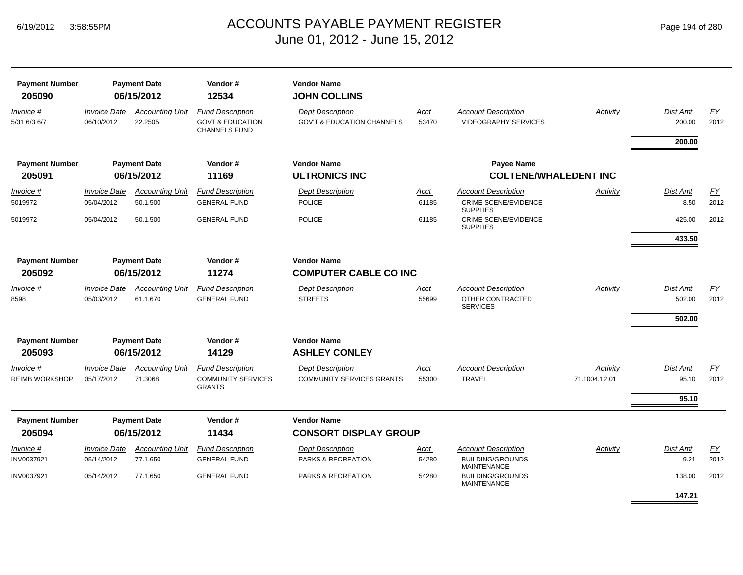|  | Page 194 of 280 |  |  |  |
|--|-----------------|--|--|--|
|--|-----------------|--|--|--|

| <b>Payment Number</b><br>205090    |                                   | <b>Payment Date</b><br>06/15/2012 | Vendor#<br>12534                                                               | <b>Vendor Name</b><br><b>JOHN COLLINS</b>                        |               |                                                           |                           |                                     |                          |
|------------------------------------|-----------------------------------|-----------------------------------|--------------------------------------------------------------------------------|------------------------------------------------------------------|---------------|-----------------------------------------------------------|---------------------------|-------------------------------------|--------------------------|
| Invoice #<br>5/31 6/3 6/7          | <b>Invoice Date</b><br>06/10/2012 | <b>Accounting Unit</b><br>22.2505 | <b>Fund Description</b><br><b>GOVT &amp; EDUCATION</b><br><b>CHANNELS FUND</b> | <b>Dept Description</b><br><b>GOV'T &amp; EDUCATION CHANNELS</b> | Acct<br>53470 | <b>Account Description</b><br><b>VIDEOGRAPHY SERVICES</b> | <b>Activity</b>           | <b>Dist Amt</b><br>200.00<br>200.00 | EY<br>2012               |
| <b>Payment Number</b>              |                                   | <b>Payment Date</b>               | Vendor#                                                                        | <b>Vendor Name</b>                                               |               | <b>Payee Name</b>                                         |                           |                                     |                          |
| 205091                             |                                   | 06/15/2012                        | 11169                                                                          | <b>ULTRONICS INC</b>                                             |               | <b>COLTENE/WHALEDENT INC</b>                              |                           |                                     |                          |
| <i>Invoice</i> #                   | <b>Invoice Date</b>               | <b>Accounting Unit</b>            | <b>Fund Description</b>                                                        | <b>Dept Description</b>                                          | Acct          | <b>Account Description</b>                                | Activity                  | <b>Dist Amt</b>                     | <u>FY</u>                |
| 5019972                            | 05/04/2012                        | 50.1.500                          | <b>GENERAL FUND</b>                                                            | <b>POLICE</b>                                                    | 61185         | <b>CRIME SCENE/EVIDENCE</b><br><b>SUPPLIES</b>            |                           | 8.50                                | 2012                     |
| 5019972                            | 05/04/2012                        | 50.1.500                          | <b>GENERAL FUND</b>                                                            | <b>POLICE</b>                                                    | 61185         | <b>CRIME SCENE/EVIDENCE</b><br><b>SUPPLIES</b>            |                           | 425.00                              | 2012                     |
|                                    |                                   |                                   |                                                                                |                                                                  |               |                                                           |                           | 433.50                              |                          |
| <b>Payment Number</b>              |                                   | <b>Payment Date</b>               | Vendor#                                                                        | <b>Vendor Name</b>                                               |               |                                                           |                           |                                     |                          |
| 205092                             |                                   | 06/15/2012                        | 11274                                                                          | <b>COMPUTER CABLE CO INC</b>                                     |               |                                                           |                           |                                     |                          |
| Invoice #                          | <i><b>Invoice Date</b></i>        | <b>Accounting Unit</b>            | <b>Fund Description</b>                                                        | <b>Dept Description</b>                                          | Acct          | <b>Account Description</b>                                | Activity                  | Dist Amt                            | FY                       |
| 8598                               | 05/03/2012                        | 61.1.670                          | <b>GENERAL FUND</b>                                                            | <b>STREETS</b>                                                   | 55699         | OTHER CONTRACTED<br><b>SERVICES</b>                       |                           | 502.00                              | 2012                     |
|                                    |                                   |                                   |                                                                                |                                                                  |               |                                                           |                           | 502.00                              |                          |
| <b>Payment Number</b>              |                                   | <b>Payment Date</b>               | Vendor#                                                                        | <b>Vendor Name</b>                                               |               |                                                           |                           |                                     |                          |
| 205093                             |                                   | 06/15/2012                        | 14129                                                                          | <b>ASHLEY CONLEY</b>                                             |               |                                                           |                           |                                     |                          |
| Invoice #<br><b>REIMB WORKSHOP</b> | <b>Invoice Date</b><br>05/17/2012 | <b>Accounting Unit</b><br>71.3068 | <b>Fund Description</b><br><b>COMMUNITY SERVICES</b>                           | <b>Dept Description</b><br><b>COMMUNITY SERVICES GRANTS</b>      | Acct<br>55300 | <b>Account Description</b><br><b>TRAVEL</b>               | Activity<br>71.1004.12.01 | Dist Amt<br>95.10                   | $\underline{FY}$<br>2012 |
|                                    |                                   |                                   | <b>GRANTS</b>                                                                  |                                                                  |               |                                                           |                           | 95.10                               |                          |
|                                    |                                   |                                   |                                                                                |                                                                  |               |                                                           |                           |                                     |                          |
| <b>Payment Number</b><br>205094    |                                   | <b>Payment Date</b><br>06/15/2012 | Vendor#<br>11434                                                               | <b>Vendor Name</b><br><b>CONSORT DISPLAY GROUP</b>               |               |                                                           |                           |                                     |                          |
| Invoice #                          | <b>Invoice Date</b>               | <b>Accounting Unit</b>            | <b>Fund Description</b>                                                        | <b>Dept Description</b>                                          | Acct          | <b>Account Description</b>                                | Activity                  | <b>Dist Amt</b>                     | EY                       |
| INV0037921                         | 05/14/2012                        | 77.1.650                          | <b>GENERAL FUND</b>                                                            | PARKS & RECREATION                                               | 54280         | <b>BUILDING/GROUNDS</b><br><b>MAINTENANCE</b>             |                           | 9.21                                | 2012                     |
| INV0037921                         | 05/14/2012                        | 77.1.650                          | <b>GENERAL FUND</b>                                                            | PARKS & RECREATION                                               | 54280         | <b>BUILDING/GROUNDS</b><br><b>MAINTENANCE</b>             |                           | 138.00                              | 2012                     |
|                                    |                                   |                                   |                                                                                |                                                                  |               |                                                           |                           | 147.21                              |                          |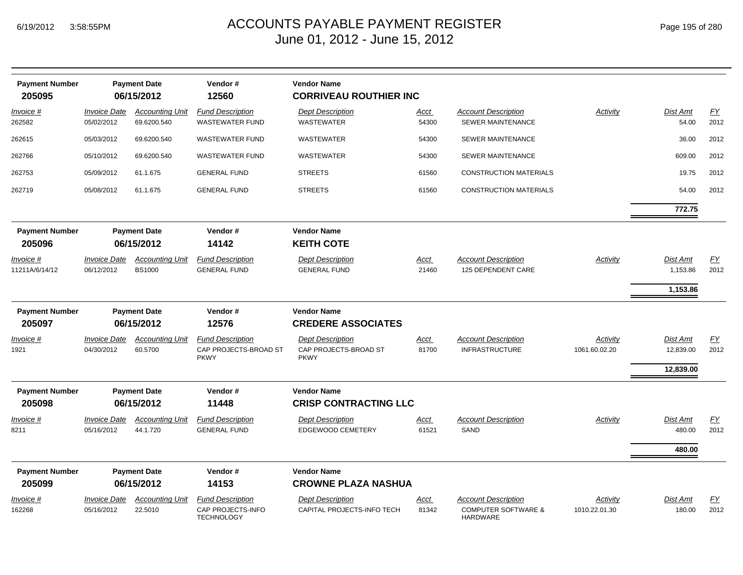| <b>Payment Number</b><br>205095 |                                          | <b>Payment Date</b><br>06/15/2012       | Vendor#<br>12560                                                | <b>Vendor Name</b><br><b>CORRIVEAU ROUTHIER INC</b>             |                      |                                                        |                           |                                           |                          |
|---------------------------------|------------------------------------------|-----------------------------------------|-----------------------------------------------------------------|-----------------------------------------------------------------|----------------------|--------------------------------------------------------|---------------------------|-------------------------------------------|--------------------------|
| Invoice #<br>262582             | <i><b>Invoice Date</b></i><br>05/02/2012 | <b>Accounting Unit</b><br>69.6200.540   | <b>Fund Description</b><br><b>WASTEWATER FUND</b>               | <b>Dept Description</b><br><b>WASTEWATER</b>                    | <u>Acct</u><br>54300 | <b>Account Description</b><br><b>SEWER MAINTENANCE</b> | Activity                  | Dist Amt<br>54.00                         | EY<br>2012               |
| 262615                          | 05/03/2012                               | 69.6200.540                             | <b>WASTEWATER FUND</b>                                          | <b>WASTEWATER</b>                                               | 54300                | SEWER MAINTENANCE                                      |                           | 36.00                                     | 2012                     |
| 262766                          | 05/10/2012                               | 69.6200.540                             | <b>WASTEWATER FUND</b>                                          | WASTEWATER                                                      | 54300                | <b>SEWER MAINTENANCE</b>                               |                           | 609.00                                    | 2012                     |
| 262753                          | 05/09/2012                               | 61.1.675                                | <b>GENERAL FUND</b>                                             | <b>STREETS</b>                                                  | 61560                | <b>CONSTRUCTION MATERIALS</b>                          |                           | 19.75                                     | 2012                     |
| 262719                          | 05/08/2012                               | 61.1.675                                | <b>GENERAL FUND</b>                                             | <b>STREETS</b>                                                  | 61560                | <b>CONSTRUCTION MATERIALS</b>                          |                           | 54.00                                     | 2012                     |
|                                 |                                          |                                         |                                                                 |                                                                 |                      |                                                        |                           | 772.75                                    |                          |
| <b>Payment Number</b><br>205096 |                                          | <b>Payment Date</b><br>06/15/2012       | Vendor#<br>14142                                                | <b>Vendor Name</b><br><b>KEITH COTE</b>                         |                      |                                                        |                           |                                           |                          |
| Invoice #<br>11211A/6/14/12     | <i><b>Invoice Date</b></i><br>06/12/2012 | <b>Accounting Unit</b><br><b>BS1000</b> | <b>Fund Description</b><br><b>GENERAL FUND</b>                  | <b>Dept Description</b><br><b>GENERAL FUND</b>                  | Acct<br>21460        | <b>Account Description</b><br>125 DEPENDENT CARE       | Activity                  | <b>Dist Amt</b><br>1,153.86               | EY<br>2012               |
| <b>Payment Number</b>           |                                          | <b>Payment Date</b>                     | Vendor#                                                         | <b>Vendor Name</b>                                              |                      |                                                        |                           | 1,153.86                                  |                          |
| 205097                          |                                          | 06/15/2012                              | 12576                                                           | <b>CREDERE ASSOCIATES</b>                                       |                      |                                                        |                           |                                           |                          |
| <u>Invoice #</u><br>1921        | Invoice Date<br>04/30/2012               | <b>Accounting Unit</b><br>60.5700       | <b>Fund Description</b><br>CAP PROJECTS-BROAD ST<br><b>PKWY</b> | <b>Dept Description</b><br>CAP PROJECTS-BROAD ST<br><b>PKWY</b> | <u>Acct</u><br>81700 | <b>Account Description</b><br><b>INFRASTRUCTURE</b>    | Activity<br>1061.60.02.20 | <u>Dist Amt</u><br>12,839.00<br>12,839.00 | EY<br>2012               |
| <b>Payment Number</b>           |                                          | <b>Payment Date</b>                     | Vendor#                                                         | <b>Vendor Name</b>                                              |                      |                                                        |                           |                                           |                          |
| 205098                          |                                          | 06/15/2012                              | 11448                                                           | <b>CRISP CONTRACTING LLC</b>                                    |                      |                                                        |                           |                                           |                          |
| Invoice #<br>8211               | <b>Invoice Date</b><br>05/16/2012        | <b>Accounting Unit</b><br>44.1.720      | <b>Fund Description</b><br><b>GENERAL FUND</b>                  | <b>Dept Description</b><br><b>EDGEWOOD CEMETERY</b>             | <u>Acct</u><br>61521 | <b>Account Description</b><br>SAND                     | Activity                  | <b>Dist Amt</b><br>480.00                 | $\underline{FY}$<br>2012 |
|                                 |                                          |                                         |                                                                 |                                                                 |                      |                                                        |                           | 480.00                                    |                          |
| <b>Payment Number</b><br>205099 |                                          | <b>Payment Date</b><br>06/15/2012       | Vendor#<br>14153                                                | <b>Vendor Name</b><br><b>CROWNE PLAZA NASHUA</b>                |                      |                                                        |                           |                                           |                          |
| <u>Invoice #</u>                | <i><b>Invoice Date</b></i>               | <b>Accounting Unit</b>                  | <b>Fund Description</b>                                         | <b>Dept Description</b>                                         | <u>Acct</u>          | <b>Account Description</b>                             | Activity                  | Dist Amt                                  | <u>FY</u>                |
| 162268                          | 05/16/2012                               | 22.5010                                 | CAP PROJECTS-INFO<br><b>TECHNOLOGY</b>                          | CAPITAL PROJECTS-INFO TECH                                      | 81342                | <b>COMPUTER SOFTWARE &amp;</b><br>HARDWARE             | 1010.22.01.30             | 180.00                                    | 2012                     |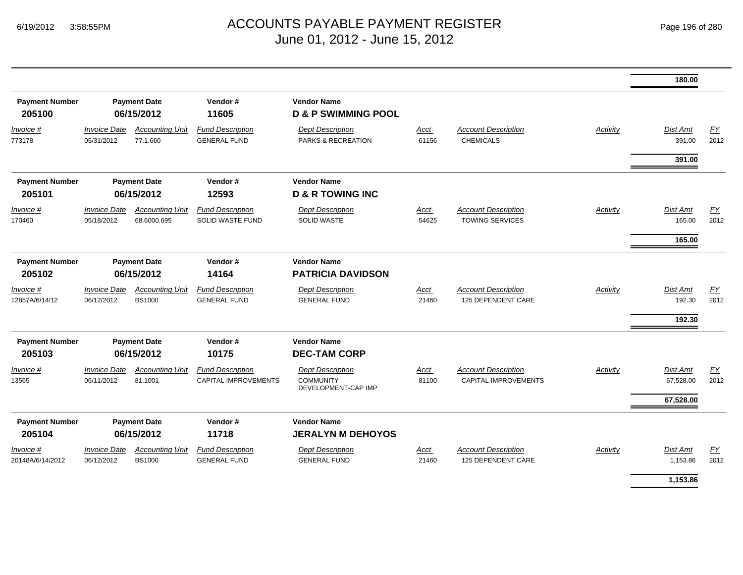|                                      |                                          |                                         |                                                        |                                                                    |                      |                                                      |                 | 180.00                              |                          |
|--------------------------------------|------------------------------------------|-----------------------------------------|--------------------------------------------------------|--------------------------------------------------------------------|----------------------|------------------------------------------------------|-----------------|-------------------------------------|--------------------------|
| <b>Payment Number</b><br>205100      |                                          | <b>Payment Date</b><br>06/15/2012       | Vendor#<br>11605                                       | <b>Vendor Name</b><br><b>D &amp; P SWIMMING POOL</b>               |                      |                                                      |                 |                                     |                          |
| Invoice #<br>773178                  | <b>Invoice Date</b><br>05/31/2012        | <b>Accounting Unit</b><br>77.1.660      | <b>Fund Description</b><br><b>GENERAL FUND</b>         | <b>Dept Description</b><br><b>PARKS &amp; RECREATION</b>           | Acct<br>61156        | <b>Account Description</b><br><b>CHEMICALS</b>       | Activity        | <b>Dist Amt</b><br>391.00           | EY<br>2012               |
|                                      |                                          |                                         |                                                        |                                                                    |                      |                                                      |                 | 391.00                              |                          |
| <b>Payment Number</b><br>205101      |                                          | <b>Payment Date</b><br>06/15/2012       | Vendor#<br>12593                                       | <b>Vendor Name</b><br><b>D &amp; R TOWING INC</b>                  |                      |                                                      |                 |                                     |                          |
| Invoice #<br>170460                  | <i><b>Invoice Date</b></i><br>05/18/2012 | <b>Accounting Unit</b><br>68.6000.695   | <b>Fund Description</b><br>SOLID WASTE FUND            | <b>Dept Description</b><br><b>SOLID WASTE</b>                      | Acct<br>54625        | <b>Account Description</b><br><b>TOWING SERVICES</b> | Activity        | Dist Amt<br>165.00                  | EY<br>2012               |
|                                      |                                          |                                         |                                                        |                                                                    |                      |                                                      |                 | 165.00                              |                          |
| <b>Payment Number</b><br>205102      |                                          | <b>Payment Date</b><br>06/15/2012       | Vendor#<br>14164                                       | <b>Vendor Name</b><br><b>PATRICIA DAVIDSON</b>                     |                      |                                                      |                 |                                     |                          |
| Invoice #<br>12857A/6/14/12          | <b>Invoice Date</b><br>06/12/2012        | <b>Accounting Unit</b><br><b>BS1000</b> | <b>Fund Description</b><br><b>GENERAL FUND</b>         | <b>Dept Description</b><br><b>GENERAL FUND</b>                     | <u>Acct</u><br>21460 | <b>Account Description</b><br>125 DEPENDENT CARE     | <b>Activity</b> | <b>Dist Amt</b><br>192.30<br>192.30 | $\underline{FY}$<br>2012 |
| <b>Payment Number</b>                |                                          | <b>Payment Date</b>                     | Vendor#                                                | <b>Vendor Name</b>                                                 |                      |                                                      |                 |                                     |                          |
| 205103                               |                                          | 06/15/2012                              | 10175                                                  | <b>DEC-TAM CORP</b>                                                |                      |                                                      |                 |                                     |                          |
| Invoice #<br>13565                   | <b>Invoice Date</b><br>06/11/2012        | <b>Accounting Unit</b><br>81.1001       | <b>Fund Description</b><br><b>CAPITAL IMPROVEMENTS</b> | <b>Dept Description</b><br><b>COMMUNITY</b><br>DEVELOPMENT-CAP IMP | Acct<br>81100        | <b>Account Description</b><br>CAPITAL IMPROVEMENTS   | Activity        | <b>Dist Amt</b><br>67,528.00        | EY<br>2012               |
|                                      |                                          |                                         |                                                        |                                                                    |                      |                                                      |                 | 67,528.00                           |                          |
| <b>Payment Number</b><br>205104      |                                          | <b>Payment Date</b><br>06/15/2012       | Vendor#<br>11718                                       | <b>Vendor Name</b><br><b>JERALYN M DEHOYOS</b>                     |                      |                                                      |                 |                                     |                          |
| <i>Invoice</i> #<br>20148A/6/14/2012 | <b>Invoice Date</b><br>06/12/2012        | <b>Accounting Unit</b><br><b>BS1000</b> | <b>Fund Description</b><br><b>GENERAL FUND</b>         | <b>Dept Description</b><br><b>GENERAL FUND</b>                     | Acct<br>21460        | <b>Account Description</b><br>125 DEPENDENT CARE     | Activity        | Dist Amt<br>1,153.86                | EY<br>2012               |
|                                      |                                          |                                         |                                                        |                                                                    |                      |                                                      |                 | 1,153.86                            |                          |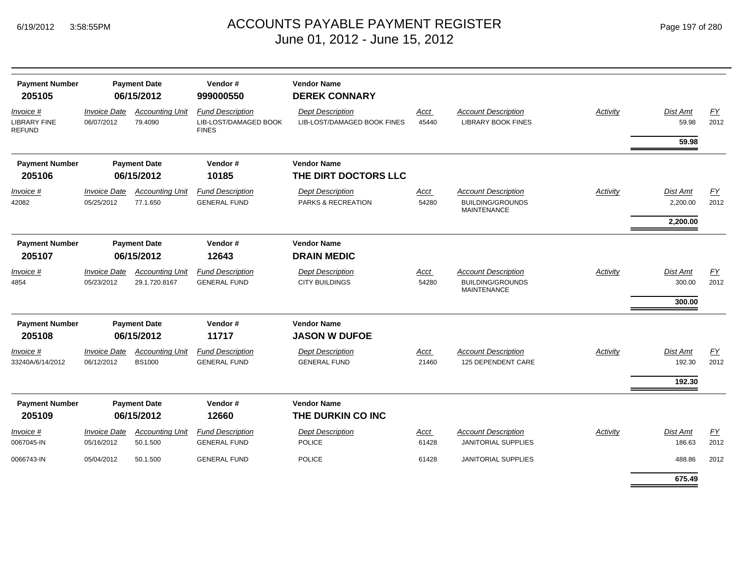|  | Page 197 of 280 |  |  |  |
|--|-----------------|--|--|--|
|--|-----------------|--|--|--|

| <b>Payment Number</b><br>205105                   |                                   | <b>Payment Date</b><br>06/15/2012       | Vendor#<br>999000550                                             | <b>Vendor Name</b><br><b>DEREK CONNARY</b>             |               |                                                                             |                 |                              |            |
|---------------------------------------------------|-----------------------------------|-----------------------------------------|------------------------------------------------------------------|--------------------------------------------------------|---------------|-----------------------------------------------------------------------------|-----------------|------------------------------|------------|
| Invoice #<br><b>LIBRARY FINE</b><br><b>REFUND</b> | <b>Invoice Date</b><br>06/07/2012 | <b>Accounting Unit</b><br>79.4090       | <b>Fund Description</b><br>LIB-LOST/DAMAGED BOOK<br><b>FINES</b> | <b>Dept Description</b><br>LIB-LOST/DAMAGED BOOK FINES | Acct<br>45440 | <b>Account Description</b><br><b>LIBRARY BOOK FINES</b>                     | Activity        | Dist Amt<br>59.98            | EY<br>2012 |
|                                                   |                                   |                                         |                                                                  |                                                        |               |                                                                             |                 | 59.98                        |            |
| <b>Payment Number</b>                             |                                   | <b>Payment Date</b>                     | Vendor#                                                          | <b>Vendor Name</b>                                     |               |                                                                             |                 |                              |            |
| 205106                                            |                                   | 06/15/2012                              | 10185                                                            | THE DIRT DOCTORS LLC                                   |               |                                                                             |                 |                              |            |
| Invoice #<br>42082                                | <b>Invoice Date</b><br>05/25/2012 | <b>Accounting Unit</b><br>77.1.650      | <b>Fund Description</b><br><b>GENERAL FUND</b>                   | <b>Dept Description</b><br>PARKS & RECREATION          | Acct<br>54280 | <b>Account Description</b><br><b>BUILDING/GROUNDS</b><br><b>MAINTENANCE</b> | <b>Activity</b> | Dist Amt<br>2,200.00         | EY<br>2012 |
|                                                   |                                   |                                         |                                                                  |                                                        |               |                                                                             |                 | 2,200.00                     |            |
| <b>Payment Number</b>                             |                                   | <b>Payment Date</b>                     | Vendor#                                                          | <b>Vendor Name</b>                                     |               |                                                                             |                 |                              |            |
| 205107                                            |                                   | 06/15/2012                              | 12643                                                            | <b>DRAIN MEDIC</b>                                     |               |                                                                             |                 |                              |            |
| Invoice #<br>4854                                 | <b>Invoice Date</b><br>05/23/2012 | <b>Accounting Unit</b><br>29.1.720.8167 | <b>Fund Description</b><br><b>GENERAL FUND</b>                   | <b>Dept Description</b><br><b>CITY BUILDINGS</b>       | Acct<br>54280 | <b>Account Description</b><br><b>BUILDING/GROUNDS</b><br><b>MAINTENANCE</b> | Activity        | Dist Amt<br>300.00<br>300.00 | EY<br>2012 |
| <b>Payment Number</b>                             |                                   | <b>Payment Date</b>                     | Vendor#                                                          | <b>Vendor Name</b>                                     |               |                                                                             |                 |                              |            |
| 205108                                            |                                   | 06/15/2012                              | 11717                                                            | <b>JASON W DUFOE</b>                                   |               |                                                                             |                 |                              |            |
| Invoice #<br>33240A/6/14/2012                     | <b>Invoice Date</b><br>06/12/2012 | <b>Accounting Unit</b><br><b>BS1000</b> | <b>Fund Description</b><br><b>GENERAL FUND</b>                   | <b>Dept Description</b><br><b>GENERAL FUND</b>         | Acct<br>21460 | <b>Account Description</b><br>125 DEPENDENT CARE                            | Activity        | Dist Amt<br>192.30           | EY<br>2012 |
|                                                   |                                   |                                         |                                                                  |                                                        |               |                                                                             |                 | 192.30                       |            |
| <b>Payment Number</b><br>205109                   |                                   | <b>Payment Date</b><br>06/15/2012       | Vendor#<br>12660                                                 | <b>Vendor Name</b><br>THE DURKIN CO INC                |               |                                                                             |                 |                              |            |
| Invoice #                                         | <b>Invoice Date</b>               | <b>Accounting Unit</b>                  | <b>Fund Description</b>                                          | <b>Dept Description</b>                                | Acct          | <b>Account Description</b>                                                  | Activity        | Dist Amt                     | EY         |
| 0067045-IN                                        | 05/16/2012                        | 50.1.500                                | <b>GENERAL FUND</b>                                              | <b>POLICE</b>                                          | 61428         | <b>JANITORIAL SUPPLIES</b>                                                  |                 | 186.63                       | 2012       |
| 0066743-IN                                        | 05/04/2012                        | 50.1.500                                | <b>GENERAL FUND</b>                                              | <b>POLICE</b>                                          | 61428         | <b>JANITORIAL SUPPLIES</b>                                                  |                 | 488.86                       | 2012       |
|                                                   |                                   |                                         |                                                                  |                                                        |               |                                                                             |                 | 675.49                       |            |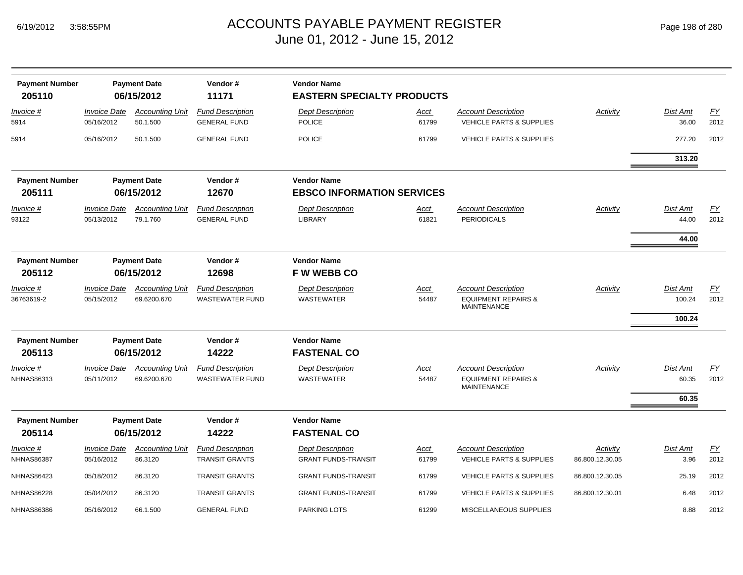| <b>Payment Number</b><br>205110 |                                   | <b>Payment Date</b><br>06/15/2012     | Vendor#<br>11171                                  | <b>Vendor Name</b><br><b>EASTERN SPECIALTY PRODUCTS</b> |                      |                                                                                    |                             |                              |            |
|---------------------------------|-----------------------------------|---------------------------------------|---------------------------------------------------|---------------------------------------------------------|----------------------|------------------------------------------------------------------------------------|-----------------------------|------------------------------|------------|
| Invoice #<br>5914               | <b>Invoice Date</b><br>05/16/2012 | <b>Accounting Unit</b><br>50.1.500    | <b>Fund Description</b><br><b>GENERAL FUND</b>    | <b>Dept Description</b><br><b>POLICE</b>                | <u>Acct</u><br>61799 | <b>Account Description</b><br><b>VEHICLE PARTS &amp; SUPPLIES</b>                  | Activity                    | Dist Amt<br>36.00            | EY<br>2012 |
| 5914                            | 05/16/2012                        | 50.1.500                              | <b>GENERAL FUND</b>                               | <b>POLICE</b>                                           | 61799                | <b>VEHICLE PARTS &amp; SUPPLIES</b>                                                |                             | 277.20                       | 2012       |
|                                 |                                   |                                       |                                                   |                                                         |                      |                                                                                    |                             | 313.20                       |            |
| <b>Payment Number</b><br>205111 |                                   | <b>Payment Date</b><br>06/15/2012     | Vendor#<br>12670                                  | <b>Vendor Name</b><br><b>EBSCO INFORMATION SERVICES</b> |                      |                                                                                    |                             |                              |            |
| Invoice #<br>93122              | <b>Invoice Date</b><br>05/13/2012 | <b>Accounting Unit</b><br>79.1.760    | <b>Fund Description</b><br><b>GENERAL FUND</b>    | <b>Dept Description</b><br><b>LIBRARY</b>               | <u>Acct</u><br>61821 | <b>Account Description</b><br><b>PERIODICALS</b>                                   | Activity                    | Dist Amt<br>44.00            | EY<br>2012 |
|                                 |                                   |                                       |                                                   |                                                         |                      |                                                                                    |                             | 44.00                        |            |
| <b>Payment Number</b><br>205112 |                                   | <b>Payment Date</b><br>06/15/2012     | Vendor#<br>12698                                  | <b>Vendor Name</b><br><b>FW WEBB CO</b>                 |                      |                                                                                    |                             |                              |            |
| <i>Invoice</i> #<br>36763619-2  | <b>Invoice Date</b><br>05/15/2012 | <b>Accounting Unit</b><br>69.6200.670 | <b>Fund Description</b><br><b>WASTEWATER FUND</b> | <b>Dept Description</b><br><b>WASTEWATER</b>            | <u>Acct</u><br>54487 | <b>Account Description</b><br><b>EQUIPMENT REPAIRS &amp;</b><br><b>MAINTENANCE</b> | <b>Activity</b>             | Dist Amt<br>100.24<br>100.24 | EY<br>2012 |
| <b>Payment Number</b><br>205113 |                                   | <b>Payment Date</b><br>06/15/2012     | Vendor#<br>14222                                  | <b>Vendor Name</b><br><b>FASTENAL CO</b>                |                      |                                                                                    |                             |                              |            |
| Invoice #<br><b>NHNAS86313</b>  | <b>Invoice Date</b><br>05/11/2012 | <b>Accounting Unit</b><br>69.6200.670 | <b>Fund Description</b><br><b>WASTEWATER FUND</b> | <b>Dept Description</b><br><b>WASTEWATER</b>            | Acct<br>54487        | <b>Account Description</b><br><b>EQUIPMENT REPAIRS &amp;</b><br><b>MAINTENANCE</b> | Activity                    | Dist Amt<br>60.35<br>60.35   | EY<br>2012 |
| <b>Payment Number</b><br>205114 |                                   | <b>Payment Date</b><br>06/15/2012     | Vendor#<br>14222                                  | <b>Vendor Name</b><br><b>FASTENAL CO</b>                |                      |                                                                                    |                             |                              |            |
| Invoice #<br><b>NHNAS86387</b>  | <b>Invoice Date</b><br>05/16/2012 | <b>Accounting Unit</b><br>86.3120     | <b>Fund Description</b><br><b>TRANSIT GRANTS</b>  | <b>Dept Description</b><br><b>GRANT FUNDS-TRANSIT</b>   | <u>Acct</u><br>61799 | <b>Account Description</b><br><b>VEHICLE PARTS &amp; SUPPLIES</b>                  | Activity<br>86.800.12.30.05 | Dist Amt<br>3.96             | EY<br>2012 |
| <b>NHNAS86423</b>               | 05/18/2012                        | 86.3120                               | <b>TRANSIT GRANTS</b>                             | <b>GRANT FUNDS-TRANSIT</b>                              | 61799                | <b>VEHICLE PARTS &amp; SUPPLIES</b>                                                | 86.800.12.30.05             | 25.19                        | 2012       |
| <b>NHNAS86228</b>               | 05/04/2012                        | 86.3120                               | <b>TRANSIT GRANTS</b>                             | <b>GRANT FUNDS-TRANSIT</b>                              | 61799                | <b>VEHICLE PARTS &amp; SUPPLIES</b>                                                | 86.800.12.30.01             | 6.48                         | 2012       |
| <b>NHNAS86386</b>               | 05/16/2012                        | 66.1.500                              | <b>GENERAL FUND</b>                               | <b>PARKING LOTS</b>                                     | 61299                | MISCELLANEOUS SUPPLIES                                                             |                             | 8.88                         | 2012       |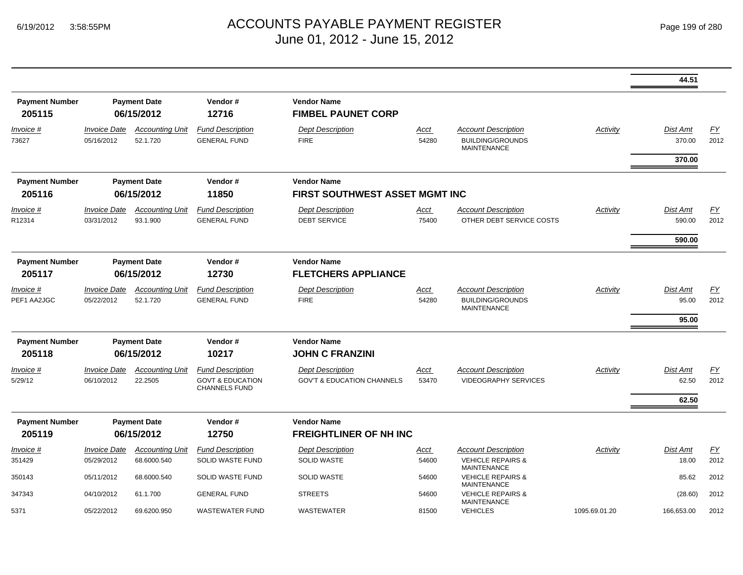|                                 |                                          |                                       |                                                                                |                                                                  |                      |                                                                                  |               | 44.51                     |                   |
|---------------------------------|------------------------------------------|---------------------------------------|--------------------------------------------------------------------------------|------------------------------------------------------------------|----------------------|----------------------------------------------------------------------------------|---------------|---------------------------|-------------------|
| <b>Payment Number</b><br>205115 |                                          | <b>Payment Date</b><br>06/15/2012     | Vendor#<br>12716                                                               | <b>Vendor Name</b><br><b>FIMBEL PAUNET CORP</b>                  |                      |                                                                                  |               |                           |                   |
| Invoice #<br>73627              | <i><b>Invoice Date</b></i><br>05/16/2012 | <b>Accounting Unit</b><br>52.1.720    | <b>Fund Description</b><br><b>GENERAL FUND</b>                                 | <b>Dept Description</b><br><b>FIRE</b>                           | Acct<br>54280        | <b>Account Description</b><br><b>BUILDING/GROUNDS</b><br><b>MAINTENANCE</b>      | Activity      | <b>Dist Amt</b><br>370.00 | EY<br>2012        |
| <b>Payment Number</b><br>205116 |                                          | <b>Payment Date</b><br>06/15/2012     | Vendor#<br>11850                                                               | <b>Vendor Name</b><br>FIRST SOUTHWEST ASSET MGMT INC             |                      |                                                                                  |               | 370.00                    |                   |
| <u>Invoice #</u><br>R12314      | <i><b>Invoice Date</b></i><br>03/31/2012 | <b>Accounting Unit</b><br>93.1.900    | <b>Fund Description</b><br><b>GENERAL FUND</b>                                 | <b>Dept Description</b><br><b>DEBT SERVICE</b>                   | Acct<br>75400        | <b>Account Description</b><br>OTHER DEBT SERVICE COSTS                           | Activity      | <b>Dist Amt</b><br>590.00 | <u>FY</u><br>2012 |
|                                 |                                          |                                       |                                                                                |                                                                  |                      |                                                                                  |               | 590.00                    |                   |
| <b>Payment Number</b><br>205117 |                                          | <b>Payment Date</b><br>06/15/2012     | Vendor#<br>12730                                                               | <b>Vendor Name</b><br><b>FLETCHERS APPLIANCE</b>                 |                      |                                                                                  |               |                           |                   |
| Invoice #<br>PEF1 AA2JGC        | <b>Invoice Date</b><br>05/22/2012        | <b>Accounting Unit</b><br>52.1.720    | <b>Fund Description</b><br><b>GENERAL FUND</b>                                 | <b>Dept Description</b><br><b>FIRE</b>                           | <u>Acct</u><br>54280 | <b>Account Description</b><br><b>BUILDING/GROUNDS</b><br><b>MAINTENANCE</b>      | Activity      | Dist Amt<br>95.00         | EY<br>2012        |
|                                 |                                          |                                       |                                                                                |                                                                  |                      |                                                                                  |               | 95.00                     |                   |
| <b>Payment Number</b><br>205118 |                                          | <b>Payment Date</b><br>06/15/2012     | Vendor#<br>10217                                                               | <b>Vendor Name</b><br><b>JOHN C FRANZINI</b>                     |                      |                                                                                  |               |                           |                   |
| Invoice #<br>5/29/12            | <b>Invoice Date</b><br>06/10/2012        | <b>Accounting Unit</b><br>22.2505     | <b>Fund Description</b><br><b>GOVT &amp; EDUCATION</b><br><b>CHANNELS FUND</b> | <b>Dept Description</b><br><b>GOV'T &amp; EDUCATION CHANNELS</b> | Acct<br>53470        | <b>Account Description</b><br><b>VIDEOGRAPHY SERVICES</b>                        | Activity      | <b>Dist Amt</b><br>62.50  | EY<br>2012        |
|                                 |                                          |                                       |                                                                                |                                                                  |                      |                                                                                  |               | 62.50                     |                   |
| <b>Payment Number</b><br>205119 |                                          | <b>Payment Date</b><br>06/15/2012     | Vendor#<br>12750                                                               | <b>Vendor Name</b><br><b>FREIGHTLINER OF NH INC</b>              |                      |                                                                                  |               |                           |                   |
| Invoice #<br>351429             | <i><b>Invoice Date</b></i><br>05/29/2012 | <b>Accounting Unit</b><br>68.6000.540 | <b>Fund Description</b><br>SOLID WASTE FUND                                    | <b>Dept Description</b><br><b>SOLID WASTE</b>                    | <u>Acct</u><br>54600 | <b>Account Description</b><br><b>VEHICLE REPAIRS &amp;</b><br><b>MAINTENANCE</b> | Activity      | <b>Dist Amt</b><br>18.00  | EY<br>2012        |
| 350143                          | 05/11/2012                               | 68.6000.540                           | SOLID WASTE FUND                                                               | <b>SOLID WASTE</b>                                               | 54600                | <b>VEHICLE REPAIRS &amp;</b><br><b>MAINTENANCE</b>                               |               | 85.62                     | 2012              |
| 347343                          | 04/10/2012                               | 61.1.700                              | <b>GENERAL FUND</b>                                                            | <b>STREETS</b>                                                   | 54600                | <b>VEHICLE REPAIRS &amp;</b><br><b>MAINTENANCE</b>                               |               | (28.60)                   | 2012              |
| 5371                            | 05/22/2012                               | 69.6200.950                           | <b>WASTEWATER FUND</b>                                                         | <b>WASTEWATER</b>                                                | 81500                | <b>VEHICLES</b>                                                                  | 1095.69.01.20 | 166,653.00                | 2012              |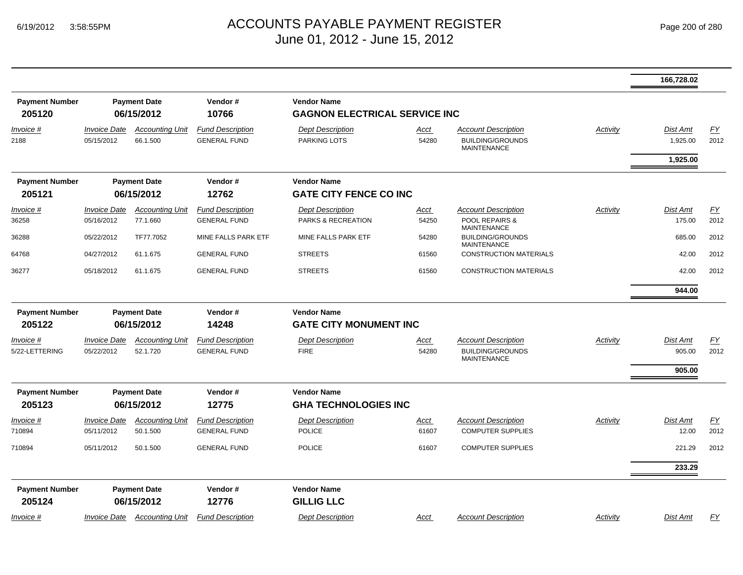|                       |                            |                        |                         |                                      |             |                                               |                 | 166,728.02      |                  |
|-----------------------|----------------------------|------------------------|-------------------------|--------------------------------------|-------------|-----------------------------------------------|-----------------|-----------------|------------------|
| <b>Payment Number</b> |                            | <b>Payment Date</b>    | Vendor#                 | <b>Vendor Name</b>                   |             |                                               |                 |                 |                  |
| 205120                |                            | 06/15/2012             | 10766                   | <b>GAGNON ELECTRICAL SERVICE INC</b> |             |                                               |                 |                 |                  |
| Invoice #             | <b>Invoice Date</b>        | <b>Accounting Unit</b> | <b>Fund Description</b> | <b>Dept Description</b>              | <u>Acct</u> | <b>Account Description</b>                    | <b>Activity</b> | Dist Amt        | EY               |
| 2188                  | 05/15/2012                 | 66.1.500               | <b>GENERAL FUND</b>     | <b>PARKING LOTS</b>                  | 54280       | <b>BUILDING/GROUNDS</b><br><b>MAINTENANCE</b> |                 | 1,925.00        | 2012             |
|                       |                            |                        |                         |                                      |             |                                               |                 | 1,925.00        |                  |
| <b>Payment Number</b> |                            | <b>Payment Date</b>    | Vendor#                 | <b>Vendor Name</b>                   |             |                                               |                 |                 |                  |
| 205121                |                            | 06/15/2012             | 12762                   | <b>GATE CITY FENCE CO INC</b>        |             |                                               |                 |                 |                  |
| Invoice #             | <i><b>Invoice Date</b></i> | <b>Accounting Unit</b> | <b>Fund Description</b> | <b>Dept Description</b>              | <u>Acct</u> | <b>Account Description</b>                    | Activity        | <b>Dist Amt</b> | EY               |
| 36258                 | 05/16/2012                 | 77.1.660               | <b>GENERAL FUND</b>     | PARKS & RECREATION                   | 54250       | POOL REPAIRS &<br><b>MAINTENANCE</b>          |                 | 175.00          | 2012             |
| 36288                 | 05/22/2012                 | TF77.7052              | MINE FALLS PARK ETF     | MINE FALLS PARK ETF                  | 54280       | <b>BUILDING/GROUNDS</b><br><b>MAINTENANCE</b> |                 | 685.00          | 2012             |
| 64768                 | 04/27/2012                 | 61.1.675               | <b>GENERAL FUND</b>     | <b>STREETS</b>                       | 61560       | <b>CONSTRUCTION MATERIALS</b>                 |                 | 42.00           | 2012             |
| 36277                 | 05/18/2012                 | 61.1.675               | <b>GENERAL FUND</b>     | <b>STREETS</b>                       | 61560       | <b>CONSTRUCTION MATERIALS</b>                 |                 | 42.00           | 2012             |
|                       |                            |                        |                         |                                      |             |                                               |                 | 944.00          |                  |
| <b>Payment Number</b> |                            | <b>Payment Date</b>    | Vendor#                 | <b>Vendor Name</b>                   |             |                                               |                 |                 |                  |
| 205122                |                            | 06/15/2012             | 14248                   | <b>GATE CITY MONUMENT INC</b>        |             |                                               |                 |                 |                  |
| <i>Invoice</i> #      | <i><b>Invoice Date</b></i> | <b>Accounting Unit</b> | <b>Fund Description</b> | <b>Dept Description</b>              | Acct        | <b>Account Description</b>                    | Activity        | <b>Dist Amt</b> | EY               |
| 5/22-LETTERING        | 05/22/2012                 | 52.1.720               | <b>GENERAL FUND</b>     | <b>FIRE</b>                          | 54280       | <b>BUILDING/GROUNDS</b><br><b>MAINTENANCE</b> |                 | 905.00          | 2012             |
|                       |                            |                        |                         |                                      |             |                                               |                 | 905.00          |                  |
| <b>Payment Number</b> |                            | <b>Payment Date</b>    | Vendor#                 | <b>Vendor Name</b>                   |             |                                               |                 |                 |                  |
| 205123                |                            | 06/15/2012             | 12775                   | <b>GHA TECHNOLOGIES INC</b>          |             |                                               |                 |                 |                  |
| Invoice #             | <i><b>Invoice Date</b></i> | <b>Accounting Unit</b> | <b>Fund Description</b> | <b>Dept Description</b>              | Acct        | <b>Account Description</b>                    | Activity        | Dist Amt        | $\underline{FY}$ |
| 710894                | 05/11/2012                 | 50.1.500               | <b>GENERAL FUND</b>     | <b>POLICE</b>                        | 61607       | <b>COMPUTER SUPPLIES</b>                      |                 | 12.00           | 2012             |
| 710894                | 05/11/2012                 | 50.1.500               | <b>GENERAL FUND</b>     | <b>POLICE</b>                        | 61607       | <b>COMPUTER SUPPLIES</b>                      |                 | 221.29          | 2012             |
|                       |                            |                        |                         |                                      |             |                                               |                 | 233.29          |                  |
| <b>Payment Number</b> |                            | <b>Payment Date</b>    | Vendor#                 | <b>Vendor Name</b>                   |             |                                               |                 |                 |                  |
| 205124                |                            | 06/15/2012             | 12776                   | <b>GILLIG LLC</b>                    |             |                                               |                 |                 |                  |
| <u>Invoice #</u>      | <i><b>Invoice Date</b></i> | <b>Accounting Unit</b> | <b>Fund Description</b> | <b>Dept Description</b>              | <u>Acct</u> | <b>Account Description</b>                    | Activity        | Dist Amt        | EY               |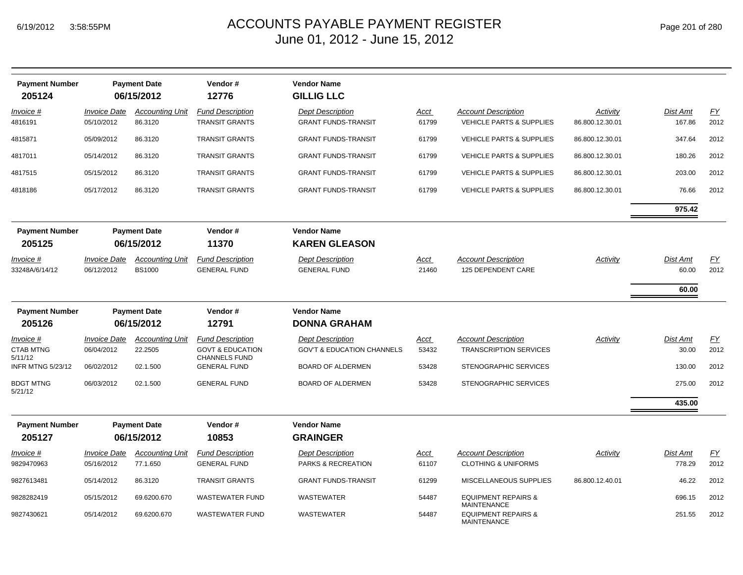| <b>Payment Number</b><br>205124 |                                   | <b>Payment Date</b><br>06/15/2012       | Vendor#<br>12776                                    | <b>Vendor Name</b><br><b>GILLIG LLC</b>               |                      |                                                        |                             |                    |            |
|---------------------------------|-----------------------------------|-----------------------------------------|-----------------------------------------------------|-------------------------------------------------------|----------------------|--------------------------------------------------------|-----------------------------|--------------------|------------|
| Invoice #<br>4816191            | <b>Invoice Date</b><br>05/10/2012 | <b>Accounting Unit</b><br>86.3120       | <b>Fund Description</b><br><b>TRANSIT GRANTS</b>    | <b>Dept Description</b><br><b>GRANT FUNDS-TRANSIT</b> | <b>Acct</b><br>61799 | <b>Account Description</b><br>VEHICLE PARTS & SUPPLIES | Activity<br>86.800.12.30.01 | Dist Amt<br>167.86 | EY<br>2012 |
| 4815871                         | 05/09/2012                        | 86.3120                                 | <b>TRANSIT GRANTS</b>                               | <b>GRANT FUNDS-TRANSIT</b>                            | 61799                | <b>VEHICLE PARTS &amp; SUPPLIES</b>                    | 86.800.12.30.01             | 347.64             | 2012       |
| 4817011                         | 05/14/2012                        | 86.3120                                 | <b>TRANSIT GRANTS</b>                               | <b>GRANT FUNDS-TRANSIT</b>                            | 61799                | <b>VEHICLE PARTS &amp; SUPPLIES</b>                    | 86.800.12.30.01             | 180.26             | 2012       |
| 4817515                         | 05/15/2012                        | 86.3120                                 | <b>TRANSIT GRANTS</b>                               | <b>GRANT FUNDS-TRANSIT</b>                            | 61799                | <b>VEHICLE PARTS &amp; SUPPLIES</b>                    | 86.800.12.30.01             | 203.00             | 2012       |
| 4818186                         | 05/17/2012                        | 86.3120                                 | <b>TRANSIT GRANTS</b>                               | <b>GRANT FUNDS-TRANSIT</b>                            | 61799                | <b>VEHICLE PARTS &amp; SUPPLIES</b>                    | 86.800.12.30.01             | 76.66              | 2012       |
|                                 |                                   |                                         |                                                     |                                                       |                      |                                                        |                             | 975.42             |            |
| <b>Payment Number</b>           |                                   | <b>Payment Date</b>                     | Vendor#                                             | <b>Vendor Name</b>                                    |                      |                                                        |                             |                    |            |
| 205125                          |                                   | 06/15/2012                              | 11370                                               | <b>KAREN GLEASON</b>                                  |                      |                                                        |                             |                    |            |
| Invoice #<br>33248A/6/14/12     | <b>Invoice Date</b><br>06/12/2012 | <b>Accounting Unit</b><br><b>BS1000</b> | <b>Fund Description</b><br><b>GENERAL FUND</b>      | <b>Dept Description</b><br><b>GENERAL FUND</b>        | Acct<br>21460        | <b>Account Description</b><br>125 DEPENDENT CARE       | Activity                    | Dist Amt<br>60.00  | EY<br>2012 |
|                                 |                                   |                                         |                                                     |                                                       |                      |                                                        |                             | 60.00              |            |
| <b>Payment Number</b>           |                                   | <b>Payment Date</b>                     | Vendor#                                             | <b>Vendor Name</b>                                    |                      |                                                        |                             |                    |            |
| 205126                          |                                   | 06/15/2012                              | 12791                                               | <b>DONNA GRAHAM</b>                                   |                      |                                                        |                             |                    |            |
| Invoice #                       | <b>Invoice Date</b>               | <b>Accounting Unit</b>                  | <b>Fund Description</b>                             | <b>Dept Description</b>                               | Acct                 | <b>Account Description</b>                             | Activity                    | Dist Amt           | EY         |
| <b>CTAB MTNG</b><br>5/11/12     | 06/04/2012                        | 22.2505                                 | <b>GOVT &amp; EDUCATION</b><br><b>CHANNELS FUND</b> | <b>GOV'T &amp; EDUCATION CHANNELS</b>                 | 53432                | <b>TRANSCRIPTION SERVICES</b>                          |                             | 30.00              | 2012       |
| INFR MTNG 5/23/12               | 06/02/2012                        | 02.1.500                                | <b>GENERAL FUND</b>                                 | <b>BOARD OF ALDERMEN</b>                              | 53428                | STENOGRAPHIC SERVICES                                  |                             | 130.00             | 2012       |
| <b>BDGT MTNG</b><br>5/21/12     | 06/03/2012                        | 02.1.500                                | <b>GENERAL FUND</b>                                 | <b>BOARD OF ALDERMEN</b>                              | 53428                | STENOGRAPHIC SERVICES                                  |                             | 275.00             | 2012       |
|                                 |                                   |                                         |                                                     |                                                       |                      |                                                        |                             | 435.00             |            |
| <b>Payment Number</b>           |                                   | <b>Payment Date</b>                     | Vendor#                                             | <b>Vendor Name</b>                                    |                      |                                                        |                             |                    |            |
| 205127                          |                                   | 06/15/2012                              | 10853                                               | <b>GRAINGER</b>                                       |                      |                                                        |                             |                    |            |
| Invoice #                       | <b>Invoice Date</b>               | <b>Accounting Unit</b>                  | <b>Fund Description</b>                             | <b>Dept Description</b>                               | Acct                 | <b>Account Description</b>                             | Activity                    | Dist Amt           | EY         |
| 9829470963                      | 05/16/2012                        | 77.1.650                                | <b>GENERAL FUND</b>                                 | PARKS & RECREATION                                    | 61107                | <b>CLOTHING &amp; UNIFORMS</b>                         |                             | 778.29             | 2012       |
| 9827613481                      | 05/14/2012                        | 86.3120                                 | <b>TRANSIT GRANTS</b>                               | <b>GRANT FUNDS-TRANSIT</b>                            | 61299                | MISCELLANEOUS SUPPLIES                                 | 86.800.12.40.01             | 46.22              | 2012       |
| 9828282419                      | 05/15/2012                        | 69.6200.670                             | <b>WASTEWATER FUND</b>                              | WASTEWATER                                            | 54487                | <b>EQUIPMENT REPAIRS &amp;</b><br><b>MAINTENANCE</b>   |                             | 696.15             | 2012       |
| 9827430621                      | 05/14/2012                        | 69.6200.670                             | <b>WASTEWATER FUND</b>                              | WASTEWATER                                            | 54487                | <b>EQUIPMENT REPAIRS &amp;</b><br><b>MAINTENANCE</b>   |                             | 251.55             | 2012       |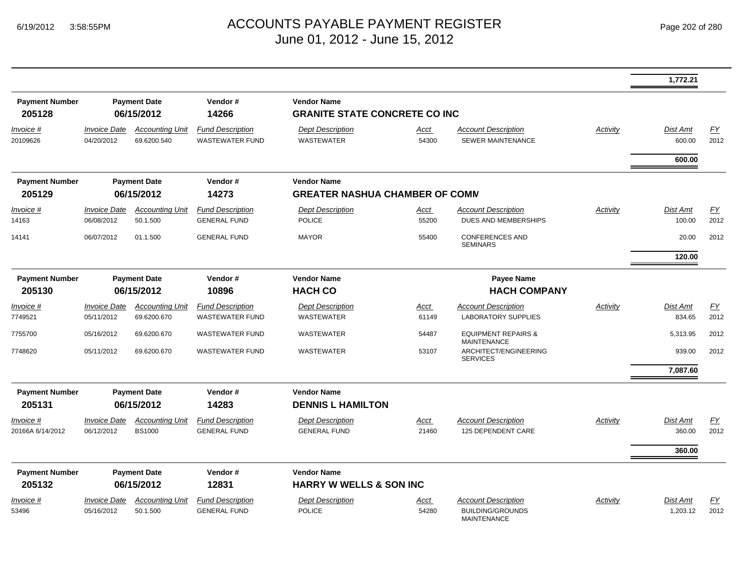|                                 |                                   |                                         |                                                   |                                                             |               |                                                        |          | 1,772.21                  |                          |
|---------------------------------|-----------------------------------|-----------------------------------------|---------------------------------------------------|-------------------------------------------------------------|---------------|--------------------------------------------------------|----------|---------------------------|--------------------------|
| <b>Payment Number</b><br>205128 |                                   | <b>Payment Date</b><br>06/15/2012       | Vendor#<br>14266                                  | <b>Vendor Name</b><br><b>GRANITE STATE CONCRETE CO INC</b>  |               |                                                        |          |                           |                          |
| Invoice #<br>20109626           | <b>Invoice Date</b><br>04/20/2012 | <b>Accounting Unit</b><br>69.6200.540   | <b>Fund Description</b><br><b>WASTEWATER FUND</b> | <b>Dept Description</b><br><b>WASTEWATER</b>                | Acct<br>54300 | <b>Account Description</b><br><b>SEWER MAINTENANCE</b> | Activity | Dist Amt<br>600.00        | EY<br>2012               |
|                                 |                                   |                                         |                                                   |                                                             |               |                                                        |          | 600.00                    |                          |
| <b>Payment Number</b><br>205129 |                                   | <b>Payment Date</b><br>06/15/2012       | Vendor#<br>14273                                  | <b>Vendor Name</b><br><b>GREATER NASHUA CHAMBER OF COMM</b> |               |                                                        |          |                           |                          |
| Invoice #<br>14163              | <b>Invoice Date</b><br>06/08/2012 | <b>Accounting Unit</b><br>50.1.500      | <b>Fund Description</b><br><b>GENERAL FUND</b>    | <b>Dept Description</b><br><b>POLICE</b>                    | Acct<br>55200 | <b>Account Description</b><br>DUES AND MEMBERSHIPS     | Activity | <b>Dist Amt</b><br>100.00 | $\underline{FY}$<br>2012 |
| 14141                           | 06/07/2012                        | 01.1.500                                | <b>GENERAL FUND</b>                               | <b>MAYOR</b>                                                | 55400         | <b>CONFERENCES AND</b><br><b>SEMINARS</b>              |          | 20.00                     | 2012                     |
|                                 |                                   |                                         |                                                   |                                                             |               |                                                        |          | 120.00                    |                          |
| <b>Payment Number</b><br>205130 |                                   | <b>Payment Date</b><br>06/15/2012       | Vendor#<br>10896                                  | <b>Vendor Name</b><br><b>HACH CO</b>                        |               | <b>Payee Name</b><br><b>HACH COMPANY</b>               |          |                           |                          |
| Invoice #                       | <b>Invoice Date</b>               | <b>Accounting Unit</b>                  | <b>Fund Description</b>                           | <b>Dept Description</b>                                     | Acct          | <b>Account Description</b>                             | Activity | Dist Amt                  | EY                       |
| 7749521                         | 05/11/2012                        | 69.6200.670                             | <b>WASTEWATER FUND</b>                            | <b>WASTEWATER</b>                                           | 61149         | <b>LABORATORY SUPPLIES</b>                             |          | 834.65                    | 2012                     |
| 7755700                         | 05/16/2012                        | 69.6200.670                             | <b>WASTEWATER FUND</b>                            | <b>WASTEWATER</b>                                           | 54487         | <b>EQUIPMENT REPAIRS &amp;</b><br>MAINTENANCE          |          | 5,313.95                  | 2012                     |
| 7748620                         | 05/11/2012                        | 69.6200.670                             | <b>WASTEWATER FUND</b>                            | <b>WASTEWATER</b>                                           | 53107         | ARCHITECT/ENGINEERING<br><b>SERVICES</b>               |          | 939.00                    | 2012                     |
|                                 |                                   |                                         |                                                   |                                                             |               |                                                        |          | 7,087.60                  |                          |
| <b>Payment Number</b>           |                                   | <b>Payment Date</b>                     | Vendor#                                           | <b>Vendor Name</b>                                          |               |                                                        |          |                           |                          |
| 205131                          |                                   | 06/15/2012                              | 14283                                             | <b>DENNIS L HAMILTON</b>                                    |               |                                                        |          |                           |                          |
| Invoice #<br>20166A 6/14/2012   | <b>Invoice Date</b><br>06/12/2012 | <b>Accounting Unit</b><br><b>BS1000</b> | <b>Fund Description</b><br><b>GENERAL FUND</b>    | <b>Dept Description</b><br><b>GENERAL FUND</b>              | Acct<br>21460 | <b>Account Description</b><br>125 DEPENDENT CARE       | Activity | <b>Dist Amt</b><br>360.00 | $\underline{FY}$<br>2012 |
|                                 |                                   |                                         |                                                   |                                                             |               |                                                        |          | 360.00                    |                          |
| <b>Payment Number</b><br>205132 |                                   | <b>Payment Date</b><br>06/15/2012       | Vendor#<br>12831                                  | <b>Vendor Name</b><br><b>HARRY W WELLS &amp; SON INC</b>    |               |                                                        |          |                           |                          |
| Invoice #                       | <b>Invoice Date</b>               | <b>Accounting Unit</b>                  | <b>Fund Description</b>                           | <b>Dept Description</b>                                     | Acct          | <b>Account Description</b>                             | Activity | <b>Dist Amt</b>           | <u>FY</u>                |
| 53496                           | 05/16/2012                        | 50.1.500                                | <b>GENERAL FUND</b>                               | <b>POLICE</b>                                               | 54280         | <b>BUILDING/GROUNDS</b><br>MAINTENANCE                 |          | 1,203.12                  | 2012                     |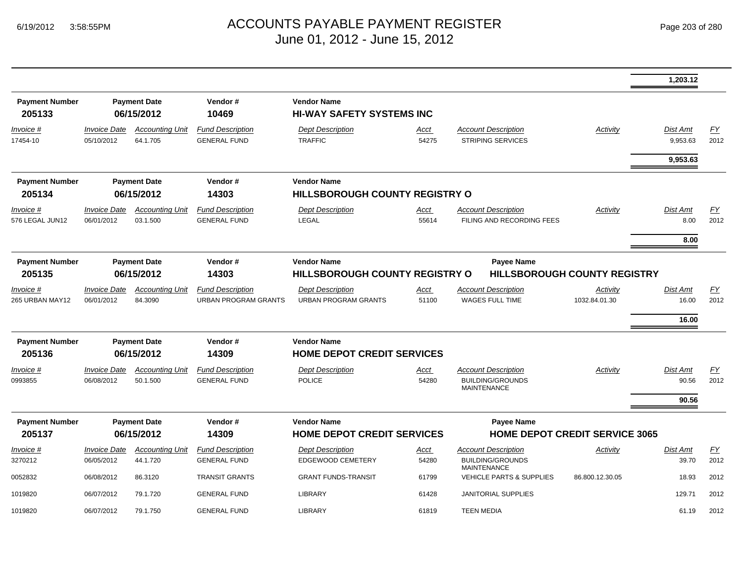|                                 |                                   |                                    |                                                        |                                                         |                      |                                                                             |                           | 1,203.12                   |            |
|---------------------------------|-----------------------------------|------------------------------------|--------------------------------------------------------|---------------------------------------------------------|----------------------|-----------------------------------------------------------------------------|---------------------------|----------------------------|------------|
| <b>Payment Number</b><br>205133 |                                   | <b>Payment Date</b><br>06/15/2012  | Vendor#<br>10469                                       | <b>Vendor Name</b><br><b>HI-WAY SAFETY SYSTEMS INC</b>  |                      |                                                                             |                           |                            |            |
| Invoice #<br>17454-10           | <b>Invoice Date</b><br>05/10/2012 | <b>Accounting Unit</b><br>64.1.705 | <b>Fund Description</b><br><b>GENERAL FUND</b>         | <b>Dept Description</b><br><b>TRAFFIC</b>               | Acct<br>54275        | <b>Account Description</b><br><b>STRIPING SERVICES</b>                      | Activity                  | Dist Amt<br>9,953.63       | EY<br>2012 |
|                                 |                                   |                                    |                                                        |                                                         |                      |                                                                             |                           | 9,953.63                   |            |
| <b>Payment Number</b><br>205134 |                                   | <b>Payment Date</b><br>06/15/2012  | Vendor#<br>14303                                       | <b>Vendor Name</b><br>HILLSBOROUGH COUNTY REGISTRY O    |                      |                                                                             |                           |                            |            |
| Invoice #<br>576 LEGAL JUN12    | <b>Invoice Date</b><br>06/01/2012 | <b>Accounting Unit</b><br>03.1.500 | <b>Fund Description</b><br><b>GENERAL FUND</b>         | <b>Dept Description</b><br>LEGAL                        | Acct<br>55614        | <b>Account Description</b><br>FILING AND RECORDING FEES                     | Activity                  | Dist Amt<br>8.00           | EY<br>2012 |
|                                 |                                   |                                    |                                                        |                                                         |                      |                                                                             |                           | 8.00                       |            |
| <b>Payment Number</b><br>205135 |                                   | <b>Payment Date</b><br>06/15/2012  | Vendor#<br>14303                                       | <b>Vendor Name</b><br>HILLSBOROUGH COUNTY REGISTRY O    |                      | <b>Payee Name</b><br><b>HILLSBOROUGH COUNTY REGISTRY</b>                    |                           |                            |            |
| Invoice #<br>265 URBAN MAY12    | <b>Invoice Date</b><br>06/01/2012 | <b>Accounting Unit</b><br>84.3090  | <b>Fund Description</b><br><b>URBAN PROGRAM GRANTS</b> | <b>Dept Description</b><br><b>URBAN PROGRAM GRANTS</b>  | Acct<br>51100        | <b>Account Description</b><br><b>WAGES FULL TIME</b>                        | Activity<br>1032.84.01.30 | Dist Amt<br>16.00<br>16.00 | EY<br>2012 |
| <b>Payment Number</b><br>205136 |                                   | <b>Payment Date</b><br>06/15/2012  | Vendor#<br>14309                                       | <b>Vendor Name</b><br><b>HOME DEPOT CREDIT SERVICES</b> |                      |                                                                             |                           |                            |            |
| <u>Invoice #</u><br>0993855     | <b>Invoice Date</b><br>06/08/2012 | <b>Accounting Unit</b><br>50.1.500 | <b>Fund Description</b><br><b>GENERAL FUND</b>         | <b>Dept Description</b><br><b>POLICE</b>                | <u>Acct</u><br>54280 | <b>Account Description</b><br><b>BUILDING/GROUNDS</b><br><b>MAINTENANCE</b> | Activity                  | Dist Amt<br>90.56<br>90.56 | EY<br>2012 |
| <b>Payment Number</b><br>205137 |                                   | <b>Payment Date</b><br>06/15/2012  | Vendor#<br>14309                                       | <b>Vendor Name</b><br><b>HOME DEPOT CREDIT SERVICES</b> |                      | <b>Payee Name</b><br><b>HOME DEPOT CREDIT SERVICE 3065</b>                  |                           |                            |            |
| Invoice #<br>3270212            | <b>Invoice Date</b><br>06/05/2012 | <b>Accounting Unit</b><br>44.1.720 | <b>Fund Description</b><br><b>GENERAL FUND</b>         | <b>Dept Description</b><br>EDGEWOOD CEMETERY            | <u>Acct</u><br>54280 | <b>Account Description</b><br><b>BUILDING/GROUNDS</b><br><b>MAINTENANCE</b> | Activity                  | <b>Dist Amt</b><br>39.70   | EY<br>2012 |
| 0052832                         | 06/08/2012                        | 86.3120                            | <b>TRANSIT GRANTS</b>                                  | <b>GRANT FUNDS-TRANSIT</b>                              | 61799                | <b>VEHICLE PARTS &amp; SUPPLIES</b>                                         | 86.800.12.30.05           | 18.93                      | 2012       |
| 1019820                         | 06/07/2012                        | 79.1.720                           | <b>GENERAL FUND</b>                                    | LIBRARY                                                 | 61428                | <b>JANITORIAL SUPPLIES</b>                                                  |                           | 129.71                     | 2012       |
| 1019820                         | 06/07/2012                        | 79.1.750                           | <b>GENERAL FUND</b>                                    | <b>LIBRARY</b>                                          | 61819                | <b>TEEN MEDIA</b>                                                           |                           | 61.19                      | 2012       |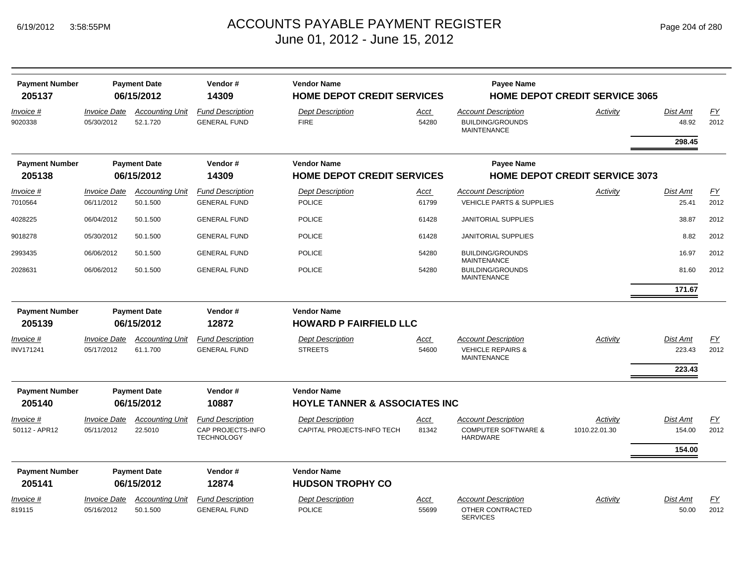| <b>Payment Number</b> |                            | <b>Payment Date</b>    | Vendor#                                | <b>Vendor Name</b>                       |             | <b>Payee Name</b>                                  |                                       |                 |      |
|-----------------------|----------------------------|------------------------|----------------------------------------|------------------------------------------|-------------|----------------------------------------------------|---------------------------------------|-----------------|------|
| 205137                |                            | 06/15/2012             | 14309                                  | <b>HOME DEPOT CREDIT SERVICES</b>        |             |                                                    | <b>HOME DEPOT CREDIT SERVICE 3065</b> |                 |      |
| Invoice #             | <i><b>Invoice Date</b></i> | <b>Accounting Unit</b> | <b>Fund Description</b>                | <b>Dept Description</b>                  | Acct        | <b>Account Description</b>                         | Activity                              | Dist Amt        | EY   |
| 9020338               | 05/30/2012                 | 52.1.720               | <b>GENERAL FUND</b>                    | <b>FIRE</b>                              | 54280       | <b>BUILDING/GROUNDS</b><br><b>MAINTENANCE</b>      |                                       | 48.92           | 2012 |
|                       |                            |                        |                                        |                                          |             |                                                    |                                       | 298.45          |      |
| <b>Payment Number</b> |                            | <b>Payment Date</b>    | Vendor#                                | <b>Vendor Name</b>                       |             | <b>Payee Name</b>                                  |                                       |                 |      |
| 205138                |                            | 06/15/2012             | 14309                                  | <b>HOME DEPOT CREDIT SERVICES</b>        |             |                                                    | <b>HOME DEPOT CREDIT SERVICE 3073</b> |                 |      |
| Invoice #             | <b>Invoice Date</b>        | <b>Accounting Unit</b> | <b>Fund Description</b>                | <b>Dept Description</b>                  | <u>Acct</u> | <b>Account Description</b>                         | Activity                              | Dist Amt        | EY   |
| 7010564               | 06/11/2012                 | 50.1.500               | <b>GENERAL FUND</b>                    | <b>POLICE</b>                            | 61799       | <b>VEHICLE PARTS &amp; SUPPLIES</b>                |                                       | 25.41           | 2012 |
| 4028225               | 06/04/2012                 | 50.1.500               | <b>GENERAL FUND</b>                    | <b>POLICE</b>                            | 61428       | <b>JANITORIAL SUPPLIES</b>                         |                                       | 38.87           | 2012 |
| 9018278               | 05/30/2012                 | 50.1.500               | <b>GENERAL FUND</b>                    | <b>POLICE</b>                            | 61428       | JANITORIAL SUPPLIES                                |                                       | 8.82            | 2012 |
| 2993435               | 06/06/2012                 | 50.1.500               | <b>GENERAL FUND</b>                    | <b>POLICE</b>                            | 54280       | <b>BUILDING/GROUNDS</b><br><b>MAINTENANCE</b>      |                                       | 16.97           | 2012 |
| 2028631               | 06/06/2012                 | 50.1.500               | <b>GENERAL FUND</b>                    | <b>POLICE</b>                            | 54280       | <b>BUILDING/GROUNDS</b><br><b>MAINTENANCE</b>      |                                       | 81.60           | 2012 |
|                       |                            |                        |                                        |                                          |             |                                                    |                                       | 171.67          |      |
| <b>Payment Number</b> |                            | <b>Payment Date</b>    | Vendor#                                | <b>Vendor Name</b>                       |             |                                                    |                                       |                 |      |
| 205139                |                            | 06/15/2012             | 12872                                  | <b>HOWARD P FAIRFIELD LLC</b>            |             |                                                    |                                       |                 |      |
| <i>Invoice</i> #      | <i><b>Invoice Date</b></i> | <b>Accounting Unit</b> | <b>Fund Description</b>                | <b>Dept Description</b>                  | <u>Acct</u> | <b>Account Description</b>                         | Activity                              | Dist Amt        | EY   |
| INV171241             | 05/17/2012                 | 61.1.700               | <b>GENERAL FUND</b>                    | <b>STREETS</b>                           | 54600       | <b>VEHICLE REPAIRS &amp;</b><br><b>MAINTENANCE</b> |                                       | 223.43          | 2012 |
|                       |                            |                        |                                        |                                          |             |                                                    |                                       | 223.43          |      |
| <b>Payment Number</b> |                            | <b>Payment Date</b>    | Vendor#                                | <b>Vendor Name</b>                       |             |                                                    |                                       |                 |      |
| 205140                |                            | 06/15/2012             | 10887                                  | <b>HOYLE TANNER &amp; ASSOCIATES INC</b> |             |                                                    |                                       |                 |      |
| <i>Invoice</i> #      | <i><b>Invoice Date</b></i> | <b>Accounting Unit</b> | <b>Fund Description</b>                | <b>Dept Description</b>                  | Acct        | <b>Account Description</b>                         | Activity                              | Dist Amt        | FY   |
| 50112 - APR12         | 05/11/2012                 | 22.5010                | CAP PROJECTS-INFO<br><b>TECHNOLOGY</b> | CAPITAL PROJECTS-INFO TECH               | 81342       | <b>COMPUTER SOFTWARE &amp;</b><br><b>HARDWARE</b>  | 1010.22.01.30                         | 154.00          | 2012 |
|                       |                            |                        |                                        |                                          |             |                                                    |                                       | 154.00          |      |
| <b>Payment Number</b> |                            | <b>Payment Date</b>    | Vendor#                                | <b>Vendor Name</b>                       |             |                                                    |                                       |                 |      |
| 205141                |                            | 06/15/2012             | 12874                                  | <b>HUDSON TROPHY CO</b>                  |             |                                                    |                                       |                 |      |
| Invoice #             | <i><b>Invoice Date</b></i> | <b>Accounting Unit</b> | <b>Fund Description</b>                | <b>Dept Description</b>                  | <u>Acct</u> | <b>Account Description</b>                         | Activity                              | <b>Dist Amt</b> | EY   |
| 819115                | 05/16/2012                 | 50.1.500               | <b>GENERAL FUND</b>                    | <b>POLICE</b>                            | 55699       | OTHER CONTRACTED<br><b>SERVICES</b>                |                                       | 50.00           | 2012 |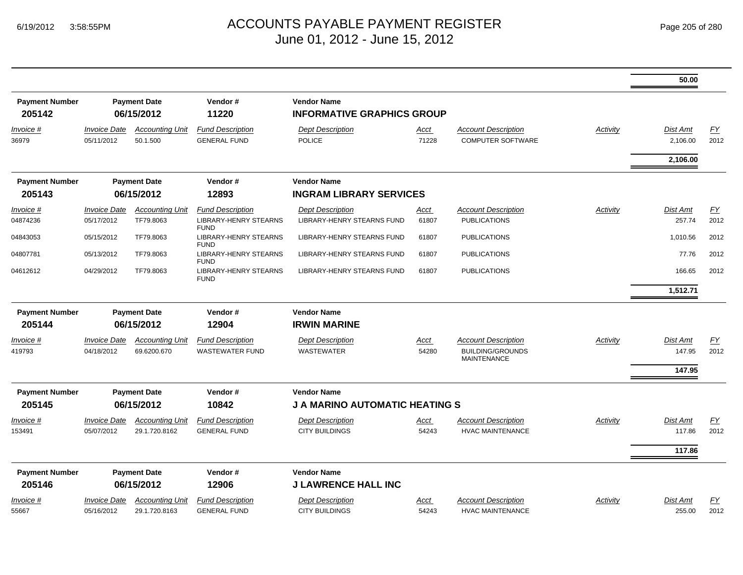|                                 |                                          |                                         |                                                                        |                                                             |               |                                                                             |          | 50.00                       |                   |
|---------------------------------|------------------------------------------|-----------------------------------------|------------------------------------------------------------------------|-------------------------------------------------------------|---------------|-----------------------------------------------------------------------------|----------|-----------------------------|-------------------|
| <b>Payment Number</b><br>205142 |                                          | <b>Payment Date</b><br>06/15/2012       | Vendor#<br>11220                                                       | <b>Vendor Name</b><br><b>INFORMATIVE GRAPHICS GROUP</b>     |               |                                                                             |          |                             |                   |
| Invoice #<br>36979              | <b>Invoice Date</b><br>05/11/2012        | <b>Accounting Unit</b><br>50.1.500      | <b>Fund Description</b><br><b>GENERAL FUND</b>                         | <b>Dept Description</b><br><b>POLICE</b>                    | Acct<br>71228 | <b>Account Description</b><br><b>COMPUTER SOFTWARE</b>                      | Activity | <b>Dist Amt</b><br>2,106.00 | EY<br>2012        |
|                                 |                                          |                                         |                                                                        |                                                             |               |                                                                             |          | 2,106.00                    |                   |
| <b>Payment Number</b>           |                                          | <b>Payment Date</b>                     | Vendor#                                                                | <b>Vendor Name</b>                                          |               |                                                                             |          |                             |                   |
| 205143                          |                                          | 06/15/2012                              | 12893                                                                  | <b>INGRAM LIBRARY SERVICES</b>                              |               |                                                                             |          |                             |                   |
| Invoice #<br>04874236           | <b>Invoice Date</b><br>05/17/2012        | <b>Accounting Unit</b><br>TF79.8063     | <b>Fund Description</b><br><b>LIBRARY-HENRY STEARNS</b><br><b>FUND</b> | <b>Dept Description</b><br>LIBRARY-HENRY STEARNS FUND       | Acct<br>61807 | <b>Account Description</b><br><b>PUBLICATIONS</b>                           | Activity | <b>Dist Amt</b><br>257.74   | FY<br>2012        |
| 04843053                        | 05/15/2012                               | TF79.8063                               | <b>LIBRARY-HENRY STEARNS</b>                                           | LIBRARY-HENRY STEARNS FUND                                  | 61807         | <b>PUBLICATIONS</b>                                                         |          | 1,010.56                    | 2012              |
| 04807781                        | 05/13/2012                               | TF79.8063                               | <b>FUND</b><br><b>LIBRARY-HENRY STEARNS</b><br><b>FUND</b>             | LIBRARY-HENRY STEARNS FUND                                  | 61807         | <b>PUBLICATIONS</b>                                                         |          | 77.76                       | 2012              |
| 04612612                        | 04/29/2012                               | TF79.8063                               | <b>LIBRARY-HENRY STEARNS</b><br><b>FUND</b>                            | LIBRARY-HENRY STEARNS FUND                                  | 61807         | <b>PUBLICATIONS</b>                                                         |          | 166.65                      | 2012              |
|                                 |                                          |                                         |                                                                        |                                                             |               |                                                                             |          | 1,512.71                    |                   |
| <b>Payment Number</b>           |                                          | <b>Payment Date</b>                     | Vendor#                                                                | <b>Vendor Name</b>                                          |               |                                                                             |          |                             |                   |
| 205144                          |                                          | 06/15/2012                              | 12904                                                                  | <b>IRWIN MARINE</b>                                         |               |                                                                             |          |                             |                   |
| Invoice #<br>419793             | <i><b>Invoice Date</b></i><br>04/18/2012 | <b>Accounting Unit</b><br>69.6200.670   | <b>Fund Description</b><br><b>WASTEWATER FUND</b>                      | <b>Dept Description</b><br>WASTEWATER                       | Acct<br>54280 | <b>Account Description</b><br><b>BUILDING/GROUNDS</b><br><b>MAINTENANCE</b> | Activity | <b>Dist Amt</b><br>147.95   | <u>FY</u><br>2012 |
|                                 |                                          |                                         |                                                                        |                                                             |               |                                                                             |          | 147.95                      |                   |
| <b>Payment Number</b><br>205145 |                                          | <b>Payment Date</b><br>06/15/2012       | Vendor#<br>10842                                                       | <b>Vendor Name</b><br><b>J A MARINO AUTOMATIC HEATING S</b> |               |                                                                             |          |                             |                   |
| Invoice #<br>153491             | <b>Invoice Date</b><br>05/07/2012        | <b>Accounting Unit</b><br>29.1.720.8162 | <b>Fund Description</b><br><b>GENERAL FUND</b>                         | <b>Dept Description</b><br><b>CITY BUILDINGS</b>            | Acct<br>54243 | <b>Account Description</b><br><b>HVAC MAINTENANCE</b>                       | Activity | <b>Dist Amt</b><br>117.86   | EY<br>2012        |
|                                 |                                          |                                         |                                                                        |                                                             |               |                                                                             |          | 117.86                      |                   |
| <b>Payment Number</b><br>205146 |                                          | <b>Payment Date</b><br>06/15/2012       | Vendor#<br>12906                                                       | <b>Vendor Name</b><br><b>J LAWRENCE HALL INC</b>            |               |                                                                             |          |                             |                   |
| Invoice #<br>55667              | <b>Invoice Date</b><br>05/16/2012        | <b>Accounting Unit</b><br>29.1.720.8163 | <b>Fund Description</b><br><b>GENERAL FUND</b>                         | <b>Dept Description</b><br><b>CITY BUILDINGS</b>            | Acct<br>54243 | <b>Account Description</b><br><b>HVAC MAINTENANCE</b>                       | Activity | <b>Dist Amt</b><br>255.00   | FY<br>2012        |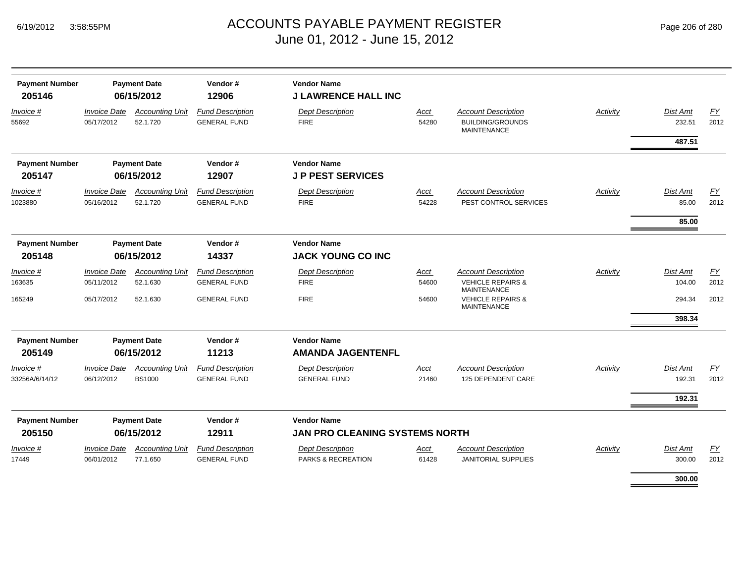| <b>Payment Number</b><br>205146 |                                          | <b>Payment Date</b><br>06/15/2012       | Vendor#<br>12906                               | <b>Vendor Name</b><br><b>J LAWRENCE HALL INC</b>            |               |                                                                                  |          |                            |                   |
|---------------------------------|------------------------------------------|-----------------------------------------|------------------------------------------------|-------------------------------------------------------------|---------------|----------------------------------------------------------------------------------|----------|----------------------------|-------------------|
| Invoice #<br>55692              | <b>Invoice Date</b><br>05/17/2012        | <b>Accounting Unit</b><br>52.1.720      | <b>Fund Description</b><br><b>GENERAL FUND</b> | <b>Dept Description</b><br><b>FIRE</b>                      | Acct<br>54280 | <b>Account Description</b><br><b>BUILDING/GROUNDS</b><br><b>MAINTENANCE</b>      | Activity | Dist Amt<br>232.51         | FY<br>2012        |
|                                 |                                          |                                         |                                                |                                                             |               |                                                                                  |          | 487.51                     |                   |
| <b>Payment Number</b><br>205147 |                                          | <b>Payment Date</b><br>06/15/2012       | Vendor#<br>12907                               | <b>Vendor Name</b><br><b>JP PEST SERVICES</b>               |               |                                                                                  |          |                            |                   |
| Invoice #<br>1023880            | <b>Invoice Date</b><br>05/16/2012        | <b>Accounting Unit</b><br>52.1.720      | <b>Fund Description</b><br><b>GENERAL FUND</b> | <b>Dept Description</b><br><b>FIRE</b>                      | Acct<br>54228 | <b>Account Description</b><br>PEST CONTROL SERVICES                              | Activity | Dist Amt<br>85.00<br>85.00 | FY<br>2012        |
| <b>Payment Number</b><br>205148 |                                          | <b>Payment Date</b><br>06/15/2012       | Vendor#<br>14337                               | <b>Vendor Name</b><br><b>JACK YOUNG CO INC</b>              |               |                                                                                  |          |                            |                   |
| Invoice #<br>163635             | <b>Invoice Date</b><br>05/11/2012        | <b>Accounting Unit</b><br>52.1.630      | <b>Fund Description</b><br><b>GENERAL FUND</b> | <b>Dept Description</b><br><b>FIRE</b>                      | Acct<br>54600 | <b>Account Description</b><br><b>VEHICLE REPAIRS &amp;</b><br><b>MAINTENANCE</b> | Activity | Dist Amt<br>104.00         | EY<br>2012        |
| 165249                          | 05/17/2012                               | 52.1.630                                | <b>GENERAL FUND</b>                            | <b>FIRE</b>                                                 | 54600         | <b>VEHICLE REPAIRS &amp;</b><br><b>MAINTENANCE</b>                               |          | 294.34<br>398.34           | 2012              |
| <b>Payment Number</b><br>205149 |                                          | <b>Payment Date</b><br>06/15/2012       | Vendor#<br>11213                               | <b>Vendor Name</b><br><b>AMANDA JAGENTENFL</b>              |               |                                                                                  |          |                            |                   |
| Invoice #<br>33256A/6/14/12     | <b>Invoice Date</b><br>06/12/2012        | <b>Accounting Unit</b><br><b>BS1000</b> | <b>Fund Description</b><br><b>GENERAL FUND</b> | <b>Dept Description</b><br><b>GENERAL FUND</b>              | Acct<br>21460 | <b>Account Description</b><br>125 DEPENDENT CARE                                 | Activity | Dist Amt<br>192.31         | <u>FY</u><br>2012 |
|                                 |                                          |                                         |                                                |                                                             |               |                                                                                  |          | 192.31                     |                   |
| <b>Payment Number</b><br>205150 |                                          | <b>Payment Date</b><br>06/15/2012       | Vendor#<br>12911                               | <b>Vendor Name</b><br><b>JAN PRO CLEANING SYSTEMS NORTH</b> |               |                                                                                  |          |                            |                   |
| Invoice #<br>17449              | <i><b>Invoice Date</b></i><br>06/01/2012 | <b>Accounting Unit</b><br>77.1.650      | <b>Fund Description</b><br><b>GENERAL FUND</b> | <b>Dept Description</b><br>PARKS & RECREATION               | Acct<br>61428 | <b>Account Description</b><br>JANITORIAL SUPPLIES                                | Activity | Dist Amt<br>300.00         | EY<br>2012        |
|                                 |                                          |                                         |                                                |                                                             |               |                                                                                  |          | 300.00                     |                   |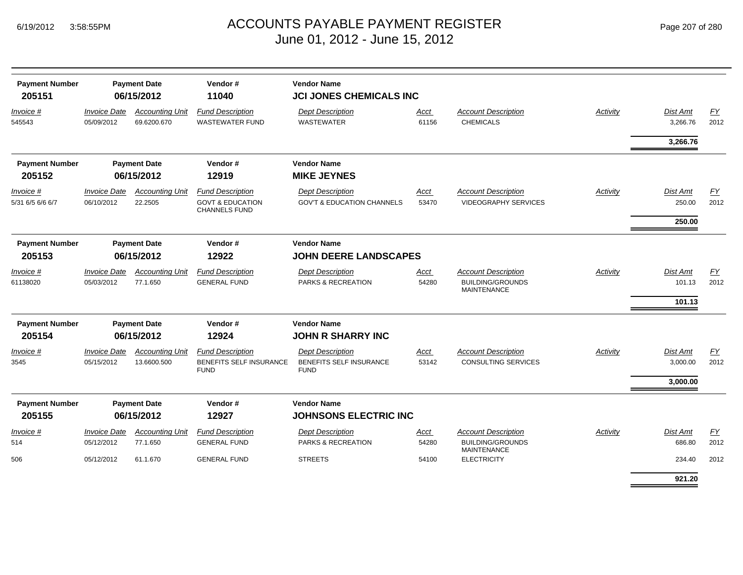| <b>Payment Number</b><br>205151 |                                   | <b>Payment Date</b><br>06/15/2012     | Vendor#<br>11040                                                               | <b>Vendor Name</b><br><b>JCI JONES CHEMICALS INC</b>              |                      |                                                           |          |                             |            |
|---------------------------------|-----------------------------------|---------------------------------------|--------------------------------------------------------------------------------|-------------------------------------------------------------------|----------------------|-----------------------------------------------------------|----------|-----------------------------|------------|
| Invoice #<br>545543             | <b>Invoice Date</b><br>05/09/2012 | <b>Accounting Unit</b><br>69.6200.670 | <b>Fund Description</b><br><b>WASTEWATER FUND</b>                              | <b>Dept Description</b><br><b>WASTEWATER</b>                      | Acct<br>61156        | <b>Account Description</b><br><b>CHEMICALS</b>            | Activity | <b>Dist Amt</b><br>3,266.76 | EY<br>2012 |
|                                 |                                   |                                       |                                                                                |                                                                   |                      |                                                           |          | 3,266.76                    |            |
| <b>Payment Number</b>           |                                   | <b>Payment Date</b>                   | Vendor#                                                                        | <b>Vendor Name</b>                                                |                      |                                                           |          |                             |            |
| 205152                          |                                   | 06/15/2012                            | 12919                                                                          | <b>MIKE JEYNES</b>                                                |                      |                                                           |          |                             |            |
| Invoice #<br>5/31 6/5 6/6 6/7   | <b>Invoice Date</b><br>06/10/2012 | <b>Accounting Unit</b><br>22.2505     | <b>Fund Description</b><br><b>GOVT &amp; EDUCATION</b><br><b>CHANNELS FUND</b> | <b>Dept Description</b><br><b>GOV'T &amp; EDUCATION CHANNELS</b>  | Acct<br>53470        | <b>Account Description</b><br><b>VIDEOGRAPHY SERVICES</b> | Activity | <b>Dist Amt</b><br>250.00   | EY<br>2012 |
|                                 |                                   |                                       |                                                                                |                                                                   |                      |                                                           |          | 250.00                      |            |
| <b>Payment Number</b>           |                                   | <b>Payment Date</b>                   | Vendor#                                                                        | <b>Vendor Name</b>                                                |                      |                                                           |          |                             |            |
| 205153                          |                                   | 06/15/2012                            | 12922                                                                          | <b>JOHN DEERE LANDSCAPES</b>                                      |                      |                                                           |          |                             |            |
| Invoice #                       | <b>Invoice Date</b>               | <b>Accounting Unit</b>                | <b>Fund Description</b>                                                        | <b>Dept Description</b>                                           | Acct                 | <b>Account Description</b>                                | Activity | <b>Dist Amt</b>             | EY         |
| 61138020                        | 05/03/2012                        | 77.1.650                              | <b>GENERAL FUND</b>                                                            | PARKS & RECREATION                                                | 54280                | <b>BUILDING/GROUNDS</b><br><b>MAINTENANCE</b>             |          | 101.13<br>101.13            | 2012       |
|                                 |                                   |                                       |                                                                                |                                                                   |                      |                                                           |          |                             |            |
| <b>Payment Number</b>           |                                   | <b>Payment Date</b>                   | Vendor#                                                                        | <b>Vendor Name</b>                                                |                      |                                                           |          |                             |            |
| 205154                          |                                   | 06/15/2012                            | 12924                                                                          | <b>JOHN R SHARRY INC</b>                                          |                      |                                                           |          |                             |            |
| Invoice #<br>3545               | <b>Invoice Date</b><br>05/15/2012 | <b>Accounting Unit</b><br>13.6600.500 | <b>Fund Description</b><br><b>BENEFITS SELF INSURANCE</b><br><b>FUND</b>       | <b>Dept Description</b><br>BENEFITS SELF INSURANCE<br><b>FUND</b> | <b>Acct</b><br>53142 | <b>Account Description</b><br><b>CONSULTING SERVICES</b>  | Activity | <b>Dist Amt</b><br>3,000.00 | EY<br>2012 |
|                                 |                                   |                                       |                                                                                |                                                                   |                      |                                                           |          | 3,000.00                    |            |
| <b>Payment Number</b><br>205155 |                                   | <b>Payment Date</b><br>06/15/2012     | Vendor#<br>12927                                                               | <b>Vendor Name</b><br><b>JOHNSONS ELECTRIC INC</b>                |                      |                                                           |          |                             |            |
| Invoice #                       | <i><b>Invoice Date</b></i>        | <b>Accounting Unit</b>                | <b>Fund Description</b>                                                        | <b>Dept Description</b>                                           | Acct                 | <b>Account Description</b>                                | Activity | <b>Dist Amt</b>             | <u>FY</u>  |
| 514                             | 05/12/2012                        | 77.1.650                              | <b>GENERAL FUND</b>                                                            | PARKS & RECREATION                                                | 54280                | <b>BUILDING/GROUNDS</b>                                   |          | 686.80                      | 2012       |
| 506                             | 05/12/2012                        | 61.1.670                              | <b>GENERAL FUND</b>                                                            | <b>STREETS</b>                                                    | 54100                | <b>MAINTENANCE</b><br><b>ELECTRICITY</b>                  |          | 234.40                      | 2012       |
|                                 |                                   |                                       |                                                                                |                                                                   |                      |                                                           |          | 921.20                      |            |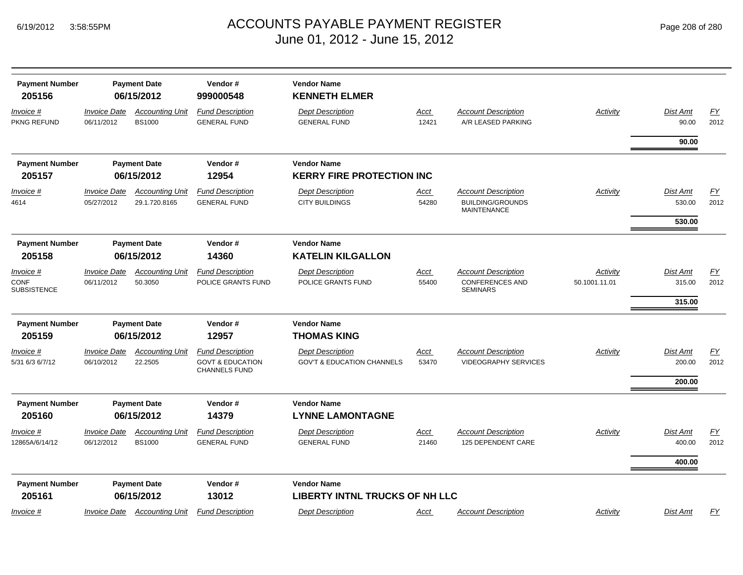| <b>Payment Number</b><br>205156   |                                   | <b>Payment Date</b><br>06/15/2012       | Vendor#<br>999000548                                                           | <b>Vendor Name</b><br><b>KENNETH ELMER</b>                       |                      |                                                                             |                 |                    |                          |
|-----------------------------------|-----------------------------------|-----------------------------------------|--------------------------------------------------------------------------------|------------------------------------------------------------------|----------------------|-----------------------------------------------------------------------------|-----------------|--------------------|--------------------------|
| <u>Invoice #</u><br>PKNG REFUND   | <b>Invoice Date</b><br>06/11/2012 | <b>Accounting Unit</b><br><b>BS1000</b> | <b>Fund Description</b><br><b>GENERAL FUND</b>                                 | <b>Dept Description</b><br><b>GENERAL FUND</b>                   | <b>Acct</b><br>12421 | <b>Account Description</b><br>A/R LEASED PARKING                            | <b>Activity</b> | Dist Amt<br>90.00  | EY<br>2012               |
|                                   |                                   |                                         |                                                                                |                                                                  |                      |                                                                             |                 | 90.00              |                          |
| <b>Payment Number</b>             |                                   | <b>Payment Date</b>                     | Vendor#                                                                        | <b>Vendor Name</b>                                               |                      |                                                                             |                 |                    |                          |
| 205157                            |                                   | 06/15/2012                              | 12954                                                                          | <b>KERRY FIRE PROTECTION INC</b>                                 |                      |                                                                             |                 |                    |                          |
| Invoice #<br>4614                 | <b>Invoice Date</b><br>05/27/2012 | <b>Accounting Unit</b><br>29.1.720.8165 | <b>Fund Description</b><br><b>GENERAL FUND</b>                                 | <b>Dept Description</b><br><b>CITY BUILDINGS</b>                 | Acct<br>54280        | <b>Account Description</b><br><b>BUILDING/GROUNDS</b><br><b>MAINTENANCE</b> | Activity        | Dist Amt<br>530.00 | EY<br>2012               |
|                                   |                                   |                                         |                                                                                |                                                                  |                      |                                                                             |                 | 530.00             |                          |
| <b>Payment Number</b><br>205158   |                                   | <b>Payment Date</b><br>06/15/2012       | Vendor#<br>14360                                                               | <b>Vendor Name</b><br><b>KATELIN KILGALLON</b>                   |                      |                                                                             |                 |                    |                          |
| Invoice #                         | <b>Invoice Date</b>               | <b>Accounting Unit</b>                  | <b>Fund Description</b>                                                        | <b>Dept Description</b>                                          | <u>Acct</u>          | <b>Account Description</b>                                                  | Activity        | Dist Amt           | <u>FY</u>                |
| <b>CONF</b><br><b>SUBSISTENCE</b> | 06/11/2012                        | 50.3050                                 | POLICE GRANTS FUND                                                             | POLICE GRANTS FUND                                               | 55400                | <b>CONFERENCES AND</b><br><b>SEMINARS</b>                                   | 50.1001.11.01   | 315.00             | 2012                     |
|                                   |                                   |                                         |                                                                                |                                                                  |                      |                                                                             |                 | 315.00             |                          |
| <b>Payment Number</b>             |                                   | <b>Payment Date</b>                     | Vendor#                                                                        | <b>Vendor Name</b>                                               |                      |                                                                             |                 |                    |                          |
| 205159                            |                                   | 06/15/2012                              | 12957                                                                          | <b>THOMAS KING</b>                                               |                      |                                                                             |                 |                    |                          |
| Invoice #<br>5/31 6/3 6/7/12      | <b>Invoice Date</b><br>06/10/2012 | <b>Accounting Unit</b><br>22.2505       | <b>Fund Description</b><br><b>GOVT &amp; EDUCATION</b><br><b>CHANNELS FUND</b> | <b>Dept Description</b><br><b>GOV'T &amp; EDUCATION CHANNELS</b> | <u>Acct</u><br>53470 | <b>Account Description</b><br><b>VIDEOGRAPHY SERVICES</b>                   | Activity        | Dist Amt<br>200.00 | <u>FY</u><br>2012        |
|                                   |                                   |                                         |                                                                                |                                                                  |                      |                                                                             |                 | 200.00             |                          |
| <b>Payment Number</b>             |                                   | <b>Payment Date</b>                     | Vendor#                                                                        | <b>Vendor Name</b>                                               |                      |                                                                             |                 |                    |                          |
| 205160                            |                                   | 06/15/2012                              | 14379                                                                          | <b>LYNNE LAMONTAGNE</b>                                          |                      |                                                                             |                 |                    |                          |
| Invoice #<br>12865A/6/14/12       | <b>Invoice Date</b><br>06/12/2012 | <b>Accounting Unit</b><br><b>BS1000</b> | <b>Fund Description</b><br><b>GENERAL FUND</b>                                 | <b>Dept Description</b><br><b>GENERAL FUND</b>                   | <u>Acct</u><br>21460 | <b>Account Description</b><br>125 DEPENDENT CARE                            | Activity        | Dist Amt<br>400.00 | $\underline{FY}$<br>2012 |
|                                   |                                   |                                         |                                                                                |                                                                  |                      |                                                                             |                 | 400.00             |                          |
| <b>Payment Number</b><br>205161   |                                   | <b>Payment Date</b><br>06/15/2012       | Vendor#<br>13012                                                               | <b>Vendor Name</b><br><b>LIBERTY INTNL TRUCKS OF NH LLC</b>      |                      |                                                                             |                 |                    |                          |
| Invoice #                         | <b>Invoice Date</b>               | <b>Accounting Unit</b>                  | <b>Fund Description</b>                                                        | <b>Dept Description</b>                                          | Acct                 | <b>Account Description</b>                                                  | Activity        | Dist Amt           | FY                       |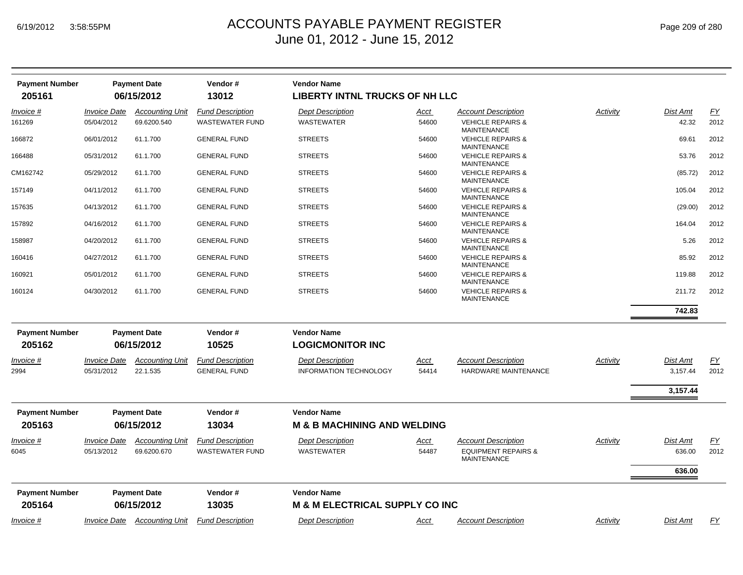| Page 209 of 280 |  |
|-----------------|--|
|                 |  |

| <b>Payment Number</b><br>205161 |                                          | <b>Payment Date</b><br>06/15/2012     | Vendor#<br>13012                                  | <b>Vendor Name</b><br><b>LIBERTY INTNL TRUCKS OF NH LLC</b> |                      |                                                              |          |                           |                   |
|---------------------------------|------------------------------------------|---------------------------------------|---------------------------------------------------|-------------------------------------------------------------|----------------------|--------------------------------------------------------------|----------|---------------------------|-------------------|
| Invoice #                       | <b>Invoice Date</b>                      | <b>Accounting Unit</b>                | <b>Fund Description</b>                           | <b>Dept Description</b>                                     | Acct                 | <b>Account Description</b>                                   | Activity | Dist Amt                  | <u>FY</u>         |
| 161269                          | 05/04/2012                               | 69.6200.540                           | <b>WASTEWATER FUND</b>                            | <b>WASTEWATER</b>                                           | 54600                | <b>VEHICLE REPAIRS &amp;</b><br><b>MAINTENANCE</b>           |          | 42.32                     | 2012              |
| 166872                          | 06/01/2012                               | 61.1.700                              | <b>GENERAL FUND</b>                               | <b>STREETS</b>                                              | 54600                | <b>VEHICLE REPAIRS &amp;</b><br><b>MAINTENANCE</b>           |          | 69.61                     | 2012              |
| 166488                          | 05/31/2012                               | 61.1.700                              | <b>GENERAL FUND</b>                               | <b>STREETS</b>                                              | 54600                | <b>VEHICLE REPAIRS &amp;</b><br><b>MAINTENANCE</b>           |          | 53.76                     | 2012              |
| CM162742                        | 05/29/2012                               | 61.1.700                              | <b>GENERAL FUND</b>                               | <b>STREETS</b>                                              | 54600                | <b>VEHICLE REPAIRS &amp;</b><br><b>MAINTENANCE</b>           |          | (85.72)                   | 2012              |
| 157149                          | 04/11/2012                               | 61.1.700                              | <b>GENERAL FUND</b>                               | <b>STREETS</b>                                              | 54600                | <b>VEHICLE REPAIRS &amp;</b><br>MAINTENANCE                  |          | 105.04                    | 2012              |
| 157635                          | 04/13/2012                               | 61.1.700                              | <b>GENERAL FUND</b>                               | <b>STREETS</b>                                              | 54600                | <b>VEHICLE REPAIRS &amp;</b><br><b>MAINTENANCE</b>           |          | (29.00)                   | 2012              |
| 157892                          | 04/16/2012                               | 61.1.700                              | <b>GENERAL FUND</b>                               | <b>STREETS</b>                                              | 54600                | <b>VEHICLE REPAIRS &amp;</b><br><b>MAINTENANCE</b>           |          | 164.04                    | 2012              |
| 158987                          | 04/20/2012                               | 61.1.700                              | <b>GENERAL FUND</b>                               | <b>STREETS</b>                                              | 54600                | <b>VEHICLE REPAIRS &amp;</b><br><b>MAINTENANCE</b>           |          | 5.26                      | 2012              |
| 160416                          | 04/27/2012                               | 61.1.700                              | <b>GENERAL FUND</b>                               | <b>STREETS</b>                                              | 54600                | <b>VEHICLE REPAIRS &amp;</b><br><b>MAINTENANCE</b>           |          | 85.92                     | 2012              |
| 160921                          | 05/01/2012                               | 61.1.700                              | <b>GENERAL FUND</b>                               | <b>STREETS</b>                                              | 54600                | <b>VEHICLE REPAIRS &amp;</b><br><b>MAINTENANCE</b>           |          | 119.88                    | 2012              |
| 160124                          | 04/30/2012                               | 61.1.700                              | <b>GENERAL FUND</b>                               | <b>STREETS</b>                                              | 54600                | <b>VEHICLE REPAIRS &amp;</b><br><b>MAINTENANCE</b>           |          | 211.72                    | 2012              |
|                                 |                                          |                                       |                                                   |                                                             |                      |                                                              |          | 742.83                    |                   |
| <b>Payment Number</b><br>205162 |                                          | <b>Payment Date</b><br>06/15/2012     | Vendor#<br>10525                                  | <b>Vendor Name</b><br><b>LOGICMONITOR INC</b>               |                      |                                                              |          |                           |                   |
| Invoice #<br>2994               | <b>Invoice Date</b><br>05/31/2012        | <b>Accounting Unit</b><br>22.1.535    | <b>Fund Description</b><br><b>GENERAL FUND</b>    | <b>Dept Description</b><br><b>INFORMATION TECHNOLOGY</b>    | Acct<br>54414        | <b>Account Description</b><br>HARDWARE MAINTENANCE           | Activity | Dist Amt<br>3,157.44      | <u>FY</u><br>2012 |
|                                 |                                          |                                       |                                                   |                                                             |                      |                                                              |          | 3,157.44                  |                   |
| <b>Payment Number</b>           |                                          | <b>Payment Date</b>                   | Vendor#                                           | <b>Vendor Name</b>                                          |                      |                                                              |          |                           |                   |
| 205163                          |                                          | 06/15/2012                            | 13034                                             | <b>M &amp; B MACHINING AND WELDING</b>                      |                      |                                                              |          |                           |                   |
| Invoice #<br>6045               | <i><b>Invoice Date</b></i><br>05/13/2012 | <b>Accounting Unit</b><br>69.6200.670 | <b>Fund Description</b><br><b>WASTEWATER FUND</b> | <b>Dept Description</b><br><b>WASTEWATER</b>                | <u>Acct</u><br>54487 | <b>Account Description</b><br><b>EQUIPMENT REPAIRS &amp;</b> | Activity | <b>Dist Amt</b><br>636.00 | EY<br>2012        |
|                                 |                                          |                                       |                                                   |                                                             |                      | <b>MAINTENANCE</b>                                           |          |                           |                   |
|                                 |                                          |                                       |                                                   |                                                             |                      |                                                              |          | 636.00                    |                   |
| <b>Payment Number</b>           |                                          | <b>Payment Date</b>                   | Vendor#                                           | <b>Vendor Name</b>                                          |                      |                                                              |          |                           |                   |
| 205164                          |                                          | 06/15/2012                            | 13035                                             | M & M ELECTRICAL SUPPLY CO INC                              |                      |                                                              |          |                           |                   |
| Invoice #                       |                                          |                                       | Invoice Date Accounting Unit Fund Description     | <b>Dept Description</b>                                     | Acct                 | <b>Account Description</b>                                   | Activity | Dist Amt                  | FY                |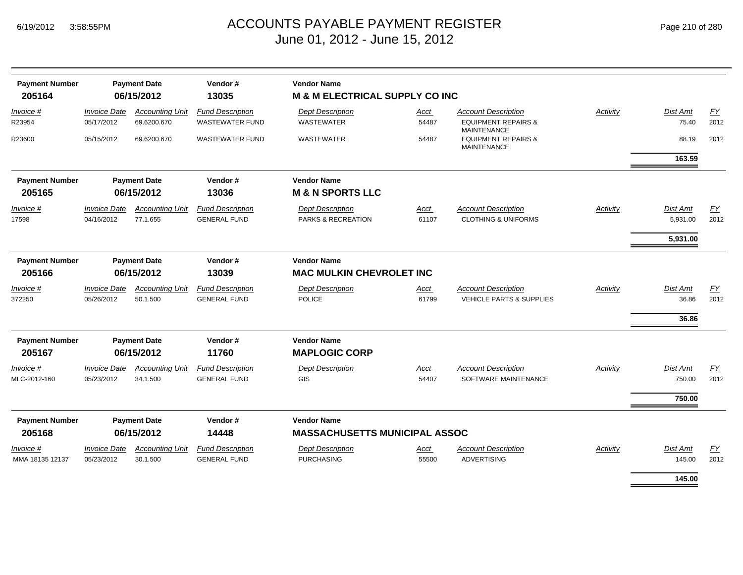| <b>Payment Number</b><br>205164     | <b>Payment Date</b><br>06/15/2012                     |                                       | Vendor#<br>13035                                  | <b>Vendor Name</b><br><b>M &amp; M ELECTRICAL SUPPLY CO INC</b> |                      |                                                                            |                 |                            |            |
|-------------------------------------|-------------------------------------------------------|---------------------------------------|---------------------------------------------------|-----------------------------------------------------------------|----------------------|----------------------------------------------------------------------------|-----------------|----------------------------|------------|
| Invoice #<br>R23954                 | <b>Invoice Date</b><br>05/17/2012                     | <b>Accounting Unit</b><br>69.6200.670 | <b>Fund Description</b><br><b>WASTEWATER FUND</b> | <b>Dept Description</b><br>WASTEWATER                           | <u>Acct</u><br>54487 | <b>Account Description</b><br><b>EQUIPMENT REPAIRS &amp;</b>               | Activity        | Dist Amt<br>75.40          | EY<br>2012 |
| R23600                              | 05/15/2012                                            | 69.6200.670                           | <b>WASTEWATER FUND</b>                            | <b>WASTEWATER</b>                                               | 54487                | <b>MAINTENANCE</b><br><b>EQUIPMENT REPAIRS &amp;</b><br><b>MAINTENANCE</b> |                 | 88.19                      | 2012       |
|                                     |                                                       |                                       |                                                   |                                                                 |                      |                                                                            |                 | 163.59                     |            |
| <b>Payment Number</b><br>205165     |                                                       | <b>Payment Date</b><br>06/15/2012     | Vendor#<br>13036                                  | <b>Vendor Name</b><br><b>M &amp; N SPORTS LLC</b>               |                      |                                                                            |                 |                            |            |
| Invoice #<br>17598                  | <b>Invoice Date</b><br>04/16/2012                     | <b>Accounting Unit</b><br>77.1.655    | <b>Fund Description</b><br><b>GENERAL FUND</b>    | <b>Dept Description</b><br>PARKS & RECREATION                   | <u>Acct</u><br>61107 | <b>Account Description</b><br><b>CLOTHING &amp; UNIFORMS</b>               | <b>Activity</b> | Dist Amt<br>5,931.00       | EY<br>2012 |
|                                     |                                                       |                                       |                                                   |                                                                 |                      |                                                                            |                 | 5,931.00                   |            |
| <b>Payment Number</b><br>205166     | <b>Payment Date</b><br>Vendor#<br>13039<br>06/15/2012 |                                       |                                                   | <b>Vendor Name</b><br><b>MAC MULKIN CHEVROLET INC</b>           |                      |                                                                            |                 |                            |            |
| Invoice #<br>372250                 | <b>Invoice Date</b><br>05/26/2012                     | <b>Accounting Unit</b><br>50.1.500    | <b>Fund Description</b><br><b>GENERAL FUND</b>    | <b>Dept Description</b><br><b>POLICE</b>                        | <u>Acct</u><br>61799 | <b>Account Description</b><br><b>VEHICLE PARTS &amp; SUPPLIES</b>          | <b>Activity</b> | Dist Amt<br>36.86<br>36.86 | EY<br>2012 |
| <b>Payment Number</b>               |                                                       | <b>Payment Date</b>                   | Vendor#                                           | <b>Vendor Name</b>                                              |                      |                                                                            |                 |                            |            |
| 205167                              |                                                       | 06/15/2012                            | 11760                                             | <b>MAPLOGIC CORP</b>                                            |                      |                                                                            |                 |                            |            |
| <i>Invoice</i> #<br>MLC-2012-160    | <b>Invoice Date</b><br>05/23/2012                     | <b>Accounting Unit</b><br>34.1.500    | <b>Fund Description</b><br><b>GENERAL FUND</b>    | <b>Dept Description</b><br><b>GIS</b>                           | Acct<br>54407        | <b>Account Description</b><br>SOFTWARE MAINTENANCE                         | Activity        | Dist Amt<br>750.00         | EY<br>2012 |
|                                     |                                                       |                                       |                                                   |                                                                 |                      |                                                                            |                 | 750.00                     |            |
| <b>Payment Number</b><br>205168     |                                                       | <b>Payment Date</b><br>06/15/2012     | Vendor#<br>14448                                  | <b>Vendor Name</b><br><b>MASSACHUSETTS MUNICIPAL ASSOC</b>      |                      |                                                                            |                 |                            |            |
| <i>Invoice</i> #<br>MMA 18135 12137 | <b>Invoice Date</b><br>05/23/2012                     | <b>Accounting Unit</b><br>30.1.500    | <b>Fund Description</b><br><b>GENERAL FUND</b>    | <b>Dept Description</b><br><b>PURCHASING</b>                    | Acct<br>55500        | <b>Account Description</b><br><b>ADVERTISING</b>                           | Activity        | Dist Amt<br>145.00         | EY<br>2012 |
|                                     |                                                       |                                       |                                                   |                                                                 |                      |                                                                            |                 | 145.00                     |            |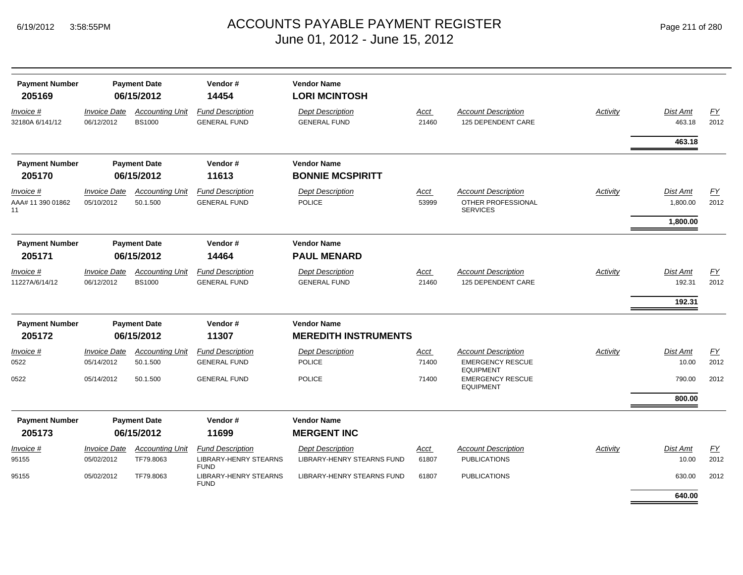| Page 211 of 280 |  |  |  |  |
|-----------------|--|--|--|--|
|-----------------|--|--|--|--|

| <b>Payment Number</b><br>205169      | <b>Payment Date</b><br>06/15/2012 |                                         | Vendor#<br>14454                                                       | <b>Vendor Name</b><br><b>LORI MCINTOSH</b>            |                      |                                                                     |          |                           |                          |
|--------------------------------------|-----------------------------------|-----------------------------------------|------------------------------------------------------------------------|-------------------------------------------------------|----------------------|---------------------------------------------------------------------|----------|---------------------------|--------------------------|
| Invoice #<br>32180A 6/141/12         | <b>Invoice Date</b><br>06/12/2012 | <b>Accounting Unit</b><br><b>BS1000</b> | <b>Fund Description</b><br><b>GENERAL FUND</b>                         | <b>Dept Description</b><br><b>GENERAL FUND</b>        | Acct<br>21460        | <b>Account Description</b><br>125 DEPENDENT CARE                    | Activity | <b>Dist Amt</b><br>463.18 | EY<br>2012               |
|                                      |                                   |                                         |                                                                        |                                                       |                      |                                                                     |          | 463.18                    |                          |
| <b>Payment Number</b><br>205170      | <b>Payment Date</b><br>06/15/2012 |                                         | Vendor#<br>11613                                                       | <b>Vendor Name</b><br><b>BONNIE MCSPIRITT</b>         |                      |                                                                     |          |                           |                          |
| Invoice #<br>AAA# 11 390 01862<br>11 | <b>Invoice Date</b><br>05/10/2012 | <b>Accounting Unit</b><br>50.1.500      | <b>Fund Description</b><br><b>GENERAL FUND</b>                         | <b>Dept Description</b><br><b>POLICE</b>              | Acct<br>53999        | <b>Account Description</b><br>OTHER PROFESSIONAL<br><b>SERVICES</b> | Activity | Dist Amt<br>1,800.00      | EY<br>2012               |
|                                      |                                   |                                         |                                                                        |                                                       |                      |                                                                     |          | 1,800.00                  |                          |
| <b>Payment Number</b><br>205171      | <b>Payment Date</b><br>06/15/2012 |                                         | Vendor#<br>14464                                                       | <b>Vendor Name</b><br><b>PAUL MENARD</b>              |                      |                                                                     |          |                           |                          |
| Invoice #<br>11227A/6/14/12          | <b>Invoice Date</b><br>06/12/2012 | <b>Accounting Unit</b><br><b>BS1000</b> | <b>Fund Description</b><br><b>GENERAL FUND</b>                         | <b>Dept Description</b><br><b>GENERAL FUND</b>        | <b>Acct</b><br>21460 | <b>Account Description</b><br>125 DEPENDENT CARE                    | Activity | Dist Amt<br>192.31        | $\underline{FY}$<br>2012 |
| <b>Payment Number</b><br>205172      | <b>Payment Date</b><br>06/15/2012 |                                         | Vendor#<br>11307                                                       | <b>Vendor Name</b><br><b>MEREDITH INSTRUMENTS</b>     |                      |                                                                     |          | 192.31                    |                          |
| Invoice #                            | <b>Invoice Date</b>               | <b>Accounting Unit</b>                  | <b>Fund Description</b>                                                | <b>Dept Description</b>                               | Acct                 | <b>Account Description</b>                                          | Activity | <b>Dist Amt</b>           | $\underline{FY}$         |
| 0522                                 | 05/14/2012                        | 50.1.500                                | <b>GENERAL FUND</b>                                                    | <b>POLICE</b>                                         | 71400                | <b>EMERGENCY RESCUE</b><br><b>EQUIPMENT</b>                         |          | 10.00                     | 2012                     |
| 0522                                 | 05/14/2012                        | 50.1.500                                | <b>GENERAL FUND</b>                                                    | <b>POLICE</b>                                         | 71400                | <b>EMERGENCY RESCUE</b><br><b>EQUIPMENT</b>                         |          | 790.00                    | 2012                     |
|                                      |                                   |                                         |                                                                        |                                                       |                      |                                                                     |          | 800.00                    |                          |
| <b>Payment Number</b>                |                                   | <b>Payment Date</b>                     | Vendor#                                                                | <b>Vendor Name</b>                                    |                      |                                                                     |          |                           |                          |
| 205173                               |                                   | 06/15/2012                              | 11699                                                                  | <b>MERGENT INC</b>                                    |                      |                                                                     |          |                           |                          |
| <u>Invoice #</u><br>95155            | <b>Invoice Date</b><br>05/02/2012 | <b>Accounting Unit</b><br>TF79.8063     | <b>Fund Description</b><br><b>LIBRARY-HENRY STEARNS</b><br><b>FUND</b> | <b>Dept Description</b><br>LIBRARY-HENRY STEARNS FUND | Acct<br>61807        | <b>Account Description</b><br><b>PUBLICATIONS</b>                   | Activity | Dist Amt<br>10.00         | EY<br>2012               |
| 95155                                | 05/02/2012                        | TF79.8063                               | <b>LIBRARY-HENRY STEARNS</b><br><b>FUND</b>                            | LIBRARY-HENRY STEARNS FUND                            | 61807                | <b>PUBLICATIONS</b>                                                 |          | 630.00                    | 2012                     |
|                                      |                                   |                                         |                                                                        |                                                       |                      |                                                                     |          | 640.00                    |                          |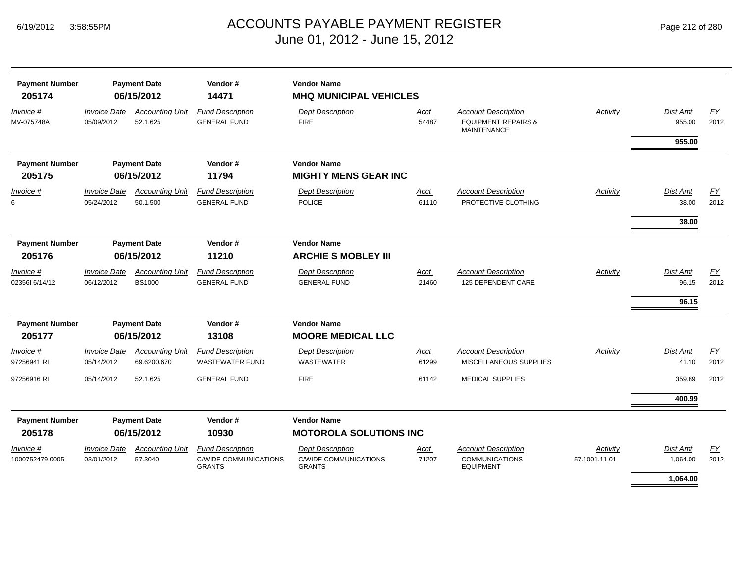| <b>Payment Number</b><br>205174 | <b>Payment Date</b><br>06/15/2012 |                                         | Vendor#<br>14471                                  | <b>Vendor Name</b><br><b>MHQ MUNICIPAL VEHICLES</b> |                      |                                                                                    |               |                    |            |  |  |
|---------------------------------|-----------------------------------|-----------------------------------------|---------------------------------------------------|-----------------------------------------------------|----------------------|------------------------------------------------------------------------------------|---------------|--------------------|------------|--|--|
| Invoice #<br>MV-075748A         | <b>Invoice Date</b><br>05/09/2012 | <b>Accounting Unit</b><br>52.1.625      | <b>Fund Description</b><br><b>GENERAL FUND</b>    | <b>Dept Description</b><br><b>FIRE</b>              | <b>Acct</b><br>54487 | <b>Account Description</b><br><b>EQUIPMENT REPAIRS &amp;</b><br><b>MAINTENANCE</b> | Activity      | Dist Amt<br>955.00 | EY<br>2012 |  |  |
|                                 |                                   |                                         |                                                   |                                                     |                      |                                                                                    |               | 955.00             |            |  |  |
| <b>Payment Number</b>           |                                   | <b>Payment Date</b>                     | Vendor#                                           | <b>Vendor Name</b>                                  |                      |                                                                                    |               |                    |            |  |  |
| 205175                          |                                   | 06/15/2012                              | 11794                                             | <b>MIGHTY MENS GEAR INC</b>                         |                      |                                                                                    |               |                    |            |  |  |
| Invoice #<br>6                  | <b>Invoice Date</b><br>05/24/2012 | <b>Accounting Unit</b><br>50.1.500      | <b>Fund Description</b><br><b>GENERAL FUND</b>    | <b>Dept Description</b><br><b>POLICE</b>            | <b>Acct</b><br>61110 | <b>Account Description</b><br>PROTECTIVE CLOTHING                                  | Activity      | Dist Amt<br>38.00  | EY<br>2012 |  |  |
|                                 |                                   |                                         |                                                   |                                                     |                      |                                                                                    |               | 38.00              |            |  |  |
| <b>Payment Number</b>           | <b>Payment Date</b>               |                                         | Vendor#                                           | <b>Vendor Name</b>                                  |                      |                                                                                    |               |                    |            |  |  |
| 205176                          |                                   | 06/15/2012                              | 11210                                             | <b>ARCHIE S MOBLEY III</b>                          |                      |                                                                                    |               |                    |            |  |  |
| Invoice #<br>023561 6/14/12     | <b>Invoice Date</b><br>06/12/2012 | <b>Accounting Unit</b><br><b>BS1000</b> | <b>Fund Description</b><br><b>GENERAL FUND</b>    | <b>Dept Description</b><br><b>GENERAL FUND</b>      | Acct<br>21460        | <b>Account Description</b><br>125 DEPENDENT CARE                                   | Activity      | Dist Amt<br>96.15  | EY<br>2012 |  |  |
|                                 |                                   |                                         |                                                   |                                                     |                      |                                                                                    |               |                    |            |  |  |
|                                 |                                   |                                         |                                                   |                                                     |                      |                                                                                    |               | 96.15              |            |  |  |
| <b>Payment Number</b>           |                                   | <b>Payment Date</b><br>Vendor#          |                                                   | <b>Vendor Name</b>                                  |                      |                                                                                    |               |                    |            |  |  |
| 205177                          |                                   | 06/15/2012                              | 13108                                             | <b>MOORE MEDICAL LLC</b>                            |                      |                                                                                    |               |                    |            |  |  |
| Invoice #<br>97256941 RI        | <b>Invoice Date</b><br>05/14/2012 | <b>Accounting Unit</b><br>69.6200.670   | <b>Fund Description</b><br><b>WASTEWATER FUND</b> | <b>Dept Description</b><br><b>WASTEWATER</b>        | Acct<br>61299        | <b>Account Description</b><br>MISCELLANEOUS SUPPLIES                               | Activity      | Dist Amt<br>41.10  | EY<br>2012 |  |  |
| 97256916 RI                     | 05/14/2012                        | 52.1.625                                | <b>GENERAL FUND</b>                               | <b>FIRE</b>                                         | 61142                | <b>MEDICAL SUPPLIES</b>                                                            |               | 359.89             | 2012       |  |  |
|                                 |                                   |                                         |                                                   |                                                     |                      |                                                                                    |               | 400.99             |            |  |  |
| <b>Payment Number</b><br>205178 |                                   | <b>Payment Date</b><br>06/15/2012       | Vendor#<br>10930                                  | <b>Vendor Name</b><br><b>MOTOROLA SOLUTIONS INC</b> |                      |                                                                                    |               |                    |            |  |  |
| Invoice #                       | <b>Invoice Date</b>               | <b>Accounting Unit</b>                  | <b>Fund Description</b>                           | <b>Dept Description</b>                             | Acct                 | <b>Account Description</b>                                                         | Activity      | <b>Dist Amt</b>    | EY         |  |  |
| 1000752479 0005                 | 03/01/2012                        | 57.3040                                 | <b>C/WIDE COMMUNICATIONS</b><br><b>GRANTS</b>     | <b>C/WIDE COMMUNICATIONS</b><br><b>GRANTS</b>       | 71207                | <b>COMMUNICATIONS</b><br><b>EQUIPMENT</b>                                          | 57.1001.11.01 | 1,064.00           | 2012       |  |  |
|                                 |                                   |                                         |                                                   |                                                     |                      |                                                                                    |               | 1,064.00           |            |  |  |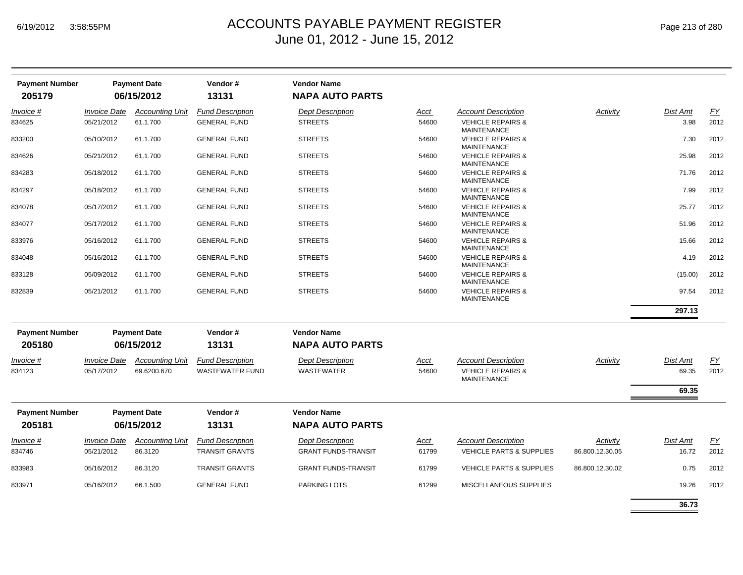| <b>Payment Number</b> |                            | <b>Payment Date</b>    | Vendor#                 | <b>Vendor Name</b>         |             |                                                    |                 |                 |      |
|-----------------------|----------------------------|------------------------|-------------------------|----------------------------|-------------|----------------------------------------------------|-----------------|-----------------|------|
| 205179                |                            | 06/15/2012             | 13131                   | <b>NAPA AUTO PARTS</b>     |             |                                                    |                 |                 |      |
| Invoice #             | <b>Invoice Date</b>        | <b>Accounting Unit</b> | <b>Fund Description</b> | <b>Dept Description</b>    | Acct        | <b>Account Description</b>                         | Activity        | <b>Dist Amt</b> | EY   |
| 834625                | 05/21/2012                 | 61.1.700               | <b>GENERAL FUND</b>     | <b>STREETS</b>             | 54600       | <b>VEHICLE REPAIRS &amp;</b><br><b>MAINTENANCE</b> |                 | 3.98            | 2012 |
| 833200                | 05/10/2012                 | 61.1.700               | <b>GENERAL FUND</b>     | <b>STREETS</b>             | 54600       | <b>VEHICLE REPAIRS &amp;</b><br><b>MAINTENANCE</b> |                 | 7.30            | 2012 |
| 834626                | 05/21/2012                 | 61.1.700               | <b>GENERAL FUND</b>     | <b>STREETS</b>             | 54600       | <b>VEHICLE REPAIRS &amp;</b><br><b>MAINTENANCE</b> |                 | 25.98           | 2012 |
| 834283                | 05/18/2012                 | 61.1.700               | <b>GENERAL FUND</b>     | <b>STREETS</b>             | 54600       | <b>VEHICLE REPAIRS &amp;</b><br><b>MAINTENANCE</b> |                 | 71.76           | 2012 |
| 834297                | 05/18/2012                 | 61.1.700               | <b>GENERAL FUND</b>     | <b>STREETS</b>             | 54600       | <b>VEHICLE REPAIRS &amp;</b><br><b>MAINTENANCE</b> |                 | 7.99            | 2012 |
| 834078                | 05/17/2012                 | 61.1.700               | <b>GENERAL FUND</b>     | <b>STREETS</b>             | 54600       | <b>VEHICLE REPAIRS &amp;</b><br><b>MAINTENANCE</b> |                 | 25.77           | 2012 |
| 834077                | 05/17/2012                 | 61.1.700               | <b>GENERAL FUND</b>     | <b>STREETS</b>             | 54600       | <b>VEHICLE REPAIRS &amp;</b><br><b>MAINTENANCE</b> |                 | 51.96           | 2012 |
| 833976                | 05/16/2012                 | 61.1.700               | <b>GENERAL FUND</b>     | <b>STREETS</b>             | 54600       | <b>VEHICLE REPAIRS &amp;</b><br><b>MAINTENANCE</b> |                 | 15.66           | 2012 |
| 834048                | 05/16/2012                 | 61.1.700               | <b>GENERAL FUND</b>     | <b>STREETS</b>             | 54600       | <b>VEHICLE REPAIRS &amp;</b><br><b>MAINTENANCE</b> |                 | 4.19            | 2012 |
| 833128                | 05/09/2012                 | 61.1.700               | <b>GENERAL FUND</b>     | <b>STREETS</b>             | 54600       | <b>VEHICLE REPAIRS &amp;</b><br><b>MAINTENANCE</b> |                 | (15.00)         | 2012 |
| 832839                | 05/21/2012                 | 61.1.700               | <b>GENERAL FUND</b>     | <b>STREETS</b>             | 54600       | <b>VEHICLE REPAIRS &amp;</b><br><b>MAINTENANCE</b> |                 | 97.54           | 2012 |
|                       |                            |                        |                         |                            |             |                                                    |                 | 297.13          |      |
| <b>Payment Number</b> |                            | <b>Payment Date</b>    | Vendor#                 | <b>Vendor Name</b>         |             |                                                    |                 |                 |      |
| 205180                |                            | 06/15/2012             | 13131                   | <b>NAPA AUTO PARTS</b>     |             |                                                    |                 |                 |      |
| Invoice #             | <i><b>Invoice Date</b></i> | <b>Accounting Unit</b> | <b>Fund Description</b> | <b>Dept Description</b>    | <u>Acct</u> | <b>Account Description</b>                         | <b>Activity</b> | Dist Amt        | EY   |
| 834123                | 05/17/2012                 | 69.6200.670            | <b>WASTEWATER FUND</b>  | <b>WASTEWATER</b>          | 54600       | <b>VEHICLE REPAIRS &amp;</b><br><b>MAINTENANCE</b> |                 | 69.35           | 2012 |
|                       |                            |                        |                         |                            |             |                                                    |                 | 69.35           |      |
| <b>Payment Number</b> |                            | <b>Payment Date</b>    | Vendor#                 | <b>Vendor Name</b>         |             |                                                    |                 |                 |      |
| 205181                |                            | 06/15/2012             | 13131                   | <b>NAPA AUTO PARTS</b>     |             |                                                    |                 |                 |      |
| Invoice #             | <b>Invoice Date</b>        | <b>Accounting Unit</b> | <b>Fund Description</b> | <b>Dept Description</b>    | <u>Acct</u> | <b>Account Description</b>                         | Activity        | Dist Amt        | EY   |
| 834746                | 05/21/2012                 | 86.3120                | <b>TRANSIT GRANTS</b>   | <b>GRANT FUNDS-TRANSIT</b> | 61799       | <b>VEHICLE PARTS &amp; SUPPLIES</b>                | 86.800.12.30.05 | 16.72           | 2012 |
| 833983                | 05/16/2012                 | 86.3120                | <b>TRANSIT GRANTS</b>   | <b>GRANT FUNDS-TRANSIT</b> | 61799       | <b>VEHICLE PARTS &amp; SUPPLIES</b>                | 86.800.12.30.02 | 0.75            | 2012 |
| 833971                | 05/16/2012                 | 66.1.500               | <b>GENERAL FUND</b>     | <b>PARKING LOTS</b>        | 61299       | MISCELLANEOUS SUPPLIES                             |                 | 19.26           | 2012 |
|                       |                            |                        |                         |                            |             |                                                    |                 | 36.73           |      |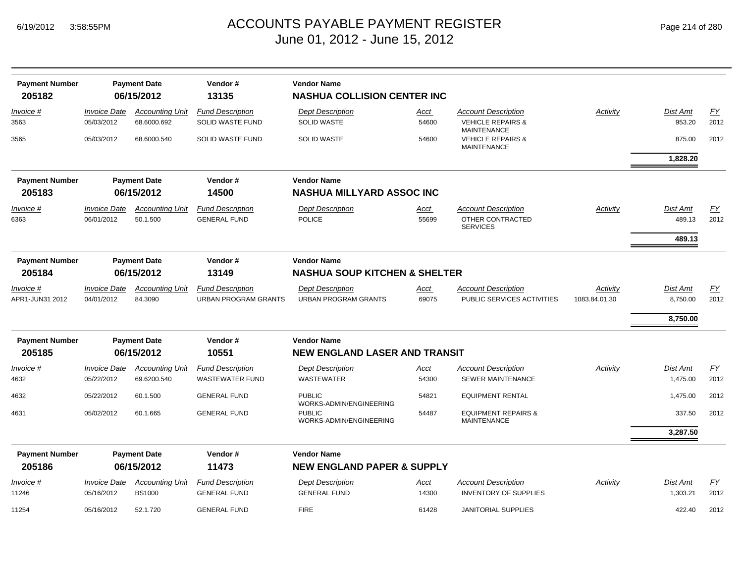| Page 214 of 280 |  |  |  |  |
|-----------------|--|--|--|--|
|-----------------|--|--|--|--|

| <b>Payment Number</b><br>205182 |                                                       | <b>Payment Date</b><br>06/15/2012       | Vendor#<br>13135                                               | <b>Vendor Name</b><br><b>NASHUA COLLISION CENTER INC</b>            |                      |                                                                          |                           |                      |                          |  |
|---------------------------------|-------------------------------------------------------|-----------------------------------------|----------------------------------------------------------------|---------------------------------------------------------------------|----------------------|--------------------------------------------------------------------------|---------------------------|----------------------|--------------------------|--|
| Invoice #<br>3563               | <b>Invoice Date</b><br>05/03/2012                     | <b>Accounting Unit</b><br>68.6000.692   | <b>Fund Description</b><br>SOLID WASTE FUND                    | <b>Dept Description</b><br><b>SOLID WASTE</b>                       | <u>Acct</u><br>54600 | <b>Account Description</b><br><b>VEHICLE REPAIRS &amp;</b>               | Activity                  | Dist Amt<br>953.20   | $\underline{FY}$<br>2012 |  |
| 3565                            | 05/03/2012                                            | 68.6000.540                             | <b>SOLID WASTE FUND</b>                                        | <b>SOLID WASTE</b>                                                  | 54600                | <b>MAINTENANCE</b><br><b>VEHICLE REPAIRS &amp;</b><br><b>MAINTENANCE</b> |                           | 875.00               | 2012                     |  |
|                                 |                                                       |                                         |                                                                |                                                                     |                      |                                                                          |                           | 1,828.20             |                          |  |
| <b>Payment Number</b><br>205183 | <b>Payment Date</b><br>Vendor#<br>14500<br>06/15/2012 |                                         |                                                                | <b>Vendor Name</b><br><b>NASHUA MILLYARD ASSOC INC</b>              |                      |                                                                          |                           |                      |                          |  |
| Invoice #<br>6363               | <b>Invoice Date</b><br>06/01/2012                     | <b>Accounting Unit</b><br>50.1.500      | <b>Fund Description</b><br><b>GENERAL FUND</b>                 | <b>Dept Description</b><br><b>POLICE</b>                            | Acct<br>55699        | <b>Account Description</b><br>OTHER CONTRACTED<br><b>SERVICES</b>        | Activity                  | Dist Amt<br>489.13   | EY<br>2012               |  |
|                                 |                                                       |                                         |                                                                |                                                                     |                      |                                                                          |                           | 489.13               |                          |  |
| <b>Payment Number</b><br>205184 | Vendor#<br><b>Payment Date</b><br>06/15/2012<br>13149 |                                         | <b>Vendor Name</b><br><b>NASHUA SOUP KITCHEN &amp; SHELTER</b> |                                                                     |                      |                                                                          |                           |                      |                          |  |
| Invoice #<br>APR1-JUN31 2012    | <b>Invoice Date</b><br>04/01/2012                     | <b>Accounting Unit</b><br>84.3090       | <b>Fund Description</b><br><b>URBAN PROGRAM GRANTS</b>         | <b>Dept Description</b><br><b>URBAN PROGRAM GRANTS</b>              | Acct<br>69075        | <b>Account Description</b><br>PUBLIC SERVICES ACTIVITIES                 | Activity<br>1083.84.01.30 | Dist Amt<br>8,750.00 | EY<br>2012               |  |
|                                 |                                                       |                                         |                                                                |                                                                     |                      |                                                                          |                           | 8,750.00             |                          |  |
| <b>Payment Number</b>           |                                                       | <b>Payment Date</b>                     | Vendor#                                                        | <b>Vendor Name</b>                                                  |                      |                                                                          |                           |                      |                          |  |
| 205185                          |                                                       | 06/15/2012                              | 10551                                                          | <b>NEW ENGLAND LASER AND TRANSIT</b>                                |                      |                                                                          |                           |                      |                          |  |
| Invoice #<br>4632               | <b>Invoice Date</b><br>05/22/2012                     | <b>Accounting Unit</b><br>69.6200.540   | <b>Fund Description</b><br><b>WASTEWATER FUND</b>              | <b>Dept Description</b><br><b>WASTEWATER</b>                        | <u>Acct</u><br>54300 | <b>Account Description</b><br>SEWER MAINTENANCE                          | Activity                  | Dist Amt<br>1,475.00 | EY<br>2012               |  |
| 4632                            | 05/22/2012                                            | 60.1.500                                | <b>GENERAL FUND</b>                                            | <b>PUBLIC</b>                                                       | 54821                | <b>EQUIPMENT RENTAL</b>                                                  |                           | 1,475.00             | 2012                     |  |
| 4631                            | 05/02/2012                                            | 60.1.665                                | <b>GENERAL FUND</b>                                            | WORKS-ADMIN/ENGINEERING<br><b>PUBLIC</b><br>WORKS-ADMIN/ENGINEERING | 54487                | <b>EQUIPMENT REPAIRS &amp;</b><br><b>MAINTENANCE</b>                     |                           | 337.50               | 2012                     |  |
|                                 |                                                       |                                         |                                                                |                                                                     |                      |                                                                          |                           | 3,287.50             |                          |  |
| <b>Payment Number</b>           |                                                       | <b>Payment Date</b>                     | Vendor#                                                        | <b>Vendor Name</b>                                                  |                      |                                                                          |                           |                      |                          |  |
| 205186                          |                                                       | 06/15/2012                              | 11473                                                          | <b>NEW ENGLAND PAPER &amp; SUPPLY</b>                               |                      |                                                                          |                           |                      |                          |  |
| <i>Invoice</i> #<br>11246       | <b>Invoice Date</b><br>05/16/2012                     | <b>Accounting Unit</b><br><b>BS1000</b> | <b>Fund Description</b><br><b>GENERAL FUND</b>                 | <b>Dept Description</b><br><b>GENERAL FUND</b>                      | <u>Acct</u><br>14300 | <b>Account Description</b><br><b>INVENTORY OF SUPPLIES</b>               | Activity                  | Dist Amt<br>1,303.21 | EY<br>2012               |  |
| 11254                           | 05/16/2012                                            | 52.1.720                                | <b>GENERAL FUND</b>                                            | <b>FIRE</b>                                                         | 61428                | <b>JANITORIAL SUPPLIES</b>                                               |                           | 422.40               | 2012                     |  |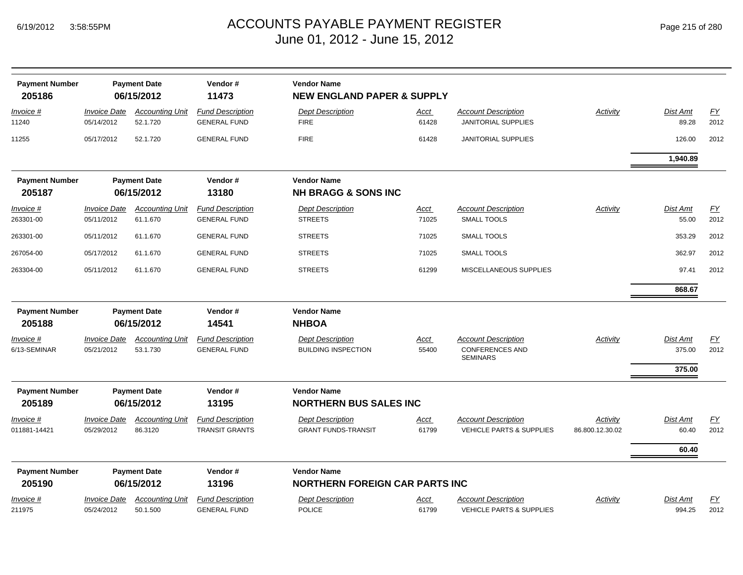| Page 215 of 280 |  |  |  |
|-----------------|--|--|--|
|-----------------|--|--|--|

| <b>Payment Number</b><br>205186 |                                   | <b>Payment Date</b><br>06/15/2012  | Vendor#<br>11473                                 | <b>Vendor Name</b><br><b>NEW ENGLAND PAPER &amp; SUPPLY</b> |                      |                                                                         |                             |                            |                   |
|---------------------------------|-----------------------------------|------------------------------------|--------------------------------------------------|-------------------------------------------------------------|----------------------|-------------------------------------------------------------------------|-----------------------------|----------------------------|-------------------|
| Invoice #<br>11240              | <b>Invoice Date</b><br>05/14/2012 | <b>Accounting Unit</b><br>52.1.720 | <b>Fund Description</b><br><b>GENERAL FUND</b>   | <b>Dept Description</b><br><b>FIRE</b>                      | Acct<br>61428        | <b>Account Description</b><br><b>JANITORIAL SUPPLIES</b>                | Activity                    | Dist Amt<br>89.28          | EY<br>2012        |
| 11255                           | 05/17/2012                        | 52.1.720                           | <b>GENERAL FUND</b>                              | <b>FIRE</b>                                                 | 61428                | <b>JANITORIAL SUPPLIES</b>                                              |                             | 126.00                     | 2012              |
|                                 |                                   |                                    |                                                  |                                                             |                      |                                                                         |                             | 1.940.89                   |                   |
| <b>Payment Number</b>           |                                   | <b>Payment Date</b>                | Vendor#                                          | <b>Vendor Name</b>                                          |                      |                                                                         |                             |                            |                   |
| 205187                          |                                   | 06/15/2012                         | 13180                                            | <b>NH BRAGG &amp; SONS INC</b>                              |                      |                                                                         |                             |                            |                   |
| Invoice #<br>263301-00          | <b>Invoice Date</b><br>05/11/2012 | <b>Accounting Unit</b><br>61.1.670 | <b>Fund Description</b><br><b>GENERAL FUND</b>   | <b>Dept Description</b><br><b>STREETS</b>                   | <u>Acct</u><br>71025 | <b>Account Description</b><br><b>SMALL TOOLS</b>                        | Activity                    | <b>Dist Amt</b><br>55.00   | <b>FY</b><br>2012 |
| 263301-00                       | 05/11/2012                        | 61.1.670                           | <b>GENERAL FUND</b>                              | <b>STREETS</b>                                              | 71025                | <b>SMALL TOOLS</b>                                                      |                             | 353.29                     | 2012              |
| 267054-00                       | 05/17/2012                        | 61.1.670                           | <b>GENERAL FUND</b>                              | <b>STREETS</b>                                              | 71025                | <b>SMALL TOOLS</b>                                                      |                             | 362.97                     | 2012              |
| 263304-00                       | 05/11/2012                        | 61.1.670                           | <b>GENERAL FUND</b>                              | <b>STREETS</b>                                              | 61299                | MISCELLANEOUS SUPPLIES                                                  |                             | 97.41                      | 2012              |
|                                 |                                   |                                    |                                                  |                                                             |                      |                                                                         |                             | 868.67                     |                   |
| <b>Payment Number</b><br>205188 | <b>Payment Date</b><br>06/15/2012 |                                    | Vendor#<br>14541                                 | <b>Vendor Name</b><br><b>NHBOA</b>                          |                      |                                                                         |                             |                            |                   |
| Invoice #<br>6/13-SEMINAR       | <b>Invoice Date</b><br>05/21/2012 | <b>Accounting Unit</b><br>53.1.730 | <b>Fund Description</b><br><b>GENERAL FUND</b>   | <b>Dept Description</b><br><b>BUILDING INSPECTION</b>       | Acct<br>55400        | <b>Account Description</b><br><b>CONFERENCES AND</b><br><b>SEMINARS</b> | Activity                    | Dist Amt<br>375.00         | EY<br>2012        |
|                                 |                                   |                                    |                                                  |                                                             |                      |                                                                         |                             | 375.00                     |                   |
| <b>Payment Number</b><br>205189 |                                   | <b>Payment Date</b><br>06/15/2012  | Vendor#<br>13195                                 | <b>Vendor Name</b><br><b>NORTHERN BUS SALES INC</b>         |                      |                                                                         |                             |                            |                   |
| Invoice #<br>011881-14421       | <b>Invoice Date</b><br>05/29/2012 | <b>Accounting Unit</b><br>86.3120  | <b>Fund Description</b><br><b>TRANSIT GRANTS</b> | <b>Dept Description</b><br><b>GRANT FUNDS-TRANSIT</b>       | Acct<br>61799        | <b>Account Description</b><br><b>VEHICLE PARTS &amp; SUPPLIES</b>       | Activity<br>86.800.12.30.02 | Dist Amt<br>60.40<br>60.40 | EY<br>2012        |
| <b>Payment Number</b>           |                                   | <b>Payment Date</b>                | Vendor#                                          | <b>Vendor Name</b>                                          |                      |                                                                         |                             |                            |                   |
| 205190                          |                                   | 06/15/2012                         | 13196                                            | <b>NORTHERN FOREIGN CAR PARTS INC</b>                       |                      |                                                                         |                             |                            |                   |
| Invoice #<br>211975             | <b>Invoice Date</b><br>05/24/2012 | <b>Accounting Unit</b><br>50.1.500 | <b>Fund Description</b><br><b>GENERAL FUND</b>   | <b>Dept Description</b><br><b>POLICE</b>                    | Acct<br>61799        | <b>Account Description</b><br><b>VEHICLE PARTS &amp; SUPPLIES</b>       | Activity                    | Dist Amt<br>994.25         | <b>FY</b><br>2012 |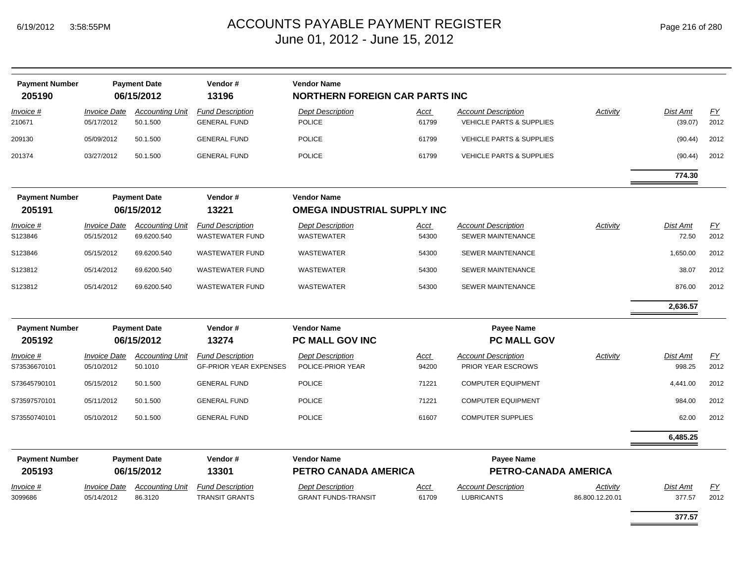| <b>Payment Number</b><br>205190 |                                          | <b>Payment Date</b><br>06/15/2012  | Vendor#<br>13196                                 | <b>Vendor Name</b><br><b>NORTHERN FOREIGN CAR PARTS INC</b> |                      |                                                                   |                             |                     |            |
|---------------------------------|------------------------------------------|------------------------------------|--------------------------------------------------|-------------------------------------------------------------|----------------------|-------------------------------------------------------------------|-----------------------------|---------------------|------------|
| Invoice #<br>210671             | <b>Invoice Date</b><br>05/17/2012        | <b>Accounting Unit</b><br>50.1.500 | <b>Fund Description</b><br><b>GENERAL FUND</b>   | <b>Dept Description</b><br><b>POLICE</b>                    | <u>Acct</u><br>61799 | <b>Account Description</b><br><b>VEHICLE PARTS &amp; SUPPLIES</b> | <b>Activity</b>             | Dist Amt<br>(39.07) | EY<br>2012 |
| 209130                          | 05/09/2012                               | 50.1.500                           | <b>GENERAL FUND</b>                              | <b>POLICE</b>                                               | 61799                | <b>VEHICLE PARTS &amp; SUPPLIES</b>                               |                             | (90.44)             | 2012       |
| 201374                          | 03/27/2012                               | 50.1.500                           | <b>GENERAL FUND</b>                              | <b>POLICE</b>                                               | 61799                | <b>VEHICLE PARTS &amp; SUPPLIES</b>                               |                             | (90.44)             | 2012       |
|                                 |                                          |                                    |                                                  |                                                             |                      |                                                                   |                             | 774.30              |            |
| <b>Payment Number</b>           |                                          | <b>Payment Date</b>                | Vendor#                                          | <b>Vendor Name</b>                                          |                      |                                                                   |                             |                     |            |
| 205191                          | 06/15/2012                               |                                    | 13221                                            | <b>OMEGA INDUSTRIAL SUPPLY INC</b>                          |                      |                                                                   |                             |                     |            |
| Invoice #                       | <b>Invoice Date</b>                      | <b>Accounting Unit</b>             | <b>Fund Description</b>                          | <b>Dept Description</b>                                     | Acct                 | <b>Account Description</b>                                        | Activity                    | Dist Amt            | EY         |
| S123846                         | 05/15/2012                               | 69.6200.540                        | <b>WASTEWATER FUND</b>                           | <b>WASTEWATER</b>                                           | 54300                | <b>SEWER MAINTENANCE</b>                                          |                             | 72.50               | 2012       |
| S123846                         | 05/15/2012                               | 69.6200.540                        | <b>WASTEWATER FUND</b>                           | WASTEWATER                                                  | 54300                | <b>SEWER MAINTENANCE</b>                                          |                             | 1,650.00            | 2012       |
| S123812                         | 05/14/2012                               | 69.6200.540                        | <b>WASTEWATER FUND</b>                           | <b>WASTEWATER</b>                                           | 54300                | <b>SEWER MAINTENANCE</b>                                          |                             | 38.07               | 2012       |
| S123812                         | 05/14/2012                               | 69.6200.540                        | <b>WASTEWATER FUND</b>                           | <b>WASTEWATER</b>                                           | 54300                | <b>SEWER MAINTENANCE</b>                                          |                             | 876.00              | 2012       |
|                                 |                                          |                                    |                                                  |                                                             |                      |                                                                   |                             | 2,636.57            |            |
| <b>Payment Number</b><br>205192 | <b>Payment Date</b><br>06/15/2012        |                                    | Vendor#<br>13274                                 | <b>Vendor Name</b><br>PC MALL GOV INC                       |                      | <b>Payee Name</b><br>PC MALL GOV                                  |                             |                     |            |
| Invoice #                       | <b>Invoice Date</b>                      | <b>Accounting Unit</b>             | <b>Fund Description</b>                          | <b>Dept Description</b>                                     | <u>Acct</u>          | <b>Account Description</b>                                        | Activity                    | <b>Dist Amt</b>     | EY         |
| S73536670101                    | 05/10/2012                               | 50.1010                            | <b>GF-PRIOR YEAR EXPENSES</b>                    | POLICE-PRIOR YEAR                                           | 94200                | PRIOR YEAR ESCROWS                                                |                             | 998.25              | 2012       |
| S73645790101                    | 05/15/2012                               | 50.1.500                           | <b>GENERAL FUND</b>                              | <b>POLICE</b>                                               | 71221                | <b>COMPUTER EQUIPMENT</b>                                         |                             | 4,441.00            | 2012       |
| S73597570101                    | 05/11/2012                               | 50.1.500                           | <b>GENERAL FUND</b>                              | <b>POLICE</b>                                               | 71221                | <b>COMPUTER EQUIPMENT</b>                                         |                             | 984.00              | 2012       |
| S73550740101                    | 05/10/2012                               | 50.1.500                           | <b>GENERAL FUND</b>                              | <b>POLICE</b>                                               | 61607                | <b>COMPUTER SUPPLIES</b>                                          |                             | 62.00               | 2012       |
|                                 |                                          |                                    |                                                  |                                                             |                      |                                                                   |                             | 6,485.25            |            |
| <b>Payment Number</b>           |                                          | <b>Payment Date</b>                | Vendor#                                          | <b>Vendor Name</b><br><b>Payee Name</b>                     |                      |                                                                   |                             |                     |            |
| 205193                          |                                          | 06/15/2012                         | 13301                                            | PETRO CANADA AMERICA                                        |                      |                                                                   | PETRO-CANADA AMERICA        |                     |            |
| <i>Invoice</i> #<br>3099686     | <i><b>Invoice Date</b></i><br>05/14/2012 | <b>Accounting Unit</b><br>86.3120  | <b>Fund Description</b><br><b>TRANSIT GRANTS</b> | <b>Dept Description</b><br><b>GRANT FUNDS-TRANSIT</b>       | Acct<br>61709        | <b>Account Description</b><br><b>LUBRICANTS</b>                   | Activity<br>86.800.12.20.01 | Dist Amt<br>377.57  | EY<br>2012 |
|                                 |                                          |                                    |                                                  |                                                             |                      |                                                                   |                             |                     |            |

**377.57**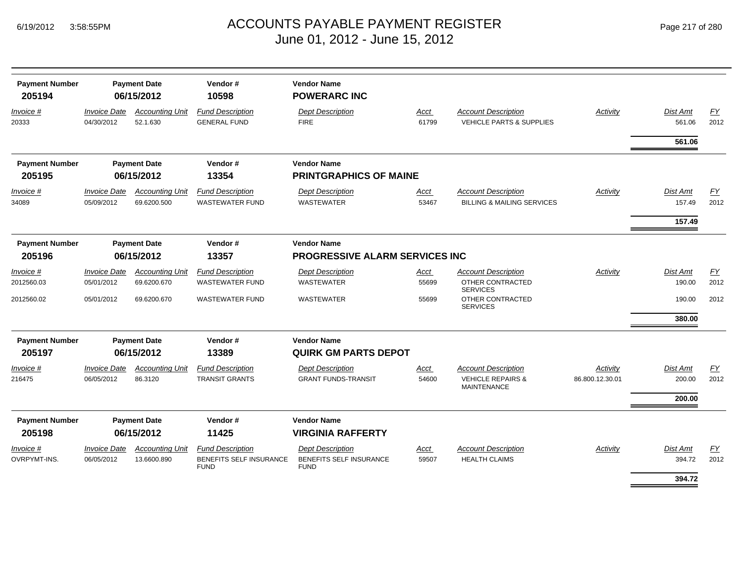| Page 217 of 280 |
|-----------------|
|-----------------|

| <b>Payment Number</b><br>205194 |                                                       | <b>Payment Date</b><br>06/15/2012     | Vendor#<br>10598                                                         | <b>Vendor Name</b><br><b>POWERARC INC</b>                                |               |                                                                     |                 |                           |            |
|---------------------------------|-------------------------------------------------------|---------------------------------------|--------------------------------------------------------------------------|--------------------------------------------------------------------------|---------------|---------------------------------------------------------------------|-----------------|---------------------------|------------|
| Invoice #<br>20333              | <b>Invoice Date</b><br>04/30/2012                     | <b>Accounting Unit</b><br>52.1.630    | <b>Fund Description</b><br><b>GENERAL FUND</b>                           | <b>Dept Description</b><br><b>FIRE</b>                                   | Acct<br>61799 | <b>Account Description</b><br><b>VEHICLE PARTS &amp; SUPPLIES</b>   | Activity        | <b>Dist Amt</b><br>561.06 | EY<br>2012 |
|                                 |                                                       |                                       |                                                                          |                                                                          |               |                                                                     |                 | 561.06                    |            |
| <b>Payment Number</b>           |                                                       | <b>Payment Date</b>                   | Vendor#                                                                  | <b>Vendor Name</b>                                                       |               |                                                                     |                 |                           |            |
| 205195                          |                                                       | 06/15/2012                            | 13354                                                                    | <b>PRINTGRAPHICS OF MAINE</b>                                            |               |                                                                     |                 |                           |            |
| Invoice #<br>34089              | <b>Invoice Date</b><br>05/09/2012                     | <b>Accounting Unit</b><br>69.6200.500 | <b>Fund Description</b><br><b>WASTEWATER FUND</b>                        | <b>Dept Description</b><br><b>WASTEWATER</b>                             | Acct<br>53467 | <b>Account Description</b><br><b>BILLING &amp; MAILING SERVICES</b> | Activity        | <b>Dist Amt</b><br>157.49 | EY<br>2012 |
|                                 |                                                       |                                       |                                                                          |                                                                          |               |                                                                     |                 | 157.49                    |            |
| <b>Payment Number</b>           |                                                       | <b>Payment Date</b>                   | Vendor#                                                                  | <b>Vendor Name</b>                                                       |               |                                                                     |                 |                           |            |
| 205196                          |                                                       | 06/15/2012                            | 13357                                                                    | <b>PROGRESSIVE ALARM SERVICES INC</b>                                    |               |                                                                     |                 |                           |            |
| <i>Invoice</i> #                | <i><b>Invoice Date</b></i>                            | <b>Accounting Unit</b>                | <b>Fund Description</b>                                                  | <b>Dept Description</b>                                                  | Acct          | <b>Account Description</b>                                          | Activity        | <b>Dist Amt</b>           | <u>FY</u>  |
| 2012560.03                      | 05/01/2012                                            | 69.6200.670                           | <b>WASTEWATER FUND</b>                                                   | <b>WASTEWATER</b>                                                        | 55699         | OTHER CONTRACTED<br><b>SERVICES</b>                                 |                 | 190.00                    | 2012       |
| 2012560.02                      | 05/01/2012                                            | 69.6200.670                           | <b>WASTEWATER FUND</b>                                                   | <b>WASTEWATER</b>                                                        | 55699         | OTHER CONTRACTED<br><b>SERVICES</b>                                 |                 | 190.00                    | 2012       |
|                                 |                                                       |                                       |                                                                          |                                                                          |               |                                                                     |                 | 380.00                    |            |
| <b>Payment Number</b><br>205197 |                                                       | <b>Payment Date</b><br>06/15/2012     | Vendor#<br>13389                                                         | <b>Vendor Name</b><br><b>QUIRK GM PARTS DEPOT</b>                        |               |                                                                     |                 |                           |            |
| Invoice #                       | <b>Invoice Date</b>                                   | <b>Accounting Unit</b>                | <b>Fund Description</b>                                                  | <b>Dept Description</b>                                                  | Acct          | <b>Account Description</b>                                          | Activity        | <b>Dist Amt</b>           | FY         |
| 216475                          | 06/05/2012                                            | 86.3120                               | <b>TRANSIT GRANTS</b>                                                    | <b>GRANT FUNDS-TRANSIT</b>                                               | 54600         | <b>VEHICLE REPAIRS &amp;</b><br><b>MAINTENANCE</b>                  | 86.800.12.30.01 | 200.00                    | 2012       |
|                                 |                                                       |                                       |                                                                          |                                                                          |               |                                                                     |                 | 200.00                    |            |
| <b>Payment Number</b><br>205198 | <b>Payment Date</b><br>Vendor#<br>06/15/2012<br>11425 |                                       |                                                                          | <b>Vendor Name</b><br><b>VIRGINIA RAFFERTY</b>                           |               |                                                                     |                 |                           |            |
| Invoice #<br>OVRPYMT-INS.       | <b>Invoice Date</b><br>06/05/2012                     | <b>Accounting Unit</b><br>13.6600.890 | <b>Fund Description</b><br><b>BENEFITS SELF INSURANCE</b><br><b>FUND</b> | <b>Dept Description</b><br><b>BENEFITS SELF INSURANCE</b><br><b>FUND</b> | Acct<br>59507 | <b>Account Description</b><br><b>HEALTH CLAIMS</b>                  | Activity        | <b>Dist Amt</b><br>394.72 | EY<br>2012 |
|                                 |                                                       |                                       |                                                                          |                                                                          |               |                                                                     |                 | 394.72                    |            |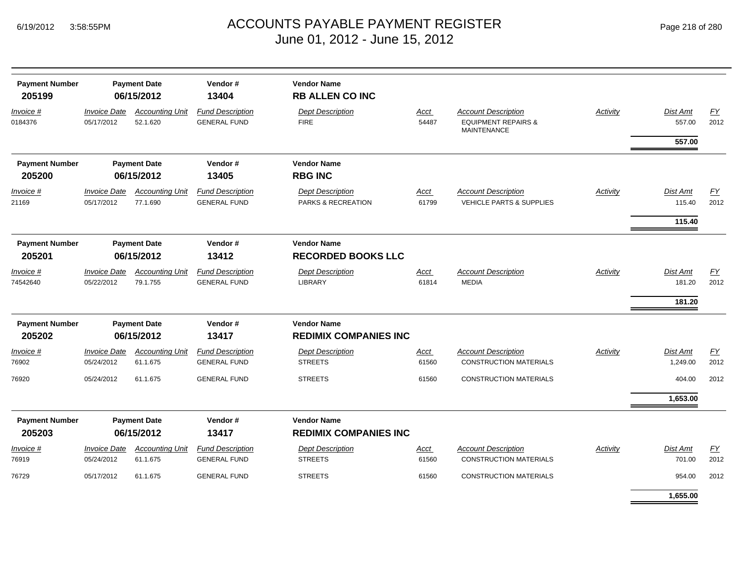| <b>Payment Number</b><br>205199 |                                   | <b>Payment Date</b><br>06/15/2012  | Vendor#<br>13404                               | <b>Vendor Name</b><br><b>RB ALLEN CO INC</b>       |               |                                                                                    |                 |                              |                   |
|---------------------------------|-----------------------------------|------------------------------------|------------------------------------------------|----------------------------------------------------|---------------|------------------------------------------------------------------------------------|-----------------|------------------------------|-------------------|
| Invoice #<br>0184376            | <b>Invoice Date</b><br>05/17/2012 | <b>Accounting Unit</b><br>52.1.620 | <b>Fund Description</b><br><b>GENERAL FUND</b> | <b>Dept Description</b><br><b>FIRE</b>             | Acct<br>54487 | <b>Account Description</b><br><b>EQUIPMENT REPAIRS &amp;</b><br><b>MAINTENANCE</b> | <b>Activity</b> | Dist Amt<br>557.00           | <b>FY</b><br>2012 |
|                                 |                                   |                                    |                                                |                                                    |               |                                                                                    |                 | 557.00                       |                   |
| <b>Payment Number</b>           |                                   | <b>Payment Date</b>                | Vendor#                                        | <b>Vendor Name</b>                                 |               |                                                                                    |                 |                              |                   |
| 205200                          |                                   | 06/15/2012                         | 13405                                          | <b>RBG INC</b>                                     |               |                                                                                    |                 |                              |                   |
| Invoice #<br>21169              | <b>Invoice Date</b><br>05/17/2012 | <b>Accounting Unit</b><br>77.1.690 | <b>Fund Description</b><br><b>GENERAL FUND</b> | <b>Dept Description</b><br>PARKS & RECREATION      | Acct<br>61799 | <b>Account Description</b><br><b>VEHICLE PARTS &amp; SUPPLIES</b>                  | Activity        | Dist Amt<br>115.40           | <u>FY</u><br>2012 |
|                                 |                                   |                                    |                                                |                                                    |               |                                                                                    |                 | 115.40                       |                   |
| <b>Payment Number</b><br>205201 |                                   | <b>Payment Date</b><br>06/15/2012  | Vendor#<br>13412                               | <b>Vendor Name</b><br><b>RECORDED BOOKS LLC</b>    |               |                                                                                    |                 |                              |                   |
| Invoice #<br>74542640           | <b>Invoice Date</b><br>05/22/2012 | <b>Accounting Unit</b><br>79.1.755 | <b>Fund Description</b><br><b>GENERAL FUND</b> | <b>Dept Description</b><br><b>LIBRARY</b>          | Acct<br>61814 | <b>Account Description</b><br><b>MEDIA</b>                                         | Activity        | Dist Amt<br>181.20<br>181.20 | EY<br>2012        |
| <b>Payment Number</b><br>205202 |                                   | <b>Payment Date</b><br>06/15/2012  | Vendor#<br>13417                               | <b>Vendor Name</b><br><b>REDIMIX COMPANIES INC</b> |               |                                                                                    |                 |                              |                   |
| Invoice #                       | <b>Invoice Date</b>               | <b>Accounting Unit</b>             | <b>Fund Description</b>                        | <b>Dept Description</b>                            | Acct          | <b>Account Description</b>                                                         | Activity        | Dist Amt                     | <b>FY</b>         |
| 76902                           | 05/24/2012                        | 61.1.675                           | <b>GENERAL FUND</b>                            | <b>STREETS</b>                                     | 61560         | <b>CONSTRUCTION MATERIALS</b>                                                      |                 | 1,249.00                     | 2012              |
| 76920                           | 05/24/2012                        | 61.1.675                           | <b>GENERAL FUND</b>                            | <b>STREETS</b>                                     | 61560         | <b>CONSTRUCTION MATERIALS</b>                                                      |                 | 404.00                       | 2012              |
|                                 |                                   |                                    |                                                |                                                    |               |                                                                                    |                 | 1,653.00                     |                   |
| <b>Payment Number</b><br>205203 |                                   | <b>Payment Date</b><br>06/15/2012  | Vendor#<br>13417                               | <b>Vendor Name</b><br><b>REDIMIX COMPANIES INC</b> |               |                                                                                    |                 |                              |                   |
| Invoice #<br>76919              | <b>Invoice Date</b><br>05/24/2012 | <b>Accounting Unit</b><br>61.1.675 | <b>Fund Description</b><br><b>GENERAL FUND</b> | <b>Dept Description</b><br><b>STREETS</b>          | Acct<br>61560 | <b>Account Description</b><br><b>CONSTRUCTION MATERIALS</b>                        | Activity        | Dist Amt<br>701.00           | EY<br>2012        |
| 76729                           | 05/17/2012                        | 61.1.675                           | <b>GENERAL FUND</b>                            | <b>STREETS</b>                                     | 61560         | <b>CONSTRUCTION MATERIALS</b>                                                      |                 | 954.00                       | 2012              |
|                                 |                                   |                                    |                                                |                                                    |               |                                                                                    |                 | 1,655.00                     |                   |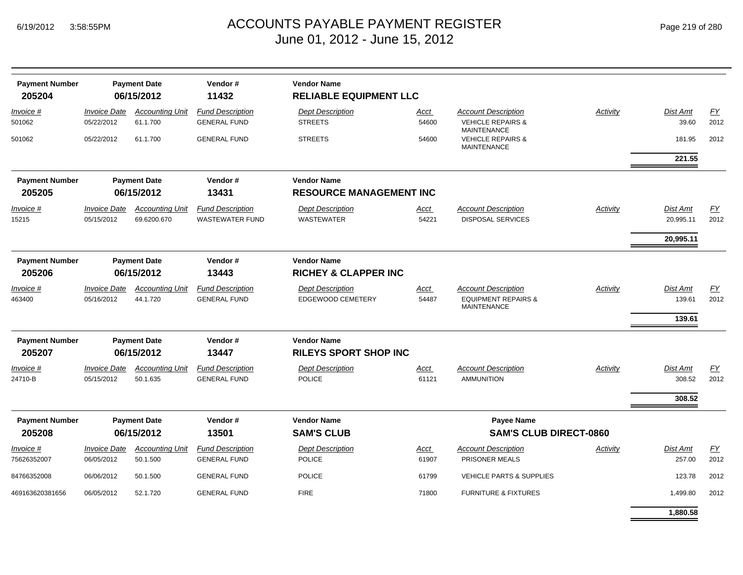| Page 219 of 280 |  |  |  |  |
|-----------------|--|--|--|--|
|-----------------|--|--|--|--|

| <b>Payment Number</b><br>205204 |                                   | <b>Payment Date</b><br>06/15/2012     | Vendor#<br>11432                                  | <b>Vendor Name</b><br><b>RELIABLE EQUIPMENT LLC</b>   |                                                    |                                                                                    |          |                              |                   |
|---------------------------------|-----------------------------------|---------------------------------------|---------------------------------------------------|-------------------------------------------------------|----------------------------------------------------|------------------------------------------------------------------------------------|----------|------------------------------|-------------------|
| Invoice #<br>501062             | <b>Invoice Date</b><br>05/22/2012 | <b>Accounting Unit</b><br>61.1.700    | <b>Fund Description</b><br><b>GENERAL FUND</b>    | <b>Dept Description</b><br><b>STREETS</b>             | <u>Acct</u><br>54600                               | <b>Account Description</b><br><b>VEHICLE REPAIRS &amp;</b><br><b>MAINTENANCE</b>   | Activity | Dist Amt<br>39.60            | EY<br>2012        |
| 501062                          | 05/22/2012                        | 61.1.700                              | <b>GENERAL FUND</b>                               | <b>STREETS</b>                                        | 54600                                              | <b>VEHICLE REPAIRS &amp;</b><br><b>MAINTENANCE</b>                                 |          | 181.95<br>221.55             | 2012              |
| <b>Payment Number</b><br>205205 |                                   | <b>Payment Date</b><br>06/15/2012     | Vendor#<br>13431                                  | <b>Vendor Name</b><br><b>RESOURCE MANAGEMENT INC</b>  |                                                    |                                                                                    |          |                              |                   |
| Invoice #<br>15215              | <b>Invoice Date</b><br>05/15/2012 | <b>Accounting Unit</b><br>69.6200.670 | <b>Fund Description</b><br><b>WASTEWATER FUND</b> | <b>Dept Description</b><br><b>WASTEWATER</b>          | Acct<br>54221                                      | <b>Account Description</b><br><b>DISPOSAL SERVICES</b>                             | Activity | Dist Amt<br>20,995.11        | EY<br>2012        |
|                                 |                                   |                                       |                                                   |                                                       |                                                    |                                                                                    |          | 20,995.11                    |                   |
| <b>Payment Number</b><br>205206 |                                   | <b>Payment Date</b><br>06/15/2012     | Vendor#<br>13443                                  | <b>Vendor Name</b><br><b>RICHEY &amp; CLAPPER INC</b> |                                                    |                                                                                    |          |                              |                   |
| Invoice #<br>463400             | <b>Invoice Date</b><br>05/16/2012 | <b>Accounting Unit</b><br>44.1.720    | <b>Fund Description</b><br><b>GENERAL FUND</b>    | <b>Dept Description</b><br><b>EDGEWOOD CEMETERY</b>   | Acct<br>54487                                      | <b>Account Description</b><br><b>EQUIPMENT REPAIRS &amp;</b><br><b>MAINTENANCE</b> | Activity | Dist Amt<br>139.61<br>139.61 | EY<br>2012        |
| <b>Payment Number</b><br>205207 |                                   | <b>Payment Date</b><br>06/15/2012     | Vendor#<br>13447                                  | <b>Vendor Name</b><br><b>RILEYS SPORT SHOP INC</b>    |                                                    |                                                                                    |          |                              |                   |
| Invoice #<br>24710-B            | <b>Invoice Date</b><br>05/15/2012 | <b>Accounting Unit</b><br>50.1.635    | <b>Fund Description</b><br><b>GENERAL FUND</b>    | <b>Dept Description</b><br><b>POLICE</b>              | <u>Acct</u><br>61121                               | <b>Account Description</b><br><b>AMMUNITION</b>                                    | Activity | Dist Amt<br>308.52           | <b>FY</b><br>2012 |
|                                 |                                   |                                       |                                                   |                                                       |                                                    |                                                                                    |          | 308.52                       |                   |
| <b>Payment Number</b><br>205208 |                                   | <b>Payment Date</b><br>06/15/2012     | Vendor#<br>13501                                  | <b>Vendor Name</b><br><b>SAM'S CLUB</b>               | <b>Payee Name</b><br><b>SAM'S CLUB DIRECT-0860</b> |                                                                                    |          |                              |                   |
| Invoice #<br>75626352007        | <b>Invoice Date</b><br>06/05/2012 | <b>Accounting Unit</b><br>50.1.500    | <b>Fund Description</b><br><b>GENERAL FUND</b>    | <b>Dept Description</b><br><b>POLICE</b>              | Acct<br>61907                                      | <b>Account Description</b><br>PRISONER MEALS                                       | Activity | Dist Amt<br>257.00           | FY<br>2012        |
| 84766352008                     | 06/06/2012                        | 50.1.500                              | <b>GENERAL FUND</b>                               | <b>POLICE</b>                                         | 61799                                              | <b>VEHICLE PARTS &amp; SUPPLIES</b>                                                |          | 123.78                       | 2012              |
| 469163620381656                 | 06/05/2012                        | 52.1.720                              | <b>GENERAL FUND</b>                               | <b>FIRE</b>                                           | 71800                                              | <b>FURNITURE &amp; FIXTURES</b>                                                    |          | 1,499.80                     | 2012              |
|                                 |                                   |                                       |                                                   |                                                       |                                                    |                                                                                    |          | 1.880.58                     |                   |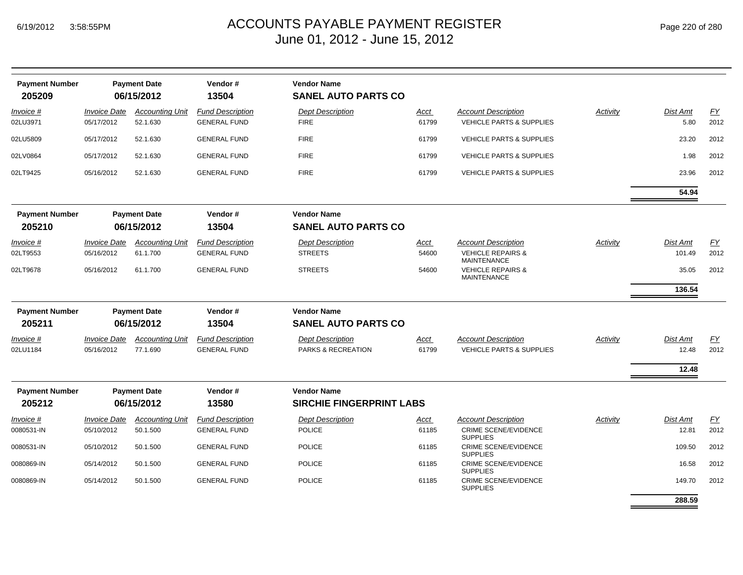| <b>Payment Number</b><br>205209 |                            | <b>Payment Date</b><br>06/15/2012  | Vendor#<br>13504                               | <b>Vendor Name</b><br><b>SANEL AUTO PARTS CO</b> |               |                                                                   |          |                         |                  |
|---------------------------------|----------------------------|------------------------------------|------------------------------------------------|--------------------------------------------------|---------------|-------------------------------------------------------------------|----------|-------------------------|------------------|
| Invoice #<br>02LU3971           | Invoice Date<br>05/17/2012 | <b>Accounting Unit</b><br>52.1.630 | <b>Fund Description</b><br><b>GENERAL FUND</b> | <b>Dept Description</b><br><b>FIRE</b>           | Acct<br>61799 | <b>Account Description</b><br><b>VEHICLE PARTS &amp; SUPPLIES</b> | Activity | <b>Dist Amt</b><br>5.80 | EY<br>2012       |
| 02LU5809                        | 05/17/2012                 | 52.1.630                           | <b>GENERAL FUND</b>                            | <b>FIRE</b>                                      | 61799         | <b>VEHICLE PARTS &amp; SUPPLIES</b>                               |          | 23.20                   | 2012             |
| 02LV0864                        | 05/17/2012                 | 52.1.630                           | <b>GENERAL FUND</b>                            | <b>FIRE</b>                                      | 61799         | <b>VEHICLE PARTS &amp; SUPPLIES</b>                               |          | 1.98                    | 2012             |
| 02LT9425                        | 05/16/2012                 | 52.1.630                           | <b>GENERAL FUND</b>                            | <b>FIRE</b>                                      | 61799         | <b>VEHICLE PARTS &amp; SUPPLIES</b>                               |          | 23.96                   | 2012             |
|                                 |                            |                                    |                                                |                                                  |               |                                                                   |          | 54.94                   |                  |
| <b>Payment Number</b>           |                            | <b>Payment Date</b>                | Vendor#                                        | <b>Vendor Name</b>                               |               |                                                                   |          |                         |                  |
| 205210                          |                            | 06/15/2012                         | 13504                                          | <b>SANEL AUTO PARTS CO</b>                       |               |                                                                   |          |                         |                  |
| Invoice #                       | <i><b>Invoice Date</b></i> | <b>Accounting Unit</b>             | <b>Fund Description</b>                        | <b>Dept Description</b>                          | <u>Acct</u>   | <b>Account Description</b>                                        | Activity | <b>Dist Amt</b>         | EY               |
| 02LT9553                        | 05/16/2012                 | 61.1.700                           | <b>GENERAL FUND</b>                            | <b>STREETS</b>                                   | 54600         | <b>VEHICLE REPAIRS &amp;</b><br><b>MAINTENANCE</b>                |          | 101.49                  | 2012             |
| 02LT9678                        | 05/16/2012                 | 61.1.700                           | <b>GENERAL FUND</b>                            | <b>STREETS</b>                                   | 54600         | <b>VEHICLE REPAIRS &amp;</b><br><b>MAINTENANCE</b>                |          | 35.05                   | 2012             |
|                                 |                            |                                    |                                                |                                                  |               |                                                                   |          | 136.54                  |                  |
| <b>Payment Number</b>           |                            | <b>Payment Date</b>                | Vendor#                                        | <b>Vendor Name</b>                               |               |                                                                   |          |                         |                  |
| 205211                          |                            | 06/15/2012                         | 13504                                          | <b>SANEL AUTO PARTS CO</b>                       |               |                                                                   |          |                         |                  |
| Invoice #                       | Invoice Date               | <b>Accounting Unit</b>             | <b>Fund Description</b>                        | <b>Dept Description</b>                          | Acct          | <b>Account Description</b>                                        | Activity | Dist Amt                | $\underline{FY}$ |
| 02LU1184                        | 05/16/2012                 | 77.1.690                           | <b>GENERAL FUND</b>                            | PARKS & RECREATION                               | 61799         | <b>VEHICLE PARTS &amp; SUPPLIES</b>                               |          | 12.48                   | 2012             |
|                                 |                            |                                    |                                                |                                                  |               |                                                                   |          | 12.48                   |                  |
| <b>Payment Number</b>           |                            | <b>Payment Date</b>                | Vendor#                                        | <b>Vendor Name</b>                               |               |                                                                   |          |                         |                  |
| 205212                          |                            | 06/15/2012                         | 13580                                          | <b>SIRCHIE FINGERPRINT LABS</b>                  |               |                                                                   |          |                         |                  |
| Invoice #                       | <b>Invoice Date</b>        | <b>Accounting Unit</b>             | <b>Fund Description</b>                        | <b>Dept Description</b>                          | Acct          | <b>Account Description</b>                                        | Activity | <b>Dist Amt</b>         | EY               |
| 0080531-IN                      | 05/10/2012                 | 50.1.500                           | <b>GENERAL FUND</b>                            | <b>POLICE</b>                                    | 61185         | <b>CRIME SCENE/EVIDENCE</b><br><b>SUPPLIES</b>                    |          | 12.81                   | 2012             |
| 0080531-IN                      | 05/10/2012                 | 50.1.500                           | <b>GENERAL FUND</b>                            | <b>POLICE</b>                                    | 61185         | <b>CRIME SCENE/EVIDENCE</b><br><b>SUPPLIES</b>                    |          | 109.50                  | 2012             |
| 0080869-IN                      | 05/14/2012                 | 50.1.500                           | <b>GENERAL FUND</b>                            | <b>POLICE</b>                                    | 61185         | <b>CRIME SCENE/EVIDENCE</b><br><b>SUPPLIES</b>                    |          | 16.58                   | 2012             |
| 0080869-IN                      | 05/14/2012                 | 50.1.500                           | <b>GENERAL FUND</b>                            | <b>POLICE</b>                                    | 61185         | <b>CRIME SCENE/EVIDENCE</b><br><b>SUPPLIES</b>                    |          | 149.70                  | 2012             |
|                                 |                            |                                    |                                                |                                                  |               |                                                                   |          | 288.59                  |                  |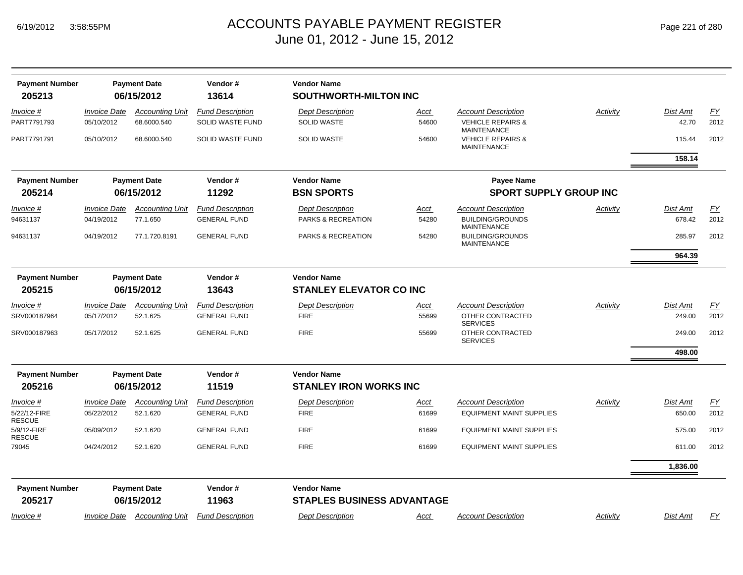|  | Page 221 of 280 |  |  |  |
|--|-----------------|--|--|--|
|--|-----------------|--|--|--|

| <b>Payment Number</b><br>205213 |                                   | <b>Payment Date</b><br>06/15/2012     | Vendor#<br>13614                            | <b>Vendor Name</b><br><b>SOUTHWORTH-MILTON INC</b> |                      |                                                                          |          |                   |            |
|---------------------------------|-----------------------------------|---------------------------------------|---------------------------------------------|----------------------------------------------------|----------------------|--------------------------------------------------------------------------|----------|-------------------|------------|
|                                 |                                   |                                       |                                             |                                                    |                      |                                                                          |          |                   |            |
| Invoice #<br>PART7791793        | <b>Invoice Date</b><br>05/10/2012 | <b>Accounting Unit</b><br>68.6000.540 | <b>Fund Description</b><br>SOLID WASTE FUND | <b>Dept Description</b><br><b>SOLID WASTE</b>      | <b>Acct</b><br>54600 | <b>Account Description</b><br><b>VEHICLE REPAIRS &amp;</b>               | Activity | Dist Amt<br>42.70 | EY<br>2012 |
| PART7791791                     | 05/10/2012                        | 68.6000.540                           | SOLID WASTE FUND                            | <b>SOLID WASTE</b>                                 | 54600                | <b>MAINTENANCE</b><br><b>VEHICLE REPAIRS &amp;</b><br><b>MAINTENANCE</b> |          | 115.44            | 2012       |
|                                 |                                   |                                       |                                             |                                                    |                      |                                                                          |          | 158.14            |            |
| <b>Payment Number</b>           |                                   | <b>Payment Date</b>                   | Vendor#                                     | <b>Vendor Name</b>                                 |                      | <b>Payee Name</b>                                                        |          |                   |            |
| 205214                          |                                   | 06/15/2012                            | 11292                                       | <b>BSN SPORTS</b>                                  |                      | <b>SPORT SUPPLY GROUP INC</b>                                            |          |                   |            |
| <i>Invoice</i> #                | <i><b>Invoice Date</b></i>        | <b>Accounting Unit</b>                | <b>Fund Description</b>                     | <b>Dept Description</b>                            | Acct                 | <b>Account Description</b>                                               | Activity | Dist Amt          | FY         |
| 94631137                        | 04/19/2012                        | 77.1.650                              | <b>GENERAL FUND</b>                         | <b>PARKS &amp; RECREATION</b>                      | 54280                | <b>BUILDING/GROUNDS</b><br><b>MAINTENANCE</b>                            |          | 678.42            | 2012       |
| 94631137                        | 04/19/2012                        | 77.1.720.8191                         | <b>GENERAL FUND</b>                         | <b>PARKS &amp; RECREATION</b>                      | 54280                | <b>BUILDING/GROUNDS</b><br><b>MAINTENANCE</b>                            |          | 285.97            | 2012       |
|                                 |                                   |                                       |                                             |                                                    |                      |                                                                          |          | 964.39            |            |
| <b>Payment Number</b>           |                                   | <b>Payment Date</b>                   | Vendor#                                     | <b>Vendor Name</b>                                 |                      |                                                                          |          |                   |            |
| 205215                          | 06/15/2012<br>13643               |                                       |                                             | <b>STANLEY ELEVATOR CO INC</b>                     |                      |                                                                          |          |                   |            |
| <i>Invoice</i> #                | <i><b>Invoice Date</b></i>        | <b>Accounting Unit</b>                | <b>Fund Description</b>                     | <b>Dept Description</b>                            | Acct                 | <b>Account Description</b>                                               | Activity | Dist Amt          | EY         |
| SRV000187964                    | 05/17/2012                        | 52.1.625                              | <b>GENERAL FUND</b>                         | <b>FIRE</b>                                        | 55699                | OTHER CONTRACTED<br><b>SERVICES</b>                                      |          | 249.00            | 2012       |
| SRV000187963                    | 05/17/2012                        | 52.1.625                              | <b>GENERAL FUND</b>                         | <b>FIRE</b>                                        | 55699                | OTHER CONTRACTED<br><b>SERVICES</b>                                      |          | 249.00            | 2012       |
|                                 |                                   |                                       |                                             |                                                    |                      |                                                                          |          | 498.00            |            |
| <b>Payment Number</b>           |                                   | <b>Payment Date</b>                   | Vendor#                                     | <b>Vendor Name</b>                                 |                      |                                                                          |          |                   |            |
| 205216                          |                                   | 06/15/2012                            | 11519                                       | <b>STANLEY IRON WORKS INC</b>                      |                      |                                                                          |          |                   |            |
| <i>Invoice</i> #                | <b>Invoice Date</b>               | <b>Accounting Unit</b>                | <b>Fund Description</b>                     | <b>Dept Description</b>                            | Acct                 | <b>Account Description</b>                                               | Activity | Dist Amt          | <b>FY</b>  |
| 5/22/12-FIRE<br><b>RESCUE</b>   | 05/22/2012                        | 52.1.620                              | <b>GENERAL FUND</b>                         | <b>FIRE</b>                                        | 61699                | <b>EQUIPMENT MAINT SUPPLIES</b>                                          |          | 650.00            | 2012       |
| 5/9/12-FIRE<br><b>RESCUE</b>    | 05/09/2012                        | 52.1.620                              | <b>GENERAL FUND</b>                         | <b>FIRE</b>                                        | 61699                | <b>EQUIPMENT MAINT SUPPLIES</b>                                          |          | 575.00            | 2012       |
| 79045                           | 04/24/2012                        | 52.1.620                              | <b>GENERAL FUND</b>                         | <b>FIRE</b>                                        | 61699                | <b>EQUIPMENT MAINT SUPPLIES</b>                                          |          | 611.00            | 2012       |
|                                 |                                   |                                       |                                             |                                                    |                      |                                                                          |          | 1,836.00          |            |
| <b>Payment Number</b>           |                                   | <b>Payment Date</b>                   | Vendor#                                     | <b>Vendor Name</b>                                 |                      |                                                                          |          |                   |            |
| 205217                          |                                   | 06/15/2012                            | 11963                                       | <b>STAPLES BUSINESS ADVANTAGE</b>                  |                      |                                                                          |          |                   |            |
| Invoice #                       | <b>Invoice Date</b>               | <b>Accounting Unit</b>                | <b>Fund Description</b>                     | <b>Dept Description</b>                            | Acct                 | <b>Account Description</b>                                               | Activity | Dist Amt          | EY         |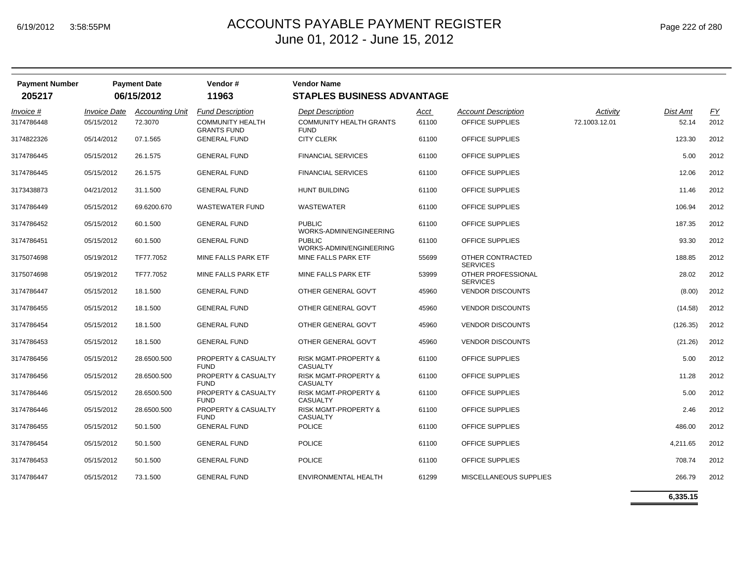| Page 222 of 280 |  |  |
|-----------------|--|--|
|-----------------|--|--|

| <b>Payment Number</b><br>205217 |                                   | <b>Payment Date</b><br>06/15/2012 | Vendor#<br>11963                                                         | <b>Vendor Name</b><br><b>STAPLES BUSINESS ADVANTAGE</b>                  |               |                                               |                           |                          |                   |
|---------------------------------|-----------------------------------|-----------------------------------|--------------------------------------------------------------------------|--------------------------------------------------------------------------|---------------|-----------------------------------------------|---------------------------|--------------------------|-------------------|
| Invoice #<br>3174786448         | <b>Invoice Date</b><br>05/15/2012 | <b>Accounting Unit</b><br>72.3070 | <b>Fund Description</b><br><b>COMMUNITY HEALTH</b><br><b>GRANTS FUND</b> | <b>Dept Description</b><br><b>COMMUNITY HEALTH GRANTS</b><br><b>FUND</b> | Acct<br>61100 | <b>Account Description</b><br>OFFICE SUPPLIES | Activity<br>72.1003.12.01 | <b>Dist Amt</b><br>52.14 | <u>FY</u><br>2012 |
| 3174822326                      | 05/14/2012                        | 07.1.565                          | <b>GENERAL FUND</b>                                                      | <b>CITY CLERK</b>                                                        | 61100         | OFFICE SUPPLIES                               |                           | 123.30                   | 2012              |
| 3174786445                      | 05/15/2012                        | 26.1.575                          | <b>GENERAL FUND</b>                                                      | <b>FINANCIAL SERVICES</b>                                                | 61100         | OFFICE SUPPLIES                               |                           | 5.00                     | 2012              |
| 3174786445                      | 05/15/2012                        | 26.1.575                          | <b>GENERAL FUND</b>                                                      | <b>FINANCIAL SERVICES</b>                                                | 61100         | OFFICE SUPPLIES                               |                           | 12.06                    | 2012              |
| 3173438873                      | 04/21/2012                        | 31.1.500                          | <b>GENERAL FUND</b>                                                      | <b>HUNT BUILDING</b>                                                     | 61100         | OFFICE SUPPLIES                               |                           | 11.46                    | 2012              |
| 3174786449                      | 05/15/2012                        | 69.6200.670                       | <b>WASTEWATER FUND</b>                                                   | <b>WASTEWATER</b>                                                        | 61100         | <b>OFFICE SUPPLIES</b>                        |                           | 106.94                   | 2012              |
| 3174786452                      | 05/15/2012                        | 60.1.500                          | <b>GENERAL FUND</b>                                                      | <b>PUBLIC</b><br>WORKS-ADMIN/ENGINEERING                                 | 61100         | OFFICE SUPPLIES                               |                           | 187.35                   | 2012              |
| 3174786451                      | 05/15/2012                        | 60.1.500                          | <b>GENERAL FUND</b>                                                      | <b>PUBLIC</b><br>WORKS-ADMIN/ENGINEERING                                 | 61100         | OFFICE SUPPLIES                               |                           | 93.30                    | 2012              |
| 3175074698                      | 05/19/2012                        | TF77.7052                         | MINE FALLS PARK ETF                                                      | MINE FALLS PARK ETF                                                      | 55699         | OTHER CONTRACTED<br><b>SERVICES</b>           |                           | 188.85                   | 2012              |
| 3175074698                      | 05/19/2012                        | TF77.7052                         | MINE FALLS PARK ETF                                                      | MINE FALLS PARK ETF                                                      | 53999         | OTHER PROFESSIONAL<br><b>SERVICES</b>         |                           | 28.02                    | 2012              |
| 3174786447                      | 05/15/2012                        | 18.1.500                          | <b>GENERAL FUND</b>                                                      | OTHER GENERAL GOV'T                                                      | 45960         | <b>VENDOR DISCOUNTS</b>                       |                           | (8.00)                   | 2012              |
| 3174786455                      | 05/15/2012                        | 18.1.500                          | <b>GENERAL FUND</b>                                                      | OTHER GENERAL GOV'T                                                      | 45960         | <b>VENDOR DISCOUNTS</b>                       |                           | (14.58)                  | 2012              |
| 3174786454                      | 05/15/2012                        | 18.1.500                          | <b>GENERAL FUND</b>                                                      | OTHER GENERAL GOV'T                                                      | 45960         | <b>VENDOR DISCOUNTS</b>                       |                           | (126.35)                 | 2012              |
| 3174786453                      | 05/15/2012                        | 18.1.500                          | <b>GENERAL FUND</b>                                                      | OTHER GENERAL GOV'T                                                      | 45960         | <b>VENDOR DISCOUNTS</b>                       |                           | (21.26)                  | 2012              |
| 3174786456                      | 05/15/2012                        | 28.6500.500                       | <b>PROPERTY &amp; CASUALTY</b><br><b>FUND</b>                            | <b>RISK MGMT-PROPERTY &amp;</b><br><b>CASUALTY</b>                       | 61100         | OFFICE SUPPLIES                               |                           | 5.00                     | 2012              |
| 3174786456                      | 05/15/2012                        | 28.6500.500                       | PROPERTY & CASUALTY<br><b>FUND</b>                                       | RISK MGMT-PROPERTY &<br><b>CASUALTY</b>                                  | 61100         | OFFICE SUPPLIES                               |                           | 11.28                    | 2012              |
| 3174786446                      | 05/15/2012                        | 28.6500.500                       | PROPERTY & CASUALTY<br><b>FUND</b>                                       | <b>RISK MGMT-PROPERTY &amp;</b><br><b>CASUALTY</b>                       | 61100         | OFFICE SUPPLIES                               |                           | 5.00                     | 2012              |
| 3174786446                      | 05/15/2012                        | 28.6500.500                       | PROPERTY & CASUALTY<br><b>FUND</b>                                       | <b>RISK MGMT-PROPERTY &amp;</b><br><b>CASUALTY</b>                       | 61100         | OFFICE SUPPLIES                               |                           | 2.46                     | 2012              |
| 3174786455                      | 05/15/2012                        | 50.1.500                          | <b>GENERAL FUND</b>                                                      | <b>POLICE</b>                                                            | 61100         | <b>OFFICE SUPPLIES</b>                        |                           | 486.00                   | 2012              |
| 3174786454                      | 05/15/2012                        | 50.1.500                          | <b>GENERAL FUND</b>                                                      | <b>POLICE</b>                                                            | 61100         | OFFICE SUPPLIES                               |                           | 4,211.65                 | 2012              |
| 3174786453                      | 05/15/2012                        | 50.1.500                          | <b>GENERAL FUND</b>                                                      | <b>POLICE</b>                                                            | 61100         | <b>OFFICE SUPPLIES</b>                        |                           | 708.74                   | 2012              |
| 3174786447                      | 05/15/2012                        | 73.1.500                          | <b>GENERAL FUND</b>                                                      | <b>ENVIRONMENTAL HEALTH</b>                                              | 61299         | MISCELLANEOUS SUPPLIES                        |                           | 266.79                   | 2012              |

**6,335.15**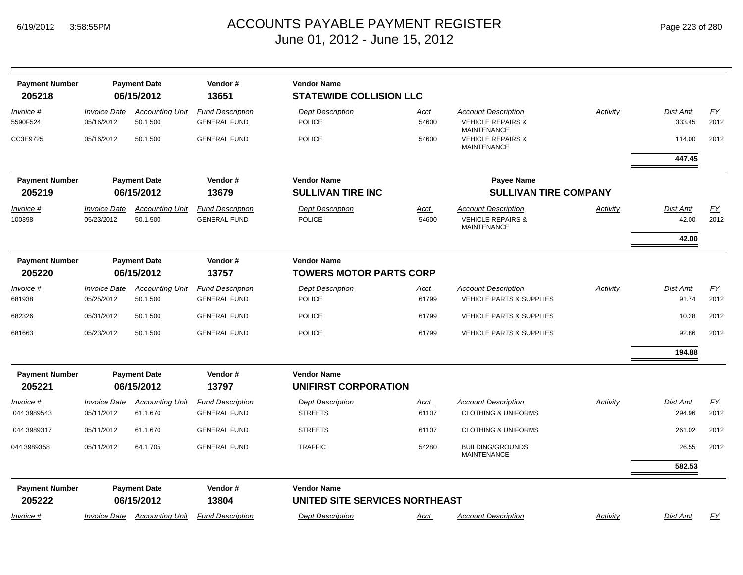| <b>Payment Number</b>           |                                   | <b>Payment Date</b>                                   | Vendor#                                        | <b>Vendor Name</b>                                   |                      |                                                                          |                 |                   |                          |
|---------------------------------|-----------------------------------|-------------------------------------------------------|------------------------------------------------|------------------------------------------------------|----------------------|--------------------------------------------------------------------------|-----------------|-------------------|--------------------------|
| 205218                          |                                   | 06/15/2012                                            | 13651                                          | <b>STATEWIDE COLLISION LLC</b>                       |                      |                                                                          |                 |                   |                          |
| Invoice #                       | <i><b>Invoice Date</b></i>        | <b>Accounting Unit</b>                                | <b>Fund Description</b>                        | <b>Dept Description</b>                              | Acct                 | <b>Account Description</b>                                               | Activity        | Dist Amt          | EY                       |
| 5590F524                        | 05/16/2012                        | 50.1.500                                              | <b>GENERAL FUND</b>                            | <b>POLICE</b>                                        | 54600                | <b>VEHICLE REPAIRS &amp;</b>                                             |                 | 333.45            | 2012                     |
| CC3E9725                        | 05/16/2012                        | 50.1.500                                              | <b>GENERAL FUND</b>                            | <b>POLICE</b>                                        | 54600                | <b>MAINTENANCE</b><br><b>VEHICLE REPAIRS &amp;</b><br><b>MAINTENANCE</b> |                 | 114.00            | 2012                     |
|                                 |                                   |                                                       |                                                |                                                      |                      |                                                                          |                 | 447.45            |                          |
| <b>Payment Number</b>           |                                   | <b>Payment Date</b>                                   | Vendor#                                        | <b>Vendor Name</b>                                   |                      | <b>Payee Name</b>                                                        |                 |                   |                          |
| 205219                          |                                   | 06/15/2012                                            | 13679                                          | <b>SULLIVAN TIRE INC</b>                             |                      | <b>SULLIVAN TIRE COMPANY</b>                                             |                 |                   |                          |
| <u>Invoice #</u><br>100398      | <b>Invoice Date</b><br>05/23/2012 | <b>Accounting Unit</b><br>50.1.500                    | <b>Fund Description</b><br><b>GENERAL FUND</b> | <b>Dept Description</b><br><b>POLICE</b>             | <u>Acct</u><br>54600 | <b>Account Description</b><br><b>VEHICLE REPAIRS &amp;</b>               | <b>Activity</b> | Dist Amt<br>42.00 | $\underline{FY}$<br>2012 |
|                                 |                                   |                                                       |                                                |                                                      |                      | <b>MAINTENANCE</b>                                                       |                 |                   |                          |
|                                 |                                   |                                                       |                                                |                                                      |                      |                                                                          |                 | 42.00             |                          |
| <b>Payment Number</b><br>205220 |                                   | <b>Payment Date</b><br>06/15/2012                     | Vendor#<br>13757                               | <b>Vendor Name</b><br><b>TOWERS MOTOR PARTS CORP</b> |                      |                                                                          |                 |                   |                          |
| <u>Invoice #</u>                | <b>Invoice Date</b>               | <b>Accounting Unit</b>                                | <b>Fund Description</b>                        | <b>Dept Description</b>                              | <u>Acct</u>          | <b>Account Description</b>                                               | Activity        | <b>Dist Amt</b>   | $\underline{FY}$         |
| 681938                          | 05/25/2012                        | 50.1.500                                              | <b>GENERAL FUND</b>                            | <b>POLICE</b>                                        | 61799                | <b>VEHICLE PARTS &amp; SUPPLIES</b>                                      |                 | 91.74             | 2012                     |
| 682326                          | 05/31/2012                        | 50.1.500                                              | <b>GENERAL FUND</b>                            | <b>POLICE</b>                                        | 61799                | <b>VEHICLE PARTS &amp; SUPPLIES</b>                                      |                 | 10.28             | 2012                     |
| 681663                          | 05/23/2012                        | 50.1.500                                              | <b>GENERAL FUND</b>                            | <b>POLICE</b>                                        | 61799                | <b>VEHICLE PARTS &amp; SUPPLIES</b>                                      |                 | 92.86             | 2012                     |
|                                 |                                   |                                                       |                                                |                                                      |                      |                                                                          |                 | 194.88            |                          |
| <b>Payment Number</b><br>205221 |                                   | <b>Payment Date</b><br>06/15/2012                     | Vendor#<br>13797                               | <b>Vendor Name</b><br><b>UNIFIRST CORPORATION</b>    |                      |                                                                          |                 |                   |                          |
| Invoice #                       | <b>Invoice Date</b>               | <b>Accounting Unit</b>                                | <b>Fund Description</b>                        | <b>Dept Description</b>                              | Acct                 | <b>Account Description</b>                                               | Activity        | <b>Dist Amt</b>   | EY                       |
| 044 3989543                     | 05/11/2012                        | 61.1.670                                              | <b>GENERAL FUND</b>                            | <b>STREETS</b>                                       | 61107                | <b>CLOTHING &amp; UNIFORMS</b>                                           |                 | 294.96            | 2012                     |
| 044 3989317                     | 05/11/2012                        | 61.1.670                                              | <b>GENERAL FUND</b>                            | <b>STREETS</b>                                       | 61107                | <b>CLOTHING &amp; UNIFORMS</b>                                           |                 | 261.02            | 2012                     |
| 044 3989358                     | 05/11/2012                        | 64.1.705                                              | <b>GENERAL FUND</b>                            | <b>TRAFFIC</b>                                       | 54280                | <b>BUILDING/GROUNDS</b><br><b>MAINTENANCE</b>                            |                 | 26.55             | 2012                     |
|                                 |                                   |                                                       |                                                |                                                      |                      |                                                                          |                 | 582.53            |                          |
| <b>Payment Number</b>           |                                   | <b>Payment Date</b>                                   | Vendor#                                        | <b>Vendor Name</b>                                   |                      |                                                                          |                 |                   |                          |
| 205222                          |                                   | UNITED SITE SERVICES NORTHEAST<br>06/15/2012<br>13804 |                                                |                                                      |                      |                                                                          |                 |                   |                          |
| Invoice #                       |                                   | <b>Invoice Date Accounting Unit</b>                   | <b>Fund Description</b>                        | <b>Dept Description</b>                              | Acct                 | <b>Account Description</b>                                               | Activity        | Dist Amt          | FY                       |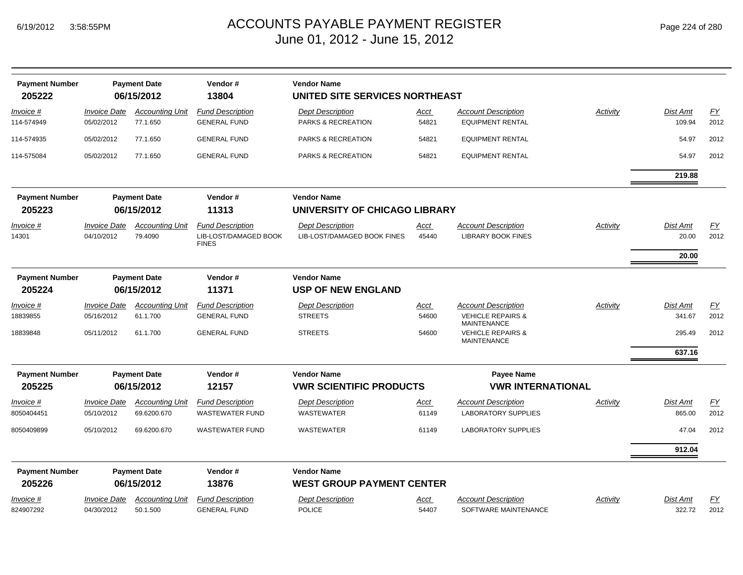| <b>Payment Number</b><br>205222 |                                   | <b>Payment Date</b><br>06/15/2012  | Vendor#<br>13804                                                 | <b>Vendor Name</b><br>UNITED SITE SERVICES NORTHEAST   |               |                                                         |          |                          |            |
|---------------------------------|-----------------------------------|------------------------------------|------------------------------------------------------------------|--------------------------------------------------------|---------------|---------------------------------------------------------|----------|--------------------------|------------|
| Invoice #<br>114-574949         | <b>Invoice Date</b><br>05/02/2012 | <b>Accounting Unit</b><br>77.1.650 | <b>Fund Description</b><br><b>GENERAL FUND</b>                   | <b>Dept Description</b><br>PARKS & RECREATION          | Acct<br>54821 | <b>Account Description</b><br><b>EQUIPMENT RENTAL</b>   | Activity | Dist Amt<br>109.94       | EY<br>2012 |
| 114-574935                      | 05/02/2012                        | 77.1.650                           | <b>GENERAL FUND</b>                                              | PARKS & RECREATION                                     | 54821         | <b>EQUIPMENT RENTAL</b>                                 |          | 54.97                    | 2012       |
| 114-575084                      | 05/02/2012                        | 77.1.650                           | <b>GENERAL FUND</b>                                              | <b>PARKS &amp; RECREATION</b>                          | 54821         | <b>EQUIPMENT RENTAL</b>                                 |          | 54.97                    | 2012       |
|                                 |                                   |                                    |                                                                  |                                                        |               |                                                         |          | 219.88                   |            |
| <b>Payment Number</b>           |                                   | <b>Payment Date</b>                | Vendor#                                                          | <b>Vendor Name</b>                                     |               |                                                         |          |                          |            |
| 205223                          |                                   | 06/15/2012                         | 11313                                                            | UNIVERSITY OF CHICAGO LIBRARY                          |               |                                                         |          |                          |            |
| Invoice #<br>14301              | <b>Invoice Date</b><br>04/10/2012 | <b>Accounting Unit</b><br>79.4090  | <b>Fund Description</b><br>LIB-LOST/DAMAGED BOOK<br><b>FINES</b> | <b>Dept Description</b><br>LIB-LOST/DAMAGED BOOK FINES | Acct<br>45440 | <b>Account Description</b><br><b>LIBRARY BOOK FINES</b> | Activity | <b>Dist Amt</b><br>20.00 | EY<br>2012 |
|                                 |                                   |                                    |                                                                  |                                                        |               |                                                         |          | 20.00                    |            |
| <b>Payment Number</b>           |                                   | <b>Payment Date</b>                | Vendor#                                                          | <b>Vendor Name</b>                                     |               |                                                         |          |                          |            |
| 205224                          |                                   | 06/15/2012                         | 11371                                                            | <b>USP OF NEW ENGLAND</b>                              |               |                                                         |          |                          |            |
| Invoice #                       | <b>Invoice Date</b>               | <b>Accounting Unit</b>             | <b>Fund Description</b>                                          | <b>Dept Description</b>                                | <u>Acct</u>   | <b>Account Description</b>                              | Activity | <b>Dist Amt</b>          | EY         |
| 18839855                        | 05/16/2012                        | 61.1.700                           | <b>GENERAL FUND</b>                                              | <b>STREETS</b>                                         | 54600         | <b>VEHICLE REPAIRS &amp;</b><br><b>MAINTENANCE</b>      |          | 341.67                   | 2012       |
| 18839848                        | 05/11/2012                        | 61.1.700                           | <b>GENERAL FUND</b>                                              | <b>STREETS</b>                                         | 54600         | <b>VEHICLE REPAIRS &amp;</b><br><b>MAINTENANCE</b>      |          | 295.49                   | 2012       |
|                                 |                                   |                                    |                                                                  |                                                        |               |                                                         |          | 637.16                   |            |
| <b>Payment Number</b>           |                                   | <b>Payment Date</b>                | Vendor#                                                          | <b>Vendor Name</b>                                     |               | <b>Payee Name</b>                                       |          |                          |            |
| 205225                          |                                   | 06/15/2012                         | 12157                                                            | <b>VWR SCIENTIFIC PRODUCTS</b>                         |               | <b>VWR INTERNATIONAL</b>                                |          |                          |            |
| Invoice #                       | <i><b>Invoice Date</b></i>        | <b>Accounting Unit</b>             | <b>Fund Description</b>                                          | <b>Dept Description</b>                                | <u>Acct</u>   | <b>Account Description</b>                              | Activity | Dist Amt                 | EY         |
| 8050404451                      | 05/10/2012                        | 69.6200.670                        | <b>WASTEWATER FUND</b>                                           | WASTEWATER                                             | 61149         | <b>LABORATORY SUPPLIES</b>                              |          | 865.00                   | 2012       |
| 8050409899                      | 05/10/2012                        | 69.6200.670                        | <b>WASTEWATER FUND</b>                                           | <b>WASTEWATER</b>                                      | 61149         | <b>LABORATORY SUPPLIES</b>                              |          | 47.04                    | 2012       |
|                                 |                                   |                                    |                                                                  |                                                        |               |                                                         |          | 912.04                   |            |
| <b>Payment Number</b>           |                                   | <b>Payment Date</b>                | Vendor#                                                          | <b>Vendor Name</b>                                     |               |                                                         |          |                          |            |
| 205226                          |                                   | 06/15/2012                         | 13876                                                            | <b>WEST GROUP PAYMENT CENTER</b>                       |               |                                                         |          |                          |            |
| Invoice #                       | <b>Invoice Date</b>               | <b>Accounting Unit</b>             | <b>Fund Description</b>                                          | <b>Dept Description</b>                                | <u>Acct</u>   | <b>Account Description</b>                              | Activity | Dist Amt                 | EY         |
| 824907292                       | 04/30/2012                        | 50.1.500                           | <b>GENERAL FUND</b>                                              | <b>POLICE</b>                                          | 54407         | SOFTWARE MAINTENANCE                                    |          | 322.72                   | 2012       |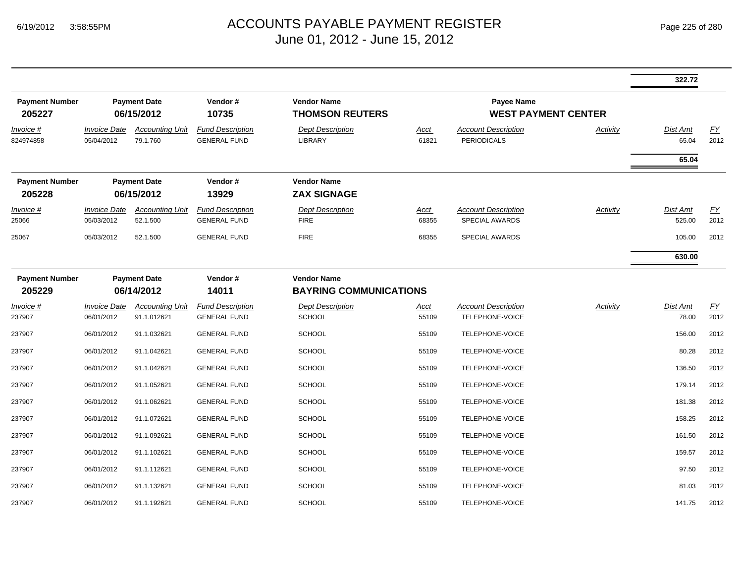|                                 |                                   |                                                                                                       |                                                |                                                     |                            |                                                  |                 | 322.72             |                          |
|---------------------------------|-----------------------------------|-------------------------------------------------------------------------------------------------------|------------------------------------------------|-----------------------------------------------------|----------------------------|--------------------------------------------------|-----------------|--------------------|--------------------------|
| <b>Payment Number</b><br>205227 |                                   | Vendor#<br><b>Vendor Name</b><br><b>Payment Date</b><br>06/15/2012<br>10735<br><b>THOMSON REUTERS</b> |                                                | Payee Name                                          | <b>WEST PAYMENT CENTER</b> |                                                  |                 |                    |                          |
| Invoice #<br>824974858          | <b>Invoice Date</b><br>05/04/2012 | <b>Accounting Unit</b><br>79.1.760                                                                    | <b>Fund Description</b><br><b>GENERAL FUND</b> | <b>Dept Description</b><br><b>LIBRARY</b>           | Acct<br>61821              | <b>Account Description</b><br><b>PERIODICALS</b> | Activity        | Dist Amt<br>65.04  | EY<br>2012               |
|                                 |                                   |                                                                                                       |                                                |                                                     |                            |                                                  |                 | 65.04              |                          |
| <b>Payment Number</b><br>205228 |                                   | <b>Payment Date</b><br>06/15/2012                                                                     | Vendor#<br>13929                               | <b>Vendor Name</b><br><b>ZAX SIGNAGE</b>            |                            |                                                  |                 |                    |                          |
| Invoice #<br>25066              | <b>Invoice Date</b><br>05/03/2012 | <b>Accounting Unit</b><br>52.1.500                                                                    | <b>Fund Description</b><br><b>GENERAL FUND</b> | <b>Dept Description</b><br><b>FIRE</b>              | <u>Acct</u><br>68355       | <b>Account Description</b><br>SPECIAL AWARDS     | <b>Activity</b> | Dist Amt<br>525.00 | $\underline{FY}$<br>2012 |
| 25067                           | 05/03/2012                        | 52.1.500                                                                                              | <b>GENERAL FUND</b>                            | <b>FIRE</b>                                         | 68355                      | SPECIAL AWARDS                                   |                 | 105.00             | 2012                     |
|                                 |                                   |                                                                                                       |                                                |                                                     |                            |                                                  |                 | 630.00             |                          |
| <b>Payment Number</b><br>205229 |                                   | <b>Payment Date</b><br>06/14/2012                                                                     | Vendor#<br>14011                               | <b>Vendor Name</b><br><b>BAYRING COMMUNICATIONS</b> |                            |                                                  |                 |                    |                          |
| Invoice #<br>237907             | <b>Invoice Date</b><br>06/01/2012 | <b>Accounting Unit</b><br>91.1.012621                                                                 | <b>Fund Description</b><br><b>GENERAL FUND</b> | <b>Dept Description</b><br><b>SCHOOL</b>            | Acct<br>55109              | <b>Account Description</b><br>TELEPHONE-VOICE    | Activity        | Dist Amt<br>78.00  | <u>FY</u><br>2012        |
| 237907                          | 06/01/2012                        | 91.1.032621                                                                                           | <b>GENERAL FUND</b>                            | <b>SCHOOL</b>                                       | 55109                      | TELEPHONE-VOICE                                  |                 | 156.00             | 2012                     |
| 237907                          | 06/01/2012                        | 91.1.042621                                                                                           | <b>GENERAL FUND</b>                            | <b>SCHOOL</b>                                       | 55109                      | TELEPHONE-VOICE                                  |                 | 80.28              | 2012                     |
| 237907                          | 06/01/2012                        | 91.1.042621                                                                                           | <b>GENERAL FUND</b>                            | <b>SCHOOL</b>                                       | 55109                      | TELEPHONE-VOICE                                  |                 | 136.50             | 2012                     |
| 237907                          | 06/01/2012                        | 91.1.052621                                                                                           | <b>GENERAL FUND</b>                            | <b>SCHOOL</b>                                       | 55109                      | TELEPHONE-VOICE                                  |                 | 179.14             | 2012                     |
| 237907                          | 06/01/2012                        | 91.1.062621                                                                                           | <b>GENERAL FUND</b>                            | <b>SCHOOL</b>                                       | 55109                      | TELEPHONE-VOICE                                  |                 | 181.38             | 2012                     |
| 237907                          | 06/01/2012                        | 91.1.072621                                                                                           | <b>GENERAL FUND</b>                            | <b>SCHOOL</b>                                       | 55109                      | TELEPHONE-VOICE                                  |                 | 158.25             | 2012                     |
| 237907                          | 06/01/2012                        | 91.1.092621                                                                                           | <b>GENERAL FUND</b>                            | <b>SCHOOL</b>                                       | 55109                      | TELEPHONE-VOICE                                  |                 | 161.50             | 2012                     |
| 237907                          | 06/01/2012                        | 91.1.102621                                                                                           | <b>GENERAL FUND</b>                            | <b>SCHOOL</b>                                       | 55109                      | TELEPHONE-VOICE                                  |                 | 159.57             | 2012                     |
| 237907                          | 06/01/2012                        | 91.1.112621                                                                                           | <b>GENERAL FUND</b>                            | <b>SCHOOL</b>                                       | 55109                      | TELEPHONE-VOICE                                  |                 | 97.50              | 2012                     |
| 237907                          | 06/01/2012                        | 91.1.132621                                                                                           | <b>GENERAL FUND</b>                            | <b>SCHOOL</b>                                       | 55109                      | TELEPHONE-VOICE                                  |                 | 81.03              | 2012                     |
| 237907                          | 06/01/2012                        | 91.1.192621                                                                                           | <b>GENERAL FUND</b>                            | <b>SCHOOL</b>                                       | 55109                      | TELEPHONE-VOICE                                  |                 | 141.75             | 2012                     |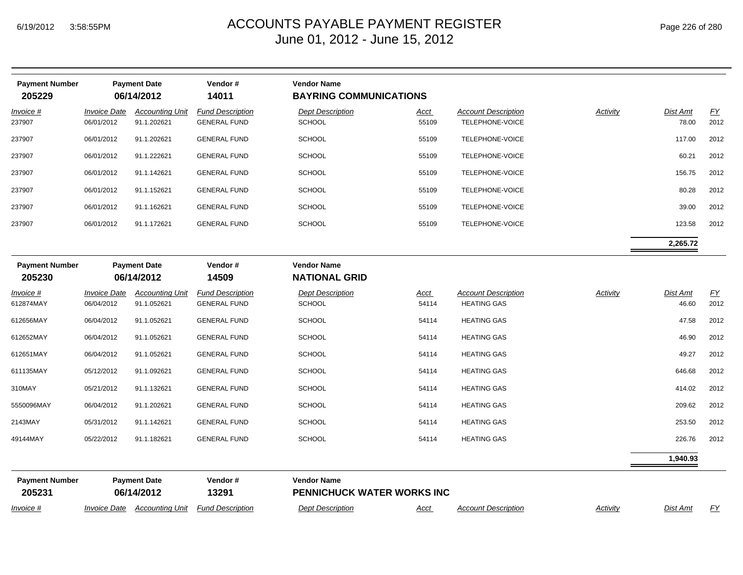| <b>Payment Number</b><br>205229 |                                   | <b>Payment Date</b><br>06/14/2012     | Vendor #<br>14011                              | <b>Vendor Name</b><br><b>BAYRING COMMUNICATIONS</b> |                      |                                                  |                 |                          |                  |
|---------------------------------|-----------------------------------|---------------------------------------|------------------------------------------------|-----------------------------------------------------|----------------------|--------------------------------------------------|-----------------|--------------------------|------------------|
| Invoice #<br>237907             | <b>Invoice Date</b><br>06/01/2012 | <b>Accounting Unit</b><br>91.1.202621 | <b>Fund Description</b><br><b>GENERAL FUND</b> | <b>Dept Description</b><br><b>SCHOOL</b>            | <u>Acct</u><br>55109 | <b>Account Description</b><br>TELEPHONE-VOICE    | Activity        | <b>Dist Amt</b><br>78.00 | EY<br>2012       |
| 237907                          | 06/01/2012                        | 91.1.202621                           | <b>GENERAL FUND</b>                            | <b>SCHOOL</b>                                       | 55109                | TELEPHONE-VOICE                                  |                 | 117.00                   | 2012             |
| 237907                          | 06/01/2012                        | 91.1.222621                           | <b>GENERAL FUND</b>                            | <b>SCHOOL</b>                                       | 55109                | TELEPHONE-VOICE                                  |                 | 60.21                    | 2012             |
| 237907                          | 06/01/2012                        | 91.1.142621                           | <b>GENERAL FUND</b>                            | <b>SCHOOL</b>                                       | 55109                | TELEPHONE-VOICE                                  |                 | 156.75                   | 2012             |
| 237907                          | 06/01/2012                        | 91.1.152621                           | <b>GENERAL FUND</b>                            | <b>SCHOOL</b>                                       | 55109                | TELEPHONE-VOICE                                  |                 | 80.28                    | 2012             |
| 237907                          | 06/01/2012                        | 91.1.162621                           | <b>GENERAL FUND</b>                            | <b>SCHOOL</b>                                       | 55109                | TELEPHONE-VOICE                                  |                 | 39.00                    | 2012             |
| 237907                          | 06/01/2012                        | 91.1.172621                           | <b>GENERAL FUND</b>                            | <b>SCHOOL</b>                                       | 55109                | TELEPHONE-VOICE                                  |                 | 123.58                   | 2012             |
|                                 |                                   |                                       |                                                |                                                     |                      |                                                  |                 | 2,265.72                 |                  |
| <b>Payment Number</b><br>205230 |                                   | <b>Payment Date</b><br>06/14/2012     | Vendor#<br>14509                               | <b>Vendor Name</b><br><b>NATIONAL GRID</b>          |                      |                                                  |                 |                          |                  |
| <u>Invoice #</u><br>612874MAY   | <b>Invoice Date</b><br>06/04/2012 | <b>Accounting Unit</b><br>91.1.052621 | <b>Fund Description</b><br><b>GENERAL FUND</b> | <b>Dept Description</b><br><b>SCHOOL</b>            | <u>Acct</u><br>54114 | <b>Account Description</b><br><b>HEATING GAS</b> | <b>Activity</b> | <b>Dist Amt</b><br>46.60 | EY<br>2012       |
| 612656MAY                       | 06/04/2012                        | 91.1.052621                           | <b>GENERAL FUND</b>                            | <b>SCHOOL</b>                                       | 54114                | <b>HEATING GAS</b>                               |                 | 47.58                    | 2012             |
| 612652MAY                       | 06/04/2012                        | 91.1.052621                           | <b>GENERAL FUND</b>                            | <b>SCHOOL</b>                                       | 54114                | <b>HEATING GAS</b>                               |                 | 46.90                    | 2012             |
| 612651MAY                       | 06/04/2012                        | 91.1.052621                           | <b>GENERAL FUND</b>                            | <b>SCHOOL</b>                                       | 54114                | <b>HEATING GAS</b>                               |                 | 49.27                    | 2012             |
| 611135MAY                       | 05/12/2012                        | 91.1.092621                           | <b>GENERAL FUND</b>                            | <b>SCHOOL</b>                                       | 54114                | <b>HEATING GAS</b>                               |                 | 646.68                   | 2012             |
| 310MAY                          | 05/21/2012                        | 91.1.132621                           | <b>GENERAL FUND</b>                            | <b>SCHOOL</b>                                       | 54114                | <b>HEATING GAS</b>                               |                 | 414.02                   | 2012             |
| 5550096MAY                      | 06/04/2012                        | 91.1.202621                           | <b>GENERAL FUND</b>                            | <b>SCHOOL</b>                                       | 54114                | <b>HEATING GAS</b>                               |                 | 209.62                   | 2012             |
| 2143MAY                         | 05/31/2012                        | 91.1.142621                           | <b>GENERAL FUND</b>                            | <b>SCHOOL</b>                                       | 54114                | <b>HEATING GAS</b>                               |                 | 253.50                   | 2012             |
| 49144MAY                        | 05/22/2012                        | 91.1.182621                           | <b>GENERAL FUND</b>                            | <b>SCHOOL</b>                                       | 54114                | <b>HEATING GAS</b>                               |                 | 226.76                   | 2012             |
|                                 |                                   |                                       |                                                |                                                     |                      |                                                  |                 | 1,940.93                 |                  |
| <b>Payment Number</b><br>205231 |                                   | <b>Payment Date</b><br>06/14/2012     | Vendor#<br>13291                               | <b>Vendor Name</b><br>PENNICHUCK WATER WORKS INC    |                      |                                                  |                 |                          |                  |
| Invoice #                       | <i><b>Invoice Date</b></i>        | <b>Accounting Unit</b>                | <b>Fund Description</b>                        | <b>Dept Description</b>                             | <u>Acct</u>          | <b>Account Description</b>                       | <b>Activity</b> | <b>Dist Amt</b>          | $\underline{FY}$ |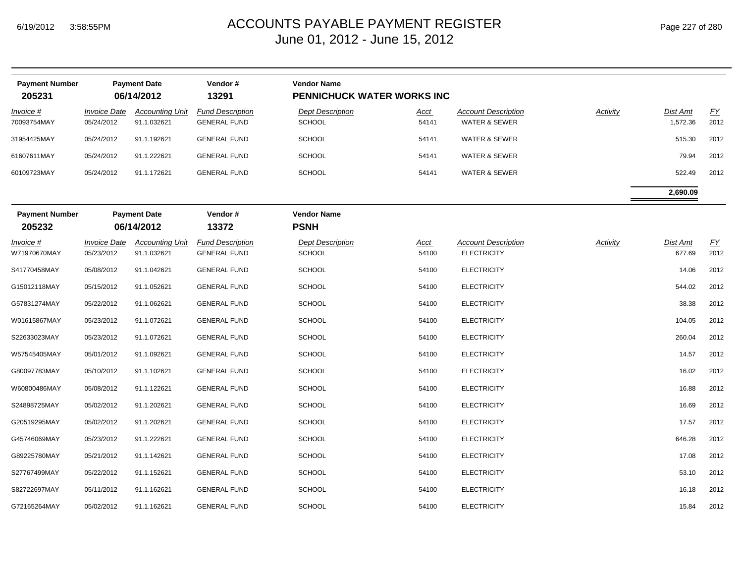| <b>Payment Number</b><br>205231 |                                          | <b>Payment Date</b><br>06/14/2012     | Vendor#<br>13291                               | <b>Vendor Name</b><br>PENNICHUCK WATER WORKS INC |                      |                                                        |          |                      |            |
|---------------------------------|------------------------------------------|---------------------------------------|------------------------------------------------|--------------------------------------------------|----------------------|--------------------------------------------------------|----------|----------------------|------------|
| Invoice #<br>70093754MAY        | <i><b>Invoice Date</b></i><br>05/24/2012 | <b>Accounting Unit</b><br>91.1.032621 | <b>Fund Description</b><br><b>GENERAL FUND</b> | <b>Dept Description</b><br><b>SCHOOL</b>         | Acct<br>54141        | <b>Account Description</b><br><b>WATER &amp; SEWER</b> | Activity | Dist Amt<br>1,572.36 | EY<br>2012 |
| 31954425MAY                     | 05/24/2012                               | 91.1.192621                           | <b>GENERAL FUND</b>                            | <b>SCHOOL</b>                                    | 54141                | <b>WATER &amp; SEWER</b>                               |          | 515.30               | 2012       |
| 61607611MAY                     | 05/24/2012                               | 91.1.222621                           | <b>GENERAL FUND</b>                            | <b>SCHOOL</b>                                    | 54141                | <b>WATER &amp; SEWER</b>                               |          | 79.94                | 2012       |
| 60109723MAY                     | 05/24/2012                               | 91.1.172621                           | <b>GENERAL FUND</b>                            | <b>SCHOOL</b>                                    | 54141                | <b>WATER &amp; SEWER</b>                               |          | 522.49               | 2012       |
|                                 |                                          |                                       |                                                |                                                  |                      |                                                        |          | 2,690.09             |            |
| <b>Payment Number</b><br>205232 |                                          | <b>Payment Date</b><br>06/14/2012     | Vendor#<br>13372                               | <b>Vendor Name</b><br><b>PSNH</b>                |                      |                                                        |          |                      |            |
| Invoice #<br>W71970670MAY       | <b>Invoice Date</b><br>05/23/2012        | <b>Accounting Unit</b><br>91.1.032621 | <b>Fund Description</b><br><b>GENERAL FUND</b> | <b>Dept Description</b><br><b>SCHOOL</b>         | <u>Acct</u><br>54100 | <b>Account Description</b><br><b>ELECTRICITY</b>       | Activity | Dist Amt<br>677.69   | EY<br>2012 |
| S41770458MAY                    | 05/08/2012                               | 91.1.042621                           | <b>GENERAL FUND</b>                            | <b>SCHOOL</b>                                    | 54100                | <b>ELECTRICITY</b>                                     |          | 14.06                | 2012       |
| G15012118MAY                    | 05/15/2012                               | 91.1.052621                           | <b>GENERAL FUND</b>                            | <b>SCHOOL</b>                                    | 54100                | <b>ELECTRICITY</b>                                     |          | 544.02               | 2012       |
| G57831274MAY                    | 05/22/2012                               | 91.1.062621                           | <b>GENERAL FUND</b>                            | <b>SCHOOL</b>                                    | 54100                | <b>ELECTRICITY</b>                                     |          | 38.38                | 2012       |
| W01615867MAY                    | 05/23/2012                               | 91.1.072621                           | <b>GENERAL FUND</b>                            | <b>SCHOOL</b>                                    | 54100                | <b>ELECTRICITY</b>                                     |          | 104.05               | 2012       |
| S22633023MAY                    | 05/23/2012                               | 91.1.072621                           | <b>GENERAL FUND</b>                            | <b>SCHOOL</b>                                    | 54100                | <b>ELECTRICITY</b>                                     |          | 260.04               | 2012       |
| W57545405MAY                    | 05/01/2012                               | 91.1.092621                           | <b>GENERAL FUND</b>                            | <b>SCHOOL</b>                                    | 54100                | <b>ELECTRICITY</b>                                     |          | 14.57                | 2012       |
| G80097783MAY                    | 05/10/2012                               | 91.1.102621                           | <b>GENERAL FUND</b>                            | <b>SCHOOL</b>                                    | 54100                | <b>ELECTRICITY</b>                                     |          | 16.02                | 2012       |
| W60800486MAY                    | 05/08/2012                               | 91.1.122621                           | <b>GENERAL FUND</b>                            | <b>SCHOOL</b>                                    | 54100                | <b>ELECTRICITY</b>                                     |          | 16.88                | 2012       |
| S24898725MAY                    | 05/02/2012                               | 91.1.202621                           | <b>GENERAL FUND</b>                            | <b>SCHOOL</b>                                    | 54100                | <b>ELECTRICITY</b>                                     |          | 16.69                | 2012       |
| G20519295MAY                    | 05/02/2012                               | 91.1.202621                           | <b>GENERAL FUND</b>                            | <b>SCHOOL</b>                                    | 54100                | <b>ELECTRICITY</b>                                     |          | 17.57                | 2012       |
| G45746069MAY                    | 05/23/2012                               | 91.1.222621                           | <b>GENERAL FUND</b>                            | <b>SCHOOL</b>                                    | 54100                | <b>ELECTRICITY</b>                                     |          | 646.28               | 2012       |
| G89225780MAY                    | 05/21/2012                               | 91.1.142621                           | <b>GENERAL FUND</b>                            | <b>SCHOOL</b>                                    | 54100                | <b>ELECTRICITY</b>                                     |          | 17.08                | 2012       |
| S27767499MAY                    | 05/22/2012                               | 91.1.152621                           | <b>GENERAL FUND</b>                            | <b>SCHOOL</b>                                    | 54100                | <b>ELECTRICITY</b>                                     |          | 53.10                | 2012       |
| S82722697MAY                    | 05/11/2012                               | 91.1.162621                           | <b>GENERAL FUND</b>                            | <b>SCHOOL</b>                                    | 54100                | <b>ELECTRICITY</b>                                     |          | 16.18                | 2012       |
| G72165264MAY                    | 05/02/2012                               | 91.1.162621                           | <b>GENERAL FUND</b>                            | <b>SCHOOL</b>                                    | 54100                | <b>ELECTRICITY</b>                                     |          | 15.84                | 2012       |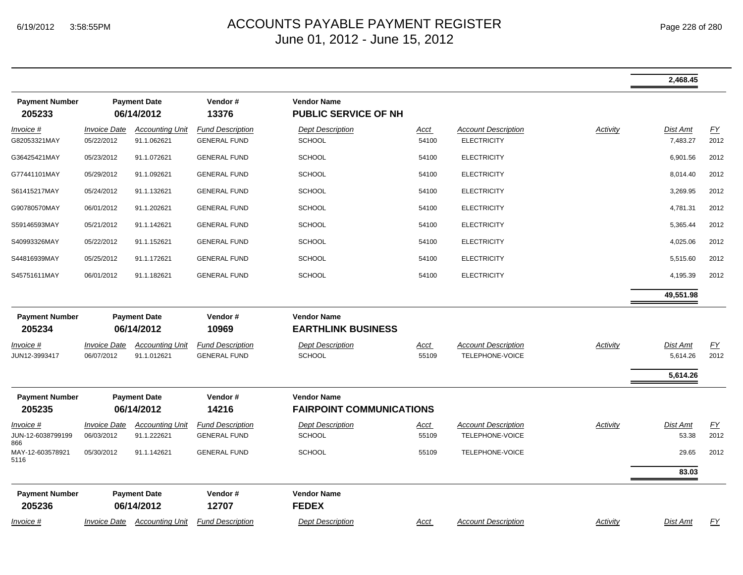|                                       |                                   |                                       |                                                |                                                   |                      |                                               |                 | 2,468.45             |                  |
|---------------------------------------|-----------------------------------|---------------------------------------|------------------------------------------------|---------------------------------------------------|----------------------|-----------------------------------------------|-----------------|----------------------|------------------|
| <b>Payment Number</b><br>205233       |                                   | <b>Payment Date</b><br>06/14/2012     | Vendor#<br>13376                               | <b>Vendor Name</b><br><b>PUBLIC SERVICE OF NH</b> |                      |                                               |                 |                      |                  |
| Invoice #                             | <b>Invoice Date</b>               | <b>Accounting Unit</b>                | <b>Fund Description</b>                        | <b>Dept Description</b>                           | <u>Acct</u>          | <b>Account Description</b>                    | <b>Activity</b> | Dist Amt             | $\underline{FY}$ |
| G82053321MAY                          | 05/22/2012                        | 91.1.062621                           | <b>GENERAL FUND</b>                            | <b>SCHOOL</b>                                     | 54100                | <b>ELECTRICITY</b>                            |                 | 7,483.27             | 2012             |
| G36425421MAY                          | 05/23/2012                        | 91.1.072621                           | <b>GENERAL FUND</b>                            | <b>SCHOOL</b>                                     | 54100                | <b>ELECTRICITY</b>                            |                 | 6,901.56             | 2012             |
| G77441101MAY                          | 05/29/2012                        | 91.1.092621                           | <b>GENERAL FUND</b>                            | <b>SCHOOL</b>                                     | 54100                | <b>ELECTRICITY</b>                            |                 | 8,014.40             | 2012             |
| S61415217MAY                          | 05/24/2012                        | 91.1.132621                           | <b>GENERAL FUND</b>                            | <b>SCHOOL</b>                                     | 54100                | <b>ELECTRICITY</b>                            |                 | 3,269.95             | 2012             |
| G90780570MAY                          | 06/01/2012                        | 91.1.202621                           | <b>GENERAL FUND</b>                            | <b>SCHOOL</b>                                     | 54100                | <b>ELECTRICITY</b>                            |                 | 4,781.31             | 2012             |
| S59146593MAY                          | 05/21/2012                        | 91.1.142621                           | <b>GENERAL FUND</b>                            | <b>SCHOOL</b>                                     | 54100                | <b>ELECTRICITY</b>                            |                 | 5,365.44             | 2012             |
| S40993326MAY                          | 05/22/2012                        | 91.1.152621                           | <b>GENERAL FUND</b>                            | <b>SCHOOL</b>                                     | 54100                | <b>ELECTRICITY</b>                            |                 | 4,025.06             | 2012             |
| S44816939MAY                          | 05/25/2012                        | 91.1.172621                           | <b>GENERAL FUND</b>                            | SCHOOL                                            | 54100                | <b>ELECTRICITY</b>                            |                 | 5,515.60             | 2012             |
| S45751611MAY                          | 06/01/2012                        | 91.1.182621                           | <b>GENERAL FUND</b>                            | <b>SCHOOL</b>                                     | 54100                | <b>ELECTRICITY</b>                            |                 | 4,195.39             | 2012             |
|                                       |                                   |                                       |                                                |                                                   |                      |                                               |                 | 49,551.98            |                  |
| <b>Payment Number</b><br>205234       |                                   | <b>Payment Date</b><br>06/14/2012     | Vendor#<br>10969                               | <b>Vendor Name</b><br><b>EARTHLINK BUSINESS</b>   |                      |                                               |                 |                      |                  |
| Invoice #<br>JUN12-3993417            | <b>Invoice Date</b><br>06/07/2012 | <b>Accounting Unit</b><br>91.1.012621 | <b>Fund Description</b><br><b>GENERAL FUND</b> | <b>Dept Description</b><br><b>SCHOOL</b>          | Acct<br>55109        | <b>Account Description</b><br>TELEPHONE-VOICE | Activity        | Dist Amt<br>5,614.26 | EY<br>2012       |
|                                       |                                   |                                       |                                                |                                                   |                      |                                               |                 | 5,614.26             |                  |
| <b>Payment Number</b>                 |                                   | <b>Payment Date</b>                   | Vendor#                                        | <b>Vendor Name</b>                                |                      |                                               |                 |                      |                  |
| 205235                                |                                   | 06/14/2012                            | 14216                                          | <b>FAIRPOINT COMMUNICATIONS</b>                   |                      |                                               |                 |                      |                  |
| Invoice #<br>JUN-12-6038799199<br>866 | <b>Invoice Date</b><br>06/03/2012 | <b>Accounting Unit</b><br>91.1.222621 | <b>Fund Description</b><br><b>GENERAL FUND</b> | <b>Dept Description</b><br><b>SCHOOL</b>          | <u>Acct</u><br>55109 | <b>Account Description</b><br>TELEPHONE-VOICE | Activity        | Dist Amt<br>53.38    | EY<br>2012       |
| MAY-12-603578921<br>5116              | 05/30/2012                        | 91.1.142621                           | <b>GENERAL FUND</b>                            | <b>SCHOOL</b>                                     | 55109                | TELEPHONE-VOICE                               |                 | 29.65                | 2012             |
|                                       |                                   |                                       |                                                |                                                   |                      |                                               |                 | 83.03                |                  |
| <b>Payment Number</b><br>205236       |                                   | <b>Payment Date</b><br>06/14/2012     | Vendor#<br>12707                               | <b>Vendor Name</b><br><b>FEDEX</b>                |                      |                                               |                 |                      |                  |
| Invoice #                             |                                   | Invoice Date Accounting Unit          | <b>Fund Description</b>                        | <b>Dept Description</b>                           | Acct                 | <b>Account Description</b>                    | Activity        | Dist Amt             | FY               |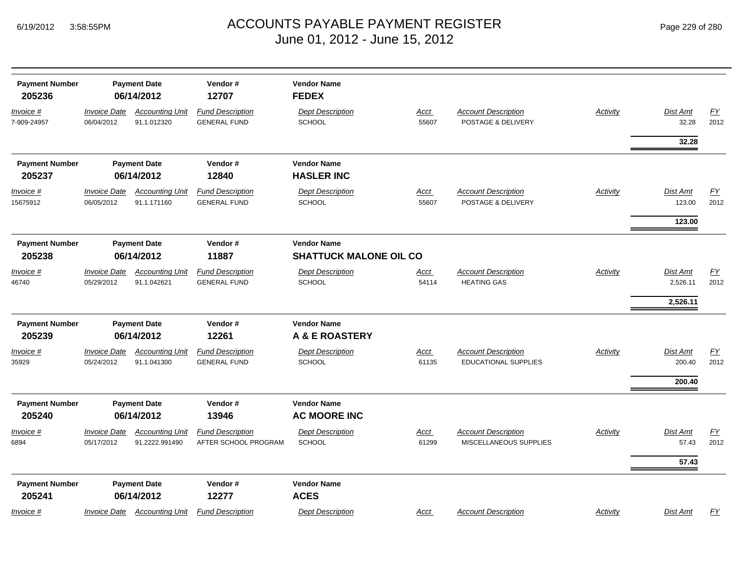| <b>Payment Number</b><br>205236 |                                   | <b>Payment Date</b><br>06/14/2012        | Vendor#<br>12707                                | <b>Vendor Name</b><br><b>FEDEX</b>                  |                      |                                                           |                 |                    |                          |
|---------------------------------|-----------------------------------|------------------------------------------|-------------------------------------------------|-----------------------------------------------------|----------------------|-----------------------------------------------------------|-----------------|--------------------|--------------------------|
| Invoice #<br>7-909-24957        | <b>Invoice Date</b><br>06/04/2012 | <b>Accounting Unit</b><br>91.1.012320    | <b>Fund Description</b><br><b>GENERAL FUND</b>  | <b>Dept Description</b><br><b>SCHOOL</b>            | <u>Acct</u><br>55607 | <b>Account Description</b><br>POSTAGE & DELIVERY          | Activity        | Dist Amt<br>32.28  | EY<br>2012               |
|                                 |                                   |                                          |                                                 |                                                     |                      |                                                           |                 | 32.28              |                          |
| <b>Payment Number</b>           |                                   | <b>Payment Date</b>                      | Vendor#                                         | <b>Vendor Name</b>                                  |                      |                                                           |                 |                    |                          |
| 205237                          |                                   | 06/14/2012                               | 12840                                           | <b>HASLER INC</b>                                   |                      |                                                           |                 |                    |                          |
| Invoice #<br>15675912           | <b>Invoice Date</b><br>06/05/2012 | <b>Accounting Unit</b><br>91.1.171160    | <b>Fund Description</b><br><b>GENERAL FUND</b>  | <b>Dept Description</b><br><b>SCHOOL</b>            | <u>Acct</u><br>55607 | <b>Account Description</b><br>POSTAGE & DELIVERY          | <b>Activity</b> | Dist Amt<br>123.00 | $\underline{FY}$<br>2012 |
|                                 |                                   |                                          |                                                 |                                                     |                      |                                                           |                 | 123.00             |                          |
| <b>Payment Number</b><br>205238 | <b>Payment Date</b><br>06/14/2012 |                                          | Vendor#<br>11887                                | <b>Vendor Name</b><br><b>SHATTUCK MALONE OIL CO</b> |                      |                                                           |                 |                    |                          |
| Invoice #                       | <b>Invoice Date</b>               | <b>Accounting Unit</b>                   | <b>Fund Description</b>                         | <b>Dept Description</b>                             | <u>Acct</u>          | <b>Account Description</b>                                | Activity        | Dist Amt           | EY                       |
| 46740                           | 05/29/2012                        | 91.1.042621                              | <b>GENERAL FUND</b>                             | <b>SCHOOL</b>                                       | 54114                | <b>HEATING GAS</b>                                        |                 | 2,526.11           | 2012                     |
|                                 |                                   |                                          |                                                 |                                                     |                      |                                                           |                 | 2,526.11           |                          |
| <b>Payment Number</b>           | <b>Payment Date</b>               |                                          | Vendor#                                         | <b>Vendor Name</b>                                  |                      |                                                           |                 |                    |                          |
| 205239                          |                                   | 06/14/2012                               | 12261                                           | <b>A &amp; E ROASTERY</b>                           |                      |                                                           |                 |                    |                          |
| Invoice #<br>35929              | <b>Invoice Date</b><br>05/24/2012 | <b>Accounting Unit</b><br>91.1.041300    | <b>Fund Description</b><br><b>GENERAL FUND</b>  | <b>Dept Description</b><br><b>SCHOOL</b>            | <u>Acct</u><br>61135 | <b>Account Description</b><br><b>EDUCATIONAL SUPPLIES</b> | <b>Activity</b> | Dist Amt<br>200.40 | EY<br>2012               |
|                                 |                                   |                                          |                                                 |                                                     |                      |                                                           |                 | 200.40             |                          |
| <b>Payment Number</b><br>205240 |                                   | <b>Payment Date</b><br>06/14/2012        | Vendor#<br>13946                                | <b>Vendor Name</b><br><b>AC MOORE INC</b>           |                      |                                                           |                 |                    |                          |
| Invoice #<br>6894               | <b>Invoice Date</b><br>05/17/2012 | <b>Accounting Unit</b><br>91.2222.991490 | <b>Fund Description</b><br>AFTER SCHOOL PROGRAM | <b>Dept Description</b><br><b>SCHOOL</b>            | <b>Acct</b><br>61299 | <b>Account Description</b><br>MISCELLANEOUS SUPPLIES      | Activity        | Dist Amt<br>57.43  | $\underline{FY}$<br>2012 |
| <b>Payment Number</b><br>205241 |                                   | <b>Payment Date</b><br>06/14/2012        | Vendor#<br>12277                                | <b>Vendor Name</b><br><b>ACES</b>                   |                      |                                                           |                 | 57.43              |                          |
| Invoice #                       | <i><b>Invoice Date</b></i>        | <b>Accounting Unit</b>                   | <b>Fund Description</b>                         | <b>Dept Description</b>                             | <u>Acct</u>          | <b>Account Description</b>                                | <b>Activity</b> | Dist Amt           | EY                       |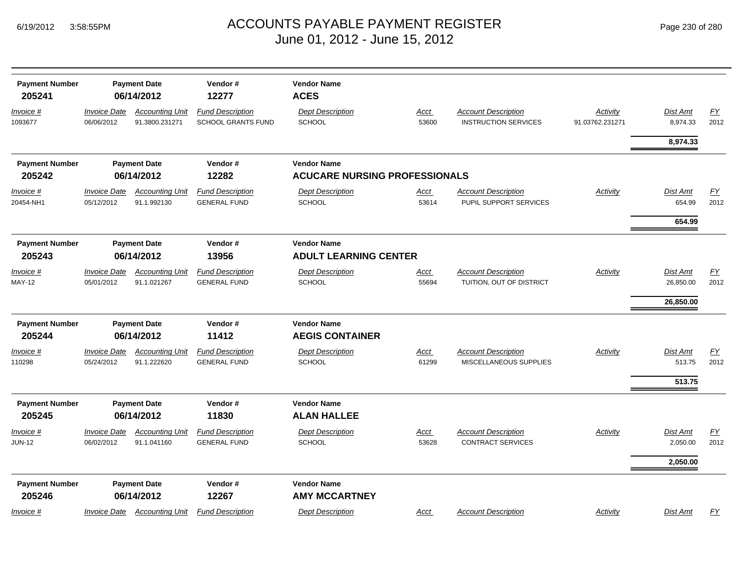|  | Page 230 of 280 |  |  |  |
|--|-----------------|--|--|--|
|--|-----------------|--|--|--|

| <b>Payment Number</b><br>205241 |                                   | Vendor#<br><b>Payment Date</b><br>06/14/2012<br>12277 |                                                      | <b>Vendor Name</b><br><b>ACES</b>                          |                      |                                                           |                             |                      |                          |
|---------------------------------|-----------------------------------|-------------------------------------------------------|------------------------------------------------------|------------------------------------------------------------|----------------------|-----------------------------------------------------------|-----------------------------|----------------------|--------------------------|
| Invoice #<br>1093677            | <b>Invoice Date</b><br>06/06/2012 | <b>Accounting Unit</b><br>91.3800.231271              | <b>Fund Description</b><br><b>SCHOOL GRANTS FUND</b> | <b>Dept Description</b><br><b>SCHOOL</b>                   | <b>Acct</b><br>53600 | <b>Account Description</b><br><b>INSTRUCTION SERVICES</b> | Activity<br>91.03762.231271 | Dist Amt<br>8,974.33 | $\underline{FY}$<br>2012 |
|                                 |                                   |                                                       |                                                      |                                                            |                      |                                                           |                             | 8,974.33             |                          |
| <b>Payment Number</b><br>205242 |                                   | <b>Payment Date</b><br>06/14/2012                     | Vendor#<br>12282                                     | <b>Vendor Name</b><br><b>ACUCARE NURSING PROFESSIONALS</b> |                      |                                                           |                             |                      |                          |
| Invoice #                       | <b>Invoice Date</b>               | <b>Accounting Unit</b>                                | <b>Fund Description</b>                              | <b>Dept Description</b>                                    | Acct                 | <b>Account Description</b>                                | <b>Activity</b>             | Dist Amt             | EY                       |
| 20454-NH1                       | 05/12/2012                        | 91.1.992130                                           | <b>GENERAL FUND</b>                                  | <b>SCHOOL</b>                                              | 53614                | PUPIL SUPPORT SERVICES                                    |                             | 654.99               | 2012                     |
|                                 |                                   |                                                       |                                                      |                                                            |                      |                                                           |                             | 654.99               |                          |
| <b>Payment Number</b><br>205243 |                                   | <b>Payment Date</b><br>06/14/2012                     | Vendor#<br>13956                                     | <b>Vendor Name</b><br><b>ADULT LEARNING CENTER</b>         |                      |                                                           |                             |                      |                          |
| Invoice #                       | <b>Invoice Date</b>               | <b>Accounting Unit</b>                                | <b>Fund Description</b>                              | <b>Dept Description</b>                                    | Acct                 | <b>Account Description</b>                                | <b>Activity</b>             | Dist Amt             | $\underline{FY}$         |
| <b>MAY-12</b>                   | 05/01/2012                        | 91.1.021267                                           | <b>GENERAL FUND</b>                                  | <b>SCHOOL</b>                                              | 55694                | TUITION, OUT OF DISTRICT                                  |                             | 26,850.00            | 2012                     |
|                                 |                                   |                                                       |                                                      |                                                            |                      |                                                           |                             | 26,850.00            |                          |
| <b>Payment Number</b>           |                                   | <b>Payment Date</b>                                   | Vendor#                                              | <b>Vendor Name</b>                                         |                      |                                                           |                             |                      |                          |
| 205244                          |                                   | 06/14/2012                                            | 11412                                                | <b>AEGIS CONTAINER</b>                                     |                      |                                                           |                             |                      |                          |
| Invoice #                       | <b>Invoice Date</b>               | <b>Accounting Unit</b>                                | <b>Fund Description</b>                              | <b>Dept Description</b>                                    | Acct                 | <b>Account Description</b>                                | Activity                    | Dist Amt             | EY                       |
| 110298                          | 05/24/2012                        | 91.1.222620                                           | <b>GENERAL FUND</b>                                  | <b>SCHOOL</b>                                              | 61299                | MISCELLANEOUS SUPPLIES                                    |                             | 513.75               | 2012                     |
|                                 |                                   |                                                       |                                                      |                                                            |                      |                                                           |                             | 513.75               |                          |
| <b>Payment Number</b>           |                                   | <b>Payment Date</b>                                   | Vendor#                                              | <b>Vendor Name</b>                                         |                      |                                                           |                             |                      |                          |
| 205245                          |                                   | 06/14/2012                                            | 11830                                                | <b>ALAN HALLEE</b>                                         |                      |                                                           |                             |                      |                          |
| Invoice #                       | <b>Invoice Date</b>               | <b>Accounting Unit</b>                                | <b>Fund Description</b>                              | <b>Dept Description</b>                                    | <u>Acct</u>          | <b>Account Description</b>                                | Activity                    | Dist Amt             | EY                       |
| <b>JUN-12</b>                   | 06/02/2012                        | 91.1.041160                                           | <b>GENERAL FUND</b>                                  | <b>SCHOOL</b>                                              | 53628                | <b>CONTRACT SERVICES</b>                                  |                             | 2,050.00             | 2012                     |
|                                 |                                   |                                                       |                                                      |                                                            |                      |                                                           |                             | 2,050.00             |                          |
| <b>Payment Number</b>           |                                   | <b>Payment Date</b>                                   | Vendor#                                              | <b>Vendor Name</b>                                         |                      |                                                           |                             |                      |                          |
| 205246                          |                                   | 06/14/2012                                            | 12267                                                | <b>AMY MCCARTNEY</b>                                       |                      |                                                           |                             |                      |                          |
| Invoice #                       | <b>Invoice Date</b>               | <b>Accounting Unit</b>                                | <b>Fund Description</b>                              | <b>Dept Description</b>                                    | Acct                 | <b>Account Description</b>                                | Activity                    | Dist Amt             | <b>FY</b>                |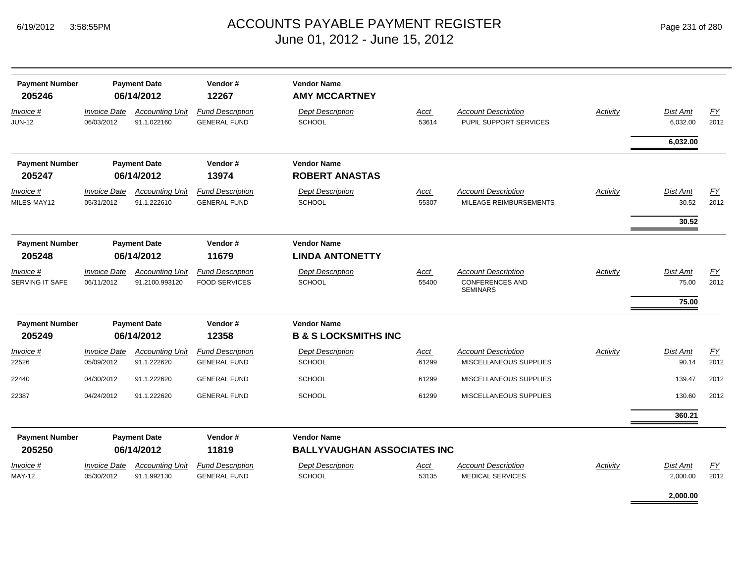| <b>Payment Number</b><br>205246 | <b>Payment Date</b><br>06/14/2012 |                                                                                                      | Vendor#<br>12267                                | <b>Vendor Name</b><br><b>AMY MCCARTNEY</b>               |                      |                                                                         |                 |                             |            |
|---------------------------------|-----------------------------------|------------------------------------------------------------------------------------------------------|-------------------------------------------------|----------------------------------------------------------|----------------------|-------------------------------------------------------------------------|-----------------|-----------------------------|------------|
| Invoice #<br><b>JUN-12</b>      | <b>Invoice Date</b><br>06/03/2012 | <b>Accounting Unit</b><br>91.1.022160                                                                | <b>Fund Description</b><br><b>GENERAL FUND</b>  | <b>Dept Description</b><br><b>SCHOOL</b>                 | <b>Acct</b><br>53614 | <b>Account Description</b><br>PUPIL SUPPORT SERVICES                    | <b>Activity</b> | Dist Amt<br>6,032.00        | EY<br>2012 |
|                                 |                                   |                                                                                                      |                                                 |                                                          |                      |                                                                         |                 | 6,032.00                    |            |
| <b>Payment Number</b><br>205247 |                                   | Vendor#<br><b>Vendor Name</b><br><b>Payment Date</b><br>06/14/2012<br>13974<br><b>ROBERT ANASTAS</b> |                                                 |                                                          |                      |                                                                         |                 |                             |            |
| Invoice #<br>MILES-MAY12        | <b>Invoice Date</b><br>05/31/2012 | <b>Accounting Unit</b><br>91.1.222610                                                                | <b>Fund Description</b><br><b>GENERAL FUND</b>  | <b>Dept Description</b><br><b>SCHOOL</b>                 | Acct<br>55307        | <b>Account Description</b><br>MILEAGE REIMBURSEMENTS                    | Activity        | Dist Amt<br>30.52           | EY<br>2012 |
|                                 |                                   |                                                                                                      |                                                 |                                                          |                      |                                                                         |                 | 30.52                       |            |
| <b>Payment Number</b><br>205248 | <b>Payment Date</b><br>06/14/2012 |                                                                                                      | Vendor#<br>11679                                | <b>Vendor Name</b><br><b>LINDA ANTONETTY</b>             |                      |                                                                         |                 |                             |            |
| Invoice #<br>SERVING IT SAFE    | <b>Invoice Date</b><br>06/11/2012 | <b>Accounting Unit</b><br>91.2100.993120                                                             | <b>Fund Description</b><br><b>FOOD SERVICES</b> | <b>Dept Description</b><br><b>SCHOOL</b>                 | Acct<br>55400        | <b>Account Description</b><br><b>CONFERENCES AND</b><br><b>SEMINARS</b> | Activity        | Dist Amt<br>75.00<br>75.00  | EY<br>2012 |
| <b>Payment Number</b><br>205249 | <b>Payment Date</b><br>06/14/2012 |                                                                                                      | Vendor#<br>12358                                | <b>Vendor Name</b><br><b>B &amp; S LOCKSMITHS INC</b>    |                      |                                                                         |                 |                             |            |
| Invoice #                       | <b>Invoice Date</b>               | <b>Accounting Unit</b>                                                                               | <b>Fund Description</b>                         | <b>Dept Description</b>                                  | Acct                 | <b>Account Description</b>                                              | Activity        | Dist Amt                    | EY         |
| 22526                           | 05/09/2012                        | 91.1.222620                                                                                          | <b>GENERAL FUND</b>                             | <b>SCHOOL</b>                                            | 61299                | MISCELLANEOUS SUPPLIES                                                  |                 | 90.14                       | 2012       |
| 22440                           | 04/30/2012                        | 91.1.222620                                                                                          | <b>GENERAL FUND</b>                             | <b>SCHOOL</b>                                            | 61299                | MISCELLANEOUS SUPPLIES                                                  |                 | 139.47                      | 2012       |
| 22387                           | 04/24/2012                        | 91.1.222620                                                                                          | <b>GENERAL FUND</b>                             | <b>SCHOOL</b>                                            | 61299                | MISCELLANEOUS SUPPLIES                                                  |                 | 130.60                      | 2012       |
|                                 |                                   |                                                                                                      |                                                 |                                                          |                      |                                                                         |                 | 360.21                      |            |
| <b>Payment Number</b><br>205250 |                                   | <b>Payment Date</b><br>06/14/2012                                                                    | Vendor#<br>11819                                | <b>Vendor Name</b><br><b>BALLYVAUGHAN ASSOCIATES INC</b> |                      |                                                                         |                 |                             |            |
| Invoice #<br><b>MAY-12</b>      | <b>Invoice Date</b><br>05/30/2012 | <b>Accounting Unit</b><br>91.1.992130                                                                | <b>Fund Description</b><br><b>GENERAL FUND</b>  | <b>Dept Description</b><br><b>SCHOOL</b>                 | Acct<br>53135        | <b>Account Description</b><br><b>MEDICAL SERVICES</b>                   | Activity        | <b>Dist Amt</b><br>2,000.00 | EY<br>2012 |
|                                 |                                   |                                                                                                      |                                                 |                                                          |                      |                                                                         |                 | 2.000.00                    |            |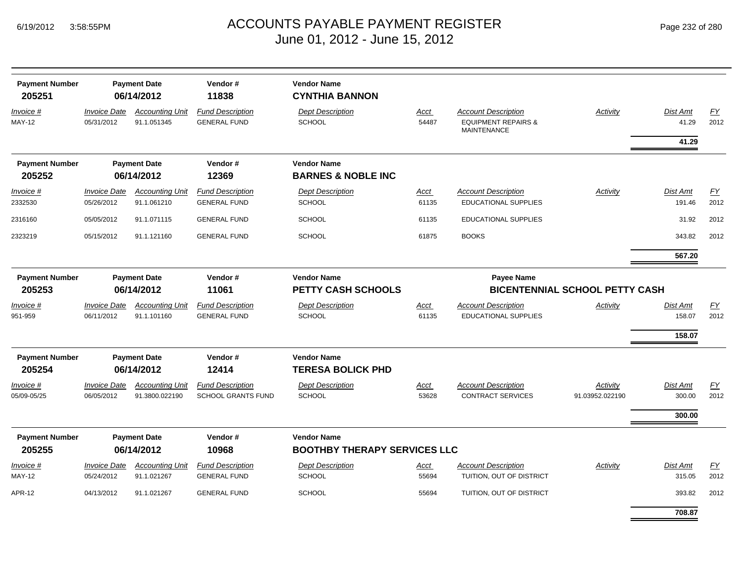| <b>Payment Number</b><br>205251 |                                   | <b>Payment Date</b><br>06/14/2012        | Vendor#<br>11838                                     | <b>Vendor Name</b><br><b>CYNTHIA BANNON</b>                                                                   |                      |                                                                             |                             |                    |            |  |
|---------------------------------|-----------------------------------|------------------------------------------|------------------------------------------------------|---------------------------------------------------------------------------------------------------------------|----------------------|-----------------------------------------------------------------------------|-----------------------------|--------------------|------------|--|
| Invoice #<br><b>MAY-12</b>      | <b>Invoice Date</b><br>05/31/2012 | <b>Accounting Unit</b><br>91.1.051345    | <b>Fund Description</b><br><b>GENERAL FUND</b>       | <b>Dept Description</b><br><b>SCHOOL</b>                                                                      | Acct<br>54487        | Account Description<br><b>EQUIPMENT REPAIRS &amp;</b><br><b>MAINTENANCE</b> | Activity                    | Dist Amt<br>41.29  | FY<br>2012 |  |
|                                 |                                   |                                          |                                                      |                                                                                                               |                      |                                                                             |                             | 41.29              |            |  |
| <b>Payment Number</b>           |                                   | <b>Payment Date</b>                      | Vendor#                                              | <b>Vendor Name</b>                                                                                            |                      |                                                                             |                             |                    |            |  |
| 205252                          |                                   | 06/14/2012                               | 12369                                                | <b>BARNES &amp; NOBLE INC</b>                                                                                 |                      |                                                                             |                             |                    |            |  |
| Invoice #                       | <b>Invoice Date</b>               | <b>Accounting Unit</b>                   | <b>Fund Description</b>                              | <b>Dept Description</b>                                                                                       | Acct                 | <b>Account Description</b>                                                  | Activity                    | Dist Amt           | FY         |  |
| 2332530                         | 05/26/2012                        | 91.1.061210                              | <b>GENERAL FUND</b>                                  | <b>SCHOOL</b>                                                                                                 | 61135                | <b>EDUCATIONAL SUPPLIES</b>                                                 |                             | 191.46             | 2012       |  |
| 2316160                         | 05/05/2012                        | 91.1.071115                              | <b>GENERAL FUND</b>                                  | <b>SCHOOL</b>                                                                                                 | 61135                | EDUCATIONAL SUPPLIES                                                        |                             | 31.92              | 2012       |  |
| 2323219                         | 05/15/2012                        | 91.1.121160                              | <b>GENERAL FUND</b>                                  | <b>SCHOOL</b>                                                                                                 | 61875                | <b>BOOKS</b>                                                                |                             | 343.82             | 2012       |  |
|                                 |                                   |                                          |                                                      |                                                                                                               |                      |                                                                             |                             | 567.20             |            |  |
| <b>Payment Number</b><br>205253 |                                   | <b>Payment Date</b><br>06/14/2012        | Vendor#<br>11061                                     | <b>Vendor Name</b><br><b>Payee Name</b><br><b>PETTY CASH SCHOOLS</b><br><b>BICENTENNIAL SCHOOL PETTY CASH</b> |                      |                                                                             |                             |                    |            |  |
| <u>Invoice #</u>                | <b>Invoice Date</b>               | <b>Accounting Unit</b>                   | <b>Fund Description</b>                              | <b>Dept Description</b>                                                                                       | <u>Acct</u>          | <b>Account Description</b>                                                  | <b>Activity</b>             | <u>Dist Amt</u>    | EY         |  |
| 951-959                         | 06/11/2012                        | 91.1.101160                              | <b>GENERAL FUND</b>                                  | <b>SCHOOL</b>                                                                                                 | 61135                | <b>EDUCATIONAL SUPPLIES</b>                                                 |                             | 158.07             | 2012       |  |
|                                 |                                   |                                          |                                                      |                                                                                                               |                      |                                                                             |                             | 158.07             |            |  |
| <b>Payment Number</b>           |                                   | <b>Payment Date</b>                      | Vendor#                                              | <b>Vendor Name</b>                                                                                            |                      |                                                                             |                             |                    |            |  |
| 205254                          |                                   | 06/14/2012                               | 12414                                                | <b>TERESA BOLICK PHD</b>                                                                                      |                      |                                                                             |                             |                    |            |  |
| <i>Invoice</i> #<br>05/09-05/25 | <b>Invoice Date</b><br>06/05/2012 | <b>Accounting Unit</b><br>91.3800.022190 | <b>Fund Description</b><br><b>SCHOOL GRANTS FUND</b> | <b>Dept Description</b><br><b>SCHOOL</b>                                                                      | <u>Acct</u><br>53628 | <b>Account Description</b><br><b>CONTRACT SERVICES</b>                      | Activity<br>91.03952.022190 | Dist Amt<br>300.00 | EY<br>2012 |  |
|                                 |                                   |                                          |                                                      |                                                                                                               |                      |                                                                             |                             | 300.00             |            |  |
| <b>Payment Number</b><br>205255 |                                   | <b>Payment Date</b><br>06/14/2012        | Vendor#<br>10968                                     | <b>Vendor Name</b><br><b>BOOTHBY THERAPY SERVICES LLC</b>                                                     |                      |                                                                             |                             |                    |            |  |
| Invoice #<br>MAY-12             | <b>Invoice Date</b><br>05/24/2012 | <b>Accounting Unit</b><br>91.1.021267    | <b>Fund Description</b><br><b>GENERAL FUND</b>       | <b>Dept Description</b><br><b>SCHOOL</b>                                                                      | Acct<br>55694        | <b>Account Description</b><br>TUITION, OUT OF DISTRICT                      | Activity                    | Dist Amt<br>315.05 | EY<br>2012 |  |
| APR-12                          | 04/13/2012                        | 91.1.021267                              | <b>GENERAL FUND</b>                                  | <b>SCHOOL</b>                                                                                                 | 55694                | TUITION, OUT OF DISTRICT                                                    |                             | 393.82             | 2012       |  |

**708.87**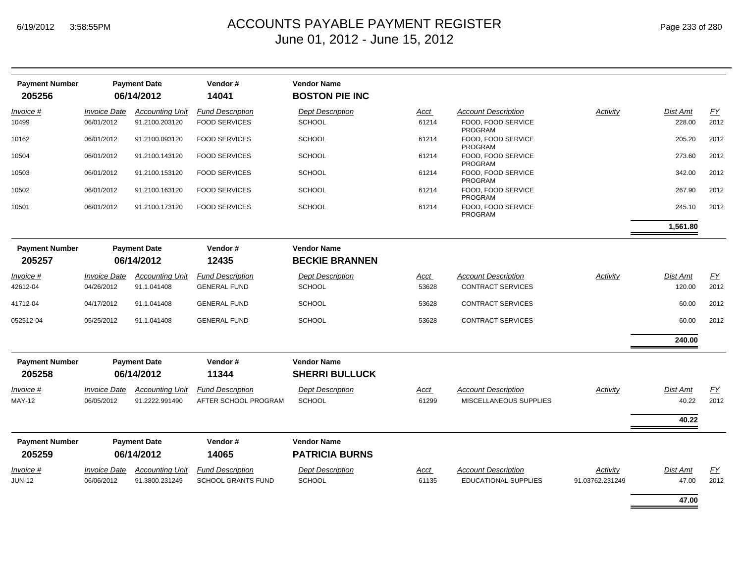| <b>Payment Number</b> |                     | <b>Payment Date</b>    | Vendor#                   | <b>Vendor Name</b>      |             |                                      |                 |                 |      |
|-----------------------|---------------------|------------------------|---------------------------|-------------------------|-------------|--------------------------------------|-----------------|-----------------|------|
| 205256                |                     | 06/14/2012             | 14041                     | <b>BOSTON PIE INC</b>   |             |                                      |                 |                 |      |
| Invoice #             | <b>Invoice Date</b> | <b>Accounting Unit</b> | <b>Fund Description</b>   | <b>Dept Description</b> | Acct        | <b>Account Description</b>           | Activity        | <b>Dist Amt</b> | EY   |
| 10499                 | 06/01/2012          | 91.2100.203120         | <b>FOOD SERVICES</b>      | <b>SCHOOL</b>           | 61214       | FOOD, FOOD SERVICE<br><b>PROGRAM</b> |                 | 228.00          | 2012 |
| 10162                 | 06/01/2012          | 91.2100.093120         | <b>FOOD SERVICES</b>      | <b>SCHOOL</b>           | 61214       | FOOD. FOOD SERVICE<br><b>PROGRAM</b> |                 | 205.20          | 2012 |
| 10504                 | 06/01/2012          | 91.2100.143120         | <b>FOOD SERVICES</b>      | <b>SCHOOL</b>           | 61214       | FOOD. FOOD SERVICE<br><b>PROGRAM</b> |                 | 273.60          | 2012 |
| 10503                 | 06/01/2012          | 91.2100.153120         | <b>FOOD SERVICES</b>      | <b>SCHOOL</b>           | 61214       | FOOD, FOOD SERVICE<br><b>PROGRAM</b> |                 | 342.00          | 2012 |
| 10502                 | 06/01/2012          | 91.2100.163120         | <b>FOOD SERVICES</b>      | <b>SCHOOL</b>           | 61214       | FOOD, FOOD SERVICE<br><b>PROGRAM</b> |                 | 267.90          | 2012 |
| 10501                 | 06/01/2012          | 91.2100.173120         | <b>FOOD SERVICES</b>      | <b>SCHOOL</b>           | 61214       | FOOD. FOOD SERVICE<br><b>PROGRAM</b> |                 | 245.10          | 2012 |
|                       |                     |                        |                           |                         |             |                                      |                 | 1,561.80        |      |
| <b>Payment Number</b> |                     | <b>Payment Date</b>    | Vendor#                   | <b>Vendor Name</b>      |             |                                      |                 |                 |      |
| 205257                |                     | 06/14/2012             | 12435                     | <b>BECKIE BRANNEN</b>   |             |                                      |                 |                 |      |
| Invoice #             | <b>Invoice Date</b> | <b>Accounting Unit</b> | <b>Fund Description</b>   | <b>Dept Description</b> | Acct        | <b>Account Description</b>           | <b>Activity</b> | Dist Amt        | EY   |
| 42612-04              | 04/26/2012          | 91.1.041408            | <b>GENERAL FUND</b>       | SCHOOL                  | 53628       | <b>CONTRACT SERVICES</b>             |                 | 120.00          | 2012 |
| 41712-04              | 04/17/2012          | 91.1.041408            | <b>GENERAL FUND</b>       | <b>SCHOOL</b>           | 53628       | <b>CONTRACT SERVICES</b>             |                 | 60.00           | 2012 |
| 052512-04             | 05/25/2012          | 91.1.041408            | <b>GENERAL FUND</b>       | <b>SCHOOL</b>           | 53628       | <b>CONTRACT SERVICES</b>             |                 | 60.00           | 2012 |
|                       |                     |                        |                           |                         |             |                                      |                 | 240.00          |      |
| <b>Payment Number</b> |                     | <b>Payment Date</b>    | Vendor#                   | <b>Vendor Name</b>      |             |                                      |                 |                 |      |
| 205258                |                     | 06/14/2012             | 11344                     | <b>SHERRI BULLUCK</b>   |             |                                      |                 |                 |      |
| Invoice #             | <b>Invoice Date</b> | <b>Accounting Unit</b> | <b>Fund Description</b>   | <b>Dept Description</b> | <u>Acct</u> | <b>Account Description</b>           | Activity        | <b>Dist Amt</b> | EY   |
| <b>MAY-12</b>         | 06/05/2012          | 91.2222.991490         | AFTER SCHOOL PROGRAM      | <b>SCHOOL</b>           | 61299       | MISCELLANEOUS SUPPLIES               |                 | 40.22           | 2012 |
|                       |                     |                        |                           |                         |             |                                      |                 | 40.22           |      |
| <b>Payment Number</b> |                     | <b>Payment Date</b>    | Vendor#                   | <b>Vendor Name</b>      |             |                                      |                 |                 |      |
| 205259                |                     | 06/14/2012             | 14065                     | <b>PATRICIA BURNS</b>   |             |                                      |                 |                 |      |
| Invoice #             | <b>Invoice Date</b> | <b>Accounting Unit</b> | <b>Fund Description</b>   | <b>Dept Description</b> | Acct        | <b>Account Description</b>           | Activity        | Dist Amt        | EY   |
| <b>JUN-12</b>         | 06/06/2012          | 91.3800.231249         | <b>SCHOOL GRANTS FUND</b> | SCHOOL                  | 61135       | <b>EDUCATIONAL SUPPLIES</b>          | 91.03762.231249 | 47.00           | 2012 |
|                       |                     |                        |                           |                         |             |                                      |                 | 47.00           |      |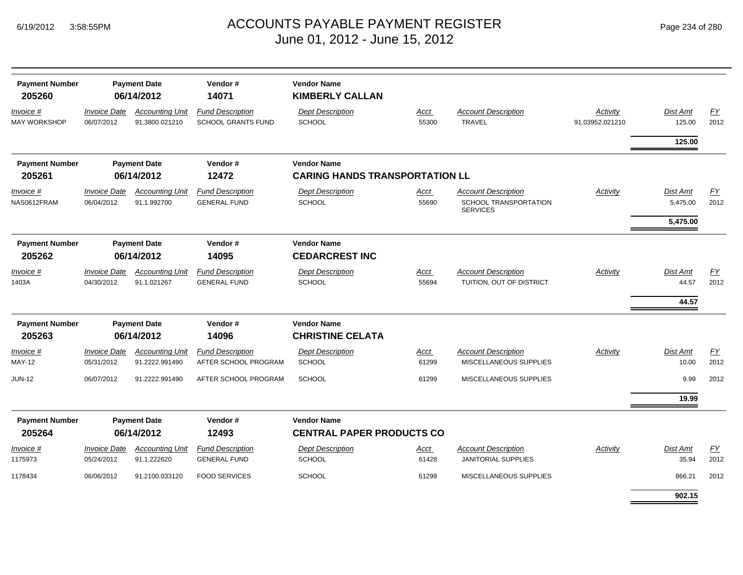| <b>Payment Number</b><br>205260  | <b>Payment Date</b><br>06/14/2012 |                                          | Vendor#<br>14071                                     | <b>Vendor Name</b><br><b>KIMBERLY CALLAN</b>                |               |                                                        |                             |                            |                   |  |
|----------------------------------|-----------------------------------|------------------------------------------|------------------------------------------------------|-------------------------------------------------------------|---------------|--------------------------------------------------------|-----------------------------|----------------------------|-------------------|--|
| Invoice #<br><b>MAY WORKSHOP</b> | <b>Invoice Date</b><br>06/07/2012 | <b>Accounting Unit</b><br>91.3800.021210 | <b>Fund Description</b><br><b>SCHOOL GRANTS FUND</b> | <b>Dept Description</b><br><b>SCHOOL</b>                    | Acct<br>55300 | <b>Account Description</b><br><b>TRAVEL</b>            | Activity<br>91.03952.021210 | <b>Dist Amt</b><br>125.00  | EY<br>2012        |  |
|                                  |                                   |                                          |                                                      |                                                             |               |                                                        |                             | 125.00                     |                   |  |
| <b>Payment Number</b><br>205261  |                                   | <b>Payment Date</b><br>06/14/2012        | Vendor#<br>12472                                     | <b>Vendor Name</b><br><b>CARING HANDS TRANSPORTATION LL</b> |               |                                                        |                             |                            |                   |  |
| Invoice #                        | <b>Invoice Date</b>               | <b>Accounting Unit</b>                   | <b>Fund Description</b>                              | <b>Dept Description</b>                                     | Acct          | <b>Account Description</b>                             | Activity                    | Dist Amt                   | <u>FY</u>         |  |
| NAS0612FRAM                      | 06/04/2012                        | 91.1.992700                              | <b>GENERAL FUND</b>                                  | <b>SCHOOL</b>                                               | 55690         | <b>SCHOOL TRANSPORTATION</b><br><b>SERVICES</b>        |                             | 5,475.00                   | 2012              |  |
|                                  |                                   |                                          |                                                      |                                                             |               |                                                        |                             | 5,475.00                   |                   |  |
| <b>Payment Number</b><br>205262  |                                   | <b>Payment Date</b><br>06/14/2012        | Vendor#<br>14095                                     | <b>Vendor Name</b><br><b>CEDARCREST INC</b>                 |               |                                                        |                             |                            |                   |  |
| Invoice #<br>1403A               | <b>Invoice Date</b><br>04/30/2012 | <b>Accounting Unit</b><br>91.1.021267    | <b>Fund Description</b><br><b>GENERAL FUND</b>       | <b>Dept Description</b><br><b>SCHOOL</b>                    | Acct<br>55694 | <b>Account Description</b><br>TUITION, OUT OF DISTRICT | Activity                    | Dist Amt<br>44.57<br>44.57 | <u>FY</u><br>2012 |  |
| <b>Payment Number</b><br>205263  | <b>Payment Date</b><br>06/14/2012 |                                          | Vendor#<br>14096                                     | <b>Vendor Name</b><br><b>CHRISTINE CELATA</b>               |               |                                                        |                             |                            |                   |  |
| Invoice #                        | <b>Invoice Date</b>               | <b>Accounting Unit</b>                   | <b>Fund Description</b>                              | <b>Dept Description</b>                                     | Acct          | <b>Account Description</b>                             | Activity                    | <b>Dist Amt</b>            | FY                |  |
| MAY-12                           | 05/31/2012                        | 91.2222.991490                           | AFTER SCHOOL PROGRAM                                 | <b>SCHOOL</b>                                               | 61299         | MISCELLANEOUS SUPPLIES                                 |                             | 10.00                      | 2012              |  |
| <b>JUN-12</b>                    | 06/07/2012                        | 91.2222.991490                           | AFTER SCHOOL PROGRAM                                 | <b>SCHOOL</b>                                               | 61299         | MISCELLANEOUS SUPPLIES                                 |                             | 9.99                       | 2012              |  |
|                                  |                                   |                                          |                                                      |                                                             |               |                                                        |                             | 19.99                      |                   |  |
| <b>Payment Number</b>            |                                   | <b>Payment Date</b>                      | Vendor#                                              | <b>Vendor Name</b>                                          |               |                                                        |                             |                            |                   |  |
| 205264                           |                                   | 06/14/2012                               | 12493                                                | <b>CENTRAL PAPER PRODUCTS CO</b>                            |               |                                                        |                             |                            |                   |  |
| Invoice #<br>1175973             | <b>Invoice Date</b><br>05/24/2012 | <b>Accounting Unit</b><br>91.1.222620    | <b>Fund Description</b><br><b>GENERAL FUND</b>       | <b>Dept Description</b><br><b>SCHOOL</b>                    | Acct<br>61428 | <b>Account Description</b><br>JANITORIAL SUPPLIES      | Activity                    | Dist Amt<br>35.94          | EY<br>2012        |  |
| 1178434                          | 06/06/2012                        | 91.2100.033120                           | <b>FOOD SERVICES</b>                                 | <b>SCHOOL</b>                                               | 61299         | MISCELLANEOUS SUPPLIES                                 |                             | 866.21                     | 2012              |  |
|                                  |                                   |                                          |                                                      |                                                             |               |                                                        |                             | 902.15                     |                   |  |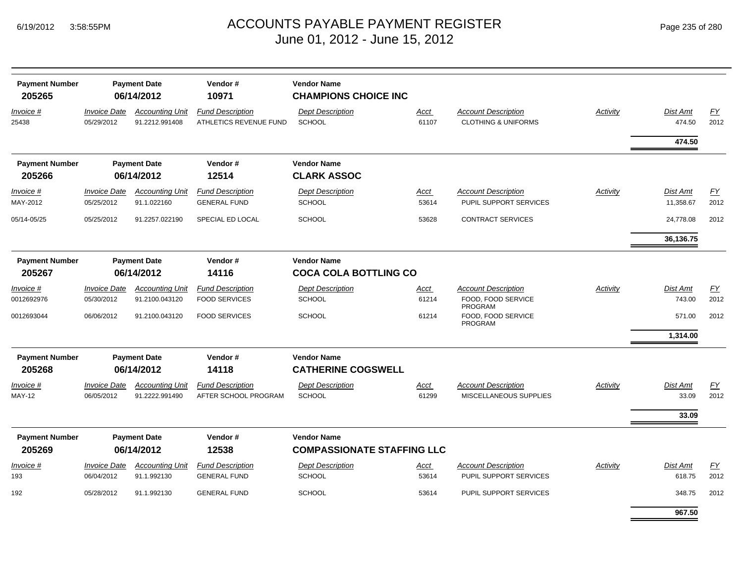| <b>Payment Number</b><br>205265 |                                   | <b>Payment Date</b><br>06/14/2012        | Vendor#<br>10971                                  | <b>Vendor Name</b><br><b>CHAMPIONS CHOICE INC</b>       |                      |                                                              |          |                    |            |
|---------------------------------|-----------------------------------|------------------------------------------|---------------------------------------------------|---------------------------------------------------------|----------------------|--------------------------------------------------------------|----------|--------------------|------------|
| Invoice #<br>25438              | <b>Invoice Date</b><br>05/29/2012 | <b>Accounting Unit</b><br>91.2212.991408 | <b>Fund Description</b><br>ATHLETICS REVENUE FUND | <b>Dept Description</b><br><b>SCHOOL</b>                | Acct<br>61107        | <b>Account Description</b><br><b>CLOTHING &amp; UNIFORMS</b> | Activity | Dist Amt<br>474.50 | EY<br>2012 |
|                                 |                                   |                                          |                                                   |                                                         |                      |                                                              |          | 474.50             |            |
| <b>Payment Number</b>           |                                   | <b>Payment Date</b>                      | Vendor#                                           | <b>Vendor Name</b>                                      |                      |                                                              |          |                    |            |
| 205266                          |                                   | 06/14/2012                               | 12514                                             | <b>CLARK ASSOC</b>                                      |                      |                                                              |          |                    |            |
| Invoice #                       | <b>Invoice Date</b>               | <b>Accounting Unit</b>                   | <b>Fund Description</b>                           | <b>Dept Description</b>                                 | Acct                 | <b>Account Description</b>                                   | Activity | Dist Amt           | <b>FY</b>  |
| MAY-2012                        | 05/25/2012                        | 91.1.022160                              | <b>GENERAL FUND</b>                               | <b>SCHOOL</b>                                           | 53614                | PUPIL SUPPORT SERVICES                                       |          | 11,358.67          | 2012       |
| 05/14-05/25                     | 05/25/2012                        | 91.2257.022190                           | SPECIAL ED LOCAL                                  | <b>SCHOOL</b>                                           | 53628                | <b>CONTRACT SERVICES</b>                                     |          | 24,778.08          | 2012       |
|                                 |                                   |                                          |                                                   |                                                         |                      |                                                              |          | 36,136.75          |            |
| <b>Payment Number</b><br>205267 |                                   | <b>Payment Date</b><br>06/14/2012        | Vendor#<br>14116                                  | <b>Vendor Name</b><br><b>COCA COLA BOTTLING CO</b>      |                      |                                                              |          |                    |            |
| Invoice #                       | <b>Invoice Date</b>               | <b>Accounting Unit</b>                   | <b>Fund Description</b>                           | <b>Dept Description</b>                                 | Acct                 | <b>Account Description</b>                                   | Activity | Dist Amt           | EY         |
| 0012692976                      | 05/30/2012                        | 91.2100.043120                           | <b>FOOD SERVICES</b>                              | <b>SCHOOL</b>                                           | 61214                | FOOD, FOOD SERVICE<br><b>PROGRAM</b>                         |          | 743.00             | 2012       |
| 0012693044                      | 06/06/2012                        | 91.2100.043120                           | <b>FOOD SERVICES</b>                              | <b>SCHOOL</b>                                           | 61214                | FOOD, FOOD SERVICE<br>PROGRAM                                |          | 571.00             | 2012       |
|                                 |                                   |                                          |                                                   |                                                         |                      |                                                              |          | 1,314.00           |            |
| <b>Payment Number</b>           |                                   | <b>Payment Date</b>                      | Vendor#                                           | <b>Vendor Name</b>                                      |                      |                                                              |          |                    |            |
| 205268                          |                                   | 06/14/2012                               | 14118                                             | <b>CATHERINE COGSWELL</b>                               |                      |                                                              |          |                    |            |
| Invoice #<br><b>MAY-12</b>      | <b>Invoice Date</b><br>06/05/2012 | <b>Accounting Unit</b><br>91.2222.991490 | <b>Fund Description</b><br>AFTER SCHOOL PROGRAM   | <b>Dept Description</b><br>SCHOOL                       | <u>Acct</u><br>61299 | <b>Account Description</b><br>MISCELLANEOUS SUPPLIES         | Activity | Dist Amt<br>33.09  | EY<br>2012 |
|                                 |                                   |                                          |                                                   |                                                         |                      |                                                              |          | 33.09              |            |
| <b>Payment Number</b><br>205269 | <b>Payment Date</b><br>06/14/2012 |                                          | Vendor#<br>12538                                  | <b>Vendor Name</b><br><b>COMPASSIONATE STAFFING LLC</b> |                      |                                                              |          |                    |            |
| Invoice #                       | <b>Invoice Date</b>               | <b>Accounting Unit</b>                   | <b>Fund Description</b>                           | <b>Dept Description</b>                                 | Acct                 | <b>Account Description</b>                                   | Activity | Dist Amt           | <u>FY</u>  |
| 193                             | 06/04/2012                        | 91.1.992130                              | <b>GENERAL FUND</b>                               | <b>SCHOOL</b>                                           | 53614                | PUPIL SUPPORT SERVICES                                       |          | 618.75             | 2012       |
| 192                             | 05/28/2012                        | 91.1.992130                              | <b>GENERAL FUND</b>                               | <b>SCHOOL</b>                                           | 53614                | PUPIL SUPPORT SERVICES                                       |          | 348.75             | 2012       |
|                                 |                                   |                                          |                                                   |                                                         |                      |                                                              |          | 967.50             |            |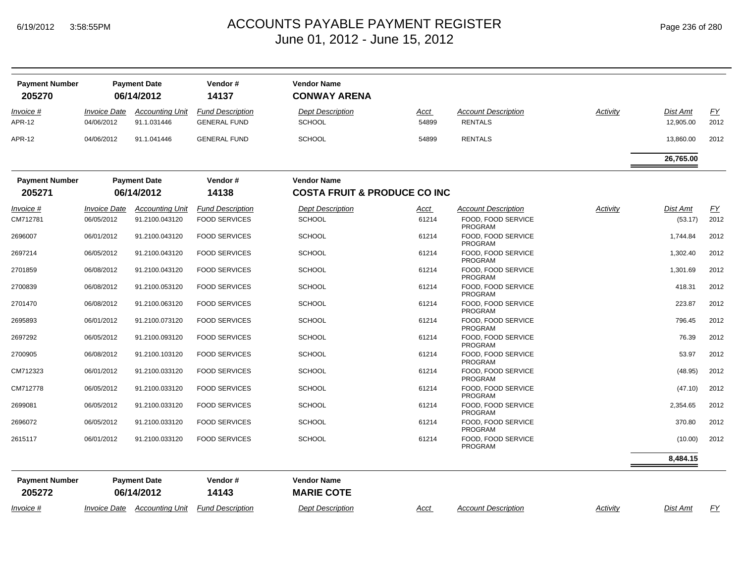| Page 236 of 280 |  |  |  |
|-----------------|--|--|--|
|-----------------|--|--|--|

| <b>Payment Number</b><br>205270   |                                          | <b>Payment Date</b><br>06/14/2012     | Vendor#<br>14137                               | <b>Vendor Name</b><br><b>CONWAY ARENA</b> |               |                                              |          |                       |                   |
|-----------------------------------|------------------------------------------|---------------------------------------|------------------------------------------------|-------------------------------------------|---------------|----------------------------------------------|----------|-----------------------|-------------------|
| <i>Invoice</i> #<br><b>APR-12</b> | <i><b>Invoice Date</b></i><br>04/06/2012 | <b>Accounting Unit</b><br>91.1.031446 | <b>Fund Description</b><br><b>GENERAL FUND</b> | <b>Dept Description</b><br><b>SCHOOL</b>  | Acct<br>54899 | <b>Account Description</b><br><b>RENTALS</b> | Activity | Dist Amt<br>12,905.00 | <u>FY</u><br>2012 |
| <b>APR-12</b>                     | 04/06/2012                               | 91.1.041446                           | <b>GENERAL FUND</b>                            | <b>SCHOOL</b>                             | 54899         | <b>RENTALS</b>                               |          | 13,860.00             | 2012              |
|                                   |                                          |                                       |                                                |                                           |               |                                              |          | 26,765.00             |                   |
| <b>Payment Number</b>             |                                          | <b>Payment Date</b>                   | Vendor#                                        | <b>Vendor Name</b>                        |               |                                              |          |                       |                   |
| 205271                            |                                          | 06/14/2012                            | 14138                                          | <b>COSTA FRUIT &amp; PRODUCE CO INC</b>   |               |                                              |          |                       |                   |
| Invoice #                         | <b>Invoice Date</b>                      | <b>Accounting Unit</b>                | <b>Fund Description</b>                        | Dept Description                          | Acct          | <b>Account Description</b>                   | Activity | <b>Dist Amt</b>       | <u>FY</u>         |
| CM712781                          | 06/05/2012                               | 91.2100.043120                        | <b>FOOD SERVICES</b>                           | <b>SCHOOL</b>                             | 61214         | FOOD, FOOD SERVICE<br>PROGRAM                |          | (53.17)               | 2012              |
| 2696007                           | 06/01/2012                               | 91.2100.043120                        | <b>FOOD SERVICES</b>                           | <b>SCHOOL</b>                             | 61214         | FOOD, FOOD SERVICE<br><b>PROGRAM</b>         |          | 1,744.84              | 2012              |
| 2697214                           | 06/05/2012                               | 91.2100.043120                        | <b>FOOD SERVICES</b>                           | <b>SCHOOL</b>                             | 61214         | FOOD, FOOD SERVICE<br>PROGRAM                |          | 1,302.40              | 2012              |
| 2701859                           | 06/08/2012                               | 91.2100.043120                        | <b>FOOD SERVICES</b>                           | <b>SCHOOL</b>                             | 61214         | FOOD, FOOD SERVICE<br><b>PROGRAM</b>         |          | 1,301.69              | 2012              |
| 2700839                           | 06/08/2012                               | 91.2100.053120                        | <b>FOOD SERVICES</b>                           | <b>SCHOOL</b>                             | 61214         | FOOD. FOOD SERVICE<br><b>PROGRAM</b>         |          | 418.31                | 2012              |
| 2701470                           | 06/08/2012                               | 91.2100.063120                        | <b>FOOD SERVICES</b>                           | <b>SCHOOL</b>                             | 61214         | FOOD, FOOD SERVICE<br><b>PROGRAM</b>         |          | 223.87                | 2012              |
| 2695893                           | 06/01/2012                               | 91.2100.073120                        | <b>FOOD SERVICES</b>                           | <b>SCHOOL</b>                             | 61214         | FOOD, FOOD SERVICE<br><b>PROGRAM</b>         |          | 796.45                | 2012              |
| 2697292                           | 06/05/2012                               | 91.2100.093120                        | <b>FOOD SERVICES</b>                           | <b>SCHOOL</b>                             | 61214         | FOOD, FOOD SERVICE<br>PROGRAM                |          | 76.39                 | 2012              |
| 2700905                           | 06/08/2012                               | 91.2100.103120                        | <b>FOOD SERVICES</b>                           | <b>SCHOOL</b>                             | 61214         | FOOD, FOOD SERVICE<br>PROGRAM                |          | 53.97                 | 2012              |
| CM712323                          | 06/01/2012                               | 91.2100.033120                        | <b>FOOD SERVICES</b>                           | <b>SCHOOL</b>                             | 61214         | FOOD, FOOD SERVICE<br><b>PROGRAM</b>         |          | (48.95)               | 2012              |
| CM712778                          | 06/05/2012                               | 91.2100.033120                        | <b>FOOD SERVICES</b>                           | <b>SCHOOL</b>                             | 61214         | FOOD, FOOD SERVICE<br><b>PROGRAM</b>         |          | (47.10)               | 2012              |
| 2699081                           | 06/05/2012                               | 91.2100.033120                        | <b>FOOD SERVICES</b>                           | <b>SCHOOL</b>                             | 61214         | FOOD, FOOD SERVICE<br>PROGRAM                |          | 2,354.65              | 2012              |
| 2696072                           | 06/05/2012                               | 91.2100.033120                        | <b>FOOD SERVICES</b>                           | <b>SCHOOL</b>                             | 61214         | FOOD. FOOD SERVICE<br><b>PROGRAM</b>         |          | 370.80                | 2012              |
| 2615117                           | 06/01/2012                               | 91.2100.033120                        | <b>FOOD SERVICES</b>                           | <b>SCHOOL</b>                             | 61214         | FOOD, FOOD SERVICE<br><b>PROGRAM</b>         |          | (10.00)               | 2012              |
|                                   |                                          |                                       |                                                |                                           |               |                                              |          | 8.484.15              |                   |
| <b>Payment Number</b>             |                                          | <b>Payment Date</b>                   | Vendor#                                        | <b>Vendor Name</b>                        |               |                                              |          |                       |                   |
| 205272                            |                                          | 06/14/2012                            | 14143                                          | <b>MARIE COTE</b>                         |               |                                              |          |                       |                   |
| <i>Invoice</i> #                  | <b>Invoice Date</b>                      | <b>Accounting Unit</b>                | <b>Fund Description</b>                        | <b>Dept Description</b>                   | Acct          | <b>Account Description</b>                   | Activity | Dist Amt              | FY                |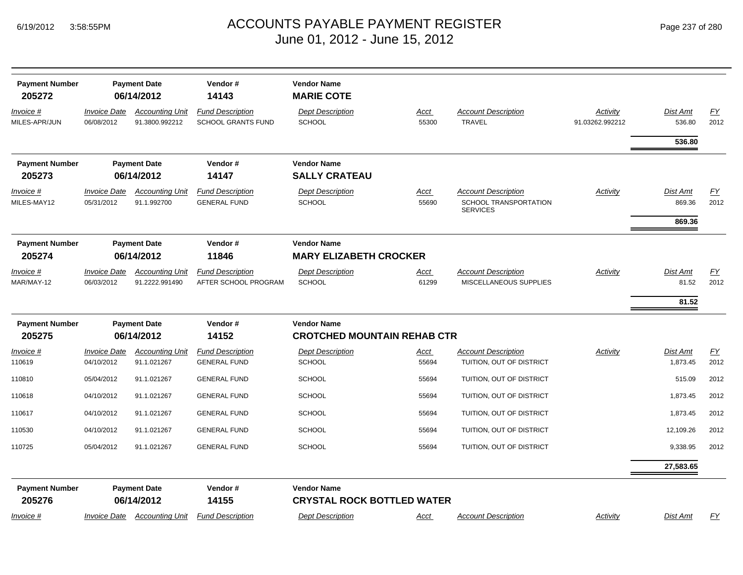| Page 237 of 280 |  |  |  |  |
|-----------------|--|--|--|--|
|-----------------|--|--|--|--|

| <b>Payment Number</b><br>205272 |                                   | <b>Payment Date</b><br>06/14/2012                     | Vendor#<br>14143                               | <b>Vendor Name</b><br><b>MARIE COTE</b>                  |               |                                                                        |                             |                           |            |
|---------------------------------|-----------------------------------|-------------------------------------------------------|------------------------------------------------|----------------------------------------------------------|---------------|------------------------------------------------------------------------|-----------------------------|---------------------------|------------|
| Invoice #<br>MILES-APR/JUN      | <b>Invoice Date</b><br>06/08/2012 | <b>Accounting Unit</b><br>91.3800.992212              | <b>Fund Description</b><br>SCHOOL GRANTS FUND  | <b>Dept Description</b><br><b>SCHOOL</b>                 | Acct<br>55300 | <b>Account Description</b><br><b>TRAVEL</b>                            | Activity<br>91.03262.992212 | <b>Dist Amt</b><br>536.80 | EY<br>2012 |
|                                 |                                   |                                                       |                                                |                                                          |               |                                                                        |                             | 536.80                    |            |
| <b>Payment Number</b>           |                                   | <b>Payment Date</b>                                   | Vendor#                                        | <b>Vendor Name</b>                                       |               |                                                                        |                             |                           |            |
| 205273                          |                                   | 06/14/2012                                            | 14147                                          | <b>SALLY CRATEAU</b>                                     |               |                                                                        |                             |                           |            |
| Invoice #<br>MILES-MAY12        | <b>Invoice Date</b><br>05/31/2012 | <b>Accounting Unit</b><br>91.1.992700                 | <b>Fund Description</b><br><b>GENERAL FUND</b> | <b>Dept Description</b><br><b>SCHOOL</b>                 | Acct<br>55690 | <b>Account Description</b><br>SCHOOL TRANSPORTATION<br><b>SERVICES</b> | Activity                    | <b>Dist Amt</b><br>869.36 | EY<br>2012 |
|                                 |                                   |                                                       |                                                |                                                          |               |                                                                        |                             | 869.36                    |            |
| <b>Payment Number</b>           |                                   | <b>Payment Date</b>                                   | Vendor#                                        | <b>Vendor Name</b>                                       |               |                                                                        |                             |                           |            |
| 205274                          |                                   | 06/14/2012                                            | 11846                                          | <b>MARY ELIZABETH CROCKER</b>                            |               |                                                                        |                             |                           |            |
| Invoice #                       | <b>Invoice Date</b>               | <b>Accounting Unit</b>                                | <b>Fund Description</b>                        | <b>Dept Description</b>                                  | Acct          | <b>Account Description</b>                                             | Activity                    | <b>Dist Amt</b>           | EY         |
| MAR/MAY-12                      | 06/03/2012                        | 91.2222.991490                                        | AFTER SCHOOL PROGRAM                           | <b>SCHOOL</b>                                            | 61299         | MISCELLANEOUS SUPPLIES                                                 |                             | 81.52                     | 2012       |
|                                 |                                   |                                                       |                                                |                                                          |               |                                                                        |                             | 81.52                     |            |
| <b>Payment Number</b><br>205275 |                                   | <b>Payment Date</b><br>Vendor#<br>06/14/2012<br>14152 |                                                | <b>Vendor Name</b><br><b>CROTCHED MOUNTAIN REHAB CTR</b> |               |                                                                        |                             |                           |            |
| Invoice #                       | <b>Invoice Date</b>               | <b>Accounting Unit</b>                                | <b>Fund Description</b>                        | <b>Dept Description</b>                                  | <u>Acct</u>   | <b>Account Description</b>                                             | Activity                    | <b>Dist Amt</b>           | EY         |
| 110619                          | 04/10/2012                        | 91.1.021267                                           | <b>GENERAL FUND</b>                            | <b>SCHOOL</b>                                            | 55694         | TUITION, OUT OF DISTRICT                                               |                             | 1,873.45                  | 2012       |
| 110810                          | 05/04/2012                        | 91.1.021267                                           | <b>GENERAL FUND</b>                            | <b>SCHOOL</b>                                            | 55694         | TUITION, OUT OF DISTRICT                                               |                             | 515.09                    | 2012       |
| 110618                          | 04/10/2012                        | 91.1.021267                                           | <b>GENERAL FUND</b>                            | <b>SCHOOL</b>                                            | 55694         | TUITION, OUT OF DISTRICT                                               |                             | 1,873.45                  | 2012       |
| 110617                          | 04/10/2012                        | 91.1.021267                                           | <b>GENERAL FUND</b>                            | <b>SCHOOL</b>                                            | 55694         | TUITION, OUT OF DISTRICT                                               |                             | 1,873.45                  | 2012       |
| 110530                          | 04/10/2012                        | 91.1.021267                                           | <b>GENERAL FUND</b>                            | <b>SCHOOL</b>                                            | 55694         | TUITION, OUT OF DISTRICT                                               |                             | 12,109.26                 | 2012       |
| 110725                          | 05/04/2012                        | 91.1.021267                                           | <b>GENERAL FUND</b>                            | <b>SCHOOL</b>                                            | 55694         | TUITION, OUT OF DISTRICT                                               |                             | 9,338.95                  | 2012       |
|                                 |                                   |                                                       |                                                |                                                          |               |                                                                        |                             | 27,583.65                 |            |
| <b>Payment Number</b>           |                                   | <b>Payment Date</b>                                   | Vendor#                                        | <b>Vendor Name</b>                                       |               |                                                                        |                             |                           |            |
| 205276                          |                                   | 06/14/2012                                            | 14155                                          | <b>CRYSTAL ROCK BOTTLED WATER</b>                        |               |                                                                        |                             |                           |            |
| Invoice #                       | <b>Invoice Date</b>               | <b>Accounting Unit</b>                                | <b>Fund Description</b>                        | <b>Dept Description</b>                                  | Acct          | <b>Account Description</b>                                             | Activity                    | Dist Amt                  | EY         |
|                                 |                                   |                                                       |                                                |                                                          |               |                                                                        |                             |                           |            |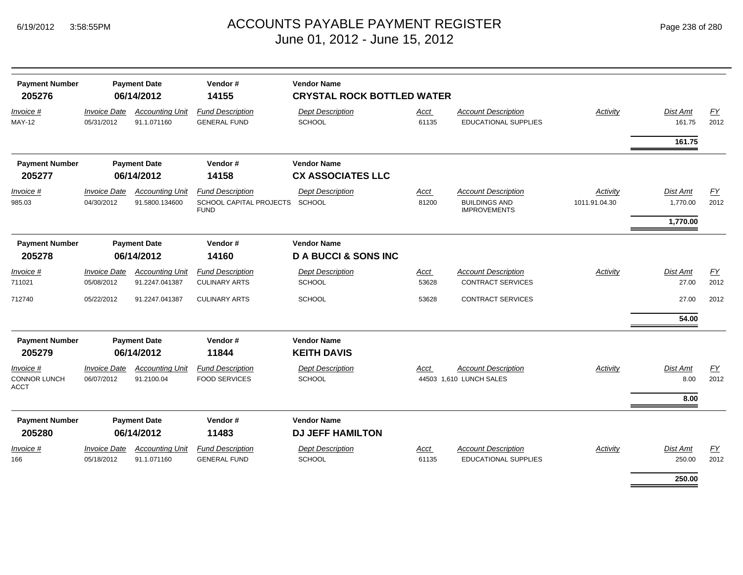| <b>Payment Number</b><br>205276                 | <b>Payment Date</b><br>06/14/2012 |                                          | Vendor#<br>14155                                                  | <b>Vendor Name</b><br><b>CRYSTAL ROCK BOTTLED WATER</b> |                      |                                                                           |                           |                                  |            |  |  |
|-------------------------------------------------|-----------------------------------|------------------------------------------|-------------------------------------------------------------------|---------------------------------------------------------|----------------------|---------------------------------------------------------------------------|---------------------------|----------------------------------|------------|--|--|
| Invoice #<br><b>MAY-12</b>                      | <b>Invoice Date</b><br>05/31/2012 | <b>Accounting Unit</b><br>91.1.071160    | <b>Fund Description</b><br><b>GENERAL FUND</b>                    | <b>Dept Description</b><br><b>SCHOOL</b>                | Acct<br>61135        | <b>Account Description</b><br><b>EDUCATIONAL SUPPLIES</b>                 | Activity                  | Dist Amt<br>161.75               | EY<br>2012 |  |  |
|                                                 |                                   |                                          |                                                                   |                                                         |                      |                                                                           |                           | 161.75                           |            |  |  |
| <b>Payment Number</b>                           |                                   | <b>Payment Date</b>                      | Vendor#                                                           | <b>Vendor Name</b>                                      |                      |                                                                           |                           |                                  |            |  |  |
| 205277                                          |                                   | 06/14/2012                               | 14158                                                             | <b>CX ASSOCIATES LLC</b>                                |                      |                                                                           |                           |                                  |            |  |  |
| Invoice #<br>985.03                             | <b>Invoice Date</b><br>04/30/2012 | <b>Accounting Unit</b><br>91.5800.134600 | <b>Fund Description</b><br>SCHOOL CAPITAL PROJECTS<br><b>FUND</b> | <b>Dept Description</b><br><b>SCHOOL</b>                | Acct<br>81200        | <b>Account Description</b><br><b>BUILDINGS AND</b><br><b>IMPROVEMENTS</b> | Activity<br>1011.91.04.30 | Dist Amt<br>1,770.00<br>1,770.00 | EY<br>2012 |  |  |
| <b>Payment Number</b><br>205278                 | <b>Payment Date</b><br>06/14/2012 |                                          |                                                                   |                                                         | Vendor#<br>14160     | <b>Vendor Name</b><br><b>D A BUCCI &amp; SONS INC</b>                     |                           |                                  |            |  |  |
| Invoice #<br>711021                             | <b>Invoice Date</b><br>05/08/2012 | <b>Accounting Unit</b><br>91.2247.041387 | <b>Fund Description</b><br><b>CULINARY ARTS</b>                   | <b>Dept Description</b><br><b>SCHOOL</b>                | <b>Acct</b><br>53628 | <b>Account Description</b><br><b>CONTRACT SERVICES</b>                    | Activity                  | Dist Amt<br>27.00                | EY<br>2012 |  |  |
| 712740                                          | 05/22/2012                        | 91.2247.041387                           | <b>CULINARY ARTS</b>                                              | <b>SCHOOL</b>                                           | 53628                | <b>CONTRACT SERVICES</b>                                                  |                           | 27.00<br>54.00                   | 2012       |  |  |
| <b>Payment Number</b><br>205279                 |                                   | <b>Payment Date</b><br>06/14/2012        | Vendor#<br>11844                                                  | <b>Vendor Name</b><br><b>KEITH DAVIS</b>                |                      |                                                                           |                           |                                  |            |  |  |
| Invoice #<br><b>CONNOR LUNCH</b><br><b>ACCT</b> | <b>Invoice Date</b><br>06/07/2012 | <b>Accounting Unit</b><br>91.2100.04     | <b>Fund Description</b><br><b>FOOD SERVICES</b>                   | <b>Dept Description</b><br><b>SCHOOL</b>                | Acct                 | <b>Account Description</b><br>44503 1,610 LUNCH SALES                     | Activity                  | Dist Amt<br>8.00                 | EY<br>2012 |  |  |
|                                                 |                                   |                                          |                                                                   |                                                         |                      |                                                                           |                           | 8.00                             |            |  |  |
| <b>Payment Number</b><br>205280                 |                                   | <b>Payment Date</b><br>06/14/2012        | Vendor#<br>11483                                                  | <b>Vendor Name</b><br><b>DJ JEFF HAMILTON</b>           |                      |                                                                           |                           |                                  |            |  |  |
| Invoice #<br>166                                | <b>Invoice Date</b><br>05/18/2012 | <b>Accounting Unit</b><br>91.1.071160    | <b>Fund Description</b><br><b>GENERAL FUND</b>                    | <b>Dept Description</b><br><b>SCHOOL</b>                | Acct<br>61135        | <b>Account Description</b><br>EDUCATIONAL SUPPLIES                        | Activity                  | Dist Amt<br>250.00               | EY<br>2012 |  |  |
|                                                 |                                   |                                          |                                                                   |                                                         |                      |                                                                           |                           | 250.00                           |            |  |  |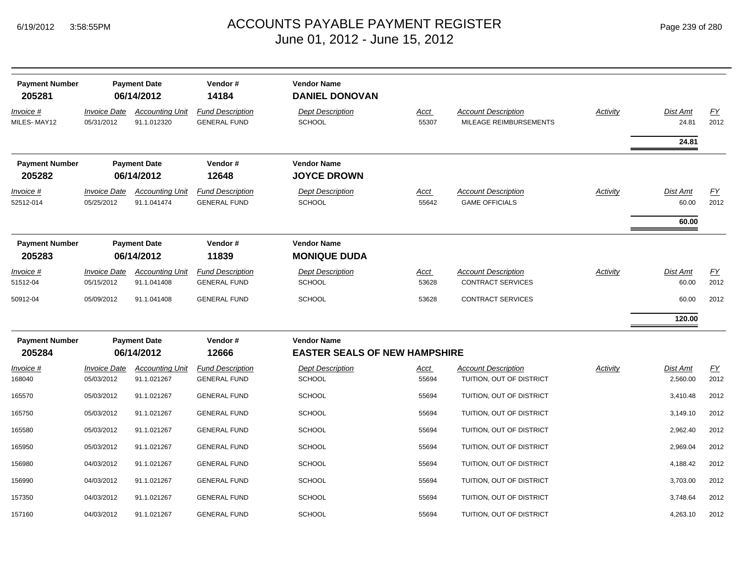|  | Page 239 of 280 |  |  |  |
|--|-----------------|--|--|--|
|--|-----------------|--|--|--|

| <b>Payment Number</b><br>205281 |                                   | <b>Payment Date</b><br>06/14/2012     | Vendor#<br>14184                               | <b>Vendor Name</b><br><b>DANIEL DONOVAN</b>                |                      |                                                        |                 |                          |                          |
|---------------------------------|-----------------------------------|---------------------------------------|------------------------------------------------|------------------------------------------------------------|----------------------|--------------------------------------------------------|-----------------|--------------------------|--------------------------|
| Invoice #<br>MILES-MAY12        | <b>Invoice Date</b><br>05/31/2012 | <b>Accounting Unit</b><br>91.1.012320 | <b>Fund Description</b><br><b>GENERAL FUND</b> | <b>Dept Description</b><br><b>SCHOOL</b>                   | <u>Acct</u><br>55307 | <b>Account Description</b><br>MILEAGE REIMBURSEMENTS   | Activity        | Dist Amt<br>24.81        | EY<br>2012               |
| <b>Payment Number</b><br>205282 |                                   | <b>Payment Date</b><br>06/14/2012     | Vendor#<br>12648                               | <b>Vendor Name</b><br><b>JOYCE DROWN</b>                   |                      |                                                        |                 | 24.81                    |                          |
| Invoice #<br>52512-014          | <b>Invoice Date</b><br>05/25/2012 | <b>Accounting Unit</b><br>91.1.041474 | <b>Fund Description</b><br><b>GENERAL FUND</b> | <b>Dept Description</b><br><b>SCHOOL</b>                   | Acct<br>55642        | <b>Account Description</b><br><b>GAME OFFICIALS</b>    | Activity        | <b>Dist Amt</b><br>60.00 | $\underline{FY}$<br>2012 |
|                                 |                                   |                                       |                                                |                                                            |                      |                                                        |                 | 60.00                    |                          |
| <b>Payment Number</b><br>205283 |                                   | <b>Payment Date</b><br>06/14/2012     | Vendor#<br>11839                               | <b>Vendor Name</b><br><b>MONIQUE DUDA</b>                  |                      |                                                        |                 |                          |                          |
| $Invoice$ #<br>51512-04         | <b>Invoice Date</b><br>05/15/2012 | <b>Accounting Unit</b><br>91.1.041408 | <b>Fund Description</b><br><b>GENERAL FUND</b> | <b>Dept Description</b><br><b>SCHOOL</b>                   | <u>Acct</u><br>53628 | <b>Account Description</b><br><b>CONTRACT SERVICES</b> | Activity        | Dist Amt<br>60.00        | EY<br>2012               |
| 50912-04                        | 05/09/2012                        | 91.1.041408                           | <b>GENERAL FUND</b>                            | <b>SCHOOL</b>                                              | 53628                | <b>CONTRACT SERVICES</b>                               |                 | 60.00                    | 2012                     |
|                                 |                                   |                                       |                                                |                                                            |                      |                                                        |                 | 120.00                   |                          |
| <b>Payment Number</b><br>205284 | <b>Payment Date</b><br>06/14/2012 |                                       | Vendor#<br>12666                               | <b>Vendor Name</b><br><b>EASTER SEALS OF NEW HAMPSHIRE</b> |                      |                                                        |                 |                          |                          |
| $Invoice$ #<br>168040           | <b>Invoice Date</b><br>05/03/2012 | <b>Accounting Unit</b><br>91.1.021267 | <b>Fund Description</b><br><b>GENERAL FUND</b> | <b>Dept Description</b><br><b>SCHOOL</b>                   | <u>Acct</u><br>55694 | <b>Account Description</b><br>TUITION, OUT OF DISTRICT | <b>Activity</b> | Dist Amt<br>2,560.00     | EY<br>2012               |
| 165570                          | 05/03/2012                        | 91.1.021267                           | <b>GENERAL FUND</b>                            | <b>SCHOOL</b>                                              | 55694                | TUITION, OUT OF DISTRICT                               |                 | 3,410.48                 | 2012                     |
| 165750                          | 05/03/2012                        | 91.1.021267                           | <b>GENERAL FUND</b>                            | <b>SCHOOL</b>                                              | 55694                | TUITION, OUT OF DISTRICT                               |                 | 3,149.10                 | 2012                     |
| 165580                          | 05/03/2012                        | 91.1.021267                           | <b>GENERAL FUND</b>                            | SCHOOL                                                     | 55694                | TUITION, OUT OF DISTRICT                               |                 | 2,962.40                 | 2012                     |
| 165950                          | 05/03/2012                        | 91.1.021267                           | <b>GENERAL FUND</b>                            | <b>SCHOOL</b>                                              | 55694                | TUITION, OUT OF DISTRICT                               |                 | 2,969.04                 | 2012                     |
| 156980                          | 04/03/2012                        | 91.1.021267                           | <b>GENERAL FUND</b>                            | <b>SCHOOL</b>                                              | 55694                | TUITION, OUT OF DISTRICT                               |                 | 4,188.42                 | 2012                     |
| 156990                          | 04/03/2012                        | 91.1.021267                           | <b>GENERAL FUND</b>                            | <b>SCHOOL</b>                                              | 55694                | TUITION, OUT OF DISTRICT                               |                 | 3,703.00                 | 2012                     |
| 157350                          | 04/03/2012                        | 91.1.021267                           | <b>GENERAL FUND</b>                            | <b>SCHOOL</b>                                              | 55694                | TUITION, OUT OF DISTRICT                               |                 | 3,748.64                 | 2012                     |
| 157160                          | 04/03/2012                        | 91.1.021267                           | <b>GENERAL FUND</b>                            | <b>SCHOOL</b>                                              | 55694                | TUITION, OUT OF DISTRICT                               |                 | 4,263.10                 | 2012                     |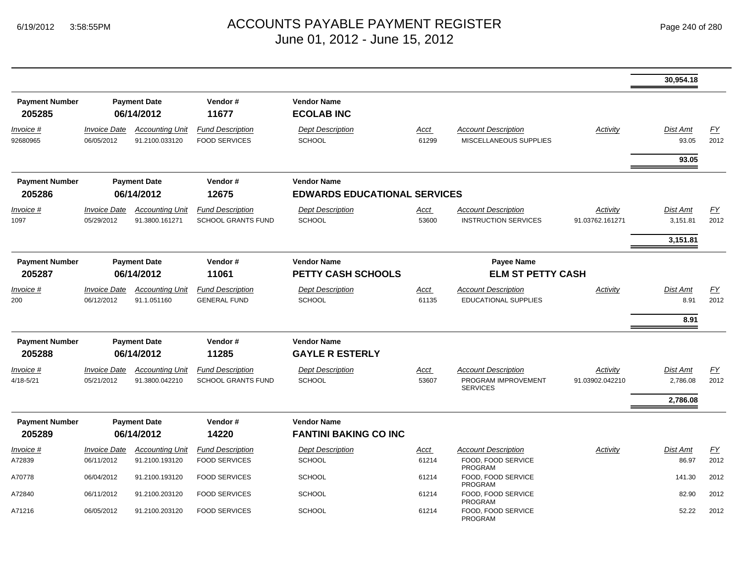|                                 |                                   |                                          |                                                      |                                                           |                      |                                                                      |                             | 30,954.18                   |            |
|---------------------------------|-----------------------------------|------------------------------------------|------------------------------------------------------|-----------------------------------------------------------|----------------------|----------------------------------------------------------------------|-----------------------------|-----------------------------|------------|
| <b>Payment Number</b><br>205285 |                                   | <b>Payment Date</b><br>06/14/2012        | Vendor#<br>11677                                     | <b>Vendor Name</b><br><b>ECOLAB INC</b>                   |                      |                                                                      |                             |                             |            |
| <u>Invoice #</u><br>92680965    | <b>Invoice Date</b><br>06/05/2012 | <b>Accounting Unit</b><br>91.2100.033120 | <b>Fund Description</b><br><b>FOOD SERVICES</b>      | <b>Dept Description</b><br><b>SCHOOL</b>                  | <u>Acct</u><br>61299 | <b>Account Description</b><br>MISCELLANEOUS SUPPLIES                 | Activity                    | <b>Dist Amt</b><br>93.05    | EY<br>2012 |
|                                 |                                   |                                          |                                                      |                                                           |                      |                                                                      |                             | 93.05                       |            |
| <b>Payment Number</b><br>205286 |                                   | <b>Payment Date</b><br>06/14/2012        | Vendor#<br>12675                                     | <b>Vendor Name</b><br><b>EDWARDS EDUCATIONAL SERVICES</b> |                      |                                                                      |                             |                             |            |
| Invoice #<br>1097               | <b>Invoice Date</b><br>05/29/2012 | <b>Accounting Unit</b><br>91.3800.161271 | <b>Fund Description</b><br><b>SCHOOL GRANTS FUND</b> | <b>Dept Description</b><br><b>SCHOOL</b>                  | <u>Acct</u><br>53600 | <b>Account Description</b><br><b>INSTRUCTION SERVICES</b>            | Activity<br>91.03762.161271 | <b>Dist Amt</b><br>3,151.81 | EY<br>2012 |
|                                 |                                   |                                          |                                                      |                                                           |                      |                                                                      |                             | 3,151.81                    |            |
| <b>Payment Number</b><br>205287 |                                   | <b>Payment Date</b><br>06/14/2012        | Vendor#<br>11061                                     | <b>Vendor Name</b><br><b>PETTY CASH SCHOOLS</b>           |                      | <b>Payee Name</b><br><b>ELM ST PETTY CASH</b>                        |                             |                             |            |
| Invoice #<br>200                | <b>Invoice Date</b><br>06/12/2012 | <b>Accounting Unit</b><br>91.1.051160    | <b>Fund Description</b><br><b>GENERAL FUND</b>       | <b>Dept Description</b><br><b>SCHOOL</b>                  | Acct<br>61135        | <b>Account Description</b><br>EDUCATIONAL SUPPLIES                   | Activity                    | Dist Amt<br>8.91            | EY<br>2012 |
|                                 |                                   |                                          |                                                      |                                                           |                      |                                                                      |                             | 8.91                        |            |
| <b>Payment Number</b><br>205288 |                                   | <b>Payment Date</b><br>06/14/2012        | Vendor#<br>11285                                     | <b>Vendor Name</b><br><b>GAYLE R ESTERLY</b>              |                      |                                                                      |                             |                             |            |
| <i>Invoice</i> #<br>4/18-5/21   | <b>Invoice Date</b><br>05/21/2012 | <b>Accounting Unit</b><br>91.3800.042210 | <b>Fund Description</b><br><b>SCHOOL GRANTS FUND</b> | <b>Dept Description</b><br><b>SCHOOL</b>                  | <u>Acct</u><br>53607 | <b>Account Description</b><br>PROGRAM IMPROVEMENT<br><b>SERVICES</b> | Activity<br>91.03902.042210 | Dist Amt<br>2,786.08        | EY<br>2012 |
|                                 |                                   |                                          |                                                      |                                                           |                      |                                                                      |                             | 2,786.08                    |            |
| <b>Payment Number</b>           |                                   | <b>Payment Date</b>                      | Vendor#                                              | <b>Vendor Name</b>                                        |                      |                                                                      |                             |                             |            |
| 205289                          |                                   | 06/14/2012                               | 14220                                                | <b>FANTINI BAKING CO INC</b>                              |                      |                                                                      |                             |                             |            |
| Invoice #<br>A72839             | <b>Invoice Date</b><br>06/11/2012 | <b>Accounting Unit</b><br>91.2100.193120 | <b>Fund Description</b><br><b>FOOD SERVICES</b>      | <b>Dept Description</b><br><b>SCHOOL</b>                  | Acct<br>61214        | <b>Account Description</b><br>FOOD, FOOD SERVICE<br><b>PROGRAM</b>   | Activity                    | Dist Amt<br>86.97           | EY<br>2012 |
| A70778                          | 06/04/2012                        | 91.2100.193120                           | <b>FOOD SERVICES</b>                                 | <b>SCHOOL</b>                                             | 61214                | FOOD, FOOD SERVICE<br><b>PROGRAM</b>                                 |                             | 141.30                      | 2012       |
| A72840                          | 06/11/2012                        | 91.2100.203120                           | <b>FOOD SERVICES</b>                                 | <b>SCHOOL</b>                                             | 61214                | FOOD, FOOD SERVICE<br><b>PROGRAM</b>                                 |                             | 82.90                       | 2012       |
| A71216                          | 06/05/2012                        | 91.2100.203120                           | <b>FOOD SERVICES</b>                                 | <b>SCHOOL</b>                                             | 61214                | FOOD, FOOD SERVICE<br><b>PROGRAM</b>                                 |                             | 52.22                       | 2012       |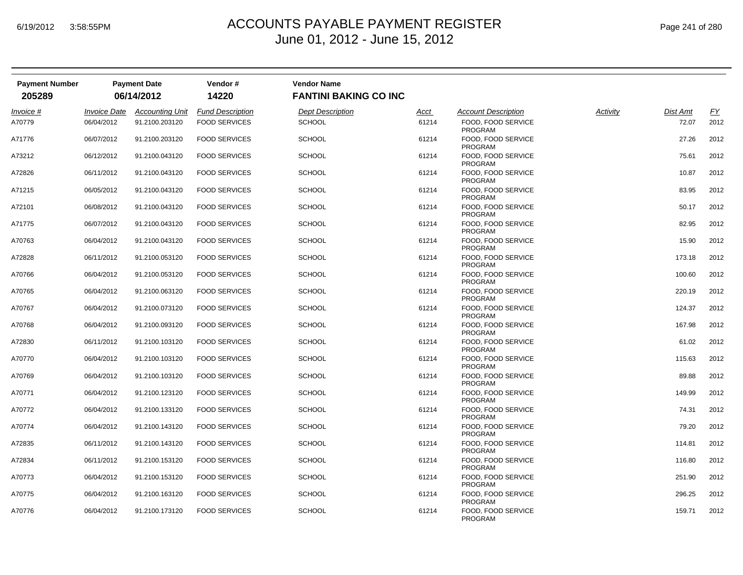| <b>Payment Number</b> |                     | <b>Payment Date</b>    | Vendor#                 | <b>Vendor Name</b>           |       |                                      |          |                 |           |
|-----------------------|---------------------|------------------------|-------------------------|------------------------------|-------|--------------------------------------|----------|-----------------|-----------|
| 205289                |                     | 06/14/2012             | 14220                   | <b>FANTINI BAKING CO INC</b> |       |                                      |          |                 |           |
| Invoice #             | <b>Invoice Date</b> | <b>Accounting Unit</b> | <b>Fund Description</b> | <b>Dept Description</b>      | Acct  | <b>Account Description</b>           | Activity | <b>Dist Amt</b> | <u>FY</u> |
| A70779                | 06/04/2012          | 91.2100.203120         | <b>FOOD SERVICES</b>    | <b>SCHOOL</b>                | 61214 | FOOD, FOOD SERVICE<br><b>PROGRAM</b> |          | 72.07           | 2012      |
| A71776                | 06/07/2012          | 91.2100.203120         | <b>FOOD SERVICES</b>    | <b>SCHOOL</b>                | 61214 | FOOD, FOOD SERVICE<br>PROGRAM        |          | 27.26           | 2012      |
| A73212                | 06/12/2012          | 91.2100.043120         | <b>FOOD SERVICES</b>    | <b>SCHOOL</b>                | 61214 | FOOD, FOOD SERVICE<br>PROGRAM        |          | 75.61           | 2012      |
| A72826                | 06/11/2012          | 91.2100.043120         | <b>FOOD SERVICES</b>    | <b>SCHOOL</b>                | 61214 | FOOD, FOOD SERVICE<br><b>PROGRAM</b> |          | 10.87           | 2012      |
| A71215                | 06/05/2012          | 91.2100.043120         | <b>FOOD SERVICES</b>    | <b>SCHOOL</b>                | 61214 | FOOD, FOOD SERVICE<br><b>PROGRAM</b> |          | 83.95           | 2012      |
| A72101                | 06/08/2012          | 91.2100.043120         | <b>FOOD SERVICES</b>    | <b>SCHOOL</b>                | 61214 | FOOD, FOOD SERVICE<br><b>PROGRAM</b> |          | 50.17           | 2012      |
| A71775                | 06/07/2012          | 91.2100.043120         | <b>FOOD SERVICES</b>    | <b>SCHOOL</b>                | 61214 | FOOD, FOOD SERVICE<br>PROGRAM        |          | 82.95           | 2012      |
| A70763                | 06/04/2012          | 91.2100.043120         | <b>FOOD SERVICES</b>    | <b>SCHOOL</b>                | 61214 | FOOD, FOOD SERVICE<br><b>PROGRAM</b> |          | 15.90           | 2012      |
| A72828                | 06/11/2012          | 91.2100.053120         | <b>FOOD SERVICES</b>    | <b>SCHOOL</b>                | 61214 | FOOD, FOOD SERVICE<br><b>PROGRAM</b> |          | 173.18          | 2012      |
| A70766                | 06/04/2012          | 91.2100.053120         | <b>FOOD SERVICES</b>    | <b>SCHOOL</b>                | 61214 | FOOD, FOOD SERVICE<br>PROGRAM        |          | 100.60          | 2012      |
| A70765                | 06/04/2012          | 91.2100.063120         | <b>FOOD SERVICES</b>    | <b>SCHOOL</b>                | 61214 | FOOD, FOOD SERVICE<br><b>PROGRAM</b> |          | 220.19          | 2012      |
| A70767                | 06/04/2012          | 91.2100.073120         | <b>FOOD SERVICES</b>    | <b>SCHOOL</b>                | 61214 | FOOD, FOOD SERVICE<br>PROGRAM        |          | 124.37          | 2012      |
| A70768                | 06/04/2012          | 91.2100.093120         | <b>FOOD SERVICES</b>    | <b>SCHOOL</b>                | 61214 | FOOD, FOOD SERVICE<br><b>PROGRAM</b> |          | 167.98          | 2012      |
| A72830                | 06/11/2012          | 91.2100.103120         | <b>FOOD SERVICES</b>    | <b>SCHOOL</b>                | 61214 | FOOD, FOOD SERVICE<br>PROGRAM        |          | 61.02           | 2012      |
| A70770                | 06/04/2012          | 91.2100.103120         | <b>FOOD SERVICES</b>    | <b>SCHOOL</b>                | 61214 | FOOD, FOOD SERVICE<br><b>PROGRAM</b> |          | 115.63          | 2012      |
| A70769                | 06/04/2012          | 91.2100.103120         | <b>FOOD SERVICES</b>    | <b>SCHOOL</b>                | 61214 | FOOD, FOOD SERVICE<br><b>PROGRAM</b> |          | 89.88           | 2012      |
| A70771                | 06/04/2012          | 91.2100.123120         | <b>FOOD SERVICES</b>    | <b>SCHOOL</b>                | 61214 | FOOD, FOOD SERVICE<br><b>PROGRAM</b> |          | 149.99          | 2012      |
| A70772                | 06/04/2012          | 91.2100.133120         | <b>FOOD SERVICES</b>    | <b>SCHOOL</b>                | 61214 | FOOD, FOOD SERVICE<br><b>PROGRAM</b> |          | 74.31           | 2012      |
| A70774                | 06/04/2012          | 91.2100.143120         | <b>FOOD SERVICES</b>    | <b>SCHOOL</b>                | 61214 | FOOD, FOOD SERVICE<br>PROGRAM        |          | 79.20           | 2012      |
| A72835                | 06/11/2012          | 91.2100.143120         | <b>FOOD SERVICES</b>    | <b>SCHOOL</b>                | 61214 | FOOD, FOOD SERVICE<br><b>PROGRAM</b> |          | 114.81          | 2012      |
| A72834                | 06/11/2012          | 91.2100.153120         | <b>FOOD SERVICES</b>    | <b>SCHOOL</b>                | 61214 | FOOD, FOOD SERVICE<br><b>PROGRAM</b> |          | 116.80          | 2012      |
| A70773                | 06/04/2012          | 91.2100.153120         | <b>FOOD SERVICES</b>    | <b>SCHOOL</b>                | 61214 | FOOD, FOOD SERVICE<br><b>PROGRAM</b> |          | 251.90          | 2012      |
| A70775                | 06/04/2012          | 91.2100.163120         | <b>FOOD SERVICES</b>    | <b>SCHOOL</b>                | 61214 | FOOD, FOOD SERVICE<br><b>PROGRAM</b> |          | 296.25          | 2012      |
| A70776                | 06/04/2012          | 91.2100.173120         | <b>FOOD SERVICES</b>    | <b>SCHOOL</b>                | 61214 | FOOD, FOOD SERVICE<br><b>PROGRAM</b> |          | 159.71          | 2012      |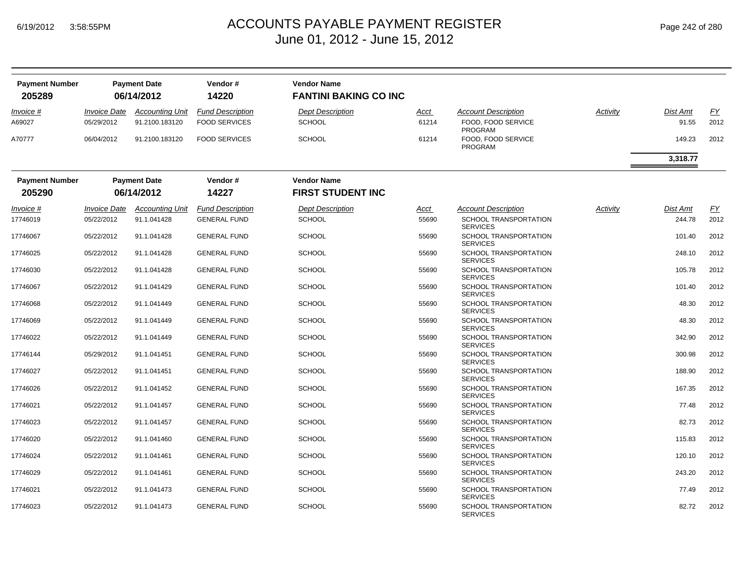| <b>Payment Number</b><br>205289 |                                          | <b>Payment Date</b><br>06/14/2012        | Vendor#<br>14220                                | <b>Vendor Name</b><br><b>FANTINI BAKING CO INC</b> |                      |                                                                               |          |                           |            |
|---------------------------------|------------------------------------------|------------------------------------------|-------------------------------------------------|----------------------------------------------------|----------------------|-------------------------------------------------------------------------------|----------|---------------------------|------------|
| Invoice #<br>A69027             | <i><b>Invoice Date</b></i><br>05/29/2012 | <b>Accounting Unit</b><br>91.2100.183120 | <b>Fund Description</b><br><b>FOOD SERVICES</b> | <b>Dept Description</b><br><b>SCHOOL</b>           | <u>Acct</u><br>61214 | <b>Account Description</b><br><b>FOOD, FOOD SERVICE</b><br><b>PROGRAM</b>     | Activity | <b>Dist Amt</b><br>91.55  | EY<br>2012 |
| A70777                          | 06/04/2012                               | 91.2100.183120                           | <b>FOOD SERVICES</b>                            | <b>SCHOOL</b>                                      | 61214                | FOOD, FOOD SERVICE<br><b>PROGRAM</b>                                          |          | 149.23                    | 2012       |
|                                 |                                          |                                          |                                                 |                                                    |                      |                                                                               |          | 3,318.77                  |            |
| <b>Payment Number</b>           |                                          | <b>Payment Date</b>                      | Vendor#                                         | <b>Vendor Name</b>                                 |                      |                                                                               |          |                           |            |
| 205290                          |                                          | 06/14/2012                               | 14227                                           | <b>FIRST STUDENT INC</b>                           |                      |                                                                               |          |                           |            |
| Invoice #<br>17746019           | <i><b>Invoice Date</b></i><br>05/22/2012 | <b>Accounting Unit</b><br>91.1.041428    | <b>Fund Description</b><br><b>GENERAL FUND</b>  | <b>Dept Description</b><br><b>SCHOOL</b>           | <u>Acct</u><br>55690 | <b>Account Description</b><br><b>SCHOOL TRANSPORTATION</b><br><b>SERVICES</b> | Activity | <b>Dist Amt</b><br>244.78 | EY<br>2012 |
| 17746067                        | 05/22/2012                               | 91.1.041428                              | <b>GENERAL FUND</b>                             | <b>SCHOOL</b>                                      | 55690                | SCHOOL TRANSPORTATION<br><b>SERVICES</b>                                      |          | 101.40                    | 2012       |
| 17746025                        | 05/22/2012                               | 91.1.041428                              | <b>GENERAL FUND</b>                             | <b>SCHOOL</b>                                      | 55690                | SCHOOL TRANSPORTATION<br><b>SERVICES</b>                                      |          | 248.10                    | 2012       |
| 17746030                        | 05/22/2012                               | 91.1.041428                              | <b>GENERAL FUND</b>                             | <b>SCHOOL</b>                                      | 55690                | SCHOOL TRANSPORTATION<br><b>SERVICES</b>                                      |          | 105.78                    | 2012       |
| 17746067                        | 05/22/2012                               | 91.1.041429                              | <b>GENERAL FUND</b>                             | <b>SCHOOL</b>                                      | 55690                | SCHOOL TRANSPORTATION<br><b>SERVICES</b>                                      |          | 101.40                    | 2012       |
| 17746068                        | 05/22/2012                               | 91.1.041449                              | <b>GENERAL FUND</b>                             | <b>SCHOOL</b>                                      | 55690                | <b>SCHOOL TRANSPORTATION</b><br><b>SERVICES</b>                               |          | 48.30                     | 2012       |
| 17746069                        | 05/22/2012                               | 91.1.041449                              | <b>GENERAL FUND</b>                             | <b>SCHOOL</b>                                      | 55690                | SCHOOL TRANSPORTATION<br><b>SERVICES</b>                                      |          | 48.30                     | 2012       |
| 17746022                        | 05/22/2012                               | 91.1.041449                              | <b>GENERAL FUND</b>                             | <b>SCHOOL</b>                                      | 55690                | SCHOOL TRANSPORTATION<br><b>SERVICES</b>                                      |          | 342.90                    | 2012       |
| 17746144                        | 05/29/2012                               | 91.1.041451                              | <b>GENERAL FUND</b>                             | <b>SCHOOL</b>                                      | 55690                | <b>SCHOOL TRANSPORTATION</b><br><b>SERVICES</b>                               |          | 300.98                    | 2012       |
| 17746027                        | 05/22/2012                               | 91.1.041451                              | <b>GENERAL FUND</b>                             | <b>SCHOOL</b>                                      | 55690                | SCHOOL TRANSPORTATION<br><b>SERVICES</b>                                      |          | 188.90                    | 2012       |
| 17746026                        | 05/22/2012                               | 91.1.041452                              | <b>GENERAL FUND</b>                             | <b>SCHOOL</b>                                      | 55690                | <b>SCHOOL TRANSPORTATION</b><br><b>SERVICES</b>                               |          | 167.35                    | 2012       |
| 17746021                        | 05/22/2012                               | 91.1.041457                              | <b>GENERAL FUND</b>                             | <b>SCHOOL</b>                                      | 55690                | SCHOOL TRANSPORTATION<br><b>SERVICES</b>                                      |          | 77.48                     | 2012       |
| 17746023                        | 05/22/2012                               | 91.1.041457                              | <b>GENERAL FUND</b>                             | <b>SCHOOL</b>                                      | 55690                | SCHOOL TRANSPORTATION<br><b>SERVICES</b>                                      |          | 82.73                     | 2012       |
| 17746020                        | 05/22/2012                               | 91.1.041460                              | <b>GENERAL FUND</b>                             | <b>SCHOOL</b>                                      | 55690                | <b>SCHOOL TRANSPORTATION</b><br><b>SERVICES</b>                               |          | 115.83                    | 2012       |
| 17746024                        | 05/22/2012                               | 91.1.041461                              | <b>GENERAL FUND</b>                             | <b>SCHOOL</b>                                      | 55690                | SCHOOL TRANSPORTATION<br><b>SERVICES</b>                                      |          | 120.10                    | 2012       |
| 17746029                        | 05/22/2012                               | 91.1.041461                              | <b>GENERAL FUND</b>                             | <b>SCHOOL</b>                                      | 55690                | SCHOOL TRANSPORTATION<br><b>SERVICES</b>                                      |          | 243.20                    | 2012       |
| 17746021                        | 05/22/2012                               | 91.1.041473                              | <b>GENERAL FUND</b>                             | <b>SCHOOL</b>                                      | 55690                | SCHOOL TRANSPORTATION<br><b>SERVICES</b>                                      |          | 77.49                     | 2012       |
| 17746023                        | 05/22/2012                               | 91.1.041473                              | <b>GENERAL FUND</b>                             | <b>SCHOOL</b>                                      | 55690                | <b>SCHOOL TRANSPORTATION</b><br><b>SERVICES</b>                               |          | 82.72                     | 2012       |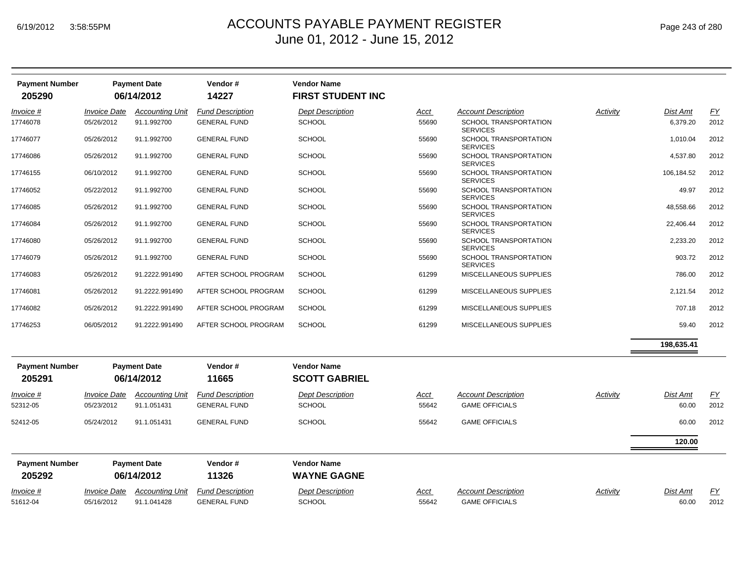| <b>Payment Number</b><br>205290 |                     | <b>Payment Date</b><br>06/14/2012 | Vendor#<br>14227        | <b>Vendor Name</b><br><b>FIRST STUDENT INC</b> |       |                                                 |          |                 |           |
|---------------------------------|---------------------|-----------------------------------|-------------------------|------------------------------------------------|-------|-------------------------------------------------|----------|-----------------|-----------|
| Invoice #                       | <b>Invoice Date</b> | <b>Accounting Unit</b>            | <b>Fund Description</b> | <b>Dept Description</b>                        | Acct  | <b>Account Description</b>                      | Activity | <b>Dist Amt</b> | <u>FY</u> |
| 17746078                        | 05/26/2012          | 91.1.992700                       | <b>GENERAL FUND</b>     | SCHOOL                                         | 55690 | <b>SCHOOL TRANSPORTATION</b><br><b>SERVICES</b> |          | 6,379.20        | 2012      |
| 17746077                        | 05/26/2012          | 91.1.992700                       | <b>GENERAL FUND</b>     | <b>SCHOOL</b>                                  | 55690 | <b>SCHOOL TRANSPORTATION</b><br><b>SERVICES</b> |          | 1,010.04        | 2012      |
| 17746086                        | 05/26/2012          | 91.1.992700                       | <b>GENERAL FUND</b>     | <b>SCHOOL</b>                                  | 55690 | SCHOOL TRANSPORTATION<br><b>SERVICES</b>        |          | 4,537.80        | 2012      |
| 17746155                        | 06/10/2012          | 91.1.992700                       | <b>GENERAL FUND</b>     | <b>SCHOOL</b>                                  | 55690 | SCHOOL TRANSPORTATION<br><b>SERVICES</b>        |          | 106,184.52      | 2012      |
| 17746052                        | 05/22/2012          | 91.1.992700                       | <b>GENERAL FUND</b>     | <b>SCHOOL</b>                                  | 55690 | <b>SCHOOL TRANSPORTATION</b><br><b>SERVICES</b> |          | 49.97           | 2012      |
| 17746085                        | 05/26/2012          | 91.1.992700                       | <b>GENERAL FUND</b>     | <b>SCHOOL</b>                                  | 55690 | <b>SCHOOL TRANSPORTATION</b><br><b>SERVICES</b> |          | 48,558.66       | 2012      |
| 17746084                        | 05/26/2012          | 91.1.992700                       | <b>GENERAL FUND</b>     | <b>SCHOOL</b>                                  | 55690 | SCHOOL TRANSPORTATION<br><b>SERVICES</b>        |          | 22,406.44       | 2012      |
| 17746080                        | 05/26/2012          | 91.1.992700                       | <b>GENERAL FUND</b>     | <b>SCHOOL</b>                                  | 55690 | <b>SCHOOL TRANSPORTATION</b><br><b>SERVICES</b> |          | 2,233.20        | 2012      |
| 17746079                        | 05/26/2012          | 91.1.992700                       | <b>GENERAL FUND</b>     | SCHOOL                                         | 55690 | <b>SCHOOL TRANSPORTATION</b><br><b>SERVICES</b> |          | 903.72          | 2012      |
| 17746083                        | 05/26/2012          | 91.2222.991490                    | AFTER SCHOOL PROGRAM    | <b>SCHOOL</b>                                  | 61299 | MISCELLANEOUS SUPPLIES                          |          | 786.00          | 2012      |
| 17746081                        | 05/26/2012          | 91.2222.991490                    | AFTER SCHOOL PROGRAM    | <b>SCHOOL</b>                                  | 61299 | MISCELLANEOUS SUPPLIES                          |          | 2,121.54        | 2012      |
| 17746082                        | 05/26/2012          | 91.2222.991490                    | AFTER SCHOOL PROGRAM    | <b>SCHOOL</b>                                  | 61299 | MISCELLANEOUS SUPPLIES                          |          | 707.18          | 2012      |
| 17746253                        | 06/05/2012          | 91.2222.991490                    | AFTER SCHOOL PROGRAM    | <b>SCHOOL</b>                                  | 61299 | MISCELLANEOUS SUPPLIES                          |          | 59.40           | 2012      |
|                                 |                     |                                   |                         |                                                |       |                                                 |          | 198,635.41      |           |
| <b>Payment Number</b>           |                     | <b>Payment Date</b>               | Vendor#                 | <b>Vendor Name</b>                             |       |                                                 |          |                 |           |
| 205291                          |                     | 06/14/2012                        | 11665                   | <b>SCOTT GABRIEL</b>                           |       |                                                 |          |                 |           |
| Invoice #                       | <b>Invoice Date</b> | <b>Accounting Unit</b>            | <b>Fund Description</b> | <b>Dept Description</b>                        | Acct  | <b>Account Description</b>                      | Activity | Dist Amt        | <u>FY</u> |

| 52312-05<br>52412-05            | 05/23/2012<br>05/24/2012 | 91.1.051431<br>91.1.051431        | <b>GENERAL FUND</b><br><b>GENERAL FUND</b> | <b>SCHOOL</b><br><b>SCHOOL</b>           | 55642<br>55642 | <b>GAME OFFICIALS</b><br><b>GAME OFFICIALS</b> | 60.00<br>60.00 | 2012<br>2012 |
|---------------------------------|--------------------------|-----------------------------------|--------------------------------------------|------------------------------------------|----------------|------------------------------------------------|----------------|--------------|
|                                 |                          |                                   |                                            |                                          |                |                                                | 120.00         |              |
| <b>Payment Number</b><br>205292 |                          | <b>Payment Date</b><br>06/14/2012 | Vendor#<br>11326                           | <b>Vendor Name</b><br><b>WAYNE GAGNE</b> |                |                                                |                |              |
|                                 |                          |                                   |                                            |                                          |                |                                                |                |              |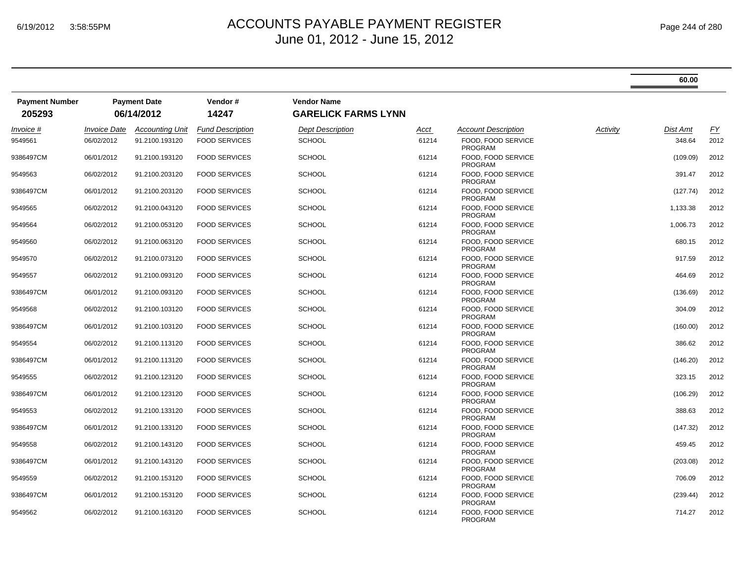|                                 |                            |                                   |                         |                                                  |             |                                      |          | 60.00    |      |
|---------------------------------|----------------------------|-----------------------------------|-------------------------|--------------------------------------------------|-------------|--------------------------------------|----------|----------|------|
| <b>Payment Number</b><br>205293 |                            | <b>Payment Date</b><br>06/14/2012 | Vendor#<br>14247        | <b>Vendor Name</b><br><b>GARELICK FARMS LYNN</b> |             |                                      |          |          |      |
| Invoice #                       | <i><b>Invoice Date</b></i> | Accounting Unit                   | <b>Fund Description</b> | Dept Description                                 | <u>Acct</u> | <b>Account Description</b>           | Activity | Dist Amt | EY   |
| 9549561                         | 06/02/2012                 | 91.2100.193120                    | <b>FOOD SERVICES</b>    | <b>SCHOOL</b>                                    | 61214       | FOOD. FOOD SERVICE<br><b>PROGRAM</b> |          | 348.64   | 2012 |
| 9386497CM                       | 06/01/2012                 | 91.2100.193120                    | <b>FOOD SERVICES</b>    | <b>SCHOOL</b>                                    | 61214       | FOOD, FOOD SERVICE<br><b>PROGRAM</b> |          | (109.09) | 2012 |
| 9549563                         | 06/02/2012                 | 91.2100.203120                    | <b>FOOD SERVICES</b>    | <b>SCHOOL</b>                                    | 61214       | FOOD. FOOD SERVICE<br><b>PROGRAM</b> |          | 391.47   | 2012 |
| 9386497CM                       | 06/01/2012                 | 91.2100.203120                    | <b>FOOD SERVICES</b>    | <b>SCHOOL</b>                                    | 61214       | FOOD. FOOD SERVICE<br><b>PROGRAM</b> |          | (127.74) | 2012 |
| 9549565                         | 06/02/2012                 | 91.2100.043120                    | <b>FOOD SERVICES</b>    | <b>SCHOOL</b>                                    | 61214       | FOOD, FOOD SERVICE<br><b>PROGRAM</b> |          | 1,133.38 | 2012 |
| 9549564                         | 06/02/2012                 | 91.2100.053120                    | <b>FOOD SERVICES</b>    | <b>SCHOOL</b>                                    | 61214       | FOOD, FOOD SERVICE<br><b>PROGRAM</b> |          | 1,006.73 | 2012 |
| 9549560                         | 06/02/2012                 | 91.2100.063120                    | <b>FOOD SERVICES</b>    | <b>SCHOOL</b>                                    | 61214       | FOOD. FOOD SERVICE<br><b>PROGRAM</b> |          | 680.15   | 2012 |
| 9549570                         | 06/02/2012                 | 91.2100.073120                    | <b>FOOD SERVICES</b>    | <b>SCHOOL</b>                                    | 61214       | FOOD, FOOD SERVICE<br><b>PROGRAM</b> |          | 917.59   | 2012 |
| 9549557                         | 06/02/2012                 | 91.2100.093120                    | <b>FOOD SERVICES</b>    | <b>SCHOOL</b>                                    | 61214       | FOOD, FOOD SERVICE<br><b>PROGRAM</b> |          | 464.69   | 2012 |
| 9386497CM                       | 06/01/2012                 | 91.2100.093120                    | <b>FOOD SERVICES</b>    | <b>SCHOOL</b>                                    | 61214       | FOOD. FOOD SERVICE<br><b>PROGRAM</b> |          | (136.69) | 2012 |
| 9549568                         | 06/02/2012                 | 91.2100.103120                    | <b>FOOD SERVICES</b>    | <b>SCHOOL</b>                                    | 61214       | FOOD, FOOD SERVICE<br><b>PROGRAM</b> |          | 304.09   | 2012 |
| 9386497CM                       | 06/01/2012                 | 91.2100.103120                    | <b>FOOD SERVICES</b>    | <b>SCHOOL</b>                                    | 61214       | FOOD, FOOD SERVICE<br><b>PROGRAM</b> |          | (160.00) | 2012 |
| 9549554                         | 06/02/2012                 | 91.2100.113120                    | <b>FOOD SERVICES</b>    | <b>SCHOOL</b>                                    | 61214       | FOOD. FOOD SERVICE<br><b>PROGRAM</b> |          | 386.62   | 2012 |
| 9386497CM                       | 06/01/2012                 | 91.2100.113120                    | <b>FOOD SERVICES</b>    | <b>SCHOOL</b>                                    | 61214       | FOOD, FOOD SERVICE<br><b>PROGRAM</b> |          | (146.20) | 2012 |
| 9549555                         | 06/02/2012                 | 91.2100.123120                    | <b>FOOD SERVICES</b>    | <b>SCHOOL</b>                                    | 61214       | FOOD, FOOD SERVICE<br><b>PROGRAM</b> |          | 323.15   | 2012 |
| 9386497CM                       | 06/01/2012                 | 91.2100.123120                    | <b>FOOD SERVICES</b>    | <b>SCHOOL</b>                                    | 61214       | FOOD. FOOD SERVICE<br><b>PROGRAM</b> |          | (106.29) | 2012 |
| 9549553                         | 06/02/2012                 | 91.2100.133120                    | <b>FOOD SERVICES</b>    | <b>SCHOOL</b>                                    | 61214       | FOOD, FOOD SERVICE<br><b>PROGRAM</b> |          | 388.63   | 2012 |
| 9386497CM                       | 06/01/2012                 | 91.2100.133120                    | <b>FOOD SERVICES</b>    | <b>SCHOOL</b>                                    | 61214       | FOOD, FOOD SERVICE<br><b>PROGRAM</b> |          | (147.32) | 2012 |
| 9549558                         | 06/02/2012                 | 91.2100.143120                    | <b>FOOD SERVICES</b>    | <b>SCHOOL</b>                                    | 61214       | FOOD, FOOD SERVICE<br><b>PROGRAM</b> |          | 459.45   | 2012 |
| 9386497CM                       | 06/01/2012                 | 91.2100.143120                    | <b>FOOD SERVICES</b>    | <b>SCHOOL</b>                                    | 61214       | FOOD, FOOD SERVICE<br><b>PROGRAM</b> |          | (203.08) | 2012 |
| 9549559                         | 06/02/2012                 | 91.2100.153120                    | <b>FOOD SERVICES</b>    | <b>SCHOOL</b>                                    | 61214       | FOOD, FOOD SERVICE<br><b>PROGRAM</b> |          | 706.09   | 2012 |
| 9386497CM                       | 06/01/2012                 | 91.2100.153120                    | <b>FOOD SERVICES</b>    | <b>SCHOOL</b>                                    | 61214       | FOOD. FOOD SERVICE<br>PROGRAM        |          | (239.44) | 2012 |
| 9549562                         | 06/02/2012                 | 91.2100.163120                    | <b>FOOD SERVICES</b>    | <b>SCHOOL</b>                                    | 61214       | FOOD, FOOD SERVICE<br><b>PROGRAM</b> |          | 714.27   | 2012 |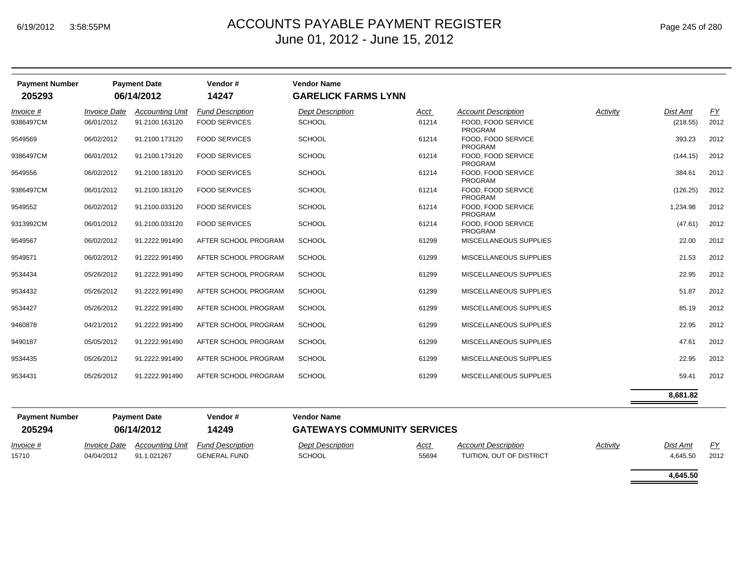| Page 245 of 280 |  |  |
|-----------------|--|--|
|-----------------|--|--|

**4,645.50**

| <b>Payment Number</b><br>205293 |                     | <b>Payment Date</b><br>06/14/2012 | Vendor#<br>14247        | <b>Vendor Name</b><br><b>GARELICK FARMS LYNN</b> |             |                                      |                 |          |           |
|---------------------------------|---------------------|-----------------------------------|-------------------------|--------------------------------------------------|-------------|--------------------------------------|-----------------|----------|-----------|
| Invoice #                       | <b>Invoice Date</b> | <b>Accounting Unit</b>            | <b>Fund Description</b> | <b>Dept Description</b>                          | Acct        | <b>Account Description</b>           | <b>Activity</b> | Dist Amt | <u>FY</u> |
| 9386497CM                       | 06/01/2012          | 91.2100.163120                    | <b>FOOD SERVICES</b>    | <b>SCHOOL</b>                                    | 61214       | FOOD, FOOD SERVICE<br><b>PROGRAM</b> |                 | (218.55) | 2012      |
| 9549569                         | 06/02/2012          | 91.2100.173120                    | <b>FOOD SERVICES</b>    | <b>SCHOOL</b>                                    | 61214       | FOOD. FOOD SERVICE<br>PROGRAM        |                 | 393.23   | 2012      |
| 9386497CM                       | 06/01/2012          | 91.2100.173120                    | <b>FOOD SERVICES</b>    | SCHOOL                                           | 61214       | FOOD, FOOD SERVICE<br><b>PROGRAM</b> |                 | (144.15) | 2012      |
| 9549556                         | 06/02/2012          | 91.2100.183120                    | <b>FOOD SERVICES</b>    | <b>SCHOOL</b>                                    | 61214       | FOOD, FOOD SERVICE<br><b>PROGRAM</b> |                 | 384.61   | 2012      |
| 9386497CM                       | 06/01/2012          | 91.2100.183120                    | <b>FOOD SERVICES</b>    | <b>SCHOOL</b>                                    | 61214       | FOOD, FOOD SERVICE<br>PROGRAM        |                 | (126.25) | 2012      |
| 9549552                         | 06/02/2012          | 91.2100.033120                    | <b>FOOD SERVICES</b>    | SCHOOL                                           | 61214       | FOOD. FOOD SERVICE<br>PROGRAM        |                 | 1,234.98 | 2012      |
| 9313992CM                       | 06/01/2012          | 91.2100.033120                    | <b>FOOD SERVICES</b>    | <b>SCHOOL</b>                                    | 61214       | FOOD, FOOD SERVICE<br><b>PROGRAM</b> |                 | (47.61)  | 2012      |
| 9549567                         | 06/02/2012          | 91.2222.991490                    | AFTER SCHOOL PROGRAM    | <b>SCHOOL</b>                                    | 61299       | MISCELLANEOUS SUPPLIES               |                 | 22.00    | 2012      |
| 9549571                         | 06/02/2012          | 91.2222.991490                    | AFTER SCHOOL PROGRAM    | <b>SCHOOL</b>                                    | 61299       | <b>MISCELLANEOUS SUPPLIES</b>        |                 | 21.53    | 2012      |
| 9534434                         | 05/26/2012          | 91.2222.991490                    | AFTER SCHOOL PROGRAM    | <b>SCHOOL</b>                                    | 61299       | MISCELLANEOUS SUPPLIES               |                 | 22.95    | 2012      |
| 9534432                         | 05/26/2012          | 91.2222.991490                    | AFTER SCHOOL PROGRAM    | <b>SCHOOL</b>                                    | 61299       | MISCELLANEOUS SUPPLIES               |                 | 51.87    | 2012      |
| 9534427                         | 05/26/2012          | 91.2222.991490                    | AFTER SCHOOL PROGRAM    | <b>SCHOOL</b>                                    | 61299       | MISCELLANEOUS SUPPLIES               |                 | 85.19    | 2012      |
| 9460878                         | 04/21/2012          | 91.2222.991490                    | AFTER SCHOOL PROGRAM    | SCHOOL                                           | 61299       | MISCELLANEOUS SUPPLIES               |                 | 22.95    | 2012      |
| 9490187                         | 05/05/2012          | 91.2222.991490                    | AFTER SCHOOL PROGRAM    | <b>SCHOOL</b>                                    | 61299       | MISCELLANEOUS SUPPLIES               |                 | 47.61    | 2012      |
| 9534435                         | 05/26/2012          | 91.2222.991490                    | AFTER SCHOOL PROGRAM    | <b>SCHOOL</b>                                    | 61299       | MISCELLANEOUS SUPPLIES               |                 | 22.95    | 2012      |
| 9534431                         | 05/26/2012          | 91.2222.991490                    | AFTER SCHOOL PROGRAM    | <b>SCHOOL</b>                                    | 61299       | MISCELLANEOUS SUPPLIES               |                 | 59.41    | 2012      |
|                                 |                     |                                   |                         |                                                  |             |                                      |                 | 8,681.82 |           |
| <b>Payment Number</b>           |                     | <b>Payment Date</b>               | Vendor#                 | <b>Vendor Name</b>                               |             |                                      |                 |          |           |
| 205294                          |                     | 06/14/2012                        | 14249                   | <b>GATEWAYS COMMUNITY SERVICES</b>               |             |                                      |                 |          |           |
| Invoice #                       | <b>Invoice Date</b> | <b>Accounting Unit</b>            | <b>Fund Description</b> | <b>Dept Description</b>                          | <u>Acct</u> | <b>Account Description</b>           | Activity        | Dist Amt | EY        |
| 15710                           | 04/04/2012          | 91.1.021267                       | <b>GENERAL FUND</b>     | SCHOOL                                           | 55694       | TUITION, OUT OF DISTRICT             |                 | 4,645.50 | 2012      |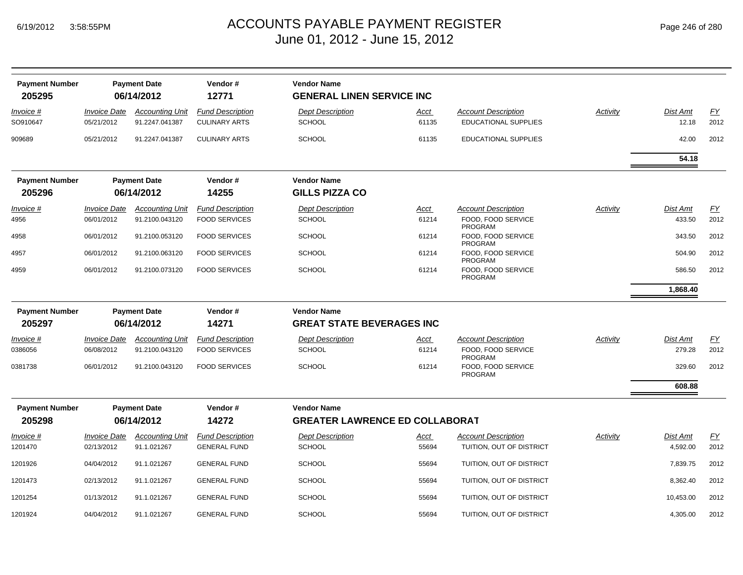| Page 246 of 280 |
|-----------------|
|-----------------|

| <b>Payment Number</b><br>205295 |                                   | <b>Payment Date</b><br>06/14/2012        | Vendor#<br>12771                                | <b>Vendor Name</b><br><b>GENERAL LINEN SERVICE INC</b> |               |                                                    |                 |                   |            |
|---------------------------------|-----------------------------------|------------------------------------------|-------------------------------------------------|--------------------------------------------------------|---------------|----------------------------------------------------|-----------------|-------------------|------------|
| Invoice #<br>SO910647           | <b>Invoice Date</b><br>05/21/2012 | <b>Accounting Unit</b><br>91.2247.041387 | <b>Fund Description</b><br><b>CULINARY ARTS</b> | <b>Dept Description</b><br><b>SCHOOL</b>               | Acct<br>61135 | <b>Account Description</b><br>EDUCATIONAL SUPPLIES | Activity        | Dist Amt<br>12.18 | FΥ<br>2012 |
| 909689                          | 05/21/2012                        | 91.2247.041387                           | <b>CULINARY ARTS</b>                            | <b>SCHOOL</b>                                          | 61135         | <b>EDUCATIONAL SUPPLIES</b>                        |                 | 42.00             | 2012       |
|                                 |                                   |                                          |                                                 |                                                        |               |                                                    |                 | 54.18             |            |
| <b>Payment Number</b>           |                                   | <b>Payment Date</b>                      | Vendor#                                         | <b>Vendor Name</b>                                     |               |                                                    |                 |                   |            |
| 205296                          |                                   | 06/14/2012                               | 14255                                           | <b>GILLS PIZZA CO</b>                                  |               |                                                    |                 |                   |            |
| Invoice #                       | <b>Invoice Date</b>               | <b>Accounting Unit</b>                   | <b>Fund Description</b>                         | <b>Dept Description</b>                                | Acct          | <b>Account Description</b>                         | <b>Activity</b> | Dist Amt          | EY         |
| 4956                            | 06/01/2012                        | 91.2100.043120                           | <b>FOOD SERVICES</b>                            | <b>SCHOOL</b>                                          | 61214         | FOOD, FOOD SERVICE<br><b>PROGRAM</b>               |                 | 433.50            | 2012       |
| 4958                            | 06/01/2012                        | 91.2100.053120                           | <b>FOOD SERVICES</b>                            | <b>SCHOOL</b>                                          | 61214         | FOOD, FOOD SERVICE<br>PROGRAM                      |                 | 343.50            | 2012       |
| 4957                            | 06/01/2012                        | 91.2100.063120                           | <b>FOOD SERVICES</b>                            | <b>SCHOOL</b>                                          | 61214         | FOOD. FOOD SERVICE<br>PROGRAM                      |                 | 504.90            | 2012       |
| 4959                            | 06/01/2012                        | 91.2100.073120                           | <b>FOOD SERVICES</b>                            | <b>SCHOOL</b>                                          | 61214         | FOOD, FOOD SERVICE<br>PROGRAM                      |                 | 586.50            | 2012       |
|                                 |                                   |                                          |                                                 |                                                        |               |                                                    |                 | 1,868.40          |            |
| <b>Payment Number</b>           |                                   | <b>Payment Date</b>                      | Vendor#                                         | <b>Vendor Name</b>                                     |               |                                                    |                 |                   |            |
| 205297                          |                                   | 06/14/2012                               | 14271                                           | <b>GREAT STATE BEVERAGES INC</b>                       |               |                                                    |                 |                   |            |
| Invoice #                       | <b>Invoice Date</b>               | <b>Accounting Unit</b>                   | <b>Fund Description</b>                         | <b>Dept Description</b>                                | Acct          | <b>Account Description</b>                         | <b>Activity</b> | Dist Amt          | EY         |
| 0386056                         | 06/08/2012                        | 91.2100.043120                           | <b>FOOD SERVICES</b>                            | <b>SCHOOL</b>                                          | 61214         | FOOD, FOOD SERVICE<br><b>PROGRAM</b>               |                 | 279.28            | 2012       |
| 0381738                         | 06/01/2012                        | 91.2100.043120                           | <b>FOOD SERVICES</b>                            | <b>SCHOOL</b>                                          | 61214         | FOOD, FOOD SERVICE<br>PROGRAM                      |                 | 329.60            | 2012       |
|                                 |                                   |                                          |                                                 |                                                        |               |                                                    |                 | 608.88            |            |
| <b>Payment Number</b>           |                                   | <b>Payment Date</b>                      | Vendor#                                         | <b>Vendor Name</b>                                     |               |                                                    |                 |                   |            |
| 205298                          |                                   | 06/14/2012                               | 14272                                           | <b>GREATER LAWRENCE ED COLLABORAT</b>                  |               |                                                    |                 |                   |            |
| Invoice #                       | <b>Invoice Date</b>               | <b>Accounting Unit</b>                   | <b>Fund Description</b>                         | <b>Dept Description</b>                                | Acct          | Account Description                                | Activity        | Dist Amt          | FΥ         |
| 1201470                         | 02/13/2012                        | 91.1.021267                              | <b>GENERAL FUND</b>                             | <b>SCHOOL</b>                                          | 55694         | TUITION, OUT OF DISTRICT                           |                 | 4,592.00          | 2012       |
| 1201926                         | 04/04/2012                        | 91.1.021267                              | <b>GENERAL FUND</b>                             | <b>SCHOOL</b>                                          | 55694         | TUITION, OUT OF DISTRICT                           |                 | 7,839.75          | 2012       |
| 1201473                         | 02/13/2012                        | 91.1.021267                              | <b>GENERAL FUND</b>                             | <b>SCHOOL</b>                                          | 55694         | TUITION, OUT OF DISTRICT                           |                 | 8,362.40          | 2012       |
| 1201254                         | 01/13/2012                        | 91.1.021267                              | <b>GENERAL FUND</b>                             | <b>SCHOOL</b>                                          | 55694         | TUITION, OUT OF DISTRICT                           |                 | 10,453.00         | 2012       |
| 1201924                         | 04/04/2012                        | 91.1.021267                              | <b>GENERAL FUND</b>                             | <b>SCHOOL</b>                                          | 55694         | TUITION, OUT OF DISTRICT                           |                 | 4,305.00          | 2012       |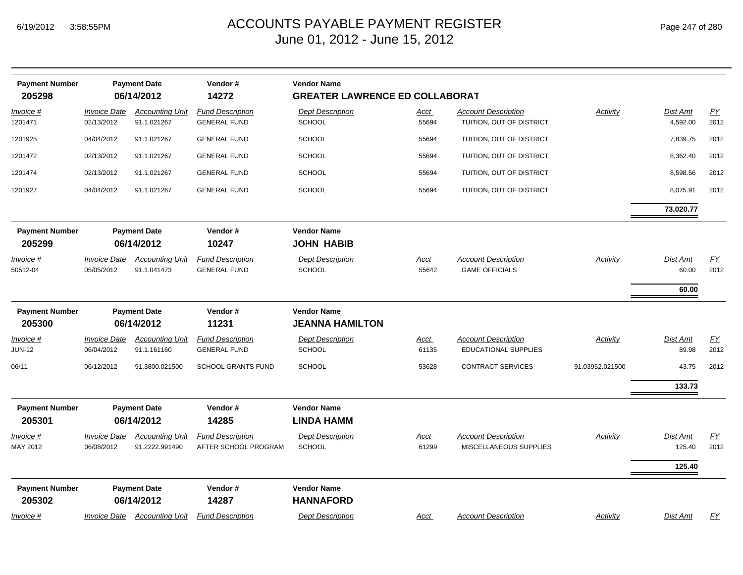| <b>Payment Number</b><br>205298 |                     | <b>Payment Date</b><br>06/14/2012   | Vendor#<br>14272          | <b>Vendor Name</b><br><b>GREATER LAWRENCE ED COLLABORAT</b> |             |                             |                 |           |                  |
|---------------------------------|---------------------|-------------------------------------|---------------------------|-------------------------------------------------------------|-------------|-----------------------------|-----------------|-----------|------------------|
| Invoice #                       | <b>Invoice Date</b> | <b>Accounting Unit</b>              | <b>Fund Description</b>   | <b>Dept Description</b>                                     | Acct        | <b>Account Description</b>  | Activity        | Dist Amt  | $\underline{FY}$ |
| 1201471                         | 02/13/2012          | 91.1.021267                         | <b>GENERAL FUND</b>       | <b>SCHOOL</b>                                               | 55694       | TUITION, OUT OF DISTRICT    |                 | 4,592.00  | 2012             |
| 1201925                         | 04/04/2012          | 91.1.021267                         | <b>GENERAL FUND</b>       | <b>SCHOOL</b>                                               | 55694       | TUITION, OUT OF DISTRICT    |                 | 7,839.75  | 2012             |
| 1201472                         | 02/13/2012          | 91.1.021267                         | <b>GENERAL FUND</b>       | <b>SCHOOL</b>                                               | 55694       | TUITION, OUT OF DISTRICT    |                 | 8,362.40  | 2012             |
| 1201474                         | 02/13/2012          | 91.1.021267                         | <b>GENERAL FUND</b>       | <b>SCHOOL</b>                                               | 55694       | TUITION, OUT OF DISTRICT    |                 | 8,598.56  | 2012             |
| 1201927                         | 04/04/2012          | 91.1.021267                         | <b>GENERAL FUND</b>       | <b>SCHOOL</b>                                               | 55694       | TUITION, OUT OF DISTRICT    |                 | 8,075.91  | 2012             |
|                                 |                     |                                     |                           |                                                             |             |                             |                 | 73,020.77 |                  |
| <b>Payment Number</b>           |                     | <b>Payment Date</b>                 | Vendor#                   | <b>Vendor Name</b>                                          |             |                             |                 |           |                  |
| 205299                          |                     | 06/14/2012                          | 10247                     | <b>JOHN HABIB</b>                                           |             |                             |                 |           |                  |
| Invoice #                       | <b>Invoice Date</b> | <b>Accounting Unit</b>              | <b>Fund Description</b>   | <b>Dept Description</b>                                     | <u>Acct</u> | <b>Account Description</b>  | Activity        | Dist Amt  | EY               |
| 50512-04                        | 05/05/2012          | 91.1.041473                         | <b>GENERAL FUND</b>       | <b>SCHOOL</b>                                               | 55642       | <b>GAME OFFICIALS</b>       |                 | 60.00     | 2012             |
|                                 |                     |                                     |                           |                                                             |             |                             |                 | 60.00     |                  |
| <b>Payment Number</b>           |                     | <b>Payment Date</b>                 | Vendor#                   | <b>Vendor Name</b>                                          |             |                             |                 |           |                  |
| 205300                          |                     | 06/14/2012                          | 11231                     | <b>JEANNA HAMILTON</b>                                      |             |                             |                 |           |                  |
| Invoice #                       | <b>Invoice Date</b> | <b>Accounting Unit</b>              | <b>Fund Description</b>   | <b>Dept Description</b>                                     | <u>Acct</u> | <b>Account Description</b>  | Activity        | Dist Amt  | EY               |
| <b>JUN-12</b>                   | 06/04/2012          | 91.1.161160                         | <b>GENERAL FUND</b>       | <b>SCHOOL</b>                                               | 61135       | <b>EDUCATIONAL SUPPLIES</b> |                 | 89.98     | 2012             |
| 06/11                           | 06/12/2012          | 91.3800.021500                      | <b>SCHOOL GRANTS FUND</b> | <b>SCHOOL</b>                                               | 53628       | <b>CONTRACT SERVICES</b>    | 91.03952.021500 | 43.75     | 2012             |
|                                 |                     |                                     |                           |                                                             |             |                             |                 | 133.73    |                  |
| <b>Payment Number</b>           |                     | <b>Payment Date</b>                 | Vendor#                   | <b>Vendor Name</b>                                          |             |                             |                 |           |                  |
| 205301                          |                     | 06/14/2012                          | 14285                     | <b>LINDA HAMM</b>                                           |             |                             |                 |           |                  |
| Invoice #                       | <b>Invoice Date</b> | <b>Accounting Unit</b>              | <b>Fund Description</b>   | <b>Dept Description</b>                                     | Acct        | <b>Account Description</b>  | Activity        | Dist Amt  | EY               |
| MAY 2012                        | 06/08/2012          | 91.2222.991490                      | AFTER SCHOOL PROGRAM      | <b>SCHOOL</b>                                               | 61299       | MISCELLANEOUS SUPPLIES      |                 | 125.40    | 2012             |
|                                 |                     |                                     |                           |                                                             |             |                             |                 | 125.40    |                  |
| <b>Payment Number</b><br>205302 |                     | <b>Payment Date</b><br>06/14/2012   | Vendor#<br>14287          | <b>Vendor Name</b><br><b>HANNAFORD</b>                      |             |                             |                 |           |                  |
| Invoice #                       |                     | <b>Invoice Date Accounting Unit</b> | <b>Fund Description</b>   | <b>Dept Description</b>                                     | Acct        | <b>Account Description</b>  | Activity        | Dist Amt  | EY               |
|                                 |                     |                                     |                           |                                                             |             |                             |                 |           |                  |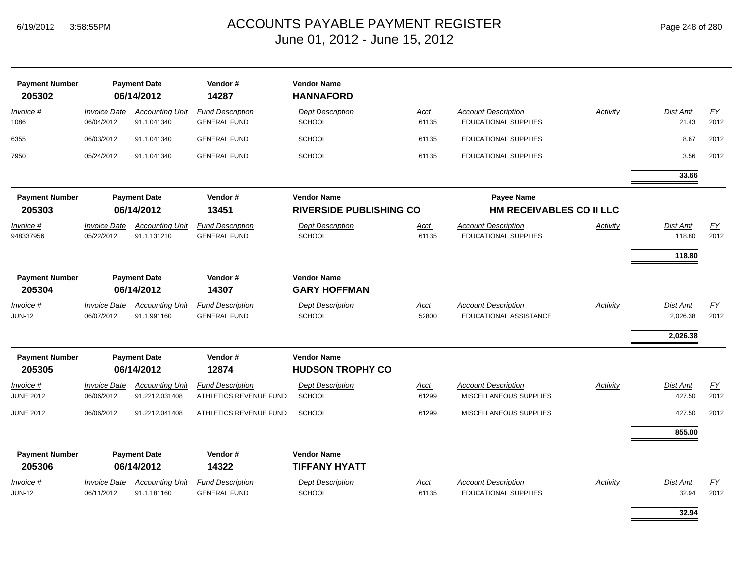| <b>Payment Number</b><br>205302 |                                   | <b>Payment Date</b><br>06/14/2012        | Vendor#<br>14287                                  | <b>Vendor Name</b><br><b>HANNAFORD</b>               |                      |                                                             |                 |                                  |                   |
|---------------------------------|-----------------------------------|------------------------------------------|---------------------------------------------------|------------------------------------------------------|----------------------|-------------------------------------------------------------|-----------------|----------------------------------|-------------------|
| Invoice #<br>1086               | <b>Invoice Date</b><br>06/04/2012 | <b>Accounting Unit</b><br>91.1.041340    | <b>Fund Description</b><br><b>GENERAL FUND</b>    | <b>Dept Description</b><br><b>SCHOOL</b>             | Acct<br>61135        | <b>Account Description</b><br><b>EDUCATIONAL SUPPLIES</b>   | Activity        | Dist Amt<br>21.43                | EY<br>2012        |
| 6355                            | 06/03/2012                        | 91.1.041340                              | <b>GENERAL FUND</b>                               | <b>SCHOOL</b>                                        | 61135                | <b>EDUCATIONAL SUPPLIES</b>                                 |                 | 8.67                             | 2012              |
| 7950                            | 05/24/2012                        | 91.1.041340                              | <b>GENERAL FUND</b>                               | <b>SCHOOL</b>                                        | 61135                | <b>EDUCATIONAL SUPPLIES</b>                                 |                 | 3.56                             | 2012              |
|                                 |                                   |                                          |                                                   |                                                      |                      |                                                             |                 | 33.66                            |                   |
| <b>Payment Number</b><br>205303 |                                   | <b>Payment Date</b><br>06/14/2012        | Vendor#<br>13451                                  | <b>Vendor Name</b><br><b>RIVERSIDE PUBLISHING CO</b> |                      | <b>Payee Name</b><br><b>HM RECEIVABLES CO II LLC</b>        |                 |                                  |                   |
| Invoice #<br>948337956          | <b>Invoice Date</b><br>05/22/2012 | <b>Accounting Unit</b><br>91.1.131210    | <b>Fund Description</b><br><b>GENERAL FUND</b>    | <b>Dept Description</b><br><b>SCHOOL</b>             | Acct<br>61135        | <b>Account Description</b><br><b>EDUCATIONAL SUPPLIES</b>   | Activity        | Dist Amt<br>118.80               | EY<br>2012        |
|                                 |                                   |                                          |                                                   |                                                      |                      |                                                             |                 | 118.80                           |                   |
| <b>Payment Number</b><br>205304 |                                   | <b>Payment Date</b><br>06/14/2012        | Vendor#<br>14307                                  | <b>Vendor Name</b><br><b>GARY HOFFMAN</b>            |                      |                                                             |                 |                                  |                   |
| Invoice #<br><b>JUN-12</b>      | <b>Invoice Date</b><br>06/07/2012 | <b>Accounting Unit</b><br>91.1.991160    | <b>Fund Description</b><br><b>GENERAL FUND</b>    | <b>Dept Description</b><br><b>SCHOOL</b>             | <u>Acct</u><br>52800 | <b>Account Description</b><br><b>EDUCATIONAL ASSISTANCE</b> | <b>Activity</b> | Dist Amt<br>2,026.38<br>2,026.38 | <u>FY</u><br>2012 |
| <b>Payment Number</b><br>205305 |                                   | <b>Payment Date</b><br>06/14/2012        | Vendor#<br>12874                                  | <b>Vendor Name</b><br><b>HUDSON TROPHY CO</b>        |                      |                                                             |                 |                                  |                   |
| Invoice #<br><b>JUNE 2012</b>   | <b>Invoice Date</b><br>06/06/2012 | <b>Accounting Unit</b><br>91.2212.031408 | <b>Fund Description</b><br>ATHLETICS REVENUE FUND | <b>Dept Description</b><br><b>SCHOOL</b>             | <u>Acct</u><br>61299 | <b>Account Description</b><br>MISCELLANEOUS SUPPLIES        | Activity        | Dist Amt<br>427.50               | EY<br>2012        |
| <b>JUNE 2012</b>                | 06/06/2012                        | 91.2212.041408                           | ATHLETICS REVENUE FUND                            | <b>SCHOOL</b>                                        | 61299                | MISCELLANEOUS SUPPLIES                                      |                 | 427.50                           | 2012              |
|                                 |                                   |                                          |                                                   |                                                      |                      |                                                             |                 | 855.00                           |                   |
| <b>Payment Number</b><br>205306 |                                   | <b>Payment Date</b><br>06/14/2012        | Vendor#<br>14322                                  | <b>Vendor Name</b><br><b>TIFFANY HYATT</b>           |                      |                                                             |                 |                                  |                   |
| Invoice #<br><b>JUN-12</b>      | <b>Invoice Date</b><br>06/11/2012 | <b>Accounting Unit</b><br>91.1.181160    | <b>Fund Description</b><br><b>GENERAL FUND</b>    | <b>Dept Description</b><br>SCHOOL                    | Acct<br>61135        | <b>Account Description</b><br><b>EDUCATIONAL SUPPLIES</b>   | Activity        | Dist Amt<br>32.94                | EY<br>2012        |
|                                 |                                   |                                          |                                                   |                                                      |                      |                                                             |                 | 32.94                            |                   |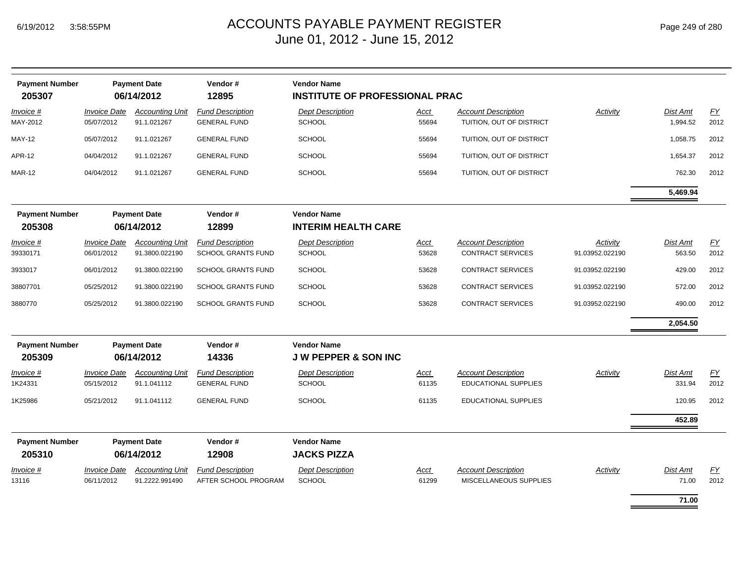|  | Page 249 of 280 |  |  |  |
|--|-----------------|--|--|--|
|--|-----------------|--|--|--|

 $\equiv$ 

| <b>Payment Number</b><br>205307 |                                   | <b>Payment Date</b><br>06/14/2012        | Vendor#<br>12895                                | <b>Vendor Name</b><br><b>INSTITUTE OF PROFESSIONAL PRAC</b> |                      |                                                           |                 |                          |            |
|---------------------------------|-----------------------------------|------------------------------------------|-------------------------------------------------|-------------------------------------------------------------|----------------------|-----------------------------------------------------------|-----------------|--------------------------|------------|
| Invoice #<br>MAY-2012           | <b>Invoice Date</b><br>05/07/2012 | <b>Accounting Unit</b><br>91.1.021267    | <b>Fund Description</b><br><b>GENERAL FUND</b>  | <b>Dept Description</b><br><b>SCHOOL</b>                    | Acct<br>55694        | <b>Account Description</b><br>TUITION, OUT OF DISTRICT    | <b>Activity</b> | Dist Amt<br>1,994.52     | FY<br>2012 |
| <b>MAY-12</b>                   | 05/07/2012                        | 91.1.021267                              | <b>GENERAL FUND</b>                             | SCHOOL                                                      | 55694                | TUITION, OUT OF DISTRICT                                  |                 | 1,058.75                 | 2012       |
| <b>APR-12</b>                   | 04/04/2012                        | 91.1.021267                              | <b>GENERAL FUND</b>                             | <b>SCHOOL</b>                                               | 55694                | TUITION, OUT OF DISTRICT                                  |                 | 1,654.37                 | 2012       |
| <b>MAR-12</b>                   | 04/04/2012                        | 91.1.021267                              | <b>GENERAL FUND</b>                             | SCHOOL                                                      | 55694                | TUITION, OUT OF DISTRICT                                  |                 | 762.30                   | 2012       |
|                                 |                                   |                                          |                                                 |                                                             |                      |                                                           |                 | 5,469.94                 |            |
| <b>Payment Number</b><br>205308 |                                   | <b>Payment Date</b><br>06/14/2012        | Vendor#<br>12899                                | <b>Vendor Name</b><br><b>INTERIM HEALTH CARE</b>            |                      |                                                           |                 |                          |            |
| $Invoice$ #                     | <b>Invoice Date</b>               | <b>Accounting Unit</b>                   | <b>Fund Description</b>                         | <b>Dept Description</b>                                     | Acct                 | <b>Account Description</b>                                | Activity        | <b>Dist Amt</b>          | EY         |
| 39330171                        | 06/01/2012                        | 91.3800.022190                           | <b>SCHOOL GRANTS FUND</b>                       | <b>SCHOOL</b>                                               | 53628                | <b>CONTRACT SERVICES</b>                                  | 91.03952.022190 | 563.50                   | 2012       |
| 3933017                         | 06/01/2012                        | 91.3800.022190                           | <b>SCHOOL GRANTS FUND</b>                       | <b>SCHOOL</b>                                               | 53628                | <b>CONTRACT SERVICES</b>                                  | 91.03952.022190 | 429.00                   | 2012       |
| 38807701                        | 05/25/2012                        | 91.3800.022190                           | <b>SCHOOL GRANTS FUND</b>                       | SCHOOL                                                      | 53628                | <b>CONTRACT SERVICES</b>                                  | 91.03952.022190 | 572.00                   | 2012       |
| 3880770                         | 05/25/2012                        | 91.3800.022190                           | <b>SCHOOL GRANTS FUND</b>                       | <b>SCHOOL</b>                                               | 53628                | <b>CONTRACT SERVICES</b>                                  | 91.03952.022190 | 490.00                   | 2012       |
|                                 |                                   |                                          |                                                 |                                                             |                      |                                                           |                 | 2,054.50                 |            |
| <b>Payment Number</b><br>205309 |                                   | <b>Payment Date</b><br>06/14/2012        | Vendor#<br>14336                                | <b>Vendor Name</b><br><b>JW PEPPER &amp; SON INC</b>        |                      |                                                           |                 |                          |            |
| Invoice #<br>1K24331            | <b>Invoice Date</b><br>05/15/2012 | <b>Accounting Unit</b><br>91.1.041112    | <b>Fund Description</b><br><b>GENERAL FUND</b>  | <b>Dept Description</b><br><b>SCHOOL</b>                    | <b>Acct</b><br>61135 | <b>Account Description</b><br><b>EDUCATIONAL SUPPLIES</b> | Activity        | Dist Amt<br>331.94       | EY<br>2012 |
| 1K25986                         | 05/21/2012                        | 91.1.041112                              | <b>GENERAL FUND</b>                             | <b>SCHOOL</b>                                               | 61135                | <b>EDUCATIONAL SUPPLIES</b>                               |                 | 120.95                   | 2012       |
|                                 |                                   |                                          |                                                 |                                                             |                      |                                                           |                 | 452.89                   |            |
| <b>Payment Number</b><br>205310 |                                   | <b>Payment Date</b><br>06/14/2012        | Vendor#<br>12908                                | <b>Vendor Name</b><br><b>JACKS PIZZA</b>                    |                      |                                                           |                 |                          |            |
| Invoice #<br>13116              | <b>Invoice Date</b><br>06/11/2012 | <b>Accounting Unit</b><br>91.2222.991490 | <b>Fund Description</b><br>AFTER SCHOOL PROGRAM | <b>Dept Description</b><br><b>SCHOOL</b>                    | Acct<br>61299        | <b>Account Description</b><br>MISCELLANEOUS SUPPLIES      | Activity        | <b>Dist Amt</b><br>71.00 | EY<br>2012 |
|                                 |                                   |                                          |                                                 |                                                             |                      |                                                           |                 | 71.00                    |            |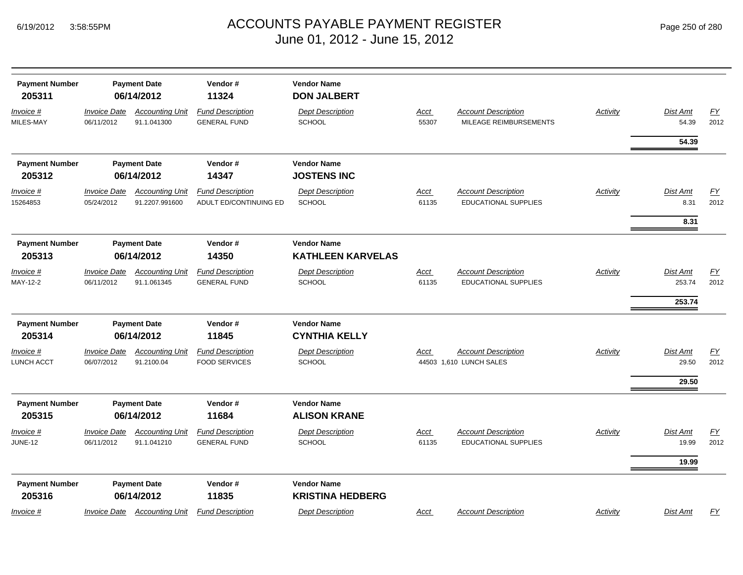| Page 250 of 280 |  |  |  |  |  |
|-----------------|--|--|--|--|--|
|-----------------|--|--|--|--|--|

| <b>Payment Number</b><br>205311<br>Invoice #<br>MILES-MAY | <b>Invoice Date</b><br>06/11/2012 | <b>Payment Date</b><br>06/14/2012<br><b>Accounting Unit</b><br>91.1.041300 | Vendor#<br>11324<br><b>Fund Description</b><br><b>GENERAL FUND</b> | <b>Vendor Name</b><br><b>DON JALBERT</b><br><b>Dept Description</b><br><b>SCHOOL</b> | Acct<br>55307        | <b>Account Description</b><br>MILEAGE REIMBURSEMENTS      | Activity        | Dist Amt<br>54.39        | EY<br>2012               |
|-----------------------------------------------------------|-----------------------------------|----------------------------------------------------------------------------|--------------------------------------------------------------------|--------------------------------------------------------------------------------------|----------------------|-----------------------------------------------------------|-----------------|--------------------------|--------------------------|
|                                                           |                                   |                                                                            |                                                                    |                                                                                      |                      |                                                           |                 | 54.39                    |                          |
| <b>Payment Number</b>                                     |                                   | <b>Payment Date</b>                                                        | Vendor#                                                            | <b>Vendor Name</b>                                                                   |                      |                                                           |                 |                          |                          |
| 205312                                                    | 06/14/2012                        |                                                                            | 14347                                                              | <b>JOSTENS INC</b>                                                                   |                      |                                                           |                 |                          |                          |
| Invoice #<br>15264853                                     | <b>Invoice Date</b><br>05/24/2012 | <b>Accounting Unit</b><br>91.2207.991600                                   | <b>Fund Description</b><br>ADULT ED/CONTINUING ED                  | <b>Dept Description</b><br>SCHOOL                                                    | <b>Acct</b><br>61135 | <b>Account Description</b><br><b>EDUCATIONAL SUPPLIES</b> | <b>Activity</b> | Dist Amt<br>8.31         | $\underline{FY}$<br>2012 |
|                                                           |                                   |                                                                            |                                                                    |                                                                                      |                      |                                                           |                 | 8.31                     |                          |
| <b>Payment Number</b><br>205313                           |                                   | <b>Payment Date</b><br>06/14/2012                                          | Vendor#<br>14350                                                   | <b>Vendor Name</b><br><b>KATHLEEN KARVELAS</b>                                       |                      |                                                           |                 |                          |                          |
| Invoice #                                                 | <b>Invoice Date</b>               | <b>Accounting Unit</b>                                                     | <b>Fund Description</b>                                            | <b>Dept Description</b>                                                              | Acct                 | <b>Account Description</b>                                | Activity        | Dist Amt                 | EY                       |
| MAY-12-2                                                  | 06/11/2012                        | 91.1.061345                                                                | <b>GENERAL FUND</b>                                                | <b>SCHOOL</b>                                                                        | 61135                | <b>EDUCATIONAL SUPPLIES</b>                               |                 | 253.74                   | 2012                     |
|                                                           |                                   |                                                                            |                                                                    |                                                                                      |                      |                                                           |                 | 253.74                   |                          |
| <b>Payment Number</b>                                     |                                   | <b>Payment Date</b>                                                        | Vendor#                                                            | <b>Vendor Name</b>                                                                   |                      |                                                           |                 |                          |                          |
| 205314                                                    |                                   | 06/14/2012                                                                 | 11845                                                              | <b>CYNTHIA KELLY</b>                                                                 |                      |                                                           |                 |                          |                          |
| $Invoice$ #<br>LUNCH ACCT                                 | <b>Invoice Date</b><br>06/07/2012 | <b>Accounting Unit</b><br>91.2100.04                                       | <b>Fund Description</b><br><b>FOOD SERVICES</b>                    | <b>Dept Description</b><br><b>SCHOOL</b>                                             | Acct                 | <b>Account Description</b><br>44503 1,610 LUNCH SALES     | Activity        | <b>Dist Amt</b><br>29.50 | $\underline{FY}$<br>2012 |
|                                                           |                                   |                                                                            |                                                                    |                                                                                      |                      |                                                           |                 | 29.50                    |                          |
| <b>Payment Number</b><br>205315                           |                                   | <b>Payment Date</b><br>06/14/2012                                          | Vendor#<br>11684                                                   | <b>Vendor Name</b><br><b>ALISON KRANE</b>                                            |                      |                                                           |                 |                          |                          |
| Invoice #<br><b>JUNE-12</b>                               | <b>Invoice Date</b><br>06/11/2012 | <b>Accounting Unit</b><br>91.1.041210                                      | <b>Fund Description</b><br><b>GENERAL FUND</b>                     | <b>Dept Description</b><br><b>SCHOOL</b>                                             | Acct<br>61135        | <b>Account Description</b><br><b>EDUCATIONAL SUPPLIES</b> | Activity        | Dist Amt<br>19.99        | EY<br>2012               |
|                                                           |                                   |                                                                            |                                                                    |                                                                                      |                      |                                                           |                 | 19.99                    |                          |
| <b>Payment Number</b><br>205316                           | <b>Payment Date</b><br>06/14/2012 |                                                                            | Vendor#<br>11835                                                   | <b>Vendor Name</b><br><b>KRISTINA HEDBERG</b>                                        |                      |                                                           |                 |                          |                          |
| $Invoice$ #                                               | <b>Invoice Date</b>               | <b>Accounting Unit</b>                                                     | <b>Fund Description</b>                                            | <b>Dept Description</b>                                                              | Acct                 | <b>Account Description</b>                                | Activity        | <b>Dist Amt</b>          | $\underline{FY}$         |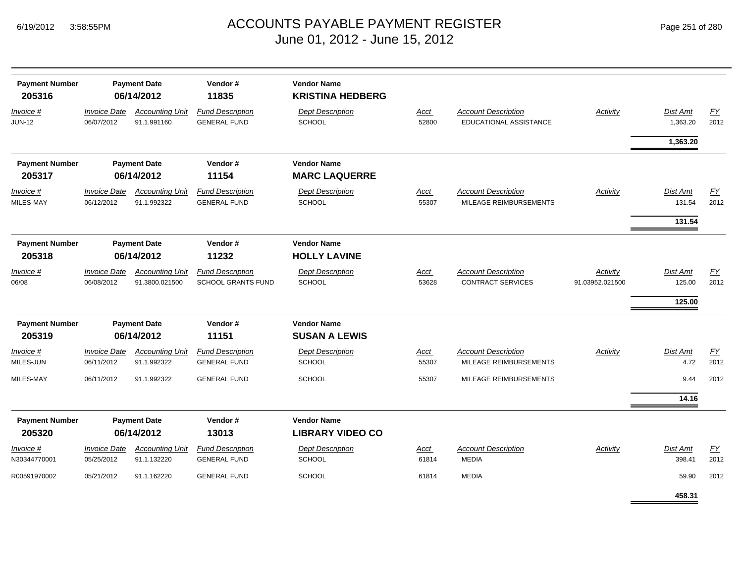| <b>Payment Number</b><br>205316 | <b>Payment Date</b><br>06/14/2012 |                                          | Vendor#<br>11835                                     | <b>Vendor Name</b><br><b>KRISTINA HEDBERG</b> |                      |                                                             |                             |                      |                          |
|---------------------------------|-----------------------------------|------------------------------------------|------------------------------------------------------|-----------------------------------------------|----------------------|-------------------------------------------------------------|-----------------------------|----------------------|--------------------------|
| Invoice #<br><b>JUN-12</b>      | <b>Invoice Date</b><br>06/07/2012 | <b>Accounting Unit</b><br>91.1.991160    | <b>Fund Description</b><br><b>GENERAL FUND</b>       | <b>Dept Description</b><br><b>SCHOOL</b>      | Acct<br>52800        | <b>Account Description</b><br><b>EDUCATIONAL ASSISTANCE</b> | <b>Activity</b>             | Dist Amt<br>1,363.20 | EY<br>2012               |
|                                 |                                   |                                          |                                                      |                                               |                      |                                                             |                             | 1,363.20             |                          |
| <b>Payment Number</b>           |                                   | <b>Payment Date</b>                      | Vendor#                                              | <b>Vendor Name</b>                            |                      |                                                             |                             |                      |                          |
| 205317                          |                                   | 06/14/2012                               | 11154                                                | <b>MARC LAQUERRE</b>                          |                      |                                                             |                             |                      |                          |
| Invoice #<br>MILES-MAY          | <b>Invoice Date</b><br>06/12/2012 | <b>Accounting Unit</b><br>91.1.992322    | <b>Fund Description</b><br><b>GENERAL FUND</b>       | <b>Dept Description</b><br><b>SCHOOL</b>      | <b>Acct</b><br>55307 | <b>Account Description</b><br>MILEAGE REIMBURSEMENTS        | <b>Activity</b>             | Dist Amt<br>131.54   | $\underline{FY}$<br>2012 |
|                                 |                                   |                                          |                                                      |                                               |                      |                                                             |                             | 131.54               |                          |
| <b>Payment Number</b>           |                                   | <b>Payment Date</b>                      | Vendor#                                              | <b>Vendor Name</b>                            |                      |                                                             |                             |                      |                          |
| 205318                          |                                   | 06/14/2012                               | 11232                                                | <b>HOLLY LAVINE</b>                           |                      |                                                             |                             |                      |                          |
| Invoice #<br>06/08              | <b>Invoice Date</b><br>06/08/2012 | <b>Accounting Unit</b><br>91.3800.021500 | <b>Fund Description</b><br><b>SCHOOL GRANTS FUND</b> | <b>Dept Description</b><br><b>SCHOOL</b>      | <b>Acct</b><br>53628 | <b>Account Description</b><br><b>CONTRACT SERVICES</b>      | Activity<br>91.03952.021500 | Dist Amt<br>125.00   | EY<br>2012               |
|                                 |                                   |                                          |                                                      |                                               |                      |                                                             |                             | 125.00               |                          |
| <b>Payment Number</b>           |                                   | <b>Payment Date</b>                      | Vendor#                                              | <b>Vendor Name</b>                            |                      |                                                             |                             |                      |                          |
| 205319                          |                                   | 06/14/2012                               | 11151                                                | <b>SUSAN A LEWIS</b>                          |                      |                                                             |                             |                      |                          |
| Invoice #<br>MILES-JUN          | <b>Invoice Date</b><br>06/11/2012 | <b>Accounting Unit</b><br>91.1.992322    | <b>Fund Description</b><br><b>GENERAL FUND</b>       | <b>Dept Description</b><br><b>SCHOOL</b>      | <b>Acct</b><br>55307 | <b>Account Description</b><br>MILEAGE REIMBURSEMENTS        | <b>Activity</b>             | Dist Amt<br>4.72     | EY<br>2012               |
| MILES-MAY                       | 06/11/2012                        | 91.1.992322                              | <b>GENERAL FUND</b>                                  | SCHOOL                                        | 55307                | MILEAGE REIMBURSEMENTS                                      |                             | 9.44                 | 2012                     |
|                                 |                                   |                                          |                                                      |                                               |                      |                                                             |                             | 14.16                |                          |
| <b>Payment Number</b><br>205320 | <b>Payment Date</b><br>06/14/2012 |                                          | Vendor#<br>13013                                     | <b>Vendor Name</b><br><b>LIBRARY VIDEO CO</b> |                      |                                                             |                             |                      |                          |
| Invoice #<br>N30344770001       | <b>Invoice Date</b><br>05/25/2012 | <b>Accounting Unit</b><br>91.1.132220    | <b>Fund Description</b><br><b>GENERAL FUND</b>       | <b>Dept Description</b><br><b>SCHOOL</b>      | Acct<br>61814        | <b>Account Description</b><br><b>MEDIA</b>                  | <b>Activity</b>             | Dist Amt<br>398.41   | EY<br>2012               |
| R00591970002                    | 05/21/2012                        | 91.1.162220                              | <b>GENERAL FUND</b>                                  | <b>SCHOOL</b>                                 | 61814                | <b>MEDIA</b>                                                |                             | 59.90                | 2012                     |
|                                 |                                   |                                          |                                                      |                                               |                      |                                                             |                             | 458.31               |                          |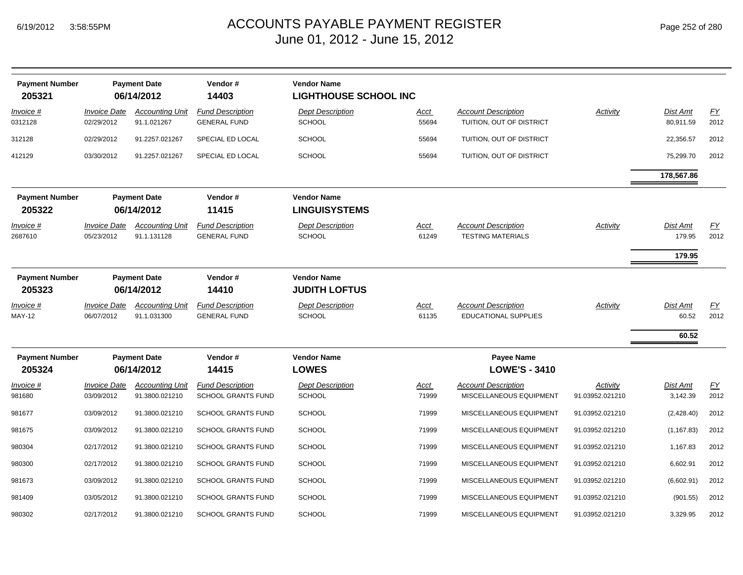|  | Page 252 of 280 |  |  |  |
|--|-----------------|--|--|--|
|--|-----------------|--|--|--|

| <b>Payment Number</b><br>205321 |                                          | <b>Payment Date</b><br>06/14/2012        | Vendor#<br>14403                                     | <b>Vendor Name</b><br><b>LIGHTHOUSE SCHOOL INC</b> |                      |                                                           |                             |                             |                          |
|---------------------------------|------------------------------------------|------------------------------------------|------------------------------------------------------|----------------------------------------------------|----------------------|-----------------------------------------------------------|-----------------------------|-----------------------------|--------------------------|
| Invoice #<br>0312128            | <i><b>Invoice Date</b></i><br>02/29/2012 | <b>Accounting Unit</b><br>91.1.021267    | <b>Fund Description</b><br><b>GENERAL FUND</b>       | <b>Dept Description</b><br><b>SCHOOL</b>           | <u>Acct</u><br>55694 | <b>Account Description</b><br>TUITION, OUT OF DISTRICT    | Activity                    | Dist Amt<br>80,911.59       | EY<br>2012               |
| 312128                          | 02/29/2012                               | 91.2257.021267                           | SPECIAL ED LOCAL                                     | <b>SCHOOL</b>                                      | 55694                | TUITION, OUT OF DISTRICT                                  |                             | 22,356.57                   | 2012                     |
| 412129                          | 03/30/2012                               | 91.2257.021267                           | SPECIAL ED LOCAL                                     | <b>SCHOOL</b>                                      | 55694                | TUITION, OUT OF DISTRICT                                  |                             | 75,299.70                   | 2012                     |
|                                 |                                          |                                          |                                                      |                                                    |                      |                                                           |                             | 178,567.86                  |                          |
| <b>Payment Number</b><br>205322 |                                          | <b>Payment Date</b><br>06/14/2012        | Vendor#<br>11415                                     | <b>Vendor Name</b><br><b>LINGUISYSTEMS</b>         |                      |                                                           |                             |                             |                          |
| <u>Invoice #</u><br>2687610     | <b>Invoice Date</b><br>05/23/2012        | <b>Accounting Unit</b><br>91.1.131128    | <b>Fund Description</b><br><b>GENERAL FUND</b>       | <b>Dept Description</b><br><b>SCHOOL</b>           | <u>Acct</u><br>61249 | <b>Account Description</b><br><b>TESTING MATERIALS</b>    | Activity                    | Dist Amt<br>179.95          | EY<br>2012               |
|                                 |                                          |                                          |                                                      |                                                    |                      |                                                           |                             | 179.95                      |                          |
| <b>Payment Number</b><br>205323 |                                          | <b>Payment Date</b><br>06/14/2012        | Vendor#<br>14410                                     | <b>Vendor Name</b><br><b>JUDITH LOFTUS</b>         |                      |                                                           |                             |                             |                          |
| Invoice #<br><b>MAY-12</b>      | <b>Invoice Date</b><br>06/07/2012        | <b>Accounting Unit</b><br>91.1.031300    | <b>Fund Description</b><br><b>GENERAL FUND</b>       | <b>Dept Description</b><br><b>SCHOOL</b>           | <u>Acct</u><br>61135 | <b>Account Description</b><br><b>EDUCATIONAL SUPPLIES</b> | Activity                    | Dist Amt<br>60.52           | EY<br>2012               |
|                                 |                                          |                                          |                                                      |                                                    |                      |                                                           |                             | 60.52                       |                          |
| <b>Payment Number</b><br>205324 | <b>Payment Date</b><br>06/14/2012        |                                          | Vendor#<br>14415                                     | <b>Vendor Name</b><br><b>LOWES</b>                 |                      | Payee Name<br><b>LOWE'S - 3410</b>                        |                             |                             |                          |
| <u>Invoice #</u><br>981680      | <b>Invoice Date</b><br>03/09/2012        | <b>Accounting Unit</b><br>91.3800.021210 | <b>Fund Description</b><br><b>SCHOOL GRANTS FUND</b> | <b>Dept Description</b><br><b>SCHOOL</b>           | <u>Acct</u><br>71999 | <b>Account Description</b><br>MISCELLANEOUS EQUIPMENT     | Activity<br>91.03952.021210 | <b>Dist Amt</b><br>3,142.39 | $\underline{FY}$<br>2012 |
| 981677                          | 03/09/2012                               | 91.3800.021210                           | <b>SCHOOL GRANTS FUND</b>                            | <b>SCHOOL</b>                                      | 71999                | MISCELLANEOUS EQUIPMENT                                   | 91.03952.021210             | (2,428.40)                  | 2012                     |
| 981675                          | 03/09/2012                               | 91.3800.021210                           | <b>SCHOOL GRANTS FUND</b>                            | <b>SCHOOL</b>                                      | 71999                | MISCELLANEOUS EQUIPMENT                                   | 91.03952.021210             | (1, 167.83)                 | 2012                     |
| 980304                          | 02/17/2012                               | 91.3800.021210                           | <b>SCHOOL GRANTS FUND</b>                            | <b>SCHOOL</b>                                      | 71999                | MISCELLANEOUS EQUIPMENT                                   | 91.03952.021210             | 1,167.83                    | 2012                     |
| 980300                          | 02/17/2012                               | 91.3800.021210                           | SCHOOL GRANTS FUND                                   | <b>SCHOOL</b>                                      | 71999                | MISCELLANEOUS EQUIPMENT                                   | 91.03952.021210             | 6,602.91                    | 2012                     |
| 981673                          | 03/09/2012                               | 91.3800.021210                           | <b>SCHOOL GRANTS FUND</b>                            | <b>SCHOOL</b>                                      | 71999                | MISCELLANEOUS EQUIPMENT                                   | 91.03952.021210             | (6,602.91)                  | 2012                     |
| 981409                          | 03/05/2012                               | 91.3800.021210                           | <b>SCHOOL GRANTS FUND</b>                            | <b>SCHOOL</b>                                      | 71999                | MISCELLANEOUS EQUIPMENT                                   | 91.03952.021210             | (901.55)                    | 2012                     |
| 980302                          | 02/17/2012                               | 91.3800.021210                           | <b>SCHOOL GRANTS FUND</b>                            | <b>SCHOOL</b>                                      | 71999                | MISCELLANEOUS EQUIPMENT                                   | 91.03952.021210             | 3,329.95                    | 2012                     |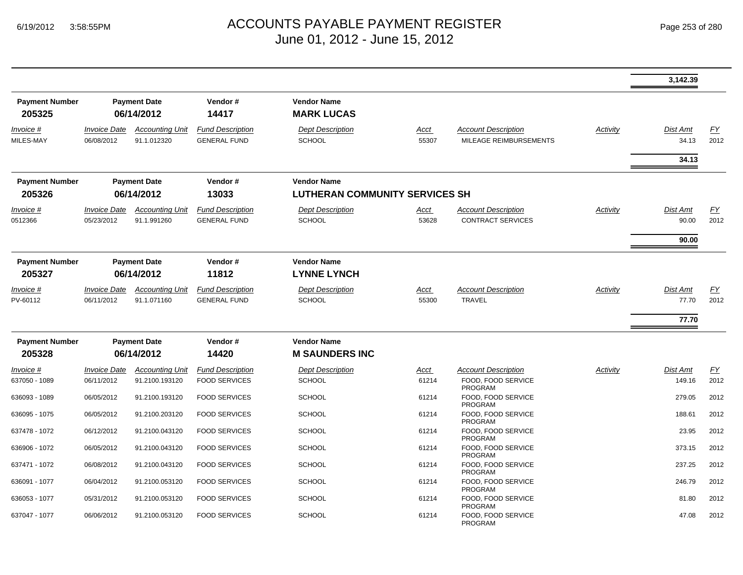|                                 |                                   |                                       |                                                |                                                             |                      |                                                        |          | 3,142.39                   |            |
|---------------------------------|-----------------------------------|---------------------------------------|------------------------------------------------|-------------------------------------------------------------|----------------------|--------------------------------------------------------|----------|----------------------------|------------|
| <b>Payment Number</b><br>205325 |                                   | <b>Payment Date</b><br>06/14/2012     | Vendor#<br>14417                               | <b>Vendor Name</b><br><b>MARK LUCAS</b>                     |                      |                                                        |          |                            |            |
| Invoice #<br>MILES-MAY          | <b>Invoice Date</b><br>06/08/2012 | <b>Accounting Unit</b><br>91.1.012320 | <b>Fund Description</b><br><b>GENERAL FUND</b> | <b>Dept Description</b><br><b>SCHOOL</b>                    | Acct<br>55307        | <b>Account Description</b><br>MILEAGE REIMBURSEMENTS   | Activity | Dist Amt<br>34.13<br>34.13 | FY<br>2012 |
| <b>Payment Number</b><br>205326 |                                   | <b>Payment Date</b><br>06/14/2012     | Vendor#<br>13033                               | <b>Vendor Name</b><br><b>LUTHERAN COMMUNITY SERVICES SH</b> |                      |                                                        |          |                            |            |
| Invoice #<br>0512366            | <b>Invoice Date</b><br>05/23/2012 | <b>Accounting Unit</b><br>91.1.991260 | <b>Fund Description</b><br><b>GENERAL FUND</b> | <b>Dept Description</b><br><b>SCHOOL</b>                    | <u>Acct</u><br>53628 | <b>Account Description</b><br><b>CONTRACT SERVICES</b> | Activity | Dist Amt<br>90.00          | EY<br>2012 |
|                                 |                                   |                                       |                                                |                                                             |                      |                                                        |          | 90.00                      |            |
| <b>Payment Number</b><br>205327 |                                   | <b>Payment Date</b><br>06/14/2012     | Vendor#<br>11812                               | <b>Vendor Name</b><br><b>LYNNE LYNCH</b>                    |                      |                                                        |          |                            |            |
| Invoice #<br>PV-60112           | <b>Invoice Date</b><br>06/11/2012 | <b>Accounting Unit</b><br>91.1.071160 | <b>Fund Description</b><br><b>GENERAL FUND</b> | <b>Dept Description</b><br><b>SCHOOL</b>                    | Acct<br>55300        | <b>Account Description</b><br><b>TRAVEL</b>            | Activity | Dist Amt<br>77.70          | EY<br>2012 |
|                                 |                                   |                                       |                                                |                                                             |                      |                                                        |          | 77.70                      |            |
| <b>Payment Number</b><br>205328 |                                   | <b>Payment Date</b><br>06/14/2012     | Vendor#<br>14420                               | <b>Vendor Name</b><br><b>M SAUNDERS INC</b>                 |                      |                                                        |          |                            |            |
| Invoice #                       | <b>Invoice Date</b>               | <b>Accounting Unit</b>                | <b>Fund Description</b>                        | <b>Dept Description</b>                                     | Acct                 | <b>Account Description</b>                             | Activity | Dist Amt                   | <u>FY</u>  |
| 637050 - 1089                   | 06/11/2012                        | 91.2100.193120                        | <b>FOOD SERVICES</b>                           | <b>SCHOOL</b>                                               | 61214                | FOOD, FOOD SERVICE<br>PROGRAM                          |          | 149.16                     | 2012       |
| 636093 - 1089                   | 06/05/2012                        | 91.2100.193120                        | <b>FOOD SERVICES</b>                           | <b>SCHOOL</b>                                               | 61214                | FOOD, FOOD SERVICE<br><b>PROGRAM</b>                   |          | 279.05                     | 2012       |
| 636095 - 1075                   | 06/05/2012                        | 91.2100.203120                        | <b>FOOD SERVICES</b>                           | <b>SCHOOL</b>                                               | 61214                | FOOD, FOOD SERVICE<br>PROGRAM                          |          | 188.61                     | 2012       |
| 637478 - 1072                   | 06/12/2012                        | 91.2100.043120                        | <b>FOOD SERVICES</b>                           | <b>SCHOOL</b>                                               | 61214                | FOOD, FOOD SERVICE<br><b>PROGRAM</b>                   |          | 23.95                      | 2012       |
| 636906 - 1072                   | 06/05/2012                        | 91.2100.043120                        | <b>FOOD SERVICES</b>                           | <b>SCHOOL</b>                                               | 61214                | FOOD, FOOD SERVICE<br><b>PROGRAM</b>                   |          | 373.15                     | 2012       |
| 637471 - 1072                   | 06/08/2012                        | 91.2100.043120                        | <b>FOOD SERVICES</b>                           | <b>SCHOOL</b>                                               | 61214                | FOOD. FOOD SERVICE<br><b>PROGRAM</b>                   |          | 237.25                     | 2012       |
| 636091 - 1077                   | 06/04/2012                        | 91.2100.053120                        | <b>FOOD SERVICES</b>                           | <b>SCHOOL</b>                                               | 61214                | FOOD. FOOD SERVICE<br><b>PROGRAM</b>                   |          | 246.79                     | 2012       |
| 636053 - 1077                   | 05/31/2012                        | 91.2100.053120                        | <b>FOOD SERVICES</b>                           | <b>SCHOOL</b>                                               | 61214                | FOOD. FOOD SERVICE<br>PROGRAM                          |          | 81.80                      | 2012       |
| 637047 - 1077                   | 06/06/2012                        | 91.2100.053120                        | <b>FOOD SERVICES</b>                           | <b>SCHOOL</b>                                               | 61214                | FOOD. FOOD SERVICE<br>PROGRAM                          |          | 47.08                      | 2012       |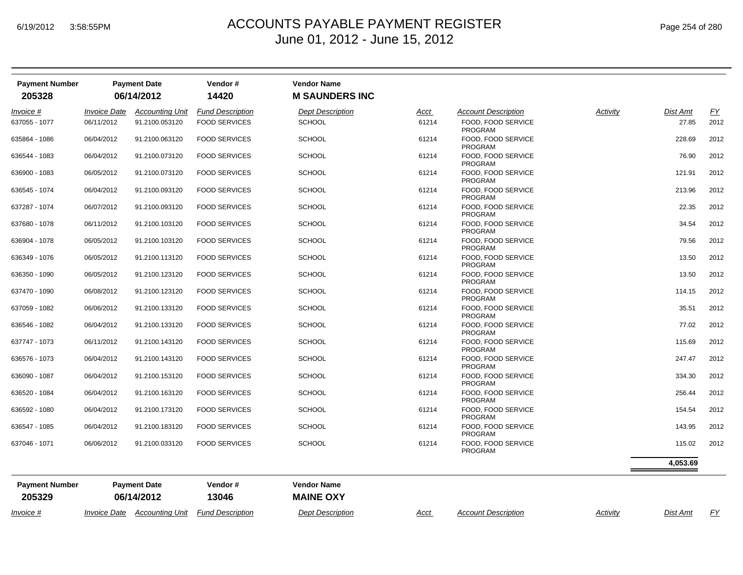| <b>Payment Number</b><br>205328 |                            | <b>Payment Date</b><br>06/14/2012 | Vendor#<br>14420        | <b>Vendor Name</b><br><b>M SAUNDERS INC</b> |             |                                      |          |          |           |
|---------------------------------|----------------------------|-----------------------------------|-------------------------|---------------------------------------------|-------------|--------------------------------------|----------|----------|-----------|
| Invoice #                       | <b>Invoice Date</b>        | <b>Accounting Unit</b>            | <b>Fund Description</b> | <b>Dept Description</b>                     | Acct        | <b>Account Description</b>           | Activity | Dist Amt | <u>FY</u> |
| 637055 - 1077                   | 06/11/2012                 | 91.2100.053120                    | <b>FOOD SERVICES</b>    | <b>SCHOOL</b>                               | 61214       | FOOD. FOOD SERVICE<br><b>PROGRAM</b> |          | 27.85    | 2012      |
| 635864 - 1086                   | 06/04/2012                 | 91.2100.063120                    | <b>FOOD SERVICES</b>    | <b>SCHOOL</b>                               | 61214       | FOOD, FOOD SERVICE<br><b>PROGRAM</b> |          | 228.69   | 2012      |
| 636544 - 1083                   | 06/04/2012                 | 91.2100.073120                    | <b>FOOD SERVICES</b>    | <b>SCHOOL</b>                               | 61214       | FOOD, FOOD SERVICE<br>PROGRAM        |          | 76.90    | 2012      |
| 636900 - 1083                   | 06/05/2012                 | 91.2100.073120                    | <b>FOOD SERVICES</b>    | <b>SCHOOL</b>                               | 61214       | FOOD, FOOD SERVICE<br><b>PROGRAM</b> |          | 121.91   | 2012      |
| 636545 - 1074                   | 06/04/2012                 | 91.2100.093120                    | <b>FOOD SERVICES</b>    | <b>SCHOOL</b>                               | 61214       | FOOD, FOOD SERVICE<br><b>PROGRAM</b> |          | 213.96   | 2012      |
| 637287 - 1074                   | 06/07/2012                 | 91.2100.093120                    | <b>FOOD SERVICES</b>    | <b>SCHOOL</b>                               | 61214       | FOOD, FOOD SERVICE<br><b>PROGRAM</b> |          | 22.35    | 2012      |
| 637680 - 1078                   | 06/11/2012                 | 91.2100.103120                    | <b>FOOD SERVICES</b>    | <b>SCHOOL</b>                               | 61214       | FOOD, FOOD SERVICE<br><b>PROGRAM</b> |          | 34.54    | 2012      |
| 636904 - 1078                   | 06/05/2012                 | 91.2100.103120                    | <b>FOOD SERVICES</b>    | <b>SCHOOL</b>                               | 61214       | FOOD, FOOD SERVICE<br><b>PROGRAM</b> |          | 79.56    | 2012      |
| 636349 - 1076                   | 06/05/2012                 | 91.2100.113120                    | <b>FOOD SERVICES</b>    | <b>SCHOOL</b>                               | 61214       | FOOD, FOOD SERVICE<br>PROGRAM        |          | 13.50    | 2012      |
| 636350 - 1090                   | 06/05/2012                 | 91.2100.123120                    | <b>FOOD SERVICES</b>    | <b>SCHOOL</b>                               | 61214       | FOOD, FOOD SERVICE<br><b>PROGRAM</b> |          | 13.50    | 2012      |
| 637470 - 1090                   | 06/08/2012                 | 91.2100.123120                    | <b>FOOD SERVICES</b>    | <b>SCHOOL</b>                               | 61214       | FOOD, FOOD SERVICE<br>PROGRAM        |          | 114.15   | 2012      |
| 637059 - 1082                   | 06/06/2012                 | 91.2100.133120                    | <b>FOOD SERVICES</b>    | <b>SCHOOL</b>                               | 61214       | FOOD, FOOD SERVICE<br>PROGRAM        |          | 35.51    | 2012      |
| 636546 - 1082                   | 06/04/2012                 | 91.2100.133120                    | <b>FOOD SERVICES</b>    | <b>SCHOOL</b>                               | 61214       | FOOD, FOOD SERVICE<br><b>PROGRAM</b> |          | 77.02    | 2012      |
| 637747 - 1073                   | 06/11/2012                 | 91.2100.143120                    | <b>FOOD SERVICES</b>    | <b>SCHOOL</b>                               | 61214       | FOOD, FOOD SERVICE<br><b>PROGRAM</b> |          | 115.69   | 2012      |
| 636576 - 1073                   | 06/04/2012                 | 91.2100.143120                    | <b>FOOD SERVICES</b>    | <b>SCHOOL</b>                               | 61214       | FOOD, FOOD SERVICE<br><b>PROGRAM</b> |          | 247.47   | 2012      |
| 636090 - 1087                   | 06/04/2012                 | 91.2100.153120                    | <b>FOOD SERVICES</b>    | SCHOOL                                      | 61214       | FOOD, FOOD SERVICE<br>PROGRAM        |          | 334.30   | 2012      |
| 636520 - 1084                   | 06/04/2012                 | 91.2100.163120                    | <b>FOOD SERVICES</b>    | <b>SCHOOL</b>                               | 61214       | FOOD, FOOD SERVICE<br><b>PROGRAM</b> |          | 256.44   | 2012      |
| 636592 - 1080                   | 06/04/2012                 | 91.2100.173120                    | <b>FOOD SERVICES</b>    | <b>SCHOOL</b>                               | 61214       | FOOD. FOOD SERVICE<br><b>PROGRAM</b> |          | 154.54   | 2012      |
| 636547 - 1085                   | 06/04/2012                 | 91.2100.183120                    | <b>FOOD SERVICES</b>    | <b>SCHOOL</b>                               | 61214       | FOOD, FOOD SERVICE<br>PROGRAM        |          | 143.95   | 2012      |
| 637046 - 1071                   | 06/06/2012                 | 91.2100.033120                    | <b>FOOD SERVICES</b>    | <b>SCHOOL</b>                               | 61214       | FOOD, FOOD SERVICE<br>PROGRAM        |          | 115.02   | 2012      |
|                                 |                            |                                   |                         |                                             |             |                                      |          | 4,053.69 |           |
| <b>Payment Number</b>           |                            | <b>Payment Date</b>               | Vendor#                 | <b>Vendor Name</b>                          |             |                                      |          |          |           |
| 205329                          |                            | 06/14/2012                        | 13046                   | <b>MAINE OXY</b>                            |             |                                      |          |          |           |
| Invoice #                       | <i><b>Invoice Date</b></i> | <b>Accounting Unit</b>            | <b>Fund Description</b> | <b>Dept Description</b>                     | <u>Acct</u> | <b>Account Description</b>           | Activity | Dist Amt | EY        |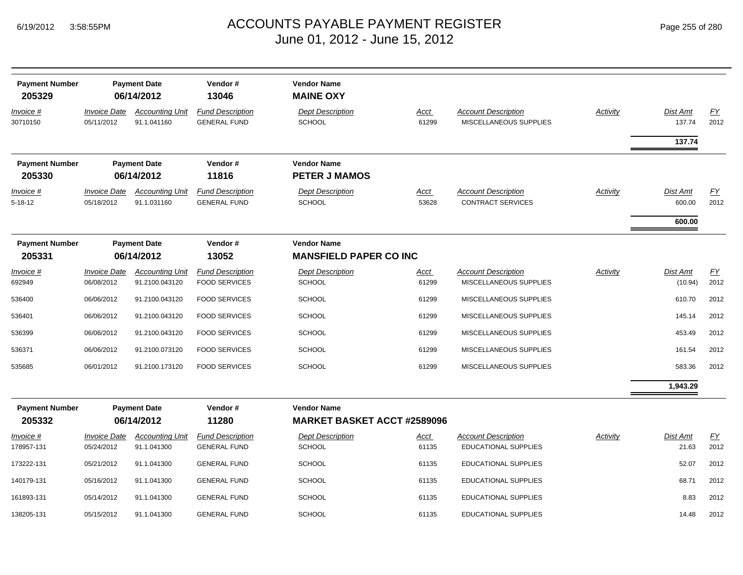| Page 255 of 280 |  |  |  |  |
|-----------------|--|--|--|--|
|-----------------|--|--|--|--|

| <b>Payment Number</b><br>205329 |                                   | <b>Payment Date</b><br>06/14/2012     | Vendor#<br>13046                               | <b>Vendor Name</b><br><b>MAINE OXY</b>              |                      |                                                           |          |                    |                  |
|---------------------------------|-----------------------------------|---------------------------------------|------------------------------------------------|-----------------------------------------------------|----------------------|-----------------------------------------------------------|----------|--------------------|------------------|
| <u>Invoice #</u><br>30710150    | <b>Invoice Date</b><br>05/11/2012 | <b>Accounting Unit</b><br>91.1.041160 | <b>Fund Description</b><br><b>GENERAL FUND</b> | <b>Dept Description</b><br><b>SCHOOL</b>            | <b>Acct</b><br>61299 | <b>Account Description</b><br>MISCELLANEOUS SUPPLIES      | Activity | Dist Amt<br>137.74 | EY<br>2012       |
|                                 |                                   |                                       |                                                |                                                     |                      |                                                           |          | 137.74             |                  |
| <b>Payment Number</b>           |                                   | <b>Payment Date</b>                   | Vendor#                                        | <b>Vendor Name</b>                                  |                      |                                                           |          |                    |                  |
| 205330                          |                                   | 06/14/2012                            | 11816                                          | <b>PETER J MAMOS</b>                                |                      |                                                           |          |                    |                  |
| <u>Invoice #</u>                | <b>Invoice Date</b>               | <b>Accounting Unit</b>                | <b>Fund Description</b>                        | <b>Dept Description</b>                             | Acct                 | <b>Account Description</b>                                | Activity | Dist Amt           | $\underline{FY}$ |
| $5 - 18 - 12$                   | 05/18/2012                        | 91.1.031160                           | <b>GENERAL FUND</b>                            | <b>SCHOOL</b>                                       | 53628                | <b>CONTRACT SERVICES</b>                                  |          | 600.00             | 2012             |
|                                 |                                   |                                       |                                                |                                                     |                      |                                                           |          | 600.00             |                  |
| <b>Payment Number</b><br>205331 |                                   | <b>Payment Date</b><br>06/14/2012     | Vendor#<br>13052                               | <b>Vendor Name</b><br><b>MANSFIELD PAPER CO INC</b> |                      |                                                           |          |                    |                  |
| <u>Invoice #</u>                | <b>Invoice Date</b>               | <b>Accounting Unit</b>                | <b>Fund Description</b>                        | <b>Dept Description</b>                             | <u>Acct</u>          | <b>Account Description</b>                                | Activity | Dist Amt           | EY               |
| 692949                          | 06/08/2012                        | 91.2100.043120                        | <b>FOOD SERVICES</b>                           | <b>SCHOOL</b>                                       | 61299                | MISCELLANEOUS SUPPLIES                                    |          | (10.94)            | 2012             |
| 536400                          | 06/06/2012                        | 91.2100.043120                        | <b>FOOD SERVICES</b>                           | <b>SCHOOL</b>                                       | 61299                | MISCELLANEOUS SUPPLIES                                    |          | 610.70             | 2012             |
| 536401                          | 06/06/2012                        | 91.2100.043120                        | <b>FOOD SERVICES</b>                           | <b>SCHOOL</b>                                       | 61299                | MISCELLANEOUS SUPPLIES                                    |          | 145.14             | 2012             |
| 536399                          | 06/06/2012                        | 91.2100.043120                        | <b>FOOD SERVICES</b>                           | <b>SCHOOL</b>                                       | 61299                | MISCELLANEOUS SUPPLIES                                    |          | 453.49             | 2012             |
| 536371                          | 06/06/2012                        | 91.2100.073120                        | <b>FOOD SERVICES</b>                           | <b>SCHOOL</b>                                       | 61299                | MISCELLANEOUS SUPPLIES                                    |          | 161.54             | 2012             |
| 535685                          | 06/01/2012                        | 91.2100.173120                        | <b>FOOD SERVICES</b>                           | <b>SCHOOL</b>                                       | 61299                | MISCELLANEOUS SUPPLIES                                    |          | 583.36             | 2012             |
|                                 |                                   |                                       |                                                |                                                     |                      |                                                           |          | 1,943.29           |                  |
| <b>Payment Number</b>           |                                   | <b>Payment Date</b>                   | Vendor#                                        | <b>Vendor Name</b>                                  |                      |                                                           |          |                    |                  |
| 205332                          |                                   | 06/14/2012                            | 11280                                          | <b>MARKET BASKET ACCT #2589096</b>                  |                      |                                                           |          |                    |                  |
| Invoice #<br>178957-131         | <b>Invoice Date</b><br>05/24/2012 | <b>Accounting Unit</b><br>91.1.041300 | <b>Fund Description</b><br><b>GENERAL FUND</b> | <b>Dept Description</b><br><b>SCHOOL</b>            | <b>Acct</b><br>61135 | <b>Account Description</b><br><b>EDUCATIONAL SUPPLIES</b> | Activity | Dist Amt<br>21.63  | EY<br>2012       |
| 173222-131                      | 05/21/2012                        | 91.1.041300                           | <b>GENERAL FUND</b>                            | <b>SCHOOL</b>                                       | 61135                | <b>EDUCATIONAL SUPPLIES</b>                               |          | 52.07              | 2012             |
| 140179-131                      | 05/16/2012                        | 91.1.041300                           | <b>GENERAL FUND</b>                            | <b>SCHOOL</b>                                       | 61135                | EDUCATIONAL SUPPLIES                                      |          | 68.71              | 2012             |
| 161893-131                      | 05/14/2012                        | 91.1.041300                           | <b>GENERAL FUND</b>                            | <b>SCHOOL</b>                                       | 61135                | EDUCATIONAL SUPPLIES                                      |          | 8.83               | 2012             |
| 138205-131                      | 05/15/2012                        | 91.1.041300                           | <b>GENERAL FUND</b>                            | <b>SCHOOL</b>                                       | 61135                | EDUCATIONAL SUPPLIES                                      |          | 14.48              | 2012             |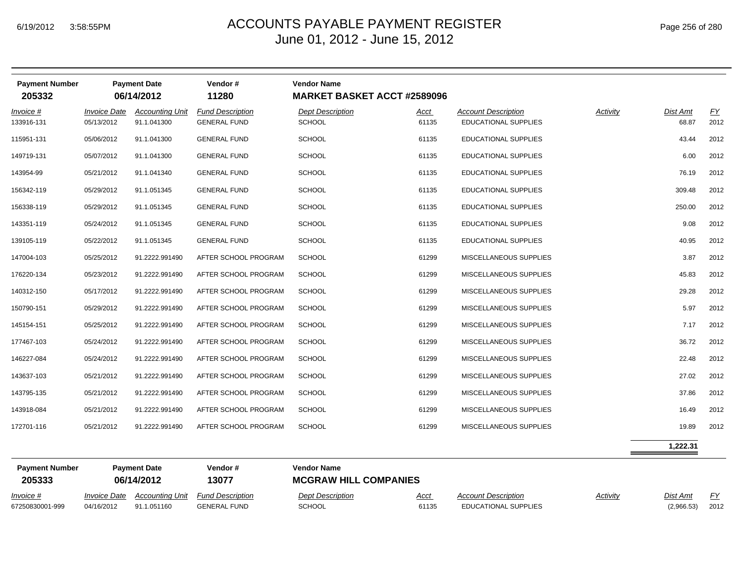|  | Page 256 of 280 |  |  |  |
|--|-----------------|--|--|--|
|--|-----------------|--|--|--|

| <b>Payment Number</b><br>205332 |                                          | <b>Payment Date</b><br>06/14/2012 | Vendor#<br>11280                               | <b>Vendor Name</b><br><b>MARKET BASKET ACCT #2589096</b> |               |                                                           |          |                        |                   |
|---------------------------------|------------------------------------------|-----------------------------------|------------------------------------------------|----------------------------------------------------------|---------------|-----------------------------------------------------------|----------|------------------------|-------------------|
| Invoice #                       | <b>Invoice Date</b>                      | <b>Accounting Unit</b>            | <b>Fund Description</b>                        | <b>Dept Description</b>                                  | Acct          | <b>Account Description</b>                                | Activity | Dist Amt               | EY                |
| 133916-131                      | 05/13/2012                               | 91.1.041300                       | <b>GENERAL FUND</b>                            | <b>SCHOOL</b>                                            | 61135         | <b>EDUCATIONAL SUPPLIES</b>                               |          | 68.87                  | 2012              |
| 115951-131                      | 05/06/2012                               | 91.1.041300                       | <b>GENERAL FUND</b>                            | <b>SCHOOL</b>                                            | 61135         | EDUCATIONAL SUPPLIES                                      |          | 43.44                  | 2012              |
| 149719-131                      | 05/07/2012                               | 91.1.041300                       | <b>GENERAL FUND</b>                            | <b>SCHOOL</b>                                            | 61135         | <b>EDUCATIONAL SUPPLIES</b>                               |          | 6.00                   | 2012              |
| 143954-99                       | 05/21/2012                               | 91.1.041340                       | <b>GENERAL FUND</b>                            | <b>SCHOOL</b>                                            | 61135         | EDUCATIONAL SUPPLIES                                      |          | 76.19                  | 2012              |
| 156342-119                      | 05/29/2012                               | 91.1.051345                       | <b>GENERAL FUND</b>                            | <b>SCHOOL</b>                                            | 61135         | <b>EDUCATIONAL SUPPLIES</b>                               |          | 309.48                 | 2012              |
| 156338-119                      | 05/29/2012                               | 91.1.051345                       | <b>GENERAL FUND</b>                            | <b>SCHOOL</b>                                            | 61135         | EDUCATIONAL SUPPLIES                                      |          | 250.00                 | 2012              |
| 143351-119                      | 05/24/2012                               | 91.1.051345                       | <b>GENERAL FUND</b>                            | <b>SCHOOL</b>                                            | 61135         | EDUCATIONAL SUPPLIES                                      |          | 9.08                   | 2012              |
| 139105-119                      | 05/22/2012                               | 91.1.051345                       | <b>GENERAL FUND</b>                            | <b>SCHOOL</b>                                            | 61135         | EDUCATIONAL SUPPLIES                                      |          | 40.95                  | 2012              |
| 147004-103                      | 05/25/2012                               | 91.2222.991490                    | AFTER SCHOOL PROGRAM                           | <b>SCHOOL</b>                                            | 61299         | MISCELLANEOUS SUPPLIES                                    |          | 3.87                   | 2012              |
| 176220-134                      | 05/23/2012                               | 91.2222.991490                    | AFTER SCHOOL PROGRAM                           | <b>SCHOOL</b>                                            | 61299         | MISCELLANEOUS SUPPLIES                                    |          | 45.83                  | 2012              |
| 140312-150                      | 05/17/2012                               | 91.2222.991490                    | AFTER SCHOOL PROGRAM                           | <b>SCHOOL</b>                                            | 61299         | MISCELLANEOUS SUPPLIES                                    |          | 29.28                  | 2012              |
| 150790-151                      | 05/29/2012                               | 91.2222.991490                    | AFTER SCHOOL PROGRAM                           | <b>SCHOOL</b>                                            | 61299         | MISCELLANEOUS SUPPLIES                                    |          | 5.97                   | 2012              |
| 145154-151                      | 05/25/2012                               | 91.2222.991490                    | AFTER SCHOOL PROGRAM                           | <b>SCHOOL</b>                                            | 61299         | MISCELLANEOUS SUPPLIES                                    |          | 7.17                   | 2012              |
| 177467-103                      | 05/24/2012                               | 91.2222.991490                    | AFTER SCHOOL PROGRAM                           | <b>SCHOOL</b>                                            | 61299         | MISCELLANEOUS SUPPLIES                                    |          | 36.72                  | 2012              |
| 146227-084                      | 05/24/2012                               | 91.2222.991490                    | AFTER SCHOOL PROGRAM                           | <b>SCHOOL</b>                                            | 61299         | MISCELLANEOUS SUPPLIES                                    |          | 22.48                  | 2012              |
| 143637-103                      | 05/21/2012                               | 91.2222.991490                    | AFTER SCHOOL PROGRAM                           | <b>SCHOOL</b>                                            | 61299         | MISCELLANEOUS SUPPLIES                                    |          | 27.02                  | 2012              |
| 143795-135                      | 05/21/2012                               | 91.2222.991490                    | AFTER SCHOOL PROGRAM                           | <b>SCHOOL</b>                                            | 61299         | MISCELLANEOUS SUPPLIES                                    |          | 37.86                  | 2012              |
| 143918-084                      | 05/21/2012                               | 91.2222.991490                    | AFTER SCHOOL PROGRAM                           | <b>SCHOOL</b>                                            | 61299         | MISCELLANEOUS SUPPLIES                                    |          | 16.49                  | 2012              |
| 172701-116                      | 05/21/2012                               | 91.2222.991490                    | AFTER SCHOOL PROGRAM                           | <b>SCHOOL</b>                                            | 61299         | MISCELLANEOUS SUPPLIES                                    |          | 19.89                  | 2012              |
|                                 |                                          |                                   |                                                |                                                          |               |                                                           |          | 1,222.31               |                   |
| <b>Payment Number</b>           |                                          | <b>Payment Date</b>               | Vendor#                                        | <b>Vendor Name</b>                                       |               |                                                           |          |                        |                   |
| 205333                          |                                          | 06/14/2012                        | 13077                                          | <b>MCGRAW HILL COMPANIES</b>                             |               |                                                           |          |                        |                   |
| Invoice #<br>67250830001-999    | <i><b>Invoice Date</b></i><br>04/16/2012 | Accounting Unit<br>91.1.051160    | <b>Fund Description</b><br><b>GENERAL FUND</b> | <b>Dept Description</b><br><b>SCHOOL</b>                 | Acct<br>61135 | <b>Account Description</b><br><b>EDUCATIONAL SUPPLIES</b> | Activity | Dist Amt<br>(2,966.53) | <u>FY</u><br>2012 |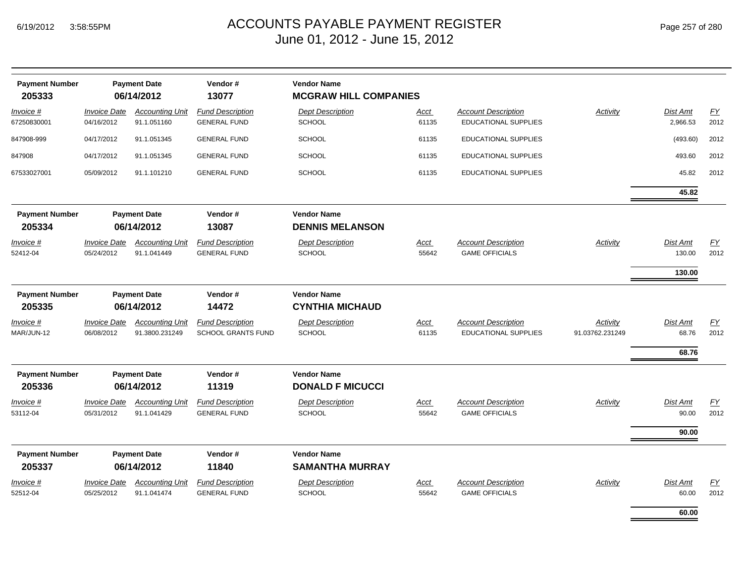| <b>Payment Number</b><br>205333 |                                   | <b>Payment Date</b><br>06/14/2012        | Vendor#<br>13077                                     | <b>Vendor Name</b><br><b>MCGRAW HILL COMPANIES</b> |                      |                                                           |                                    |                      |                          |
|---------------------------------|-----------------------------------|------------------------------------------|------------------------------------------------------|----------------------------------------------------|----------------------|-----------------------------------------------------------|------------------------------------|----------------------|--------------------------|
| Invoice #<br>67250830001        | <b>Invoice Date</b><br>04/16/2012 | <b>Accounting Unit</b><br>91.1.051160    | <b>Fund Description</b><br><b>GENERAL FUND</b>       | <b>Dept Description</b><br><b>SCHOOL</b>           | <u>Acct</u><br>61135 | <b>Account Description</b><br><b>EDUCATIONAL SUPPLIES</b> | <b>Activity</b>                    | Dist Amt<br>2,966.53 | $\underline{FY}$<br>2012 |
| 847908-999                      | 04/17/2012                        | 91.1.051345                              | <b>GENERAL FUND</b>                                  | <b>SCHOOL</b>                                      | 61135                | <b>EDUCATIONAL SUPPLIES</b>                               |                                    | (493.60)             | 2012                     |
| 847908                          | 04/17/2012                        | 91.1.051345                              | <b>GENERAL FUND</b>                                  | <b>SCHOOL</b>                                      | 61135                | <b>EDUCATIONAL SUPPLIES</b>                               |                                    | 493.60               | 2012                     |
| 67533027001                     | 05/09/2012                        | 91.1.101210                              | <b>GENERAL FUND</b>                                  | <b>SCHOOL</b>                                      | 61135                | <b>EDUCATIONAL SUPPLIES</b>                               |                                    | 45.82                | 2012                     |
|                                 |                                   |                                          |                                                      |                                                    |                      |                                                           |                                    | 45.82                |                          |
| <b>Payment Number</b><br>205334 |                                   | <b>Payment Date</b><br>06/14/2012        | Vendor#<br>13087                                     | <b>Vendor Name</b><br><b>DENNIS MELANSON</b>       |                      |                                                           |                                    |                      |                          |
| Invoice #<br>52412-04           | <b>Invoice Date</b><br>05/24/2012 | <b>Accounting Unit</b><br>91.1.041449    | <b>Fund Description</b><br><b>GENERAL FUND</b>       | <b>Dept Description</b><br><b>SCHOOL</b>           | Acct<br>55642        | <b>Account Description</b><br><b>GAME OFFICIALS</b>       | Activity                           | Dist Amt<br>130.00   | EY<br>2012               |
|                                 |                                   |                                          |                                                      |                                                    |                      |                                                           |                                    | 130.00               |                          |
| <b>Payment Number</b><br>205335 |                                   | <b>Payment Date</b><br>06/14/2012        | Vendor#<br>14472                                     | <b>Vendor Name</b><br><b>CYNTHIA MICHAUD</b>       |                      |                                                           |                                    |                      |                          |
| Invoice #<br>MAR/JUN-12         | <b>Invoice Date</b><br>06/08/2012 | <b>Accounting Unit</b><br>91.3800.231249 | <b>Fund Description</b><br><b>SCHOOL GRANTS FUND</b> | <b>Dept Description</b><br><b>SCHOOL</b>           | <b>Acct</b><br>61135 | <b>Account Description</b><br><b>EDUCATIONAL SUPPLIES</b> | <b>Activity</b><br>91.03762.231249 | Dist Amt<br>68.76    | $\underline{FY}$<br>2012 |
|                                 |                                   |                                          |                                                      |                                                    |                      |                                                           |                                    | 68.76                |                          |
| <b>Payment Number</b><br>205336 |                                   | <b>Payment Date</b><br>06/14/2012        | Vendor#<br>11319                                     | <b>Vendor Name</b><br><b>DONALD F MICUCCI</b>      |                      |                                                           |                                    |                      |                          |
| Invoice #<br>53112-04           | <b>Invoice Date</b><br>05/31/2012 | <b>Accounting Unit</b><br>91.1.041429    | <b>Fund Description</b><br><b>GENERAL FUND</b>       | <b>Dept Description</b><br><b>SCHOOL</b>           | Acct<br>55642        | <b>Account Description</b><br><b>GAME OFFICIALS</b>       | Activity                           | Dist Amt<br>90.00    | EY<br>2012               |
|                                 |                                   |                                          |                                                      |                                                    |                      |                                                           |                                    | 90.00                |                          |
| <b>Payment Number</b>           |                                   | <b>Payment Date</b>                      | Vendor#                                              | <b>Vendor Name</b>                                 |                      |                                                           |                                    |                      |                          |
| 205337                          |                                   | 06/14/2012                               | 11840                                                | <b>SAMANTHA MURRAY</b>                             |                      |                                                           |                                    |                      |                          |
| Invoice #<br>52512-04           | <b>Invoice Date</b><br>05/25/2012 | <b>Accounting Unit</b><br>91.1.041474    | <b>Fund Description</b><br><b>GENERAL FUND</b>       | <b>Dept Description</b><br><b>SCHOOL</b>           | <u>Acct</u><br>55642 | <b>Account Description</b><br><b>GAME OFFICIALS</b>       | Activity                           | Dist Amt<br>60.00    | EY<br>2012               |
|                                 |                                   |                                          |                                                      |                                                    |                      |                                                           |                                    | 60.00                |                          |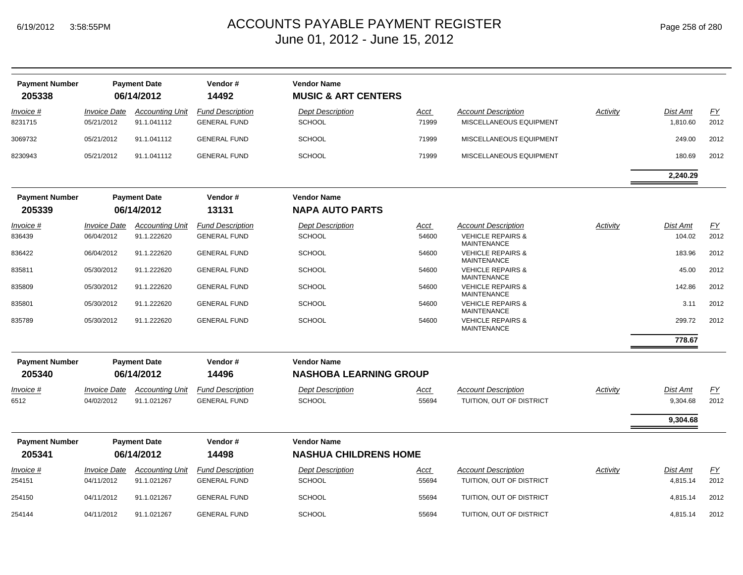| <b>Payment Number</b><br>205338 |                                   | <b>Payment Date</b><br>06/14/2012     | Vendor#<br>14492                               | <b>Vendor Name</b><br><b>MUSIC &amp; ART CENTERS</b> |               |                                                       |          |                             |                  |
|---------------------------------|-----------------------------------|---------------------------------------|------------------------------------------------|------------------------------------------------------|---------------|-------------------------------------------------------|----------|-----------------------------|------------------|
| Invoice #<br>8231715            | <b>Invoice Date</b><br>05/21/2012 | <b>Accounting Unit</b><br>91.1.041112 | <b>Fund Description</b><br><b>GENERAL FUND</b> | <b>Dept Description</b><br><b>SCHOOL</b>             | Acct<br>71999 | <b>Account Description</b><br>MISCELLANEOUS EQUIPMENT | Activity | <b>Dist Amt</b><br>1,810.60 | EY<br>2012       |
| 3069732                         | 05/21/2012                        | 91.1.041112                           | <b>GENERAL FUND</b>                            | <b>SCHOOL</b>                                        | 71999         | MISCELLANEOUS EQUIPMENT                               |          | 249.00                      | 2012             |
| 8230943                         | 05/21/2012                        | 91.1.041112                           | <b>GENERAL FUND</b>                            | <b>SCHOOL</b>                                        | 71999         | MISCELLANEOUS EQUIPMENT                               |          | 180.69                      | 2012             |
|                                 |                                   |                                       |                                                |                                                      |               |                                                       |          | 2,240.29                    |                  |
| <b>Payment Number</b><br>205339 |                                   | <b>Payment Date</b><br>06/14/2012     | Vendor#<br>13131                               | <b>Vendor Name</b><br><b>NAPA AUTO PARTS</b>         |               |                                                       |          |                             |                  |
|                                 |                                   |                                       |                                                |                                                      |               |                                                       |          |                             |                  |
| Invoice #                       | <b>Invoice Date</b>               | <b>Accounting Unit</b>                | <b>Fund Description</b>                        | <b>Dept Description</b>                              | Acct          | <b>Account Description</b>                            | Activity | <b>Dist Amt</b>             | EY               |
| 836439                          | 06/04/2012                        | 91.1.222620                           | <b>GENERAL FUND</b>                            | <b>SCHOOL</b>                                        | 54600         | <b>VEHICLE REPAIRS &amp;</b><br><b>MAINTENANCE</b>    |          | 104.02                      | 2012             |
| 836422                          | 06/04/2012                        | 91.1.222620                           | <b>GENERAL FUND</b>                            | <b>SCHOOL</b>                                        | 54600         | <b>VEHICLE REPAIRS &amp;</b><br><b>MAINTENANCE</b>    |          | 183.96                      | 2012             |
| 835811                          | 05/30/2012                        | 91.1.222620                           | <b>GENERAL FUND</b>                            | <b>SCHOOL</b>                                        | 54600         | <b>VEHICLE REPAIRS &amp;</b><br><b>MAINTENANCE</b>    |          | 45.00                       | 2012             |
| 835809                          | 05/30/2012                        | 91.1.222620                           | <b>GENERAL FUND</b>                            | <b>SCHOOL</b>                                        | 54600         | <b>VEHICLE REPAIRS &amp;</b><br><b>MAINTENANCE</b>    |          | 142.86                      | 2012             |
| 835801                          | 05/30/2012                        | 91.1.222620                           | <b>GENERAL FUND</b>                            | <b>SCHOOL</b>                                        | 54600         | <b>VEHICLE REPAIRS &amp;</b><br><b>MAINTENANCE</b>    |          | 3.11                        | 2012             |
| 835789                          | 05/30/2012                        | 91.1.222620                           | <b>GENERAL FUND</b>                            | <b>SCHOOL</b>                                        | 54600         | <b>VEHICLE REPAIRS &amp;</b><br><b>MAINTENANCE</b>    |          | 299.72                      | 2012             |
|                                 |                                   |                                       |                                                |                                                      |               |                                                       |          | 778.67                      |                  |
| <b>Payment Number</b>           |                                   | <b>Payment Date</b>                   | Vendor#                                        | <b>Vendor Name</b>                                   |               |                                                       |          |                             |                  |
| 205340                          |                                   | 06/14/2012                            | 14496                                          | <b>NASHOBA LEARNING GROUP</b>                        |               |                                                       |          |                             |                  |
| <u>Invoice #</u>                | <b>Invoice Date</b>               | <b>Accounting Unit</b>                | <b>Fund Description</b>                        | <b>Dept Description</b>                              | <u>Acct</u>   | <b>Account Description</b>                            | Activity | <b>Dist Amt</b>             | $\underline{FY}$ |
| 6512                            | 04/02/2012                        | 91.1.021267                           | <b>GENERAL FUND</b>                            | <b>SCHOOL</b>                                        | 55694         | TUITION, OUT OF DISTRICT                              |          | 9,304.68                    | 2012             |
|                                 |                                   |                                       |                                                |                                                      |               |                                                       |          | 9,304.68                    |                  |
| <b>Payment Number</b>           |                                   | <b>Payment Date</b>                   | Vendor#                                        | <b>Vendor Name</b>                                   |               |                                                       |          |                             |                  |
| 205341                          |                                   | 06/14/2012                            | 14498                                          | <b>NASHUA CHILDRENS HOME</b>                         |               |                                                       |          |                             |                  |
| Invoice #                       | <b>Invoice Date</b>               | <b>Accounting Unit</b>                | <b>Fund Description</b>                        | <b>Dept Description</b>                              | Acct          | <b>Account Description</b>                            | Activity | Dist Amt                    | EY               |
| 254151                          | 04/11/2012                        | 91.1.021267                           | <b>GENERAL FUND</b>                            | <b>SCHOOL</b>                                        | 55694         | TUITION, OUT OF DISTRICT                              |          | 4,815.14                    | 2012             |
| 254150                          | 04/11/2012                        | 91.1.021267                           | <b>GENERAL FUND</b>                            | <b>SCHOOL</b>                                        | 55694         | TUITION, OUT OF DISTRICT                              |          | 4,815.14                    | 2012             |
| 254144                          | 04/11/2012                        | 91.1.021267                           | <b>GENERAL FUND</b>                            | SCHOOL                                               | 55694         | TUITION, OUT OF DISTRICT                              |          | 4,815.14                    | 2012             |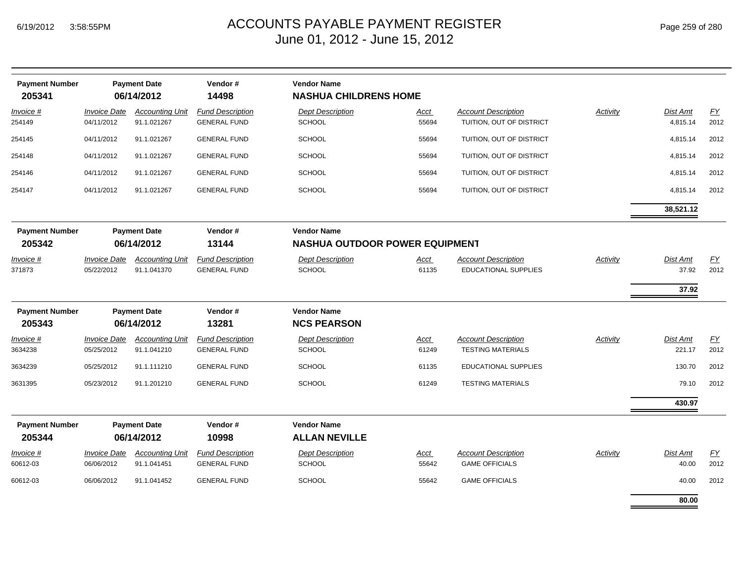| <b>Payment Number</b><br>205341 |                                   | <b>Payment Date</b><br>06/14/2012     | Vendor#<br>14498                               | <b>Vendor Name</b><br><b>NASHUA CHILDRENS HOME</b> |                      |                                                           |                 |                           |            |
|---------------------------------|-----------------------------------|---------------------------------------|------------------------------------------------|----------------------------------------------------|----------------------|-----------------------------------------------------------|-----------------|---------------------------|------------|
| Invoice #<br>254149             | <b>Invoice Date</b><br>04/11/2012 | <b>Accounting Unit</b><br>91.1.021267 | <b>Fund Description</b><br><b>GENERAL FUND</b> | <b>Dept Description</b><br><b>SCHOOL</b>           | <u>Acct</u><br>55694 | <b>Account Description</b><br>TUITION, OUT OF DISTRICT    | <b>Activity</b> | Dist Amt<br>4,815.14      | EY<br>2012 |
| 254145                          | 04/11/2012                        | 91.1.021267                           | <b>GENERAL FUND</b>                            | <b>SCHOOL</b>                                      | 55694                | TUITION, OUT OF DISTRICT                                  |                 | 4,815.14                  | 2012       |
| 254148                          | 04/11/2012                        | 91.1.021267                           | <b>GENERAL FUND</b>                            | <b>SCHOOL</b>                                      | 55694                | TUITION, OUT OF DISTRICT                                  |                 | 4,815.14                  | 2012       |
| 254146                          | 04/11/2012                        | 91.1.021267                           | <b>GENERAL FUND</b>                            | <b>SCHOOL</b>                                      | 55694                | TUITION, OUT OF DISTRICT                                  |                 | 4,815.14                  | 2012       |
| 254147                          | 04/11/2012                        | 91.1.021267                           | <b>GENERAL FUND</b>                            | <b>SCHOOL</b>                                      | 55694                | TUITION, OUT OF DISTRICT                                  |                 | 4,815.14                  | 2012       |
|                                 |                                   |                                       |                                                |                                                    |                      |                                                           |                 | 38,521.12                 |            |
| <b>Payment Number</b>           |                                   | <b>Payment Date</b>                   | Vendor#                                        | <b>Vendor Name</b>                                 |                      |                                                           |                 |                           |            |
| 205342                          |                                   | 06/14/2012                            | 13144                                          | <b>NASHUA OUTDOOR POWER EQUIPMENT</b>              |                      |                                                           |                 |                           |            |
| <u>Invoice #</u><br>371873      | <b>Invoice Date</b><br>05/22/2012 | <b>Accounting Unit</b><br>91.1.041370 | <b>Fund Description</b><br><b>GENERAL FUND</b> | <b>Dept Description</b><br><b>SCHOOL</b>           | <u>Acct</u><br>61135 | <b>Account Description</b><br><b>EDUCATIONAL SUPPLIES</b> | <b>Activity</b> | Dist Amt<br>37.92         | EY<br>2012 |
|                                 |                                   |                                       |                                                |                                                    |                      |                                                           |                 |                           |            |
|                                 |                                   |                                       |                                                |                                                    |                      |                                                           |                 | 37.92                     |            |
| <b>Payment Number</b>           |                                   | <b>Payment Date</b>                   | Vendor#                                        | <b>Vendor Name</b>                                 |                      |                                                           |                 |                           |            |
| 205343                          |                                   | 06/14/2012                            | 13281                                          | <b>NCS PEARSON</b>                                 |                      |                                                           |                 |                           |            |
| Invoice #<br>3634238            | <b>Invoice Date</b><br>05/25/2012 | <b>Accounting Unit</b><br>91.1.041210 | <b>Fund Description</b><br><b>GENERAL FUND</b> | <b>Dept Description</b><br>SCHOOL                  | Acct<br>61249        | <b>Account Description</b><br><b>TESTING MATERIALS</b>    | <b>Activity</b> | <b>Dist Amt</b><br>221.17 | EY<br>2012 |
| 3634239                         | 05/25/2012                        | 91.1.111210                           | <b>GENERAL FUND</b>                            | <b>SCHOOL</b>                                      | 61135                | <b>EDUCATIONAL SUPPLIES</b>                               |                 | 130.70                    | 2012       |
| 3631395                         | 05/23/2012                        | 91.1.201210                           | <b>GENERAL FUND</b>                            | <b>SCHOOL</b>                                      | 61249                | <b>TESTING MATERIALS</b>                                  |                 | 79.10                     | 2012       |
|                                 |                                   |                                       |                                                |                                                    |                      |                                                           |                 | 430.97                    |            |
| <b>Payment Number</b>           |                                   | <b>Payment Date</b>                   | Vendor#                                        | <b>Vendor Name</b>                                 |                      |                                                           |                 |                           |            |
| 205344                          |                                   | 06/14/2012                            | 10998                                          | <b>ALLAN NEVILLE</b>                               |                      |                                                           |                 |                           |            |
| Invoice #                       | <b>Invoice Date</b>               | <b>Accounting Unit</b>                | <b>Fund Description</b>                        | <b>Dept Description</b>                            | <u>Acct</u>          | <b>Account Description</b>                                | Activity        | Dist Amt                  | EY         |
| 60612-03                        | 06/06/2012                        | 91.1.041451                           | <b>GENERAL FUND</b>                            | <b>SCHOOL</b>                                      | 55642                | <b>GAME OFFICIALS</b>                                     |                 | 40.00                     | 2012       |
| 60612-03                        | 06/06/2012                        | 91.1.041452                           | <b>GENERAL FUND</b>                            | <b>SCHOOL</b>                                      | 55642                | <b>GAME OFFICIALS</b>                                     |                 | 40.00                     | 2012       |
|                                 |                                   |                                       |                                                |                                                    |                      |                                                           |                 | 80.00                     |            |

÷.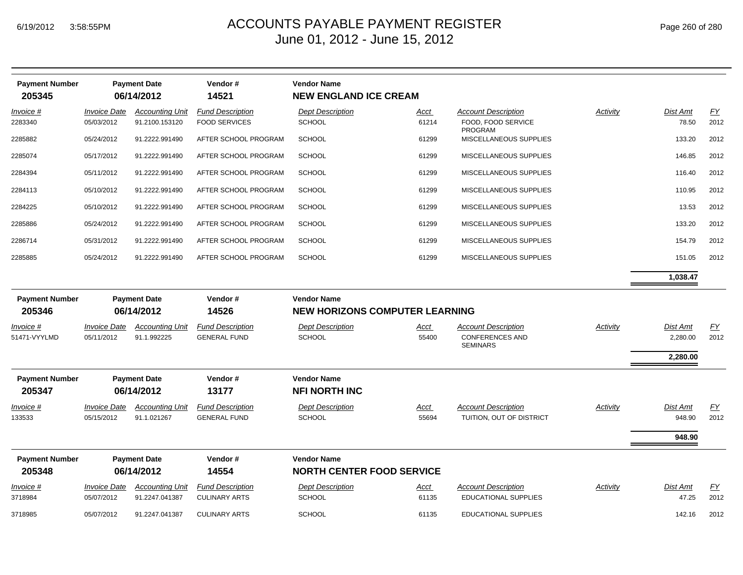| <b>Payment Number</b> |                     | <b>Payment Date</b>    | Vendor#                 | <b>Vendor Name</b>                    |             |                                           |                 |          |                  |
|-----------------------|---------------------|------------------------|-------------------------|---------------------------------------|-------------|-------------------------------------------|-----------------|----------|------------------|
| 205345                |                     | 06/14/2012             | 14521                   | <b>NEW ENGLAND ICE CREAM</b>          |             |                                           |                 |          |                  |
| Invoice #             | <b>Invoice Date</b> | <b>Accounting Unit</b> | <b>Fund Description</b> | <b>Dept Description</b>               | <u>Acct</u> | <b>Account Description</b>                | Activity        | Dist Amt | EY               |
| 2283340               | 05/03/2012          | 91.2100.153120         | <b>FOOD SERVICES</b>    | SCHOOL                                | 61214       | FOOD, FOOD SERVICE<br><b>PROGRAM</b>      |                 | 78.50    | 2012             |
| 2285882               | 05/24/2012          | 91.2222.991490         | AFTER SCHOOL PROGRAM    | <b>SCHOOL</b>                         | 61299       | MISCELLANEOUS SUPPLIES                    |                 | 133.20   | 2012             |
| 2285074               | 05/17/2012          | 91.2222.991490         | AFTER SCHOOL PROGRAM    | <b>SCHOOL</b>                         | 61299       | MISCELLANEOUS SUPPLIES                    |                 | 146.85   | 2012             |
| 2284394               | 05/11/2012          | 91.2222.991490         | AFTER SCHOOL PROGRAM    | <b>SCHOOL</b>                         | 61299       | MISCELLANEOUS SUPPLIES                    |                 | 116.40   | 2012             |
| 2284113               | 05/10/2012          | 91.2222.991490         | AFTER SCHOOL PROGRAM    | <b>SCHOOL</b>                         | 61299       | MISCELLANEOUS SUPPLIES                    |                 | 110.95   | 2012             |
| 2284225               | 05/10/2012          | 91.2222.991490         | AFTER SCHOOL PROGRAM    | <b>SCHOOL</b>                         | 61299       | MISCELLANEOUS SUPPLIES                    |                 | 13.53    | 2012             |
| 2285886               | 05/24/2012          | 91.2222.991490         | AFTER SCHOOL PROGRAM    | <b>SCHOOL</b>                         | 61299       | MISCELLANEOUS SUPPLIES                    |                 | 133.20   | 2012             |
| 2286714               | 05/31/2012          | 91.2222.991490         | AFTER SCHOOL PROGRAM    | <b>SCHOOL</b>                         | 61299       | MISCELLANEOUS SUPPLIES                    |                 | 154.79   | 2012             |
| 2285885               | 05/24/2012          | 91.2222.991490         | AFTER SCHOOL PROGRAM    | <b>SCHOOL</b>                         | 61299       | MISCELLANEOUS SUPPLIES                    |                 | 151.05   | 2012             |
|                       |                     |                        |                         |                                       |             |                                           |                 | 1,038.47 |                  |
| <b>Payment Number</b> |                     | <b>Payment Date</b>    | Vendor#                 | <b>Vendor Name</b>                    |             |                                           |                 |          |                  |
| 205346                |                     | 06/14/2012             | 14526                   | <b>NEW HORIZONS COMPUTER LEARNING</b> |             |                                           |                 |          |                  |
| Invoice #             | <b>Invoice Date</b> | <b>Accounting Unit</b> | <b>Fund Description</b> | <b>Dept Description</b>               | Acct        | <b>Account Description</b>                | Activity        | Dist Amt | $\underline{FY}$ |
| 51471-VYYLMD          | 05/11/2012          | 91.1.992225            | <b>GENERAL FUND</b>     | SCHOOL                                | 55400       | <b>CONFERENCES AND</b><br><b>SEMINARS</b> |                 | 2,280.00 | 2012             |
|                       |                     |                        |                         |                                       |             |                                           |                 | 2,280.00 |                  |
| <b>Payment Number</b> |                     | <b>Payment Date</b>    | Vendor#                 | <b>Vendor Name</b>                    |             |                                           |                 |          |                  |
| 205347                |                     | 06/14/2012             | 13177                   | <b>NFI NORTH INC</b>                  |             |                                           |                 |          |                  |
| Invoice #             | <b>Invoice Date</b> | <b>Accounting Unit</b> | <b>Fund Description</b> | <b>Dept Description</b>               | Acct        | <b>Account Description</b>                | <b>Activity</b> | Dist Amt | EY               |
| 133533                | 05/15/2012          | 91.1.021267            | <b>GENERAL FUND</b>     | <b>SCHOOL</b>                         | 55694       | TUITION, OUT OF DISTRICT                  |                 | 948.90   | 2012             |
|                       |                     |                        |                         |                                       |             |                                           |                 | 948.90   |                  |
| <b>Payment Number</b> |                     | <b>Payment Date</b>    | Vendor#                 | <b>Vendor Name</b>                    |             |                                           |                 |          |                  |
| 205348                |                     | 06/14/2012             | 14554                   | <b>NORTH CENTER FOOD SERVICE</b>      |             |                                           |                 |          |                  |
| Invoice #             | Invoice Date        | <b>Accounting Unit</b> | <b>Fund Description</b> | <b>Dept Description</b>               | <u>Acct</u> | <b>Account Description</b>                | <b>Activity</b> | Dist Amt | $\underline{FY}$ |
| 3718984               | 05/07/2012          | 91.2247.041387         | <b>CULINARY ARTS</b>    | <b>SCHOOL</b>                         | 61135       | <b>EDUCATIONAL SUPPLIES</b>               |                 | 47.25    | 2012             |
| 3718985               | 05/07/2012          | 91.2247.041387         | <b>CULINARY ARTS</b>    | <b>SCHOOL</b>                         | 61135       | <b>EDUCATIONAL SUPPLIES</b>               |                 | 142.16   | 2012             |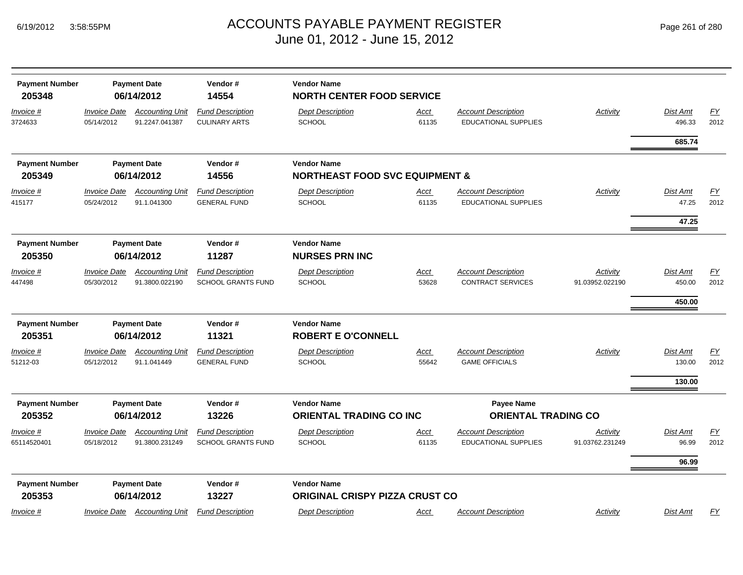| <b>Payment Number</b><br>205348 |                                   | <b>Payment Date</b><br>06/14/2012        | Vendor#<br>14554                                     | <b>Vendor Name</b><br><b>NORTH CENTER FOOD SERVICE</b>      |                      |                                                           |                             |                          |                          |
|---------------------------------|-----------------------------------|------------------------------------------|------------------------------------------------------|-------------------------------------------------------------|----------------------|-----------------------------------------------------------|-----------------------------|--------------------------|--------------------------|
| <u>Invoice #</u><br>3724633     | <b>Invoice Date</b><br>05/14/2012 | <b>Accounting Unit</b><br>91.2247.041387 | <b>Fund Description</b><br><b>CULINARY ARTS</b>      | <b>Dept Description</b><br>SCHOOL                           | <u>Acct</u><br>61135 | <b>Account Description</b><br><b>EDUCATIONAL SUPPLIES</b> | <b>Activity</b>             | Dist Amt<br>496.33       | EY<br>2012               |
|                                 |                                   |                                          |                                                      |                                                             |                      |                                                           |                             | 685.74                   |                          |
| <b>Payment Number</b>           |                                   | <b>Payment Date</b>                      | Vendor#                                              | <b>Vendor Name</b>                                          |                      |                                                           |                             |                          |                          |
| 205349                          |                                   | 06/14/2012                               | 14556                                                | <b>NORTHEAST FOOD SVC EQUIPMENT &amp;</b>                   |                      |                                                           |                             |                          |                          |
| Invoice #<br>415177             | <b>Invoice Date</b><br>05/24/2012 | <b>Accounting Unit</b><br>91.1.041300    | <b>Fund Description</b><br><b>GENERAL FUND</b>       | <b>Dept Description</b><br><b>SCHOOL</b>                    | <u>Acct</u><br>61135 | <b>Account Description</b><br><b>EDUCATIONAL SUPPLIES</b> | Activity                    | <b>Dist Amt</b><br>47.25 | $\underline{FY}$<br>2012 |
|                                 |                                   |                                          |                                                      |                                                             |                      |                                                           |                             | 47.25                    |                          |
| <b>Payment Number</b><br>205350 |                                   | <b>Payment Date</b><br>06/14/2012        | Vendor#<br>11287                                     | <b>Vendor Name</b><br><b>NURSES PRN INC</b>                 |                      |                                                           |                             |                          |                          |
| <u>Invoice #</u>                | <b>Invoice Date</b>               | <b>Accounting Unit</b>                   | <b>Fund Description</b>                              | <b>Dept Description</b>                                     | <u>Acct</u>          | <b>Account Description</b>                                | Activity                    | Dist Amt                 | <u>FY</u>                |
| 447498                          | 05/30/2012                        | 91.3800.022190                           | <b>SCHOOL GRANTS FUND</b>                            | <b>SCHOOL</b>                                               | 53628                | <b>CONTRACT SERVICES</b>                                  | 91.03952.022190             | 450.00                   | 2012                     |
|                                 |                                   |                                          |                                                      |                                                             |                      |                                                           |                             | 450.00                   |                          |
| <b>Payment Number</b>           |                                   | <b>Payment Date</b>                      | Vendor#                                              | <b>Vendor Name</b>                                          |                      |                                                           |                             |                          |                          |
| 205351                          |                                   | 06/14/2012                               | 11321                                                | <b>ROBERT E O'CONNELL</b>                                   |                      |                                                           |                             |                          |                          |
| <u>Invoice #</u>                | <b>Invoice Date</b>               | <b>Accounting Unit</b>                   | <b>Fund Description</b>                              | <b>Dept Description</b>                                     | <u>Acct</u>          | <b>Account Description</b>                                | <b>Activity</b>             | <b>Dist Amt</b>          | EY                       |
| 51212-03                        | 05/12/2012                        | 91.1.041449                              | <b>GENERAL FUND</b>                                  | SCHOOL                                                      | 55642                | <b>GAME OFFICIALS</b>                                     |                             | 130.00                   | 2012                     |
|                                 |                                   |                                          |                                                      |                                                             |                      |                                                           |                             | 130.00                   |                          |
| <b>Payment Number</b>           |                                   | <b>Payment Date</b>                      | Vendor#                                              | <b>Vendor Name</b>                                          |                      | Payee Name                                                |                             |                          |                          |
| 205352                          |                                   | 06/14/2012                               | 13226                                                | <b>ORIENTAL TRADING CO INC</b>                              |                      | <b>ORIENTAL TRADING CO</b>                                |                             |                          |                          |
| <u>Invoice #</u><br>65114520401 | <b>Invoice Date</b><br>05/18/2012 | <b>Accounting Unit</b><br>91.3800.231249 | <b>Fund Description</b><br><b>SCHOOL GRANTS FUND</b> | <b>Dept Description</b><br><b>SCHOOL</b>                    | <u>Acct</u><br>61135 | <b>Account Description</b><br><b>EDUCATIONAL SUPPLIES</b> | Activity<br>91.03762.231249 | Dist Amt<br>96.99        | $\underline{FY}$<br>2012 |
|                                 |                                   |                                          |                                                      |                                                             |                      |                                                           |                             | 96.99                    |                          |
| <b>Payment Number</b><br>205353 |                                   | <b>Payment Date</b><br>06/14/2012        | Vendor#<br>13227                                     | <b>Vendor Name</b><br><b>ORIGINAL CRISPY PIZZA CRUST CO</b> |                      |                                                           |                             |                          |                          |
| Invoice #                       | <i><b>Invoice Date</b></i>        | <b>Accounting Unit</b>                   | <b>Fund Description</b>                              | <b>Dept Description</b>                                     | <u>Acct</u>          | <b>Account Description</b>                                | <b>Activity</b>             | Dist Amt                 | <u>FY</u>                |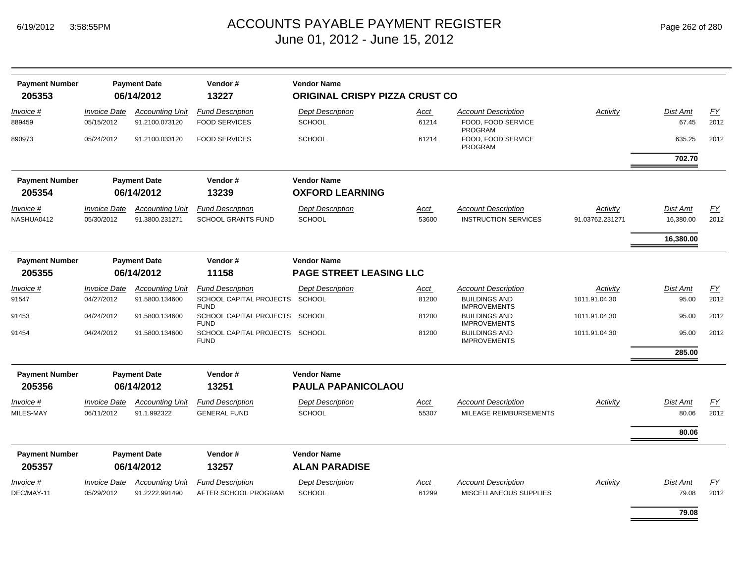| <b>Payment Number</b> |                            | <b>Payment Date</b>    | Vendor#                                       | <b>Vendor Name</b>                    |             |                                             |                 |                 |                  |
|-----------------------|----------------------------|------------------------|-----------------------------------------------|---------------------------------------|-------------|---------------------------------------------|-----------------|-----------------|------------------|
| 205353                |                            | 06/14/2012             | 13227                                         | <b>ORIGINAL CRISPY PIZZA CRUST CO</b> |             |                                             |                 |                 |                  |
| <i>Invoice</i> #      | <i><b>Invoice Date</b></i> | <b>Accounting Unit</b> | <b>Fund Description</b>                       | <b>Dept Description</b>               | Acct        | <b>Account Description</b>                  | Activity        | <b>Dist Amt</b> | EY               |
| 889459                | 05/15/2012                 | 91.2100.073120         | <b>FOOD SERVICES</b>                          | <b>SCHOOL</b>                         | 61214       | FOOD, FOOD SERVICE<br><b>PROGRAM</b>        |                 | 67.45           | 2012             |
| 890973                | 05/24/2012                 | 91.2100.033120         | <b>FOOD SERVICES</b>                          | <b>SCHOOL</b>                         | 61214       | FOOD, FOOD SERVICE<br><b>PROGRAM</b>        |                 | 635.25          | 2012             |
|                       |                            |                        |                                               |                                       |             |                                             |                 | 702.70          |                  |
| <b>Payment Number</b> |                            | <b>Payment Date</b>    | Vendor#                                       | <b>Vendor Name</b>                    |             |                                             |                 |                 |                  |
| 205354                |                            | 06/14/2012             | 13239                                         | <b>OXFORD LEARNING</b>                |             |                                             |                 |                 |                  |
| Invoice #             | <b>Invoice Date</b>        | <b>Accounting Unit</b> | <b>Fund Description</b>                       | <b>Dept Description</b>               | <u>Acct</u> | <b>Account Description</b>                  | Activity        | Dist Amt        | <b>FY</b>        |
| NASHUA0412            | 05/30/2012                 | 91.3800.231271         | <b>SCHOOL GRANTS FUND</b>                     | <b>SCHOOL</b>                         | 53600       | <b>INSTRUCTION SERVICES</b>                 | 91.03762.231271 | 16,380.00       | 2012             |
|                       |                            |                        |                                               |                                       |             |                                             |                 | 16,380.00       |                  |
| <b>Payment Number</b> |                            | <b>Payment Date</b>    | Vendor#                                       | <b>Vendor Name</b>                    |             |                                             |                 |                 |                  |
| 205355                |                            | 06/14/2012             | 11158                                         | <b>PAGE STREET LEASING LLC</b>        |             |                                             |                 |                 |                  |
| Invoice #             | <b>Invoice Date</b>        | <b>Accounting Unit</b> | <b>Fund Description</b>                       | <b>Dept Description</b>               | Acct        | <b>Account Description</b>                  | Activity        | Dist Amt        | $\underline{FY}$ |
| 91547                 | 04/27/2012                 | 91.5800.134600         | SCHOOL CAPITAL PROJECTS<br><b>FUND</b>        | SCHOOL                                | 81200       | <b>BUILDINGS AND</b><br><b>IMPROVEMENTS</b> | 1011.91.04.30   | 95.00           | 2012             |
| 91453                 | 04/24/2012                 | 91.5800.134600         | SCHOOL CAPITAL PROJECTS SCHOOL<br><b>FUND</b> |                                       | 81200       | <b>BUILDINGS AND</b><br><b>IMPROVEMENTS</b> | 1011.91.04.30   | 95.00           | 2012             |
| 91454                 | 04/24/2012                 | 91.5800.134600         | SCHOOL CAPITAL PROJECTS SCHOOL<br><b>FUND</b> |                                       | 81200       | <b>BUILDINGS AND</b><br><b>IMPROVEMENTS</b> | 1011.91.04.30   | 95.00           | 2012             |
|                       |                            |                        |                                               |                                       |             |                                             |                 | 285.00          |                  |
| <b>Payment Number</b> |                            | <b>Payment Date</b>    | Vendor#                                       | <b>Vendor Name</b>                    |             |                                             |                 |                 |                  |
| 205356                |                            | 06/14/2012             | 13251                                         | PAULA PAPANICOLAOU                    |             |                                             |                 |                 |                  |
| Invoice #             | <b>Invoice Date</b>        | <b>Accounting Unit</b> | <b>Fund Description</b>                       | <b>Dept Description</b>               | <u>Acct</u> | <b>Account Description</b>                  | Activity        | <b>Dist Amt</b> | EY               |
| MILES-MAY             | 06/11/2012                 | 91.1.992322            | <b>GENERAL FUND</b>                           | <b>SCHOOL</b>                         | 55307       | MILEAGE REIMBURSEMENTS                      |                 | 80.06           | 2012             |
|                       |                            |                        |                                               |                                       |             |                                             |                 | 80.06           |                  |
| <b>Payment Number</b> |                            | <b>Payment Date</b>    | Vendor#                                       | <b>Vendor Name</b>                    |             |                                             |                 |                 |                  |
| 205357                |                            | 06/14/2012             | 13257                                         | <b>ALAN PARADISE</b>                  |             |                                             |                 |                 |                  |
| Invoice #             | <b>Invoice Date</b>        | <b>Accounting Unit</b> | <b>Fund Description</b>                       | <b>Dept Description</b>               | <u>Acct</u> | <b>Account Description</b>                  | Activity        | <b>Dist Amt</b> | EY               |
| DEC/MAY-11            | 05/29/2012                 | 91.2222.991490         | AFTER SCHOOL PROGRAM                          | <b>SCHOOL</b>                         | 61299       | MISCELLANEOUS SUPPLIES                      |                 | 79.08           | 2012             |
|                       |                            |                        |                                               |                                       |             |                                             |                 | 79.08           |                  |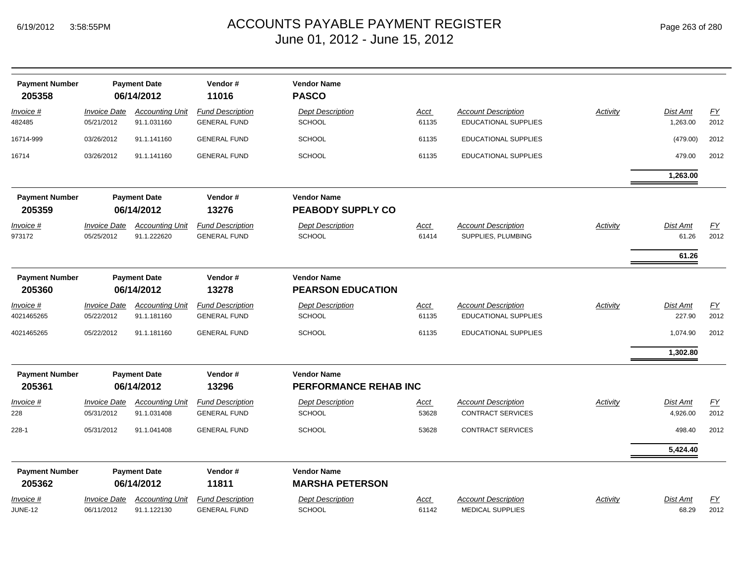| <b>Payment Number</b><br>205358 |                                   | <b>Payment Date</b><br>06/14/2012     | Vendor#<br>11016                               | <b>Vendor Name</b><br><b>PASCO</b>             |                      |                                                           |                 |                           |                          |
|---------------------------------|-----------------------------------|---------------------------------------|------------------------------------------------|------------------------------------------------|----------------------|-----------------------------------------------------------|-----------------|---------------------------|--------------------------|
| Invoice #<br>482485             | <b>Invoice Date</b><br>05/21/2012 | <b>Accounting Unit</b><br>91.1.031160 | <b>Fund Description</b><br><b>GENERAL FUND</b> | <b>Dept Description</b><br><b>SCHOOL</b>       | Acct<br>61135        | <b>Account Description</b><br><b>EDUCATIONAL SUPPLIES</b> | <b>Activity</b> | Dist Amt<br>1,263.00      | EY<br>2012               |
| 16714-999                       | 03/26/2012                        | 91.1.141160                           | <b>GENERAL FUND</b>                            | <b>SCHOOL</b>                                  | 61135                | EDUCATIONAL SUPPLIES                                      |                 | (479.00)                  | 2012                     |
| 16714                           | 03/26/2012                        | 91.1.141160                           | <b>GENERAL FUND</b>                            | <b>SCHOOL</b>                                  | 61135                | EDUCATIONAL SUPPLIES                                      |                 | 479.00                    | 2012                     |
|                                 |                                   |                                       |                                                |                                                |                      |                                                           |                 | 1,263.00                  |                          |
| <b>Payment Number</b><br>205359 |                                   | <b>Payment Date</b><br>06/14/2012     | Vendor#<br>13276                               | <b>Vendor Name</b><br><b>PEABODY SUPPLY CO</b> |                      |                                                           |                 |                           |                          |
| Invoice #<br>973172             | <b>Invoice Date</b><br>05/25/2012 | <b>Accounting Unit</b><br>91.1.222620 | <b>Fund Description</b><br><b>GENERAL FUND</b> | <b>Dept Description</b><br><b>SCHOOL</b>       | <b>Acct</b><br>61414 | <b>Account Description</b><br>SUPPLIES, PLUMBING          | <b>Activity</b> | Dist Amt<br>61.26         | $\underline{FY}$<br>2012 |
|                                 |                                   |                                       |                                                |                                                |                      |                                                           |                 | 61.26                     |                          |
| <b>Payment Number</b><br>205360 |                                   | <b>Payment Date</b><br>06/14/2012     | Vendor#<br>13278                               | <b>Vendor Name</b><br><b>PEARSON EDUCATION</b> |                      |                                                           |                 |                           |                          |
| Invoice #<br>4021465265         | <b>Invoice Date</b><br>05/22/2012 | <b>Accounting Unit</b><br>91.1.181160 | <b>Fund Description</b><br><b>GENERAL FUND</b> | <b>Dept Description</b><br><b>SCHOOL</b>       | <b>Acct</b><br>61135 | <b>Account Description</b><br>EDUCATIONAL SUPPLIES        | <b>Activity</b> | <b>Dist Amt</b><br>227.90 | <u>FY</u><br>2012        |
| 4021465265                      | 05/22/2012                        | 91.1.181160                           | <b>GENERAL FUND</b>                            | <b>SCHOOL</b>                                  | 61135                | EDUCATIONAL SUPPLIES                                      |                 | 1,074.90                  | 2012                     |
|                                 |                                   |                                       |                                                |                                                |                      |                                                           |                 | 1,302.80                  |                          |
| <b>Payment Number</b><br>205361 |                                   | <b>Payment Date</b><br>06/14/2012     | Vendor#<br>13296                               | <b>Vendor Name</b><br>PERFORMANCE REHAB INC    |                      |                                                           |                 |                           |                          |
| Invoice #<br>228                | <b>Invoice Date</b><br>05/31/2012 | <b>Accounting Unit</b><br>91.1.031408 | <b>Fund Description</b><br><b>GENERAL FUND</b> | <b>Dept Description</b><br><b>SCHOOL</b>       | <u>Acct</u><br>53628 | <b>Account Description</b><br><b>CONTRACT SERVICES</b>    | Activity        | Dist Amt<br>4,926.00      | EY<br>2012               |
| $228 - 1$                       | 05/31/2012                        | 91.1.041408                           | <b>GENERAL FUND</b>                            | <b>SCHOOL</b>                                  | 53628                | <b>CONTRACT SERVICES</b>                                  |                 | 498.40                    | 2012                     |
|                                 |                                   |                                       |                                                |                                                |                      |                                                           |                 | 5,424.40                  |                          |
| <b>Payment Number</b>           |                                   | <b>Payment Date</b>                   | Vendor#                                        | <b>Vendor Name</b>                             |                      |                                                           |                 |                           |                          |
| 205362                          |                                   | 06/14/2012                            | 11811                                          | <b>MARSHA PETERSON</b>                         |                      |                                                           |                 |                           |                          |
| Invoice #<br><b>JUNE-12</b>     | <b>Invoice Date</b><br>06/11/2012 | <b>Accounting Unit</b><br>91.1.122130 | <b>Fund Description</b><br><b>GENERAL FUND</b> | <b>Dept Description</b><br><b>SCHOOL</b>       | Acct<br>61142        | <b>Account Description</b><br><b>MEDICAL SUPPLIES</b>     | Activity        | <b>Dist Amt</b><br>68.29  | <u>FY</u><br>2012        |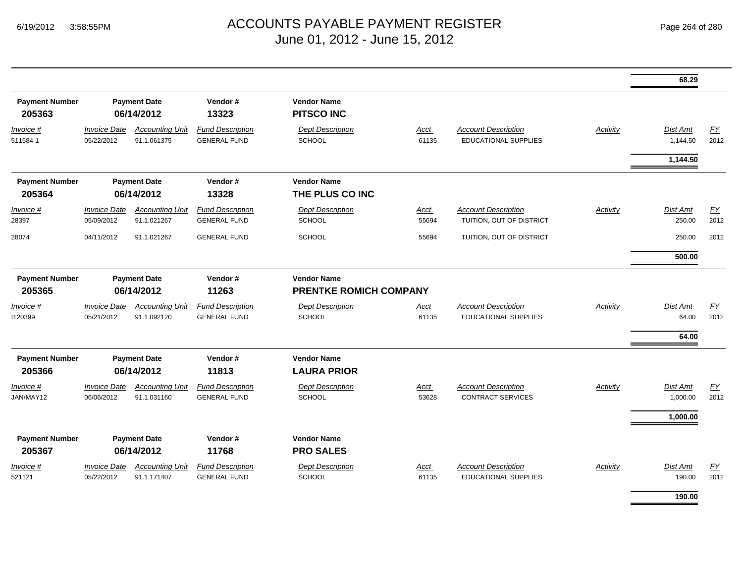|                                 |                                   |                                       |                                                |                                                     |                      |                                                           |                 | 68.29                     |                   |
|---------------------------------|-----------------------------------|---------------------------------------|------------------------------------------------|-----------------------------------------------------|----------------------|-----------------------------------------------------------|-----------------|---------------------------|-------------------|
| <b>Payment Number</b><br>205363 |                                   | <b>Payment Date</b><br>06/14/2012     | Vendor#<br>13323                               | <b>Vendor Name</b><br><b>PITSCO INC</b>             |                      |                                                           |                 |                           |                   |
| Invoice #<br>511584-1           | <b>Invoice Date</b><br>05/22/2012 | <b>Accounting Unit</b><br>91.1.061375 | <b>Fund Description</b><br><b>GENERAL FUND</b> | <b>Dept Description</b><br><b>SCHOOL</b>            | <b>Acct</b><br>61135 | <b>Account Description</b><br><b>EDUCATIONAL SUPPLIES</b> | <b>Activity</b> | Dist Amt<br>1,144.50      | <b>FY</b><br>2012 |
|                                 |                                   |                                       |                                                |                                                     |                      |                                                           |                 | 1,144.50                  |                   |
| <b>Payment Number</b><br>205364 |                                   | <b>Payment Date</b><br>06/14/2012     | Vendor#<br>13328                               | <b>Vendor Name</b><br>THE PLUS CO INC               |                      |                                                           |                 |                           |                   |
| Invoice #<br>28397              | <b>Invoice Date</b><br>05/09/2012 | <b>Accounting Unit</b><br>91.1.021267 | <b>Fund Description</b><br><b>GENERAL FUND</b> | <b>Dept Description</b><br>SCHOOL                   | <b>Acct</b><br>55694 | <b>Account Description</b><br>TUITION, OUT OF DISTRICT    | <b>Activity</b> | <b>Dist Amt</b><br>250.00 | EY<br>2012        |
| 28074                           | 04/11/2012                        | 91.1.021267                           | <b>GENERAL FUND</b>                            | <b>SCHOOL</b>                                       | 55694                | TUITION, OUT OF DISTRICT                                  |                 | 250.00                    | 2012              |
|                                 |                                   |                                       |                                                |                                                     |                      |                                                           |                 | 500.00                    |                   |
| <b>Payment Number</b><br>205365 |                                   | <b>Payment Date</b><br>06/14/2012     | Vendor#<br>11263                               | <b>Vendor Name</b><br><b>PRENTKE ROMICH COMPANY</b> |                      |                                                           |                 |                           |                   |
| Invoice #<br>1120399            | <b>Invoice Date</b><br>05/21/2012 | <b>Accounting Unit</b><br>91.1.092120 | <b>Fund Description</b><br><b>GENERAL FUND</b> | <b>Dept Description</b><br><b>SCHOOL</b>            | Acct<br>61135        | <b>Account Description</b><br><b>EDUCATIONAL SUPPLIES</b> | <b>Activity</b> | Dist Amt<br>64.00         | EY<br>2012        |
| <b>Payment Number</b><br>205366 |                                   | <b>Payment Date</b><br>06/14/2012     | Vendor#<br>11813                               | <b>Vendor Name</b><br><b>LAURA PRIOR</b>            |                      |                                                           |                 | 64.00                     |                   |
| Invoice #<br>JAN/MAY12          | <b>Invoice Date</b><br>06/06/2012 | <b>Accounting Unit</b><br>91.1.031160 | <b>Fund Description</b><br><b>GENERAL FUND</b> | Dept Description<br>SCHOOL                          | <b>Acct</b><br>53628 | <b>Account Description</b><br><b>CONTRACT SERVICES</b>    | <b>Activity</b> | Dist Amt<br>1,000.00      | EY<br>2012        |
|                                 |                                   |                                       |                                                |                                                     |                      |                                                           |                 | 1,000.00                  |                   |
| <b>Payment Number</b><br>205367 |                                   | <b>Payment Date</b><br>06/14/2012     | Vendor#<br>11768                               | <b>Vendor Name</b><br><b>PRO SALES</b>              |                      |                                                           |                 |                           |                   |
| Invoice #<br>521121             | <b>Invoice Date</b><br>05/22/2012 | <b>Accounting Unit</b><br>91.1.171407 | <b>Fund Description</b><br><b>GENERAL FUND</b> | <b>Dept Description</b><br><b>SCHOOL</b>            | Acct<br>61135        | <b>Account Description</b><br><b>EDUCATIONAL SUPPLIES</b> | Activity        | Dist Amt<br>190.00        | EY<br>2012        |
|                                 |                                   |                                       |                                                |                                                     |                      |                                                           |                 | 190.00                    |                   |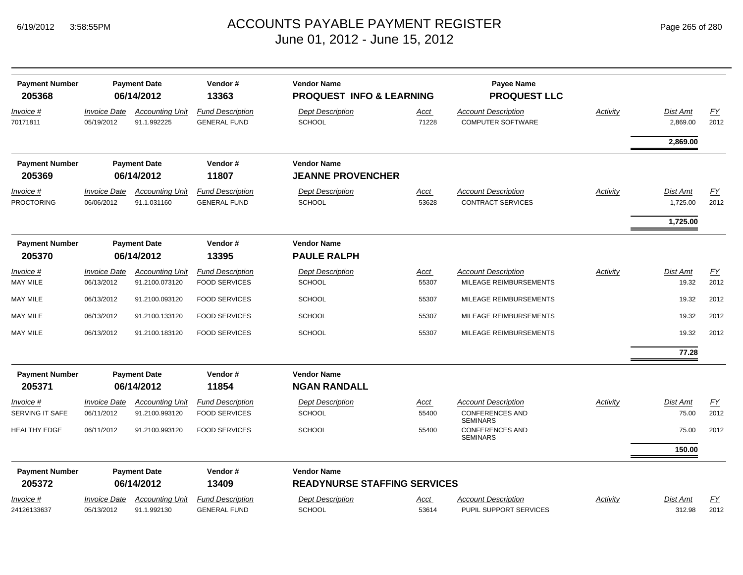| <b>Payment Number</b><br>205368 |                                   | <b>Payment Date</b><br>06/14/2012     | Vendor#<br>13363                               | <b>Vendor Name</b><br><b>PROQUEST INFO &amp; LEARNING</b> |                      | Payee Name<br><b>PROQUEST LLC</b>                      |          |                      |                   |
|---------------------------------|-----------------------------------|---------------------------------------|------------------------------------------------|-----------------------------------------------------------|----------------------|--------------------------------------------------------|----------|----------------------|-------------------|
| Invoice #<br>70171811           | <b>Invoice Date</b><br>05/19/2012 | <b>Accounting Unit</b><br>91.1.992225 | <b>Fund Description</b><br><b>GENERAL FUND</b> | <b>Dept Description</b><br><b>SCHOOL</b>                  | Acct<br>71228        | <b>Account Description</b><br><b>COMPUTER SOFTWARE</b> | Activity | Dist Amt<br>2,869.00 | EY<br>2012        |
|                                 |                                   |                                       |                                                |                                                           |                      |                                                        |          | 2,869.00             |                   |
| <b>Payment Number</b><br>205369 |                                   | <b>Payment Date</b><br>06/14/2012     | Vendor#<br>11807                               | <b>Vendor Name</b><br><b>JEANNE PROVENCHER</b>            |                      |                                                        |          |                      |                   |
| Invoice #<br><b>PROCTORING</b>  | <b>Invoice Date</b><br>06/06/2012 | <b>Accounting Unit</b><br>91.1.031160 | <b>Fund Description</b><br><b>GENERAL FUND</b> | <b>Dept Description</b><br>SCHOOL                         | <b>Acct</b><br>53628 | <b>Account Description</b><br><b>CONTRACT SERVICES</b> | Activity | Dist Amt<br>1,725.00 | <b>FY</b><br>2012 |
|                                 |                                   |                                       |                                                |                                                           |                      |                                                        |          | 1,725.00             |                   |
| <b>Payment Number</b><br>205370 |                                   | <b>Payment Date</b><br>06/14/2012     | Vendor#<br>13395                               | <b>Vendor Name</b><br><b>PAULE RALPH</b>                  |                      |                                                        |          |                      |                   |
| Invoice #                       | <b>Invoice Date</b>               | <b>Accounting Unit</b>                | <b>Fund Description</b>                        | <b>Dept Description</b>                                   | Acct                 | <b>Account Description</b>                             | Activity | Dist Amt             | <u>FY</u>         |
| MAY MILE                        | 06/13/2012                        | 91.2100.073120                        | <b>FOOD SERVICES</b>                           | <b>SCHOOL</b>                                             | 55307                | MILEAGE REIMBURSEMENTS                                 |          | 19.32                | 2012              |
| MAY MILE                        | 06/13/2012                        | 91.2100.093120                        | <b>FOOD SERVICES</b>                           | <b>SCHOOL</b>                                             | 55307                | MILEAGE REIMBURSEMENTS                                 |          | 19.32                | 2012              |
| <b>MAY MILE</b>                 | 06/13/2012                        | 91.2100.133120                        | <b>FOOD SERVICES</b>                           | <b>SCHOOL</b>                                             | 55307                | MILEAGE REIMBURSEMENTS                                 |          | 19.32                | 2012              |
| MAY MILE                        | 06/13/2012                        | 91.2100.183120                        | <b>FOOD SERVICES</b>                           | <b>SCHOOL</b>                                             | 55307                | MILEAGE REIMBURSEMENTS                                 |          | 19.32                | 2012              |
|                                 |                                   |                                       |                                                |                                                           |                      |                                                        |          | 77.28                |                   |
| <b>Payment Number</b><br>205371 |                                   | <b>Payment Date</b><br>06/14/2012     | Vendor#<br>11854                               | <b>Vendor Name</b><br><b>NGAN RANDALL</b>                 |                      |                                                        |          |                      |                   |
| Invoice #                       | <b>Invoice Date</b>               | <b>Accounting Unit</b>                | <b>Fund Description</b>                        | <b>Dept Description</b>                                   | Acct                 | <b>Account Description</b>                             | Activity | Dist Amt             | <u>FY</u>         |
| SERVING IT SAFE                 | 06/11/2012                        | 91.2100.993120                        | <b>FOOD SERVICES</b>                           | <b>SCHOOL</b>                                             | 55400                | <b>CONFERENCES AND</b><br><b>SEMINARS</b>              |          | 75.00                | 2012              |
| <b>HEALTHY EDGE</b>             | 06/11/2012                        | 91.2100.993120                        | <b>FOOD SERVICES</b>                           | <b>SCHOOL</b>                                             | 55400                | <b>CONFERENCES AND</b><br><b>SEMINARS</b>              |          | 75.00                | 2012              |
|                                 |                                   |                                       |                                                |                                                           |                      |                                                        |          | 150.00               |                   |
| <b>Payment Number</b>           |                                   | <b>Payment Date</b>                   | Vendor#                                        | <b>Vendor Name</b>                                        |                      |                                                        |          |                      |                   |
| 205372                          |                                   | 06/14/2012                            | 13409                                          | <b>READYNURSE STAFFING SERVICES</b>                       |                      |                                                        |          |                      |                   |
| Invoice #                       | <b>Invoice Date</b>               | <b>Accounting Unit</b>                | <b>Fund Description</b>                        | <b>Dept Description</b>                                   | Acct                 | <b>Account Description</b>                             | Activity | <b>Dist Amt</b>      | FΥ                |
| 24126133637                     | 05/13/2012                        | 91.1.992130                           | <b>GENERAL FUND</b>                            | <b>SCHOOL</b>                                             | 53614                | PUPIL SUPPORT SERVICES                                 |          | 312.98               | 2012              |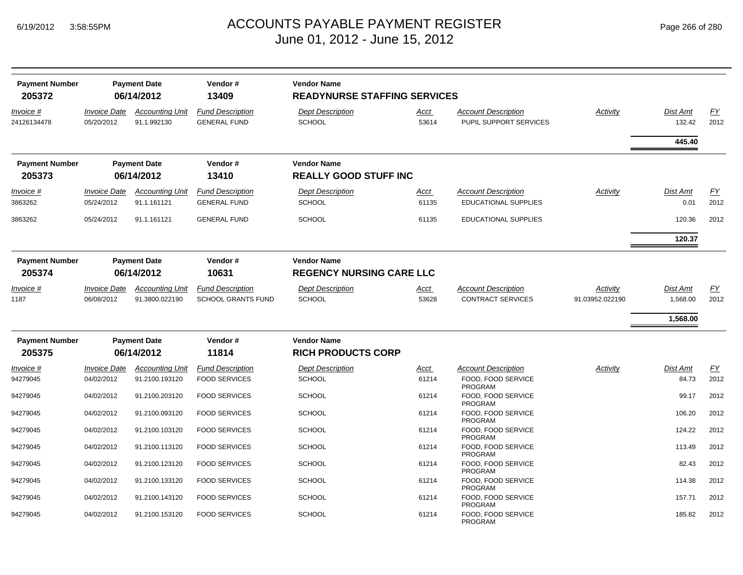| <b>Payment Number</b>    |                                          | <b>Payment Date</b>                      | Vendor#                                              | <b>Vendor Name</b>                       |                      |                                                           |                             |                             |                   |
|--------------------------|------------------------------------------|------------------------------------------|------------------------------------------------------|------------------------------------------|----------------------|-----------------------------------------------------------|-----------------------------|-----------------------------|-------------------|
| 205372                   |                                          | 06/14/2012                               | 13409                                                | <b>READYNURSE STAFFING SERVICES</b>      |                      |                                                           |                             |                             |                   |
| Invoice #<br>24126134478 | <b>Invoice Date</b><br>05/20/2012        | <b>Accounting Unit</b><br>91.1.992130    | <b>Fund Description</b><br><b>GENERAL FUND</b>       | <b>Dept Description</b><br><b>SCHOOL</b> | Acct<br>53614        | <b>Account Description</b><br>PUPIL SUPPORT SERVICES      | Activity                    | <b>Dist Amt</b><br>132.42   | EY<br>2012        |
|                          |                                          |                                          |                                                      |                                          |                      |                                                           |                             | 445.40                      |                   |
| <b>Payment Number</b>    |                                          | <b>Payment Date</b>                      | Vendor#                                              | <b>Vendor Name</b>                       |                      |                                                           |                             |                             |                   |
| 205373                   |                                          | 06/14/2012                               | 13410                                                | <b>REALLY GOOD STUFF INC</b>             |                      |                                                           |                             |                             |                   |
| Invoice #<br>3863262     | <b>Invoice Date</b><br>05/24/2012        | <b>Accounting Unit</b><br>91.1.161121    | <b>Fund Description</b><br><b>GENERAL FUND</b>       | <b>Dept Description</b><br><b>SCHOOL</b> | Acct<br>61135        | <b>Account Description</b><br><b>EDUCATIONAL SUPPLIES</b> | Activity                    | Dist Amt<br>0.01            | EY<br>2012        |
| 3863262                  | 05/24/2012                               | 91.1.161121                              | <b>GENERAL FUND</b>                                  | <b>SCHOOL</b>                            | 61135                | <b>EDUCATIONAL SUPPLIES</b>                               |                             | 120.36                      | 2012              |
|                          |                                          |                                          |                                                      |                                          |                      |                                                           |                             | 120.37                      |                   |
| <b>Payment Number</b>    |                                          | <b>Payment Date</b>                      | Vendor#                                              | <b>Vendor Name</b>                       |                      |                                                           |                             |                             |                   |
| 205374                   |                                          | 06/14/2012                               | 10631                                                | <b>REGENCY NURSING CARE LLC</b>          |                      |                                                           |                             |                             |                   |
| Invoice #<br>1187        | <i><b>Invoice Date</b></i><br>06/08/2012 | <b>Accounting Unit</b><br>91.3800.022190 | <b>Fund Description</b><br><b>SCHOOL GRANTS FUND</b> | <b>Dept Description</b><br><b>SCHOOL</b> | <u>Acct</u><br>53628 | <b>Account Description</b><br><b>CONTRACT SERVICES</b>    | Activity<br>91.03952.022190 | <b>Dist Amt</b><br>1,568.00 | <b>FY</b><br>2012 |
|                          |                                          |                                          |                                                      |                                          |                      |                                                           |                             | 1,568.00                    |                   |
| <b>Payment Number</b>    |                                          | <b>Payment Date</b>                      | Vendor#                                              | <b>Vendor Name</b>                       |                      |                                                           |                             |                             |                   |
| 205375                   |                                          | 06/14/2012                               | 11814                                                | <b>RICH PRODUCTS CORP</b>                |                      |                                                           |                             |                             |                   |
| Invoice #                | <b>Invoice Date</b>                      | <b>Accounting Unit</b>                   | <b>Fund Description</b>                              | <b>Dept Description</b>                  | <u>Acct</u>          | Account Description                                       | Activity                    | Dist Amt                    | EY                |
| 94279045                 | 04/02/2012                               | 91.2100.193120                           | <b>FOOD SERVICES</b>                                 | <b>SCHOOL</b>                            | 61214                | FOOD. FOOD SERVICE<br><b>PROGRAM</b>                      |                             | 84.73                       | 2012              |
| 94279045                 | 04/02/2012                               | 91.2100.203120                           | <b>FOOD SERVICES</b>                                 | <b>SCHOOL</b>                            | 61214                | FOOD, FOOD SERVICE<br>PROGRAM                             |                             | 99.17                       | 2012              |
| 94279045                 | 04/02/2012                               | 91.2100.093120                           | <b>FOOD SERVICES</b>                                 | <b>SCHOOL</b>                            | 61214                | FOOD, FOOD SERVICE<br>PROGRAM                             |                             | 106.20                      | 2012              |
| 94279045                 | 04/02/2012                               | 91.2100.103120                           | <b>FOOD SERVICES</b>                                 | <b>SCHOOL</b>                            | 61214                | FOOD, FOOD SERVICE<br>PROGRAM                             |                             | 124.22                      | 2012              |
| 94279045                 | 04/02/2012                               | 91.2100.113120                           | <b>FOOD SERVICES</b>                                 | <b>SCHOOL</b>                            | 61214                | FOOD, FOOD SERVICE<br>PROGRAM                             |                             | 113.49                      | 2012              |
| 94279045                 | 04/02/2012                               | 91.2100.123120                           | <b>FOOD SERVICES</b>                                 | <b>SCHOOL</b>                            | 61214                | FOOD, FOOD SERVICE<br><b>PROGRAM</b>                      |                             | 82.43                       | 2012              |
| 94279045                 | 04/02/2012                               | 91.2100.133120                           | <b>FOOD SERVICES</b>                                 | <b>SCHOOL</b>                            | 61214                | FOOD, FOOD SERVICE<br><b>PROGRAM</b>                      |                             | 114.38                      | 2012              |
| 94279045                 | 04/02/2012                               | 91.2100.143120                           | <b>FOOD SERVICES</b>                                 | <b>SCHOOL</b>                            | 61214                | FOOD. FOOD SERVICE<br><b>PROGRAM</b>                      |                             | 157.71                      | 2012              |
| 94279045                 | 04/02/2012                               | 91.2100.153120                           | <b>FOOD SERVICES</b>                                 | <b>SCHOOL</b>                            | 61214                | FOOD, FOOD SERVICE<br><b>PROGRAM</b>                      |                             | 185.82                      | 2012              |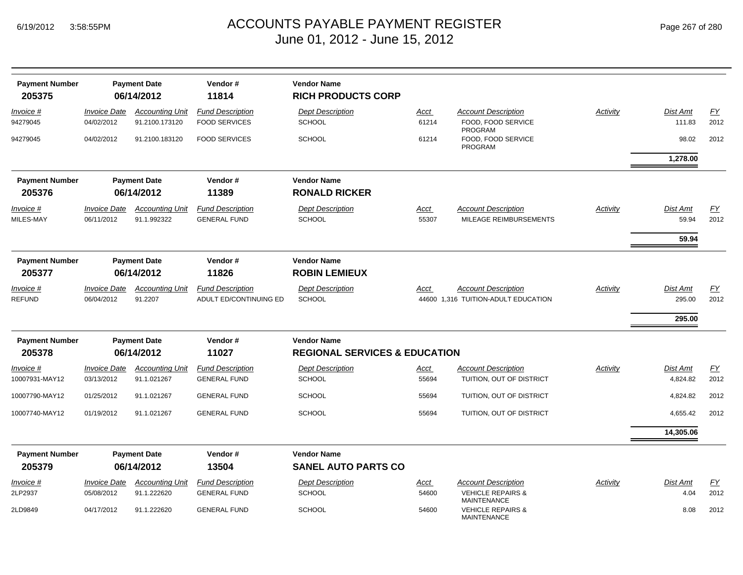| Page 267 of 280 |  |  |
|-----------------|--|--|
|                 |  |  |

| <b>Payment Number</b>           |                                   | <b>Payment Date</b>                      | Vendor#                                           | <b>Vendor Name</b>                                             |                      |                                                                   |          |                          |            |
|---------------------------------|-----------------------------------|------------------------------------------|---------------------------------------------------|----------------------------------------------------------------|----------------------|-------------------------------------------------------------------|----------|--------------------------|------------|
| 205375                          |                                   | 06/14/2012                               | 11814                                             | <b>RICH PRODUCTS CORP</b>                                      |                      |                                                                   |          |                          |            |
| Invoice #<br>94279045           | <b>Invoice Date</b><br>04/02/2012 | <b>Accounting Unit</b><br>91.2100.173120 | <b>Fund Description</b><br><b>FOOD SERVICES</b>   | <b>Dept Description</b><br><b>SCHOOL</b>                       | <u>Acct</u><br>61214 | <b>Account Description</b><br>FOOD, FOOD SERVICE                  | Activity | Dist Amt<br>111.83       | EY<br>2012 |
| 94279045                        | 04/02/2012                        | 91.2100.183120                           | <b>FOOD SERVICES</b>                              | <b>SCHOOL</b>                                                  | 61214                | PROGRAM<br>FOOD, FOOD SERVICE<br>PROGRAM                          |          | 98.02                    | 2012       |
|                                 |                                   |                                          |                                                   |                                                                |                      |                                                                   |          | 1,278.00                 |            |
| <b>Payment Number</b>           |                                   | <b>Payment Date</b>                      | Vendor#                                           | <b>Vendor Name</b>                                             |                      |                                                                   |          |                          |            |
| 205376                          |                                   | 06/14/2012                               | 11389                                             | <b>RONALD RICKER</b>                                           |                      |                                                                   |          |                          |            |
| Invoice #<br>MILES-MAY          | <b>Invoice Date</b><br>06/11/2012 | <b>Accounting Unit</b><br>91.1.992322    | <b>Fund Description</b><br><b>GENERAL FUND</b>    | <b>Dept Description</b><br><b>SCHOOL</b>                       | <u>Acct</u><br>55307 | <b>Account Description</b><br>MILEAGE REIMBURSEMENTS              | Activity | <b>Dist Amt</b><br>59.94 | EY<br>2012 |
|                                 |                                   |                                          |                                                   |                                                                |                      |                                                                   |          | 59.94                    |            |
| <b>Payment Number</b><br>205377 |                                   | <b>Payment Date</b><br>06/14/2012        | Vendor#<br>11826                                  | <b>Vendor Name</b><br><b>ROBIN LEMIEUX</b>                     |                      |                                                                   |          |                          |            |
| Invoice #<br><b>REFUND</b>      | <b>Invoice Date</b><br>06/04/2012 | <b>Accounting Unit</b><br>91.2207        | <b>Fund Description</b><br>ADULT ED/CONTINUING ED | <b>Dept Description</b><br><b>SCHOOL</b>                       | Acct                 | <b>Account Description</b><br>44600 1,316 TUITION-ADULT EDUCATION | Activity | Dist Amt<br>295.00       | EY<br>2012 |
|                                 |                                   |                                          |                                                   |                                                                |                      |                                                                   |          | 295.00                   |            |
| <b>Payment Number</b><br>205378 |                                   | <b>Payment Date</b><br>06/14/2012        | Vendor#<br>11027                                  | <b>Vendor Name</b><br><b>REGIONAL SERVICES &amp; EDUCATION</b> |                      |                                                                   |          |                          |            |
| Invoice #                       | <b>Invoice Date</b>               | <b>Accounting Unit</b>                   | <b>Fund Description</b>                           | <b>Dept Description</b>                                        | Acct                 | <b>Account Description</b>                                        | Activity | Dist Amt                 | EY         |
| 10007931-MAY12                  | 03/13/2012                        | 91.1.021267                              | <b>GENERAL FUND</b>                               | <b>SCHOOL</b>                                                  | 55694                | TUITION, OUT OF DISTRICT                                          |          | 4,824.82                 | 2012       |
| 10007790-MAY12                  | 01/25/2012                        | 91.1.021267                              | <b>GENERAL FUND</b>                               | <b>SCHOOL</b>                                                  | 55694                | TUITION, OUT OF DISTRICT                                          |          | 4,824.82                 | 2012       |
| 10007740-MAY12                  | 01/19/2012                        | 91.1.021267                              | <b>GENERAL FUND</b>                               | <b>SCHOOL</b>                                                  | 55694                | TUITION, OUT OF DISTRICT                                          |          | 4,655.42                 | 2012       |
|                                 |                                   |                                          |                                                   |                                                                |                      |                                                                   |          | 14,305.06                |            |
| <b>Payment Number</b><br>205379 |                                   | <b>Payment Date</b><br>06/14/2012        | Vendor#<br>13504                                  | <b>Vendor Name</b><br><b>SANEL AUTO PARTS CO</b>               |                      |                                                                   |          |                          |            |
| <i>Invoice</i> #                | <b>Invoice Date</b>               | <b>Accounting Unit</b>                   | <b>Fund Description</b>                           | <b>Dept Description</b>                                        | <u>Acct</u>          | <b>Account Description</b>                                        | Activity | Dist Amt                 | <u>FY</u>  |
| 2LP2937                         | 05/08/2012                        | 91.1.222620                              | <b>GENERAL FUND</b>                               | <b>SCHOOL</b>                                                  | 54600                | <b>VEHICLE REPAIRS &amp;</b><br><b>MAINTENANCE</b>                |          | 4.04                     | 2012       |
| 2LD9849                         | 04/17/2012                        | 91.1.222620                              | <b>GENERAL FUND</b>                               | <b>SCHOOL</b>                                                  | 54600                | <b>VEHICLE REPAIRS &amp;</b><br><b>MAINTENANCE</b>                |          | 8.08                     | 2012       |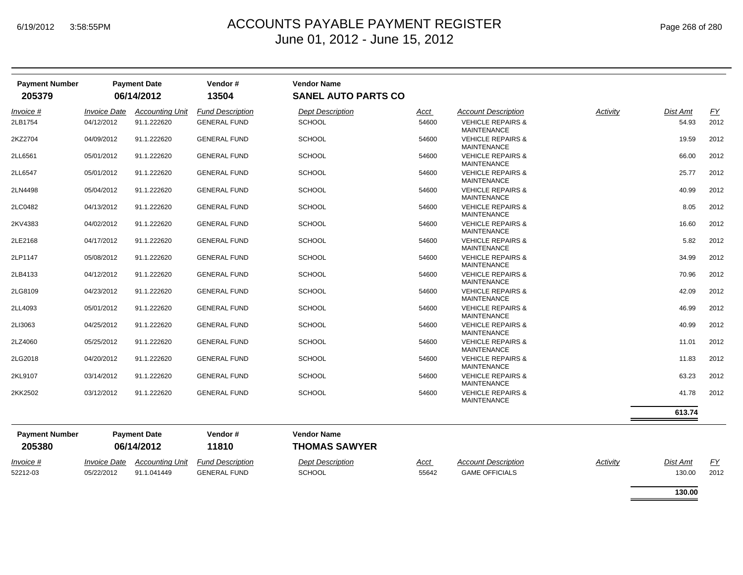| <b>Payment Number</b><br>205379 |                            | <b>Payment Date</b><br>06/14/2012 | Vendor#<br>13504        | <b>Vendor Name</b><br><b>SANEL AUTO PARTS CO</b> |             |                                                    |          |                 |           |
|---------------------------------|----------------------------|-----------------------------------|-------------------------|--------------------------------------------------|-------------|----------------------------------------------------|----------|-----------------|-----------|
| Invoice #                       | <b>Invoice Date</b>        | <b>Accounting Unit</b>            | <b>Fund Description</b> | <b>Dept Description</b>                          | <u>Acct</u> | <b>Account Description</b>                         | Activity | Dist Amt        | EY        |
| 2LB1754                         | 04/12/2012                 | 91.1.222620                       | <b>GENERAL FUND</b>     | <b>SCHOOL</b>                                    | 54600       | <b>VEHICLE REPAIRS &amp;</b><br><b>MAINTENANCE</b> |          | 54.93           | 2012      |
| 2KZ2704                         | 04/09/2012                 | 91.1.222620                       | <b>GENERAL FUND</b>     | <b>SCHOOL</b>                                    | 54600       | <b>VEHICLE REPAIRS &amp;</b><br><b>MAINTENANCE</b> |          | 19.59           | 2012      |
| 2LL6561                         | 05/01/2012                 | 91.1.222620                       | <b>GENERAL FUND</b>     | <b>SCHOOL</b>                                    | 54600       | <b>VEHICLE REPAIRS &amp;</b><br><b>MAINTENANCE</b> |          | 66.00           | 2012      |
| 2LL6547                         | 05/01/2012                 | 91.1.222620                       | <b>GENERAL FUND</b>     | <b>SCHOOL</b>                                    | 54600       | <b>VEHICLE REPAIRS &amp;</b><br><b>MAINTENANCE</b> |          | 25.77           | 2012      |
| 2LN4498                         | 05/04/2012                 | 91.1.222620                       | <b>GENERAL FUND</b>     | <b>SCHOOL</b>                                    | 54600       | <b>VEHICLE REPAIRS &amp;</b><br><b>MAINTENANCE</b> |          | 40.99           | 2012      |
| 2LC0482                         | 04/13/2012                 | 91.1.222620                       | <b>GENERAL FUND</b>     | <b>SCHOOL</b>                                    | 54600       | <b>VEHICLE REPAIRS &amp;</b><br><b>MAINTENANCE</b> |          | 8.05            | 2012      |
| 2KV4383                         | 04/02/2012                 | 91.1.222620                       | <b>GENERAL FUND</b>     | <b>SCHOOL</b>                                    | 54600       | <b>VEHICLE REPAIRS &amp;</b><br><b>MAINTENANCE</b> |          | 16.60           | 2012      |
| 2LE2168                         | 04/17/2012                 | 91.1.222620                       | <b>GENERAL FUND</b>     | <b>SCHOOL</b>                                    | 54600       | <b>VEHICLE REPAIRS &amp;</b><br><b>MAINTENANCE</b> |          | 5.82            | 2012      |
| 2LP1147                         | 05/08/2012                 | 91.1.222620                       | <b>GENERAL FUND</b>     | <b>SCHOOL</b>                                    | 54600       | <b>VEHICLE REPAIRS &amp;</b><br><b>MAINTENANCE</b> |          | 34.99           | 2012      |
| 2LB4133                         | 04/12/2012                 | 91.1.222620                       | <b>GENERAL FUND</b>     | <b>SCHOOL</b>                                    | 54600       | <b>VEHICLE REPAIRS &amp;</b><br><b>MAINTENANCE</b> |          | 70.96           | 2012      |
| 2LG8109                         | 04/23/2012                 | 91.1.222620                       | <b>GENERAL FUND</b>     | <b>SCHOOL</b>                                    | 54600       | <b>VEHICLE REPAIRS &amp;</b><br><b>MAINTENANCE</b> |          | 42.09           | 2012      |
| 2LL4093                         | 05/01/2012                 | 91.1.222620                       | <b>GENERAL FUND</b>     | <b>SCHOOL</b>                                    | 54600       | <b>VEHICLE REPAIRS &amp;</b><br><b>MAINTENANCE</b> |          | 46.99           | 2012      |
| 2LI3063                         | 04/25/2012                 | 91.1.222620                       | <b>GENERAL FUND</b>     | <b>SCHOOL</b>                                    | 54600       | <b>VEHICLE REPAIRS &amp;</b><br><b>MAINTENANCE</b> |          | 40.99           | 2012      |
| 2LZ4060                         | 05/25/2012                 | 91.1.222620                       | <b>GENERAL FUND</b>     | <b>SCHOOL</b>                                    | 54600       | <b>VEHICLE REPAIRS &amp;</b><br><b>MAINTENANCE</b> |          | 11.01           | 2012      |
| 2LG2018                         | 04/20/2012                 | 91.1.222620                       | <b>GENERAL FUND</b>     | <b>SCHOOL</b>                                    | 54600       | <b>VEHICLE REPAIRS &amp;</b><br><b>MAINTENANCE</b> |          | 11.83           | 2012      |
| 2KL9107                         | 03/14/2012                 | 91.1.222620                       | <b>GENERAL FUND</b>     | <b>SCHOOL</b>                                    | 54600       | <b>VEHICLE REPAIRS &amp;</b><br><b>MAINTENANCE</b> |          | 63.23           | 2012      |
| 2KK2502                         | 03/12/2012                 | 91.1.222620                       | <b>GENERAL FUND</b>     | <b>SCHOOL</b>                                    | 54600       | <b>VEHICLE REPAIRS &amp;</b><br><b>MAINTENANCE</b> |          | 41.78           | 2012      |
|                                 |                            |                                   |                         |                                                  |             |                                                    |          | 613.74          |           |
| <b>Payment Number</b><br>205380 |                            | <b>Payment Date</b><br>06/14/2012 | Vendor#<br>11810        | <b>Vendor Name</b><br><b>THOMAS SAWYER</b>       |             |                                                    |          |                 |           |
| Invoice #                       | <i><b>Invoice Date</b></i> | <b>Accounting Unit</b>            | <b>Fund Description</b> | <b>Dept Description</b>                          | Acct        | <b>Account Description</b>                         | Activity | <b>Dist Amt</b> | <u>FY</u> |
| 52212-03                        | 05/22/2012                 | 91.1.041449                       | <b>GENERAL FUND</b>     | <b>SCHOOL</b>                                    | 55642       | <b>GAME OFFICIALS</b>                              |          | 130.00          | 2012      |
|                                 |                            |                                   |                         |                                                  |             |                                                    |          | 130.00          |           |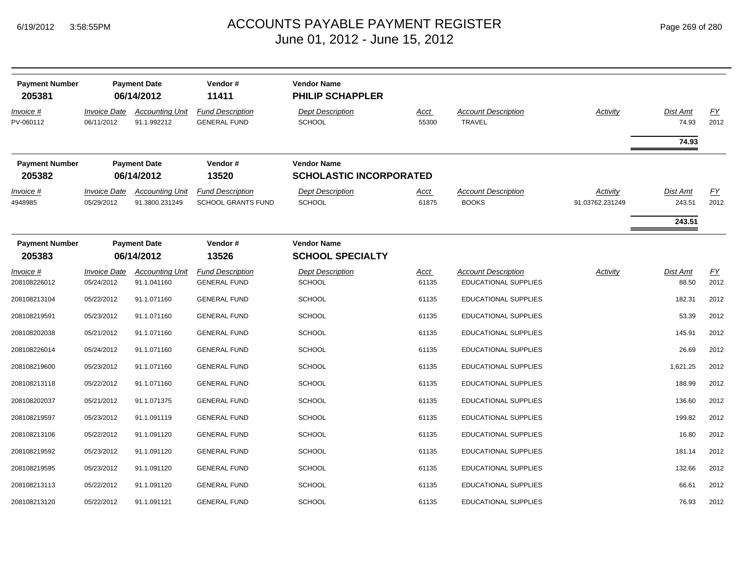| <b>Payment Number</b>                   |                                   | <b>Payment Date</b>                                 | Vendor#                                                 | <b>Vendor Name</b>                                                  |                      |                                             |                 |                   |                   |
|-----------------------------------------|-----------------------------------|-----------------------------------------------------|---------------------------------------------------------|---------------------------------------------------------------------|----------------------|---------------------------------------------|-----------------|-------------------|-------------------|
| 205381<br><u>Invoice #</u><br>PV-060112 | <b>Invoice Date</b><br>06/11/2012 | 06/14/2012<br><b>Accounting Unit</b><br>91.1.992212 | 11411<br><b>Fund Description</b><br><b>GENERAL FUND</b> | <b>PHILIP SCHAPPLER</b><br><b>Dept Description</b><br><b>SCHOOL</b> | <u>Acct</u><br>55300 | <b>Account Description</b><br><b>TRAVEL</b> | <b>Activity</b> | Dist Amt<br>74.93 | <u>FY</u><br>2012 |
|                                         |                                   |                                                     |                                                         |                                                                     |                      |                                             |                 | 74.93             |                   |
| <b>Payment Number</b><br>205382         |                                   | <b>Payment Date</b><br>06/14/2012                   | Vendor#<br>13520                                        | <b>Vendor Name</b><br><b>SCHOLASTIC INCORPORATED</b>                |                      |                                             |                 |                   |                   |
| Invoice #                               | <b>Invoice Date</b>               | <b>Accounting Unit</b>                              | <b>Fund Description</b>                                 | <b>Dept Description</b>                                             | Acct                 | <b>Account Description</b>                  | Activity        | Dist Amt          | EY                |
| 4948985                                 | 05/29/2012                        | 91.3800.231249                                      | SCHOOL GRANTS FUND                                      | <b>SCHOOL</b>                                                       | 61875                | <b>BOOKS</b>                                | 91.03762.231249 | 243.51            | 2012              |
|                                         |                                   |                                                     |                                                         |                                                                     |                      |                                             |                 | 243.51            |                   |
| <b>Payment Number</b><br>205383         |                                   | <b>Payment Date</b><br>06/14/2012                   | Vendor#<br>13526                                        | <b>Vendor Name</b><br><b>SCHOOL SPECIALTY</b>                       |                      |                                             |                 |                   |                   |
| <u>Invoice #</u>                        | <b>Invoice Date</b>               | <b>Accounting Unit</b>                              | <b>Fund Description</b>                                 | <b>Dept Description</b>                                             | <b>Acct</b>          | <b>Account Description</b>                  | <b>Activity</b> | <b>Dist Amt</b>   | EY                |
| 208108226012                            | 05/24/2012                        | 91.1.041160                                         | <b>GENERAL FUND</b>                                     | <b>SCHOOL</b>                                                       | 61135                | <b>EDUCATIONAL SUPPLIES</b>                 |                 | 88.50             | 2012              |
| 208108213104                            | 05/22/2012                        | 91.1.071160                                         | <b>GENERAL FUND</b>                                     | <b>SCHOOL</b>                                                       | 61135                | <b>EDUCATIONAL SUPPLIES</b>                 |                 | 182.31            | 2012              |
| 208108219591                            | 05/23/2012                        | 91.1.071160                                         | <b>GENERAL FUND</b>                                     | <b>SCHOOL</b>                                                       | 61135                | <b>EDUCATIONAL SUPPLIES</b>                 |                 | 53.39             | 2012              |
| 208108202038                            | 05/21/2012                        | 91.1.071160                                         | <b>GENERAL FUND</b>                                     | <b>SCHOOL</b>                                                       | 61135                | <b>EDUCATIONAL SUPPLIES</b>                 |                 | 145.91            | 2012              |
| 208108226014                            | 05/24/2012                        | 91.1.071160                                         | <b>GENERAL FUND</b>                                     | <b>SCHOOL</b>                                                       | 61135                | <b>EDUCATIONAL SUPPLIES</b>                 |                 | 26.69             | 2012              |
| 208108219600                            | 05/23/2012                        | 91.1.071160                                         | <b>GENERAL FUND</b>                                     | <b>SCHOOL</b>                                                       | 61135                | <b>EDUCATIONAL SUPPLIES</b>                 |                 | 1,621.25          | 2012              |
| 208108213118                            | 05/22/2012                        | 91.1.071160                                         | <b>GENERAL FUND</b>                                     | <b>SCHOOL</b>                                                       | 61135                | EDUCATIONAL SUPPLIES                        |                 | 188.99            | 2012              |
| 208108202037                            | 05/21/2012                        | 91.1.071375                                         | <b>GENERAL FUND</b>                                     | <b>SCHOOL</b>                                                       | 61135                | EDUCATIONAL SUPPLIES                        |                 | 136.60            | 2012              |
| 208108219597                            | 05/23/2012                        | 91.1.091119                                         | <b>GENERAL FUND</b>                                     | <b>SCHOOL</b>                                                       | 61135                | <b>EDUCATIONAL SUPPLIES</b>                 |                 | 199.82            | 2012              |
| 208108213106                            | 05/22/2012                        | 91.1.091120                                         | <b>GENERAL FUND</b>                                     | <b>SCHOOL</b>                                                       | 61135                | <b>EDUCATIONAL SUPPLIES</b>                 |                 | 16.80             | 2012              |
| 208108219592                            | 05/23/2012                        | 91.1.091120                                         | <b>GENERAL FUND</b>                                     | <b>SCHOOL</b>                                                       | 61135                | <b>EDUCATIONAL SUPPLIES</b>                 |                 | 181.14            | 2012              |
| 208108219595                            | 05/23/2012                        | 91.1.091120                                         | <b>GENERAL FUND</b>                                     | <b>SCHOOL</b>                                                       | 61135                | <b>EDUCATIONAL SUPPLIES</b>                 |                 | 132.66            | 2012              |
| 208108213113                            | 05/22/2012                        | 91.1.091120                                         | <b>GENERAL FUND</b>                                     | <b>SCHOOL</b>                                                       | 61135                | <b>EDUCATIONAL SUPPLIES</b>                 |                 | 66.61             | 2012              |
| 208108213120                            | 05/22/2012                        | 91.1.091121                                         | <b>GENERAL FUND</b>                                     | <b>SCHOOL</b>                                                       | 61135                | <b>EDUCATIONAL SUPPLIES</b>                 |                 | 76.93             | 2012              |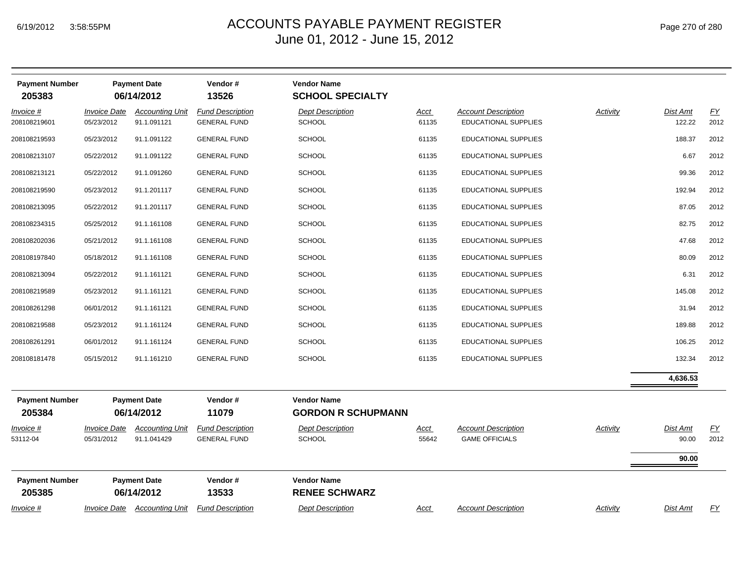| <b>Payment Number</b><br>205383 |                                   | <b>Payment Date</b><br>06/14/2012     | Vendor#<br>13526                               | <b>Vendor Name</b><br><b>SCHOOL SPECIALTY</b>   |                      |                                                     |                 |                            |            |
|---------------------------------|-----------------------------------|---------------------------------------|------------------------------------------------|-------------------------------------------------|----------------------|-----------------------------------------------------|-----------------|----------------------------|------------|
| Invoice #<br>208108219601       | <b>Invoice Date</b><br>05/23/2012 | <b>Accounting Unit</b><br>91.1.091121 | <b>Fund Description</b><br><b>GENERAL FUND</b> | <b>Dept Description</b><br><b>SCHOOL</b>        | Acct<br>61135        | <b>Account Description</b><br>EDUCATIONAL SUPPLIES  | <b>Activity</b> | Dist Amt<br>122.22         | EY<br>2012 |
| 208108219593                    | 05/23/2012                        | 91.1.091122                           | <b>GENERAL FUND</b>                            | <b>SCHOOL</b>                                   | 61135                | EDUCATIONAL SUPPLIES                                |                 | 188.37                     | 2012       |
| 208108213107                    | 05/22/2012                        | 91.1.091122                           | <b>GENERAL FUND</b>                            | <b>SCHOOL</b>                                   | 61135                | <b>EDUCATIONAL SUPPLIES</b>                         |                 | 6.67                       | 2012       |
| 208108213121                    | 05/22/2012                        | 91.1.091260                           | <b>GENERAL FUND</b>                            | <b>SCHOOL</b>                                   | 61135                | EDUCATIONAL SUPPLIES                                |                 | 99.36                      | 2012       |
| 208108219590                    | 05/23/2012                        | 91.1.201117                           | <b>GENERAL FUND</b>                            | <b>SCHOOL</b>                                   | 61135                | EDUCATIONAL SUPPLIES                                |                 | 192.94                     | 2012       |
| 208108213095                    | 05/22/2012                        | 91.1.201117                           | <b>GENERAL FUND</b>                            | <b>SCHOOL</b>                                   | 61135                | EDUCATIONAL SUPPLIES                                |                 | 87.05                      | 2012       |
| 208108234315                    | 05/25/2012                        | 91.1.161108                           | <b>GENERAL FUND</b>                            | <b>SCHOOL</b>                                   | 61135                | EDUCATIONAL SUPPLIES                                |                 | 82.75                      | 2012       |
| 208108202036                    | 05/21/2012                        | 91.1.161108                           | <b>GENERAL FUND</b>                            | <b>SCHOOL</b>                                   | 61135                | <b>EDUCATIONAL SUPPLIES</b>                         |                 | 47.68                      | 2012       |
| 208108197840                    | 05/18/2012                        | 91.1.161108                           | <b>GENERAL FUND</b>                            | <b>SCHOOL</b>                                   | 61135                | EDUCATIONAL SUPPLIES                                |                 | 80.09                      | 2012       |
| 208108213094                    | 05/22/2012                        | 91.1.161121                           | <b>GENERAL FUND</b>                            | <b>SCHOOL</b>                                   | 61135                | EDUCATIONAL SUPPLIES                                |                 | 6.31                       | 2012       |
| 208108219589                    | 05/23/2012                        | 91.1.161121                           | <b>GENERAL FUND</b>                            | <b>SCHOOL</b>                                   | 61135                | EDUCATIONAL SUPPLIES                                |                 | 145.08                     | 2012       |
| 208108261298                    | 06/01/2012                        | 91.1.161121                           | <b>GENERAL FUND</b>                            | <b>SCHOOL</b>                                   | 61135                | EDUCATIONAL SUPPLIES                                |                 | 31.94                      | 2012       |
| 208108219588                    | 05/23/2012                        | 91.1.161124                           | <b>GENERAL FUND</b>                            | <b>SCHOOL</b>                                   | 61135                | EDUCATIONAL SUPPLIES                                |                 | 189.88                     | 2012       |
| 208108261291                    | 06/01/2012                        | 91.1.161124                           | <b>GENERAL FUND</b>                            | <b>SCHOOL</b>                                   | 61135                | EDUCATIONAL SUPPLIES                                |                 | 106.25                     | 2012       |
| 208108181478                    | 05/15/2012                        | 91.1.161210                           | <b>GENERAL FUND</b>                            | <b>SCHOOL</b>                                   | 61135                | EDUCATIONAL SUPPLIES                                |                 | 132.34                     | 2012       |
|                                 |                                   |                                       |                                                |                                                 |                      |                                                     |                 | 4,636.53                   |            |
| <b>Payment Number</b><br>205384 |                                   | <b>Payment Date</b><br>06/14/2012     | Vendor#<br>11079                               | <b>Vendor Name</b><br><b>GORDON R SCHUPMANN</b> |                      |                                                     |                 |                            |            |
| $Invoice$ #<br>53112-04         | <b>Invoice Date</b><br>05/31/2012 | <b>Accounting Unit</b><br>91.1.041429 | <b>Fund Description</b><br><b>GENERAL FUND</b> | <b>Dept Description</b><br><b>SCHOOL</b>        | <u>Acct</u><br>55642 | <b>Account Description</b><br><b>GAME OFFICIALS</b> | Activity        | Dist Amt<br>90.00<br>90.00 | EY<br>2012 |
| <b>Payment Number</b><br>205385 |                                   | <b>Payment Date</b><br>06/14/2012     | Vendor#<br>13533                               | <b>Vendor Name</b><br><b>RENEE SCHWARZ</b>      |                      |                                                     |                 |                            |            |
| <i>Invoice</i> #                | <i><b>Invoice Date</b></i>        | <b>Accounting Unit</b>                | <b>Fund Description</b>                        | <b>Dept Description</b>                         | Acct                 | <b>Account Description</b>                          | Activity        | Dist Amt                   | EY         |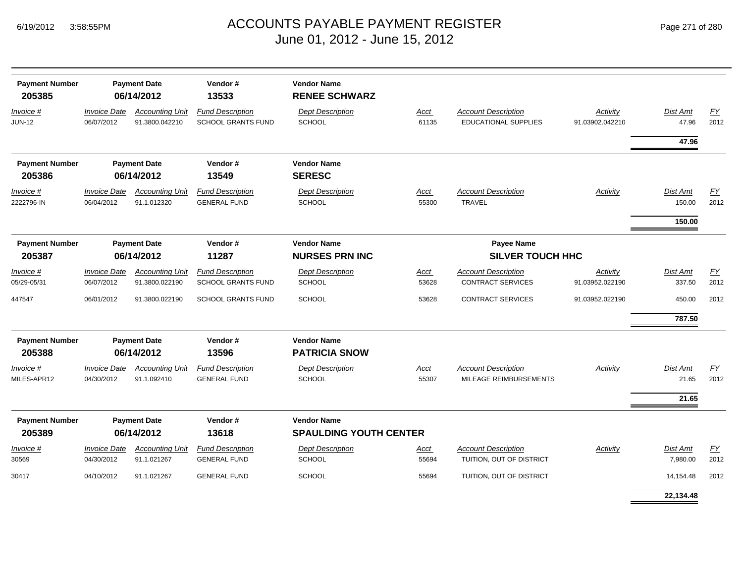| Page 271 of 280 |  |  |
|-----------------|--|--|
|-----------------|--|--|

| <b>Payment Number</b><br>205385 |                                   | <b>Payment Date</b><br>06/14/2012        | Vendor#<br>13533                                     | <b>Vendor Name</b><br><b>RENEE SCHWARZ</b>          |                      |                                                           |                                    |                      |                          |
|---------------------------------|-----------------------------------|------------------------------------------|------------------------------------------------------|-----------------------------------------------------|----------------------|-----------------------------------------------------------|------------------------------------|----------------------|--------------------------|
| Invoice #<br><b>JUN-12</b>      | <b>Invoice Date</b><br>06/07/2012 | <b>Accounting Unit</b><br>91.3800.042210 | <b>Fund Description</b><br><b>SCHOOL GRANTS FUND</b> | <b>Dept Description</b><br>SCHOOL                   | Acct<br>61135        | <b>Account Description</b><br><b>EDUCATIONAL SUPPLIES</b> | <b>Activity</b><br>91.03902.042210 | Dist Amt<br>47.96    | FY<br>2012               |
|                                 |                                   |                                          |                                                      |                                                     |                      |                                                           |                                    | 47.96                |                          |
| <b>Payment Number</b><br>205386 |                                   | <b>Payment Date</b><br>06/14/2012        | Vendor#<br>13549                                     | <b>Vendor Name</b><br><b>SERESC</b>                 |                      |                                                           |                                    |                      |                          |
| Invoice #<br>2222796-IN         | <b>Invoice Date</b><br>06/04/2012 | <b>Accounting Unit</b><br>91.1.012320    | <b>Fund Description</b><br><b>GENERAL FUND</b>       | <b>Dept Description</b><br>SCHOOL                   | Acct<br>55300        | <b>Account Description</b><br><b>TRAVEL</b>               | Activity                           | Dist Amt<br>150.00   | EY<br>2012               |
|                                 |                                   |                                          |                                                      |                                                     |                      |                                                           |                                    | 150.00               |                          |
| <b>Payment Number</b><br>205387 |                                   | <b>Payment Date</b><br>06/14/2012        | Vendor#<br>11287                                     | <b>Vendor Name</b><br><b>NURSES PRN INC</b>         |                      | <b>Payee Name</b><br><b>SILVER TOUCH HHC</b>              |                                    |                      |                          |
| Invoice #<br>05/29-05/31        | <b>Invoice Date</b><br>06/07/2012 | <b>Accounting Unit</b><br>91.3800.022190 | <b>Fund Description</b><br>SCHOOL GRANTS FUND        | <b>Dept Description</b><br><b>SCHOOL</b>            | <b>Acct</b><br>53628 | <b>Account Description</b><br><b>CONTRACT SERVICES</b>    | Activity<br>91.03952.022190        | Dist Amt<br>337.50   | EY<br>2012               |
| 447547                          | 06/01/2012                        | 91.3800.022190                           | <b>SCHOOL GRANTS FUND</b>                            | <b>SCHOOL</b>                                       | 53628                | <b>CONTRACT SERVICES</b>                                  | 91.03952.022190                    | 450.00<br>787.50     | 2012                     |
| <b>Payment Number</b><br>205388 |                                   | <b>Payment Date</b><br>06/14/2012        | Vendor#<br>13596                                     | <b>Vendor Name</b><br><b>PATRICIA SNOW</b>          |                      |                                                           |                                    |                      |                          |
| Invoice #<br>MILES-APR12        | <b>Invoice Date</b><br>04/30/2012 | <b>Accounting Unit</b><br>91.1.092410    | <b>Fund Description</b><br><b>GENERAL FUND</b>       | <b>Dept Description</b><br><b>SCHOOL</b>            | Acct<br>55307        | <b>Account Description</b><br>MILEAGE REIMBURSEMENTS      | Activity                           | Dist Amt<br>21.65    | EY<br>2012               |
|                                 |                                   |                                          |                                                      |                                                     |                      |                                                           |                                    | 21.65                |                          |
| <b>Payment Number</b><br>205389 |                                   | <b>Payment Date</b><br>06/14/2012        | Vendor#<br>13618                                     | <b>Vendor Name</b><br><b>SPAULDING YOUTH CENTER</b> |                      |                                                           |                                    |                      |                          |
| Invoice #<br>30569              | <b>Invoice Date</b><br>04/30/2012 | <b>Accounting Unit</b><br>91.1.021267    | <b>Fund Description</b><br><b>GENERAL FUND</b>       | <b>Dept Description</b><br>SCHOOL                   | Acct<br>55694        | <b>Account Description</b><br>TUITION, OUT OF DISTRICT    | <b>Activity</b>                    | Dist Amt<br>7,980.00 | $\underline{FY}$<br>2012 |
| 30417                           | 04/10/2012                        | 91.1.021267                              | <b>GENERAL FUND</b>                                  | <b>SCHOOL</b>                                       | 55694                | TUITION, OUT OF DISTRICT                                  |                                    | 14,154.48            | 2012                     |
|                                 |                                   |                                          |                                                      |                                                     |                      |                                                           |                                    | 22.134.48            |                          |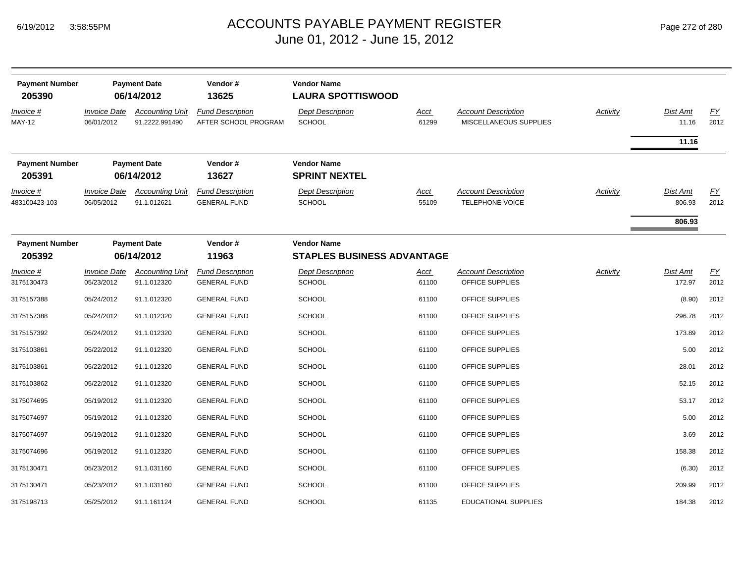| <b>Payment Number</b><br>205390 |                                   | <b>Payment Date</b><br>06/14/2012        | Vendor#<br>13625                                | <b>Vendor Name</b><br><b>LAURA SPOTTISWOOD</b>          |               |                                                      |          |                   |                   |
|---------------------------------|-----------------------------------|------------------------------------------|-------------------------------------------------|---------------------------------------------------------|---------------|------------------------------------------------------|----------|-------------------|-------------------|
| Invoice #<br><b>MAY-12</b>      | <b>Invoice Date</b><br>06/01/2012 | <b>Accounting Unit</b><br>91.2222.991490 | <b>Fund Description</b><br>AFTER SCHOOL PROGRAM | <b>Dept Description</b><br><b>SCHOOL</b>                | Acct<br>61299 | <b>Account Description</b><br>MISCELLANEOUS SUPPLIES | Activity | Dist Amt<br>11.16 | <u>FY</u><br>2012 |
|                                 |                                   |                                          |                                                 |                                                         |               |                                                      |          | 11.16             |                   |
| <b>Payment Number</b><br>205391 |                                   | <b>Payment Date</b><br>06/14/2012        | Vendor#<br>13627                                | <b>Vendor Name</b><br><b>SPRINT NEXTEL</b>              |               |                                                      |          |                   |                   |
| Invoice #                       | <b>Invoice Date</b>               | <b>Accounting Unit</b>                   | <b>Fund Description</b>                         | <b>Dept Description</b>                                 | <u>Acct</u>   | <b>Account Description</b>                           | Activity | Dist Amt          | EY                |
| 483100423-103                   | 06/05/2012                        | 91.1.012621                              | <b>GENERAL FUND</b>                             | <b>SCHOOL</b>                                           | 55109         | TELEPHONE-VOICE                                      |          | 806.93            | 2012              |
|                                 |                                   |                                          |                                                 |                                                         |               |                                                      |          | 806.93            |                   |
| <b>Payment Number</b><br>205392 | <b>Payment Date</b><br>06/14/2012 |                                          | Vendor#<br>11963                                | <b>Vendor Name</b><br><b>STAPLES BUSINESS ADVANTAGE</b> |               |                                                      |          |                   |                   |
| Invoice #                       | <i><b>Invoice Date</b></i>        | <b>Accounting Unit</b>                   | <b>Fund Description</b>                         | <b>Dept Description</b>                                 | Acct          | <b>Account Description</b>                           | Activity | Dist Amt          | EY                |
| 3175130473                      | 05/23/2012                        | 91.1.012320                              | <b>GENERAL FUND</b>                             | <b>SCHOOL</b>                                           | 61100         | OFFICE SUPPLIES                                      |          | 172.97            | 2012              |
| 3175157388                      | 05/24/2012                        | 91.1.012320                              | <b>GENERAL FUND</b>                             | <b>SCHOOL</b>                                           | 61100         | OFFICE SUPPLIES                                      |          | (8.90)            | 2012              |
| 3175157388                      | 05/24/2012                        | 91.1.012320                              | <b>GENERAL FUND</b>                             | <b>SCHOOL</b>                                           | 61100         | OFFICE SUPPLIES                                      |          | 296.78            | 2012              |
| 3175157392                      | 05/24/2012                        | 91.1.012320                              | <b>GENERAL FUND</b>                             | <b>SCHOOL</b>                                           | 61100         | OFFICE SUPPLIES                                      |          | 173.89            | 2012              |
| 3175103861                      | 05/22/2012                        | 91.1.012320                              | <b>GENERAL FUND</b>                             | <b>SCHOOL</b>                                           | 61100         | OFFICE SUPPLIES                                      |          | 5.00              | 2012              |
| 3175103861                      | 05/22/2012                        | 91.1.012320                              | <b>GENERAL FUND</b>                             | <b>SCHOOL</b>                                           | 61100         | OFFICE SUPPLIES                                      |          | 28.01             | 2012              |
| 3175103862                      | 05/22/2012                        | 91.1.012320                              | <b>GENERAL FUND</b>                             | <b>SCHOOL</b>                                           | 61100         | OFFICE SUPPLIES                                      |          | 52.15             | 2012              |
| 3175074695                      | 05/19/2012                        | 91.1.012320                              | <b>GENERAL FUND</b>                             | <b>SCHOOL</b>                                           | 61100         | OFFICE SUPPLIES                                      |          | 53.17             | 2012              |
| 3175074697                      | 05/19/2012                        | 91.1.012320                              | <b>GENERAL FUND</b>                             | <b>SCHOOL</b>                                           | 61100         | OFFICE SUPPLIES                                      |          | 5.00              | 2012              |
| 3175074697                      | 05/19/2012                        | 91.1.012320                              | <b>GENERAL FUND</b>                             | <b>SCHOOL</b>                                           | 61100         | OFFICE SUPPLIES                                      |          | 3.69              | 2012              |
| 3175074696                      | 05/19/2012                        | 91.1.012320                              | <b>GENERAL FUND</b>                             | <b>SCHOOL</b>                                           | 61100         | OFFICE SUPPLIES                                      |          | 158.38            | 2012              |
| 3175130471                      | 05/23/2012                        | 91.1.031160                              | <b>GENERAL FUND</b>                             | <b>SCHOOL</b>                                           | 61100         | OFFICE SUPPLIES                                      |          | (6.30)            | 2012              |
| 3175130471                      | 05/23/2012                        | 91.1.031160                              | <b>GENERAL FUND</b>                             | <b>SCHOOL</b>                                           | 61100         | OFFICE SUPPLIES                                      |          | 209.99            | 2012              |
| 3175198713                      | 05/25/2012                        | 91.1.161124                              | <b>GENERAL FUND</b>                             | SCHOOL                                                  | 61135         | <b>EDUCATIONAL SUPPLIES</b>                          |          | 184.38            | 2012              |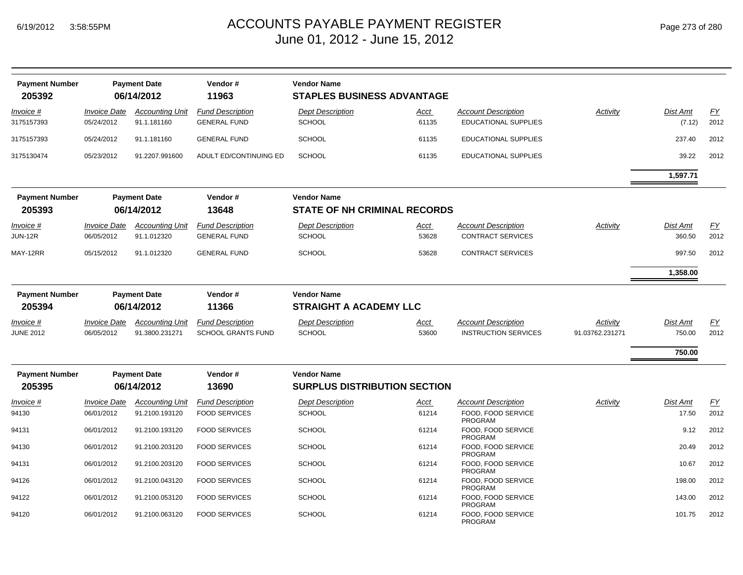| <b>Payment Number</b><br>205392 |                            | <b>Payment Date</b><br>06/14/2012 | Vendor#<br>11963          | <b>Vendor Name</b><br><b>STAPLES BUSINESS ADVANTAGE</b> |             |                                      |                 |          |                  |
|---------------------------------|----------------------------|-----------------------------------|---------------------------|---------------------------------------------------------|-------------|--------------------------------------|-----------------|----------|------------------|
| <u> Invoice #</u>               | <b>Invoice Date</b>        | <b>Accounting Unit</b>            | <b>Fund Description</b>   | <b>Dept Description</b>                                 | <u>Acct</u> | <b>Account Description</b>           | Activity        | Dist Amt | EY               |
| 3175157393                      | 05/24/2012                 | 91.1.181160                       | <b>GENERAL FUND</b>       | <b>SCHOOL</b>                                           | 61135       | <b>EDUCATIONAL SUPPLIES</b>          |                 | (7.12)   | 2012             |
| 3175157393                      | 05/24/2012                 | 91.1.181160                       | <b>GENERAL FUND</b>       | <b>SCHOOL</b>                                           | 61135       | <b>EDUCATIONAL SUPPLIES</b>          |                 | 237.40   | 2012             |
| 3175130474                      | 05/23/2012                 | 91.2207.991600                    | ADULT ED/CONTINUING ED    | <b>SCHOOL</b>                                           | 61135       | <b>EDUCATIONAL SUPPLIES</b>          |                 | 39.22    | 2012             |
|                                 |                            |                                   |                           |                                                         |             |                                      |                 | 1,597.71 |                  |
| <b>Payment Number</b>           |                            | <b>Payment Date</b>               | Vendor#                   | <b>Vendor Name</b>                                      |             |                                      |                 |          |                  |
| 205393                          |                            | 06/14/2012                        | 13648                     | <b>STATE OF NH CRIMINAL RECORDS</b>                     |             |                                      |                 |          |                  |
| Invoice #                       | <b>Invoice Date</b>        | <b>Accounting Unit</b>            | <b>Fund Description</b>   | <b>Dept Description</b>                                 | Acct        | <b>Account Description</b>           | Activity        | Dist Amt | <u>FY</u>        |
| <b>JUN-12R</b>                  | 06/05/2012                 | 91.1.012320                       | <b>GENERAL FUND</b>       | <b>SCHOOL</b>                                           | 53628       | <b>CONTRACT SERVICES</b>             |                 | 360.50   | 2012             |
| MAY-12RR                        | 05/15/2012                 | 91.1.012320                       | <b>GENERAL FUND</b>       | <b>SCHOOL</b>                                           | 53628       | <b>CONTRACT SERVICES</b>             |                 | 997.50   | 2012             |
|                                 |                            |                                   |                           |                                                         |             |                                      |                 | 1,358.00 |                  |
| <b>Payment Number</b><br>205394 |                            | <b>Payment Date</b><br>06/14/2012 | Vendor#<br>11366          | <b>Vendor Name</b><br><b>STRAIGHT A ACADEMY LLC</b>     |             |                                      |                 |          |                  |
| Invoice #                       | <i><b>Invoice Date</b></i> | <b>Accounting Unit</b>            | <b>Fund Description</b>   | <b>Dept Description</b>                                 | Acct        | <b>Account Description</b>           | Activity        | Dist Amt | <u>FY</u>        |
| <b>JUNE 2012</b>                | 06/05/2012                 | 91.3800.231271                    | <b>SCHOOL GRANTS FUND</b> | <b>SCHOOL</b>                                           | 53600       | <b>INSTRUCTION SERVICES</b>          | 91.03762.231271 | 750.00   | 2012             |
|                                 |                            |                                   |                           |                                                         |             |                                      |                 | 750.00   |                  |
| <b>Payment Number</b>           |                            | <b>Payment Date</b>               | Vendor#                   | <b>Vendor Name</b>                                      |             |                                      |                 |          |                  |
| 205395                          |                            | 06/14/2012                        | 13690                     | <b>SURPLUS DISTRIBUTION SECTION</b>                     |             |                                      |                 |          |                  |
| Invoice #                       | <b>Invoice Date</b>        | <b>Accounting Unit</b>            | <b>Fund Description</b>   | <b>Dept Description</b>                                 | <u>Acct</u> | <b>Account Description</b>           | Activity        | Dist Amt | $\underline{FY}$ |
| 94130                           | 06/01/2012                 | 91.2100.193120                    | <b>FOOD SERVICES</b>      | <b>SCHOOL</b>                                           | 61214       | FOOD, FOOD SERVICE<br><b>PROGRAM</b> |                 | 17.50    | 2012             |
| 94131                           | 06/01/2012                 | 91.2100.193120                    | <b>FOOD SERVICES</b>      | <b>SCHOOL</b>                                           | 61214       | FOOD, FOOD SERVICE<br><b>PROGRAM</b> |                 | 9.12     | 2012             |
| 94130                           | 06/01/2012                 | 91.2100.203120                    | <b>FOOD SERVICES</b>      | <b>SCHOOL</b>                                           | 61214       | FOOD, FOOD SERVICE<br>PROGRAM        |                 | 20.49    | 2012             |
| 94131                           | 06/01/2012                 | 91.2100.203120                    | <b>FOOD SERVICES</b>      | <b>SCHOOL</b>                                           | 61214       | FOOD, FOOD SERVICE<br>PROGRAM        |                 | 10.67    | 2012             |
| 94126                           | 06/01/2012                 | 91.2100.043120                    | <b>FOOD SERVICES</b>      | <b>SCHOOL</b>                                           | 61214       | FOOD, FOOD SERVICE<br>PROGRAM        |                 | 198.00   | 2012             |
| 94122                           | 06/01/2012                 | 91.2100.053120                    | <b>FOOD SERVICES</b>      | <b>SCHOOL</b>                                           | 61214       | FOOD. FOOD SERVICE<br><b>PROGRAM</b> |                 | 143.00   | 2012             |
| 94120                           | 06/01/2012                 | 91.2100.063120                    | <b>FOOD SERVICES</b>      | <b>SCHOOL</b>                                           | 61214       | FOOD, FOOD SERVICE<br><b>PROGRAM</b> |                 | 101.75   | 2012             |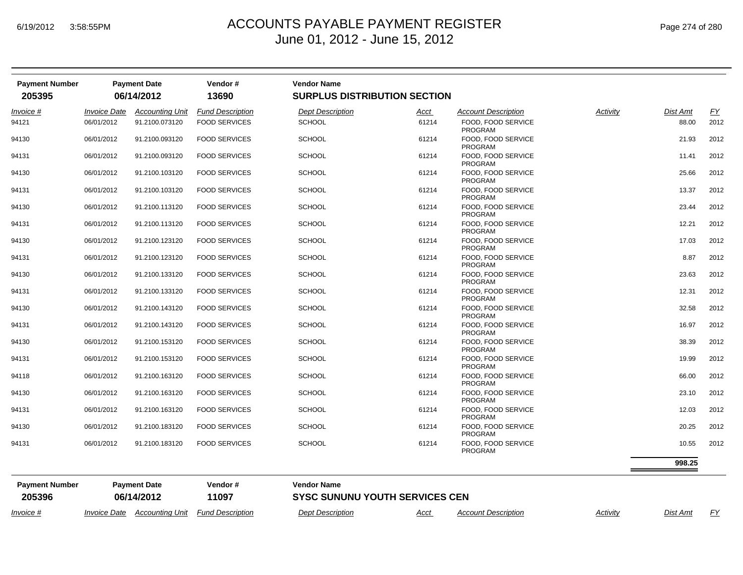| <b>Payment Number</b><br>205395 |                            | <b>Payment Date</b><br>06/14/2012 | Vendor#<br>13690        | <b>Vendor Name</b><br><b>SURPLUS DISTRIBUTION SECTION</b> |             |                                      |          |                 |                  |
|---------------------------------|----------------------------|-----------------------------------|-------------------------|-----------------------------------------------------------|-------------|--------------------------------------|----------|-----------------|------------------|
| Invoice #                       | <b>Invoice Date</b>        | <b>Accounting Unit</b>            | <b>Fund Description</b> | <b>Dept Description</b>                                   | <u>Acct</u> | <b>Account Description</b>           | Activity | Dist Amt        | $\underline{FY}$ |
| 94121                           | 06/01/2012                 | 91.2100.073120                    | <b>FOOD SERVICES</b>    | <b>SCHOOL</b>                                             | 61214       | FOOD, FOOD SERVICE<br><b>PROGRAM</b> |          | 88.00           | 2012             |
| 94130                           | 06/01/2012                 | 91.2100.093120                    | <b>FOOD SERVICES</b>    | <b>SCHOOL</b>                                             | 61214       | FOOD, FOOD SERVICE<br><b>PROGRAM</b> |          | 21.93           | 2012             |
| 94131                           | 06/01/2012                 | 91.2100.093120                    | <b>FOOD SERVICES</b>    | <b>SCHOOL</b>                                             | 61214       | FOOD, FOOD SERVICE<br><b>PROGRAM</b> |          | 11.41           | 2012             |
| 94130                           | 06/01/2012                 | 91.2100.103120                    | <b>FOOD SERVICES</b>    | <b>SCHOOL</b>                                             | 61214       | FOOD, FOOD SERVICE<br><b>PROGRAM</b> |          | 25.66           | 2012             |
| 94131                           | 06/01/2012                 | 91.2100.103120                    | <b>FOOD SERVICES</b>    | <b>SCHOOL</b>                                             | 61214       | FOOD, FOOD SERVICE<br><b>PROGRAM</b> |          | 13.37           | 2012             |
| 94130                           | 06/01/2012                 | 91.2100.113120                    | <b>FOOD SERVICES</b>    | <b>SCHOOL</b>                                             | 61214       | FOOD, FOOD SERVICE<br><b>PROGRAM</b> |          | 23.44           | 2012             |
| 94131                           | 06/01/2012                 | 91.2100.113120                    | <b>FOOD SERVICES</b>    | <b>SCHOOL</b>                                             | 61214       | FOOD, FOOD SERVICE<br><b>PROGRAM</b> |          | 12.21           | 2012             |
| 94130                           | 06/01/2012                 | 91.2100.123120                    | <b>FOOD SERVICES</b>    | <b>SCHOOL</b>                                             | 61214       | FOOD, FOOD SERVICE<br><b>PROGRAM</b> |          | 17.03           | 2012             |
| 94131                           | 06/01/2012                 | 91.2100.123120                    | <b>FOOD SERVICES</b>    | <b>SCHOOL</b>                                             | 61214       | FOOD, FOOD SERVICE<br><b>PROGRAM</b> |          | 8.87            | 2012             |
| 94130                           | 06/01/2012                 | 91.2100.133120                    | <b>FOOD SERVICES</b>    | <b>SCHOOL</b>                                             | 61214       | FOOD, FOOD SERVICE<br>PROGRAM        |          | 23.63           | 2012             |
| 94131                           | 06/01/2012                 | 91.2100.133120                    | <b>FOOD SERVICES</b>    | <b>SCHOOL</b>                                             | 61214       | FOOD, FOOD SERVICE<br>PROGRAM        |          | 12.31           | 2012             |
| 94130                           | 06/01/2012                 | 91.2100.143120                    | <b>FOOD SERVICES</b>    | <b>SCHOOL</b>                                             | 61214       | FOOD, FOOD SERVICE<br>PROGRAM        |          | 32.58           | 2012             |
| 94131                           | 06/01/2012                 | 91.2100.143120                    | <b>FOOD SERVICES</b>    | <b>SCHOOL</b>                                             | 61214       | FOOD, FOOD SERVICE<br>PROGRAM        |          | 16.97           | 2012             |
| 94130                           | 06/01/2012                 | 91.2100.153120                    | <b>FOOD SERVICES</b>    | <b>SCHOOL</b>                                             | 61214       | FOOD, FOOD SERVICE<br>PROGRAM        |          | 38.39           | 2012             |
| 94131                           | 06/01/2012                 | 91.2100.153120                    | <b>FOOD SERVICES</b>    | <b>SCHOOL</b>                                             | 61214       | FOOD, FOOD SERVICE<br>PROGRAM        |          | 19.99           | 2012             |
| 94118                           | 06/01/2012                 | 91.2100.163120                    | <b>FOOD SERVICES</b>    | <b>SCHOOL</b>                                             | 61214       | FOOD, FOOD SERVICE<br>PROGRAM        |          | 66.00           | 2012             |
| 94130                           | 06/01/2012                 | 91.2100.163120                    | <b>FOOD SERVICES</b>    | <b>SCHOOL</b>                                             | 61214       | FOOD, FOOD SERVICE<br>PROGRAM        |          | 23.10           | 2012             |
| 94131                           | 06/01/2012                 | 91.2100.163120                    | <b>FOOD SERVICES</b>    | <b>SCHOOL</b>                                             | 61214       | FOOD, FOOD SERVICE<br>PROGRAM        |          | 12.03           | 2012             |
| 94130                           | 06/01/2012                 | 91.2100.183120                    | <b>FOOD SERVICES</b>    | <b>SCHOOL</b>                                             | 61214       | FOOD, FOOD SERVICE<br><b>PROGRAM</b> |          | 20.25           | 2012             |
| 94131                           | 06/01/2012                 | 91.2100.183120                    | <b>FOOD SERVICES</b>    | <b>SCHOOL</b>                                             | 61214       | FOOD, FOOD SERVICE<br>PROGRAM        |          | 10.55           | 2012             |
|                                 |                            |                                   |                         |                                                           |             |                                      |          | 998.25          |                  |
| <b>Payment Number</b>           |                            | <b>Payment Date</b>               | Vendor#                 | <b>Vendor Name</b>                                        |             |                                      |          |                 |                  |
| 205396                          |                            | 06/14/2012                        | 11097                   | <b>SYSC SUNUNU YOUTH SERVICES CEN</b>                     |             |                                      |          |                 |                  |
| Invoice #                       | <i><b>Invoice Date</b></i> | <b>Accounting Unit</b>            | <b>Fund Description</b> | <b>Dept Description</b>                                   | Acct        | <b>Account Description</b>           | Activity | <b>Dist Amt</b> | <u>FY</u>        |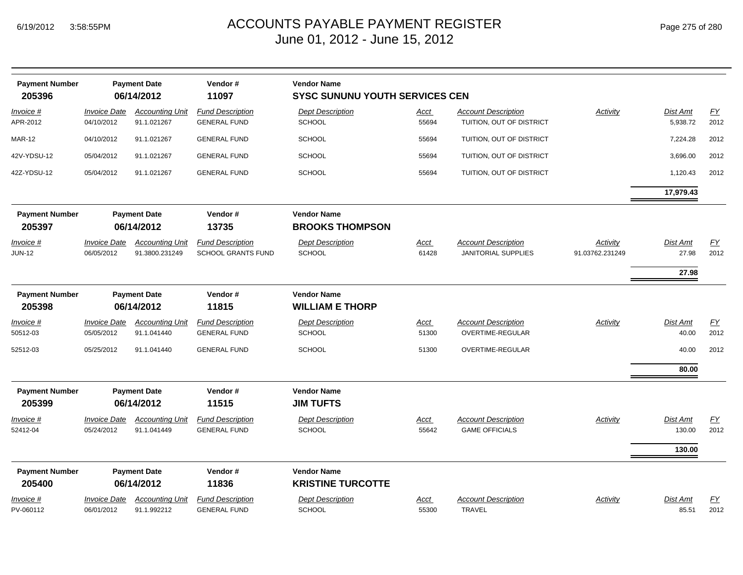| <b>Payment Number</b><br>205396  | Vendor#<br><b>Payment Date</b><br><b>Vendor Name</b><br>06/14/2012<br>11097<br><b>SYSC SUNUNU YOUTH SERVICES CEN</b> |                                                     |                                                         |                                                                      |                      |                                                          |                             |                            |            |
|----------------------------------|----------------------------------------------------------------------------------------------------------------------|-----------------------------------------------------|---------------------------------------------------------|----------------------------------------------------------------------|----------------------|----------------------------------------------------------|-----------------------------|----------------------------|------------|
| <u>Invoice #</u><br>APR-2012     | <b>Invoice Date</b><br>04/10/2012                                                                                    | <b>Accounting Unit</b><br>91.1.021267               | <b>Fund Description</b><br><b>GENERAL FUND</b>          | <b>Dept Description</b><br><b>SCHOOL</b>                             | Acct<br>55694        | <b>Account Description</b><br>TUITION, OUT OF DISTRICT   | <b>Activity</b>             | Dist Amt<br>5,938.72       | EY<br>2012 |
| <b>MAR-12</b>                    | 04/10/2012                                                                                                           | 91.1.021267                                         | <b>GENERAL FUND</b>                                     | <b>SCHOOL</b>                                                        | 55694                | TUITION, OUT OF DISTRICT                                 |                             | 7,224.28                   | 2012       |
| 42V-YDSU-12                      | 05/04/2012                                                                                                           | 91.1.021267                                         | <b>GENERAL FUND</b>                                     | <b>SCHOOL</b>                                                        | 55694                | TUITION, OUT OF DISTRICT                                 |                             | 3,696.00                   | 2012       |
| 42Z-YDSU-12                      | 05/04/2012                                                                                                           | 91.1.021267                                         | <b>GENERAL FUND</b>                                     | <b>SCHOOL</b>                                                        | 55694                | TUITION, OUT OF DISTRICT                                 |                             | 1,120.43                   | 2012       |
|                                  |                                                                                                                      |                                                     |                                                         |                                                                      |                      |                                                          |                             | 17,979.43                  |            |
| <b>Payment Number</b><br>205397  |                                                                                                                      | <b>Payment Date</b><br>06/14/2012                   | Vendor#<br>13735                                        | <b>Vendor Name</b><br><b>BROOKS THOMPSON</b>                         |                      |                                                          |                             |                            |            |
| Invoice #<br><b>JUN-12</b>       | <b>Invoice Date</b><br>06/05/2012                                                                                    | <b>Accounting Unit</b><br>91.3800.231249            | <b>Fund Description</b><br><b>SCHOOL GRANTS FUND</b>    | <b>Dept Description</b><br><b>SCHOOL</b>                             | Acct<br>61428        | <b>Account Description</b><br><b>JANITORIAL SUPPLIES</b> | Activity<br>91.03762.231249 | Dist Amt<br>27.98<br>27.98 | EY<br>2012 |
| <b>Payment Number</b><br>205398  |                                                                                                                      | <b>Payment Date</b><br>06/14/2012                   | Vendor#<br>11815                                        | <b>Vendor Name</b><br><b>WILLIAM E THORP</b>                         |                      |                                                          |                             |                            |            |
| Invoice #<br>50512-03            | <b>Invoice Date</b><br>05/05/2012                                                                                    | <b>Accounting Unit</b><br>91.1.041440               | <b>Fund Description</b><br><b>GENERAL FUND</b>          | <b>Dept Description</b><br><b>SCHOOL</b>                             | <u>Acct</u><br>51300 | <b>Account Description</b><br>OVERTIME-REGULAR           | Activity                    | Dist Amt<br>40.00          | EY<br>2012 |
| 52512-03                         | 05/25/2012                                                                                                           | 91.1.041440                                         | <b>GENERAL FUND</b>                                     | <b>SCHOOL</b>                                                        | 51300                | OVERTIME-REGULAR                                         |                             | 40.00                      | 2012       |
|                                  |                                                                                                                      |                                                     |                                                         |                                                                      |                      |                                                          |                             | 80.00                      |            |
| <b>Payment Number</b><br>205399  |                                                                                                                      | <b>Payment Date</b><br>06/14/2012                   | Vendor#<br>11515                                        | <b>Vendor Name</b><br><b>JIM TUFTS</b>                               |                      |                                                          |                             |                            |            |
| Invoice #<br>52412-04            | <b>Invoice Date</b><br>05/24/2012                                                                                    | <b>Accounting Unit</b><br>91.1.041449               | <b>Fund Description</b><br><b>GENERAL FUND</b>          | <b>Dept Description</b><br><b>SCHOOL</b>                             | <u>Acct</u><br>55642 | <b>Account Description</b><br><b>GAME OFFICIALS</b>      | Activity                    | <b>Dist Amt</b><br>130.00  | EY<br>2012 |
| <b>Payment Number</b>            |                                                                                                                      | <b>Payment Date</b>                                 | Vendor#                                                 | <b>Vendor Name</b>                                                   |                      |                                                          |                             | 130.00                     |            |
| 205400<br>Invoice #<br>PV-060112 | <b>Invoice Date</b><br>06/01/2012                                                                                    | 06/14/2012<br><b>Accounting Unit</b><br>91.1.992212 | 11836<br><b>Fund Description</b><br><b>GENERAL FUND</b> | <b>KRISTINE TURCOTTE</b><br><b>Dept Description</b><br><b>SCHOOL</b> | Acct<br>55300        | <b>Account Description</b><br><b>TRAVEL</b>              | Activity                    | Dist Amt<br>85.51          | EY<br>2012 |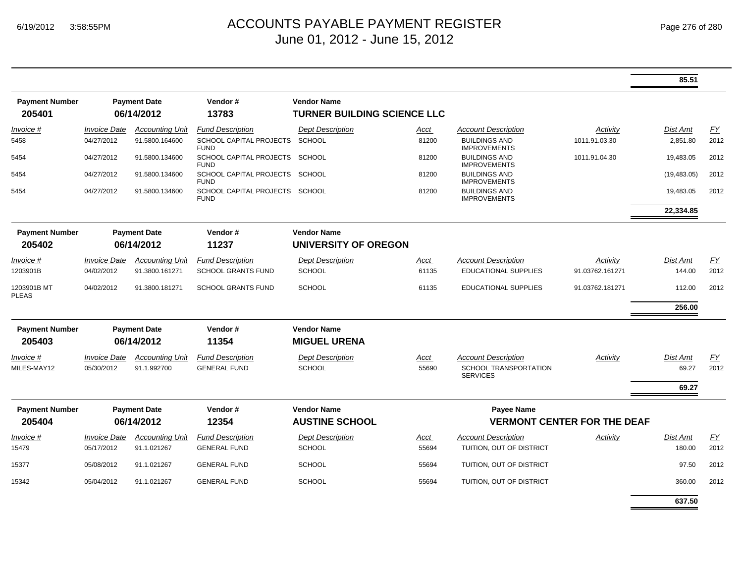|                             |                            |                        |                                               |                                    |        |                                                 |                 | 85.51           |      |
|-----------------------------|----------------------------|------------------------|-----------------------------------------------|------------------------------------|--------|-------------------------------------------------|-----------------|-----------------|------|
| <b>Payment Number</b>       |                            | <b>Payment Date</b>    | Vendor#                                       | <b>Vendor Name</b>                 |        |                                                 |                 |                 |      |
| 205401                      |                            | 06/14/2012             | 13783                                         | <b>TURNER BUILDING SCIENCE LLC</b> |        |                                                 |                 |                 |      |
| <i>Invoice</i> #            | <i><b>Invoice Date</b></i> | <b>Accounting Unit</b> | <b>Fund Description</b>                       | <b>Dept Description</b>            | Acct   | Account Description                             | Activity        | Dist Amt        | FY   |
| 5458                        | 04/27/2012                 | 91.5800.164600         | <b>SCHOOL CAPITAL PROJECTS</b><br><b>FUND</b> | <b>SCHOOL</b>                      | 81200  | <b>BUILDINGS AND</b><br><b>IMPROVEMENTS</b>     | 1011.91.03.30   | 2,851.80        | 2012 |
| 5454                        | 04/27/2012                 | 91.5800.134600         | SCHOOL CAPITAL PROJECTS SCHOOL<br><b>FUND</b> |                                    | 81200  | <b>BUILDINGS AND</b><br><b>IMPROVEMENTS</b>     | 1011.91.04.30   | 19,483.05       | 2012 |
| 5454                        | 04/27/2012                 | 91.5800.134600         | SCHOOL CAPITAL PROJECTS SCHOOL<br><b>FUND</b> |                                    | 81200  | <b>BUILDINGS AND</b><br><b>IMPROVEMENTS</b>     |                 | (19, 483.05)    | 2012 |
| 5454                        | 04/27/2012                 | 91.5800.134600         | SCHOOL CAPITAL PROJECTS SCHOOL<br><b>FUND</b> |                                    | 81200  | <b>BUILDINGS AND</b><br><b>IMPROVEMENTS</b>     |                 | 19,483.05       | 2012 |
|                             |                            |                        |                                               |                                    |        |                                                 |                 | 22,334.85       |      |
| <b>Payment Number</b>       |                            | <b>Payment Date</b>    | Vendor#                                       | <b>Vendor Name</b>                 |        |                                                 |                 |                 |      |
| 205402                      |                            | 06/14/2012             | 11237                                         | UNIVERSITY OF OREGON               |        |                                                 |                 |                 |      |
| Invoice #                   | <b>Invoice Date</b>        | <b>Accounting Unit</b> | <b>Fund Description</b>                       | <b>Dept Description</b>            | Acct   | <b>Account Description</b>                      | Activity        | <b>Dist Amt</b> | EY   |
| 1203901B                    | 04/02/2012                 | 91.3800.161271         | <b>SCHOOL GRANTS FUND</b>                     | <b>SCHOOL</b>                      | 61135  | <b>EDUCATIONAL SUPPLIES</b>                     | 91.03762.161271 | 144.00          | 2012 |
| 1203901B MT<br><b>PLEAS</b> | 04/02/2012                 | 91.3800.181271         | <b>SCHOOL GRANTS FUND</b>                     | <b>SCHOOL</b>                      | 61135  | EDUCATIONAL SUPPLIES                            | 91.03762.181271 | 112.00          | 2012 |
|                             |                            |                        |                                               |                                    | 256.00 |                                                 |                 |                 |      |
| <b>Payment Number</b>       |                            | <b>Payment Date</b>    | Vendor#                                       | <b>Vendor Name</b>                 |        |                                                 |                 |                 |      |
| 205403                      |                            | 06/14/2012             | 11354                                         | <b>MIGUEL URENA</b>                |        |                                                 |                 |                 |      |
| Invoice #                   | <b>Invoice Date</b>        | <b>Accounting Unit</b> | <b>Fund Description</b>                       | <b>Dept Description</b>            | Acct   | <b>Account Description</b>                      | Activity        | Dist Amt        | EY   |
| MILES-MAY12                 | 05/30/2012                 | 91.1.992700            | <b>GENERAL FUND</b>                           | <b>SCHOOL</b>                      | 55690  | <b>SCHOOL TRANSPORTATION</b><br><b>SERVICES</b> |                 | 69.27           | 2012 |
|                             |                            |                        |                                               |                                    |        |                                                 |                 | 69.27           |      |
| <b>Payment Number</b>       |                            | <b>Payment Date</b>    | Vendor#                                       | <b>Vendor Name</b>                 |        | <b>Payee Name</b>                               |                 |                 |      |
| 205404                      |                            | 06/14/2012             | 12354                                         | <b>AUSTINE SCHOOL</b>              |        | <b>VERMONT CENTER FOR THE DEAF</b>              |                 |                 |      |
| Invoice #                   | <b>Invoice Date</b>        | <b>Accounting Unit</b> | <b>Fund Description</b>                       | <b>Dept Description</b>            | Acct   | <b>Account Description</b>                      | Activity        | Dist Amt        | EY   |
| 15479                       | 05/17/2012                 | 91.1.021267            | <b>GENERAL FUND</b>                           | <b>SCHOOL</b>                      | 55694  | TUITION, OUT OF DISTRICT                        |                 | 180.00          | 2012 |
| 15377                       | 05/08/2012                 | 91.1.021267            | <b>GENERAL FUND</b>                           | <b>SCHOOL</b>                      | 55694  | TUITION, OUT OF DISTRICT                        |                 | 97.50           | 2012 |
| 15342                       | 05/04/2012                 | 91.1.021267            | <b>GENERAL FUND</b>                           | <b>SCHOOL</b>                      | 55694  | TUITION, OUT OF DISTRICT                        |                 | 360.00          | 2012 |
|                             |                            |                        |                                               |                                    |        |                                                 |                 | 637.50          |      |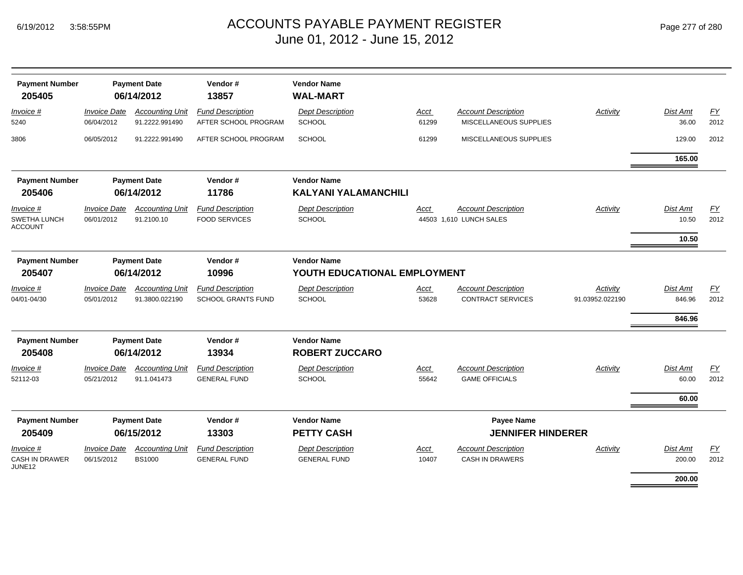| <b>Payment Number</b><br>205405                    |                                   | <b>Payment Date</b><br>06/14/2012        | Vendor#<br>13857                                     | <b>Vendor Name</b><br><b>WAL-MART</b>              |               |                                                        |                             |                              |            |
|----------------------------------------------------|-----------------------------------|------------------------------------------|------------------------------------------------------|----------------------------------------------------|---------------|--------------------------------------------------------|-----------------------------|------------------------------|------------|
| $Invoice$ #<br>5240                                | <b>Invoice Date</b><br>06/04/2012 | <b>Accounting Unit</b><br>91.2222.991490 | <b>Fund Description</b><br>AFTER SCHOOL PROGRAM      | <b>Dept Description</b><br><b>SCHOOL</b>           | Acct<br>61299 | <b>Account Description</b><br>MISCELLANEOUS SUPPLIES   | <b>Activity</b>             | Dist Amt<br>36.00            | EY<br>2012 |
| 3806                                               | 06/05/2012                        | 91.2222.991490                           | AFTER SCHOOL PROGRAM                                 | <b>SCHOOL</b>                                      | 61299         | MISCELLANEOUS SUPPLIES                                 |                             | 129.00                       | 2012       |
|                                                    |                                   |                                          |                                                      |                                                    |               |                                                        |                             | 165.00                       |            |
| <b>Payment Number</b>                              |                                   | <b>Payment Date</b>                      | Vendor#                                              | <b>Vendor Name</b>                                 |               |                                                        |                             |                              |            |
| 205406                                             |                                   | 06/14/2012                               | 11786                                                | <b>KALYANI YALAMANCHILI</b>                        |               |                                                        |                             |                              |            |
| Invoice #<br><b>SWETHA LUNCH</b><br><b>ACCOUNT</b> | <b>Invoice Date</b><br>06/01/2012 | <b>Accounting Unit</b><br>91.2100.10     | <b>Fund Description</b><br><b>FOOD SERVICES</b>      | <b>Dept Description</b><br><b>SCHOOL</b>           | Acct          | <b>Account Description</b><br>44503 1,610 LUNCH SALES  | Activity                    | Dist Amt<br>10.50            | EY<br>2012 |
|                                                    |                                   |                                          |                                                      |                                                    |               |                                                        |                             | 10.50                        |            |
| <b>Payment Number</b><br>205407                    |                                   | <b>Payment Date</b><br>06/14/2012        | Vendor#<br>10996                                     | <b>Vendor Name</b><br>YOUTH EDUCATIONAL EMPLOYMENT |               |                                                        |                             |                              |            |
| Invoice #<br>04/01-04/30                           | <b>Invoice Date</b><br>05/01/2012 | <b>Accounting Unit</b><br>91.3800.022190 | <b>Fund Description</b><br><b>SCHOOL GRANTS FUND</b> | <b>Dept Description</b><br><b>SCHOOL</b>           | Acct<br>53628 | <b>Account Description</b><br><b>CONTRACT SERVICES</b> | Activity<br>91.03952.022190 | Dist Amt<br>846.96<br>846.96 | EY<br>2012 |
| <b>Payment Number</b><br>205408                    |                                   | <b>Payment Date</b><br>06/14/2012        | Vendor#<br>13934                                     | <b>Vendor Name</b><br><b>ROBERT ZUCCARO</b>        |               |                                                        |                             |                              |            |
| Invoice #<br>52112-03                              | <b>Invoice Date</b><br>05/21/2012 | <b>Accounting Unit</b><br>91.1.041473    | <b>Fund Description</b><br><b>GENERAL FUND</b>       | <b>Dept Description</b><br><b>SCHOOL</b>           | Acct<br>55642 | <b>Account Description</b><br><b>GAME OFFICIALS</b>    | Activity                    | Dist Amt<br>60.00            | EY<br>2012 |
|                                                    |                                   |                                          |                                                      |                                                    |               |                                                        |                             | 60.00                        |            |
| <b>Payment Number</b><br>205409                    |                                   | <b>Payment Date</b><br>06/15/2012        | Vendor#<br>13303                                     | <b>Vendor Name</b><br><b>PETTY CASH</b>            |               | <b>Payee Name</b><br><b>JENNIFER HINDERER</b>          |                             |                              |            |
| Invoice #<br><b>CASH IN DRAWER</b><br>JUNE12       | <b>Invoice Date</b><br>06/15/2012 | <b>Accounting Unit</b><br><b>BS1000</b>  | <b>Fund Description</b><br><b>GENERAL FUND</b>       | <b>Dept Description</b><br><b>GENERAL FUND</b>     | Acct<br>10407 | <b>Account Description</b><br><b>CASH IN DRAWERS</b>   | Activity                    | Dist Amt<br>200.00           | EY<br>2012 |
|                                                    |                                   |                                          |                                                      |                                                    |               |                                                        |                             | 200.00                       |            |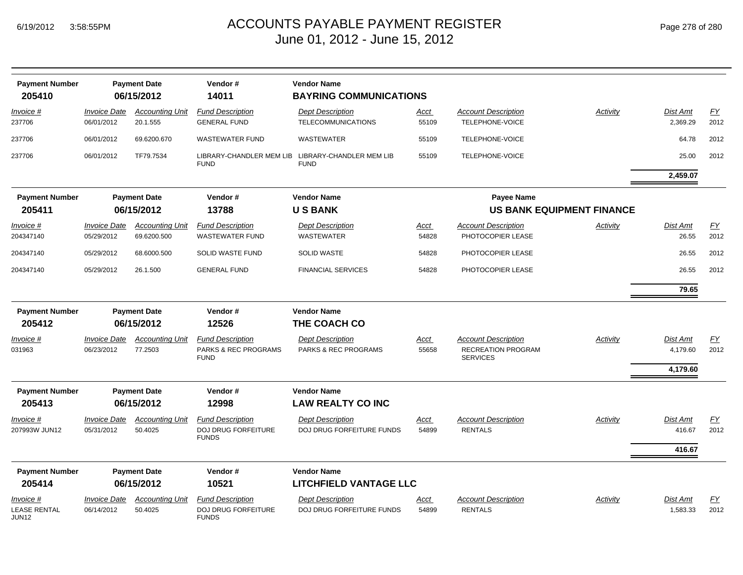|  | Page 278 of 280 |  |  |  |
|--|-----------------|--|--|--|
|--|-----------------|--|--|--|

| <b>Payment Number</b><br>205410              |                                   | <b>Payment Date</b><br>06/15/2012     | Vendor#<br>14011                                               | <b>Vendor Name</b><br><b>BAYRING COMMUNICATIONS</b>  |                      |                                                                            |                                  |                                  |                   |
|----------------------------------------------|-----------------------------------|---------------------------------------|----------------------------------------------------------------|------------------------------------------------------|----------------------|----------------------------------------------------------------------------|----------------------------------|----------------------------------|-------------------|
| <u>Invoice #</u><br>237706                   | <b>Invoice Date</b><br>06/01/2012 | <b>Accounting Unit</b><br>20.1.555    | <b>Fund Description</b><br><b>GENERAL FUND</b>                 | <b>Dept Description</b><br><b>TELECOMMUNICATIONS</b> | <u>Acct</u><br>55109 | <b>Account Description</b><br>TELEPHONE-VOICE                              | <b>Activity</b>                  | Dist Amt<br>2,369.29             | EY<br>2012        |
| 237706                                       | 06/01/2012                        | 69.6200.670                           | <b>WASTEWATER FUND</b>                                         | <b>WASTEWATER</b>                                    | 55109                | TELEPHONE-VOICE                                                            |                                  | 64.78                            | 2012              |
| 237706                                       | 06/01/2012                        | TF79.7534                             | LIBRARY-CHANDLER MEM LIB<br><b>FUND</b>                        | LIBRARY-CHANDLER MEM LIB<br><b>FUND</b>              | 55109                | TELEPHONE-VOICE                                                            |                                  | 25.00                            | 2012              |
|                                              |                                   |                                       |                                                                |                                                      |                      |                                                                            |                                  | 2,459.07                         |                   |
| <b>Payment Number</b><br>205411              |                                   | <b>Payment Date</b><br>06/15/2012     | Vendor#<br>13788                                               | <b>Vendor Name</b><br><b>USBANK</b>                  |                      | <b>Payee Name</b>                                                          | <b>US BANK EQUIPMENT FINANCE</b> |                                  |                   |
| <b>Invoice #</b><br>204347140                | <b>Invoice Date</b><br>05/29/2012 | <b>Accounting Unit</b><br>69.6200.500 | <b>Fund Description</b><br>WASTEWATER FUND                     | <b>Dept Description</b><br>WASTEWATER                | <u>Acct</u><br>54828 | <b>Account Description</b><br>PHOTOCOPIER LEASE                            | Activity                         | <b>Dist Amt</b><br>26.55         | EY<br>2012        |
| 204347140                                    | 05/29/2012                        | 68.6000.500                           | SOLID WASTE FUND                                               | <b>SOLID WASTE</b>                                   | 54828                | PHOTOCOPIER LEASE                                                          |                                  | 26.55                            | 2012              |
| 204347140                                    | 05/29/2012                        | 26.1.500                              | <b>GENERAL FUND</b>                                            | <b>FINANCIAL SERVICES</b>                            | 54828                | PHOTOCOPIER LEASE                                                          |                                  | 26.55                            | 2012              |
|                                              |                                   |                                       |                                                                |                                                      |                      |                                                                            |                                  | 79.65                            |                   |
| <b>Payment Number</b>                        |                                   | <b>Payment Date</b>                   | Vendor#                                                        | <b>Vendor Name</b>                                   |                      |                                                                            |                                  |                                  |                   |
| 205412                                       |                                   | 06/15/2012                            | 12526                                                          | THE COACH CO                                         |                      |                                                                            |                                  |                                  |                   |
| Invoice #<br>031963                          | <b>Invoice Date</b><br>06/23/2012 | <b>Accounting Unit</b><br>77.2503     | <b>Fund Description</b><br>PARKS & REC PROGRAMS<br><b>FUND</b> | <b>Dept Description</b><br>PARKS & REC PROGRAMS      | Acct<br>55658        | <b>Account Description</b><br><b>RECREATION PROGRAM</b><br><b>SERVICES</b> | Activity                         | Dist Amt<br>4,179.60<br>4,179.60 | EY<br>2012        |
| <b>Payment Number</b>                        |                                   | <b>Payment Date</b>                   | Vendor#                                                        | <b>Vendor Name</b>                                   |                      |                                                                            |                                  |                                  |                   |
| 205413                                       |                                   | 06/15/2012                            | 12998                                                          | <b>LAW REALTY CO INC</b>                             |                      |                                                                            |                                  |                                  |                   |
| <u>Invoice #</u><br>207993W JUN12            | <b>Invoice Date</b><br>05/31/2012 | <b>Accounting Unit</b><br>50.4025     | <b>Fund Description</b><br>DOJ DRUG FORFEITURE<br><b>FUNDS</b> | <b>Dept Description</b><br>DOJ DRUG FORFEITURE FUNDS | <u>Acct</u><br>54899 | <b>Account Description</b><br><b>RENTALS</b>                               | Activity                         | <b>Dist Amt</b><br>416.67        | EY<br>2012        |
|                                              |                                   |                                       |                                                                |                                                      |                      |                                                                            |                                  | 416.67                           |                   |
| <b>Payment Number</b><br>205414              |                                   | <b>Payment Date</b><br>06/15/2012     | Vendor#<br>10521                                               | <b>Vendor Name</b><br><b>LITCHFIELD VANTAGE LLC</b>  |                      |                                                                            |                                  |                                  |                   |
| Invoice #<br><b>LEASE RENTAL</b><br>.II IN12 | <b>Invoice Date</b><br>06/14/2012 | <b>Accounting Unit</b><br>50.4025     | <b>Fund Description</b><br>DOJ DRUG FORFEITURE<br><b>FUNDS</b> | <b>Dept Description</b><br>DOJ DRUG FORFEITURE FUNDS | Acct<br>54899        | <b>Account Description</b><br><b>RENTALS</b>                               | Activity                         | <b>Dist Amt</b><br>1,583.33      | <u>FY</u><br>2012 |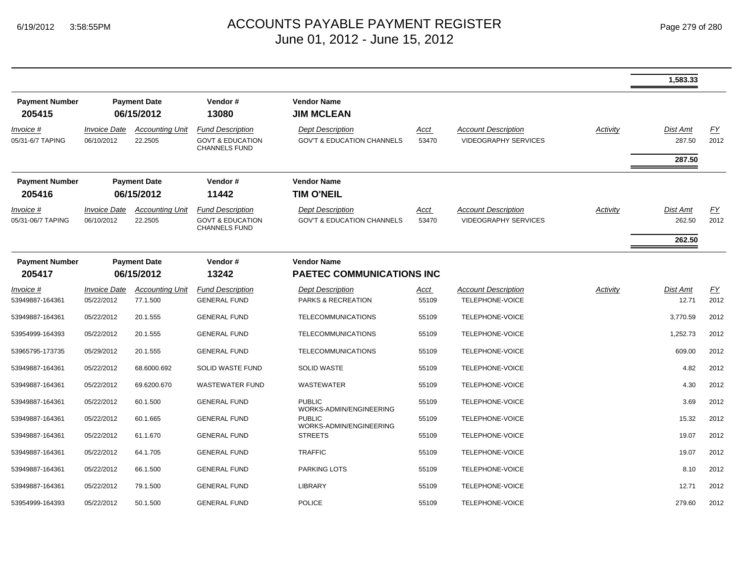|                                 |                                                       |                                    |                                                                                |                                                                  |               |                                                           |                 | 1,583.33           |                          |
|---------------------------------|-------------------------------------------------------|------------------------------------|--------------------------------------------------------------------------------|------------------------------------------------------------------|---------------|-----------------------------------------------------------|-----------------|--------------------|--------------------------|
| <b>Payment Number</b><br>205415 |                                                       | <b>Payment Date</b><br>06/15/2012  | Vendor#<br>13080                                                               | <b>Vendor Name</b><br><b>JIM MCLEAN</b>                          |               |                                                           |                 |                    |                          |
| Invoice #<br>05/31-6/7 TAPING   | <i><b>Invoice Date</b></i><br>06/10/2012              | <b>Accounting Unit</b><br>22.2505  | <b>Fund Description</b><br><b>GOVT &amp; EDUCATION</b><br><b>CHANNELS FUND</b> | <b>Dept Description</b><br><b>GOV'T &amp; EDUCATION CHANNELS</b> | Acct<br>53470 | <b>Account Description</b><br><b>VIDEOGRAPHY SERVICES</b> | <b>Activity</b> | Dist Amt<br>287.50 | <u>FY</u><br>2012        |
|                                 |                                                       |                                    |                                                                                |                                                                  |               |                                                           |                 | 287.50             |                          |
| <b>Payment Number</b>           |                                                       | <b>Payment Date</b>                | Vendor#                                                                        | <b>Vendor Name</b>                                               |               |                                                           |                 |                    |                          |
| 205416                          |                                                       | 06/15/2012                         | 11442                                                                          | <b>TIM O'NEIL</b>                                                |               |                                                           |                 |                    |                          |
| Invoice #<br>05/31-06/7 TAPING  | <i><b>Invoice Date</b></i><br>06/10/2012              | <b>Accounting Unit</b><br>22.2505  | <b>Fund Description</b><br><b>GOVT &amp; EDUCATION</b><br><b>CHANNELS FUND</b> | <b>Dept Description</b><br><b>GOV'T &amp; EDUCATION CHANNELS</b> | Acct<br>53470 | <b>Account Description</b><br><b>VIDEOGRAPHY SERVICES</b> | Activity        | Dist Amt<br>262.50 | EY<br>2012               |
|                                 |                                                       |                                    |                                                                                |                                                                  |               |                                                           |                 | 262.50             |                          |
| <b>Payment Number</b><br>205417 | <b>Payment Date</b><br>Vendor#<br>06/15/2012<br>13242 |                                    |                                                                                | <b>Vendor Name</b><br><b>PAETEC COMMUNICATIONS INC</b>           |               |                                                           |                 |                    |                          |
| Invoice #<br>53949887-164361    | <b>Invoice Date</b><br>05/22/2012                     | <b>Accounting Unit</b><br>77.1.500 | <b>Fund Description</b><br><b>GENERAL FUND</b>                                 | <b>Dept Description</b><br>PARKS & RECREATION                    | Acct<br>55109 | <b>Account Description</b><br>TELEPHONE-VOICE             | Activity        | Dist Amt<br>12.71  | $\underline{FY}$<br>2012 |
| 53949887-164361                 | 05/22/2012                                            | 20.1.555                           | <b>GENERAL FUND</b>                                                            | <b>TELECOMMUNICATIONS</b>                                        | 55109         | TELEPHONE-VOICE                                           |                 | 3,770.59           | 2012                     |
| 53954999-164393                 | 05/22/2012                                            | 20.1.555                           | <b>GENERAL FUND</b>                                                            | <b>TELECOMMUNICATIONS</b>                                        | 55109         | TELEPHONE-VOICE                                           |                 | 1,252.73           | 2012                     |
| 53965795-173735                 | 05/29/2012                                            | 20.1.555                           | <b>GENERAL FUND</b>                                                            | TELECOMMUNICATIONS                                               | 55109         | TELEPHONE-VOICE                                           |                 | 609.00             | 2012                     |
| 53949887-164361                 | 05/22/2012                                            | 68.6000.692                        | SOLID WASTE FUND                                                               | <b>SOLID WASTE</b>                                               | 55109         | TELEPHONE-VOICE                                           |                 | 4.82               | 2012                     |
| 53949887-164361                 | 05/22/2012                                            | 69.6200.670                        | <b>WASTEWATER FUND</b>                                                         | <b>WASTEWATER</b>                                                | 55109         | TELEPHONE-VOICE                                           |                 | 4.30               | 2012                     |
| 53949887-164361                 | 05/22/2012                                            | 60.1.500                           | <b>GENERAL FUND</b>                                                            | <b>PUBLIC</b><br>WORKS-ADMIN/ENGINEERING                         | 55109         | TELEPHONE-VOICE                                           |                 | 3.69               | 2012                     |
| 53949887-164361                 | 05/22/2012                                            | 60.1.665                           | <b>GENERAL FUND</b>                                                            | <b>PUBLIC</b>                                                    | 55109         | TELEPHONE-VOICE                                           |                 | 15.32              | 2012                     |
| 53949887-164361                 | 05/22/2012                                            | 61.1.670                           | <b>GENERAL FUND</b>                                                            | WORKS-ADMIN/ENGINEERING<br><b>STREETS</b>                        | 55109         | TELEPHONE-VOICE                                           |                 | 19.07              | 2012                     |
| 53949887-164361                 | 05/22/2012                                            | 64.1.705                           | <b>GENERAL FUND</b>                                                            | <b>TRAFFIC</b>                                                   | 55109         | TELEPHONE-VOICE                                           |                 | 19.07              | 2012                     |
| 53949887-164361                 | 05/22/2012                                            | 66.1.500                           | <b>GENERAL FUND</b>                                                            | PARKING LOTS                                                     | 55109         | TELEPHONE-VOICE                                           |                 | 8.10               | 2012                     |
| 53949887-164361                 | 05/22/2012                                            | 79.1.500                           | <b>GENERAL FUND</b>                                                            | <b>LIBRARY</b>                                                   | 55109         | TELEPHONE-VOICE                                           |                 | 12.71              | 2012                     |
| 53954999-164393                 | 05/22/2012                                            | 50.1.500                           | <b>GENERAL FUND</b>                                                            | <b>POLICE</b>                                                    | 55109         | TELEPHONE-VOICE                                           |                 | 279.60             | 2012                     |